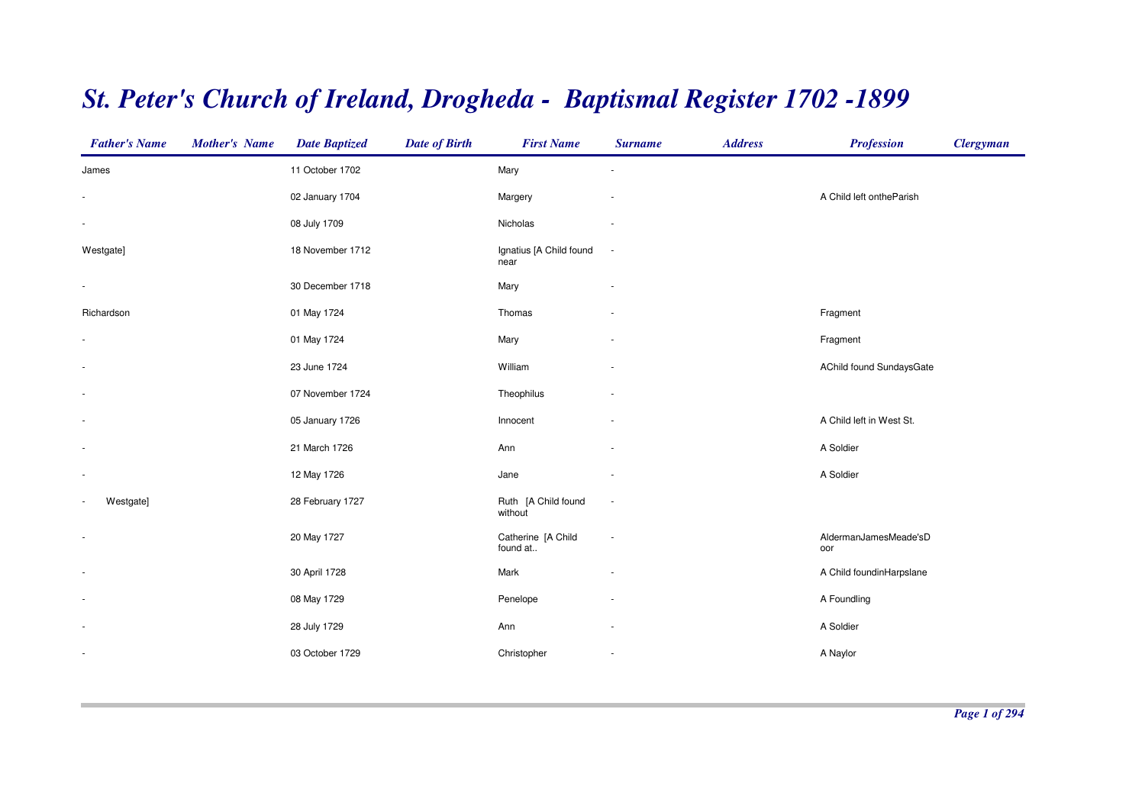## *St. Peter's Church of Ireland, Drogheda - Baptismal Register 1702 -1899*

| <b>Father's Name</b>                  | <b>Mother's Name</b> | <b>Date Baptized</b> | <b>Date of Birth</b> | <b>First Name</b>               | <b>Surname</b>           | <b>Address</b> | <b>Profession</b>            | <b>Clergyman</b> |
|---------------------------------------|----------------------|----------------------|----------------------|---------------------------------|--------------------------|----------------|------------------------------|------------------|
| James                                 |                      | 11 October 1702      |                      | Mary                            |                          |                |                              |                  |
|                                       |                      | 02 January 1704      |                      | Margery                         |                          |                | A Child left ontheParish     |                  |
| $\overline{\phantom{a}}$              |                      | 08 July 1709         |                      | Nicholas                        |                          |                |                              |                  |
| Westgate]                             |                      | 18 November 1712     |                      | Ignatius [A Child found<br>near | $\overline{\phantom{a}}$ |                |                              |                  |
| $\overline{\phantom{a}}$              |                      | 30 December 1718     |                      | Mary                            |                          |                |                              |                  |
| Richardson                            |                      | 01 May 1724          |                      | Thomas                          |                          |                | Fragment                     |                  |
|                                       |                      | 01 May 1724          |                      | Mary                            |                          |                | Fragment                     |                  |
| $\sim$                                |                      | 23 June 1724         |                      | William                         |                          |                | AChild found SundaysGate     |                  |
|                                       |                      | 07 November 1724     |                      | Theophilus                      |                          |                |                              |                  |
|                                       |                      | 05 January 1726      |                      | Innocent                        |                          |                | A Child left in West St.     |                  |
| $\overline{\phantom{a}}$              |                      | 21 March 1726        |                      | Ann                             |                          |                | A Soldier                    |                  |
| $\overline{\phantom{a}}$              |                      | 12 May 1726          |                      | Jane                            |                          |                | A Soldier                    |                  |
| Westgate]<br>$\overline{\phantom{a}}$ |                      | 28 February 1727     |                      | Ruth [A Child found<br>without  | ÷                        |                |                              |                  |
| $\overline{\phantom{a}}$              |                      | 20 May 1727          |                      | Catherine [A Child<br>found at  | ÷                        |                | AldermanJamesMeade'sD<br>oor |                  |
| $\overline{\phantom{a}}$              |                      | 30 April 1728        |                      | Mark                            |                          |                | A Child foundinHarpslane     |                  |
| $\overline{\phantom{a}}$              |                      | 08 May 1729          |                      | Penelope                        |                          |                | A Foundling                  |                  |
| $\overline{\phantom{a}}$              |                      | 28 July 1729         |                      | Ann                             | $\sim$                   |                | A Soldier                    |                  |
| $\overline{\phantom{a}}$              |                      | 03 October 1729      |                      | Christopher                     | $\sim$                   |                | A Naylor                     |                  |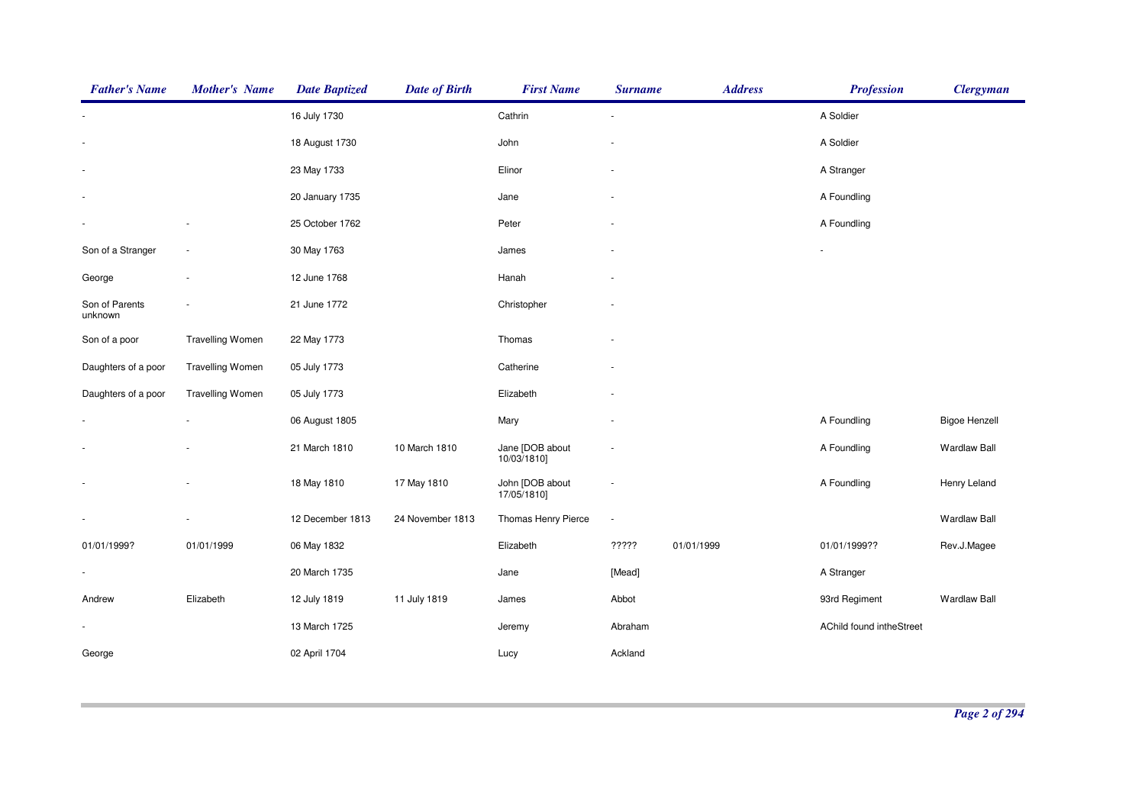| <b>Father's Name</b>      | <b>Mother's Name</b>    | <b>Date Baptized</b> | <b>Date of Birth</b> | <b>First Name</b>              | <b>Surname</b> | <b>Address</b> | <b>Profession</b>        | <b>Clergyman</b>     |
|---------------------------|-------------------------|----------------------|----------------------|--------------------------------|----------------|----------------|--------------------------|----------------------|
|                           |                         | 16 July 1730         |                      | Cathrin                        | ÷,             |                | A Soldier                |                      |
|                           |                         | 18 August 1730       |                      | John                           |                |                | A Soldier                |                      |
|                           |                         | 23 May 1733          |                      | Elinor                         | ٠              |                | A Stranger               |                      |
|                           |                         | 20 January 1735      |                      | Jane                           |                |                | A Foundling              |                      |
|                           |                         | 25 October 1762      |                      | Peter                          |                |                | A Foundling              |                      |
| Son of a Stranger         | $\sim$                  | 30 May 1763          |                      | James                          |                |                |                          |                      |
| George                    | $\sim$                  | 12 June 1768         |                      | Hanah                          |                |                |                          |                      |
| Son of Parents<br>unknown |                         | 21 June 1772         |                      | Christopher                    |                |                |                          |                      |
| Son of a poor             | <b>Travelling Women</b> | 22 May 1773          |                      | Thomas                         |                |                |                          |                      |
| Daughters of a poor       | <b>Travelling Women</b> | 05 July 1773         |                      | Catherine                      |                |                |                          |                      |
| Daughters of a poor       | <b>Travelling Women</b> | 05 July 1773         |                      | Elizabeth                      |                |                |                          |                      |
|                           |                         | 06 August 1805       |                      | Mary                           |                |                | A Foundling              | <b>Bigoe Henzell</b> |
|                           |                         | 21 March 1810        | 10 March 1810        | Jane [DOB about<br>10/03/1810] |                |                | A Foundling              | <b>Wardlaw Ball</b>  |
| $\mathbf{r}$              |                         | 18 May 1810          | 17 May 1810          | John [DOB about<br>17/05/1810] |                |                | A Foundling              | Henry Leland         |
|                           |                         | 12 December 1813     | 24 November 1813     | Thomas Henry Pierce            | ÷              |                |                          | <b>Wardlaw Ball</b>  |
| 01/01/1999?               | 01/01/1999              | 06 May 1832          |                      | Elizabeth                      | ?????          | 01/01/1999     | 01/01/1999??             | Rev.J.Magee          |
|                           |                         | 20 March 1735        |                      | Jane                           | [Mead]         |                | A Stranger               |                      |
| Andrew                    | Elizabeth               | 12 July 1819         | 11 July 1819         | James                          | Abbot          |                | 93rd Regiment            | <b>Wardlaw Ball</b>  |
|                           |                         | 13 March 1725        |                      | Jeremy                         | Abraham        |                | AChild found intheStreet |                      |
| George                    |                         | 02 April 1704        |                      | Lucy                           | Ackland        |                |                          |                      |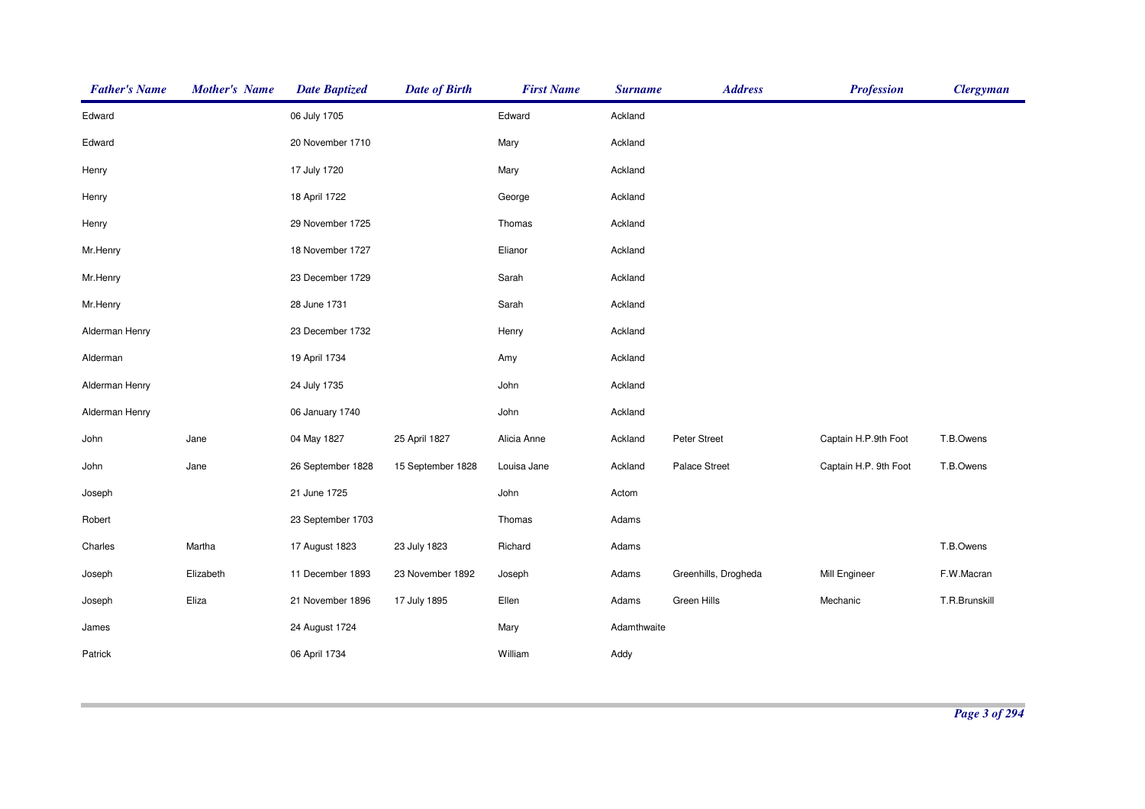| <b>Father's Name</b> | <b>Mother's Name</b> | <b>Date Baptized</b> | <b>Date of Birth</b> | <b>First Name</b> | <b>Surname</b> | <b>Address</b>       | <b>Profession</b>     | <b>Clergyman</b> |
|----------------------|----------------------|----------------------|----------------------|-------------------|----------------|----------------------|-----------------------|------------------|
| Edward               |                      | 06 July 1705         |                      | Edward            | Ackland        |                      |                       |                  |
| Edward               |                      | 20 November 1710     |                      | Mary              | Ackland        |                      |                       |                  |
| Henry                |                      | 17 July 1720         |                      | Mary              | Ackland        |                      |                       |                  |
| Henry                |                      | 18 April 1722        |                      | George            | Ackland        |                      |                       |                  |
| Henry                |                      | 29 November 1725     |                      | Thomas            | Ackland        |                      |                       |                  |
| Mr.Henry             |                      | 18 November 1727     |                      | Elianor           | Ackland        |                      |                       |                  |
| Mr.Henry             |                      | 23 December 1729     |                      | Sarah             | Ackland        |                      |                       |                  |
| Mr.Henry             |                      | 28 June 1731         |                      | Sarah             | Ackland        |                      |                       |                  |
| Alderman Henry       |                      | 23 December 1732     |                      | Henry             | Ackland        |                      |                       |                  |
| Alderman             |                      | 19 April 1734        |                      | Amy               | Ackland        |                      |                       |                  |
| Alderman Henry       |                      | 24 July 1735         |                      | John              | Ackland        |                      |                       |                  |
| Alderman Henry       |                      | 06 January 1740      |                      | John              | Ackland        |                      |                       |                  |
| John                 | Jane                 | 04 May 1827          | 25 April 1827        | Alicia Anne       | Ackland        | Peter Street         | Captain H.P.9th Foot  | T.B.Owens        |
| John                 | Jane                 | 26 September 1828    | 15 September 1828    | Louisa Jane       | Ackland        | Palace Street        | Captain H.P. 9th Foot | T.B.Owens        |
| Joseph               |                      | 21 June 1725         |                      | John              | Actom          |                      |                       |                  |
| Robert               |                      | 23 September 1703    |                      | Thomas            | Adams          |                      |                       |                  |
| Charles              | Martha               | 17 August 1823       | 23 July 1823         | Richard           | Adams          |                      |                       | T.B.Owens        |
| Joseph               | Elizabeth            | 11 December 1893     | 23 November 1892     | Joseph            | Adams          | Greenhills, Drogheda | Mill Engineer         | F.W.Macran       |
| Joseph               | Eliza                | 21 November 1896     | 17 July 1895         | Ellen             | Adams          | Green Hills          | Mechanic              | T.R.Brunskill    |
| James                |                      | 24 August 1724       |                      | Mary              | Adamthwaite    |                      |                       |                  |
| Patrick              |                      | 06 April 1734        |                      | William           | Addy           |                      |                       |                  |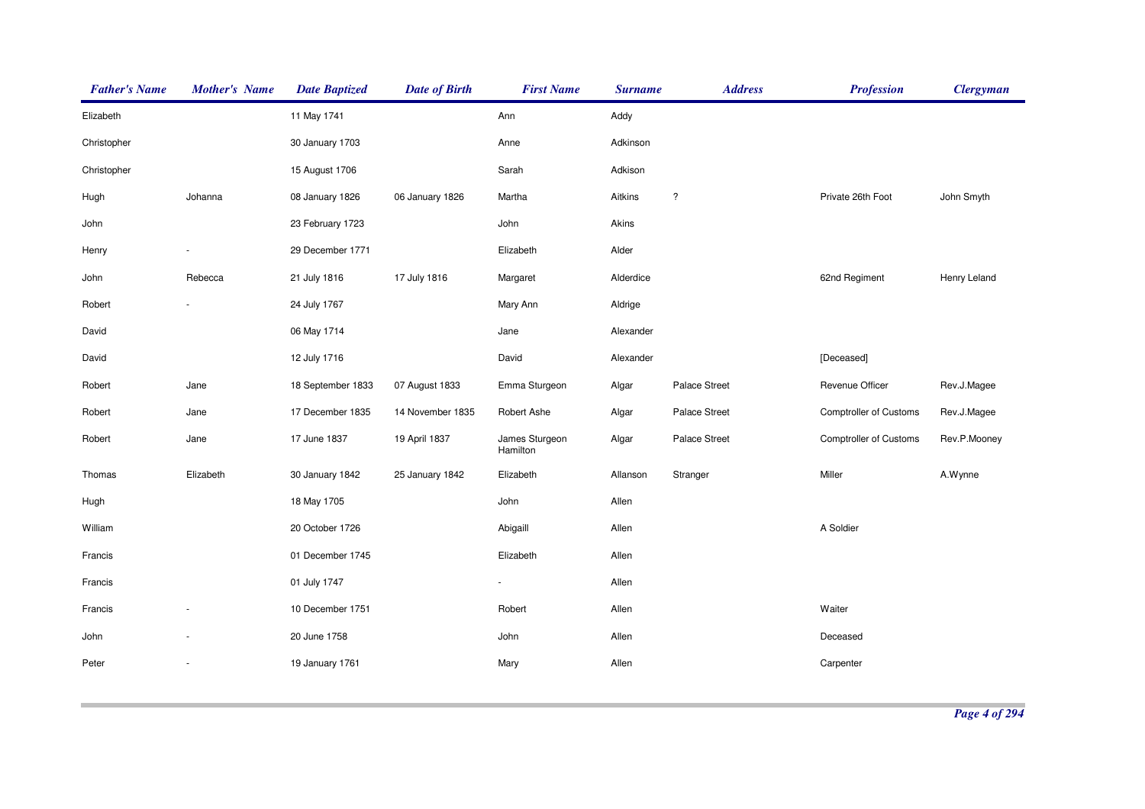| <b>Father's Name</b> | <b>Mother's Name</b> | <b>Date Baptized</b> | <b>Date of Birth</b> | <b>First Name</b>          | <b>Surname</b> | <b>Address</b> | <b>Profession</b>             | <b>Clergyman</b> |
|----------------------|----------------------|----------------------|----------------------|----------------------------|----------------|----------------|-------------------------------|------------------|
| Elizabeth            |                      | 11 May 1741          |                      | Ann                        | Addy           |                |                               |                  |
| Christopher          |                      | 30 January 1703      |                      | Anne                       | Adkinson       |                |                               |                  |
| Christopher          |                      | 15 August 1706       |                      | Sarah                      | Adkison        |                |                               |                  |
| Hugh                 | Johanna              | 08 January 1826      | 06 January 1826      | Martha                     | Aitkins        | $\ddot{?}$     | Private 26th Foot             | John Smyth       |
| John                 |                      | 23 February 1723     |                      | John                       | Akins          |                |                               |                  |
| Henry                |                      | 29 December 1771     |                      | Elizabeth                  | Alder          |                |                               |                  |
| John                 | Rebecca              | 21 July 1816         | 17 July 1816         | Margaret                   | Alderdice      |                | 62nd Regiment                 | Henry Leland     |
| Robert               |                      | 24 July 1767         |                      | Mary Ann                   | Aldrige        |                |                               |                  |
| David                |                      | 06 May 1714          |                      | Jane                       | Alexander      |                |                               |                  |
| David                |                      | 12 July 1716         |                      | David                      | Alexander      |                | [Deceased]                    |                  |
| Robert               | Jane                 | 18 September 1833    | 07 August 1833       | Emma Sturgeon              | Algar          | Palace Street  | Revenue Officer               | Rev.J.Magee      |
| Robert               | Jane                 | 17 December 1835     | 14 November 1835     | Robert Ashe                | Algar          | Palace Street  | <b>Comptroller of Customs</b> | Rev.J.Magee      |
| Robert               | Jane                 | 17 June 1837         | 19 April 1837        | James Sturgeon<br>Hamilton | Algar          | Palace Street  | <b>Comptroller of Customs</b> | Rev.P.Mooney     |
| Thomas               | Elizabeth            | 30 January 1842      | 25 January 1842      | Elizabeth                  | Allanson       | Stranger       | Miller                        | A.Wynne          |
| Hugh                 |                      | 18 May 1705          |                      | John                       | Allen          |                |                               |                  |
| William              |                      | 20 October 1726      |                      | Abigaill                   | Allen          |                | A Soldier                     |                  |
| Francis              |                      | 01 December 1745     |                      | Elizabeth                  | Allen          |                |                               |                  |
| Francis              |                      | 01 July 1747         |                      |                            | Allen          |                |                               |                  |
| Francis              |                      | 10 December 1751     |                      | Robert                     | Allen          |                | Waiter                        |                  |
| John                 |                      | 20 June 1758         |                      | John                       | Allen          |                | Deceased                      |                  |
| Peter                |                      | 19 January 1761      |                      | Mary                       | Allen          |                | Carpenter                     |                  |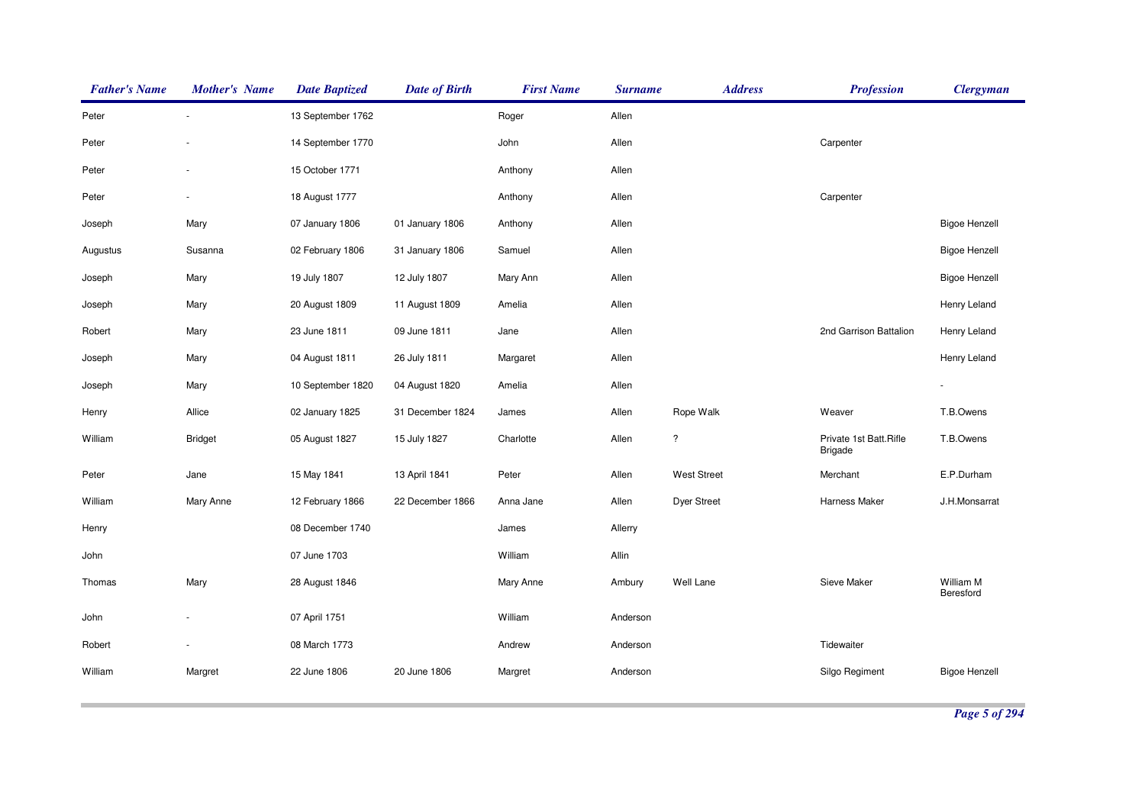| <b>Father's Name</b> | <b>Mother's Name</b> | <b>Date Baptized</b> | <b>Date of Birth</b> | <b>First Name</b> | <b>Surname</b> | <b>Address</b>     | <b>Profession</b>                        | <b>Clergyman</b>       |
|----------------------|----------------------|----------------------|----------------------|-------------------|----------------|--------------------|------------------------------------------|------------------------|
| Peter                |                      | 13 September 1762    |                      | Roger             | Allen          |                    |                                          |                        |
| Peter                |                      | 14 September 1770    |                      | John              | Allen          |                    | Carpenter                                |                        |
| Peter                |                      | 15 October 1771      |                      | Anthony           | Allen          |                    |                                          |                        |
| Peter                |                      | 18 August 1777       |                      | Anthony           | Allen          |                    | Carpenter                                |                        |
| Joseph               | Mary                 | 07 January 1806      | 01 January 1806      | Anthony           | Allen          |                    |                                          | <b>Bigoe Henzell</b>   |
| Augustus             | Susanna              | 02 February 1806     | 31 January 1806      | Samuel            | Allen          |                    |                                          | <b>Bigoe Henzell</b>   |
| Joseph               | Mary                 | 19 July 1807         | 12 July 1807         | Mary Ann          | Allen          |                    |                                          | <b>Bigoe Henzell</b>   |
| Joseph               | Mary                 | 20 August 1809       | 11 August 1809       | Amelia            | Allen          |                    |                                          | Henry Leland           |
| Robert               | Mary                 | 23 June 1811         | 09 June 1811         | Jane              | Allen          |                    | 2nd Garrison Battalion                   | Henry Leland           |
| Joseph               | Mary                 | 04 August 1811       | 26 July 1811         | Margaret          | Allen          |                    |                                          | Henry Leland           |
| Joseph               | Mary                 | 10 September 1820    | 04 August 1820       | Amelia            | Allen          |                    |                                          |                        |
| Henry                | Allice               | 02 January 1825      | 31 December 1824     | James             | Allen          | Rope Walk          | Weaver                                   | T.B.Owens              |
| William              | <b>Bridget</b>       | 05 August 1827       | 15 July 1827         | Charlotte         | Allen          | $\ddot{?}$         | Private 1st Batt.Rifle<br><b>Brigade</b> | T.B.Owens              |
| Peter                | Jane                 | 15 May 1841          | 13 April 1841        | Peter             | Allen          | <b>West Street</b> | Merchant                                 | E.P.Durham             |
| William              | Mary Anne            | 12 February 1866     | 22 December 1866     | Anna Jane         | Allen          | Dyer Street        | Harness Maker                            | J.H.Monsarrat          |
| Henry                |                      | 08 December 1740     |                      | James             | Allerry        |                    |                                          |                        |
| John                 |                      | 07 June 1703         |                      | William           | Allin          |                    |                                          |                        |
| Thomas               | Mary                 | 28 August 1846       |                      | Mary Anne         | Ambury         | Well Lane          | Sieve Maker                              | William M<br>Beresford |
| John                 |                      | 07 April 1751        |                      | William           | Anderson       |                    |                                          |                        |
| Robert               |                      | 08 March 1773        |                      | Andrew            | Anderson       |                    | Tidewaiter                               |                        |
| William              | Margret              | 22 June 1806         | 20 June 1806         | Margret           | Anderson       |                    | Silgo Regiment                           | <b>Bigoe Henzell</b>   |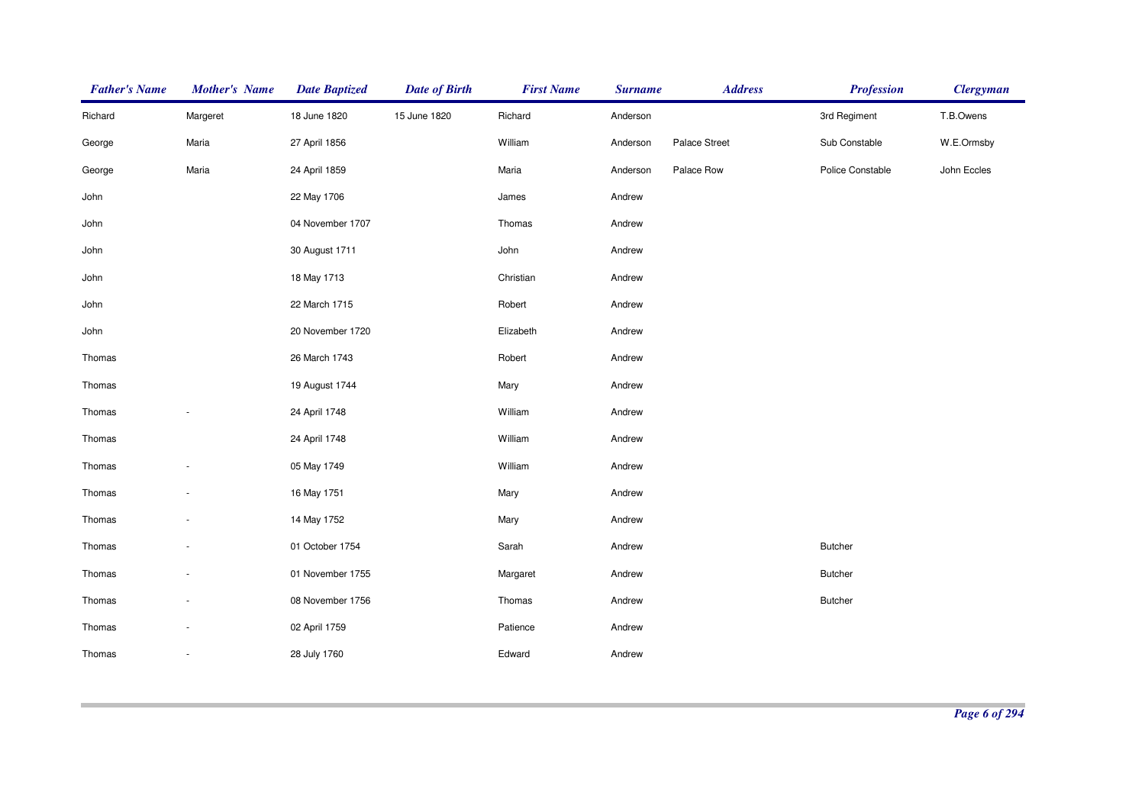| <b>Father's Name</b> | <b>Mother's Name</b>     | <b>Date Baptized</b> | <b>Date of Birth</b> | <b>First Name</b> | <b>Surname</b> | <b>Address</b> | <b>Profession</b> | <b>Clergyman</b> |
|----------------------|--------------------------|----------------------|----------------------|-------------------|----------------|----------------|-------------------|------------------|
| Richard              | Margeret                 | 18 June 1820         | 15 June 1820         | Richard           | Anderson       |                | 3rd Regiment      | T.B.Owens        |
| George               | Maria                    | 27 April 1856        |                      | William           | Anderson       | Palace Street  | Sub Constable     | W.E.Ormsby       |
| George               | Maria                    | 24 April 1859        |                      | Maria             | Anderson       | Palace Row     | Police Constable  | John Eccles      |
| John                 |                          | 22 May 1706          |                      | James             | Andrew         |                |                   |                  |
| John                 |                          | 04 November 1707     |                      | Thomas            | Andrew         |                |                   |                  |
| John                 |                          | 30 August 1711       |                      | John              | Andrew         |                |                   |                  |
| John                 |                          | 18 May 1713          |                      | Christian         | Andrew         |                |                   |                  |
| John                 |                          | 22 March 1715        |                      | Robert            | Andrew         |                |                   |                  |
| John                 |                          | 20 November 1720     |                      | Elizabeth         | Andrew         |                |                   |                  |
| Thomas               |                          | 26 March 1743        |                      | Robert            | Andrew         |                |                   |                  |
| Thomas               |                          | 19 August 1744       |                      | Mary              | Andrew         |                |                   |                  |
| Thomas               | $\overline{\phantom{a}}$ | 24 April 1748        |                      | William           | Andrew         |                |                   |                  |
| Thomas               |                          | 24 April 1748        |                      | William           | Andrew         |                |                   |                  |
| Thomas               | $\overline{\phantom{a}}$ | 05 May 1749          |                      | William           | Andrew         |                |                   |                  |
| Thomas               | $\sim$                   | 16 May 1751          |                      | Mary              | Andrew         |                |                   |                  |
| Thomas               |                          | 14 May 1752          |                      | Mary              | Andrew         |                |                   |                  |
| Thomas               | $\overline{\phantom{a}}$ | 01 October 1754      |                      | Sarah             | Andrew         |                | <b>Butcher</b>    |                  |
| Thomas               |                          | 01 November 1755     |                      | Margaret          | Andrew         |                | <b>Butcher</b>    |                  |
| Thomas               |                          | 08 November 1756     |                      | Thomas            | Andrew         |                | Butcher           |                  |
| Thomas               |                          | 02 April 1759        |                      | Patience          | Andrew         |                |                   |                  |
| Thomas               | $\overline{\phantom{a}}$ | 28 July 1760         |                      | Edward            | Andrew         |                |                   |                  |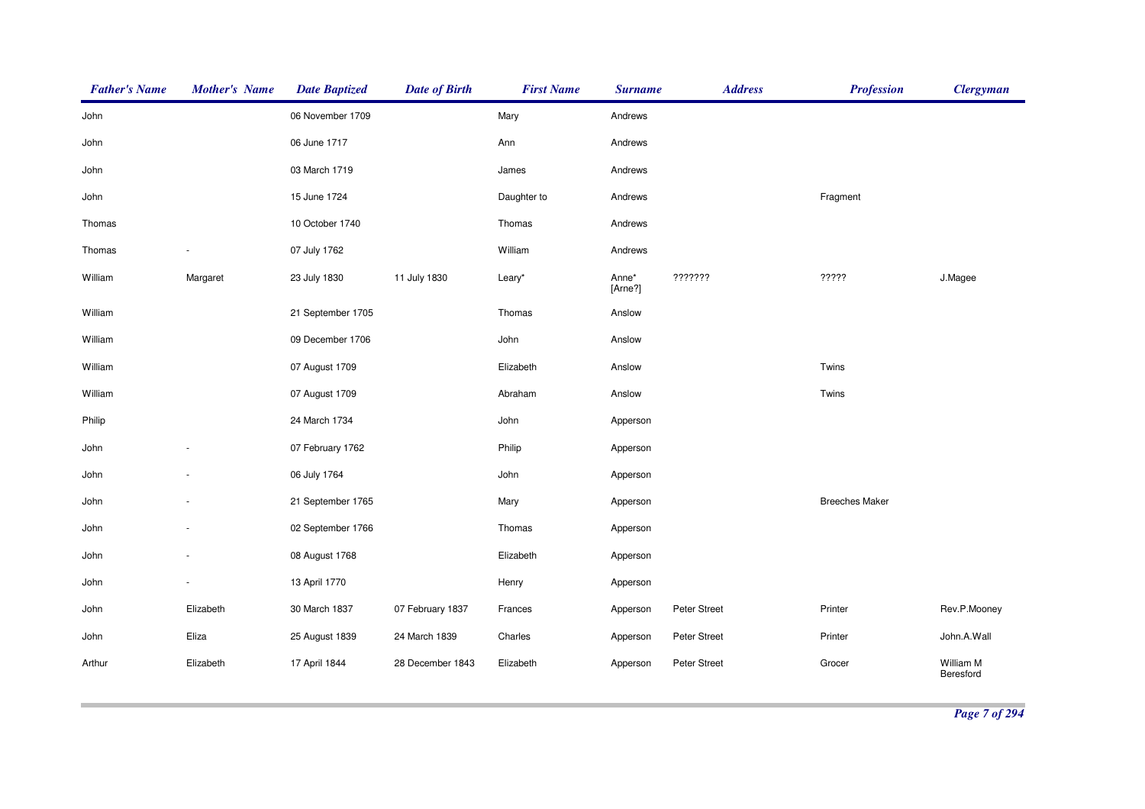| <b>Father's Name</b> | <b>Mother's Name</b> | <b>Date Baptized</b> | <b>Date of Birth</b> | <b>First Name</b> | <b>Surname</b>   | <b>Address</b> | <b>Profession</b>     | <b>Clergyman</b>       |
|----------------------|----------------------|----------------------|----------------------|-------------------|------------------|----------------|-----------------------|------------------------|
| John                 |                      | 06 November 1709     |                      | Mary              | Andrews          |                |                       |                        |
| John                 |                      | 06 June 1717         |                      | Ann               | Andrews          |                |                       |                        |
| John                 |                      | 03 March 1719        |                      | James             | Andrews          |                |                       |                        |
| John                 |                      | 15 June 1724         |                      | Daughter to       | Andrews          |                | Fragment              |                        |
| Thomas               |                      | 10 October 1740      |                      | Thomas            | Andrews          |                |                       |                        |
| Thomas               |                      | 07 July 1762         |                      | William           | Andrews          |                |                       |                        |
| William              | Margaret             | 23 July 1830         | 11 July 1830         | Leary*            | Anne*<br>[Arne?] | ???????        | ?????                 | J.Magee                |
| William              |                      | 21 September 1705    |                      | Thomas            | Anslow           |                |                       |                        |
| William              |                      | 09 December 1706     |                      | John              | Anslow           |                |                       |                        |
| William              |                      | 07 August 1709       |                      | Elizabeth         | Anslow           |                | Twins                 |                        |
| William              |                      | 07 August 1709       |                      | Abraham           | Anslow           |                | Twins                 |                        |
| Philip               |                      | 24 March 1734        |                      | John              | Apperson         |                |                       |                        |
| John                 |                      | 07 February 1762     |                      | Philip            | Apperson         |                |                       |                        |
| John                 |                      | 06 July 1764         |                      | John              | Apperson         |                |                       |                        |
| John                 |                      | 21 September 1765    |                      | Mary              | Apperson         |                | <b>Breeches Maker</b> |                        |
| John                 |                      | 02 September 1766    |                      | Thomas            | Apperson         |                |                       |                        |
| John                 |                      | 08 August 1768       |                      | Elizabeth         | Apperson         |                |                       |                        |
| John                 |                      | 13 April 1770        |                      | Henry             | Apperson         |                |                       |                        |
| John                 | Elizabeth            | 30 March 1837        | 07 February 1837     | Frances           | Apperson         | Peter Street   | Printer               | Rev.P.Mooney           |
| John                 | Eliza                | 25 August 1839       | 24 March 1839        | Charles           | Apperson         | Peter Street   | Printer               | John.A.Wall            |
| Arthur               | Elizabeth            | 17 April 1844        | 28 December 1843     | Elizabeth         | Apperson         | Peter Street   | Grocer                | William M<br>Beresford |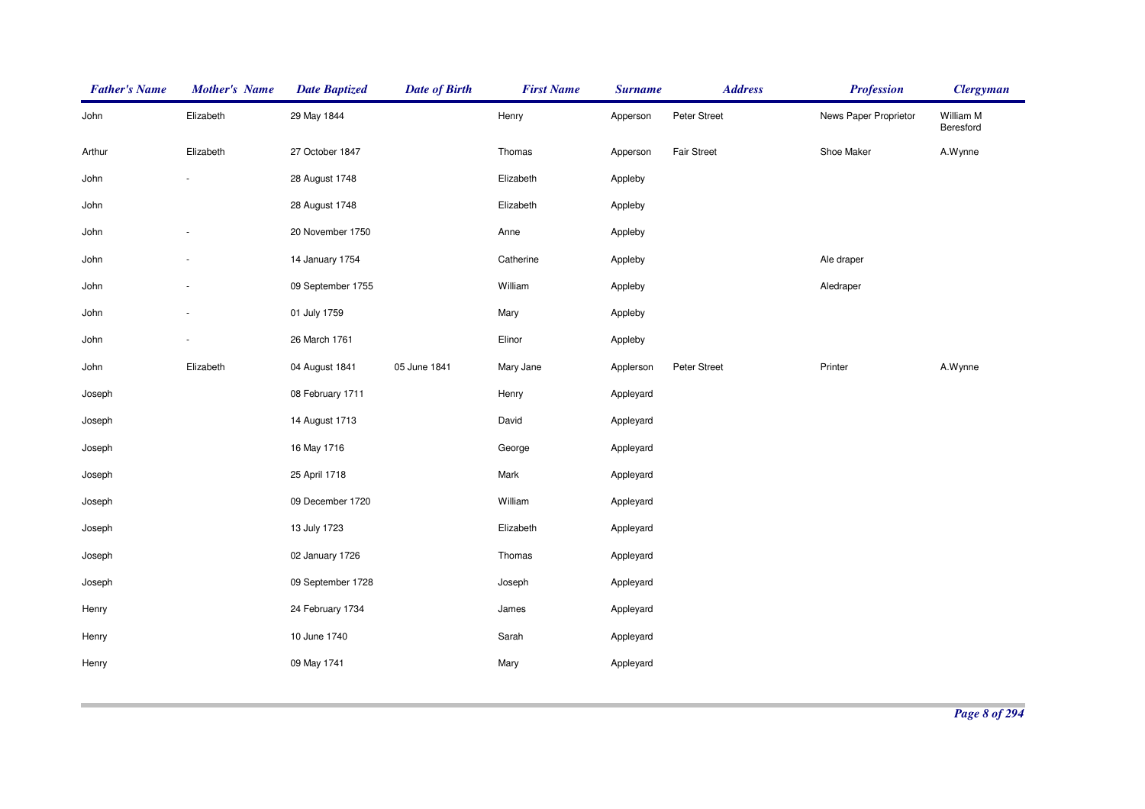| <b>Father's Name</b> | <b>Mother's Name</b> | <b>Date Baptized</b> | <b>Date of Birth</b> | <b>First Name</b> | <b>Surname</b> | <b>Address</b>     | <b>Profession</b>     | <b>Clergyman</b>       |
|----------------------|----------------------|----------------------|----------------------|-------------------|----------------|--------------------|-----------------------|------------------------|
| John                 | Elizabeth            | 29 May 1844          |                      | Henry             | Apperson       | Peter Street       | News Paper Proprietor | William M<br>Beresford |
| Arthur               | Elizabeth            | 27 October 1847      |                      | Thomas            | Apperson       | <b>Fair Street</b> | Shoe Maker            | A.Wynne                |
| John                 |                      | 28 August 1748       |                      | Elizabeth         | Appleby        |                    |                       |                        |
| John                 |                      | 28 August 1748       |                      | Elizabeth         | Appleby        |                    |                       |                        |
| John                 |                      | 20 November 1750     |                      | Anne              | Appleby        |                    |                       |                        |
| John                 |                      | 14 January 1754      |                      | Catherine         | Appleby        |                    | Ale draper            |                        |
| John                 |                      | 09 September 1755    |                      | William           | Appleby        |                    | Aledraper             |                        |
| John                 |                      | 01 July 1759         |                      | Mary              | Appleby        |                    |                       |                        |
| John                 |                      | 26 March 1761        |                      | Elinor            | Appleby        |                    |                       |                        |
| John                 | Elizabeth            | 04 August 1841       | 05 June 1841         | Mary Jane         | Applerson      | Peter Street       | Printer               | A.Wynne                |
| Joseph               |                      | 08 February 1711     |                      | Henry             | Appleyard      |                    |                       |                        |
| Joseph               |                      | 14 August 1713       |                      | David             | Appleyard      |                    |                       |                        |
| Joseph               |                      | 16 May 1716          |                      | George            | Appleyard      |                    |                       |                        |
| Joseph               |                      | 25 April 1718        |                      | Mark              | Appleyard      |                    |                       |                        |
| Joseph               |                      | 09 December 1720     |                      | William           | Appleyard      |                    |                       |                        |
| Joseph               |                      | 13 July 1723         |                      | Elizabeth         | Appleyard      |                    |                       |                        |
| Joseph               |                      | 02 January 1726      |                      | Thomas            | Appleyard      |                    |                       |                        |
| Joseph               |                      | 09 September 1728    |                      | Joseph            | Appleyard      |                    |                       |                        |
| Henry                |                      | 24 February 1734     |                      | James             | Appleyard      |                    |                       |                        |
| Henry                |                      | 10 June 1740         |                      | Sarah             | Appleyard      |                    |                       |                        |
| Henry                |                      | 09 May 1741          |                      | Mary              | Appleyard      |                    |                       |                        |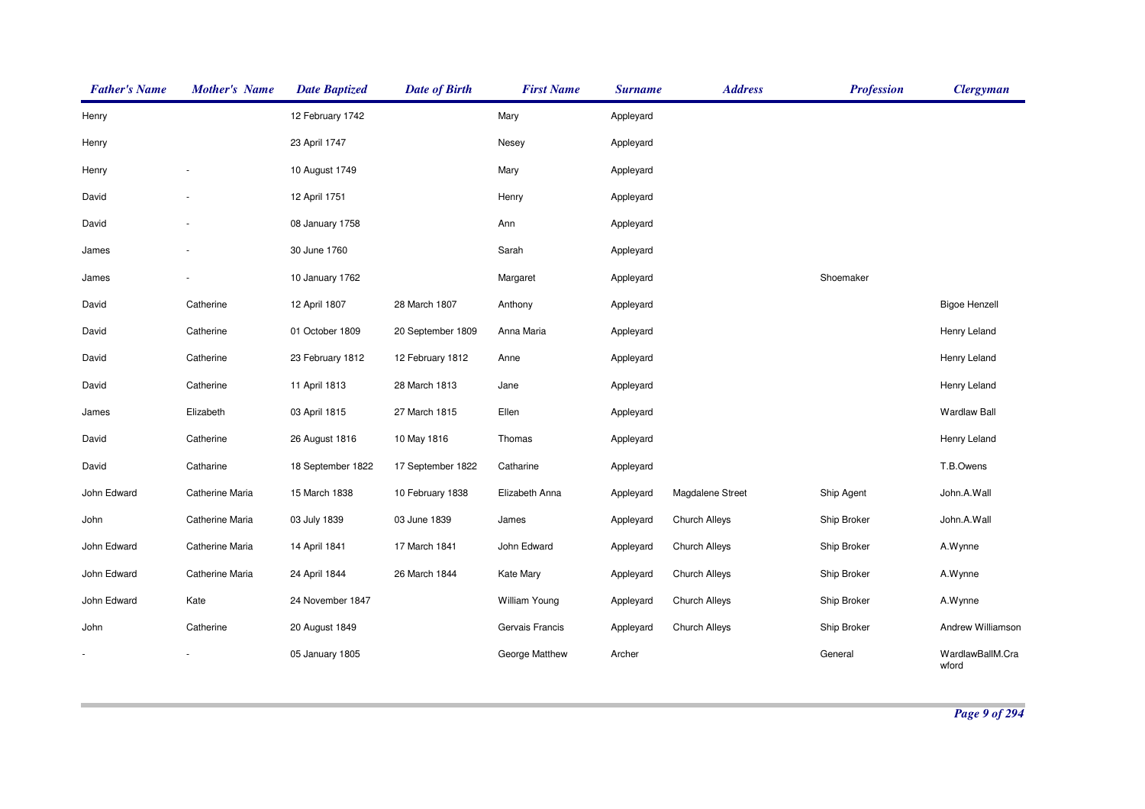| <b>Father's Name</b> | <b>Mother's Name</b> | <b>Date Baptized</b> | <b>Date of Birth</b> | <b>First Name</b>    | <b>Surname</b> | <b>Address</b>       | <b>Profession</b> | <b>Clergyman</b>          |
|----------------------|----------------------|----------------------|----------------------|----------------------|----------------|----------------------|-------------------|---------------------------|
| Henry                |                      | 12 February 1742     |                      | Mary                 | Appleyard      |                      |                   |                           |
| Henry                |                      | 23 April 1747        |                      | Nesey                | Appleyard      |                      |                   |                           |
| Henry                |                      | 10 August 1749       |                      | Mary                 | Appleyard      |                      |                   |                           |
| David                |                      | 12 April 1751        |                      | Henry                | Appleyard      |                      |                   |                           |
| David                |                      | 08 January 1758      |                      | Ann                  | Appleyard      |                      |                   |                           |
| James                |                      | 30 June 1760         |                      | Sarah                | Appleyard      |                      |                   |                           |
| James                |                      | 10 January 1762      |                      | Margaret             | Appleyard      |                      | Shoemaker         |                           |
| David                | Catherine            | 12 April 1807        | 28 March 1807        | Anthony              | Appleyard      |                      |                   | <b>Bigoe Henzell</b>      |
| David                | Catherine            | 01 October 1809      | 20 September 1809    | Anna Maria           | Appleyard      |                      |                   | Henry Leland              |
| David                | Catherine            | 23 February 1812     | 12 February 1812     | Anne                 | Appleyard      |                      |                   | Henry Leland              |
| David                | Catherine            | 11 April 1813        | 28 March 1813        | Jane                 | Appleyard      |                      |                   | Henry Leland              |
| James                | Elizabeth            | 03 April 1815        | 27 March 1815        | Ellen                | Appleyard      |                      |                   | <b>Wardlaw Ball</b>       |
| David                | Catherine            | 26 August 1816       | 10 May 1816          | Thomas               | Appleyard      |                      |                   | Henry Leland              |
| David                | Catharine            | 18 September 1822    | 17 September 1822    | Catharine            | Appleyard      |                      |                   | T.B.Owens                 |
| John Edward          | Catherine Maria      | 15 March 1838        | 10 February 1838     | Elizabeth Anna       | Appleyard      | Magdalene Street     | Ship Agent        | John.A.Wall               |
| John                 | Catherine Maria      | 03 July 1839         | 03 June 1839         | James                | Appleyard      | Church Alleys        | Ship Broker       | John.A.Wall               |
| John Edward          | Catherine Maria      | 14 April 1841        | 17 March 1841        | John Edward          | Appleyard      | Church Alleys        | Ship Broker       | A.Wynne                   |
| John Edward          | Catherine Maria      | 24 April 1844        | 26 March 1844        | <b>Kate Mary</b>     | Appleyard      | <b>Church Alleys</b> | Ship Broker       | A.Wynne                   |
| John Edward          | Kate                 | 24 November 1847     |                      | <b>William Young</b> | Appleyard      | <b>Church Alleys</b> | Ship Broker       | A.Wynne                   |
| John                 | Catherine            | 20 August 1849       |                      | Gervais Francis      | Appleyard      | Church Alleys        | Ship Broker       | Andrew Williamson         |
|                      |                      | 05 January 1805      |                      | George Matthew       | Archer         |                      | General           | WardlawBallM.Cra<br>wford |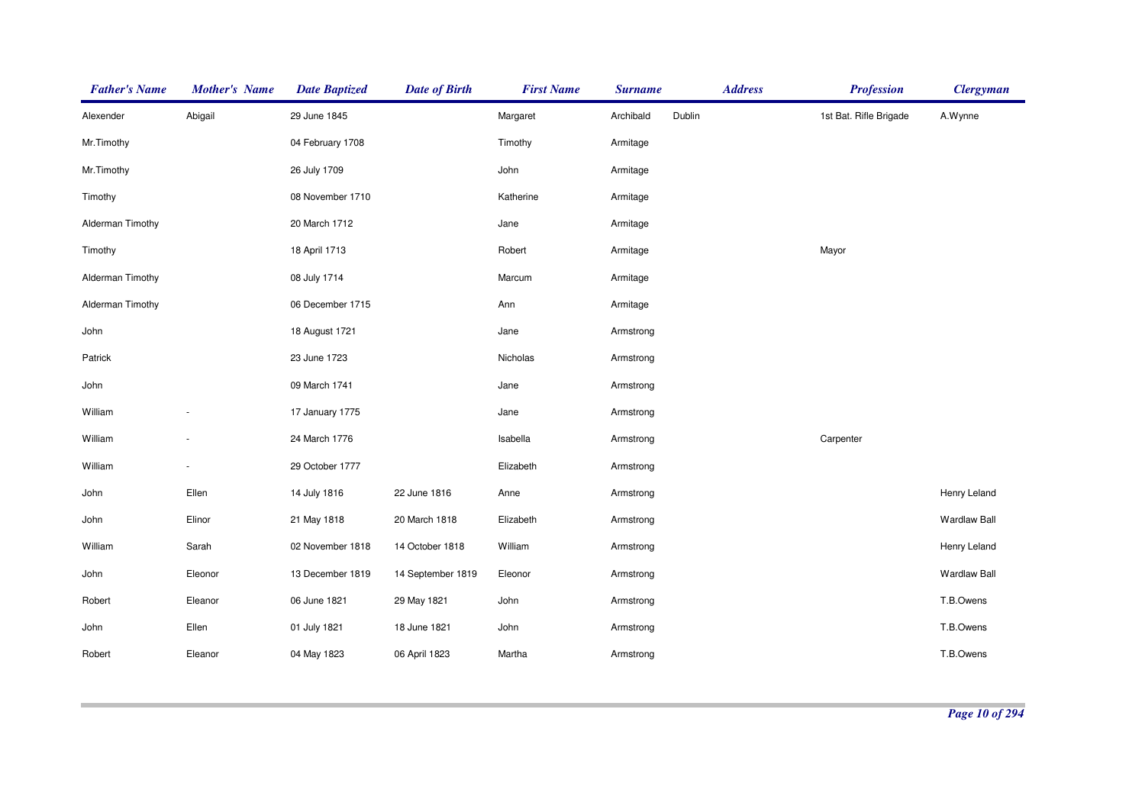| <b>Father's Name</b> | <b>Mother's Name</b> | <b>Date Baptized</b> | <b>Date of Birth</b> | <b>First Name</b> | <b>Surname</b> | <b>Address</b> | <b>Profession</b>      | <b>Clergyman</b>    |
|----------------------|----------------------|----------------------|----------------------|-------------------|----------------|----------------|------------------------|---------------------|
| Alexender            | Abigail              | 29 June 1845         |                      | Margaret          | Archibald      | Dublin         | 1st Bat. Rifle Brigade | A.Wynne             |
| Mr.Timothy           |                      | 04 February 1708     |                      | Timothy           | Armitage       |                |                        |                     |
| Mr.Timothy           |                      | 26 July 1709         |                      | John              | Armitage       |                |                        |                     |
| Timothy              |                      | 08 November 1710     |                      | Katherine         | Armitage       |                |                        |                     |
| Alderman Timothy     |                      | 20 March 1712        |                      | Jane              | Armitage       |                |                        |                     |
| Timothy              |                      | 18 April 1713        |                      | Robert            | Armitage       |                | Mayor                  |                     |
| Alderman Timothy     |                      | 08 July 1714         |                      | Marcum            | Armitage       |                |                        |                     |
| Alderman Timothy     |                      | 06 December 1715     |                      | Ann               | Armitage       |                |                        |                     |
| John                 |                      | 18 August 1721       |                      | Jane              | Armstrong      |                |                        |                     |
| Patrick              |                      | 23 June 1723         |                      | Nicholas          | Armstrong      |                |                        |                     |
| John                 |                      | 09 March 1741        |                      | Jane              | Armstrong      |                |                        |                     |
| William              |                      | 17 January 1775      |                      | Jane              | Armstrong      |                |                        |                     |
| William              |                      | 24 March 1776        |                      | Isabella          | Armstrong      |                | Carpenter              |                     |
| William              |                      | 29 October 1777      |                      | Elizabeth         | Armstrong      |                |                        |                     |
| John                 | Ellen                | 14 July 1816         | 22 June 1816         | Anne              | Armstrong      |                |                        | Henry Leland        |
| John                 | Elinor               | 21 May 1818          | 20 March 1818        | Elizabeth         | Armstrong      |                |                        | <b>Wardlaw Ball</b> |
| William              | Sarah                | 02 November 1818     | 14 October 1818      | William           | Armstrong      |                |                        | Henry Leland        |
| John                 | Eleonor              | 13 December 1819     | 14 September 1819    | Eleonor           | Armstrong      |                |                        | <b>Wardlaw Ball</b> |
| Robert               | Eleanor              | 06 June 1821         | 29 May 1821          | John              | Armstrong      |                |                        | T.B.Owens           |
| John                 | Ellen                | 01 July 1821         | 18 June 1821         | John              | Armstrong      |                |                        | T.B.Owens           |
| Robert               | Eleanor              | 04 May 1823          | 06 April 1823        | Martha            | Armstrong      |                |                        | T.B.Owens           |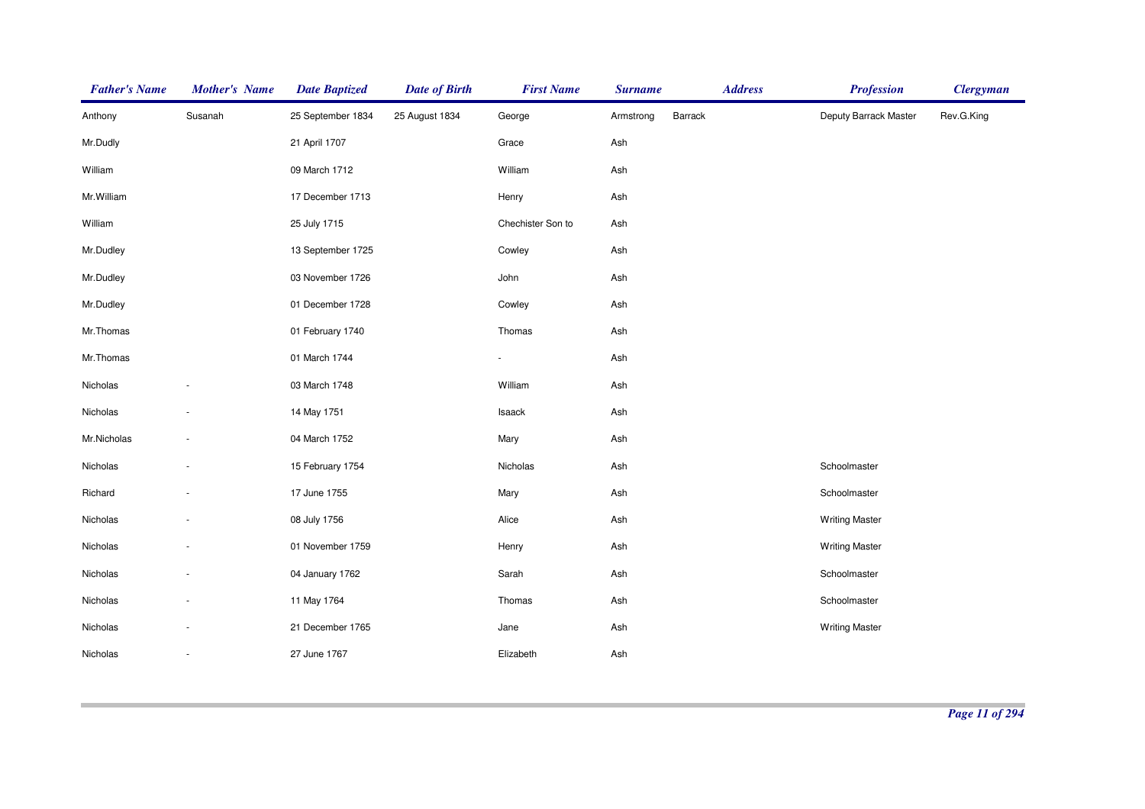| <b>Father's Name</b> | <b>Mother's Name</b> | <b>Date Baptized</b> | <b>Date of Birth</b> | <b>First Name</b>        | <b>Surname</b> |         | <b>Address</b> | <b>Profession</b>     | <b>Clergyman</b> |
|----------------------|----------------------|----------------------|----------------------|--------------------------|----------------|---------|----------------|-----------------------|------------------|
| Anthony              | Susanah              | 25 September 1834    | 25 August 1834       | George                   | Armstrong      | Barrack |                | Deputy Barrack Master | Rev.G.King       |
| Mr.Dudly             |                      | 21 April 1707        |                      | Grace                    | Ash            |         |                |                       |                  |
| William              |                      | 09 March 1712        |                      | William                  | Ash            |         |                |                       |                  |
| Mr.William           |                      | 17 December 1713     |                      | Henry                    | Ash            |         |                |                       |                  |
| William              |                      | 25 July 1715         |                      | Chechister Son to        | Ash            |         |                |                       |                  |
| Mr.Dudley            |                      | 13 September 1725    |                      | Cowley                   | Ash            |         |                |                       |                  |
| Mr.Dudley            |                      | 03 November 1726     |                      | John                     | Ash            |         |                |                       |                  |
| Mr.Dudley            |                      | 01 December 1728     |                      | Cowley                   | Ash            |         |                |                       |                  |
| Mr.Thomas            |                      | 01 February 1740     |                      | Thomas                   | Ash            |         |                |                       |                  |
| Mr.Thomas            |                      | 01 March 1744        |                      | $\overline{\phantom{a}}$ | Ash            |         |                |                       |                  |
| Nicholas             |                      | 03 March 1748        |                      | William                  | Ash            |         |                |                       |                  |
| Nicholas             |                      | 14 May 1751          |                      | Isaack                   | Ash            |         |                |                       |                  |
| Mr.Nicholas          |                      | 04 March 1752        |                      | Mary                     | Ash            |         |                |                       |                  |
| Nicholas             |                      | 15 February 1754     |                      | Nicholas                 | Ash            |         |                | Schoolmaster          |                  |
| Richard              |                      | 17 June 1755         |                      | Mary                     | Ash            |         |                | Schoolmaster          |                  |
| Nicholas             |                      | 08 July 1756         |                      | Alice                    | Ash            |         |                | <b>Writing Master</b> |                  |
| Nicholas             |                      | 01 November 1759     |                      | Henry                    | Ash            |         |                | <b>Writing Master</b> |                  |
| Nicholas             |                      | 04 January 1762      |                      | Sarah                    | Ash            |         |                | Schoolmaster          |                  |
| Nicholas             |                      | 11 May 1764          |                      | Thomas                   | Ash            |         |                | Schoolmaster          |                  |
| Nicholas             |                      | 21 December 1765     |                      | Jane                     | Ash            |         |                | <b>Writing Master</b> |                  |
| Nicholas             | $\sim$               | 27 June 1767         |                      | Elizabeth                | Ash            |         |                |                       |                  |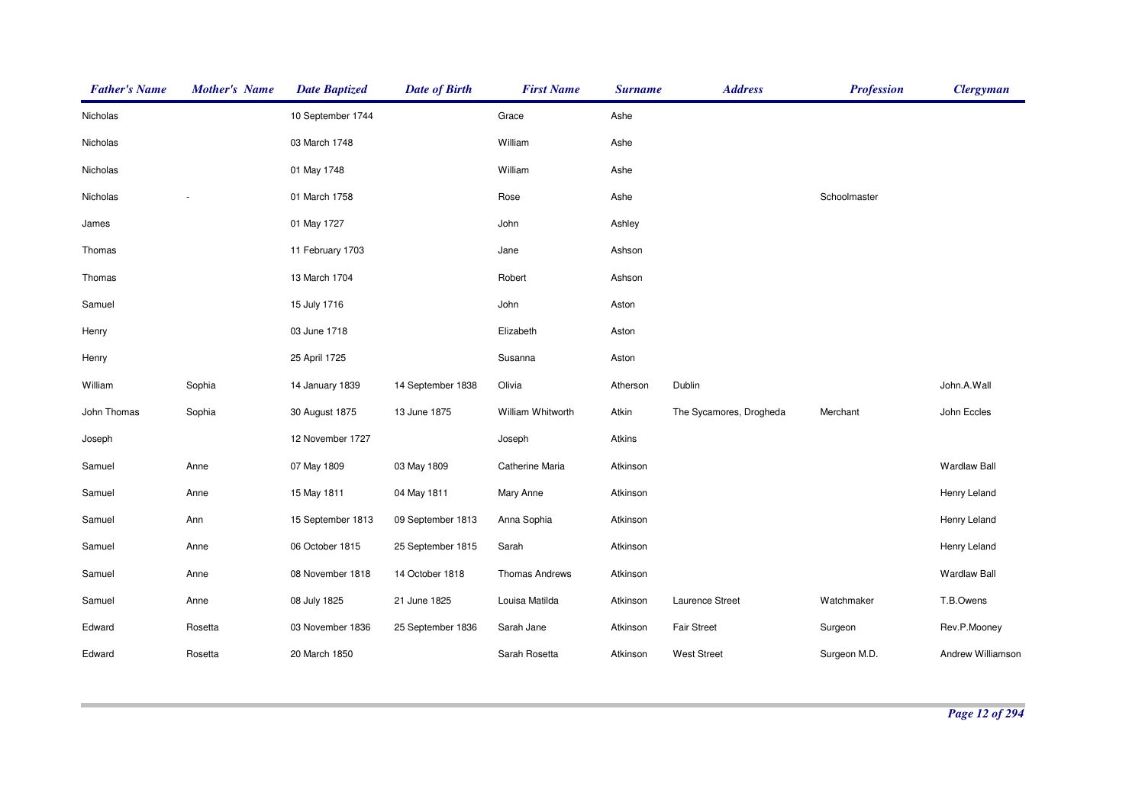| <b>Father's Name</b> | <b>Mother's Name</b> | <b>Date Baptized</b> | <b>Date of Birth</b> | <b>First Name</b> | <b>Surname</b> | <b>Address</b>          | <b>Profession</b> | <b>Clergyman</b>    |
|----------------------|----------------------|----------------------|----------------------|-------------------|----------------|-------------------------|-------------------|---------------------|
| Nicholas             |                      | 10 September 1744    |                      | Grace             | Ashe           |                         |                   |                     |
| Nicholas             |                      | 03 March 1748        |                      | William           | Ashe           |                         |                   |                     |
| Nicholas             |                      | 01 May 1748          |                      | William           | Ashe           |                         |                   |                     |
| Nicholas             |                      | 01 March 1758        |                      | Rose              | Ashe           |                         | Schoolmaster      |                     |
| James                |                      | 01 May 1727          |                      | John              | Ashley         |                         |                   |                     |
| Thomas               |                      | 11 February 1703     |                      | Jane              | Ashson         |                         |                   |                     |
| Thomas               |                      | 13 March 1704        |                      | Robert            | Ashson         |                         |                   |                     |
| Samuel               |                      | 15 July 1716         |                      | John              | Aston          |                         |                   |                     |
| Henry                |                      | 03 June 1718         |                      | Elizabeth         | Aston          |                         |                   |                     |
| Henry                |                      | 25 April 1725        |                      | Susanna           | Aston          |                         |                   |                     |
| William              | Sophia               | 14 January 1839      | 14 September 1838    | Olivia            | Atherson       | Dublin                  |                   | John.A.Wall         |
| John Thomas          | Sophia               | 30 August 1875       | 13 June 1875         | William Whitworth | Atkin          | The Sycamores, Drogheda | Merchant          | John Eccles         |
| Joseph               |                      | 12 November 1727     |                      | Joseph            | Atkins         |                         |                   |                     |
| Samuel               | Anne                 | 07 May 1809          | 03 May 1809          | Catherine Maria   | Atkinson       |                         |                   | <b>Wardlaw Ball</b> |
| Samuel               | Anne                 | 15 May 1811          | 04 May 1811          | Mary Anne         | Atkinson       |                         |                   | Henry Leland        |
| Samuel               | Ann                  | 15 September 1813    | 09 September 1813    | Anna Sophia       | Atkinson       |                         |                   | Henry Leland        |
| Samuel               | Anne                 | 06 October 1815      | 25 September 1815    | Sarah             | Atkinson       |                         |                   | Henry Leland        |
| Samuel               | Anne                 | 08 November 1818     | 14 October 1818      | Thomas Andrews    | Atkinson       |                         |                   | <b>Wardlaw Ball</b> |
| Samuel               | Anne                 | 08 July 1825         | 21 June 1825         | Louisa Matilda    | Atkinson       | Laurence Street         | Watchmaker        | T.B.Owens           |
| Edward               | Rosetta              | 03 November 1836     | 25 September 1836    | Sarah Jane        | Atkinson       | <b>Fair Street</b>      | Surgeon           | Rev.P.Mooney        |
| Edward               | Rosetta              | 20 March 1850        |                      | Sarah Rosetta     | Atkinson       | <b>West Street</b>      | Surgeon M.D.      | Andrew Williamson   |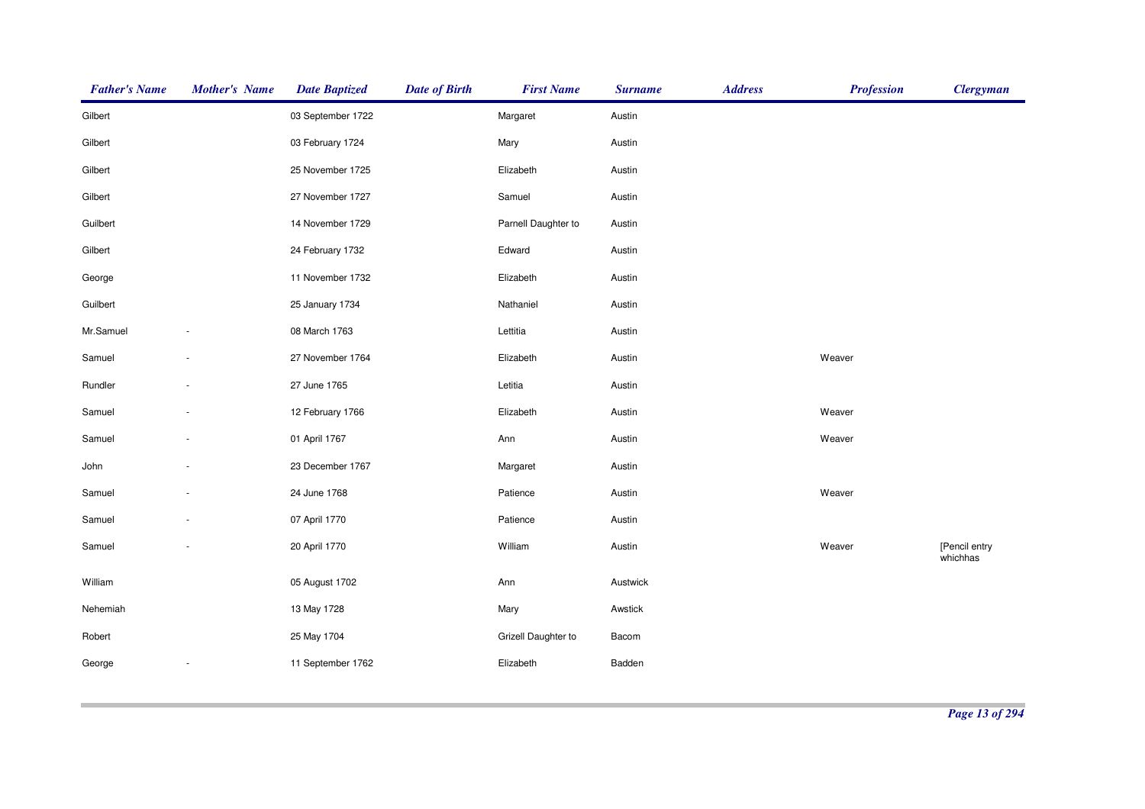| <b>Father's Name</b> | <b>Mother's Name</b> | <b>Date Baptized</b> | <b>Date of Birth</b> | <b>First Name</b>   | <b>Surname</b> | <b>Address</b> | <b>Profession</b> | <b>Clergyman</b>          |
|----------------------|----------------------|----------------------|----------------------|---------------------|----------------|----------------|-------------------|---------------------------|
| Gilbert              |                      | 03 September 1722    |                      | Margaret            | Austin         |                |                   |                           |
| Gilbert              |                      | 03 February 1724     |                      | Mary                | Austin         |                |                   |                           |
| Gilbert              |                      | 25 November 1725     |                      | Elizabeth           | Austin         |                |                   |                           |
| Gilbert              |                      | 27 November 1727     |                      | Samuel              | Austin         |                |                   |                           |
| Guilbert             |                      | 14 November 1729     |                      | Parnell Daughter to | Austin         |                |                   |                           |
| Gilbert              |                      | 24 February 1732     |                      | Edward              | Austin         |                |                   |                           |
| George               |                      | 11 November 1732     |                      | Elizabeth           | Austin         |                |                   |                           |
| Guilbert             |                      | 25 January 1734      |                      | Nathaniel           | Austin         |                |                   |                           |
| Mr.Samuel            |                      | 08 March 1763        |                      | Lettitia            | Austin         |                |                   |                           |
| Samuel               |                      | 27 November 1764     |                      | Elizabeth           | Austin         |                | Weaver            |                           |
| Rundler              |                      | 27 June 1765         |                      | Letitia             | Austin         |                |                   |                           |
| Samuel               |                      | 12 February 1766     |                      | Elizabeth           | Austin         |                | Weaver            |                           |
| Samuel               |                      | 01 April 1767        |                      | Ann                 | Austin         |                | Weaver            |                           |
| John                 |                      | 23 December 1767     |                      | Margaret            | Austin         |                |                   |                           |
| Samuel               |                      | 24 June 1768         |                      | Patience            | Austin         |                | Weaver            |                           |
| Samuel               |                      | 07 April 1770        |                      | Patience            | Austin         |                |                   |                           |
| Samuel               |                      | 20 April 1770        |                      | William             | Austin         |                | Weaver            | [Pencil entry<br>whichhas |
| William              |                      | 05 August 1702       |                      | Ann                 | Austwick       |                |                   |                           |
| Nehemiah             |                      | 13 May 1728          |                      | Mary                | Awstick        |                |                   |                           |
| Robert               |                      | 25 May 1704          |                      | Grizell Daughter to | Bacom          |                |                   |                           |
| George               |                      | 11 September 1762    |                      | Elizabeth           | Badden         |                |                   |                           |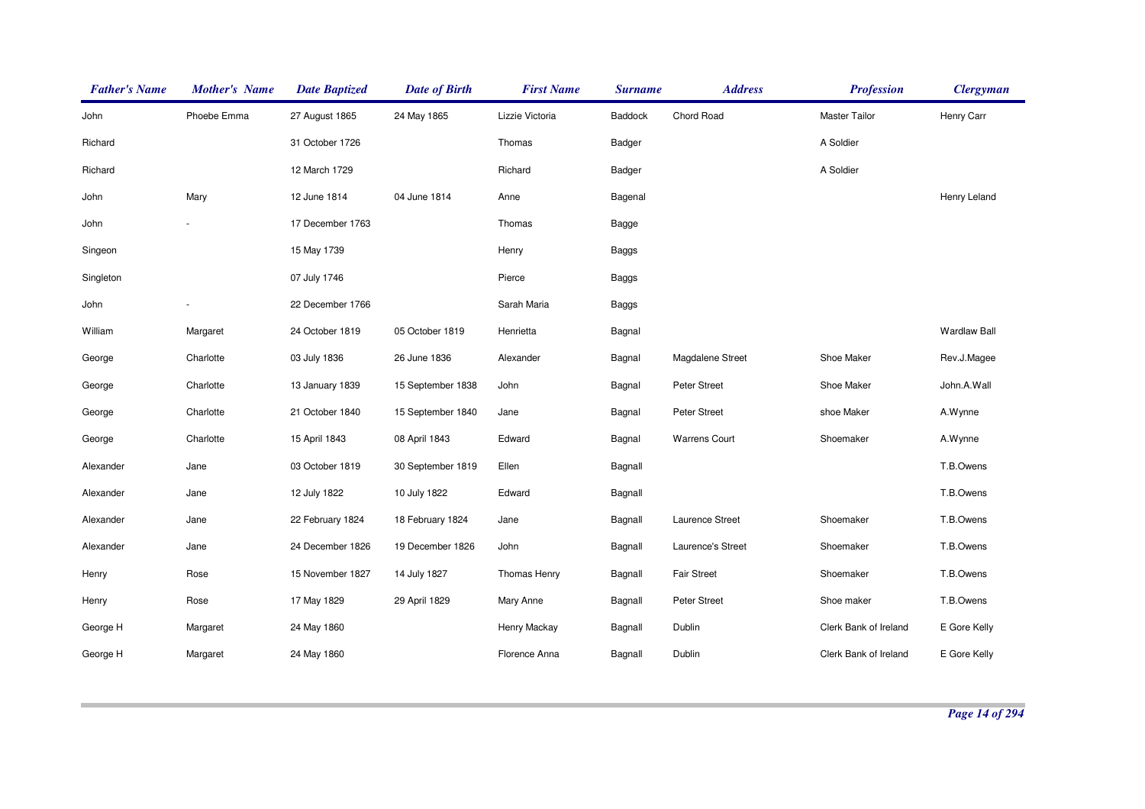| <b>Father's Name</b> | <b>Mother's Name</b> | <b>Date Baptized</b> | <b>Date of Birth</b> | <b>First Name</b>   | <b>Surname</b> | <b>Address</b>       | <b>Profession</b>     | <b>Clergyman</b>    |
|----------------------|----------------------|----------------------|----------------------|---------------------|----------------|----------------------|-----------------------|---------------------|
| John                 | Phoebe Emma          | 27 August 1865       | 24 May 1865          | Lizzie Victoria     | Baddock        | Chord Road           | <b>Master Tailor</b>  | Henry Carr          |
| Richard              |                      | 31 October 1726      |                      | Thomas              | Badger         |                      | A Soldier             |                     |
| Richard              |                      | 12 March 1729        |                      | Richard             | Badger         |                      | A Soldier             |                     |
| John                 | Mary                 | 12 June 1814         | 04 June 1814         | Anne                | Bagenal        |                      |                       | Henry Leland        |
| John                 |                      | 17 December 1763     |                      | Thomas              | Bagge          |                      |                       |                     |
| Singeon              |                      | 15 May 1739          |                      | Henry               | <b>Baggs</b>   |                      |                       |                     |
| Singleton            |                      | 07 July 1746         |                      | Pierce              | <b>Baggs</b>   |                      |                       |                     |
| John                 |                      | 22 December 1766     |                      | Sarah Maria         | <b>Baggs</b>   |                      |                       |                     |
| William              | Margaret             | 24 October 1819      | 05 October 1819      | Henrietta           | Bagnal         |                      |                       | <b>Wardlaw Ball</b> |
| George               | Charlotte            | 03 July 1836         | 26 June 1836         | Alexander           | Bagnal         | Magdalene Street     | Shoe Maker            | Rev.J.Magee         |
| George               | Charlotte            | 13 January 1839      | 15 September 1838    | John                | Bagnal         | Peter Street         | Shoe Maker            | John.A.Wall         |
| George               | Charlotte            | 21 October 1840      | 15 September 1840    | Jane                | Bagnal         | Peter Street         | shoe Maker            | A.Wynne             |
| George               | Charlotte            | 15 April 1843        | 08 April 1843        | Edward              | Bagnal         | <b>Warrens Court</b> | Shoemaker             | A.Wynne             |
| Alexander            | Jane                 | 03 October 1819      | 30 September 1819    | Ellen               | Bagnall        |                      |                       | T.B.Owens           |
| Alexander            | Jane                 | 12 July 1822         | 10 July 1822         | Edward              | Bagnall        |                      |                       | T.B.Owens           |
| Alexander            | Jane                 | 22 February 1824     | 18 February 1824     | Jane                | Bagnall        | Laurence Street      | Shoemaker             | T.B.Owens           |
| Alexander            | Jane                 | 24 December 1826     | 19 December 1826     | John                | Bagnall        | Laurence's Street    | Shoemaker             | T.B.Owens           |
| Henry                | Rose                 | 15 November 1827     | 14 July 1827         | <b>Thomas Henry</b> | Bagnall        | <b>Fair Street</b>   | Shoemaker             | T.B.Owens           |
| Henry                | Rose                 | 17 May 1829          | 29 April 1829        | Mary Anne           | Bagnall        | Peter Street         | Shoe maker            | T.B.Owens           |
| George H             | Margaret             | 24 May 1860          |                      | Henry Mackay        | Bagnall        | Dublin               | Clerk Bank of Ireland | E Gore Kelly        |
| George H             | Margaret             | 24 May 1860          |                      | Florence Anna       | Bagnall        | Dublin               | Clerk Bank of Ireland | E Gore Kelly        |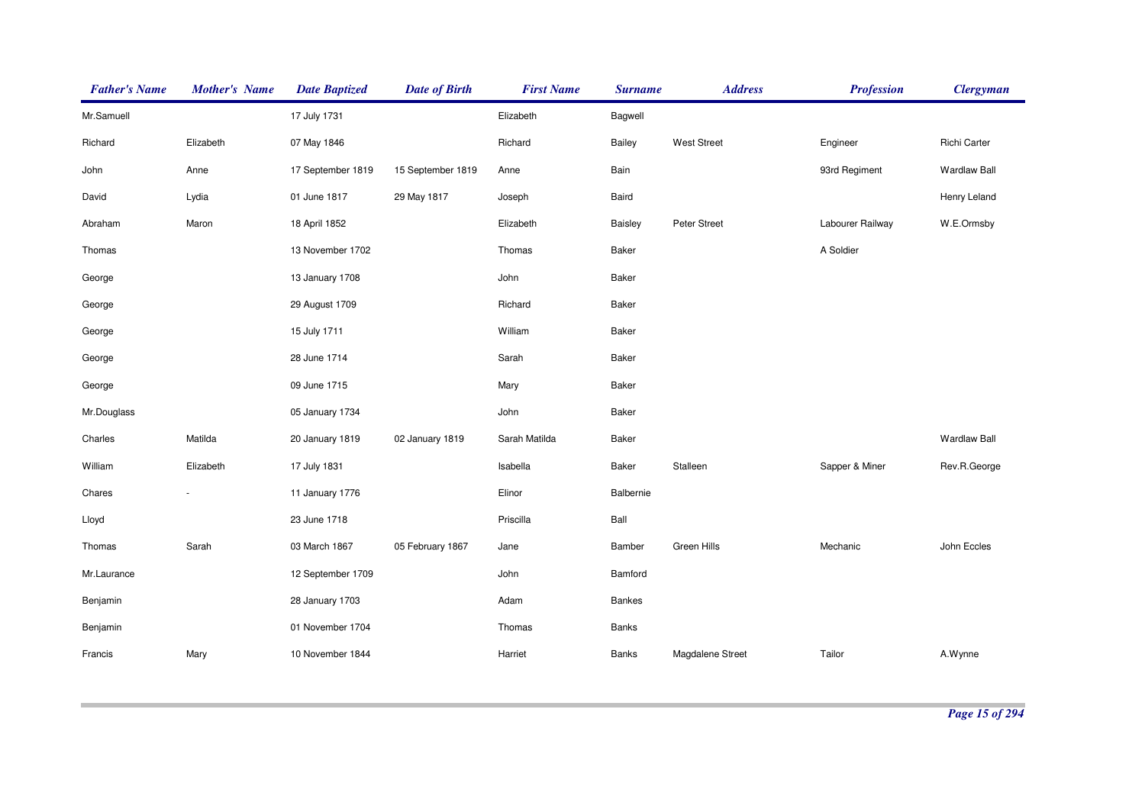| <b>Father's Name</b> | <b>Mother's Name</b> | <b>Date Baptized</b> | <b>Date of Birth</b> | <b>First Name</b> | <b>Surname</b> | <b>Address</b>   | <b>Profession</b> | <b>Clergyman</b>    |
|----------------------|----------------------|----------------------|----------------------|-------------------|----------------|------------------|-------------------|---------------------|
| Mr.Samuell           |                      | 17 July 1731         |                      | Elizabeth         | Bagwell        |                  |                   |                     |
| Richard              | Elizabeth            | 07 May 1846          |                      | Richard           | Bailey         | West Street      | Engineer          | Richi Carter        |
| John                 | Anne                 | 17 September 1819    | 15 September 1819    | Anne              | Bain           |                  | 93rd Regiment     | <b>Wardlaw Ball</b> |
| David                | Lydia                | 01 June 1817         | 29 May 1817          | Joseph            | Baird          |                  |                   | Henry Leland        |
| Abraham              | Maron                | 18 April 1852        |                      | Elizabeth         | Baisley        | Peter Street     | Labourer Railway  | W.E.Ormsby          |
| Thomas               |                      | 13 November 1702     |                      | Thomas            | <b>Baker</b>   |                  | A Soldier         |                     |
| George               |                      | 13 January 1708      |                      | John              | <b>Baker</b>   |                  |                   |                     |
| George               |                      | 29 August 1709       |                      | Richard           | Baker          |                  |                   |                     |
| George               |                      | 15 July 1711         |                      | William           | <b>Baker</b>   |                  |                   |                     |
| George               |                      | 28 June 1714         |                      | Sarah             | <b>Baker</b>   |                  |                   |                     |
| George               |                      | 09 June 1715         |                      | Mary              | Baker          |                  |                   |                     |
| Mr.Douglass          |                      | 05 January 1734      |                      | John              | Baker          |                  |                   |                     |
| Charles              | Matilda              | 20 January 1819      | 02 January 1819      | Sarah Matilda     | Baker          |                  |                   | <b>Wardlaw Ball</b> |
| William              | Elizabeth            | 17 July 1831         |                      | Isabella          | <b>Baker</b>   | Stalleen         | Sapper & Miner    | Rev.R.George        |
| Chares               |                      | 11 January 1776      |                      | Elinor            | Balbernie      |                  |                   |                     |
| Lloyd                |                      | 23 June 1718         |                      | Priscilla         | Ball           |                  |                   |                     |
| Thomas               | Sarah                | 03 March 1867        | 05 February 1867     | Jane              | Bamber         | Green Hills      | Mechanic          | John Eccles         |
| Mr.Laurance          |                      | 12 September 1709    |                      | John              | Bamford        |                  |                   |                     |
| Benjamin             |                      | 28 January 1703      |                      | Adam              | Bankes         |                  |                   |                     |
| Benjamin             |                      | 01 November 1704     |                      | Thomas            | Banks          |                  |                   |                     |
| Francis              | Mary                 | 10 November 1844     |                      | Harriet           | <b>Banks</b>   | Magdalene Street | Tailor            | A.Wynne             |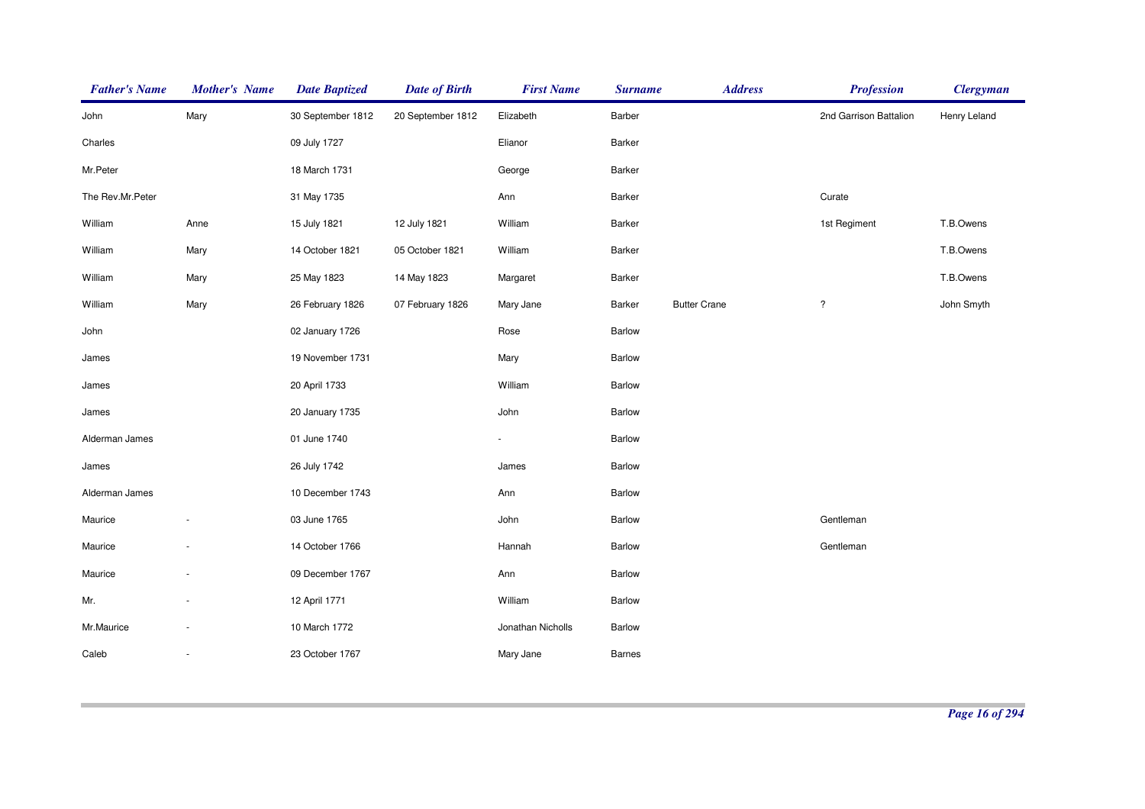| <b>Father's Name</b> | <b>Mother's Name</b> | <b>Date Baptized</b> | <b>Date of Birth</b> | <b>First Name</b> | <b>Surname</b> | <b>Address</b>      | <b>Profession</b>      | <b>Clergyman</b> |
|----------------------|----------------------|----------------------|----------------------|-------------------|----------------|---------------------|------------------------|------------------|
| John                 | Mary                 | 30 September 1812    | 20 September 1812    | Elizabeth         | Barber         |                     | 2nd Garrison Battalion | Henry Leland     |
| Charles              |                      | 09 July 1727         |                      | Elianor           | Barker         |                     |                        |                  |
| Mr.Peter             |                      | 18 March 1731        |                      | George            | Barker         |                     |                        |                  |
| The Rev.Mr.Peter     |                      | 31 May 1735          |                      | Ann               | Barker         |                     | Curate                 |                  |
| William              | Anne                 | 15 July 1821         | 12 July 1821         | William           | Barker         |                     | 1st Regiment           | T.B.Owens        |
| William              | Mary                 | 14 October 1821      | 05 October 1821      | William           | Barker         |                     |                        | T.B.Owens        |
| William              | Mary                 | 25 May 1823          | 14 May 1823          | Margaret          | Barker         |                     |                        | T.B.Owens        |
| William              | Mary                 | 26 February 1826     | 07 February 1826     | Mary Jane         | Barker         | <b>Butter Crane</b> | $\overline{\cdot}$     | John Smyth       |
| John                 |                      | 02 January 1726      |                      | Rose              | Barlow         |                     |                        |                  |
| James                |                      | 19 November 1731     |                      | Mary              | Barlow         |                     |                        |                  |
| James                |                      | 20 April 1733        |                      | William           | Barlow         |                     |                        |                  |
| James                |                      | 20 January 1735      |                      | John              | Barlow         |                     |                        |                  |
| Alderman James       |                      | 01 June 1740         |                      | ÷.                | Barlow         |                     |                        |                  |
| James                |                      | 26 July 1742         |                      | James             | Barlow         |                     |                        |                  |
| Alderman James       |                      | 10 December 1743     |                      | Ann               | Barlow         |                     |                        |                  |
| Maurice              |                      | 03 June 1765         |                      | John              | Barlow         |                     | Gentleman              |                  |
| Maurice              |                      | 14 October 1766      |                      | Hannah            | Barlow         |                     | Gentleman              |                  |
| Maurice              |                      | 09 December 1767     |                      | Ann               | Barlow         |                     |                        |                  |
| Mr.                  |                      | 12 April 1771        |                      | William           | Barlow         |                     |                        |                  |
| Mr.Maurice           |                      | 10 March 1772        |                      | Jonathan Nicholls | Barlow         |                     |                        |                  |
| Caleb                |                      | 23 October 1767      |                      | Mary Jane         | <b>Barnes</b>  |                     |                        |                  |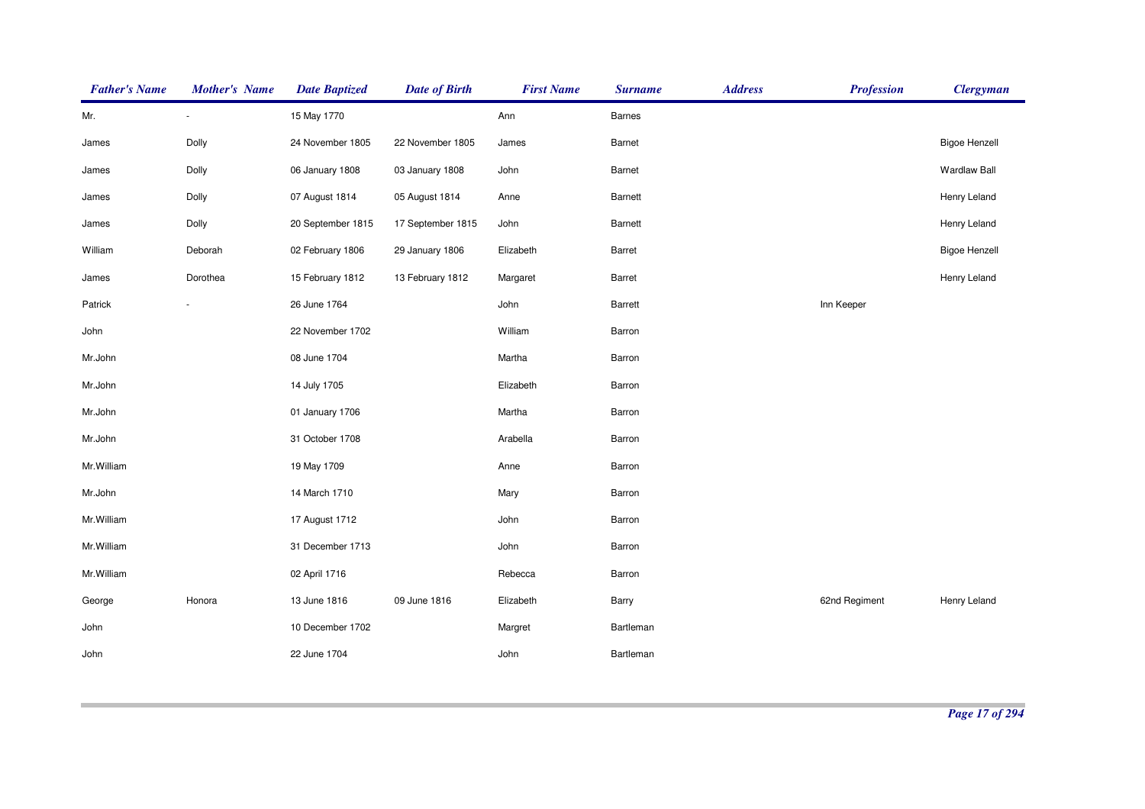| <b>Father's Name</b> | <b>Mother's Name</b> | <b>Date Baptized</b> | <b>Date of Birth</b> | <b>First Name</b> | <b>Surname</b> | <b>Address</b> | <b>Profession</b> | <b>Clergyman</b>     |
|----------------------|----------------------|----------------------|----------------------|-------------------|----------------|----------------|-------------------|----------------------|
| Mr.                  | $\sim$               | 15 May 1770          |                      | Ann               | <b>Barnes</b>  |                |                   |                      |
| James                | Dolly                | 24 November 1805     | 22 November 1805     | James             | Barnet         |                |                   | <b>Bigoe Henzell</b> |
| James                | Dolly                | 06 January 1808      | 03 January 1808      | John              | Barnet         |                |                   | <b>Wardlaw Ball</b>  |
| James                | Dolly                | 07 August 1814       | 05 August 1814       | Anne              | Barnett        |                |                   | Henry Leland         |
| James                | Dolly                | 20 September 1815    | 17 September 1815    | John              | Barnett        |                |                   | Henry Leland         |
| William              | Deborah              | 02 February 1806     | 29 January 1806      | Elizabeth         | Barret         |                |                   | <b>Bigoe Henzell</b> |
| James                | Dorothea             | 15 February 1812     | 13 February 1812     | Margaret          | Barret         |                |                   | Henry Leland         |
| Patrick              |                      | 26 June 1764         |                      | John              | Barrett        |                | Inn Keeper        |                      |
| John                 |                      | 22 November 1702     |                      | William           | Barron         |                |                   |                      |
| Mr.John              |                      | 08 June 1704         |                      | Martha            | Barron         |                |                   |                      |
| Mr.John              |                      | 14 July 1705         |                      | Elizabeth         | Barron         |                |                   |                      |
| Mr.John              |                      | 01 January 1706      |                      | Martha            | Barron         |                |                   |                      |
| Mr.John              |                      | 31 October 1708      |                      | Arabella          | Barron         |                |                   |                      |
| Mr.William           |                      | 19 May 1709          |                      | Anne              | Barron         |                |                   |                      |
| Mr.John              |                      | 14 March 1710        |                      | Mary              | Barron         |                |                   |                      |
| Mr.William           |                      | 17 August 1712       |                      | John              | Barron         |                |                   |                      |
| Mr.William           |                      | 31 December 1713     |                      | John              | Barron         |                |                   |                      |
| Mr.William           |                      | 02 April 1716        |                      | Rebecca           | Barron         |                |                   |                      |
| George               | Honora               | 13 June 1816         | 09 June 1816         | Elizabeth         | Barry          |                | 62nd Regiment     | Henry Leland         |
| John                 |                      | 10 December 1702     |                      | Margret           | Bartleman      |                |                   |                      |
| John                 |                      | 22 June 1704         |                      | John              | Bartleman      |                |                   |                      |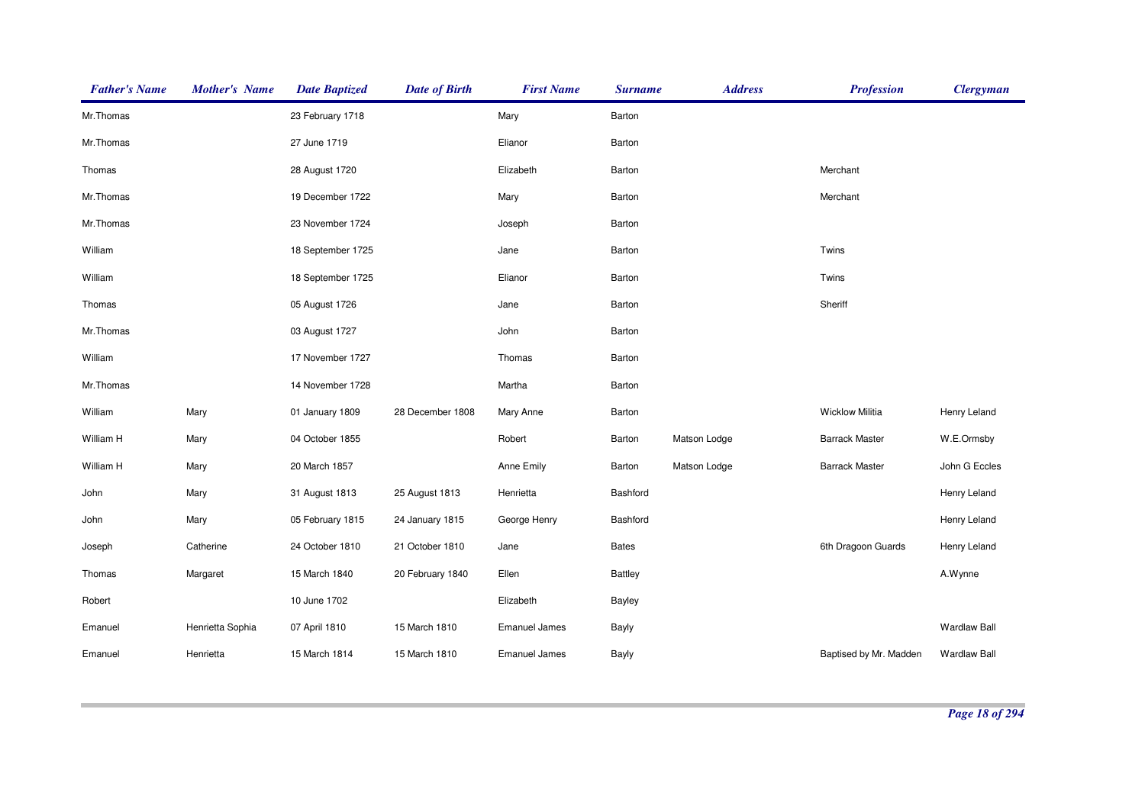| <b>Father's Name</b> | <b>Mother's Name</b> | <b>Date Baptized</b> | <b>Date of Birth</b> | <b>First Name</b>    | <b>Surname</b> | <b>Address</b> | <b>Profession</b>      | <b>Clergyman</b>    |
|----------------------|----------------------|----------------------|----------------------|----------------------|----------------|----------------|------------------------|---------------------|
| Mr.Thomas            |                      | 23 February 1718     |                      | Mary                 | Barton         |                |                        |                     |
| Mr.Thomas            |                      | 27 June 1719         |                      | Elianor              | Barton         |                |                        |                     |
| Thomas               |                      | 28 August 1720       |                      | Elizabeth            | Barton         |                | Merchant               |                     |
| Mr.Thomas            |                      | 19 December 1722     |                      | Mary                 | Barton         |                | Merchant               |                     |
| Mr.Thomas            |                      | 23 November 1724     |                      | Joseph               | Barton         |                |                        |                     |
| William              |                      | 18 September 1725    |                      | Jane                 | Barton         |                | Twins                  |                     |
| William              |                      | 18 September 1725    |                      | Elianor              | Barton         |                | Twins                  |                     |
| Thomas               |                      | 05 August 1726       |                      | Jane                 | Barton         |                | Sheriff                |                     |
| Mr.Thomas            |                      | 03 August 1727       |                      | John                 | Barton         |                |                        |                     |
| William              |                      | 17 November 1727     |                      | Thomas               | Barton         |                |                        |                     |
| Mr.Thomas            |                      | 14 November 1728     |                      | Martha               | Barton         |                |                        |                     |
| William              | Mary                 | 01 January 1809      | 28 December 1808     | Mary Anne            | Barton         |                | <b>Wicklow Militia</b> | Henry Leland        |
| William H            | Mary                 | 04 October 1855      |                      | Robert               | Barton         | Matson Lodge   | <b>Barrack Master</b>  | W.E.Ormsby          |
| William H            | Mary                 | 20 March 1857        |                      | Anne Emily           | Barton         | Matson Lodge   | <b>Barrack Master</b>  | John G Eccles       |
| John                 | Mary                 | 31 August 1813       | 25 August 1813       | Henrietta            | Bashford       |                |                        | Henry Leland        |
| John                 | Mary                 | 05 February 1815     | 24 January 1815      | George Henry         | Bashford       |                |                        | Henry Leland        |
| Joseph               | Catherine            | 24 October 1810      | 21 October 1810      | Jane                 | <b>Bates</b>   |                | 6th Dragoon Guards     | Henry Leland        |
| Thomas               | Margaret             | 15 March 1840        | 20 February 1840     | Ellen                | <b>Battley</b> |                |                        | A.Wynne             |
| Robert               |                      | 10 June 1702         |                      | Elizabeth            | Bayley         |                |                        |                     |
| Emanuel              | Henrietta Sophia     | 07 April 1810        | 15 March 1810        | <b>Emanuel James</b> | Bayly          |                |                        | <b>Wardlaw Ball</b> |
| Emanuel              | Henrietta            | 15 March 1814        | 15 March 1810        | <b>Emanuel James</b> | Bayly          |                | Baptised by Mr. Madden | <b>Wardlaw Ball</b> |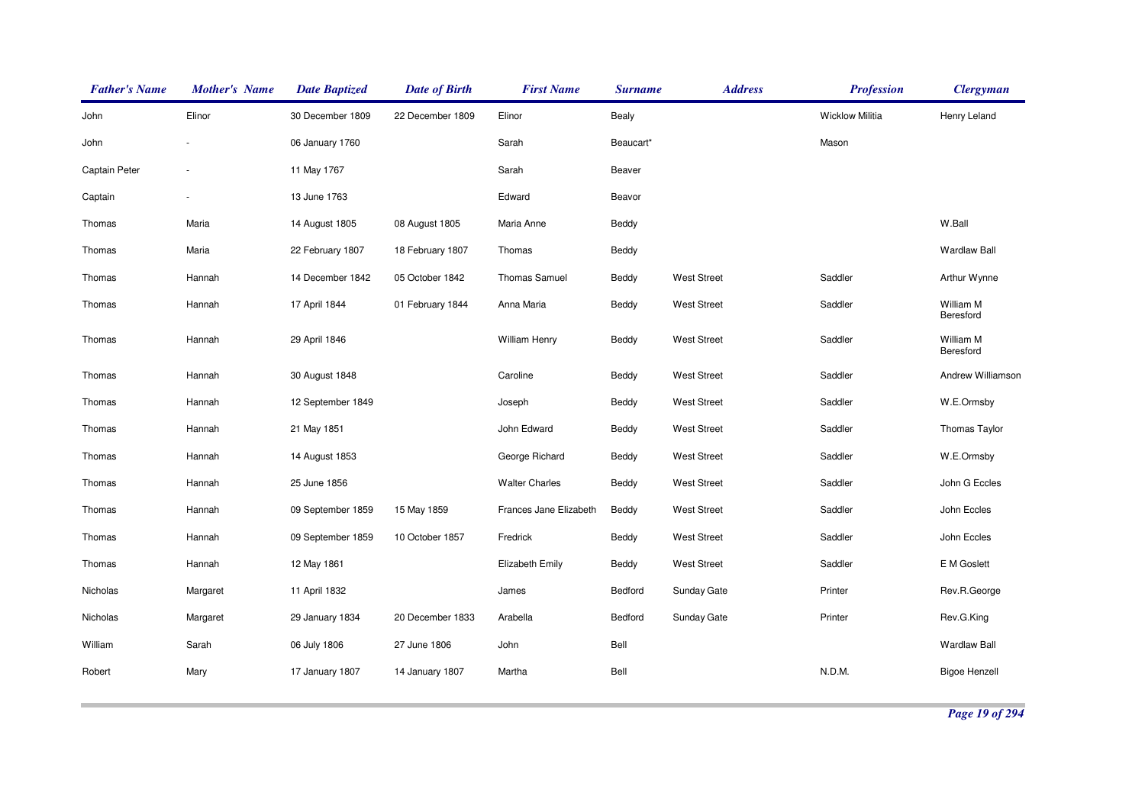| <b>Father's Name</b> | <b>Mother's Name</b>     | <b>Date Baptized</b> | <b>Date of Birth</b> | <b>First Name</b>      | <b>Surname</b> | <b>Address</b>     | <b>Profession</b>      | <b>Clergyman</b>       |
|----------------------|--------------------------|----------------------|----------------------|------------------------|----------------|--------------------|------------------------|------------------------|
| John                 | Elinor                   | 30 December 1809     | 22 December 1809     | Elinor                 | Bealy          |                    | <b>Wicklow Militia</b> | Henry Leland           |
| John                 |                          | 06 January 1760      |                      | Sarah                  | Beaucart*      |                    | Mason                  |                        |
| Captain Peter        | $\overline{\phantom{a}}$ | 11 May 1767          |                      | Sarah                  | Beaver         |                    |                        |                        |
| Captain              |                          | 13 June 1763         |                      | Edward                 | Beavor         |                    |                        |                        |
| Thomas               | Maria                    | 14 August 1805       | 08 August 1805       | Maria Anne             | Beddy          |                    |                        | W.Ball                 |
| Thomas               | Maria                    | 22 February 1807     | 18 February 1807     | Thomas                 | Beddy          |                    |                        | <b>Wardlaw Ball</b>    |
| Thomas               | Hannah                   | 14 December 1842     | 05 October 1842      | <b>Thomas Samuel</b>   | Beddy          | <b>West Street</b> | Saddler                | Arthur Wynne           |
| Thomas               | Hannah                   | 17 April 1844        | 01 February 1844     | Anna Maria             | Beddy          | <b>West Street</b> | Saddler                | William M<br>Beresford |
| Thomas               | Hannah                   | 29 April 1846        |                      | <b>William Henry</b>   | Beddy          | <b>West Street</b> | Saddler                | William M<br>Beresford |
| Thomas               | Hannah                   | 30 August 1848       |                      | Caroline               | Beddy          | <b>West Street</b> | Saddler                | Andrew Williamson      |
| Thomas               | Hannah                   | 12 September 1849    |                      | Joseph                 | Beddy          | <b>West Street</b> | Saddler                | W.E.Ormsby             |
| Thomas               | Hannah                   | 21 May 1851          |                      | John Edward            | Beddy          | <b>West Street</b> | Saddler                | Thomas Taylor          |
| Thomas               | Hannah                   | 14 August 1853       |                      | George Richard         | Beddy          | <b>West Street</b> | Saddler                | W.E.Ormsby             |
| Thomas               | Hannah                   | 25 June 1856         |                      | <b>Walter Charles</b>  | Beddy          | <b>West Street</b> | Saddler                | John G Eccles          |
| Thomas               | Hannah                   | 09 September 1859    | 15 May 1859          | Frances Jane Elizabeth | Beddy          | <b>West Street</b> | Saddler                | John Eccles            |
| Thomas               | Hannah                   | 09 September 1859    | 10 October 1857      | Fredrick               | Beddy          | <b>West Street</b> | Saddler                | John Eccles            |
| Thomas               | Hannah                   | 12 May 1861          |                      | Elizabeth Emily        | Beddy          | <b>West Street</b> | Saddler                | E M Goslett            |
| Nicholas             | Margaret                 | 11 April 1832        |                      | James                  | Bedford        | Sunday Gate        | Printer                | Rev.R.George           |
| Nicholas             | Margaret                 | 29 January 1834      | 20 December 1833     | Arabella               | Bedford        | Sunday Gate        | Printer                | Rev.G.King             |
| William              | Sarah                    | 06 July 1806         | 27 June 1806         | John                   | Bell           |                    |                        | <b>Wardlaw Ball</b>    |
| Robert               | Mary                     | 17 January 1807      | 14 January 1807      | Martha                 | Bell           |                    | N.D.M.                 | <b>Bigoe Henzell</b>   |
|                      |                          |                      |                      |                        |                |                    |                        |                        |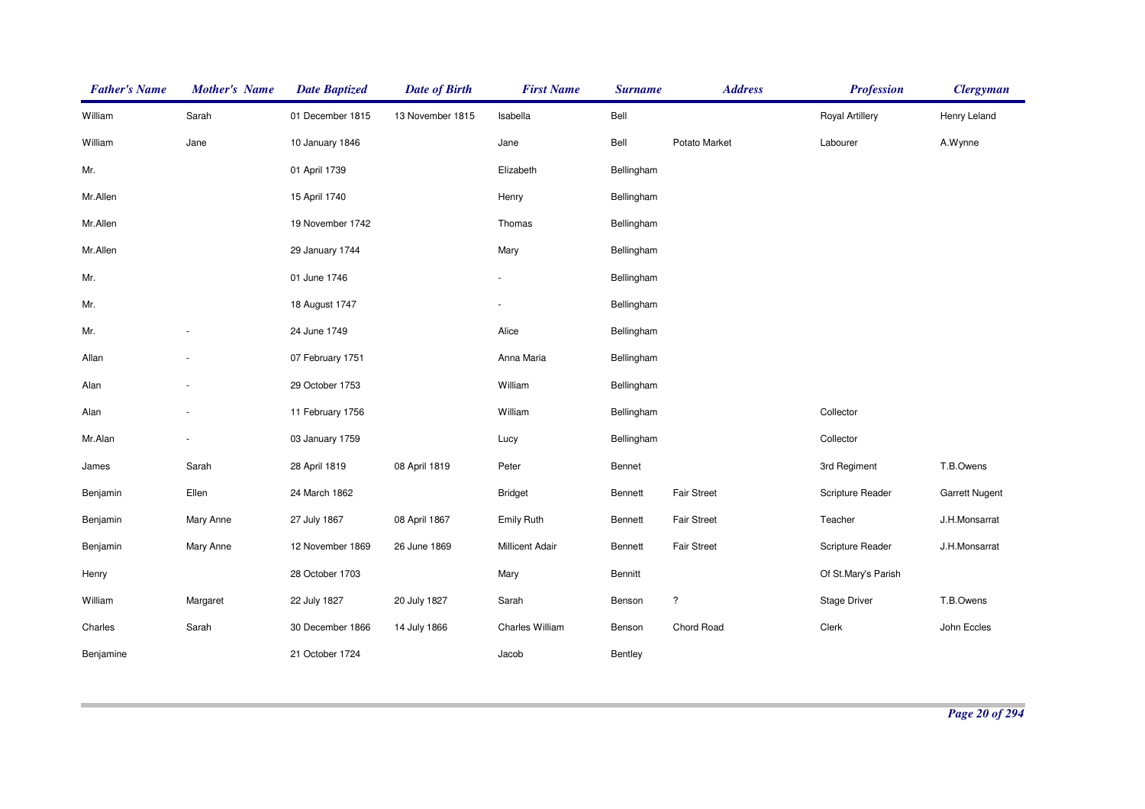| <b>Father's Name</b> | <b>Mother's Name</b> | <b>Date Baptized</b> | <b>Date of Birth</b> | <b>First Name</b>      | <b>Surname</b> | <b>Address</b>     | <b>Profession</b>      | <b>Clergyman</b>      |
|----------------------|----------------------|----------------------|----------------------|------------------------|----------------|--------------------|------------------------|-----------------------|
| William              | Sarah                | 01 December 1815     | 13 November 1815     | Isabella               | Bell           |                    | <b>Royal Artillery</b> | Henry Leland          |
| William              | Jane                 | 10 January 1846      |                      | Jane                   | Bell           | Potato Market      | Labourer               | A.Wynne               |
| Mr.                  |                      | 01 April 1739        |                      | Elizabeth              | Bellingham     |                    |                        |                       |
| Mr.Allen             |                      | 15 April 1740        |                      | Henry                  | Bellingham     |                    |                        |                       |
| Mr.Allen             |                      | 19 November 1742     |                      | Thomas                 | Bellingham     |                    |                        |                       |
| Mr.Allen             |                      | 29 January 1744      |                      | Mary                   | Bellingham     |                    |                        |                       |
| Mr.                  |                      | 01 June 1746         |                      |                        | Bellingham     |                    |                        |                       |
| Mr.                  |                      | 18 August 1747       |                      |                        | Bellingham     |                    |                        |                       |
| Mr.                  |                      | 24 June 1749         |                      | Alice                  | Bellingham     |                    |                        |                       |
| Allan                |                      | 07 February 1751     |                      | Anna Maria             | Bellingham     |                    |                        |                       |
| Alan                 |                      | 29 October 1753      |                      | William                | Bellingham     |                    |                        |                       |
| Alan                 |                      | 11 February 1756     |                      | William                | Bellingham     |                    | Collector              |                       |
| Mr.Alan              |                      | 03 January 1759      |                      | Lucy                   | Bellingham     |                    | Collector              |                       |
| James                | Sarah                | 28 April 1819        | 08 April 1819        | Peter                  | Bennet         |                    | 3rd Regiment           | T.B.Owens             |
| Benjamin             | Ellen                | 24 March 1862        |                      | <b>Bridget</b>         | Bennett        | Fair Street        | Scripture Reader       | <b>Garrett Nugent</b> |
| Benjamin             | Mary Anne            | 27 July 1867         | 08 April 1867        | <b>Emily Ruth</b>      | Bennett        | <b>Fair Street</b> | Teacher                | J.H.Monsarrat         |
| Benjamin             | Mary Anne            | 12 November 1869     | 26 June 1869         | <b>Millicent Adair</b> | Bennett        | <b>Fair Street</b> | Scripture Reader       | J.H.Monsarrat         |
| Henry                |                      | 28 October 1703      |                      | Mary                   | Bennitt        |                    | Of St.Mary's Parish    |                       |
| William              | Margaret             | 22 July 1827         | 20 July 1827         | Sarah                  | Benson         | $\ddot{?}$         | <b>Stage Driver</b>    | T.B.Owens             |
| Charles              | Sarah                | 30 December 1866     | 14 July 1866         | Charles William        | Benson         | Chord Road         | Clerk                  | John Eccles           |
| Benjamine            |                      | 21 October 1724      |                      | Jacob                  | Bentley        |                    |                        |                       |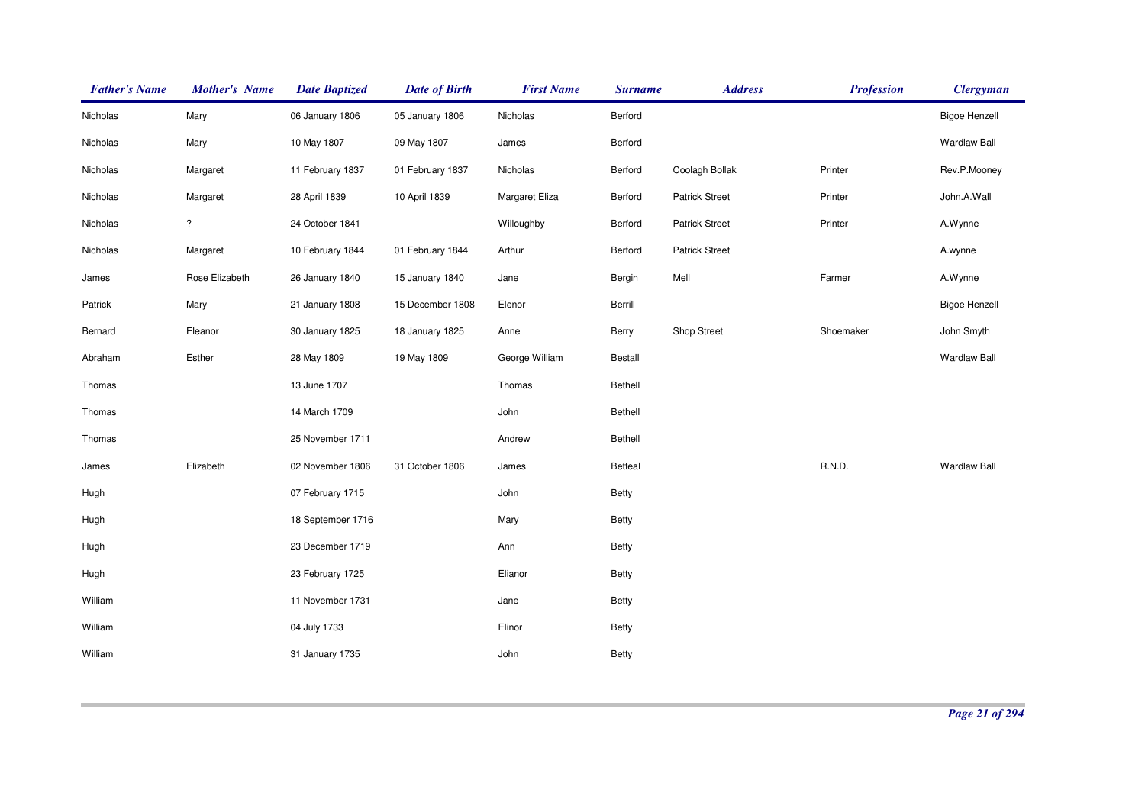| <b>Father's Name</b> | <b>Mother's Name</b> | <b>Date Baptized</b> | <b>Date of Birth</b> | <b>First Name</b> | <b>Surname</b> | <b>Address</b>        | <b>Profession</b> | <b>Clergyman</b>     |
|----------------------|----------------------|----------------------|----------------------|-------------------|----------------|-----------------------|-------------------|----------------------|
| Nicholas             | Mary                 | 06 January 1806      | 05 January 1806      | Nicholas          | Berford        |                       |                   | <b>Bigoe Henzell</b> |
| Nicholas             | Mary                 | 10 May 1807          | 09 May 1807          | James             | Berford        |                       |                   | <b>Wardlaw Ball</b>  |
| Nicholas             | Margaret             | 11 February 1837     | 01 February 1837     | Nicholas          | Berford        | Coolagh Bollak        | Printer           | Rev.P.Mooney         |
| Nicholas             | Margaret             | 28 April 1839        | 10 April 1839        | Margaret Eliza    | Berford        | <b>Patrick Street</b> | Printer           | John.A.Wall          |
| Nicholas             | ?                    | 24 October 1841      |                      | Willoughby        | Berford        | <b>Patrick Street</b> | Printer           | A.Wynne              |
| Nicholas             | Margaret             | 10 February 1844     | 01 February 1844     | Arthur            | Berford        | <b>Patrick Street</b> |                   | A.wynne              |
| James                | Rose Elizabeth       | 26 January 1840      | 15 January 1840      | Jane              | Bergin         | Mell                  | Farmer            | A.Wynne              |
| Patrick              | Mary                 | 21 January 1808      | 15 December 1808     | Elenor            | Berrill        |                       |                   | <b>Bigoe Henzell</b> |
| Bernard              | Eleanor              | 30 January 1825      | 18 January 1825      | Anne              | Berry          | Shop Street           | Shoemaker         | John Smyth           |
| Abraham              | Esther               | 28 May 1809          | 19 May 1809          | George William    | Bestall        |                       |                   | <b>Wardlaw Ball</b>  |
| Thomas               |                      | 13 June 1707         |                      | Thomas            | Bethell        |                       |                   |                      |
| Thomas               |                      | 14 March 1709        |                      | John              | Bethell        |                       |                   |                      |
| Thomas               |                      | 25 November 1711     |                      | Andrew            | Bethell        |                       |                   |                      |
| James                | Elizabeth            | 02 November 1806     | 31 October 1806      | James             | Betteal        |                       | R.N.D.            | <b>Wardlaw Ball</b>  |
| Hugh                 |                      | 07 February 1715     |                      | John              | <b>Betty</b>   |                       |                   |                      |
| Hugh                 |                      | 18 September 1716    |                      | Mary              | Betty          |                       |                   |                      |
| Hugh                 |                      | 23 December 1719     |                      | Ann               | Betty          |                       |                   |                      |
| Hugh                 |                      | 23 February 1725     |                      | Elianor           | Betty          |                       |                   |                      |
| William              |                      | 11 November 1731     |                      | Jane              | <b>Betty</b>   |                       |                   |                      |
| William              |                      | 04 July 1733         |                      | Elinor            | Betty          |                       |                   |                      |
| William              |                      | 31 January 1735      |                      | John              | <b>Betty</b>   |                       |                   |                      |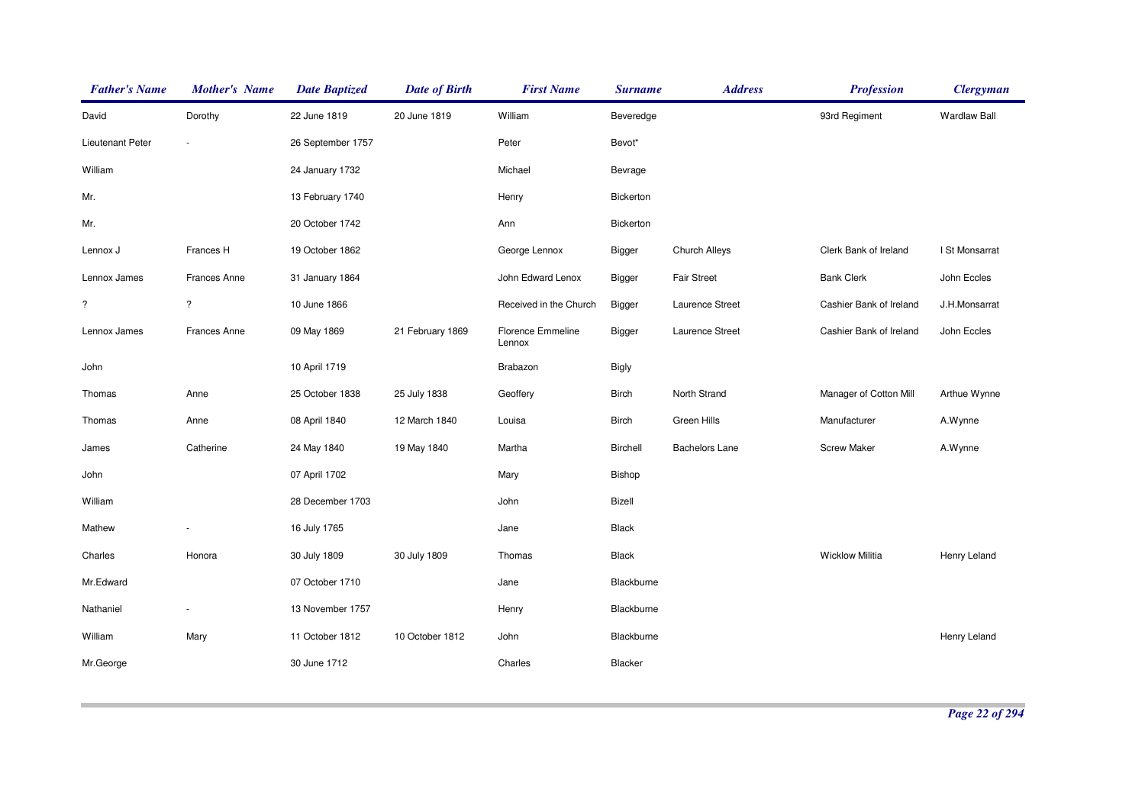| <b>Father's Name</b> | <b>Mother's Name</b>     | <b>Date Baptized</b> | <b>Date of Birth</b> | <b>First Name</b>           | <b>Surname</b> | <b>Address</b>        | <b>Profession</b>       | <b>Clergyman</b>    |
|----------------------|--------------------------|----------------------|----------------------|-----------------------------|----------------|-----------------------|-------------------------|---------------------|
| David                | Dorothy                  | 22 June 1819         | 20 June 1819         | William                     | Beveredge      |                       | 93rd Regiment           | <b>Wardlaw Ball</b> |
| Lieutenant Peter     |                          | 26 September 1757    |                      | Peter                       | Bevot*         |                       |                         |                     |
| William              |                          | 24 January 1732      |                      | Michael                     | Bevrage        |                       |                         |                     |
| Mr.                  |                          | 13 February 1740     |                      | Henry                       | Bickerton      |                       |                         |                     |
| Mr.                  |                          | 20 October 1742      |                      | Ann                         | Bickerton      |                       |                         |                     |
| Lennox J             | Frances H                | 19 October 1862      |                      | George Lennox               | Bigger         | Church Alleys         | Clerk Bank of Ireland   | I St Monsarrat      |
| Lennox James         | <b>Frances Anne</b>      | 31 January 1864      |                      | John Edward Lenox           | Bigger         | <b>Fair Street</b>    | <b>Bank Clerk</b>       | John Eccles         |
| $\overline{\cdot}$   | $\overline{\mathcal{E}}$ | 10 June 1866         |                      | Received in the Church      | Bigger         | Laurence Street       | Cashier Bank of Ireland | J.H.Monsarrat       |
| Lennox James         | Frances Anne             | 09 May 1869          | 21 February 1869     | Florence Emmeline<br>Lennox | Bigger         | Laurence Street       | Cashier Bank of Ireland | John Eccles         |
| John                 |                          | 10 April 1719        |                      | Brabazon                    | Bigly          |                       |                         |                     |
| Thomas               | Anne                     | 25 October 1838      | 25 July 1838         | Geoffery                    | <b>Birch</b>   | North Strand          | Manager of Cotton Mill  | Arthue Wynne        |
| Thomas               | Anne                     | 08 April 1840        | 12 March 1840        | Louisa                      | <b>Birch</b>   | <b>Green Hills</b>    | Manufacturer            | A.Wynne             |
| James                | Catherine                | 24 May 1840          | 19 May 1840          | Martha                      | Birchell       | <b>Bachelors Lane</b> | <b>Screw Maker</b>      | A.Wynne             |
| John                 |                          | 07 April 1702        |                      | Mary                        | Bishop         |                       |                         |                     |
| William              |                          | 28 December 1703     |                      | John                        | Bizell         |                       |                         |                     |
| Mathew               | ÷                        | 16 July 1765         |                      | Jane                        | Black          |                       |                         |                     |
| Charles              | Honora                   | 30 July 1809         | 30 July 1809         | Thomas                      | <b>Black</b>   |                       | <b>Wicklow Militia</b>  | Henry Leland        |
| Mr.Edward            |                          | 07 October 1710      |                      | Jane                        | Blackburne     |                       |                         |                     |
| Nathaniel            | $\blacksquare$           | 13 November 1757     |                      | Henry                       | Blackburne     |                       |                         |                     |
| William              | Mary                     | 11 October 1812      | 10 October 1812      | John                        | Blackburne     |                       |                         | Henry Leland        |
| Mr.George            |                          | 30 June 1712         |                      | Charles                     | Blacker        |                       |                         |                     |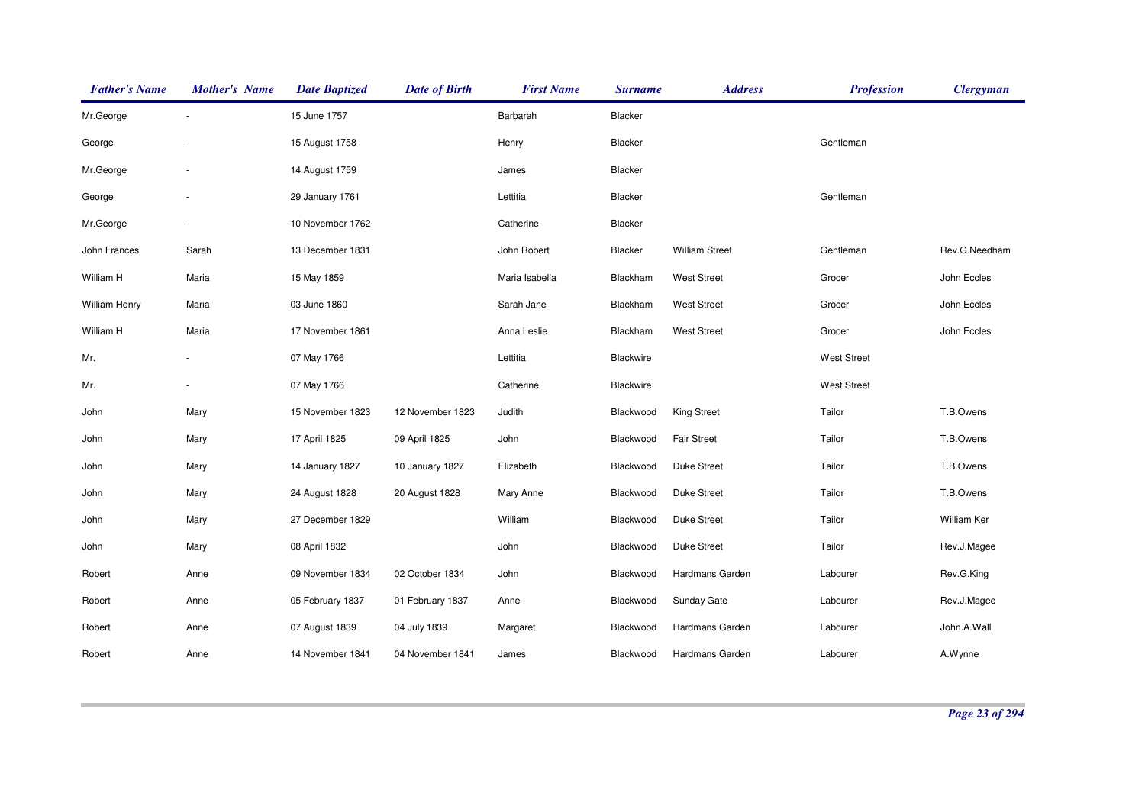| <b>Father's Name</b> | <b>Mother's Name</b> | <b>Date Baptized</b> | <b>Date of Birth</b> | <b>First Name</b> | <b>Surname</b> | <b>Address</b>        | <b>Profession</b>  | <b>Clergyman</b> |
|----------------------|----------------------|----------------------|----------------------|-------------------|----------------|-----------------------|--------------------|------------------|
| Mr.George            |                      | 15 June 1757         |                      | Barbarah          | Blacker        |                       |                    |                  |
| George               |                      | 15 August 1758       |                      | Henry             | Blacker        |                       | Gentleman          |                  |
| Mr.George            | ÷,                   | 14 August 1759       |                      | James             | Blacker        |                       |                    |                  |
| George               | ÷,                   | 29 January 1761      |                      | Lettitia          | Blacker        |                       | Gentleman          |                  |
| Mr.George            | $\blacksquare$       | 10 November 1762     |                      | Catherine         | Blacker        |                       |                    |                  |
| John Frances         | Sarah                | 13 December 1831     |                      | John Robert       | Blacker        | <b>William Street</b> | Gentleman          | Rev.G.Needham    |
| William H            | Maria                | 15 May 1859          |                      | Maria Isabella    | Blackham       | <b>West Street</b>    | Grocer             | John Eccles      |
| William Henry        | Maria                | 03 June 1860         |                      | Sarah Jane        | Blackham       | <b>West Street</b>    | Grocer             | John Eccles      |
| William H            | Maria                | 17 November 1861     |                      | Anna Leslie       | Blackham       | <b>West Street</b>    | Grocer             | John Eccles      |
| Mr.                  |                      | 07 May 1766          |                      | Lettitia          | Blackwire      |                       | <b>West Street</b> |                  |
| Mr.                  |                      | 07 May 1766          |                      | Catherine         | Blackwire      |                       | <b>West Street</b> |                  |
| John                 | Mary                 | 15 November 1823     | 12 November 1823     | Judith            | Blackwood      | <b>King Street</b>    | Tailor             | T.B.Owens        |
| John                 | Mary                 | 17 April 1825        | 09 April 1825        | John              | Blackwood      | <b>Fair Street</b>    | Tailor             | T.B.Owens        |
| John                 | Mary                 | 14 January 1827      | 10 January 1827      | Elizabeth         | Blackwood      | Duke Street           | Tailor             | T.B.Owens        |
| John                 | Mary                 | 24 August 1828       | 20 August 1828       | Mary Anne         | Blackwood      | <b>Duke Street</b>    | Tailor             | T.B.Owens        |
| John                 | Mary                 | 27 December 1829     |                      | William           | Blackwood      | <b>Duke Street</b>    | Tailor             | William Ker      |
| John                 | Mary                 | 08 April 1832        |                      | John              | Blackwood      | <b>Duke Street</b>    | Tailor             | Rev.J.Magee      |
| Robert               | Anne                 | 09 November 1834     | 02 October 1834      | John              | Blackwood      | Hardmans Garden       | Labourer           | Rev.G.King       |
| Robert               | Anne                 | 05 February 1837     | 01 February 1837     | Anne              | Blackwood      | <b>Sunday Gate</b>    | Labourer           | Rev.J.Magee      |
| Robert               | Anne                 | 07 August 1839       | 04 July 1839         | Margaret          | Blackwood      | Hardmans Garden       | Labourer           | John.A.Wall      |
| Robert               | Anne                 | 14 November 1841     | 04 November 1841     | James             | Blackwood      | Hardmans Garden       | Labourer           | A.Wynne          |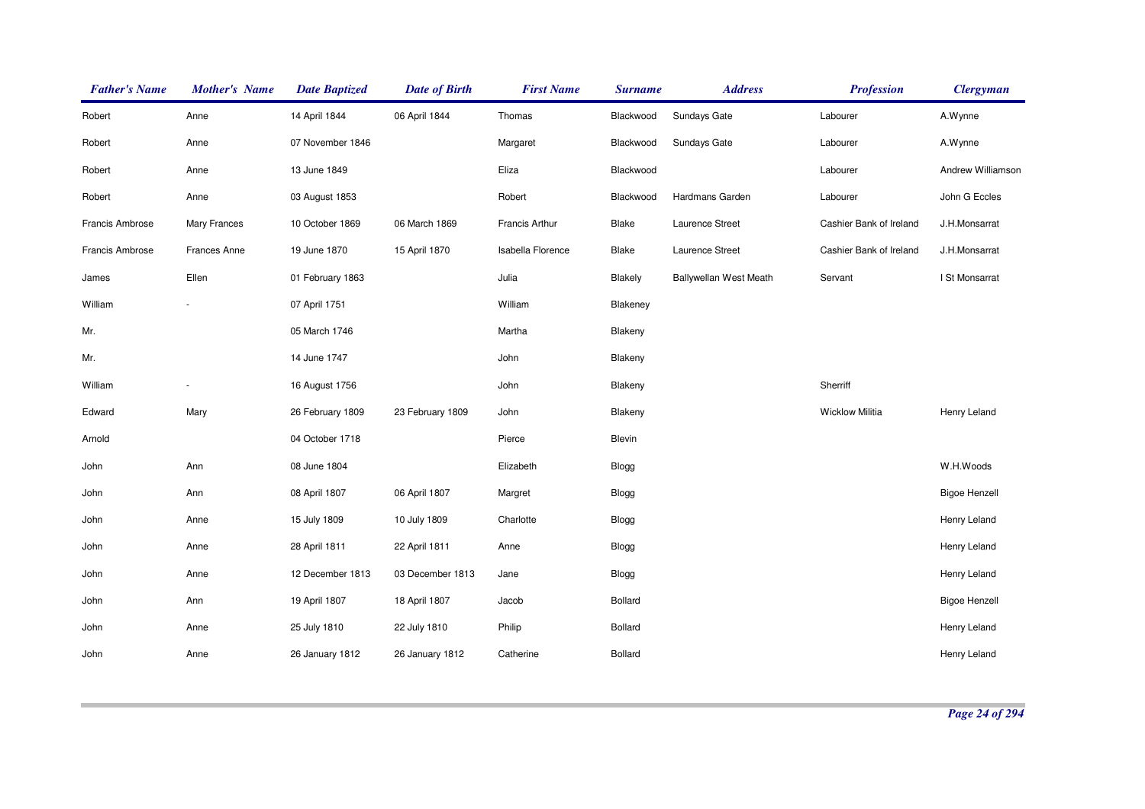| <b>Father's Name</b> | <b>Mother's Name</b> | <b>Date Baptized</b> | <b>Date of Birth</b> | <b>First Name</b> | <b>Surname</b> | <b>Address</b>                | <b>Profession</b>       | <b>Clergyman</b>     |
|----------------------|----------------------|----------------------|----------------------|-------------------|----------------|-------------------------------|-------------------------|----------------------|
| Robert               | Anne                 | 14 April 1844        | 06 April 1844        | Thomas            | Blackwood      | Sundays Gate                  | Labourer                | A.Wynne              |
| Robert               | Anne                 | 07 November 1846     |                      | Margaret          | Blackwood      | Sundays Gate                  | Labourer                | A.Wynne              |
| Robert               | Anne                 | 13 June 1849         |                      | Eliza             | Blackwood      |                               | Labourer                | Andrew Williamson    |
| Robert               | Anne                 | 03 August 1853       |                      | Robert            | Blackwood      | Hardmans Garden               | Labourer                | John G Eccles        |
| Francis Ambrose      | <b>Mary Frances</b>  | 10 October 1869      | 06 March 1869        | Francis Arthur    | Blake          | Laurence Street               | Cashier Bank of Ireland | J.H.Monsarrat        |
| Francis Ambrose      | Frances Anne         | 19 June 1870         | 15 April 1870        | Isabella Florence | Blake          | Laurence Street               | Cashier Bank of Ireland | J.H.Monsarrat        |
| James                | Ellen                | 01 February 1863     |                      | Julia             | Blakely        | <b>Ballywellan West Meath</b> | Servant                 | I St Monsarrat       |
| William              |                      | 07 April 1751        |                      | William           | Blakeney       |                               |                         |                      |
| Mr.                  |                      | 05 March 1746        |                      | Martha            | Blakeny        |                               |                         |                      |
| Mr.                  |                      | 14 June 1747         |                      | John              | Blakeny        |                               |                         |                      |
| William              |                      | 16 August 1756       |                      | John              | Blakeny        |                               | Sherriff                |                      |
| Edward               | Mary                 | 26 February 1809     | 23 February 1809     | John              | Blakeny        |                               | <b>Wicklow Militia</b>  | Henry Leland         |
| Arnold               |                      | 04 October 1718      |                      | Pierce            | Blevin         |                               |                         |                      |
| John                 | Ann                  | 08 June 1804         |                      | Elizabeth         | Blogg          |                               |                         | W.H.Woods            |
| John                 | Ann                  | 08 April 1807        | 06 April 1807        | Margret           | Blogg          |                               |                         | <b>Bigoe Henzell</b> |
| John                 | Anne                 | 15 July 1809         | 10 July 1809         | Charlotte         | Blogg          |                               |                         | Henry Leland         |
| John                 | Anne                 | 28 April 1811        | 22 April 1811        | Anne              | Blogg          |                               |                         | Henry Leland         |
| John                 | Anne                 | 12 December 1813     | 03 December 1813     | Jane              | Blogg          |                               |                         | Henry Leland         |
| John                 | Ann                  | 19 April 1807        | 18 April 1807        | Jacob             | <b>Bollard</b> |                               |                         | <b>Bigoe Henzell</b> |
| John                 | Anne                 | 25 July 1810         | 22 July 1810         | Philip            | <b>Bollard</b> |                               |                         | Henry Leland         |
| John                 | Anne                 | 26 January 1812      | 26 January 1812      | Catherine         | <b>Bollard</b> |                               |                         | Henry Leland         |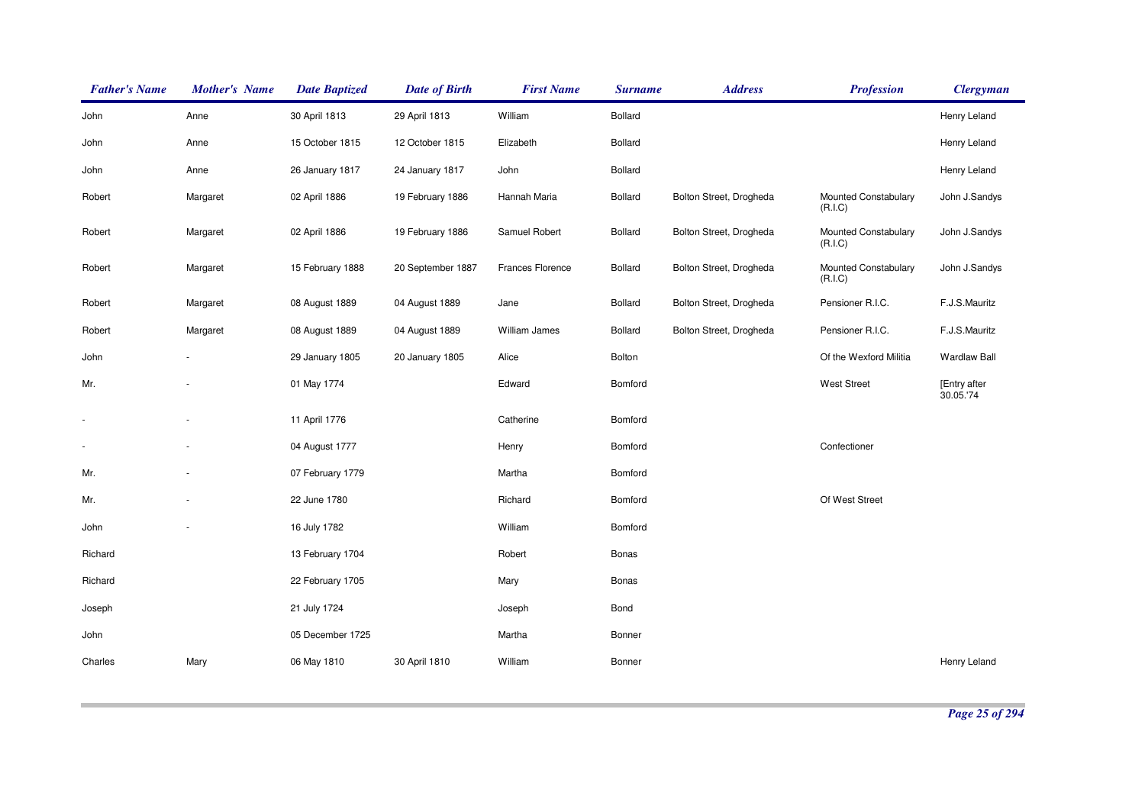| <b>Father's Name</b>     | <b>Mother's Name</b> | <b>Date Baptized</b> | <b>Date of Birth</b> | <b>First Name</b> | <b>Surname</b> | <b>Address</b>          | <b>Profession</b>               | <b>Clergyman</b>         |
|--------------------------|----------------------|----------------------|----------------------|-------------------|----------------|-------------------------|---------------------------------|--------------------------|
| John                     | Anne                 | 30 April 1813        | 29 April 1813        | William           | Bollard        |                         |                                 | Henry Leland             |
| John                     | Anne                 | 15 October 1815      | 12 October 1815      | Elizabeth         | <b>Bollard</b> |                         |                                 | Henry Leland             |
| John                     | Anne                 | 26 January 1817      | 24 January 1817      | John              | Bollard        |                         |                                 | Henry Leland             |
| Robert                   | Margaret             | 02 April 1886        | 19 February 1886     | Hannah Maria      | <b>Bollard</b> | Bolton Street, Drogheda | Mounted Constabulary<br>(R.I.C) | John J.Sandys            |
| Robert                   | Margaret             | 02 April 1886        | 19 February 1886     | Samuel Robert     | <b>Bollard</b> | Bolton Street, Drogheda | Mounted Constabulary<br>(R.I.C) | John J.Sandys            |
| Robert                   | Margaret             | 15 February 1888     | 20 September 1887    | Frances Florence  | Bollard        | Bolton Street, Drogheda | Mounted Constabulary<br>(R.I.C) | John J.Sandys            |
| Robert                   | Margaret             | 08 August 1889       | 04 August 1889       | Jane              | Bollard        | Bolton Street, Drogheda | Pensioner R.I.C.                | F.J.S.Mauritz            |
| Robert                   | Margaret             | 08 August 1889       | 04 August 1889       | William James     | <b>Bollard</b> | Bolton Street, Drogheda | Pensioner R.I.C.                | F.J.S.Mauritz            |
| John                     |                      | 29 January 1805      | 20 January 1805      | Alice             | Bolton         |                         | Of the Wexford Militia          | <b>Wardlaw Ball</b>      |
| Mr.                      |                      | 01 May 1774          |                      | Edward            | Bomford        |                         | <b>West Street</b>              | [Entry after<br>30.05.74 |
| $\overline{\phantom{a}}$ | ÷,                   | 11 April 1776        |                      | Catherine         | Bomford        |                         |                                 |                          |
|                          |                      | 04 August 1777       |                      | Henry             | Bomford        |                         | Confectioner                    |                          |
| Mr.                      |                      | 07 February 1779     |                      | Martha            | Bomford        |                         |                                 |                          |
| Mr.                      |                      | 22 June 1780         |                      | Richard           | Bomford        |                         | Of West Street                  |                          |
| John                     |                      | 16 July 1782         |                      | William           | Bomford        |                         |                                 |                          |
| Richard                  |                      | 13 February 1704     |                      | Robert            | Bonas          |                         |                                 |                          |
| Richard                  |                      | 22 February 1705     |                      | Mary              | Bonas          |                         |                                 |                          |
| Joseph                   |                      | 21 July 1724         |                      | Joseph            | Bond           |                         |                                 |                          |
| John                     |                      | 05 December 1725     |                      | Martha            | Bonner         |                         |                                 |                          |
| Charles                  | Mary                 | 06 May 1810          | 30 April 1810        | William           | Bonner         |                         |                                 | Henry Leland             |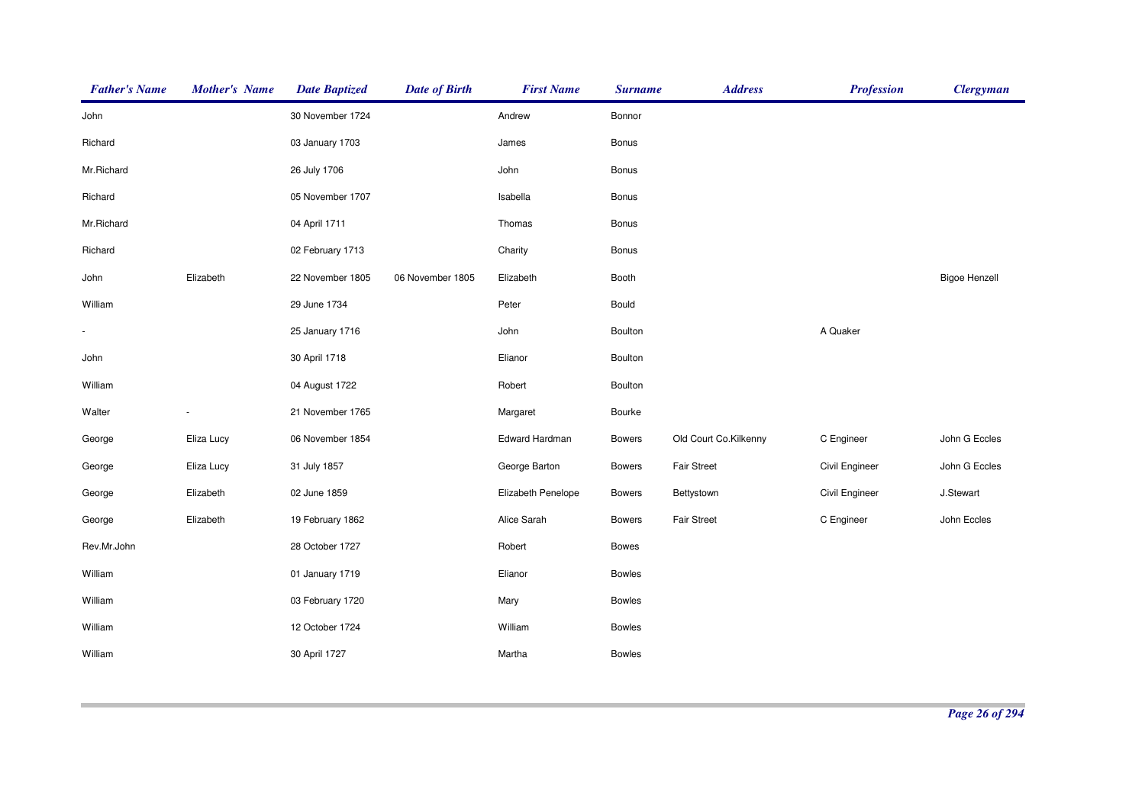| <b>Father's Name</b> | <b>Mother's Name</b> | <b>Date Baptized</b> | <b>Date of Birth</b> | <b>First Name</b>  | <b>Surname</b> | <b>Address</b>        | <b>Profession</b> | <b>Clergyman</b>     |
|----------------------|----------------------|----------------------|----------------------|--------------------|----------------|-----------------------|-------------------|----------------------|
| John                 |                      | 30 November 1724     |                      | Andrew             | Bonnor         |                       |                   |                      |
| Richard              |                      | 03 January 1703      |                      | James              | Bonus          |                       |                   |                      |
| Mr.Richard           |                      | 26 July 1706         |                      | John               | Bonus          |                       |                   |                      |
| Richard              |                      | 05 November 1707     |                      | Isabella           | Bonus          |                       |                   |                      |
| Mr.Richard           |                      | 04 April 1711        |                      | Thomas             | <b>Bonus</b>   |                       |                   |                      |
| Richard              |                      | 02 February 1713     |                      | Charity            | <b>Bonus</b>   |                       |                   |                      |
| John                 | Elizabeth            | 22 November 1805     | 06 November 1805     | Elizabeth          | Booth          |                       |                   | <b>Bigoe Henzell</b> |
| William              |                      | 29 June 1734         |                      | Peter              | Bould          |                       |                   |                      |
|                      |                      | 25 January 1716      |                      | John               | Boulton        |                       | A Quaker          |                      |
| John                 |                      | 30 April 1718        |                      | Elianor            | Boulton        |                       |                   |                      |
| William              |                      | 04 August 1722       |                      | Robert             | Boulton        |                       |                   |                      |
| Walter               |                      | 21 November 1765     |                      | Margaret           | Bourke         |                       |                   |                      |
| George               | Eliza Lucy           | 06 November 1854     |                      | Edward Hardman     | <b>Bowers</b>  | Old Court Co.Kilkenny | C Engineer        | John G Eccles        |
| George               | Eliza Lucy           | 31 July 1857         |                      | George Barton      | <b>Bowers</b>  | Fair Street           | Civil Engineer    | John G Eccles        |
| George               | Elizabeth            | 02 June 1859         |                      | Elizabeth Penelope | <b>Bowers</b>  | Bettystown            | Civil Engineer    | J.Stewart            |
| George               | Elizabeth            | 19 February 1862     |                      | Alice Sarah        | <b>Bowers</b>  | <b>Fair Street</b>    | C Engineer        | John Eccles          |
| Rev.Mr.John          |                      | 28 October 1727      |                      | Robert             | <b>Bowes</b>   |                       |                   |                      |
| William              |                      | 01 January 1719      |                      | Elianor            | <b>Bowles</b>  |                       |                   |                      |
| William              |                      | 03 February 1720     |                      | Mary               | Bowles         |                       |                   |                      |
| William              |                      | 12 October 1724      |                      | William            | <b>Bowles</b>  |                       |                   |                      |
| William              |                      | 30 April 1727        |                      | Martha             | <b>Bowles</b>  |                       |                   |                      |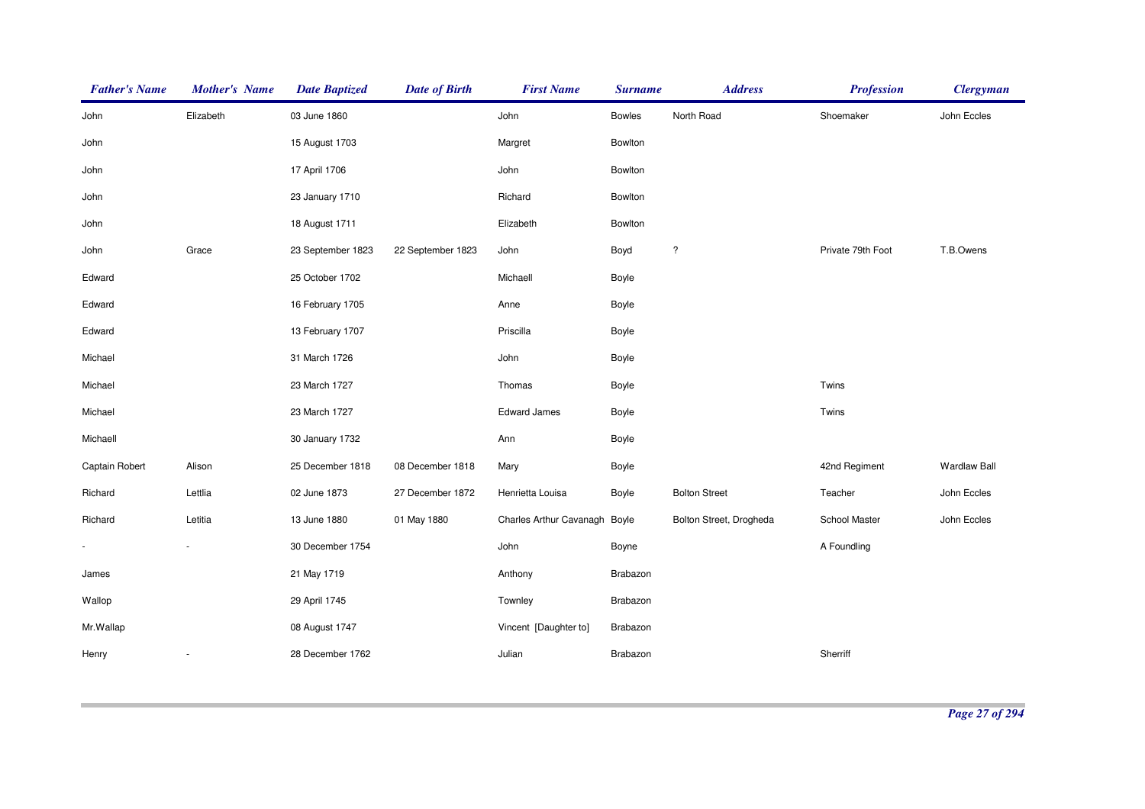| <b>Father's Name</b> | <b>Mother's Name</b> | <b>Date Baptized</b> | <b>Date of Birth</b> | <b>First Name</b>       | <b>Surname</b> | <b>Address</b>          | <b>Profession</b> | <b>Clergyman</b>    |
|----------------------|----------------------|----------------------|----------------------|-------------------------|----------------|-------------------------|-------------------|---------------------|
| John                 | Elizabeth            | 03 June 1860         |                      | John                    | <b>Bowles</b>  | North Road              | Shoemaker         | John Eccles         |
| John                 |                      | 15 August 1703       |                      | Margret                 | Bowlton        |                         |                   |                     |
| John                 |                      | 17 April 1706        |                      | John                    | Bowlton        |                         |                   |                     |
| John                 |                      | 23 January 1710      |                      | Richard                 | Bowlton        |                         |                   |                     |
| John                 |                      | 18 August 1711       |                      | Elizabeth               | Bowlton        |                         |                   |                     |
| John                 | Grace                | 23 September 1823    | 22 September 1823    | John                    | Boyd           | $\overline{\cdot}$      | Private 79th Foot | T.B.Owens           |
| Edward               |                      | 25 October 1702      |                      | Michaell                | Boyle          |                         |                   |                     |
| Edward               |                      | 16 February 1705     |                      | Anne                    | Boyle          |                         |                   |                     |
| Edward               |                      | 13 February 1707     |                      | Priscilla               | Boyle          |                         |                   |                     |
| Michael              |                      | 31 March 1726        |                      | John                    | Boyle          |                         |                   |                     |
| Michael              |                      | 23 March 1727        |                      | Thomas                  | Boyle          |                         | Twins             |                     |
| Michael              |                      | 23 March 1727        |                      | <b>Edward James</b>     | Boyle          |                         | Twins             |                     |
| Michaell             |                      | 30 January 1732      |                      | Ann                     | Boyle          |                         |                   |                     |
| Captain Robert       | Alison               | 25 December 1818     | 08 December 1818     | Mary                    | Boyle          |                         | 42nd Regiment     | <b>Wardlaw Ball</b> |
| Richard              | Lettlia              | 02 June 1873         | 27 December 1872     | Henrietta Louisa        | Boyle          | <b>Bolton Street</b>    | Teacher           | John Eccles         |
| Richard              | Letitia              | 13 June 1880         | 01 May 1880          | Charles Arthur Cavanagh | Boyle          | Bolton Street, Drogheda | School Master     | John Eccles         |
| $\blacksquare$       |                      | 30 December 1754     |                      | John                    | Boyne          |                         | A Foundling       |                     |
| James                |                      | 21 May 1719          |                      | Anthony                 | Brabazon       |                         |                   |                     |
| Wallop               |                      | 29 April 1745        |                      | Townley                 | Brabazon       |                         |                   |                     |
| Mr.Wallap            |                      | 08 August 1747       |                      | Vincent [Daughter to]   | Brabazon       |                         |                   |                     |
| Henry                |                      | 28 December 1762     |                      | Julian                  | Brabazon       |                         | Sherriff          |                     |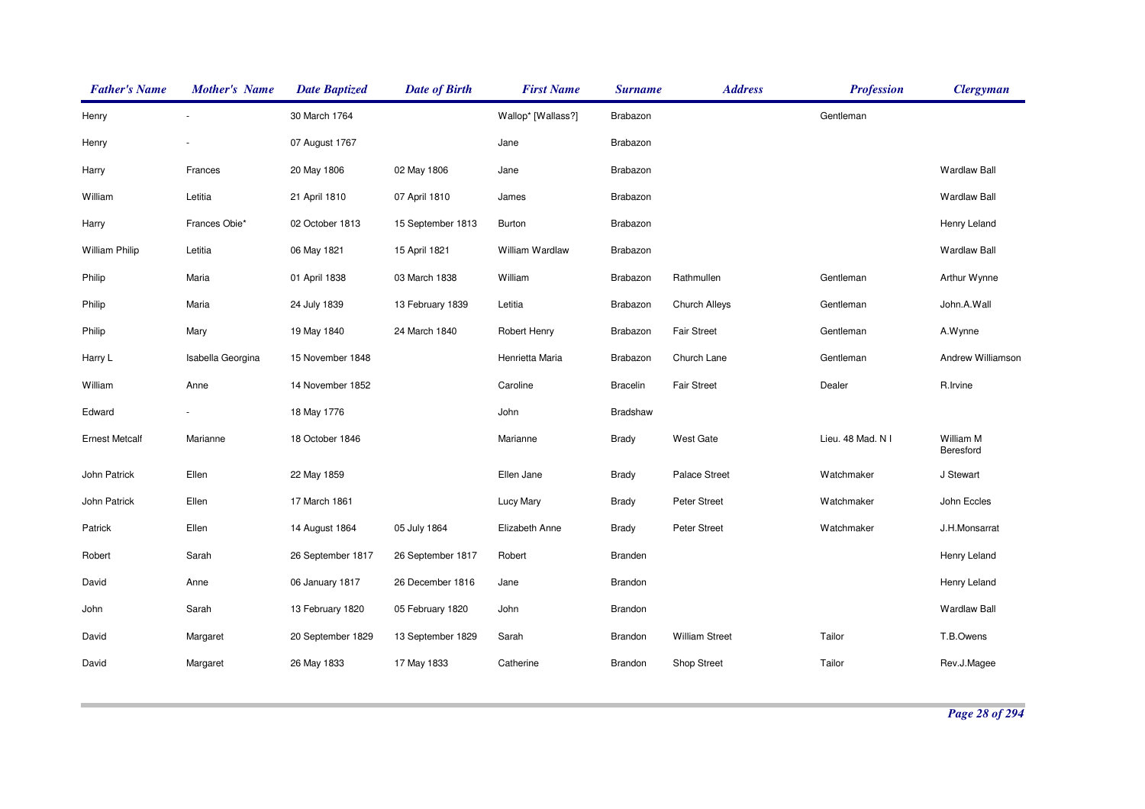| <b>Father's Name</b>  | <b>Mother's Name</b> | <b>Date Baptized</b> | <b>Date of Birth</b> | <b>First Name</b>  | <b>Surname</b>  | <b>Address</b>        | <b>Profession</b> | <b>Clergyman</b>       |
|-----------------------|----------------------|----------------------|----------------------|--------------------|-----------------|-----------------------|-------------------|------------------------|
| Henry                 |                      | 30 March 1764        |                      | Wallop* [Wallass?] | Brabazon        |                       | Gentleman         |                        |
| Henry                 |                      | 07 August 1767       |                      | Jane               | Brabazon        |                       |                   |                        |
| Harry                 | Frances              | 20 May 1806          | 02 May 1806          | Jane               | Brabazon        |                       |                   | <b>Wardlaw Ball</b>    |
| William               | Letitia              | 21 April 1810        | 07 April 1810        | James              | Brabazon        |                       |                   | <b>Wardlaw Ball</b>    |
| Harry                 | Frances Obie*        | 02 October 1813      | 15 September 1813    | Burton             | Brabazon        |                       |                   | Henry Leland           |
| <b>William Philip</b> | Letitia              | 06 May 1821          | 15 April 1821        | William Wardlaw    | Brabazon        |                       |                   | <b>Wardlaw Ball</b>    |
| Philip                | Maria                | 01 April 1838        | 03 March 1838        | William            | Brabazon        | Rathmullen            | Gentleman         | Arthur Wynne           |
| Philip                | Maria                | 24 July 1839         | 13 February 1839     | Letitia            | Brabazon        | Church Alleys         | Gentleman         | John.A.Wall            |
| Philip                | Mary                 | 19 May 1840          | 24 March 1840        | Robert Henry       | Brabazon        | <b>Fair Street</b>    | Gentleman         | A.Wynne                |
| Harry L               | Isabella Georgina    | 15 November 1848     |                      | Henrietta Maria    | Brabazon        | Church Lane           | Gentleman         | Andrew Williamson      |
| William               | Anne                 | 14 November 1852     |                      | Caroline           | <b>Bracelin</b> | <b>Fair Street</b>    | Dealer            | R.Irvine               |
| Edward                |                      | 18 May 1776          |                      | John               | Bradshaw        |                       |                   |                        |
| <b>Ernest Metcalf</b> | Marianne             | 18 October 1846      |                      | Marianne           | <b>Brady</b>    | <b>West Gate</b>      | Lieu. 48 Mad. N I | William M<br>Beresford |
| John Patrick          | Ellen                | 22 May 1859          |                      | Ellen Jane         | Brady           | Palace Street         | Watchmaker        | J Stewart              |
| John Patrick          | Ellen                | 17 March 1861        |                      | Lucy Mary          | Brady           | <b>Peter Street</b>   | Watchmaker        | John Eccles            |
| Patrick               | Ellen                | 14 August 1864       | 05 July 1864         | Elizabeth Anne     | Brady           | Peter Street          | Watchmaker        | J.H.Monsarrat          |
| Robert                | Sarah                | 26 September 1817    | 26 September 1817    | Robert             | Branden         |                       |                   | Henry Leland           |
| David                 | Anne                 | 06 January 1817      | 26 December 1816     | Jane               | Brandon         |                       |                   | Henry Leland           |
| John                  | Sarah                | 13 February 1820     | 05 February 1820     | John               | Brandon         |                       |                   | <b>Wardlaw Ball</b>    |
| David                 | Margaret             | 20 September 1829    | 13 September 1829    | Sarah              | <b>Brandon</b>  | <b>William Street</b> | Tailor            | T.B.Owens              |
| David                 | Margaret             | 26 May 1833          | 17 May 1833          | Catherine          | Brandon         | Shop Street           | Tailor            | Rev.J.Magee            |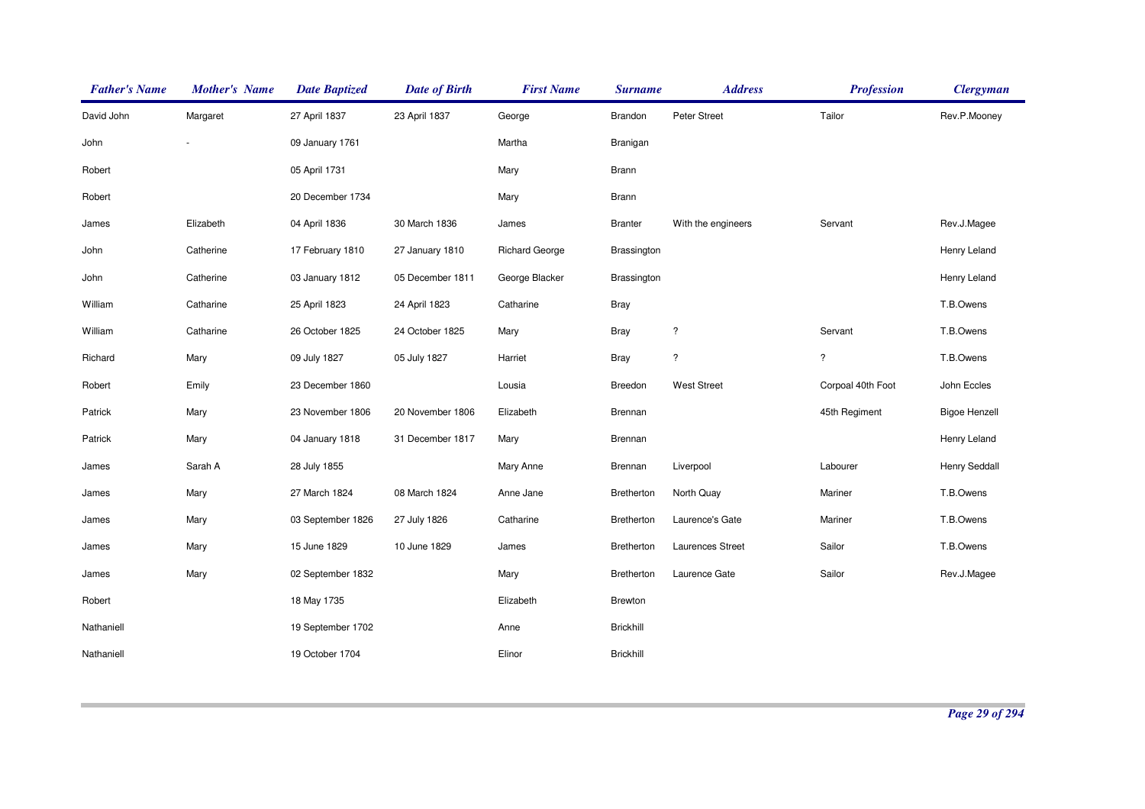| <b>Father's Name</b> | <b>Mother's Name</b> | <b>Date Baptized</b> | <b>Date of Birth</b> | <b>First Name</b>     | <b>Surname</b>    | <b>Address</b>           | <b>Profession</b>        | <b>Clergyman</b>     |
|----------------------|----------------------|----------------------|----------------------|-----------------------|-------------------|--------------------------|--------------------------|----------------------|
| David John           | Margaret             | 27 April 1837        | 23 April 1837        | George                | Brandon           | Peter Street             | Tailor                   | Rev.P.Mooney         |
| John                 |                      | 09 January 1761      |                      | Martha                | Branigan          |                          |                          |                      |
| Robert               |                      | 05 April 1731        |                      | Mary                  | <b>Brann</b>      |                          |                          |                      |
| Robert               |                      | 20 December 1734     |                      | Mary                  | <b>Brann</b>      |                          |                          |                      |
| James                | Elizabeth            | 04 April 1836        | 30 March 1836        | James                 | <b>Branter</b>    | With the engineers       | Servant                  | Rev.J.Magee          |
| John                 | Catherine            | 17 February 1810     | 27 January 1810      | <b>Richard George</b> | Brassington       |                          |                          | Henry Leland         |
| John                 | Catherine            | 03 January 1812      | 05 December 1811     | George Blacker        | Brassington       |                          |                          | Henry Leland         |
| William              | Catharine            | 25 April 1823        | 24 April 1823        | Catharine             | <b>Bray</b>       |                          |                          | T.B.Owens            |
| William              | Catharine            | 26 October 1825      | 24 October 1825      | Mary                  | <b>Bray</b>       | $\overline{\cdot}$       | Servant                  | T.B.Owens            |
| Richard              | Mary                 | 09 July 1827         | 05 July 1827         | Harriet               | <b>Bray</b>       | $\overline{\phantom{a}}$ | $\overline{\mathcal{E}}$ | T.B.Owens            |
| Robert               | Emily                | 23 December 1860     |                      | Lousia                | Breedon           | <b>West Street</b>       | Corpoal 40th Foot        | John Eccles          |
| Patrick              | Mary                 | 23 November 1806     | 20 November 1806     | Elizabeth             | Brennan           |                          | 45th Regiment            | <b>Bigoe Henzell</b> |
| Patrick              | Mary                 | 04 January 1818      | 31 December 1817     | Mary                  | Brennan           |                          |                          | Henry Leland         |
| James                | Sarah A              | 28 July 1855         |                      | Mary Anne             | Brennan           | Liverpool                | Labourer                 | <b>Henry Seddall</b> |
| James                | Mary                 | 27 March 1824        | 08 March 1824        | Anne Jane             | Bretherton        | North Quay               | Mariner                  | T.B.Owens            |
| James                | Mary                 | 03 September 1826    | 27 July 1826         | Catharine             | Bretherton        | Laurence's Gate          | Mariner                  | T.B.Owens            |
| James                | Mary                 | 15 June 1829         | 10 June 1829         | James                 | <b>Bretherton</b> | <b>Laurences Street</b>  | Sailor                   | T.B.Owens            |
| James                | Mary                 | 02 September 1832    |                      | Mary                  | Bretherton        | Laurence Gate            | Sailor                   | Rev.J.Magee          |
| Robert               |                      | 18 May 1735          |                      | Elizabeth             | Brewton           |                          |                          |                      |
| Nathaniell           |                      | 19 September 1702    |                      | Anne                  | <b>Brickhill</b>  |                          |                          |                      |
| Nathaniell           |                      | 19 October 1704      |                      | Elinor                | <b>Brickhill</b>  |                          |                          |                      |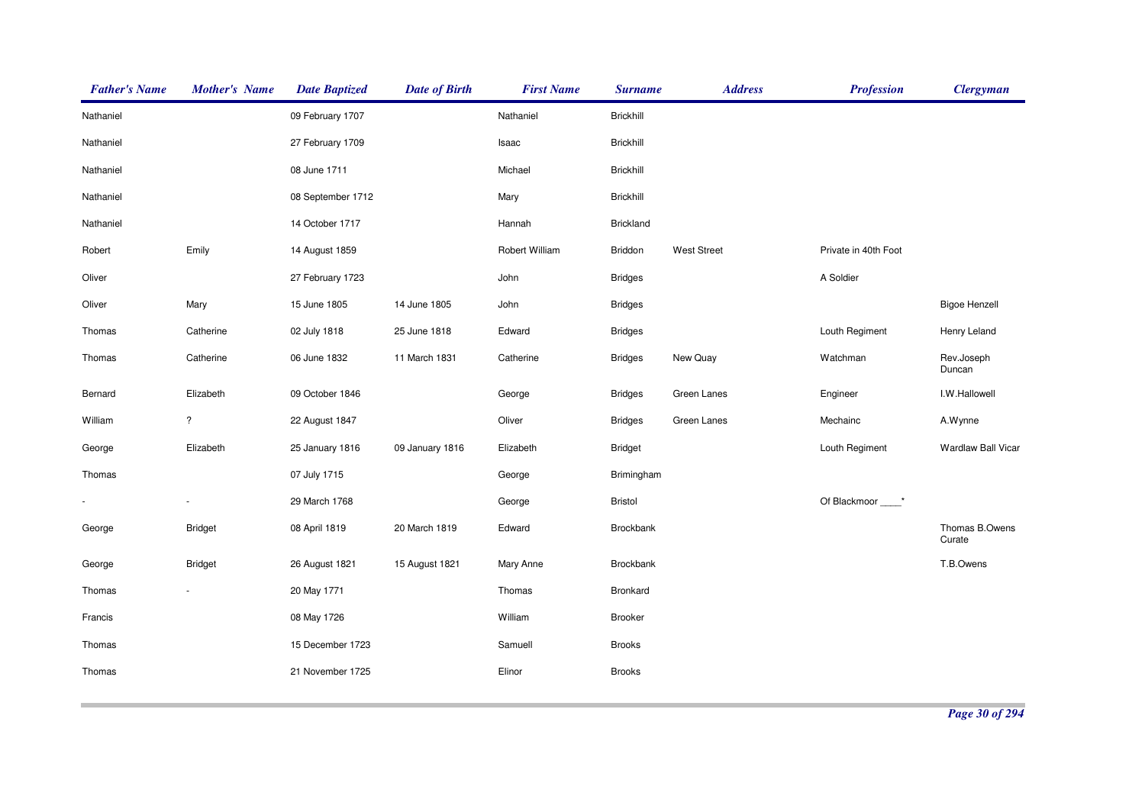| <b>Father's Name</b> | <b>Mother's Name</b>     | <b>Date Baptized</b> | <b>Date of Birth</b> | <b>First Name</b> | <b>Surname</b>   | <b>Address</b>     | <b>Profession</b>    | <b>Clergyman</b>         |
|----------------------|--------------------------|----------------------|----------------------|-------------------|------------------|--------------------|----------------------|--------------------------|
| Nathaniel            |                          | 09 February 1707     |                      | Nathaniel         | <b>Brickhill</b> |                    |                      |                          |
| Nathaniel            |                          | 27 February 1709     |                      | Isaac             | <b>Brickhill</b> |                    |                      |                          |
| Nathaniel            |                          | 08 June 1711         |                      | Michael           | <b>Brickhill</b> |                    |                      |                          |
| Nathaniel            |                          | 08 September 1712    |                      | Mary              | <b>Brickhill</b> |                    |                      |                          |
| Nathaniel            |                          | 14 October 1717      |                      | Hannah            | <b>Brickland</b> |                    |                      |                          |
| Robert               | Emily                    | 14 August 1859       |                      | Robert William    | Briddon          | <b>West Street</b> | Private in 40th Foot |                          |
| Oliver               |                          | 27 February 1723     |                      | John              | <b>Bridges</b>   |                    | A Soldier            |                          |
| Oliver               | Mary                     | 15 June 1805         | 14 June 1805         | John              | <b>Bridges</b>   |                    |                      | <b>Bigoe Henzell</b>     |
| Thomas               | Catherine                | 02 July 1818         | 25 June 1818         | Edward            | <b>Bridges</b>   |                    | Louth Regiment       | Henry Leland             |
| Thomas               | Catherine                | 06 June 1832         | 11 March 1831        | Catherine         | <b>Bridges</b>   | New Quay           | Watchman             | Rev.Joseph<br>Duncan     |
| Bernard              | Elizabeth                | 09 October 1846      |                      | George            | <b>Bridges</b>   | Green Lanes        | Engineer             | I.W.Hallowell            |
| William              | $\overline{\phantom{a}}$ | 22 August 1847       |                      | Oliver            | <b>Bridges</b>   | Green Lanes        | Mechainc             | A.Wynne                  |
| George               | Elizabeth                | 25 January 1816      | 09 January 1816      | Elizabeth         | <b>Bridget</b>   |                    | Louth Regiment       | Wardlaw Ball Vicar       |
| Thomas               |                          | 07 July 1715         |                      | George            | Brimingham       |                    |                      |                          |
|                      |                          | 29 March 1768        |                      | George            | Bristol          |                    | Of Blackmoor *       |                          |
| George               | <b>Bridget</b>           | 08 April 1819        | 20 March 1819        | Edward            | Brockbank        |                    |                      | Thomas B.Owens<br>Curate |
| George               | <b>Bridget</b>           | 26 August 1821       | 15 August 1821       | Mary Anne         | Brockbank        |                    |                      | T.B.Owens                |
| Thomas               |                          | 20 May 1771          |                      | Thomas            | Bronkard         |                    |                      |                          |
| Francis              |                          | 08 May 1726          |                      | William           | <b>Brooker</b>   |                    |                      |                          |
| Thomas               |                          | 15 December 1723     |                      | Samuell           | <b>Brooks</b>    |                    |                      |                          |
| Thomas               |                          | 21 November 1725     |                      | Elinor            | <b>Brooks</b>    |                    |                      |                          |
|                      |                          |                      |                      |                   |                  |                    |                      |                          |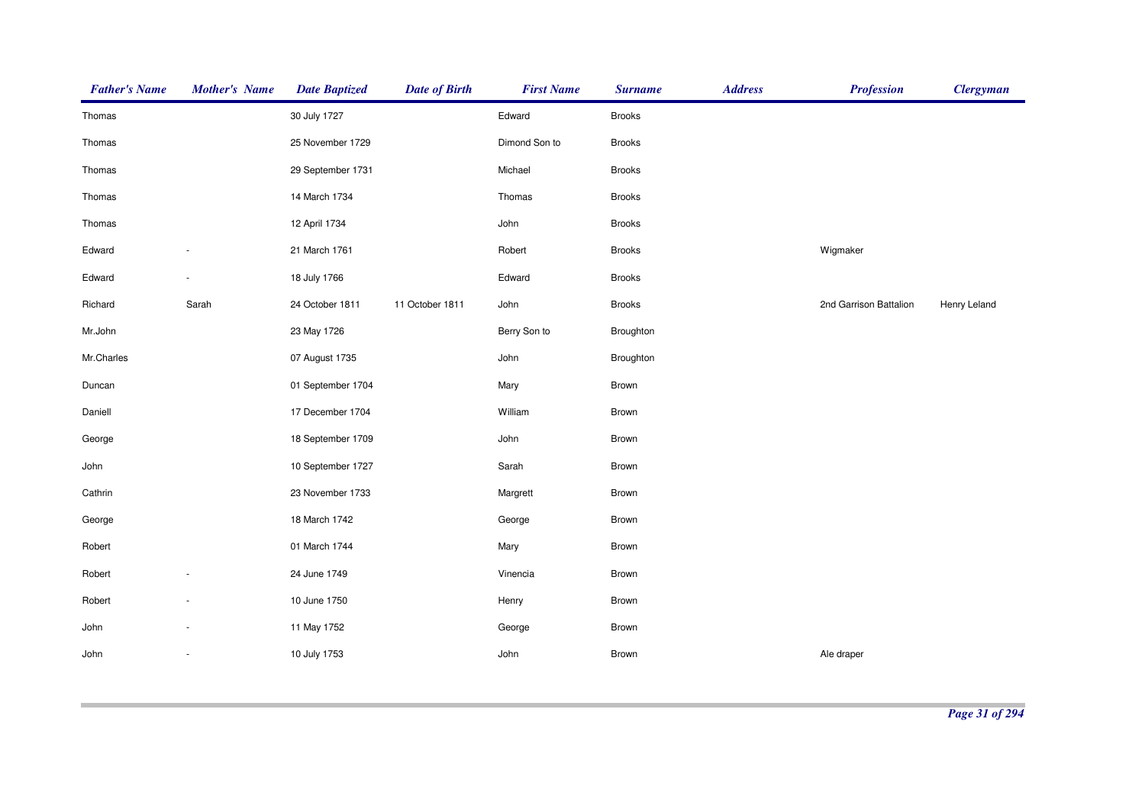| <b>Father's Name</b> | <b>Mother's Name</b>     | <b>Date Baptized</b> | <b>Date of Birth</b> | <b>First Name</b> | <b>Surname</b> | <b>Address</b> | <b>Profession</b>      | <b>Clergyman</b> |
|----------------------|--------------------------|----------------------|----------------------|-------------------|----------------|----------------|------------------------|------------------|
| Thomas               |                          | 30 July 1727         |                      | Edward            | <b>Brooks</b>  |                |                        |                  |
| Thomas               |                          | 25 November 1729     |                      | Dimond Son to     | <b>Brooks</b>  |                |                        |                  |
| Thomas               |                          | 29 September 1731    |                      | Michael           | <b>Brooks</b>  |                |                        |                  |
| Thomas               |                          | 14 March 1734        |                      | Thomas            | Brooks         |                |                        |                  |
| Thomas               |                          | 12 April 1734        |                      | John              | <b>Brooks</b>  |                |                        |                  |
| Edward               |                          | 21 March 1761        |                      | Robert            | <b>Brooks</b>  |                | Wigmaker               |                  |
| Edward               |                          | 18 July 1766         |                      | Edward            | <b>Brooks</b>  |                |                        |                  |
| Richard              | Sarah                    | 24 October 1811      | 11 October 1811      | John              | <b>Brooks</b>  |                | 2nd Garrison Battalion | Henry Leland     |
| Mr.John              |                          | 23 May 1726          |                      | Berry Son to      | Broughton      |                |                        |                  |
| Mr.Charles           |                          | 07 August 1735       |                      | John              | Broughton      |                |                        |                  |
| Duncan               |                          | 01 September 1704    |                      | Mary              | Brown          |                |                        |                  |
| Daniell              |                          | 17 December 1704     |                      | William           | Brown          |                |                        |                  |
| George               |                          | 18 September 1709    |                      | John              | Brown          |                |                        |                  |
| John                 |                          | 10 September 1727    |                      | Sarah             | Brown          |                |                        |                  |
| Cathrin              |                          | 23 November 1733     |                      | Margrett          | Brown          |                |                        |                  |
| George               |                          | 18 March 1742        |                      | George            | Brown          |                |                        |                  |
| Robert               |                          | 01 March 1744        |                      | Mary              | Brown          |                |                        |                  |
| Robert               |                          | 24 June 1749         |                      | Vinencia          | Brown          |                |                        |                  |
| Robert               |                          | 10 June 1750         |                      | Henry             | Brown          |                |                        |                  |
| John                 |                          | 11 May 1752          |                      | George            | Brown          |                |                        |                  |
| John                 | $\overline{\phantom{a}}$ | 10 July 1753         |                      | John              | Brown          |                | Ale draper             |                  |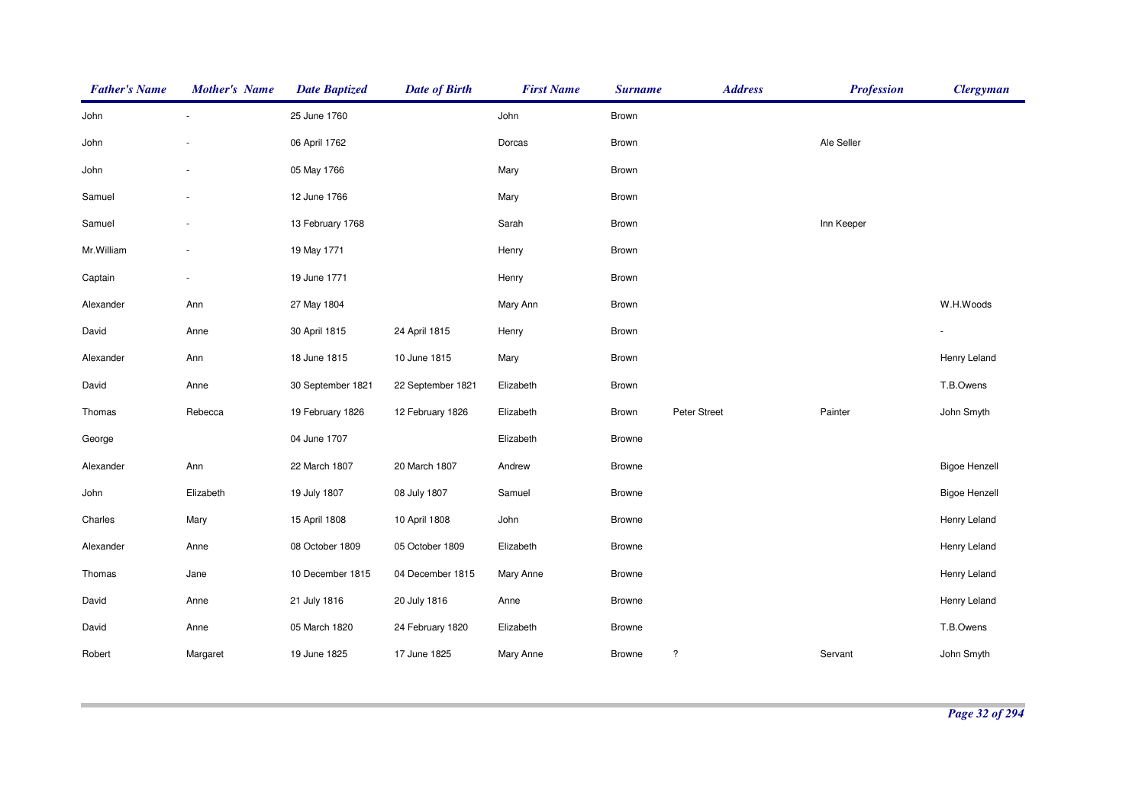| <b>Father's Name</b> | <b>Mother's Name</b> | <b>Date Baptized</b> | <b>Date of Birth</b> | <b>First Name</b> | <b>Surname</b> | <b>Address</b> | <b>Profession</b> | <b>Clergyman</b>     |
|----------------------|----------------------|----------------------|----------------------|-------------------|----------------|----------------|-------------------|----------------------|
| John                 |                      | 25 June 1760         |                      | John              | Brown          |                |                   |                      |
| John                 |                      | 06 April 1762        |                      | Dorcas            | Brown          |                | Ale Seller        |                      |
| John                 |                      | 05 May 1766          |                      | Mary              | Brown          |                |                   |                      |
| Samuel               |                      | 12 June 1766         |                      | Mary              | Brown          |                |                   |                      |
| Samuel               |                      | 13 February 1768     |                      | Sarah             | Brown          |                | Inn Keeper        |                      |
| Mr.William           |                      | 19 May 1771          |                      | Henry             | Brown          |                |                   |                      |
| Captain              | $\sim$               | 19 June 1771         |                      | Henry             | Brown          |                |                   |                      |
| Alexander            | Ann                  | 27 May 1804          |                      | Mary Ann          | Brown          |                |                   | W.H.Woods            |
| David                | Anne                 | 30 April 1815        | 24 April 1815        | Henry             | Brown          |                |                   |                      |
| Alexander            | Ann                  | 18 June 1815         | 10 June 1815         | Mary              | Brown          |                |                   | Henry Leland         |
| David                | Anne                 | 30 September 1821    | 22 September 1821    | Elizabeth         | <b>Brown</b>   |                |                   | T.B.Owens            |
| Thomas               | Rebecca              | 19 February 1826     | 12 February 1826     | Elizabeth         | Brown          | Peter Street   | Painter           | John Smyth           |
| George               |                      | 04 June 1707         |                      | Elizabeth         | <b>Browne</b>  |                |                   |                      |
| Alexander            | Ann                  | 22 March 1807        | 20 March 1807        | Andrew            | <b>Browne</b>  |                |                   | <b>Bigoe Henzell</b> |
| John                 | Elizabeth            | 19 July 1807         | 08 July 1807         | Samuel            | <b>Browne</b>  |                |                   | <b>Bigoe Henzell</b> |
| Charles              | Mary                 | 15 April 1808        | 10 April 1808        | John              | <b>Browne</b>  |                |                   | Henry Leland         |
| Alexander            | Anne                 | 08 October 1809      | 05 October 1809      | Elizabeth         | <b>Browne</b>  |                |                   | Henry Leland         |
| Thomas               | Jane                 | 10 December 1815     | 04 December 1815     | Mary Anne         | <b>Browne</b>  |                |                   | Henry Leland         |
| David                | Anne                 | 21 July 1816         | 20 July 1816         | Anne              | <b>Browne</b>  |                |                   | Henry Leland         |
| David                | Anne                 | 05 March 1820        | 24 February 1820     | Elizabeth         | <b>Browne</b>  |                |                   | T.B.Owens            |
| Robert               | Margaret             | 19 June 1825         | 17 June 1825         | Mary Anne         | <b>Browne</b>  | $\ddot{?}$     | Servant           | John Smyth           |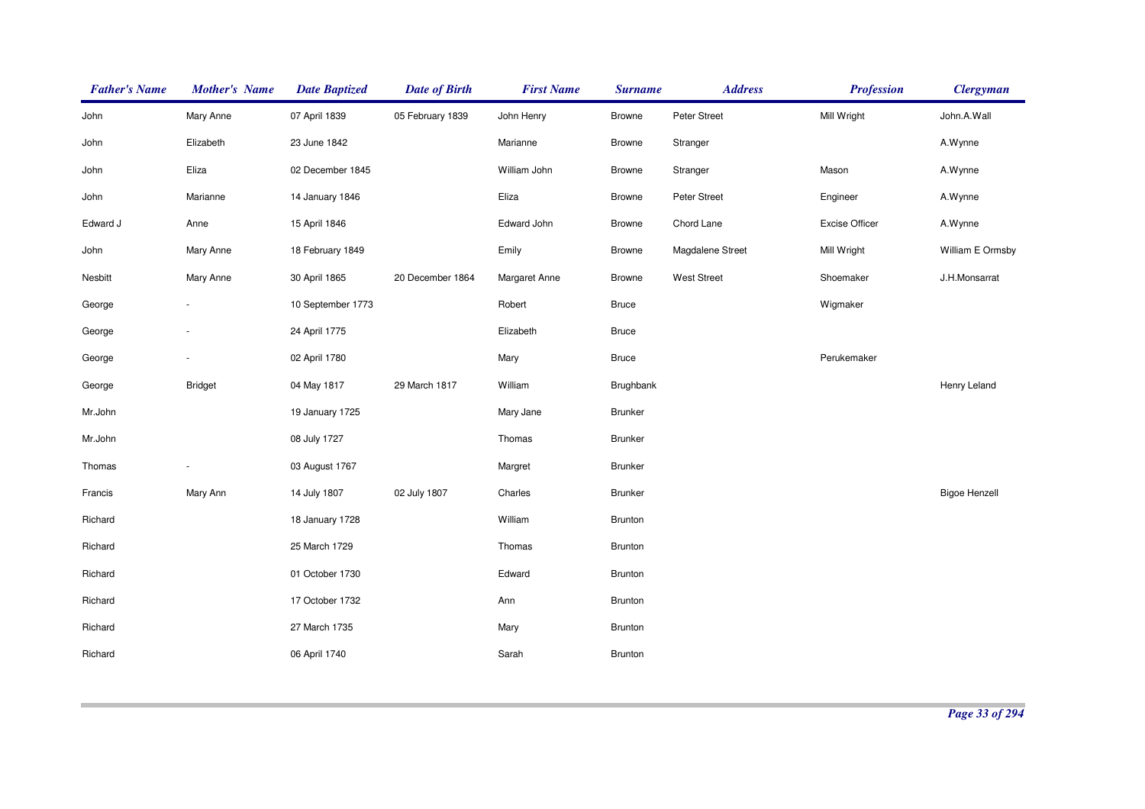| <b>Father's Name</b> | <b>Mother's Name</b> | <b>Date Baptized</b> | <b>Date of Birth</b> | <b>First Name</b>    | <b>Surname</b> | <b>Address</b>     | <b>Profession</b>     | <b>Clergyman</b>     |
|----------------------|----------------------|----------------------|----------------------|----------------------|----------------|--------------------|-----------------------|----------------------|
| John                 | Mary Anne            | 07 April 1839        | 05 February 1839     | John Henry           | <b>Browne</b>  | Peter Street       | Mill Wright           | John.A.Wall          |
| John                 | Elizabeth            | 23 June 1842         |                      | Marianne             | <b>Browne</b>  | Stranger           |                       | A.Wynne              |
| John                 | Eliza                | 02 December 1845     |                      | William John         | <b>Browne</b>  | Stranger           | Mason                 | A.Wynne              |
| John                 | Marianne             | 14 January 1846      |                      | Eliza                | <b>Browne</b>  | Peter Street       | Engineer              | A.Wynne              |
| Edward J             | Anne                 | 15 April 1846        |                      | Edward John          | <b>Browne</b>  | Chord Lane         | <b>Excise Officer</b> | A.Wynne              |
| John                 | Mary Anne            | 18 February 1849     |                      | Emily                | <b>Browne</b>  | Magdalene Street   | Mill Wright           | William E Ormsby     |
| Nesbitt              | Mary Anne            | 30 April 1865        | 20 December 1864     | <b>Margaret Anne</b> | <b>Browne</b>  | <b>West Street</b> | Shoemaker             | J.H.Monsarrat        |
| George               |                      | 10 September 1773    |                      | Robert               | <b>Bruce</b>   |                    | Wigmaker              |                      |
| George               |                      | 24 April 1775        |                      | Elizabeth            | <b>Bruce</b>   |                    |                       |                      |
| George               |                      | 02 April 1780        |                      | Mary                 | <b>Bruce</b>   |                    | Perukemaker           |                      |
| George               | <b>Bridget</b>       | 04 May 1817          | 29 March 1817        | William              | Brughbank      |                    |                       | Henry Leland         |
| Mr.John              |                      | 19 January 1725      |                      | Mary Jane            | <b>Brunker</b> |                    |                       |                      |
| Mr.John              |                      | 08 July 1727         |                      | Thomas               | <b>Brunker</b> |                    |                       |                      |
| Thomas               |                      | 03 August 1767       |                      | Margret              | <b>Brunker</b> |                    |                       |                      |
| Francis              | Mary Ann             | 14 July 1807         | 02 July 1807         | Charles              | <b>Brunker</b> |                    |                       | <b>Bigoe Henzell</b> |
| Richard              |                      | 18 January 1728      |                      | William              | <b>Brunton</b> |                    |                       |                      |
| Richard              |                      | 25 March 1729        |                      | Thomas               | <b>Brunton</b> |                    |                       |                      |
| Richard              |                      | 01 October 1730      |                      | Edward               | <b>Brunton</b> |                    |                       |                      |
| Richard              |                      | 17 October 1732      |                      | Ann                  | Brunton        |                    |                       |                      |
| Richard              |                      | 27 March 1735        |                      | Mary                 | <b>Brunton</b> |                    |                       |                      |
| Richard              |                      | 06 April 1740        |                      | Sarah                | <b>Brunton</b> |                    |                       |                      |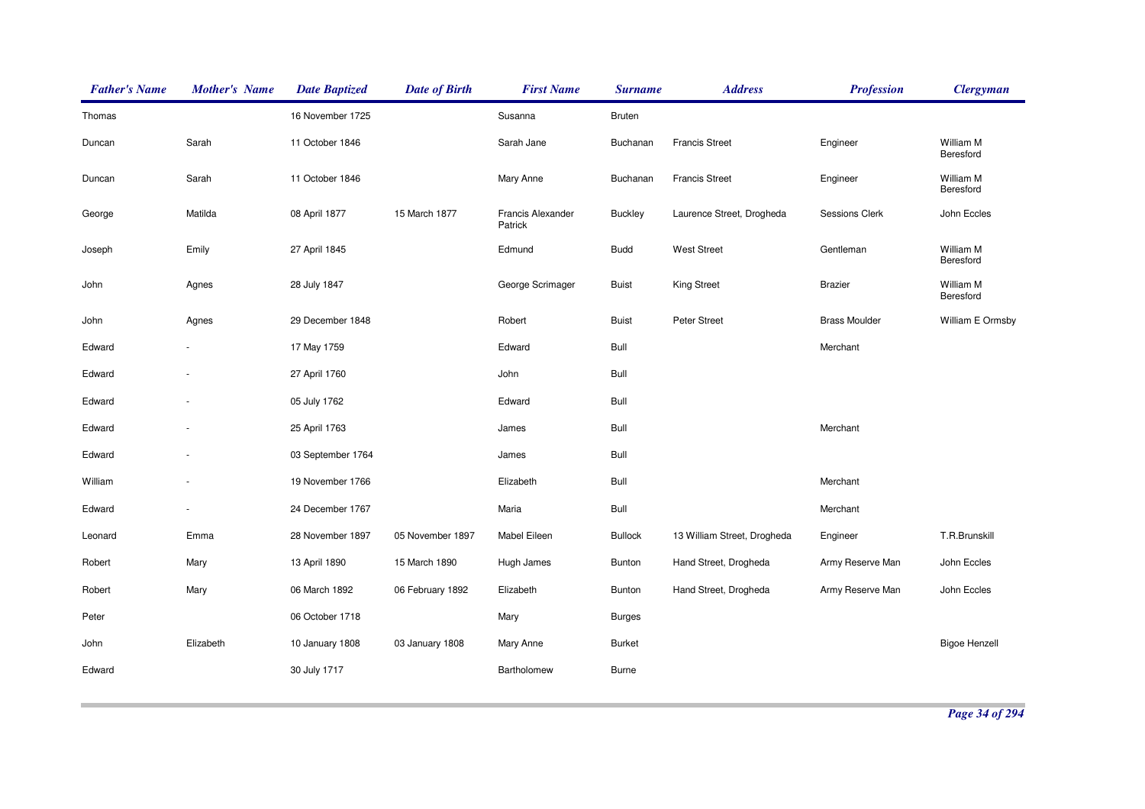| <b>Father's Name</b> | <b>Mother's Name</b> | <b>Date Baptized</b> | <b>Date of Birth</b> | <b>First Name</b>                   | <b>Surname</b> | <b>Address</b>              | <b>Profession</b>    | <b>Clergyman</b>       |
|----------------------|----------------------|----------------------|----------------------|-------------------------------------|----------------|-----------------------------|----------------------|------------------------|
| Thomas               |                      | 16 November 1725     |                      | Susanna                             | <b>Bruten</b>  |                             |                      |                        |
| Duncan               | Sarah                | 11 October 1846      |                      | Sarah Jane                          | Buchanan       | <b>Francis Street</b>       | Engineer             | William M<br>Beresford |
| Duncan               | Sarah                | 11 October 1846      |                      | Mary Anne                           | Buchanan       | <b>Francis Street</b>       | Engineer             | William M<br>Beresford |
| George               | Matilda              | 08 April 1877        | 15 March 1877        | <b>Francis Alexander</b><br>Patrick | <b>Buckley</b> | Laurence Street, Drogheda   | Sessions Clerk       | John Eccles            |
| Joseph               | Emily                | 27 April 1845        |                      | Edmund                              | <b>Budd</b>    | <b>West Street</b>          | Gentleman            | William M<br>Beresford |
| John                 | Agnes                | 28 July 1847         |                      | George Scrimager                    | <b>Buist</b>   | <b>King Street</b>          | <b>Brazier</b>       | William M<br>Beresford |
| John                 | Agnes                | 29 December 1848     |                      | Robert                              | <b>Buist</b>   | Peter Street                | <b>Brass Moulder</b> | William E Ormsby       |
| Edward               |                      | 17 May 1759          |                      | Edward                              | Bull           |                             | Merchant             |                        |
| Edward               |                      | 27 April 1760        |                      | John                                | Bull           |                             |                      |                        |
| Edward               |                      | 05 July 1762         |                      | Edward                              | Bull           |                             |                      |                        |
| Edward               |                      | 25 April 1763        |                      | James                               | Bull           |                             | Merchant             |                        |
| Edward               |                      | 03 September 1764    |                      | James                               | Bull           |                             |                      |                        |
| William              |                      | 19 November 1766     |                      | Elizabeth                           | Bull           |                             | Merchant             |                        |
| Edward               |                      | 24 December 1767     |                      | Maria                               | Bull           |                             | Merchant             |                        |
| Leonard              | Emma                 | 28 November 1897     | 05 November 1897     | Mabel Eileen                        | <b>Bullock</b> | 13 William Street, Drogheda | Engineer             | T.R.Brunskill          |
| Robert               | Mary                 | 13 April 1890        | 15 March 1890        | Hugh James                          | <b>Bunton</b>  | Hand Street, Drogheda       | Army Reserve Man     | John Eccles            |
| Robert               | Mary                 | 06 March 1892        | 06 February 1892     | Elizabeth                           | <b>Bunton</b>  | Hand Street, Drogheda       | Army Reserve Man     | John Eccles            |
| Peter                |                      | 06 October 1718      |                      | Mary                                | Burges         |                             |                      |                        |
| John                 | Elizabeth            | 10 January 1808      | 03 January 1808      | Mary Anne                           | <b>Burket</b>  |                             |                      | <b>Bigoe Henzell</b>   |
| Edward               |                      | 30 July 1717         |                      | Bartholomew                         | <b>Burne</b>   |                             |                      |                        |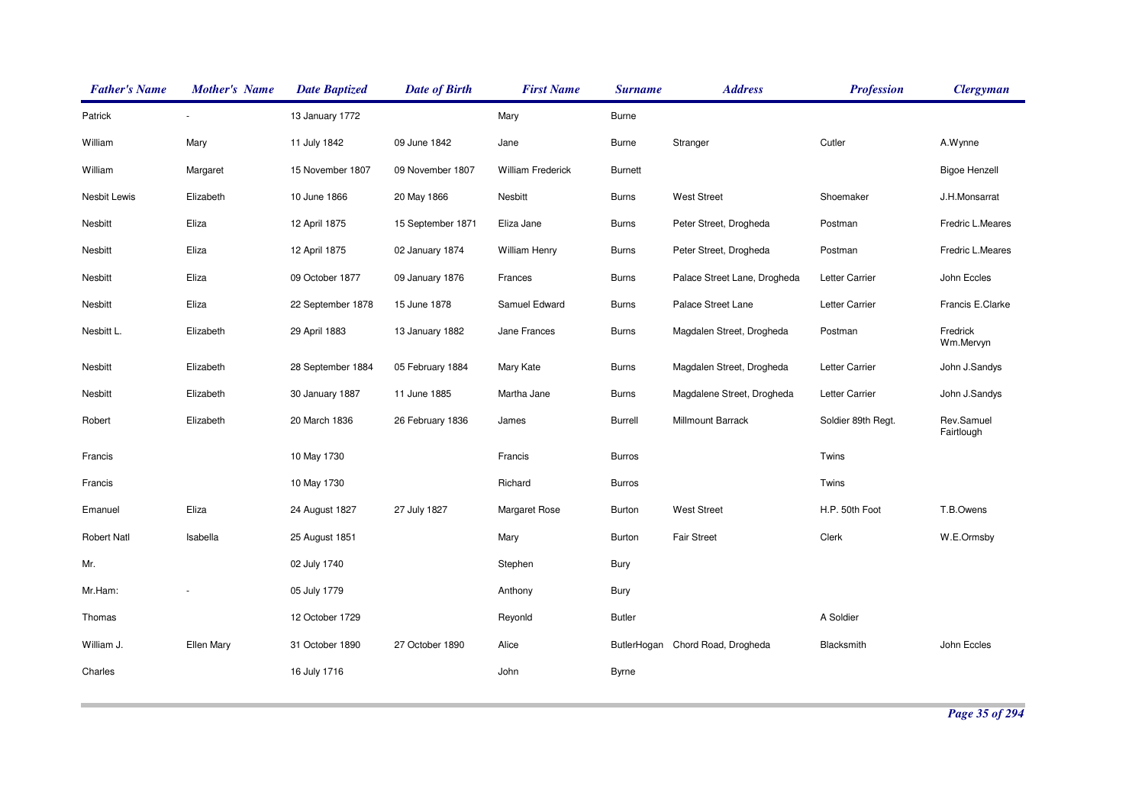| <b>Father's Name</b> | <b>Mother's Name</b> | <b>Date Baptized</b> | <b>Date of Birth</b> | <b>First Name</b>        | <b>Surname</b> | <b>Address</b>               | <b>Profession</b>  | <b>Clergyman</b>         |
|----------------------|----------------------|----------------------|----------------------|--------------------------|----------------|------------------------------|--------------------|--------------------------|
| Patrick              |                      | 13 January 1772      |                      | Mary                     | <b>Burne</b>   |                              |                    |                          |
| William              | Mary                 | 11 July 1842         | 09 June 1842         | Jane                     | <b>Burne</b>   | Stranger                     | Cutler             | A.Wynne                  |
| William              | Margaret             | 15 November 1807     | 09 November 1807     | <b>William Frederick</b> | Burnett        |                              |                    | <b>Bigoe Henzell</b>     |
| Nesbit Lewis         | Elizabeth            | 10 June 1866         | 20 May 1866          | Nesbitt                  | <b>Burns</b>   | <b>West Street</b>           | Shoemaker          | J.H.Monsarrat            |
| Nesbitt              | Eliza                | 12 April 1875        | 15 September 1871    | Eliza Jane               | <b>Burns</b>   | Peter Street, Drogheda       | Postman            | Fredric L.Meares         |
| Nesbitt              | Eliza                | 12 April 1875        | 02 January 1874      | <b>William Henry</b>     | <b>Burns</b>   | Peter Street, Drogheda       | Postman            | Fredric L.Meares         |
| Nesbitt              | Eliza                | 09 October 1877      | 09 January 1876      | Frances                  | <b>Burns</b>   | Palace Street Lane, Drogheda | Letter Carrier     | John Eccles              |
| Nesbitt              | Eliza                | 22 September 1878    | 15 June 1878         | Samuel Edward            | <b>Burns</b>   | Palace Street Lane           | Letter Carrier     | Francis E.Clarke         |
| Nesbitt L.           | Elizabeth            | 29 April 1883        | 13 January 1882      | Jane Frances             | <b>Burns</b>   | Magdalen Street, Drogheda    | Postman            | Fredrick<br>Wm.Mervyn    |
| Nesbitt              | Elizabeth            | 28 September 1884    | 05 February 1884     | Mary Kate                | <b>Burns</b>   | Magdalen Street, Drogheda    | Letter Carrier     | John J.Sandys            |
| Nesbitt              | Elizabeth            | 30 January 1887      | 11 June 1885         | Martha Jane              | <b>Burns</b>   | Magdalene Street, Drogheda   | Letter Carrier     | John J.Sandys            |
| Robert               | Elizabeth            | 20 March 1836        | 26 February 1836     | James                    | Burrell        | Millmount Barrack            | Soldier 89th Regt. | Rev.Samuel<br>Fairtlough |
| Francis              |                      | 10 May 1730          |                      | Francis                  | <b>Burros</b>  |                              | Twins              |                          |
| Francis              |                      | 10 May 1730          |                      | Richard                  | <b>Burros</b>  |                              | Twins              |                          |
| Emanuel              | Eliza                | 24 August 1827       | 27 July 1827         | <b>Margaret Rose</b>     | Burton         | <b>West Street</b>           | H.P. 50th Foot     | T.B.Owens                |
| <b>Robert Natl</b>   | Isabella             | 25 August 1851       |                      | Mary                     | <b>Burton</b>  | <b>Fair Street</b>           | Clerk              | W.E.Ormsby               |
| Mr.                  |                      | 02 July 1740         |                      | Stephen                  | Bury           |                              |                    |                          |
| Mr.Ham:              |                      | 05 July 1779         |                      | Anthony                  | Bury           |                              |                    |                          |
| Thomas               |                      | 12 October 1729      |                      | Reyonld                  | <b>Butler</b>  |                              | A Soldier          |                          |
| William J.           | Ellen Mary           | 31 October 1890      | 27 October 1890      | Alice                    | ButlerHogan    | Chord Road, Drogheda         | Blacksmith         | John Eccles              |
| Charles              |                      | 16 July 1716         |                      | John                     | Byrne          |                              |                    |                          |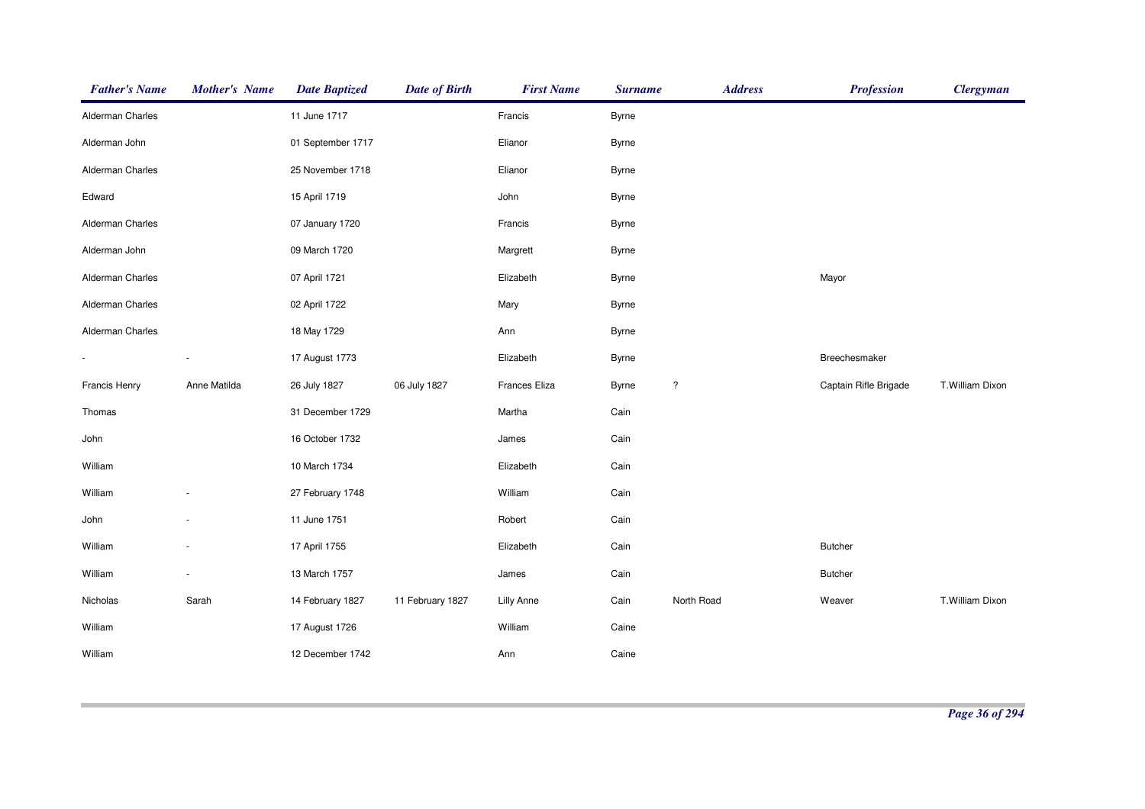| <b>Father's Name</b> | <b>Mother's Name</b> | <b>Date Baptized</b> | <b>Date of Birth</b> | <b>First Name</b> | <b>Surname</b> | <b>Address</b>     | <b>Profession</b>     | <b>Clergyman</b> |
|----------------------|----------------------|----------------------|----------------------|-------------------|----------------|--------------------|-----------------------|------------------|
| Alderman Charles     |                      | 11 June 1717         |                      | Francis           | Byrne          |                    |                       |                  |
| Alderman John        |                      | 01 September 1717    |                      | Elianor           | Byrne          |                    |                       |                  |
| Alderman Charles     |                      | 25 November 1718     |                      | Elianor           | Byrne          |                    |                       |                  |
| Edward               |                      | 15 April 1719        |                      | John              | Byrne          |                    |                       |                  |
| Alderman Charles     |                      | 07 January 1720      |                      | Francis           | Byrne          |                    |                       |                  |
| Alderman John        |                      | 09 March 1720        |                      | Margrett          | Byrne          |                    |                       |                  |
| Alderman Charles     |                      | 07 April 1721        |                      | Elizabeth         | <b>Byrne</b>   |                    | Mayor                 |                  |
| Alderman Charles     |                      | 02 April 1722        |                      | Mary              | Byrne          |                    |                       |                  |
| Alderman Charles     |                      | 18 May 1729          |                      | Ann               | Byrne          |                    |                       |                  |
|                      |                      | 17 August 1773       |                      | Elizabeth         | <b>Byrne</b>   |                    | Breechesmaker         |                  |
| Francis Henry        | Anne Matilda         | 26 July 1827         | 06 July 1827         | Frances Eliza     | Byrne          | $\overline{\cdot}$ | Captain Rifle Brigade | T.William Dixon  |
| Thomas               |                      | 31 December 1729     |                      | Martha            | Cain           |                    |                       |                  |
| John                 |                      | 16 October 1732      |                      | James             | Cain           |                    |                       |                  |
| William              |                      | 10 March 1734        |                      | Elizabeth         | Cain           |                    |                       |                  |
| William              |                      | 27 February 1748     |                      | William           | Cain           |                    |                       |                  |
| John                 |                      | 11 June 1751         |                      | Robert            | Cain           |                    |                       |                  |
| William              |                      | 17 April 1755        |                      | Elizabeth         | Cain           |                    | <b>Butcher</b>        |                  |
| William              |                      | 13 March 1757        |                      | James             | Cain           |                    | <b>Butcher</b>        |                  |
| Nicholas             | Sarah                | 14 February 1827     | 11 February 1827     | <b>Lilly Anne</b> | Cain           | North Road         | Weaver                | T.William Dixon  |
| William              |                      | 17 August 1726       |                      | William           | Caine          |                    |                       |                  |
| William              |                      | 12 December 1742     |                      | Ann               | Caine          |                    |                       |                  |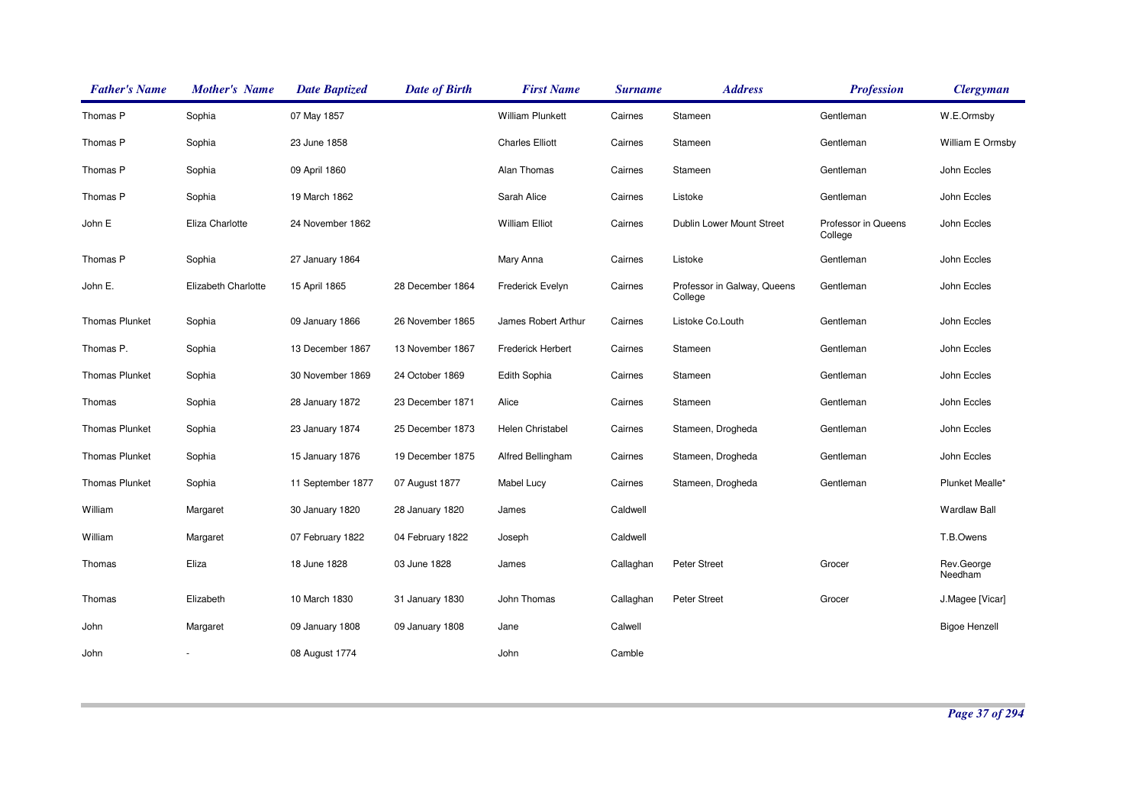| <b>Father's Name</b>  | <b>Mother's Name</b> | <b>Date Baptized</b> | <b>Date of Birth</b> | <b>First Name</b>       | <b>Surname</b> | <b>Address</b>                         | <b>Profession</b>              | <b>Clergyman</b>      |
|-----------------------|----------------------|----------------------|----------------------|-------------------------|----------------|----------------------------------------|--------------------------------|-----------------------|
| Thomas P              | Sophia               | 07 May 1857          |                      | <b>William Plunkett</b> | Cairnes        | Stameen                                | Gentleman                      | W.E.Ormsby            |
| Thomas P              | Sophia               | 23 June 1858         |                      | <b>Charles Elliott</b>  | Cairnes        | Stameen                                | Gentleman                      | William E Ormsby      |
| Thomas P              | Sophia               | 09 April 1860        |                      | Alan Thomas             | Cairnes        | Stameen                                | Gentleman                      | John Eccles           |
| Thomas P              | Sophia               | 19 March 1862        |                      | Sarah Alice             | Cairnes        | Listoke                                | Gentleman                      | John Eccles           |
| John E                | Eliza Charlotte      | 24 November 1862     |                      | <b>William Elliot</b>   | Cairnes        | Dublin Lower Mount Street              | Professor in Queens<br>College | John Eccles           |
| Thomas P              | Sophia               | 27 January 1864      |                      | Mary Anna               | Cairnes        | Listoke                                | Gentleman                      | John Eccles           |
| John E.               | Elizabeth Charlotte  | 15 April 1865        | 28 December 1864     | Frederick Evelyn        | Cairnes        | Professor in Galway, Queens<br>College | Gentleman                      | John Eccles           |
| <b>Thomas Plunket</b> | Sophia               | 09 January 1866      | 26 November 1865     | James Robert Arthur     | Cairnes        | Listoke Co.Louth                       | Gentleman                      | John Eccles           |
| Thomas P.             | Sophia               | 13 December 1867     | 13 November 1867     | Frederick Herbert       | Cairnes        | Stameen                                | Gentleman                      | John Eccles           |
| <b>Thomas Plunket</b> | Sophia               | 30 November 1869     | 24 October 1869      | Edith Sophia            | Cairnes        | Stameen                                | Gentleman                      | John Eccles           |
| Thomas                | Sophia               | 28 January 1872      | 23 December 1871     | Alice                   | Cairnes        | Stameen                                | Gentleman                      | John Eccles           |
| <b>Thomas Plunket</b> | Sophia               | 23 January 1874      | 25 December 1873     | Helen Christabel        | Cairnes        | Stameen, Drogheda                      | Gentleman                      | John Eccles           |
| <b>Thomas Plunket</b> | Sophia               | 15 January 1876      | 19 December 1875     | Alfred Bellingham       | Cairnes        | Stameen, Drogheda                      | Gentleman                      | John Eccles           |
| <b>Thomas Plunket</b> | Sophia               | 11 September 1877    | 07 August 1877       | <b>Mabel Lucy</b>       | Cairnes        | Stameen, Drogheda                      | Gentleman                      | Plunket Mealle*       |
| William               | Margaret             | 30 January 1820      | 28 January 1820      | James                   | Caldwell       |                                        |                                | <b>Wardlaw Ball</b>   |
| William               | Margaret             | 07 February 1822     | 04 February 1822     | Joseph                  | Caldwell       |                                        |                                | T.B.Owens             |
| Thomas                | Eliza                | 18 June 1828         | 03 June 1828         | James                   | Callaghan      | <b>Peter Street</b>                    | Grocer                         | Rev.George<br>Needham |
| Thomas                | Elizabeth            | 10 March 1830        | 31 January 1830      | John Thomas             | Callaghan      | <b>Peter Street</b>                    | Grocer                         | J.Magee [Vicar]       |
| John                  | Margaret             | 09 January 1808      | 09 January 1808      | Jane                    | Calwell        |                                        |                                | <b>Bigoe Henzell</b>  |
| John                  |                      | 08 August 1774       |                      | John                    | Camble         |                                        |                                |                       |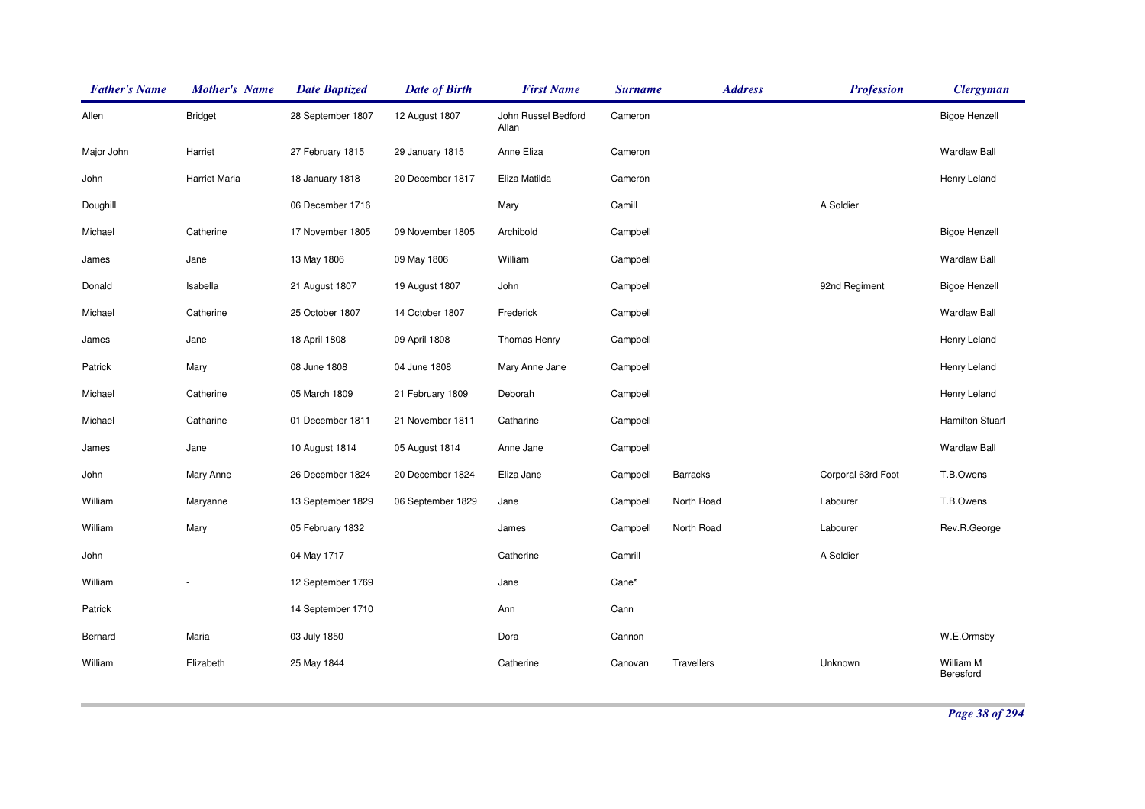| <b>Father's Name</b> | <b>Mother's Name</b> | <b>Date Baptized</b> | <b>Date of Birth</b> | <b>First Name</b>            | <b>Surname</b> | <b>Address</b>  | <b>Profession</b>  | <b>Clergyman</b>       |
|----------------------|----------------------|----------------------|----------------------|------------------------------|----------------|-----------------|--------------------|------------------------|
| Allen                | <b>Bridget</b>       | 28 September 1807    | 12 August 1807       | John Russel Bedford<br>Allan | Cameron        |                 |                    | <b>Bigoe Henzell</b>   |
| Major John           | Harriet              | 27 February 1815     | 29 January 1815      | Anne Eliza                   | Cameron        |                 |                    | <b>Wardlaw Ball</b>    |
| John                 | Harriet Maria        | 18 January 1818      | 20 December 1817     | Eliza Matilda                | Cameron        |                 |                    | Henry Leland           |
| Doughill             |                      | 06 December 1716     |                      | Mary                         | Camill         |                 | A Soldier          |                        |
| Michael              | Catherine            | 17 November 1805     | 09 November 1805     | Archibold                    | Campbell       |                 |                    | <b>Bigoe Henzell</b>   |
| James                | Jane                 | 13 May 1806          | 09 May 1806          | William                      | Campbell       |                 |                    | <b>Wardlaw Ball</b>    |
| Donald               | Isabella             | 21 August 1807       | 19 August 1807       | John                         | Campbell       |                 | 92nd Regiment      | <b>Bigoe Henzell</b>   |
| Michael              | Catherine            | 25 October 1807      | 14 October 1807      | Frederick                    | Campbell       |                 |                    | <b>Wardlaw Ball</b>    |
| James                | Jane                 | 18 April 1808        | 09 April 1808        | Thomas Henry                 | Campbell       |                 |                    | Henry Leland           |
| Patrick              | Mary                 | 08 June 1808         | 04 June 1808         | Mary Anne Jane               | Campbell       |                 |                    | Henry Leland           |
| Michael              | Catherine            | 05 March 1809        | 21 February 1809     | Deborah                      | Campbell       |                 |                    | Henry Leland           |
| Michael              | Catharine            | 01 December 1811     | 21 November 1811     | Catharine                    | Campbell       |                 |                    | <b>Hamilton Stuart</b> |
| James                | Jane                 | 10 August 1814       | 05 August 1814       | Anne Jane                    | Campbell       |                 |                    | <b>Wardlaw Ball</b>    |
| John                 | Mary Anne            | 26 December 1824     | 20 December 1824     | Eliza Jane                   | Campbell       | <b>Barracks</b> | Corporal 63rd Foot | T.B.Owens              |
| William              | Maryanne             | 13 September 1829    | 06 September 1829    | Jane                         | Campbell       | North Road      | Labourer           | T.B.Owens              |
| William              | Mary                 | 05 February 1832     |                      | James                        | Campbell       | North Road      | Labourer           | Rev.R.George           |
| John                 |                      | 04 May 1717          |                      | Catherine                    | Camrill        |                 | A Soldier          |                        |
| William              |                      | 12 September 1769    |                      | Jane                         | Cane*          |                 |                    |                        |
| Patrick              |                      | 14 September 1710    |                      | Ann                          | Cann           |                 |                    |                        |
| Bernard              | Maria                | 03 July 1850         |                      | Dora                         | Cannon         |                 |                    | W.E.Ormsby             |
| William              | Elizabeth            | 25 May 1844          |                      | Catherine                    | Canovan        | Travellers      | Unknown            | William M<br>Beresford |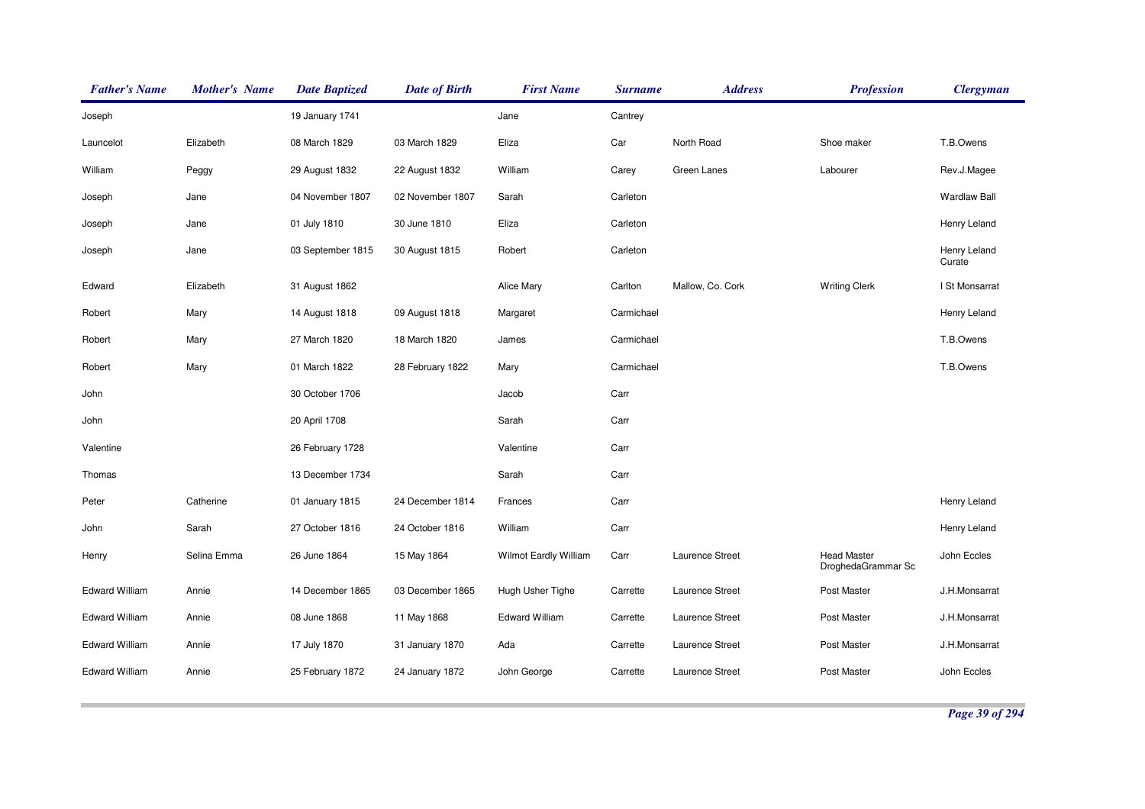| <b>Father's Name</b>  | <b>Mother's Name</b> | <b>Date Baptized</b> | <b>Date of Birth</b> | <b>First Name</b>     | <b>Surname</b> | <b>Address</b>   | <b>Profession</b>                        | <b>Clergyman</b>       |
|-----------------------|----------------------|----------------------|----------------------|-----------------------|----------------|------------------|------------------------------------------|------------------------|
| Joseph                |                      | 19 January 1741      |                      | Jane                  | Cantrey        |                  |                                          |                        |
| Launcelot             | Elizabeth            | 08 March 1829        | 03 March 1829        | Eliza                 | Car            | North Road       | Shoe maker                               | T.B.Owens              |
| William               | Peggy                | 29 August 1832       | 22 August 1832       | William               | Carey          | Green Lanes      | Labourer                                 | Rev.J.Magee            |
| Joseph                | Jane                 | 04 November 1807     | 02 November 1807     | Sarah                 | Carleton       |                  |                                          | <b>Wardlaw Ball</b>    |
| Joseph                | Jane                 | 01 July 1810         | 30 June 1810         | Eliza                 | Carleton       |                  |                                          | Henry Leland           |
| Joseph                | Jane                 | 03 September 1815    | 30 August 1815       | Robert                | Carleton       |                  |                                          | Henry Leland<br>Curate |
| Edward                | Elizabeth            | 31 August 1862       |                      | Alice Mary            | Carlton        | Mallow, Co. Cork | <b>Writing Clerk</b>                     | I St Monsarrat         |
| Robert                | Mary                 | 14 August 1818       | 09 August 1818       | Margaret              | Carmichael     |                  |                                          | Henry Leland           |
| Robert                | Mary                 | 27 March 1820        | 18 March 1820        | James                 | Carmichael     |                  |                                          | T.B.Owens              |
| Robert                | Mary                 | 01 March 1822        | 28 February 1822     | Mary                  | Carmichael     |                  |                                          | T.B.Owens              |
| John                  |                      | 30 October 1706      |                      | Jacob                 | Carr           |                  |                                          |                        |
| John                  |                      | 20 April 1708        |                      | Sarah                 | Carr           |                  |                                          |                        |
| Valentine             |                      | 26 February 1728     |                      | Valentine             | Carr           |                  |                                          |                        |
| Thomas                |                      | 13 December 1734     |                      | Sarah                 | Carr           |                  |                                          |                        |
| Peter                 | Catherine            | 01 January 1815      | 24 December 1814     | Frances               | Carr           |                  |                                          | Henry Leland           |
| John                  | Sarah                | 27 October 1816      | 24 October 1816      | William               | Carr           |                  |                                          | Henry Leland           |
| Henry                 | Selina Emma          | 26 June 1864         | 15 May 1864          | Wilmot Eardly William | Carr           | Laurence Street  | <b>Head Master</b><br>DroghedaGrammar Sc | John Eccles            |
| <b>Edward William</b> | Annie                | 14 December 1865     | 03 December 1865     | Hugh Usher Tighe      | Carrette       | Laurence Street  | Post Master                              | J.H.Monsarrat          |
| <b>Edward William</b> | Annie                | 08 June 1868         | 11 May 1868          | <b>Edward William</b> | Carrette       | Laurence Street  | Post Master                              | J.H.Monsarrat          |
| <b>Edward William</b> | Annie                | 17 July 1870         | 31 January 1870      | Ada                   | Carrette       | Laurence Street  | Post Master                              | J.H.Monsarrat          |
| <b>Edward William</b> | Annie                | 25 February 1872     | 24 January 1872      | John George           | Carrette       | Laurence Street  | Post Master                              | John Eccles            |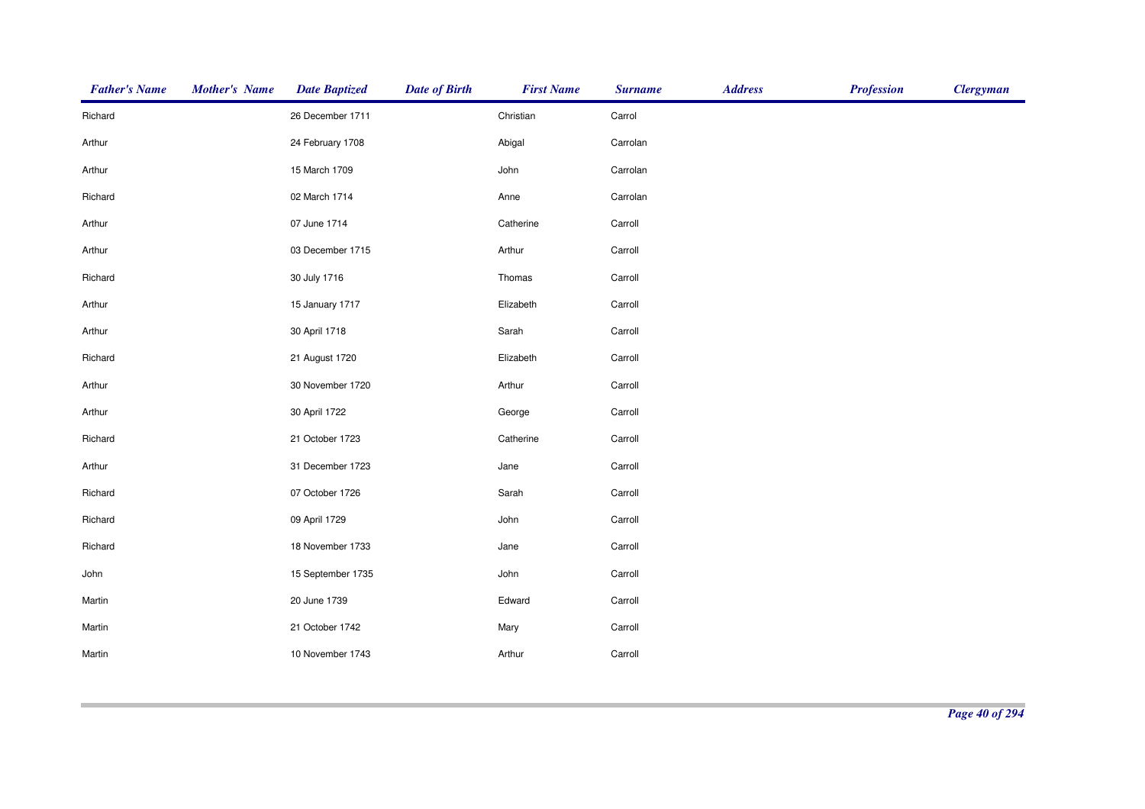| <b>Mother's Name</b> | <b>Date Baptized</b> | <b>Date of Birth</b> | <b>First Name</b> | <b>Surname</b> | <b>Address</b> | <b>Profession</b> | <b>Clergyman</b> |
|----------------------|----------------------|----------------------|-------------------|----------------|----------------|-------------------|------------------|
|                      | 26 December 1711     |                      | Christian         | Carrol         |                |                   |                  |
|                      | 24 February 1708     |                      | Abigal            | Carrolan       |                |                   |                  |
|                      | 15 March 1709        |                      | John              | Carrolan       |                |                   |                  |
|                      | 02 March 1714        |                      | Anne              | Carrolan       |                |                   |                  |
|                      | 07 June 1714         |                      | Catherine         | Carroll        |                |                   |                  |
|                      | 03 December 1715     |                      | Arthur            | Carroll        |                |                   |                  |
|                      | 30 July 1716         |                      | Thomas            | Carroll        |                |                   |                  |
|                      | 15 January 1717      |                      | Elizabeth         | Carroll        |                |                   |                  |
|                      | 30 April 1718        |                      | Sarah             | Carroll        |                |                   |                  |
|                      | 21 August 1720       |                      | Elizabeth         | Carroll        |                |                   |                  |
|                      | 30 November 1720     |                      | Arthur            | Carroll        |                |                   |                  |
|                      | 30 April 1722        |                      | George            | Carroll        |                |                   |                  |
|                      | 21 October 1723      |                      | Catherine         | Carroll        |                |                   |                  |
|                      | 31 December 1723     |                      | Jane              | Carroll        |                |                   |                  |
|                      | 07 October 1726      |                      | Sarah             | Carroll        |                |                   |                  |
|                      | 09 April 1729        |                      | John              | Carroll        |                |                   |                  |
|                      | 18 November 1733     |                      | Jane              | Carroll        |                |                   |                  |
|                      | 15 September 1735    |                      | John              | Carroll        |                |                   |                  |
|                      | 20 June 1739         |                      | Edward            | Carroll        |                |                   |                  |
|                      | 21 October 1742      |                      | Mary              | Carroll        |                |                   |                  |
|                      | 10 November 1743     |                      | Arthur            | Carroll        |                |                   |                  |
|                      |                      |                      |                   |                |                |                   |                  |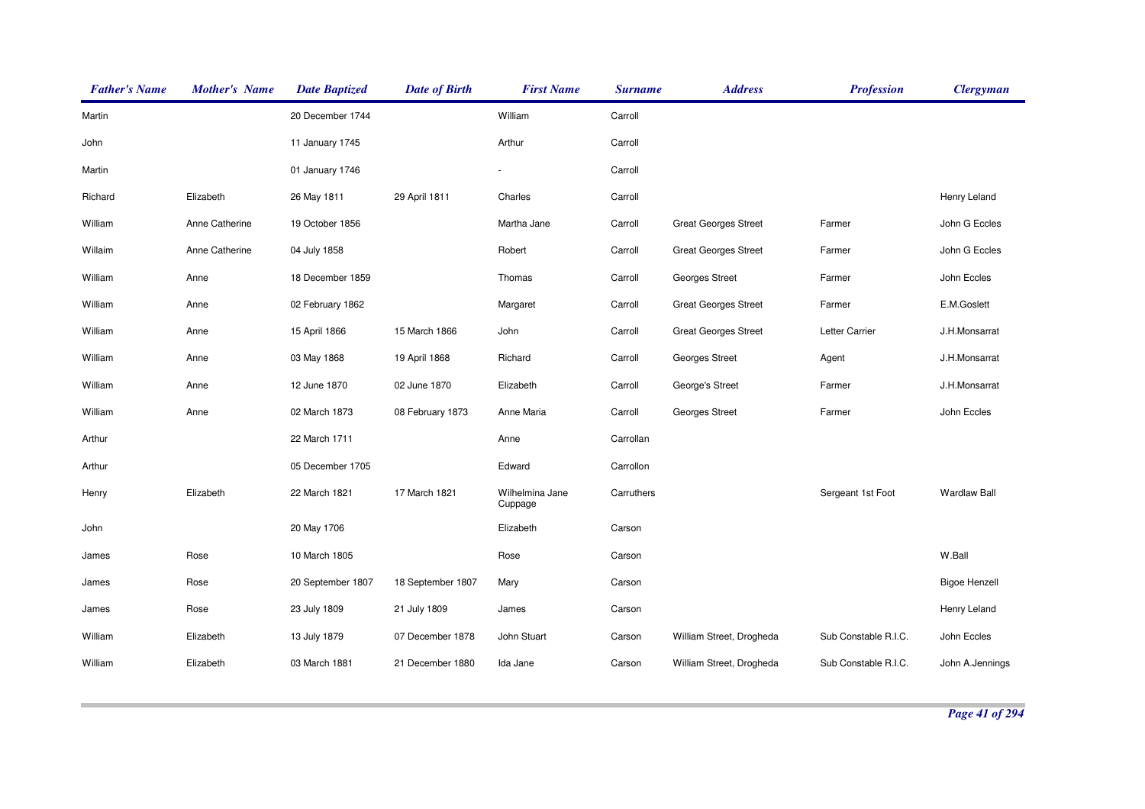| <b>Father's Name</b> | <b>Mother's Name</b> | <b>Date Baptized</b> | <b>Date of Birth</b> | <b>First Name</b>          | <b>Surname</b> | <b>Address</b>              | <b>Profession</b>    | <b>Clergyman</b>     |
|----------------------|----------------------|----------------------|----------------------|----------------------------|----------------|-----------------------------|----------------------|----------------------|
| Martin               |                      | 20 December 1744     |                      | William                    | Carroll        |                             |                      |                      |
| John                 |                      | 11 January 1745      |                      | Arthur                     | Carroll        |                             |                      |                      |
| Martin               |                      | 01 January 1746      |                      |                            | Carroll        |                             |                      |                      |
| Richard              | Elizabeth            | 26 May 1811          | 29 April 1811        | Charles                    | Carroll        |                             |                      | Henry Leland         |
| William              | Anne Catherine       | 19 October 1856      |                      | Martha Jane                | Carroll        | <b>Great Georges Street</b> | Farmer               | John G Eccles        |
| Willaim              | Anne Catherine       | 04 July 1858         |                      | Robert                     | Carroll        | <b>Great Georges Street</b> | Farmer               | John G Eccles        |
| William              | Anne                 | 18 December 1859     |                      | Thomas                     | Carroll        | Georges Street              | Farmer               | John Eccles          |
| William              | Anne                 | 02 February 1862     |                      | Margaret                   | Carroll        | <b>Great Georges Street</b> | Farmer               | E.M.Goslett          |
| William              | Anne                 | 15 April 1866        | 15 March 1866        | John                       | Carroll        | <b>Great Georges Street</b> | Letter Carrier       | J.H.Monsarrat        |
| William              | Anne                 | 03 May 1868          | 19 April 1868        | Richard                    | Carroll        | <b>Georges Street</b>       | Agent                | J.H.Monsarrat        |
| William              | Anne                 | 12 June 1870         | 02 June 1870         | Elizabeth                  | Carroll        | George's Street             | Farmer               | J.H.Monsarrat        |
| William              | Anne                 | 02 March 1873        | 08 February 1873     | Anne Maria                 | Carroll        | Georges Street              | Farmer               | John Eccles          |
| Arthur               |                      | 22 March 1711        |                      | Anne                       | Carrollan      |                             |                      |                      |
| Arthur               |                      | 05 December 1705     |                      | Edward                     | Carrollon      |                             |                      |                      |
| Henry                | Elizabeth            | 22 March 1821        | 17 March 1821        | Wilhelmina Jane<br>Cuppage | Carruthers     |                             | Sergeant 1st Foot    | <b>Wardlaw Ball</b>  |
| John                 |                      | 20 May 1706          |                      | Elizabeth                  | Carson         |                             |                      |                      |
| James                | Rose                 | 10 March 1805        |                      | Rose                       | Carson         |                             |                      | W.Ball               |
| James                | Rose                 | 20 September 1807    | 18 September 1807    | Mary                       | Carson         |                             |                      | <b>Bigoe Henzell</b> |
| James                | Rose                 | 23 July 1809         | 21 July 1809         | James                      | Carson         |                             |                      | Henry Leland         |
| William              | Elizabeth            | 13 July 1879         | 07 December 1878     | John Stuart                | Carson         | William Street, Drogheda    | Sub Constable R.I.C. | John Eccles          |
| William              | Elizabeth            | 03 March 1881        | 21 December 1880     | Ida Jane                   | Carson         | William Street, Drogheda    | Sub Constable R.I.C. | John A.Jennings      |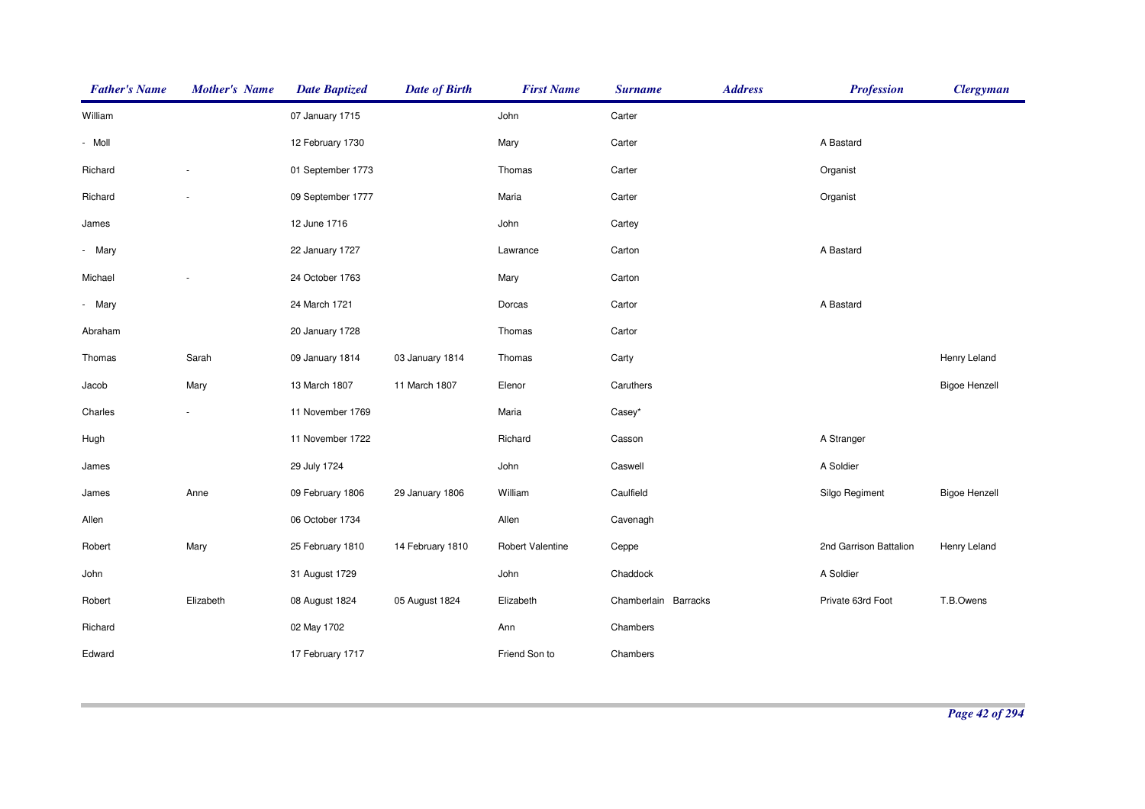| <b>Father's Name</b> | <b>Mother's Name</b>     | <b>Date Baptized</b> | <b>Date of Birth</b> | <b>First Name</b> | <b>Surname</b>       | <b>Address</b> | <b>Profession</b>      | <b>Clergyman</b>     |
|----------------------|--------------------------|----------------------|----------------------|-------------------|----------------------|----------------|------------------------|----------------------|
| William              |                          | 07 January 1715      |                      | John              | Carter               |                |                        |                      |
| - Moll               |                          | 12 February 1730     |                      | Mary              | Carter               |                | A Bastard              |                      |
| Richard              |                          | 01 September 1773    |                      | Thomas            | Carter               |                | Organist               |                      |
| Richard              |                          | 09 September 1777    |                      | Maria             | Carter               |                | Organist               |                      |
| James                |                          | 12 June 1716         |                      | John              | Cartey               |                |                        |                      |
| - Mary               |                          | 22 January 1727      |                      | Lawrance          | Carton               |                | A Bastard              |                      |
| Michael              |                          | 24 October 1763      |                      | Mary              | Carton               |                |                        |                      |
| - Mary               |                          | 24 March 1721        |                      | Dorcas            | Cartor               |                | A Bastard              |                      |
| Abraham              |                          | 20 January 1728      |                      | Thomas            | Cartor               |                |                        |                      |
| Thomas               | Sarah                    | 09 January 1814      | 03 January 1814      | Thomas            | Carty                |                |                        | Henry Leland         |
| Jacob                | Mary                     | 13 March 1807        | 11 March 1807        | Elenor            | Caruthers            |                |                        | <b>Bigoe Henzell</b> |
| Charles              | $\overline{\phantom{a}}$ | 11 November 1769     |                      | Maria             | Casey*               |                |                        |                      |
| Hugh                 |                          | 11 November 1722     |                      | Richard           | Casson               |                | A Stranger             |                      |
| James                |                          | 29 July 1724         |                      | John              | Caswell              |                | A Soldier              |                      |
| James                | Anne                     | 09 February 1806     | 29 January 1806      | William           | Caulfield            |                | Silgo Regiment         | <b>Bigoe Henzell</b> |
| Allen                |                          | 06 October 1734      |                      | Allen             | Cavenagh             |                |                        |                      |
| Robert               | Mary                     | 25 February 1810     | 14 February 1810     | Robert Valentine  | Ceppe                |                | 2nd Garrison Battalion | Henry Leland         |
| John                 |                          | 31 August 1729       |                      | John              | Chaddock             |                | A Soldier              |                      |
| Robert               | Elizabeth                | 08 August 1824       | 05 August 1824       | Elizabeth         | Chamberlain Barracks |                | Private 63rd Foot      | T.B.Owens            |
| Richard              |                          | 02 May 1702          |                      | Ann               | Chambers             |                |                        |                      |
| Edward               |                          | 17 February 1717     |                      | Friend Son to     | Chambers             |                |                        |                      |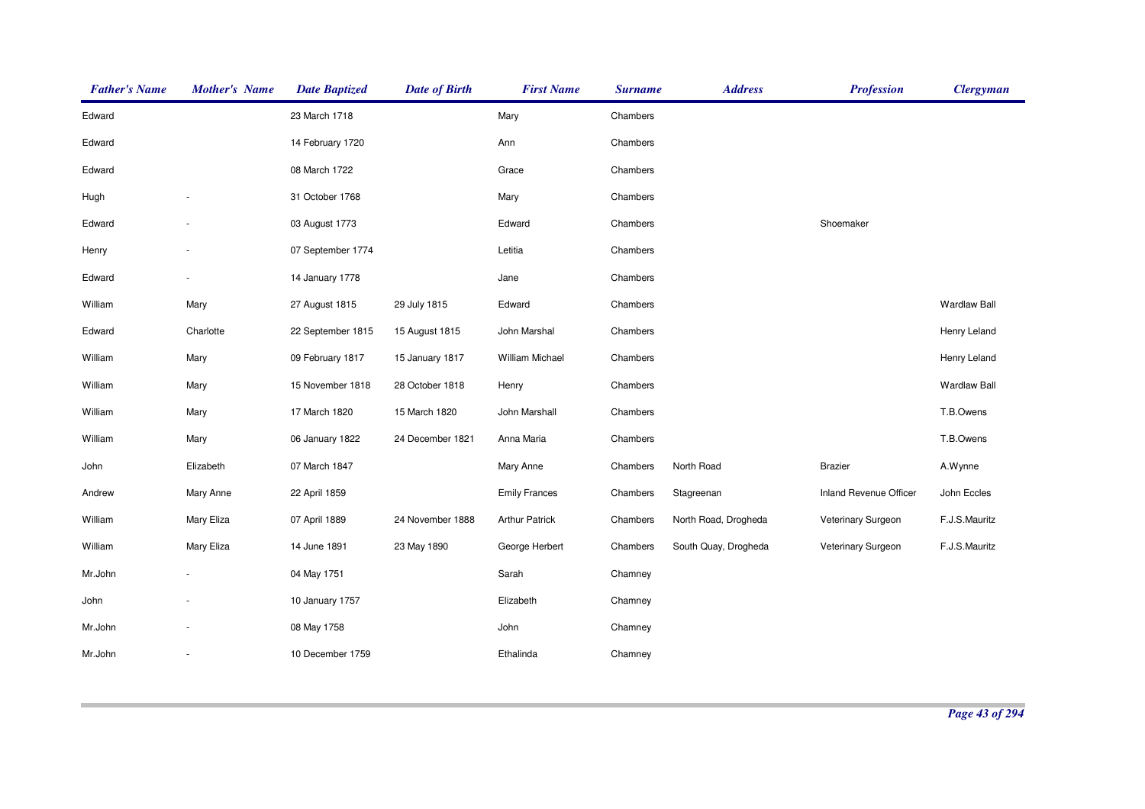| <b>Father's Name</b> | <b>Mother's Name</b>     | <b>Date Baptized</b> | <b>Date of Birth</b> | <b>First Name</b>      | <b>Surname</b> | <b>Address</b>       | <b>Profession</b>      | <b>Clergyman</b>    |
|----------------------|--------------------------|----------------------|----------------------|------------------------|----------------|----------------------|------------------------|---------------------|
| Edward               |                          | 23 March 1718        |                      | Mary                   | Chambers       |                      |                        |                     |
| Edward               |                          | 14 February 1720     |                      | Ann                    | Chambers       |                      |                        |                     |
| Edward               |                          | 08 March 1722        |                      | Grace                  | Chambers       |                      |                        |                     |
| Hugh                 |                          | 31 October 1768      |                      | Mary                   | Chambers       |                      |                        |                     |
| Edward               |                          | 03 August 1773       |                      | Edward                 | Chambers       |                      | Shoemaker              |                     |
| Henry                |                          | 07 September 1774    |                      | Letitia                | Chambers       |                      |                        |                     |
| Edward               |                          | 14 January 1778      |                      | Jane                   | Chambers       |                      |                        |                     |
| William              | Mary                     | 27 August 1815       | 29 July 1815         | Edward                 | Chambers       |                      |                        | <b>Wardlaw Ball</b> |
| Edward               | Charlotte                | 22 September 1815    | 15 August 1815       | John Marshal           | Chambers       |                      |                        | Henry Leland        |
| William              | Mary                     | 09 February 1817     | 15 January 1817      | <b>William Michael</b> | Chambers       |                      |                        | Henry Leland        |
| William              | Mary                     | 15 November 1818     | 28 October 1818      | Henry                  | Chambers       |                      |                        | <b>Wardlaw Ball</b> |
| William              | Mary                     | 17 March 1820        | 15 March 1820        | John Marshall          | Chambers       |                      |                        | T.B.Owens           |
| William              | Mary                     | 06 January 1822      | 24 December 1821     | Anna Maria             | Chambers       |                      |                        | T.B.Owens           |
| John                 | Elizabeth                | 07 March 1847        |                      | Mary Anne              | Chambers       | North Road           | <b>Brazier</b>         | A.Wynne             |
| Andrew               | Mary Anne                | 22 April 1859        |                      | <b>Emily Frances</b>   | Chambers       | Stagreenan           | Inland Revenue Officer | John Eccles         |
| William              | Mary Eliza               | 07 April 1889        | 24 November 1888     | <b>Arthur Patrick</b>  | Chambers       | North Road, Drogheda | Veterinary Surgeon     | F.J.S.Mauritz       |
| William              | Mary Eliza               | 14 June 1891         | 23 May 1890          | George Herbert         | Chambers       | South Quay, Drogheda | Veterinary Surgeon     | F.J.S.Mauritz       |
| Mr.John              |                          | 04 May 1751          |                      | Sarah                  | Chamney        |                      |                        |                     |
| John                 |                          | 10 January 1757      |                      | Elizabeth              | Chamney        |                      |                        |                     |
| Mr.John              |                          | 08 May 1758          |                      | John                   | Chamney        |                      |                        |                     |
| Mr.John              | $\overline{\phantom{a}}$ | 10 December 1759     |                      | Ethalinda              | Chamney        |                      |                        |                     |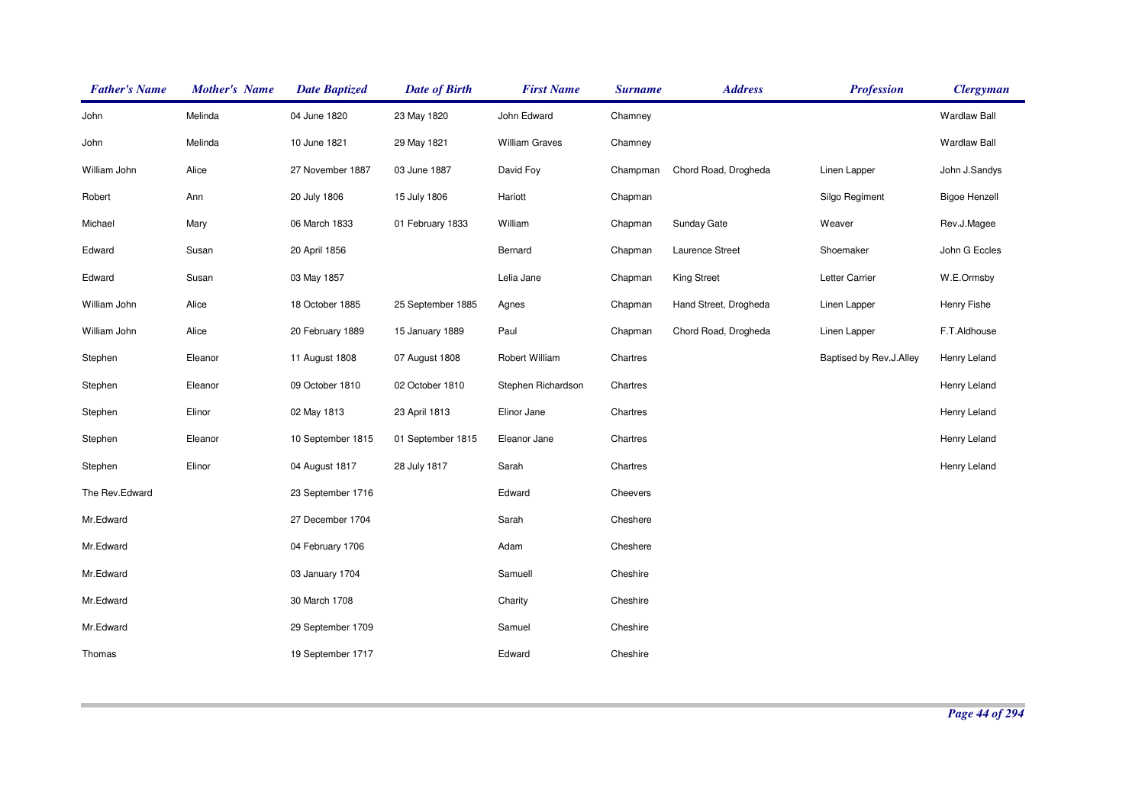| <b>Father's Name</b> | <b>Mother's Name</b> | <b>Date Baptized</b> | <b>Date of Birth</b> | <b>First Name</b>     | <b>Surname</b> | <b>Address</b>        | <b>Profession</b>       | <b>Clergyman</b>     |
|----------------------|----------------------|----------------------|----------------------|-----------------------|----------------|-----------------------|-------------------------|----------------------|
| John                 | Melinda              | 04 June 1820         | 23 May 1820          | John Edward           | Chamney        |                       |                         | <b>Wardlaw Ball</b>  |
| John                 | Melinda              | 10 June 1821         | 29 May 1821          | <b>William Graves</b> | Chamney        |                       |                         | <b>Wardlaw Ball</b>  |
| William John         | Alice                | 27 November 1887     | 03 June 1887         | David Foy             | Champman       | Chord Road, Drogheda  | Linen Lapper            | John J.Sandys        |
| Robert               | Ann                  | 20 July 1806         | 15 July 1806         | Hariott               | Chapman        |                       | Silgo Regiment          | <b>Bigoe Henzell</b> |
| Michael              | Mary                 | 06 March 1833        | 01 February 1833     | William               | Chapman        | Sunday Gate           | Weaver                  | Rev.J.Magee          |
| Edward               | Susan                | 20 April 1856        |                      | Bernard               | Chapman        | Laurence Street       | Shoemaker               | John G Eccles        |
| Edward               | Susan                | 03 May 1857          |                      | Lelia Jane            | Chapman        | <b>King Street</b>    | Letter Carrier          | W.E.Ormsby           |
| William John         | Alice                | 18 October 1885      | 25 September 1885    | Agnes                 | Chapman        | Hand Street, Drogheda | Linen Lapper            | Henry Fishe          |
| William John         | Alice                | 20 February 1889     | 15 January 1889      | Paul                  | Chapman        | Chord Road, Drogheda  | Linen Lapper            | F.T.Aldhouse         |
| Stephen              | Eleanor              | 11 August 1808       | 07 August 1808       | Robert William        | Chartres       |                       | Baptised by Rev.J.Alley | Henry Leland         |
| Stephen              | Eleanor              | 09 October 1810      | 02 October 1810      | Stephen Richardson    | Chartres       |                       |                         | Henry Leland         |
| Stephen              | Elinor               | 02 May 1813          | 23 April 1813        | Elinor Jane           | Chartres       |                       |                         | Henry Leland         |
| Stephen              | Eleanor              | 10 September 1815    | 01 September 1815    | Eleanor Jane          | Chartres       |                       |                         | Henry Leland         |
| Stephen              | Elinor               | 04 August 1817       | 28 July 1817         | Sarah                 | Chartres       |                       |                         | Henry Leland         |
| The Rev.Edward       |                      | 23 September 1716    |                      | Edward                | Cheevers       |                       |                         |                      |
| Mr.Edward            |                      | 27 December 1704     |                      | Sarah                 | Cheshere       |                       |                         |                      |
| Mr.Edward            |                      | 04 February 1706     |                      | Adam                  | Cheshere       |                       |                         |                      |
| Mr.Edward            |                      | 03 January 1704      |                      | Samuell               | Cheshire       |                       |                         |                      |
| Mr.Edward            |                      | 30 March 1708        |                      | Charity               | Cheshire       |                       |                         |                      |
| Mr.Edward            |                      | 29 September 1709    |                      | Samuel                | Cheshire       |                       |                         |                      |
| Thomas               |                      | 19 September 1717    |                      | Edward                | Cheshire       |                       |                         |                      |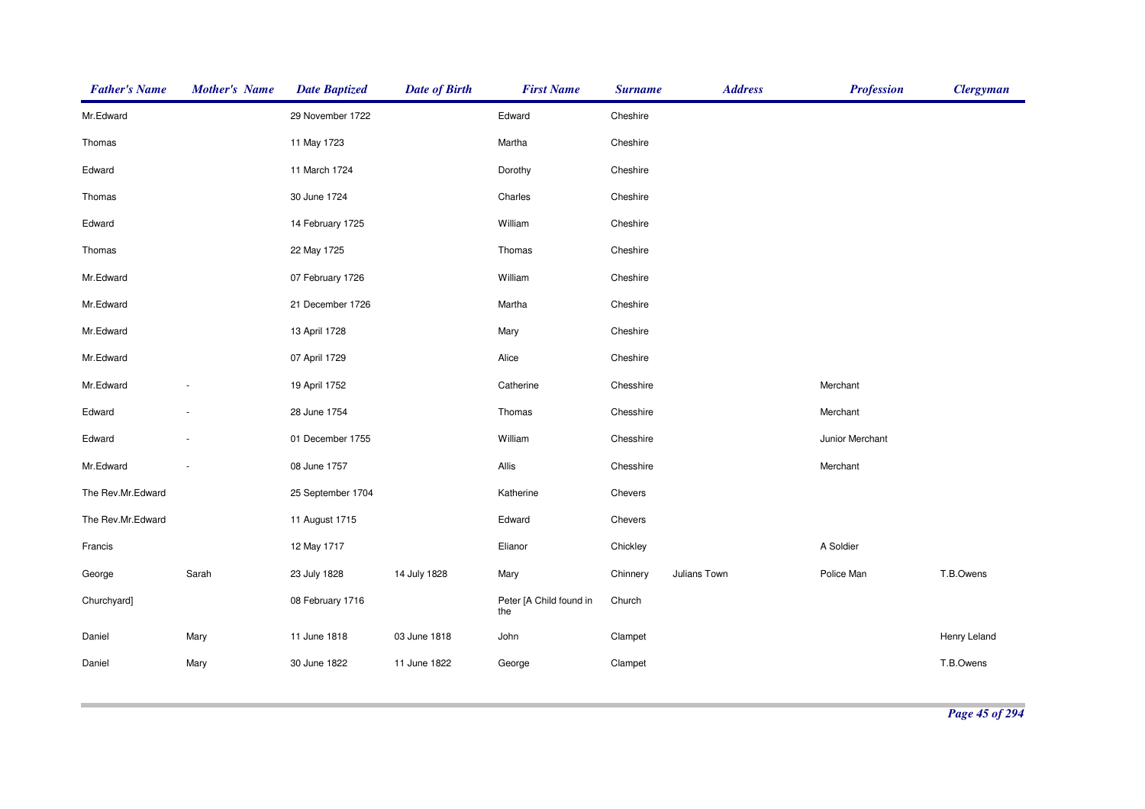| <b>Father's Name</b> | <b>Mother's Name</b>     | <b>Date Baptized</b> | <b>Date of Birth</b> | <b>First Name</b>              | <b>Surname</b> | <b>Address</b> | <b>Profession</b> | <b>Clergyman</b> |
|----------------------|--------------------------|----------------------|----------------------|--------------------------------|----------------|----------------|-------------------|------------------|
| Mr.Edward            |                          | 29 November 1722     |                      | Edward                         | Cheshire       |                |                   |                  |
| Thomas               |                          | 11 May 1723          |                      | Martha                         | Cheshire       |                |                   |                  |
| Edward               |                          | 11 March 1724        |                      | Dorothy                        | Cheshire       |                |                   |                  |
| Thomas               |                          | 30 June 1724         |                      | Charles                        | Cheshire       |                |                   |                  |
| Edward               |                          | 14 February 1725     |                      | William                        | Cheshire       |                |                   |                  |
| Thomas               |                          | 22 May 1725          |                      | Thomas                         | Cheshire       |                |                   |                  |
| Mr.Edward            |                          | 07 February 1726     |                      | William                        | Cheshire       |                |                   |                  |
| Mr.Edward            |                          | 21 December 1726     |                      | Martha                         | Cheshire       |                |                   |                  |
| Mr.Edward            |                          | 13 April 1728        |                      | Mary                           | Cheshire       |                |                   |                  |
| Mr.Edward            |                          | 07 April 1729        |                      | Alice                          | Cheshire       |                |                   |                  |
| Mr.Edward            |                          | 19 April 1752        |                      | Catherine                      | Chesshire      |                | Merchant          |                  |
| Edward               | ÷,                       | 28 June 1754         |                      | Thomas                         | Chesshire      |                | Merchant          |                  |
| Edward               | $\overline{\phantom{a}}$ | 01 December 1755     |                      | William                        | Chesshire      |                | Junior Merchant   |                  |
| Mr.Edward            | $\overline{\phantom{a}}$ | 08 June 1757         |                      | Allis                          | Chesshire      |                | Merchant          |                  |
| The Rev.Mr.Edward    |                          | 25 September 1704    |                      | Katherine                      | Chevers        |                |                   |                  |
| The Rev.Mr.Edward    |                          | 11 August 1715       |                      | Edward                         | Chevers        |                |                   |                  |
| Francis              |                          | 12 May 1717          |                      | Elianor                        | Chickley       |                | A Soldier         |                  |
| George               | Sarah                    | 23 July 1828         | 14 July 1828         | Mary                           | Chinnery       | Julians Town   | Police Man        | T.B.Owens        |
| Churchyard]          |                          | 08 February 1716     |                      | Peter [A Child found in<br>the | Church         |                |                   |                  |
| Daniel               | Mary                     | 11 June 1818         | 03 June 1818         | John                           | Clampet        |                |                   | Henry Leland     |
| Daniel               | Mary                     | 30 June 1822         | 11 June 1822         | George                         | Clampet        |                |                   | T.B.Owens        |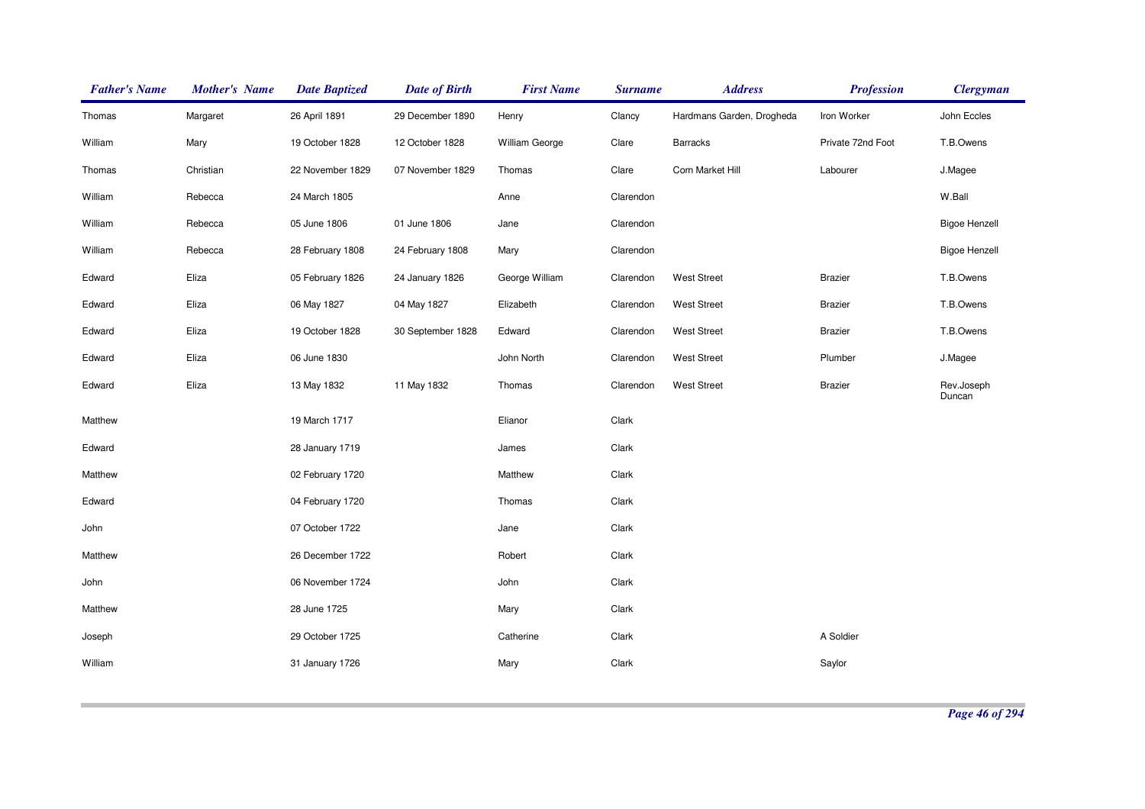| <b>Father's Name</b> | <b>Mother's Name</b> | <b>Date Baptized</b> | <b>Date of Birth</b> | <b>First Name</b> | <b>Surname</b> | <b>Address</b>            | <b>Profession</b> | <b>Clergyman</b>     |
|----------------------|----------------------|----------------------|----------------------|-------------------|----------------|---------------------------|-------------------|----------------------|
| Thomas               | Margaret             | 26 April 1891        | 29 December 1890     | Henry             | Clancy         | Hardmans Garden, Drogheda | Iron Worker       | John Eccles          |
| William              | Mary                 | 19 October 1828      | 12 October 1828      | William George    | Clare          | Barracks                  | Private 72nd Foot | T.B.Owens            |
| Thomas               | Christian            | 22 November 1829     | 07 November 1829     | Thomas            | Clare          | Corn Market Hill          | Labourer          | J.Magee              |
| William              | Rebecca              | 24 March 1805        |                      | Anne              | Clarendon      |                           |                   | W.Ball               |
| William              | Rebecca              | 05 June 1806         | 01 June 1806         | Jane              | Clarendon      |                           |                   | <b>Bigoe Henzell</b> |
| William              | Rebecca              | 28 February 1808     | 24 February 1808     | Mary              | Clarendon      |                           |                   | <b>Bigoe Henzell</b> |
| Edward               | Eliza                | 05 February 1826     | 24 January 1826      | George William    | Clarendon      | <b>West Street</b>        | <b>Brazier</b>    | T.B.Owens            |
| Edward               | Eliza                | 06 May 1827          | 04 May 1827          | Elizabeth         | Clarendon      | <b>West Street</b>        | <b>Brazier</b>    | T.B.Owens            |
| Edward               | Eliza                | 19 October 1828      | 30 September 1828    | Edward            | Clarendon      | <b>West Street</b>        | <b>Brazier</b>    | T.B.Owens            |
| Edward               | Eliza                | 06 June 1830         |                      | John North        | Clarendon      | <b>West Street</b>        | Plumber           | J.Magee              |
| Edward               | Eliza                | 13 May 1832          | 11 May 1832          | Thomas            | Clarendon      | <b>West Street</b>        | <b>Brazier</b>    | Rev.Joseph<br>Duncan |
| Matthew              |                      | 19 March 1717        |                      | Elianor           | Clark          |                           |                   |                      |
| Edward               |                      | 28 January 1719      |                      | James             | Clark          |                           |                   |                      |
| Matthew              |                      | 02 February 1720     |                      | Matthew           | Clark          |                           |                   |                      |
| Edward               |                      | 04 February 1720     |                      | Thomas            | Clark          |                           |                   |                      |
| John                 |                      | 07 October 1722      |                      | Jane              | Clark          |                           |                   |                      |
| Matthew              |                      | 26 December 1722     |                      | Robert            | Clark          |                           |                   |                      |
| John                 |                      | 06 November 1724     |                      | John              | Clark          |                           |                   |                      |
| Matthew              |                      | 28 June 1725         |                      | Mary              | Clark          |                           |                   |                      |
| Joseph               |                      | 29 October 1725      |                      | Catherine         | Clark          |                           | A Soldier         |                      |
| William              |                      | 31 January 1726      |                      | Mary              | Clark          |                           | Saylor            |                      |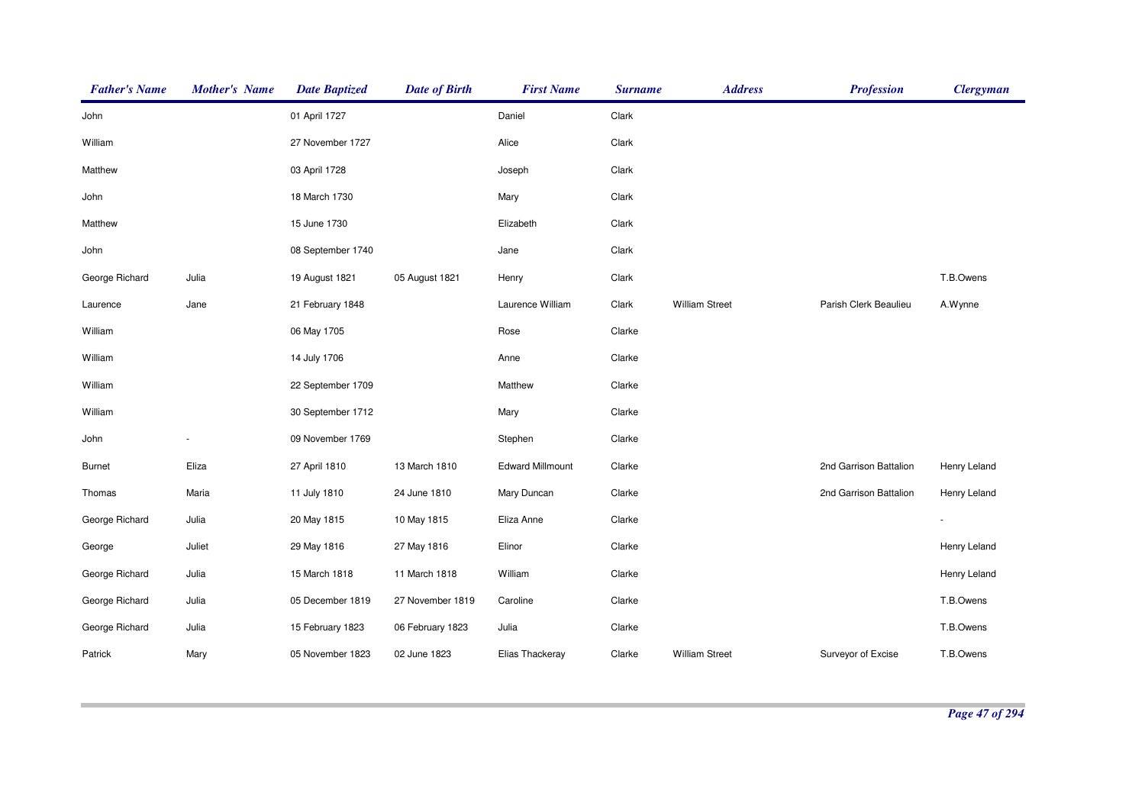| <b>Father's Name</b> | <b>Mother's Name</b> | <b>Date Baptized</b> | <b>Date of Birth</b> | <b>First Name</b>       | <b>Surname</b> | <b>Address</b>        | <b>Profession</b>      | <b>Clergyman</b> |
|----------------------|----------------------|----------------------|----------------------|-------------------------|----------------|-----------------------|------------------------|------------------|
| John                 |                      | 01 April 1727        |                      | Daniel                  | Clark          |                       |                        |                  |
| William              |                      | 27 November 1727     |                      | Alice                   | Clark          |                       |                        |                  |
| Matthew              |                      | 03 April 1728        |                      | Joseph                  | Clark          |                       |                        |                  |
| John                 |                      | 18 March 1730        |                      | Mary                    | Clark          |                       |                        |                  |
| Matthew              |                      | 15 June 1730         |                      | Elizabeth               | Clark          |                       |                        |                  |
| John                 |                      | 08 September 1740    |                      | Jane                    | Clark          |                       |                        |                  |
| George Richard       | Julia                | 19 August 1821       | 05 August 1821       | Henry                   | Clark          |                       |                        | T.B.Owens        |
| Laurence             | Jane                 | 21 February 1848     |                      | Laurence William        | Clark          | <b>William Street</b> | Parish Clerk Beaulieu  | A.Wynne          |
| William              |                      | 06 May 1705          |                      | Rose                    | Clarke         |                       |                        |                  |
| William              |                      | 14 July 1706         |                      | Anne                    | Clarke         |                       |                        |                  |
| William              |                      | 22 September 1709    |                      | Matthew                 | Clarke         |                       |                        |                  |
| William              |                      | 30 September 1712    |                      | Mary                    | Clarke         |                       |                        |                  |
| John                 |                      | 09 November 1769     |                      | Stephen                 | Clarke         |                       |                        |                  |
| <b>Burnet</b>        | Eliza                | 27 April 1810        | 13 March 1810        | <b>Edward Millmount</b> | Clarke         |                       | 2nd Garrison Battalion | Henry Leland     |
| Thomas               | Maria                | 11 July 1810         | 24 June 1810         | Mary Duncan             | Clarke         |                       | 2nd Garrison Battalion | Henry Leland     |
| George Richard       | Julia                | 20 May 1815          | 10 May 1815          | Eliza Anne              | Clarke         |                       |                        |                  |
| George               | Juliet               | 29 May 1816          | 27 May 1816          | Elinor                  | Clarke         |                       |                        | Henry Leland     |
| George Richard       | Julia                | 15 March 1818        | 11 March 1818        | William                 | Clarke         |                       |                        | Henry Leland     |
| George Richard       | Julia                | 05 December 1819     | 27 November 1819     | Caroline                | Clarke         |                       |                        | T.B.Owens        |
| George Richard       | Julia                | 15 February 1823     | 06 February 1823     | Julia                   | Clarke         |                       |                        | T.B.Owens        |
| Patrick              | Mary                 | 05 November 1823     | 02 June 1823         | Elias Thackeray         | Clarke         | <b>William Street</b> | Surveyor of Excise     | T.B.Owens        |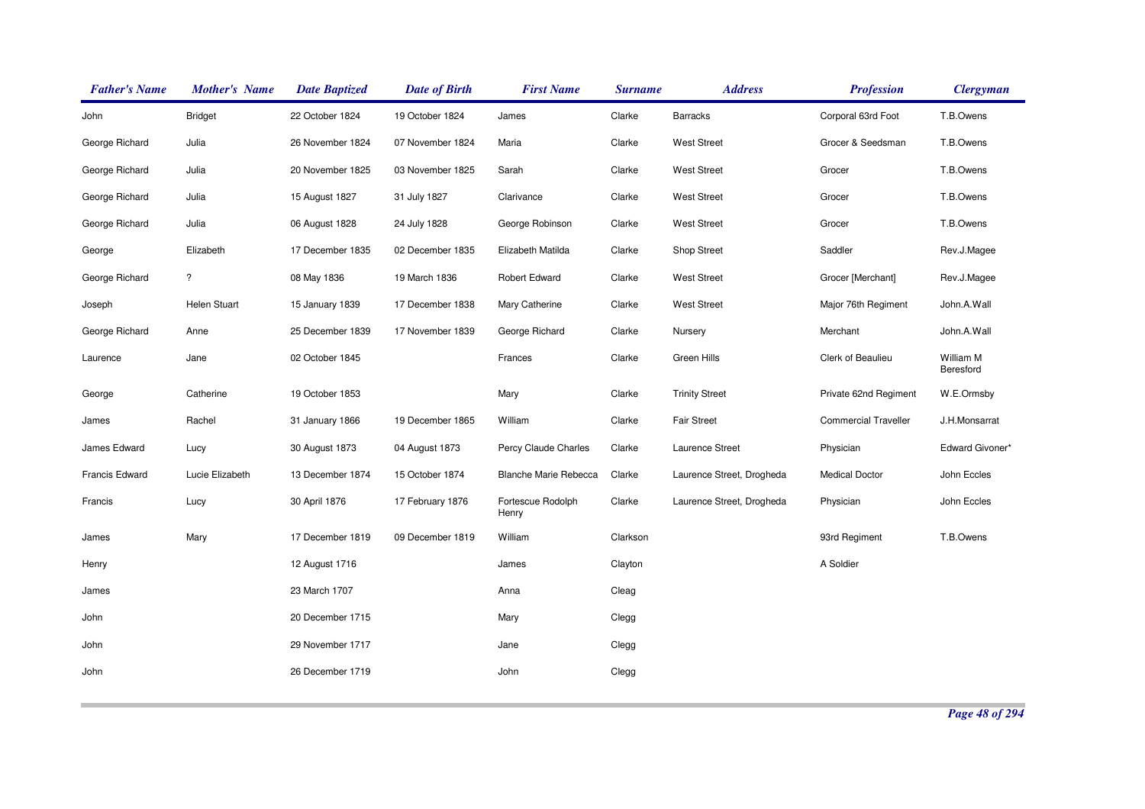| <b>Father's Name</b> | <b>Mother's Name</b>    | <b>Date Baptized</b> | <b>Date of Birth</b> | <b>First Name</b>            | <b>Surname</b> | <b>Address</b>            | <b>Profession</b>           | <b>Clergyman</b>       |
|----------------------|-------------------------|----------------------|----------------------|------------------------------|----------------|---------------------------|-----------------------------|------------------------|
| John                 | <b>Bridget</b>          | 22 October 1824      | 19 October 1824      | James                        | Clarke         | <b>Barracks</b>           | Corporal 63rd Foot          | T.B.Owens              |
| George Richard       | Julia                   | 26 November 1824     | 07 November 1824     | Maria                        | Clarke         | <b>West Street</b>        | Grocer & Seedsman           | T.B.Owens              |
| George Richard       | Julia                   | 20 November 1825     | 03 November 1825     | Sarah                        | Clarke         | <b>West Street</b>        | Grocer                      | T.B.Owens              |
| George Richard       | Julia                   | 15 August 1827       | 31 July 1827         | Clarivance                   | Clarke         | <b>West Street</b>        | Grocer                      | T.B.Owens              |
| George Richard       | Julia                   | 06 August 1828       | 24 July 1828         | George Robinson              | Clarke         | <b>West Street</b>        | Grocer                      | T.B.Owens              |
| George               | Elizabeth               | 17 December 1835     | 02 December 1835     | Elizabeth Matilda            | Clarke         | Shop Street               | Saddler                     | Rev.J.Magee            |
| George Richard       | $\overline{\mathbf{?}}$ | 08 May 1836          | 19 March 1836        | Robert Edward                | Clarke         | <b>West Street</b>        | Grocer [Merchant]           | Rev.J.Magee            |
| Joseph               | Helen Stuart            | 15 January 1839      | 17 December 1838     | Mary Catherine               | Clarke         | <b>West Street</b>        | Major 76th Regiment         | John.A.Wall            |
| George Richard       | Anne                    | 25 December 1839     | 17 November 1839     | George Richard               | Clarke         | Nursery                   | Merchant                    | John.A.Wall            |
| Laurence             | Jane                    | 02 October 1845      |                      | Frances                      | Clarke         | Green Hills               | Clerk of Beaulieu           | William M<br>Beresford |
| George               | Catherine               | 19 October 1853      |                      | Mary                         | Clarke         | <b>Trinity Street</b>     | Private 62nd Regiment       | W.E.Ormsby             |
| James                | Rachel                  | 31 January 1866      | 19 December 1865     | William                      | Clarke         | <b>Fair Street</b>        | <b>Commercial Traveller</b> | J.H.Monsarrat          |
| James Edward         | Lucy                    | 30 August 1873       | 04 August 1873       | Percy Claude Charles         | Clarke         | Laurence Street           | Physician                   | Edward Givoner*        |
| Francis Edward       | Lucie Elizabeth         | 13 December 1874     | 15 October 1874      | <b>Blanche Marie Rebecca</b> | Clarke         | Laurence Street, Drogheda | <b>Medical Doctor</b>       | John Eccles            |
| Francis              | Lucy                    | 30 April 1876        | 17 February 1876     | Fortescue Rodolph<br>Henry   | Clarke         | Laurence Street, Drogheda | Physician                   | John Eccles            |
| James                | Mary                    | 17 December 1819     | 09 December 1819     | William                      | Clarkson       |                           | 93rd Regiment               | T.B.Owens              |
| Henry                |                         | 12 August 1716       |                      | James                        | Clayton        |                           | A Soldier                   |                        |
| James                |                         | 23 March 1707        |                      | Anna                         | Cleag          |                           |                             |                        |
| John                 |                         | 20 December 1715     |                      | Mary                         | Clegg          |                           |                             |                        |
| John                 |                         | 29 November 1717     |                      | Jane                         | Clegg          |                           |                             |                        |
| John                 |                         | 26 December 1719     |                      | John                         | Clegg          |                           |                             |                        |
|                      |                         |                      |                      |                              |                |                           |                             |                        |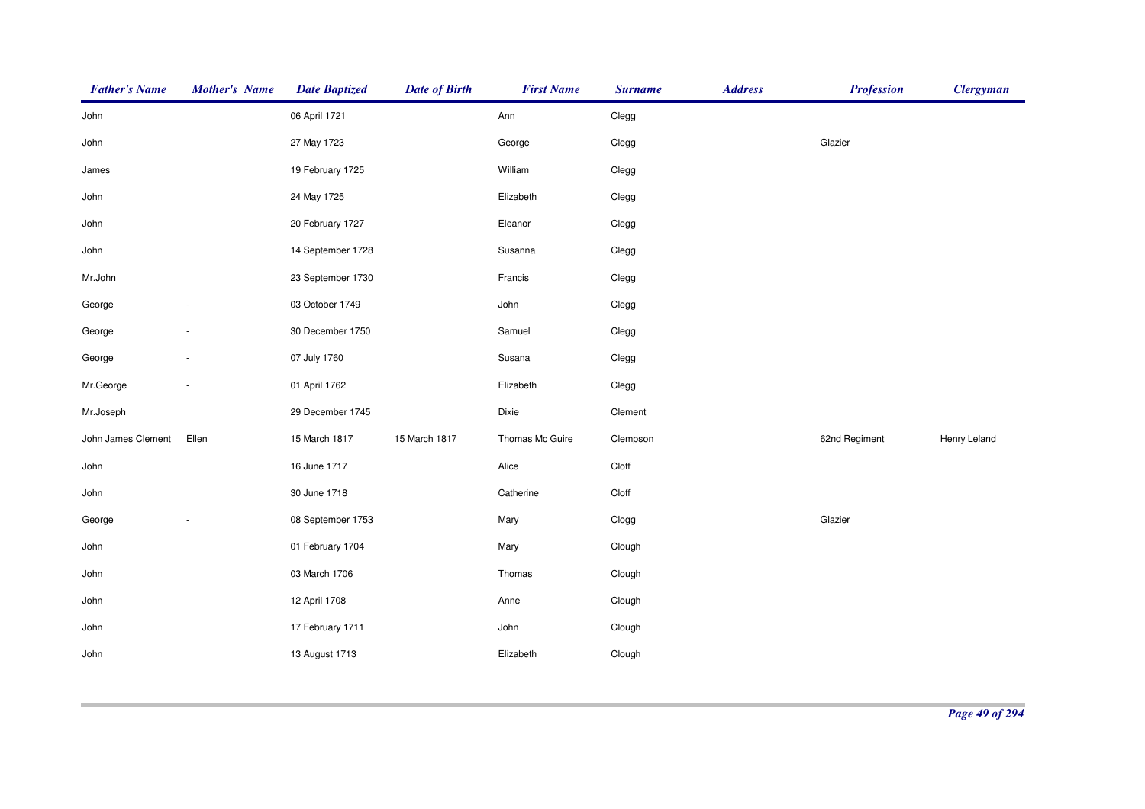| <b>Father's Name</b> | <b>Mother's Name</b>     | <b>Date Baptized</b> | <b>Date of Birth</b> | <b>First Name</b> | <b>Surname</b> | <b>Address</b> | <b>Profession</b> | <b>Clergyman</b> |
|----------------------|--------------------------|----------------------|----------------------|-------------------|----------------|----------------|-------------------|------------------|
| John                 |                          | 06 April 1721        |                      | Ann               | Clegg          |                |                   |                  |
| John                 |                          | 27 May 1723          |                      | George            | Clegg          |                | Glazier           |                  |
| James                |                          | 19 February 1725     |                      | William           | Clegg          |                |                   |                  |
| John                 |                          | 24 May 1725          |                      | Elizabeth         | Clegg          |                |                   |                  |
| John                 |                          | 20 February 1727     |                      | Eleanor           | Clegg          |                |                   |                  |
| John                 |                          | 14 September 1728    |                      | Susanna           | Clegg          |                |                   |                  |
| Mr.John              |                          | 23 September 1730    |                      | Francis           | Clegg          |                |                   |                  |
| George               |                          | 03 October 1749      |                      | John              | Clegg          |                |                   |                  |
| George               |                          | 30 December 1750     |                      | Samuel            | Clegg          |                |                   |                  |
| George               | $\overline{\phantom{a}}$ | 07 July 1760         |                      | Susana            | Clegg          |                |                   |                  |
| Mr.George            | $\overline{\phantom{a}}$ | 01 April 1762        |                      | Elizabeth         | Clegg          |                |                   |                  |
| Mr.Joseph            |                          | 29 December 1745     |                      | Dixie             | Clement        |                |                   |                  |
| John James Clement   | Ellen                    | 15 March 1817        | 15 March 1817        | Thomas Mc Guire   | Clempson       |                | 62nd Regiment     | Henry Leland     |
| John                 |                          | 16 June 1717         |                      | Alice             | Cloff          |                |                   |                  |
| John                 |                          | 30 June 1718         |                      | Catherine         | Cloff          |                |                   |                  |
| George               |                          | 08 September 1753    |                      | Mary              | Clogg          |                | Glazier           |                  |
| John                 |                          | 01 February 1704     |                      | Mary              | Clough         |                |                   |                  |
| John                 |                          | 03 March 1706        |                      | Thomas            | Clough         |                |                   |                  |
| John                 |                          | 12 April 1708        |                      | Anne              | Clough         |                |                   |                  |
| John                 |                          | 17 February 1711     |                      | John              | Clough         |                |                   |                  |
| John                 |                          | 13 August 1713       |                      | Elizabeth         | Clough         |                |                   |                  |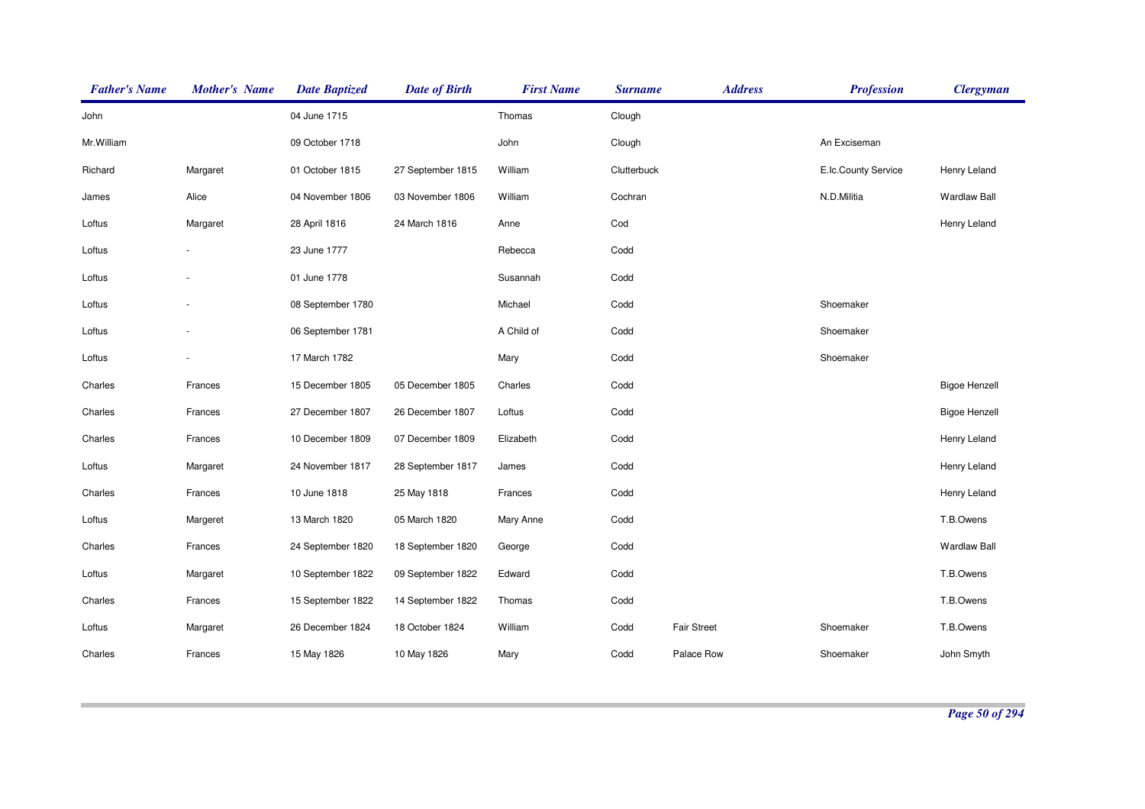| <b>Father's Name</b> | <b>Mother's Name</b> | <b>Date Baptized</b> | <b>Date of Birth</b> | <b>First Name</b> | <b>Surname</b> | <b>Address</b>     | <b>Profession</b>   | <b>Clergyman</b>     |
|----------------------|----------------------|----------------------|----------------------|-------------------|----------------|--------------------|---------------------|----------------------|
| John                 |                      | 04 June 1715         |                      | Thomas            | Clough         |                    |                     |                      |
| Mr. William          |                      | 09 October 1718      |                      | John              | Clough         |                    | An Exciseman        |                      |
| Richard              | Margaret             | 01 October 1815      | 27 September 1815    | William           | Clutterbuck    |                    | E.Ic.County Service | Henry Leland         |
| James                | Alice                | 04 November 1806     | 03 November 1806     | William           | Cochran        |                    | N.D.Militia         | <b>Wardlaw Ball</b>  |
| Loftus               | Margaret             | 28 April 1816        | 24 March 1816        | Anne              | Cod            |                    |                     | Henry Leland         |
| Loftus               |                      | 23 June 1777         |                      | Rebecca           | Codd           |                    |                     |                      |
| Loftus               |                      | 01 June 1778         |                      | Susannah          | Codd           |                    |                     |                      |
| Loftus               |                      | 08 September 1780    |                      | Michael           | Codd           |                    | Shoemaker           |                      |
| Loftus               |                      | 06 September 1781    |                      | A Child of        | Codd           |                    | Shoemaker           |                      |
| Loftus               |                      | 17 March 1782        |                      | Mary              | Codd           |                    | Shoemaker           |                      |
| Charles              | Frances              | 15 December 1805     | 05 December 1805     | Charles           | Codd           |                    |                     | <b>Bigoe Henzell</b> |
| Charles              | Frances              | 27 December 1807     | 26 December 1807     | Loftus            | Codd           |                    |                     | <b>Bigoe Henzell</b> |
| Charles              | Frances              | 10 December 1809     | 07 December 1809     | Elizabeth         | Codd           |                    |                     | Henry Leland         |
| Loftus               | Margaret             | 24 November 1817     | 28 September 1817    | James             | Codd           |                    |                     | Henry Leland         |
| Charles              | Frances              | 10 June 1818         | 25 May 1818          | Frances           | Codd           |                    |                     | Henry Leland         |
| Loftus               | Margeret             | 13 March 1820        | 05 March 1820        | Mary Anne         | Codd           |                    |                     | T.B.Owens            |
| Charles              | Frances              | 24 September 1820    | 18 September 1820    | George            | Codd           |                    |                     | <b>Wardlaw Ball</b>  |
| Loftus               | Margaret             | 10 September 1822    | 09 September 1822    | Edward            | Codd           |                    |                     | T.B.Owens            |
| Charles              | Frances              | 15 September 1822    | 14 September 1822    | Thomas            | Codd           |                    |                     | T.B.Owens            |
| Loftus               | Margaret             | 26 December 1824     | 18 October 1824      | William           | Codd           | <b>Fair Street</b> | Shoemaker           | T.B.Owens            |
| Charles              | Frances              | 15 May 1826          | 10 May 1826          | Mary              | Codd           | Palace Row         | Shoemaker           | John Smyth           |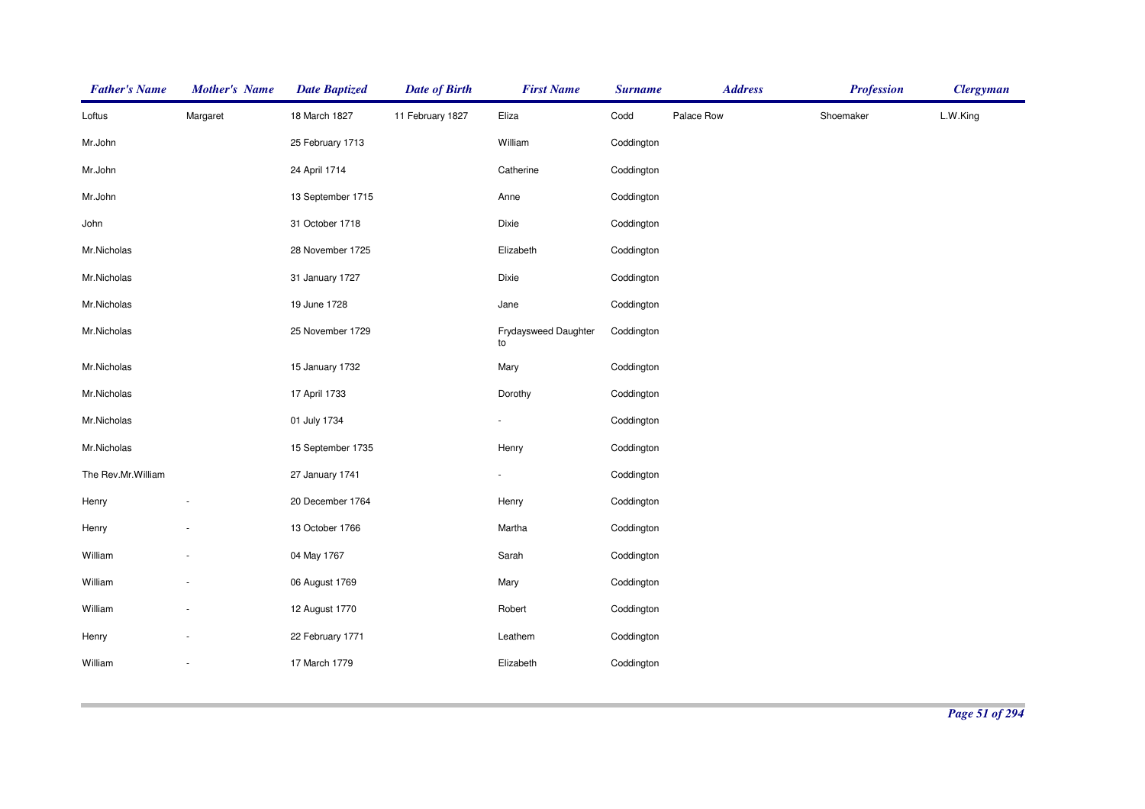| <b>Father's Name</b> | <b>Mother's Name</b>     | <b>Date Baptized</b> | <b>Date of Birth</b> | <b>First Name</b>          | <b>Surname</b> | <b>Address</b> | <b>Profession</b> | <b>Clergyman</b> |
|----------------------|--------------------------|----------------------|----------------------|----------------------------|----------------|----------------|-------------------|------------------|
| Loftus               | Margaret                 | 18 March 1827        | 11 February 1827     | Eliza                      | Codd           | Palace Row     | Shoemaker         | L.W.King         |
| Mr.John              |                          | 25 February 1713     |                      | William                    | Coddington     |                |                   |                  |
| Mr.John              |                          | 24 April 1714        |                      | Catherine                  | Coddington     |                |                   |                  |
| Mr.John              |                          | 13 September 1715    |                      | Anne                       | Coddington     |                |                   |                  |
| John                 |                          | 31 October 1718      |                      | Dixie                      | Coddington     |                |                   |                  |
| Mr.Nicholas          |                          | 28 November 1725     |                      | Elizabeth                  | Coddington     |                |                   |                  |
| Mr.Nicholas          |                          | 31 January 1727      |                      | Dixie                      | Coddington     |                |                   |                  |
| Mr.Nicholas          |                          | 19 June 1728         |                      | Jane                       | Coddington     |                |                   |                  |
| Mr.Nicholas          |                          | 25 November 1729     |                      | Frydaysweed Daughter<br>to | Coddington     |                |                   |                  |
| Mr.Nicholas          |                          | 15 January 1732      |                      | Mary                       | Coddington     |                |                   |                  |
| Mr.Nicholas          |                          | 17 April 1733        |                      | Dorothy                    | Coddington     |                |                   |                  |
| Mr.Nicholas          |                          | 01 July 1734         |                      |                            | Coddington     |                |                   |                  |
| Mr.Nicholas          |                          | 15 September 1735    |                      | Henry                      | Coddington     |                |                   |                  |
| The Rev.Mr.William   |                          | 27 January 1741      |                      |                            | Coddington     |                |                   |                  |
| Henry                |                          | 20 December 1764     |                      | Henry                      | Coddington     |                |                   |                  |
| Henry                |                          | 13 October 1766      |                      | Martha                     | Coddington     |                |                   |                  |
| William              |                          | 04 May 1767          |                      | Sarah                      | Coddington     |                |                   |                  |
| William              |                          | 06 August 1769       |                      | Mary                       | Coddington     |                |                   |                  |
| William              | $\overline{\phantom{a}}$ | 12 August 1770       |                      | Robert                     | Coddington     |                |                   |                  |
| Henry                |                          | 22 February 1771     |                      | Leathem                    | Coddington     |                |                   |                  |
| William              |                          | 17 March 1779        |                      | Elizabeth                  | Coddington     |                |                   |                  |
|                      |                          |                      |                      |                            |                |                |                   |                  |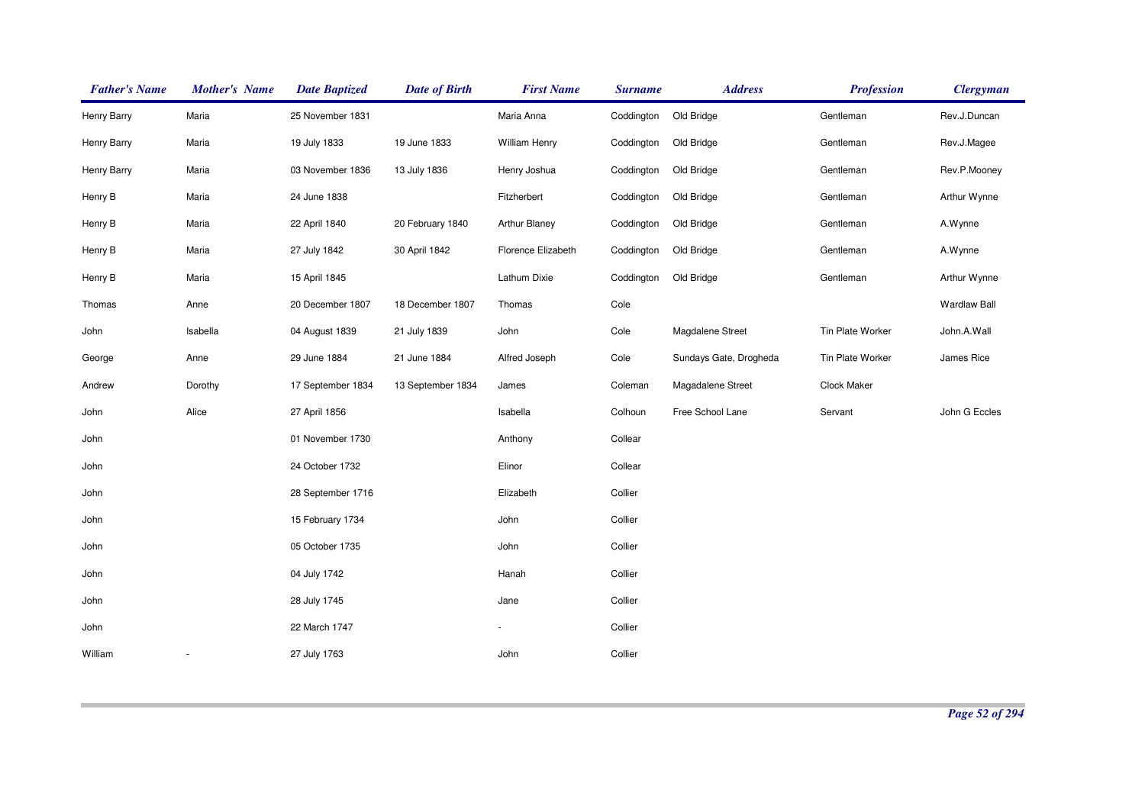| <b>Father's Name</b> | <b>Mother's Name</b> | <b>Date Baptized</b> | <b>Date of Birth</b> | <b>First Name</b>        | <b>Surname</b> | <b>Address</b>         | <b>Profession</b> | <b>Clergyman</b> |
|----------------------|----------------------|----------------------|----------------------|--------------------------|----------------|------------------------|-------------------|------------------|
| <b>Henry Barry</b>   | Maria                | 25 November 1831     |                      | Maria Anna               | Coddington     | Old Bridge             | Gentleman         | Rev.J.Duncan     |
| Henry Barry          | Maria                | 19 July 1833         | 19 June 1833         | <b>William Henry</b>     | Coddington     | Old Bridge             | Gentleman         | Rev.J.Magee      |
| Henry Barry          | Maria                | 03 November 1836     | 13 July 1836         | Henry Joshua             | Coddington     | Old Bridge             | Gentleman         | Rev.P.Mooney     |
| Henry B              | Maria                | 24 June 1838         |                      | Fitzherbert              | Coddington     | Old Bridge             | Gentleman         | Arthur Wynne     |
| Henry B              | Maria                | 22 April 1840        | 20 February 1840     | Arthur Blaney            | Coddington     | Old Bridge             | Gentleman         | A.Wynne          |
| Henry B              | Maria                | 27 July 1842         | 30 April 1842        | Florence Elizabeth       | Coddington     | Old Bridge             | Gentleman         | A.Wynne          |
| Henry B              | Maria                | 15 April 1845        |                      | Lathum Dixie             | Coddington     | Old Bridge             | Gentleman         | Arthur Wynne     |
| Thomas               | Anne                 | 20 December 1807     | 18 December 1807     | Thomas                   | Cole           |                        |                   | Wardlaw Ball     |
| John                 | Isabella             | 04 August 1839       | 21 July 1839         | John                     | Cole           | Magdalene Street       | Tin Plate Worker  | John.A.Wall      |
| George               | Anne                 | 29 June 1884         | 21 June 1884         | Alfred Joseph            | Cole           | Sundays Gate, Drogheda | Tin Plate Worker  | James Rice       |
| Andrew               | Dorothy              | 17 September 1834    | 13 September 1834    | James                    | Coleman        | Magadalene Street      | Clock Maker       |                  |
| John                 | Alice                | 27 April 1856        |                      | Isabella                 | Colhoun        | Free School Lane       | Servant           | John G Eccles    |
| John                 |                      | 01 November 1730     |                      | Anthony                  | Collear        |                        |                   |                  |
| John                 |                      | 24 October 1732      |                      | Elinor                   | Collear        |                        |                   |                  |
| John                 |                      | 28 September 1716    |                      | Elizabeth                | Collier        |                        |                   |                  |
| John                 |                      | 15 February 1734     |                      | John                     | Collier        |                        |                   |                  |
| John                 |                      | 05 October 1735      |                      | John                     | Collier        |                        |                   |                  |
| John                 |                      | 04 July 1742         |                      | Hanah                    | Collier        |                        |                   |                  |
| John                 |                      | 28 July 1745         |                      | Jane                     | Collier        |                        |                   |                  |
| John                 |                      | 22 March 1747        |                      | $\overline{\phantom{a}}$ | Collier        |                        |                   |                  |
| William              |                      | 27 July 1763         |                      | John                     | Collier        |                        |                   |                  |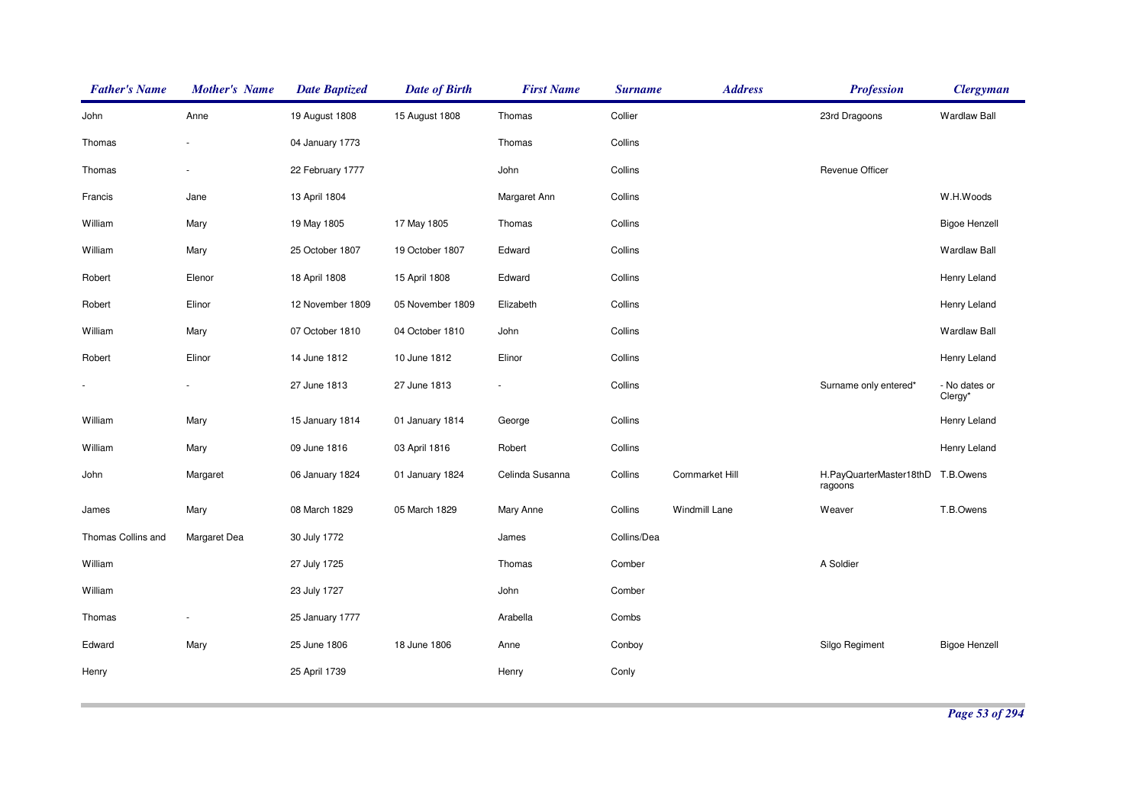| <b>Father's Name</b> | <b>Mother's Name</b> | <b>Date Baptized</b> | <b>Date of Birth</b> | <b>First Name</b> | <b>Surname</b> | <b>Address</b>  | <b>Profession</b>                  | <b>Clergyman</b>         |
|----------------------|----------------------|----------------------|----------------------|-------------------|----------------|-----------------|------------------------------------|--------------------------|
| John                 | Anne                 | 19 August 1808       | 15 August 1808       | Thomas            | Collier        |                 | 23rd Dragoons                      | <b>Wardlaw Ball</b>      |
| Thomas               |                      | 04 January 1773      |                      | Thomas            | Collins        |                 |                                    |                          |
| Thomas               |                      | 22 February 1777     |                      | John              | Collins        |                 | Revenue Officer                    |                          |
| Francis              | Jane                 | 13 April 1804        |                      | Margaret Ann      | Collins        |                 |                                    | W.H.Woods                |
| William              | Mary                 | 19 May 1805          | 17 May 1805          | Thomas            | Collins        |                 |                                    | <b>Bigoe Henzell</b>     |
| William              | Mary                 | 25 October 1807      | 19 October 1807      | Edward            | Collins        |                 |                                    | <b>Wardlaw Ball</b>      |
| Robert               | Elenor               | 18 April 1808        | 15 April 1808        | Edward            | Collins        |                 |                                    | Henry Leland             |
| Robert               | Elinor               | 12 November 1809     | 05 November 1809     | Elizabeth         | Collins        |                 |                                    | Henry Leland             |
| William              | Mary                 | 07 October 1810      | 04 October 1810      | John              | Collins        |                 |                                    | <b>Wardlaw Ball</b>      |
| Robert               | Elinor               | 14 June 1812         | 10 June 1812         | Elinor            | Collins        |                 |                                    | Henry Leland             |
|                      |                      | 27 June 1813         | 27 June 1813         |                   | Collins        |                 | Surname only entered*              | - No dates or<br>Clergy* |
| William              | Mary                 | 15 January 1814      | 01 January 1814      | George            | Collins        |                 |                                    | Henry Leland             |
| William              | Mary                 | 09 June 1816         | 03 April 1816        | Robert            | Collins        |                 |                                    | Henry Leland             |
| John                 | Margaret             | 06 January 1824      | 01 January 1824      | Celinda Susanna   | Collins        | Cornmarket Hill | H.PayQuarterMaster18thD<br>ragoons | T.B.Owens                |
| James                | Mary                 | 08 March 1829        | 05 March 1829        | Mary Anne         | Collins        | Windmill Lane   | Weaver                             | T.B.Owens                |
| Thomas Collins and   | Margaret Dea         | 30 July 1772         |                      | James             | Collins/Dea    |                 |                                    |                          |
| William              |                      | 27 July 1725         |                      | Thomas            | Comber         |                 | A Soldier                          |                          |
| William              |                      | 23 July 1727         |                      | John              | Comber         |                 |                                    |                          |
| Thomas               |                      | 25 January 1777      |                      | Arabella          | Combs          |                 |                                    |                          |
| Edward               | Mary                 | 25 June 1806         | 18 June 1806         | Anne              | Conboy         |                 | Silgo Regiment                     | <b>Bigoe Henzell</b>     |
| Henry                |                      | 25 April 1739        |                      | Henry             | Conly          |                 |                                    |                          |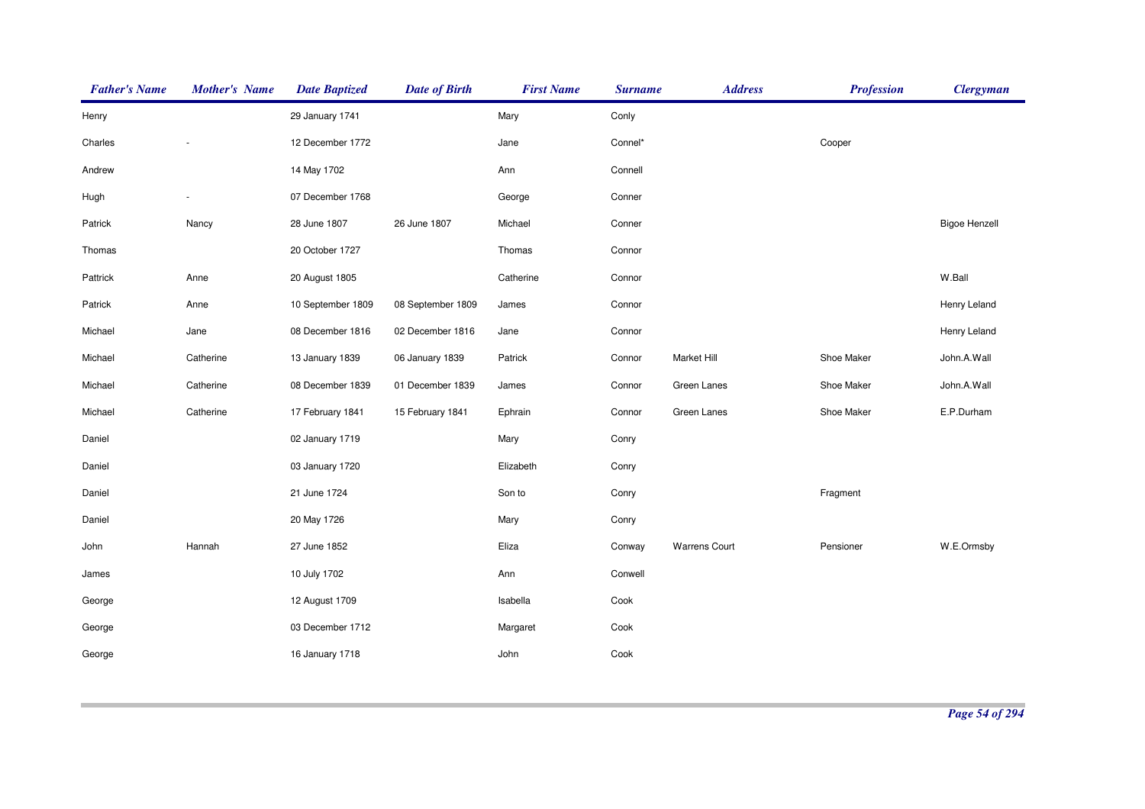| <b>Father's Name</b> | <b>Mother's Name</b> | <b>Date Baptized</b> | <b>Date of Birth</b> | <b>First Name</b> | <b>Surname</b> | <b>Address</b>       | <b>Profession</b> | <b>Clergyman</b>     |
|----------------------|----------------------|----------------------|----------------------|-------------------|----------------|----------------------|-------------------|----------------------|
| Henry                |                      | 29 January 1741      |                      | Mary              | Conly          |                      |                   |                      |
| Charles              |                      | 12 December 1772     |                      | Jane              | Connel*        |                      | Cooper            |                      |
| Andrew               |                      | 14 May 1702          |                      | Ann               | Connell        |                      |                   |                      |
| Hugh                 |                      | 07 December 1768     |                      | George            | Conner         |                      |                   |                      |
| Patrick              | Nancy                | 28 June 1807         | 26 June 1807         | Michael           | Conner         |                      |                   | <b>Bigoe Henzell</b> |
| Thomas               |                      | 20 October 1727      |                      | Thomas            | Connor         |                      |                   |                      |
| Pattrick             | Anne                 | 20 August 1805       |                      | Catherine         | Connor         |                      |                   | W.Ball               |
| Patrick              | Anne                 | 10 September 1809    | 08 September 1809    | James             | Connor         |                      |                   | Henry Leland         |
| Michael              | Jane                 | 08 December 1816     | 02 December 1816     | Jane              | Connor         |                      |                   | Henry Leland         |
| Michael              | Catherine            | 13 January 1839      | 06 January 1839      | Patrick           | Connor         | Market Hill          | Shoe Maker        | John.A.Wall          |
| Michael              | Catherine            | 08 December 1839     | 01 December 1839     | James             | Connor         | Green Lanes          | Shoe Maker        | John.A.Wall          |
| Michael              | Catherine            | 17 February 1841     | 15 February 1841     | Ephrain           | Connor         | Green Lanes          | Shoe Maker        | E.P.Durham           |
| Daniel               |                      | 02 January 1719      |                      | Mary              | Conry          |                      |                   |                      |
| Daniel               |                      | 03 January 1720      |                      | Elizabeth         | Conry          |                      |                   |                      |
| Daniel               |                      | 21 June 1724         |                      | Son to            | Conry          |                      | Fragment          |                      |
| Daniel               |                      | 20 May 1726          |                      | Mary              | Conry          |                      |                   |                      |
| John                 | Hannah               | 27 June 1852         |                      | Eliza             | Conway         | <b>Warrens Court</b> | Pensioner         | W.E.Ormsby           |
| James                |                      | 10 July 1702         |                      | Ann               | Conwell        |                      |                   |                      |
| George               |                      | 12 August 1709       |                      | Isabella          | Cook           |                      |                   |                      |
| George               |                      | 03 December 1712     |                      | Margaret          | Cook           |                      |                   |                      |
| George               |                      | 16 January 1718      |                      | John              | Cook           |                      |                   |                      |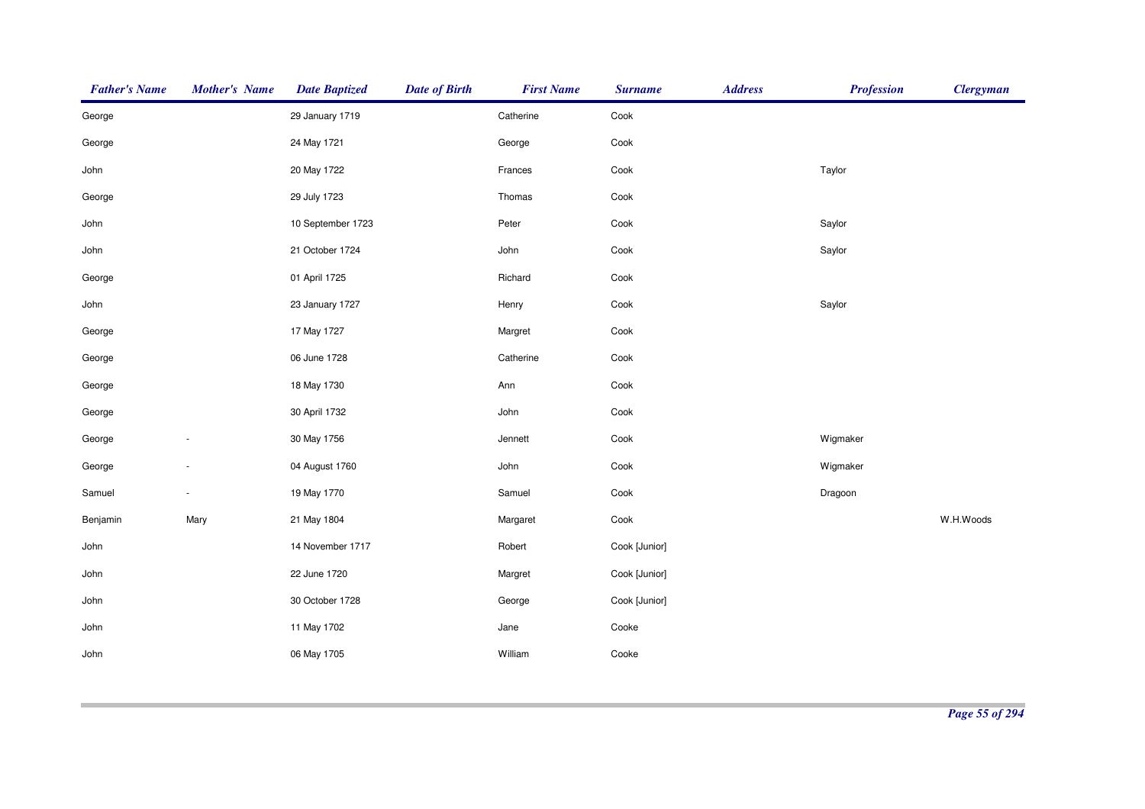| <b>Father's Name</b> | <b>Mother's Name</b> | <b>Date Baptized</b> | <b>Date of Birth</b> | <b>First Name</b> | <b>Surname</b>  | <b>Address</b> | <b>Profession</b> | <b>Clergyman</b> |
|----------------------|----------------------|----------------------|----------------------|-------------------|-----------------|----------------|-------------------|------------------|
| George               |                      | 29 January 1719      |                      | Catherine         | Cook            |                |                   |                  |
| George               |                      | 24 May 1721          |                      | George            | Cook            |                |                   |                  |
| John                 |                      | 20 May 1722          |                      | Frances           | Cook            |                | Taylor            |                  |
| George               |                      | 29 July 1723         |                      | Thomas            | Cook            |                |                   |                  |
| John                 |                      | 10 September 1723    |                      | Peter             | Cook            |                | Saylor            |                  |
| John                 |                      | 21 October 1724      |                      | John              | Cook            |                | Saylor            |                  |
| George               |                      | 01 April 1725        |                      | Richard           | $\textsf{Cook}$ |                |                   |                  |
| John                 |                      | 23 January 1727      |                      | Henry             | Cook            |                | Saylor            |                  |
| George               |                      | 17 May 1727          |                      | Margret           | Cook            |                |                   |                  |
| George               |                      | 06 June 1728         |                      | Catherine         | Cook            |                |                   |                  |
| George               |                      | 18 May 1730          |                      | Ann               | Cook            |                |                   |                  |
| George               |                      | 30 April 1732        |                      | John              | Cook            |                |                   |                  |
| George               |                      | 30 May 1756          |                      | Jennett           | Cook            |                | Wigmaker          |                  |
| George               |                      | 04 August 1760       |                      | John              | Cook            |                | Wigmaker          |                  |
| Samuel               | $\sim$               | 19 May 1770          |                      | Samuel            | Cook            |                | Dragoon           |                  |
| Benjamin             | Mary                 | 21 May 1804          |                      | Margaret          | Cook            |                |                   | W.H.Woods        |
| John                 |                      | 14 November 1717     |                      | Robert            | Cook [Junior]   |                |                   |                  |
| John                 |                      | 22 June 1720         |                      | Margret           | Cook [Junior]   |                |                   |                  |
| John                 |                      | 30 October 1728      |                      | George            | Cook [Junior]   |                |                   |                  |
| John                 |                      | 11 May 1702          |                      | Jane              | Cooke           |                |                   |                  |
| John                 |                      | 06 May 1705          |                      | William           | Cooke           |                |                   |                  |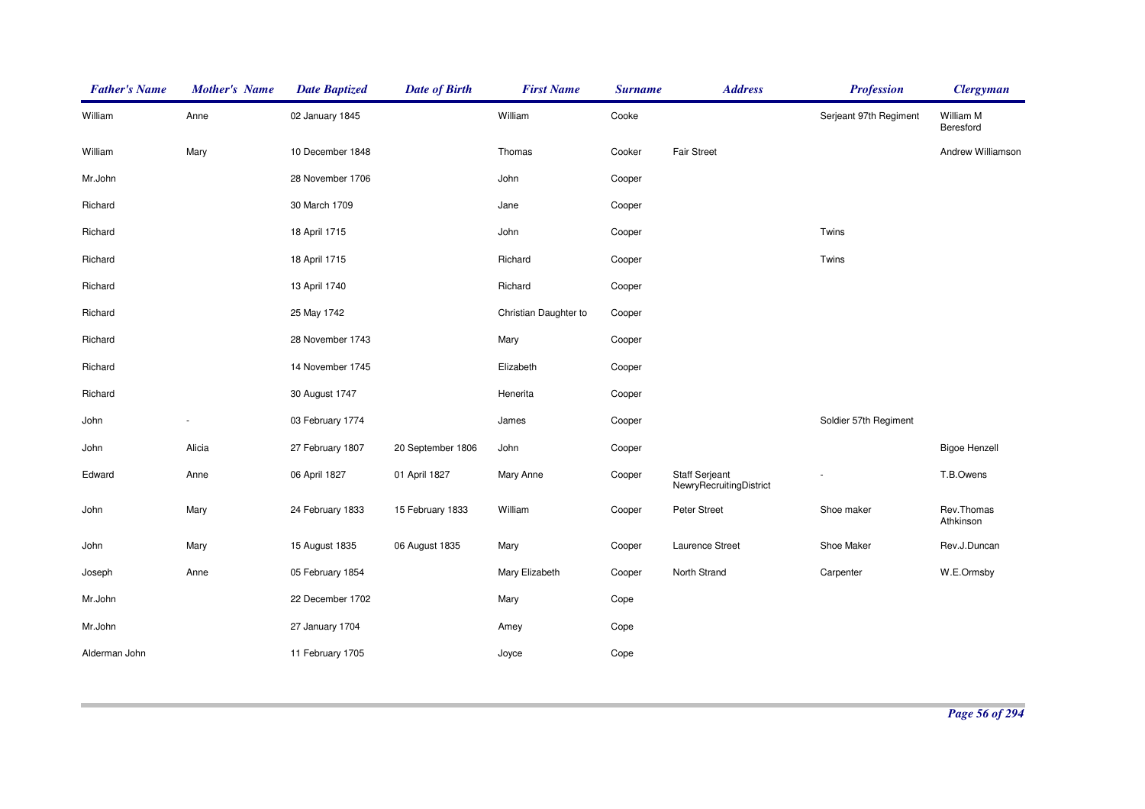| <b>Father's Name</b> | <b>Mother's Name</b> | <b>Date Baptized</b> | <b>Date of Birth</b> | <b>First Name</b>     | <b>Surname</b> | <b>Address</b>                                   | <b>Profession</b>      | <b>Clergyman</b>        |
|----------------------|----------------------|----------------------|----------------------|-----------------------|----------------|--------------------------------------------------|------------------------|-------------------------|
| William              | Anne                 | 02 January 1845      |                      | William               | Cooke          |                                                  | Serjeant 97th Regiment | William M<br>Beresford  |
| William              | Mary                 | 10 December 1848     |                      | Thomas                | Cooker         | <b>Fair Street</b>                               |                        | Andrew Williamson       |
| Mr.John              |                      | 28 November 1706     |                      | John                  | Cooper         |                                                  |                        |                         |
| Richard              |                      | 30 March 1709        |                      | Jane                  | Cooper         |                                                  |                        |                         |
| Richard              |                      | 18 April 1715        |                      | John                  | Cooper         |                                                  | Twins                  |                         |
| Richard              |                      | 18 April 1715        |                      | Richard               | Cooper         |                                                  | Twins                  |                         |
| Richard              |                      | 13 April 1740        |                      | Richard               | Cooper         |                                                  |                        |                         |
| Richard              |                      | 25 May 1742          |                      | Christian Daughter to | Cooper         |                                                  |                        |                         |
| Richard              |                      | 28 November 1743     |                      | Mary                  | Cooper         |                                                  |                        |                         |
| Richard              |                      | 14 November 1745     |                      | Elizabeth             | Cooper         |                                                  |                        |                         |
| Richard              |                      | 30 August 1747       |                      | Henerita              | Cooper         |                                                  |                        |                         |
| John                 |                      | 03 February 1774     |                      | James                 | Cooper         |                                                  | Soldier 57th Regiment  |                         |
| John                 | Alicia               | 27 February 1807     | 20 September 1806    | John                  | Cooper         |                                                  |                        | <b>Bigoe Henzell</b>    |
| Edward               | Anne                 | 06 April 1827        | 01 April 1827        | Mary Anne             | Cooper         | <b>Staff Serjeant</b><br>NewryRecruitingDistrict |                        | T.B.Owens               |
| John                 | Mary                 | 24 February 1833     | 15 February 1833     | William               | Cooper         | Peter Street                                     | Shoe maker             | Rev.Thomas<br>Athkinson |
| John                 | Mary                 | 15 August 1835       | 06 August 1835       | Mary                  | Cooper         | Laurence Street                                  | Shoe Maker             | Rev.J.Duncan            |
| Joseph               | Anne                 | 05 February 1854     |                      | Mary Elizabeth        | Cooper         | North Strand                                     | Carpenter              | W.E.Ormsby              |
| Mr.John              |                      | 22 December 1702     |                      | Mary                  | Cope           |                                                  |                        |                         |
| Mr.John              |                      | 27 January 1704      |                      | Amey                  | Cope           |                                                  |                        |                         |
| Alderman John        |                      | 11 February 1705     |                      | Joyce                 | Cope           |                                                  |                        |                         |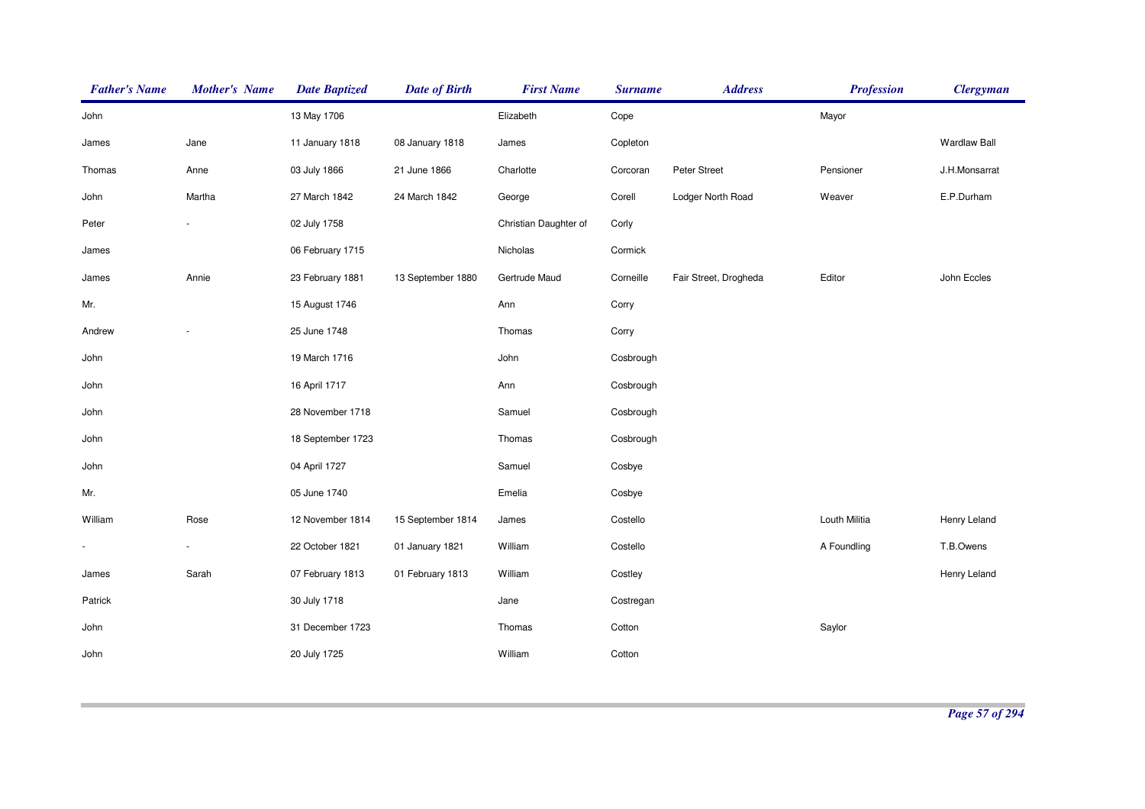| <b>Father's Name</b>     | <b>Mother's Name</b> | <b>Date Baptized</b> | <b>Date of Birth</b> | <b>First Name</b>     | <b>Surname</b> | <b>Address</b>        | <b>Profession</b> | <b>Clergyman</b>    |
|--------------------------|----------------------|----------------------|----------------------|-----------------------|----------------|-----------------------|-------------------|---------------------|
| John                     |                      | 13 May 1706          |                      | Elizabeth             | Cope           |                       | Mayor             |                     |
| James                    | Jane                 | 11 January 1818      | 08 January 1818      | James                 | Copleton       |                       |                   | <b>Wardlaw Ball</b> |
| Thomas                   | Anne                 | 03 July 1866         | 21 June 1866         | Charlotte             | Corcoran       | Peter Street          | Pensioner         | J.H.Monsarrat       |
| John                     | Martha               | 27 March 1842        | 24 March 1842        | George                | Corell         | Lodger North Road     | Weaver            | E.P.Durham          |
| Peter                    |                      | 02 July 1758         |                      | Christian Daughter of | Corly          |                       |                   |                     |
| James                    |                      | 06 February 1715     |                      | Nicholas              | Cormick        |                       |                   |                     |
| James                    | Annie                | 23 February 1881     | 13 September 1880    | Gertrude Maud         | Corneille      | Fair Street, Drogheda | Editor            | John Eccles         |
| Mr.                      |                      | 15 August 1746       |                      | Ann                   | Corry          |                       |                   |                     |
| Andrew                   |                      | 25 June 1748         |                      | Thomas                | Corry          |                       |                   |                     |
| John                     |                      | 19 March 1716        |                      | John                  | Cosbrough      |                       |                   |                     |
| John                     |                      | 16 April 1717        |                      | Ann                   | Cosbrough      |                       |                   |                     |
| John                     |                      | 28 November 1718     |                      | Samuel                | Cosbrough      |                       |                   |                     |
| John                     |                      | 18 September 1723    |                      | Thomas                | Cosbrough      |                       |                   |                     |
| John                     |                      | 04 April 1727        |                      | Samuel                | Cosbye         |                       |                   |                     |
| Mr.                      |                      | 05 June 1740         |                      | Emelia                | Cosbye         |                       |                   |                     |
| William                  | Rose                 | 12 November 1814     | 15 September 1814    | James                 | Costello       |                       | Louth Militia     | Henry Leland        |
| $\overline{\phantom{a}}$ |                      | 22 October 1821      | 01 January 1821      | William               | Costello       |                       | A Foundling       | T.B.Owens           |
| James                    | Sarah                | 07 February 1813     | 01 February 1813     | William               | Costley        |                       |                   | Henry Leland        |
| Patrick                  |                      | 30 July 1718         |                      | Jane                  | Costregan      |                       |                   |                     |
| John                     |                      | 31 December 1723     |                      | Thomas                | Cotton         |                       | Saylor            |                     |
| John                     |                      | 20 July 1725         |                      | William               | Cotton         |                       |                   |                     |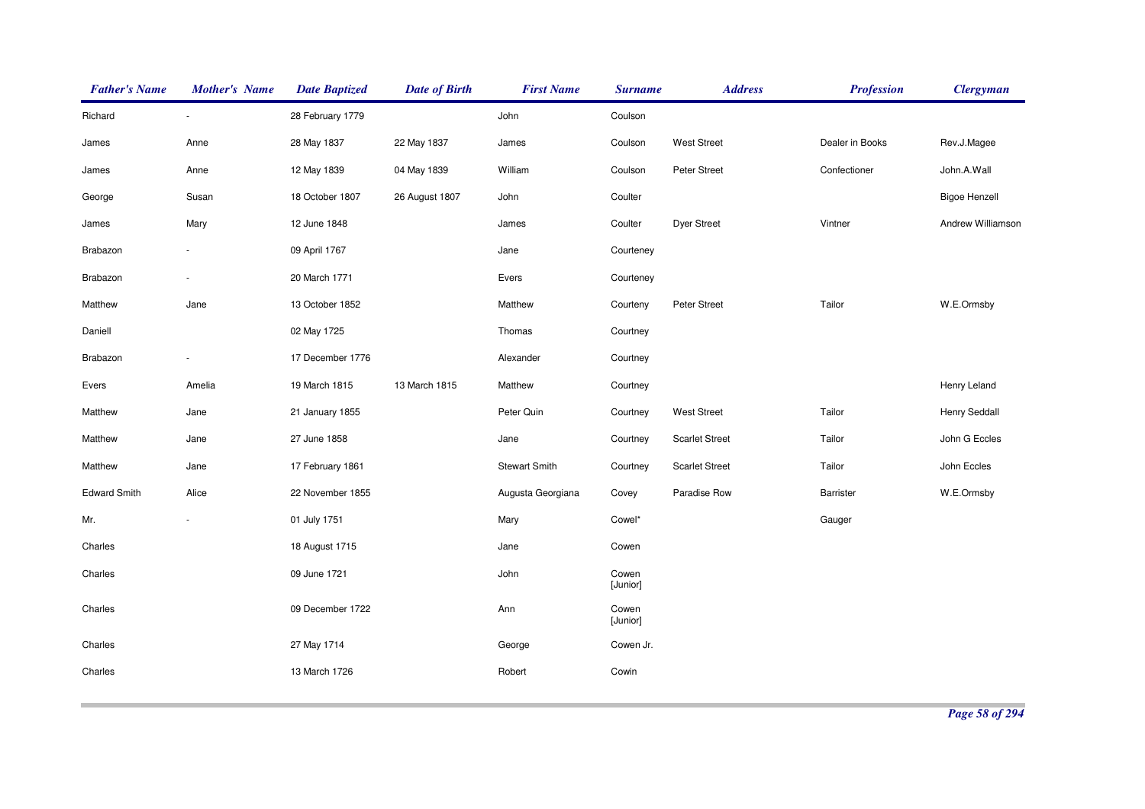| <b>Father's Name</b> | <b>Mother's Name</b>     | <b>Date Baptized</b> | <b>Date of Birth</b> | <b>First Name</b>    | <b>Surname</b>    | <b>Address</b>        | <b>Profession</b> | <b>Clergyman</b>     |
|----------------------|--------------------------|----------------------|----------------------|----------------------|-------------------|-----------------------|-------------------|----------------------|
| Richard              | $\sim$                   | 28 February 1779     |                      | John                 | Coulson           |                       |                   |                      |
| James                | Anne                     | 28 May 1837          | 22 May 1837          | James                | Coulson           | <b>West Street</b>    | Dealer in Books   | Rev.J.Magee          |
| James                | Anne                     | 12 May 1839          | 04 May 1839          | William              | Coulson           | Peter Street          | Confectioner      | John.A.Wall          |
| George               | Susan                    | 18 October 1807      | 26 August 1807       | John                 | Coulter           |                       |                   | <b>Bigoe Henzell</b> |
| James                | Mary                     | 12 June 1848         |                      | James                | Coulter           | Dyer Street           | Vintner           | Andrew Williamson    |
| Brabazon             | $\overline{\phantom{a}}$ | 09 April 1767        |                      | Jane                 | Courteney         |                       |                   |                      |
| Brabazon             |                          | 20 March 1771        |                      | Evers                | Courteney         |                       |                   |                      |
| Matthew              | Jane                     | 13 October 1852      |                      | Matthew              | Courteny          | Peter Street          | Tailor            | W.E.Ormsby           |
| Daniell              |                          | 02 May 1725          |                      | Thomas               | Courtney          |                       |                   |                      |
| Brabazon             |                          | 17 December 1776     |                      | Alexander            | Courtney          |                       |                   |                      |
| Evers                | Amelia                   | 19 March 1815        | 13 March 1815        | Matthew              | Courtney          |                       |                   | Henry Leland         |
| Matthew              | Jane                     | 21 January 1855      |                      | Peter Quin           | Courtney          | <b>West Street</b>    | Tailor            | Henry Seddall        |
| Matthew              | Jane                     | 27 June 1858         |                      | Jane                 | Courtney          | <b>Scarlet Street</b> | Tailor            | John G Eccles        |
| Matthew              | Jane                     | 17 February 1861     |                      | <b>Stewart Smith</b> | Courtney          | <b>Scarlet Street</b> | Tailor            | John Eccles          |
| <b>Edward Smith</b>  | Alice                    | 22 November 1855     |                      | Augusta Georgiana    | Covey             | Paradise Row          | Barrister         | W.E.Ormsby           |
| Mr.                  |                          | 01 July 1751         |                      | Mary                 | Cowel*            |                       | Gauger            |                      |
| Charles              |                          | 18 August 1715       |                      | Jane                 | Cowen             |                       |                   |                      |
| Charles              |                          | 09 June 1721         |                      | John                 | Cowen<br>[Junior] |                       |                   |                      |
| Charles              |                          | 09 December 1722     |                      | Ann                  | Cowen<br>[Junior] |                       |                   |                      |
| Charles              |                          | 27 May 1714          |                      | George               | Cowen Jr.         |                       |                   |                      |
| Charles              |                          | 13 March 1726        |                      | Robert               | Cowin             |                       |                   |                      |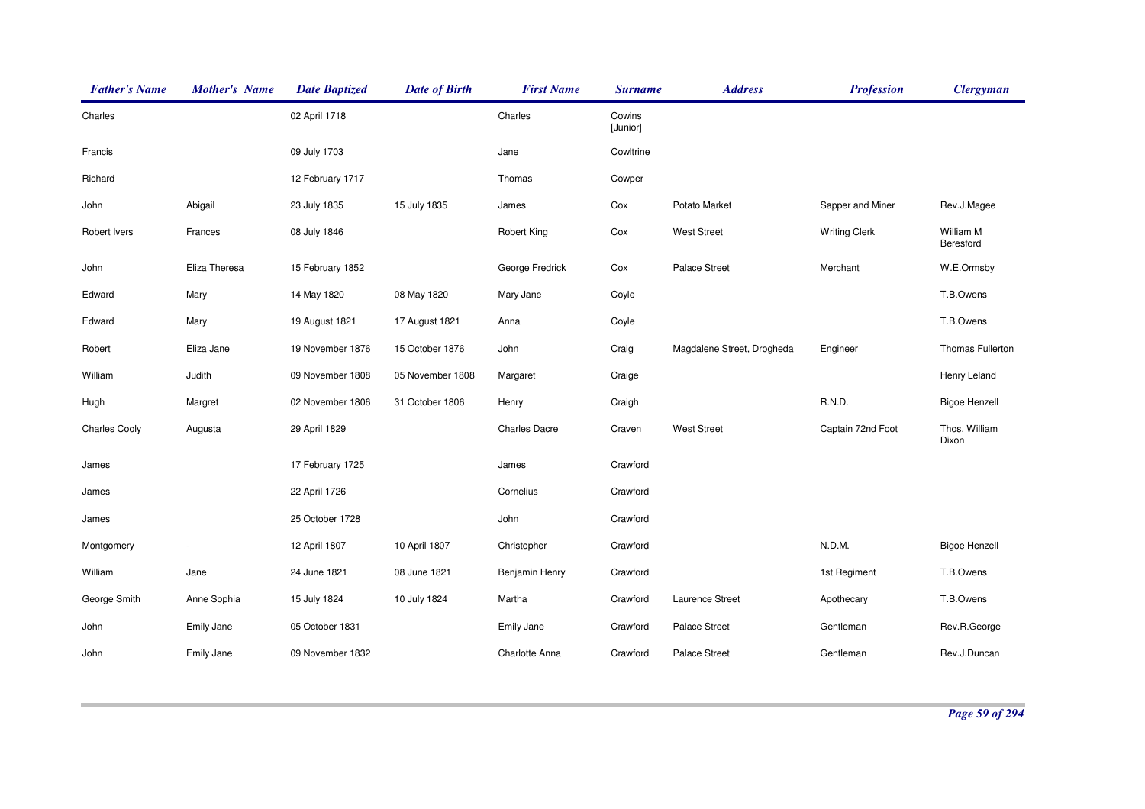| <b>Father's Name</b> | <b>Mother's Name</b> | <b>Date Baptized</b> | <b>Date of Birth</b> | <b>First Name</b>    | <b>Surname</b>     | <b>Address</b>             | <b>Profession</b>    | <b>Clergyman</b>       |
|----------------------|----------------------|----------------------|----------------------|----------------------|--------------------|----------------------------|----------------------|------------------------|
| Charles              |                      | 02 April 1718        |                      | Charles              | Cowins<br>[Junior] |                            |                      |                        |
| Francis              |                      | 09 July 1703         |                      | Jane                 | Cowltrine          |                            |                      |                        |
| Richard              |                      | 12 February 1717     |                      | Thomas               | Cowper             |                            |                      |                        |
| John                 | Abigail              | 23 July 1835         | 15 July 1835         | James                | Cox                | Potato Market              | Sapper and Miner     | Rev.J.Magee            |
| Robert Ivers         | Frances              | 08 July 1846         |                      | <b>Robert King</b>   | Cox                | <b>West Street</b>         | <b>Writing Clerk</b> | William M<br>Beresford |
| John                 | Eliza Theresa        | 15 February 1852     |                      | George Fredrick      | Cox                | <b>Palace Street</b>       | Merchant             | W.E.Ormsby             |
| Edward               | Mary                 | 14 May 1820          | 08 May 1820          | Mary Jane            | Coyle              |                            |                      | T.B.Owens              |
| Edward               | Mary                 | 19 August 1821       | 17 August 1821       | Anna                 | Coyle              |                            |                      | T.B.Owens              |
| Robert               | Eliza Jane           | 19 November 1876     | 15 October 1876      | John                 | Craig              | Magdalene Street, Drogheda | Engineer             | Thomas Fullerton       |
| William              | Judith               | 09 November 1808     | 05 November 1808     | Margaret             | Craige             |                            |                      | Henry Leland           |
| Hugh                 | Margret              | 02 November 1806     | 31 October 1806      | Henry                | Craigh             |                            | R.N.D.               | <b>Bigoe Henzell</b>   |
| <b>Charles Cooly</b> | Augusta              | 29 April 1829        |                      | <b>Charles Dacre</b> | Craven             | <b>West Street</b>         | Captain 72nd Foot    | Thos. William<br>Dixon |
| James                |                      | 17 February 1725     |                      | James                | Crawford           |                            |                      |                        |
| James                |                      | 22 April 1726        |                      | Cornelius            | Crawford           |                            |                      |                        |
| James                |                      | 25 October 1728      |                      | John                 | Crawford           |                            |                      |                        |
| Montgomery           |                      | 12 April 1807        | 10 April 1807        | Christopher          | Crawford           |                            | N.D.M.               | <b>Bigoe Henzell</b>   |
| William              | Jane                 | 24 June 1821         | 08 June 1821         | Benjamin Henry       | Crawford           |                            | 1st Regiment         | T.B.Owens              |
| George Smith         | Anne Sophia          | 15 July 1824         | 10 July 1824         | Martha               | Crawford           | Laurence Street            | Apothecary           | T.B.Owens              |
| John                 | Emily Jane           | 05 October 1831      |                      | <b>Emily Jane</b>    | Crawford           | <b>Palace Street</b>       | Gentleman            | Rev.R.George           |
| John                 | Emily Jane           | 09 November 1832     |                      | Charlotte Anna       | Crawford           | <b>Palace Street</b>       | Gentleman            | Rev.J.Duncan           |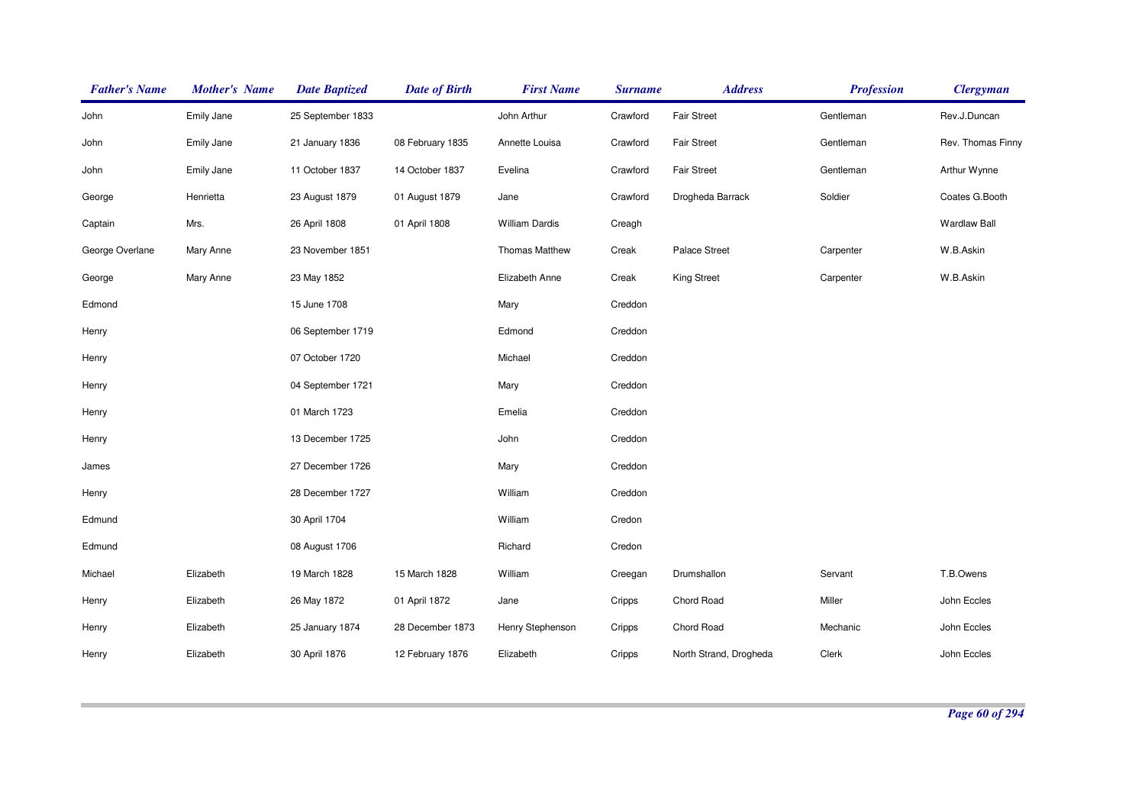| <b>Father's Name</b> | <b>Mother's Name</b> | <b>Date Baptized</b> | <b>Date of Birth</b> | <b>First Name</b>     | <b>Surname</b> | <b>Address</b>         | <b>Profession</b> | <b>Clergyman</b>    |
|----------------------|----------------------|----------------------|----------------------|-----------------------|----------------|------------------------|-------------------|---------------------|
| John                 | Emily Jane           | 25 September 1833    |                      | John Arthur           | Crawford       | <b>Fair Street</b>     | Gentleman         | Rev.J.Duncan        |
| John                 | Emily Jane           | 21 January 1836      | 08 February 1835     | Annette Louisa        | Crawford       | <b>Fair Street</b>     | Gentleman         | Rev. Thomas Finny   |
| John                 | Emily Jane           | 11 October 1837      | 14 October 1837      | Evelina               | Crawford       | <b>Fair Street</b>     | Gentleman         | Arthur Wynne        |
| George               | Henrietta            | 23 August 1879       | 01 August 1879       | Jane                  | Crawford       | Drogheda Barrack       | Soldier           | Coates G.Booth      |
| Captain              | Mrs.                 | 26 April 1808        | 01 April 1808        | <b>William Dardis</b> | Creagh         |                        |                   | <b>Wardlaw Ball</b> |
| George Overlane      | Mary Anne            | 23 November 1851     |                      | <b>Thomas Matthew</b> | Creak          | <b>Palace Street</b>   | Carpenter         | W.B.Askin           |
| George               | Mary Anne            | 23 May 1852          |                      | Elizabeth Anne        | Creak          | <b>King Street</b>     | Carpenter         | W.B.Askin           |
| Edmond               |                      | 15 June 1708         |                      | Mary                  | Creddon        |                        |                   |                     |
| Henry                |                      | 06 September 1719    |                      | Edmond                | Creddon        |                        |                   |                     |
| Henry                |                      | 07 October 1720      |                      | Michael               | Creddon        |                        |                   |                     |
| Henry                |                      | 04 September 1721    |                      | Mary                  | Creddon        |                        |                   |                     |
| Henry                |                      | 01 March 1723        |                      | Emelia                | Creddon        |                        |                   |                     |
| Henry                |                      | 13 December 1725     |                      | John                  | Creddon        |                        |                   |                     |
| James                |                      | 27 December 1726     |                      | Mary                  | Creddon        |                        |                   |                     |
| Henry                |                      | 28 December 1727     |                      | William               | Creddon        |                        |                   |                     |
| Edmund               |                      | 30 April 1704        |                      | William               | Credon         |                        |                   |                     |
| Edmund               |                      | 08 August 1706       |                      | Richard               | Credon         |                        |                   |                     |
| Michael              | Elizabeth            | 19 March 1828        | 15 March 1828        | William               | Creegan        | Drumshallon            | Servant           | T.B.Owens           |
| Henry                | Elizabeth            | 26 May 1872          | 01 April 1872        | Jane                  | Cripps         | Chord Road             | Miller            | John Eccles         |
| Henry                | Elizabeth            | 25 January 1874      | 28 December 1873     | Henry Stephenson      | Cripps         | Chord Road             | Mechanic          | John Eccles         |
| Henry                | Elizabeth            | 30 April 1876        | 12 February 1876     | Elizabeth             | Cripps         | North Strand, Drogheda | Clerk             | John Eccles         |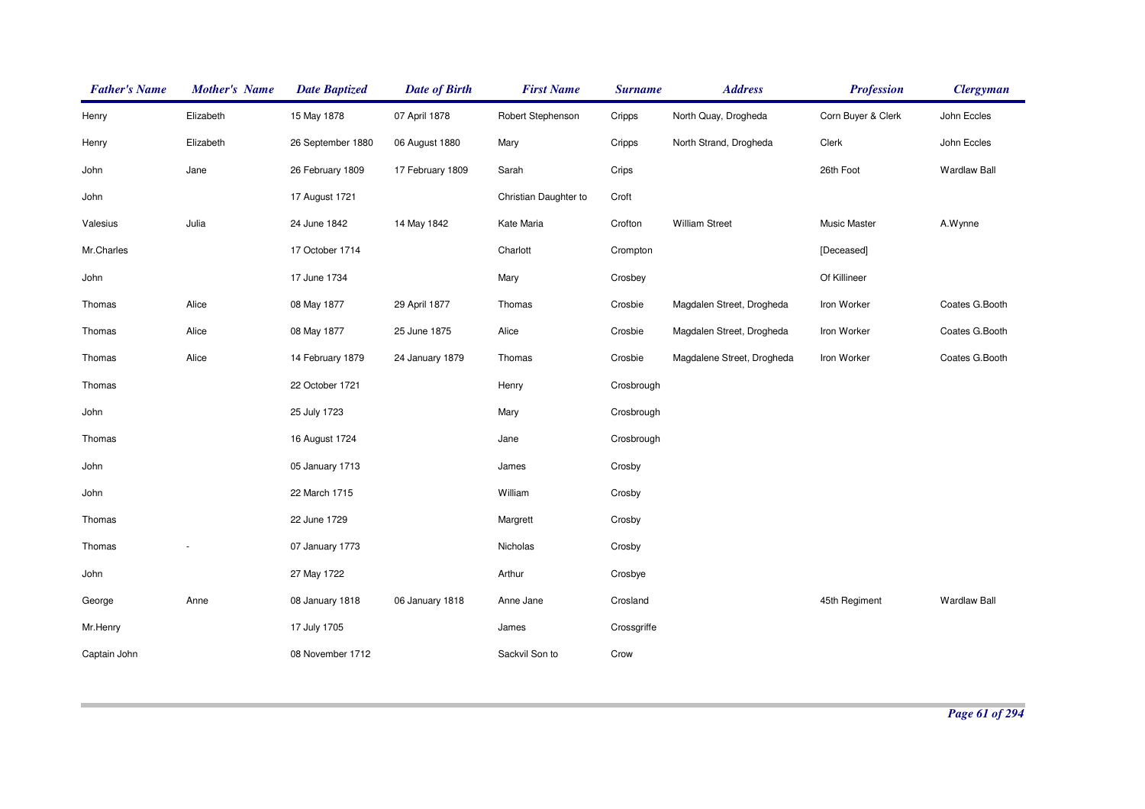| <b>Father's Name</b> | <b>Mother's Name</b> | <b>Date Baptized</b> | <b>Date of Birth</b> | <b>First Name</b>     | <b>Surname</b> | <b>Address</b>             | <b>Profession</b>  | <b>Clergyman</b>    |
|----------------------|----------------------|----------------------|----------------------|-----------------------|----------------|----------------------------|--------------------|---------------------|
| Henry                | Elizabeth            | 15 May 1878          | 07 April 1878        | Robert Stephenson     | Cripps         | North Quay, Drogheda       | Corn Buyer & Clerk | John Eccles         |
| Henry                | Elizabeth            | 26 September 1880    | 06 August 1880       | Mary                  | Cripps         | North Strand, Drogheda     | Clerk              | John Eccles         |
| John                 | Jane                 | 26 February 1809     | 17 February 1809     | Sarah                 | Crips          |                            | 26th Foot          | Wardlaw Ball        |
| John                 |                      | 17 August 1721       |                      | Christian Daughter to | Croft          |                            |                    |                     |
| Valesius             | Julia                | 24 June 1842         | 14 May 1842          | Kate Maria            | Crofton        | <b>William Street</b>      | Music Master       | A.Wynne             |
| Mr.Charles           |                      | 17 October 1714      |                      | Charlott              | Crompton       |                            | [Deceased]         |                     |
| John                 |                      | 17 June 1734         |                      | Mary                  | Crosbey        |                            | Of Killineer       |                     |
| Thomas               | Alice                | 08 May 1877          | 29 April 1877        | Thomas                | Crosbie        | Magdalen Street, Drogheda  | Iron Worker        | Coates G.Booth      |
| Thomas               | Alice                | 08 May 1877          | 25 June 1875         | Alice                 | Crosbie        | Magdalen Street, Drogheda  | Iron Worker        | Coates G.Booth      |
| Thomas               | Alice                | 14 February 1879     | 24 January 1879      | Thomas                | Crosbie        | Magdalene Street, Drogheda | Iron Worker        | Coates G.Booth      |
| Thomas               |                      | 22 October 1721      |                      | Henry                 | Crosbrough     |                            |                    |                     |
| John                 |                      | 25 July 1723         |                      | Mary                  | Crosbrough     |                            |                    |                     |
| Thomas               |                      | 16 August 1724       |                      | Jane                  | Crosbrough     |                            |                    |                     |
| John                 |                      | 05 January 1713      |                      | James                 | Crosby         |                            |                    |                     |
| John                 |                      | 22 March 1715        |                      | William               | Crosby         |                            |                    |                     |
| Thomas               |                      | 22 June 1729         |                      | Margrett              | Crosby         |                            |                    |                     |
| Thomas               |                      | 07 January 1773      |                      | Nicholas              | Crosby         |                            |                    |                     |
| John                 |                      | 27 May 1722          |                      | Arthur                | Crosbye        |                            |                    |                     |
| George               | Anne                 | 08 January 1818      | 06 January 1818      | Anne Jane             | Crosland       |                            | 45th Regiment      | <b>Wardlaw Ball</b> |
| Mr.Henry             |                      | 17 July 1705         |                      | James                 | Crossgriffe    |                            |                    |                     |
| Captain John         |                      | 08 November 1712     |                      | Sackvil Son to        | Crow           |                            |                    |                     |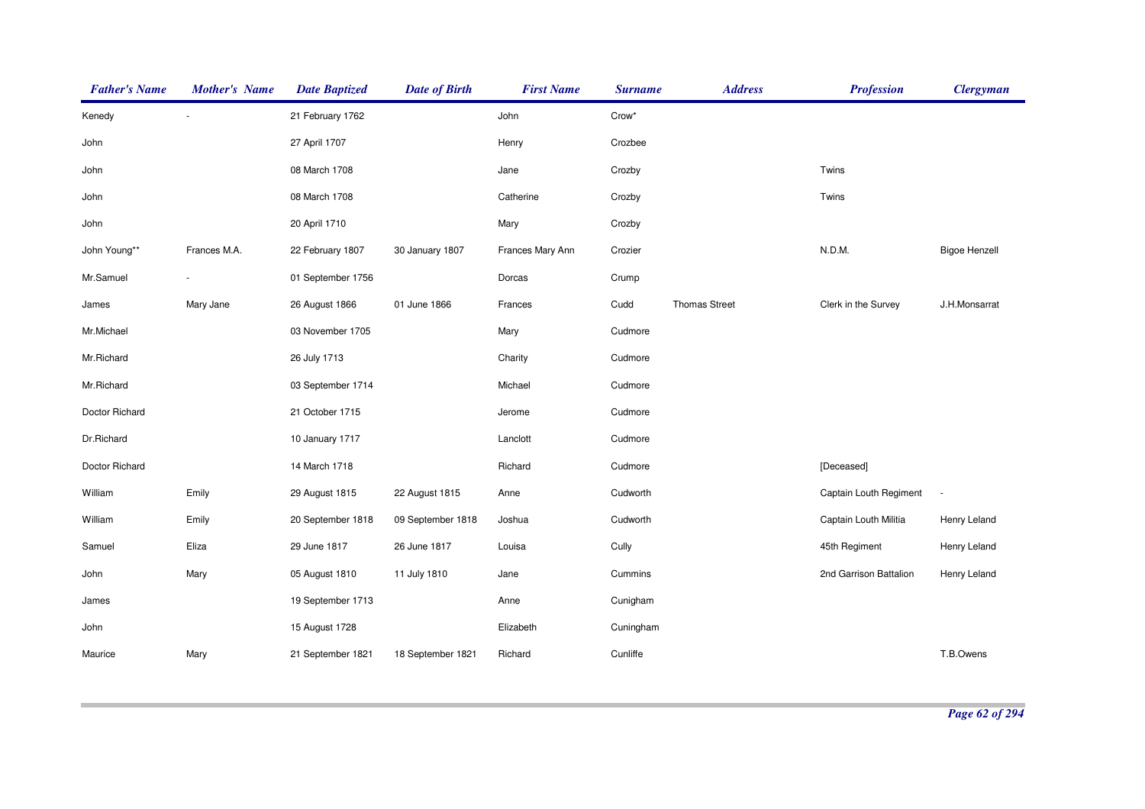| <b>Father's Name</b> | <b>Mother's Name</b> | <b>Date Baptized</b> | <b>Date of Birth</b> | <b>First Name</b> | <b>Surname</b> | <b>Address</b>       | <b>Profession</b>      | <b>Clergyman</b>     |
|----------------------|----------------------|----------------------|----------------------|-------------------|----------------|----------------------|------------------------|----------------------|
| Kenedy               |                      | 21 February 1762     |                      | John              | Crow*          |                      |                        |                      |
| John                 |                      | 27 April 1707        |                      | Henry             | Crozbee        |                      |                        |                      |
| John                 |                      | 08 March 1708        |                      | Jane              | Crozby         |                      | Twins                  |                      |
| John                 |                      | 08 March 1708        |                      | Catherine         | Crozby         |                      | Twins                  |                      |
| John                 |                      | 20 April 1710        |                      | Mary              | Crozby         |                      |                        |                      |
| John Young**         | Frances M.A.         | 22 February 1807     | 30 January 1807      | Frances Mary Ann  | Crozier        |                      | N.D.M.                 | <b>Bigoe Henzell</b> |
| Mr.Samuel            |                      | 01 September 1756    |                      | Dorcas            | Crump          |                      |                        |                      |
| James                | Mary Jane            | 26 August 1866       | 01 June 1866         | Frances           | Cudd           | <b>Thomas Street</b> | Clerk in the Survey    | J.H.Monsarrat        |
| Mr.Michael           |                      | 03 November 1705     |                      | Mary              | Cudmore        |                      |                        |                      |
| Mr.Richard           |                      | 26 July 1713         |                      | Charity           | Cudmore        |                      |                        |                      |
| Mr.Richard           |                      | 03 September 1714    |                      | Michael           | Cudmore        |                      |                        |                      |
| Doctor Richard       |                      | 21 October 1715      |                      | Jerome            | Cudmore        |                      |                        |                      |
| Dr.Richard           |                      | 10 January 1717      |                      | Lanclott          | Cudmore        |                      |                        |                      |
| Doctor Richard       |                      | 14 March 1718        |                      | Richard           | Cudmore        |                      | [Deceased]             |                      |
| William              | Emily                | 29 August 1815       | 22 August 1815       | Anne              | Cudworth       |                      | Captain Louth Regiment | ÷,                   |
| William              | Emily                | 20 September 1818    | 09 September 1818    | Joshua            | Cudworth       |                      | Captain Louth Militia  | Henry Leland         |
| Samuel               | Eliza                | 29 June 1817         | 26 June 1817         | Louisa            | Cully          |                      | 45th Regiment          | Henry Leland         |
| John                 | Mary                 | 05 August 1810       | 11 July 1810         | Jane              | Cummins        |                      | 2nd Garrison Battalion | Henry Leland         |
| James                |                      | 19 September 1713    |                      | Anne              | Cunigham       |                      |                        |                      |
| John                 |                      | 15 August 1728       |                      | Elizabeth         | Cuningham      |                      |                        |                      |
| Maurice              | Mary                 | 21 September 1821    | 18 September 1821    | Richard           | Cunliffe       |                      |                        | T.B.Owens            |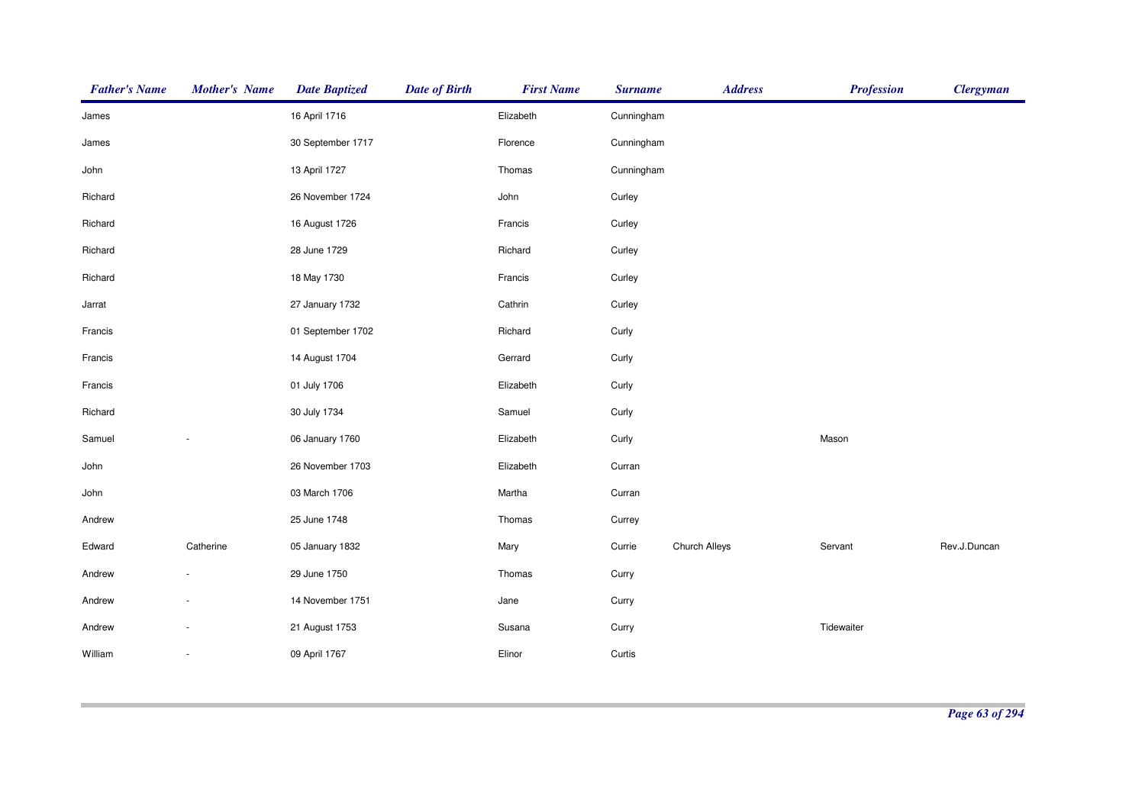| <b>Father's Name</b> | <b>Mother's Name</b> | <b>Date Baptized</b> | <b>Date of Birth</b> | <b>First Name</b> | <b>Surname</b> | <b>Address</b> | <b>Profession</b> | <b>Clergyman</b> |
|----------------------|----------------------|----------------------|----------------------|-------------------|----------------|----------------|-------------------|------------------|
| James                |                      | 16 April 1716        |                      | Elizabeth         | Cunningham     |                |                   |                  |
| James                |                      | 30 September 1717    |                      | Florence          | Cunningham     |                |                   |                  |
| John                 |                      | 13 April 1727        |                      | Thomas            | Cunningham     |                |                   |                  |
| Richard              |                      | 26 November 1724     |                      | John              | Curley         |                |                   |                  |
| Richard              |                      | 16 August 1726       |                      | Francis           | Curley         |                |                   |                  |
| Richard              |                      | 28 June 1729         |                      | Richard           | Curley         |                |                   |                  |
| Richard              |                      | 18 May 1730          |                      | Francis           | Curley         |                |                   |                  |
| Jarrat               |                      | 27 January 1732      |                      | Cathrin           | Curley         |                |                   |                  |
| Francis              |                      | 01 September 1702    |                      | Richard           | Curly          |                |                   |                  |
| Francis              |                      | 14 August 1704       |                      | Gerrard           | Curly          |                |                   |                  |
| Francis              |                      | 01 July 1706         |                      | Elizabeth         | Curly          |                |                   |                  |
| Richard              |                      | 30 July 1734         |                      | Samuel            | Curly          |                |                   |                  |
| Samuel               |                      | 06 January 1760      |                      | Elizabeth         | Curly          |                | Mason             |                  |
| John                 |                      | 26 November 1703     |                      | Elizabeth         | Curran         |                |                   |                  |
| John                 |                      | 03 March 1706        |                      | Martha            | Curran         |                |                   |                  |
| Andrew               |                      | 25 June 1748         |                      | Thomas            | Currey         |                |                   |                  |
| Edward               | Catherine            | 05 January 1832      |                      | Mary              | Currie         | Church Alleys  | Servant           | Rev.J.Duncan     |
| Andrew               |                      | 29 June 1750         |                      | Thomas            | Curry          |                |                   |                  |
| Andrew               |                      | 14 November 1751     |                      | Jane              | Curry          |                |                   |                  |
| Andrew               |                      | 21 August 1753       |                      | Susana            | Curry          |                | Tidewaiter        |                  |
| William              |                      | 09 April 1767        |                      | Elinor            | Curtis         |                |                   |                  |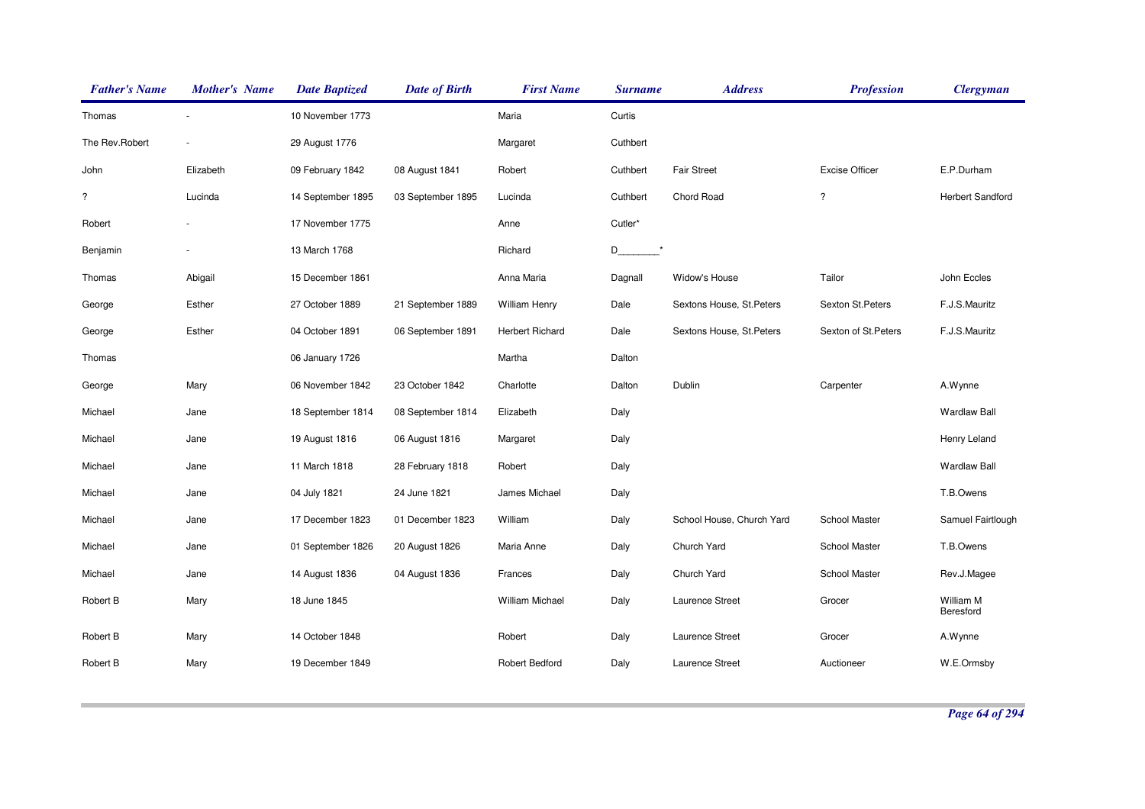| <b>Father's Name</b>     | <b>Mother's Name</b> | <b>Date Baptized</b> | <b>Date of Birth</b> | <b>First Name</b>      | <b>Surname</b> | <b>Address</b>            | <b>Profession</b>     | <b>Clergyman</b>        |
|--------------------------|----------------------|----------------------|----------------------|------------------------|----------------|---------------------------|-----------------------|-------------------------|
| Thomas                   |                      | 10 November 1773     |                      | Maria                  | Curtis         |                           |                       |                         |
| The Rev.Robert           |                      | 29 August 1776       |                      | Margaret               | Cuthbert       |                           |                       |                         |
| John                     | Elizabeth            | 09 February 1842     | 08 August 1841       | Robert                 | Cuthbert       | <b>Fair Street</b>        | <b>Excise Officer</b> | E.P.Durham              |
| $\overline{\mathcal{E}}$ | Lucinda              | 14 September 1895    | 03 September 1895    | Lucinda                | Cuthbert       | Chord Road                | $\overline{\cdot}$    | <b>Herbert Sandford</b> |
| Robert                   |                      | 17 November 1775     |                      | Anne                   | Cutler*        |                           |                       |                         |
| Benjamin                 |                      | 13 March 1768        |                      | Richard                | $D_{-}$        |                           |                       |                         |
| Thomas                   | Abigail              | 15 December 1861     |                      | Anna Maria             | Dagnall        | Widow's House             | Tailor                | John Eccles             |
| George                   | Esther               | 27 October 1889      | 21 September 1889    | <b>William Henry</b>   | Dale           | Sextons House, St. Peters | Sexton St.Peters      | F.J.S.Mauritz           |
| George                   | Esther               | 04 October 1891      | 06 September 1891    | Herbert Richard        | Dale           | Sextons House, St. Peters | Sexton of St. Peters  | F.J.S.Mauritz           |
| Thomas                   |                      | 06 January 1726      |                      | Martha                 | Dalton         |                           |                       |                         |
| George                   | Mary                 | 06 November 1842     | 23 October 1842      | Charlotte              | Dalton         | Dublin                    | Carpenter             | A.Wynne                 |
| Michael                  | Jane                 | 18 September 1814    | 08 September 1814    | Elizabeth              | Daly           |                           |                       | <b>Wardlaw Ball</b>     |
| Michael                  | Jane                 | 19 August 1816       | 06 August 1816       | Margaret               | Daly           |                           |                       | Henry Leland            |
| Michael                  | Jane                 | 11 March 1818        | 28 February 1818     | Robert                 | Daly           |                           |                       | <b>Wardlaw Ball</b>     |
| Michael                  | Jane                 | 04 July 1821         | 24 June 1821         | James Michael          | Daly           |                           |                       | T.B.Owens               |
| Michael                  | Jane                 | 17 December 1823     | 01 December 1823     | William                | Daly           | School House, Church Yard | School Master         | Samuel Fairtlough       |
| Michael                  | Jane                 | 01 September 1826    | 20 August 1826       | Maria Anne             | Daly           | Church Yard               | School Master         | T.B.Owens               |
| Michael                  | Jane                 | 14 August 1836       | 04 August 1836       | Frances                | Daly           | Church Yard               | School Master         | Rev.J.Magee             |
| Robert B                 | Mary                 | 18 June 1845         |                      | <b>William Michael</b> | Daly           | Laurence Street           | Grocer                | William M<br>Beresford  |
| Robert B                 | Mary                 | 14 October 1848      |                      | Robert                 | Daly           | Laurence Street           | Grocer                | A.Wynne                 |
| Robert B                 | Mary                 | 19 December 1849     |                      | Robert Bedford         | Daly           | Laurence Street           | Auctioneer            | W.E.Ormsby              |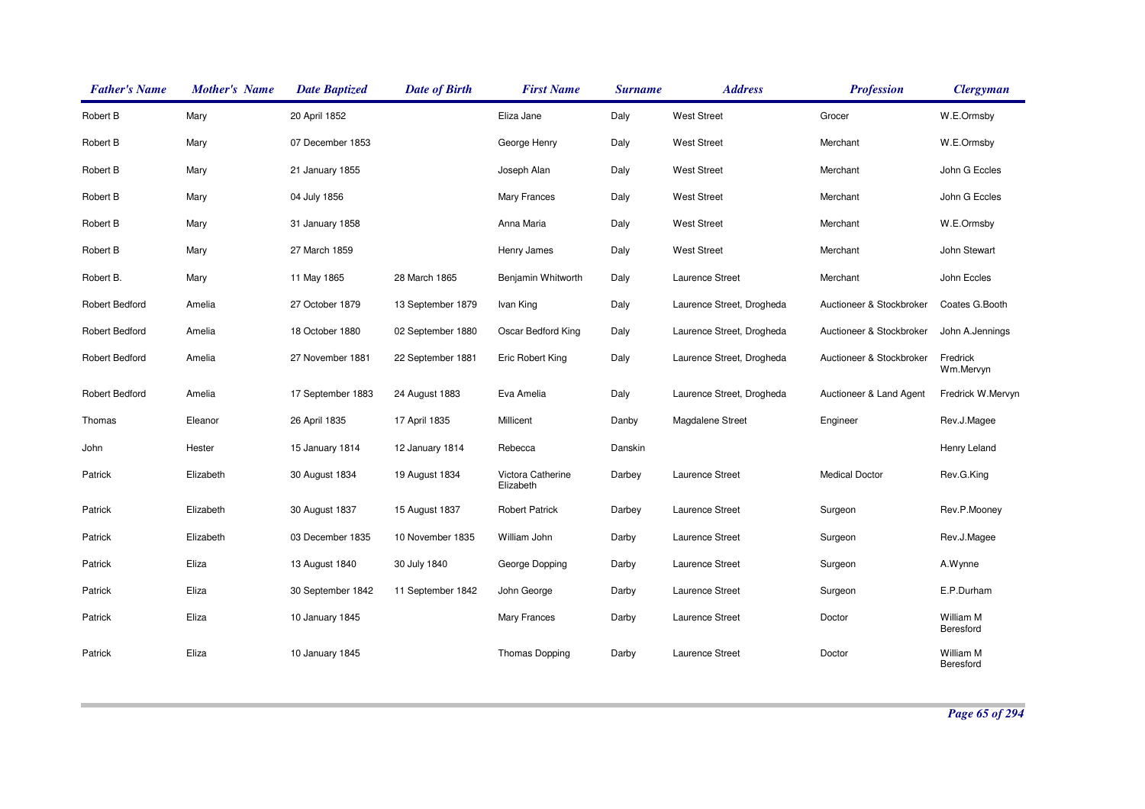| <b>Father's Name</b>  | <b>Mother's Name</b> | <b>Date Baptized</b> | <b>Date of Birth</b> | <b>First Name</b>              | <b>Surname</b> | <b>Address</b>            | <b>Profession</b>        | <b>Clergyman</b>       |
|-----------------------|----------------------|----------------------|----------------------|--------------------------------|----------------|---------------------------|--------------------------|------------------------|
| Robert B              | Mary                 | 20 April 1852        |                      | Eliza Jane                     | Daly           | <b>West Street</b>        | Grocer                   | W.E.Ormsby             |
| Robert B              | Mary                 | 07 December 1853     |                      | George Henry                   | Daly           | <b>West Street</b>        | Merchant                 | W.E.Ormsby             |
| Robert B              | Mary                 | 21 January 1855      |                      | Joseph Alan                    | Daly           | <b>West Street</b>        | Merchant                 | John G Eccles          |
| Robert B              | Mary                 | 04 July 1856         |                      | Mary Frances                   | Daly           | <b>West Street</b>        | Merchant                 | John G Eccles          |
| Robert B              | Mary                 | 31 January 1858      |                      | Anna Maria                     | Daly           | <b>West Street</b>        | Merchant                 | W.E.Ormsby             |
| Robert B              | Mary                 | 27 March 1859        |                      | Henry James                    | Daly           | <b>West Street</b>        | Merchant                 | John Stewart           |
| Robert B.             | Mary                 | 11 May 1865          | 28 March 1865        | Benjamin Whitworth             | Daly           | Laurence Street           | Merchant                 | John Eccles            |
| <b>Robert Bedford</b> | Amelia               | 27 October 1879      | 13 September 1879    | Ivan King                      | Daly           | Laurence Street, Drogheda | Auctioneer & Stockbroker | Coates G.Booth         |
| <b>Robert Bedford</b> | Amelia               | 18 October 1880      | 02 September 1880    | Oscar Bedford King             | Daly           | Laurence Street, Drogheda | Auctioneer & Stockbroker | John A.Jennings        |
| <b>Robert Bedford</b> | Amelia               | 27 November 1881     | 22 September 1881    | Eric Robert King               | Daly           | Laurence Street, Drogheda | Auctioneer & Stockbroker | Fredrick<br>Wm.Mervyn  |
| <b>Robert Bedford</b> | Amelia               | 17 September 1883    | 24 August 1883       | Eva Amelia                     | Daly           | Laurence Street, Drogheda | Auctioneer & Land Agent  | Fredrick W.Mervyn      |
| Thomas                | Eleanor              | 26 April 1835        | 17 April 1835        | Millicent                      | Danby          | Magdalene Street          | Engineer                 | Rev.J.Magee            |
| John                  | Hester               | 15 January 1814      | 12 January 1814      | Rebecca                        | Danskin        |                           |                          | Henry Leland           |
| Patrick               | Elizabeth            | 30 August 1834       | 19 August 1834       | Victora Catherine<br>Elizabeth | Darbey         | Laurence Street           | <b>Medical Doctor</b>    | Rev.G.King             |
| Patrick               | Elizabeth            | 30 August 1837       | 15 August 1837       | <b>Robert Patrick</b>          | Darbey         | Laurence Street           | Surgeon                  | Rev.P.Mooney           |
| Patrick               | Elizabeth            | 03 December 1835     | 10 November 1835     | William John                   | Darby          | Laurence Street           | Surgeon                  | Rev.J.Magee            |
| Patrick               | Eliza                | 13 August 1840       | 30 July 1840         | George Dopping                 | Darby          | Laurence Street           | Surgeon                  | A.Wynne                |
| Patrick               | Eliza                | 30 September 1842    | 11 September 1842    | John George                    | Darby          | Laurence Street           | Surgeon                  | E.P.Durham             |
| Patrick               | Eliza                | 10 January 1845      |                      | Mary Frances                   | Darby          | Laurence Street           | Doctor                   | William M<br>Beresford |
| Patrick               | Eliza                | 10 January 1845      |                      | Thomas Dopping                 | Darby          | Laurence Street           | Doctor                   | William M<br>Beresford |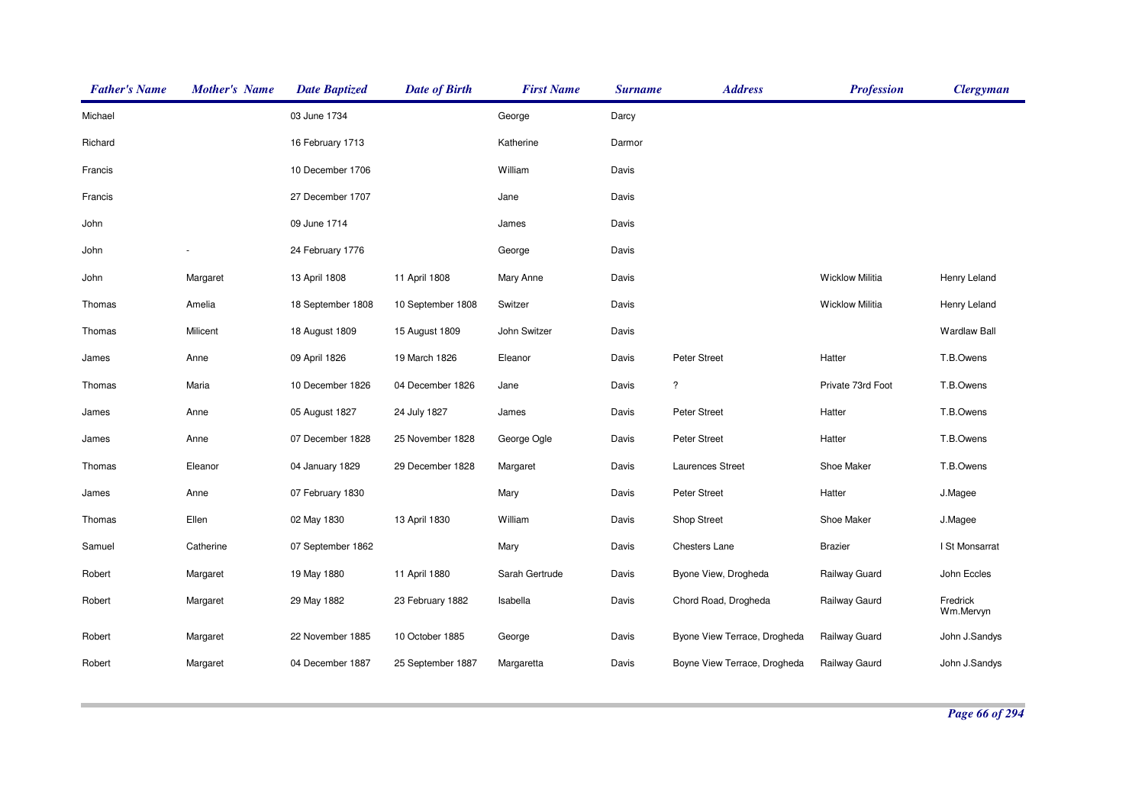| <b>Father's Name</b> | <b>Mother's Name</b> | <b>Date Baptized</b> | <b>Date of Birth</b> | <b>First Name</b> | <b>Surname</b> | <b>Address</b>               | <b>Profession</b>      | <b>Clergyman</b>      |
|----------------------|----------------------|----------------------|----------------------|-------------------|----------------|------------------------------|------------------------|-----------------------|
| Michael              |                      | 03 June 1734         |                      | George            | Darcy          |                              |                        |                       |
| Richard              |                      | 16 February 1713     |                      | Katherine         | Darmor         |                              |                        |                       |
| Francis              |                      | 10 December 1706     |                      | William           | Davis          |                              |                        |                       |
| Francis              |                      | 27 December 1707     |                      | Jane              | Davis          |                              |                        |                       |
| John                 |                      | 09 June 1714         |                      | James             | Davis          |                              |                        |                       |
| John                 |                      | 24 February 1776     |                      | George            | Davis          |                              |                        |                       |
| John                 | Margaret             | 13 April 1808        | 11 April 1808        | Mary Anne         | Davis          |                              | <b>Wicklow Militia</b> | Henry Leland          |
| Thomas               | Amelia               | 18 September 1808    | 10 September 1808    | Switzer           | Davis          |                              | <b>Wicklow Militia</b> | Henry Leland          |
| Thomas               | Milicent             | 18 August 1809       | 15 August 1809       | John Switzer      | Davis          |                              |                        | <b>Wardlaw Ball</b>   |
| James                | Anne                 | 09 April 1826        | 19 March 1826        | Eleanor           | Davis          | Peter Street                 | Hatter                 | T.B.Owens             |
| Thomas               | Maria                | 10 December 1826     | 04 December 1826     | Jane              | Davis          | $\ddot{?}$                   | Private 73rd Foot      | T.B.Owens             |
| James                | Anne                 | 05 August 1827       | 24 July 1827         | James             | Davis          | Peter Street                 | Hatter                 | T.B.Owens             |
| James                | Anne                 | 07 December 1828     | 25 November 1828     | George Ogle       | Davis          | Peter Street                 | Hatter                 | T.B.Owens             |
| Thomas               | Eleanor              | 04 January 1829      | 29 December 1828     | Margaret          | Davis          | Laurences Street             | Shoe Maker             | T.B.Owens             |
| James                | Anne                 | 07 February 1830     |                      | Mary              | Davis          | Peter Street                 | Hatter                 | J.Magee               |
| Thomas               | Ellen                | 02 May 1830          | 13 April 1830        | William           | Davis          | Shop Street                  | Shoe Maker             | J.Magee               |
| Samuel               | Catherine            | 07 September 1862    |                      | Mary              | Davis          | Chesters Lane                | <b>Brazier</b>         | I St Monsarrat        |
| Robert               | Margaret             | 19 May 1880          | 11 April 1880        | Sarah Gertrude    | Davis          | Byone View, Drogheda         | Railway Guard          | John Eccles           |
| Robert               | Margaret             | 29 May 1882          | 23 February 1882     | Isabella          | Davis          | Chord Road, Drogheda         | Railway Gaurd          | Fredrick<br>Wm.Mervyn |
| Robert               | Margaret             | 22 November 1885     | 10 October 1885      | George            | Davis          | Byone View Terrace, Drogheda | Railway Guard          | John J.Sandys         |
| Robert               | Margaret             | 04 December 1887     | 25 September 1887    | Margaretta        | Davis          | Boyne View Terrace, Drogheda | Railway Gaurd          | John J.Sandys         |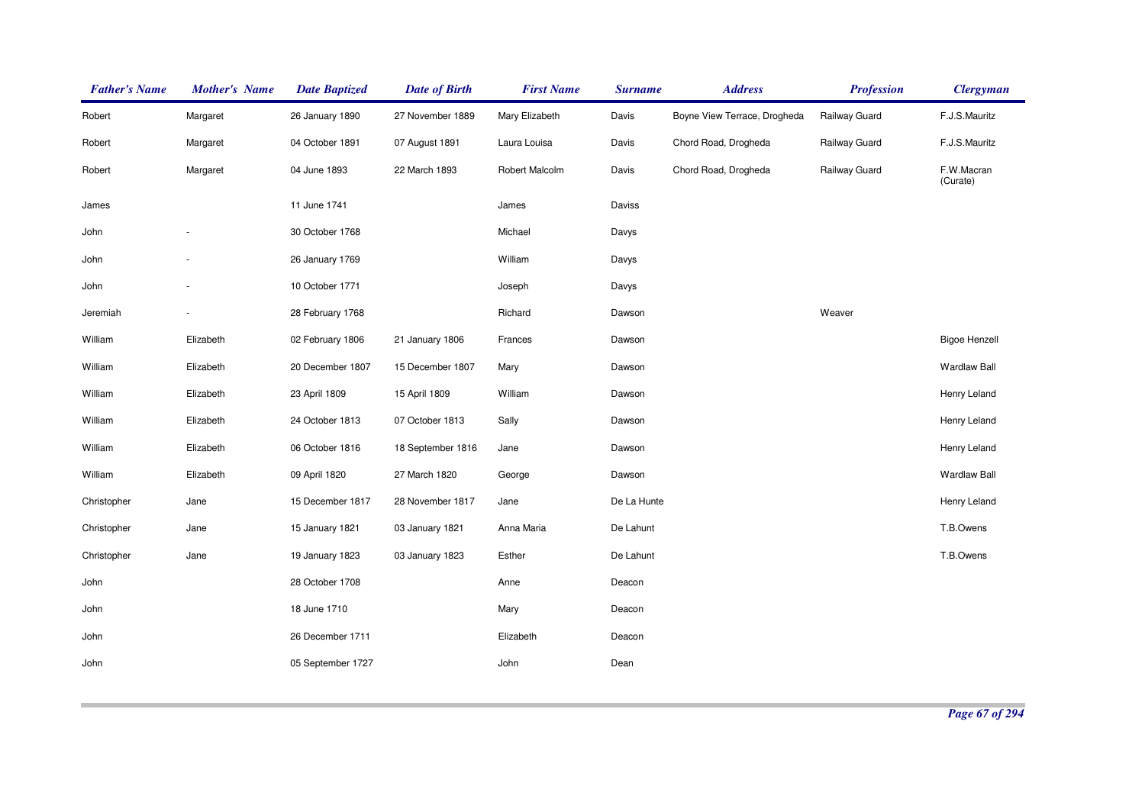| <b>Father's Name</b> | <b>Mother's Name</b> | <b>Date Baptized</b> | <b>Date of Birth</b> | <b>First Name</b> | <b>Surname</b> | <b>Address</b>               | <b>Profession</b> | <b>Clergyman</b>       |
|----------------------|----------------------|----------------------|----------------------|-------------------|----------------|------------------------------|-------------------|------------------------|
| Robert               | Margaret             | 26 January 1890      | 27 November 1889     | Mary Elizabeth    | Davis          | Boyne View Terrace, Drogheda | Railway Guard     | F.J.S.Mauritz          |
| Robert               | Margaret             | 04 October 1891      | 07 August 1891       | Laura Louisa      | Davis          | Chord Road, Drogheda         | Railway Guard     | F.J.S.Mauritz          |
| Robert               | Margaret             | 04 June 1893         | 22 March 1893        | Robert Malcolm    | Davis          | Chord Road, Drogheda         | Railway Guard     | F.W.Macran<br>(Curate) |
| James                |                      | 11 June 1741         |                      | James             | Daviss         |                              |                   |                        |
| John                 |                      | 30 October 1768      |                      | Michael           | Davys          |                              |                   |                        |
| John                 |                      | 26 January 1769      |                      | William           | Davys          |                              |                   |                        |
| John                 |                      | 10 October 1771      |                      | Joseph            | Davys          |                              |                   |                        |
| Jeremiah             |                      | 28 February 1768     |                      | Richard           | Dawson         |                              | Weaver            |                        |
| William              | Elizabeth            | 02 February 1806     | 21 January 1806      | Frances           | Dawson         |                              |                   | <b>Bigoe Henzell</b>   |
| William              | Elizabeth            | 20 December 1807     | 15 December 1807     | Mary              | Dawson         |                              |                   | Wardlaw Ball           |
| William              | Elizabeth            | 23 April 1809        | 15 April 1809        | William           | Dawson         |                              |                   | Henry Leland           |
| William              | Elizabeth            | 24 October 1813      | 07 October 1813      | Sally             | Dawson         |                              |                   | Henry Leland           |
| William              | Elizabeth            | 06 October 1816      | 18 September 1816    | Jane              | Dawson         |                              |                   | Henry Leland           |
| William              | Elizabeth            | 09 April 1820        | 27 March 1820        | George            | Dawson         |                              |                   | <b>Wardlaw Ball</b>    |
| Christopher          | Jane                 | 15 December 1817     | 28 November 1817     | Jane              | De La Hunte    |                              |                   | Henry Leland           |
| Christopher          | Jane                 | 15 January 1821      | 03 January 1821      | Anna Maria        | De Lahunt      |                              |                   | T.B.Owens              |
| Christopher          | Jane                 | 19 January 1823      | 03 January 1823      | Esther            | De Lahunt      |                              |                   | T.B.Owens              |
| John                 |                      | 28 October 1708      |                      | Anne              | Deacon         |                              |                   |                        |
| John                 |                      | 18 June 1710         |                      | Mary              | Deacon         |                              |                   |                        |
| John                 |                      | 26 December 1711     |                      | Elizabeth         | Deacon         |                              |                   |                        |
| John                 |                      | 05 September 1727    |                      | John              | Dean           |                              |                   |                        |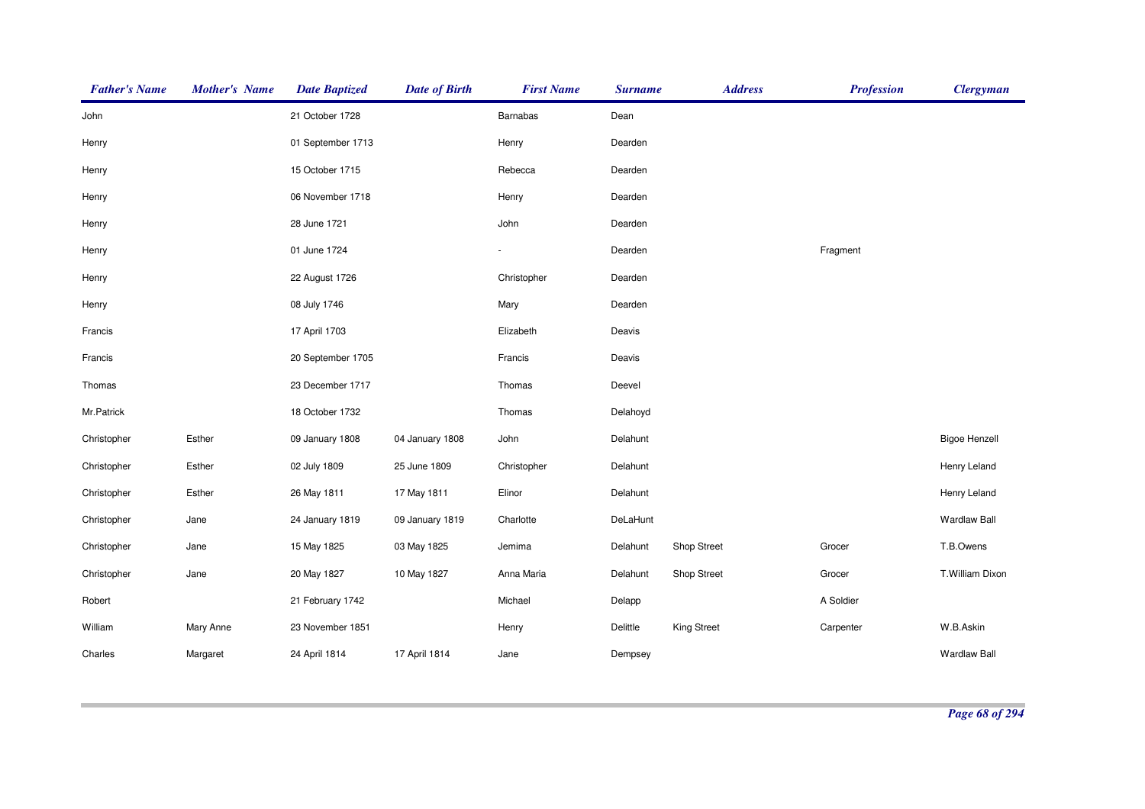| <b>Father's Name</b> | <b>Mother's Name</b> | <b>Date Baptized</b> | <b>Date of Birth</b> | <b>First Name</b> | <b>Surname</b> | <b>Address</b>     | <b>Profession</b> | <b>Clergyman</b>     |
|----------------------|----------------------|----------------------|----------------------|-------------------|----------------|--------------------|-------------------|----------------------|
| John                 |                      | 21 October 1728      |                      | Barnabas          | Dean           |                    |                   |                      |
| Henry                |                      | 01 September 1713    |                      | Henry             | Dearden        |                    |                   |                      |
| Henry                |                      | 15 October 1715      |                      | Rebecca           | Dearden        |                    |                   |                      |
| Henry                |                      | 06 November 1718     |                      | Henry             | Dearden        |                    |                   |                      |
| Henry                |                      | 28 June 1721         |                      | John              | Dearden        |                    |                   |                      |
| Henry                |                      | 01 June 1724         |                      |                   | Dearden        |                    | Fragment          |                      |
| Henry                |                      | 22 August 1726       |                      | Christopher       | Dearden        |                    |                   |                      |
| Henry                |                      | 08 July 1746         |                      | Mary              | Dearden        |                    |                   |                      |
| Francis              |                      | 17 April 1703        |                      | Elizabeth         | Deavis         |                    |                   |                      |
| Francis              |                      | 20 September 1705    |                      | Francis           | Deavis         |                    |                   |                      |
| Thomas               |                      | 23 December 1717     |                      | Thomas            | Deevel         |                    |                   |                      |
| Mr.Patrick           |                      | 18 October 1732      |                      | Thomas            | Delahoyd       |                    |                   |                      |
| Christopher          | Esther               | 09 January 1808      | 04 January 1808      | John              | Delahunt       |                    |                   | <b>Bigoe Henzell</b> |
| Christopher          | Esther               | 02 July 1809         | 25 June 1809         | Christopher       | Delahunt       |                    |                   | Henry Leland         |
| Christopher          | Esther               | 26 May 1811          | 17 May 1811          | Elinor            | Delahunt       |                    |                   | Henry Leland         |
| Christopher          | Jane                 | 24 January 1819      | 09 January 1819      | Charlotte         | DeLaHunt       |                    |                   | <b>Wardlaw Ball</b>  |
| Christopher          | Jane                 | 15 May 1825          | 03 May 1825          | Jemima            | Delahunt       | Shop Street        | Grocer            | T.B.Owens            |
| Christopher          | Jane                 | 20 May 1827          | 10 May 1827          | Anna Maria        | Delahunt       | Shop Street        | Grocer            | T.William Dixon      |
| Robert               |                      | 21 February 1742     |                      | Michael           | Delapp         |                    | A Soldier         |                      |
| William              | Mary Anne            | 23 November 1851     |                      | Henry             | Delittle       | <b>King Street</b> | Carpenter         | W.B.Askin            |
| Charles              | Margaret             | 24 April 1814        | 17 April 1814        | Jane              | Dempsey        |                    |                   | <b>Wardlaw Ball</b>  |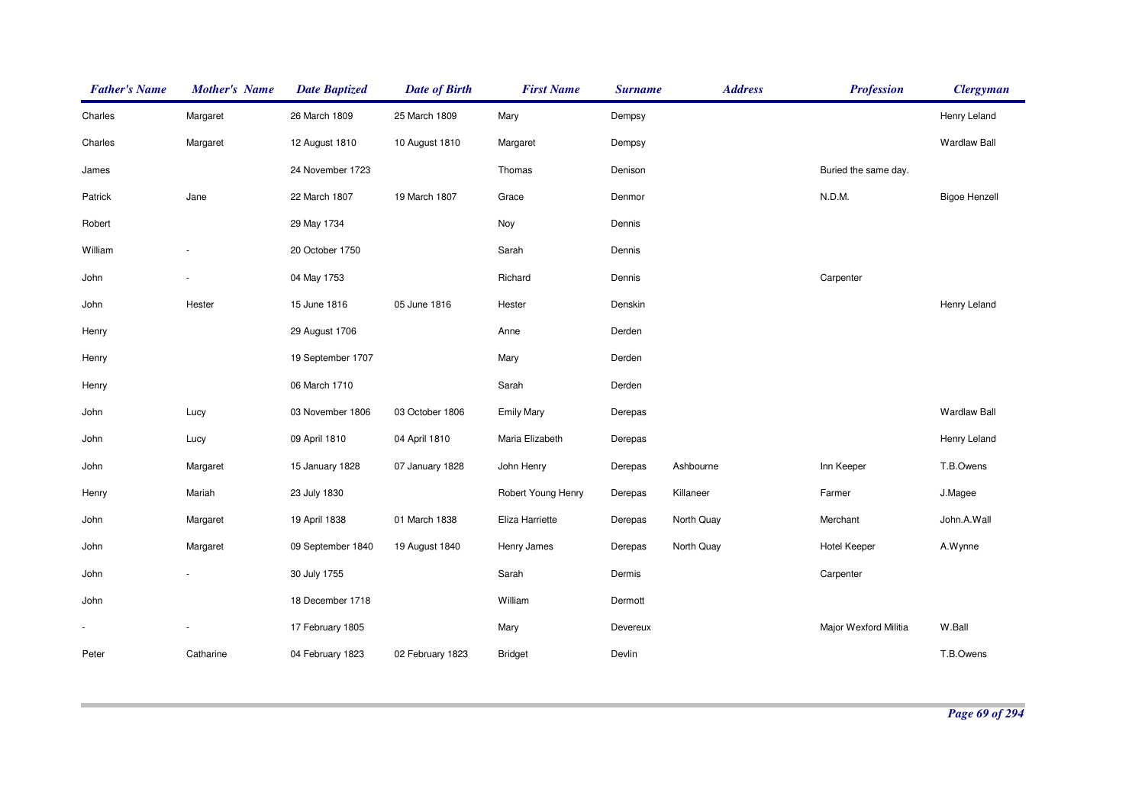| <b>Father's Name</b> | <b>Mother's Name</b>     | <b>Date Baptized</b> | <b>Date of Birth</b> | <b>First Name</b>  | <b>Surname</b> | <b>Address</b> | <b>Profession</b>     | <b>Clergyman</b>     |
|----------------------|--------------------------|----------------------|----------------------|--------------------|----------------|----------------|-----------------------|----------------------|
| Charles              | Margaret                 | 26 March 1809        | 25 March 1809        | Mary               | Dempsy         |                |                       | Henry Leland         |
| Charles              | Margaret                 | 12 August 1810       | 10 August 1810       | Margaret           | Dempsy         |                |                       | <b>Wardlaw Ball</b>  |
| James                |                          | 24 November 1723     |                      | Thomas             | Denison        |                | Buried the same day.  |                      |
| Patrick              | Jane                     | 22 March 1807        | 19 March 1807        | Grace              | Denmor         |                | N.D.M.                | <b>Bigoe Henzell</b> |
| Robert               |                          | 29 May 1734          |                      | Noy                | Dennis         |                |                       |                      |
| William              |                          | 20 October 1750      |                      | Sarah              | Dennis         |                |                       |                      |
| John                 |                          | 04 May 1753          |                      | Richard            | Dennis         |                | Carpenter             |                      |
| John                 | Hester                   | 15 June 1816         | 05 June 1816         | Hester             | Denskin        |                |                       | Henry Leland         |
| Henry                |                          | 29 August 1706       |                      | Anne               | Derden         |                |                       |                      |
| Henry                |                          | 19 September 1707    |                      | Mary               | Derden         |                |                       |                      |
| Henry                |                          | 06 March 1710        |                      | Sarah              | Derden         |                |                       |                      |
| John                 | Lucy                     | 03 November 1806     | 03 October 1806      | <b>Emily Mary</b>  | Derepas        |                |                       | <b>Wardlaw Ball</b>  |
| John                 | Lucy                     | 09 April 1810        | 04 April 1810        | Maria Elizabeth    | Derepas        |                |                       | Henry Leland         |
| John                 | Margaret                 | 15 January 1828      | 07 January 1828      | John Henry         | Derepas        | Ashbourne      | Inn Keeper            | T.B.Owens            |
| Henry                | Mariah                   | 23 July 1830         |                      | Robert Young Henry | Derepas        | Killaneer      | Farmer                | J.Magee              |
| John                 | Margaret                 | 19 April 1838        | 01 March 1838        | Eliza Harriette    | Derepas        | North Quay     | Merchant              | John.A.Wall          |
| John                 | Margaret                 | 09 September 1840    | 19 August 1840       | Henry James        | Derepas        | North Quay     | <b>Hotel Keeper</b>   | A.Wynne              |
| John                 |                          | 30 July 1755         |                      | Sarah              | Dermis         |                | Carpenter             |                      |
| John                 |                          | 18 December 1718     |                      | William            | Dermott        |                |                       |                      |
|                      | $\overline{\phantom{a}}$ | 17 February 1805     |                      | Mary               | Devereux       |                | Major Wexford Militia | W.Ball               |
| Peter                | Catharine                | 04 February 1823     | 02 February 1823     | <b>Bridget</b>     | Devlin         |                |                       | T.B.Owens            |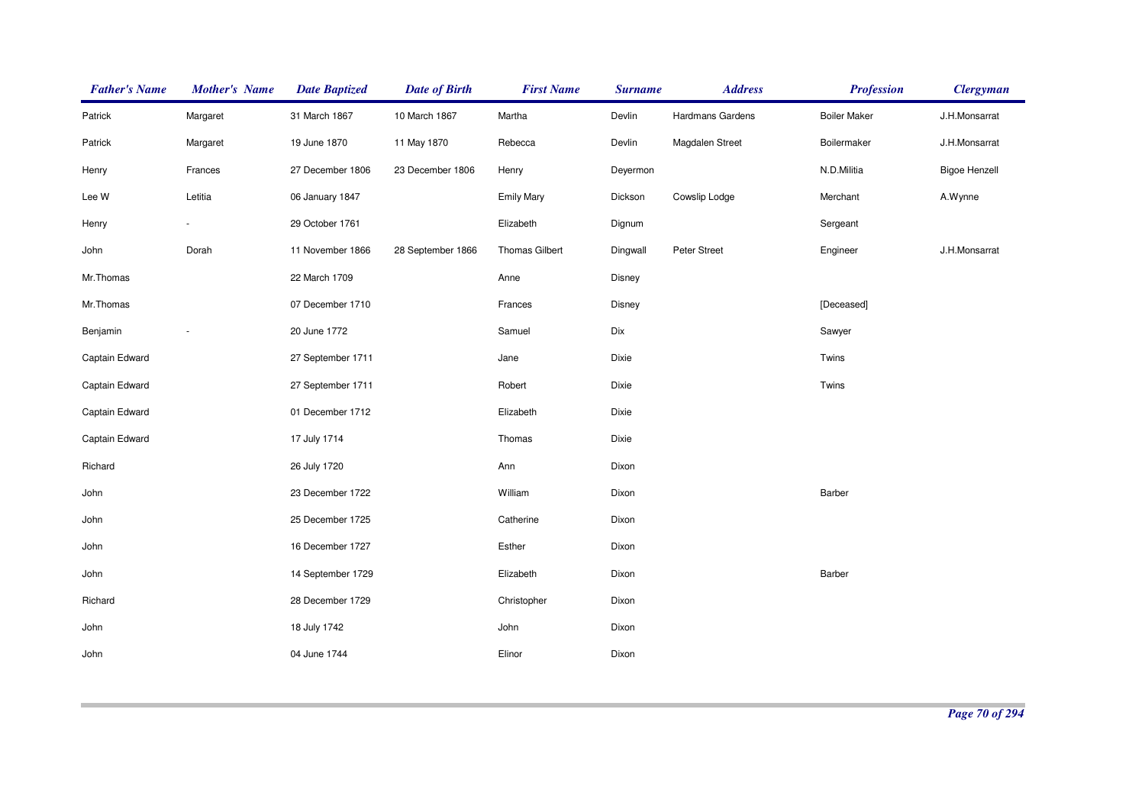| <b>Father's Name</b> | <b>Mother's Name</b> | <b>Date Baptized</b> | <b>Date of Birth</b> | <b>First Name</b>     | <b>Surname</b> | <b>Address</b>   | <b>Profession</b>   | <b>Clergyman</b>     |
|----------------------|----------------------|----------------------|----------------------|-----------------------|----------------|------------------|---------------------|----------------------|
| Patrick              | Margaret             | 31 March 1867        | 10 March 1867        | Martha                | Devlin         | Hardmans Gardens | <b>Boiler Maker</b> | J.H.Monsarrat        |
| Patrick              | Margaret             | 19 June 1870         | 11 May 1870          | Rebecca               | Devlin         | Magdalen Street  | Boilermaker         | J.H.Monsarrat        |
| Henry                | Frances              | 27 December 1806     | 23 December 1806     | Henry                 | Deyermon       |                  | N.D.Militia         | <b>Bigoe Henzell</b> |
| Lee W                | Letitia              | 06 January 1847      |                      | <b>Emily Mary</b>     | Dickson        | Cowslip Lodge    | Merchant            | A.Wynne              |
| Henry                |                      | 29 October 1761      |                      | Elizabeth             | Dignum         |                  | Sergeant            |                      |
| John                 | Dorah                | 11 November 1866     | 28 September 1866    | <b>Thomas Gilbert</b> | Dingwall       | Peter Street     | Engineer            | J.H.Monsarrat        |
| Mr.Thomas            |                      | 22 March 1709        |                      | Anne                  | Disney         |                  |                     |                      |
| Mr.Thomas            |                      | 07 December 1710     |                      | Frances               | Disney         |                  | [Deceased]          |                      |
| Benjamin             |                      | 20 June 1772         |                      | Samuel                | Dix            |                  | Sawyer              |                      |
| Captain Edward       |                      | 27 September 1711    |                      | Jane                  | Dixie          |                  | Twins               |                      |
| Captain Edward       |                      | 27 September 1711    |                      | Robert                | Dixie          |                  | Twins               |                      |
| Captain Edward       |                      | 01 December 1712     |                      | Elizabeth             | Dixie          |                  |                     |                      |
| Captain Edward       |                      | 17 July 1714         |                      | Thomas                | Dixie          |                  |                     |                      |
| Richard              |                      | 26 July 1720         |                      | Ann                   | Dixon          |                  |                     |                      |
| John                 |                      | 23 December 1722     |                      | William               | Dixon          |                  | Barber              |                      |
| John                 |                      | 25 December 1725     |                      | Catherine             | Dixon          |                  |                     |                      |
| John                 |                      | 16 December 1727     |                      | Esther                | Dixon          |                  |                     |                      |
| John                 |                      | 14 September 1729    |                      | Elizabeth             | Dixon          |                  | Barber              |                      |
| Richard              |                      | 28 December 1729     |                      | Christopher           | Dixon          |                  |                     |                      |
| John                 |                      | 18 July 1742         |                      | John                  | Dixon          |                  |                     |                      |
| John                 |                      | 04 June 1744         |                      | Elinor                | Dixon          |                  |                     |                      |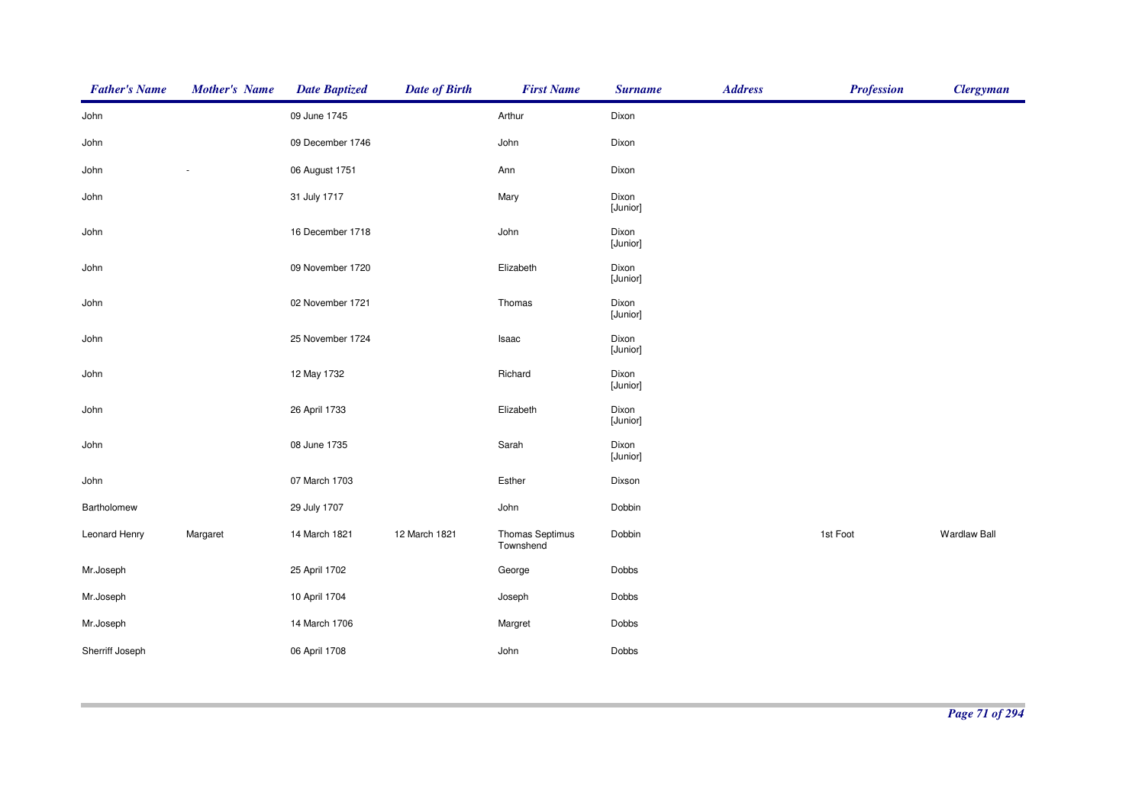| <b>Father's Name</b> | <b>Mother's Name</b> | <b>Date Baptized</b> | <b>Date of Birth</b> | <b>First Name</b>            | <b>Surname</b>    | <b>Address</b> | <b>Profession</b> | <b>Clergyman</b>    |
|----------------------|----------------------|----------------------|----------------------|------------------------------|-------------------|----------------|-------------------|---------------------|
| John                 |                      | 09 June 1745         |                      | Arthur                       | Dixon             |                |                   |                     |
| John                 |                      | 09 December 1746     |                      | John                         | Dixon             |                |                   |                     |
| John                 |                      | 06 August 1751       |                      | Ann                          | Dixon             |                |                   |                     |
| John                 |                      | 31 July 1717         |                      | Mary                         | Dixon<br>[Junior] |                |                   |                     |
| John                 |                      | 16 December 1718     |                      | John                         | Dixon<br>[Junior] |                |                   |                     |
| John                 |                      | 09 November 1720     |                      | Elizabeth                    | Dixon<br>[Junior] |                |                   |                     |
| John                 |                      | 02 November 1721     |                      | Thomas                       | Dixon<br>[Junior] |                |                   |                     |
| John                 |                      | 25 November 1724     |                      | Isaac                        | Dixon<br>[Junior] |                |                   |                     |
| John                 |                      | 12 May 1732          |                      | Richard                      | Dixon<br>[Junior] |                |                   |                     |
| John                 |                      | 26 April 1733        |                      | Elizabeth                    | Dixon<br>[Junior] |                |                   |                     |
| John                 |                      | 08 June 1735         |                      | Sarah                        | Dixon<br>[Junior] |                |                   |                     |
| John                 |                      | 07 March 1703        |                      | Esther                       | Dixson            |                |                   |                     |
| Bartholomew          |                      | 29 July 1707         |                      | John                         | Dobbin            |                |                   |                     |
| Leonard Henry        | Margaret             | 14 March 1821        | 12 March 1821        | Thomas Septimus<br>Townshend | Dobbin            |                | 1st Foot          | <b>Wardlaw Ball</b> |
| Mr.Joseph            |                      | 25 April 1702        |                      | George                       | Dobbs             |                |                   |                     |
| Mr.Joseph            |                      | 10 April 1704        |                      | Joseph                       | Dobbs             |                |                   |                     |
| Mr.Joseph            |                      | 14 March 1706        |                      | Margret                      | Dobbs             |                |                   |                     |
| Sherriff Joseph      |                      | 06 April 1708        |                      | John                         | Dobbs             |                |                   |                     |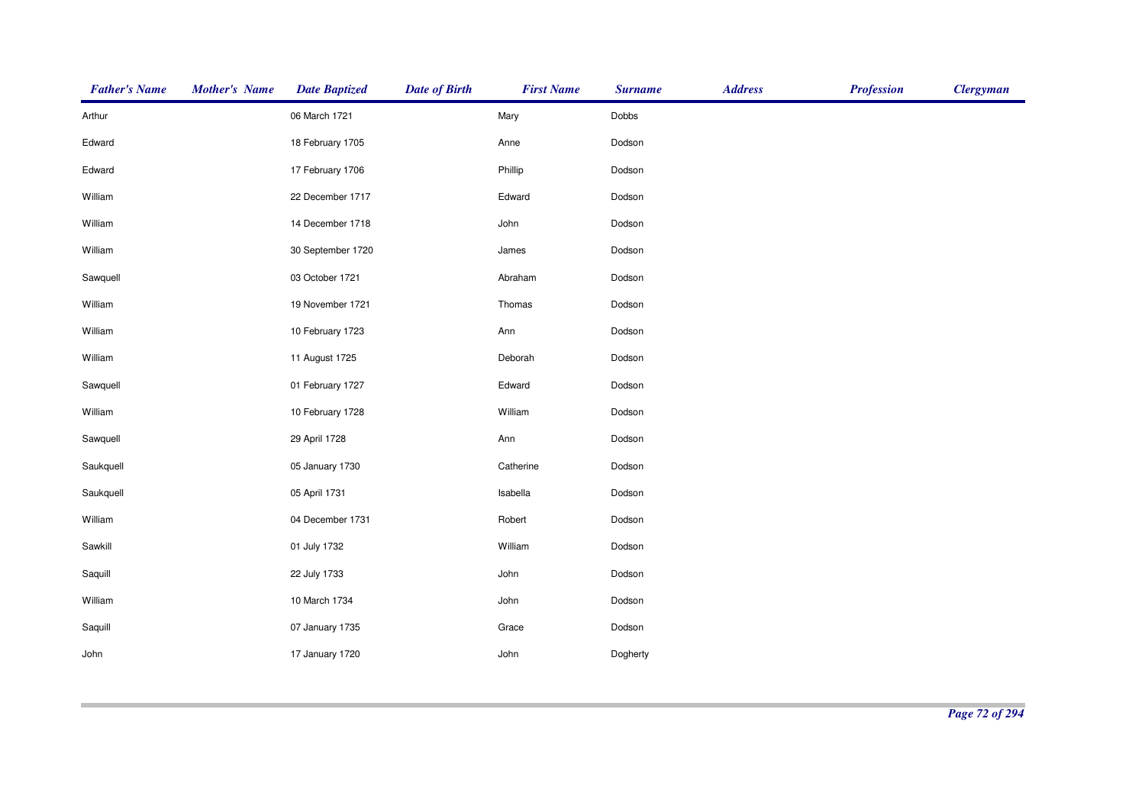| <b>Father's Name</b> | <b>Mother's Name</b> | <b>Date Baptized</b> | <b>Date of Birth</b> | <b>First Name</b> | <b>Surname</b> | <b>Address</b> | <b>Profession</b> | <b>Clergyman</b> |
|----------------------|----------------------|----------------------|----------------------|-------------------|----------------|----------------|-------------------|------------------|
| Arthur               |                      | 06 March 1721        |                      | Mary              | Dobbs          |                |                   |                  |
| Edward               |                      | 18 February 1705     |                      | Anne              | Dodson         |                |                   |                  |
| Edward               |                      | 17 February 1706     |                      | Phillip           | Dodson         |                |                   |                  |
| William              |                      | 22 December 1717     |                      | Edward            | Dodson         |                |                   |                  |
| William              |                      | 14 December 1718     |                      | John              | Dodson         |                |                   |                  |
| William              |                      | 30 September 1720    |                      | James             | Dodson         |                |                   |                  |
| Sawquell             |                      | 03 October 1721      |                      | Abraham           | Dodson         |                |                   |                  |
| William              |                      | 19 November 1721     |                      | Thomas            | Dodson         |                |                   |                  |
| William              |                      | 10 February 1723     |                      | Ann               | Dodson         |                |                   |                  |
| William              |                      | 11 August 1725       |                      | Deborah           | Dodson         |                |                   |                  |
| Sawquell             |                      | 01 February 1727     |                      | Edward            | Dodson         |                |                   |                  |
| William              |                      | 10 February 1728     |                      | William           | Dodson         |                |                   |                  |
| Sawquell             |                      | 29 April 1728        |                      | Ann               | Dodson         |                |                   |                  |
| Saukquell            |                      | 05 January 1730      |                      | Catherine         | Dodson         |                |                   |                  |
| Saukquell            |                      | 05 April 1731        |                      | Isabella          | Dodson         |                |                   |                  |
| William              |                      | 04 December 1731     |                      | Robert            | Dodson         |                |                   |                  |
| Sawkill              |                      | 01 July 1732         |                      | William           | Dodson         |                |                   |                  |
| Saquill              |                      | 22 July 1733         |                      | John              | Dodson         |                |                   |                  |
| William              |                      | 10 March 1734        |                      | John              | Dodson         |                |                   |                  |
| Saquill              |                      | 07 January 1735      |                      | Grace             | Dodson         |                |                   |                  |
| John                 |                      | 17 January 1720      |                      | John              | Dogherty       |                |                   |                  |
|                      |                      |                      |                      |                   |                |                |                   |                  |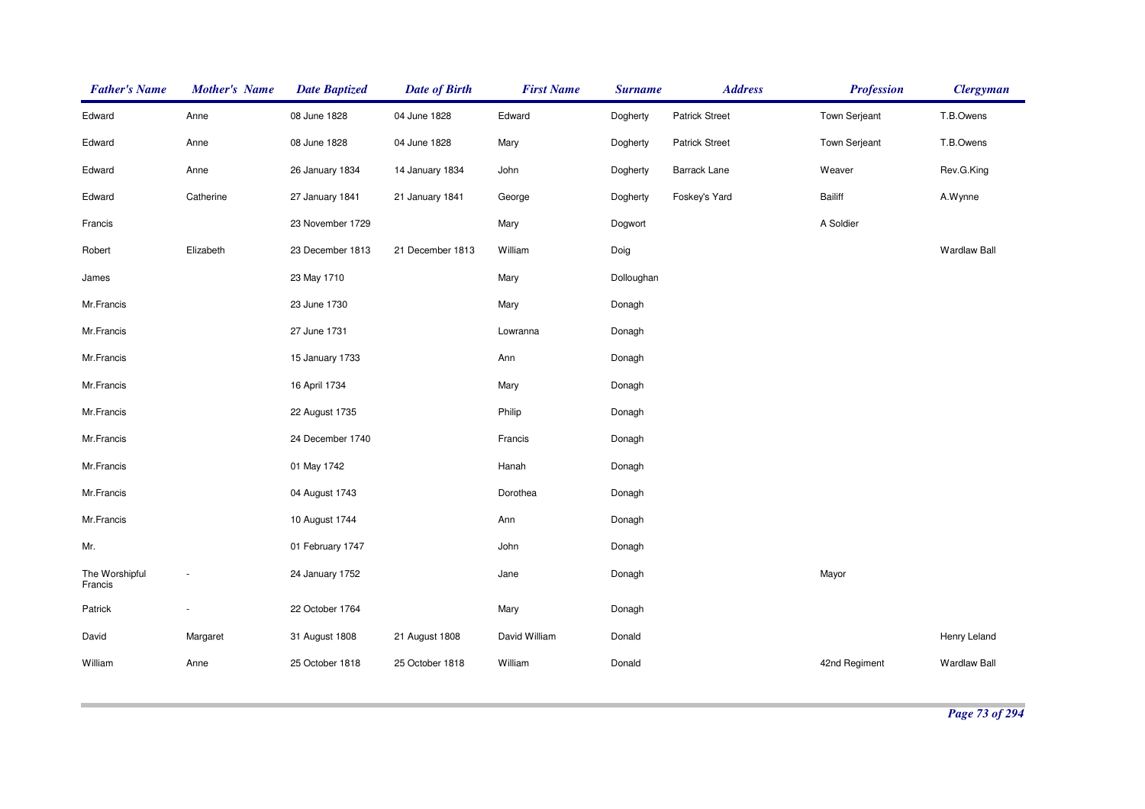| <b>Father's Name</b>      | <b>Mother's Name</b> | <b>Date Baptized</b> | <b>Date of Birth</b> | <b>First Name</b> | <b>Surname</b> | <b>Address</b>        | <b>Profession</b>    | <b>Clergyman</b>    |
|---------------------------|----------------------|----------------------|----------------------|-------------------|----------------|-----------------------|----------------------|---------------------|
| Edward                    | Anne                 | 08 June 1828         | 04 June 1828         | Edward            | Dogherty       | <b>Patrick Street</b> | Town Serjeant        | T.B.Owens           |
| Edward                    | Anne                 | 08 June 1828         | 04 June 1828         | Mary              | Dogherty       | <b>Patrick Street</b> | <b>Town Serjeant</b> | T.B.Owens           |
| Edward                    | Anne                 | 26 January 1834      | 14 January 1834      | John              | Dogherty       | <b>Barrack Lane</b>   | Weaver               | Rev.G.King          |
| Edward                    | Catherine            | 27 January 1841      | 21 January 1841      | George            | Dogherty       | Foskey's Yard         | Bailiff              | A.Wynne             |
| Francis                   |                      | 23 November 1729     |                      | Mary              | Dogwort        |                       | A Soldier            |                     |
| Robert                    | Elizabeth            | 23 December 1813     | 21 December 1813     | William           | Doig           |                       |                      | <b>Wardlaw Ball</b> |
| James                     |                      | 23 May 1710          |                      | Mary              | Dolloughan     |                       |                      |                     |
| Mr.Francis                |                      | 23 June 1730         |                      | Mary              | Donagh         |                       |                      |                     |
| Mr.Francis                |                      | 27 June 1731         |                      | Lowranna          | Donagh         |                       |                      |                     |
| Mr.Francis                |                      | 15 January 1733      |                      | Ann               | Donagh         |                       |                      |                     |
| Mr.Francis                |                      | 16 April 1734        |                      | Mary              | Donagh         |                       |                      |                     |
| Mr.Francis                |                      | 22 August 1735       |                      | Philip            | Donagh         |                       |                      |                     |
| Mr.Francis                |                      | 24 December 1740     |                      | Francis           | Donagh         |                       |                      |                     |
| Mr.Francis                |                      | 01 May 1742          |                      | Hanah             | Donagh         |                       |                      |                     |
| Mr.Francis                |                      | 04 August 1743       |                      | Dorothea          | Donagh         |                       |                      |                     |
| Mr.Francis                |                      | 10 August 1744       |                      | Ann               | Donagh         |                       |                      |                     |
| Mr.                       |                      | 01 February 1747     |                      | John              | Donagh         |                       |                      |                     |
| The Worshipful<br>Francis |                      | 24 January 1752      |                      | Jane              | Donagh         |                       | Mayor                |                     |
| Patrick                   |                      | 22 October 1764      |                      | Mary              | Donagh         |                       |                      |                     |
| David                     | Margaret             | 31 August 1808       | 21 August 1808       | David William     | Donald         |                       |                      | Henry Leland        |
| William                   | Anne                 | 25 October 1818      | 25 October 1818      | William           | Donald         |                       | 42nd Regiment        | <b>Wardlaw Ball</b> |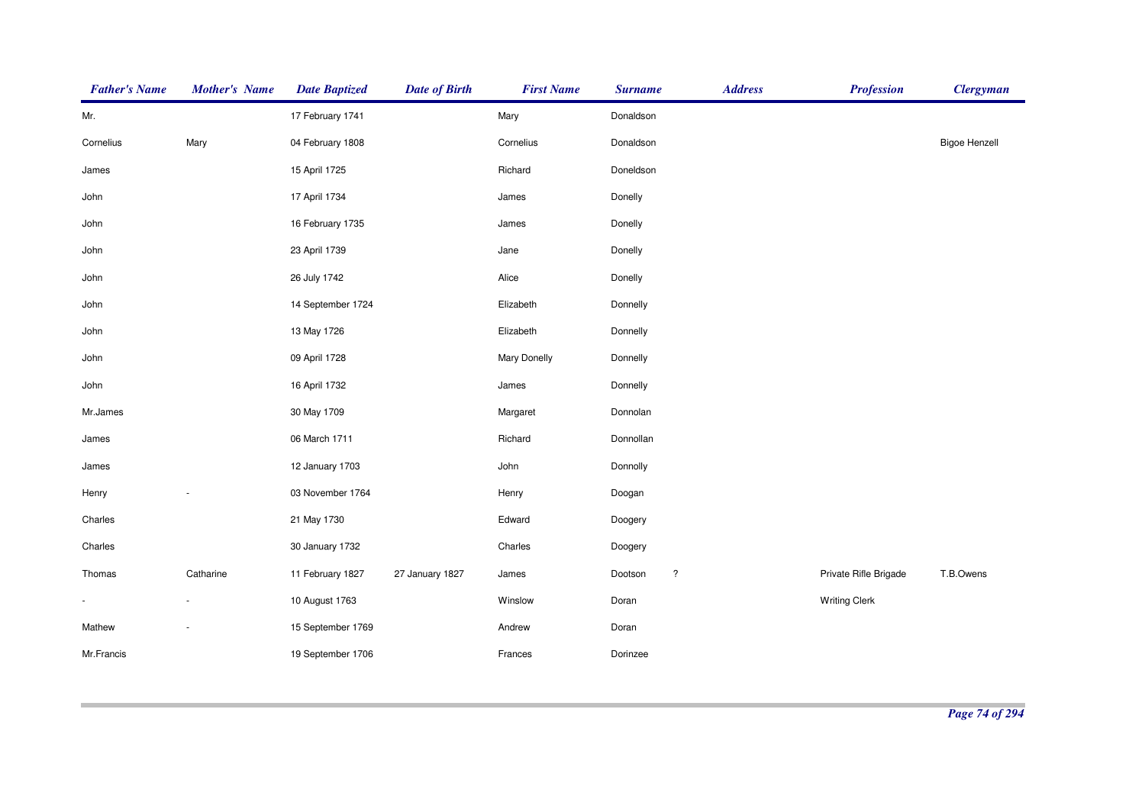| <b>Father's Name</b> | <b>Mother's Name</b>     | <b>Date Baptized</b> | <b>Date of Birth</b> | <b>First Name</b> | <b>Surname</b>                  | <b>Address</b> | <b>Profession</b>     | <b>Clergyman</b>     |
|----------------------|--------------------------|----------------------|----------------------|-------------------|---------------------------------|----------------|-----------------------|----------------------|
| Mr.                  |                          | 17 February 1741     |                      | Mary              | Donaldson                       |                |                       |                      |
| Cornelius            | Mary                     | 04 February 1808     |                      | Cornelius         | Donaldson                       |                |                       | <b>Bigoe Henzell</b> |
| James                |                          | 15 April 1725        |                      | Richard           | Doneldson                       |                |                       |                      |
| John                 |                          | 17 April 1734        |                      | James             | Donelly                         |                |                       |                      |
| John                 |                          | 16 February 1735     |                      | James             | Donelly                         |                |                       |                      |
| John                 |                          | 23 April 1739        |                      | Jane              | Donelly                         |                |                       |                      |
| John                 |                          | 26 July 1742         |                      | Alice             | Donelly                         |                |                       |                      |
| John                 |                          | 14 September 1724    |                      | Elizabeth         | Donnelly                        |                |                       |                      |
| John                 |                          | 13 May 1726          |                      | Elizabeth         | Donnelly                        |                |                       |                      |
| John                 |                          | 09 April 1728        |                      | Mary Donelly      | Donnelly                        |                |                       |                      |
| John                 |                          | 16 April 1732        |                      | James             | Donnelly                        |                |                       |                      |
| Mr.James             |                          | 30 May 1709          |                      | Margaret          | Donnolan                        |                |                       |                      |
| James                |                          | 06 March 1711        |                      | Richard           | Donnollan                       |                |                       |                      |
| James                |                          | 12 January 1703      |                      | John              | Donnolly                        |                |                       |                      |
| Henry                |                          | 03 November 1764     |                      | Henry             | Doogan                          |                |                       |                      |
| Charles              |                          | 21 May 1730          |                      | Edward            | Doogery                         |                |                       |                      |
| Charles              |                          | 30 January 1732      |                      | Charles           | Doogery                         |                |                       |                      |
| Thomas               | Catharine                | 11 February 1827     | 27 January 1827      | James             | $\ddot{\phantom{0}}$<br>Dootson |                | Private Rifle Brigade | T.B.Owens            |
| $\blacksquare$       | $\overline{\phantom{a}}$ | 10 August 1763       |                      | Winslow           | Doran                           |                | <b>Writing Clerk</b>  |                      |
| Mathew               |                          | 15 September 1769    |                      | Andrew            | Doran                           |                |                       |                      |
| Mr.Francis           |                          | 19 September 1706    |                      | Frances           | Dorinzee                        |                |                       |                      |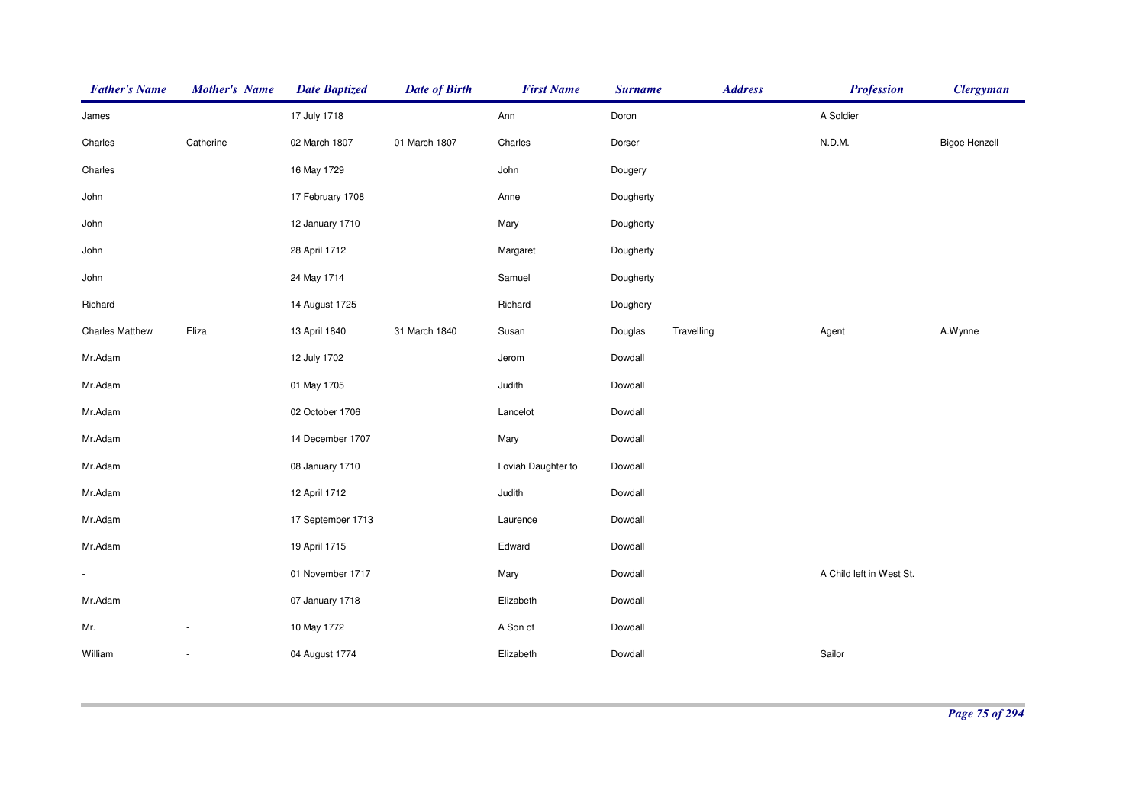| <b>Father's Name</b>   | <b>Mother's Name</b>     | <b>Date Baptized</b> | <b>Date of Birth</b> | <b>First Name</b>  | <b>Surname</b> | <b>Address</b> | <b>Profession</b>        | <b>Clergyman</b>     |
|------------------------|--------------------------|----------------------|----------------------|--------------------|----------------|----------------|--------------------------|----------------------|
| James                  |                          | 17 July 1718         |                      | Ann                | Doron          |                | A Soldier                |                      |
| Charles                | Catherine                | 02 March 1807        | 01 March 1807        | Charles            | Dorser         |                | N.D.M.                   | <b>Bigoe Henzell</b> |
| Charles                |                          | 16 May 1729          |                      | John               | Dougery        |                |                          |                      |
| John                   |                          | 17 February 1708     |                      | Anne               | Dougherty      |                |                          |                      |
| John                   |                          | 12 January 1710      |                      | Mary               | Dougherty      |                |                          |                      |
| John                   |                          | 28 April 1712        |                      | Margaret           | Dougherty      |                |                          |                      |
| John                   |                          | 24 May 1714          |                      | Samuel             | Dougherty      |                |                          |                      |
| Richard                |                          | 14 August 1725       |                      | Richard            | Doughery       |                |                          |                      |
| <b>Charles Matthew</b> | Eliza                    | 13 April 1840        | 31 March 1840        | Susan              | Douglas        | Travelling     | Agent                    | A.Wynne              |
| Mr.Adam                |                          | 12 July 1702         |                      | Jerom              | Dowdall        |                |                          |                      |
| Mr.Adam                |                          | 01 May 1705          |                      | Judith             | Dowdall        |                |                          |                      |
| Mr.Adam                |                          | 02 October 1706      |                      | Lancelot           | Dowdall        |                |                          |                      |
| Mr.Adam                |                          | 14 December 1707     |                      | Mary               | Dowdall        |                |                          |                      |
| Mr.Adam                |                          | 08 January 1710      |                      | Loviah Daughter to | Dowdall        |                |                          |                      |
| Mr.Adam                |                          | 12 April 1712        |                      | Judith             | Dowdall        |                |                          |                      |
| Mr.Adam                |                          | 17 September 1713    |                      | Laurence           | Dowdall        |                |                          |                      |
| Mr.Adam                |                          | 19 April 1715        |                      | Edward             | Dowdall        |                |                          |                      |
|                        |                          | 01 November 1717     |                      | Mary               | Dowdall        |                | A Child left in West St. |                      |
| Mr.Adam                |                          | 07 January 1718      |                      | Elizabeth          | Dowdall        |                |                          |                      |
| Mr.                    |                          | 10 May 1772          |                      | A Son of           | Dowdall        |                |                          |                      |
| William                | $\overline{\phantom{a}}$ | 04 August 1774       |                      | Elizabeth          | Dowdall        |                | Sailor                   |                      |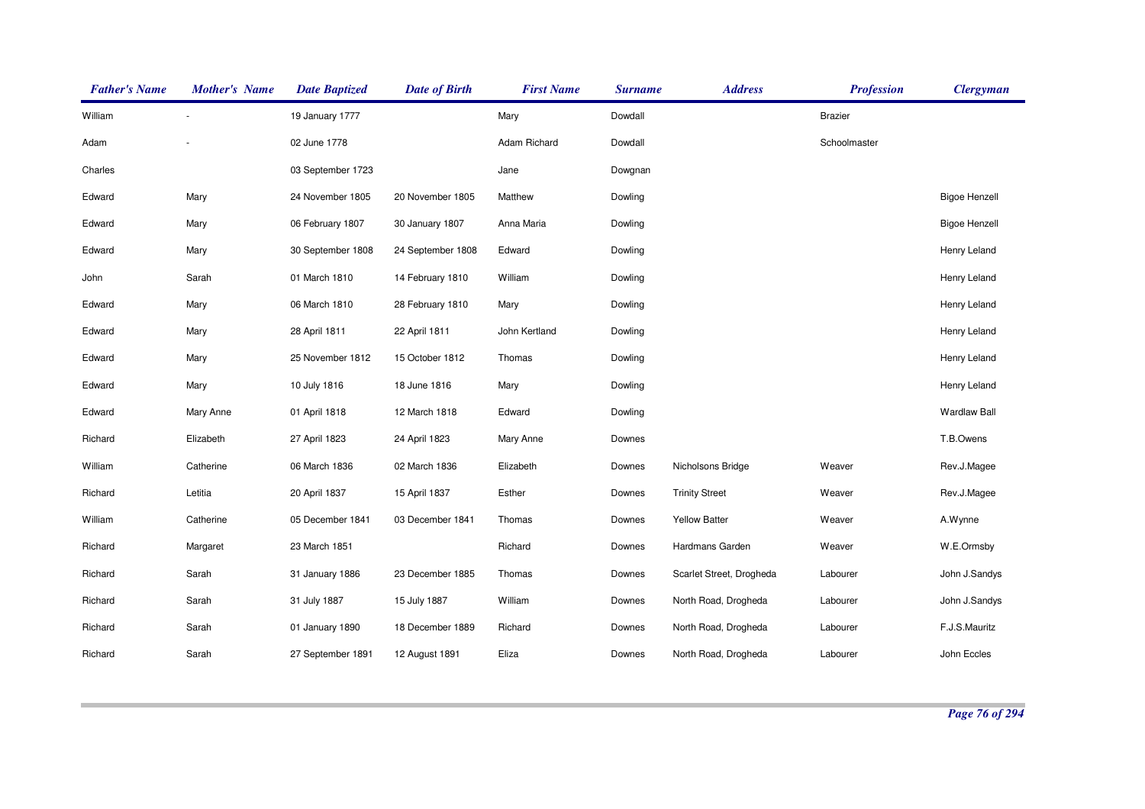| <b>Father's Name</b> | <b>Mother's Name</b> | <b>Date Baptized</b> | <b>Date of Birth</b> | <b>First Name</b> | <b>Surname</b> | <b>Address</b>           | <b>Profession</b> | <b>Clergyman</b>     |
|----------------------|----------------------|----------------------|----------------------|-------------------|----------------|--------------------------|-------------------|----------------------|
| William              |                      | 19 January 1777      |                      | Mary              | Dowdall        |                          | <b>Brazier</b>    |                      |
| Adam                 |                      | 02 June 1778         |                      | Adam Richard      | Dowdall        |                          | Schoolmaster      |                      |
| Charles              |                      | 03 September 1723    |                      | Jane              | Dowgnan        |                          |                   |                      |
| Edward               | Mary                 | 24 November 1805     | 20 November 1805     | Matthew           | Dowling        |                          |                   | <b>Bigoe Henzell</b> |
| Edward               | Mary                 | 06 February 1807     | 30 January 1807      | Anna Maria        | Dowling        |                          |                   | <b>Bigoe Henzell</b> |
| Edward               | Mary                 | 30 September 1808    | 24 September 1808    | Edward            | Dowling        |                          |                   | Henry Leland         |
| John                 | Sarah                | 01 March 1810        | 14 February 1810     | William           | Dowling        |                          |                   | Henry Leland         |
| Edward               | Mary                 | 06 March 1810        | 28 February 1810     | Mary              | Dowling        |                          |                   | Henry Leland         |
| Edward               | Mary                 | 28 April 1811        | 22 April 1811        | John Kertland     | Dowling        |                          |                   | Henry Leland         |
| Edward               | Mary                 | 25 November 1812     | 15 October 1812      | Thomas            | Dowling        |                          |                   | Henry Leland         |
| Edward               | Mary                 | 10 July 1816         | 18 June 1816         | Mary              | Dowling        |                          |                   | Henry Leland         |
| Edward               | Mary Anne            | 01 April 1818        | 12 March 1818        | Edward            | Dowling        |                          |                   | <b>Wardlaw Ball</b>  |
| Richard              | Elizabeth            | 27 April 1823        | 24 April 1823        | Mary Anne         | Downes         |                          |                   | T.B.Owens            |
| William              | Catherine            | 06 March 1836        | 02 March 1836        | Elizabeth         | Downes         | Nicholsons Bridge        | Weaver            | Rev.J.Magee          |
| Richard              | Letitia              | 20 April 1837        | 15 April 1837        | Esther            | Downes         | <b>Trinity Street</b>    | Weaver            | Rev.J.Magee          |
| William              | Catherine            | 05 December 1841     | 03 December 1841     | Thomas            | Downes         | <b>Yellow Batter</b>     | Weaver            | A.Wynne              |
| Richard              | Margaret             | 23 March 1851        |                      | Richard           | Downes         | Hardmans Garden          | Weaver            | W.E.Ormsby           |
| Richard              | Sarah                | 31 January 1886      | 23 December 1885     | Thomas            | Downes         | Scarlet Street, Drogheda | Labourer          | John J.Sandys        |
| Richard              | Sarah                | 31 July 1887         | 15 July 1887         | William           | Downes         | North Road, Drogheda     | Labourer          | John J.Sandys        |
| Richard              | Sarah                | 01 January 1890      | 18 December 1889     | Richard           | Downes         | North Road, Drogheda     | Labourer          | F.J.S.Mauritz        |
| Richard              | Sarah                | 27 September 1891    | 12 August 1891       | Eliza             | Downes         | North Road, Drogheda     | Labourer          | John Eccles          |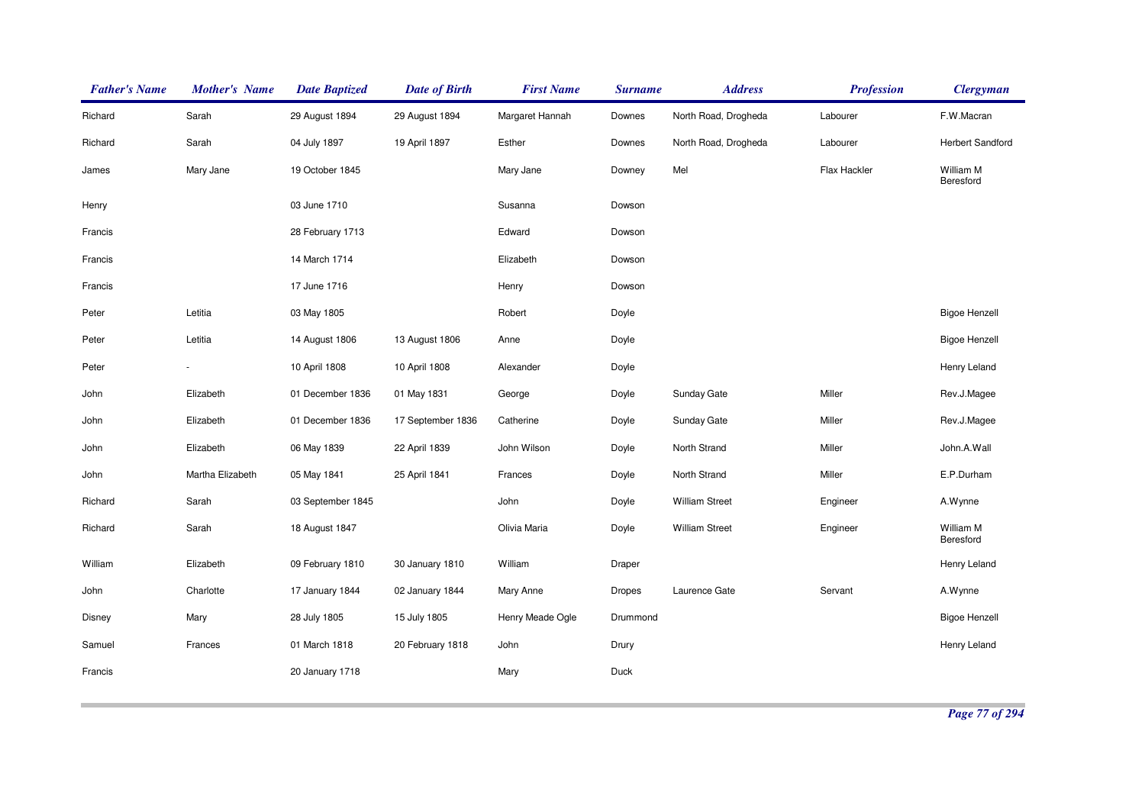| <b>Father's Name</b> | Mother's Name    | <b>Date Baptized</b> | <b>Date of Birth</b> | <b>First Name</b> | <b>Surname</b> | <b>Address</b>        | <b>Profession</b> | <b>Clergyman</b>        |
|----------------------|------------------|----------------------|----------------------|-------------------|----------------|-----------------------|-------------------|-------------------------|
| Richard              | Sarah            | 29 August 1894       | 29 August 1894       | Margaret Hannah   | Downes         | North Road, Drogheda  | Labourer          | F.W.Macran              |
| Richard              | Sarah            | 04 July 1897         | 19 April 1897        | Esther            | Downes         | North Road, Drogheda  | Labourer          | <b>Herbert Sandford</b> |
| James                | Mary Jane        | 19 October 1845      |                      | Mary Jane         | Downey         | Mel                   | Flax Hackler      | William M<br>Beresford  |
| Henry                |                  | 03 June 1710         |                      | Susanna           | Dowson         |                       |                   |                         |
| Francis              |                  | 28 February 1713     |                      | Edward            | Dowson         |                       |                   |                         |
| Francis              |                  | 14 March 1714        |                      | Elizabeth         | Dowson         |                       |                   |                         |
| Francis              |                  | 17 June 1716         |                      | Henry             | Dowson         |                       |                   |                         |
| Peter                | Letitia          | 03 May 1805          |                      | Robert            | Doyle          |                       |                   | <b>Bigoe Henzell</b>    |
| Peter                | Letitia          | 14 August 1806       | 13 August 1806       | Anne              | Doyle          |                       |                   | <b>Bigoe Henzell</b>    |
| Peter                |                  | 10 April 1808        | 10 April 1808        | Alexander         | Doyle          |                       |                   | Henry Leland            |
| John                 | Elizabeth        | 01 December 1836     | 01 May 1831          | George            | Doyle          | Sunday Gate           | Miller            | Rev.J.Magee             |
| John                 | Elizabeth        | 01 December 1836     | 17 September 1836    | Catherine         | Doyle          | Sunday Gate           | Miller            | Rev.J.Magee             |
| John                 | Elizabeth        | 06 May 1839          | 22 April 1839        | John Wilson       | Doyle          | North Strand          | Miller            | John.A.Wall             |
| John                 | Martha Elizabeth | 05 May 1841          | 25 April 1841        | Frances           | Doyle          | North Strand          | Miller            | E.P.Durham              |
| Richard              | Sarah            | 03 September 1845    |                      | John              | Doyle          | <b>William Street</b> | Engineer          | A.Wynne                 |
| Richard              | Sarah            | 18 August 1847       |                      | Olivia Maria      | Doyle          | <b>William Street</b> | Engineer          | William M<br>Beresford  |
| William              | Elizabeth        | 09 February 1810     | 30 January 1810      | William           | Draper         |                       |                   | Henry Leland            |
| John                 | Charlotte        | 17 January 1844      | 02 January 1844      | Mary Anne         | Dropes         | Laurence Gate         | Servant           | A.Wynne                 |
| Disney               | Mary             | 28 July 1805         | 15 July 1805         | Henry Meade Ogle  | Drummond       |                       |                   | <b>Bigoe Henzell</b>    |
| Samuel               | Frances          | 01 March 1818        | 20 February 1818     | John              | Drury          |                       |                   | Henry Leland            |
| Francis              |                  | 20 January 1718      |                      | Mary              | Duck           |                       |                   |                         |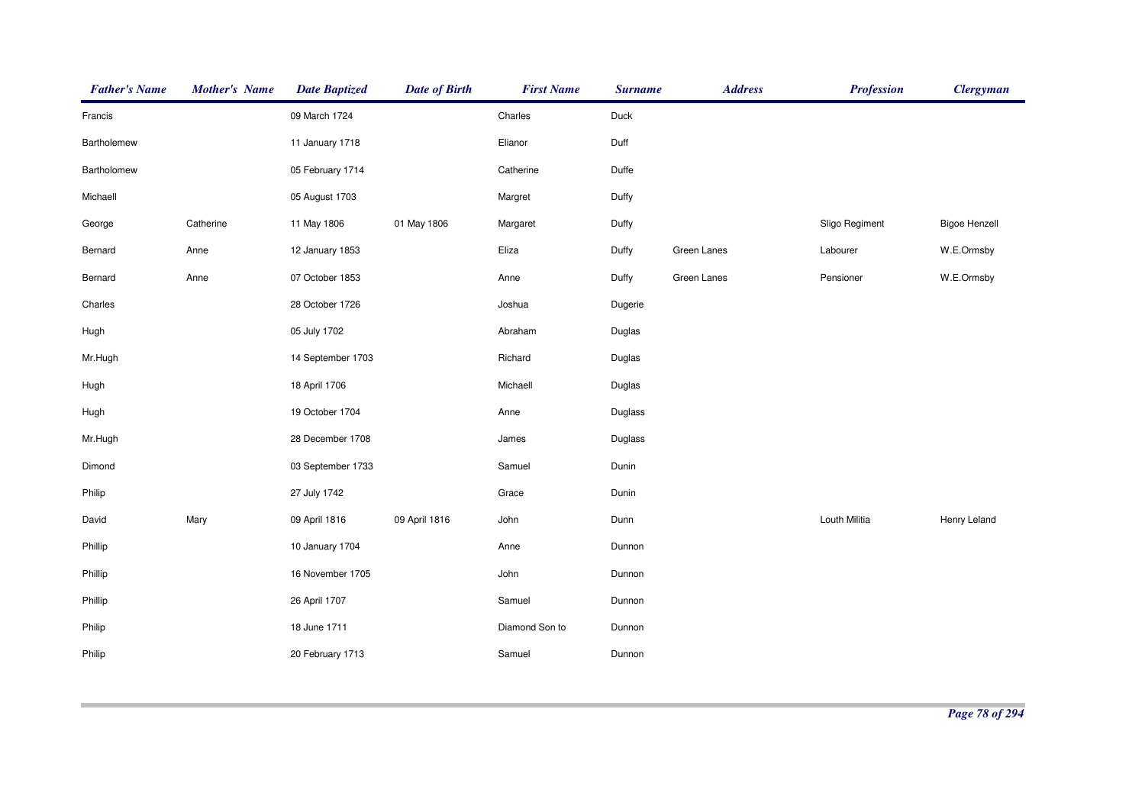| <b>Father's Name</b> | <b>Mother's Name</b> | <b>Date Baptized</b> | <b>Date of Birth</b> | <b>First Name</b> | <b>Surname</b> | <b>Address</b> | <b>Profession</b> | <b>Clergyman</b>     |
|----------------------|----------------------|----------------------|----------------------|-------------------|----------------|----------------|-------------------|----------------------|
| Francis              |                      | 09 March 1724        |                      | Charles           | Duck           |                |                   |                      |
| Bartholemew          |                      | 11 January 1718      |                      | Elianor           | Duff           |                |                   |                      |
| Bartholomew          |                      | 05 February 1714     |                      | Catherine         | Duffe          |                |                   |                      |
| Michaell             |                      | 05 August 1703       |                      | Margret           | Duffy          |                |                   |                      |
| George               | Catherine            | 11 May 1806          | 01 May 1806          | Margaret          | Duffy          |                | Sligo Regiment    | <b>Bigoe Henzell</b> |
| Bernard              | Anne                 | 12 January 1853      |                      | Eliza             | Duffy          | Green Lanes    | Labourer          | W.E.Ormsby           |
| Bernard              | Anne                 | 07 October 1853      |                      | Anne              | Duffy          | Green Lanes    | Pensioner         | W.E.Ormsby           |
| Charles              |                      | 28 October 1726      |                      | Joshua            | Dugerie        |                |                   |                      |
| Hugh                 |                      | 05 July 1702         |                      | Abraham           | Duglas         |                |                   |                      |
| Mr.Hugh              |                      | 14 September 1703    |                      | Richard           | Duglas         |                |                   |                      |
| Hugh                 |                      | 18 April 1706        |                      | Michaell          | Duglas         |                |                   |                      |
| Hugh                 |                      | 19 October 1704      |                      | Anne              | Duglass        |                |                   |                      |
| Mr.Hugh              |                      | 28 December 1708     |                      | James             | Duglass        |                |                   |                      |
| Dimond               |                      | 03 September 1733    |                      | Samuel            | Dunin          |                |                   |                      |
| Philip               |                      | 27 July 1742         |                      | Grace             | Dunin          |                |                   |                      |
| David                | Mary                 | 09 April 1816        | 09 April 1816        | John              | Dunn           |                | Louth Militia     | Henry Leland         |
| Phillip              |                      | 10 January 1704      |                      | Anne              | Dunnon         |                |                   |                      |
| Phillip              |                      | 16 November 1705     |                      | John              | Dunnon         |                |                   |                      |
| Phillip              |                      | 26 April 1707        |                      | Samuel            | Dunnon         |                |                   |                      |
| Philip               |                      | 18 June 1711         |                      | Diamond Son to    | Dunnon         |                |                   |                      |
| Philip               |                      | 20 February 1713     |                      | Samuel            | Dunnon         |                |                   |                      |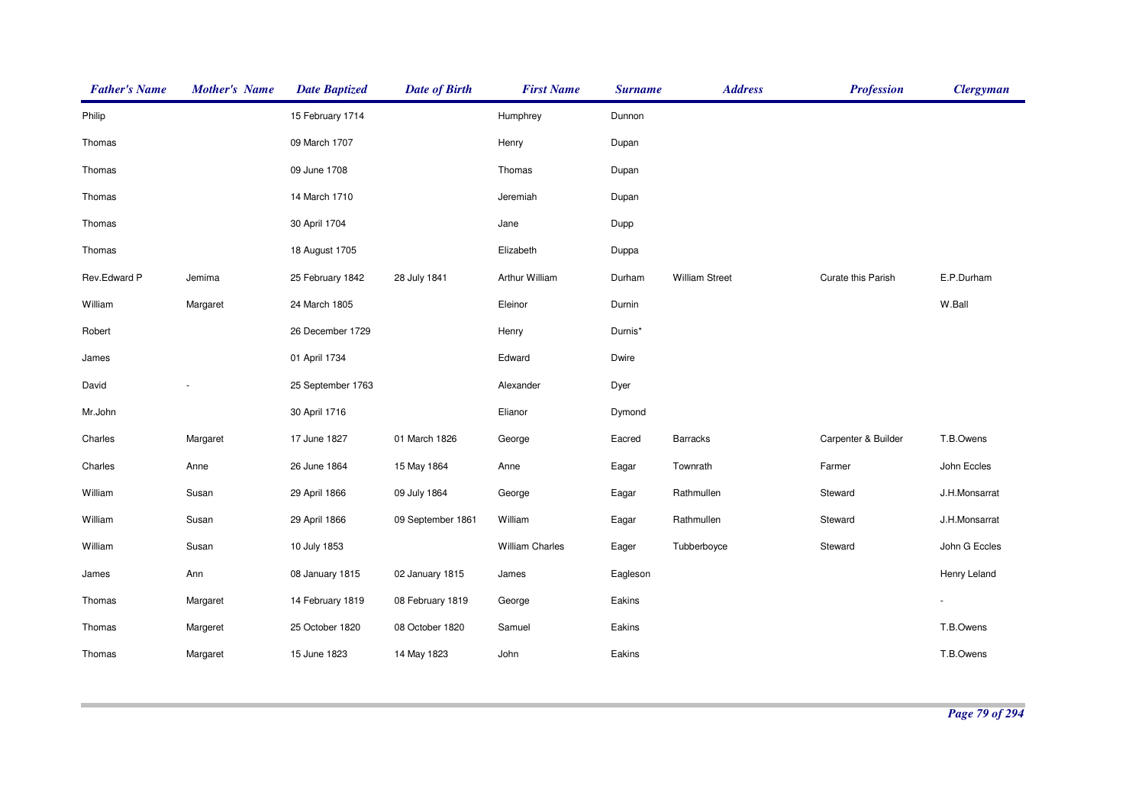| <b>Father's Name</b> | <b>Mother's Name</b> | <b>Date Baptized</b> | <b>Date of Birth</b> | <b>First Name</b>      | <b>Surname</b> | <b>Address</b>        | <b>Profession</b>   | <b>Clergyman</b> |
|----------------------|----------------------|----------------------|----------------------|------------------------|----------------|-----------------------|---------------------|------------------|
| Philip               |                      | 15 February 1714     |                      | Humphrey               | Dunnon         |                       |                     |                  |
| Thomas               |                      | 09 March 1707        |                      | Henry                  | Dupan          |                       |                     |                  |
| Thomas               |                      | 09 June 1708         |                      | Thomas                 | Dupan          |                       |                     |                  |
| Thomas               |                      | 14 March 1710        |                      | Jeremiah               | Dupan          |                       |                     |                  |
| Thomas               |                      | 30 April 1704        |                      | Jane                   | Dupp           |                       |                     |                  |
| Thomas               |                      | 18 August 1705       |                      | Elizabeth              | Duppa          |                       |                     |                  |
| Rev.Edward P         | Jemima               | 25 February 1842     | 28 July 1841         | Arthur William         | Durham         | <b>William Street</b> | Curate this Parish  | E.P.Durham       |
| William              | Margaret             | 24 March 1805        |                      | Eleinor                | Durnin         |                       |                     | W.Ball           |
| Robert               |                      | 26 December 1729     |                      | Henry                  | Durnis*        |                       |                     |                  |
| James                |                      | 01 April 1734        |                      | Edward                 | Dwire          |                       |                     |                  |
| David                |                      | 25 September 1763    |                      | Alexander              | Dyer           |                       |                     |                  |
| Mr.John              |                      | 30 April 1716        |                      | Elianor                | Dymond         |                       |                     |                  |
| Charles              | Margaret             | 17 June 1827         | 01 March 1826        | George                 | Eacred         | Barracks              | Carpenter & Builder | T.B.Owens        |
| Charles              | Anne                 | 26 June 1864         | 15 May 1864          | Anne                   | Eagar          | Townrath              | Farmer              | John Eccles      |
| William              | Susan                | 29 April 1866        | 09 July 1864         | George                 | Eagar          | Rathmullen            | Steward             | J.H.Monsarrat    |
| William              | Susan                | 29 April 1866        | 09 September 1861    | William                | Eagar          | Rathmullen            | Steward             | J.H.Monsarrat    |
| William              | Susan                | 10 July 1853         |                      | <b>William Charles</b> | Eager          | Tubberboyce           | Steward             | John G Eccles    |
| James                | Ann                  | 08 January 1815      | 02 January 1815      | James                  | Eagleson       |                       |                     | Henry Leland     |
| Thomas               | Margaret             | 14 February 1819     | 08 February 1819     | George                 | Eakins         |                       |                     |                  |
| Thomas               | Margeret             | 25 October 1820      | 08 October 1820      | Samuel                 | Eakins         |                       |                     | T.B.Owens        |
| Thomas               | Margaret             | 15 June 1823         | 14 May 1823          | John                   | Eakins         |                       |                     | T.B.Owens        |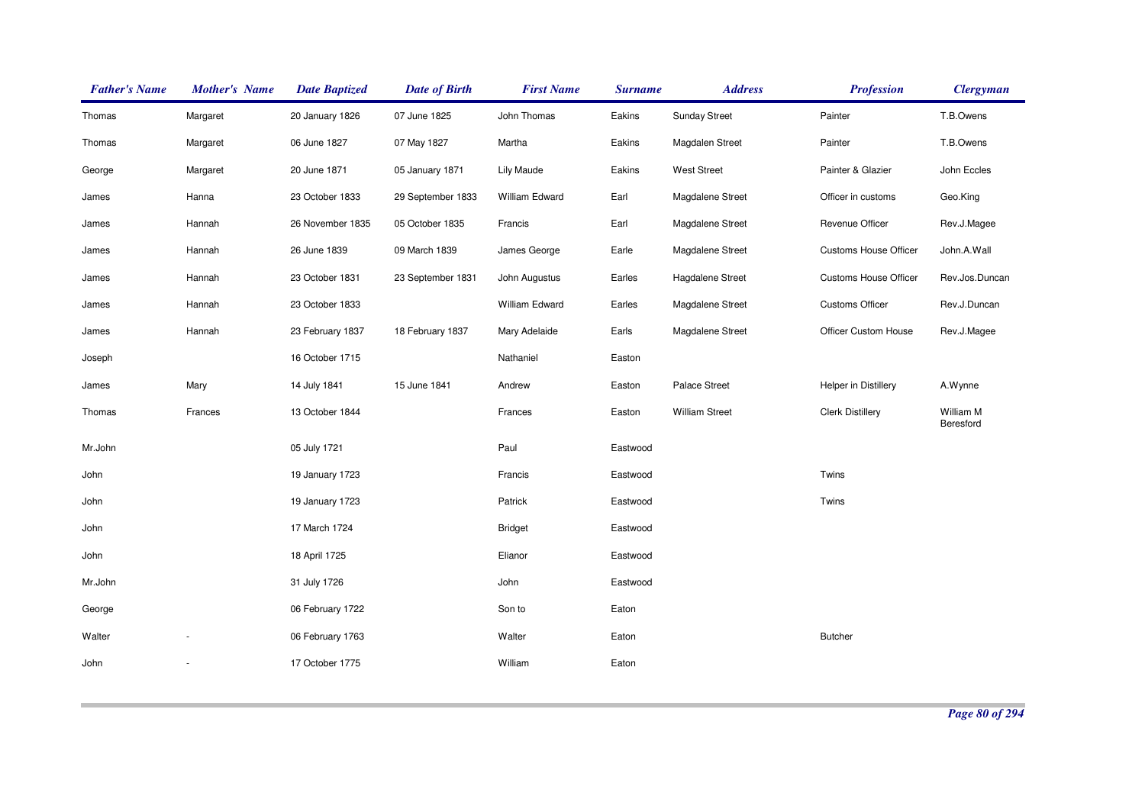| <b>Father's Name</b> | <b>Mother's Name</b> | <b>Date Baptized</b> | <b>Date of Birth</b> | <b>First Name</b> | <b>Surname</b> | <b>Address</b>        | <b>Profession</b>            | <b>Clergyman</b>       |
|----------------------|----------------------|----------------------|----------------------|-------------------|----------------|-----------------------|------------------------------|------------------------|
| Thomas               | Margaret             | 20 January 1826      | 07 June 1825         | John Thomas       | Eakins         | <b>Sunday Street</b>  | Painter                      | T.B.Owens              |
| Thomas               | Margaret             | 06 June 1827         | 07 May 1827          | Martha            | Eakins         | Magdalen Street       | Painter                      | T.B.Owens              |
| George               | Margaret             | 20 June 1871         | 05 January 1871      | <b>Lily Maude</b> | Eakins         | <b>West Street</b>    | Painter & Glazier            | John Eccles            |
| James                | Hanna                | 23 October 1833      | 29 September 1833    | William Edward    | Earl           | Magdalene Street      | Officer in customs           | Geo.King               |
| James                | Hannah               | 26 November 1835     | 05 October 1835      | Francis           | Earl           | Magdalene Street      | Revenue Officer              | Rev.J.Magee            |
| James                | Hannah               | 26 June 1839         | 09 March 1839        | James George      | Earle          | Magdalene Street      | Customs House Officer        | John.A.Wall            |
| James                | Hannah               | 23 October 1831      | 23 September 1831    | John Augustus     | Earles         | Hagdalene Street      | <b>Customs House Officer</b> | Rev.Jos.Duncan         |
| James                | Hannah               | 23 October 1833      |                      | William Edward    | Earles         | Magdalene Street      | <b>Customs Officer</b>       | Rev.J.Duncan           |
| James                | Hannah               | 23 February 1837     | 18 February 1837     | Mary Adelaide     | Earls          | Magdalene Street      | Officer Custom House         | Rev.J.Magee            |
| Joseph               |                      | 16 October 1715      |                      | Nathaniel         | Easton         |                       |                              |                        |
| James                | Mary                 | 14 July 1841         | 15 June 1841         | Andrew            | Easton         | Palace Street         | Helper in Distillery         | A.Wynne                |
| Thomas               | Frances              | 13 October 1844      |                      | Frances           | Easton         | <b>William Street</b> | <b>Clerk Distillery</b>      | William M<br>Beresford |
| Mr.John              |                      | 05 July 1721         |                      | Paul              | Eastwood       |                       |                              |                        |
| John                 |                      | 19 January 1723      |                      | Francis           | Eastwood       |                       | Twins                        |                        |
| John                 |                      | 19 January 1723      |                      | Patrick           | Eastwood       |                       | Twins                        |                        |
| John                 |                      | 17 March 1724        |                      | <b>Bridget</b>    | Eastwood       |                       |                              |                        |
| John                 |                      | 18 April 1725        |                      | Elianor           | Eastwood       |                       |                              |                        |
| Mr.John              |                      | 31 July 1726         |                      | John              | Eastwood       |                       |                              |                        |
| George               |                      | 06 February 1722     |                      | Son to            | Eaton          |                       |                              |                        |
| Walter               |                      | 06 February 1763     |                      | Walter            | Eaton          |                       | <b>Butcher</b>               |                        |
| John                 |                      | 17 October 1775      |                      | William           | Eaton          |                       |                              |                        |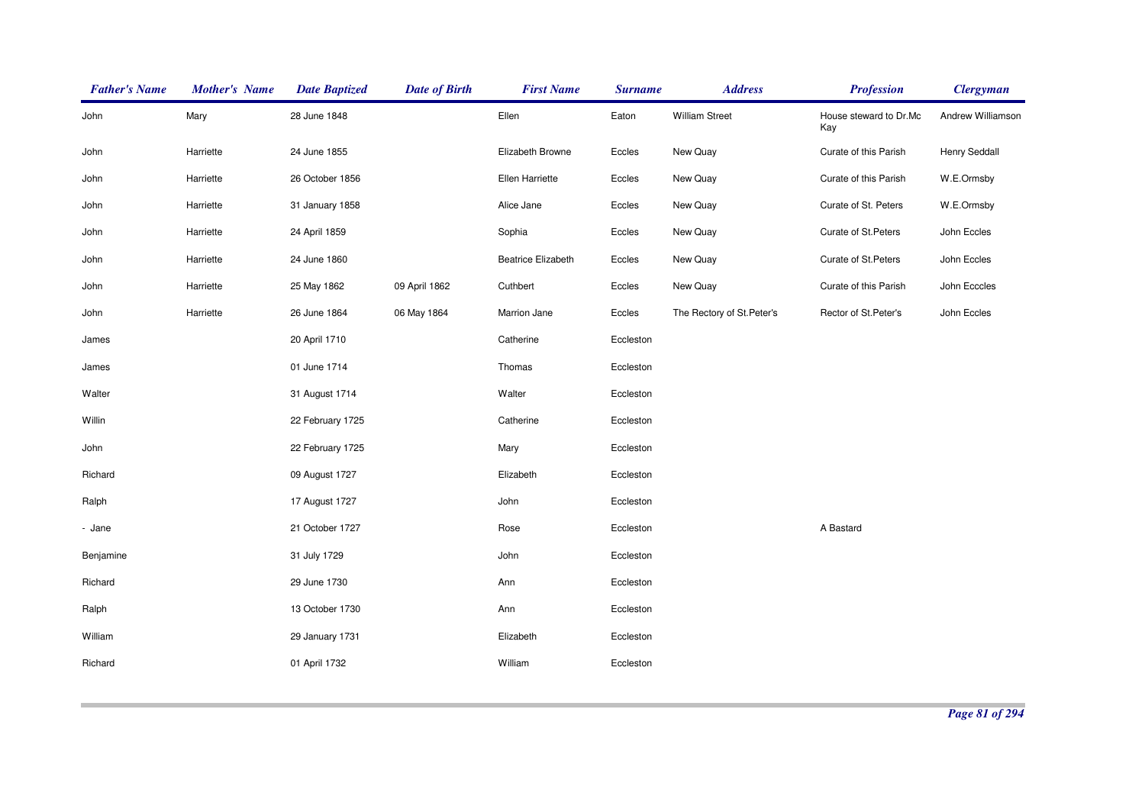| John      | Mary      | 28 June 1848     |               | Ellen                     | Eaton     | <b>William Street</b>      | House steward to Dr.Mc<br>Kay | Andrew Williamson    |
|-----------|-----------|------------------|---------------|---------------------------|-----------|----------------------------|-------------------------------|----------------------|
| John      | Harriette | 24 June 1855     |               | Elizabeth Browne          | Eccles    | New Quay                   | Curate of this Parish         | <b>Henry Seddall</b> |
| John      | Harriette | 26 October 1856  |               | Ellen Harriette           | Eccles    | New Quay                   | Curate of this Parish         | W.E.Ormsby           |
| John      | Harriette | 31 January 1858  |               | Alice Jane                | Eccles    | New Quay                   | Curate of St. Peters          | W.E.Ormsby           |
| John      | Harriette | 24 April 1859    |               | Sophia                    | Eccles    | New Quay                   | Curate of St. Peters          | John Eccles          |
| John      | Harriette | 24 June 1860     |               | <b>Beatrice Elizabeth</b> | Eccles    | New Quay                   | Curate of St.Peters           | John Eccles          |
| John      | Harriette | 25 May 1862      | 09 April 1862 | Cuthbert                  | Eccles    | New Quay                   | Curate of this Parish         | John Ecccles         |
| John      | Harriette | 26 June 1864     | 06 May 1864   | Marrion Jane              | Eccles    | The Rectory of St. Peter's | Rector of St.Peter's          | John Eccles          |
| James     |           | 20 April 1710    |               | Catherine                 | Eccleston |                            |                               |                      |
| James     |           | 01 June 1714     |               | Thomas                    | Eccleston |                            |                               |                      |
| Walter    |           | 31 August 1714   |               | Walter                    | Eccleston |                            |                               |                      |
| Willin    |           | 22 February 1725 |               | Catherine                 | Eccleston |                            |                               |                      |
| John      |           | 22 February 1725 |               | Mary                      | Eccleston |                            |                               |                      |
| Richard   |           | 09 August 1727   |               | Elizabeth                 | Eccleston |                            |                               |                      |
| Ralph     |           | 17 August 1727   |               | John                      | Eccleston |                            |                               |                      |
| - Jane    |           | 21 October 1727  |               | Rose                      | Eccleston |                            | A Bastard                     |                      |
| Benjamine |           | 31 July 1729     |               | John                      | Eccleston |                            |                               |                      |
| Richard   |           | 29 June 1730     |               | Ann                       | Eccleston |                            |                               |                      |
| Ralph     |           | 13 October 1730  |               | Ann                       | Eccleston |                            |                               |                      |
| William   |           | 29 January 1731  |               | Elizabeth                 | Eccleston |                            |                               |                      |
| Richard   |           | 01 April 1732    |               | William                   | Eccleston |                            |                               |                      |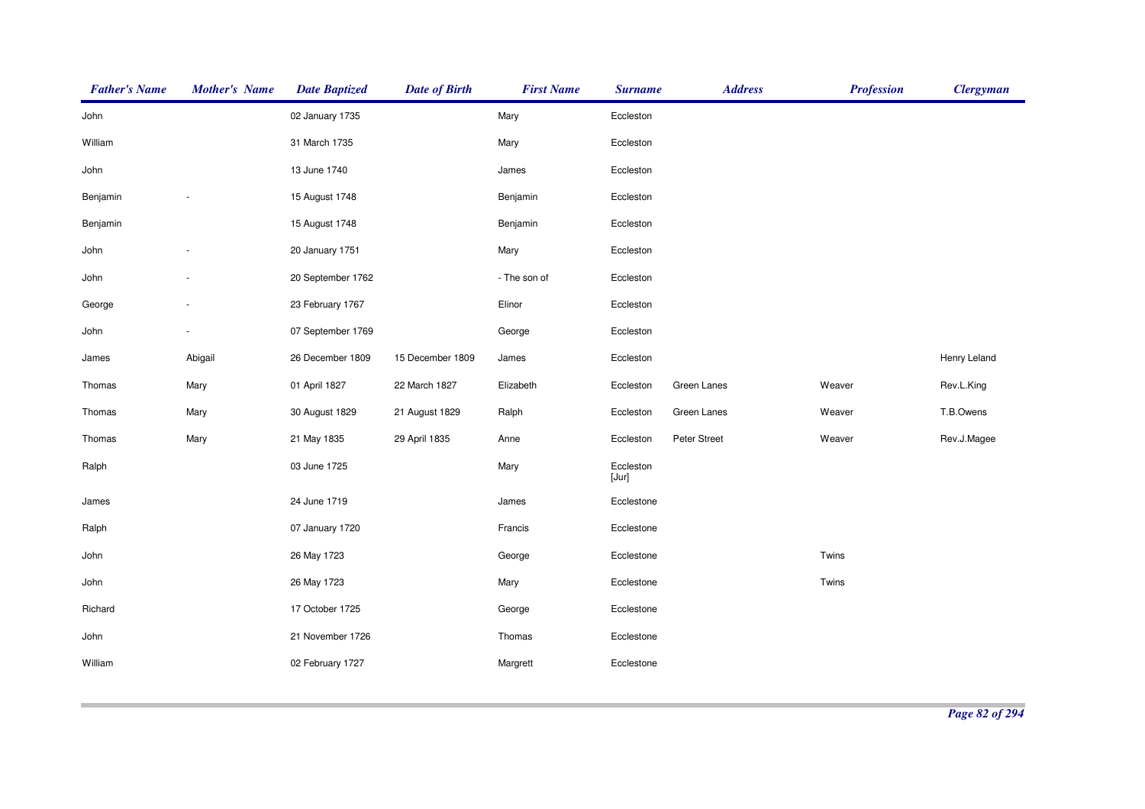| <b>Father's Name</b> | <b>Mother's Name</b> | <b>Date Baptized</b> | <b>Date of Birth</b> | <b>First Name</b> | <b>Surname</b>     | <b>Address</b> | <b>Profession</b> | <b>Clergyman</b> |
|----------------------|----------------------|----------------------|----------------------|-------------------|--------------------|----------------|-------------------|------------------|
| John                 |                      | 02 January 1735      |                      | Mary              | Eccleston          |                |                   |                  |
| William              |                      | 31 March 1735        |                      | Mary              | Eccleston          |                |                   |                  |
| John                 |                      | 13 June 1740         |                      | James             | Eccleston          |                |                   |                  |
| Benjamin             |                      | 15 August 1748       |                      | Benjamin          | Eccleston          |                |                   |                  |
| Benjamin             |                      | 15 August 1748       |                      | Benjamin          | Eccleston          |                |                   |                  |
| John                 |                      | 20 January 1751      |                      | Mary              | Eccleston          |                |                   |                  |
| John                 |                      | 20 September 1762    |                      | - The son of      | Eccleston          |                |                   |                  |
| George               |                      | 23 February 1767     |                      | Elinor            | Eccleston          |                |                   |                  |
| John                 |                      | 07 September 1769    |                      | George            | Eccleston          |                |                   |                  |
| James                | Abigail              | 26 December 1809     | 15 December 1809     | James             | Eccleston          |                |                   | Henry Leland     |
| Thomas               | Mary                 | 01 April 1827        | 22 March 1827        | Elizabeth         | Eccleston          | Green Lanes    | Weaver            | Rev.L.King       |
| Thomas               | Mary                 | 30 August 1829       | 21 August 1829       | Ralph             | Eccleston          | Green Lanes    | Weaver            | T.B.Owens        |
| Thomas               | Mary                 | 21 May 1835          | 29 April 1835        | Anne              | Eccleston          | Peter Street   | Weaver            | Rev.J.Magee      |
| Ralph                |                      | 03 June 1725         |                      | Mary              | Eccleston<br>[Jur] |                |                   |                  |
| James                |                      | 24 June 1719         |                      | James             | Ecclestone         |                |                   |                  |
| Ralph                |                      | 07 January 1720      |                      | Francis           | Ecclestone         |                |                   |                  |
| John                 |                      | 26 May 1723          |                      | George            | Ecclestone         |                | Twins             |                  |
| John                 |                      | 26 May 1723          |                      | Mary              | Ecclestone         |                | Twins             |                  |
| Richard              |                      | 17 October 1725      |                      | George            | Ecclestone         |                |                   |                  |
| John                 |                      | 21 November 1726     |                      | Thomas            | Ecclestone         |                |                   |                  |
| William              |                      | 02 February 1727     |                      | Margrett          | Ecclestone         |                |                   |                  |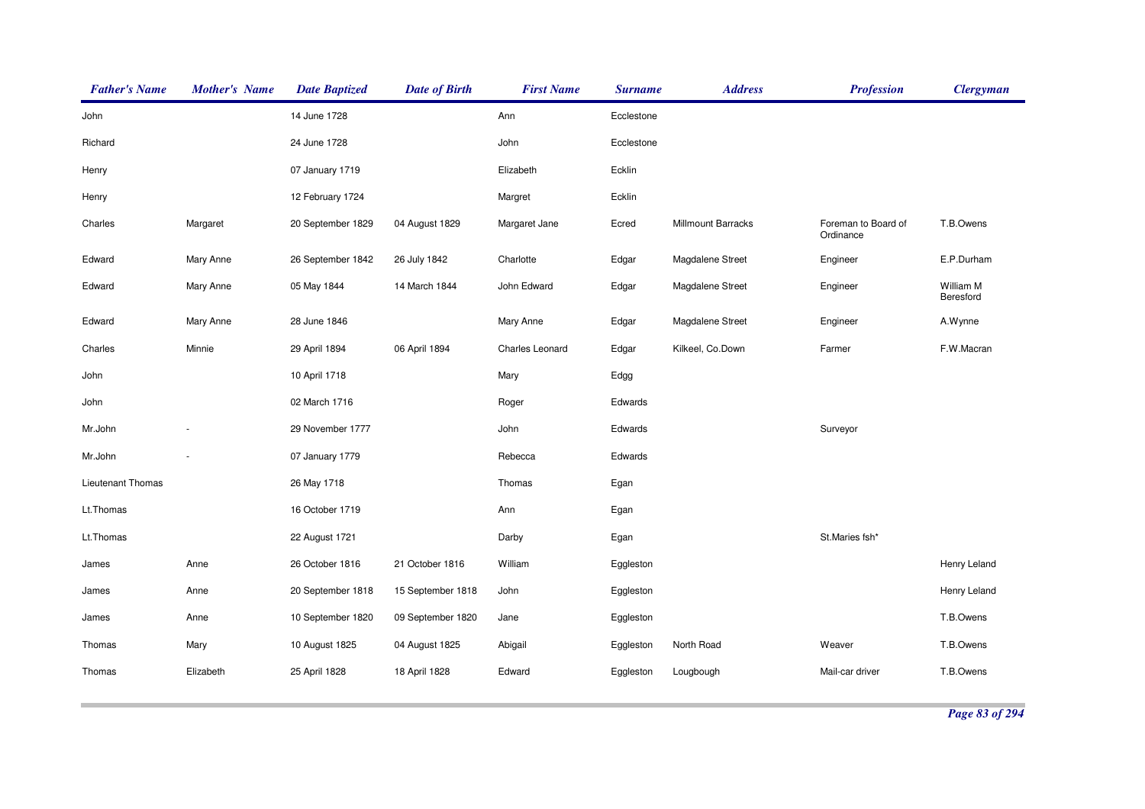| <b>Father's Name</b> | <b>Mother's Name</b> | <b>Date Baptized</b> | <b>Date of Birth</b> | <b>First Name</b> | <b>Surname</b> | <b>Address</b>     | <b>Profession</b>                | <b>Clergyman</b>       |
|----------------------|----------------------|----------------------|----------------------|-------------------|----------------|--------------------|----------------------------------|------------------------|
| John                 |                      | 14 June 1728         |                      | Ann               | Ecclestone     |                    |                                  |                        |
| Richard              |                      | 24 June 1728         |                      | John              | Ecclestone     |                    |                                  |                        |
| Henry                |                      | 07 January 1719      |                      | Elizabeth         | Ecklin         |                    |                                  |                        |
| Henry                |                      | 12 February 1724     |                      | Margret           | Ecklin         |                    |                                  |                        |
| Charles              | Margaret             | 20 September 1829    | 04 August 1829       | Margaret Jane     | Ecred          | Millmount Barracks | Foreman to Board of<br>Ordinance | T.B.Owens              |
| Edward               | Mary Anne            | 26 September 1842    | 26 July 1842         | Charlotte         | Edgar          | Magdalene Street   | Engineer                         | E.P.Durham             |
| Edward               | Mary Anne            | 05 May 1844          | 14 March 1844        | John Edward       | Edgar          | Magdalene Street   | Engineer                         | William M<br>Beresford |
| Edward               | Mary Anne            | 28 June 1846         |                      | Mary Anne         | Edgar          | Magdalene Street   | Engineer                         | A.Wynne                |
| Charles              | Minnie               | 29 April 1894        | 06 April 1894        | Charles Leonard   | Edgar          | Kilkeel, Co.Down   | Farmer                           | F.W.Macran             |
| John                 |                      | 10 April 1718        |                      | Mary              | Edgg           |                    |                                  |                        |
| John                 |                      | 02 March 1716        |                      | Roger             | Edwards        |                    |                                  |                        |
| Mr.John              |                      | 29 November 1777     |                      | John              | Edwards        |                    | Surveyor                         |                        |
| Mr.John              |                      | 07 January 1779      |                      | Rebecca           | Edwards        |                    |                                  |                        |
| Lieutenant Thomas    |                      | 26 May 1718          |                      | Thomas            | Egan           |                    |                                  |                        |
| Lt.Thomas            |                      | 16 October 1719      |                      | Ann               | Egan           |                    |                                  |                        |
| Lt.Thomas            |                      | 22 August 1721       |                      | Darby             | Egan           |                    | St.Maries fsh*                   |                        |
| James                | Anne                 | 26 October 1816      | 21 October 1816      | William           | Eggleston      |                    |                                  | Henry Leland           |
| James                | Anne                 | 20 September 1818    | 15 September 1818    | John              | Eggleston      |                    |                                  | Henry Leland           |
| James                | Anne                 | 10 September 1820    | 09 September 1820    | Jane              | Eggleston      |                    |                                  | T.B.Owens              |
| Thomas               | Mary                 | 10 August 1825       | 04 August 1825       | Abigail           | Eggleston      | North Road         | Weaver                           | T.B.Owens              |
| Thomas               | Elizabeth            | 25 April 1828        | 18 April 1828        | Edward            | Eggleston      | Lougbough          | Mail-car driver                  | T.B.Owens              |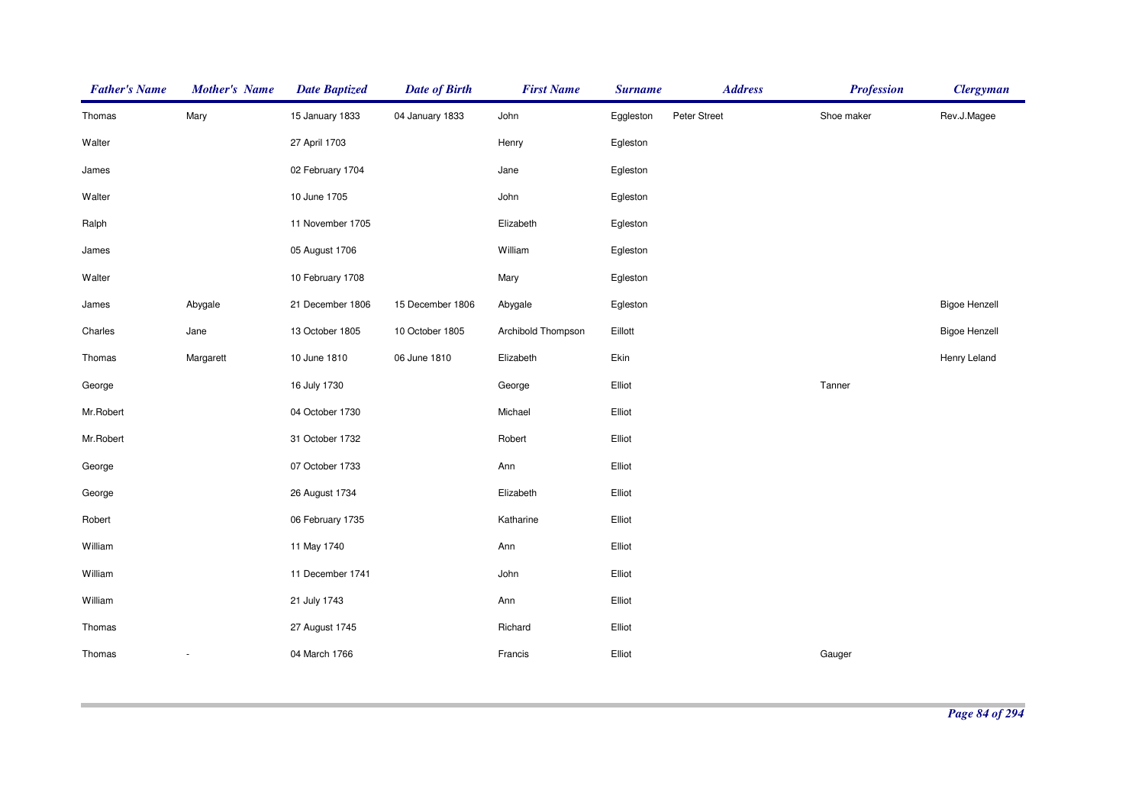| <b>Father's Name</b> | <b>Mother's Name</b>     | <b>Date Baptized</b> | <b>Date of Birth</b> | <b>First Name</b>  | <b>Surname</b> | <b>Address</b> | <b>Profession</b> | <b>Clergyman</b>     |
|----------------------|--------------------------|----------------------|----------------------|--------------------|----------------|----------------|-------------------|----------------------|
| Thomas               | Mary                     | 15 January 1833      | 04 January 1833      | John               | Eggleston      | Peter Street   | Shoe maker        | Rev.J.Magee          |
| Walter               |                          | 27 April 1703        |                      | Henry              | Egleston       |                |                   |                      |
| James                |                          | 02 February 1704     |                      | Jane               | Egleston       |                |                   |                      |
| Walter               |                          | 10 June 1705         |                      | John               | Egleston       |                |                   |                      |
| Ralph                |                          | 11 November 1705     |                      | Elizabeth          | Egleston       |                |                   |                      |
| James                |                          | 05 August 1706       |                      | William            | Egleston       |                |                   |                      |
| Walter               |                          | 10 February 1708     |                      | Mary               | Egleston       |                |                   |                      |
| James                | Abygale                  | 21 December 1806     | 15 December 1806     | Abygale            | Egleston       |                |                   | <b>Bigoe Henzell</b> |
| Charles              | Jane                     | 13 October 1805      | 10 October 1805      | Archibold Thompson | Eillott        |                |                   | <b>Bigoe Henzell</b> |
| Thomas               | Margarett                | 10 June 1810         | 06 June 1810         | Elizabeth          | Ekin           |                |                   | Henry Leland         |
| George               |                          | 16 July 1730         |                      | George             | Elliot         |                | Tanner            |                      |
| Mr.Robert            |                          | 04 October 1730      |                      | Michael            | Elliot         |                |                   |                      |
| Mr.Robert            |                          | 31 October 1732      |                      | Robert             | Elliot         |                |                   |                      |
| George               |                          | 07 October 1733      |                      | Ann                | Elliot         |                |                   |                      |
| George               |                          | 26 August 1734       |                      | Elizabeth          | Elliot         |                |                   |                      |
| Robert               |                          | 06 February 1735     |                      | Katharine          | Elliot         |                |                   |                      |
| William              |                          | 11 May 1740          |                      | Ann                | Elliot         |                |                   |                      |
| William              |                          | 11 December 1741     |                      | John               | Elliot         |                |                   |                      |
| William              |                          | 21 July 1743         |                      | Ann                | Elliot         |                |                   |                      |
| Thomas               |                          | 27 August 1745       |                      | Richard            | Elliot         |                |                   |                      |
| Thomas               | $\overline{\phantom{a}}$ | 04 March 1766        |                      | Francis            | Elliot         |                | Gauger            |                      |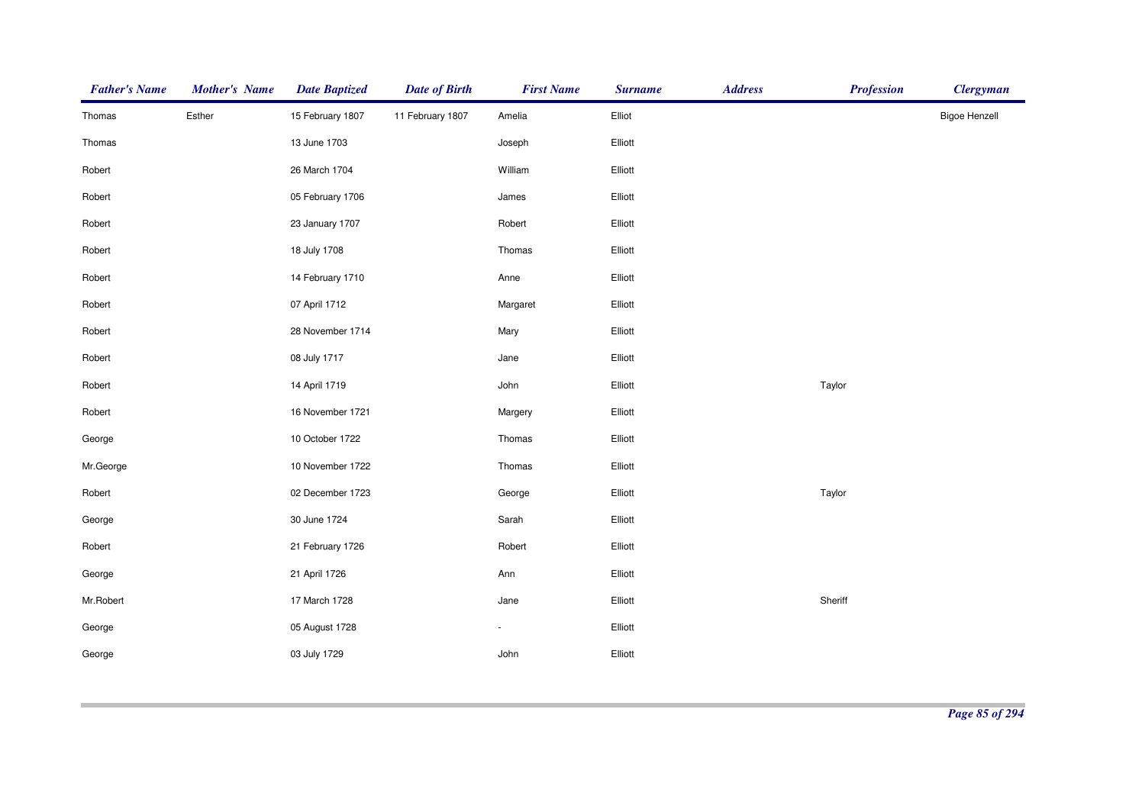| <b>Father's Name</b> | <b>Mother's Name</b> | <b>Date Baptized</b> | <b>Date of Birth</b> | <b>First Name</b> | <b>Surname</b> | <b>Address</b> | <b>Profession</b> | <b>Clergyman</b>     |
|----------------------|----------------------|----------------------|----------------------|-------------------|----------------|----------------|-------------------|----------------------|
| Thomas               | Esther               | 15 February 1807     | 11 February 1807     | Amelia            | Elliot         |                |                   | <b>Bigoe Henzell</b> |
| Thomas               |                      | 13 June 1703         |                      | Joseph            | Elliott        |                |                   |                      |
| Robert               |                      | 26 March 1704        |                      | William           | Elliott        |                |                   |                      |
| Robert               |                      | 05 February 1706     |                      | James             | Elliott        |                |                   |                      |
| Robert               |                      | 23 January 1707      |                      | Robert            | Elliott        |                |                   |                      |
| Robert               |                      | 18 July 1708         |                      | Thomas            | Elliott        |                |                   |                      |
| Robert               |                      | 14 February 1710     |                      | Anne              | Elliott        |                |                   |                      |
| Robert               |                      | 07 April 1712        |                      | Margaret          | Elliott        |                |                   |                      |
| Robert               |                      | 28 November 1714     |                      | Mary              | Elliott        |                |                   |                      |
| Robert               |                      | 08 July 1717         |                      | Jane              | Elliott        |                |                   |                      |
| Robert               |                      | 14 April 1719        |                      | John              | Elliott        |                | Taylor            |                      |
| Robert               |                      | 16 November 1721     |                      | Margery           | Elliott        |                |                   |                      |
| George               |                      | 10 October 1722      |                      | Thomas            | Elliott        |                |                   |                      |
| Mr.George            |                      | 10 November 1722     |                      | Thomas            | Elliott        |                |                   |                      |
| Robert               |                      | 02 December 1723     |                      | George            | Elliott        |                | Taylor            |                      |
| George               |                      | 30 June 1724         |                      | Sarah             | Elliott        |                |                   |                      |
| Robert               |                      | 21 February 1726     |                      | Robert            | Elliott        |                |                   |                      |
| George               |                      | 21 April 1726        |                      | Ann               | Elliott        |                |                   |                      |
| Mr.Robert            |                      | 17 March 1728        |                      | Jane              | Elliott        |                | Sheriff           |                      |
| George               |                      | 05 August 1728       |                      | $\blacksquare$    | Elliott        |                |                   |                      |
| George               |                      | 03 July 1729         |                      | John              | Elliott        |                |                   |                      |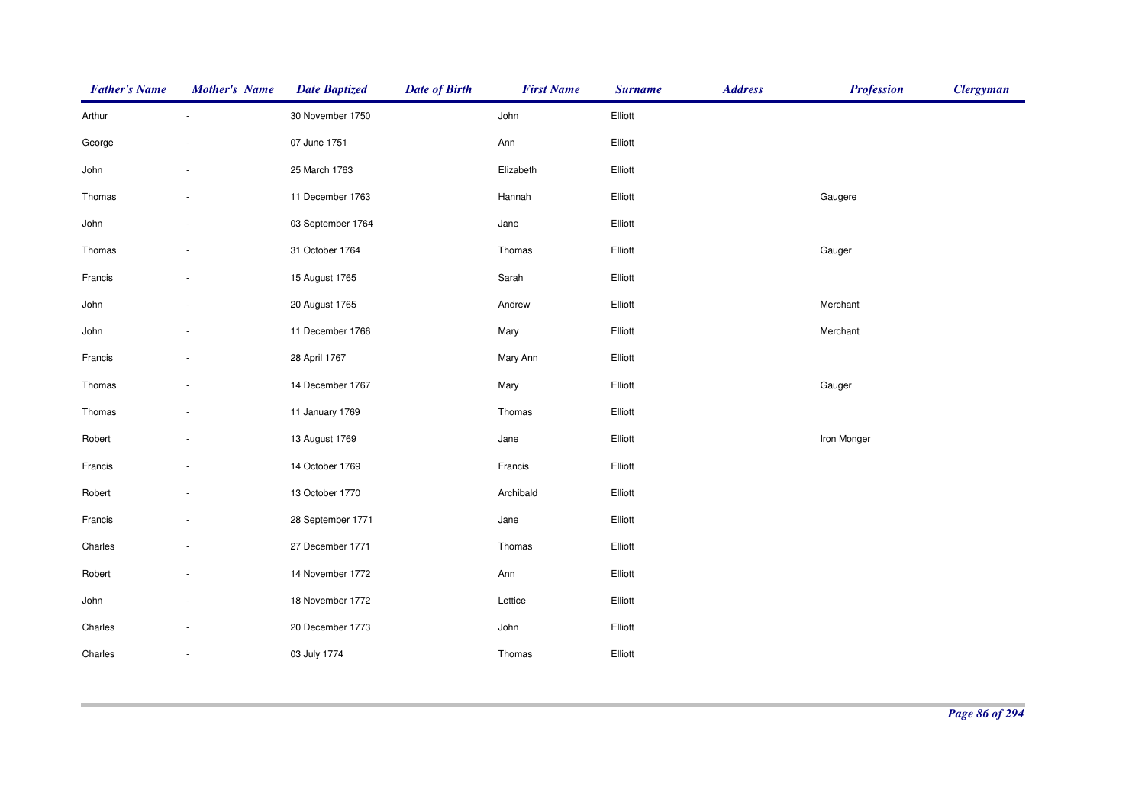| <b>Father's Name</b> | <b>Mother's Name</b> | <b>Date Baptized</b> | <b>Date of Birth</b> | <b>First Name</b> | <b>Surname</b> | <b>Address</b> | <b>Profession</b> | <b>Clergyman</b> |
|----------------------|----------------------|----------------------|----------------------|-------------------|----------------|----------------|-------------------|------------------|
| Arthur               |                      | 30 November 1750     |                      | John              | Elliott        |                |                   |                  |
| George               |                      | 07 June 1751         |                      | Ann               | Elliott        |                |                   |                  |
| John                 |                      | 25 March 1763        |                      | Elizabeth         | Elliott        |                |                   |                  |
| Thomas               |                      | 11 December 1763     |                      | Hannah            | Elliott        |                | Gaugere           |                  |
| John                 |                      | 03 September 1764    |                      | Jane              | Elliott        |                |                   |                  |
| Thomas               |                      | 31 October 1764      |                      | Thomas            | Elliott        |                | Gauger            |                  |
| Francis              |                      | 15 August 1765       |                      | Sarah             | Elliott        |                |                   |                  |
| John                 |                      | 20 August 1765       |                      | Andrew            | Elliott        |                | Merchant          |                  |
| John                 |                      | 11 December 1766     |                      | Mary              | Elliott        |                | Merchant          |                  |
| Francis              |                      | 28 April 1767        |                      | Mary Ann          | Elliott        |                |                   |                  |
| Thomas               |                      | 14 December 1767     |                      | Mary              | Elliott        |                | Gauger            |                  |
| Thomas               |                      | 11 January 1769      |                      | Thomas            | Elliott        |                |                   |                  |
| Robert               |                      | 13 August 1769       |                      | Jane              | Elliott        |                | Iron Monger       |                  |
| Francis              |                      | 14 October 1769      |                      | Francis           | Elliott        |                |                   |                  |
| Robert               |                      | 13 October 1770      |                      | Archibald         | Elliott        |                |                   |                  |
| Francis              |                      | 28 September 1771    |                      | Jane              | Elliott        |                |                   |                  |
| Charles              |                      | 27 December 1771     |                      | Thomas            | Elliott        |                |                   |                  |
| Robert               |                      | 14 November 1772     |                      | Ann               | Elliott        |                |                   |                  |
| John                 |                      | 18 November 1772     |                      | Lettice           | Elliott        |                |                   |                  |
| Charles              |                      | 20 December 1773     |                      | John              | Elliott        |                |                   |                  |
| Charles              |                      | 03 July 1774         |                      | Thomas            | Elliott        |                |                   |                  |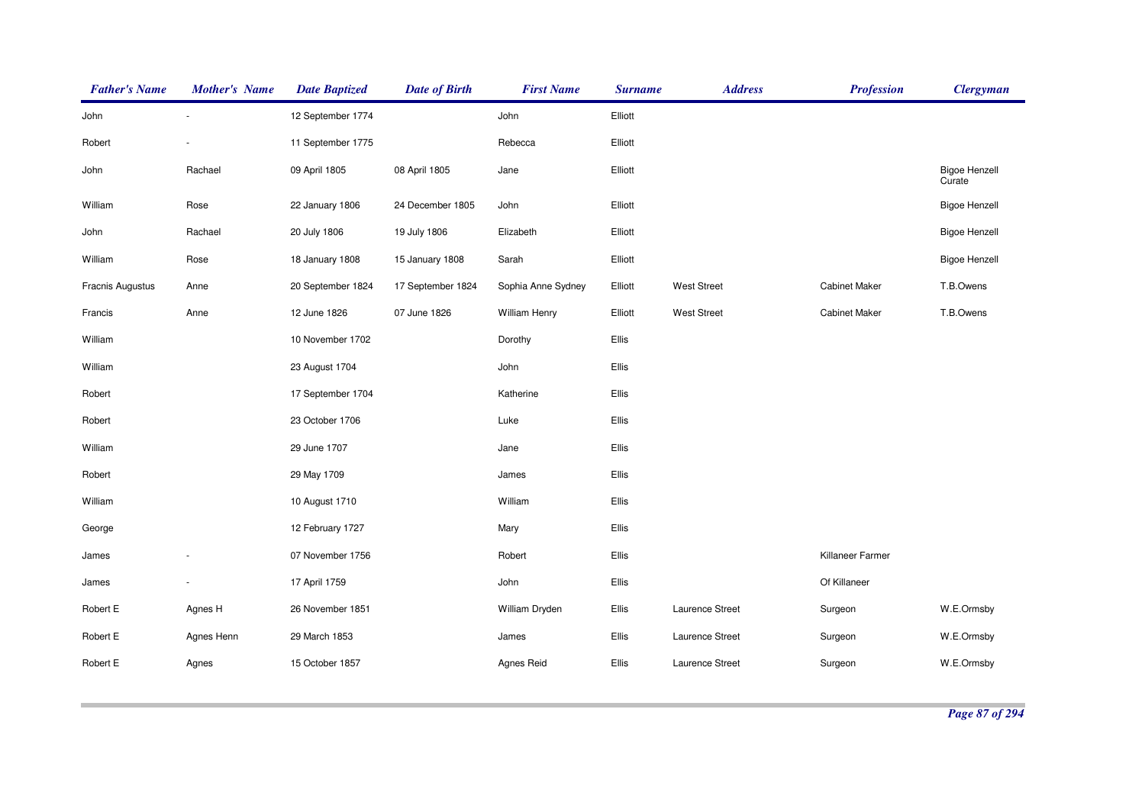| <b>Father's Name</b> | <b>Mother's Name</b> | <b>Date Baptized</b> | <b>Date of Birth</b> | <b>First Name</b>    | <b>Surname</b> | <b>Address</b>     | <b>Profession</b>    | <b>Clergyman</b>               |
|----------------------|----------------------|----------------------|----------------------|----------------------|----------------|--------------------|----------------------|--------------------------------|
| John                 | ×.                   | 12 September 1774    |                      | John                 | Elliott        |                    |                      |                                |
| Robert               |                      | 11 September 1775    |                      | Rebecca              | Elliott        |                    |                      |                                |
| John                 | Rachael              | 09 April 1805        | 08 April 1805        | Jane                 | Elliott        |                    |                      | <b>Bigoe Henzell</b><br>Curate |
| William              | Rose                 | 22 January 1806      | 24 December 1805     | John                 | Elliott        |                    |                      | <b>Bigoe Henzell</b>           |
| John                 | Rachael              | 20 July 1806         | 19 July 1806         | Elizabeth            | Elliott        |                    |                      | <b>Bigoe Henzell</b>           |
| William              | Rose                 | 18 January 1808      | 15 January 1808      | Sarah                | Elliott        |                    |                      | <b>Bigoe Henzell</b>           |
| Fracnis Augustus     | Anne                 | 20 September 1824    | 17 September 1824    | Sophia Anne Sydney   | Elliott        | <b>West Street</b> | <b>Cabinet Maker</b> | T.B.Owens                      |
| Francis              | Anne                 | 12 June 1826         | 07 June 1826         | <b>William Henry</b> | Elliott        | <b>West Street</b> | <b>Cabinet Maker</b> | T.B.Owens                      |
| William              |                      | 10 November 1702     |                      | Dorothy              | Ellis          |                    |                      |                                |
| William              |                      | 23 August 1704       |                      | John                 | Ellis          |                    |                      |                                |
| Robert               |                      | 17 September 1704    |                      | Katherine            | Ellis          |                    |                      |                                |
| Robert               |                      | 23 October 1706      |                      | Luke                 | Ellis          |                    |                      |                                |
| William              |                      | 29 June 1707         |                      | Jane                 | Ellis          |                    |                      |                                |
| Robert               |                      | 29 May 1709          |                      | James                | Ellis          |                    |                      |                                |
| William              |                      | 10 August 1710       |                      | William              | Ellis          |                    |                      |                                |
| George               |                      | 12 February 1727     |                      | Mary                 | Ellis          |                    |                      |                                |
| James                |                      | 07 November 1756     |                      | Robert               | Ellis          |                    | Killaneer Farmer     |                                |
| James                |                      | 17 April 1759        |                      | John                 | Ellis          |                    | Of Killaneer         |                                |
| Robert E             | Agnes H              | 26 November 1851     |                      | William Dryden       | Ellis          | Laurence Street    | Surgeon              | W.E.Ormsby                     |
| Robert E             | Agnes Henn           | 29 March 1853        |                      | James                | Ellis          | Laurence Street    | Surgeon              | W.E.Ormsby                     |
| Robert E             | Agnes                | 15 October 1857      |                      | Agnes Reid           | Ellis          | Laurence Street    | Surgeon              | W.E.Ormsby                     |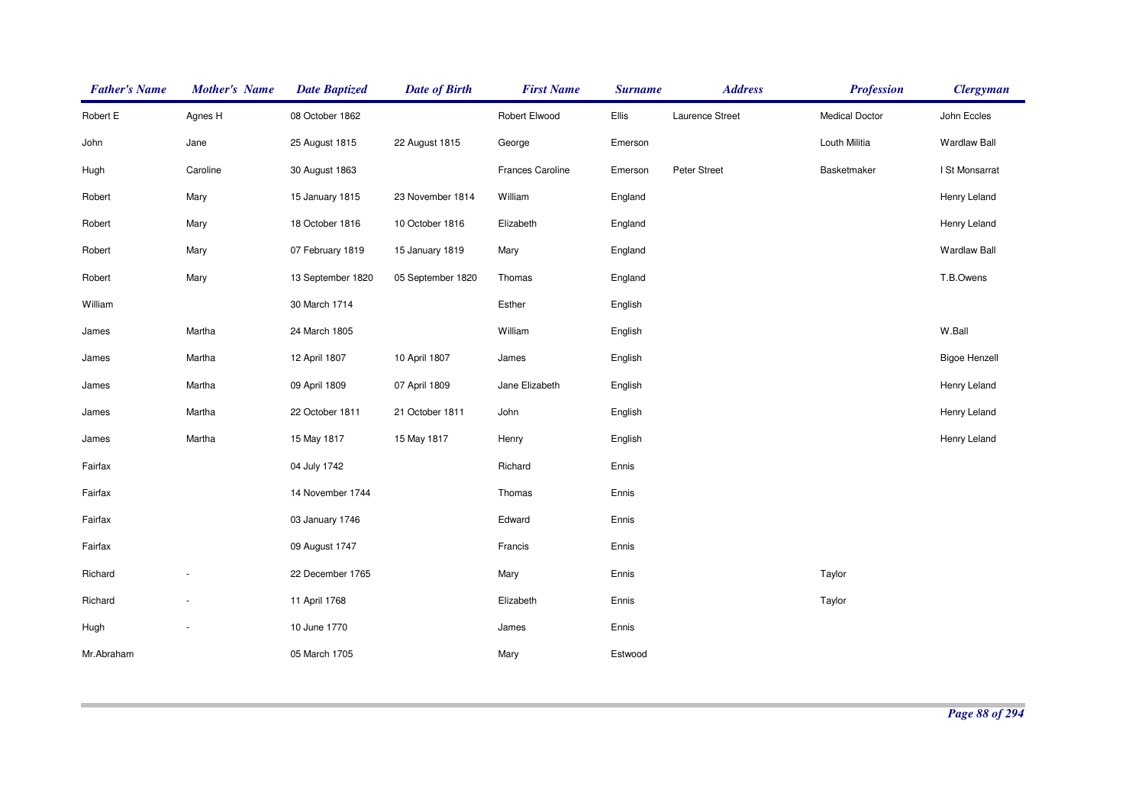| <b>Father's Name</b> | <b>Mother's Name</b>     | <b>Date Baptized</b> | <b>Date of Birth</b> | <b>First Name</b> | <b>Surname</b> | <b>Address</b>  | <b>Profession</b>     | <b>Clergyman</b>     |
|----------------------|--------------------------|----------------------|----------------------|-------------------|----------------|-----------------|-----------------------|----------------------|
| Robert E             | Agnes H                  | 08 October 1862      |                      | Robert Elwood     | Ellis          | Laurence Street | <b>Medical Doctor</b> | John Eccles          |
| John                 | Jane                     | 25 August 1815       | 22 August 1815       | George            | Emerson        |                 | Louth Militia         | <b>Wardlaw Ball</b>  |
| Hugh                 | Caroline                 | 30 August 1863       |                      | Frances Caroline  | Emerson        | Peter Street    | Basketmaker           | I St Monsarrat       |
| Robert               | Mary                     | 15 January 1815      | 23 November 1814     | William           | England        |                 |                       | Henry Leland         |
| Robert               | Mary                     | 18 October 1816      | 10 October 1816      | Elizabeth         | England        |                 |                       | Henry Leland         |
| Robert               | Mary                     | 07 February 1819     | 15 January 1819      | Mary              | England        |                 |                       | <b>Wardlaw Ball</b>  |
| Robert               | Mary                     | 13 September 1820    | 05 September 1820    | Thomas            | England        |                 |                       | T.B.Owens            |
| William              |                          | 30 March 1714        |                      | Esther            | English        |                 |                       |                      |
| James                | Martha                   | 24 March 1805        |                      | William           | English        |                 |                       | W.Ball               |
| James                | Martha                   | 12 April 1807        | 10 April 1807        | James             | English        |                 |                       | <b>Bigoe Henzell</b> |
| James                | Martha                   | 09 April 1809        | 07 April 1809        | Jane Elizabeth    | English        |                 |                       | Henry Leland         |
| James                | Martha                   | 22 October 1811      | 21 October 1811      | John              | English        |                 |                       | Henry Leland         |
| James                | Martha                   | 15 May 1817          | 15 May 1817          | Henry             | English        |                 |                       | Henry Leland         |
| Fairfax              |                          | 04 July 1742         |                      | Richard           | Ennis          |                 |                       |                      |
| Fairfax              |                          | 14 November 1744     |                      | Thomas            | Ennis          |                 |                       |                      |
| Fairfax              |                          | 03 January 1746      |                      | Edward            | Ennis          |                 |                       |                      |
| Fairfax              |                          | 09 August 1747       |                      | Francis           | Ennis          |                 |                       |                      |
| Richard              |                          | 22 December 1765     |                      | Mary              | Ennis          |                 | Taylor                |                      |
| Richard              | ÷                        | 11 April 1768        |                      | Elizabeth         | Ennis          |                 | Taylor                |                      |
| Hugh                 | $\overline{\phantom{a}}$ | 10 June 1770         |                      | James             | Ennis          |                 |                       |                      |
| Mr.Abraham           |                          | 05 March 1705        |                      | Mary              | Estwood        |                 |                       |                      |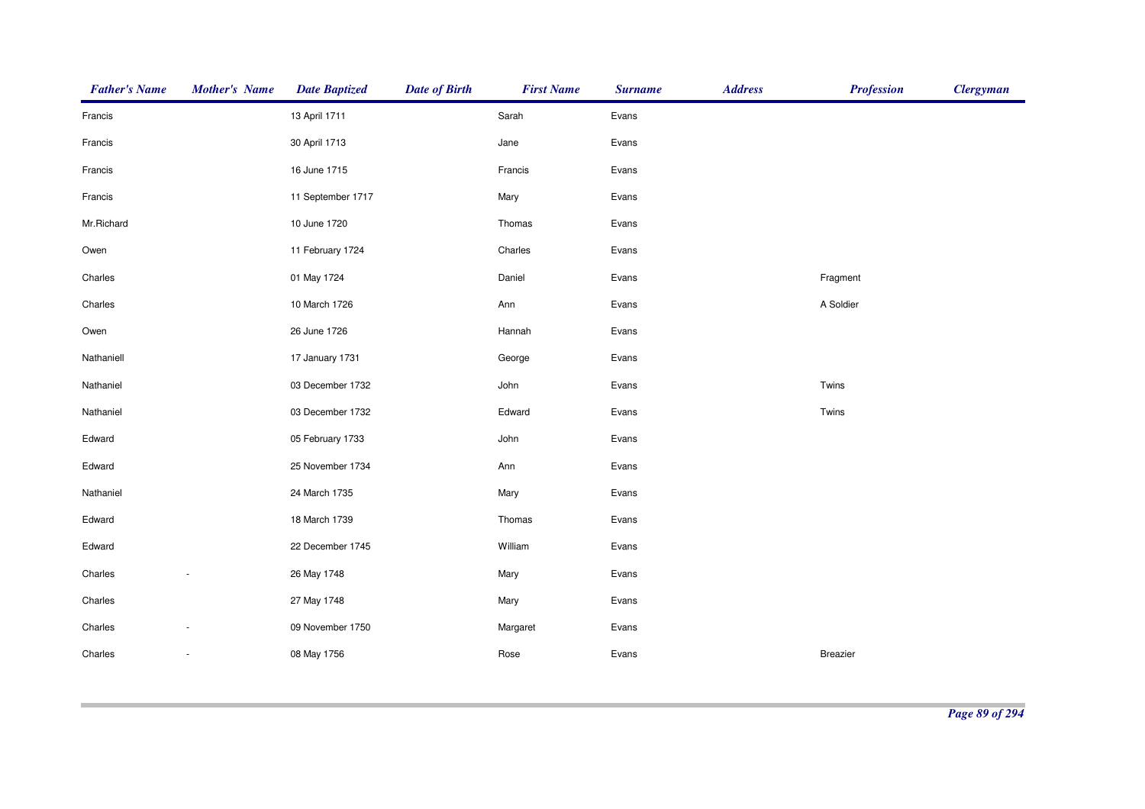| <b>Father's Name</b> | <b>Mother's Name</b>     | <b>Date Baptized</b> | <b>Date of Birth</b> | <b>First Name</b> | <b>Surname</b> | <b>Address</b> | <b>Profession</b> | <b>Clergyman</b> |
|----------------------|--------------------------|----------------------|----------------------|-------------------|----------------|----------------|-------------------|------------------|
| Francis              |                          | 13 April 1711        |                      | Sarah             | Evans          |                |                   |                  |
| Francis              |                          | 30 April 1713        |                      | Jane              | Evans          |                |                   |                  |
| Francis              |                          | 16 June 1715         |                      | Francis           | Evans          |                |                   |                  |
| Francis              |                          | 11 September 1717    |                      | Mary              | Evans          |                |                   |                  |
| Mr.Richard           |                          | 10 June 1720         |                      | Thomas            | Evans          |                |                   |                  |
| Owen                 |                          | 11 February 1724     |                      | Charles           | Evans          |                |                   |                  |
| Charles              |                          | 01 May 1724          |                      | Daniel            | Evans          |                | Fragment          |                  |
| Charles              |                          | 10 March 1726        |                      | Ann               | Evans          |                | A Soldier         |                  |
| Owen                 |                          | 26 June 1726         |                      | Hannah            | Evans          |                |                   |                  |
| Nathaniell           |                          | 17 January 1731      |                      | George            | Evans          |                |                   |                  |
| Nathaniel            |                          | 03 December 1732     |                      | John              | Evans          |                | Twins             |                  |
| Nathaniel            |                          | 03 December 1732     |                      | Edward            | Evans          |                | Twins             |                  |
| Edward               |                          | 05 February 1733     |                      | John              | Evans          |                |                   |                  |
| Edward               |                          | 25 November 1734     |                      | Ann               | Evans          |                |                   |                  |
| Nathaniel            |                          | 24 March 1735        |                      | Mary              | Evans          |                |                   |                  |
| Edward               |                          | 18 March 1739        |                      | Thomas            | Evans          |                |                   |                  |
| Edward               |                          | 22 December 1745     |                      | William           | Evans          |                |                   |                  |
| Charles              |                          | 26 May 1748          |                      | Mary              | Evans          |                |                   |                  |
| Charles              |                          | 27 May 1748          |                      | Mary              | Evans          |                |                   |                  |
| Charles              |                          | 09 November 1750     |                      | Margaret          | Evans          |                |                   |                  |
| Charles              | $\overline{\phantom{a}}$ | 08 May 1756          |                      | Rose              | Evans          |                | Breazier          |                  |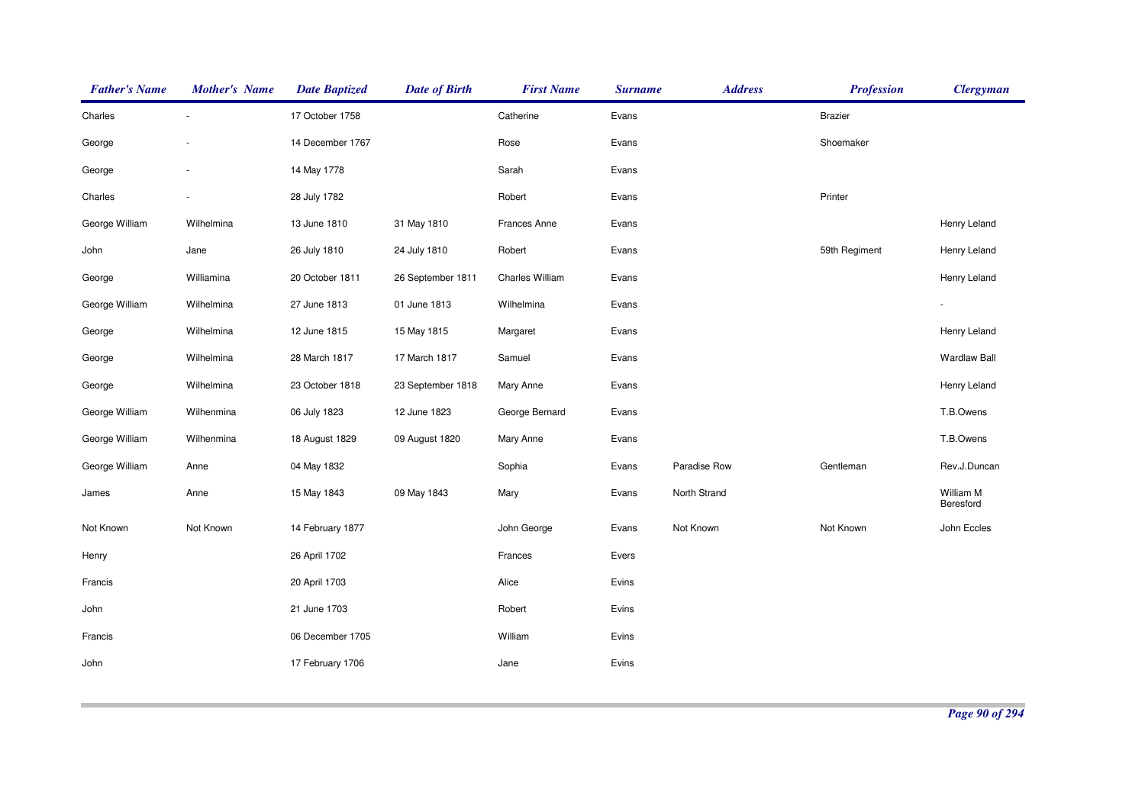| <b>Father's Name</b> | <b>Mother's Name</b>     | <b>Date Baptized</b> | <b>Date of Birth</b> | <b>First Name</b> | <b>Surname</b> | <b>Address</b> | <b>Profession</b> | <b>Clergyman</b>       |
|----------------------|--------------------------|----------------------|----------------------|-------------------|----------------|----------------|-------------------|------------------------|
| Charles              | $\overline{\phantom{a}}$ | 17 October 1758      |                      | Catherine         | Evans          |                | <b>Brazier</b>    |                        |
| George               |                          | 14 December 1767     |                      | Rose              | Evans          |                | Shoemaker         |                        |
| George               |                          | 14 May 1778          |                      | Sarah             | Evans          |                |                   |                        |
| Charles              |                          | 28 July 1782         |                      | Robert            | Evans          |                | Printer           |                        |
| George William       | Wilhelmina               | 13 June 1810         | 31 May 1810          | Frances Anne      | Evans          |                |                   | Henry Leland           |
| John                 | Jane                     | 26 July 1810         | 24 July 1810         | Robert            | Evans          |                | 59th Regiment     | Henry Leland           |
| George               | Williamina               | 20 October 1811      | 26 September 1811    | Charles William   | Evans          |                |                   | Henry Leland           |
| George William       | Wilhelmina               | 27 June 1813         | 01 June 1813         | Wilhelmina        | Evans          |                |                   |                        |
| George               | Wilhelmina               | 12 June 1815         | 15 May 1815          | Margaret          | Evans          |                |                   | Henry Leland           |
| George               | Wilhelmina               | 28 March 1817        | 17 March 1817        | Samuel            | Evans          |                |                   | <b>Wardlaw Ball</b>    |
| George               | Wilhelmina               | 23 October 1818      | 23 September 1818    | Mary Anne         | Evans          |                |                   | Henry Leland           |
| George William       | Wilhenmina               | 06 July 1823         | 12 June 1823         | George Bernard    | Evans          |                |                   | T.B.Owens              |
| George William       | Wilhenmina               | 18 August 1829       | 09 August 1820       | Mary Anne         | Evans          |                |                   | T.B.Owens              |
| George William       | Anne                     | 04 May 1832          |                      | Sophia            | Evans          | Paradise Row   | Gentleman         | Rev.J.Duncan           |
| James                | Anne                     | 15 May 1843          | 09 May 1843          | Mary              | Evans          | North Strand   |                   | William M<br>Beresford |
| Not Known            | Not Known                | 14 February 1877     |                      | John George       | Evans          | Not Known      | Not Known         | John Eccles            |
| Henry                |                          | 26 April 1702        |                      | Frances           | Evers          |                |                   |                        |
| Francis              |                          | 20 April 1703        |                      | Alice             | Evins          |                |                   |                        |
| John                 |                          | 21 June 1703         |                      | Robert            | Evins          |                |                   |                        |
| Francis              |                          | 06 December 1705     |                      | William           | Evins          |                |                   |                        |
| John                 |                          | 17 February 1706     |                      | Jane              | Evins          |                |                   |                        |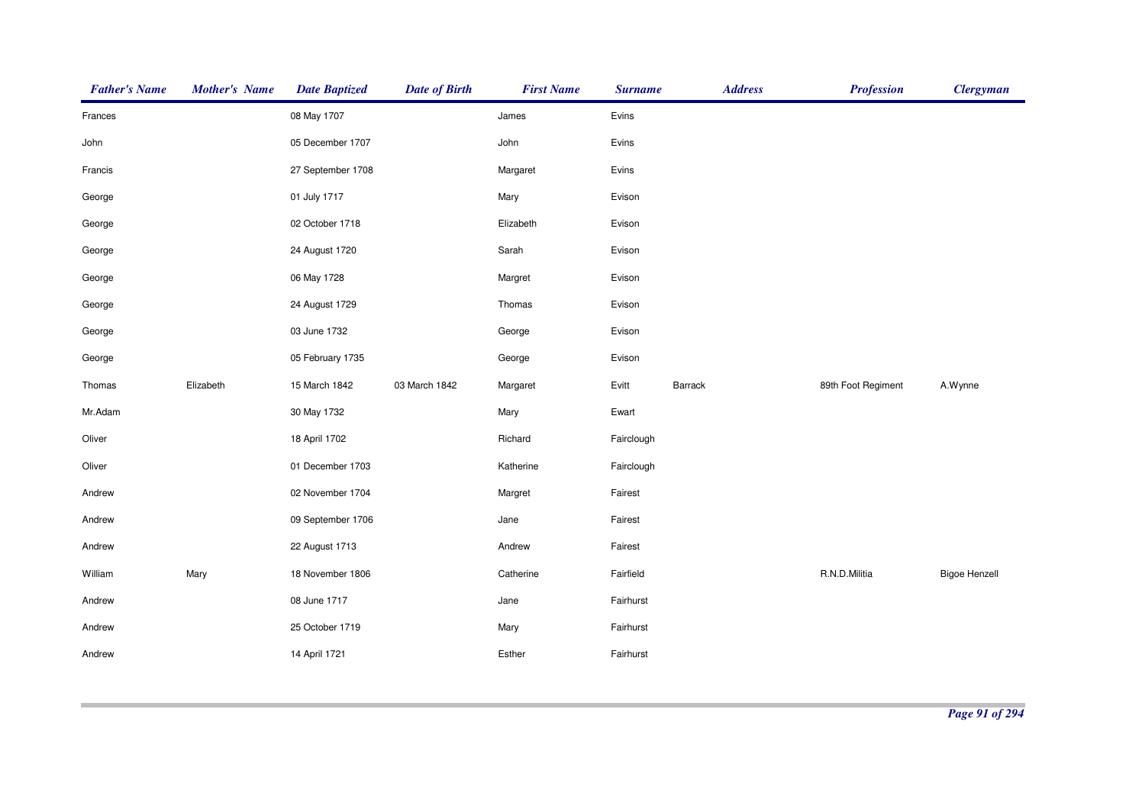| <b>Father's Name</b> | <b>Mother's Name</b> | <b>Date Baptized</b> | <b>Date of Birth</b> | <b>First Name</b> | <b>Surname</b> | <b>Address</b> | <b>Profession</b>  | <b>Clergyman</b>     |
|----------------------|----------------------|----------------------|----------------------|-------------------|----------------|----------------|--------------------|----------------------|
| Frances              |                      | 08 May 1707          |                      | James             | Evins          |                |                    |                      |
| John                 |                      | 05 December 1707     |                      | John              | Evins          |                |                    |                      |
| Francis              |                      | 27 September 1708    |                      | Margaret          | Evins          |                |                    |                      |
| George               |                      | 01 July 1717         |                      | Mary              | Evison         |                |                    |                      |
| George               |                      | 02 October 1718      |                      | Elizabeth         | Evison         |                |                    |                      |
| George               |                      | 24 August 1720       |                      | Sarah             | Evison         |                |                    |                      |
| George               |                      | 06 May 1728          |                      | Margret           | Evison         |                |                    |                      |
| George               |                      | 24 August 1729       |                      | Thomas            | Evison         |                |                    |                      |
| George               |                      | 03 June 1732         |                      | George            | Evison         |                |                    |                      |
| George               |                      | 05 February 1735     |                      | George            | Evison         |                |                    |                      |
| Thomas               | Elizabeth            | 15 March 1842        | 03 March 1842        | Margaret          | Evitt          | Barrack        | 89th Foot Regiment | A.Wynne              |
| Mr.Adam              |                      | 30 May 1732          |                      | Mary              | Ewart          |                |                    |                      |
| Oliver               |                      | 18 April 1702        |                      | Richard           | Fairclough     |                |                    |                      |
| Oliver               |                      | 01 December 1703     |                      | Katherine         | Fairclough     |                |                    |                      |
| Andrew               |                      | 02 November 1704     |                      | Margret           | Fairest        |                |                    |                      |
| Andrew               |                      | 09 September 1706    |                      | Jane              | Fairest        |                |                    |                      |
| Andrew               |                      | 22 August 1713       |                      | Andrew            | Fairest        |                |                    |                      |
| William              | Mary                 | 18 November 1806     |                      | Catherine         | Fairfield      |                | R.N.D.Militia      | <b>Bigoe Henzell</b> |
| Andrew               |                      | 08 June 1717         |                      | Jane              | Fairhurst      |                |                    |                      |
| Andrew               |                      | 25 October 1719      |                      | Mary              | Fairhurst      |                |                    |                      |
| Andrew               |                      | 14 April 1721        |                      | Esther            | Fairhurst      |                |                    |                      |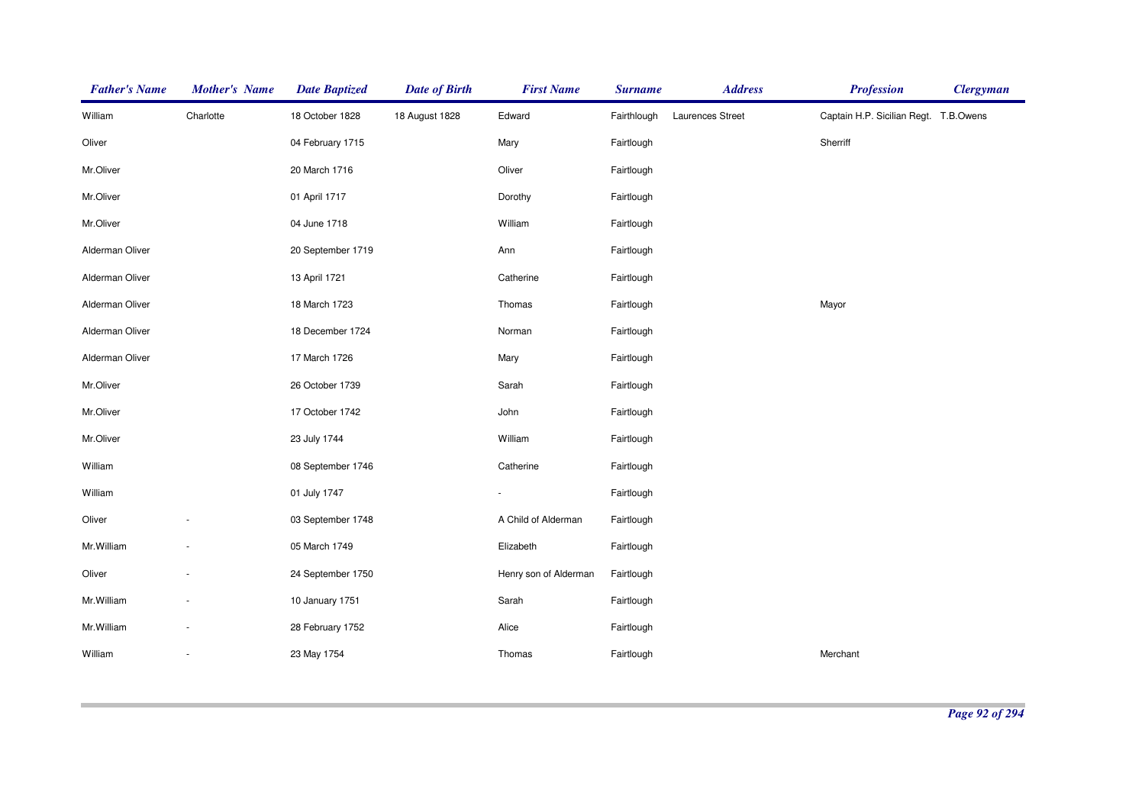| <b>Father's Name</b> | <b>Mother's Name</b>     | <b>Date Baptized</b> | <b>Date of Birth</b> | <b>First Name</b>     | <b>Surname</b> | <b>Address</b>          | <b>Profession</b>                     | <b>Clergyman</b> |
|----------------------|--------------------------|----------------------|----------------------|-----------------------|----------------|-------------------------|---------------------------------------|------------------|
| William              | Charlotte                | 18 October 1828      | 18 August 1828       | Edward                | Fairthlough    | <b>Laurences Street</b> | Captain H.P. Sicilian Regt. T.B.Owens |                  |
| Oliver               |                          | 04 February 1715     |                      | Mary                  | Fairtlough     |                         | Sherriff                              |                  |
| Mr.Oliver            |                          | 20 March 1716        |                      | Oliver                | Fairtlough     |                         |                                       |                  |
| Mr.Oliver            |                          | 01 April 1717        |                      | Dorothy               | Fairtlough     |                         |                                       |                  |
| Mr.Oliver            |                          | 04 June 1718         |                      | William               | Fairtlough     |                         |                                       |                  |
| Alderman Oliver      |                          | 20 September 1719    |                      | Ann                   | Fairtlough     |                         |                                       |                  |
| Alderman Oliver      |                          | 13 April 1721        |                      | Catherine             | Fairtlough     |                         |                                       |                  |
| Alderman Oliver      |                          | 18 March 1723        |                      | Thomas                | Fairtlough     |                         | Mayor                                 |                  |
| Alderman Oliver      |                          | 18 December 1724     |                      | Norman                | Fairtlough     |                         |                                       |                  |
| Alderman Oliver      |                          | 17 March 1726        |                      | Mary                  | Fairtlough     |                         |                                       |                  |
| Mr.Oliver            |                          | 26 October 1739      |                      | Sarah                 | Fairtlough     |                         |                                       |                  |
| Mr.Oliver            |                          | 17 October 1742      |                      | John                  | Fairtlough     |                         |                                       |                  |
| Mr.Oliver            |                          | 23 July 1744         |                      | William               | Fairtlough     |                         |                                       |                  |
| William              |                          | 08 September 1746    |                      | Catherine             | Fairtlough     |                         |                                       |                  |
| William              |                          | 01 July 1747         |                      |                       | Fairtlough     |                         |                                       |                  |
| Oliver               | $\overline{\phantom{a}}$ | 03 September 1748    |                      | A Child of Alderman   | Fairtlough     |                         |                                       |                  |
| Mr.William           | $\overline{\phantom{a}}$ | 05 March 1749        |                      | Elizabeth             | Fairtlough     |                         |                                       |                  |
| Oliver               | ÷                        | 24 September 1750    |                      | Henry son of Alderman | Fairtlough     |                         |                                       |                  |
| Mr.William           |                          | 10 January 1751      |                      | Sarah                 | Fairtlough     |                         |                                       |                  |
| Mr. William          |                          | 28 February 1752     |                      | Alice                 | Fairtlough     |                         |                                       |                  |
| William              | ÷,                       | 23 May 1754          |                      | Thomas                | Fairtlough     |                         | Merchant                              |                  |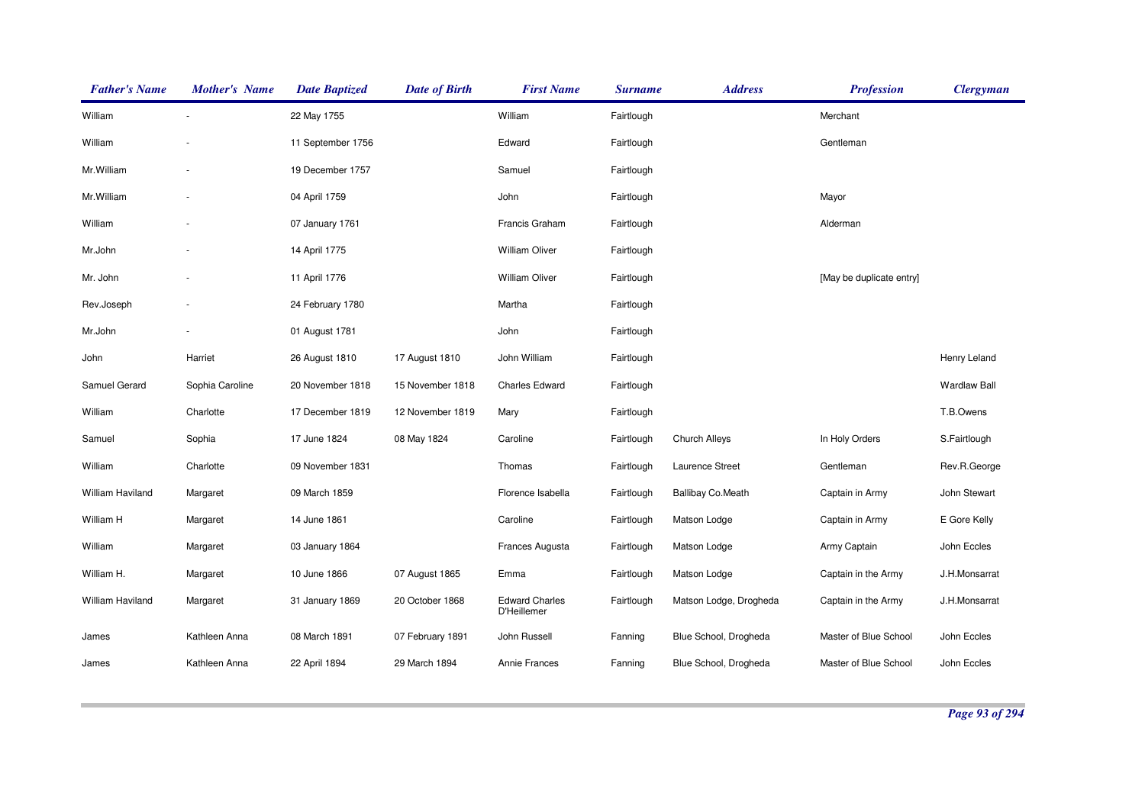| <b>Father's Name</b> | <b>Mother's Name</b> | <b>Date Baptized</b> | <b>Date of Birth</b> | <b>First Name</b>                    | <b>Surname</b> | <b>Address</b>           | <b>Profession</b>        | <b>Clergyman</b>    |
|----------------------|----------------------|----------------------|----------------------|--------------------------------------|----------------|--------------------------|--------------------------|---------------------|
| William              |                      | 22 May 1755          |                      | William                              | Fairtlough     |                          | Merchant                 |                     |
| William              |                      | 11 September 1756    |                      | Edward                               | Fairtlough     |                          | Gentleman                |                     |
| Mr.William           |                      | 19 December 1757     |                      | Samuel                               | Fairtlough     |                          |                          |                     |
| Mr.William           |                      | 04 April 1759        |                      | John                                 | Fairtlough     |                          | Mayor                    |                     |
| William              |                      | 07 January 1761      |                      | Francis Graham                       | Fairtlough     |                          | Alderman                 |                     |
| Mr.John              |                      | 14 April 1775        |                      | <b>William Oliver</b>                | Fairtlough     |                          |                          |                     |
| Mr. John             |                      | 11 April 1776        |                      | <b>William Oliver</b>                | Fairtlough     |                          | [May be duplicate entry] |                     |
| Rev.Joseph           |                      | 24 February 1780     |                      | Martha                               | Fairtlough     |                          |                          |                     |
| Mr.John              |                      | 01 August 1781       |                      | John                                 | Fairtlough     |                          |                          |                     |
| John                 | Harriet              | 26 August 1810       | 17 August 1810       | John William                         | Fairtlough     |                          |                          | Henry Leland        |
| Samuel Gerard        | Sophia Caroline      | 20 November 1818     | 15 November 1818     | <b>Charles Edward</b>                | Fairtlough     |                          |                          | <b>Wardlaw Ball</b> |
| William              | Charlotte            | 17 December 1819     | 12 November 1819     | Mary                                 | Fairtlough     |                          |                          | T.B.Owens           |
| Samuel               | Sophia               | 17 June 1824         | 08 May 1824          | Caroline                             | Fairtlough     | <b>Church Alleys</b>     | In Holy Orders           | S.Fairtlough        |
| William              | Charlotte            | 09 November 1831     |                      | Thomas                               | Fairtlough     | Laurence Street          | Gentleman                | Rev.R.George        |
| William Haviland     | Margaret             | 09 March 1859        |                      | Florence Isabella                    | Fairtlough     | <b>Ballibay Co.Meath</b> | Captain in Army          | John Stewart        |
| William H            | Margaret             | 14 June 1861         |                      | Caroline                             | Fairtlough     | Matson Lodge             | Captain in Army          | E Gore Kelly        |
| William              | Margaret             | 03 January 1864      |                      | Frances Augusta                      | Fairtlough     | Matson Lodge             | Army Captain             | John Eccles         |
| William H.           | Margaret             | 10 June 1866         | 07 August 1865       | Emma                                 | Fairtlough     | Matson Lodge             | Captain in the Army      | J.H.Monsarrat       |
| William Haviland     | Margaret             | 31 January 1869      | 20 October 1868      | <b>Edward Charles</b><br>D'Heillemer | Fairtlough     | Matson Lodge, Drogheda   | Captain in the Army      | J.H.Monsarrat       |
| James                | Kathleen Anna        | 08 March 1891        | 07 February 1891     | John Russell                         | Fanning        | Blue School, Drogheda    | Master of Blue School    | John Eccles         |
| James                | Kathleen Anna        | 22 April 1894        | 29 March 1894        | Annie Frances                        | Fanning        | Blue School, Drogheda    | Master of Blue School    | John Eccles         |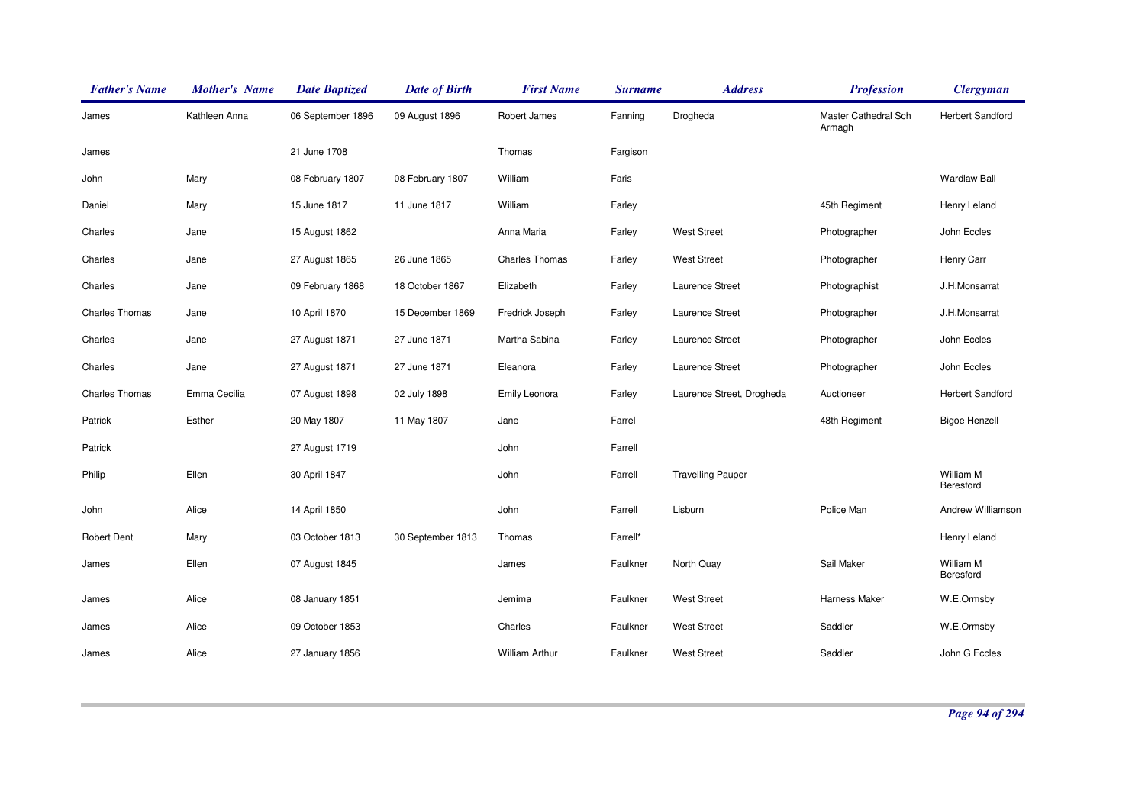| <b>Father's Name</b>  | <b>Mother's Name</b> | <b>Date Baptized</b> | <b>Date of Birth</b> | <b>First Name</b>     | <b>Surname</b> | <b>Address</b>            | <b>Profession</b>              | <b>Clergyman</b>        |
|-----------------------|----------------------|----------------------|----------------------|-----------------------|----------------|---------------------------|--------------------------------|-------------------------|
| James                 | Kathleen Anna        | 06 September 1896    | 09 August 1896       | Robert James          | Fanning        | Drogheda                  | Master Cathedral Sch<br>Armagh | <b>Herbert Sandford</b> |
| James                 |                      | 21 June 1708         |                      | Thomas                | Fargison       |                           |                                |                         |
| John                  | Mary                 | 08 February 1807     | 08 February 1807     | William               | Faris          |                           |                                | <b>Wardlaw Ball</b>     |
| Daniel                | Mary                 | 15 June 1817         | 11 June 1817         | William               | Farley         |                           | 45th Regiment                  | Henry Leland            |
| Charles               | Jane                 | 15 August 1862       |                      | Anna Maria            | Farley         | <b>West Street</b>        | Photographer                   | John Eccles             |
| Charles               | Jane                 | 27 August 1865       | 26 June 1865         | <b>Charles Thomas</b> | Farley         | <b>West Street</b>        | Photographer                   | Henry Carr              |
| Charles               | Jane                 | 09 February 1868     | 18 October 1867      | Elizabeth             | Farley         | Laurence Street           | Photographist                  | J.H.Monsarrat           |
| <b>Charles Thomas</b> | Jane                 | 10 April 1870        | 15 December 1869     | Fredrick Joseph       | Farley         | Laurence Street           | Photographer                   | J.H.Monsarrat           |
| Charles               | Jane                 | 27 August 1871       | 27 June 1871         | Martha Sabina         | Farley         | Laurence Street           | Photographer                   | John Eccles             |
| Charles               | Jane                 | 27 August 1871       | 27 June 1871         | Eleanora              | Farley         | Laurence Street           | Photographer                   | John Eccles             |
| <b>Charles Thomas</b> | Emma Cecilia         | 07 August 1898       | 02 July 1898         | Emily Leonora         | Farley         | Laurence Street, Drogheda | Auctioneer                     | Herbert Sandford        |
| Patrick               | Esther               | 20 May 1807          | 11 May 1807          | Jane                  | Farrel         |                           | 48th Regiment                  | <b>Bigoe Henzell</b>    |
| Patrick               |                      | 27 August 1719       |                      | John                  | Farrell        |                           |                                |                         |
| Philip                | Ellen                | 30 April 1847        |                      | John                  | Farrell        | <b>Travelling Pauper</b>  |                                | William M<br>Beresford  |
| John                  | Alice                | 14 April 1850        |                      | John                  | Farrell        | Lisburn                   | Police Man                     | Andrew Williamson       |
| <b>Robert Dent</b>    | Mary                 | 03 October 1813      | 30 September 1813    | Thomas                | Farrell*       |                           |                                | Henry Leland            |
| James                 | Ellen                | 07 August 1845       |                      | James                 | Faulkner       | North Quay                | Sail Maker                     | William M<br>Beresford  |
| James                 | Alice                | 08 January 1851      |                      | Jemima                | Faulkner       | <b>West Street</b>        | Harness Maker                  | W.E.Ormsby              |
| James                 | Alice                | 09 October 1853      |                      | Charles               | Faulkner       | <b>West Street</b>        | Saddler                        | W.E.Ormsby              |
| James                 | Alice                | 27 January 1856      |                      | <b>William Arthur</b> | Faulkner       | <b>West Street</b>        | Saddler                        | John G Eccles           |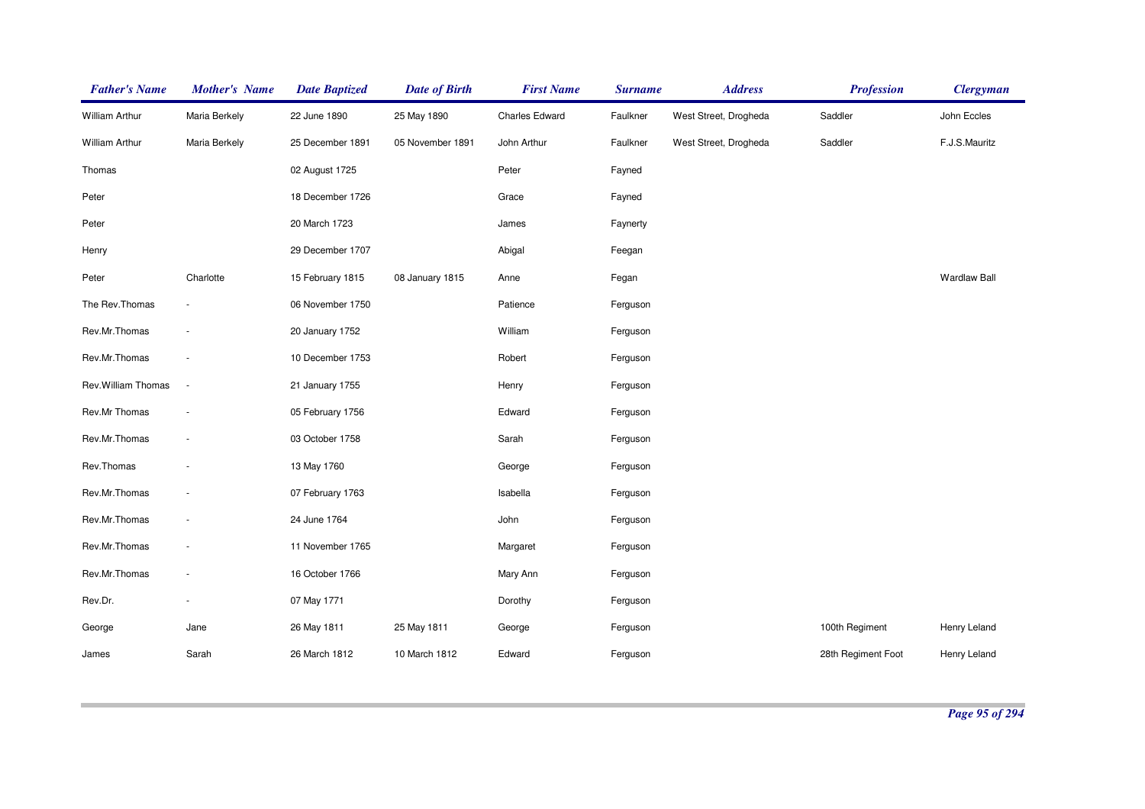| <b>Father's Name</b>  | <b>Mother's Name</b>     | <b>Date Baptized</b> | <b>Date of Birth</b> | <b>First Name</b>     | <b>Surname</b> | <b>Address</b>        | <b>Profession</b>  | <b>Clergyman</b>    |
|-----------------------|--------------------------|----------------------|----------------------|-----------------------|----------------|-----------------------|--------------------|---------------------|
| <b>William Arthur</b> | Maria Berkely            | 22 June 1890         | 25 May 1890          | <b>Charles Edward</b> | Faulkner       | West Street, Drogheda | Saddler            | John Eccles         |
| <b>William Arthur</b> | Maria Berkely            | 25 December 1891     | 05 November 1891     | John Arthur           | Faulkner       | West Street, Drogheda | Saddler            | F.J.S.Mauritz       |
| Thomas                |                          | 02 August 1725       |                      | Peter                 | Fayned         |                       |                    |                     |
| Peter                 |                          | 18 December 1726     |                      | Grace                 | Fayned         |                       |                    |                     |
| Peter                 |                          | 20 March 1723        |                      | James                 | Faynerty       |                       |                    |                     |
| Henry                 |                          | 29 December 1707     |                      | Abigal                | Feegan         |                       |                    |                     |
| Peter                 | Charlotte                | 15 February 1815     | 08 January 1815      | Anne                  | Fegan          |                       |                    | <b>Wardlaw Ball</b> |
| The Rev.Thomas        | $\overline{\phantom{a}}$ | 06 November 1750     |                      | Patience              | Ferguson       |                       |                    |                     |
| Rev.Mr.Thomas         | $\overline{\phantom{a}}$ | 20 January 1752      |                      | William               | Ferguson       |                       |                    |                     |
| Rev.Mr.Thomas         | $\sim$                   | 10 December 1753     |                      | Robert                | Ferguson       |                       |                    |                     |
| Rev. William Thomas   | $\sim$                   | 21 January 1755      |                      | Henry                 | Ferguson       |                       |                    |                     |
| Rev.Mr Thomas         | $\overline{\phantom{a}}$ | 05 February 1756     |                      | Edward                | Ferguson       |                       |                    |                     |
| Rev.Mr.Thomas         | $\overline{\phantom{a}}$ | 03 October 1758      |                      | Sarah                 | Ferguson       |                       |                    |                     |
| Rev.Thomas            | ÷                        | 13 May 1760          |                      | George                | Ferguson       |                       |                    |                     |
| Rev.Mr.Thomas         | $\overline{\phantom{a}}$ | 07 February 1763     |                      | Isabella              | Ferguson       |                       |                    |                     |
| Rev.Mr.Thomas         | ÷                        | 24 June 1764         |                      | John                  | Ferguson       |                       |                    |                     |
| Rev.Mr.Thomas         | $\overline{\phantom{a}}$ | 11 November 1765     |                      | Margaret              | Ferguson       |                       |                    |                     |
| Rev.Mr.Thomas         | $\overline{\phantom{a}}$ | 16 October 1766      |                      | Mary Ann              | Ferguson       |                       |                    |                     |
| Rev.Dr.               | $\overline{\phantom{a}}$ | 07 May 1771          |                      | Dorothy               | Ferguson       |                       |                    |                     |
| George                | Jane                     | 26 May 1811          | 25 May 1811          | George                | Ferguson       |                       | 100th Regiment     | Henry Leland        |
| James                 | Sarah                    | 26 March 1812        | 10 March 1812        | Edward                | Ferguson       |                       | 28th Regiment Foot | Henry Leland        |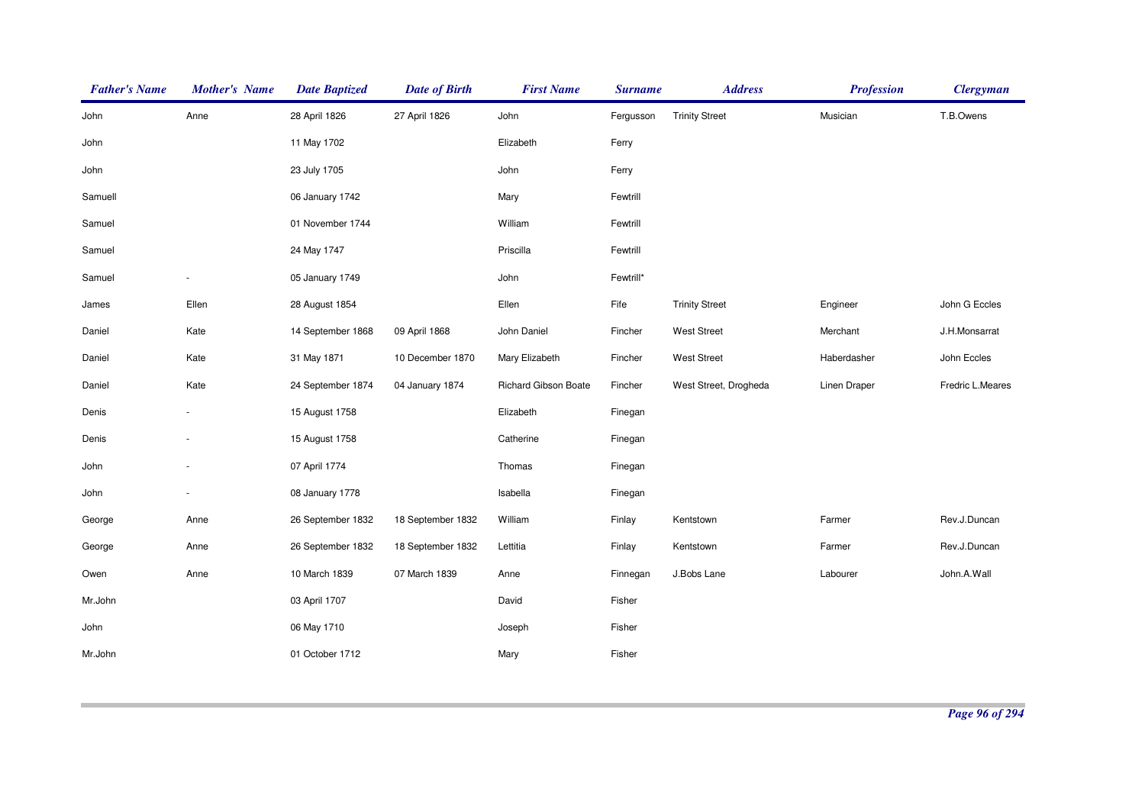| <b>Father's Name</b> | <b>Mother's Name</b> | <b>Date Baptized</b> | <b>Date of Birth</b> | <b>First Name</b>    | <b>Surname</b> | <b>Address</b>        | <b>Profession</b> | <b>Clergyman</b> |
|----------------------|----------------------|----------------------|----------------------|----------------------|----------------|-----------------------|-------------------|------------------|
| John                 | Anne                 | 28 April 1826        | 27 April 1826        | John                 | Fergusson      | <b>Trinity Street</b> | Musician          | T.B.Owens        |
| John                 |                      | 11 May 1702          |                      | Elizabeth            | Ferry          |                       |                   |                  |
| John                 |                      | 23 July 1705         |                      | John                 | Ferry          |                       |                   |                  |
| Samuell              |                      | 06 January 1742      |                      | Mary                 | Fewtrill       |                       |                   |                  |
| Samuel               |                      | 01 November 1744     |                      | William              | Fewtrill       |                       |                   |                  |
| Samuel               |                      | 24 May 1747          |                      | Priscilla            | Fewtrill       |                       |                   |                  |
| Samuel               |                      | 05 January 1749      |                      | John                 | Fewtrill*      |                       |                   |                  |
| James                | Ellen                | 28 August 1854       |                      | Ellen                | Fife           | <b>Trinity Street</b> | Engineer          | John G Eccles    |
| Daniel               | Kate                 | 14 September 1868    | 09 April 1868        | John Daniel          | Fincher        | <b>West Street</b>    | Merchant          | J.H.Monsarrat    |
| Daniel               | Kate                 | 31 May 1871          | 10 December 1870     | Mary Elizabeth       | Fincher        | <b>West Street</b>    | Haberdasher       | John Eccles      |
| Daniel               | Kate                 | 24 September 1874    | 04 January 1874      | Richard Gibson Boate | Fincher        | West Street, Drogheda | Linen Draper      | Fredric L.Meares |
| Denis                |                      | 15 August 1758       |                      | Elizabeth            | Finegan        |                       |                   |                  |
| Denis                |                      | 15 August 1758       |                      | Catherine            | Finegan        |                       |                   |                  |
| John                 |                      | 07 April 1774        |                      | Thomas               | Finegan        |                       |                   |                  |
| John                 |                      | 08 January 1778      |                      | Isabella             | Finegan        |                       |                   |                  |
| George               | Anne                 | 26 September 1832    | 18 September 1832    | William              | Finlay         | Kentstown             | Farmer            | Rev.J.Duncan     |
| George               | Anne                 | 26 September 1832    | 18 September 1832    | Lettitia             | Finlay         | Kentstown             | Farmer            | Rev.J.Duncan     |
| Owen                 | Anne                 | 10 March 1839        | 07 March 1839        | Anne                 | Finnegan       | J.Bobs Lane           | Labourer          | John.A.Wall      |
| Mr.John              |                      | 03 April 1707        |                      | David                | Fisher         |                       |                   |                  |
| John                 |                      | 06 May 1710          |                      | Joseph               | Fisher         |                       |                   |                  |
| Mr.John              |                      | 01 October 1712      |                      | Mary                 | Fisher         |                       |                   |                  |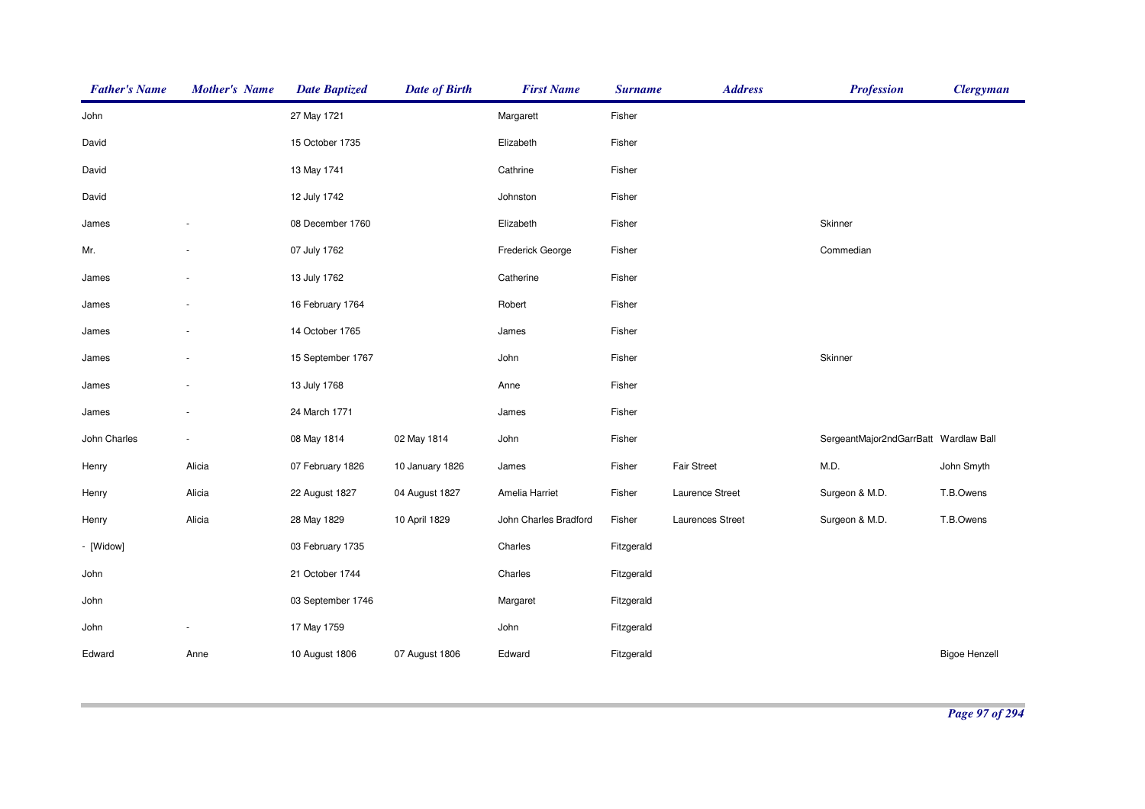| <b>Father's Name</b> | <b>Mother's Name</b> | <b>Date Baptized</b> | <b>Date of Birth</b> | <b>First Name</b>     | <b>Surname</b> | <b>Address</b>     | <b>Profession</b>                     | <b>Clergyman</b>     |
|----------------------|----------------------|----------------------|----------------------|-----------------------|----------------|--------------------|---------------------------------------|----------------------|
| John                 |                      | 27 May 1721          |                      | Margarett             | Fisher         |                    |                                       |                      |
| David                |                      | 15 October 1735      |                      | Elizabeth             | Fisher         |                    |                                       |                      |
| David                |                      | 13 May 1741          |                      | Cathrine              | Fisher         |                    |                                       |                      |
| David                |                      | 12 July 1742         |                      | Johnston              | Fisher         |                    |                                       |                      |
| James                |                      | 08 December 1760     |                      | Elizabeth             | Fisher         |                    | Skinner                               |                      |
| Mr.                  |                      | 07 July 1762         |                      | Frederick George      | Fisher         |                    | Commedian                             |                      |
| James                |                      | 13 July 1762         |                      | Catherine             | Fisher         |                    |                                       |                      |
| James                |                      | 16 February 1764     |                      | Robert                | Fisher         |                    |                                       |                      |
| James                |                      | 14 October 1765      |                      | James                 | Fisher         |                    |                                       |                      |
| James                |                      | 15 September 1767    |                      | John                  | Fisher         |                    | Skinner                               |                      |
| James                |                      | 13 July 1768         |                      | Anne                  | Fisher         |                    |                                       |                      |
| James                |                      | 24 March 1771        |                      | James                 | Fisher         |                    |                                       |                      |
| John Charles         |                      | 08 May 1814          | 02 May 1814          | John                  | Fisher         |                    | SergeantMajor2ndGarrBatt Wardlaw Ball |                      |
| Henry                | Alicia               | 07 February 1826     | 10 January 1826      | James                 | Fisher         | <b>Fair Street</b> | M.D.                                  | John Smyth           |
| Henry                | Alicia               | 22 August 1827       | 04 August 1827       | Amelia Harriet        | Fisher         | Laurence Street    | Surgeon & M.D.                        | T.B.Owens            |
| Henry                | Alicia               | 28 May 1829          | 10 April 1829        | John Charles Bradford | Fisher         | Laurences Street   | Surgeon & M.D.                        | T.B.Owens            |
| - [Widow]            |                      | 03 February 1735     |                      | Charles               | Fitzgerald     |                    |                                       |                      |
| John                 |                      | 21 October 1744      |                      | Charles               | Fitzgerald     |                    |                                       |                      |
| John                 |                      | 03 September 1746    |                      | Margaret              | Fitzgerald     |                    |                                       |                      |
| John                 |                      | 17 May 1759          |                      | John                  | Fitzgerald     |                    |                                       |                      |
| Edward               | Anne                 | 10 August 1806       | 07 August 1806       | Edward                | Fitzgerald     |                    |                                       | <b>Bigoe Henzell</b> |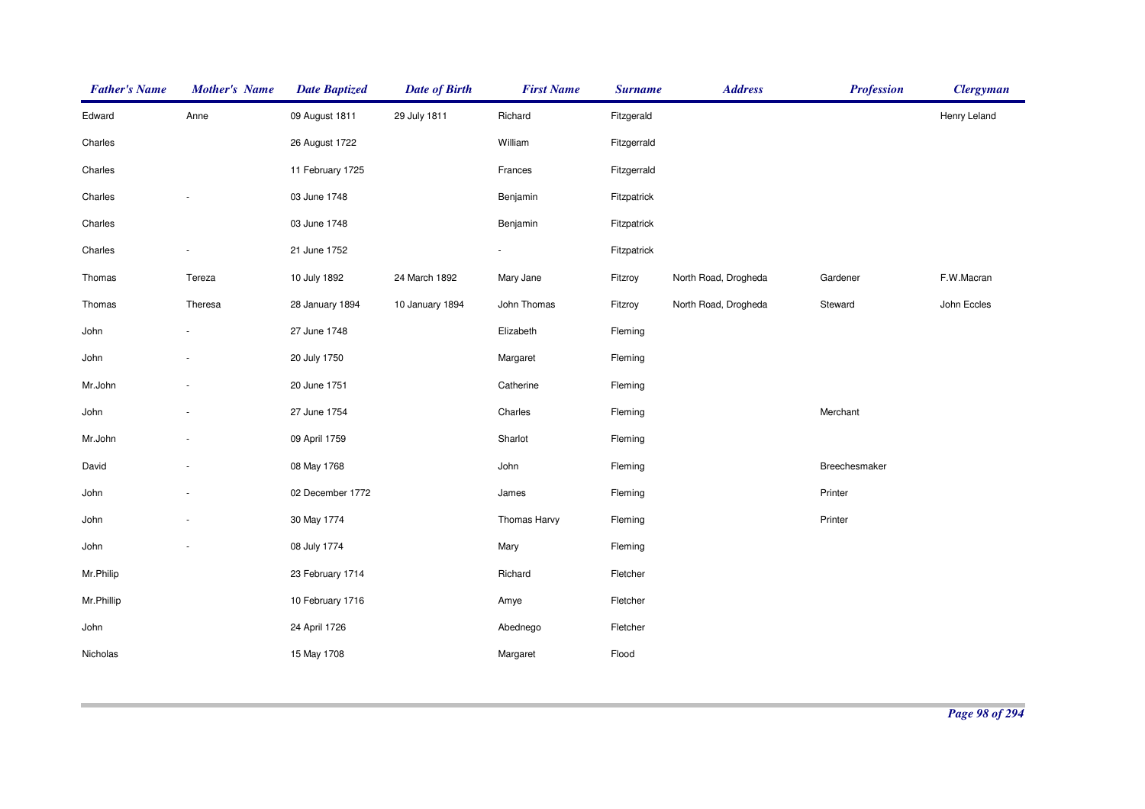| <b>Father's Name</b> | <b>Mother's Name</b> | <b>Date Baptized</b> | <b>Date of Birth</b> | <b>First Name</b>        | <b>Surname</b> | <b>Address</b>       | <b>Profession</b> | <b>Clergyman</b> |
|----------------------|----------------------|----------------------|----------------------|--------------------------|----------------|----------------------|-------------------|------------------|
| Edward               | Anne                 | 09 August 1811       | 29 July 1811         | Richard                  | Fitzgerald     |                      |                   | Henry Leland     |
| Charles              |                      | 26 August 1722       |                      | William                  | Fitzgerrald    |                      |                   |                  |
| Charles              |                      | 11 February 1725     |                      | Frances                  | Fitzgerrald    |                      |                   |                  |
| Charles              |                      | 03 June 1748         |                      | Benjamin                 | Fitzpatrick    |                      |                   |                  |
| Charles              |                      | 03 June 1748         |                      | Benjamin                 | Fitzpatrick    |                      |                   |                  |
| Charles              |                      | 21 June 1752         |                      | $\overline{\phantom{a}}$ | Fitzpatrick    |                      |                   |                  |
| Thomas               | Tereza               | 10 July 1892         | 24 March 1892        | Mary Jane                | Fitzroy        | North Road, Drogheda | Gardener          | F.W.Macran       |
| Thomas               | Theresa              | 28 January 1894      | 10 January 1894      | John Thomas              | Fitzroy        | North Road, Drogheda | Steward           | John Eccles      |
| John                 |                      | 27 June 1748         |                      | Elizabeth                | Fleming        |                      |                   |                  |
| John                 |                      | 20 July 1750         |                      | Margaret                 | Fleming        |                      |                   |                  |
| Mr.John              |                      | 20 June 1751         |                      | Catherine                | Fleming        |                      |                   |                  |
| John                 |                      | 27 June 1754         |                      | Charles                  | Fleming        |                      | Merchant          |                  |
| Mr.John              |                      | 09 April 1759        |                      | Sharlot                  | Fleming        |                      |                   |                  |
| David                |                      | 08 May 1768          |                      | John                     | Fleming        |                      | Breechesmaker     |                  |
| John                 |                      | 02 December 1772     |                      | James                    | Fleming        |                      | Printer           |                  |
| John                 |                      | 30 May 1774          |                      | Thomas Harvy             | Fleming        |                      | Printer           |                  |
| John                 |                      | 08 July 1774         |                      | Mary                     | Fleming        |                      |                   |                  |
| Mr.Philip            |                      | 23 February 1714     |                      | Richard                  | Fletcher       |                      |                   |                  |
| Mr.Phillip           |                      | 10 February 1716     |                      | Amye                     | Fletcher       |                      |                   |                  |
| John                 |                      | 24 April 1726        |                      | Abednego                 | Fletcher       |                      |                   |                  |
| Nicholas             |                      | 15 May 1708          |                      | Margaret                 | Flood          |                      |                   |                  |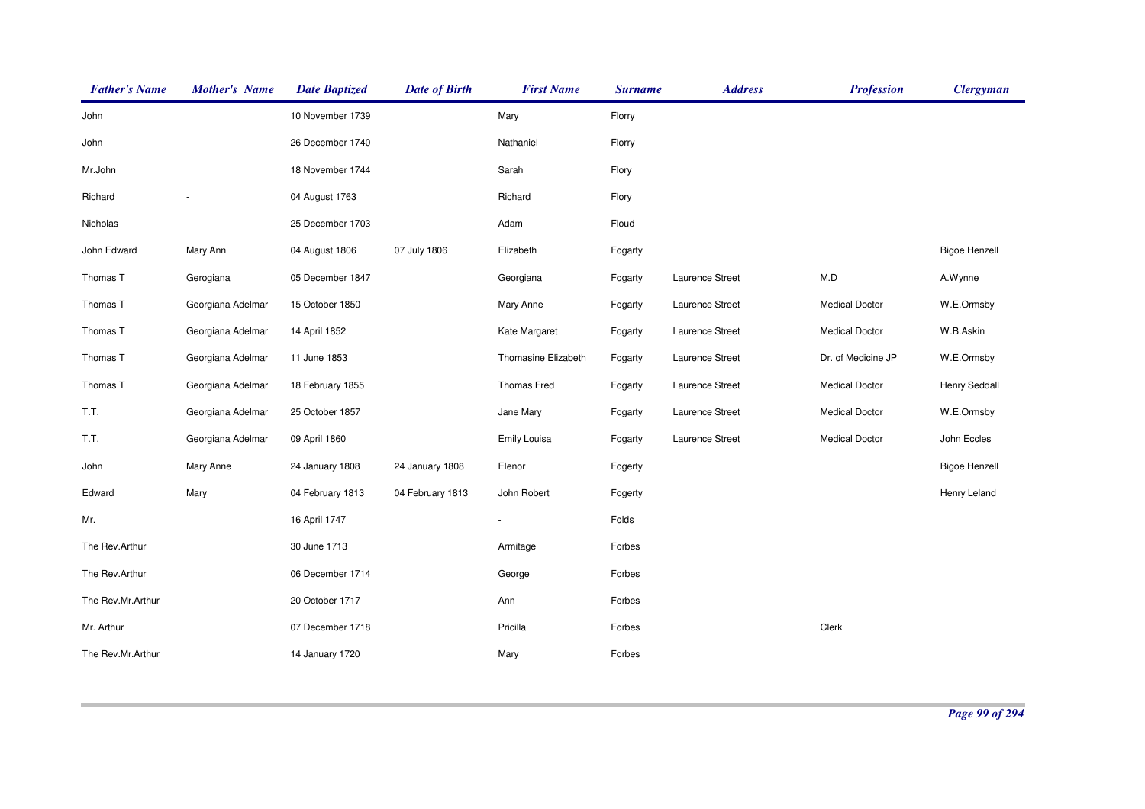| <b>Father's Name</b> | <b>Mother's Name</b> | <b>Date Baptized</b> | <b>Date of Birth</b> | <b>First Name</b>   | <b>Surname</b> | <b>Address</b>  | <b>Profession</b>     | <b>Clergyman</b>     |
|----------------------|----------------------|----------------------|----------------------|---------------------|----------------|-----------------|-----------------------|----------------------|
| John                 |                      | 10 November 1739     |                      | Mary                | Florry         |                 |                       |                      |
| John                 |                      | 26 December 1740     |                      | Nathaniel           | Florry         |                 |                       |                      |
| Mr.John              |                      | 18 November 1744     |                      | Sarah               | Flory          |                 |                       |                      |
| Richard              |                      | 04 August 1763       |                      | Richard             | Flory          |                 |                       |                      |
| Nicholas             |                      | 25 December 1703     |                      | Adam                | Floud          |                 |                       |                      |
| John Edward          | Mary Ann             | 04 August 1806       | 07 July 1806         | Elizabeth           | Fogarty        |                 |                       | <b>Bigoe Henzell</b> |
| Thomas T             | Gerogiana            | 05 December 1847     |                      | Georgiana           | Fogarty        | Laurence Street | M.D                   | A.Wynne              |
| Thomas T             | Georgiana Adelmar    | 15 October 1850      |                      | Mary Anne           | Fogarty        | Laurence Street | <b>Medical Doctor</b> | W.E.Ormsby           |
| Thomas T             | Georgiana Adelmar    | 14 April 1852        |                      | Kate Margaret       | Fogarty        | Laurence Street | <b>Medical Doctor</b> | W.B.Askin            |
| Thomas T             | Georgiana Adelmar    | 11 June 1853         |                      | Thomasine Elizabeth | Fogarty        | Laurence Street | Dr. of Medicine JP    | W.E.Ormsby           |
| Thomas T             | Georgiana Adelmar    | 18 February 1855     |                      | Thomas Fred         | Fogarty        | Laurence Street | <b>Medical Doctor</b> | <b>Henry Seddall</b> |
| T.T.                 | Georgiana Adelmar    | 25 October 1857      |                      | Jane Mary           | Fogarty        | Laurence Street | <b>Medical Doctor</b> | W.E.Ormsby           |
| T.T.                 | Georgiana Adelmar    | 09 April 1860        |                      | <b>Emily Louisa</b> | Fogarty        | Laurence Street | <b>Medical Doctor</b> | John Eccles          |
| John                 | Mary Anne            | 24 January 1808      | 24 January 1808      | Elenor              | Fogerty        |                 |                       | <b>Bigoe Henzell</b> |
| Edward               | Mary                 | 04 February 1813     | 04 February 1813     | John Robert         | Fogerty        |                 |                       | Henry Leland         |
| Mr.                  |                      | 16 April 1747        |                      | $\blacksquare$      | Folds          |                 |                       |                      |
| The Rev.Arthur       |                      | 30 June 1713         |                      | Armitage            | Forbes         |                 |                       |                      |
| The Rev.Arthur       |                      | 06 December 1714     |                      | George              | Forbes         |                 |                       |                      |
| The Rev.Mr.Arthur    |                      | 20 October 1717      |                      | Ann                 | Forbes         |                 |                       |                      |
| Mr. Arthur           |                      | 07 December 1718     |                      | Pricilla            | Forbes         |                 | Clerk                 |                      |
| The Rev.Mr.Arthur    |                      | 14 January 1720      |                      | Mary                | Forbes         |                 |                       |                      |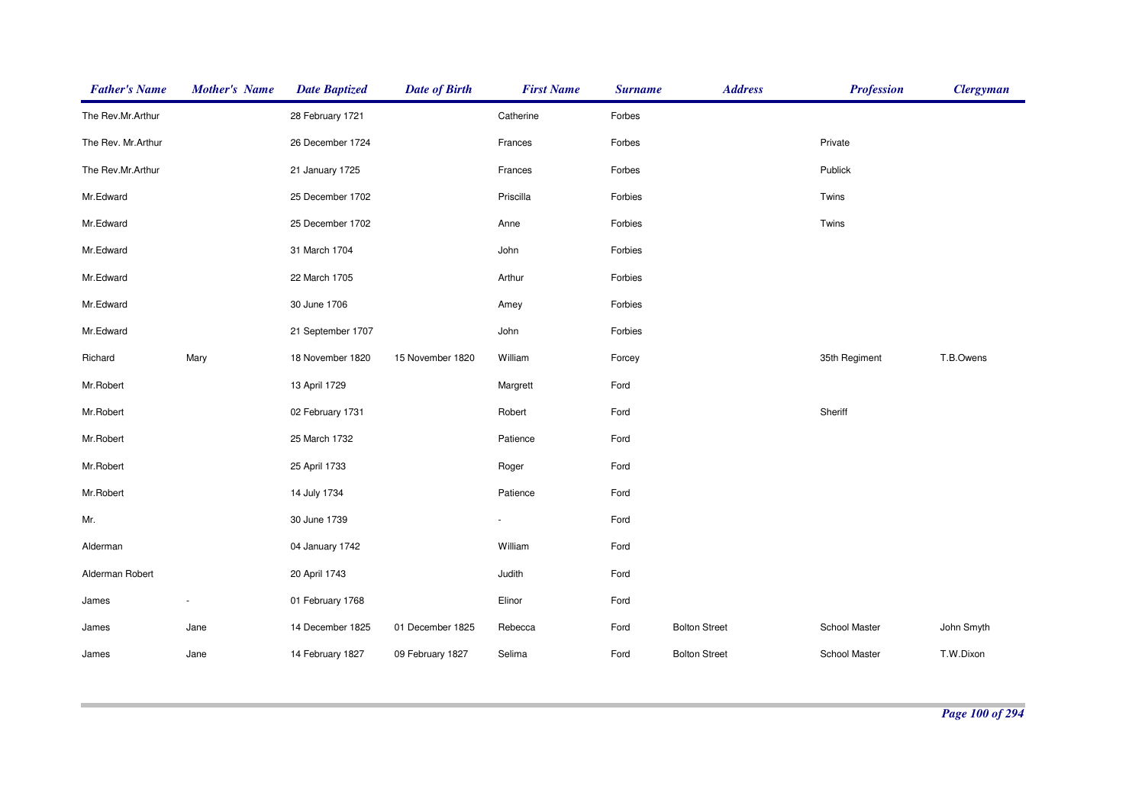| <b>Father's Name</b> | <b>Mother's Name</b> | <b>Date Baptized</b> | <b>Date of Birth</b> | <b>First Name</b> | <b>Surname</b> | <b>Address</b>       | <b>Profession</b> | <b>Clergyman</b> |
|----------------------|----------------------|----------------------|----------------------|-------------------|----------------|----------------------|-------------------|------------------|
| The Rev.Mr.Arthur    |                      | 28 February 1721     |                      | Catherine         | Forbes         |                      |                   |                  |
| The Rev. Mr.Arthur   |                      | 26 December 1724     |                      | Frances           | Forbes         |                      | Private           |                  |
| The Rev.Mr.Arthur    |                      | 21 January 1725      |                      | Frances           | Forbes         |                      | Publick           |                  |
| Mr.Edward            |                      | 25 December 1702     |                      | Priscilla         | Forbies        |                      | Twins             |                  |
| Mr.Edward            |                      | 25 December 1702     |                      | Anne              | Forbies        |                      | Twins             |                  |
| Mr.Edward            |                      | 31 March 1704        |                      | John              | Forbies        |                      |                   |                  |
| Mr.Edward            |                      | 22 March 1705        |                      | Arthur            | Forbies        |                      |                   |                  |
| Mr.Edward            |                      | 30 June 1706         |                      | Amey              | Forbies        |                      |                   |                  |
| Mr.Edward            |                      | 21 September 1707    |                      | John              | Forbies        |                      |                   |                  |
| Richard              | Mary                 | 18 November 1820     | 15 November 1820     | William           | Forcey         |                      | 35th Regiment     | T.B.Owens        |
| Mr.Robert            |                      | 13 April 1729        |                      | Margrett          | Ford           |                      |                   |                  |
| Mr.Robert            |                      | 02 February 1731     |                      | Robert            | Ford           |                      | Sheriff           |                  |
| Mr.Robert            |                      | 25 March 1732        |                      | Patience          | Ford           |                      |                   |                  |
| Mr.Robert            |                      | 25 April 1733        |                      | Roger             | Ford           |                      |                   |                  |
| Mr.Robert            |                      | 14 July 1734         |                      | Patience          | Ford           |                      |                   |                  |
| Mr.                  |                      | 30 June 1739         |                      |                   | Ford           |                      |                   |                  |
| Alderman             |                      | 04 January 1742      |                      | William           | Ford           |                      |                   |                  |
| Alderman Robert      |                      | 20 April 1743        |                      | Judith            | Ford           |                      |                   |                  |
| James                | $\sim$               | 01 February 1768     |                      | Elinor            | Ford           |                      |                   |                  |
| James                | Jane                 | 14 December 1825     | 01 December 1825     | Rebecca           | Ford           | <b>Bolton Street</b> | School Master     | John Smyth       |
| James                | Jane                 | 14 February 1827     | 09 February 1827     | Selima            | Ford           | <b>Bolton Street</b> | School Master     | T.W.Dixon        |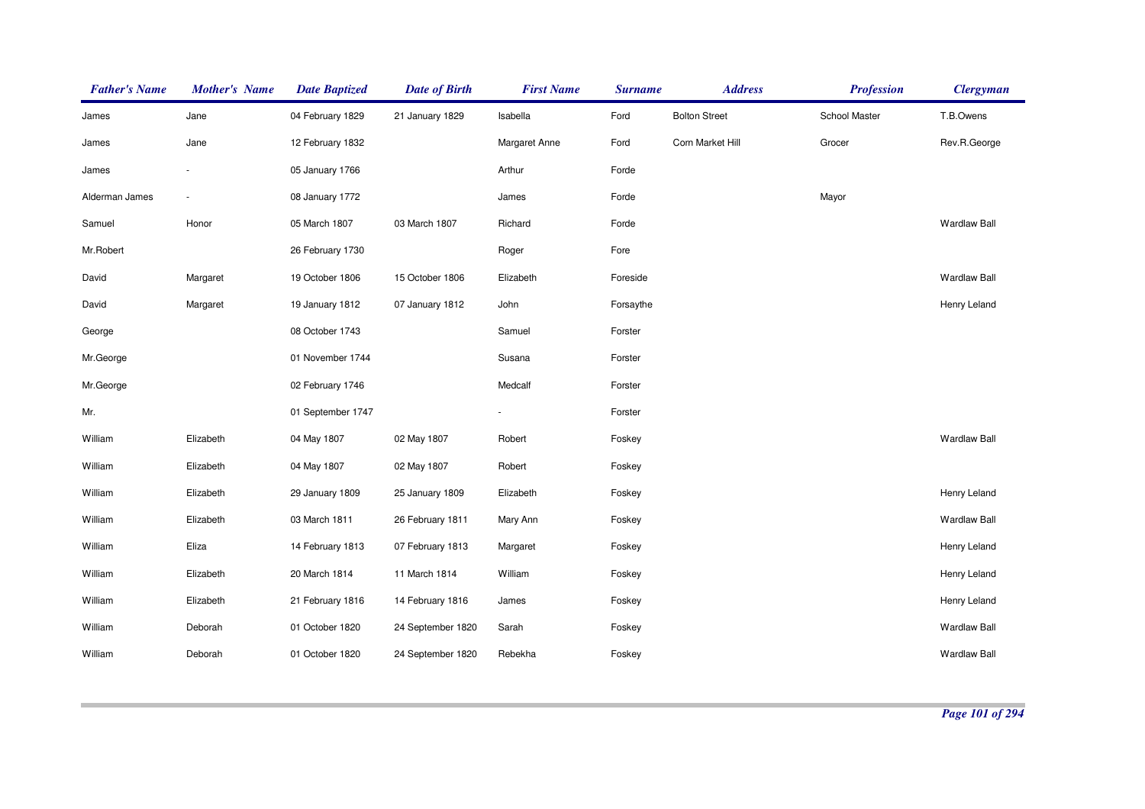| <b>Father's Name</b> | <b>Mother's Name</b>     | <b>Date Baptized</b> | <b>Date of Birth</b> | <b>First Name</b> | <b>Surname</b> | <b>Address</b>       | <b>Profession</b> | <b>Clergyman</b>    |
|----------------------|--------------------------|----------------------|----------------------|-------------------|----------------|----------------------|-------------------|---------------------|
| James                | Jane                     | 04 February 1829     | 21 January 1829      | Isabella          | Ford           | <b>Bolton Street</b> | School Master     | T.B.Owens           |
| James                | Jane                     | 12 February 1832     |                      | Margaret Anne     | Ford           | Corn Market Hill     | Grocer            | Rev.R.George        |
| James                | $\overline{\phantom{a}}$ | 05 January 1766      |                      | Arthur            | Forde          |                      |                   |                     |
| Alderman James       | $\overline{\phantom{a}}$ | 08 January 1772      |                      | James             | Forde          |                      | Mayor             |                     |
| Samuel               | Honor                    | 05 March 1807        | 03 March 1807        | Richard           | Forde          |                      |                   | <b>Wardlaw Ball</b> |
| Mr.Robert            |                          | 26 February 1730     |                      | Roger             | Fore           |                      |                   |                     |
| David                | Margaret                 | 19 October 1806      | 15 October 1806      | Elizabeth         | Foreside       |                      |                   | <b>Wardlaw Ball</b> |
| David                | Margaret                 | 19 January 1812      | 07 January 1812      | John              | Forsaythe      |                      |                   | Henry Leland        |
| George               |                          | 08 October 1743      |                      | Samuel            | Forster        |                      |                   |                     |
| Mr.George            |                          | 01 November 1744     |                      | Susana            | Forster        |                      |                   |                     |
| Mr.George            |                          | 02 February 1746     |                      | Medcalf           | Forster        |                      |                   |                     |
| Mr.                  |                          | 01 September 1747    |                      |                   | Forster        |                      |                   |                     |
| William              | Elizabeth                | 04 May 1807          | 02 May 1807          | Robert            | Foskey         |                      |                   | <b>Wardlaw Ball</b> |
| William              | Elizabeth                | 04 May 1807          | 02 May 1807          | Robert            | Foskey         |                      |                   |                     |
| William              | Elizabeth                | 29 January 1809      | 25 January 1809      | Elizabeth         | Foskey         |                      |                   | Henry Leland        |
| William              | Elizabeth                | 03 March 1811        | 26 February 1811     | Mary Ann          | Foskey         |                      |                   | <b>Wardlaw Ball</b> |
| William              | Eliza                    | 14 February 1813     | 07 February 1813     | Margaret          | Foskey         |                      |                   | Henry Leland        |
| William              | Elizabeth                | 20 March 1814        | 11 March 1814        | William           | Foskey         |                      |                   | Henry Leland        |
| William              | Elizabeth                | 21 February 1816     | 14 February 1816     | James             | Foskey         |                      |                   | Henry Leland        |
| William              | Deborah                  | 01 October 1820      | 24 September 1820    | Sarah             | Foskey         |                      |                   | <b>Wardlaw Ball</b> |
| William              | Deborah                  | 01 October 1820      | 24 September 1820    | Rebekha           | Foskey         |                      |                   | <b>Wardlaw Ball</b> |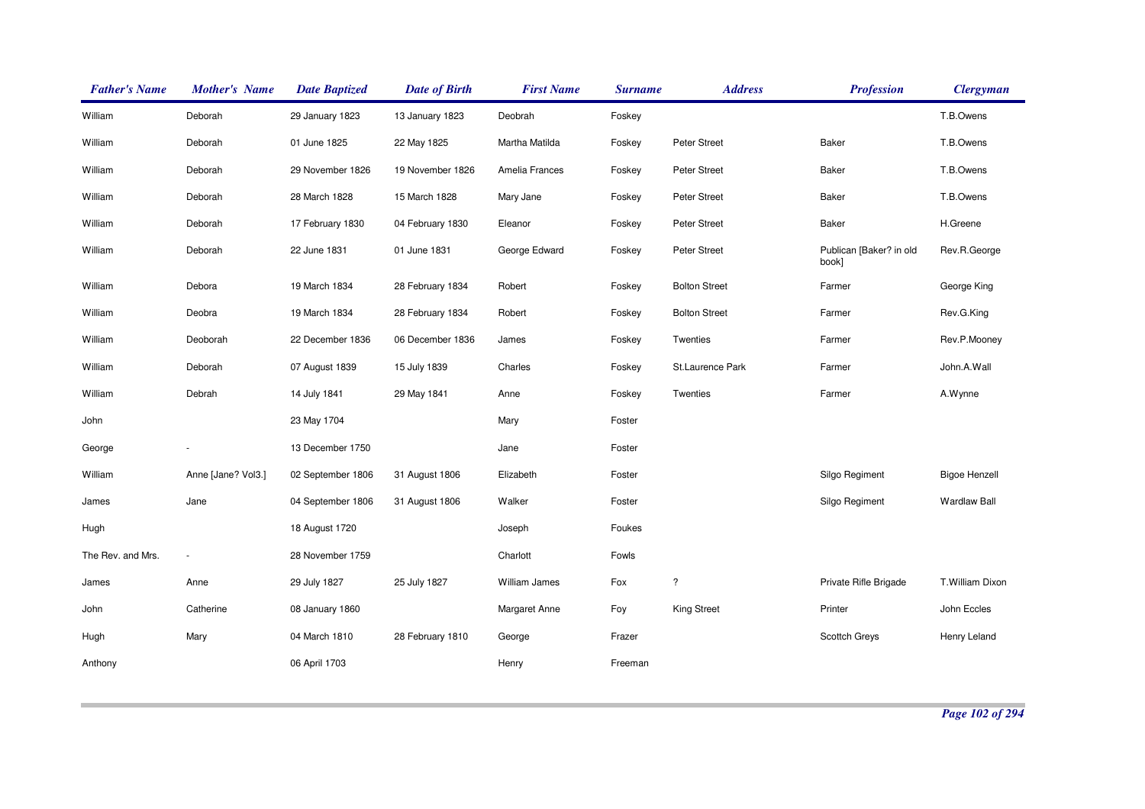| <b>Father's Name</b> | <b>Mother's Name</b> | <b>Date Baptized</b> | <b>Date of Birth</b> | <b>First Name</b> | <b>Surname</b> | <b>Address</b>       | <b>Profession</b>                | <b>Clergyman</b>     |
|----------------------|----------------------|----------------------|----------------------|-------------------|----------------|----------------------|----------------------------------|----------------------|
| William              | Deborah              | 29 January 1823      | 13 January 1823      | Deobrah           | Foskey         |                      |                                  | T.B.Owens            |
| William              | Deborah              | 01 June 1825         | 22 May 1825          | Martha Matilda    | Foskey         | Peter Street         | Baker                            | T.B.Owens            |
| William              | Deborah              | 29 November 1826     | 19 November 1826     | Amelia Frances    | Foskey         | Peter Street         | Baker                            | T.B.Owens            |
| William              | Deborah              | 28 March 1828        | 15 March 1828        | Mary Jane         | Foskey         | Peter Street         | Baker                            | T.B.Owens            |
| William              | Deborah              | 17 February 1830     | 04 February 1830     | Eleanor           | Foskey         | Peter Street         | Baker                            | H.Greene             |
| William              | Deborah              | 22 June 1831         | 01 June 1831         | George Edward     | Foskey         | Peter Street         | Publican [Baker? in old<br>book] | Rev.R.George         |
| William              | Debora               | 19 March 1834        | 28 February 1834     | Robert            | Foskey         | <b>Bolton Street</b> | Farmer                           | George King          |
| William              | Deobra               | 19 March 1834        | 28 February 1834     | Robert            | Foskey         | <b>Bolton Street</b> | Farmer                           | Rev.G.King           |
| William              | Deoborah             | 22 December 1836     | 06 December 1836     | James             | Foskey         | Twenties             | Farmer                           | Rev.P.Mooney         |
| William              | Deborah              | 07 August 1839       | 15 July 1839         | Charles           | Foskey         | St.Laurence Park     | Farmer                           | John.A.Wall          |
| William              | Debrah               | 14 July 1841         | 29 May 1841          | Anne              | Foskey         | Twenties             | Farmer                           | A.Wynne              |
| John                 |                      | 23 May 1704          |                      | Mary              | Foster         |                      |                                  |                      |
| George               |                      | 13 December 1750     |                      | Jane              | Foster         |                      |                                  |                      |
| William              | Anne [Jane? Vol3.]   | 02 September 1806    | 31 August 1806       | Elizabeth         | Foster         |                      | Silgo Regiment                   | <b>Bigoe Henzell</b> |
| James                | Jane                 | 04 September 1806    | 31 August 1806       | Walker            | Foster         |                      | Silgo Regiment                   | <b>Wardlaw Ball</b>  |
| Hugh                 |                      | 18 August 1720       |                      | Joseph            | Foukes         |                      |                                  |                      |
| The Rev. and Mrs.    | $\sim$               | 28 November 1759     |                      | Charlott          | Fowls          |                      |                                  |                      |
| James                | Anne                 | 29 July 1827         | 25 July 1827         | William James     | Fox            | $\ddot{?}$           | Private Rifle Brigade            | T.William Dixon      |
| John                 | Catherine            | 08 January 1860      |                      | Margaret Anne     | Foy            | King Street          | Printer                          | John Eccles          |
| Hugh                 | Mary                 | 04 March 1810        | 28 February 1810     | George            | Frazer         |                      | Scottch Greys                    | Henry Leland         |
| Anthony              |                      | 06 April 1703        |                      | Henry             | Freeman        |                      |                                  |                      |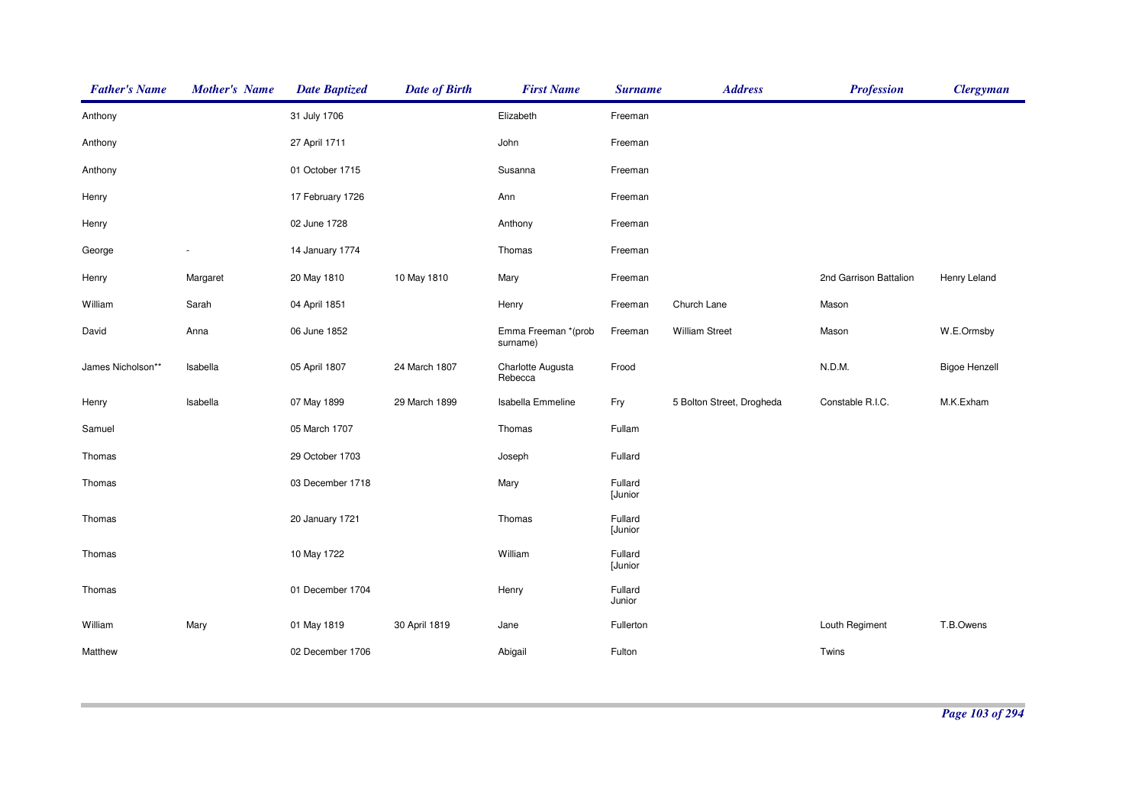| <b>Father's Name</b> | <b>Mother's Name</b> | <b>Date Baptized</b> | <b>Date of Birth</b> | <b>First Name</b>               | <b>Surname</b>     | <b>Address</b>            | <b>Profession</b>      | <b>Clergyman</b>     |
|----------------------|----------------------|----------------------|----------------------|---------------------------------|--------------------|---------------------------|------------------------|----------------------|
| Anthony              |                      | 31 July 1706         |                      | Elizabeth                       | Freeman            |                           |                        |                      |
| Anthony              |                      | 27 April 1711        |                      | John                            | Freeman            |                           |                        |                      |
| Anthony              |                      | 01 October 1715      |                      | Susanna                         | Freeman            |                           |                        |                      |
| Henry                |                      | 17 February 1726     |                      | Ann                             | Freeman            |                           |                        |                      |
| Henry                |                      | 02 June 1728         |                      | Anthony                         | Freeman            |                           |                        |                      |
| George               |                      | 14 January 1774      |                      | Thomas                          | Freeman            |                           |                        |                      |
| Henry                | Margaret             | 20 May 1810          | 10 May 1810          | Mary                            | Freeman            |                           | 2nd Garrison Battalion | Henry Leland         |
| William              | Sarah                | 04 April 1851        |                      | Henry                           | Freeman            | Church Lane               | Mason                  |                      |
| David                | Anna                 | 06 June 1852         |                      | Emma Freeman *(prob<br>surname) | Freeman            | <b>William Street</b>     | Mason                  | W.E.Ormsby           |
| James Nicholson**    | Isabella             | 05 April 1807        | 24 March 1807        | Charlotte Augusta<br>Rebecca    | Frood              |                           | N.D.M.                 | <b>Bigoe Henzell</b> |
| Henry                | Isabella             | 07 May 1899          | 29 March 1899        | Isabella Emmeline               | Fry                | 5 Bolton Street, Drogheda | Constable R.I.C.       | M.K.Exham            |
| Samuel               |                      | 05 March 1707        |                      | Thomas                          | Fullam             |                           |                        |                      |
| Thomas               |                      | 29 October 1703      |                      | Joseph                          | Fullard            |                           |                        |                      |
| Thomas               |                      | 03 December 1718     |                      | Mary                            | Fullard<br>[Junior |                           |                        |                      |
| Thomas               |                      | 20 January 1721      |                      | Thomas                          | Fullard<br>[Junior |                           |                        |                      |
| Thomas               |                      | 10 May 1722          |                      | William                         | Fullard<br>[Junior |                           |                        |                      |
| Thomas               |                      | 01 December 1704     |                      | Henry                           | Fullard<br>Junior  |                           |                        |                      |
| William              | Mary                 | 01 May 1819          | 30 April 1819        | Jane                            | Fullerton          |                           | Louth Regiment         | T.B.Owens            |
| Matthew              |                      | 02 December 1706     |                      | Abigail                         | Fulton             |                           | Twins                  |                      |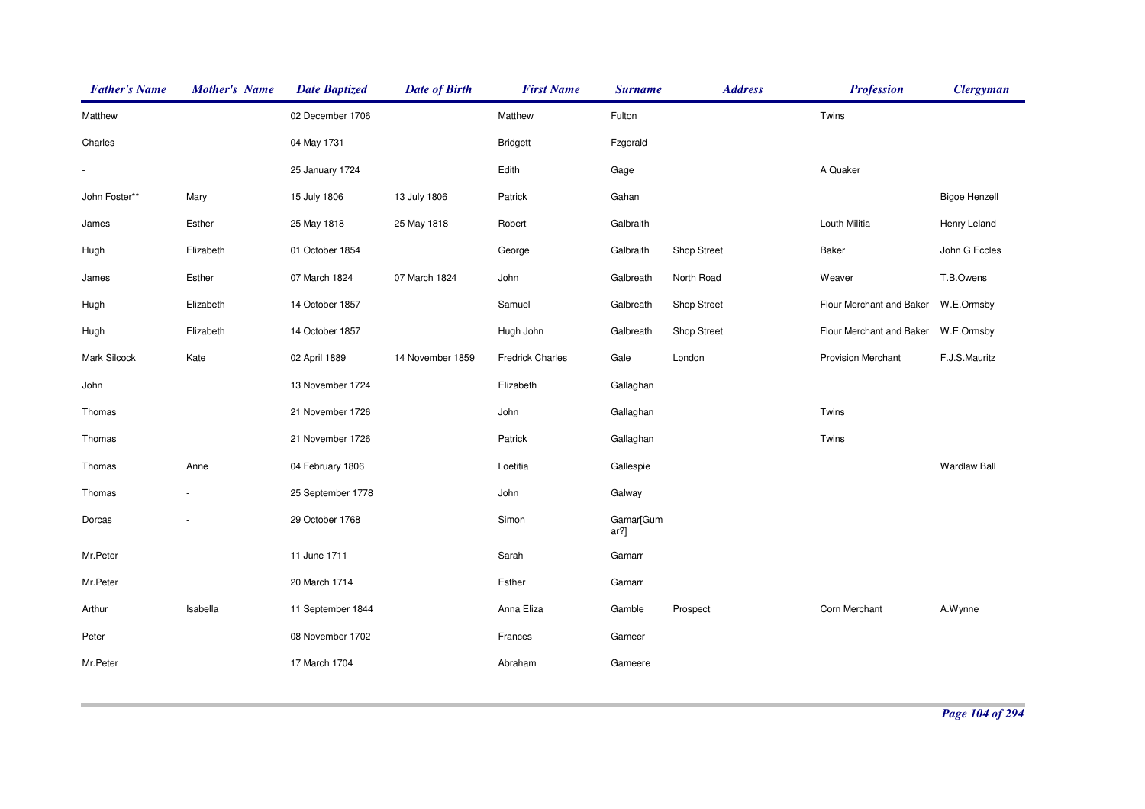| <b>Father's Name</b> | <b>Mother's Name</b>     | <b>Date Baptized</b> | <b>Date of Birth</b> | <b>First Name</b>       | <b>Surname</b>    | <b>Address</b> | <b>Profession</b>         | <b>Clergyman</b>     |
|----------------------|--------------------------|----------------------|----------------------|-------------------------|-------------------|----------------|---------------------------|----------------------|
| Matthew              |                          | 02 December 1706     |                      | Matthew                 | Fulton            |                | Twins                     |                      |
| Charles              |                          | 04 May 1731          |                      | <b>Bridgett</b>         | Fzgerald          |                |                           |                      |
|                      |                          | 25 January 1724      |                      | Edith                   | Gage              |                | A Quaker                  |                      |
| John Foster**        | Mary                     | 15 July 1806         | 13 July 1806         | Patrick                 | Gahan             |                |                           | <b>Bigoe Henzell</b> |
| James                | Esther                   | 25 May 1818          | 25 May 1818          | Robert                  | Galbraith         |                | Louth Militia             | Henry Leland         |
| Hugh                 | Elizabeth                | 01 October 1854      |                      | George                  | Galbraith         | Shop Street    | Baker                     | John G Eccles        |
| James                | Esther                   | 07 March 1824        | 07 March 1824        | John                    | Galbreath         | North Road     | Weaver                    | T.B.Owens            |
| Hugh                 | Elizabeth                | 14 October 1857      |                      | Samuel                  | Galbreath         | Shop Street    | Flour Merchant and Baker  | W.E.Ormsby           |
| Hugh                 | Elizabeth                | 14 October 1857      |                      | Hugh John               | Galbreath         | Shop Street    | Flour Merchant and Baker  | W.E.Ormsby           |
| Mark Silcock         | Kate                     | 02 April 1889        | 14 November 1859     | <b>Fredrick Charles</b> | Gale              | London         | <b>Provision Merchant</b> | F.J.S.Mauritz        |
| John                 |                          | 13 November 1724     |                      | Elizabeth               | Gallaghan         |                |                           |                      |
| Thomas               |                          | 21 November 1726     |                      | John                    | Gallaghan         |                | Twins                     |                      |
| Thomas               |                          | 21 November 1726     |                      | Patrick                 | Gallaghan         |                | Twins                     |                      |
| Thomas               | Anne                     | 04 February 1806     |                      | Loetitia                | Gallespie         |                |                           | <b>Wardlaw Ball</b>  |
| Thomas               | $\overline{\phantom{a}}$ | 25 September 1778    |                      | John                    | Galway            |                |                           |                      |
| Dorcas               |                          | 29 October 1768      |                      | Simon                   | Gamar[Gum<br>ar?] |                |                           |                      |
| Mr.Peter             |                          | 11 June 1711         |                      | Sarah                   | Gamarr            |                |                           |                      |
| Mr.Peter             |                          | 20 March 1714        |                      | Esther                  | Gamarr            |                |                           |                      |
| Arthur               | Isabella                 | 11 September 1844    |                      | Anna Eliza              | Gamble            | Prospect       | Corn Merchant             | A.Wynne              |
| Peter                |                          | 08 November 1702     |                      | Frances                 | Gameer            |                |                           |                      |
| Mr.Peter             |                          | 17 March 1704        |                      | Abraham                 | Gameere           |                |                           |                      |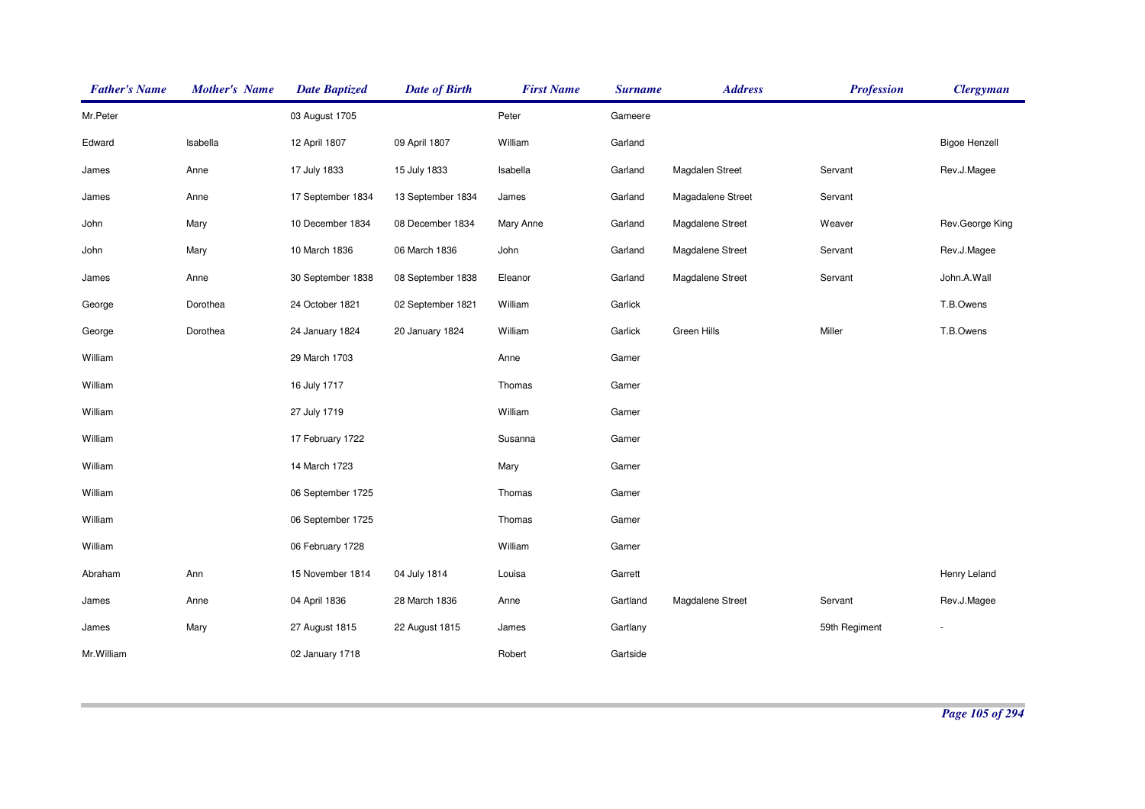| <b>Father's Name</b> | <b>Mother's Name</b> | <b>Date Baptized</b> | <b>Date of Birth</b> | <b>First Name</b> | <b>Surname</b> | <b>Address</b>    | <b>Profession</b> | <b>Clergyman</b>     |
|----------------------|----------------------|----------------------|----------------------|-------------------|----------------|-------------------|-------------------|----------------------|
| Mr.Peter             |                      | 03 August 1705       |                      | Peter             | Gameere        |                   |                   |                      |
| Edward               | Isabella             | 12 April 1807        | 09 April 1807        | William           | Garland        |                   |                   | <b>Bigoe Henzell</b> |
| James                | Anne                 | 17 July 1833         | 15 July 1833         | Isabella          | Garland        | Magdalen Street   | Servant           | Rev.J.Magee          |
| James                | Anne                 | 17 September 1834    | 13 September 1834    | James             | Garland        | Magadalene Street | Servant           |                      |
| John                 | Mary                 | 10 December 1834     | 08 December 1834     | Mary Anne         | Garland        | Magdalene Street  | Weaver            | Rev.George King      |
| John                 | Mary                 | 10 March 1836        | 06 March 1836        | John              | Garland        | Magdalene Street  | Servant           | Rev.J.Magee          |
| James                | Anne                 | 30 September 1838    | 08 September 1838    | Eleanor           | Garland        | Magdalene Street  | Servant           | John.A.Wall          |
| George               | Dorothea             | 24 October 1821      | 02 September 1821    | William           | Garlick        |                   |                   | T.B.Owens            |
| George               | Dorothea             | 24 January 1824      | 20 January 1824      | William           | Garlick        | Green Hills       | Miller            | T.B.Owens            |
| William              |                      | 29 March 1703        |                      | Anne              | Garner         |                   |                   |                      |
| William              |                      | 16 July 1717         |                      | Thomas            | Garner         |                   |                   |                      |
| William              |                      | 27 July 1719         |                      | William           | Garner         |                   |                   |                      |
| William              |                      | 17 February 1722     |                      | Susanna           | Garner         |                   |                   |                      |
| William              |                      | 14 March 1723        |                      | Mary              | Garner         |                   |                   |                      |
| William              |                      | 06 September 1725    |                      | Thomas            | Garner         |                   |                   |                      |
| William              |                      | 06 September 1725    |                      | Thomas            | Garner         |                   |                   |                      |
| William              |                      | 06 February 1728     |                      | William           | Garner         |                   |                   |                      |
| Abraham              | Ann                  | 15 November 1814     | 04 July 1814         | Louisa            | Garrett        |                   |                   | Henry Leland         |
| James                | Anne                 | 04 April 1836        | 28 March 1836        | Anne              | Gartland       | Magdalene Street  | Servant           | Rev.J.Magee          |
| James                | Mary                 | 27 August 1815       | 22 August 1815       | James             | Gartlany       |                   | 59th Regiment     |                      |
| Mr. William          |                      | 02 January 1718      |                      | Robert            | Gartside       |                   |                   |                      |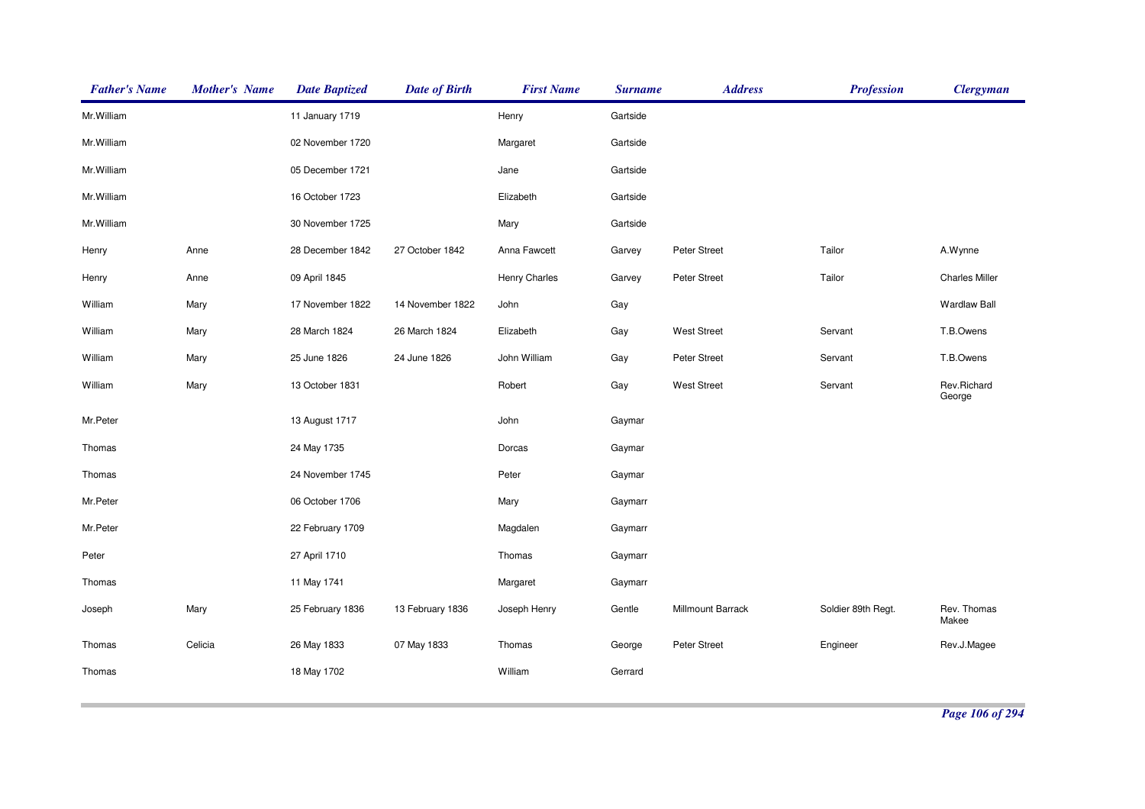| <b>Father's Name</b> | <b>Mother's Name</b> | <b>Date Baptized</b> | <b>Date of Birth</b> | <b>First Name</b> | <b>Surname</b> | <b>Address</b>     | <b>Profession</b>  | <b>Clergyman</b>      |
|----------------------|----------------------|----------------------|----------------------|-------------------|----------------|--------------------|--------------------|-----------------------|
| Mr.William           |                      | 11 January 1719      |                      | Henry             | Gartside       |                    |                    |                       |
| Mr. William          |                      | 02 November 1720     |                      | Margaret          | Gartside       |                    |                    |                       |
| Mr.William           |                      | 05 December 1721     |                      | Jane              | Gartside       |                    |                    |                       |
| Mr. William          |                      | 16 October 1723      |                      | Elizabeth         | Gartside       |                    |                    |                       |
| Mr.William           |                      | 30 November 1725     |                      | Mary              | Gartside       |                    |                    |                       |
| Henry                | Anne                 | 28 December 1842     | 27 October 1842      | Anna Fawcett      | Garvey         | Peter Street       | Tailor             | A.Wynne               |
| Henry                | Anne                 | 09 April 1845        |                      | Henry Charles     | Garvey         | Peter Street       | Tailor             | <b>Charles Miller</b> |
| William              | Mary                 | 17 November 1822     | 14 November 1822     | John              | Gay            |                    |                    | <b>Wardlaw Ball</b>   |
| William              | Mary                 | 28 March 1824        | 26 March 1824        | Elizabeth         | Gay            | <b>West Street</b> | Servant            | T.B.Owens             |
| William              | Mary                 | 25 June 1826         | 24 June 1826         | John William      | Gay            | Peter Street       | Servant            | T.B.Owens             |
| William              | Mary                 | 13 October 1831      |                      | Robert            | Gay            | <b>West Street</b> | Servant            | Rev.Richard<br>George |
| Mr.Peter             |                      | 13 August 1717       |                      | John              | Gaymar         |                    |                    |                       |
| Thomas               |                      | 24 May 1735          |                      | Dorcas            | Gaymar         |                    |                    |                       |
| Thomas               |                      | 24 November 1745     |                      | Peter             | Gaymar         |                    |                    |                       |
| Mr.Peter             |                      | 06 October 1706      |                      | Mary              | Gaymarr        |                    |                    |                       |
| Mr.Peter             |                      | 22 February 1709     |                      | Magdalen          | Gaymarr        |                    |                    |                       |
| Peter                |                      | 27 April 1710        |                      | Thomas            | Gaymarr        |                    |                    |                       |
| Thomas               |                      | 11 May 1741          |                      | Margaret          | Gaymarr        |                    |                    |                       |
| Joseph               | Mary                 | 25 February 1836     | 13 February 1836     | Joseph Henry      | Gentle         | Millmount Barrack  | Soldier 89th Regt. | Rev. Thomas<br>Makee  |
| Thomas               | Celicia              | 26 May 1833          | 07 May 1833          | Thomas            | George         | Peter Street       | Engineer           | Rev.J.Magee           |
| Thomas               |                      | 18 May 1702          |                      | William           | Gerrard        |                    |                    |                       |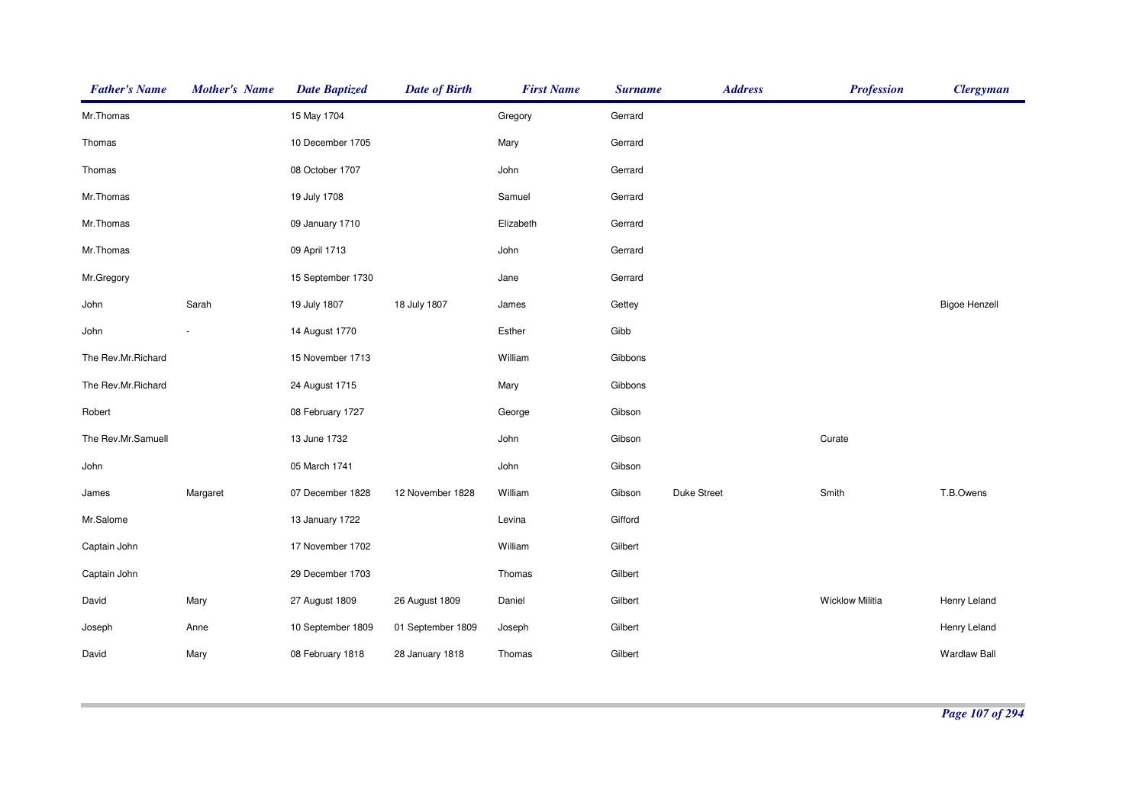| <b>Father's Name</b> | <b>Mother's Name</b> | <b>Date Baptized</b> | <b>Date of Birth</b> | <b>First Name</b> | <b>Surname</b> | <b>Address</b>     | <b>Profession</b>      | <b>Clergyman</b>     |
|----------------------|----------------------|----------------------|----------------------|-------------------|----------------|--------------------|------------------------|----------------------|
| Mr.Thomas            |                      | 15 May 1704          |                      | Gregory           | Gerrard        |                    |                        |                      |
| Thomas               |                      | 10 December 1705     |                      | Mary              | Gerrard        |                    |                        |                      |
| Thomas               |                      | 08 October 1707      |                      | John              | Gerrard        |                    |                        |                      |
| Mr.Thomas            |                      | 19 July 1708         |                      | Samuel            | Gerrard        |                    |                        |                      |
| Mr.Thomas            |                      | 09 January 1710      |                      | Elizabeth         | Gerrard        |                    |                        |                      |
| Mr.Thomas            |                      | 09 April 1713        |                      | John              | Gerrard        |                    |                        |                      |
| Mr.Gregory           |                      | 15 September 1730    |                      | Jane              | Gerrard        |                    |                        |                      |
| John                 | Sarah                | 19 July 1807         | 18 July 1807         | James             | Gettey         |                    |                        | <b>Bigoe Henzell</b> |
| John                 |                      | 14 August 1770       |                      | Esther            | Gibb           |                    |                        |                      |
| The Rev.Mr.Richard   |                      | 15 November 1713     |                      | William           | Gibbons        |                    |                        |                      |
| The Rev.Mr.Richard   |                      | 24 August 1715       |                      | Mary              | Gibbons        |                    |                        |                      |
| Robert               |                      | 08 February 1727     |                      | George            | Gibson         |                    |                        |                      |
| The Rev.Mr.Samuell   |                      | 13 June 1732         |                      | John              | Gibson         |                    | Curate                 |                      |
| John                 |                      | 05 March 1741        |                      | John              | Gibson         |                    |                        |                      |
| James                | Margaret             | 07 December 1828     | 12 November 1828     | William           | Gibson         | <b>Duke Street</b> | Smith                  | T.B.Owens            |
| Mr.Salome            |                      | 13 January 1722      |                      | Levina            | Gifford        |                    |                        |                      |
| Captain John         |                      | 17 November 1702     |                      | William           | Gilbert        |                    |                        |                      |
| Captain John         |                      | 29 December 1703     |                      | Thomas            | Gilbert        |                    |                        |                      |
| David                | Mary                 | 27 August 1809       | 26 August 1809       | Daniel            | Gilbert        |                    | <b>Wicklow Militia</b> | Henry Leland         |
| Joseph               | Anne                 | 10 September 1809    | 01 September 1809    | Joseph            | Gilbert        |                    |                        | Henry Leland         |
| David                | Mary                 | 08 February 1818     | 28 January 1818      | Thomas            | Gilbert        |                    |                        | <b>Wardlaw Ball</b>  |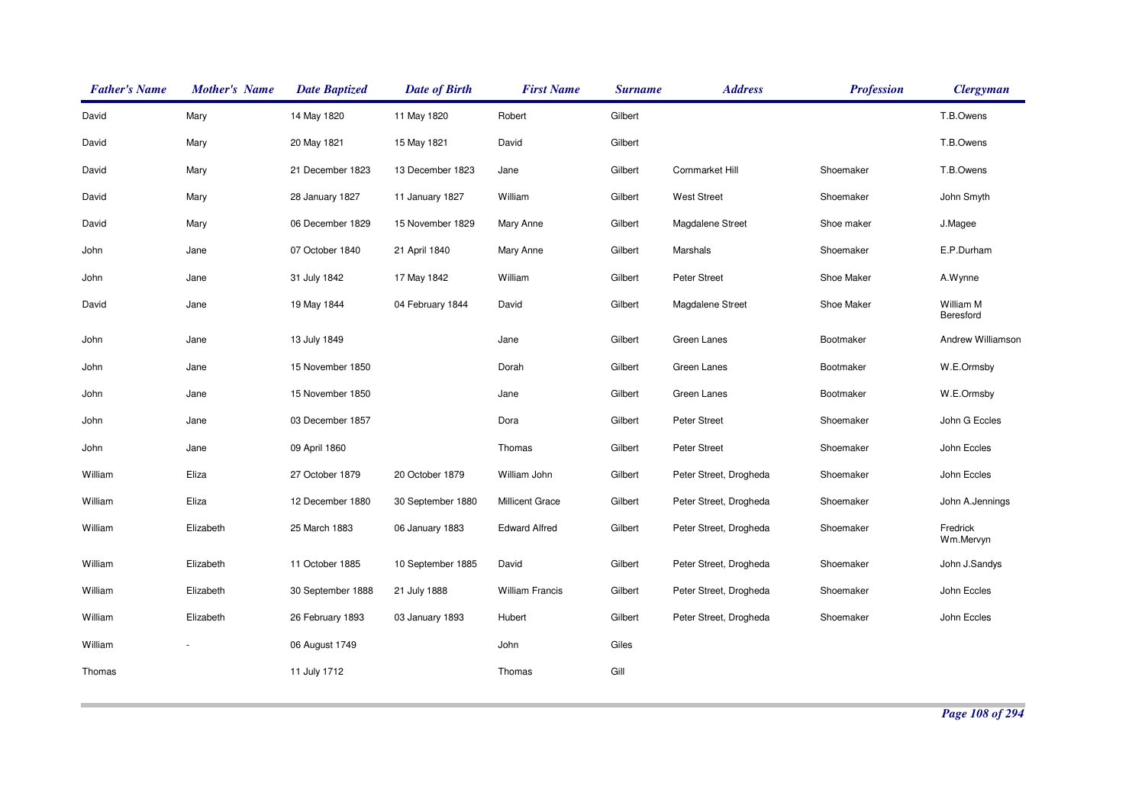| <b>Father's Name</b> | <b>Mother's Name</b> | <b>Date Baptized</b> | <b>Date of Birth</b> | <b>First Name</b>      | <b>Surname</b> | <b>Address</b>         | <b>Profession</b> | <b>Clergyman</b>       |
|----------------------|----------------------|----------------------|----------------------|------------------------|----------------|------------------------|-------------------|------------------------|
| David                | Mary                 | 14 May 1820          | 11 May 1820          | Robert                 | Gilbert        |                        |                   | T.B.Owens              |
| David                | Mary                 | 20 May 1821          | 15 May 1821          | David                  | Gilbert        |                        |                   | T.B.Owens              |
| David                | Mary                 | 21 December 1823     | 13 December 1823     | Jane                   | Gilbert        | Cornmarket Hill        | Shoemaker         | T.B.Owens              |
| David                | Mary                 | 28 January 1827      | 11 January 1827      | William                | Gilbert        | <b>West Street</b>     | Shoemaker         | John Smyth             |
| David                | Mary                 | 06 December 1829     | 15 November 1829     | Mary Anne              | Gilbert        | Magdalene Street       | Shoe maker        | J.Magee                |
| John                 | Jane                 | 07 October 1840      | 21 April 1840        | Mary Anne              | Gilbert        | Marshals               | Shoemaker         | E.P.Durham             |
| John                 | Jane                 | 31 July 1842         | 17 May 1842          | William                | Gilbert        | <b>Peter Street</b>    | Shoe Maker        | A.Wynne                |
| David                | Jane                 | 19 May 1844          | 04 February 1844     | David                  | Gilbert        | Magdalene Street       | Shoe Maker        | William M<br>Beresford |
| John                 | Jane                 | 13 July 1849         |                      | Jane                   | Gilbert        | Green Lanes            | Bootmaker         | Andrew Williamson      |
| John                 | Jane                 | 15 November 1850     |                      | Dorah                  | Gilbert        | Green Lanes            | Bootmaker         | W.E.Ormsby             |
| John                 | Jane                 | 15 November 1850     |                      | Jane                   | Gilbert        | Green Lanes            | Bootmaker         | W.E.Ormsby             |
| John                 | Jane                 | 03 December 1857     |                      | Dora                   | Gilbert        | <b>Peter Street</b>    | Shoemaker         | John G Eccles          |
| John                 | Jane                 | 09 April 1860        |                      | Thomas                 | Gilbert        | <b>Peter Street</b>    | Shoemaker         | John Eccles            |
| William              | Eliza                | 27 October 1879      | 20 October 1879      | William John           | Gilbert        | Peter Street, Drogheda | Shoemaker         | John Eccles            |
| William              | Eliza                | 12 December 1880     | 30 September 1880    | Millicent Grace        | Gilbert        | Peter Street, Drogheda | Shoemaker         | John A.Jennings        |
| William              | Elizabeth            | 25 March 1883        | 06 January 1883      | <b>Edward Alfred</b>   | Gilbert        | Peter Street, Drogheda | Shoemaker         | Fredrick<br>Wm.Mervyn  |
| William              | Elizabeth            | 11 October 1885      | 10 September 1885    | David                  | Gilbert        | Peter Street, Drogheda | Shoemaker         | John J.Sandys          |
| William              | Elizabeth            | 30 September 1888    | 21 July 1888         | <b>William Francis</b> | Gilbert        | Peter Street, Drogheda | Shoemaker         | John Eccles            |
| William              | Elizabeth            | 26 February 1893     | 03 January 1893      | Hubert                 | Gilbert        | Peter Street, Drogheda | Shoemaker         | John Eccles            |
| William              |                      | 06 August 1749       |                      | John                   | Giles          |                        |                   |                        |
| Thomas               |                      | 11 July 1712         |                      | Thomas                 | Gill           |                        |                   |                        |
|                      |                      |                      |                      |                        |                |                        |                   |                        |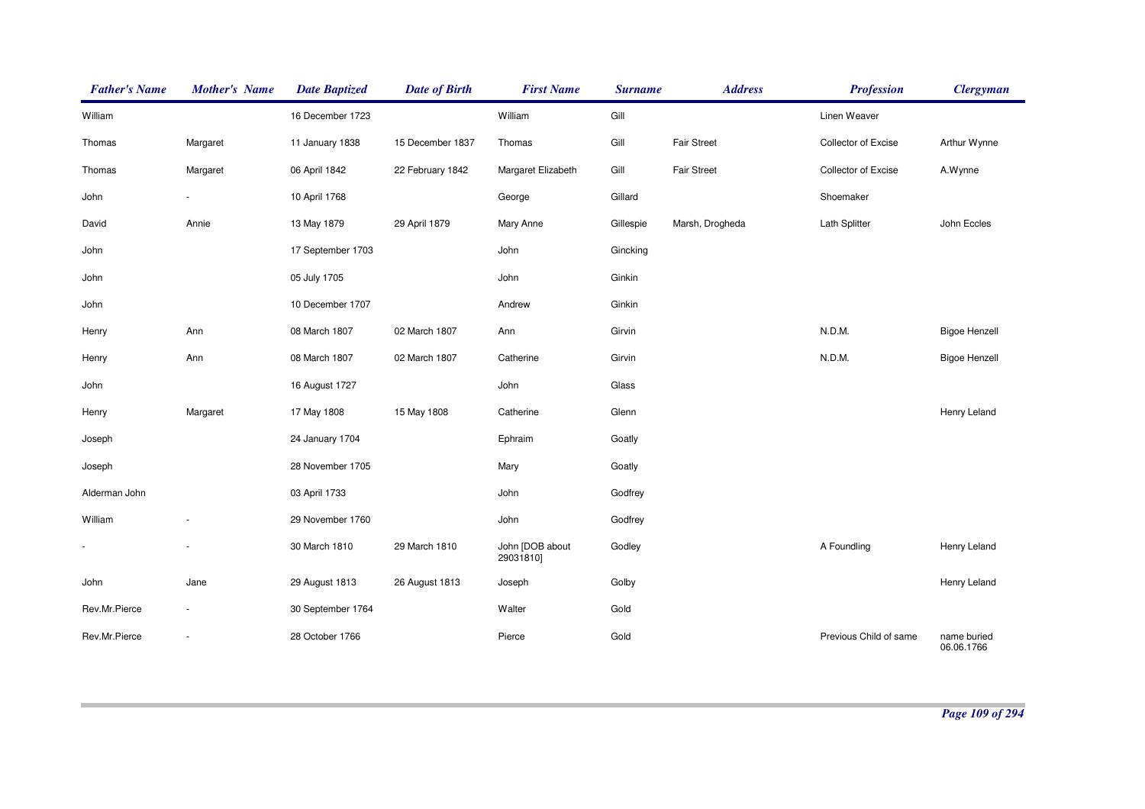| <b>Father's Name</b> | <b>Mother's Name</b> | <b>Date Baptized</b> | <b>Date of Birth</b> | <b>First Name</b>            | <b>Surname</b> | <b>Address</b>     | <b>Profession</b>      | <b>Clergyman</b>          |
|----------------------|----------------------|----------------------|----------------------|------------------------------|----------------|--------------------|------------------------|---------------------------|
| William              |                      | 16 December 1723     |                      | William                      | Gill           |                    | Linen Weaver           |                           |
| Thomas               | Margaret             | 11 January 1838      | 15 December 1837     | Thomas                       | Gill           | <b>Fair Street</b> | Collector of Excise    | Arthur Wynne              |
| Thomas               | Margaret             | 06 April 1842        | 22 February 1842     | Margaret Elizabeth           | Gill           | <b>Fair Street</b> | Collector of Excise    | A.Wynne                   |
| John                 |                      | 10 April 1768        |                      | George                       | Gillard        |                    | Shoemaker              |                           |
| David                | Annie                | 13 May 1879          | 29 April 1879        | Mary Anne                    | Gillespie      | Marsh, Drogheda    | Lath Splitter          | John Eccles               |
| John                 |                      | 17 September 1703    |                      | John                         | Gincking       |                    |                        |                           |
| John                 |                      | 05 July 1705         |                      | John                         | Ginkin         |                    |                        |                           |
| John                 |                      | 10 December 1707     |                      | Andrew                       | Ginkin         |                    |                        |                           |
| Henry                | Ann                  | 08 March 1807        | 02 March 1807        | Ann                          | Girvin         |                    | N.D.M.                 | <b>Bigoe Henzell</b>      |
| Henry                | Ann                  | 08 March 1807        | 02 March 1807        | Catherine                    | Girvin         |                    | N.D.M.                 | <b>Bigoe Henzell</b>      |
| John                 |                      | 16 August 1727       |                      | John                         | Glass          |                    |                        |                           |
| Henry                | Margaret             | 17 May 1808          | 15 May 1808          | Catherine                    | Glenn          |                    |                        | Henry Leland              |
| Joseph               |                      | 24 January 1704      |                      | Ephraim                      | Goatly         |                    |                        |                           |
| Joseph               |                      | 28 November 1705     |                      | Mary                         | Goatly         |                    |                        |                           |
| Alderman John        |                      | 03 April 1733        |                      | John                         | Godfrey        |                    |                        |                           |
| William              |                      | 29 November 1760     |                      | John                         | Godfrey        |                    |                        |                           |
|                      |                      | 30 March 1810        | 29 March 1810        | John [DOB about<br>29031810] | Godley         |                    | A Foundling            | Henry Leland              |
| John                 | Jane                 | 29 August 1813       | 26 August 1813       | Joseph                       | Golby          |                    |                        | Henry Leland              |
| Rev.Mr.Pierce        |                      | 30 September 1764    |                      | Walter                       | Gold           |                    |                        |                           |
| Rev.Mr.Pierce        |                      | 28 October 1766      |                      | Pierce                       | Gold           |                    | Previous Child of same | name buried<br>06.06.1766 |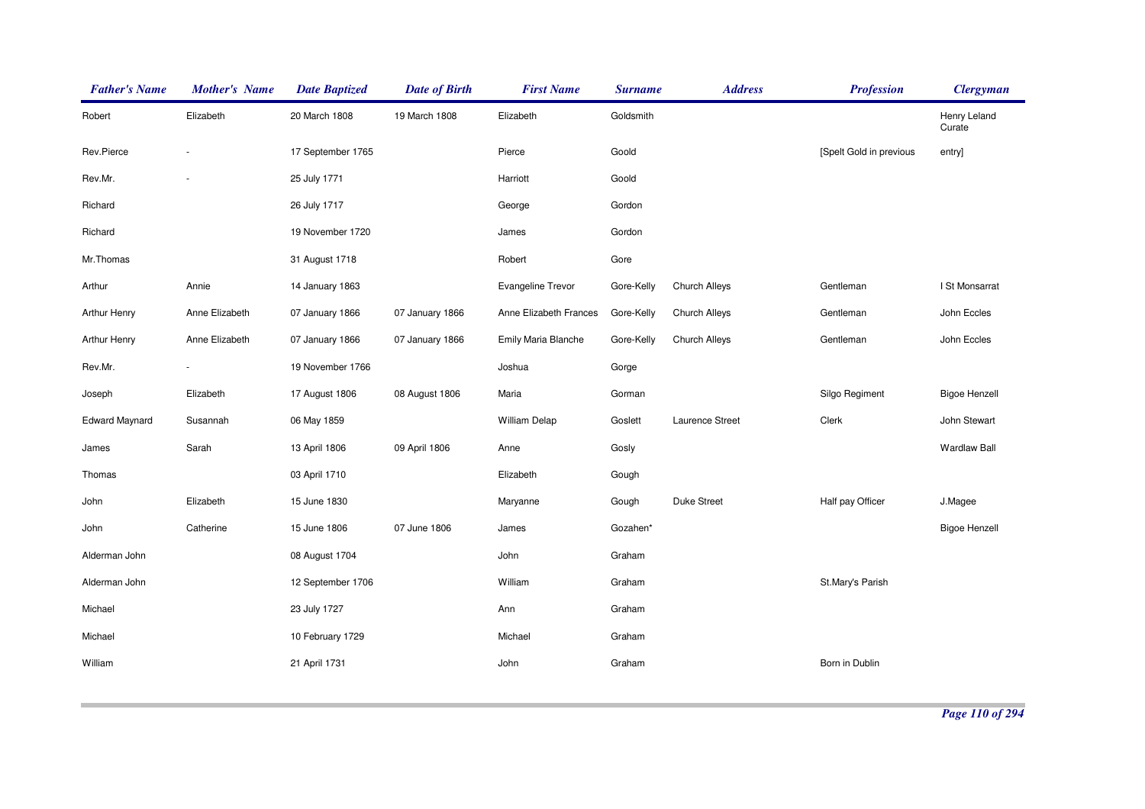| <b>Father's Name</b>  | <b>Mother's Name</b> | <b>Date Baptized</b> | <b>Date of Birth</b> | <b>First Name</b>      | <b>Surname</b> | <b>Address</b>       | <b>Profession</b>       | <b>Clergyman</b>       |
|-----------------------|----------------------|----------------------|----------------------|------------------------|----------------|----------------------|-------------------------|------------------------|
| Robert                | Elizabeth            | 20 March 1808        | 19 March 1808        | Elizabeth              | Goldsmith      |                      |                         | Henry Leland<br>Curate |
| Rev.Pierce            | ×.                   | 17 September 1765    |                      | Pierce                 | Goold          |                      | [Spelt Gold in previous | entry]                 |
| Rev.Mr.               | ÷,                   | 25 July 1771         |                      | Harriott               | Goold          |                      |                         |                        |
| Richard               |                      | 26 July 1717         |                      | George                 | Gordon         |                      |                         |                        |
| Richard               |                      | 19 November 1720     |                      | James                  | Gordon         |                      |                         |                        |
| Mr.Thomas             |                      | 31 August 1718       |                      | Robert                 | Gore           |                      |                         |                        |
| Arthur                | Annie                | 14 January 1863      |                      | Evangeline Trevor      | Gore-Kelly     | Church Alleys        | Gentleman               | I St Monsarrat         |
| Arthur Henry          | Anne Elizabeth       | 07 January 1866      | 07 January 1866      | Anne Elizabeth Frances | Gore-Kelly     | Church Alleys        | Gentleman               | John Eccles            |
| Arthur Henry          | Anne Elizabeth       | 07 January 1866      | 07 January 1866      | Emily Maria Blanche    | Gore-Kelly     | <b>Church Alleys</b> | Gentleman               | John Eccles            |
| Rev.Mr.               |                      | 19 November 1766     |                      | Joshua                 | Gorge          |                      |                         |                        |
| Joseph                | Elizabeth            | 17 August 1806       | 08 August 1806       | Maria                  | Gorman         |                      | Silgo Regiment          | <b>Bigoe Henzell</b>   |
| <b>Edward Maynard</b> | Susannah             | 06 May 1859          |                      | <b>William Delap</b>   | Goslett        | Laurence Street      | Clerk                   | John Stewart           |
| James                 | Sarah                | 13 April 1806        | 09 April 1806        | Anne                   | Gosly          |                      |                         | <b>Wardlaw Ball</b>    |
| Thomas                |                      | 03 April 1710        |                      | Elizabeth              | Gough          |                      |                         |                        |
| John                  | Elizabeth            | 15 June 1830         |                      | Maryanne               | Gough          | Duke Street          | Half pay Officer        | J.Magee                |
| John                  | Catherine            | 15 June 1806         | 07 June 1806         | James                  | Gozahen*       |                      |                         | <b>Bigoe Henzell</b>   |
| Alderman John         |                      | 08 August 1704       |                      | John                   | Graham         |                      |                         |                        |
| Alderman John         |                      | 12 September 1706    |                      | William                | Graham         |                      | St.Mary's Parish        |                        |
| Michael               |                      | 23 July 1727         |                      | Ann                    | Graham         |                      |                         |                        |
| Michael               |                      | 10 February 1729     |                      | Michael                | Graham         |                      |                         |                        |
| William               |                      | 21 April 1731        |                      | John                   | Graham         |                      | Born in Dublin          |                        |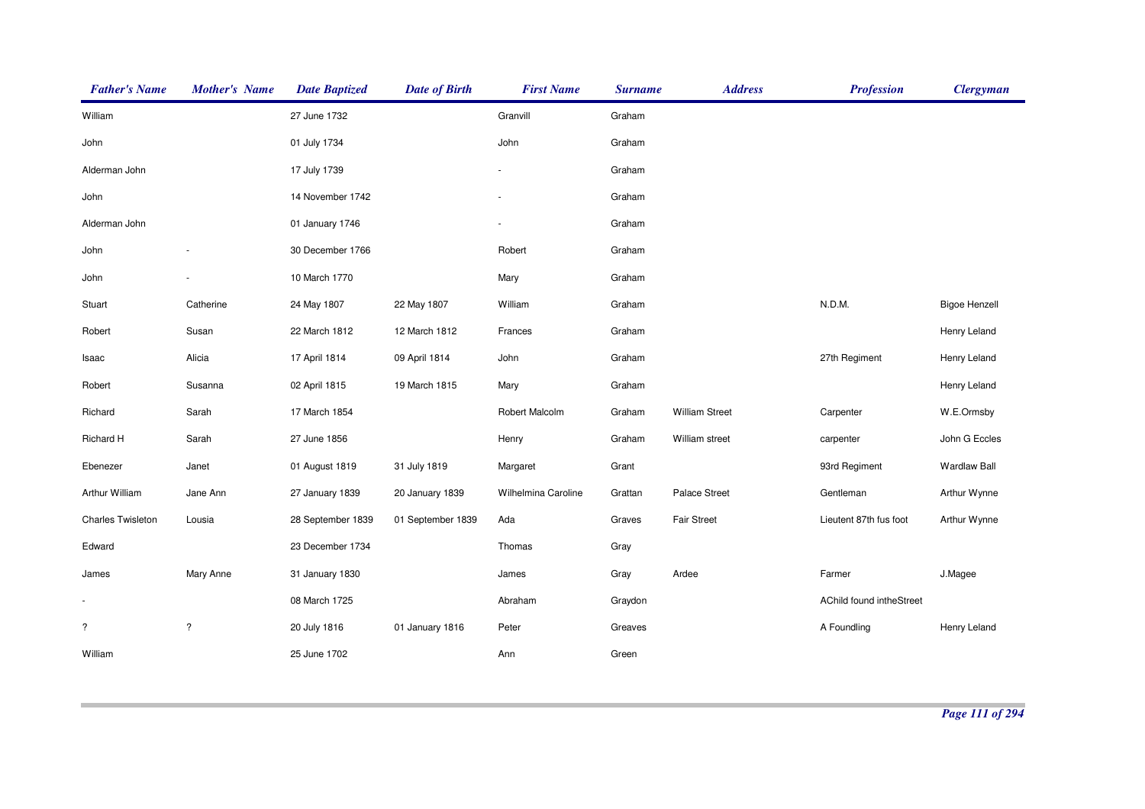| <b>Father's Name</b>     | <b>Mother's Name</b>     | <b>Date Baptized</b> | <b>Date of Birth</b> | <b>First Name</b>   | <b>Surname</b> | <b>Address</b>        | <b>Profession</b>        | <b>Clergyman</b>     |
|--------------------------|--------------------------|----------------------|----------------------|---------------------|----------------|-----------------------|--------------------------|----------------------|
| William                  |                          | 27 June 1732         |                      | Granvill            | Graham         |                       |                          |                      |
| John                     |                          | 01 July 1734         |                      | John                | Graham         |                       |                          |                      |
| Alderman John            |                          | 17 July 1739         |                      |                     | Graham         |                       |                          |                      |
| John                     |                          | 14 November 1742     |                      |                     | Graham         |                       |                          |                      |
| Alderman John            |                          | 01 January 1746      |                      |                     | Graham         |                       |                          |                      |
| John                     |                          | 30 December 1766     |                      | Robert              | Graham         |                       |                          |                      |
| John                     |                          | 10 March 1770        |                      | Mary                | Graham         |                       |                          |                      |
| Stuart                   | Catherine                | 24 May 1807          | 22 May 1807          | William             | Graham         |                       | N.D.M.                   | <b>Bigoe Henzell</b> |
| Robert                   | Susan                    | 22 March 1812        | 12 March 1812        | Frances             | Graham         |                       |                          | Henry Leland         |
| Isaac                    | Alicia                   | 17 April 1814        | 09 April 1814        | John                | Graham         |                       | 27th Regiment            | Henry Leland         |
| Robert                   | Susanna                  | 02 April 1815        | 19 March 1815        | Mary                | Graham         |                       |                          | Henry Leland         |
| Richard                  | Sarah                    | 17 March 1854        |                      | Robert Malcolm      | Graham         | <b>William Street</b> | Carpenter                | W.E.Ormsby           |
| Richard H                | Sarah                    | 27 June 1856         |                      | Henry               | Graham         | William street        | carpenter                | John G Eccles        |
| Ebenezer                 | Janet                    | 01 August 1819       | 31 July 1819         | Margaret            | Grant          |                       | 93rd Regiment            | <b>Wardlaw Ball</b>  |
| Arthur William           | Jane Ann                 | 27 January 1839      | 20 January 1839      | Wilhelmina Caroline | Grattan        | Palace Street         | Gentleman                | Arthur Wynne         |
| <b>Charles Twisleton</b> | Lousia                   | 28 September 1839    | 01 September 1839    | Ada                 | Graves         | <b>Fair Street</b>    | Lieutent 87th fus foot   | Arthur Wynne         |
| Edward                   |                          | 23 December 1734     |                      | Thomas              | Gray           |                       |                          |                      |
| James                    | Mary Anne                | 31 January 1830      |                      | James               | Gray           | Ardee                 | Farmer                   | J.Magee              |
| $\blacksquare$           |                          | 08 March 1725        |                      | Abraham             | Graydon        |                       | AChild found intheStreet |                      |
| $\ddot{?}$               | $\overline{\phantom{a}}$ | 20 July 1816         | 01 January 1816      | Peter               | Greaves        |                       | A Foundling              | Henry Leland         |
| William                  |                          | 25 June 1702         |                      | Ann                 | Green          |                       |                          |                      |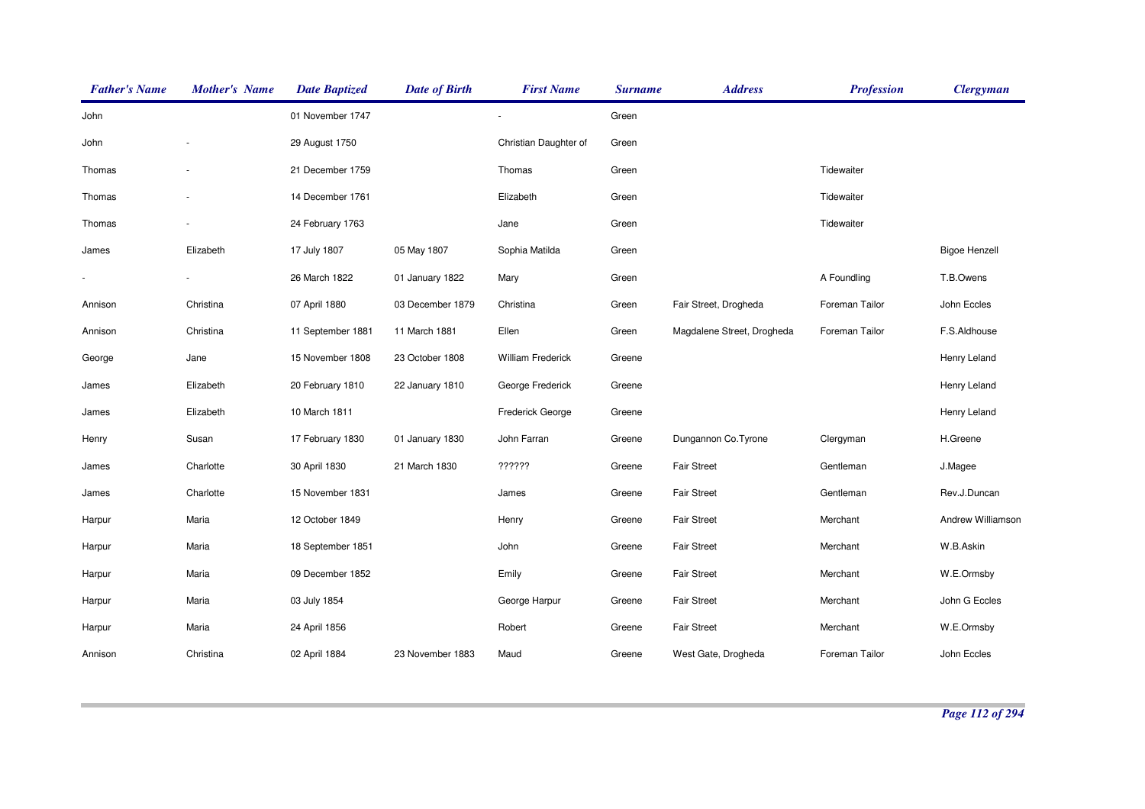| <b>Father's Name</b> | <b>Mother's Name</b> | <b>Date Baptized</b> | <b>Date of Birth</b> | <b>First Name</b>        | <b>Surname</b> | <b>Address</b>             | <b>Profession</b> | <b>Clergyman</b>     |
|----------------------|----------------------|----------------------|----------------------|--------------------------|----------------|----------------------------|-------------------|----------------------|
| John                 |                      | 01 November 1747     |                      |                          | Green          |                            |                   |                      |
| John                 |                      | 29 August 1750       |                      | Christian Daughter of    | Green          |                            |                   |                      |
| Thomas               |                      | 21 December 1759     |                      | Thomas                   | Green          |                            | Tidewaiter        |                      |
| Thomas               |                      | 14 December 1761     |                      | Elizabeth                | Green          |                            | Tidewaiter        |                      |
| Thomas               |                      | 24 February 1763     |                      | Jane                     | Green          |                            | Tidewaiter        |                      |
| James                | Elizabeth            | 17 July 1807         | 05 May 1807          | Sophia Matilda           | Green          |                            |                   | <b>Bigoe Henzell</b> |
|                      |                      | 26 March 1822        | 01 January 1822      | Mary                     | Green          |                            | A Foundling       | T.B.Owens            |
| Annison              | Christina            | 07 April 1880        | 03 December 1879     | Christina                | Green          | Fair Street, Drogheda      | Foreman Tailor    | John Eccles          |
| Annison              | Christina            | 11 September 1881    | 11 March 1881        | Ellen                    | Green          | Magdalene Street, Drogheda | Foreman Tailor    | F.S.Aldhouse         |
| George               | Jane                 | 15 November 1808     | 23 October 1808      | <b>William Frederick</b> | Greene         |                            |                   | Henry Leland         |
| James                | Elizabeth            | 20 February 1810     | 22 January 1810      | George Frederick         | Greene         |                            |                   | Henry Leland         |
| James                | Elizabeth            | 10 March 1811        |                      | Frederick George         | Greene         |                            |                   | Henry Leland         |
| Henry                | Susan                | 17 February 1830     | 01 January 1830      | John Farran              | Greene         | Dungannon Co. Tyrone       | Clergyman         | H.Greene             |
| James                | Charlotte            | 30 April 1830        | 21 March 1830        | ??????                   | Greene         | <b>Fair Street</b>         | Gentleman         | J.Magee              |
| James                | Charlotte            | 15 November 1831     |                      | James                    | Greene         | <b>Fair Street</b>         | Gentleman         | Rev.J.Duncan         |
| Harpur               | Maria                | 12 October 1849      |                      | Henry                    | Greene         | <b>Fair Street</b>         | Merchant          | Andrew Williamson    |
| Harpur               | Maria                | 18 September 1851    |                      | John                     | Greene         | <b>Fair Street</b>         | Merchant          | W.B.Askin            |
| Harpur               | Maria                | 09 December 1852     |                      | Emily                    | Greene         | <b>Fair Street</b>         | Merchant          | W.E.Ormsby           |
| Harpur               | Maria                | 03 July 1854         |                      | George Harpur            | Greene         | <b>Fair Street</b>         | Merchant          | John G Eccles        |
| Harpur               | Maria                | 24 April 1856        |                      | Robert                   | Greene         | <b>Fair Street</b>         | Merchant          | W.E.Ormsby           |
| Annison              | Christina            | 02 April 1884        | 23 November 1883     | Maud                     | Greene         | West Gate, Drogheda        | Foreman Tailor    | John Eccles          |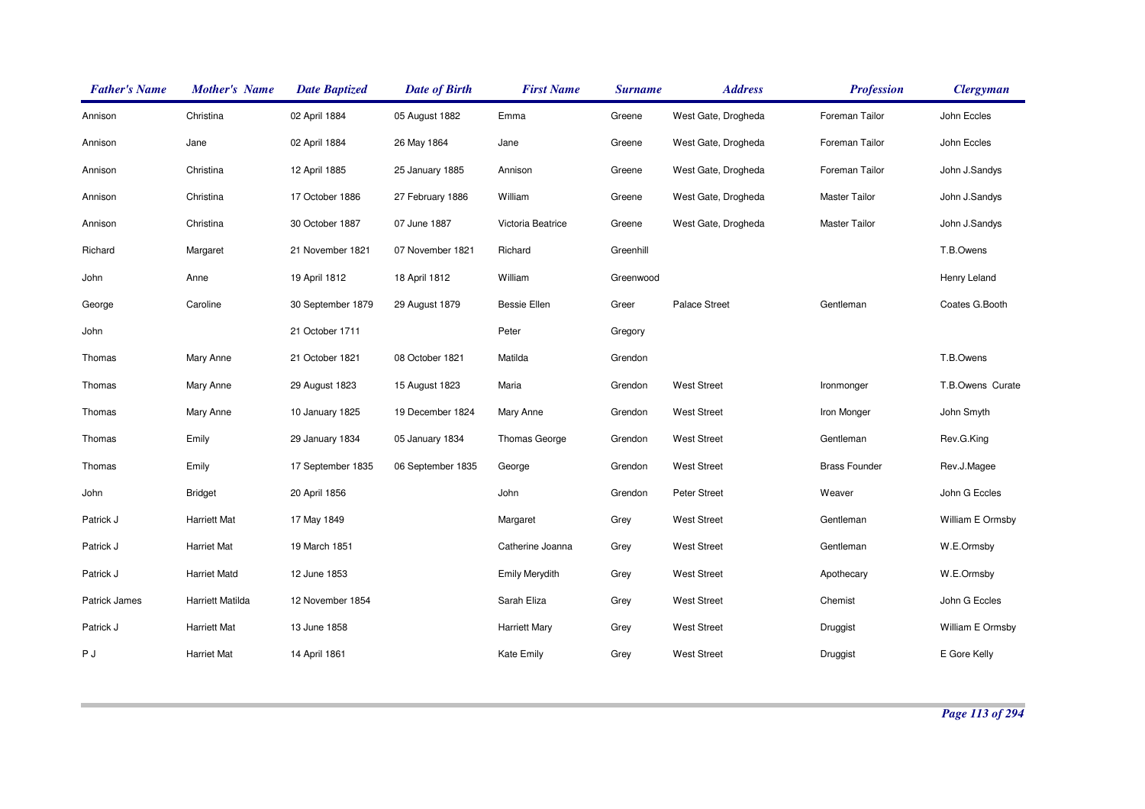| <b>Father's Name</b> | <b>Mother's Name</b> | <b>Date Baptized</b> | <b>Date of Birth</b> | <b>First Name</b>     | <b>Surname</b> | <b>Address</b>      | <b>Profession</b>    | <b>Clergyman</b> |
|----------------------|----------------------|----------------------|----------------------|-----------------------|----------------|---------------------|----------------------|------------------|
| Annison              | Christina            | 02 April 1884        | 05 August 1882       | Emma                  | Greene         | West Gate, Drogheda | Foreman Tailor       | John Eccles      |
| Annison              | Jane                 | 02 April 1884        | 26 May 1864          | Jane                  | Greene         | West Gate, Drogheda | Foreman Tailor       | John Eccles      |
| Annison              | Christina            | 12 April 1885        | 25 January 1885      | Annison               | Greene         | West Gate, Drogheda | Foreman Tailor       | John J.Sandys    |
| Annison              | Christina            | 17 October 1886      | 27 February 1886     | William               | Greene         | West Gate, Drogheda | <b>Master Tailor</b> | John J.Sandys    |
| Annison              | Christina            | 30 October 1887      | 07 June 1887         | Victoria Beatrice     | Greene         | West Gate, Drogheda | Master Tailor        | John J.Sandys    |
| Richard              | Margaret             | 21 November 1821     | 07 November 1821     | Richard               | Greenhill      |                     |                      | T.B.Owens        |
| John                 | Anne                 | 19 April 1812        | 18 April 1812        | William               | Greenwood      |                     |                      | Henry Leland     |
| George               | Caroline             | 30 September 1879    | 29 August 1879       | <b>Bessie Ellen</b>   | Greer          | Palace Street       | Gentleman            | Coates G.Booth   |
| John                 |                      | 21 October 1711      |                      | Peter                 | Gregory        |                     |                      |                  |
| Thomas               | Mary Anne            | 21 October 1821      | 08 October 1821      | Matilda               | Grendon        |                     |                      | T.B.Owens        |
| Thomas               | Mary Anne            | 29 August 1823       | 15 August 1823       | Maria                 | Grendon        | <b>West Street</b>  | Ironmonger           | T.B.Owens Curate |
| Thomas               | Mary Anne            | 10 January 1825      | 19 December 1824     | Mary Anne             | Grendon        | <b>West Street</b>  | Iron Monger          | John Smyth       |
| Thomas               | Emily                | 29 January 1834      | 05 January 1834      | <b>Thomas George</b>  | Grendon        | <b>West Street</b>  | Gentleman            | Rev.G.King       |
| Thomas               | Emily                | 17 September 1835    | 06 September 1835    | George                | Grendon        | <b>West Street</b>  | <b>Brass Founder</b> | Rev.J.Magee      |
| John                 | <b>Bridget</b>       | 20 April 1856        |                      | John                  | Grendon        | Peter Street        | Weaver               | John G Eccles    |
| Patrick J            | <b>Harriett Mat</b>  | 17 May 1849          |                      | Margaret              | Grey           | <b>West Street</b>  | Gentleman            | William E Ormsby |
| Patrick J            | <b>Harriet Mat</b>   | 19 March 1851        |                      | Catherine Joanna      | Grey           | <b>West Street</b>  | Gentleman            | W.E.Ormsby       |
| Patrick J            | <b>Harriet Matd</b>  | 12 June 1853         |                      | <b>Emily Merydith</b> | Grey           | <b>West Street</b>  | Apothecary           | W.E.Ormsby       |
| <b>Patrick James</b> | Harriett Matilda     | 12 November 1854     |                      | Sarah Eliza           | Grey           | <b>West Street</b>  | Chemist              | John G Eccles    |
| Patrick J            | <b>Harriett Mat</b>  | 13 June 1858         |                      | <b>Harriett Mary</b>  | Grey           | <b>West Street</b>  | Druggist             | William E Ormsby |
| P J                  | <b>Harriet Mat</b>   | 14 April 1861        |                      | <b>Kate Emily</b>     | Grey           | <b>West Street</b>  | Druggist             | E Gore Kelly     |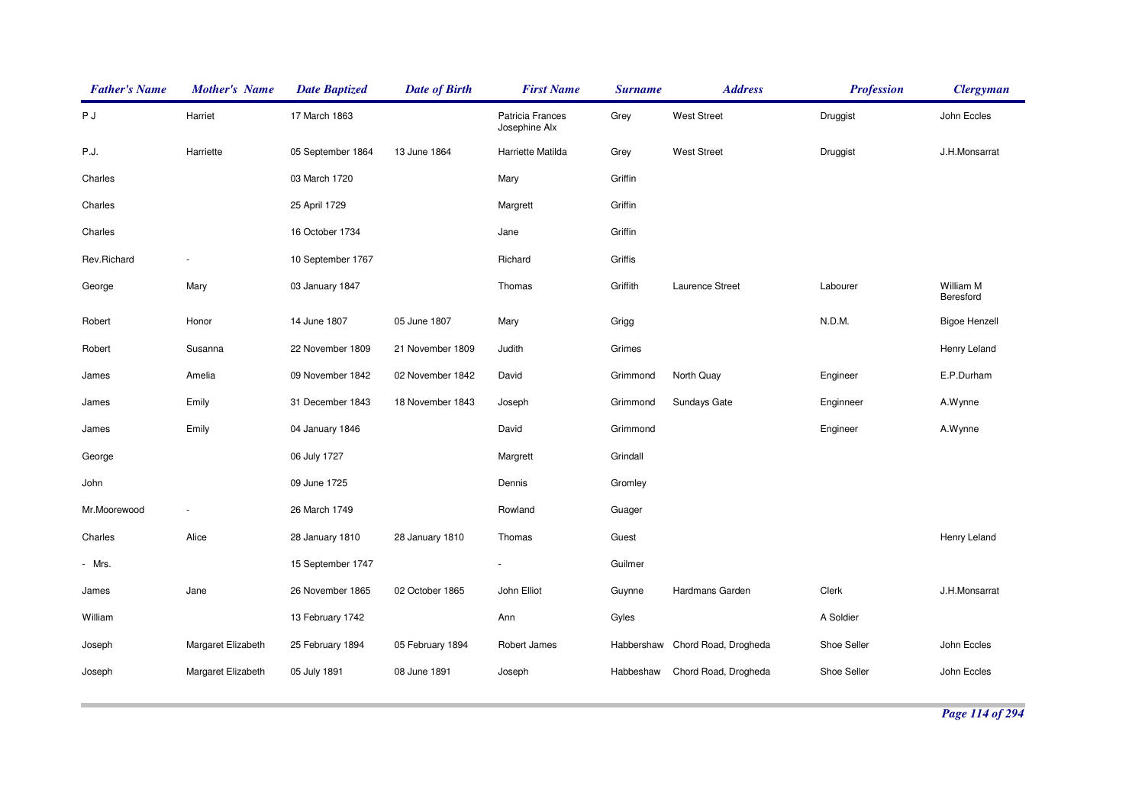| <b>Father's Name</b> | <b>Mother's Name</b> | <b>Date Baptized</b> | <b>Date of Birth</b> | <b>First Name</b>                 | <b>Surname</b> | <b>Address</b>                  | <b>Profession</b> | <b>Clergyman</b>       |
|----------------------|----------------------|----------------------|----------------------|-----------------------------------|----------------|---------------------------------|-------------------|------------------------|
| РJ                   | Harriet              | 17 March 1863        |                      | Patricia Frances<br>Josephine Alx | Grey           | <b>West Street</b>              | Druggist          | John Eccles            |
| P.J.                 | Harriette            | 05 September 1864    | 13 June 1864         | Harriette Matilda                 | Grey           | <b>West Street</b>              | Druggist          | J.H.Monsarrat          |
| Charles              |                      | 03 March 1720        |                      | Mary                              | Griffin        |                                 |                   |                        |
| Charles              |                      | 25 April 1729        |                      | Margrett                          | Griffin        |                                 |                   |                        |
| Charles              |                      | 16 October 1734      |                      | Jane                              | Griffin        |                                 |                   |                        |
| Rev.Richard          |                      | 10 September 1767    |                      | Richard                           | Griffis        |                                 |                   |                        |
| George               | Mary                 | 03 January 1847      |                      | Thomas                            | Griffith       | Laurence Street                 | Labourer          | William M<br>Beresford |
| Robert               | Honor                | 14 June 1807         | 05 June 1807         | Mary                              | Grigg          |                                 | N.D.M.            | <b>Bigoe Henzell</b>   |
| Robert               | Susanna              | 22 November 1809     | 21 November 1809     | Judith                            | Grimes         |                                 |                   | Henry Leland           |
| James                | Amelia               | 09 November 1842     | 02 November 1842     | David                             | Grimmond       | North Quay                      | Engineer          | E.P.Durham             |
| James                | Emily                | 31 December 1843     | 18 November 1843     | Joseph                            | Grimmond       | Sundays Gate                    | Enginneer         | A.Wynne                |
| James                | Emily                | 04 January 1846      |                      | David                             | Grimmond       |                                 | Engineer          | A.Wynne                |
| George               |                      | 06 July 1727         |                      | Margrett                          | Grindall       |                                 |                   |                        |
| John                 |                      | 09 June 1725         |                      | Dennis                            | Gromley        |                                 |                   |                        |
| Mr.Moorewood         |                      | 26 March 1749        |                      | Rowland                           | Guager         |                                 |                   |                        |
| Charles              | Alice                | 28 January 1810      | 28 January 1810      | Thomas                            | Guest          |                                 |                   | Henry Leland           |
| - Mrs.               |                      | 15 September 1747    |                      | ä,                                | Guilmer        |                                 |                   |                        |
| James                | Jane                 | 26 November 1865     | 02 October 1865      | John Elliot                       | Guynne         | Hardmans Garden                 | Clerk             | J.H.Monsarrat          |
| William              |                      | 13 February 1742     |                      | Ann                               | Gyles          |                                 | A Soldier         |                        |
| Joseph               | Margaret Elizabeth   | 25 February 1894     | 05 February 1894     | Robert James                      |                | Habbershaw Chord Road, Drogheda | Shoe Seller       | John Eccles            |
| Joseph               | Margaret Elizabeth   | 05 July 1891         | 08 June 1891         | Joseph                            | Habbeshaw      | Chord Road, Drogheda            | Shoe Seller       | John Eccles            |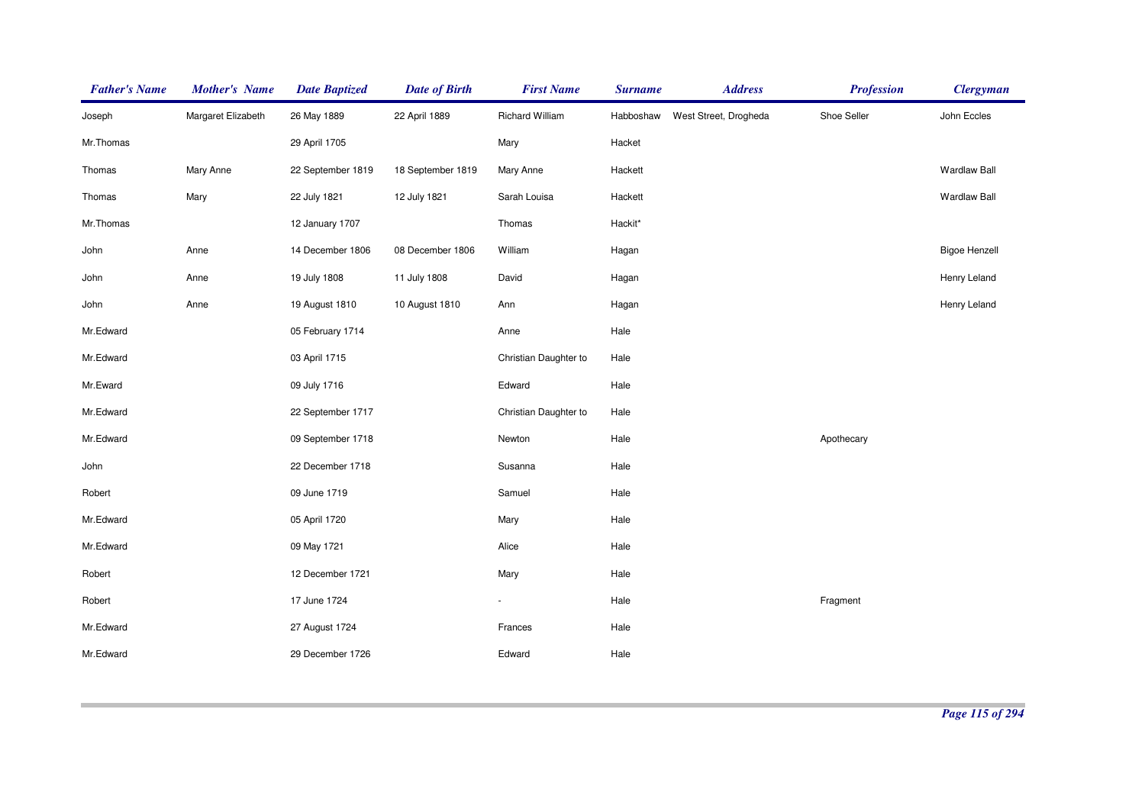| <b>Father's Name</b> | <b>Mother's Name</b> | <b>Date Baptized</b> | <b>Date of Birth</b> | <b>First Name</b>        | <b>Surname</b> | <b>Address</b>        | <b>Profession</b> | <b>Clergyman</b>     |
|----------------------|----------------------|----------------------|----------------------|--------------------------|----------------|-----------------------|-------------------|----------------------|
| Joseph               | Margaret Elizabeth   | 26 May 1889          | 22 April 1889        | Richard William          | Habboshaw      | West Street, Drogheda | Shoe Seller       | John Eccles          |
| Mr.Thomas            |                      | 29 April 1705        |                      | Mary                     | Hacket         |                       |                   |                      |
| Thomas               | Mary Anne            | 22 September 1819    | 18 September 1819    | Mary Anne                | Hackett        |                       |                   | <b>Wardlaw Ball</b>  |
| Thomas               | Mary                 | 22 July 1821         | 12 July 1821         | Sarah Louisa             | Hackett        |                       |                   | Wardlaw Ball         |
| Mr.Thomas            |                      | 12 January 1707      |                      | Thomas                   | Hackit*        |                       |                   |                      |
| John                 | Anne                 | 14 December 1806     | 08 December 1806     | William                  | Hagan          |                       |                   | <b>Bigoe Henzell</b> |
| John                 | Anne                 | 19 July 1808         | 11 July 1808         | David                    | Hagan          |                       |                   | Henry Leland         |
| John                 | Anne                 | 19 August 1810       | 10 August 1810       | Ann                      | Hagan          |                       |                   | Henry Leland         |
| Mr.Edward            |                      | 05 February 1714     |                      | Anne                     | Hale           |                       |                   |                      |
| Mr.Edward            |                      | 03 April 1715        |                      | Christian Daughter to    | Hale           |                       |                   |                      |
| Mr.Eward             |                      | 09 July 1716         |                      | Edward                   | Hale           |                       |                   |                      |
| Mr.Edward            |                      | 22 September 1717    |                      | Christian Daughter to    | Hale           |                       |                   |                      |
| Mr.Edward            |                      | 09 September 1718    |                      | Newton                   | Hale           |                       | Apothecary        |                      |
| John                 |                      | 22 December 1718     |                      | Susanna                  | Hale           |                       |                   |                      |
| Robert               |                      | 09 June 1719         |                      | Samuel                   | Hale           |                       |                   |                      |
| Mr.Edward            |                      | 05 April 1720        |                      | Mary                     | Hale           |                       |                   |                      |
| Mr.Edward            |                      | 09 May 1721          |                      | Alice                    | Hale           |                       |                   |                      |
| Robert               |                      | 12 December 1721     |                      | Mary                     | Hale           |                       |                   |                      |
| Robert               |                      | 17 June 1724         |                      | $\overline{\phantom{a}}$ | Hale           |                       | Fragment          |                      |
| Mr.Edward            |                      | 27 August 1724       |                      | Frances                  | Hale           |                       |                   |                      |
| Mr.Edward            |                      | 29 December 1726     |                      | Edward                   | Hale           |                       |                   |                      |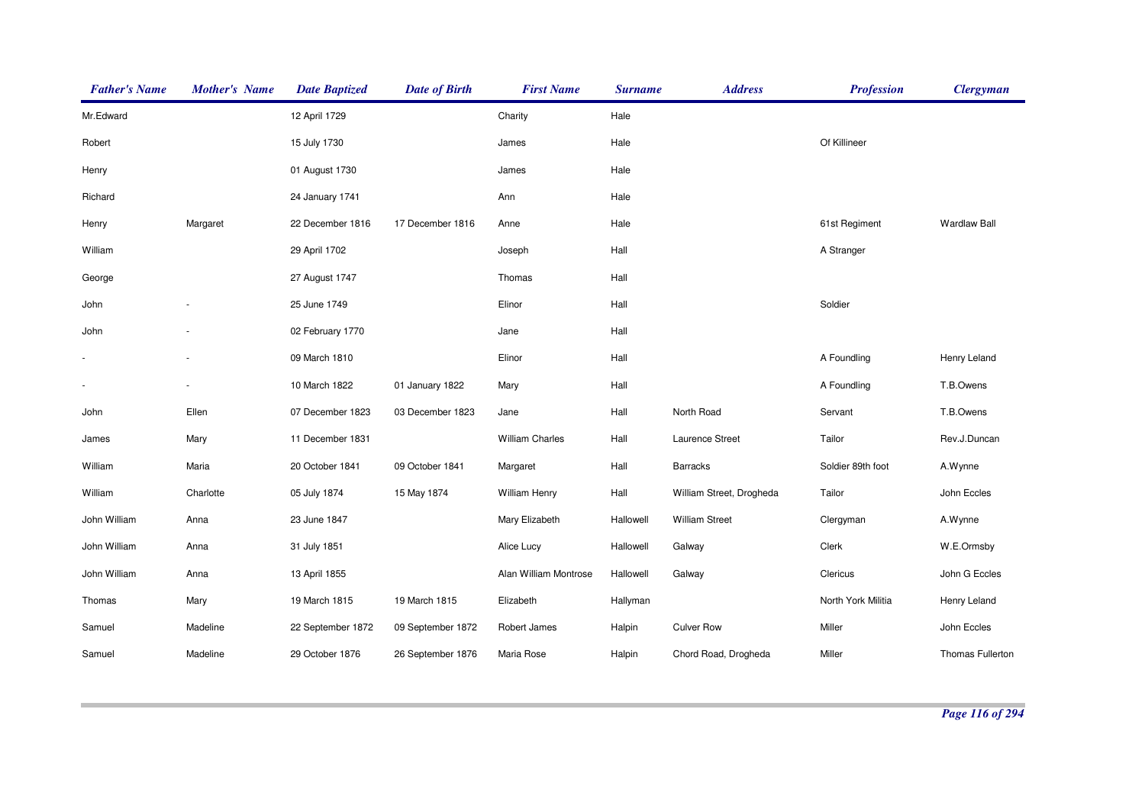| <b>Father's Name</b>     | <b>Mother's Name</b> | <b>Date Baptized</b> | <b>Date of Birth</b> | <b>First Name</b>      | <b>Surname</b> | <b>Address</b>           | <b>Profession</b>  | <b>Clergyman</b>    |
|--------------------------|----------------------|----------------------|----------------------|------------------------|----------------|--------------------------|--------------------|---------------------|
| Mr.Edward                |                      | 12 April 1729        |                      | Charity                | Hale           |                          |                    |                     |
| Robert                   |                      | 15 July 1730         |                      | James                  | Hale           |                          | Of Killineer       |                     |
| Henry                    |                      | 01 August 1730       |                      | James                  | Hale           |                          |                    |                     |
| Richard                  |                      | 24 January 1741      |                      | Ann                    | Hale           |                          |                    |                     |
| Henry                    | Margaret             | 22 December 1816     | 17 December 1816     | Anne                   | Hale           |                          | 61st Regiment      | <b>Wardlaw Ball</b> |
| William                  |                      | 29 April 1702        |                      | Joseph                 | Hall           |                          | A Stranger         |                     |
| George                   |                      | 27 August 1747       |                      | Thomas                 | Hall           |                          |                    |                     |
| John                     |                      | 25 June 1749         |                      | Elinor                 | Hall           |                          | Soldier            |                     |
| John                     |                      | 02 February 1770     |                      | Jane                   | Hall           |                          |                    |                     |
| $\blacksquare$           |                      | 09 March 1810        |                      | Elinor                 | Hall           |                          | A Foundling        | Henry Leland        |
| $\overline{\phantom{a}}$ |                      | 10 March 1822        | 01 January 1822      | Mary                   | Hall           |                          | A Foundling        | T.B.Owens           |
| John                     | Ellen                | 07 December 1823     | 03 December 1823     | Jane                   | Hall           | North Road               | Servant            | T.B.Owens           |
| James                    | Mary                 | 11 December 1831     |                      | <b>William Charles</b> | Hall           | Laurence Street          | Tailor             | Rev.J.Duncan        |
| William                  | Maria                | 20 October 1841      | 09 October 1841      | Margaret               | Hall           | <b>Barracks</b>          | Soldier 89th foot  | A.Wynne             |
| William                  | Charlotte            | 05 July 1874         | 15 May 1874          | <b>William Henry</b>   | Hall           | William Street, Drogheda | Tailor             | John Eccles         |
| John William             | Anna                 | 23 June 1847         |                      | Mary Elizabeth         | Hallowell      | <b>William Street</b>    | Clergyman          | A.Wynne             |
| John William             | Anna                 | 31 July 1851         |                      | Alice Lucy             | Hallowell      | Galway                   | Clerk              | W.E.Ormsby          |
| John William             | Anna                 | 13 April 1855        |                      | Alan William Montrose  | Hallowell      | Galway                   | Clericus           | John G Eccles       |
| Thomas                   | Mary                 | 19 March 1815        | 19 March 1815        | Elizabeth              | Hallyman       |                          | North York Militia | Henry Leland        |
| Samuel                   | Madeline             | 22 September 1872    | 09 September 1872    | Robert James           | Halpin         | <b>Culver Row</b>        | Miller             | John Eccles         |
| Samuel                   | Madeline             | 29 October 1876      | 26 September 1876    | Maria Rose             | Halpin         | Chord Road, Drogheda     | Miller             | Thomas Fullerton    |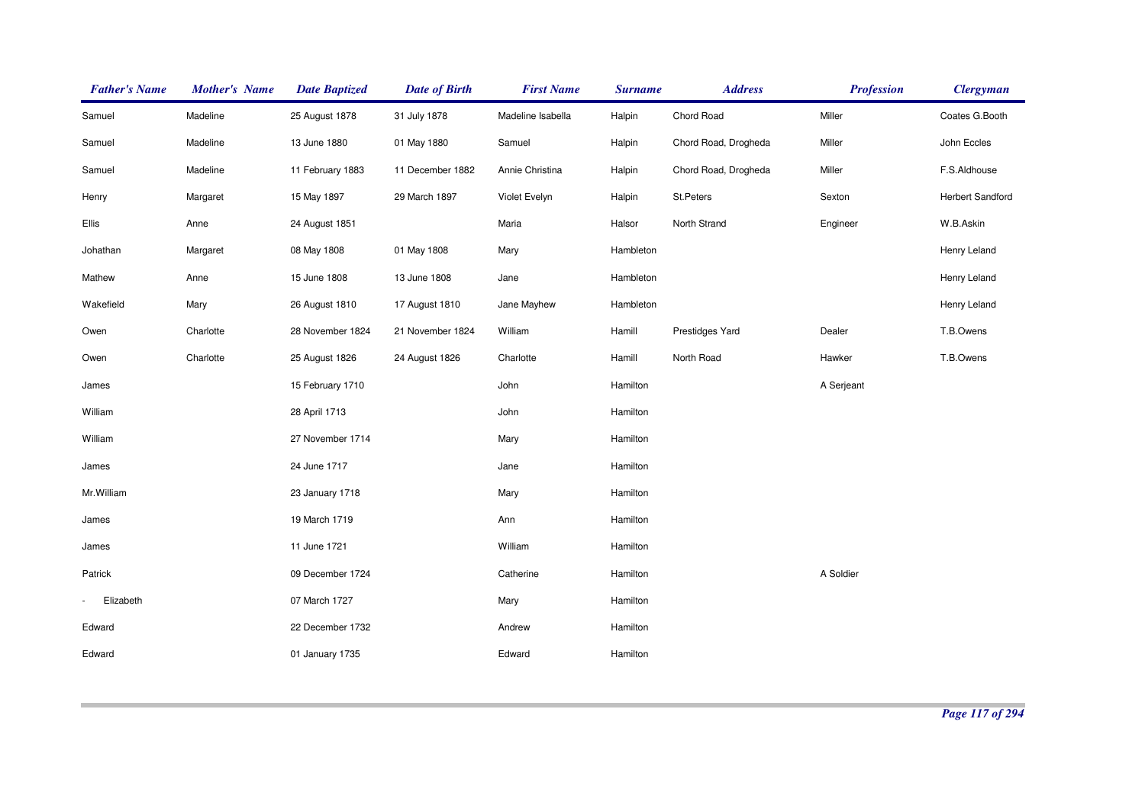| <b>Father's Name</b> | <b>Mother's Name</b> | <b>Date Baptized</b> | <b>Date of Birth</b> | <b>First Name</b> | <b>Surname</b> | <b>Address</b>       | <b>Profession</b> | <b>Clergyman</b>        |
|----------------------|----------------------|----------------------|----------------------|-------------------|----------------|----------------------|-------------------|-------------------------|
| Samuel               | Madeline             | 25 August 1878       | 31 July 1878         | Madeline Isabella | Halpin         | Chord Road           | Miller            | Coates G.Booth          |
| Samuel               | Madeline             | 13 June 1880         | 01 May 1880          | Samuel            | Halpin         | Chord Road, Drogheda | Miller            | John Eccles             |
| Samuel               | Madeline             | 11 February 1883     | 11 December 1882     | Annie Christina   | Halpin         | Chord Road, Drogheda | Miller            | F.S.Aldhouse            |
| Henry                | Margaret             | 15 May 1897          | 29 March 1897        | Violet Evelyn     | Halpin         | St.Peters            | Sexton            | <b>Herbert Sandford</b> |
| Ellis                | Anne                 | 24 August 1851       |                      | Maria             | Halsor         | North Strand         | Engineer          | W.B.Askin               |
| Johathan             | Margaret             | 08 May 1808          | 01 May 1808          | Mary              | Hambleton      |                      |                   | Henry Leland            |
| Mathew               | Anne                 | 15 June 1808         | 13 June 1808         | Jane              | Hambleton      |                      |                   | Henry Leland            |
| Wakefield            | Mary                 | 26 August 1810       | 17 August 1810       | Jane Mayhew       | Hambleton      |                      |                   | Henry Leland            |
| Owen                 | Charlotte            | 28 November 1824     | 21 November 1824     | William           | Hamill         | Prestidges Yard      | Dealer            | T.B.Owens               |
| Owen                 | Charlotte            | 25 August 1826       | 24 August 1826       | Charlotte         | Hamill         | North Road           | Hawker            | T.B.Owens               |
| James                |                      | 15 February 1710     |                      | John              | Hamilton       |                      | A Serjeant        |                         |
| William              |                      | 28 April 1713        |                      | John              | Hamilton       |                      |                   |                         |
| William              |                      | 27 November 1714     |                      | Mary              | Hamilton       |                      |                   |                         |
| James                |                      | 24 June 1717         |                      | Jane              | Hamilton       |                      |                   |                         |
| Mr.William           |                      | 23 January 1718      |                      | Mary              | Hamilton       |                      |                   |                         |
| James                |                      | 19 March 1719        |                      | Ann               | Hamilton       |                      |                   |                         |
| James                |                      | 11 June 1721         |                      | William           | Hamilton       |                      |                   |                         |
| Patrick              |                      | 09 December 1724     |                      | Catherine         | Hamilton       |                      | A Soldier         |                         |
| Elizabeth            |                      | 07 March 1727        |                      | Mary              | Hamilton       |                      |                   |                         |
| Edward               |                      | 22 December 1732     |                      | Andrew            | Hamilton       |                      |                   |                         |
| Edward               |                      | 01 January 1735      |                      | Edward            | Hamilton       |                      |                   |                         |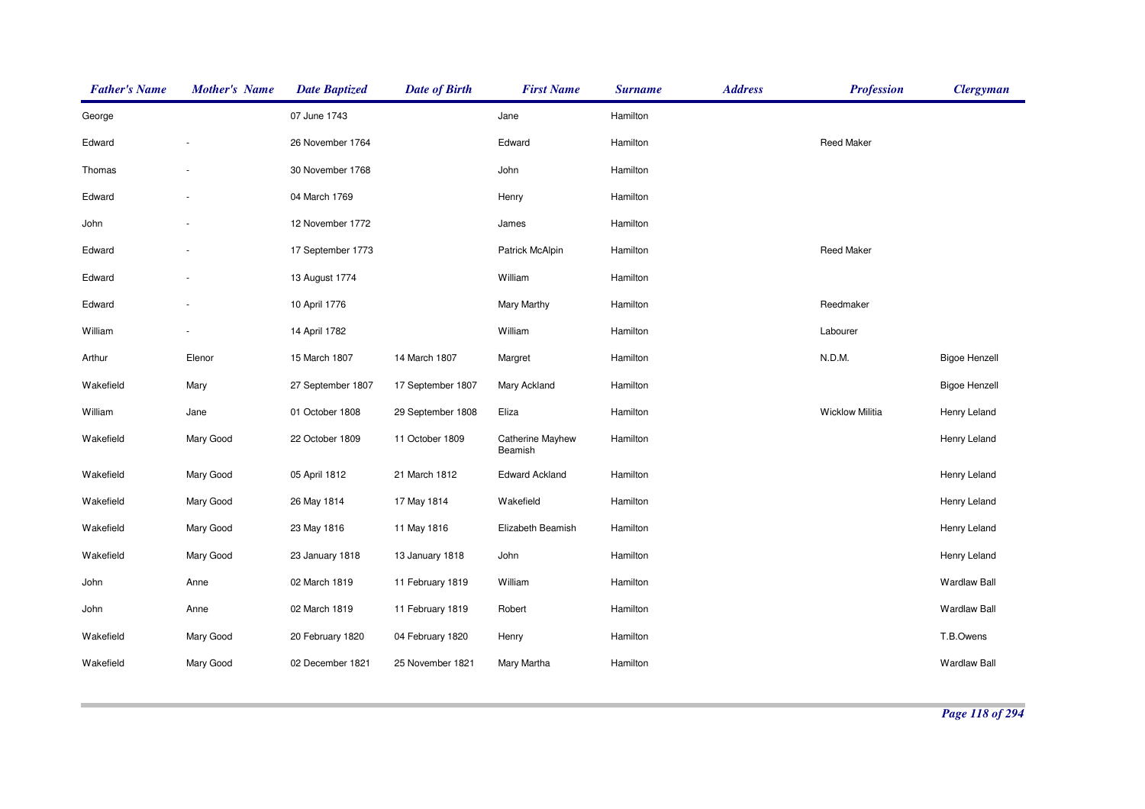| <b>Father's Name</b> | <b>Mother's Name</b> | <b>Date Baptized</b> | <b>Date of Birth</b> | <b>First Name</b>                  | <b>Surname</b> | <b>Address</b> | <b>Profession</b>      | <b>Clergyman</b>     |
|----------------------|----------------------|----------------------|----------------------|------------------------------------|----------------|----------------|------------------------|----------------------|
| George               |                      | 07 June 1743         |                      | Jane                               | Hamilton       |                |                        |                      |
| Edward               |                      | 26 November 1764     |                      | Edward                             | Hamilton       |                | <b>Reed Maker</b>      |                      |
| Thomas               |                      | 30 November 1768     |                      | John                               | Hamilton       |                |                        |                      |
| Edward               |                      | 04 March 1769        |                      | Henry                              | Hamilton       |                |                        |                      |
| John                 |                      | 12 November 1772     |                      | James                              | Hamilton       |                |                        |                      |
| Edward               |                      | 17 September 1773    |                      | Patrick McAlpin                    | Hamilton       |                | <b>Reed Maker</b>      |                      |
| Edward               |                      | 13 August 1774       |                      | William                            | Hamilton       |                |                        |                      |
| Edward               |                      | 10 April 1776        |                      | Mary Marthy                        | Hamilton       |                | Reedmaker              |                      |
| William              |                      | 14 April 1782        |                      | William                            | Hamilton       |                | Labourer               |                      |
| Arthur               | Elenor               | 15 March 1807        | 14 March 1807        | Margret                            | Hamilton       |                | N.D.M.                 | <b>Bigoe Henzell</b> |
| Wakefield            | Mary                 | 27 September 1807    | 17 September 1807    | Mary Ackland                       | Hamilton       |                |                        | <b>Bigoe Henzell</b> |
| William              | Jane                 | 01 October 1808      | 29 September 1808    | Eliza                              | Hamilton       |                | <b>Wicklow Militia</b> | Henry Leland         |
| Wakefield            | Mary Good            | 22 October 1809      | 11 October 1809      | <b>Catherine Mayhew</b><br>Beamish | Hamilton       |                |                        | Henry Leland         |
| Wakefield            | Mary Good            | 05 April 1812        | 21 March 1812        | <b>Edward Ackland</b>              | Hamilton       |                |                        | Henry Leland         |
| Wakefield            | Mary Good            | 26 May 1814          | 17 May 1814          | Wakefield                          | Hamilton       |                |                        | Henry Leland         |
| Wakefield            | Mary Good            | 23 May 1816          | 11 May 1816          | Elizabeth Beamish                  | Hamilton       |                |                        | Henry Leland         |
| Wakefield            | Mary Good            | 23 January 1818      | 13 January 1818      | John                               | Hamilton       |                |                        | Henry Leland         |
| John                 | Anne                 | 02 March 1819        | 11 February 1819     | William                            | Hamilton       |                |                        | <b>Wardlaw Ball</b>  |
| John                 | Anne                 | 02 March 1819        | 11 February 1819     | Robert                             | Hamilton       |                |                        | <b>Wardlaw Ball</b>  |
| Wakefield            | Mary Good            | 20 February 1820     | 04 February 1820     | Henry                              | Hamilton       |                |                        | T.B.Owens            |
| Wakefield            | Mary Good            | 02 December 1821     | 25 November 1821     | Mary Martha                        | Hamilton       |                |                        | <b>Wardlaw Ball</b>  |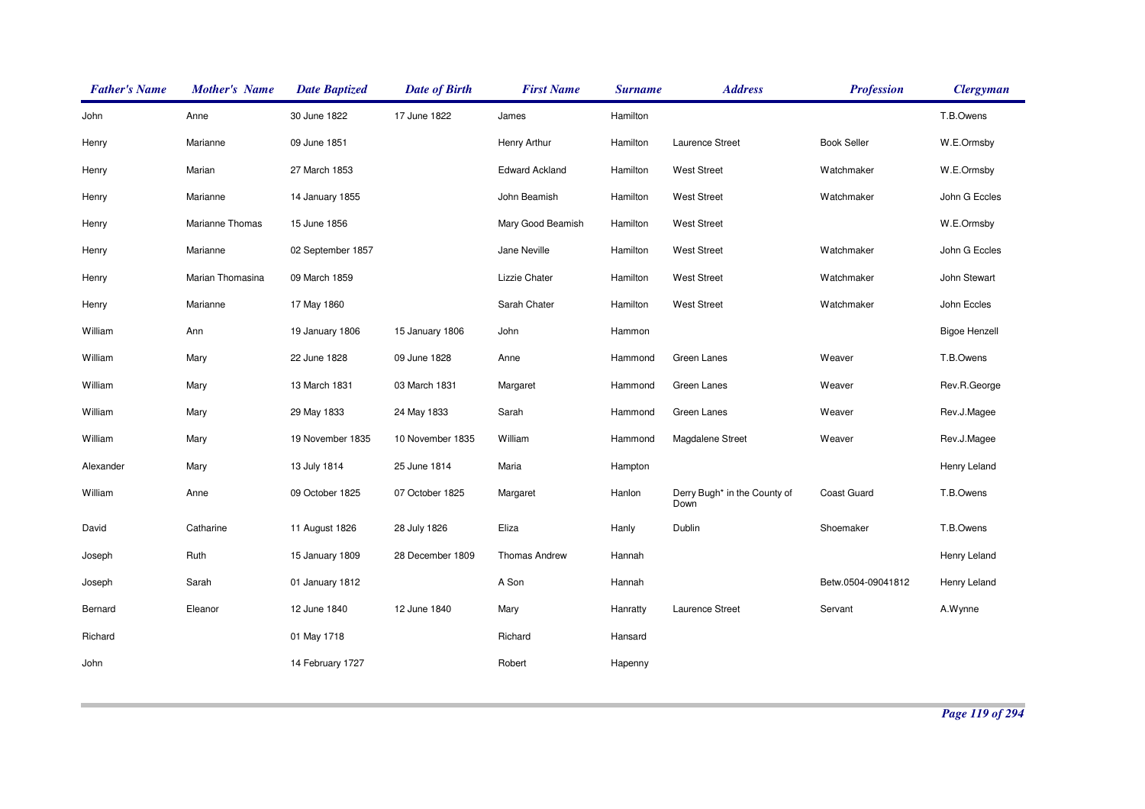| <b>Father's Name</b> | <b>Mother's Name</b> | <b>Date Baptized</b> | <b>Date of Birth</b> | <b>First Name</b>     | <b>Surname</b> | <b>Address</b>                       | <b>Profession</b>  | <b>Clergyman</b>     |
|----------------------|----------------------|----------------------|----------------------|-----------------------|----------------|--------------------------------------|--------------------|----------------------|
| John                 | Anne                 | 30 June 1822         | 17 June 1822         | James                 | Hamilton       |                                      |                    | T.B.Owens            |
| Henry                | Marianne             | 09 June 1851         |                      | Henry Arthur          | Hamilton       | Laurence Street                      | <b>Book Seller</b> | W.E.Ormsby           |
| Henry                | Marian               | 27 March 1853        |                      | <b>Edward Ackland</b> | Hamilton       | <b>West Street</b>                   | Watchmaker         | W.E.Ormsby           |
| Henry                | Marianne             | 14 January 1855      |                      | John Beamish          | Hamilton       | <b>West Street</b>                   | Watchmaker         | John G Eccles        |
| Henry                | Marianne Thomas      | 15 June 1856         |                      | Mary Good Beamish     | Hamilton       | <b>West Street</b>                   |                    | W.E.Ormsby           |
| Henry                | Marianne             | 02 September 1857    |                      | Jane Neville          | Hamilton       | <b>West Street</b>                   | Watchmaker         | John G Eccles        |
| Henry                | Marian Thomasina     | 09 March 1859        |                      | Lizzie Chater         | Hamilton       | <b>West Street</b>                   | Watchmaker         | John Stewart         |
| Henry                | Marianne             | 17 May 1860          |                      | Sarah Chater          | Hamilton       | <b>West Street</b>                   | Watchmaker         | John Eccles          |
| William              | Ann                  | 19 January 1806      | 15 January 1806      | John                  | Hammon         |                                      |                    | <b>Bigoe Henzell</b> |
| William              | Mary                 | 22 June 1828         | 09 June 1828         | Anne                  | Hammond        | Green Lanes                          | Weaver             | T.B.Owens            |
| William              | Mary                 | 13 March 1831        | 03 March 1831        | Margaret              | Hammond        | Green Lanes                          | Weaver             | Rev.R.George         |
| William              | Mary                 | 29 May 1833          | 24 May 1833          | Sarah                 | Hammond        | Green Lanes                          | Weaver             | Rev.J.Magee          |
| William              | Mary                 | 19 November 1835     | 10 November 1835     | William               | Hammond        | Magdalene Street                     | Weaver             | Rev.J.Magee          |
| Alexander            | Mary                 | 13 July 1814         | 25 June 1814         | Maria                 | Hampton        |                                      |                    | Henry Leland         |
| William              | Anne                 | 09 October 1825      | 07 October 1825      | Margaret              | Hanlon         | Derry Bugh* in the County of<br>Down | <b>Coast Guard</b> | T.B.Owens            |
| David                | Catharine            | 11 August 1826       | 28 July 1826         | Eliza                 | Hanly          | Dublin                               | Shoemaker          | T.B.Owens            |
| Joseph               | Ruth                 | 15 January 1809      | 28 December 1809     | <b>Thomas Andrew</b>  | Hannah         |                                      |                    | Henry Leland         |
| Joseph               | Sarah                | 01 January 1812      |                      | A Son                 | Hannah         |                                      | Betw.0504-09041812 | Henry Leland         |
| Bernard              | Eleanor              | 12 June 1840         | 12 June 1840         | Mary                  | Hanratty       | Laurence Street                      | Servant            | A.Wynne              |
| Richard              |                      | 01 May 1718          |                      | Richard               | Hansard        |                                      |                    |                      |
| John                 |                      | 14 February 1727     |                      | Robert                | Hapenny        |                                      |                    |                      |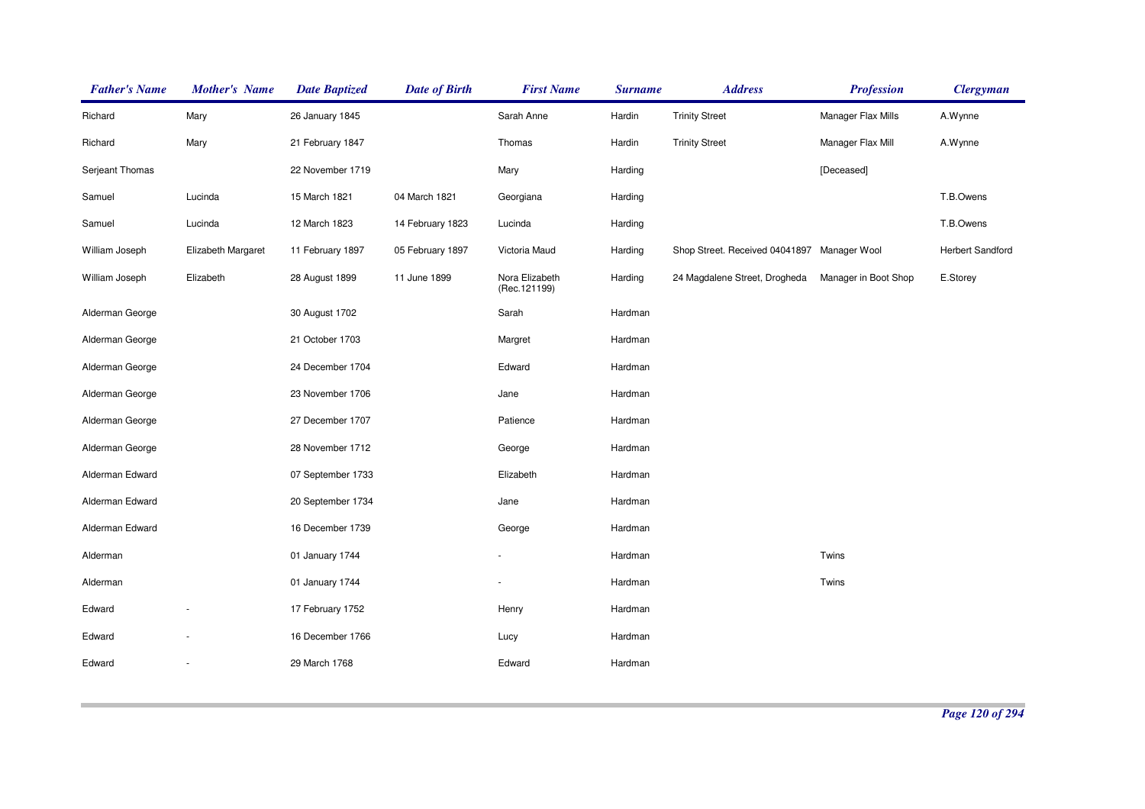| <b>Father's Name</b> | <b>Mother's Name</b>     | <b>Date Baptized</b> | <b>Date of Birth</b> | <b>First Name</b>               | <b>Surname</b> | <b>Address</b>                              | <b>Profession</b>    | <b>Clergyman</b>        |
|----------------------|--------------------------|----------------------|----------------------|---------------------------------|----------------|---------------------------------------------|----------------------|-------------------------|
| Richard              | Mary                     | 26 January 1845      |                      | Sarah Anne                      | Hardin         | <b>Trinity Street</b>                       | Manager Flax Mills   | A.Wynne                 |
| Richard              | Mary                     | 21 February 1847     |                      | Thomas                          | Hardin         | <b>Trinity Street</b>                       | Manager Flax Mill    | A.Wynne                 |
| Serjeant Thomas      |                          | 22 November 1719     |                      | Mary                            | Harding        |                                             | [Deceased]           |                         |
| Samuel               | Lucinda                  | 15 March 1821        | 04 March 1821        | Georgiana                       | Harding        |                                             |                      | T.B.Owens               |
| Samuel               | Lucinda                  | 12 March 1823        | 14 February 1823     | Lucinda                         | Harding        |                                             |                      | T.B.Owens               |
| William Joseph       | Elizabeth Margaret       | 11 February 1897     | 05 February 1897     | Victoria Maud                   | Harding        | Shop Street. Received 04041897 Manager Wool |                      | <b>Herbert Sandford</b> |
| William Joseph       | Elizabeth                | 28 August 1899       | 11 June 1899         | Nora Elizabeth<br>(Rec. 121199) | Harding        | 24 Magdalene Street, Drogheda               | Manager in Boot Shop | E.Storey                |
| Alderman George      |                          | 30 August 1702       |                      | Sarah                           | Hardman        |                                             |                      |                         |
| Alderman George      |                          | 21 October 1703      |                      | Margret                         | Hardman        |                                             |                      |                         |
| Alderman George      |                          | 24 December 1704     |                      | Edward                          | Hardman        |                                             |                      |                         |
| Alderman George      |                          | 23 November 1706     |                      | Jane                            | Hardman        |                                             |                      |                         |
| Alderman George      |                          | 27 December 1707     |                      | Patience                        | Hardman        |                                             |                      |                         |
| Alderman George      |                          | 28 November 1712     |                      | George                          | Hardman        |                                             |                      |                         |
| Alderman Edward      |                          | 07 September 1733    |                      | Elizabeth                       | Hardman        |                                             |                      |                         |
| Alderman Edward      |                          | 20 September 1734    |                      | Jane                            | Hardman        |                                             |                      |                         |
| Alderman Edward      |                          | 16 December 1739     |                      | George                          | Hardman        |                                             |                      |                         |
| Alderman             |                          | 01 January 1744      |                      |                                 | Hardman        |                                             | Twins                |                         |
| Alderman             |                          | 01 January 1744      |                      |                                 | Hardman        |                                             | Twins                |                         |
| Edward               |                          | 17 February 1752     |                      | Henry                           | Hardman        |                                             |                      |                         |
| Edward               |                          | 16 December 1766     |                      | Lucy                            | Hardman        |                                             |                      |                         |
| Edward               | $\overline{\phantom{a}}$ | 29 March 1768        |                      | Edward                          | Hardman        |                                             |                      |                         |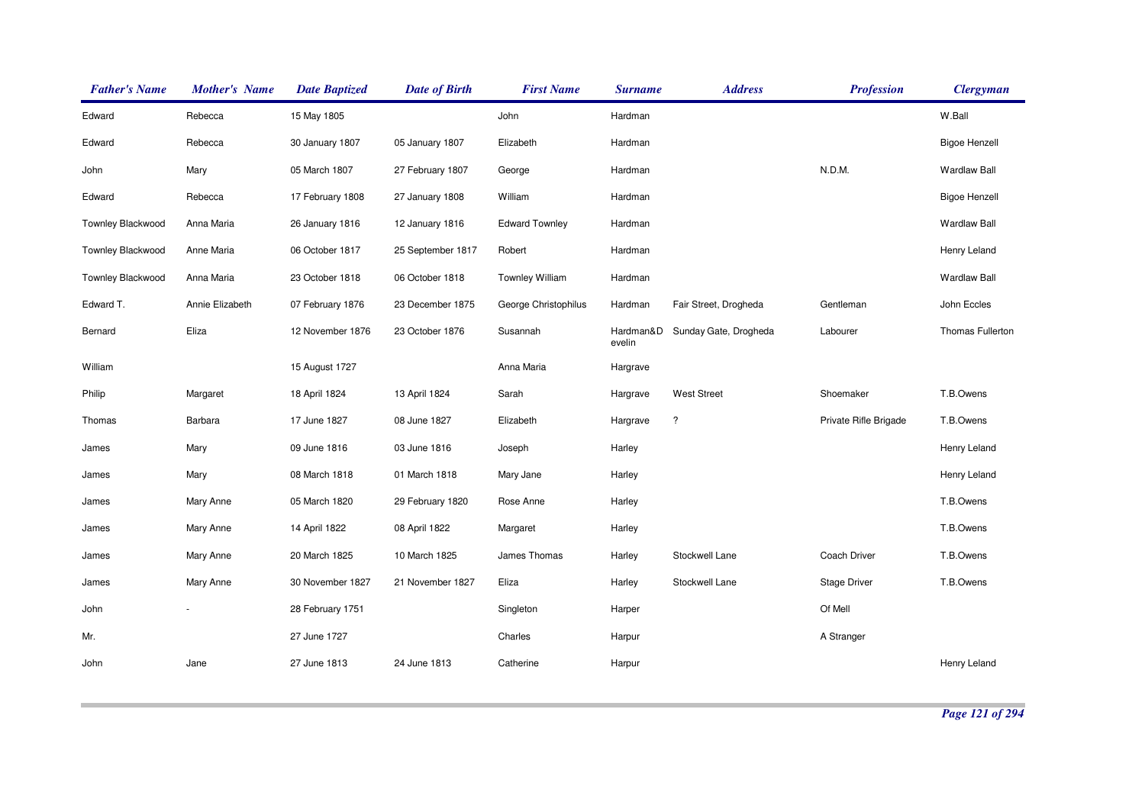| <b>Father's Name</b> | <b>Mother's Name</b> | <b>Date Baptized</b> | <b>Date of Birth</b> | <b>First Name</b>      | <b>Surname</b>      | <b>Address</b>        | <b>Profession</b>     | <b>Clergyman</b>     |
|----------------------|----------------------|----------------------|----------------------|------------------------|---------------------|-----------------------|-----------------------|----------------------|
| Edward               | Rebecca              | 15 May 1805          |                      | John                   | Hardman             |                       |                       | W.Ball               |
| Edward               | Rebecca              | 30 January 1807      | 05 January 1807      | Elizabeth              | Hardman             |                       |                       | <b>Bigoe Henzell</b> |
| John                 | Mary                 | 05 March 1807        | 27 February 1807     | George                 | Hardman             |                       | N.D.M.                | <b>Wardlaw Ball</b>  |
| Edward               | Rebecca              | 17 February 1808     | 27 January 1808      | William                | Hardman             |                       |                       | <b>Bigoe Henzell</b> |
| Townley Blackwood    | Anna Maria           | 26 January 1816      | 12 January 1816      | <b>Edward Townley</b>  | Hardman             |                       |                       | <b>Wardlaw Ball</b>  |
| Townley Blackwood    | Anne Maria           | 06 October 1817      | 25 September 1817    | Robert                 | Hardman             |                       |                       | Henry Leland         |
| Townley Blackwood    | Anna Maria           | 23 October 1818      | 06 October 1818      | <b>Townley William</b> | Hardman             |                       |                       | <b>Wardlaw Ball</b>  |
| Edward T.            | Annie Elizabeth      | 07 February 1876     | 23 December 1875     | George Christophilus   | Hardman             | Fair Street, Drogheda | Gentleman             | John Eccles          |
| Bernard              | Eliza                | 12 November 1876     | 23 October 1876      | Susannah               | Hardman&D<br>evelin | Sunday Gate, Drogheda | Labourer              | Thomas Fullerton     |
| William              |                      | 15 August 1727       |                      | Anna Maria             | Hargrave            |                       |                       |                      |
| Philip               | Margaret             | 18 April 1824        | 13 April 1824        | Sarah                  | Hargrave            | <b>West Street</b>    | Shoemaker             | T.B.Owens            |
| Thomas               | Barbara              | 17 June 1827         | 08 June 1827         | Elizabeth              | Hargrave            | $\ddot{?}$            | Private Rifle Brigade | T.B.Owens            |
| James                | Mary                 | 09 June 1816         | 03 June 1816         | Joseph                 | Harley              |                       |                       | Henry Leland         |
| James                | Mary                 | 08 March 1818        | 01 March 1818        | Mary Jane              | Harley              |                       |                       | Henry Leland         |
| James                | Mary Anne            | 05 March 1820        | 29 February 1820     | Rose Anne              | Harley              |                       |                       | T.B.Owens            |
| James                | Mary Anne            | 14 April 1822        | 08 April 1822        | Margaret               | Harley              |                       |                       | T.B.Owens            |
| James                | Mary Anne            | 20 March 1825        | 10 March 1825        | James Thomas           | Harley              | Stockwell Lane        | Coach Driver          | T.B.Owens            |
| James                | Mary Anne            | 30 November 1827     | 21 November 1827     | Eliza                  | Harley              | Stockwell Lane        | <b>Stage Driver</b>   | T.B.Owens            |
| John                 |                      | 28 February 1751     |                      | Singleton              | Harper              |                       | Of Mell               |                      |
| Mr.                  |                      | 27 June 1727         |                      | Charles                | Harpur              |                       | A Stranger            |                      |
| John                 | Jane                 | 27 June 1813         | 24 June 1813         | Catherine              | Harpur              |                       |                       | Henry Leland         |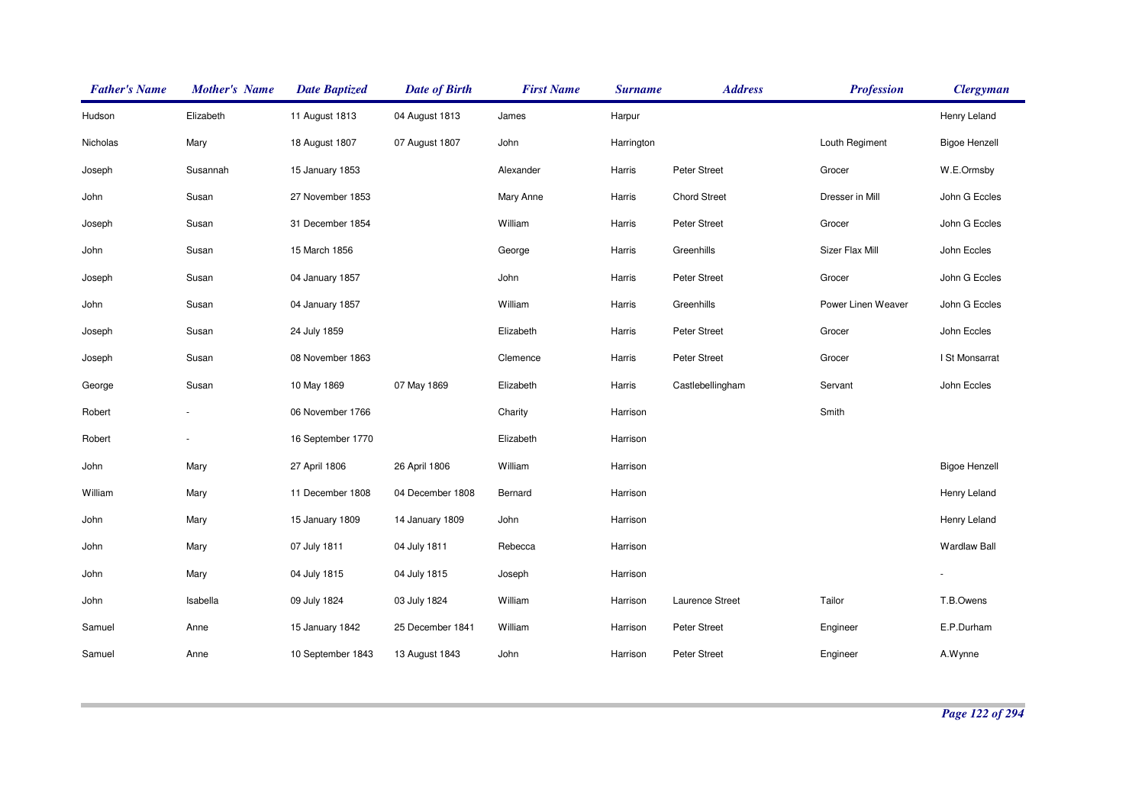| <b>Father's Name</b> | <b>Mother's Name</b>     | <b>Date Baptized</b> | <b>Date of Birth</b> | <b>First Name</b> | <b>Surname</b> | <b>Address</b>      | <b>Profession</b>  | <b>Clergyman</b>     |
|----------------------|--------------------------|----------------------|----------------------|-------------------|----------------|---------------------|--------------------|----------------------|
| Hudson               | Elizabeth                | 11 August 1813       | 04 August 1813       | James             | Harpur         |                     |                    | Henry Leland         |
| Nicholas             | Mary                     | 18 August 1807       | 07 August 1807       | John              | Harrington     |                     | Louth Regiment     | <b>Bigoe Henzell</b> |
| Joseph               | Susannah                 | 15 January 1853      |                      | Alexander         | Harris         | Peter Street        | Grocer             | W.E.Ormsby           |
| John                 | Susan                    | 27 November 1853     |                      | Mary Anne         | Harris         | <b>Chord Street</b> | Dresser in Mill    | John G Eccles        |
| Joseph               | Susan                    | 31 December 1854     |                      | William           | Harris         | Peter Street        | Grocer             | John G Eccles        |
| John                 | Susan                    | 15 March 1856        |                      | George            | Harris         | Greenhills          | Sizer Flax Mill    | John Eccles          |
| Joseph               | Susan                    | 04 January 1857      |                      | John              | Harris         | Peter Street        | Grocer             | John G Eccles        |
| John                 | Susan                    | 04 January 1857      |                      | William           | Harris         | Greenhills          | Power Linen Weaver | John G Eccles        |
| Joseph               | Susan                    | 24 July 1859         |                      | Elizabeth         | Harris         | Peter Street        | Grocer             | John Eccles          |
| Joseph               | Susan                    | 08 November 1863     |                      | Clemence          | Harris         | Peter Street        | Grocer             | I St Monsarrat       |
| George               | Susan                    | 10 May 1869          | 07 May 1869          | Elizabeth         | Harris         | Castlebellingham    | Servant            | John Eccles          |
| Robert               |                          | 06 November 1766     |                      | Charity           | Harrison       |                     | Smith              |                      |
| Robert               | $\overline{\phantom{0}}$ | 16 September 1770    |                      | Elizabeth         | Harrison       |                     |                    |                      |
| John                 | Mary                     | 27 April 1806        | 26 April 1806        | William           | Harrison       |                     |                    | <b>Bigoe Henzell</b> |
| William              | Mary                     | 11 December 1808     | 04 December 1808     | Bernard           | Harrison       |                     |                    | Henry Leland         |
| John                 | Mary                     | 15 January 1809      | 14 January 1809      | John              | Harrison       |                     |                    | Henry Leland         |
| John                 | Mary                     | 07 July 1811         | 04 July 1811         | Rebecca           | Harrison       |                     |                    | <b>Wardlaw Ball</b>  |
| John                 | Mary                     | 04 July 1815         | 04 July 1815         | Joseph            | Harrison       |                     |                    | $\blacksquare$       |
| John                 | Isabella                 | 09 July 1824         | 03 July 1824         | William           | Harrison       | Laurence Street     | Tailor             | T.B.Owens            |
| Samuel               | Anne                     | 15 January 1842      | 25 December 1841     | William           | Harrison       | Peter Street        | Engineer           | E.P.Durham           |
| Samuel               | Anne                     | 10 September 1843    | 13 August 1843       | John              | Harrison       | Peter Street        | Engineer           | A.Wynne              |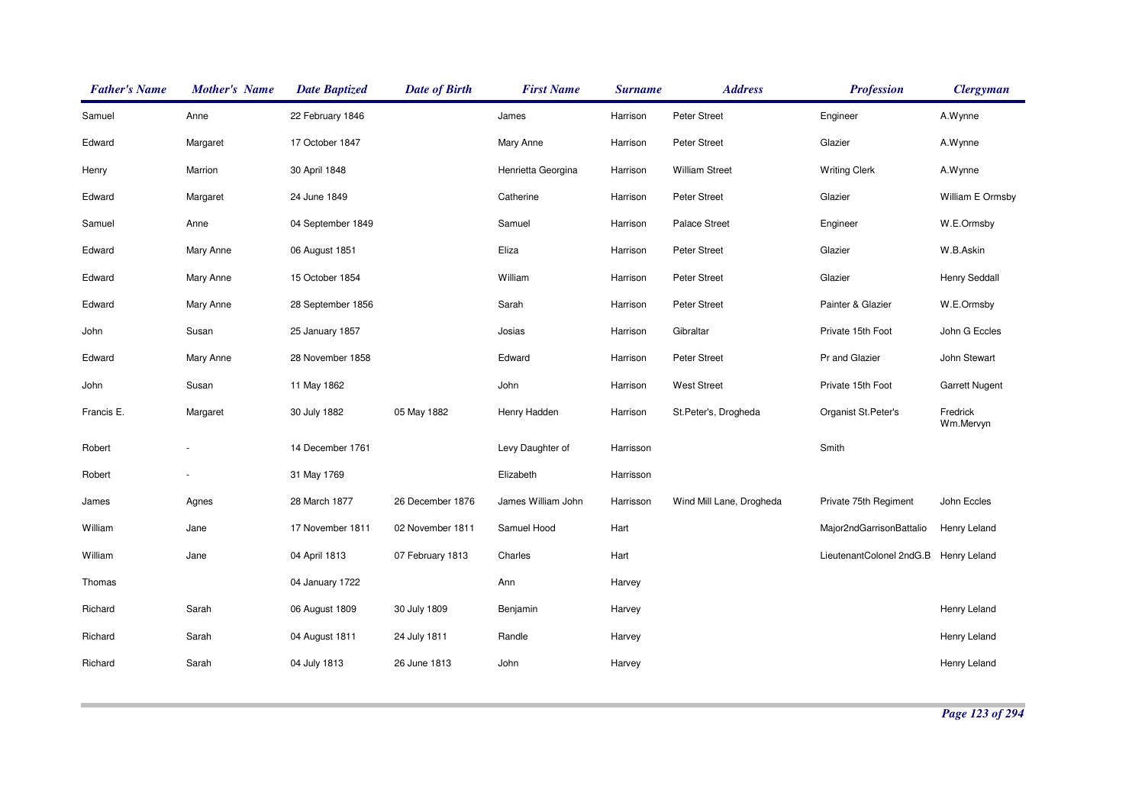| <b>Father's Name</b> | <b>Mother's Name</b> | <b>Date Baptized</b> | <b>Date of Birth</b> | <b>First Name</b>  | <b>Surname</b> | <b>Address</b>           | <b>Profession</b>        | <b>Clergyman</b>      |
|----------------------|----------------------|----------------------|----------------------|--------------------|----------------|--------------------------|--------------------------|-----------------------|
| Samuel               | Anne                 | 22 February 1846     |                      | James              | Harrison       | Peter Street             | Engineer                 | A.Wynne               |
| Edward               | Margaret             | 17 October 1847      |                      | Mary Anne          | Harrison       | Peter Street             | Glazier                  | A.Wynne               |
| Henry                | Marrion              | 30 April 1848        |                      | Henrietta Georgina | Harrison       | <b>William Street</b>    | <b>Writing Clerk</b>     | A.Wynne               |
| Edward               | Margaret             | 24 June 1849         |                      | Catherine          | Harrison       | Peter Street             | Glazier                  | William E Ormsby      |
| Samuel               | Anne                 | 04 September 1849    |                      | Samuel             | Harrison       | Palace Street            | Engineer                 | W.E.Ormsby            |
| Edward               | Mary Anne            | 06 August 1851       |                      | Eliza              | Harrison       | Peter Street             | Glazier                  | W.B.Askin             |
| Edward               | Mary Anne            | 15 October 1854      |                      | William            | Harrison       | Peter Street             | Glazier                  | <b>Henry Seddall</b>  |
| Edward               | Mary Anne            | 28 September 1856    |                      | Sarah              | Harrison       | Peter Street             | Painter & Glazier        | W.E.Ormsby            |
| John                 | Susan                | 25 January 1857      |                      | Josias             | Harrison       | Gibraltar                | Private 15th Foot        | John G Eccles         |
| Edward               | Mary Anne            | 28 November 1858     |                      | Edward             | Harrison       | Peter Street             | Pr and Glazier           | John Stewart          |
| John                 | Susan                | 11 May 1862          |                      | John               | Harrison       | <b>West Street</b>       | Private 15th Foot        | <b>Garrett Nugent</b> |
| Francis E.           | Margaret             | 30 July 1882         | 05 May 1882          | Henry Hadden       | Harrison       | St.Peter's, Drogheda     | Organist St.Peter's      | Fredrick<br>Wm.Mervyn |
| Robert               |                      | 14 December 1761     |                      | Levy Daughter of   | Harrisson      |                          | Smith                    |                       |
| Robert               |                      | 31 May 1769          |                      | Elizabeth          | Harrisson      |                          |                          |                       |
| James                | Agnes                | 28 March 1877        | 26 December 1876     | James William John | Harrisson      | Wind Mill Lane, Drogheda | Private 75th Regiment    | John Eccles           |
| William              | Jane                 | 17 November 1811     | 02 November 1811     | Samuel Hood        | Hart           |                          | Major2ndGarrisonBattalio | Henry Leland          |
| William              | Jane                 | 04 April 1813        | 07 February 1813     | Charles            | Hart           |                          | LieutenantColonel 2ndG.B | Henry Leland          |
| Thomas               |                      | 04 January 1722      |                      | Ann                | Harvey         |                          |                          |                       |
| Richard              | Sarah                | 06 August 1809       | 30 July 1809         | Benjamin           | Harvey         |                          |                          | Henry Leland          |
| Richard              | Sarah                | 04 August 1811       | 24 July 1811         | Randle             | Harvey         |                          |                          | Henry Leland          |
| Richard              | Sarah                | 04 July 1813         | 26 June 1813         | John               | Harvey         |                          |                          | Henry Leland          |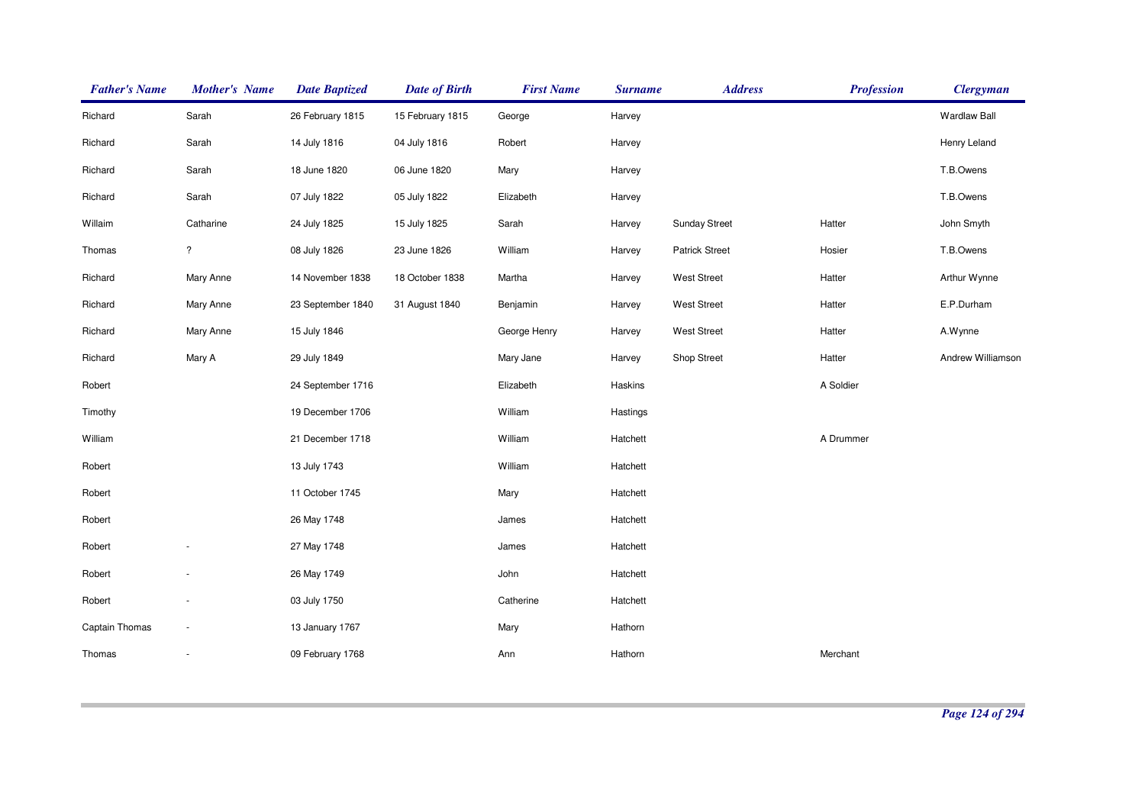| <b>Father's Name</b> | <b>Mother's Name</b>     | <b>Date Baptized</b> | <b>Date of Birth</b> | <b>First Name</b> | <b>Surname</b> | <b>Address</b>        | <b>Profession</b> | <b>Clergyman</b>    |
|----------------------|--------------------------|----------------------|----------------------|-------------------|----------------|-----------------------|-------------------|---------------------|
| Richard              | Sarah                    | 26 February 1815     | 15 February 1815     | George            | Harvey         |                       |                   | <b>Wardlaw Ball</b> |
| Richard              | Sarah                    | 14 July 1816         | 04 July 1816         | Robert            | Harvey         |                       |                   | Henry Leland        |
| Richard              | Sarah                    | 18 June 1820         | 06 June 1820         | Mary              | Harvey         |                       |                   | T.B.Owens           |
| Richard              | Sarah                    | 07 July 1822         | 05 July 1822         | Elizabeth         | Harvey         |                       |                   | T.B.Owens           |
| Willaim              | Catharine                | 24 July 1825         | 15 July 1825         | Sarah             | Harvey         | <b>Sunday Street</b>  | Hatter            | John Smyth          |
| Thomas               | $\overline{\mathcal{E}}$ | 08 July 1826         | 23 June 1826         | William           | Harvey         | <b>Patrick Street</b> | Hosier            | T.B.Owens           |
| Richard              | Mary Anne                | 14 November 1838     | 18 October 1838      | Martha            | Harvey         | <b>West Street</b>    | Hatter            | Arthur Wynne        |
| Richard              | Mary Anne                | 23 September 1840    | 31 August 1840       | Benjamin          | Harvey         | <b>West Street</b>    | Hatter            | E.P.Durham          |
| Richard              | Mary Anne                | 15 July 1846         |                      | George Henry      | Harvey         | <b>West Street</b>    | Hatter            | A.Wynne             |
| Richard              | Mary A                   | 29 July 1849         |                      | Mary Jane         | Harvey         | Shop Street           | Hatter            | Andrew Williamson   |
| Robert               |                          | 24 September 1716    |                      | Elizabeth         | Haskins        |                       | A Soldier         |                     |
| Timothy              |                          | 19 December 1706     |                      | William           | Hastings       |                       |                   |                     |
| William              |                          | 21 December 1718     |                      | William           | Hatchett       |                       | A Drummer         |                     |
| Robert               |                          | 13 July 1743         |                      | William           | Hatchett       |                       |                   |                     |
| Robert               |                          | 11 October 1745      |                      | Mary              | Hatchett       |                       |                   |                     |
| Robert               |                          | 26 May 1748          |                      | James             | Hatchett       |                       |                   |                     |
| Robert               |                          | 27 May 1748          |                      | James             | Hatchett       |                       |                   |                     |
| Robert               | $\overline{\phantom{a}}$ | 26 May 1749          |                      | John              | Hatchett       |                       |                   |                     |
| Robert               | ÷,                       | 03 July 1750         |                      | Catherine         | Hatchett       |                       |                   |                     |
| Captain Thomas       | $\overline{\phantom{a}}$ | 13 January 1767      |                      | Mary              | Hathorn        |                       |                   |                     |
| Thomas               | $\overline{\phantom{a}}$ | 09 February 1768     |                      | Ann               | Hathorn        |                       | Merchant          |                     |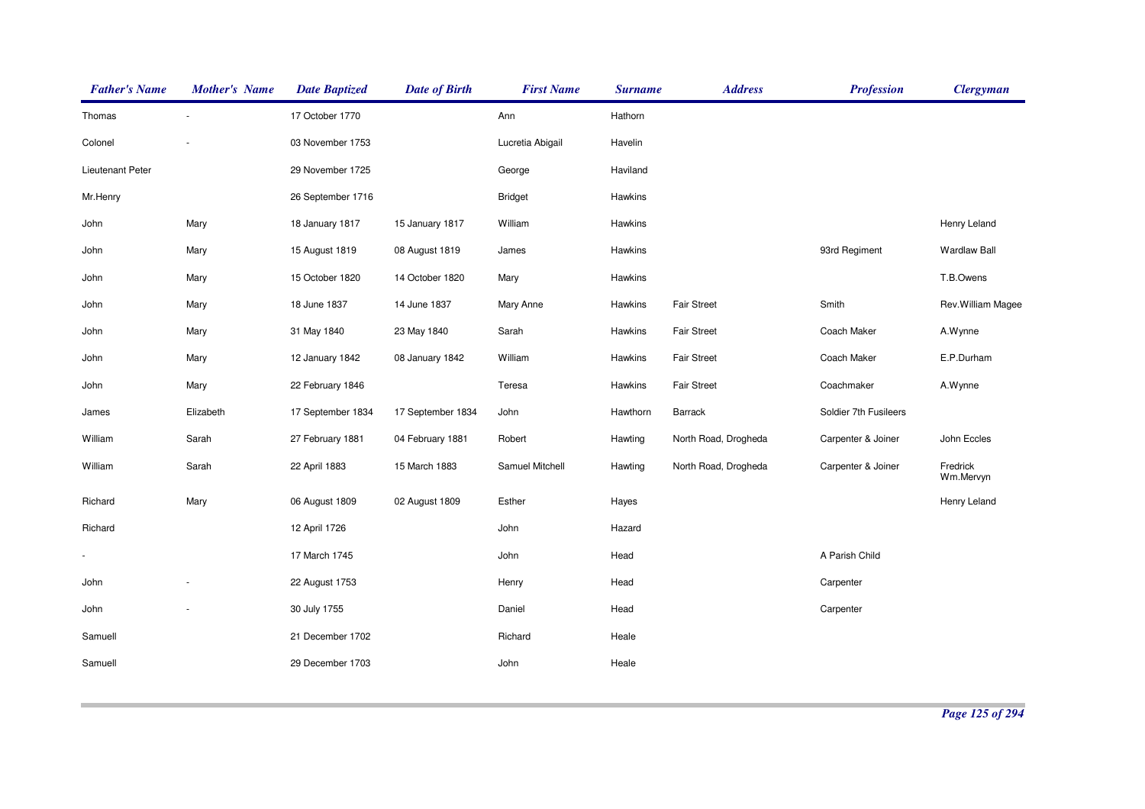| <b>Father's Name</b> | <b>Mother's Name</b> | <b>Date Baptized</b> | <b>Date of Birth</b> | <b>First Name</b> | <b>Surname</b> | <b>Address</b>       | <b>Profession</b>     | <b>Clergyman</b>      |
|----------------------|----------------------|----------------------|----------------------|-------------------|----------------|----------------------|-----------------------|-----------------------|
| Thomas               |                      | 17 October 1770      |                      | Ann               | Hathorn        |                      |                       |                       |
| Colonel              |                      | 03 November 1753     |                      | Lucretia Abigail  | Havelin        |                      |                       |                       |
| Lieutenant Peter     |                      | 29 November 1725     |                      | George            | Haviland       |                      |                       |                       |
| Mr.Henry             |                      | 26 September 1716    |                      | <b>Bridget</b>    | Hawkins        |                      |                       |                       |
| John                 | Mary                 | 18 January 1817      | 15 January 1817      | William           | Hawkins        |                      |                       | Henry Leland          |
| John                 | Mary                 | 15 August 1819       | 08 August 1819       | James             | Hawkins        |                      | 93rd Regiment         | <b>Wardlaw Ball</b>   |
| John                 | Mary                 | 15 October 1820      | 14 October 1820      | Mary              | Hawkins        |                      |                       | T.B.Owens             |
| John                 | Mary                 | 18 June 1837         | 14 June 1837         | Mary Anne         | Hawkins        | <b>Fair Street</b>   | Smith                 | Rev. William Magee    |
| John                 | Mary                 | 31 May 1840          | 23 May 1840          | Sarah             | Hawkins        | <b>Fair Street</b>   | Coach Maker           | A.Wynne               |
| John                 | Mary                 | 12 January 1842      | 08 January 1842      | William           | Hawkins        | <b>Fair Street</b>   | Coach Maker           | E.P.Durham            |
| John                 | Mary                 | 22 February 1846     |                      | Teresa            | Hawkins        | <b>Fair Street</b>   | Coachmaker            | A.Wynne               |
| James                | Elizabeth            | 17 September 1834    | 17 September 1834    | John              | Hawthorn       | Barrack              | Soldier 7th Fusileers |                       |
| William              | Sarah                | 27 February 1881     | 04 February 1881     | Robert            | Hawting        | North Road, Drogheda | Carpenter & Joiner    | John Eccles           |
| William              | Sarah                | 22 April 1883        | 15 March 1883        | Samuel Mitchell   | Hawting        | North Road, Drogheda | Carpenter & Joiner    | Fredrick<br>Wm.Mervyn |
| Richard              | Mary                 | 06 August 1809       | 02 August 1809       | Esther            | Hayes          |                      |                       | Henry Leland          |
| Richard              |                      | 12 April 1726        |                      | John              | Hazard         |                      |                       |                       |
|                      |                      | 17 March 1745        |                      | John              | Head           |                      | A Parish Child        |                       |
| John                 |                      | 22 August 1753       |                      | Henry             | Head           |                      | Carpenter             |                       |
| John                 |                      | 30 July 1755         |                      | Daniel            | Head           |                      | Carpenter             |                       |
| Samuell              |                      | 21 December 1702     |                      | Richard           | Heale          |                      |                       |                       |
| Samuell              |                      | 29 December 1703     |                      | John              | Heale          |                      |                       |                       |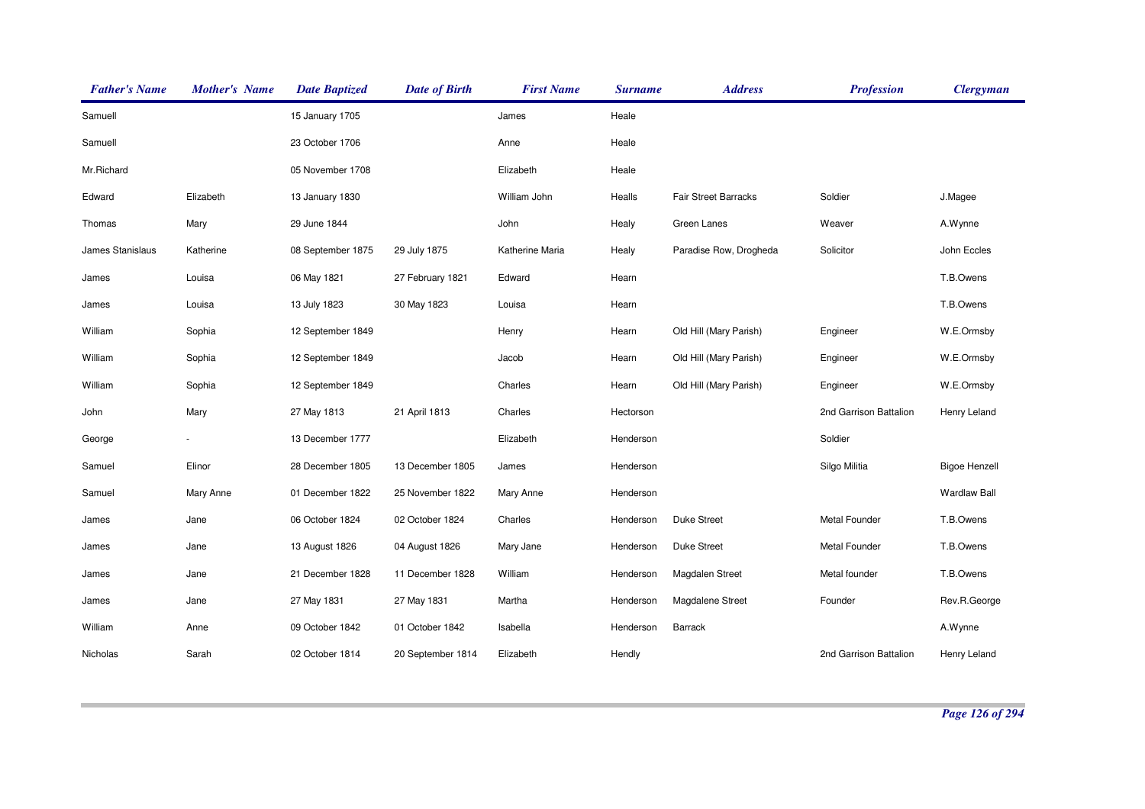| <b>Father's Name</b> | <b>Mother's Name</b> | <b>Date Baptized</b> | <b>Date of Birth</b> | <b>First Name</b> | <b>Surname</b> | <b>Address</b>              | <b>Profession</b>      | <b>Clergyman</b>     |
|----------------------|----------------------|----------------------|----------------------|-------------------|----------------|-----------------------------|------------------------|----------------------|
| Samuell              |                      | 15 January 1705      |                      | James             | Heale          |                             |                        |                      |
| Samuell              |                      | 23 October 1706      |                      | Anne              | Heale          |                             |                        |                      |
| Mr.Richard           |                      | 05 November 1708     |                      | Elizabeth         | Heale          |                             |                        |                      |
| Edward               | Elizabeth            | 13 January 1830      |                      | William John      | Healls         | <b>Fair Street Barracks</b> | Soldier                | J.Magee              |
| Thomas               | Mary                 | 29 June 1844         |                      | John              | Healy          | Green Lanes                 | Weaver                 | A.Wynne              |
| James Stanislaus     | Katherine            | 08 September 1875    | 29 July 1875         | Katherine Maria   | Healy          | Paradise Row, Drogheda      | Solicitor              | John Eccles          |
| James                | Louisa               | 06 May 1821          | 27 February 1821     | Edward            | Hearn          |                             |                        | T.B.Owens            |
| James                | Louisa               | 13 July 1823         | 30 May 1823          | Louisa            | Hearn          |                             |                        | T.B.Owens            |
| William              | Sophia               | 12 September 1849    |                      | Henry             | Hearn          | Old Hill (Mary Parish)      | Engineer               | W.E.Ormsby           |
| William              | Sophia               | 12 September 1849    |                      | Jacob             | Hearn          | Old Hill (Mary Parish)      | Engineer               | W.E.Ormsby           |
| William              | Sophia               | 12 September 1849    |                      | Charles           | Hearn          | Old Hill (Mary Parish)      | Engineer               | W.E.Ormsby           |
| John                 | Mary                 | 27 May 1813          | 21 April 1813        | Charles           | Hectorson      |                             | 2nd Garrison Battalion | Henry Leland         |
| George               |                      | 13 December 1777     |                      | Elizabeth         | Henderson      |                             | Soldier                |                      |
| Samuel               | Elinor               | 28 December 1805     | 13 December 1805     | James             | Henderson      |                             | Silgo Militia          | <b>Bigoe Henzell</b> |
| Samuel               | Mary Anne            | 01 December 1822     | 25 November 1822     | Mary Anne         | Henderson      |                             |                        | <b>Wardlaw Ball</b>  |
| James                | Jane                 | 06 October 1824      | 02 October 1824      | Charles           | Henderson      | <b>Duke Street</b>          | Metal Founder          | T.B.Owens            |
| James                | Jane                 | 13 August 1826       | 04 August 1826       | Mary Jane         | Henderson      | <b>Duke Street</b>          | Metal Founder          | T.B.Owens            |
| James                | Jane                 | 21 December 1828     | 11 December 1828     | William           | Henderson      | Magdalen Street             | Metal founder          | T.B.Owens            |
| James                | Jane                 | 27 May 1831          | 27 May 1831          | Martha            | Henderson      | Magdalene Street            | Founder                | Rev.R.George         |
| William              | Anne                 | 09 October 1842      | 01 October 1842      | Isabella          | Henderson      | Barrack                     |                        | A.Wynne              |
| Nicholas             | Sarah                | 02 October 1814      | 20 September 1814    | Elizabeth         | Hendly         |                             | 2nd Garrison Battalion | Henry Leland         |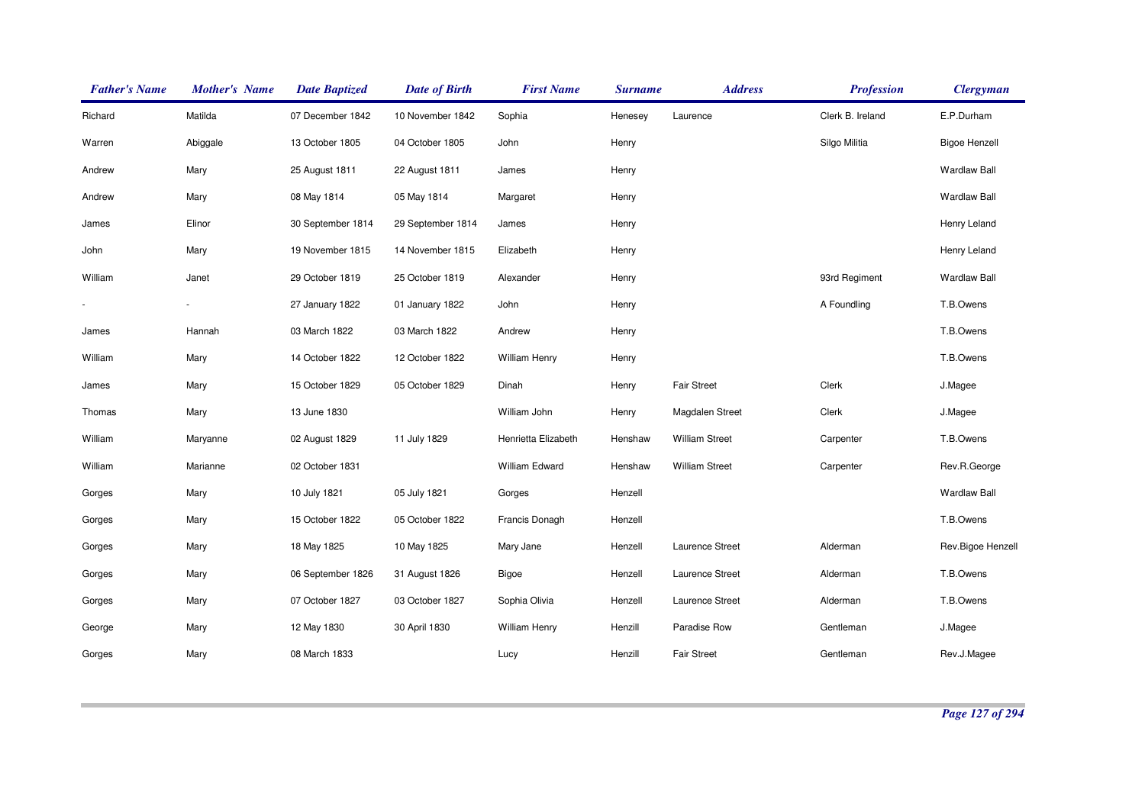| <b>Father's Name</b> | <b>Mother's Name</b> | <b>Date Baptized</b> | <b>Date of Birth</b> | <b>First Name</b>    | <b>Surname</b> | <b>Address</b>        | <b>Profession</b> | <b>Clergyman</b>     |
|----------------------|----------------------|----------------------|----------------------|----------------------|----------------|-----------------------|-------------------|----------------------|
| Richard              | Matilda              | 07 December 1842     | 10 November 1842     | Sophia               | Henesey        | Laurence              | Clerk B. Ireland  | E.P.Durham           |
| Warren               | Abiggale             | 13 October 1805      | 04 October 1805      | John                 | Henry          |                       | Silgo Militia     | <b>Bigoe Henzell</b> |
| Andrew               | Mary                 | 25 August 1811       | 22 August 1811       | James                | Henry          |                       |                   | <b>Wardlaw Ball</b>  |
| Andrew               | Mary                 | 08 May 1814          | 05 May 1814          | Margaret             | Henry          |                       |                   | <b>Wardlaw Ball</b>  |
| James                | Elinor               | 30 September 1814    | 29 September 1814    | James                | Henry          |                       |                   | Henry Leland         |
| John                 | Mary                 | 19 November 1815     | 14 November 1815     | Elizabeth            | Henry          |                       |                   | Henry Leland         |
| William              | Janet                | 29 October 1819      | 25 October 1819      | Alexander            | Henry          |                       | 93rd Regiment     | <b>Wardlaw Ball</b>  |
|                      |                      | 27 January 1822      | 01 January 1822      | John                 | Henry          |                       | A Foundling       | T.B.Owens            |
| James                | Hannah               | 03 March 1822        | 03 March 1822        | Andrew               | Henry          |                       |                   | T.B.Owens            |
| William              | Mary                 | 14 October 1822      | 12 October 1822      | <b>William Henry</b> | Henry          |                       |                   | T.B.Owens            |
| James                | Mary                 | 15 October 1829      | 05 October 1829      | Dinah                | Henry          | <b>Fair Street</b>    | Clerk             | J.Magee              |
| Thomas               | Mary                 | 13 June 1830         |                      | William John         | Henry          | Magdalen Street       | Clerk             | J.Magee              |
| William              | Maryanne             | 02 August 1829       | 11 July 1829         | Henrietta Elizabeth  | Henshaw        | <b>William Street</b> | Carpenter         | T.B.Owens            |
| William              | Marianne             | 02 October 1831      |                      | William Edward       | Henshaw        | <b>William Street</b> | Carpenter         | Rev.R.George         |
| Gorges               | Mary                 | 10 July 1821         | 05 July 1821         | Gorges               | Henzell        |                       |                   | <b>Wardlaw Ball</b>  |
| Gorges               | Mary                 | 15 October 1822      | 05 October 1822      | Francis Donagh       | Henzell        |                       |                   | T.B.Owens            |
| Gorges               | Mary                 | 18 May 1825          | 10 May 1825          | Mary Jane            | Henzell        | Laurence Street       | Alderman          | Rev.Bigoe Henzell    |
| Gorges               | Mary                 | 06 September 1826    | 31 August 1826       | <b>Bigoe</b>         | Henzell        | Laurence Street       | Alderman          | T.B.Owens            |
| Gorges               | Mary                 | 07 October 1827      | 03 October 1827      | Sophia Olivia        | Henzell        | Laurence Street       | Alderman          | T.B.Owens            |
| George               | Mary                 | 12 May 1830          | 30 April 1830        | <b>William Henry</b> | Henzill        | Paradise Row          | Gentleman         | J.Magee              |
| Gorges               | Mary                 | 08 March 1833        |                      | Lucy                 | Henzill        | <b>Fair Street</b>    | Gentleman         | Rev.J.Magee          |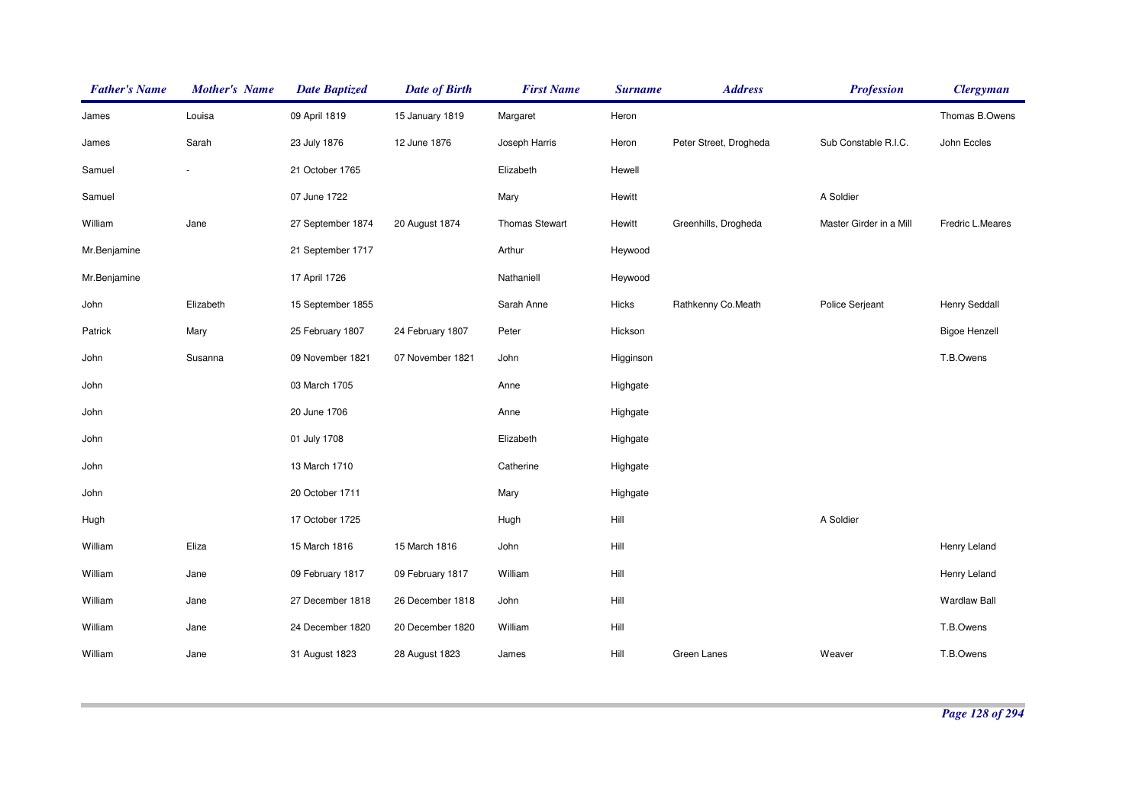| <b>Father's Name</b> | <b>Mother's Name</b>     | <b>Date Baptized</b> | <b>Date of Birth</b> | <b>First Name</b>     | <b>Surname</b> | <b>Address</b>         | <b>Profession</b>       | <b>Clergyman</b>     |
|----------------------|--------------------------|----------------------|----------------------|-----------------------|----------------|------------------------|-------------------------|----------------------|
| James                | Louisa                   | 09 April 1819        | 15 January 1819      | Margaret              | Heron          |                        |                         | Thomas B.Owens       |
| James                | Sarah                    | 23 July 1876         | 12 June 1876         | Joseph Harris         | Heron          | Peter Street, Drogheda | Sub Constable R.I.C.    | John Eccles          |
| Samuel               | $\overline{\phantom{a}}$ | 21 October 1765      |                      | Elizabeth             | Hewell         |                        |                         |                      |
| Samuel               |                          | 07 June 1722         |                      | Mary                  | Hewitt         |                        | A Soldier               |                      |
| William              | Jane                     | 27 September 1874    | 20 August 1874       | <b>Thomas Stewart</b> | Hewitt         | Greenhills, Drogheda   | Master Girder in a Mill | Fredric L.Meares     |
| Mr.Benjamine         |                          | 21 September 1717    |                      | Arthur                | Heywood        |                        |                         |                      |
| Mr.Benjamine         |                          | 17 April 1726        |                      | Nathaniell            | Heywood        |                        |                         |                      |
| John                 | Elizabeth                | 15 September 1855    |                      | Sarah Anne            | Hicks          | Rathkenny Co.Meath     | Police Serjeant         | Henry Seddall        |
| Patrick              | Mary                     | 25 February 1807     | 24 February 1807     | Peter                 | Hickson        |                        |                         | <b>Bigoe Henzell</b> |
| John                 | Susanna                  | 09 November 1821     | 07 November 1821     | John                  | Higginson      |                        |                         | T.B.Owens            |
| John                 |                          | 03 March 1705        |                      | Anne                  | Highgate       |                        |                         |                      |
| John                 |                          | 20 June 1706         |                      | Anne                  | Highgate       |                        |                         |                      |
| John                 |                          | 01 July 1708         |                      | Elizabeth             | Highgate       |                        |                         |                      |
| John                 |                          | 13 March 1710        |                      | Catherine             | Highgate       |                        |                         |                      |
| John                 |                          | 20 October 1711      |                      | Mary                  | Highgate       |                        |                         |                      |
| Hugh                 |                          | 17 October 1725      |                      | Hugh                  | Hill           |                        | A Soldier               |                      |
| William              | Eliza                    | 15 March 1816        | 15 March 1816        | John                  | Hill           |                        |                         | Henry Leland         |
| William              | Jane                     | 09 February 1817     | 09 February 1817     | William               | Hill           |                        |                         | Henry Leland         |
| William              | Jane                     | 27 December 1818     | 26 December 1818     | John                  | Hill           |                        |                         | <b>Wardlaw Ball</b>  |
| William              | Jane                     | 24 December 1820     | 20 December 1820     | William               | Hill           |                        |                         | T.B.Owens            |
| William              | Jane                     | 31 August 1823       | 28 August 1823       | James                 | Hill           | Green Lanes            | Weaver                  | T.B.Owens            |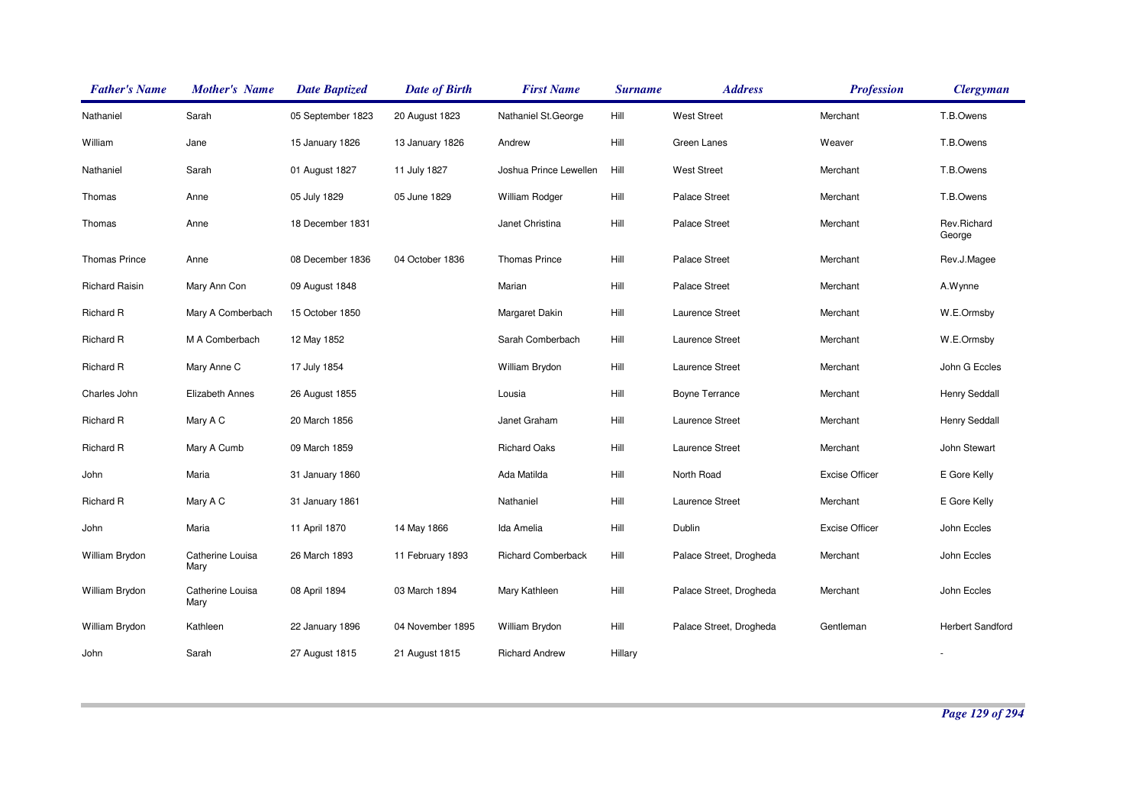| <b>Father's Name</b>  | <b>Mother's Name</b>     | <b>Date Baptized</b> | <b>Date of Birth</b> | <b>First Name</b>         | <b>Surname</b> | <b>Address</b>          | <b>Profession</b>     | <b>Clergyman</b>        |
|-----------------------|--------------------------|----------------------|----------------------|---------------------------|----------------|-------------------------|-----------------------|-------------------------|
| Nathaniel             | Sarah                    | 05 September 1823    | 20 August 1823       | Nathaniel St.George       | Hill           | <b>West Street</b>      | Merchant              | T.B.Owens               |
| William               | Jane                     | 15 January 1826      | 13 January 1826      | Andrew                    | Hill           | Green Lanes             | Weaver                | T.B.Owens               |
| Nathaniel             | Sarah                    | 01 August 1827       | 11 July 1827         | Joshua Prince Lewellen    | Hill           | <b>West Street</b>      | Merchant              | T.B.Owens               |
| Thomas                | Anne                     | 05 July 1829         | 05 June 1829         | <b>William Rodger</b>     | Hill           | <b>Palace Street</b>    | Merchant              | T.B.Owens               |
| Thomas                | Anne                     | 18 December 1831     |                      | Janet Christina           | Hill           | <b>Palace Street</b>    | Merchant              | Rev.Richard<br>George   |
| Thomas Prince         | Anne                     | 08 December 1836     | 04 October 1836      | <b>Thomas Prince</b>      | Hill           | <b>Palace Street</b>    | Merchant              | Rev.J.Magee             |
| <b>Richard Raisin</b> | Mary Ann Con             | 09 August 1848       |                      | Marian                    | Hill           | <b>Palace Street</b>    | Merchant              | A.Wynne                 |
| Richard R             | Mary A Comberbach        | 15 October 1850      |                      | Margaret Dakin            | Hill           | Laurence Street         | Merchant              | W.E.Ormsby              |
| Richard R             | M A Comberbach           | 12 May 1852          |                      | Sarah Comberbach          | Hill           | Laurence Street         | Merchant              | W.E.Ormsby              |
| Richard R             | Mary Anne C              | 17 July 1854         |                      | William Brydon            | Hill           | Laurence Street         | Merchant              | John G Eccles           |
| Charles John          | <b>Elizabeth Annes</b>   | 26 August 1855       |                      | Lousia                    | Hill           | <b>Boyne Terrance</b>   | Merchant              | Henry Seddall           |
| <b>Richard R</b>      | Mary A C                 | 20 March 1856        |                      | Janet Graham              | Hill           | Laurence Street         | Merchant              | Henry Seddall           |
| <b>Richard R</b>      | Mary A Cumb              | 09 March 1859        |                      | <b>Richard Oaks</b>       | Hill           | Laurence Street         | Merchant              | John Stewart            |
| John                  | Maria                    | 31 January 1860      |                      | Ada Matilda               | Hill           | North Road              | <b>Excise Officer</b> | E Gore Kelly            |
| Richard R             | Mary A C                 | 31 January 1861      |                      | Nathaniel                 | Hill           | Laurence Street         | Merchant              | E Gore Kelly            |
| John                  | Maria                    | 11 April 1870        | 14 May 1866          | Ida Amelia                | Hill           | Dublin                  | <b>Excise Officer</b> | John Eccles             |
| William Brydon        | Catherine Louisa<br>Mary | 26 March 1893        | 11 February 1893     | <b>Richard Comberback</b> | Hill           | Palace Street, Drogheda | Merchant              | John Eccles             |
| William Brydon        | Catherine Louisa<br>Mary | 08 April 1894        | 03 March 1894        | Mary Kathleen             | Hill           | Palace Street, Drogheda | Merchant              | John Eccles             |
| William Brydon        | Kathleen                 | 22 January 1896      | 04 November 1895     | William Brydon            | Hill           | Palace Street, Drogheda | Gentleman             | <b>Herbert Sandford</b> |
| John                  | Sarah                    | 27 August 1815       | 21 August 1815       | <b>Richard Andrew</b>     | Hillary        |                         |                       |                         |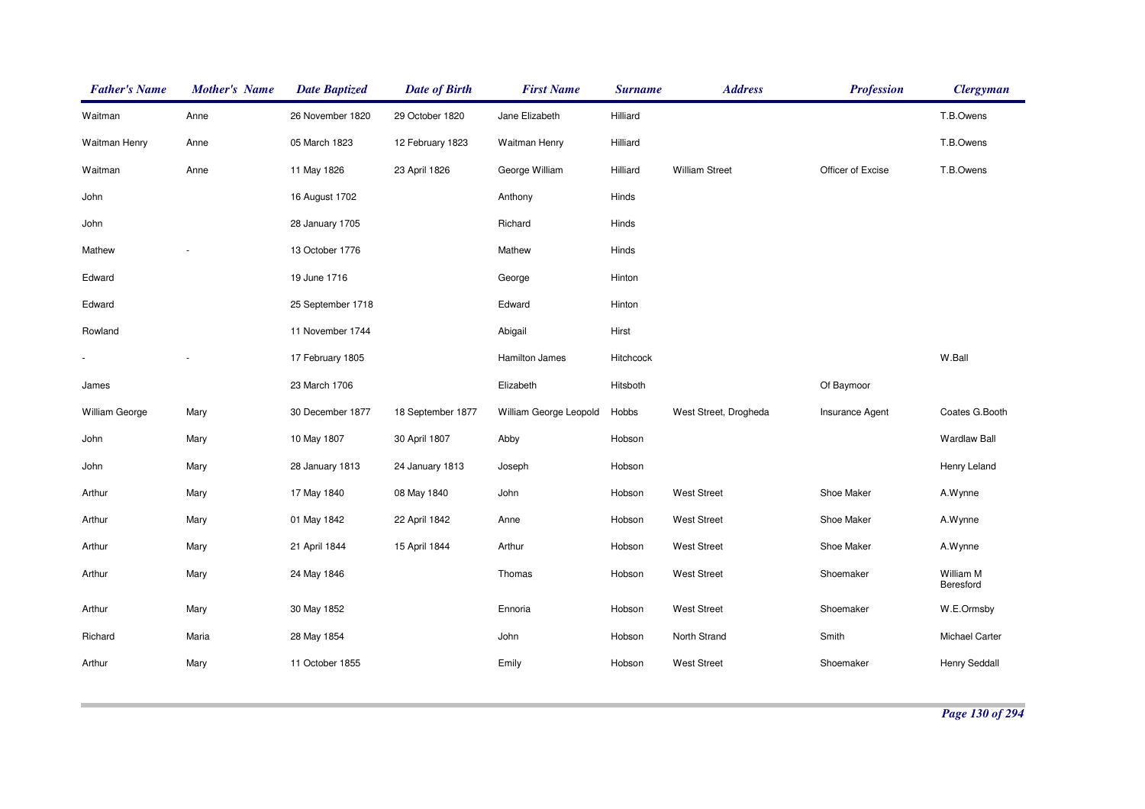| <b>Father's Name</b>  | <b>Mother's Name</b> | <b>Date Baptized</b> | <b>Date of Birth</b> | <b>First Name</b>      | <b>Surname</b> | <b>Address</b>        | <b>Profession</b>      | <b>Clergyman</b>       |
|-----------------------|----------------------|----------------------|----------------------|------------------------|----------------|-----------------------|------------------------|------------------------|
| Waitman               | Anne                 | 26 November 1820     | 29 October 1820      | Jane Elizabeth         | Hilliard       |                       |                        | T.B.Owens              |
| Waitman Henry         | Anne                 | 05 March 1823        | 12 February 1823     | Waitman Henry          | Hilliard       |                       |                        | T.B.Owens              |
| Waitman               | Anne                 | 11 May 1826          | 23 April 1826        | George William         | Hilliard       | <b>William Street</b> | Officer of Excise      | T.B.Owens              |
| John                  |                      | 16 August 1702       |                      | Anthony                | Hinds          |                       |                        |                        |
| John                  |                      | 28 January 1705      |                      | Richard                | Hinds          |                       |                        |                        |
| Mathew                |                      | 13 October 1776      |                      | Mathew                 | Hinds          |                       |                        |                        |
| Edward                |                      | 19 June 1716         |                      | George                 | Hinton         |                       |                        |                        |
| Edward                |                      | 25 September 1718    |                      | Edward                 | Hinton         |                       |                        |                        |
| Rowland               |                      | 11 November 1744     |                      | Abigail                | Hirst          |                       |                        |                        |
|                       |                      | 17 February 1805     |                      | Hamilton James         | Hitchcock      |                       |                        | W.Ball                 |
| James                 |                      | 23 March 1706        |                      | Elizabeth              | Hitsboth       |                       | Of Baymoor             |                        |
| <b>William George</b> | Mary                 | 30 December 1877     | 18 September 1877    | William George Leopold | Hobbs          | West Street, Drogheda | <b>Insurance Agent</b> | Coates G.Booth         |
| John                  | Mary                 | 10 May 1807          | 30 April 1807        | Abby                   | Hobson         |                       |                        | <b>Wardlaw Ball</b>    |
| John                  | Mary                 | 28 January 1813      | 24 January 1813      | Joseph                 | Hobson         |                       |                        | Henry Leland           |
| Arthur                | Mary                 | 17 May 1840          | 08 May 1840          | John                   | Hobson         | <b>West Street</b>    | Shoe Maker             | A.Wynne                |
| Arthur                | Mary                 | 01 May 1842          | 22 April 1842        | Anne                   | Hobson         | <b>West Street</b>    | Shoe Maker             | A.Wynne                |
| Arthur                | Mary                 | 21 April 1844        | 15 April 1844        | Arthur                 | Hobson         | <b>West Street</b>    | Shoe Maker             | A.Wynne                |
| Arthur                | Mary                 | 24 May 1846          |                      | Thomas                 | Hobson         | <b>West Street</b>    | Shoemaker              | William M<br>Beresford |
| Arthur                | Mary                 | 30 May 1852          |                      | Ennoria                | Hobson         | <b>West Street</b>    | Shoemaker              | W.E.Ormsby             |
| Richard               | Maria                | 28 May 1854          |                      | John                   | Hobson         | North Strand          | Smith                  | Michael Carter         |
| Arthur                | Mary                 | 11 October 1855      |                      | Emily                  | Hobson         | <b>West Street</b>    | Shoemaker              | Henry Seddall          |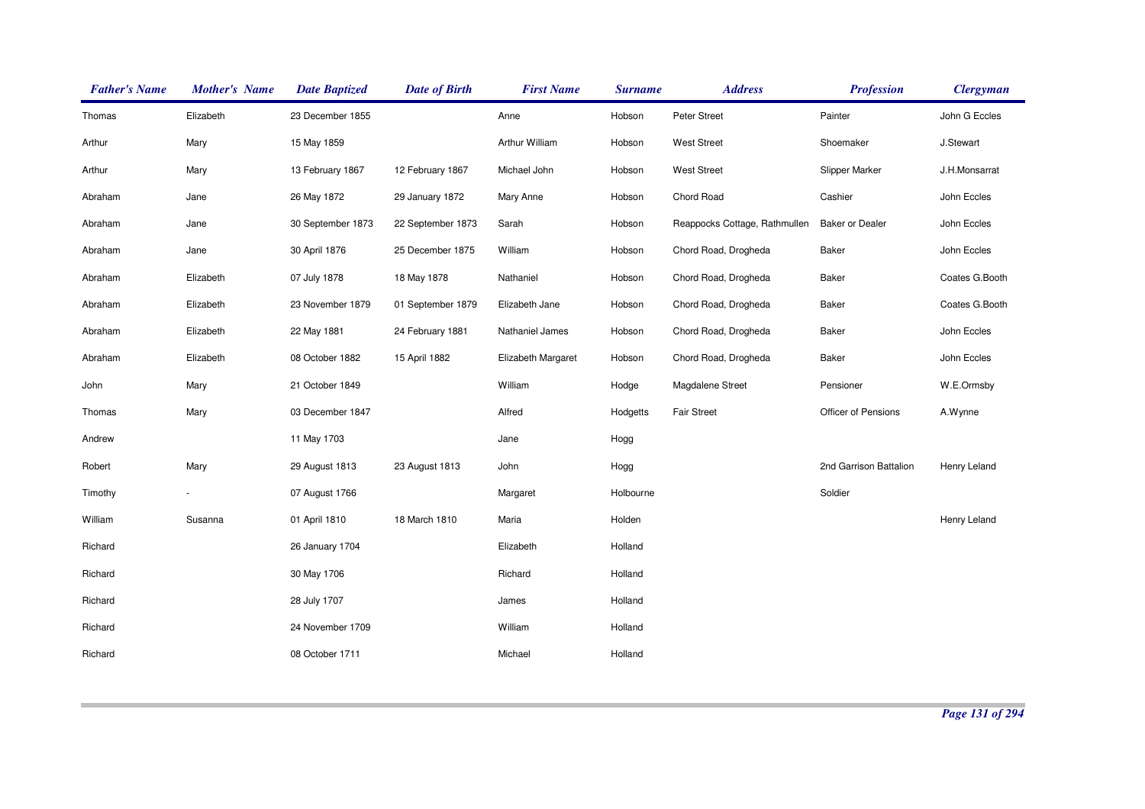| <b>Father's Name</b> | <b>Mother's Name</b> | <b>Date Baptized</b> | <b>Date of Birth</b> | <b>First Name</b>  | <b>Surname</b> | <b>Address</b>                | <b>Profession</b>      | <b>Clergyman</b> |
|----------------------|----------------------|----------------------|----------------------|--------------------|----------------|-------------------------------|------------------------|------------------|
| Thomas               | Elizabeth            | 23 December 1855     |                      | Anne               | Hobson         | Peter Street                  | Painter                | John G Eccles    |
| Arthur               | Mary                 | 15 May 1859          |                      | Arthur William     | Hobson         | <b>West Street</b>            | Shoemaker              | J.Stewart        |
| Arthur               | Mary                 | 13 February 1867     | 12 February 1867     | Michael John       | Hobson         | <b>West Street</b>            | <b>Slipper Marker</b>  | J.H.Monsarrat    |
| Abraham              | Jane                 | 26 May 1872          | 29 January 1872      | Mary Anne          | Hobson         | Chord Road                    | Cashier                | John Eccles      |
| Abraham              | Jane                 | 30 September 1873    | 22 September 1873    | Sarah              | Hobson         | Reappocks Cottage, Rathmullen | <b>Baker or Dealer</b> | John Eccles      |
| Abraham              | Jane                 | 30 April 1876        | 25 December 1875     | William            | Hobson         | Chord Road, Drogheda          | <b>Baker</b>           | John Eccles      |
| Abraham              | Elizabeth            | 07 July 1878         | 18 May 1878          | Nathaniel          | Hobson         | Chord Road, Drogheda          | Baker                  | Coates G.Booth   |
| Abraham              | Elizabeth            | 23 November 1879     | 01 September 1879    | Elizabeth Jane     | Hobson         | Chord Road, Drogheda          | Baker                  | Coates G.Booth   |
| Abraham              | Elizabeth            | 22 May 1881          | 24 February 1881     | Nathaniel James    | Hobson         | Chord Road, Drogheda          | Baker                  | John Eccles      |
| Abraham              | Elizabeth            | 08 October 1882      | 15 April 1882        | Elizabeth Margaret | Hobson         | Chord Road, Drogheda          | Baker                  | John Eccles      |
| John                 | Mary                 | 21 October 1849      |                      | William            | Hodge          | Magdalene Street              | Pensioner              | W.E.Ormsby       |
| Thomas               | Mary                 | 03 December 1847     |                      | Alfred             | Hodgetts       | <b>Fair Street</b>            | Officer of Pensions    | A.Wynne          |
| Andrew               |                      | 11 May 1703          |                      | Jane               | Hogg           |                               |                        |                  |
| Robert               | Mary                 | 29 August 1813       | 23 August 1813       | John               | Hogg           |                               | 2nd Garrison Battalion | Henry Leland     |
| Timothy              |                      | 07 August 1766       |                      | Margaret           | Holbourne      |                               | Soldier                |                  |
| William              | Susanna              | 01 April 1810        | 18 March 1810        | Maria              | Holden         |                               |                        | Henry Leland     |
| Richard              |                      | 26 January 1704      |                      | Elizabeth          | Holland        |                               |                        |                  |
| Richard              |                      | 30 May 1706          |                      | Richard            | Holland        |                               |                        |                  |
| Richard              |                      | 28 July 1707         |                      | James              | Holland        |                               |                        |                  |
| Richard              |                      | 24 November 1709     |                      | William            | Holland        |                               |                        |                  |
| Richard              |                      | 08 October 1711      |                      | Michael            | Holland        |                               |                        |                  |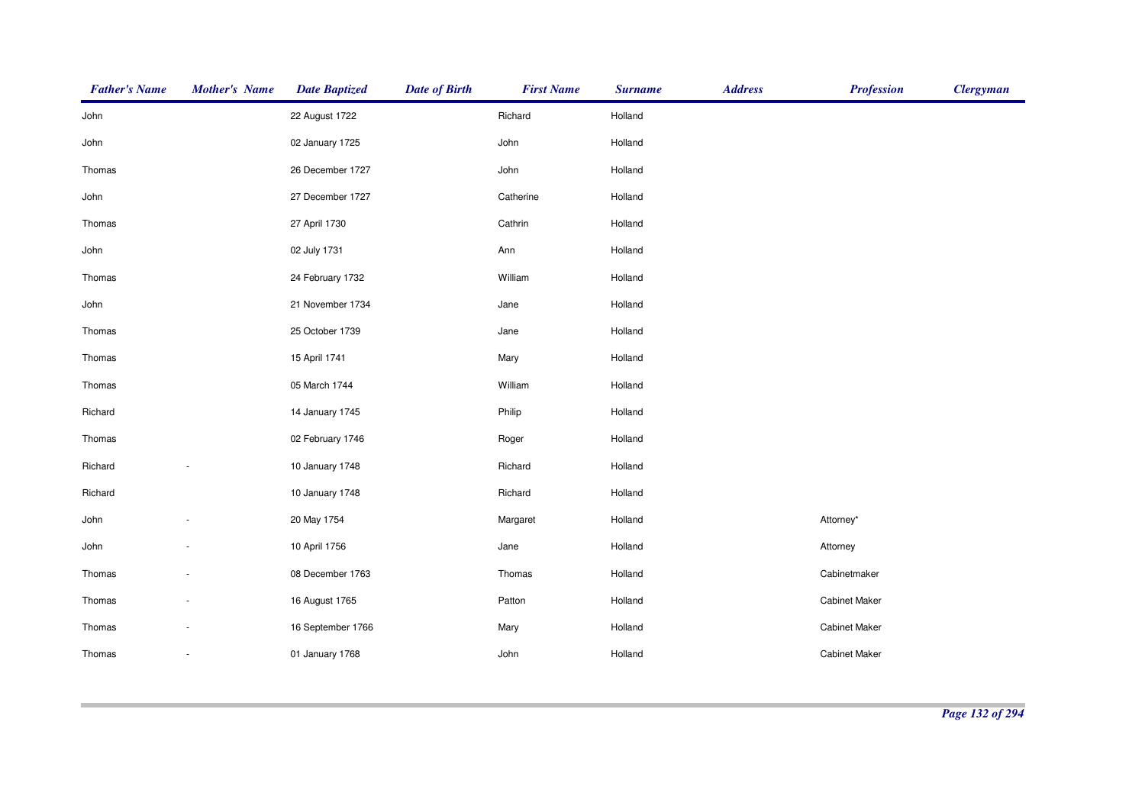| <b>Father's Name</b> | <b>Mother's Name</b> | <b>Date Baptized</b> | <b>Date of Birth</b> | <b>First Name</b> | <b>Surname</b> | <b>Address</b> | <b>Profession</b>    | <b>Clergyman</b> |
|----------------------|----------------------|----------------------|----------------------|-------------------|----------------|----------------|----------------------|------------------|
| John                 |                      | 22 August 1722       |                      | Richard           | Holland        |                |                      |                  |
| John                 |                      | 02 January 1725      |                      | John              | Holland        |                |                      |                  |
| Thomas               |                      | 26 December 1727     |                      | John              | Holland        |                |                      |                  |
| John                 |                      | 27 December 1727     |                      | Catherine         | Holland        |                |                      |                  |
| Thomas               |                      | 27 April 1730        |                      | Cathrin           | Holland        |                |                      |                  |
| John                 |                      | 02 July 1731         |                      | Ann               | Holland        |                |                      |                  |
| Thomas               |                      | 24 February 1732     |                      | William           | Holland        |                |                      |                  |
| John                 |                      | 21 November 1734     |                      | Jane              | Holland        |                |                      |                  |
| Thomas               |                      | 25 October 1739      |                      | Jane              | Holland        |                |                      |                  |
| Thomas               |                      | 15 April 1741        |                      | Mary              | Holland        |                |                      |                  |
| Thomas               |                      | 05 March 1744        |                      | William           | Holland        |                |                      |                  |
| Richard              |                      | 14 January 1745      |                      | Philip            | Holland        |                |                      |                  |
| Thomas               |                      | 02 February 1746     |                      | Roger             | Holland        |                |                      |                  |
| Richard              |                      | 10 January 1748      |                      | Richard           | Holland        |                |                      |                  |
| Richard              |                      | 10 January 1748      |                      | Richard           | Holland        |                |                      |                  |
| John                 |                      | 20 May 1754          |                      | Margaret          | Holland        |                | Attorney*            |                  |
| John                 |                      | 10 April 1756        |                      | Jane              | Holland        |                | Attorney             |                  |
| Thomas               |                      | 08 December 1763     |                      | Thomas            | Holland        |                | Cabinetmaker         |                  |
| Thomas               |                      | 16 August 1765       |                      | Patton            | Holland        |                | <b>Cabinet Maker</b> |                  |
| Thomas               |                      | 16 September 1766    |                      | Mary              | Holland        |                | <b>Cabinet Maker</b> |                  |
| Thomas               | $\sim$               | 01 January 1768      |                      | John              | Holland        |                | <b>Cabinet Maker</b> |                  |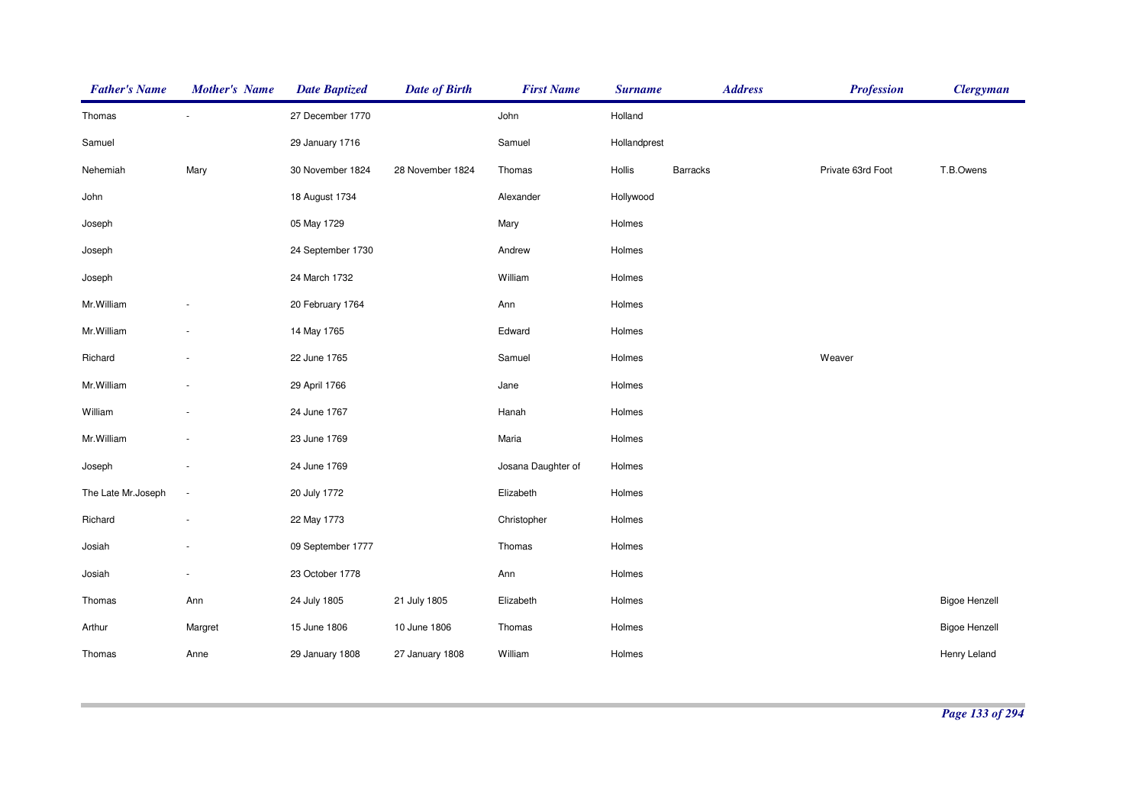| <b>Father's Name</b> | <b>Mother's Name</b>     | <b>Date Baptized</b> | <b>Date of Birth</b> | <b>First Name</b>  | <b>Surname</b> | <b>Address</b>  | <b>Profession</b> | <b>Clergyman</b>     |
|----------------------|--------------------------|----------------------|----------------------|--------------------|----------------|-----------------|-------------------|----------------------|
| Thomas               |                          | 27 December 1770     |                      | John               | Holland        |                 |                   |                      |
| Samuel               |                          | 29 January 1716      |                      | Samuel             | Hollandprest   |                 |                   |                      |
| Nehemiah             | Mary                     | 30 November 1824     | 28 November 1824     | Thomas             | Hollis         | <b>Barracks</b> | Private 63rd Foot | T.B.Owens            |
| John                 |                          | 18 August 1734       |                      | Alexander          | Hollywood      |                 |                   |                      |
| Joseph               |                          | 05 May 1729          |                      | Mary               | Holmes         |                 |                   |                      |
| Joseph               |                          | 24 September 1730    |                      | Andrew             | Holmes         |                 |                   |                      |
| Joseph               |                          | 24 March 1732        |                      | William            | Holmes         |                 |                   |                      |
| Mr. William          |                          | 20 February 1764     |                      | Ann                | Holmes         |                 |                   |                      |
| Mr.William           |                          | 14 May 1765          |                      | Edward             | Holmes         |                 |                   |                      |
| Richard              |                          | 22 June 1765         |                      | Samuel             | Holmes         |                 | Weaver            |                      |
| Mr. William          |                          | 29 April 1766        |                      | Jane               | Holmes         |                 |                   |                      |
| William              |                          | 24 June 1767         |                      | Hanah              | Holmes         |                 |                   |                      |
| Mr. William          |                          | 23 June 1769         |                      | Maria              | Holmes         |                 |                   |                      |
| Joseph               |                          | 24 June 1769         |                      | Josana Daughter of | Holmes         |                 |                   |                      |
| The Late Mr.Joseph   | $\overline{\phantom{a}}$ | 20 July 1772         |                      | Elizabeth          | Holmes         |                 |                   |                      |
| Richard              |                          | 22 May 1773          |                      | Christopher        | Holmes         |                 |                   |                      |
| Josiah               |                          | 09 September 1777    |                      | Thomas             | Holmes         |                 |                   |                      |
| Josiah               |                          | 23 October 1778      |                      | Ann                | Holmes         |                 |                   |                      |
| Thomas               | Ann                      | 24 July 1805         | 21 July 1805         | Elizabeth          | Holmes         |                 |                   | <b>Bigoe Henzell</b> |
| Arthur               | Margret                  | 15 June 1806         | 10 June 1806         | Thomas             | Holmes         |                 |                   | <b>Bigoe Henzell</b> |
| Thomas               | Anne                     | 29 January 1808      | 27 January 1808      | William            | Holmes         |                 |                   | Henry Leland         |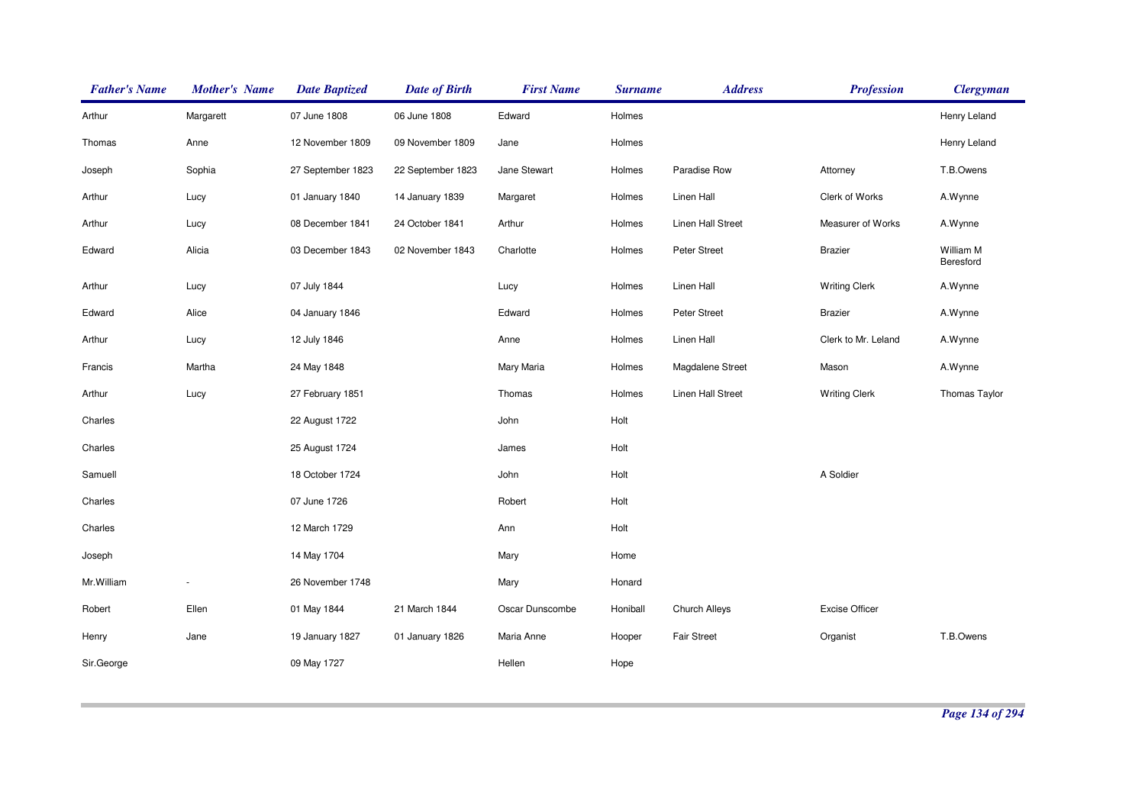| <b>Father's Name</b> | <b>Mother's Name</b> | <b>Date Baptized</b> | <b>Date of Birth</b> | <b>First Name</b> | <b>Surname</b> | <b>Address</b>     | <b>Profession</b>     | <b>Clergyman</b>       |
|----------------------|----------------------|----------------------|----------------------|-------------------|----------------|--------------------|-----------------------|------------------------|
| Arthur               | Margarett            | 07 June 1808         | 06 June 1808         | Edward            | Holmes         |                    |                       | Henry Leland           |
| Thomas               | Anne                 | 12 November 1809     | 09 November 1809     | Jane              | Holmes         |                    |                       | Henry Leland           |
| Joseph               | Sophia               | 27 September 1823    | 22 September 1823    | Jane Stewart      | Holmes         | Paradise Row       | Attorney              | T.B.Owens              |
| Arthur               | Lucy                 | 01 January 1840      | 14 January 1839      | Margaret          | Holmes         | Linen Hall         | Clerk of Works        | A.Wynne                |
| Arthur               | Lucy                 | 08 December 1841     | 24 October 1841      | Arthur            | Holmes         | Linen Hall Street  | Measurer of Works     | A.Wynne                |
| Edward               | Alicia               | 03 December 1843     | 02 November 1843     | Charlotte         | Holmes         | Peter Street       | <b>Brazier</b>        | William M<br>Beresford |
| Arthur               | Lucy                 | 07 July 1844         |                      | Lucy              | Holmes         | Linen Hall         | <b>Writing Clerk</b>  | A.Wynne                |
| Edward               | Alice                | 04 January 1846      |                      | Edward            | Holmes         | Peter Street       | <b>Brazier</b>        | A.Wynne                |
| Arthur               | Lucy                 | 12 July 1846         |                      | Anne              | Holmes         | Linen Hall         | Clerk to Mr. Leland   | A.Wynne                |
| Francis              | Martha               | 24 May 1848          |                      | Mary Maria        | Holmes         | Magdalene Street   | Mason                 | A.Wynne                |
| Arthur               | Lucy                 | 27 February 1851     |                      | Thomas            | Holmes         | Linen Hall Street  | <b>Writing Clerk</b>  | Thomas Taylor          |
| Charles              |                      | 22 August 1722       |                      | John              | Holt           |                    |                       |                        |
| Charles              |                      | 25 August 1724       |                      | James             | Holt           |                    |                       |                        |
| Samuell              |                      | 18 October 1724      |                      | John              | Holt           |                    | A Soldier             |                        |
| Charles              |                      | 07 June 1726         |                      | Robert            | Holt           |                    |                       |                        |
| Charles              |                      | 12 March 1729        |                      | Ann               | Holt           |                    |                       |                        |
| Joseph               |                      | 14 May 1704          |                      | Mary              | Home           |                    |                       |                        |
| Mr.William           | $\blacksquare$       | 26 November 1748     |                      | Mary              | Honard         |                    |                       |                        |
| Robert               | Ellen                | 01 May 1844          | 21 March 1844        | Oscar Dunscombe   | Honiball       | Church Alleys      | <b>Excise Officer</b> |                        |
| Henry                | Jane                 | 19 January 1827      | 01 January 1826      | Maria Anne        | Hooper         | <b>Fair Street</b> | Organist              | T.B.Owens              |
| Sir.George           |                      | 09 May 1727          |                      | Hellen            | Hope           |                    |                       |                        |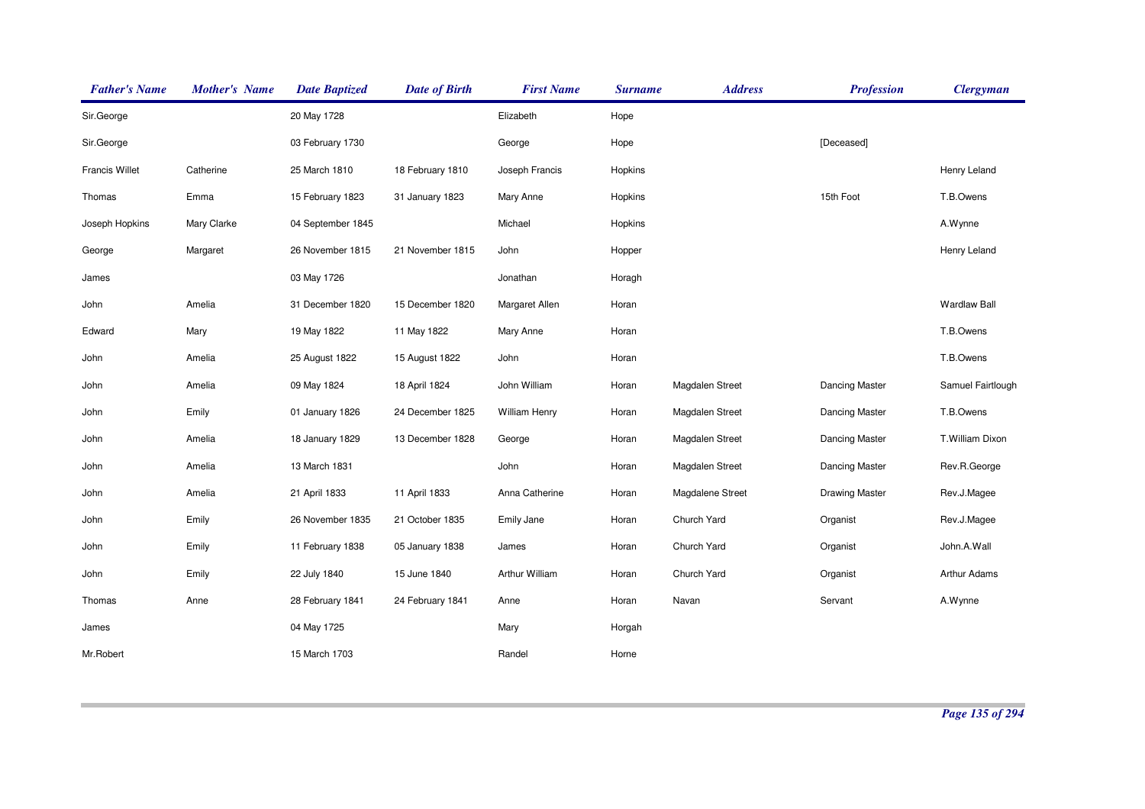| <b>Father's Name</b> | <b>Mother's Name</b> | <b>Date Baptized</b> | <b>Date of Birth</b> | <b>First Name</b>    | <b>Surname</b> | <b>Address</b>   | <b>Profession</b>     | <b>Clergyman</b>    |
|----------------------|----------------------|----------------------|----------------------|----------------------|----------------|------------------|-----------------------|---------------------|
| Sir.George           |                      | 20 May 1728          |                      | Elizabeth            | Hope           |                  |                       |                     |
| Sir.George           |                      | 03 February 1730     |                      | George               | Hope           |                  | [Deceased]            |                     |
| Francis Willet       | Catherine            | 25 March 1810        | 18 February 1810     | Joseph Francis       | Hopkins        |                  |                       | Henry Leland        |
| Thomas               | Emma                 | 15 February 1823     | 31 January 1823      | Mary Anne            | Hopkins        |                  | 15th Foot             | T.B.Owens           |
| Joseph Hopkins       | Mary Clarke          | 04 September 1845    |                      | Michael              | Hopkins        |                  |                       | A.Wynne             |
| George               | Margaret             | 26 November 1815     | 21 November 1815     | John                 | Hopper         |                  |                       | Henry Leland        |
| James                |                      | 03 May 1726          |                      | Jonathan             | Horagh         |                  |                       |                     |
| John                 | Amelia               | 31 December 1820     | 15 December 1820     | Margaret Allen       | Horan          |                  |                       | <b>Wardlaw Ball</b> |
| Edward               | Mary                 | 19 May 1822          | 11 May 1822          | Mary Anne            | Horan          |                  |                       | T.B.Owens           |
| John                 | Amelia               | 25 August 1822       | 15 August 1822       | John                 | Horan          |                  |                       | T.B.Owens           |
| John                 | Amelia               | 09 May 1824          | 18 April 1824        | John William         | Horan          | Magdalen Street  | Dancing Master        | Samuel Fairtlough   |
| John                 | Emily                | 01 January 1826      | 24 December 1825     | <b>William Henry</b> | Horan          | Magdalen Street  | <b>Dancing Master</b> | T.B.Owens           |
| John                 | Amelia               | 18 January 1829      | 13 December 1828     | George               | Horan          | Magdalen Street  | <b>Dancing Master</b> | T.William Dixon     |
| John                 | Amelia               | 13 March 1831        |                      | John                 | Horan          | Magdalen Street  | <b>Dancing Master</b> | Rev.R.George        |
| John                 | Amelia               | 21 April 1833        | 11 April 1833        | Anna Catherine       | Horan          | Magdalene Street | <b>Drawing Master</b> | Rev.J.Magee         |
| John                 | Emily                | 26 November 1835     | 21 October 1835      | Emily Jane           | Horan          | Church Yard      | Organist              | Rev.J.Magee         |
| John                 | Emily                | 11 February 1838     | 05 January 1838      | James                | Horan          | Church Yard      | Organist              | John.A.Wall         |
| John                 | Emily                | 22 July 1840         | 15 June 1840         | Arthur William       | Horan          | Church Yard      | Organist              | Arthur Adams        |
| Thomas               | Anne                 | 28 February 1841     | 24 February 1841     | Anne                 | Horan          | Navan            | Servant               | A.Wynne             |
| James                |                      | 04 May 1725          |                      | Mary                 | Horgah         |                  |                       |                     |
| Mr.Robert            |                      | 15 March 1703        |                      | Randel               | Horne          |                  |                       |                     |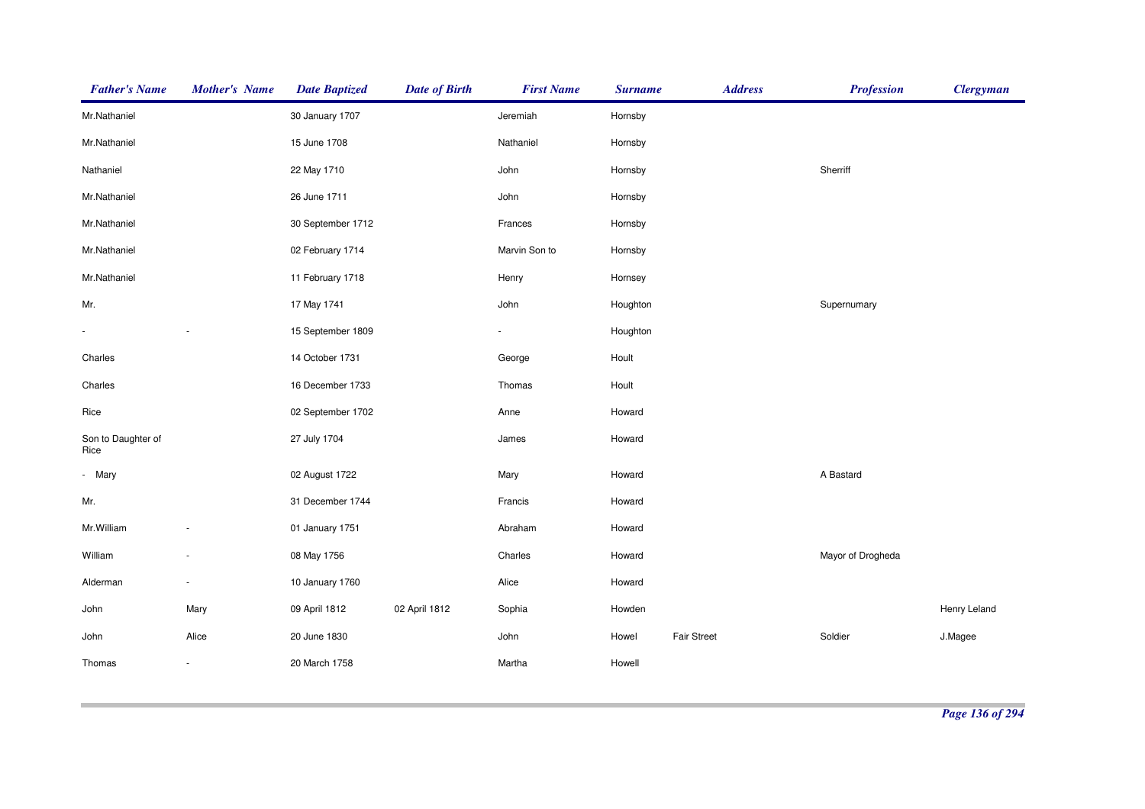| <b>Father's Name</b>       | <b>Mother's Name</b> | <b>Date Baptized</b> | <b>Date of Birth</b> | <b>First Name</b>        | <b>Surname</b> | <b>Address</b>     | <b>Profession</b> | <b>Clergyman</b> |
|----------------------------|----------------------|----------------------|----------------------|--------------------------|----------------|--------------------|-------------------|------------------|
| Mr.Nathaniel               |                      | 30 January 1707      |                      | Jeremiah                 | Hornsby        |                    |                   |                  |
| Mr.Nathaniel               |                      | 15 June 1708         |                      | Nathaniel                | Hornsby        |                    |                   |                  |
| Nathaniel                  |                      | 22 May 1710          |                      | John                     | Hornsby        |                    | Sherriff          |                  |
| Mr.Nathaniel               |                      | 26 June 1711         |                      | John                     | Hornsby        |                    |                   |                  |
| Mr.Nathaniel               |                      | 30 September 1712    |                      | Frances                  | Hornsby        |                    |                   |                  |
| Mr.Nathaniel               |                      | 02 February 1714     |                      | Marvin Son to            | Hornsby        |                    |                   |                  |
| Mr.Nathaniel               |                      | 11 February 1718     |                      | Henry                    | Hornsey        |                    |                   |                  |
| Mr.                        |                      | 17 May 1741          |                      | John                     | Houghton       |                    | Supernumary       |                  |
| $\frac{1}{2}$              |                      | 15 September 1809    |                      | $\overline{\phantom{a}}$ | Houghton       |                    |                   |                  |
| Charles                    |                      | 14 October 1731      |                      | George                   | Hoult          |                    |                   |                  |
| Charles                    |                      | 16 December 1733     |                      | Thomas                   | Hoult          |                    |                   |                  |
| Rice                       |                      | 02 September 1702    |                      | Anne                     | Howard         |                    |                   |                  |
| Son to Daughter of<br>Rice |                      | 27 July 1704         |                      | James                    | Howard         |                    |                   |                  |
| - Mary                     |                      | 02 August 1722       |                      | Mary                     | Howard         |                    | A Bastard         |                  |
| Mr.                        |                      | 31 December 1744     |                      | Francis                  | Howard         |                    |                   |                  |
| Mr. William                |                      | 01 January 1751      |                      | Abraham                  | Howard         |                    |                   |                  |
| William                    | ÷                    | 08 May 1756          |                      | Charles                  | Howard         |                    | Mayor of Drogheda |                  |
| Alderman                   | ä,                   | 10 January 1760      |                      | Alice                    | Howard         |                    |                   |                  |
| John                       | Mary                 | 09 April 1812        | 02 April 1812        | Sophia                   | Howden         |                    |                   | Henry Leland     |
| John                       | Alice                | 20 June 1830         |                      | John                     | Howel          | <b>Fair Street</b> | Soldier           | J.Magee          |
| Thomas                     | ÷                    | 20 March 1758        |                      | Martha                   | Howell         |                    |                   |                  |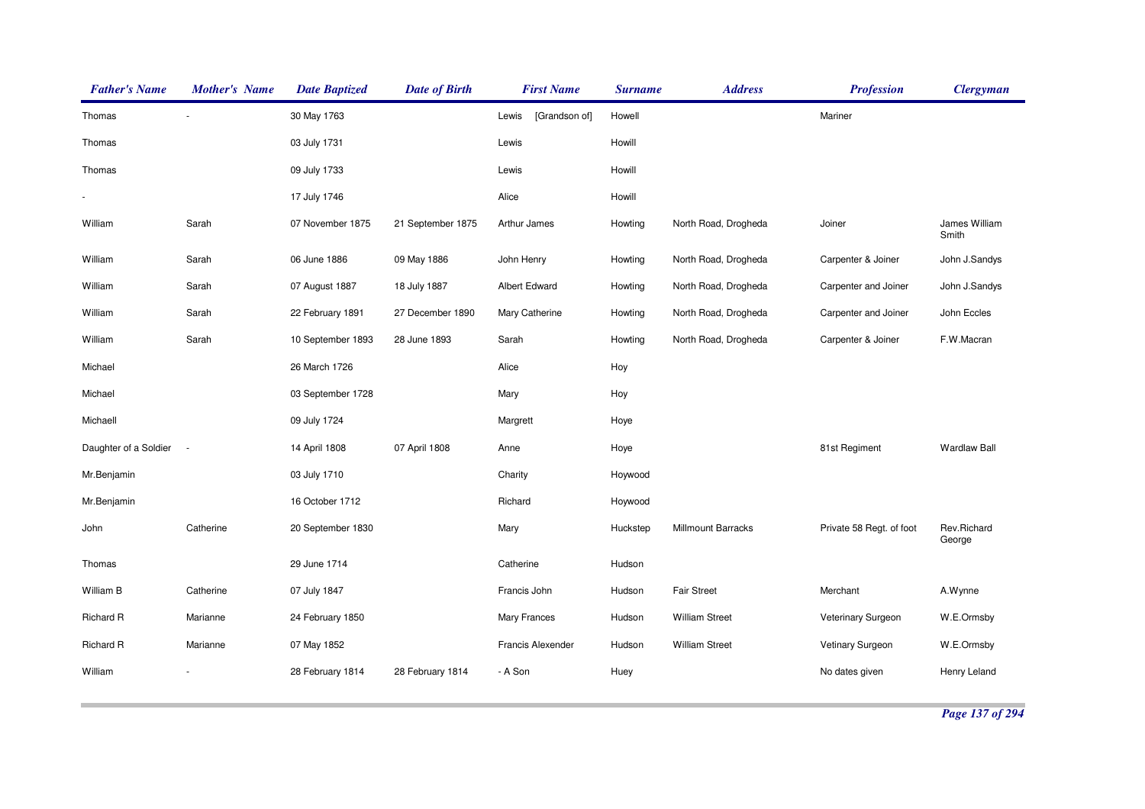| <b>Father's Name</b>  | <b>Mother's Name</b> | <b>Date Baptized</b> | <b>Date of Birth</b> | <b>First Name</b>      | <b>Surname</b> | <b>Address</b>            | <b>Profession</b>        | <b>Clergyman</b>       |
|-----------------------|----------------------|----------------------|----------------------|------------------------|----------------|---------------------------|--------------------------|------------------------|
| Thomas                |                      | 30 May 1763          |                      | [Grandson of]<br>Lewis | Howell         |                           | Mariner                  |                        |
| Thomas                |                      | 03 July 1731         |                      | Lewis                  | Howill         |                           |                          |                        |
| Thomas                |                      | 09 July 1733         |                      | Lewis                  | Howill         |                           |                          |                        |
|                       |                      | 17 July 1746         |                      | Alice                  | Howill         |                           |                          |                        |
| William               | Sarah                | 07 November 1875     | 21 September 1875    | Arthur James           | Howting        | North Road, Drogheda      | Joiner                   | James William<br>Smith |
| William               | Sarah                | 06 June 1886         | 09 May 1886          | John Henry             | Howting        | North Road, Drogheda      | Carpenter & Joiner       | John J.Sandys          |
| William               | Sarah                | 07 August 1887       | 18 July 1887         | Albert Edward          | Howting        | North Road, Drogheda      | Carpenter and Joiner     | John J.Sandys          |
| William               | Sarah                | 22 February 1891     | 27 December 1890     | Mary Catherine         | Howting        | North Road, Drogheda      | Carpenter and Joiner     | John Eccles            |
| William               | Sarah                | 10 September 1893    | 28 June 1893         | Sarah                  | Howting        | North Road, Drogheda      | Carpenter & Joiner       | F.W.Macran             |
| Michael               |                      | 26 March 1726        |                      | Alice                  | Hoy            |                           |                          |                        |
| Michael               |                      | 03 September 1728    |                      | Mary                   | Hoy            |                           |                          |                        |
| Michaell              |                      | 09 July 1724         |                      | Margrett               | Hoye           |                           |                          |                        |
| Daughter of a Soldier | $\sim$               | 14 April 1808        | 07 April 1808        | Anne                   | Hoye           |                           | 81st Regiment            | <b>Wardlaw Ball</b>    |
| Mr.Benjamin           |                      | 03 July 1710         |                      | Charity                | Hoywood        |                           |                          |                        |
| Mr.Benjamin           |                      | 16 October 1712      |                      | Richard                | Hoywood        |                           |                          |                        |
| John                  | Catherine            | 20 September 1830    |                      | Mary                   | Huckstep       | <b>Millmount Barracks</b> | Private 58 Regt. of foot | Rev.Richard<br>George  |
| Thomas                |                      | 29 June 1714         |                      | Catherine              | Hudson         |                           |                          |                        |
| William B             | Catherine            | 07 July 1847         |                      | Francis John           | Hudson         | <b>Fair Street</b>        | Merchant                 | A.Wynne                |
| Richard R             | Marianne             | 24 February 1850     |                      | Mary Frances           | Hudson         | <b>William Street</b>     | Veterinary Surgeon       | W.E.Ormsby             |
| Richard R             | Marianne             | 07 May 1852          |                      | Francis Alexender      | Hudson         | <b>William Street</b>     | Vetinary Surgeon         | W.E.Ormsby             |
| William               |                      | 28 February 1814     | 28 February 1814     | - A Son                | Huey           |                           | No dates given           | Henry Leland           |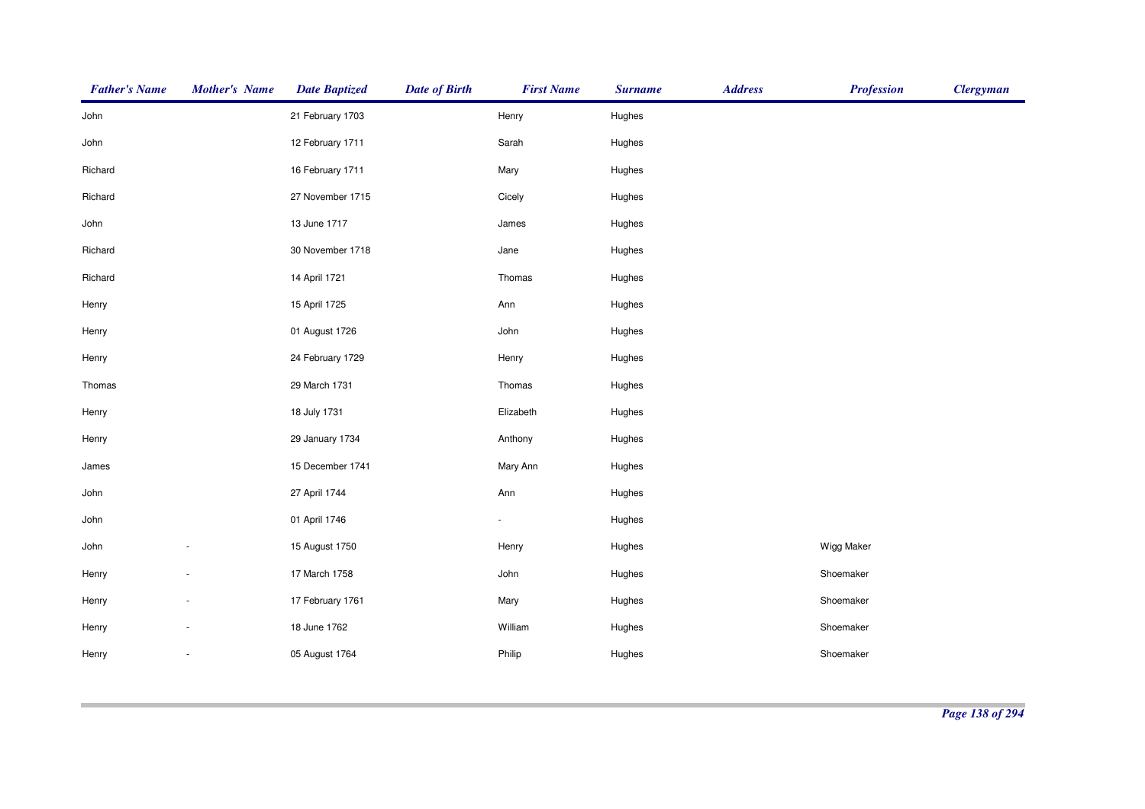| <b>Father's Name</b> | <b>Mother's Name</b> | <b>Date Baptized</b> | <b>Date of Birth</b> | <b>First Name</b> | <b>Surname</b> | <b>Address</b> | <b>Profession</b> | <b>Clergyman</b> |
|----------------------|----------------------|----------------------|----------------------|-------------------|----------------|----------------|-------------------|------------------|
| John                 |                      | 21 February 1703     |                      | Henry             | Hughes         |                |                   |                  |
| John                 |                      | 12 February 1711     |                      | Sarah             | Hughes         |                |                   |                  |
| Richard              |                      | 16 February 1711     |                      | Mary              | Hughes         |                |                   |                  |
| Richard              |                      | 27 November 1715     |                      | Cicely            | Hughes         |                |                   |                  |
| John                 |                      | 13 June 1717         |                      | James             | Hughes         |                |                   |                  |
| Richard              |                      | 30 November 1718     |                      | Jane              | Hughes         |                |                   |                  |
| Richard              |                      | 14 April 1721        |                      | Thomas            | Hughes         |                |                   |                  |
| Henry                |                      | 15 April 1725        |                      | Ann               | Hughes         |                |                   |                  |
| Henry                |                      | 01 August 1726       |                      | John              | Hughes         |                |                   |                  |
| Henry                |                      | 24 February 1729     |                      | Henry             | Hughes         |                |                   |                  |
| Thomas               |                      | 29 March 1731        |                      | Thomas            | Hughes         |                |                   |                  |
| Henry                |                      | 18 July 1731         |                      | Elizabeth         | Hughes         |                |                   |                  |
| Henry                |                      | 29 January 1734      |                      | Anthony           | Hughes         |                |                   |                  |
| James                |                      | 15 December 1741     |                      | Mary Ann          | Hughes         |                |                   |                  |
| John                 |                      | 27 April 1744        |                      | Ann               | Hughes         |                |                   |                  |
| John                 |                      | 01 April 1746        |                      | ÷.                | Hughes         |                |                   |                  |
| John                 |                      | 15 August 1750       |                      | Henry             | Hughes         |                | Wigg Maker        |                  |
| Henry                |                      | 17 March 1758        |                      | John              | Hughes         |                | Shoemaker         |                  |
| Henry                |                      | 17 February 1761     |                      | Mary              | Hughes         |                | Shoemaker         |                  |
| Henry                |                      | 18 June 1762         |                      | William           | Hughes         |                | Shoemaker         |                  |
| Henry                | $\overline{a}$       | 05 August 1764       |                      | Philip            | Hughes         |                | Shoemaker         |                  |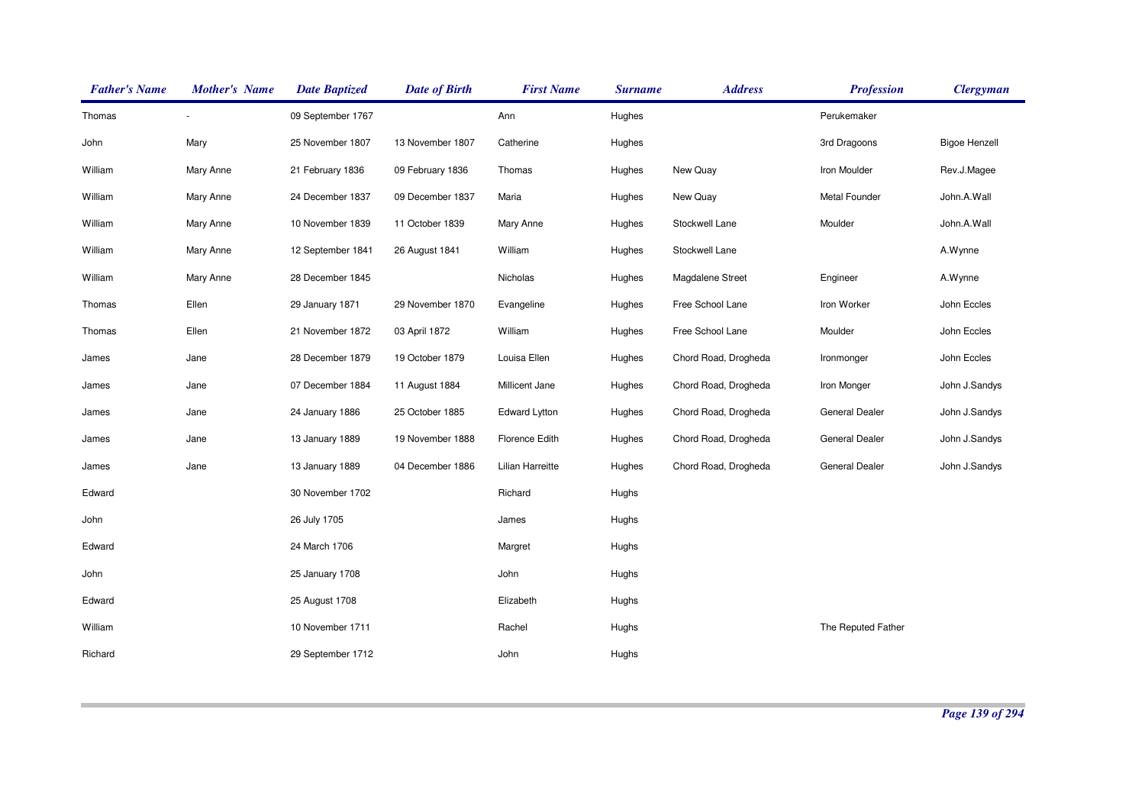| <b>Father's Name</b> | <b>Mother's Name</b> | <b>Date Baptized</b> | <b>Date of Birth</b> | <b>First Name</b> | <b>Surname</b> | <b>Address</b>       | <b>Profession</b>  | <b>Clergyman</b>     |
|----------------------|----------------------|----------------------|----------------------|-------------------|----------------|----------------------|--------------------|----------------------|
| Thomas               |                      | 09 September 1767    |                      | Ann               | Hughes         |                      | Perukemaker        |                      |
| John                 | Mary                 | 25 November 1807     | 13 November 1807     | Catherine         | Hughes         |                      | 3rd Dragoons       | <b>Bigoe Henzell</b> |
| William              | Mary Anne            | 21 February 1836     | 09 February 1836     | Thomas            | Hughes         | New Quay             | Iron Moulder       | Rev.J.Magee          |
| William              | Mary Anne            | 24 December 1837     | 09 December 1837     | Maria             | Hughes         | New Quay             | Metal Founder      | John.A.Wall          |
| William              | Mary Anne            | 10 November 1839     | 11 October 1839      | Mary Anne         | Hughes         | Stockwell Lane       | Moulder            | John.A.Wall          |
| William              | Mary Anne            | 12 September 1841    | 26 August 1841       | William           | Hughes         | Stockwell Lane       |                    | A.Wynne              |
| William              | Mary Anne            | 28 December 1845     |                      | Nicholas          | Hughes         | Magdalene Street     | Engineer           | A.Wynne              |
| Thomas               | Ellen                | 29 January 1871      | 29 November 1870     | Evangeline        | Hughes         | Free School Lane     | Iron Worker        | John Eccles          |
| Thomas               | Ellen                | 21 November 1872     | 03 April 1872        | William           | Hughes         | Free School Lane     | Moulder            | John Eccles          |
| James                | Jane                 | 28 December 1879     | 19 October 1879      | Louisa Ellen      | Hughes         | Chord Road, Drogheda | Ironmonger         | John Eccles          |
| James                | Jane                 | 07 December 1884     | 11 August 1884       | Millicent Jane    | Hughes         | Chord Road, Drogheda | Iron Monger        | John J.Sandys        |
| James                | Jane                 | 24 January 1886      | 25 October 1885      | Edward Lytton     | Hughes         | Chord Road, Drogheda | General Dealer     | John J.Sandys        |
| James                | Jane                 | 13 January 1889      | 19 November 1888     | Florence Edith    | Hughes         | Chord Road, Drogheda | General Dealer     | John J.Sandys        |
| James                | Jane                 | 13 January 1889      | 04 December 1886     | Lilian Harreitte  | Hughes         | Chord Road, Drogheda | General Dealer     | John J.Sandys        |
| Edward               |                      | 30 November 1702     |                      | Richard           | Hughs          |                      |                    |                      |
| John                 |                      | 26 July 1705         |                      | James             | Hughs          |                      |                    |                      |
| Edward               |                      | 24 March 1706        |                      | Margret           | Hughs          |                      |                    |                      |
| John                 |                      | 25 January 1708      |                      | John              | Hughs          |                      |                    |                      |
| Edward               |                      | 25 August 1708       |                      | Elizabeth         | Hughs          |                      |                    |                      |
| William              |                      | 10 November 1711     |                      | Rachel            | Hughs          |                      | The Reputed Father |                      |
| Richard              |                      | 29 September 1712    |                      | John              | Hughs          |                      |                    |                      |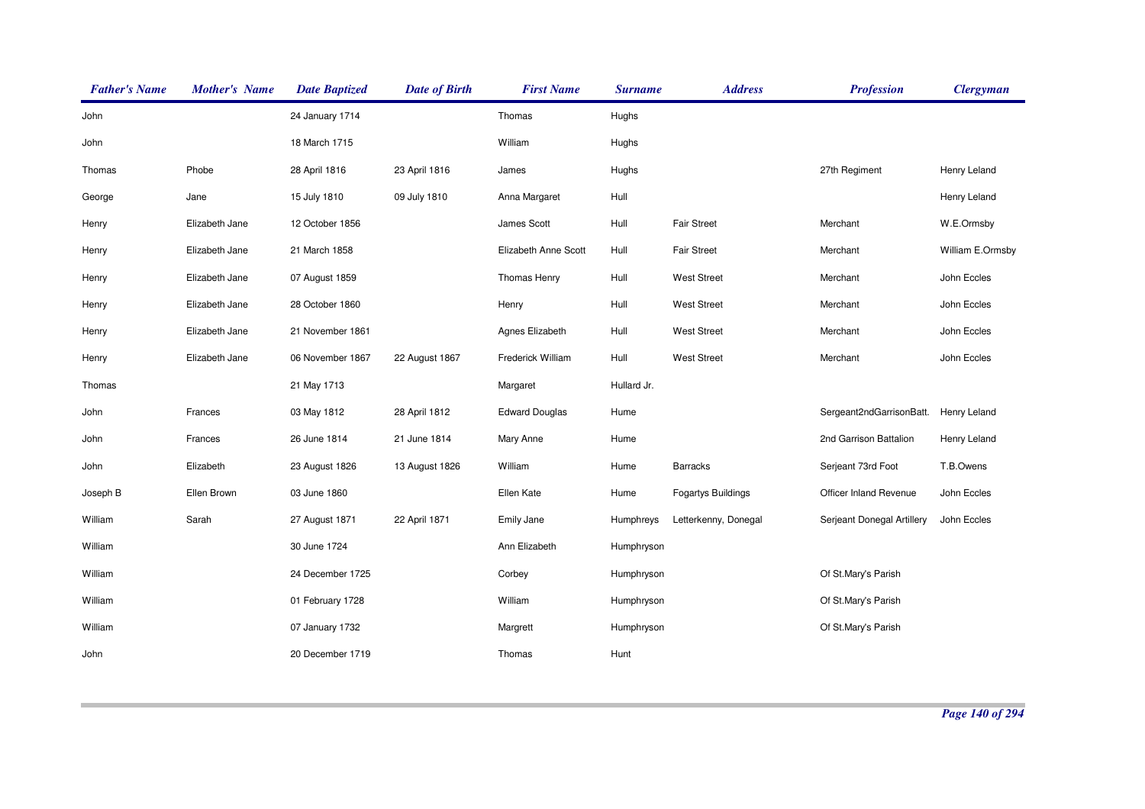| <b>Father's Name</b> | <b>Mother's Name</b> | <b>Date Baptized</b> | <b>Date of Birth</b> | <b>First Name</b>     | <b>Surname</b> | <b>Address</b>            | <b>Profession</b>          | <b>Clergyman</b> |
|----------------------|----------------------|----------------------|----------------------|-----------------------|----------------|---------------------------|----------------------------|------------------|
| John                 |                      | 24 January 1714      |                      | Thomas                | Hughs          |                           |                            |                  |
| John                 |                      | 18 March 1715        |                      | William               | Hughs          |                           |                            |                  |
| Thomas               | Phobe                | 28 April 1816        | 23 April 1816        | James                 | Hughs          |                           | 27th Regiment              | Henry Leland     |
| George               | Jane                 | 15 July 1810         | 09 July 1810         | Anna Margaret         | Hull           |                           |                            | Henry Leland     |
| Henry                | Elizabeth Jane       | 12 October 1856      |                      | James Scott           | Hull           | <b>Fair Street</b>        | Merchant                   | W.E.Ormsby       |
| Henry                | Elizabeth Jane       | 21 March 1858        |                      | Elizabeth Anne Scott  | Hull           | <b>Fair Street</b>        | Merchant                   | William E.Ormsby |
| Henry                | Elizabeth Jane       | 07 August 1859       |                      | Thomas Henry          | Hull           | <b>West Street</b>        | Merchant                   | John Eccles      |
| Henry                | Elizabeth Jane       | 28 October 1860      |                      | Henry                 | Hull           | <b>West Street</b>        | Merchant                   | John Eccles      |
| Henry                | Elizabeth Jane       | 21 November 1861     |                      | Agnes Elizabeth       | Hull           | <b>West Street</b>        | Merchant                   | John Eccles      |
| Henry                | Elizabeth Jane       | 06 November 1867     | 22 August 1867       | Frederick William     | Hull           | <b>West Street</b>        | Merchant                   | John Eccles      |
| Thomas               |                      | 21 May 1713          |                      | Margaret              | Hullard Jr.    |                           |                            |                  |
| John                 | Frances              | 03 May 1812          | 28 April 1812        | <b>Edward Douglas</b> | Hume           |                           | Sergeant2ndGarrisonBatt.   | Henry Leland     |
| John                 | Frances              | 26 June 1814         | 21 June 1814         | Mary Anne             | Hume           |                           | 2nd Garrison Battalion     | Henry Leland     |
| John                 | Elizabeth            | 23 August 1826       | 13 August 1826       | William               | Hume           | <b>Barracks</b>           | Serjeant 73rd Foot         | T.B.Owens        |
| Joseph B             | Ellen Brown          | 03 June 1860         |                      | Ellen Kate            | Hume           | <b>Fogartys Buildings</b> | Officer Inland Revenue     | John Eccles      |
| William              | Sarah                | 27 August 1871       | 22 April 1871        | Emily Jane            | Humphreys      | Letterkenny, Donegal      | Serjeant Donegal Artillery | John Eccles      |
| William              |                      | 30 June 1724         |                      | Ann Elizabeth         | Humphryson     |                           |                            |                  |
| William              |                      | 24 December 1725     |                      | Corbey                | Humphryson     |                           | Of St.Mary's Parish        |                  |
| William              |                      | 01 February 1728     |                      | William               | Humphryson     |                           | Of St.Mary's Parish        |                  |
| William              |                      | 07 January 1732      |                      | Margrett              | Humphryson     |                           | Of St.Mary's Parish        |                  |
| John                 |                      | 20 December 1719     |                      | Thomas                | Hunt           |                           |                            |                  |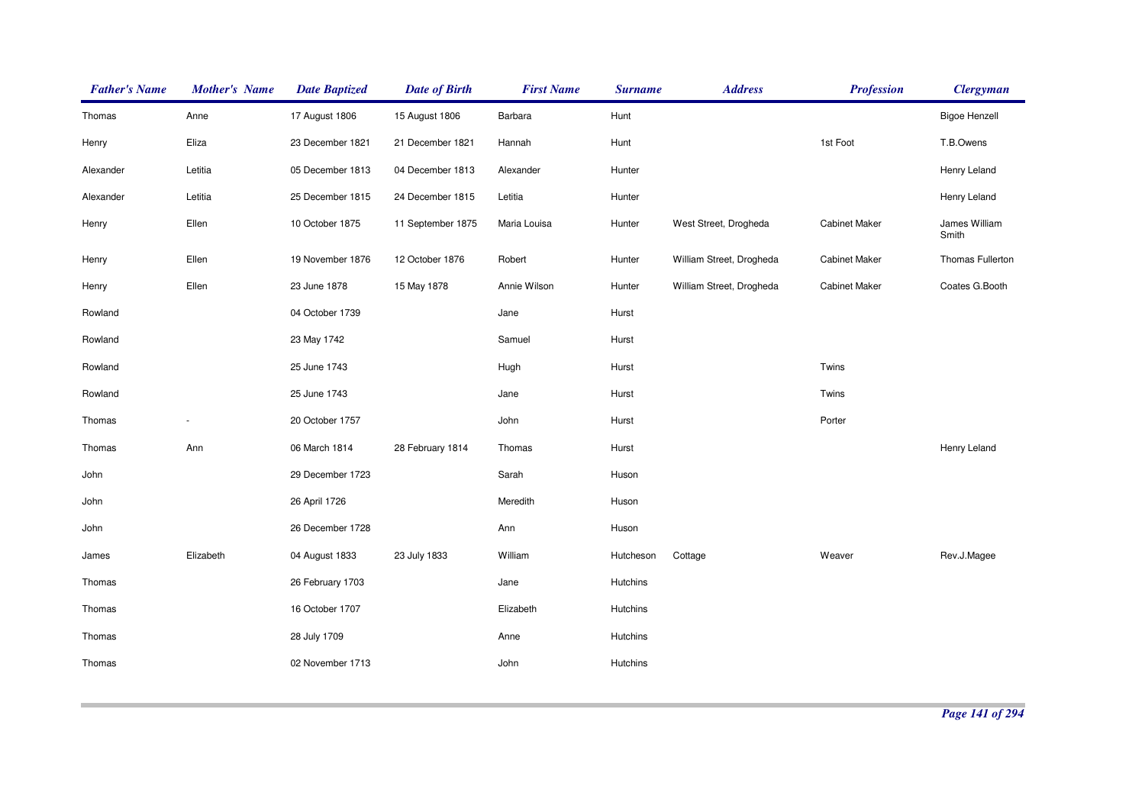| <b>Father's Name</b> | <b>Mother's Name</b>     | <b>Date Baptized</b> | <b>Date of Birth</b> | <b>First Name</b> | <b>Surname</b> | <b>Address</b>           | <b>Profession</b>    | <b>Clergyman</b>       |
|----------------------|--------------------------|----------------------|----------------------|-------------------|----------------|--------------------------|----------------------|------------------------|
| Thomas               | Anne                     | 17 August 1806       | 15 August 1806       | Barbara           | Hunt           |                          |                      | <b>Bigoe Henzell</b>   |
| Henry                | Eliza                    | 23 December 1821     | 21 December 1821     | Hannah            | Hunt           |                          | 1st Foot             | T.B.Owens              |
| Alexander            | Letitia                  | 05 December 1813     | 04 December 1813     | Alexander         | Hunter         |                          |                      | Henry Leland           |
| Alexander            | Letitia                  | 25 December 1815     | 24 December 1815     | Letitia           | Hunter         |                          |                      | Henry Leland           |
| Henry                | Ellen                    | 10 October 1875      | 11 September 1875    | Maria Louisa      | Hunter         | West Street, Drogheda    | <b>Cabinet Maker</b> | James William<br>Smith |
| Henry                | Ellen                    | 19 November 1876     | 12 October 1876      | Robert            | Hunter         | William Street, Drogheda | <b>Cabinet Maker</b> | Thomas Fullerton       |
| Henry                | Ellen                    | 23 June 1878         | 15 May 1878          | Annie Wilson      | Hunter         | William Street, Drogheda | <b>Cabinet Maker</b> | Coates G.Booth         |
| Rowland              |                          | 04 October 1739      |                      | Jane              | Hurst          |                          |                      |                        |
| Rowland              |                          | 23 May 1742          |                      | Samuel            | Hurst          |                          |                      |                        |
| Rowland              |                          | 25 June 1743         |                      | Hugh              | Hurst          |                          | Twins                |                        |
| Rowland              |                          | 25 June 1743         |                      | Jane              | Hurst          |                          | Twins                |                        |
| Thomas               | $\overline{\phantom{a}}$ | 20 October 1757      |                      | John              | Hurst          |                          | Porter               |                        |
| Thomas               | Ann                      | 06 March 1814        | 28 February 1814     | Thomas            | Hurst          |                          |                      | Henry Leland           |
| John                 |                          | 29 December 1723     |                      | Sarah             | Huson          |                          |                      |                        |
| John                 |                          | 26 April 1726        |                      | Meredith          | Huson          |                          |                      |                        |
| John                 |                          | 26 December 1728     |                      | Ann               | Huson          |                          |                      |                        |
| James                | Elizabeth                | 04 August 1833       | 23 July 1833         | William           | Hutcheson      | Cottage                  | Weaver               | Rev.J.Magee            |
| Thomas               |                          | 26 February 1703     |                      | Jane              | Hutchins       |                          |                      |                        |
| Thomas               |                          | 16 October 1707      |                      | Elizabeth         | Hutchins       |                          |                      |                        |
| Thomas               |                          | 28 July 1709         |                      | Anne              | Hutchins       |                          |                      |                        |
| Thomas               |                          | 02 November 1713     |                      | John              | Hutchins       |                          |                      |                        |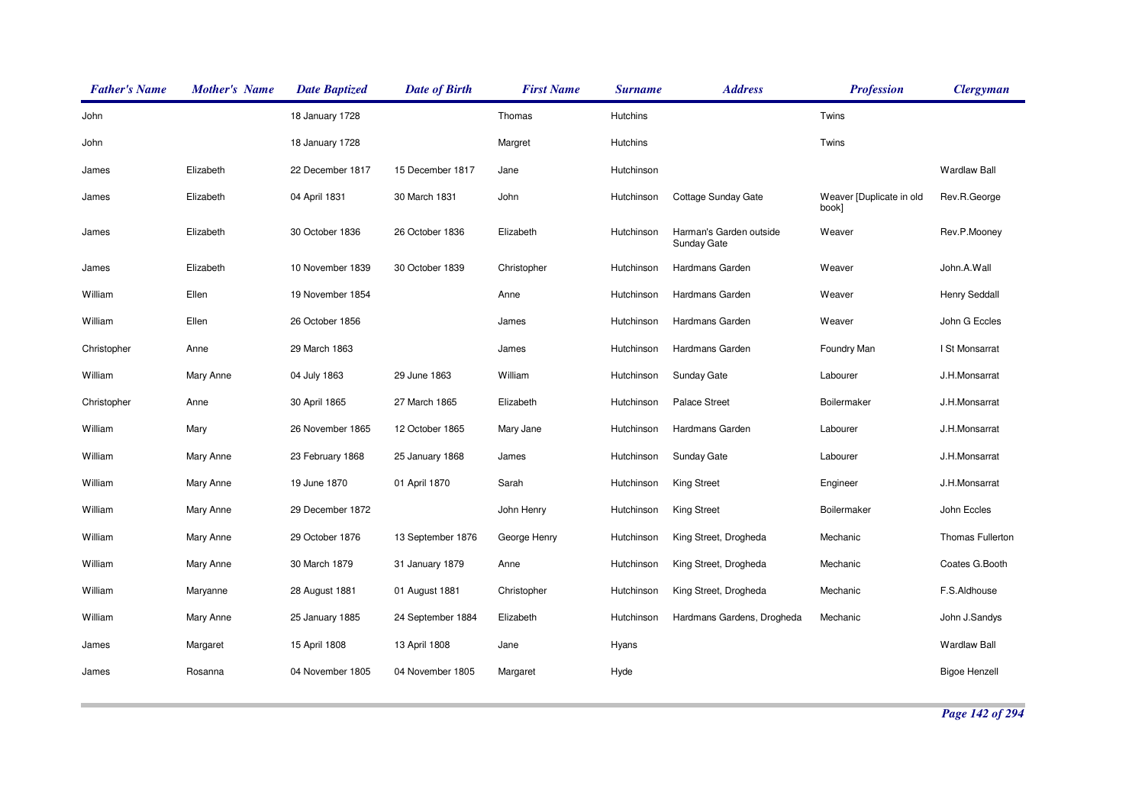| <b>Father's Name</b> | <b>Mother's Name</b> | <b>Date Baptized</b> | <b>Date of Birth</b> | <b>First Name</b> | <b>Surname</b>  | <b>Address</b>                         | <b>Profession</b>                 | <b>Clergyman</b>     |
|----------------------|----------------------|----------------------|----------------------|-------------------|-----------------|----------------------------------------|-----------------------------------|----------------------|
| John                 |                      | 18 January 1728      |                      | Thomas            | <b>Hutchins</b> |                                        | Twins                             |                      |
| John                 |                      | 18 January 1728      |                      | Margret           | <b>Hutchins</b> |                                        | Twins                             |                      |
| James                | Elizabeth            | 22 December 1817     | 15 December 1817     | Jane              | Hutchinson      |                                        |                                   | <b>Wardlaw Ball</b>  |
| James                | Elizabeth            | 04 April 1831        | 30 March 1831        | John              | Hutchinson      | Cottage Sunday Gate                    | Weaver [Duplicate in old<br>book] | Rev.R.George         |
| James                | Elizabeth            | 30 October 1836      | 26 October 1836      | Elizabeth         | Hutchinson      | Harman's Garden outside<br>Sunday Gate | Weaver                            | Rev.P.Mooney         |
| James                | Elizabeth            | 10 November 1839     | 30 October 1839      | Christopher       | Hutchinson      | Hardmans Garden                        | Weaver                            | John.A.Wall          |
| William              | Ellen                | 19 November 1854     |                      | Anne              | Hutchinson      | Hardmans Garden                        | Weaver                            | <b>Henry Seddall</b> |
| William              | Ellen                | 26 October 1856      |                      | James             | Hutchinson      | Hardmans Garden                        | Weaver                            | John G Eccles        |
| Christopher          | Anne                 | 29 March 1863        |                      | James             | Hutchinson      | Hardmans Garden                        | Foundry Man                       | I St Monsarrat       |
| William              | Mary Anne            | 04 July 1863         | 29 June 1863         | William           | Hutchinson      | Sunday Gate                            | Labourer                          | J.H.Monsarrat        |
| Christopher          | Anne                 | 30 April 1865        | 27 March 1865        | Elizabeth         | Hutchinson      | <b>Palace Street</b>                   | <b>Boilermaker</b>                | J.H.Monsarrat        |
| William              | Mary                 | 26 November 1865     | 12 October 1865      | Mary Jane         | Hutchinson      | Hardmans Garden                        | Labourer                          | J.H.Monsarrat        |
| William              | Mary Anne            | 23 February 1868     | 25 January 1868      | James             | Hutchinson      | Sunday Gate                            | Labourer                          | J.H.Monsarrat        |
| William              | Mary Anne            | 19 June 1870         | 01 April 1870        | Sarah             | Hutchinson      | <b>King Street</b>                     | Engineer                          | J.H.Monsarrat        |
| William              | Mary Anne            | 29 December 1872     |                      | John Henry        | Hutchinson      | <b>King Street</b>                     | <b>Boilermaker</b>                | John Eccles          |
| William              | Mary Anne            | 29 October 1876      | 13 September 1876    | George Henry      | Hutchinson      | King Street, Drogheda                  | Mechanic                          | Thomas Fullerton     |
| William              | Mary Anne            | 30 March 1879        | 31 January 1879      | Anne              | Hutchinson      | King Street, Drogheda                  | Mechanic                          | Coates G.Booth       |
| William              | Maryanne             | 28 August 1881       | 01 August 1881       | Christopher       | Hutchinson      | King Street, Drogheda                  | Mechanic                          | F.S.Aldhouse         |
| William              | Mary Anne            | 25 January 1885      | 24 September 1884    | Elizabeth         | Hutchinson      | Hardmans Gardens, Drogheda             | Mechanic                          | John J.Sandys        |
| James                | Margaret             | 15 April 1808        | 13 April 1808        | Jane              | Hyans           |                                        |                                   | <b>Wardlaw Ball</b>  |
| James                | Rosanna              | 04 November 1805     | 04 November 1805     | Margaret          | Hyde            |                                        |                                   | <b>Bigoe Henzell</b> |
|                      |                      |                      |                      |                   |                 |                                        |                                   |                      |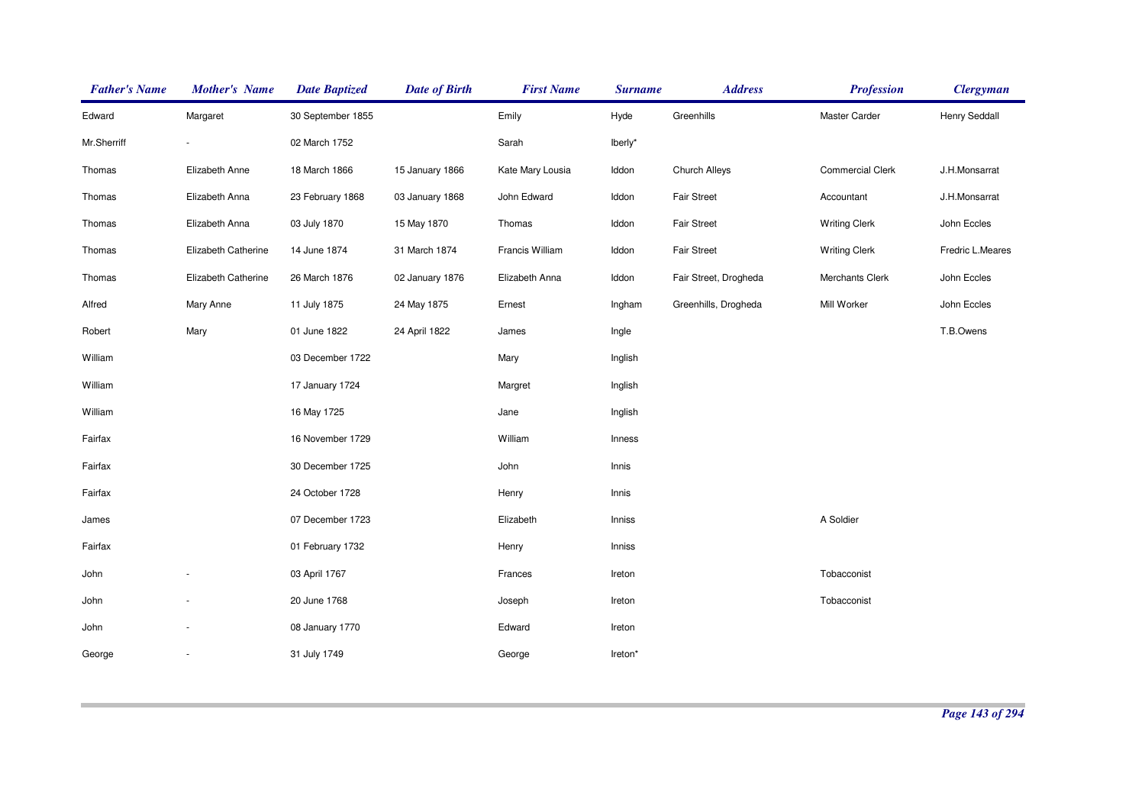| <b>Father's Name</b> | <b>Mother's Name</b> | <b>Date Baptized</b> | <b>Date of Birth</b> | <b>First Name</b> | <b>Surname</b> | <b>Address</b>        | <b>Profession</b>       | <b>Clergyman</b> |
|----------------------|----------------------|----------------------|----------------------|-------------------|----------------|-----------------------|-------------------------|------------------|
| Edward               | Margaret             | 30 September 1855    |                      | Emily             | Hyde           | Greenhills            | Master Carder           | Henry Seddall    |
| Mr.Sherriff          |                      | 02 March 1752        |                      | Sarah             | lberly*        |                       |                         |                  |
| Thomas               | Elizabeth Anne       | 18 March 1866        | 15 January 1866      | Kate Mary Lousia  | Iddon          | Church Alleys         | <b>Commercial Clerk</b> | J.H.Monsarrat    |
| Thomas               | Elizabeth Anna       | 23 February 1868     | 03 January 1868      | John Edward       | Iddon          | <b>Fair Street</b>    | Accountant              | J.H.Monsarrat    |
| Thomas               | Elizabeth Anna       | 03 July 1870         | 15 May 1870          | Thomas            | Iddon          | <b>Fair Street</b>    | <b>Writing Clerk</b>    | John Eccles      |
| Thomas               | Elizabeth Catherine  | 14 June 1874         | 31 March 1874        | Francis William   | Iddon          | Fair Street           | <b>Writing Clerk</b>    | Fredric L.Meares |
| Thomas               | Elizabeth Catherine  | 26 March 1876        | 02 January 1876      | Elizabeth Anna    | Iddon          | Fair Street, Drogheda | Merchants Clerk         | John Eccles      |
| Alfred               | Mary Anne            | 11 July 1875         | 24 May 1875          | Ernest            | Ingham         | Greenhills, Drogheda  | Mill Worker             | John Eccles      |
| Robert               | Mary                 | 01 June 1822         | 24 April 1822        | James             | Ingle          |                       |                         | T.B.Owens        |
| William              |                      | 03 December 1722     |                      | Mary              | Inglish        |                       |                         |                  |
| William              |                      | 17 January 1724      |                      | Margret           | Inglish        |                       |                         |                  |
| William              |                      | 16 May 1725          |                      | Jane              | Inglish        |                       |                         |                  |
| Fairfax              |                      | 16 November 1729     |                      | William           | Inness         |                       |                         |                  |
| Fairfax              |                      | 30 December 1725     |                      | John              | Innis          |                       |                         |                  |
| Fairfax              |                      | 24 October 1728      |                      | Henry             | Innis          |                       |                         |                  |
| James                |                      | 07 December 1723     |                      | Elizabeth         | Inniss         |                       | A Soldier               |                  |
| Fairfax              |                      | 01 February 1732     |                      | Henry             | Inniss         |                       |                         |                  |
| John                 |                      | 03 April 1767        |                      | Frances           | Ireton         |                       | Tobacconist             |                  |
| John                 |                      | 20 June 1768         |                      | Joseph            | Ireton         |                       | Tobacconist             |                  |
| John                 |                      | 08 January 1770      |                      | Edward            | Ireton         |                       |                         |                  |
| George               | $\sim$               | 31 July 1749         |                      | George            | Ireton*        |                       |                         |                  |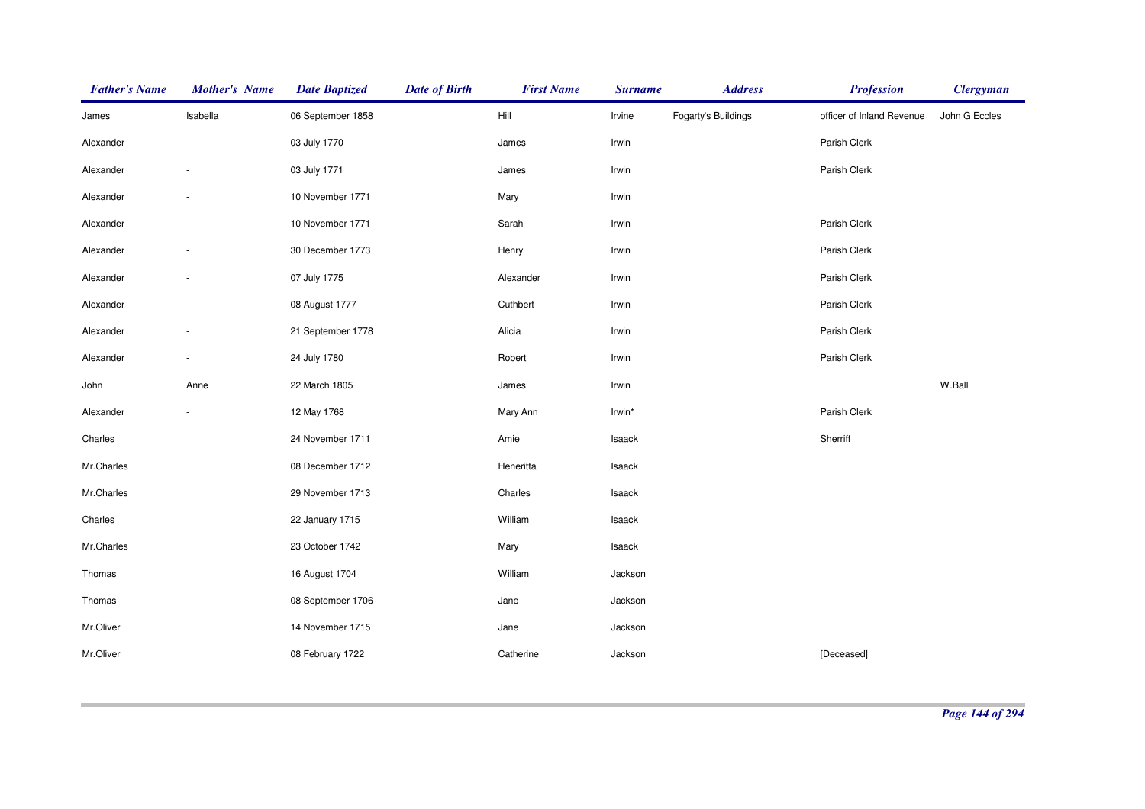| <b>Father's Name</b> | <b>Mother's Name</b> | <b>Date Baptized</b> | <b>Date of Birth</b> | <b>First Name</b> | <b>Surname</b> | <b>Address</b>      | <b>Profession</b>         | <b>Clergyman</b> |
|----------------------|----------------------|----------------------|----------------------|-------------------|----------------|---------------------|---------------------------|------------------|
| James                | Isabella             | 06 September 1858    |                      | Hill              | Irvine         | Fogarty's Buildings | officer of Inland Revenue | John G Eccles    |
| Alexander            |                      | 03 July 1770         |                      | James             | Irwin          |                     | Parish Clerk              |                  |
| Alexander            | $\sim$               | 03 July 1771         |                      | James             | Irwin          |                     | Parish Clerk              |                  |
| Alexander            |                      | 10 November 1771     |                      | Mary              | Irwin          |                     |                           |                  |
| Alexander            |                      | 10 November 1771     |                      | Sarah             | Irwin          |                     | Parish Clerk              |                  |
| Alexander            |                      | 30 December 1773     |                      | Henry             | Irwin          |                     | Parish Clerk              |                  |
| Alexander            |                      | 07 July 1775         |                      | Alexander         | Irwin          |                     | Parish Clerk              |                  |
| Alexander            |                      | 08 August 1777       |                      | Cuthbert          | Irwin          |                     | Parish Clerk              |                  |
| Alexander            |                      | 21 September 1778    |                      | Alicia            | Irwin          |                     | Parish Clerk              |                  |
| Alexander            |                      | 24 July 1780         |                      | Robert            | Irwin          |                     | Parish Clerk              |                  |
| John                 | Anne                 | 22 March 1805        |                      | James             | Irwin          |                     |                           | W.Ball           |
| Alexander            | $\sim$               | 12 May 1768          |                      | Mary Ann          | Irwin*         |                     | Parish Clerk              |                  |
| Charles              |                      | 24 November 1711     |                      | Amie              | Isaack         |                     | Sherriff                  |                  |
| Mr.Charles           |                      | 08 December 1712     |                      | Heneritta         | Isaack         |                     |                           |                  |
| Mr.Charles           |                      | 29 November 1713     |                      | Charles           | Isaack         |                     |                           |                  |
| Charles              |                      | 22 January 1715      |                      | William           | Isaack         |                     |                           |                  |
| Mr.Charles           |                      | 23 October 1742      |                      | Mary              | Isaack         |                     |                           |                  |
| Thomas               |                      | 16 August 1704       |                      | William           | Jackson        |                     |                           |                  |
| Thomas               |                      | 08 September 1706    |                      | Jane              | Jackson        |                     |                           |                  |
| Mr.Oliver            |                      | 14 November 1715     |                      | Jane              | Jackson        |                     |                           |                  |
| Mr.Oliver            |                      | 08 February 1722     |                      | Catherine         | Jackson        |                     | [Deceased]                |                  |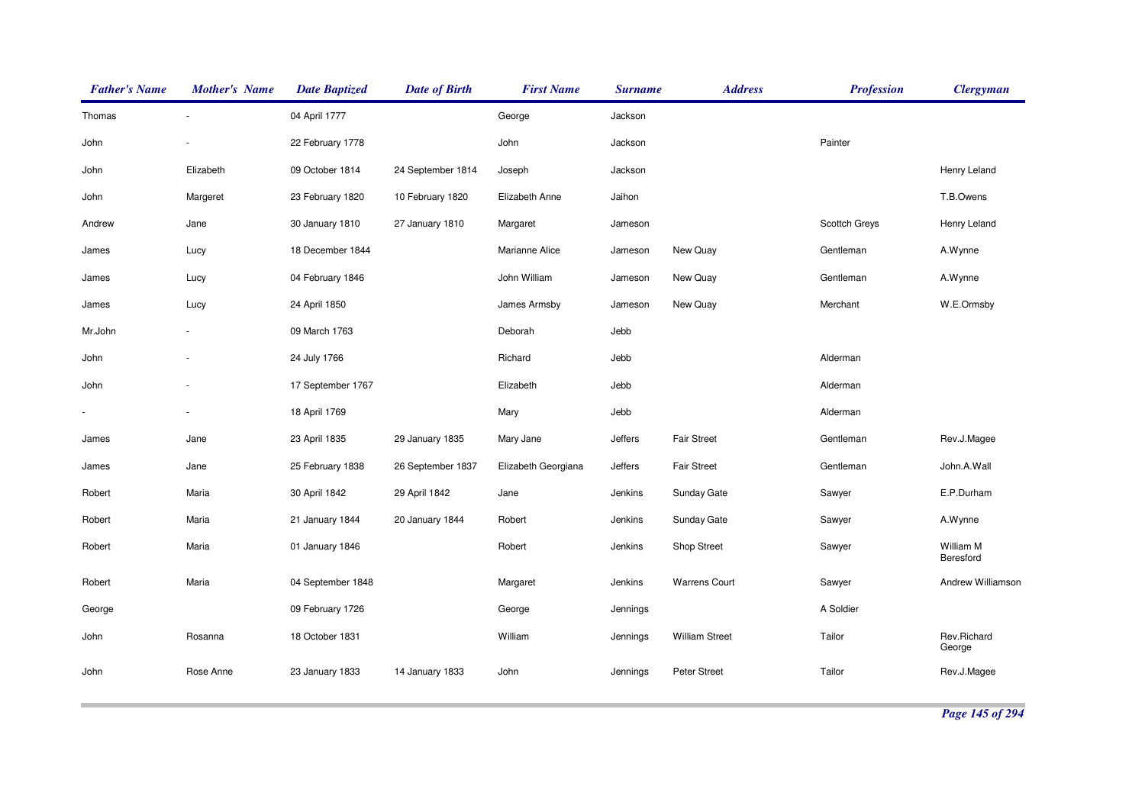| <b>Father's Name</b>     | <b>Mother's Name</b>     | <b>Date Baptized</b> | <b>Date of Birth</b> | <b>First Name</b>   | <b>Surname</b> | <b>Address</b>        | <b>Profession</b> | <b>Clergyman</b>       |
|--------------------------|--------------------------|----------------------|----------------------|---------------------|----------------|-----------------------|-------------------|------------------------|
| Thomas                   |                          | 04 April 1777        |                      | George              | Jackson        |                       |                   |                        |
| John                     |                          | 22 February 1778     |                      | John                | Jackson        |                       | Painter           |                        |
| John                     | Elizabeth                | 09 October 1814      | 24 September 1814    | Joseph              | Jackson        |                       |                   | Henry Leland           |
| John                     | Margeret                 | 23 February 1820     | 10 February 1820     | Elizabeth Anne      | Jaihon         |                       |                   | T.B.Owens              |
| Andrew                   | Jane                     | 30 January 1810      | 27 January 1810      | Margaret            | Jameson        |                       | Scottch Greys     | Henry Leland           |
| James                    | Lucy                     | 18 December 1844     |                      | Marianne Alice      | Jameson        | New Quay              | Gentleman         | A.Wynne                |
| James                    | Lucy                     | 04 February 1846     |                      | John William        | Jameson        | New Quay              | Gentleman         | A.Wynne                |
| James                    | Lucy                     | 24 April 1850        |                      | James Armsby        | Jameson        | New Quay              | Merchant          | W.E.Ormsby             |
| Mr.John                  | $\overline{\phantom{a}}$ | 09 March 1763        |                      | Deborah             | Jebb           |                       |                   |                        |
| John                     |                          | 24 July 1766         |                      | Richard             | Jebb           |                       | Alderman          |                        |
| John                     |                          | 17 September 1767    |                      | Elizabeth           | Jebb           |                       | Alderman          |                        |
| $\overline{\phantom{a}}$ |                          | 18 April 1769        |                      | Mary                | Jebb           |                       | Alderman          |                        |
| James                    | Jane                     | 23 April 1835        | 29 January 1835      | Mary Jane           | Jeffers        | <b>Fair Street</b>    | Gentleman         | Rev.J.Magee            |
| James                    | Jane                     | 25 February 1838     | 26 September 1837    | Elizabeth Georgiana | Jeffers        | <b>Fair Street</b>    | Gentleman         | John.A.Wall            |
| Robert                   | Maria                    | 30 April 1842        | 29 April 1842        | Jane                | Jenkins        | Sunday Gate           | Sawyer            | E.P.Durham             |
| Robert                   | Maria                    | 21 January 1844      | 20 January 1844      | Robert              | Jenkins        | Sunday Gate           | Sawyer            | A.Wynne                |
| Robert                   | Maria                    | 01 January 1846      |                      | Robert              | Jenkins        | <b>Shop Street</b>    | Sawyer            | William M<br>Beresford |
| Robert                   | Maria                    | 04 September 1848    |                      | Margaret            | Jenkins        | <b>Warrens Court</b>  | Sawyer            | Andrew Williamson      |
| George                   |                          | 09 February 1726     |                      | George              | Jennings       |                       | A Soldier         |                        |
| John                     | Rosanna                  | 18 October 1831      |                      | William             | Jennings       | <b>William Street</b> | Tailor            | Rev.Richard<br>George  |
| John                     | Rose Anne                | 23 January 1833      | 14 January 1833      | <b>John</b>         | Jennings       | Peter Street          | Tailor            | Rev.J.Magee            |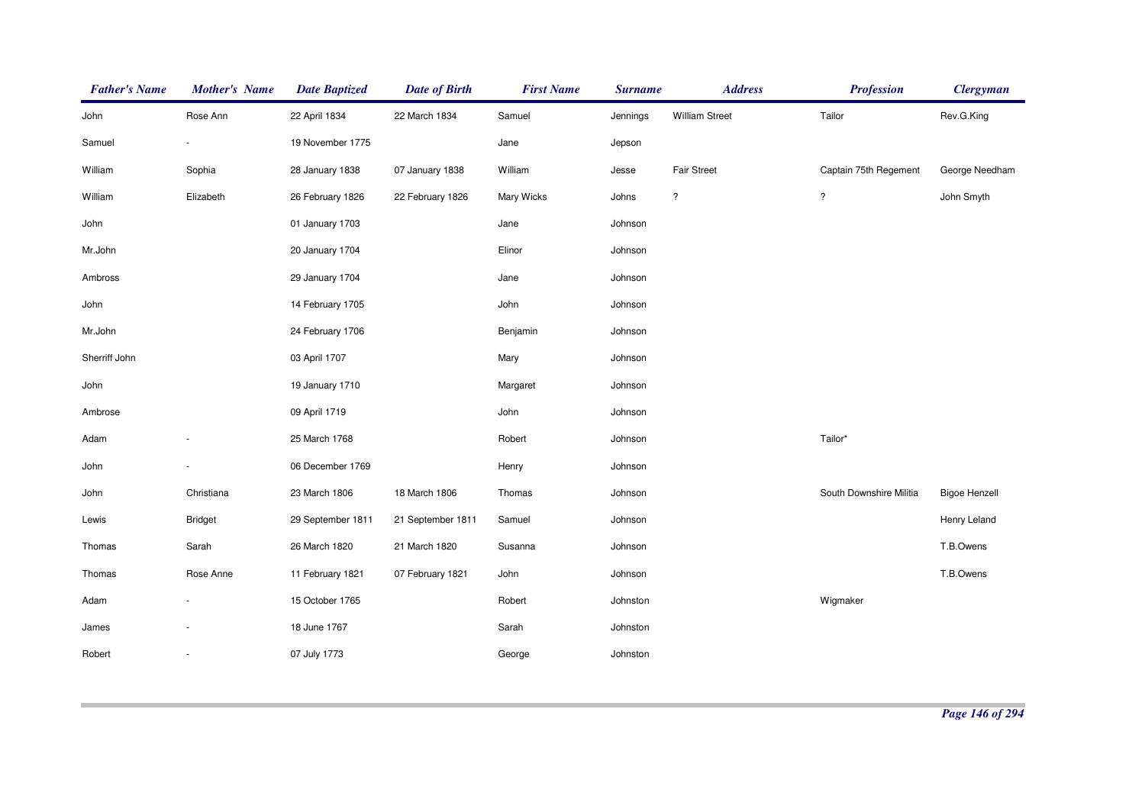| <b>Father's Name</b> | <b>Mother's Name</b> | <b>Date Baptized</b> | <b>Date of Birth</b> | <b>First Name</b> | <b>Surname</b> | <b>Address</b>        | <b>Profession</b>       | <b>Clergyman</b>     |
|----------------------|----------------------|----------------------|----------------------|-------------------|----------------|-----------------------|-------------------------|----------------------|
| John                 | Rose Ann             | 22 April 1834        | 22 March 1834        | Samuel            | Jennings       | <b>William Street</b> | Tailor                  | Rev.G.King           |
| Samuel               |                      | 19 November 1775     |                      | Jane              | Jepson         |                       |                         |                      |
| William              | Sophia               | 28 January 1838      | 07 January 1838      | William           | Jesse          | <b>Fair Street</b>    | Captain 75th Regement   | George Needham       |
| William              | Elizabeth            | 26 February 1826     | 22 February 1826     | Mary Wicks        | Johns          | $\ddot{?}$            | $\overline{\cdot}$      | John Smyth           |
| John                 |                      | 01 January 1703      |                      | Jane              | Johnson        |                       |                         |                      |
| Mr.John              |                      | 20 January 1704      |                      | Elinor            | Johnson        |                       |                         |                      |
| Ambross              |                      | 29 January 1704      |                      | Jane              | Johnson        |                       |                         |                      |
| John                 |                      | 14 February 1705     |                      | John              | Johnson        |                       |                         |                      |
| Mr.John              |                      | 24 February 1706     |                      | Benjamin          | Johnson        |                       |                         |                      |
| Sherriff John        |                      | 03 April 1707        |                      | Mary              | Johnson        |                       |                         |                      |
| John                 |                      | 19 January 1710      |                      | Margaret          | Johnson        |                       |                         |                      |
| Ambrose              |                      | 09 April 1719        |                      | John              | Johnson        |                       |                         |                      |
| Adam                 |                      | 25 March 1768        |                      | Robert            | Johnson        |                       | Tailor*                 |                      |
| John                 |                      | 06 December 1769     |                      | Henry             | Johnson        |                       |                         |                      |
| John                 | Christiana           | 23 March 1806        | 18 March 1806        | Thomas            | Johnson        |                       | South Downshire Militia | <b>Bigoe Henzell</b> |
| Lewis                | <b>Bridget</b>       | 29 September 1811    | 21 September 1811    | Samuel            | Johnson        |                       |                         | Henry Leland         |
| Thomas               | Sarah                | 26 March 1820        | 21 March 1820        | Susanna           | Johnson        |                       |                         | T.B.Owens            |
| Thomas               | Rose Anne            | 11 February 1821     | 07 February 1821     | John              | Johnson        |                       |                         | T.B.Owens            |
| Adam                 |                      | 15 October 1765      |                      | Robert            | Johnston       |                       | Wigmaker                |                      |
| James                |                      | 18 June 1767         |                      | Sarah             | Johnston       |                       |                         |                      |
| Robert               |                      | 07 July 1773         |                      | George            | Johnston       |                       |                         |                      |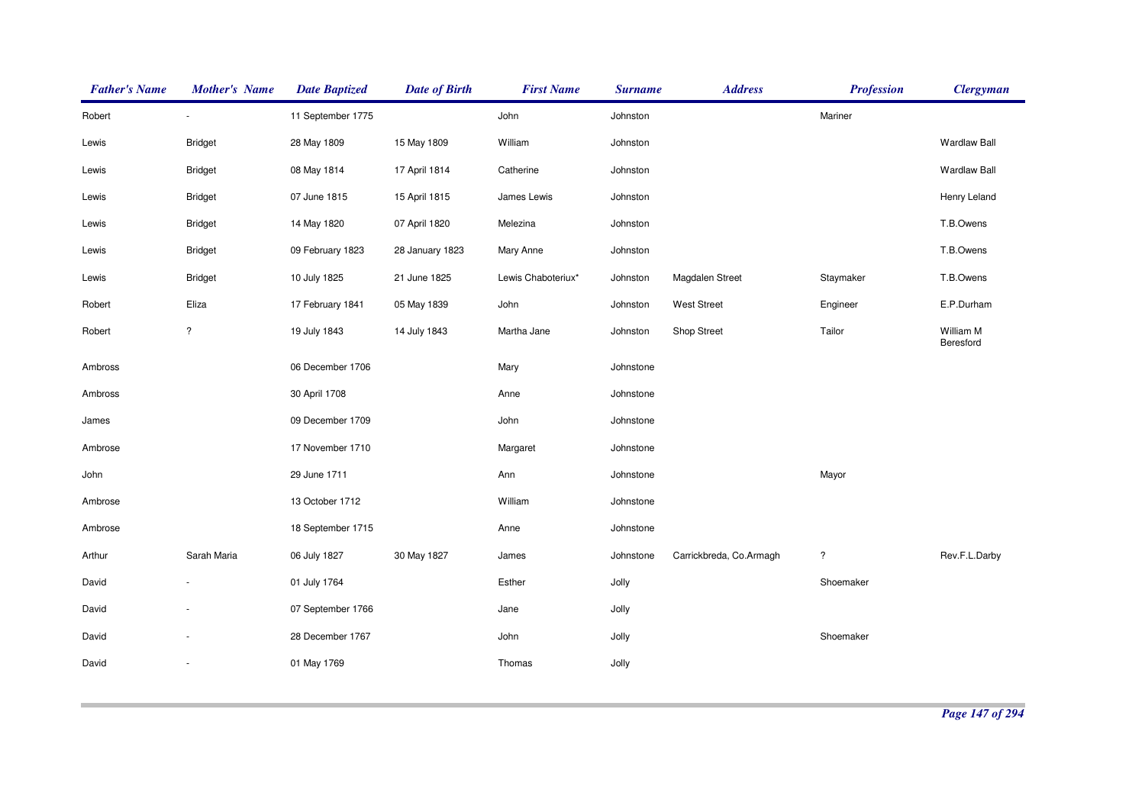| <b>Father's Name</b> | <b>Mother's Name</b> | <b>Date Baptized</b> | <b>Date of Birth</b> | <b>First Name</b>  | <b>Surname</b> | <b>Address</b>          | <b>Profession</b>    | <b>Clergyman</b>       |
|----------------------|----------------------|----------------------|----------------------|--------------------|----------------|-------------------------|----------------------|------------------------|
| Robert               | $\sim$               | 11 September 1775    |                      | John               | Johnston       |                         | Mariner              |                        |
| Lewis                | <b>Bridget</b>       | 28 May 1809          | 15 May 1809          | William            | Johnston       |                         |                      | <b>Wardlaw Ball</b>    |
| Lewis                | <b>Bridget</b>       | 08 May 1814          | 17 April 1814        | Catherine          | Johnston       |                         |                      | <b>Wardlaw Ball</b>    |
| Lewis                | <b>Bridget</b>       | 07 June 1815         | 15 April 1815        | James Lewis        | Johnston       |                         |                      | Henry Leland           |
| Lewis                | <b>Bridget</b>       | 14 May 1820          | 07 April 1820        | Melezina           | Johnston       |                         |                      | T.B.Owens              |
| Lewis                | <b>Bridget</b>       | 09 February 1823     | 28 January 1823      | Mary Anne          | Johnston       |                         |                      | T.B.Owens              |
| Lewis                | <b>Bridget</b>       | 10 July 1825         | 21 June 1825         | Lewis Chaboteriux* | Johnston       | Magdalen Street         | Staymaker            | T.B.Owens              |
| Robert               | Eliza                | 17 February 1841     | 05 May 1839          | John               | Johnston       | <b>West Street</b>      | Engineer             | E.P.Durham             |
| Robert               | $\ddot{?}$           | 19 July 1843         | 14 July 1843         | Martha Jane        | Johnston       | Shop Street             | Tailor               | William M<br>Beresford |
| Ambross              |                      | 06 December 1706     |                      | Mary               | Johnstone      |                         |                      |                        |
| Ambross              |                      | 30 April 1708        |                      | Anne               | Johnstone      |                         |                      |                        |
| James                |                      | 09 December 1709     |                      | John               | Johnstone      |                         |                      |                        |
| Ambrose              |                      | 17 November 1710     |                      | Margaret           | Johnstone      |                         |                      |                        |
| John                 |                      | 29 June 1711         |                      | Ann                | Johnstone      |                         | Mayor                |                        |
| Ambrose              |                      | 13 October 1712      |                      | William            | Johnstone      |                         |                      |                        |
| Ambrose              |                      | 18 September 1715    |                      | Anne               | Johnstone      |                         |                      |                        |
| Arthur               | Sarah Maria          | 06 July 1827         | 30 May 1827          | James              | Johnstone      | Carrickbreda, Co.Armagh | $\ddot{\phantom{0}}$ | Rev.F.L.Darby          |
| David                |                      | 01 July 1764         |                      | Esther             | Jolly          |                         | Shoemaker            |                        |
| David                |                      | 07 September 1766    |                      | Jane               | Jolly          |                         |                      |                        |
| David                |                      | 28 December 1767     |                      | John               | Jolly          |                         | Shoemaker            |                        |
| David                |                      | 01 May 1769          |                      | Thomas             | Jolly          |                         |                      |                        |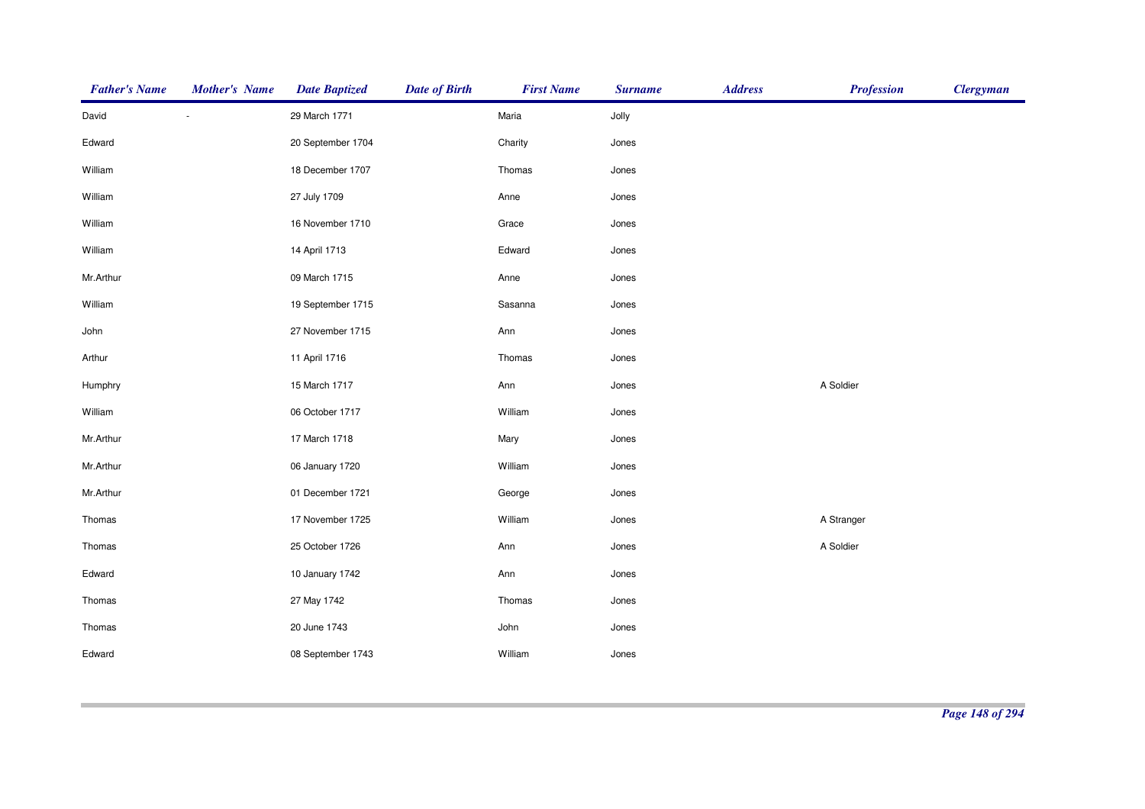| <b>Father's Name</b> | <b>Mother's Name</b> | <b>Date Baptized</b> | <b>Date of Birth</b> | <b>First Name</b> | <b>Surname</b> | <b>Address</b> | <b>Profession</b> | <b>Clergyman</b> |
|----------------------|----------------------|----------------------|----------------------|-------------------|----------------|----------------|-------------------|------------------|
| David                |                      | 29 March 1771        |                      | Maria             | Jolly          |                |                   |                  |
| Edward               |                      | 20 September 1704    |                      | Charity           | Jones          |                |                   |                  |
| William              |                      | 18 December 1707     |                      | Thomas            | Jones          |                |                   |                  |
| William              |                      | 27 July 1709         |                      | Anne              | Jones          |                |                   |                  |
| William              |                      | 16 November 1710     |                      | Grace             | Jones          |                |                   |                  |
| William              |                      | 14 April 1713        |                      | Edward            | Jones          |                |                   |                  |
| Mr.Arthur            |                      | 09 March 1715        |                      | Anne              | Jones          |                |                   |                  |
| William              |                      | 19 September 1715    |                      | Sasanna           | Jones          |                |                   |                  |
| John                 |                      | 27 November 1715     |                      | Ann               | Jones          |                |                   |                  |
| Arthur               |                      | 11 April 1716        |                      | Thomas            | Jones          |                |                   |                  |
| Humphry              |                      | 15 March 1717        |                      | Ann               | Jones          |                | A Soldier         |                  |
| William              |                      | 06 October 1717      |                      | William           | Jones          |                |                   |                  |
| Mr.Arthur            |                      | 17 March 1718        |                      | Mary              | Jones          |                |                   |                  |
| Mr.Arthur            |                      | 06 January 1720      |                      | William           | Jones          |                |                   |                  |
| Mr.Arthur            |                      | 01 December 1721     |                      | George            | Jones          |                |                   |                  |
| Thomas               |                      | 17 November 1725     |                      | William           | Jones          |                | A Stranger        |                  |
| Thomas               |                      | 25 October 1726      |                      | Ann               | Jones          |                | A Soldier         |                  |
| Edward               |                      | 10 January 1742      |                      | Ann               | Jones          |                |                   |                  |
| Thomas               |                      | 27 May 1742          |                      | Thomas            | Jones          |                |                   |                  |
| Thomas               |                      | 20 June 1743         |                      | John              | Jones          |                |                   |                  |
| Edward               |                      | 08 September 1743    |                      | William           | Jones          |                |                   |                  |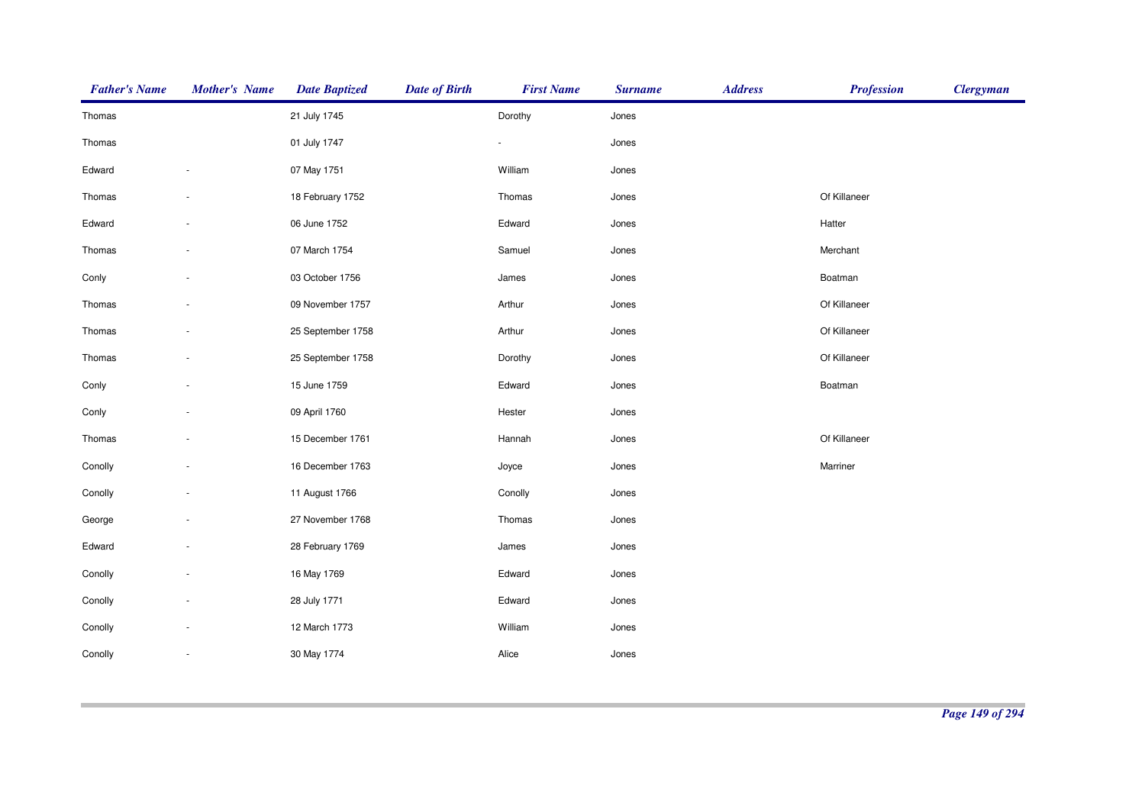| <b>Father's Name</b> | <b>Mother's Name</b> | <b>Date Baptized</b> | <b>Date of Birth</b> | <b>First Name</b> | <b>Surname</b> | <b>Address</b> | <b>Profession</b> | <b>Clergyman</b> |
|----------------------|----------------------|----------------------|----------------------|-------------------|----------------|----------------|-------------------|------------------|
| Thomas               |                      | 21 July 1745         |                      | Dorothy           | Jones          |                |                   |                  |
| Thomas               |                      | 01 July 1747         |                      | $\blacksquare$    | Jones          |                |                   |                  |
| Edward               |                      | 07 May 1751          |                      | William           | Jones          |                |                   |                  |
| Thomas               |                      | 18 February 1752     |                      | Thomas            | Jones          |                | Of Killaneer      |                  |
| Edward               |                      | 06 June 1752         |                      | Edward            | Jones          |                | Hatter            |                  |
| Thomas               |                      | 07 March 1754        |                      | Samuel            | Jones          |                | Merchant          |                  |
| Conly                |                      | 03 October 1756      |                      | James             | Jones          |                | Boatman           |                  |
| Thomas               |                      | 09 November 1757     |                      | Arthur            | Jones          |                | Of Killaneer      |                  |
| Thomas               |                      | 25 September 1758    |                      | Arthur            | Jones          |                | Of Killaneer      |                  |
| Thomas               |                      | 25 September 1758    |                      | Dorothy           | Jones          |                | Of Killaneer      |                  |
| Conly                |                      | 15 June 1759         |                      | Edward            | Jones          |                | Boatman           |                  |
| Conly                |                      | 09 April 1760        |                      | Hester            | Jones          |                |                   |                  |
| Thomas               |                      | 15 December 1761     |                      | Hannah            | Jones          |                | Of Killaneer      |                  |
| Conolly              |                      | 16 December 1763     |                      | Joyce             | Jones          |                | Marriner          |                  |
| Conolly              |                      | 11 August 1766       |                      | Conolly           | Jones          |                |                   |                  |
| George               |                      | 27 November 1768     |                      | Thomas            | Jones          |                |                   |                  |
| Edward               |                      | 28 February 1769     |                      | James             | Jones          |                |                   |                  |
| Conolly              |                      | 16 May 1769          |                      | Edward            | Jones          |                |                   |                  |
| Conolly              |                      | 28 July 1771         |                      | Edward            | Jones          |                |                   |                  |
| Conolly              |                      | 12 March 1773        |                      | William           | Jones          |                |                   |                  |
| Conolly              |                      | 30 May 1774          |                      | Alice             | Jones          |                |                   |                  |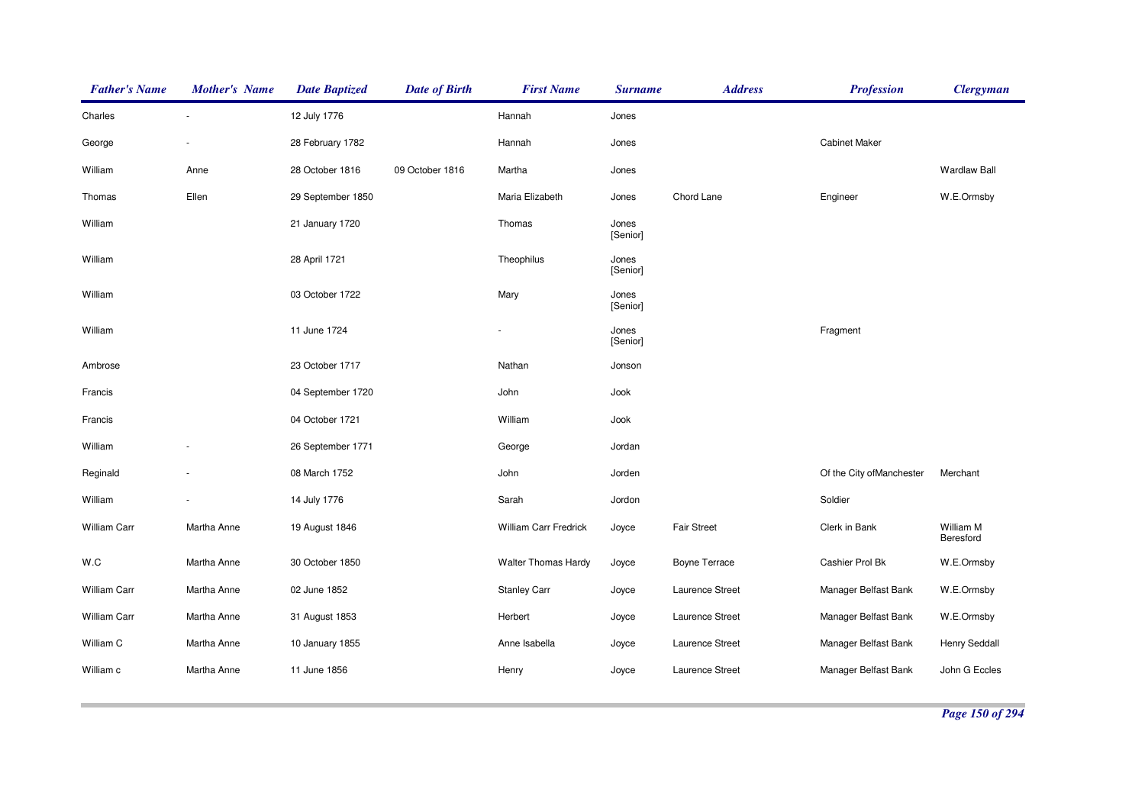| <b>Father's Name</b> | <b>Mother's Name</b> | <b>Date Baptized</b> | <b>Date of Birth</b> | <b>First Name</b>          | <b>Surname</b>    | <b>Address</b>       | <b>Profession</b>         | <b>Clergyman</b>       |
|----------------------|----------------------|----------------------|----------------------|----------------------------|-------------------|----------------------|---------------------------|------------------------|
| Charles              |                      | 12 July 1776         |                      | Hannah                     | Jones             |                      |                           |                        |
| George               |                      | 28 February 1782     |                      | Hannah                     | Jones             |                      | <b>Cabinet Maker</b>      |                        |
| William              | Anne                 | 28 October 1816      | 09 October 1816      | Martha                     | Jones             |                      |                           | <b>Wardlaw Ball</b>    |
| Thomas               | Ellen                | 29 September 1850    |                      | Maria Elizabeth            | Jones             | Chord Lane           | Engineer                  | W.E.Ormsby             |
| William              |                      | 21 January 1720      |                      | Thomas                     | Jones<br>[Senior] |                      |                           |                        |
| William              |                      | 28 April 1721        |                      | Theophilus                 | Jones<br>[Senior] |                      |                           |                        |
| William              |                      | 03 October 1722      |                      | Mary                       | Jones<br>[Senior] |                      |                           |                        |
| William              |                      | 11 June 1724         |                      |                            | Jones<br>[Senior] |                      | Fragment                  |                        |
| Ambrose              |                      | 23 October 1717      |                      | Nathan                     | Jonson            |                      |                           |                        |
| Francis              |                      | 04 September 1720    |                      | John                       | Jook              |                      |                           |                        |
| Francis              |                      | 04 October 1721      |                      | William                    | Jook              |                      |                           |                        |
| William              |                      | 26 September 1771    |                      | George                     | Jordan            |                      |                           |                        |
| Reginald             |                      | 08 March 1752        |                      | John                       | Jorden            |                      | Of the City of Manchester | Merchant               |
| William              |                      | 14 July 1776         |                      | Sarah                      | Jordon            |                      | Soldier                   |                        |
| William Carr         | Martha Anne          | 19 August 1846       |                      | William Carr Fredrick      | Joyce             | <b>Fair Street</b>   | Clerk in Bank             | William M<br>Beresford |
| W.C                  | Martha Anne          | 30 October 1850      |                      | <b>Walter Thomas Hardy</b> | Joyce             | <b>Boyne Terrace</b> | Cashier Prol Bk           | W.E.Ormsby             |
| <b>William Carr</b>  | Martha Anne          | 02 June 1852         |                      | <b>Stanley Carr</b>        | Joyce             | Laurence Street      | Manager Belfast Bank      | W.E.Ormsby             |
| William Carr         | Martha Anne          | 31 August 1853       |                      | Herbert                    | Joyce             | Laurence Street      | Manager Belfast Bank      | W.E.Ormsby             |
| William C            | Martha Anne          | 10 January 1855      |                      | Anne Isabella              | Joyce             | Laurence Street      | Manager Belfast Bank      | Henry Seddall          |
| William c            | Martha Anne          | 11 June 1856         |                      | Henry                      | Joyce             | Laurence Street      | Manager Belfast Bank      | John G Eccles          |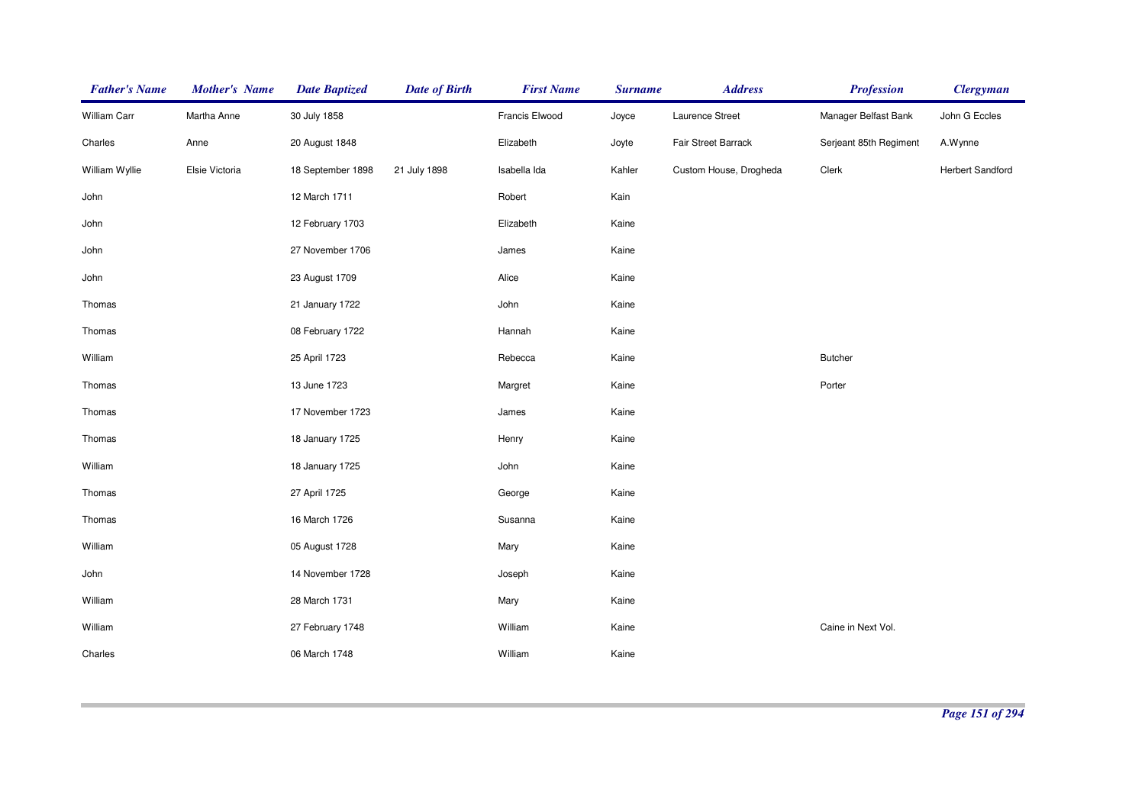| <b>Father's Name</b> | <b>Mother's Name</b> | <b>Date Baptized</b> | <b>Date of Birth</b> | <b>First Name</b> | <b>Surname</b> | <b>Address</b>         | <b>Profession</b>      | <b>Clergyman</b>        |
|----------------------|----------------------|----------------------|----------------------|-------------------|----------------|------------------------|------------------------|-------------------------|
| William Carr         | Martha Anne          | 30 July 1858         |                      | Francis Elwood    | Joyce          | Laurence Street        | Manager Belfast Bank   | John G Eccles           |
| Charles              | Anne                 | 20 August 1848       |                      | Elizabeth         | Joyte          | Fair Street Barrack    | Serjeant 85th Regiment | A.Wynne                 |
| William Wyllie       | Elsie Victoria       | 18 September 1898    | 21 July 1898         | Isabella Ida      | Kahler         | Custom House, Drogheda | Clerk                  | <b>Herbert Sandford</b> |
| John                 |                      | 12 March 1711        |                      | Robert            | Kain           |                        |                        |                         |
| John                 |                      | 12 February 1703     |                      | Elizabeth         | Kaine          |                        |                        |                         |
| John                 |                      | 27 November 1706     |                      | James             | Kaine          |                        |                        |                         |
| John                 |                      | 23 August 1709       |                      | Alice             | Kaine          |                        |                        |                         |
| Thomas               |                      | 21 January 1722      |                      | John              | Kaine          |                        |                        |                         |
| Thomas               |                      | 08 February 1722     |                      | Hannah            | Kaine          |                        |                        |                         |
| William              |                      | 25 April 1723        |                      | Rebecca           | Kaine          |                        | <b>Butcher</b>         |                         |
| Thomas               |                      | 13 June 1723         |                      | Margret           | Kaine          |                        | Porter                 |                         |
| Thomas               |                      | 17 November 1723     |                      | James             | Kaine          |                        |                        |                         |
| Thomas               |                      | 18 January 1725      |                      | Henry             | Kaine          |                        |                        |                         |
| William              |                      | 18 January 1725      |                      | John              | Kaine          |                        |                        |                         |
| Thomas               |                      | 27 April 1725        |                      | George            | Kaine          |                        |                        |                         |
| Thomas               |                      | 16 March 1726        |                      | Susanna           | Kaine          |                        |                        |                         |
| William              |                      | 05 August 1728       |                      | Mary              | Kaine          |                        |                        |                         |
| John                 |                      | 14 November 1728     |                      | Joseph            | Kaine          |                        |                        |                         |
| William              |                      | 28 March 1731        |                      | Mary              | Kaine          |                        |                        |                         |
| William              |                      | 27 February 1748     |                      | William           | Kaine          |                        | Caine in Next Vol.     |                         |
| Charles              |                      | 06 March 1748        |                      | William           | Kaine          |                        |                        |                         |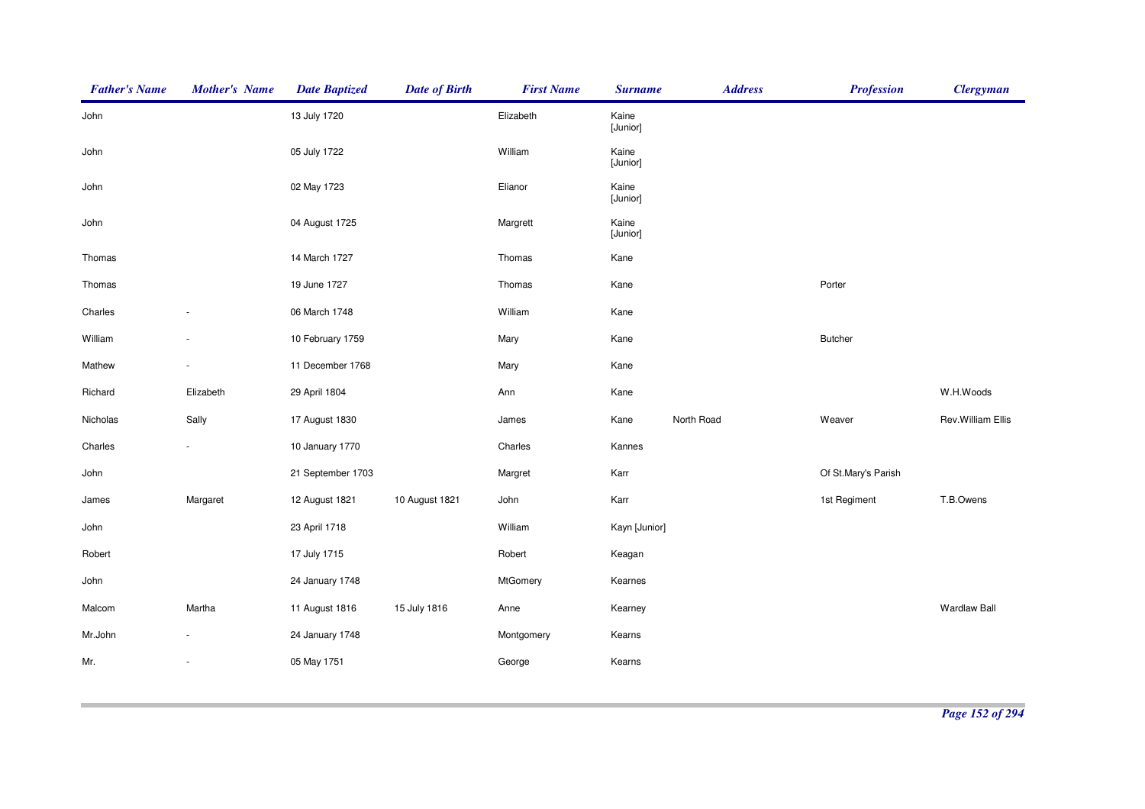| <b>Father's Name</b> | <b>Mother's Name</b> | <b>Date Baptized</b> | <b>Date of Birth</b> | <b>First Name</b> | <b>Surname</b>    | <b>Address</b> | <b>Profession</b>   | <b>Clergyman</b>    |
|----------------------|----------------------|----------------------|----------------------|-------------------|-------------------|----------------|---------------------|---------------------|
| John                 |                      | 13 July 1720         |                      | Elizabeth         | Kaine<br>[Junior] |                |                     |                     |
| John                 |                      | 05 July 1722         |                      | William           | Kaine<br>[Junior] |                |                     |                     |
| John                 |                      | 02 May 1723          |                      | Elianor           | Kaine<br>[Junior] |                |                     |                     |
| John                 |                      | 04 August 1725       |                      | Margrett          | Kaine<br>[Junior] |                |                     |                     |
| Thomas               |                      | 14 March 1727        |                      | Thomas            | Kane              |                |                     |                     |
| Thomas               |                      | 19 June 1727         |                      | Thomas            | Kane              |                | Porter              |                     |
| Charles              |                      | 06 March 1748        |                      | William           | Kane              |                |                     |                     |
| William              |                      | 10 February 1759     |                      | Mary              | Kane              |                | <b>Butcher</b>      |                     |
| Mathew               |                      | 11 December 1768     |                      | Mary              | Kane              |                |                     |                     |
| Richard              | Elizabeth            | 29 April 1804        |                      | Ann               | Kane              |                |                     | W.H.Woods           |
| Nicholas             | Sally                | 17 August 1830       |                      | James             | Kane              | North Road     | Weaver              | Rev. William Ellis  |
| Charles              |                      | 10 January 1770      |                      | Charles           | Kannes            |                |                     |                     |
| John                 |                      | 21 September 1703    |                      | Margret           | Karr              |                | Of St.Mary's Parish |                     |
| James                | Margaret             | 12 August 1821       | 10 August 1821       | John              | Karr              |                | 1st Regiment        | T.B.Owens           |
| John                 |                      | 23 April 1718        |                      | William           | Kayn [Junior]     |                |                     |                     |
| Robert               |                      | 17 July 1715         |                      | Robert            | Keagan            |                |                     |                     |
| John                 |                      | 24 January 1748      |                      | MtGomery          | Kearnes           |                |                     |                     |
| Malcom               | Martha               | 11 August 1816       | 15 July 1816         | Anne              | Kearney           |                |                     | <b>Wardlaw Ball</b> |
| Mr.John              |                      | 24 January 1748      |                      | Montgomery        | Kearns            |                |                     |                     |
| Mr.                  |                      | 05 May 1751          |                      | George            | Kearns            |                |                     |                     |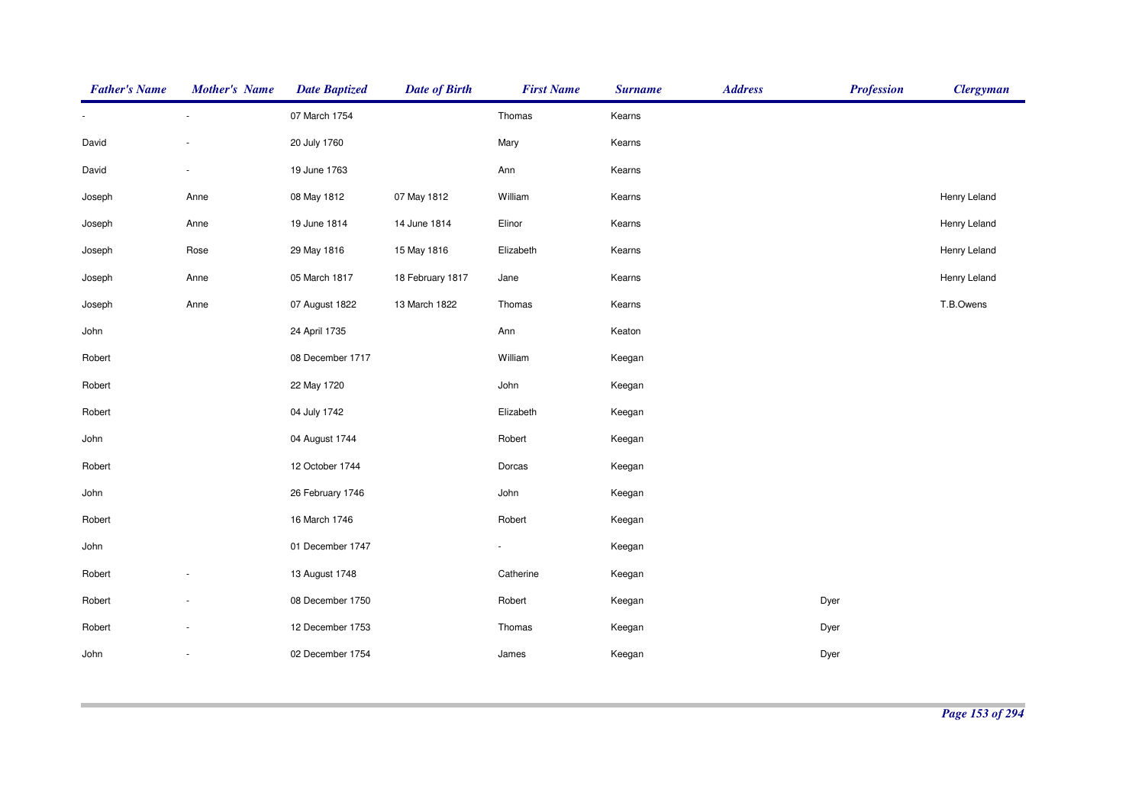| <b>Father's Name</b> | <b>Mother's Name</b> | <b>Date Baptized</b> | <b>Date of Birth</b> | <b>First Name</b> | <b>Surname</b> | <b>Address</b> | <b>Profession</b> | <b>Clergyman</b> |
|----------------------|----------------------|----------------------|----------------------|-------------------|----------------|----------------|-------------------|------------------|
|                      | $\sim$               | 07 March 1754        |                      | Thomas            | Kearns         |                |                   |                  |
| David                |                      | 20 July 1760         |                      | Mary              | Kearns         |                |                   |                  |
| David                | $\sim$               | 19 June 1763         |                      | Ann               | Kearns         |                |                   |                  |
| Joseph               | Anne                 | 08 May 1812          | 07 May 1812          | William           | Kearns         |                |                   | Henry Leland     |
| Joseph               | Anne                 | 19 June 1814         | 14 June 1814         | Elinor            | Kearns         |                |                   | Henry Leland     |
| Joseph               | Rose                 | 29 May 1816          | 15 May 1816          | Elizabeth         | Kearns         |                |                   | Henry Leland     |
| Joseph               | Anne                 | 05 March 1817        | 18 February 1817     | Jane              | Kearns         |                |                   | Henry Leland     |
| Joseph               | Anne                 | 07 August 1822       | 13 March 1822        | Thomas            | Kearns         |                |                   | T.B.Owens        |
| John                 |                      | 24 April 1735        |                      | Ann               | Keaton         |                |                   |                  |
| Robert               |                      | 08 December 1717     |                      | William           | Keegan         |                |                   |                  |
| Robert               |                      | 22 May 1720          |                      | John              | Keegan         |                |                   |                  |
| Robert               |                      | 04 July 1742         |                      | Elizabeth         | Keegan         |                |                   |                  |
| John                 |                      | 04 August 1744       |                      | Robert            | Keegan         |                |                   |                  |
| Robert               |                      | 12 October 1744      |                      | Dorcas            | Keegan         |                |                   |                  |
| John                 |                      | 26 February 1746     |                      | John              | Keegan         |                |                   |                  |
| Robert               |                      | 16 March 1746        |                      | Robert            | Keegan         |                |                   |                  |
| John                 |                      | 01 December 1747     |                      | $\blacksquare$    | Keegan         |                |                   |                  |
| Robert               |                      | 13 August 1748       |                      | Catherine         | Keegan         |                |                   |                  |
| Robert               |                      | 08 December 1750     |                      | Robert            | Keegan         |                | Dyer              |                  |
| Robert               |                      | 12 December 1753     |                      | Thomas            | Keegan         |                | Dyer              |                  |
| John                 |                      | 02 December 1754     |                      | James             | Keegan         |                | Dyer              |                  |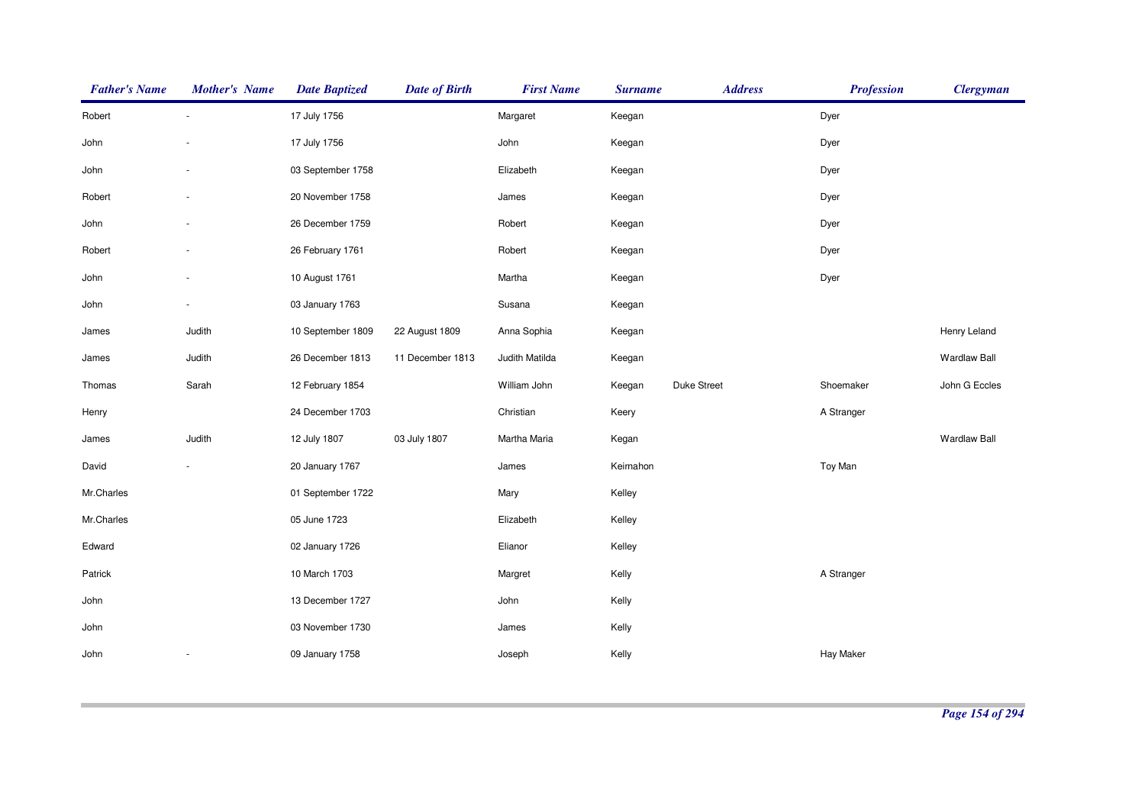| <b>Father's Name</b> | Mother's Name | <b>Date Baptized</b> | <b>Date of Birth</b> | <b>First Name</b> | <b>Surname</b> | <b>Address</b> | <b>Profession</b> | <b>Clergyman</b>    |
|----------------------|---------------|----------------------|----------------------|-------------------|----------------|----------------|-------------------|---------------------|
| Robert               | $\sim$        | 17 July 1756         |                      | Margaret          | Keegan         |                | Dyer              |                     |
| John                 |               | 17 July 1756         |                      | John              | Keegan         |                | Dyer              |                     |
| John                 |               | 03 September 1758    |                      | Elizabeth         | Keegan         |                | Dyer              |                     |
| Robert               |               | 20 November 1758     |                      | James             | Keegan         |                | Dyer              |                     |
| John                 |               | 26 December 1759     |                      | Robert            | Keegan         |                | Dyer              |                     |
| Robert               |               | 26 February 1761     |                      | Robert            | Keegan         |                | Dyer              |                     |
| John                 |               | 10 August 1761       |                      | Martha            | Keegan         |                | Dyer              |                     |
| John                 |               | 03 January 1763      |                      | Susana            | Keegan         |                |                   |                     |
| James                | Judith        | 10 September 1809    | 22 August 1809       | Anna Sophia       | Keegan         |                |                   | Henry Leland        |
| James                | Judith        | 26 December 1813     | 11 December 1813     | Judith Matilda    | Keegan         |                |                   | <b>Wardlaw Ball</b> |
| Thomas               | Sarah         | 12 February 1854     |                      | William John      | Keegan         | Duke Street    | Shoemaker         | John G Eccles       |
| Henry                |               | 24 December 1703     |                      | Christian         | Keery          |                | A Stranger        |                     |
| James                | Judith        | 12 July 1807         | 03 July 1807         | Martha Maria      | Kegan          |                |                   | <b>Wardlaw Ball</b> |
| David                |               | 20 January 1767      |                      | James             | Keirnahon      |                | Toy Man           |                     |
| Mr.Charles           |               | 01 September 1722    |                      | Mary              | Kelley         |                |                   |                     |
| Mr.Charles           |               | 05 June 1723         |                      | Elizabeth         | Kelley         |                |                   |                     |
| Edward               |               | 02 January 1726      |                      | Elianor           | Kelley         |                |                   |                     |
| Patrick              |               | 10 March 1703        |                      | Margret           | Kelly          |                | A Stranger        |                     |
| John                 |               | 13 December 1727     |                      | John              | Kelly          |                |                   |                     |
| John                 |               | 03 November 1730     |                      | James             | Kelly          |                |                   |                     |
| John                 |               | 09 January 1758      |                      | Joseph            | Kelly          |                | Hay Maker         |                     |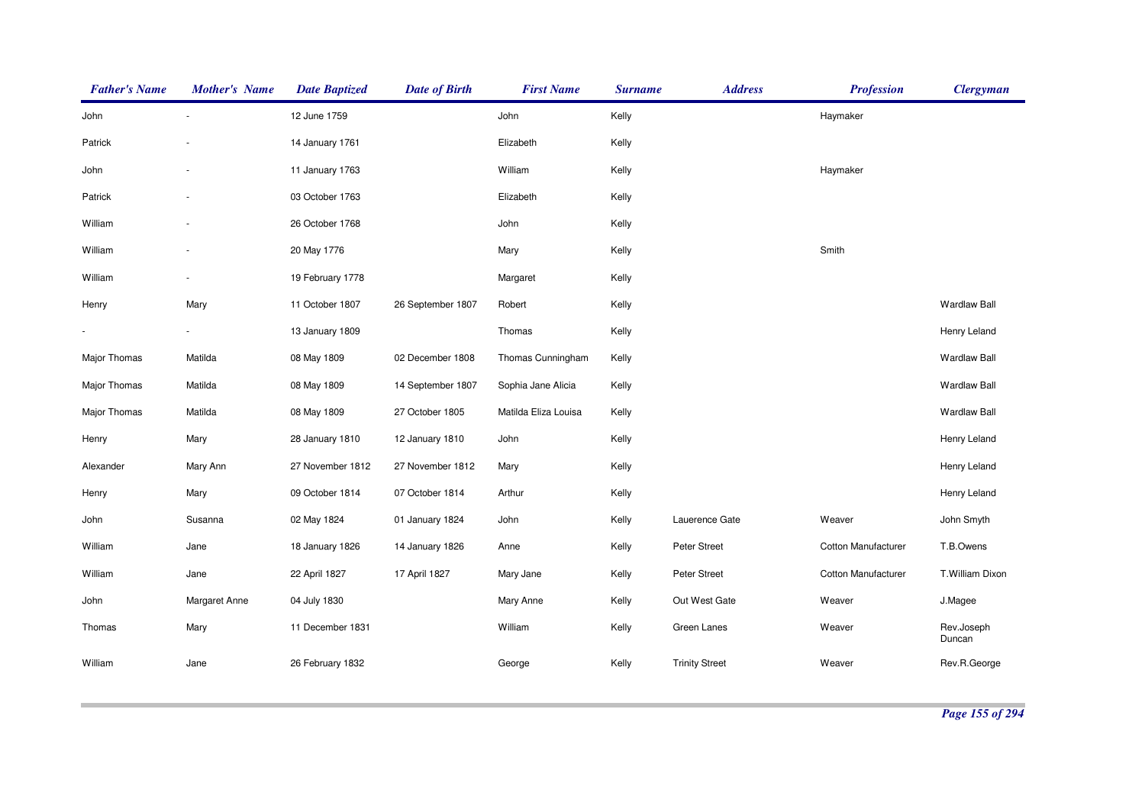| <b>Father's Name</b> | <b>Mother's Name</b> | <b>Date Baptized</b> | <b>Date of Birth</b> | <b>First Name</b>    | <b>Surname</b> | <b>Address</b>        | <b>Profession</b>          | <b>Clergyman</b>     |
|----------------------|----------------------|----------------------|----------------------|----------------------|----------------|-----------------------|----------------------------|----------------------|
| John                 |                      | 12 June 1759         |                      | John                 | Kelly          |                       | Haymaker                   |                      |
| Patrick              |                      | 14 January 1761      |                      | Elizabeth            | Kelly          |                       |                            |                      |
| John                 |                      | 11 January 1763      |                      | William              | Kelly          |                       | Haymaker                   |                      |
| Patrick              |                      | 03 October 1763      |                      | Elizabeth            | Kelly          |                       |                            |                      |
| William              |                      | 26 October 1768      |                      | John                 | Kelly          |                       |                            |                      |
| William              |                      | 20 May 1776          |                      | Mary                 | Kelly          |                       | Smith                      |                      |
| William              |                      | 19 February 1778     |                      | Margaret             | Kelly          |                       |                            |                      |
| Henry                | Mary                 | 11 October 1807      | 26 September 1807    | Robert               | Kelly          |                       |                            | <b>Wardlaw Ball</b>  |
|                      |                      | 13 January 1809      |                      | Thomas               | Kelly          |                       |                            | Henry Leland         |
| Major Thomas         | Matilda              | 08 May 1809          | 02 December 1808     | Thomas Cunningham    | Kelly          |                       |                            | <b>Wardlaw Ball</b>  |
| Major Thomas         | Matilda              | 08 May 1809          | 14 September 1807    | Sophia Jane Alicia   | Kelly          |                       |                            | <b>Wardlaw Ball</b>  |
| Major Thomas         | Matilda              | 08 May 1809          | 27 October 1805      | Matilda Eliza Louisa | Kelly          |                       |                            | <b>Wardlaw Ball</b>  |
| Henry                | Mary                 | 28 January 1810      | 12 January 1810      | John                 | Kelly          |                       |                            | Henry Leland         |
| Alexander            | Mary Ann             | 27 November 1812     | 27 November 1812     | Mary                 | Kelly          |                       |                            | Henry Leland         |
| Henry                | Mary                 | 09 October 1814      | 07 October 1814      | Arthur               | Kelly          |                       |                            | Henry Leland         |
| John                 | Susanna              | 02 May 1824          | 01 January 1824      | John                 | Kelly          | Lauerence Gate        | Weaver                     | John Smyth           |
| William              | Jane                 | 18 January 1826      | 14 January 1826      | Anne                 | Kelly          | Peter Street          | Cotton Manufacturer        | T.B.Owens            |
| William              | Jane                 | 22 April 1827        | 17 April 1827        | Mary Jane            | Kelly          | Peter Street          | <b>Cotton Manufacturer</b> | T.William Dixon      |
| John                 | Margaret Anne        | 04 July 1830         |                      | Mary Anne            | Kelly          | Out West Gate         | Weaver                     | J.Magee              |
| Thomas               | Mary                 | 11 December 1831     |                      | William              | Kelly          | Green Lanes           | Weaver                     | Rev.Joseph<br>Duncan |
| William              | Jane                 | 26 February 1832     |                      | George               | Kelly          | <b>Trinity Street</b> | Weaver                     | Rev.R.George         |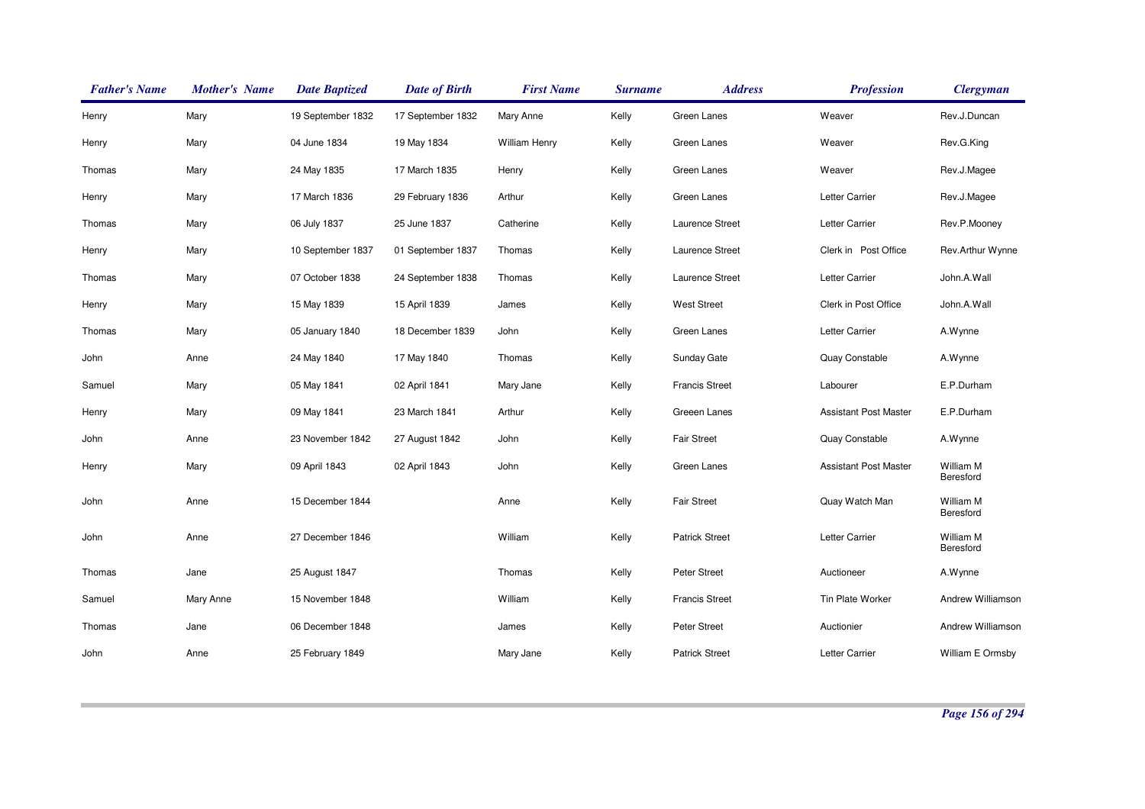| <b>Father's Name</b> | <b>Mother's Name</b> | <b>Date Baptized</b> | <b>Date of Birth</b> | <b>First Name</b>    | <b>Surname</b> | <b>Address</b>        | <b>Profession</b>            | <b>Clergyman</b>       |
|----------------------|----------------------|----------------------|----------------------|----------------------|----------------|-----------------------|------------------------------|------------------------|
| Henry                | Mary                 | 19 September 1832    | 17 September 1832    | Mary Anne            | Kelly          | Green Lanes           | Weaver                       | Rev.J.Duncan           |
| Henry                | Mary                 | 04 June 1834         | 19 May 1834          | <b>William Henry</b> | Kelly          | Green Lanes           | Weaver                       | Rev.G.King             |
| Thomas               | Mary                 | 24 May 1835          | 17 March 1835        | Henry                | Kelly          | Green Lanes           | Weaver                       | Rev.J.Magee            |
| Henry                | Mary                 | 17 March 1836        | 29 February 1836     | Arthur               | Kelly          | Green Lanes           | Letter Carrier               | Rev.J.Magee            |
| Thomas               | Mary                 | 06 July 1837         | 25 June 1837         | Catherine            | Kelly          | Laurence Street       | Letter Carrier               | Rev.P.Mooney           |
| Henry                | Mary                 | 10 September 1837    | 01 September 1837    | Thomas               | Kelly          | Laurence Street       | Clerk in Post Office         | Rev.Arthur Wynne       |
| Thomas               | Mary                 | 07 October 1838      | 24 September 1838    | Thomas               | Kelly          | Laurence Street       | Letter Carrier               | John.A.Wall            |
| Henry                | Mary                 | 15 May 1839          | 15 April 1839        | James                | Kelly          | <b>West Street</b>    | Clerk in Post Office         | John.A.Wall            |
| Thomas               | Mary                 | 05 January 1840      | 18 December 1839     | John                 | Kelly          | Green Lanes           | Letter Carrier               | A.Wynne                |
| John                 | Anne                 | 24 May 1840          | 17 May 1840          | Thomas               | Kelly          | Sunday Gate           | Quay Constable               | A.Wynne                |
| Samuel               | Mary                 | 05 May 1841          | 02 April 1841        | Mary Jane            | Kelly          | <b>Francis Street</b> | Labourer                     | E.P.Durham             |
| Henry                | Mary                 | 09 May 1841          | 23 March 1841        | Arthur               | Kelly          | Greeen Lanes          | <b>Assistant Post Master</b> | E.P.Durham             |
| John                 | Anne                 | 23 November 1842     | 27 August 1842       | John                 | Kelly          | <b>Fair Street</b>    | Quay Constable               | A.Wynne                |
| Henry                | Mary                 | 09 April 1843        | 02 April 1843        | John                 | Kelly          | Green Lanes           | <b>Assistant Post Master</b> | William M<br>Beresford |
| John                 | Anne                 | 15 December 1844     |                      | Anne                 | Kelly          | <b>Fair Street</b>    | Quay Watch Man               | William M<br>Beresford |
| John                 | Anne                 | 27 December 1846     |                      | William              | Kelly          | <b>Patrick Street</b> | Letter Carrier               | William M<br>Beresford |
| Thomas               | Jane                 | 25 August 1847       |                      | Thomas               | Kelly          | <b>Peter Street</b>   | Auctioneer                   | A.Wynne                |
| Samuel               | Mary Anne            | 15 November 1848     |                      | William              | Kelly          | <b>Francis Street</b> | Tin Plate Worker             | Andrew Williamson      |
| Thomas               | Jane                 | 06 December 1848     |                      | James                | Kelly          | Peter Street          | Auctionier                   | Andrew Williamson      |
| John                 | Anne                 | 25 February 1849     |                      | Mary Jane            | Kelly          | <b>Patrick Street</b> | Letter Carrier               | William E Ormsby       |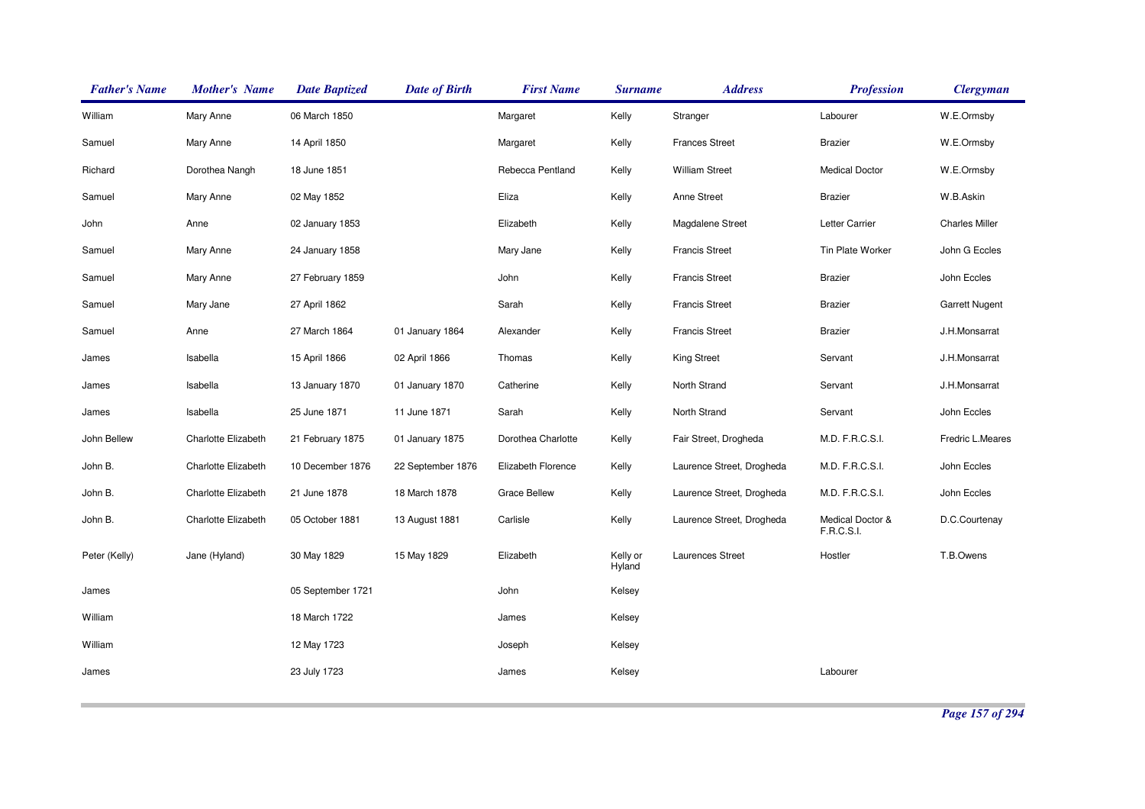| <b>Father's Name</b> | <b>Mother's Name</b> | <b>Date Baptized</b> | <b>Date of Birth</b> | <b>First Name</b>   | <b>Surname</b>     | <b>Address</b>            | <b>Profession</b>              | <b>Clergyman</b>      |
|----------------------|----------------------|----------------------|----------------------|---------------------|--------------------|---------------------------|--------------------------------|-----------------------|
| William              | Mary Anne            | 06 March 1850        |                      | Margaret            | Kelly              | Stranger                  | Labourer                       | W.E.Ormsby            |
| Samuel               | Mary Anne            | 14 April 1850        |                      | Margaret            | Kelly              | <b>Frances Street</b>     | <b>Brazier</b>                 | W.E.Ormsby            |
| Richard              | Dorothea Nangh       | 18 June 1851         |                      | Rebecca Pentland    | Kelly              | <b>William Street</b>     | <b>Medical Doctor</b>          | W.E.Ormsby            |
| Samuel               | Mary Anne            | 02 May 1852          |                      | Eliza               | Kelly              | Anne Street               | <b>Brazier</b>                 | W.B.Askin             |
| John                 | Anne                 | 02 January 1853      |                      | Elizabeth           | Kelly              | Magdalene Street          | Letter Carrier                 | <b>Charles Miller</b> |
| Samuel               | Mary Anne            | 24 January 1858      |                      | Mary Jane           | Kelly              | <b>Francis Street</b>     | Tin Plate Worker               | John G Eccles         |
| Samuel               | Mary Anne            | 27 February 1859     |                      | John                | Kelly              | <b>Francis Street</b>     | <b>Brazier</b>                 | John Eccles           |
| Samuel               | Mary Jane            | 27 April 1862        |                      | Sarah               | Kelly              | <b>Francis Street</b>     | <b>Brazier</b>                 | <b>Garrett Nugent</b> |
| Samuel               | Anne                 | 27 March 1864        | 01 January 1864      | Alexander           | Kelly              | <b>Francis Street</b>     | <b>Brazier</b>                 | J.H.Monsarrat         |
| James                | Isabella             | 15 April 1866        | 02 April 1866        | Thomas              | Kelly              | <b>King Street</b>        | Servant                        | J.H.Monsarrat         |
| James                | Isabella             | 13 January 1870      | 01 January 1870      | Catherine           | Kelly              | North Strand              | Servant                        | J.H.Monsarrat         |
| James                | Isabella             | 25 June 1871         | 11 June 1871         | Sarah               | Kelly              | North Strand              | Servant                        | John Eccles           |
| John Bellew          | Charlotte Elizabeth  | 21 February 1875     | 01 January 1875      | Dorothea Charlotte  | Kelly              | Fair Street, Drogheda     | M.D. F.R.C.S.I.                | Fredric L.Meares      |
| John B.              | Charlotte Elizabeth  | 10 December 1876     | 22 September 1876    | Elizabeth Florence  | Kelly              | Laurence Street, Drogheda | M.D. F.R.C.S.I.                | John Eccles           |
| John B.              | Charlotte Elizabeth  | 21 June 1878         | 18 March 1878        | <b>Grace Bellew</b> | Kelly              | Laurence Street, Drogheda | M.D. F.R.C.S.I.                | John Eccles           |
| John B.              | Charlotte Elizabeth  | 05 October 1881      | 13 August 1881       | Carlisle            | Kelly              | Laurence Street, Drogheda | Medical Doctor &<br>F.R.C.S.I. | D.C.Courtenay         |
| Peter (Kelly)        | Jane (Hyland)        | 30 May 1829          | 15 May 1829          | Elizabeth           | Kelly or<br>Hyland | Laurences Street          | Hostler                        | T.B.Owens             |
| James                |                      | 05 September 1721    |                      | John                | Kelsey             |                           |                                |                       |
| William              |                      | 18 March 1722        |                      | James               | Kelsey             |                           |                                |                       |
| William              |                      | 12 May 1723          |                      | Joseph              | Kelsey             |                           |                                |                       |
| James                |                      | 23 July 1723         |                      | James               | Kelsey             |                           | Labourer                       |                       |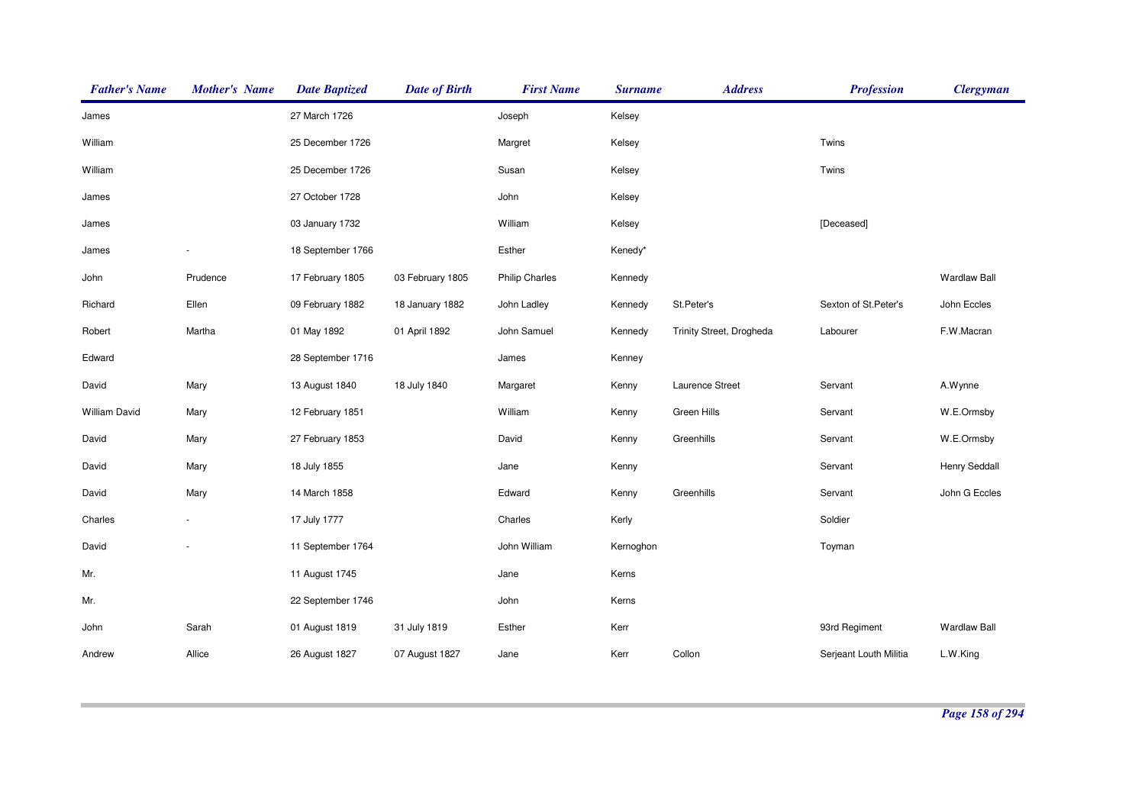| <b>Father's Name</b> | <b>Mother's Name</b> | <b>Date Baptized</b> | <b>Date of Birth</b> | <b>First Name</b>     | <b>Surname</b> | <b>Address</b>           | <b>Profession</b>      | <b>Clergyman</b>    |
|----------------------|----------------------|----------------------|----------------------|-----------------------|----------------|--------------------------|------------------------|---------------------|
| James                |                      | 27 March 1726        |                      | Joseph                | Kelsey         |                          |                        |                     |
| William              |                      | 25 December 1726     |                      | Margret               | Kelsey         |                          | Twins                  |                     |
| William              |                      | 25 December 1726     |                      | Susan                 | Kelsey         |                          | Twins                  |                     |
| James                |                      | 27 October 1728      |                      | John                  | Kelsey         |                          |                        |                     |
| James                |                      | 03 January 1732      |                      | William               | Kelsey         |                          | [Deceased]             |                     |
| James                |                      | 18 September 1766    |                      | Esther                | Kenedy*        |                          |                        |                     |
| John                 | Prudence             | 17 February 1805     | 03 February 1805     | <b>Philip Charles</b> | Kennedy        |                          |                        | <b>Wardlaw Ball</b> |
| Richard              | Ellen                | 09 February 1882     | 18 January 1882      | John Ladley           | Kennedy        | St.Peter's               | Sexton of St.Peter's   | John Eccles         |
| Robert               | Martha               | 01 May 1892          | 01 April 1892        | John Samuel           | Kennedy        | Trinity Street, Drogheda | Labourer               | F.W.Macran          |
| Edward               |                      | 28 September 1716    |                      | James                 | Kenney         |                          |                        |                     |
| David                | Mary                 | 13 August 1840       | 18 July 1840         | Margaret              | Kenny          | Laurence Street          | Servant                | A.Wynne             |
| <b>William David</b> | Mary                 | 12 February 1851     |                      | William               | Kenny          | Green Hills              | Servant                | W.E.Ormsby          |
| David                | Mary                 | 27 February 1853     |                      | David                 | Kenny          | Greenhills               | Servant                | W.E.Ormsby          |
| David                | Mary                 | 18 July 1855         |                      | Jane                  | Kenny          |                          | Servant                | Henry Seddall       |
| David                | Mary                 | 14 March 1858        |                      | Edward                | Kenny          | Greenhills               | Servant                | John G Eccles       |
| Charles              |                      | 17 July 1777         |                      | Charles               | Kerly          |                          | Soldier                |                     |
| David                |                      | 11 September 1764    |                      | John William          | Kernoghon      |                          | Toyman                 |                     |
| Mr.                  |                      | 11 August 1745       |                      | Jane                  | Kerns          |                          |                        |                     |
| Mr.                  |                      | 22 September 1746    |                      | John                  | Kerns          |                          |                        |                     |
| John                 | Sarah                | 01 August 1819       | 31 July 1819         | Esther                | Kerr           |                          | 93rd Regiment          | <b>Wardlaw Ball</b> |
| Andrew               | Allice               | 26 August 1827       | 07 August 1827       | Jane                  | Kerr           | Collon                   | Serjeant Louth Militia | L.W.King            |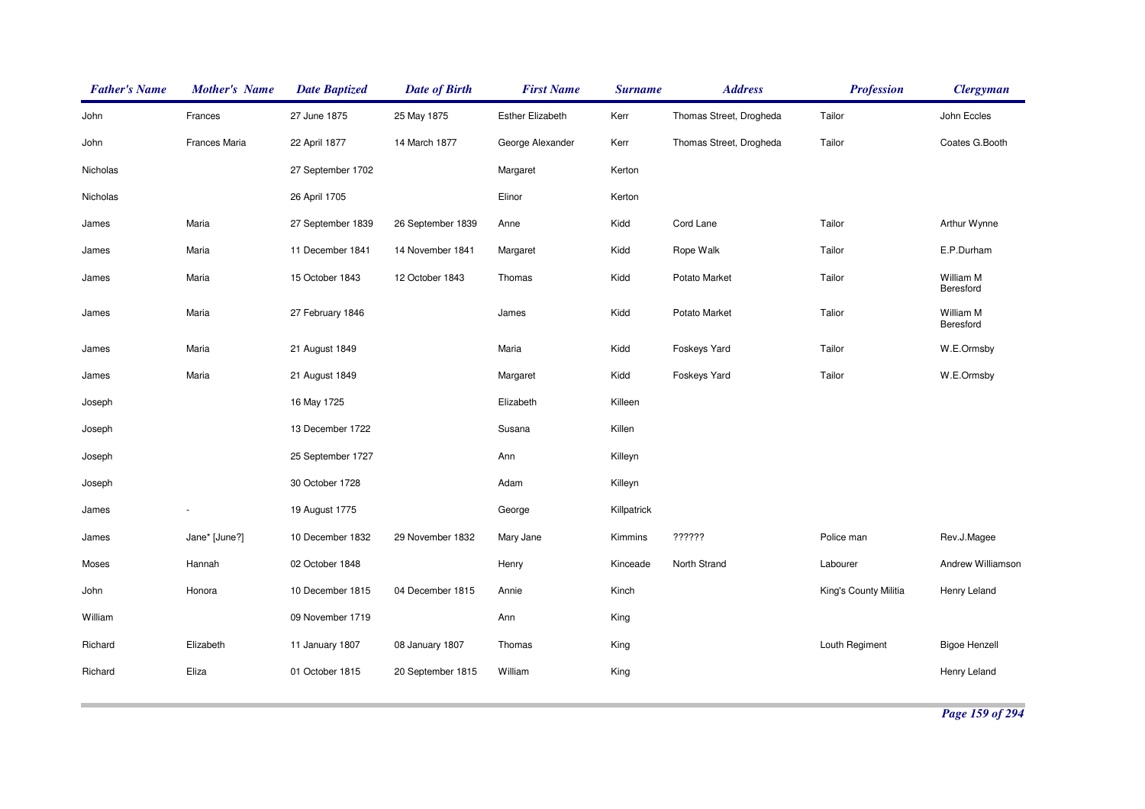| <b>Father's Name</b> | <b>Mother's Name</b> | <b>Date Baptized</b> | <b>Date of Birth</b> | <b>First Name</b>       | <b>Surname</b> | <b>Address</b>          | <b>Profession</b>     | <b>Clergyman</b>       |
|----------------------|----------------------|----------------------|----------------------|-------------------------|----------------|-------------------------|-----------------------|------------------------|
| John                 | Frances              | 27 June 1875         | 25 May 1875          | <b>Esther Elizabeth</b> | Kerr           | Thomas Street, Drogheda | Tailor                | John Eccles            |
| John                 | Frances Maria        | 22 April 1877        | 14 March 1877        | George Alexander        | Kerr           | Thomas Street, Drogheda | Tailor                | Coates G.Booth         |
| Nicholas             |                      | 27 September 1702    |                      | Margaret                | Kerton         |                         |                       |                        |
| Nicholas             |                      | 26 April 1705        |                      | Elinor                  | Kerton         |                         |                       |                        |
| James                | Maria                | 27 September 1839    | 26 September 1839    | Anne                    | Kidd           | Cord Lane               | Tailor                | Arthur Wynne           |
| James                | Maria                | 11 December 1841     | 14 November 1841     | Margaret                | Kidd           | Rope Walk               | Tailor                | E.P.Durham             |
| James                | Maria                | 15 October 1843      | 12 October 1843      | Thomas                  | Kidd           | Potato Market           | Tailor                | William M<br>Beresford |
| James                | Maria                | 27 February 1846     |                      | James                   | Kidd           | Potato Market           | Talior                | William M<br>Beresford |
| James                | Maria                | 21 August 1849       |                      | Maria                   | Kidd           | Foskeys Yard            | Tailor                | W.E.Ormsby             |
| James                | Maria                | 21 August 1849       |                      | Margaret                | Kidd           | Foskeys Yard            | Tailor                | W.E.Ormsby             |
| Joseph               |                      | 16 May 1725          |                      | Elizabeth               | Killeen        |                         |                       |                        |
| Joseph               |                      | 13 December 1722     |                      | Susana                  | Killen         |                         |                       |                        |
| Joseph               |                      | 25 September 1727    |                      | Ann                     | Killeyn        |                         |                       |                        |
| Joseph               |                      | 30 October 1728      |                      | Adam                    | Killeyn        |                         |                       |                        |
| James                |                      | 19 August 1775       |                      | George                  | Killpatrick    |                         |                       |                        |
| James                | Jane* [June?]        | 10 December 1832     | 29 November 1832     | Mary Jane               | Kimmins        | ??????                  | Police man            | Rev.J.Magee            |
| Moses                | Hannah               | 02 October 1848      |                      | Henry                   | Kinceade       | North Strand            | Labourer              | Andrew Williamson      |
| John                 | Honora               | 10 December 1815     | 04 December 1815     | Annie                   | Kinch          |                         | King's County Militia | Henry Leland           |
| William              |                      | 09 November 1719     |                      | Ann                     | King           |                         |                       |                        |
| Richard              | Elizabeth            | 11 January 1807      | 08 January 1807      | Thomas                  | King           |                         | Louth Regiment        | <b>Bigoe Henzell</b>   |
| Richard              | Eliza                | 01 October 1815      | 20 September 1815    | William                 | King           |                         |                       | Henry Leland           |
|                      |                      |                      |                      |                         |                |                         |                       |                        |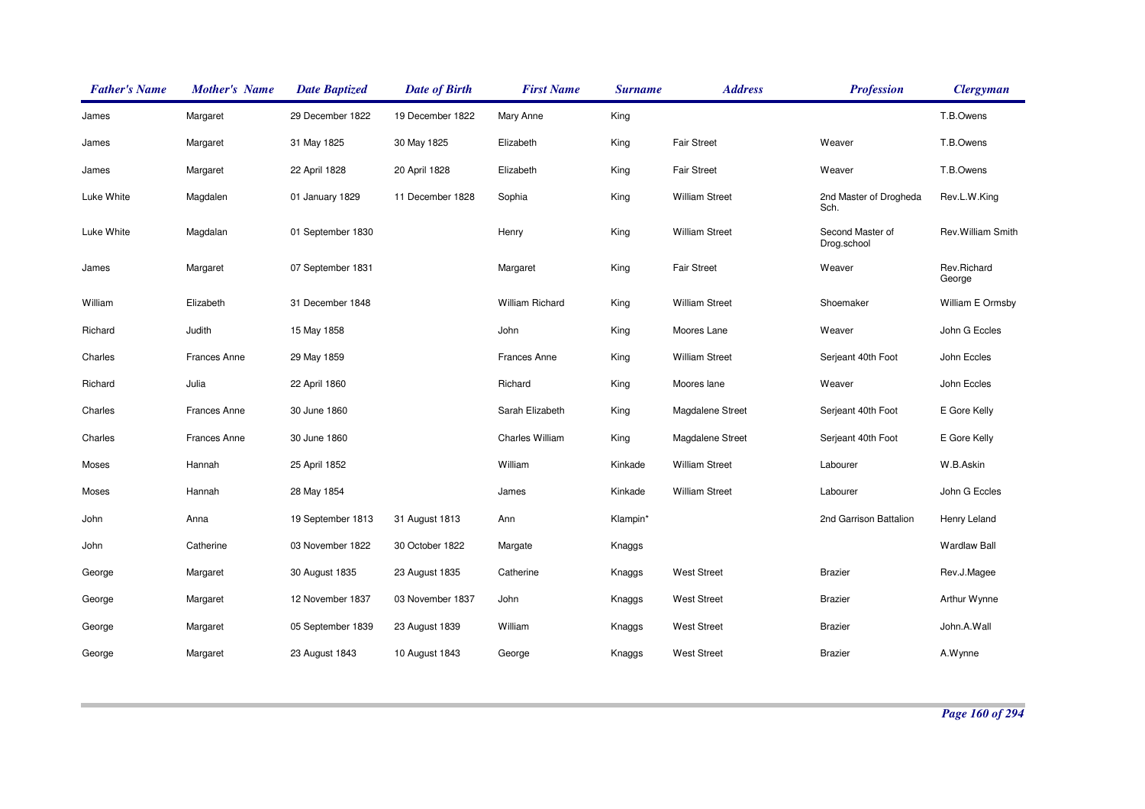| <b>Father's Name</b> | <b>Mother's Name</b> | <b>Date Baptized</b> | <b>Date of Birth</b> | <b>First Name</b>      | <b>Surname</b> | <b>Address</b>        | <b>Profession</b>               | <b>Clergyman</b>      |
|----------------------|----------------------|----------------------|----------------------|------------------------|----------------|-----------------------|---------------------------------|-----------------------|
| James                | Margaret             | 29 December 1822     | 19 December 1822     | Mary Anne              | King           |                       |                                 | T.B.Owens             |
| James                | Margaret             | 31 May 1825          | 30 May 1825          | Elizabeth              | King           | <b>Fair Street</b>    | Weaver                          | T.B.Owens             |
| James                | Margaret             | 22 April 1828        | 20 April 1828        | Elizabeth              | King           | <b>Fair Street</b>    | Weaver                          | T.B.Owens             |
| Luke White           | Magdalen             | 01 January 1829      | 11 December 1828     | Sophia                 | King           | <b>William Street</b> | 2nd Master of Drogheda<br>Sch.  | Rev.L.W.King          |
| Luke White           | Magdalan             | 01 September 1830    |                      | Henry                  | King           | <b>William Street</b> | Second Master of<br>Drog.school | Rev. William Smith    |
| James                | Margaret             | 07 September 1831    |                      | Margaret               | King           | <b>Fair Street</b>    | Weaver                          | Rev.Richard<br>George |
| William              | Elizabeth            | 31 December 1848     |                      | <b>William Richard</b> | King           | <b>William Street</b> | Shoemaker                       | William E Ormsby      |
| Richard              | Judith               | 15 May 1858          |                      | John                   | King           | Moores Lane           | Weaver                          | John G Eccles         |
| Charles              | <b>Frances Anne</b>  | 29 May 1859          |                      | <b>Frances Anne</b>    | King           | <b>William Street</b> | Serjeant 40th Foot              | John Eccles           |
| Richard              | Julia                | 22 April 1860        |                      | Richard                | King           | Moores lane           | Weaver                          | John Eccles           |
| Charles              | <b>Frances Anne</b>  | 30 June 1860         |                      | Sarah Elizabeth        | King           | Magdalene Street      | Serjeant 40th Foot              | E Gore Kelly          |
| Charles              | <b>Frances Anne</b>  | 30 June 1860         |                      | <b>Charles William</b> | King           | Magdalene Street      | Serjeant 40th Foot              | E Gore Kelly          |
| Moses                | Hannah               | 25 April 1852        |                      | William                | Kinkade        | <b>William Street</b> | Labourer                        | W.B.Askin             |
| Moses                | Hannah               | 28 May 1854          |                      | James                  | Kinkade        | <b>William Street</b> | Labourer                        | John G Eccles         |
| John                 | Anna                 | 19 September 1813    | 31 August 1813       | Ann                    | Klampin*       |                       | 2nd Garrison Battalion          | Henry Leland          |
| John                 | Catherine            | 03 November 1822     | 30 October 1822      | Margate                | Knaggs         |                       |                                 | <b>Wardlaw Ball</b>   |
| George               | Margaret             | 30 August 1835       | 23 August 1835       | Catherine              | Knaggs         | <b>West Street</b>    | <b>Brazier</b>                  | Rev.J.Magee           |
| George               | Margaret             | 12 November 1837     | 03 November 1837     | John                   | Knaggs         | <b>West Street</b>    | <b>Brazier</b>                  | Arthur Wynne          |
| George               | Margaret             | 05 September 1839    | 23 August 1839       | William                | Knaggs         | <b>West Street</b>    | <b>Brazier</b>                  | John.A.Wall           |
| George               | Margaret             | 23 August 1843       | 10 August 1843       | George                 | Knaggs         | <b>West Street</b>    | <b>Brazier</b>                  | A.Wynne               |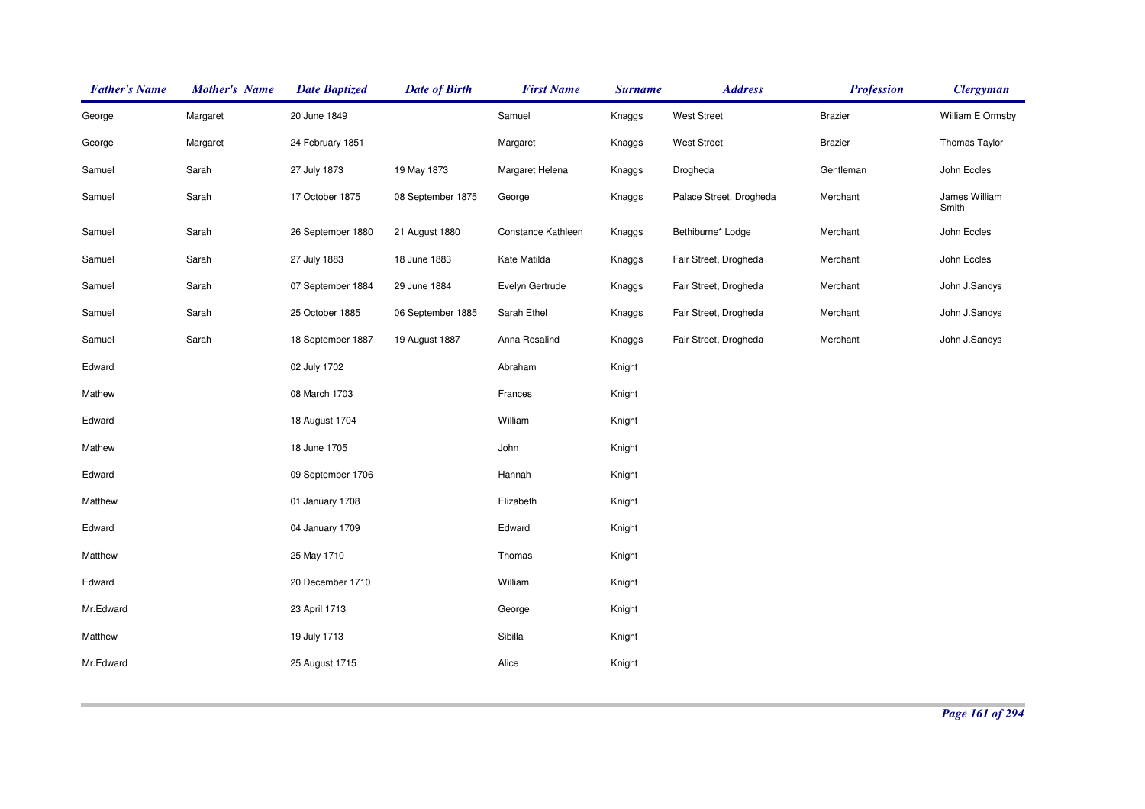| <b>Father's Name</b> | <b>Mother's Name</b> | <b>Date Baptized</b> | <b>Date of Birth</b> | <b>First Name</b>  | <b>Surname</b> | <b>Address</b>          | <b>Profession</b> | <b>Clergyman</b>       |
|----------------------|----------------------|----------------------|----------------------|--------------------|----------------|-------------------------|-------------------|------------------------|
| George               | Margaret             | 20 June 1849         |                      | Samuel             | Knaggs         | <b>West Street</b>      | <b>Brazier</b>    | William E Ormsby       |
| George               | Margaret             | 24 February 1851     |                      | Margaret           | Knaggs         | <b>West Street</b>      | <b>Brazier</b>    | Thomas Taylor          |
| Samuel               | Sarah                | 27 July 1873         | 19 May 1873          | Margaret Helena    | Knaggs         | Drogheda                | Gentleman         | John Eccles            |
| Samuel               | Sarah                | 17 October 1875      | 08 September 1875    | George             | Knaggs         | Palace Street, Drogheda | Merchant          | James William<br>Smith |
| Samuel               | Sarah                | 26 September 1880    | 21 August 1880       | Constance Kathleen | Knaggs         | Bethiburne* Lodge       | Merchant          | John Eccles            |
| Samuel               | Sarah                | 27 July 1883         | 18 June 1883         | Kate Matilda       | Knaggs         | Fair Street, Drogheda   | Merchant          | John Eccles            |
| Samuel               | Sarah                | 07 September 1884    | 29 June 1884         | Evelyn Gertrude    | Knaggs         | Fair Street, Drogheda   | Merchant          | John J.Sandys          |
| Samuel               | Sarah                | 25 October 1885      | 06 September 1885    | Sarah Ethel        | Knaggs         | Fair Street, Drogheda   | Merchant          | John J.Sandys          |
| Samuel               | Sarah                | 18 September 1887    | 19 August 1887       | Anna Rosalind      | Knaggs         | Fair Street, Drogheda   | Merchant          | John J.Sandys          |
| Edward               |                      | 02 July 1702         |                      | Abraham            | Knight         |                         |                   |                        |
| Mathew               |                      | 08 March 1703        |                      | Frances            | Knight         |                         |                   |                        |
| Edward               |                      | 18 August 1704       |                      | William            | Knight         |                         |                   |                        |
| Mathew               |                      | 18 June 1705         |                      | John               | Knight         |                         |                   |                        |
| Edward               |                      | 09 September 1706    |                      | Hannah             | Knight         |                         |                   |                        |
| Matthew              |                      | 01 January 1708      |                      | Elizabeth          | Knight         |                         |                   |                        |
| Edward               |                      | 04 January 1709      |                      | Edward             | Knight         |                         |                   |                        |
| Matthew              |                      | 25 May 1710          |                      | Thomas             | Knight         |                         |                   |                        |
| Edward               |                      | 20 December 1710     |                      | William            | Knight         |                         |                   |                        |
| Mr.Edward            |                      | 23 April 1713        |                      | George             | Knight         |                         |                   |                        |
| Matthew              |                      | 19 July 1713         |                      | Sibilla            | Knight         |                         |                   |                        |
| Mr.Edward            |                      | 25 August 1715       |                      | Alice              | Knight         |                         |                   |                        |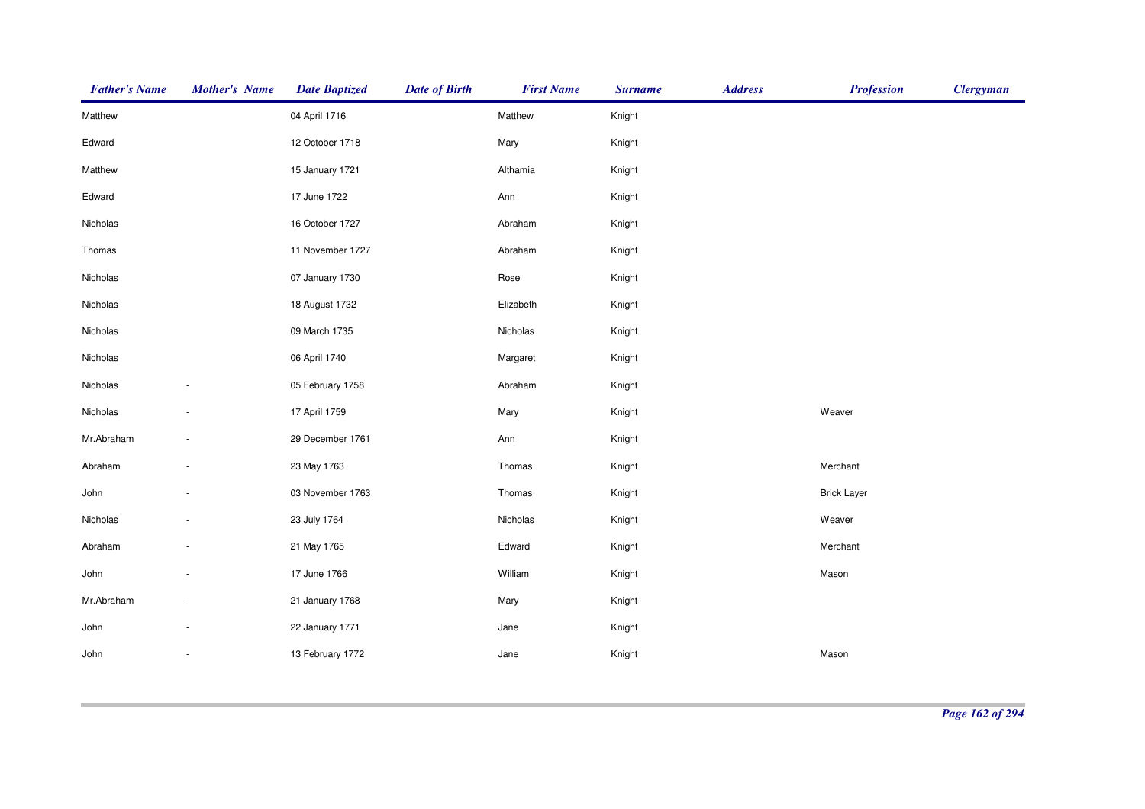| <b>Father's Name</b> | <b>Mother's Name</b>     | <b>Date Baptized</b> | <b>Date of Birth</b> | <b>First Name</b> | <b>Surname</b> | <b>Address</b> | <b>Profession</b>  | <b>Clergyman</b> |
|----------------------|--------------------------|----------------------|----------------------|-------------------|----------------|----------------|--------------------|------------------|
| Matthew              |                          | 04 April 1716        |                      | Matthew           | Knight         |                |                    |                  |
| Edward               |                          | 12 October 1718      |                      | Mary              | Knight         |                |                    |                  |
| Matthew              |                          | 15 January 1721      |                      | Althamia          | Knight         |                |                    |                  |
| Edward               |                          | 17 June 1722         |                      | Ann               | Knight         |                |                    |                  |
| Nicholas             |                          | 16 October 1727      |                      | Abraham           | Knight         |                |                    |                  |
| Thomas               |                          | 11 November 1727     |                      | Abraham           | Knight         |                |                    |                  |
| Nicholas             |                          | 07 January 1730      |                      | Rose              | Knight         |                |                    |                  |
| Nicholas             |                          | 18 August 1732       |                      | Elizabeth         | Knight         |                |                    |                  |
| Nicholas             |                          | 09 March 1735        |                      | Nicholas          | Knight         |                |                    |                  |
| Nicholas             |                          | 06 April 1740        |                      | Margaret          | Knight         |                |                    |                  |
| Nicholas             |                          | 05 February 1758     |                      | Abraham           | Knight         |                |                    |                  |
| Nicholas             |                          | 17 April 1759        |                      | Mary              | Knight         |                | Weaver             |                  |
| Mr.Abraham           |                          | 29 December 1761     |                      | Ann               | Knight         |                |                    |                  |
| Abraham              |                          | 23 May 1763          |                      | Thomas            | Knight         |                | Merchant           |                  |
| John                 |                          | 03 November 1763     |                      | Thomas            | Knight         |                | <b>Brick Layer</b> |                  |
| Nicholas             |                          | 23 July 1764         |                      | Nicholas          | Knight         |                | Weaver             |                  |
| Abraham              |                          | 21 May 1765          |                      | Edward            | Knight         |                | Merchant           |                  |
| John                 |                          | 17 June 1766         |                      | William           | Knight         |                | Mason              |                  |
| Mr.Abraham           |                          | 21 January 1768      |                      | Mary              | Knight         |                |                    |                  |
| John                 |                          | 22 January 1771      |                      | Jane              | Knight         |                |                    |                  |
| John                 | $\overline{\phantom{a}}$ | 13 February 1772     |                      | Jane              | Knight         |                | Mason              |                  |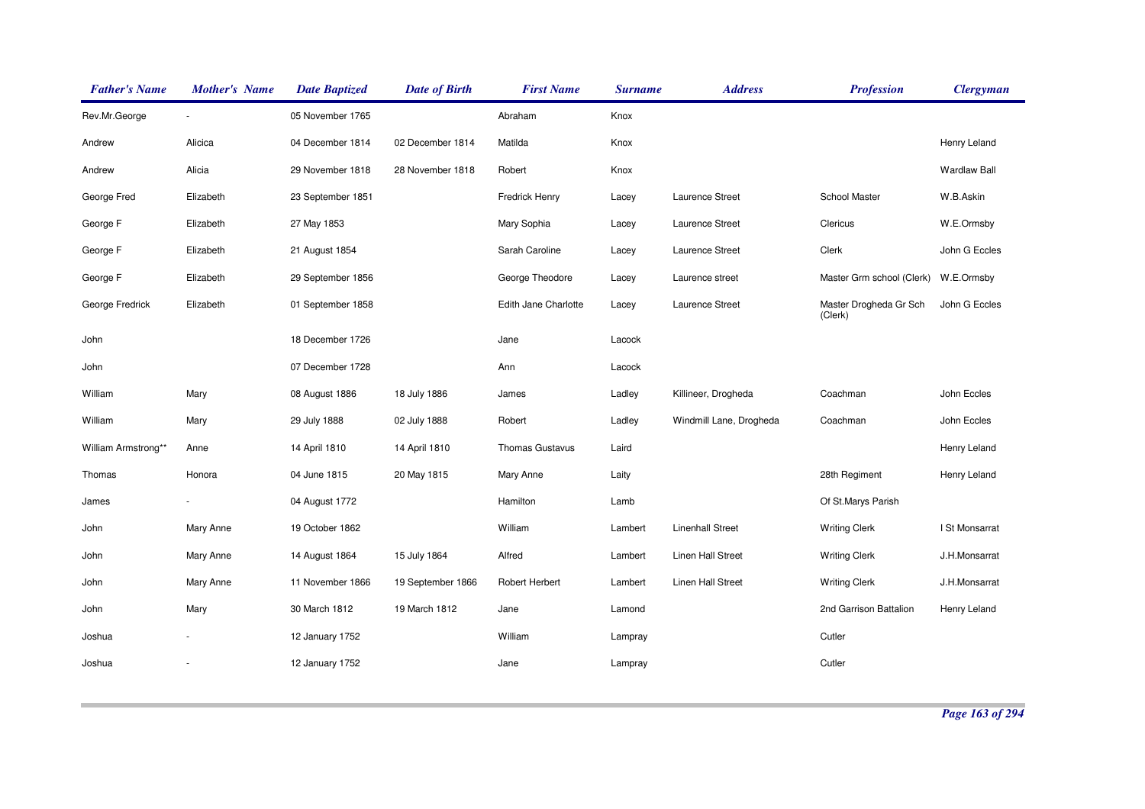| <b>Father's Name</b> | <b>Mother's Name</b> | <b>Date Baptized</b> | <b>Date of Birth</b> | <b>First Name</b>      | <b>Surname</b> | <b>Address</b>          | <b>Profession</b>                 | <b>Clergyman</b>    |
|----------------------|----------------------|----------------------|----------------------|------------------------|----------------|-------------------------|-----------------------------------|---------------------|
| Rev.Mr.George        |                      | 05 November 1765     |                      | Abraham                | Knox           |                         |                                   |                     |
| Andrew               | Alicica              | 04 December 1814     | 02 December 1814     | Matilda                | Knox           |                         |                                   | Henry Leland        |
| Andrew               | Alicia               | 29 November 1818     | 28 November 1818     | Robert                 | Knox           |                         |                                   | <b>Wardlaw Ball</b> |
| George Fred          | Elizabeth            | 23 September 1851    |                      | Fredrick Henry         | Lacey          | Laurence Street         | School Master                     | W.B.Askin           |
| George F             | Elizabeth            | 27 May 1853          |                      | Mary Sophia            | Lacey          | Laurence Street         | Clericus                          | W.E.Ormsby          |
| George F             | Elizabeth            | 21 August 1854       |                      | Sarah Caroline         | Lacey          | Laurence Street         | Clerk                             | John G Eccles       |
| George F             | Elizabeth            | 29 September 1856    |                      | George Theodore        | Lacey          | Laurence street         | Master Grm school (Clerk)         | W.E.Ormsby          |
| George Fredrick      | Elizabeth            | 01 September 1858    |                      | Edith Jane Charlotte   | Lacey          | Laurence Street         | Master Drogheda Gr Sch<br>(Clerk) | John G Eccles       |
| John                 |                      | 18 December 1726     |                      | Jane                   | Lacock         |                         |                                   |                     |
| John                 |                      | 07 December 1728     |                      | Ann                    | Lacock         |                         |                                   |                     |
| William              | Mary                 | 08 August 1886       | 18 July 1886         | James                  | Ladley         | Killineer, Drogheda     | Coachman                          | John Eccles         |
| William              | Mary                 | 29 July 1888         | 02 July 1888         | Robert                 | Ladley         | Windmill Lane, Drogheda | Coachman                          | John Eccles         |
| William Armstrong**  | Anne                 | 14 April 1810        | 14 April 1810        | <b>Thomas Gustavus</b> | Laird          |                         |                                   | Henry Leland        |
| Thomas               | Honora               | 04 June 1815         | 20 May 1815          | Mary Anne              | Laity          |                         | 28th Regiment                     | Henry Leland        |
| James                |                      | 04 August 1772       |                      | Hamilton               | Lamb           |                         | Of St.Marys Parish                |                     |
| John                 | Mary Anne            | 19 October 1862      |                      | William                | Lambert        | <b>Linenhall Street</b> | <b>Writing Clerk</b>              | I St Monsarrat      |
| John                 | Mary Anne            | 14 August 1864       | 15 July 1864         | Alfred                 | Lambert        | Linen Hall Street       | <b>Writing Clerk</b>              | J.H.Monsarrat       |
| John                 | Mary Anne            | 11 November 1866     | 19 September 1866    | Robert Herbert         | Lambert        | Linen Hall Street       | <b>Writing Clerk</b>              | J.H.Monsarrat       |
| John                 | Mary                 | 30 March 1812        | 19 March 1812        | Jane                   | Lamond         |                         | 2nd Garrison Battalion            | Henry Leland        |
| Joshua               |                      | 12 January 1752      |                      | William                | Lampray        |                         | Cutler                            |                     |
| Joshua               |                      | 12 January 1752      |                      | Jane                   | Lampray        |                         | Cutler                            |                     |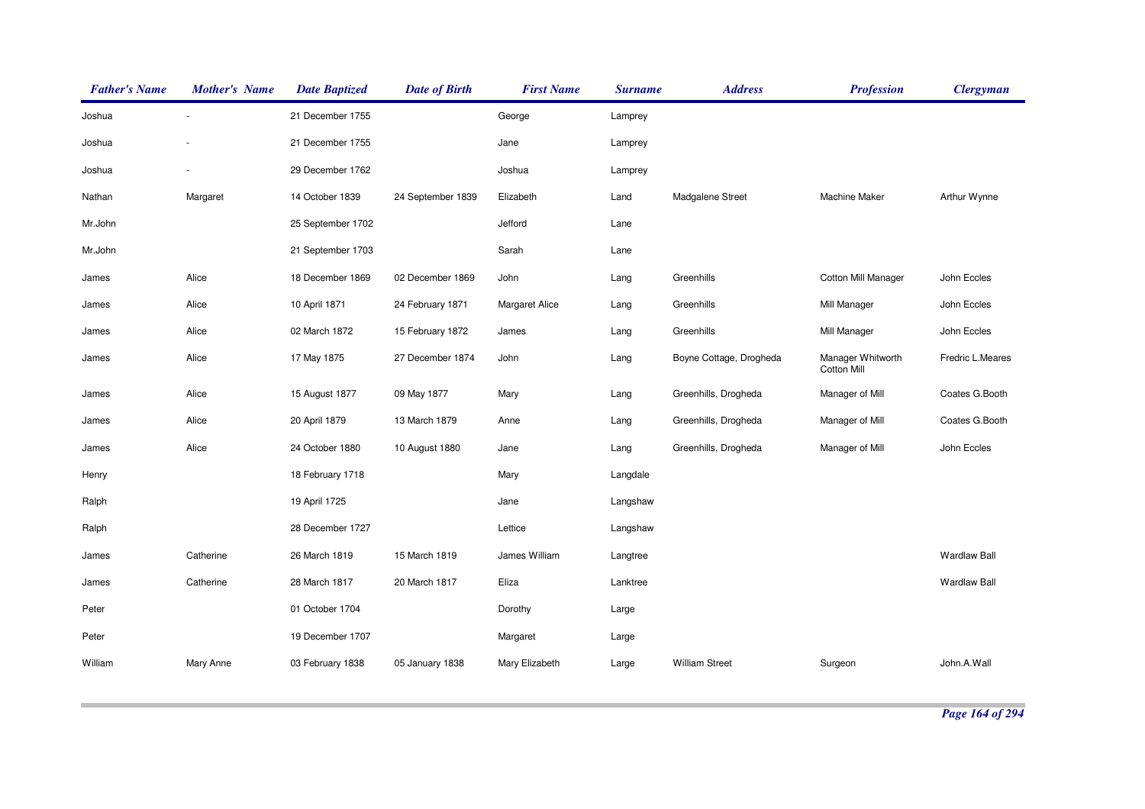| <b>Father's Name</b> | <b>Mother's Name</b> | <b>Date Baptized</b> | <b>Date of Birth</b> | <b>First Name</b>     | <b>Surname</b> | <b>Address</b>          | <b>Profession</b>                       | <b>Clergyman</b>    |
|----------------------|----------------------|----------------------|----------------------|-----------------------|----------------|-------------------------|-----------------------------------------|---------------------|
| Joshua               |                      | 21 December 1755     |                      | George                | Lamprey        |                         |                                         |                     |
| Joshua               |                      | 21 December 1755     |                      | Jane                  | Lamprey        |                         |                                         |                     |
| Joshua               |                      | 29 December 1762     |                      | Joshua                | Lamprey        |                         |                                         |                     |
| Nathan               | Margaret             | 14 October 1839      | 24 September 1839    | Elizabeth             | Land           | Madgalene Street        | <b>Machine Maker</b>                    | Arthur Wynne        |
| Mr.John              |                      | 25 September 1702    |                      | Jefford               | Lane           |                         |                                         |                     |
| Mr.John              |                      | 21 September 1703    |                      | Sarah                 | Lane           |                         |                                         |                     |
| James                | Alice                | 18 December 1869     | 02 December 1869     | John                  | Lang           | Greenhills              | <b>Cotton Mill Manager</b>              | John Eccles         |
| James                | Alice                | 10 April 1871        | 24 February 1871     | <b>Margaret Alice</b> | Lang           | Greenhills              | Mill Manager                            | John Eccles         |
| James                | Alice                | 02 March 1872        | 15 February 1872     | James                 | Lang           | Greenhills              | Mill Manager                            | John Eccles         |
| James                | Alice                | 17 May 1875          | 27 December 1874     | John                  | Lang           | Boyne Cottage, Drogheda | Manager Whitworth<br><b>Cotton Mill</b> | Fredric L.Meares    |
| James                | Alice                | 15 August 1877       | 09 May 1877          | Mary                  | Lang           | Greenhills, Drogheda    | Manager of Mill                         | Coates G.Booth      |
| James                | Alice                | 20 April 1879        | 13 March 1879        | Anne                  | Lang           | Greenhills, Drogheda    | Manager of Mill                         | Coates G.Booth      |
| James                | Alice                | 24 October 1880      | 10 August 1880       | Jane                  | Lang           | Greenhills, Drogheda    | Manager of Mill                         | John Eccles         |
| Henry                |                      | 18 February 1718     |                      | Mary                  | Langdale       |                         |                                         |                     |
| Ralph                |                      | 19 April 1725        |                      | Jane                  | Langshaw       |                         |                                         |                     |
| Ralph                |                      | 28 December 1727     |                      | Lettice               | Langshaw       |                         |                                         |                     |
| James                | Catherine            | 26 March 1819        | 15 March 1819        | James William         | Langtree       |                         |                                         | <b>Wardlaw Ball</b> |
| James                | Catherine            | 28 March 1817        | 20 March 1817        | Eliza                 | Lanktree       |                         |                                         | <b>Wardlaw Ball</b> |
| Peter                |                      | 01 October 1704      |                      | Dorothy               | Large          |                         |                                         |                     |
| Peter                |                      | 19 December 1707     |                      | Margaret              | Large          |                         |                                         |                     |
| William              | Mary Anne            | 03 February 1838     | 05 January 1838      | Mary Elizabeth        | Large          | <b>William Street</b>   | Surgeon                                 | John.A.Wall         |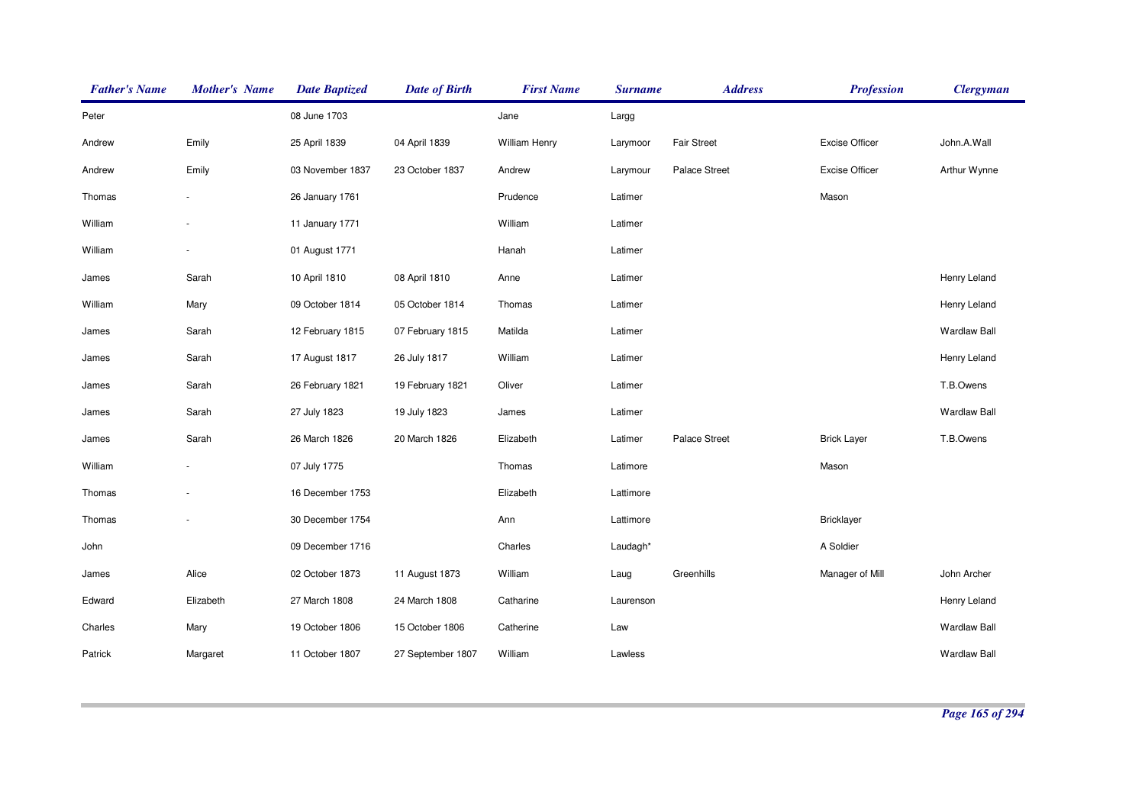| <b>Father's Name</b> | <b>Mother's Name</b> | <b>Date Baptized</b> | <b>Date of Birth</b> | <b>First Name</b> | <b>Surname</b> | <b>Address</b>     | <b>Profession</b>     | <b>Clergyman</b>    |
|----------------------|----------------------|----------------------|----------------------|-------------------|----------------|--------------------|-----------------------|---------------------|
| Peter                |                      | 08 June 1703         |                      | Jane              | Largg          |                    |                       |                     |
| Andrew               | Emily                | 25 April 1839        | 04 April 1839        | William Henry     | Larymoor       | <b>Fair Street</b> | <b>Excise Officer</b> | John.A.Wall         |
| Andrew               | Emily                | 03 November 1837     | 23 October 1837      | Andrew            | Larymour       | Palace Street      | <b>Excise Officer</b> | Arthur Wynne        |
| Thomas               |                      | 26 January 1761      |                      | Prudence          | Latimer        |                    | Mason                 |                     |
| William              |                      | 11 January 1771      |                      | William           | Latimer        |                    |                       |                     |
| William              |                      | 01 August 1771       |                      | Hanah             | Latimer        |                    |                       |                     |
| James                | Sarah                | 10 April 1810        | 08 April 1810        | Anne              | Latimer        |                    |                       | Henry Leland        |
| William              | Mary                 | 09 October 1814      | 05 October 1814      | Thomas            | Latimer        |                    |                       | Henry Leland        |
| James                | Sarah                | 12 February 1815     | 07 February 1815     | Matilda           | Latimer        |                    |                       | <b>Wardlaw Ball</b> |
| James                | Sarah                | 17 August 1817       | 26 July 1817         | William           | Latimer        |                    |                       | Henry Leland        |
| James                | Sarah                | 26 February 1821     | 19 February 1821     | Oliver            | Latimer        |                    |                       | T.B.Owens           |
| James                | Sarah                | 27 July 1823         | 19 July 1823         | James             | Latimer        |                    |                       | <b>Wardlaw Ball</b> |
| James                | Sarah                | 26 March 1826        | 20 March 1826        | Elizabeth         | Latimer        | Palace Street      | <b>Brick Layer</b>    | T.B.Owens           |
| William              |                      | 07 July 1775         |                      | Thomas            | Latimore       |                    | Mason                 |                     |
| Thomas               |                      | 16 December 1753     |                      | Elizabeth         | Lattimore      |                    |                       |                     |
| Thomas               |                      | 30 December 1754     |                      | Ann               | Lattimore      |                    | <b>Bricklayer</b>     |                     |
| John                 |                      | 09 December 1716     |                      | Charles           | Laudagh*       |                    | A Soldier             |                     |
| James                | Alice                | 02 October 1873      | 11 August 1873       | William           | Laug           | Greenhills         | Manager of Mill       | John Archer         |
| Edward               | Elizabeth            | 27 March 1808        | 24 March 1808        | Catharine         | Laurenson      |                    |                       | Henry Leland        |
| Charles              | Mary                 | 19 October 1806      | 15 October 1806      | Catherine         | Law            |                    |                       | <b>Wardlaw Ball</b> |
| Patrick              | Margaret             | 11 October 1807      | 27 September 1807    | William           | Lawless        |                    |                       | <b>Wardlaw Ball</b> |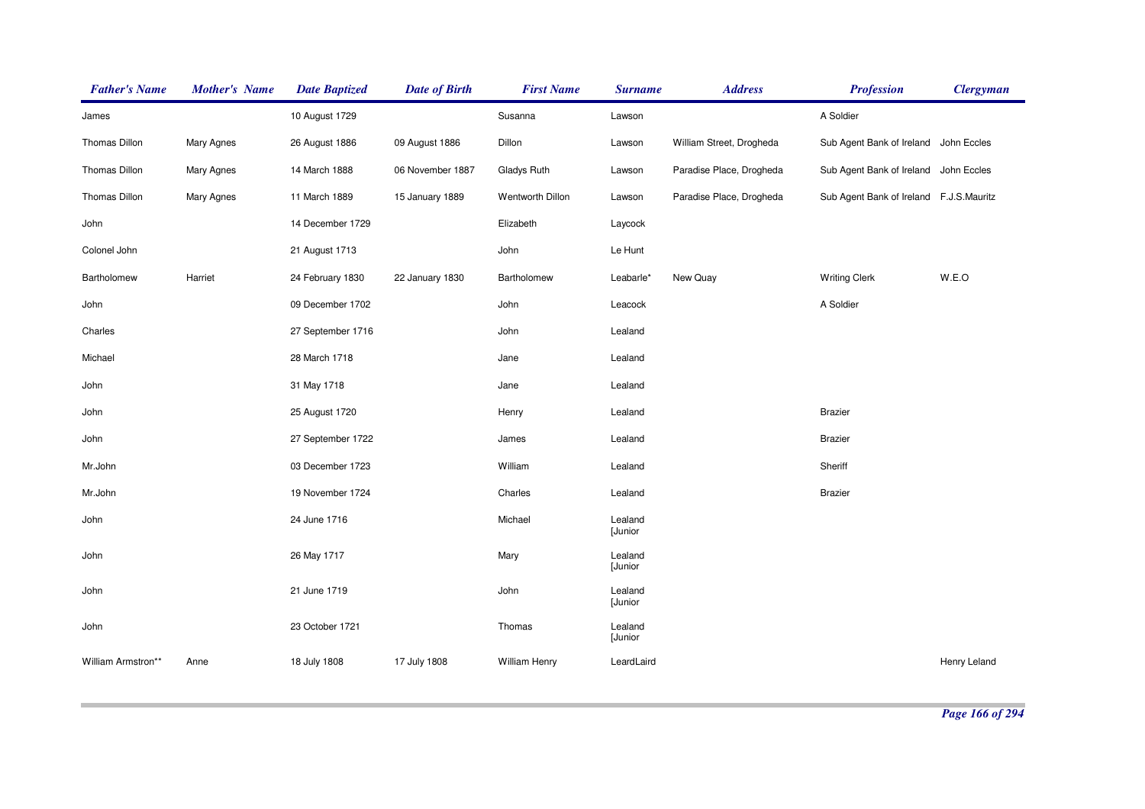| <b>Father's Name</b> | <b>Mother's Name</b> | <b>Date Baptized</b> | <b>Date of Birth</b> | <b>First Name</b> | <b>Surname</b>     | <b>Address</b>           | <b>Profession</b>                       | <b>Clergyman</b> |
|----------------------|----------------------|----------------------|----------------------|-------------------|--------------------|--------------------------|-----------------------------------------|------------------|
| James                |                      | 10 August 1729       |                      | Susanna           | Lawson             |                          | A Soldier                               |                  |
| Thomas Dillon        | <b>Mary Agnes</b>    | 26 August 1886       | 09 August 1886       | Dillon            | Lawson             | William Street, Drogheda | Sub Agent Bank of Ireland John Eccles   |                  |
| Thomas Dillon        | Mary Agnes           | 14 March 1888        | 06 November 1887     | Gladys Ruth       | Lawson             | Paradise Place, Drogheda | Sub Agent Bank of Ireland John Eccles   |                  |
| Thomas Dillon        | Mary Agnes           | 11 March 1889        | 15 January 1889      | Wentworth Dillon  | Lawson             | Paradise Place, Drogheda | Sub Agent Bank of Ireland F.J.S.Mauritz |                  |
| John                 |                      | 14 December 1729     |                      | Elizabeth         | Laycock            |                          |                                         |                  |
| Colonel John         |                      | 21 August 1713       |                      | John              | Le Hunt            |                          |                                         |                  |
| Bartholomew          | Harriet              | 24 February 1830     | 22 January 1830      | Bartholomew       | Leabarle*          | New Quay                 | <b>Writing Clerk</b>                    | W.E.O            |
| John                 |                      | 09 December 1702     |                      | John              | Leacock            |                          | A Soldier                               |                  |
| Charles              |                      | 27 September 1716    |                      | John              | Lealand            |                          |                                         |                  |
| Michael              |                      | 28 March 1718        |                      | Jane              | Lealand            |                          |                                         |                  |
| John                 |                      | 31 May 1718          |                      | Jane              | Lealand            |                          |                                         |                  |
| John                 |                      | 25 August 1720       |                      | Henry             | Lealand            |                          | <b>Brazier</b>                          |                  |
| John                 |                      | 27 September 1722    |                      | James             | Lealand            |                          | <b>Brazier</b>                          |                  |
| Mr.John              |                      | 03 December 1723     |                      | William           | Lealand            |                          | Sheriff                                 |                  |
| Mr.John              |                      | 19 November 1724     |                      | Charles           | Lealand            |                          | <b>Brazier</b>                          |                  |
| John                 |                      | 24 June 1716         |                      | Michael           | Lealand<br>[Junior |                          |                                         |                  |
| John                 |                      | 26 May 1717          |                      | Mary              | Lealand<br>[Junior |                          |                                         |                  |
| John                 |                      | 21 June 1719         |                      | John              | Lealand<br>[Junior |                          |                                         |                  |
| John                 |                      | 23 October 1721      |                      | Thomas            | Lealand<br>[Junior |                          |                                         |                  |
| William Armstron**   | Anne                 | 18 July 1808         | 17 July 1808         | William Henry     | LeardLaird         |                          |                                         | Henry Leland     |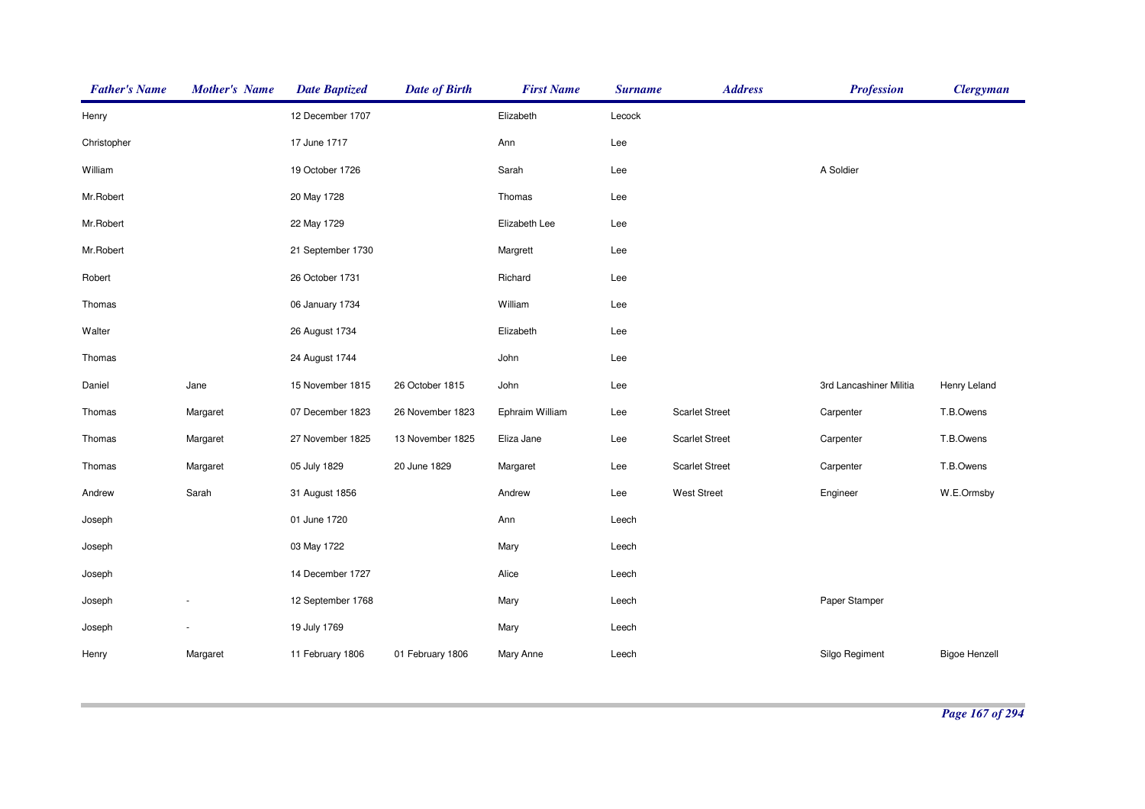| <b>Father's Name</b> | <b>Mother's Name</b> | <b>Date Baptized</b> | <b>Date of Birth</b> | <b>First Name</b> | <b>Surname</b> | <b>Address</b>        | <b>Profession</b>       | <b>Clergyman</b>     |
|----------------------|----------------------|----------------------|----------------------|-------------------|----------------|-----------------------|-------------------------|----------------------|
| Henry                |                      | 12 December 1707     |                      | Elizabeth         | Lecock         |                       |                         |                      |
| Christopher          |                      | 17 June 1717         |                      | Ann               | Lee            |                       |                         |                      |
| William              |                      | 19 October 1726      |                      | Sarah             | Lee            |                       | A Soldier               |                      |
| Mr.Robert            |                      | 20 May 1728          |                      | Thomas            | Lee            |                       |                         |                      |
| Mr.Robert            |                      | 22 May 1729          |                      | Elizabeth Lee     | Lee            |                       |                         |                      |
| Mr.Robert            |                      | 21 September 1730    |                      | Margrett          | Lee            |                       |                         |                      |
| Robert               |                      | 26 October 1731      |                      | Richard           | Lee            |                       |                         |                      |
| Thomas               |                      | 06 January 1734      |                      | William           | Lee            |                       |                         |                      |
| Walter               |                      | 26 August 1734       |                      | Elizabeth         | Lee            |                       |                         |                      |
| Thomas               |                      | 24 August 1744       |                      | John              | Lee            |                       |                         |                      |
| Daniel               | Jane                 | 15 November 1815     | 26 October 1815      | John              | Lee            |                       | 3rd Lancashiner Militia | Henry Leland         |
| Thomas               | Margaret             | 07 December 1823     | 26 November 1823     | Ephraim William   | Lee            | <b>Scarlet Street</b> | Carpenter               | T.B.Owens            |
| Thomas               | Margaret             | 27 November 1825     | 13 November 1825     | Eliza Jane        | Lee            | <b>Scarlet Street</b> | Carpenter               | T.B.Owens            |
| Thomas               | Margaret             | 05 July 1829         | 20 June 1829         | Margaret          | Lee            | <b>Scarlet Street</b> | Carpenter               | T.B.Owens            |
| Andrew               | Sarah                | 31 August 1856       |                      | Andrew            | Lee            | West Street           | Engineer                | W.E.Ormsby           |
| Joseph               |                      | 01 June 1720         |                      | Ann               | Leech          |                       |                         |                      |
| Joseph               |                      | 03 May 1722          |                      | Mary              | Leech          |                       |                         |                      |
| Joseph               |                      | 14 December 1727     |                      | Alice             | Leech          |                       |                         |                      |
| Joseph               |                      | 12 September 1768    |                      | Mary              | Leech          |                       | Paper Stamper           |                      |
| Joseph               |                      | 19 July 1769         |                      | Mary              | Leech          |                       |                         |                      |
| Henry                | Margaret             | 11 February 1806     | 01 February 1806     | Mary Anne         | Leech          |                       | Silgo Regiment          | <b>Bigoe Henzell</b> |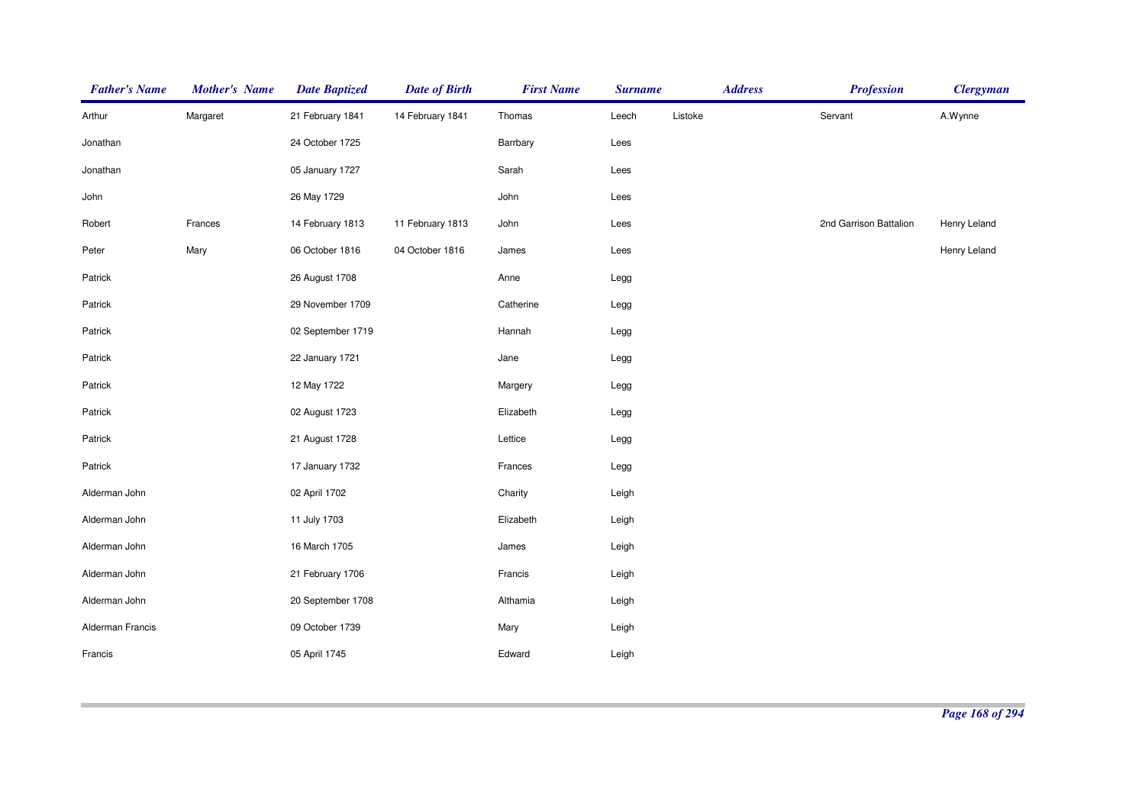| <b>Father's Name</b> | <b>Mother's Name</b> | <b>Date Baptized</b> | <b>Date of Birth</b> | <b>First Name</b> | <b>Surname</b> |         | <b>Address</b> | <b>Profession</b>      | <b>Clergyman</b> |
|----------------------|----------------------|----------------------|----------------------|-------------------|----------------|---------|----------------|------------------------|------------------|
| Arthur               | Margaret             | 21 February 1841     | 14 February 1841     | Thomas            | Leech          | Listoke |                | Servant                | A.Wynne          |
| Jonathan             |                      | 24 October 1725      |                      | Barrbary          | Lees           |         |                |                        |                  |
| Jonathan             |                      | 05 January 1727      |                      | Sarah             | Lees           |         |                |                        |                  |
| John                 |                      | 26 May 1729          |                      | John              | Lees           |         |                |                        |                  |
| Robert               | Frances              | 14 February 1813     | 11 February 1813     | John              | Lees           |         |                | 2nd Garrison Battalion | Henry Leland     |
| Peter                | Mary                 | 06 October 1816      | 04 October 1816      | James             | Lees           |         |                |                        | Henry Leland     |
| Patrick              |                      | 26 August 1708       |                      | Anne              | Legg           |         |                |                        |                  |
| Patrick              |                      | 29 November 1709     |                      | Catherine         | Legg           |         |                |                        |                  |
| Patrick              |                      | 02 September 1719    |                      | Hannah            | Legg           |         |                |                        |                  |
| Patrick              |                      | 22 January 1721      |                      | Jane              | Legg           |         |                |                        |                  |
| Patrick              |                      | 12 May 1722          |                      | Margery           | Legg           |         |                |                        |                  |
| Patrick              |                      | 02 August 1723       |                      | Elizabeth         | Legg           |         |                |                        |                  |
| Patrick              |                      | 21 August 1728       |                      | Lettice           | Legg           |         |                |                        |                  |
| Patrick              |                      | 17 January 1732      |                      | Frances           | Legg           |         |                |                        |                  |
| Alderman John        |                      | 02 April 1702        |                      | Charity           | Leigh          |         |                |                        |                  |
| Alderman John        |                      | 11 July 1703         |                      | Elizabeth         | Leigh          |         |                |                        |                  |
| Alderman John        |                      | 16 March 1705        |                      | James             | Leigh          |         |                |                        |                  |
| Alderman John        |                      | 21 February 1706     |                      | Francis           | Leigh          |         |                |                        |                  |
| Alderman John        |                      | 20 September 1708    |                      | Althamia          | Leigh          |         |                |                        |                  |
| Alderman Francis     |                      | 09 October 1739      |                      | Mary              | Leigh          |         |                |                        |                  |
| Francis              |                      | 05 April 1745        |                      | Edward            | Leigh          |         |                |                        |                  |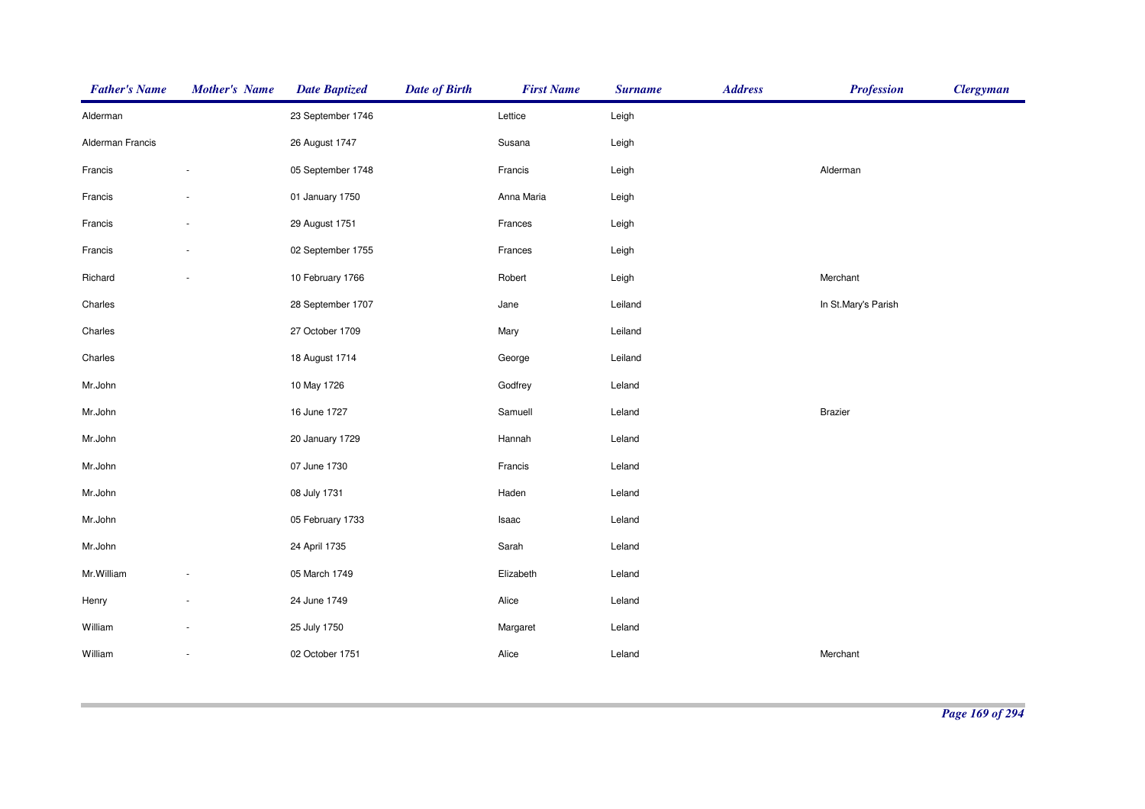| <b>Father's Name</b> | <b>Mother's Name</b> | <b>Date Baptized</b> | <b>Date of Birth</b> | <b>First Name</b> | <b>Surname</b> | <b>Address</b> | <b>Profession</b>   | <b>Clergyman</b> |
|----------------------|----------------------|----------------------|----------------------|-------------------|----------------|----------------|---------------------|------------------|
| Alderman             |                      | 23 September 1746    |                      | Lettice           | Leigh          |                |                     |                  |
| Alderman Francis     |                      | 26 August 1747       |                      | Susana            | Leigh          |                |                     |                  |
| Francis              | $\sim$               | 05 September 1748    |                      | Francis           | Leigh          |                | Alderman            |                  |
| Francis              |                      | 01 January 1750      |                      | Anna Maria        | Leigh          |                |                     |                  |
| Francis              |                      | 29 August 1751       |                      | Frances           | Leigh          |                |                     |                  |
| Francis              |                      | 02 September 1755    |                      | Frances           | Leigh          |                |                     |                  |
| Richard              |                      | 10 February 1766     |                      | Robert            | Leigh          |                | Merchant            |                  |
| Charles              |                      | 28 September 1707    |                      | Jane              | Leiland        |                | In St.Mary's Parish |                  |
| Charles              |                      | 27 October 1709      |                      | Mary              | Leiland        |                |                     |                  |
| Charles              |                      | 18 August 1714       |                      | George            | Leiland        |                |                     |                  |
| Mr.John              |                      | 10 May 1726          |                      | Godfrey           | Leland         |                |                     |                  |
| Mr.John              |                      | 16 June 1727         |                      | Samuell           | Leland         |                | <b>Brazier</b>      |                  |
| Mr.John              |                      | 20 January 1729      |                      | Hannah            | Leland         |                |                     |                  |
| Mr.John              |                      | 07 June 1730         |                      | Francis           | Leland         |                |                     |                  |
| Mr.John              |                      | 08 July 1731         |                      | Haden             | Leland         |                |                     |                  |
| Mr.John              |                      | 05 February 1733     |                      | Isaac             | Leland         |                |                     |                  |
| Mr.John              |                      | 24 April 1735        |                      | Sarah             | Leland         |                |                     |                  |
| Mr.William           |                      | 05 March 1749        |                      | Elizabeth         | Leland         |                |                     |                  |
| Henry                |                      | 24 June 1749         |                      | Alice             | Leland         |                |                     |                  |
| William              |                      | 25 July 1750         |                      | Margaret          | Leland         |                |                     |                  |
| William              |                      | 02 October 1751      |                      | Alice             | Leland         |                | Merchant            |                  |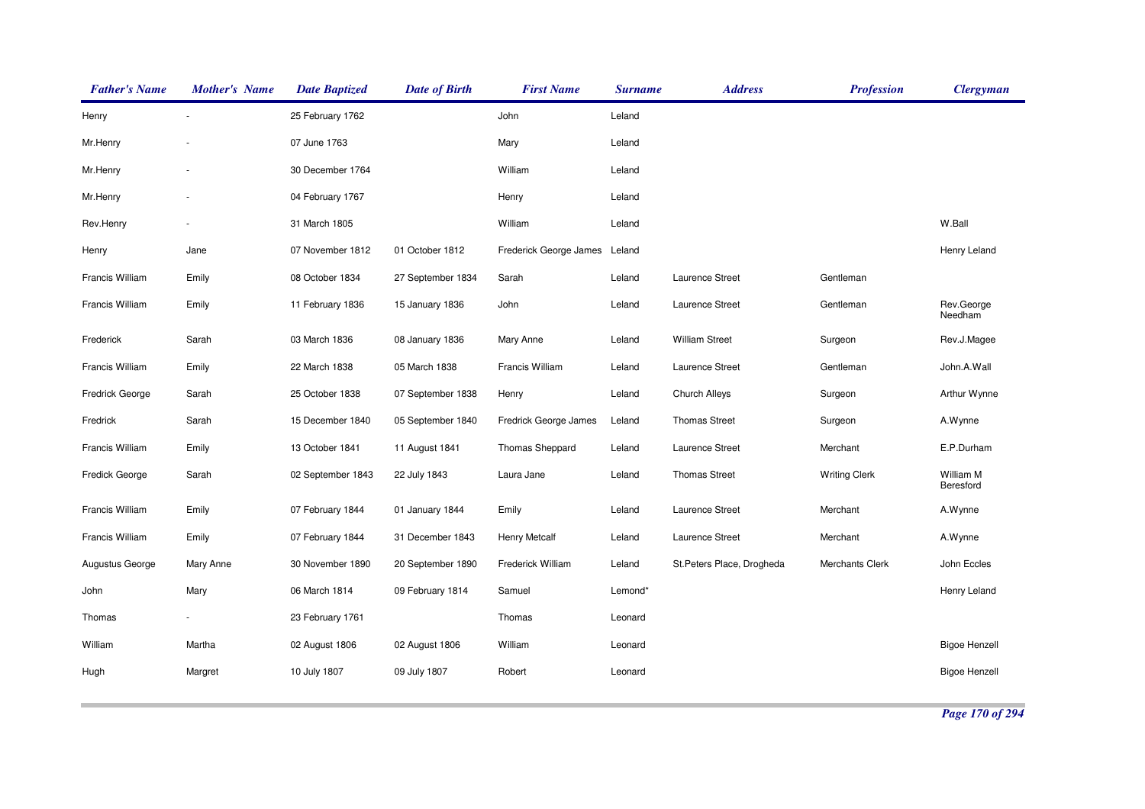| <b>Father's Name</b> | <b>Mother's Name</b> | <b>Date Baptized</b> | <b>Date of Birth</b> | <b>First Name</b>      | <b>Surname</b> | <b>Address</b>             | <b>Profession</b>    | <b>Clergyman</b>       |
|----------------------|----------------------|----------------------|----------------------|------------------------|----------------|----------------------------|----------------------|------------------------|
| Henry                |                      | 25 February 1762     |                      | John                   | Leland         |                            |                      |                        |
| Mr.Henry             |                      | 07 June 1763         |                      | Mary                   | Leland         |                            |                      |                        |
| Mr.Henry             |                      | 30 December 1764     |                      | William                | Leland         |                            |                      |                        |
| Mr.Henry             |                      | 04 February 1767     |                      | Henry                  | Leland         |                            |                      |                        |
| Rev.Henry            |                      | 31 March 1805        |                      | William                | Leland         |                            |                      | W.Ball                 |
| Henry                | Jane                 | 07 November 1812     | 01 October 1812      | Frederick George James | Leland         |                            |                      | Henry Leland           |
| Francis William      | Emily                | 08 October 1834      | 27 September 1834    | Sarah                  | Leland         | Laurence Street            | Gentleman            |                        |
| Francis William      | Emily                | 11 February 1836     | 15 January 1836      | John                   | Leland         | Laurence Street            | Gentleman            | Rev.George<br>Needham  |
| Frederick            | Sarah                | 03 March 1836        | 08 January 1836      | Mary Anne              | Leland         | <b>William Street</b>      | Surgeon              | Rev.J.Magee            |
| Francis William      | Emily                | 22 March 1838        | 05 March 1838        | Francis William        | Leland         | Laurence Street            | Gentleman            | John.A.Wall            |
| Fredrick George      | Sarah                | 25 October 1838      | 07 September 1838    | Henry                  | Leland         | <b>Church Alleys</b>       | Surgeon              | Arthur Wynne           |
| Fredrick             | Sarah                | 15 December 1840     | 05 September 1840    | Fredrick George James  | Leland         | <b>Thomas Street</b>       | Surgeon              | A.Wynne                |
| Francis William      | Emily                | 13 October 1841      | 11 August 1841       | Thomas Sheppard        | Leland         | Laurence Street            | Merchant             | E.P.Durham             |
| Fredick George       | Sarah                | 02 September 1843    | 22 July 1843         | Laura Jane             | Leland         | <b>Thomas Street</b>       | <b>Writing Clerk</b> | William M<br>Beresford |
| Francis William      | Emily                | 07 February 1844     | 01 January 1844      | Emily                  | Leland         | Laurence Street            | Merchant             | A.Wynne                |
| Francis William      | Emily                | 07 February 1844     | 31 December 1843     | <b>Henry Metcalf</b>   | Leland         | Laurence Street            | Merchant             | A.Wynne                |
| Augustus George      | Mary Anne            | 30 November 1890     | 20 September 1890    | Frederick William      | Leland         | St. Peters Place, Drogheda | Merchants Clerk      | John Eccles            |
| John                 | Mary                 | 06 March 1814        | 09 February 1814     | Samuel                 | Lemond*        |                            |                      | Henry Leland           |
| Thomas               |                      | 23 February 1761     |                      | Thomas                 | Leonard        |                            |                      |                        |
| William              | Martha               | 02 August 1806       | 02 August 1806       | William                | Leonard        |                            |                      | <b>Bigoe Henzell</b>   |
| Hugh                 | Margret              | 10 July 1807         | 09 July 1807         | Robert                 | Leonard        |                            |                      | <b>Bigoe Henzell</b>   |
|                      |                      |                      |                      |                        |                |                            |                      |                        |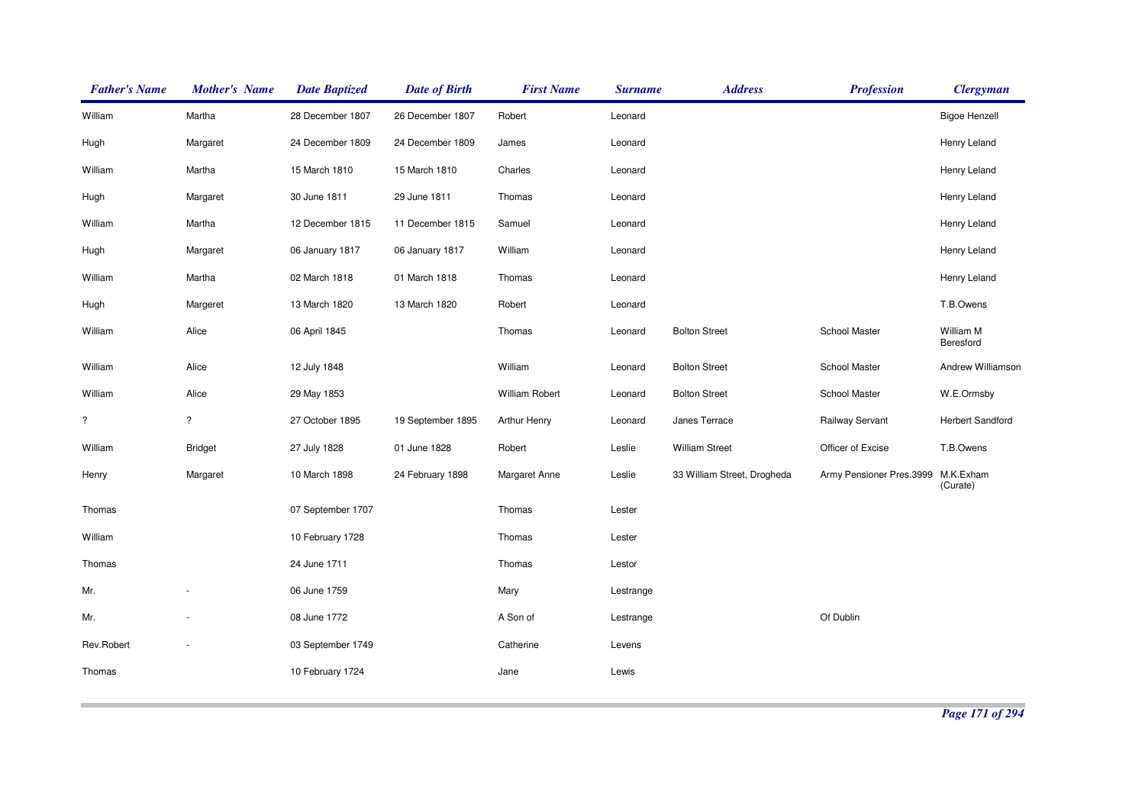| <b>Father's Name</b> | <b>Mother's Name</b>    | <b>Date Baptized</b> | <b>Date of Birth</b> | <b>First Name</b>    | <b>Surname</b> | <b>Address</b>              | <b>Profession</b>        | <b>Clergyman</b>        |
|----------------------|-------------------------|----------------------|----------------------|----------------------|----------------|-----------------------------|--------------------------|-------------------------|
| William              | Martha                  | 28 December 1807     | 26 December 1807     | Robert               | Leonard        |                             |                          | <b>Bigoe Henzell</b>    |
| Hugh                 | Margaret                | 24 December 1809     | 24 December 1809     | James                | Leonard        |                             |                          | Henry Leland            |
| William              | Martha                  | 15 March 1810        | 15 March 1810        | Charles              | Leonard        |                             |                          | Henry Leland            |
| Hugh                 | Margaret                | 30 June 1811         | 29 June 1811         | Thomas               | Leonard        |                             |                          | Henry Leland            |
| William              | Martha                  | 12 December 1815     | 11 December 1815     | Samuel               | Leonard        |                             |                          | Henry Leland            |
| Hugh                 | Margaret                | 06 January 1817      | 06 January 1817      | William              | Leonard        |                             |                          | Henry Leland            |
| William              | Martha                  | 02 March 1818        | 01 March 1818        | Thomas               | Leonard        |                             |                          | Henry Leland            |
| Hugh                 | Margeret                | 13 March 1820        | 13 March 1820        | Robert               | Leonard        |                             |                          | T.B.Owens               |
| William              | Alice                   | 06 April 1845        |                      | Thomas               | Leonard        | <b>Bolton Street</b>        | School Master            | William M<br>Beresford  |
| William              | Alice                   | 12 July 1848         |                      | William              | Leonard        | <b>Bolton Street</b>        | School Master            | Andrew Williamson       |
| William              | Alice                   | 29 May 1853          |                      | William Robert       | Leonard        | <b>Bolton Street</b>        | School Master            | W.E.Ormsby              |
| $\ddot{?}$           | $\overline{\mathbf{?}}$ | 27 October 1895      | 19 September 1895    | <b>Arthur Henry</b>  | Leonard        | Janes Terrace               | Railway Servant          | <b>Herbert Sandford</b> |
| William              | <b>Bridget</b>          | 27 July 1828         | 01 June 1828         | Robert               | Leslie         | <b>William Street</b>       | Officer of Excise        | T.B.Owens               |
| Henry                | Margaret                | 10 March 1898        | 24 February 1898     | <b>Margaret Anne</b> | Leslie         | 33 William Street, Drogheda | Army Pensioner Pres.3999 | M.K.Exham<br>(Curate)   |
| Thomas               |                         | 07 September 1707    |                      | Thomas               | Lester         |                             |                          |                         |
| William              |                         | 10 February 1728     |                      | Thomas               | Lester         |                             |                          |                         |
| Thomas               |                         | 24 June 1711         |                      | Thomas               | Lestor         |                             |                          |                         |
| Mr.                  |                         | 06 June 1759         |                      | Mary                 | Lestrange      |                             |                          |                         |
| Mr.                  |                         | 08 June 1772         |                      | A Son of             | Lestrange      |                             | Of Dublin                |                         |
| Rev.Robert           |                         | 03 September 1749    |                      | Catherine            | Levens         |                             |                          |                         |
| Thomas               |                         | 10 February 1724     |                      | Jane                 | Lewis          |                             |                          |                         |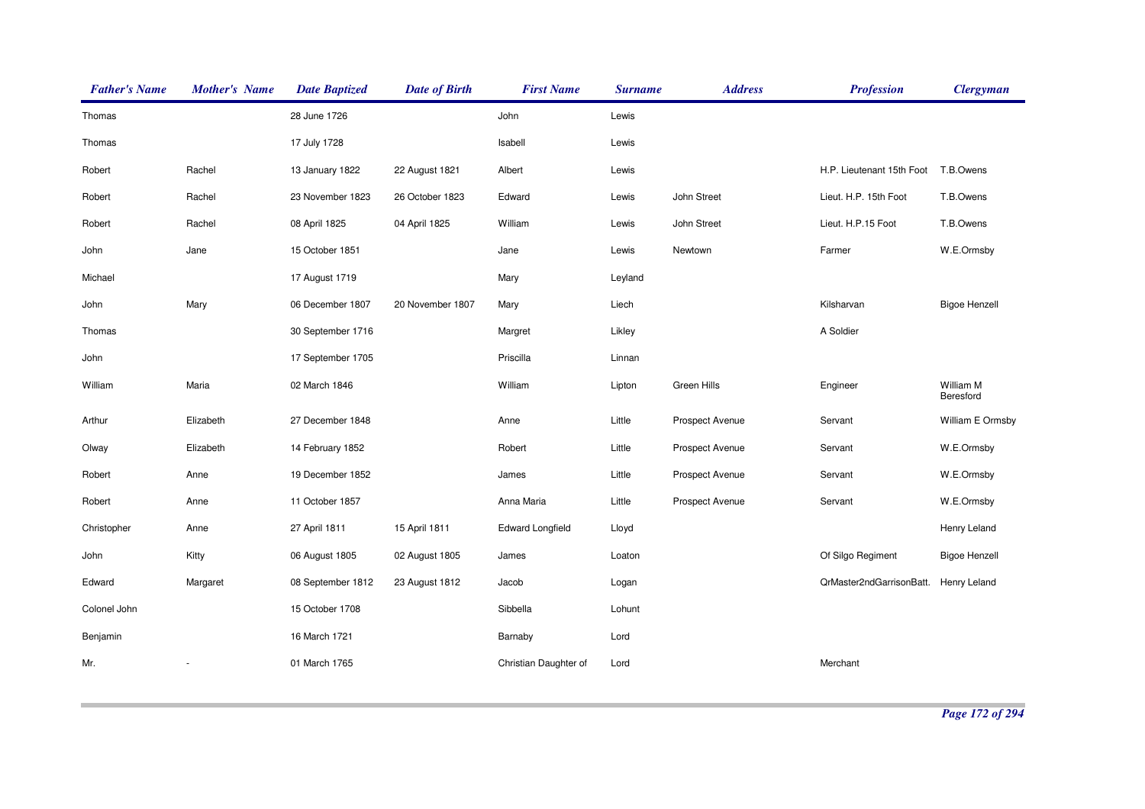| <b>Father's Name</b> | <b>Mother's Name</b> | <b>Date Baptized</b> | <b>Date of Birth</b> | <b>First Name</b>       | <b>Surname</b> | <b>Address</b>  | <b>Profession</b>                     | <b>Clergyman</b>       |
|----------------------|----------------------|----------------------|----------------------|-------------------------|----------------|-----------------|---------------------------------------|------------------------|
| Thomas               |                      | 28 June 1726         |                      | John                    | Lewis          |                 |                                       |                        |
| Thomas               |                      | 17 July 1728         |                      | Isabell                 | Lewis          |                 |                                       |                        |
| Robert               | Rachel               | 13 January 1822      | 22 August 1821       | Albert                  | Lewis          |                 | H.P. Lieutenant 15th Foot             | T.B.Owens              |
| Robert               | Rachel               | 23 November 1823     | 26 October 1823      | Edward                  | Lewis          | John Street     | Lieut. H.P. 15th Foot                 | T.B.Owens              |
| Robert               | Rachel               | 08 April 1825        | 04 April 1825        | William                 | Lewis          | John Street     | Lieut. H.P.15 Foot                    | T.B.Owens              |
| John                 | Jane                 | 15 October 1851      |                      | Jane                    | Lewis          | Newtown         | Farmer                                | W.E.Ormsby             |
| Michael              |                      | 17 August 1719       |                      | Mary                    | Leyland        |                 |                                       |                        |
| John                 | Mary                 | 06 December 1807     | 20 November 1807     | Mary                    | Liech          |                 | Kilsharvan                            | <b>Bigoe Henzell</b>   |
| Thomas               |                      | 30 September 1716    |                      | Margret                 | Likley         |                 | A Soldier                             |                        |
| John                 |                      | 17 September 1705    |                      | Priscilla               | Linnan         |                 |                                       |                        |
| William              | Maria                | 02 March 1846        |                      | William                 | Lipton         | Green Hills     | Engineer                              | William M<br>Beresford |
| Arthur               | Elizabeth            | 27 December 1848     |                      | Anne                    | Little         | Prospect Avenue | Servant                               | William E Ormsby       |
| Olway                | Elizabeth            | 14 February 1852     |                      | Robert                  | Little         | Prospect Avenue | Servant                               | W.E.Ormsby             |
| Robert               | Anne                 | 19 December 1852     |                      | James                   | Little         | Prospect Avenue | Servant                               | W.E.Ormsby             |
| Robert               | Anne                 | 11 October 1857      |                      | Anna Maria              | Little         | Prospect Avenue | Servant                               | W.E.Ormsby             |
| Christopher          | Anne                 | 27 April 1811        | 15 April 1811        | <b>Edward Longfield</b> | Lloyd          |                 |                                       | Henry Leland           |
| John                 | Kitty                | 06 August 1805       | 02 August 1805       | James                   | Loaton         |                 | Of Silgo Regiment                     | <b>Bigoe Henzell</b>   |
| Edward               | Margaret             | 08 September 1812    | 23 August 1812       | Jacob                   | Logan          |                 | QrMaster2ndGarrisonBatt. Henry Leland |                        |
| Colonel John         |                      | 15 October 1708      |                      | Sibbella                | Lohunt         |                 |                                       |                        |
| Benjamin             |                      | 16 March 1721        |                      | Barnaby                 | Lord           |                 |                                       |                        |
| Mr.                  |                      | 01 March 1765        |                      | Christian Daughter of   | Lord           |                 | Merchant                              |                        |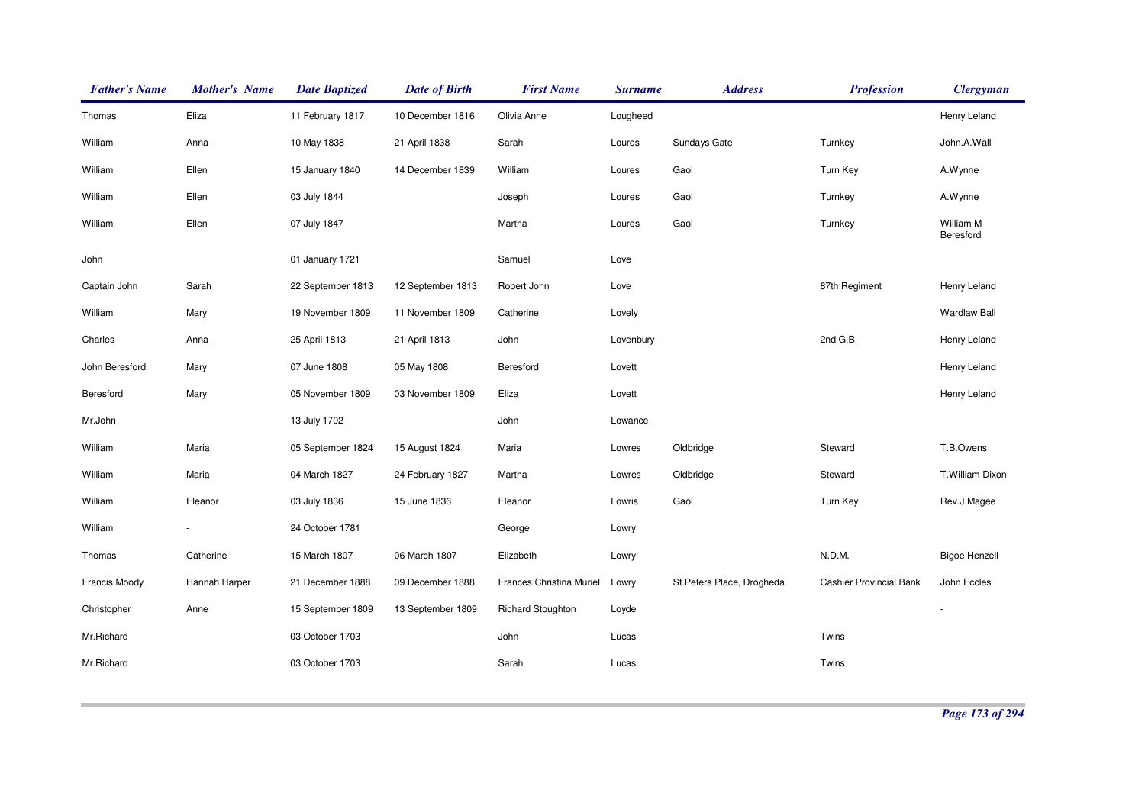| <b>Father's Name</b> | <b>Mother's Name</b> | <b>Date Baptized</b> | <b>Date of Birth</b> | <b>First Name</b>        | <b>Surname</b> | <b>Address</b>             | <b>Profession</b>              | <b>Clergyman</b>       |
|----------------------|----------------------|----------------------|----------------------|--------------------------|----------------|----------------------------|--------------------------------|------------------------|
| Thomas               | Eliza                | 11 February 1817     | 10 December 1816     | Olivia Anne              | Lougheed       |                            |                                | Henry Leland           |
| William              | Anna                 | 10 May 1838          | 21 April 1838        | Sarah                    | Loures         | Sundays Gate               | Turnkey                        | John.A.Wall            |
| William              | Ellen                | 15 January 1840      | 14 December 1839     | William                  | Loures         | Gaol                       | Turn Key                       | A.Wynne                |
| William              | Ellen                | 03 July 1844         |                      | Joseph                   | Loures         | Gaol                       | Turnkey                        | A.Wynne                |
| William              | Ellen                | 07 July 1847         |                      | Martha                   | Loures         | Gaol                       | Turnkey                        | William M<br>Beresford |
| John                 |                      | 01 January 1721      |                      | Samuel                   | Love           |                            |                                |                        |
| Captain John         | Sarah                | 22 September 1813    | 12 September 1813    | Robert John              | Love           |                            | 87th Regiment                  | Henry Leland           |
| William              | Mary                 | 19 November 1809     | 11 November 1809     | Catherine                | Lovely         |                            |                                | <b>Wardlaw Ball</b>    |
| Charles              | Anna                 | 25 April 1813        | 21 April 1813        | John                     | Lovenbury      |                            | 2nd G.B.                       | Henry Leland           |
| John Beresford       | Mary                 | 07 June 1808         | 05 May 1808          | Beresford                | Lovett         |                            |                                | Henry Leland           |
| Beresford            | Mary                 | 05 November 1809     | 03 November 1809     | Eliza                    | Lovett         |                            |                                | Henry Leland           |
| Mr.John              |                      | 13 July 1702         |                      | John                     | Lowance        |                            |                                |                        |
| William              | Maria                | 05 September 1824    | 15 August 1824       | Maria                    | Lowres         | Oldbridge                  | Steward                        | T.B.Owens              |
| William              | Maria                | 04 March 1827        | 24 February 1827     | Martha                   | Lowres         | Oldbridge                  | Steward                        | T.William Dixon        |
| William              | Eleanor              | 03 July 1836         | 15 June 1836         | Eleanor                  | Lowris         | Gaol                       | Turn Key                       | Rev.J.Magee            |
| William              |                      | 24 October 1781      |                      | George                   | Lowry          |                            |                                |                        |
| Thomas               | Catherine            | 15 March 1807        | 06 March 1807        | Elizabeth                | Lowry          |                            | N.D.M.                         | <b>Bigoe Henzell</b>   |
| Francis Moody        | Hannah Harper        | 21 December 1888     | 09 December 1888     | Frances Christina Muriel | Lowry          | St. Peters Place, Drogheda | <b>Cashier Provincial Bank</b> | John Eccles            |
| Christopher          | Anne                 | 15 September 1809    | 13 September 1809    | <b>Richard Stoughton</b> | Loyde          |                            |                                |                        |
| Mr.Richard           |                      | 03 October 1703      |                      | John                     | Lucas          |                            | Twins                          |                        |
| Mr.Richard           |                      | 03 October 1703      |                      | Sarah                    | Lucas          |                            | Twins                          |                        |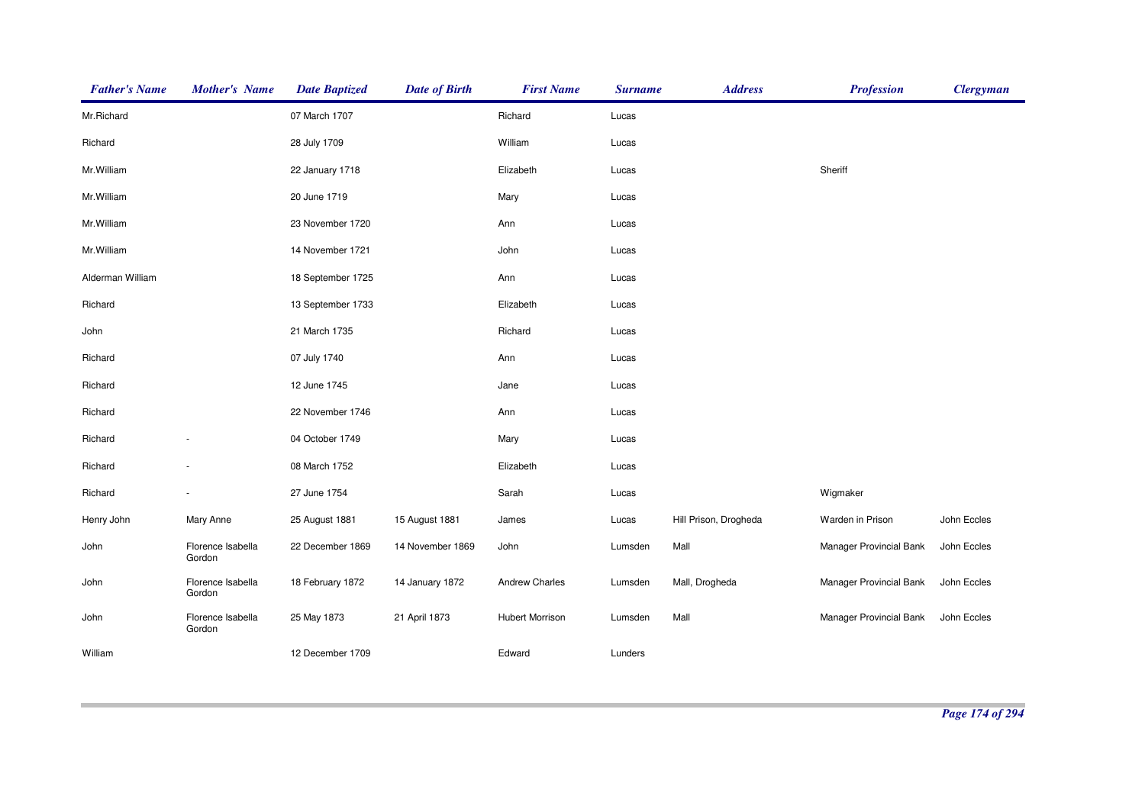| <b>Father's Name</b> | <b>Mother's Name</b>        | <b>Date Baptized</b> | <b>Date of Birth</b> | <b>First Name</b>      | <b>Surname</b> | <b>Address</b>        | <b>Profession</b>       | <b>Clergyman</b> |
|----------------------|-----------------------------|----------------------|----------------------|------------------------|----------------|-----------------------|-------------------------|------------------|
| Mr.Richard           |                             | 07 March 1707        |                      | Richard                | Lucas          |                       |                         |                  |
| Richard              |                             | 28 July 1709         |                      | William                | Lucas          |                       |                         |                  |
| Mr. William          |                             | 22 January 1718      |                      | Elizabeth              | Lucas          |                       | Sheriff                 |                  |
| Mr.William           |                             | 20 June 1719         |                      | Mary                   | Lucas          |                       |                         |                  |
| Mr. William          |                             | 23 November 1720     |                      | Ann                    | Lucas          |                       |                         |                  |
| Mr. William          |                             | 14 November 1721     |                      | John                   | Lucas          |                       |                         |                  |
| Alderman William     |                             | 18 September 1725    |                      | Ann                    | Lucas          |                       |                         |                  |
| Richard              |                             | 13 September 1733    |                      | Elizabeth              | Lucas          |                       |                         |                  |
| John                 |                             | 21 March 1735        |                      | Richard                | Lucas          |                       |                         |                  |
| Richard              |                             | 07 July 1740         |                      | Ann                    | Lucas          |                       |                         |                  |
| Richard              |                             | 12 June 1745         |                      | Jane                   | Lucas          |                       |                         |                  |
| Richard              |                             | 22 November 1746     |                      | Ann                    | Lucas          |                       |                         |                  |
| Richard              |                             | 04 October 1749      |                      | Mary                   | Lucas          |                       |                         |                  |
| Richard              |                             | 08 March 1752        |                      | Elizabeth              | Lucas          |                       |                         |                  |
| Richard              |                             | 27 June 1754         |                      | Sarah                  | Lucas          |                       | Wigmaker                |                  |
| Henry John           | Mary Anne                   | 25 August 1881       | 15 August 1881       | James                  | Lucas          | Hill Prison, Drogheda | Warden in Prison        | John Eccles      |
| John                 | Florence Isabella<br>Gordon | 22 December 1869     | 14 November 1869     | John                   | Lumsden        | Mall                  | Manager Provincial Bank | John Eccles      |
| John                 | Florence Isabella<br>Gordon | 18 February 1872     | 14 January 1872      | <b>Andrew Charles</b>  | Lumsden        | Mall, Drogheda        | Manager Provincial Bank | John Eccles      |
| John                 | Florence Isabella<br>Gordon | 25 May 1873          | 21 April 1873        | <b>Hubert Morrison</b> | Lumsden        | Mall                  | Manager Provincial Bank | John Eccles      |
| William              |                             | 12 December 1709     |                      | Edward                 | Lunders        |                       |                         |                  |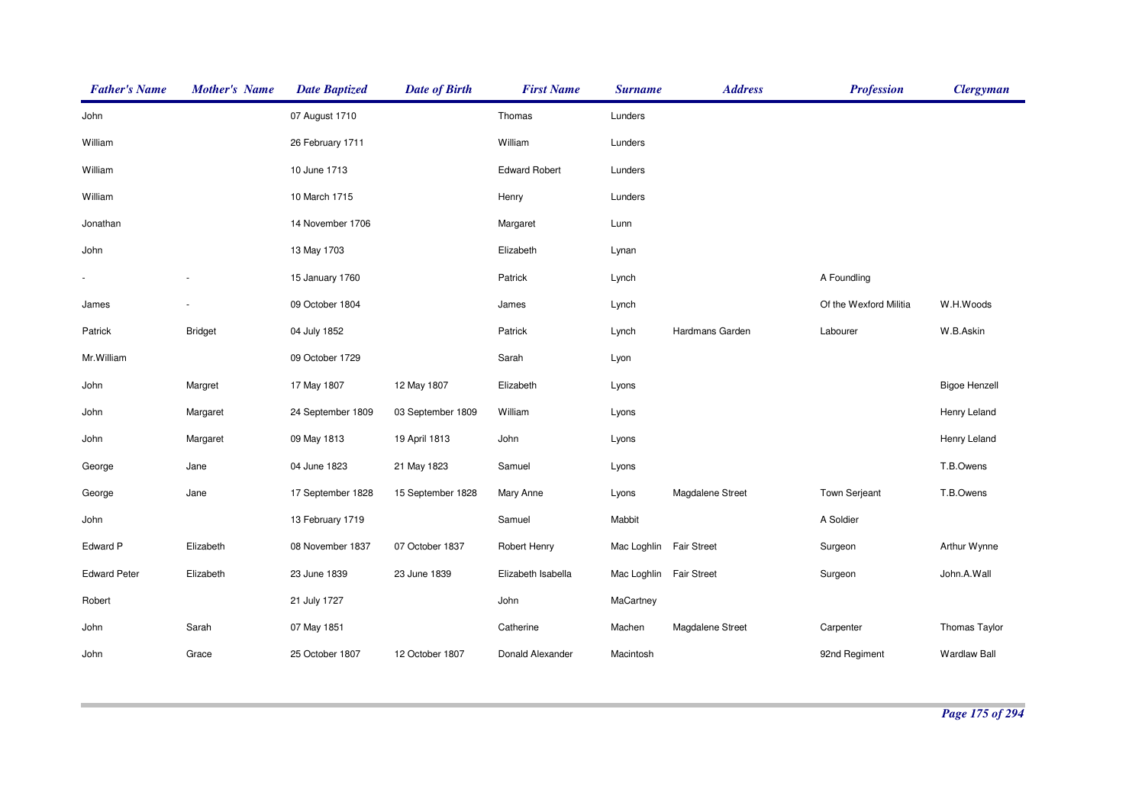| <b>Father's Name</b> | <b>Mother's Name</b> | <b>Date Baptized</b> | <b>Date of Birth</b> | <b>First Name</b>    | <b>Surname</b>          | <b>Address</b>     | <b>Profession</b>      | <b>Clergyman</b>     |
|----------------------|----------------------|----------------------|----------------------|----------------------|-------------------------|--------------------|------------------------|----------------------|
| John                 |                      | 07 August 1710       |                      | Thomas               | Lunders                 |                    |                        |                      |
| William              |                      | 26 February 1711     |                      | William              | Lunders                 |                    |                        |                      |
| William              |                      | 10 June 1713         |                      | <b>Edward Robert</b> | Lunders                 |                    |                        |                      |
| William              |                      | 10 March 1715        |                      | Henry                | Lunders                 |                    |                        |                      |
| Jonathan             |                      | 14 November 1706     |                      | Margaret             | Lunn                    |                    |                        |                      |
| John                 |                      | 13 May 1703          |                      | Elizabeth            | Lynan                   |                    |                        |                      |
|                      |                      | 15 January 1760      |                      | Patrick              | Lynch                   |                    | A Foundling            |                      |
| James                |                      | 09 October 1804      |                      | James                | Lynch                   |                    | Of the Wexford Militia | W.H.Woods            |
| Patrick              | <b>Bridget</b>       | 04 July 1852         |                      | Patrick              | Lynch                   | Hardmans Garden    | Labourer               | W.B.Askin            |
| Mr. William          |                      | 09 October 1729      |                      | Sarah                | Lyon                    |                    |                        |                      |
| John                 | Margret              | 17 May 1807          | 12 May 1807          | Elizabeth            | Lyons                   |                    |                        | <b>Bigoe Henzell</b> |
| John                 | Margaret             | 24 September 1809    | 03 September 1809    | William              | Lyons                   |                    |                        | Henry Leland         |
| John                 | Margaret             | 09 May 1813          | 19 April 1813        | John                 | Lyons                   |                    |                        | Henry Leland         |
| George               | Jane                 | 04 June 1823         | 21 May 1823          | Samuel               | Lyons                   |                    |                        | T.B.Owens            |
| George               | Jane                 | 17 September 1828    | 15 September 1828    | Mary Anne            | Lyons                   | Magdalene Street   | <b>Town Serjeant</b>   | T.B.Owens            |
| John                 |                      | 13 February 1719     |                      | Samuel               | Mabbit                  |                    | A Soldier              |                      |
| Edward P             | Elizabeth            | 08 November 1837     | 07 October 1837      | Robert Henry         | Mac Loghlin             | <b>Fair Street</b> | Surgeon                | Arthur Wynne         |
| <b>Edward Peter</b>  | Elizabeth            | 23 June 1839         | 23 June 1839         | Elizabeth Isabella   | Mac Loghlin Fair Street |                    | Surgeon                | John.A.Wall          |
| Robert               |                      | 21 July 1727         |                      | John                 | MaCartney               |                    |                        |                      |
| John                 | Sarah                | 07 May 1851          |                      | Catherine            | Machen                  | Magdalene Street   | Carpenter              | <b>Thomas Taylor</b> |
| John                 | Grace                | 25 October 1807      | 12 October 1807      | Donald Alexander     | Macintosh               |                    | 92nd Regiment          | <b>Wardlaw Ball</b>  |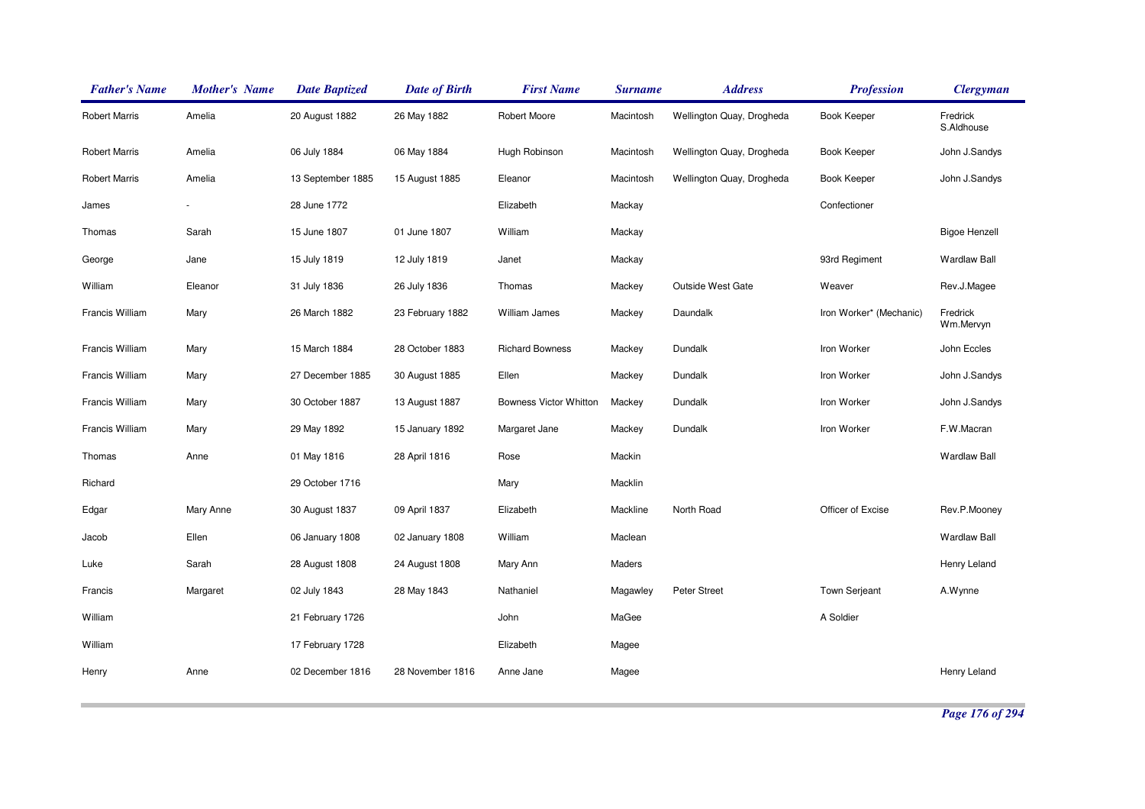| <b>Father's Name</b> | <b>Mother's Name</b> | <b>Date Baptized</b> | <b>Date of Birth</b> | <b>First Name</b>             | <b>Surname</b> | <b>Address</b>            | <b>Profession</b>       | <b>Clergyman</b>       |
|----------------------|----------------------|----------------------|----------------------|-------------------------------|----------------|---------------------------|-------------------------|------------------------|
| <b>Robert Marris</b> | Amelia               | 20 August 1882       | 26 May 1882          | Robert Moore                  | Macintosh      | Wellington Quay, Drogheda | Book Keeper             | Fredrick<br>S.Aldhouse |
| <b>Robert Marris</b> | Amelia               | 06 July 1884         | 06 May 1884          | Hugh Robinson                 | Macintosh      | Wellington Quay, Drogheda | Book Keeper             | John J.Sandys          |
| <b>Robert Marris</b> | Amelia               | 13 September 1885    | 15 August 1885       | Eleanor                       | Macintosh      | Wellington Quay, Drogheda | <b>Book Keeper</b>      | John J.Sandys          |
| James                |                      | 28 June 1772         |                      | Elizabeth                     | Mackay         |                           | Confectioner            |                        |
| Thomas               | Sarah                | 15 June 1807         | 01 June 1807         | William                       | Mackay         |                           |                         | <b>Bigoe Henzell</b>   |
| George               | Jane                 | 15 July 1819         | 12 July 1819         | Janet                         | Mackay         |                           | 93rd Regiment           | <b>Wardlaw Ball</b>    |
| William              | Eleanor              | 31 July 1836         | 26 July 1836         | Thomas                        | Mackey         | Outside West Gate         | Weaver                  | Rev.J.Magee            |
| Francis William      | Mary                 | 26 March 1882        | 23 February 1882     | William James                 | Mackey         | Daundalk                  | Iron Worker* (Mechanic) | Fredrick<br>Wm.Mervyn  |
| Francis William      | Mary                 | 15 March 1884        | 28 October 1883      | <b>Richard Bowness</b>        | Mackey         | Dundalk                   | Iron Worker             | John Eccles            |
| Francis William      | Mary                 | 27 December 1885     | 30 August 1885       | Ellen                         | Mackey         | Dundalk                   | Iron Worker             | John J.Sandys          |
| Francis William      | Mary                 | 30 October 1887      | 13 August 1887       | <b>Bowness Victor Whitton</b> | Mackey         | Dundalk                   | Iron Worker             | John J.Sandys          |
| Francis William      | Mary                 | 29 May 1892          | 15 January 1892      | Margaret Jane                 | Mackey         | Dundalk                   | Iron Worker             | F.W.Macran             |
| Thomas               | Anne                 | 01 May 1816          | 28 April 1816        | Rose                          | Mackin         |                           |                         | <b>Wardlaw Ball</b>    |
| Richard              |                      | 29 October 1716      |                      | Mary                          | Macklin        |                           |                         |                        |
| Edgar                | Mary Anne            | 30 August 1837       | 09 April 1837        | Elizabeth                     | Mackline       | North Road                | Officer of Excise       | Rev.P.Mooney           |
| Jacob                | Ellen                | 06 January 1808      | 02 January 1808      | William                       | Maclean        |                           |                         | <b>Wardlaw Ball</b>    |
| Luke                 | Sarah                | 28 August 1808       | 24 August 1808       | Mary Ann                      | Maders         |                           |                         | Henry Leland           |
| Francis              | Margaret             | 02 July 1843         | 28 May 1843          | Nathaniel                     | Magawley       | <b>Peter Street</b>       | Town Serjeant           | A.Wynne                |
| William              |                      | 21 February 1726     |                      | John                          | MaGee          |                           | A Soldier               |                        |
| William              |                      | 17 February 1728     |                      | Elizabeth                     | Magee          |                           |                         |                        |
| Henry                | Anne                 | 02 December 1816     | 28 November 1816     | Anne Jane                     | Magee          |                           |                         | Henry Leland           |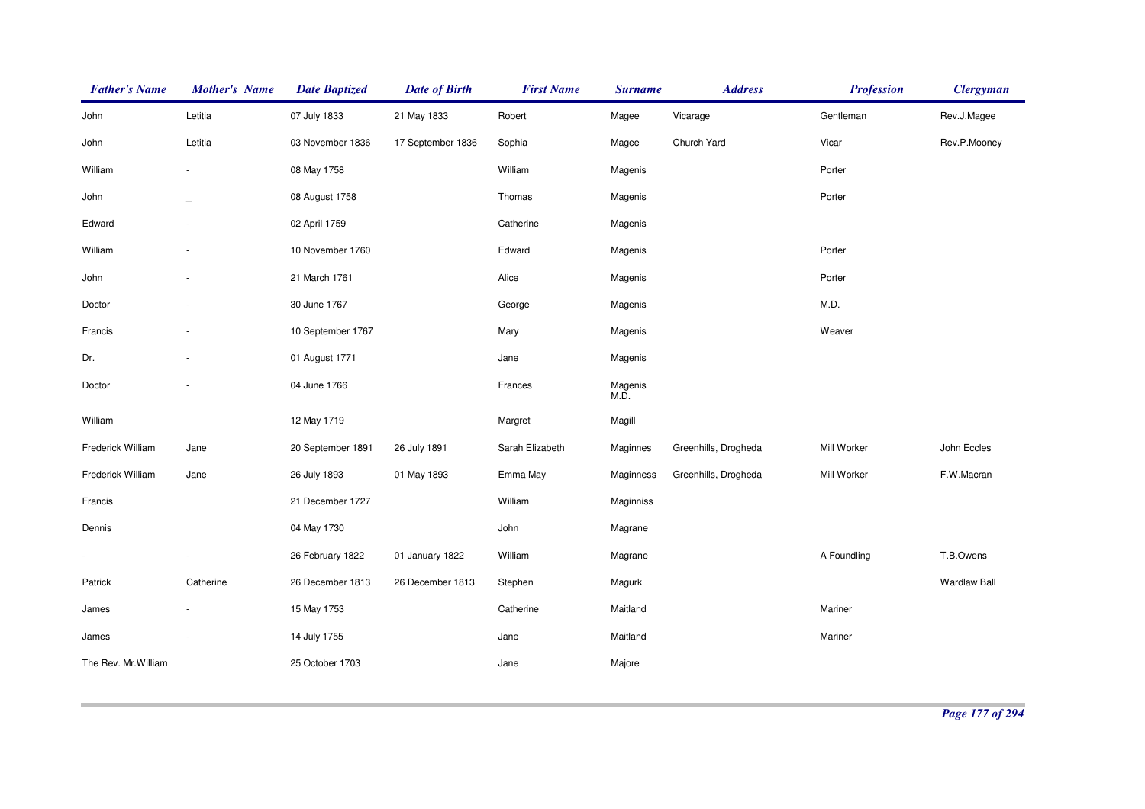| <b>Father's Name</b> | <b>Mother's Name</b> | <b>Date Baptized</b> | <b>Date of Birth</b> | <b>First Name</b> | <b>Surname</b>  | <b>Address</b>       | <b>Profession</b> | <b>Clergyman</b>    |
|----------------------|----------------------|----------------------|----------------------|-------------------|-----------------|----------------------|-------------------|---------------------|
| John                 | Letitia              | 07 July 1833         | 21 May 1833          | Robert            | Magee           | Vicarage             | Gentleman         | Rev.J.Magee         |
| John                 | Letitia              | 03 November 1836     | 17 September 1836    | Sophia            | Magee           | Church Yard          | Vicar             | Rev.P.Mooney        |
| William              |                      | 08 May 1758          |                      | William           | Magenis         |                      | Porter            |                     |
| John                 |                      | 08 August 1758       |                      | Thomas            | Magenis         |                      | Porter            |                     |
| Edward               |                      | 02 April 1759        |                      | Catherine         | Magenis         |                      |                   |                     |
| William              |                      | 10 November 1760     |                      | Edward            | Magenis         |                      | Porter            |                     |
| John                 |                      | 21 March 1761        |                      | Alice             | Magenis         |                      | Porter            |                     |
| Doctor               |                      | 30 June 1767         |                      | George            | Magenis         |                      | M.D.              |                     |
| Francis              |                      | 10 September 1767    |                      | Mary              | Magenis         |                      | Weaver            |                     |
| Dr.                  |                      | 01 August 1771       |                      | Jane              | Magenis         |                      |                   |                     |
| Doctor               |                      | 04 June 1766         |                      | Frances           | Magenis<br>M.D. |                      |                   |                     |
| William              |                      | 12 May 1719          |                      | Margret           | Magill          |                      |                   |                     |
| Frederick William    | Jane                 | 20 September 1891    | 26 July 1891         | Sarah Elizabeth   | Maginnes        | Greenhills, Drogheda | Mill Worker       | John Eccles         |
| Frederick William    | Jane                 | 26 July 1893         | 01 May 1893          | Emma May          | Maginness       | Greenhills, Drogheda | Mill Worker       | F.W.Macran          |
| Francis              |                      | 21 December 1727     |                      | William           | Maginniss       |                      |                   |                     |
| Dennis               |                      | 04 May 1730          |                      | John              | Magrane         |                      |                   |                     |
|                      |                      | 26 February 1822     | 01 January 1822      | William           | Magrane         |                      | A Foundling       | T.B.Owens           |
| Patrick              | Catherine            | 26 December 1813     | 26 December 1813     | Stephen           | Magurk          |                      |                   | <b>Wardlaw Ball</b> |
| James                |                      | 15 May 1753          |                      | Catherine         | Maitland        |                      | Mariner           |                     |
| James                |                      | 14 July 1755         |                      | Jane              | Maitland        |                      | Mariner           |                     |
| The Rev. Mr. William |                      | 25 October 1703      |                      | Jane              | Majore          |                      |                   |                     |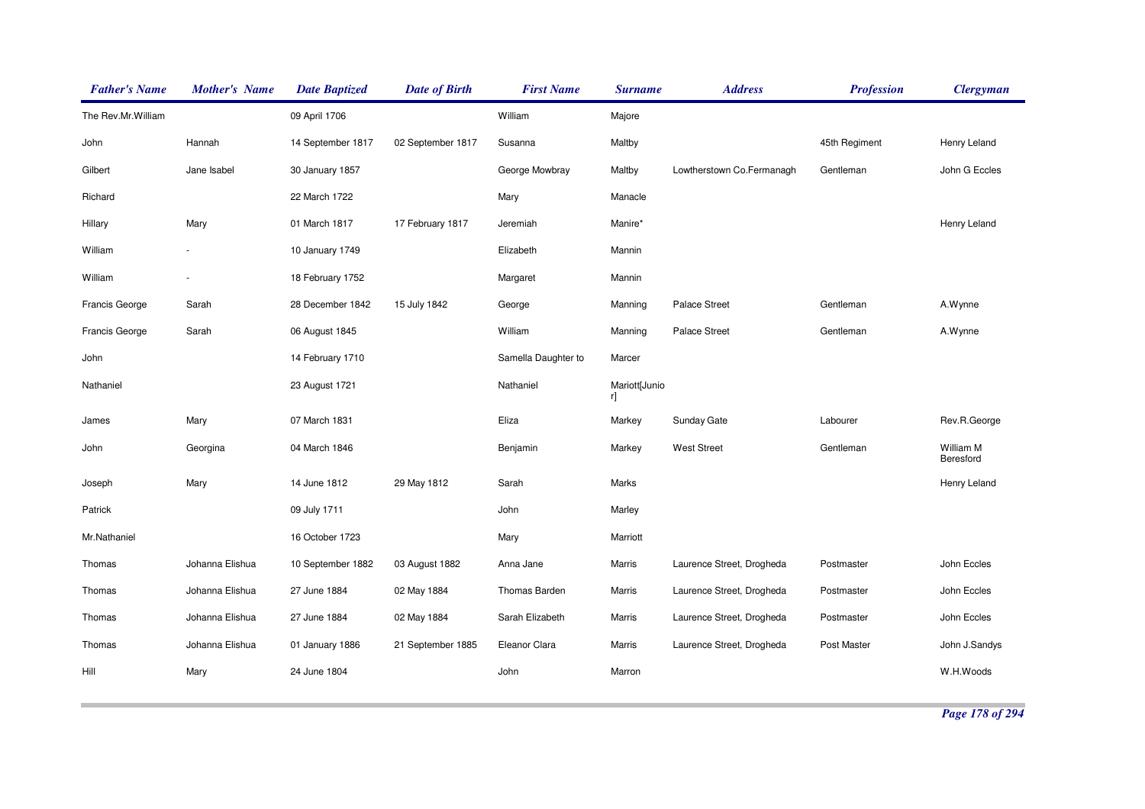| <b>Father's Name</b> | <b>Mother's Name</b>     | <b>Date Baptized</b> | <b>Date of Birth</b> | <b>First Name</b>   | <b>Surname</b>      | <b>Address</b>            | <b>Profession</b> | <b>Clergyman</b>       |
|----------------------|--------------------------|----------------------|----------------------|---------------------|---------------------|---------------------------|-------------------|------------------------|
| The Rev.Mr.William   |                          | 09 April 1706        |                      | William             | Majore              |                           |                   |                        |
| John                 | Hannah                   | 14 September 1817    | 02 September 1817    | Susanna             | Maltby              |                           | 45th Regiment     | Henry Leland           |
| Gilbert              | Jane Isabel              | 30 January 1857      |                      | George Mowbray      | Maltby              | Lowtherstown Co.Fermanagh | Gentleman         | John G Eccles          |
| Richard              |                          | 22 March 1722        |                      | Mary                | Manacle             |                           |                   |                        |
| Hillary              | Mary                     | 01 March 1817        | 17 February 1817     | Jeremiah            | Manire*             |                           |                   | Henry Leland           |
| William              |                          | 10 January 1749      |                      | Elizabeth           | Mannin              |                           |                   |                        |
| William              | $\overline{\phantom{a}}$ | 18 February 1752     |                      | Margaret            | Mannin              |                           |                   |                        |
| Francis George       | Sarah                    | 28 December 1842     | 15 July 1842         | George              | Manning             | <b>Palace Street</b>      | Gentleman         | A.Wynne                |
| Francis George       | Sarah                    | 06 August 1845       |                      | William             | Manning             | <b>Palace Street</b>      | Gentleman         | A.Wynne                |
| John                 |                          | 14 February 1710     |                      | Samella Daughter to | Marcer              |                           |                   |                        |
| Nathaniel            |                          | 23 August 1721       |                      | Nathaniel           | Mariott[Junio<br>r] |                           |                   |                        |
| James                | Mary                     | 07 March 1831        |                      | Eliza               | Markey              | Sunday Gate               | Labourer          | Rev.R.George           |
| John                 | Georgina                 | 04 March 1846        |                      | Benjamin            | Markey              | <b>West Street</b>        | Gentleman         | William M<br>Beresford |
| Joseph               | Mary                     | 14 June 1812         | 29 May 1812          | Sarah               | Marks               |                           |                   | Henry Leland           |
| Patrick              |                          | 09 July 1711         |                      | John                | Marley              |                           |                   |                        |
| Mr.Nathaniel         |                          | 16 October 1723      |                      | Mary                | Marriott            |                           |                   |                        |
| Thomas               | Johanna Elishua          | 10 September 1882    | 03 August 1882       | Anna Jane           | Marris              | Laurence Street, Drogheda | Postmaster        | John Eccles            |
| Thomas               | Johanna Elishua          | 27 June 1884         | 02 May 1884          | Thomas Barden       | Marris              | Laurence Street, Drogheda | Postmaster        | John Eccles            |
| Thomas               | Johanna Elishua          | 27 June 1884         | 02 May 1884          | Sarah Elizabeth     | Marris              | Laurence Street, Drogheda | Postmaster        | John Eccles            |
| Thomas               | Johanna Elishua          | 01 January 1886      | 21 September 1885    | Eleanor Clara       | Marris              | Laurence Street, Drogheda | Post Master       | John J.Sandys          |
| Hill                 | Mary                     | 24 June 1804         |                      | John                | Marron              |                           |                   | W.H.Woods              |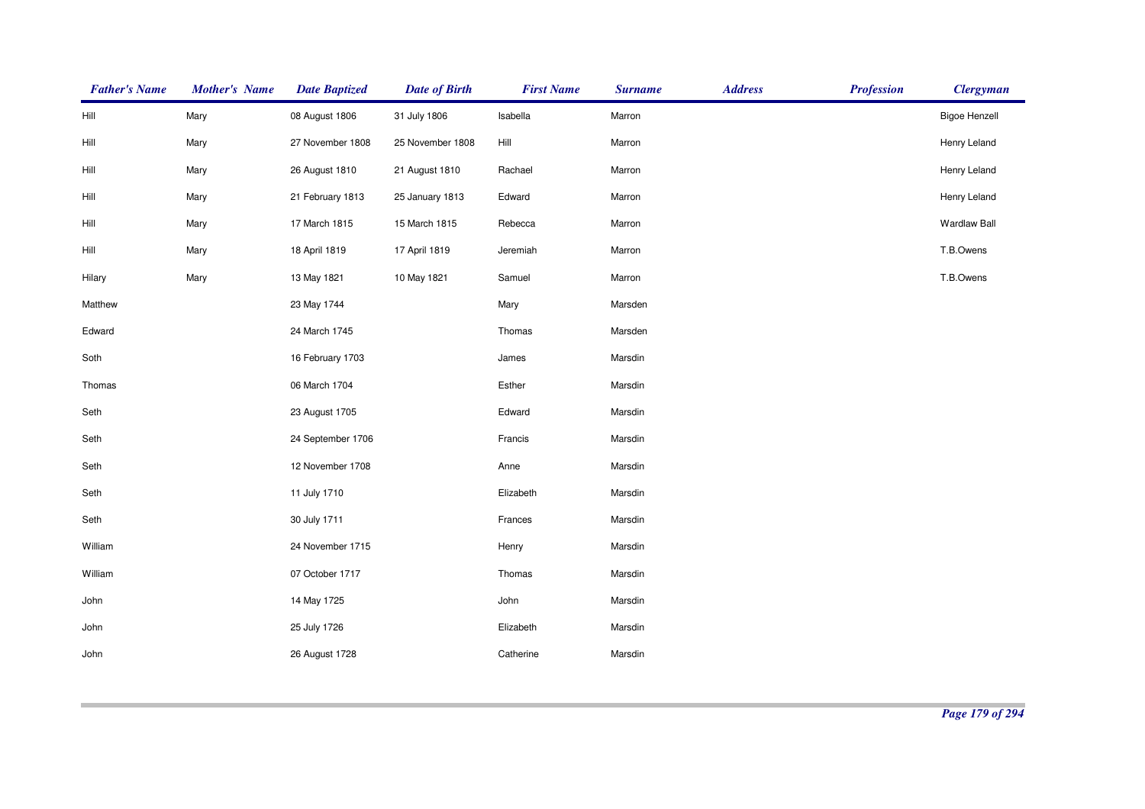| <b>Father's Name</b> | <b>Mother's Name</b> | <b>Date Baptized</b> | <b>Date of Birth</b> | <b>First Name</b> | <b>Surname</b> | <b>Address</b> | <b>Profession</b> | <b>Clergyman</b>     |
|----------------------|----------------------|----------------------|----------------------|-------------------|----------------|----------------|-------------------|----------------------|
| Hill                 | Mary                 | 08 August 1806       | 31 July 1806         | Isabella          | Marron         |                |                   | <b>Bigoe Henzell</b> |
| Hill                 | Mary                 | 27 November 1808     | 25 November 1808     | Hill              | Marron         |                |                   | Henry Leland         |
| Hill                 | Mary                 | 26 August 1810       | 21 August 1810       | Rachael           | Marron         |                |                   | Henry Leland         |
| Hill                 | Mary                 | 21 February 1813     | 25 January 1813      | Edward            | Marron         |                |                   | Henry Leland         |
| Hill                 | Mary                 | 17 March 1815        | 15 March 1815        | Rebecca           | Marron         |                |                   | <b>Wardlaw Ball</b>  |
| Hill                 | Mary                 | 18 April 1819        | 17 April 1819        | Jeremiah          | Marron         |                |                   | T.B.Owens            |
| Hilary               | Mary                 | 13 May 1821          | 10 May 1821          | Samuel            | Marron         |                |                   | T.B.Owens            |
| Matthew              |                      | 23 May 1744          |                      | Mary              | Marsden        |                |                   |                      |
| Edward               |                      | 24 March 1745        |                      | Thomas            | Marsden        |                |                   |                      |
| Soth                 |                      | 16 February 1703     |                      | James             | Marsdin        |                |                   |                      |
| Thomas               |                      | 06 March 1704        |                      | Esther            | Marsdin        |                |                   |                      |
| Seth                 |                      | 23 August 1705       |                      | Edward            | Marsdin        |                |                   |                      |
| Seth                 |                      | 24 September 1706    |                      | Francis           | Marsdin        |                |                   |                      |
| Seth                 |                      | 12 November 1708     |                      | Anne              | Marsdin        |                |                   |                      |
| Seth                 |                      | 11 July 1710         |                      | Elizabeth         | Marsdin        |                |                   |                      |
| Seth                 |                      | 30 July 1711         |                      | Frances           | Marsdin        |                |                   |                      |
| William              |                      | 24 November 1715     |                      | Henry             | Marsdin        |                |                   |                      |
| William              |                      | 07 October 1717      |                      | Thomas            | Marsdin        |                |                   |                      |
| John                 |                      | 14 May 1725          |                      | John              | Marsdin        |                |                   |                      |
| John                 |                      | 25 July 1726         |                      | Elizabeth         | Marsdin        |                |                   |                      |
| John                 |                      | 26 August 1728       |                      | Catherine         | Marsdin        |                |                   |                      |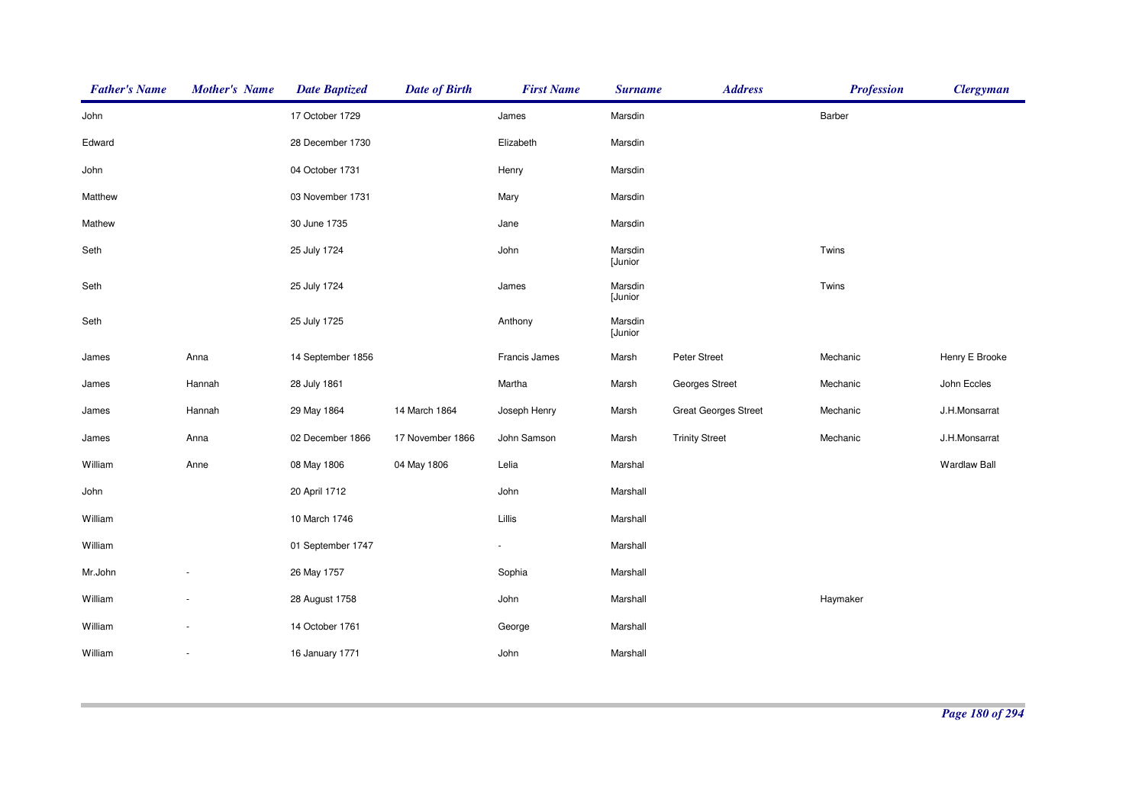| <b>Father's Name</b> | <b>Mother's Name</b> | <b>Date Baptized</b> | <b>Date of Birth</b> | <b>First Name</b>        | <b>Surname</b>     | <b>Address</b>              | <b>Profession</b> | <b>Clergyman</b>    |
|----------------------|----------------------|----------------------|----------------------|--------------------------|--------------------|-----------------------------|-------------------|---------------------|
| John                 |                      | 17 October 1729      |                      | James                    | Marsdin            |                             | Barber            |                     |
| Edward               |                      | 28 December 1730     |                      | Elizabeth                | Marsdin            |                             |                   |                     |
| John                 |                      | 04 October 1731      |                      | Henry                    | Marsdin            |                             |                   |                     |
| Matthew              |                      | 03 November 1731     |                      | Mary                     | Marsdin            |                             |                   |                     |
| Mathew               |                      | 30 June 1735         |                      | Jane                     | Marsdin            |                             |                   |                     |
| Seth                 |                      | 25 July 1724         |                      | John                     | Marsdin<br>[Junior |                             | Twins             |                     |
| Seth                 |                      | 25 July 1724         |                      | James                    | Marsdin<br>[Junior |                             | Twins             |                     |
| Seth                 |                      | 25 July 1725         |                      | Anthony                  | Marsdin<br>[Junior |                             |                   |                     |
| James                | Anna                 | 14 September 1856    |                      | Francis James            | Marsh              | Peter Street                | Mechanic          | Henry E Brooke      |
| James                | Hannah               | 28 July 1861         |                      | Martha                   | Marsh              | <b>Georges Street</b>       | Mechanic          | John Eccles         |
| James                | Hannah               | 29 May 1864          | 14 March 1864        | Joseph Henry             | Marsh              | <b>Great Georges Street</b> | Mechanic          | J.H.Monsarrat       |
| James                | Anna                 | 02 December 1866     | 17 November 1866     | John Samson              | Marsh              | <b>Trinity Street</b>       | Mechanic          | J.H.Monsarrat       |
| William              | Anne                 | 08 May 1806          | 04 May 1806          | Lelia                    | Marshal            |                             |                   | <b>Wardlaw Ball</b> |
| John                 |                      | 20 April 1712        |                      | John                     | Marshall           |                             |                   |                     |
| William              |                      | 10 March 1746        |                      | Lillis                   | Marshall           |                             |                   |                     |
| William              |                      | 01 September 1747    |                      | $\overline{\phantom{a}}$ | Marshall           |                             |                   |                     |
| Mr.John              |                      | 26 May 1757          |                      | Sophia                   | Marshall           |                             |                   |                     |
| William              |                      | 28 August 1758       |                      | John                     | Marshall           |                             | Haymaker          |                     |
| William              |                      | 14 October 1761      |                      | George                   | Marshall           |                             |                   |                     |
| William              | $\sim$               | 16 January 1771      |                      | John                     | Marshall           |                             |                   |                     |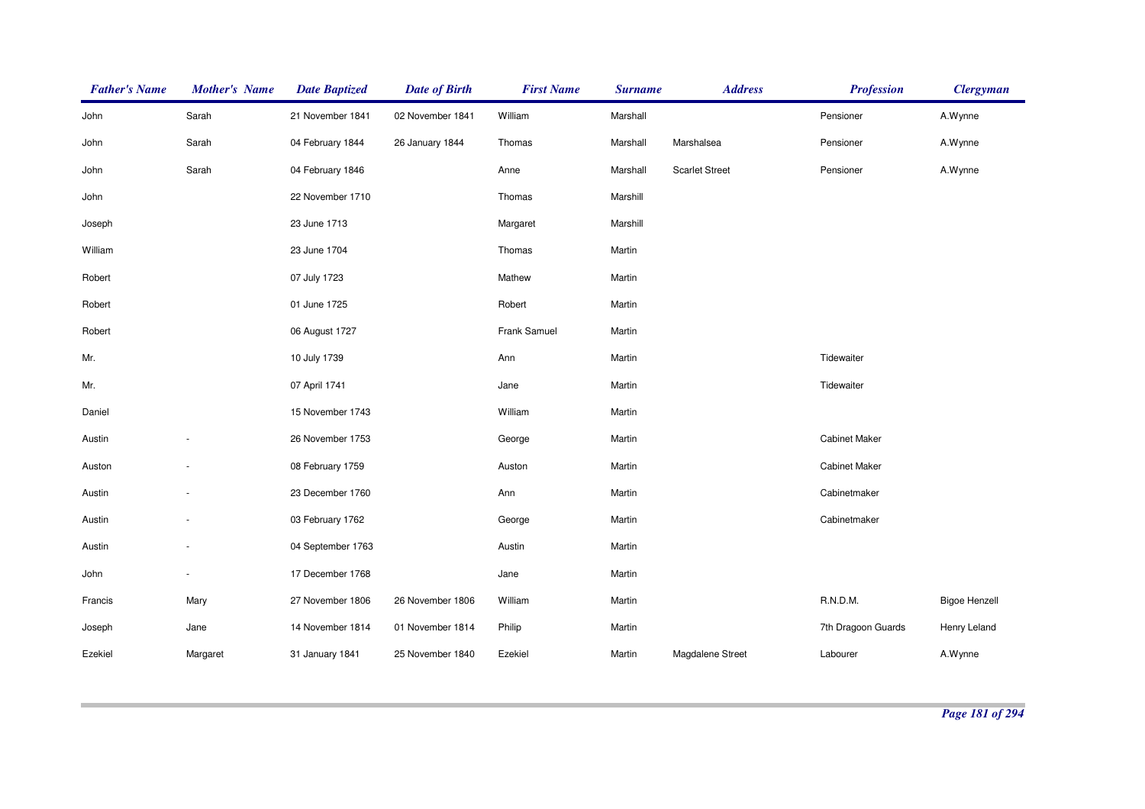| <b>Father's Name</b> | <b>Mother's Name</b> | <b>Date Baptized</b> | <b>Date of Birth</b> | <b>First Name</b> | <b>Surname</b> | <b>Address</b>        | <b>Profession</b>    | <b>Clergyman</b>     |
|----------------------|----------------------|----------------------|----------------------|-------------------|----------------|-----------------------|----------------------|----------------------|
| John                 | Sarah                | 21 November 1841     | 02 November 1841     | William           | Marshall       |                       | Pensioner            | A.Wynne              |
| John                 | Sarah                | 04 February 1844     | 26 January 1844      | Thomas            | Marshall       | Marshalsea            | Pensioner            | A.Wynne              |
| John                 | Sarah                | 04 February 1846     |                      | Anne              | Marshall       | <b>Scarlet Street</b> | Pensioner            | A.Wynne              |
| John                 |                      | 22 November 1710     |                      | Thomas            | Marshill       |                       |                      |                      |
| Joseph               |                      | 23 June 1713         |                      | Margaret          | Marshill       |                       |                      |                      |
| William              |                      | 23 June 1704         |                      | Thomas            | Martin         |                       |                      |                      |
| Robert               |                      | 07 July 1723         |                      | Mathew            | Martin         |                       |                      |                      |
| Robert               |                      | 01 June 1725         |                      | Robert            | Martin         |                       |                      |                      |
| Robert               |                      | 06 August 1727       |                      | Frank Samuel      | Martin         |                       |                      |                      |
| Mr.                  |                      | 10 July 1739         |                      | Ann               | Martin         |                       | Tidewaiter           |                      |
| Mr.                  |                      | 07 April 1741        |                      | Jane              | Martin         |                       | Tidewaiter           |                      |
| Daniel               |                      | 15 November 1743     |                      | William           | Martin         |                       |                      |                      |
| Austin               |                      | 26 November 1753     |                      | George            | Martin         |                       | <b>Cabinet Maker</b> |                      |
| Auston               |                      | 08 February 1759     |                      | Auston            | Martin         |                       | <b>Cabinet Maker</b> |                      |
| Austin               |                      | 23 December 1760     |                      | Ann               | Martin         |                       | Cabinetmaker         |                      |
| Austin               |                      | 03 February 1762     |                      | George            | Martin         |                       | Cabinetmaker         |                      |
| Austin               | $\sim$               | 04 September 1763    |                      | Austin            | Martin         |                       |                      |                      |
| John                 |                      | 17 December 1768     |                      | Jane              | Martin         |                       |                      |                      |
| Francis              | Mary                 | 27 November 1806     | 26 November 1806     | William           | Martin         |                       | R.N.D.M.             | <b>Bigoe Henzell</b> |
| Joseph               | Jane                 | 14 November 1814     | 01 November 1814     | Philip            | Martin         |                       | 7th Dragoon Guards   | Henry Leland         |
| Ezekiel              | Margaret             | 31 January 1841      | 25 November 1840     | Ezekiel           | Martin         | Magdalene Street      | Labourer             | A.Wynne              |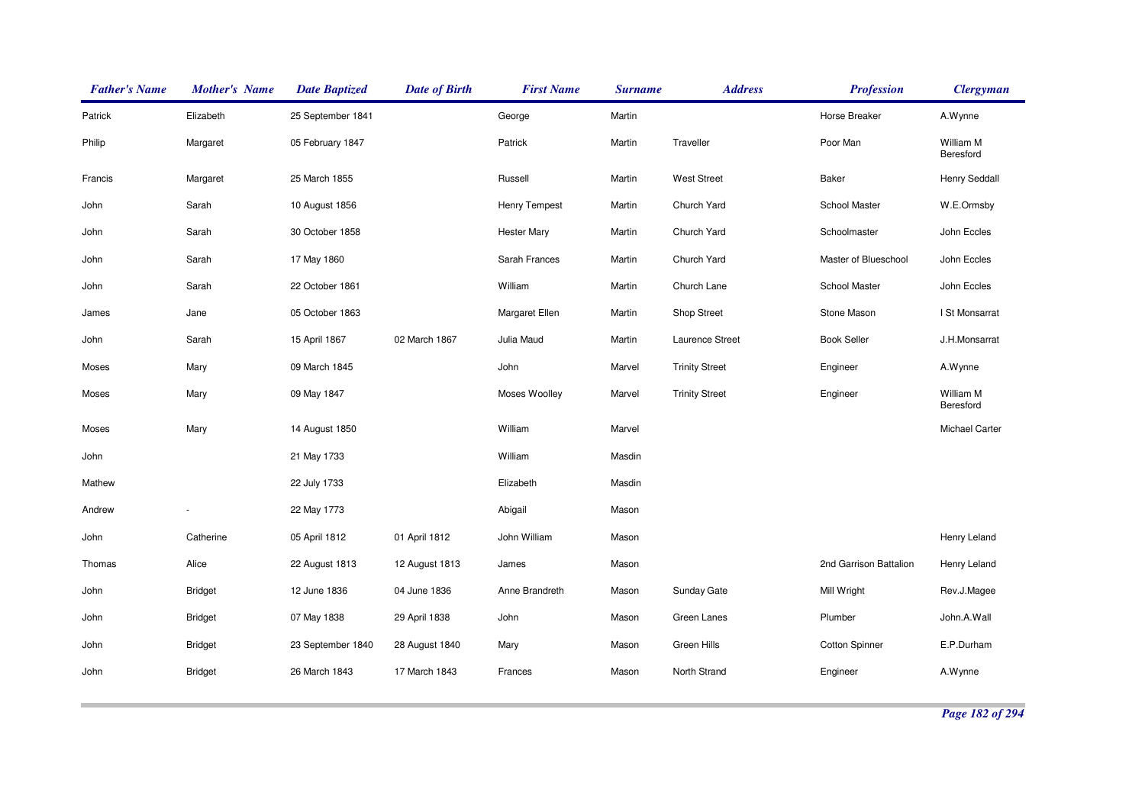| <b>Father's Name</b> | <b>Mother's Name</b> | <b>Date Baptized</b> | <b>Date of Birth</b> | <b>First Name</b>    | <b>Surname</b> | <b>Address</b>        | <b>Profession</b>      | <b>Clergyman</b>       |
|----------------------|----------------------|----------------------|----------------------|----------------------|----------------|-----------------------|------------------------|------------------------|
| Patrick              | Elizabeth            | 25 September 1841    |                      | George               | Martin         |                       | Horse Breaker          | A.Wynne                |
| Philip               | Margaret             | 05 February 1847     |                      | Patrick              | Martin         | Traveller             | Poor Man               | William M<br>Beresford |
| Francis              | Margaret             | 25 March 1855        |                      | Russell              | Martin         | <b>West Street</b>    | Baker                  | <b>Henry Seddall</b>   |
| John                 | Sarah                | 10 August 1856       |                      | <b>Henry Tempest</b> | Martin         | Church Yard           | School Master          | W.E.Ormsby             |
| John                 | Sarah                | 30 October 1858      |                      | <b>Hester Mary</b>   | Martin         | Church Yard           | Schoolmaster           | John Eccles            |
| John                 | Sarah                | 17 May 1860          |                      | Sarah Frances        | Martin         | Church Yard           | Master of Blueschool   | John Eccles            |
| John                 | Sarah                | 22 October 1861      |                      | William              | Martin         | Church Lane           | School Master          | John Eccles            |
| James                | Jane                 | 05 October 1863      |                      | Margaret Ellen       | Martin         | Shop Street           | Stone Mason            | I St Monsarrat         |
| John                 | Sarah                | 15 April 1867        | 02 March 1867        | Julia Maud           | Martin         | Laurence Street       | <b>Book Seller</b>     | J.H.Monsarrat          |
| Moses                | Mary                 | 09 March 1845        |                      | John                 | Marvel         | <b>Trinity Street</b> | Engineer               | A.Wynne                |
| Moses                | Mary                 | 09 May 1847          |                      | Moses Woolley        | Marvel         | <b>Trinity Street</b> | Engineer               | William M<br>Beresford |
| Moses                | Mary                 | 14 August 1850       |                      | William              | Marvel         |                       |                        | Michael Carter         |
| John                 |                      | 21 May 1733          |                      | William              | Masdin         |                       |                        |                        |
| Mathew               |                      | 22 July 1733         |                      | Elizabeth            | Masdin         |                       |                        |                        |
| Andrew               |                      | 22 May 1773          |                      | Abigail              | Mason          |                       |                        |                        |
| John                 | Catherine            | 05 April 1812        | 01 April 1812        | John William         | Mason          |                       |                        | Henry Leland           |
| Thomas               | Alice                | 22 August 1813       | 12 August 1813       | James                | Mason          |                       | 2nd Garrison Battalion | Henry Leland           |
| John                 | <b>Bridget</b>       | 12 June 1836         | 04 June 1836         | Anne Brandreth       | Mason          | Sunday Gate           | Mill Wright            | Rev.J.Magee            |
| John                 | <b>Bridget</b>       | 07 May 1838          | 29 April 1838        | John                 | Mason          | Green Lanes           | Plumber                | John.A.Wall            |
| John                 | <b>Bridget</b>       | 23 September 1840    | 28 August 1840       | Mary                 | Mason          | Green Hills           | <b>Cotton Spinner</b>  | E.P.Durham             |
| John                 | <b>Bridget</b>       | 26 March 1843        | 17 March 1843        | Frances              | Mason          | North Strand          | Engineer               | A.Wynne                |
|                      |                      |                      |                      |                      |                |                       |                        |                        |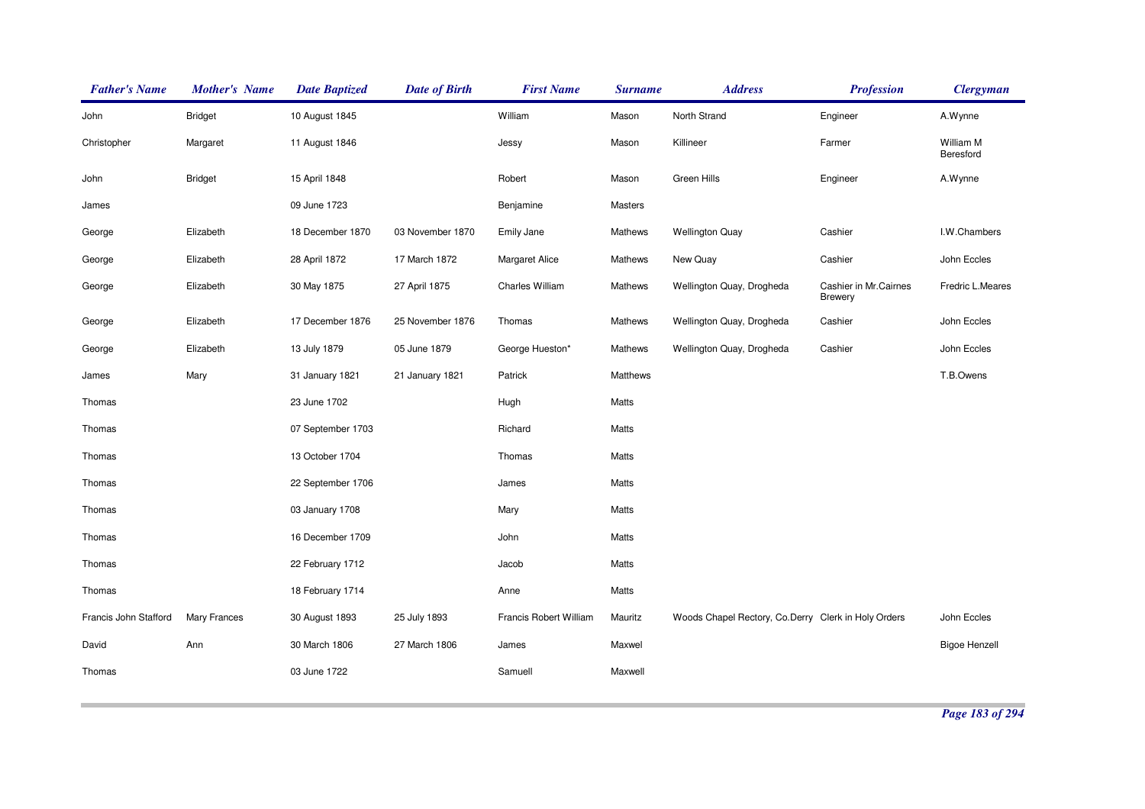| <b>Father's Name</b>  | <b>Mother's Name</b> | <b>Date Baptized</b> | <b>Date of Birth</b> | <b>First Name</b>      | <b>Surname</b> | <b>Address</b>                                      | <b>Profession</b>                       | <b>Clergyman</b>       |
|-----------------------|----------------------|----------------------|----------------------|------------------------|----------------|-----------------------------------------------------|-----------------------------------------|------------------------|
| John                  | <b>Bridget</b>       | 10 August 1845       |                      | William                | Mason          | North Strand                                        | Engineer                                | A.Wynne                |
| Christopher           | Margaret             | 11 August 1846       |                      | Jessy                  | Mason          | Killineer                                           | Farmer                                  | William M<br>Beresford |
| John                  | <b>Bridget</b>       | 15 April 1848        |                      | Robert                 | Mason          | Green Hills                                         | Engineer                                | A.Wynne                |
| James                 |                      | 09 June 1723         |                      | Benjamine              | Masters        |                                                     |                                         |                        |
| George                | Elizabeth            | 18 December 1870     | 03 November 1870     | Emily Jane             | Mathews        | <b>Wellington Quay</b>                              | Cashier                                 | I.W.Chambers           |
| George                | Elizabeth            | 28 April 1872        | 17 March 1872        | <b>Margaret Alice</b>  | Mathews        | New Quay                                            | Cashier                                 | John Eccles            |
| George                | Elizabeth            | 30 May 1875          | 27 April 1875        | Charles William        | Mathews        | Wellington Quay, Drogheda                           | Cashier in Mr.Cairnes<br><b>Brewery</b> | Fredric L.Meares       |
| George                | Elizabeth            | 17 December 1876     | 25 November 1876     | Thomas                 | Mathews        | Wellington Quay, Drogheda                           | Cashier                                 | John Eccles            |
| George                | Elizabeth            | 13 July 1879         | 05 June 1879         | George Hueston*        | Mathews        | Wellington Quay, Drogheda                           | Cashier                                 | John Eccles            |
| James                 | Mary                 | 31 January 1821      | 21 January 1821      | Patrick                | Matthews       |                                                     |                                         | T.B.Owens              |
| Thomas                |                      | 23 June 1702         |                      | Hugh                   | Matts          |                                                     |                                         |                        |
| Thomas                |                      | 07 September 1703    |                      | Richard                | Matts          |                                                     |                                         |                        |
| Thomas                |                      | 13 October 1704      |                      | Thomas                 | Matts          |                                                     |                                         |                        |
| Thomas                |                      | 22 September 1706    |                      | James                  | Matts          |                                                     |                                         |                        |
| Thomas                |                      | 03 January 1708      |                      | Mary                   | Matts          |                                                     |                                         |                        |
| Thomas                |                      | 16 December 1709     |                      | John                   | Matts          |                                                     |                                         |                        |
| Thomas                |                      | 22 February 1712     |                      | Jacob                  | Matts          |                                                     |                                         |                        |
| Thomas                |                      | 18 February 1714     |                      | Anne                   | Matts          |                                                     |                                         |                        |
| Francis John Stafford | Mary Frances         | 30 August 1893       | 25 July 1893         | Francis Robert William | Mauritz        | Woods Chapel Rectory, Co.Derry Clerk in Holy Orders |                                         | John Eccles            |
| David                 | Ann                  | 30 March 1806        | 27 March 1806        | James                  | Maxwel         |                                                     |                                         | <b>Bigoe Henzell</b>   |
| Thomas                |                      | 03 June 1722         |                      | Samuell                | Maxwell        |                                                     |                                         |                        |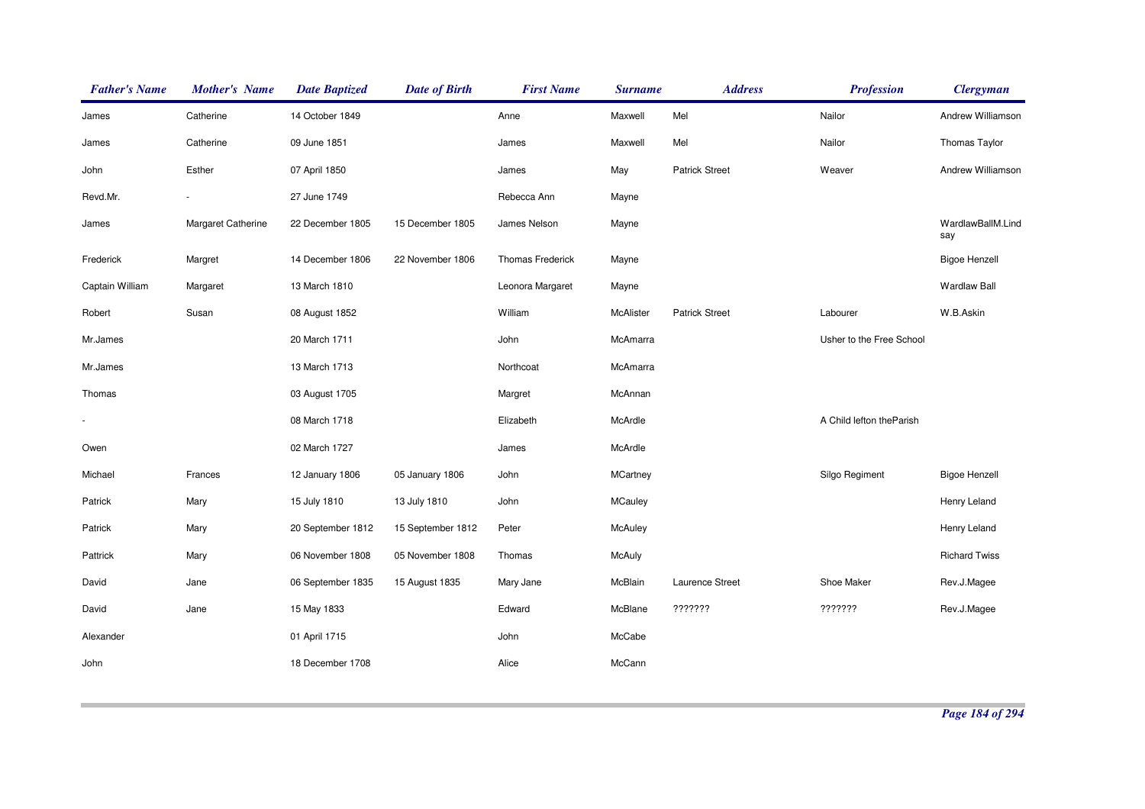| <b>Father's Name</b> | <b>Mother's Name</b> | <b>Date Baptized</b> | <b>Date of Birth</b> | <b>First Name</b> | <b>Surname</b>  | <b>Address</b>        | <b>Profession</b>         | <b>Clergyman</b>         |
|----------------------|----------------------|----------------------|----------------------|-------------------|-----------------|-----------------------|---------------------------|--------------------------|
| James                | Catherine            | 14 October 1849      |                      | Anne              | Maxwell         | Mel                   | Nailor                    | Andrew Williamson        |
| James                | Catherine            | 09 June 1851         |                      | James             | Maxwell         | Mel                   | Nailor                    | Thomas Taylor            |
| John                 | Esther               | 07 April 1850        |                      | James             | May             | <b>Patrick Street</b> | Weaver                    | Andrew Williamson        |
| Revd.Mr.             |                      | 27 June 1749         |                      | Rebecca Ann       | Mayne           |                       |                           |                          |
| James                | Margaret Catherine   | 22 December 1805     | 15 December 1805     | James Nelson      | Mayne           |                       |                           | WardlawBallM.Lind<br>say |
| Frederick            | Margret              | 14 December 1806     | 22 November 1806     | Thomas Frederick  | Mayne           |                       |                           | <b>Bigoe Henzell</b>     |
| Captain William      | Margaret             | 13 March 1810        |                      | Leonora Margaret  | Mayne           |                       |                           | <b>Wardlaw Ball</b>      |
| Robert               | Susan                | 08 August 1852       |                      | William           | McAlister       | <b>Patrick Street</b> | Labourer                  | W.B.Askin                |
| Mr.James             |                      | 20 March 1711        |                      | John              | McAmarra        |                       | Usher to the Free School  |                          |
| Mr.James             |                      | 13 March 1713        |                      | Northcoat         | McAmarra        |                       |                           |                          |
| Thomas               |                      | 03 August 1705       |                      | Margret           | McAnnan         |                       |                           |                          |
|                      |                      | 08 March 1718        |                      | Elizabeth         | McArdle         |                       | A Child lefton the Parish |                          |
| Owen                 |                      | 02 March 1727        |                      | James             | McArdle         |                       |                           |                          |
| Michael              | Frances              | 12 January 1806      | 05 January 1806      | John              | <b>MCartney</b> |                       | Silgo Regiment            | <b>Bigoe Henzell</b>     |
| Patrick              | Mary                 | 15 July 1810         | 13 July 1810         | John              | <b>MCauley</b>  |                       |                           | Henry Leland             |
| Patrick              | Mary                 | 20 September 1812    | 15 September 1812    | Peter             | McAuley         |                       |                           | Henry Leland             |
| Pattrick             | Mary                 | 06 November 1808     | 05 November 1808     | Thomas            | <b>McAuly</b>   |                       |                           | <b>Richard Twiss</b>     |
| David                | Jane                 | 06 September 1835    | 15 August 1835       | Mary Jane         | McBlain         | Laurence Street       | Shoe Maker                | Rev.J.Magee              |
| David                | Jane                 | 15 May 1833          |                      | Edward            | McBlane         | ???????               | ???????                   | Rev.J.Magee              |
| Alexander            |                      | 01 April 1715        |                      | John              | McCabe          |                       |                           |                          |
| John                 |                      | 18 December 1708     |                      | Alice             | McCann          |                       |                           |                          |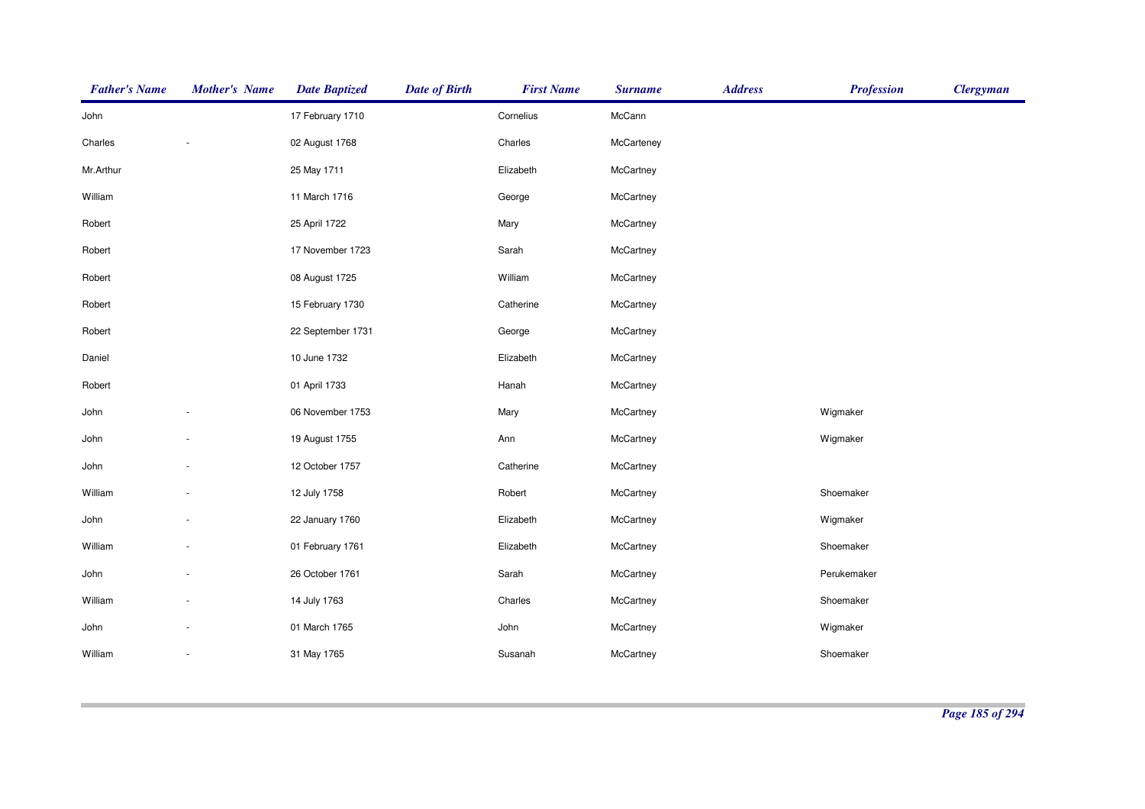| <b>Father's Name</b> | <b>Mother's Name</b>     | <b>Date Baptized</b> | <b>Date of Birth</b> | <b>First Name</b> | <b>Surname</b> | <b>Address</b> | <b>Profession</b> | <b>Clergyman</b> |
|----------------------|--------------------------|----------------------|----------------------|-------------------|----------------|----------------|-------------------|------------------|
| John                 |                          | 17 February 1710     |                      | Cornelius         | McCann         |                |                   |                  |
| Charles              |                          | 02 August 1768       |                      | Charles           | McCarteney     |                |                   |                  |
| Mr.Arthur            |                          | 25 May 1711          |                      | Elizabeth         | McCartney      |                |                   |                  |
| William              |                          | 11 March 1716        |                      | George            | McCartney      |                |                   |                  |
| Robert               |                          | 25 April 1722        |                      | Mary              | McCartney      |                |                   |                  |
| Robert               |                          | 17 November 1723     |                      | Sarah             | McCartney      |                |                   |                  |
| Robert               |                          | 08 August 1725       |                      | William           | McCartney      |                |                   |                  |
| Robert               |                          | 15 February 1730     |                      | Catherine         | McCartney      |                |                   |                  |
| Robert               |                          | 22 September 1731    |                      | George            | McCartney      |                |                   |                  |
| Daniel               |                          | 10 June 1732         |                      | Elizabeth         | McCartney      |                |                   |                  |
| Robert               |                          | 01 April 1733        |                      | Hanah             | McCartney      |                |                   |                  |
| John                 |                          | 06 November 1753     |                      | Mary              | McCartney      |                | Wigmaker          |                  |
| John                 |                          | 19 August 1755       |                      | Ann               | McCartney      |                | Wigmaker          |                  |
| John                 |                          | 12 October 1757      |                      | Catherine         | McCartney      |                |                   |                  |
| William              |                          | 12 July 1758         |                      | Robert            | McCartney      |                | Shoemaker         |                  |
| John                 |                          | 22 January 1760      |                      | Elizabeth         | McCartney      |                | Wigmaker          |                  |
| William              |                          | 01 February 1761     |                      | Elizabeth         | McCartney      |                | Shoemaker         |                  |
| John                 |                          | 26 October 1761      |                      | Sarah             | McCartney      |                | Perukemaker       |                  |
| William              |                          | 14 July 1763         |                      | Charles           | McCartney      |                | Shoemaker         |                  |
| John                 |                          | 01 March 1765        |                      | John              | McCartney      |                | Wigmaker          |                  |
| William              | $\overline{\phantom{a}}$ | 31 May 1765          |                      | Susanah           | McCartney      |                | Shoemaker         |                  |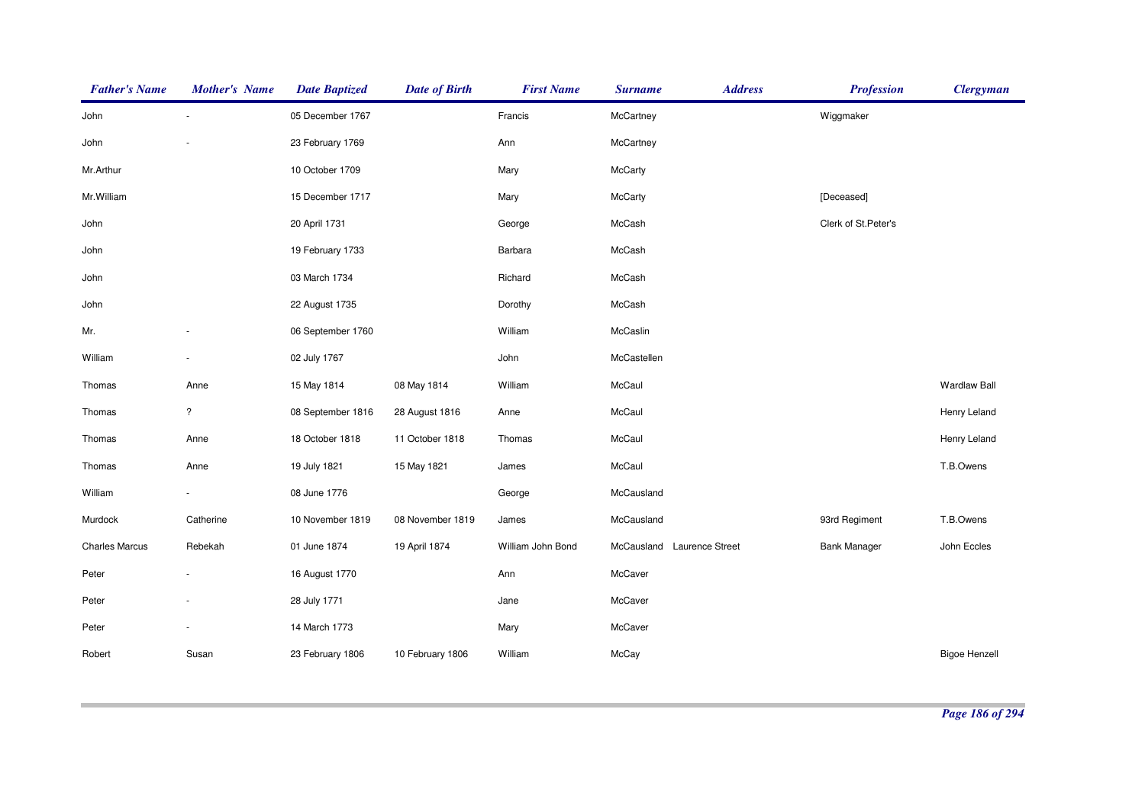| <b>Father's Name</b>  | <b>Mother's Name</b>     | <b>Date Baptized</b> | <b>Date of Birth</b> | <b>First Name</b> | <b>Surname</b>                       | <b>Address</b> | <b>Profession</b>   | <b>Clergyman</b>     |
|-----------------------|--------------------------|----------------------|----------------------|-------------------|--------------------------------------|----------------|---------------------|----------------------|
| John                  |                          | 05 December 1767     |                      | Francis           | McCartney                            |                | Wiggmaker           |                      |
| John                  |                          | 23 February 1769     |                      | Ann               | McCartney                            |                |                     |                      |
| Mr.Arthur             |                          | 10 October 1709      |                      | Mary              | McCarty                              |                |                     |                      |
| Mr. William           |                          | 15 December 1717     |                      | Mary              | <b>McCarty</b>                       |                | [Deceased]          |                      |
| John                  |                          | 20 April 1731        |                      | George            | McCash                               |                | Clerk of St.Peter's |                      |
| John                  |                          | 19 February 1733     |                      | Barbara           | McCash                               |                |                     |                      |
| John                  |                          | 03 March 1734        |                      | Richard           | McCash                               |                |                     |                      |
| John                  |                          | 22 August 1735       |                      | Dorothy           | McCash                               |                |                     |                      |
| Mr.                   |                          | 06 September 1760    |                      | William           | McCaslin                             |                |                     |                      |
| William               |                          | 02 July 1767         |                      | John              | McCastellen                          |                |                     |                      |
| Thomas                | Anne                     | 15 May 1814          | 08 May 1814          | William           | McCaul                               |                |                     | <b>Wardlaw Ball</b>  |
| Thomas                | $\overline{\phantom{a}}$ | 08 September 1816    | 28 August 1816       | Anne              | McCaul                               |                |                     | Henry Leland         |
| Thomas                | Anne                     | 18 October 1818      | 11 October 1818      | Thomas            | McCaul                               |                |                     | Henry Leland         |
| Thomas                | Anne                     | 19 July 1821         | 15 May 1821          | James             | McCaul                               |                |                     | T.B.Owens            |
| William               |                          | 08 June 1776         |                      | George            | McCausland                           |                |                     |                      |
| Murdock               | Catherine                | 10 November 1819     | 08 November 1819     | James             | McCausland                           |                | 93rd Regiment       | T.B.Owens            |
| <b>Charles Marcus</b> | Rebekah                  | 01 June 1874         | 19 April 1874        | William John Bond | <b>Laurence Street</b><br>McCausland |                | <b>Bank Manager</b> | John Eccles          |
| Peter                 |                          | 16 August 1770       |                      | Ann               | McCaver                              |                |                     |                      |
| Peter                 |                          | 28 July 1771         |                      | Jane              | McCaver                              |                |                     |                      |
| Peter                 |                          | 14 March 1773        |                      | Mary              | McCaver                              |                |                     |                      |
| Robert                | Susan                    | 23 February 1806     | 10 February 1806     | William           | McCay                                |                |                     | <b>Bigoe Henzell</b> |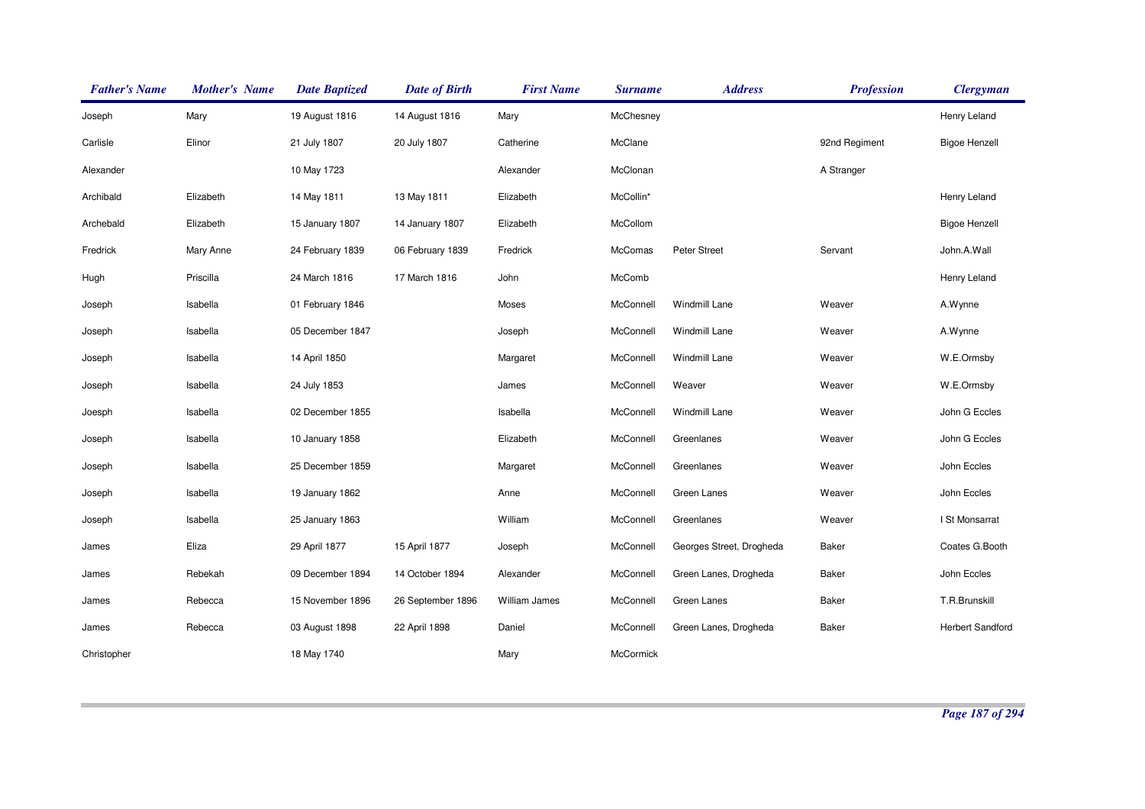| <b>Father's Name</b> | <b>Mother's Name</b> | <b>Date Baptized</b> | <b>Date of Birth</b> | <b>First Name</b> | <b>Surname</b> | <b>Address</b>           | <b>Profession</b> | <b>Clergyman</b>        |
|----------------------|----------------------|----------------------|----------------------|-------------------|----------------|--------------------------|-------------------|-------------------------|
| Joseph               | Mary                 | 19 August 1816       | 14 August 1816       | Mary              | McChesney      |                          |                   | Henry Leland            |
| Carlisle             | Elinor               | 21 July 1807         | 20 July 1807         | Catherine         | McClane        |                          | 92nd Regiment     | <b>Bigoe Henzell</b>    |
| Alexander            |                      | 10 May 1723          |                      | Alexander         | McClonan       |                          | A Stranger        |                         |
| Archibald            | Elizabeth            | 14 May 1811          | 13 May 1811          | Elizabeth         | McCollin*      |                          |                   | Henry Leland            |
| Archebald            | Elizabeth            | 15 January 1807      | 14 January 1807      | Elizabeth         | McCollom       |                          |                   | <b>Bigoe Henzell</b>    |
| Fredrick             | Mary Anne            | 24 February 1839     | 06 February 1839     | Fredrick          | McComas        | Peter Street             | Servant           | John.A.Wall             |
| Hugh                 | Priscilla            | 24 March 1816        | 17 March 1816        | John              | McComb         |                          |                   | Henry Leland            |
| Joseph               | Isabella             | 01 February 1846     |                      | Moses             | McConnell      | Windmill Lane            | Weaver            | A.Wynne                 |
| Joseph               | Isabella             | 05 December 1847     |                      | Joseph            | McConnell      | Windmill Lane            | Weaver            | A.Wynne                 |
| Joseph               | Isabella             | 14 April 1850        |                      | Margaret          | McConnell      | Windmill Lane            | Weaver            | W.E.Ormsby              |
| Joseph               | Isabella             | 24 July 1853         |                      | James             | McConnell      | Weaver                   | Weaver            | W.E.Ormsby              |
| Joesph               | Isabella             | 02 December 1855     |                      | Isabella          | McConnell      | Windmill Lane            | Weaver            | John G Eccles           |
| Joseph               | Isabella             | 10 January 1858      |                      | Elizabeth         | McConnell      | Greenlanes               | Weaver            | John G Eccles           |
| Joseph               | Isabella             | 25 December 1859     |                      | Margaret          | McConnell      | Greenlanes               | Weaver            | John Eccles             |
| Joseph               | Isabella             | 19 January 1862      |                      | Anne              | McConnell      | Green Lanes              | Weaver            | John Eccles             |
| Joseph               | Isabella             | 25 January 1863      |                      | William           | McConnell      | Greenlanes               | Weaver            | I St Monsarrat          |
| James                | Eliza                | 29 April 1877        | 15 April 1877        | Joseph            | McConnell      | Georges Street, Drogheda | <b>Baker</b>      | Coates G.Booth          |
| James                | Rebekah              | 09 December 1894     | 14 October 1894      | Alexander         | McConnell      | Green Lanes, Drogheda    | <b>Baker</b>      | John Eccles             |
| James                | Rebecca              | 15 November 1896     | 26 September 1896    | William James     | McConnell      | Green Lanes              | <b>Baker</b>      | T.R.Brunskill           |
| James                | Rebecca              | 03 August 1898       | 22 April 1898        | Daniel            | McConnell      | Green Lanes, Drogheda    | Baker             | <b>Herbert Sandford</b> |
| Christopher          |                      | 18 May 1740          |                      | Mary              | McCormick      |                          |                   |                         |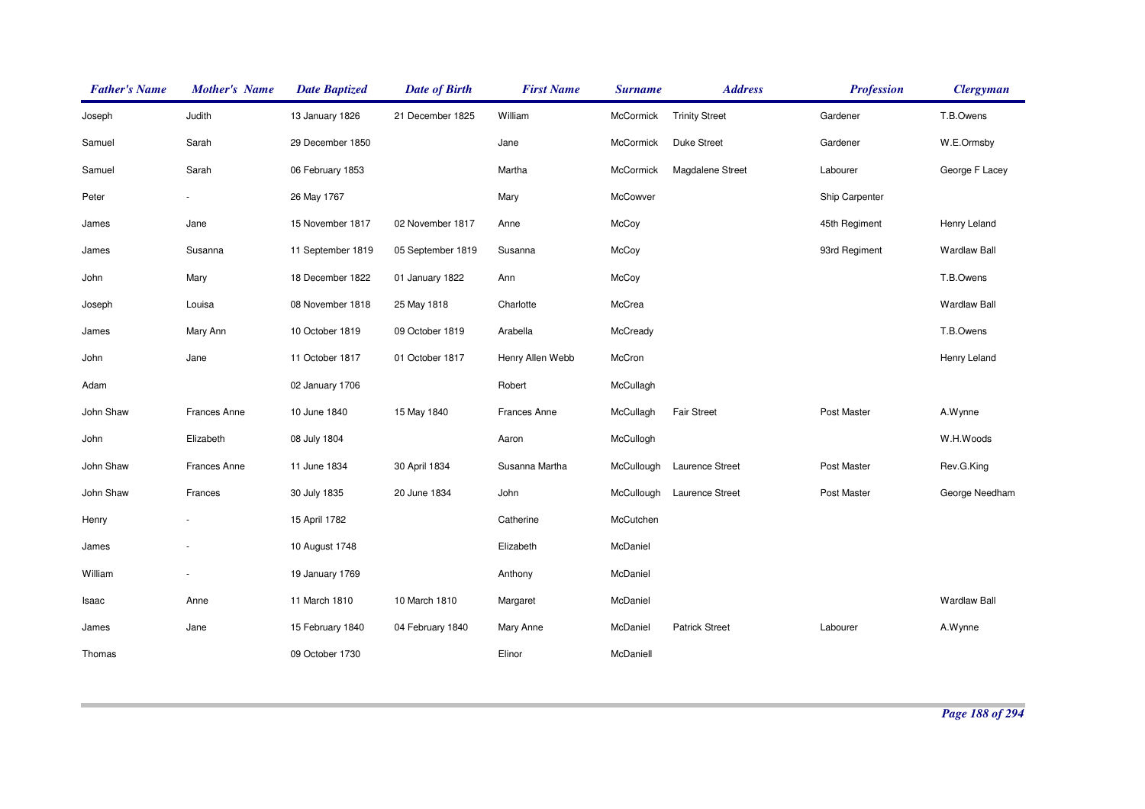| <b>Father's Name</b> | <b>Mother's Name</b> | <b>Date Baptized</b> | <b>Date of Birth</b> | <b>First Name</b>   | <b>Surname</b>   | <b>Address</b>        | <b>Profession</b> | <b>Clergyman</b>    |
|----------------------|----------------------|----------------------|----------------------|---------------------|------------------|-----------------------|-------------------|---------------------|
| Joseph               | Judith               | 13 January 1826      | 21 December 1825     | William             | McCormick        | <b>Trinity Street</b> | Gardener          | T.B.Owens           |
| Samuel               | Sarah                | 29 December 1850     |                      | Jane                | <b>McCormick</b> | <b>Duke Street</b>    | Gardener          | W.E.Ormsby          |
| Samuel               | Sarah                | 06 February 1853     |                      | Martha              | McCormick        | Magdalene Street      | Labourer          | George F Lacey      |
| Peter                |                      | 26 May 1767          |                      | Mary                | McCowver         |                       | Ship Carpenter    |                     |
| James                | Jane                 | 15 November 1817     | 02 November 1817     | Anne                | McCoy            |                       | 45th Regiment     | Henry Leland        |
| James                | Susanna              | 11 September 1819    | 05 September 1819    | Susanna             | McCoy            |                       | 93rd Regiment     | <b>Wardlaw Ball</b> |
| John                 | Mary                 | 18 December 1822     | 01 January 1822      | Ann                 | McCoy            |                       |                   | T.B.Owens           |
| Joseph               | Louisa               | 08 November 1818     | 25 May 1818          | Charlotte           | McCrea           |                       |                   | <b>Wardlaw Ball</b> |
| James                | Mary Ann             | 10 October 1819      | 09 October 1819      | Arabella            | McCready         |                       |                   | T.B.Owens           |
| John                 | Jane                 | 11 October 1817      | 01 October 1817      | Henry Allen Webb    | McCron           |                       |                   | Henry Leland        |
| Adam                 |                      | 02 January 1706      |                      | Robert              | McCullagh        |                       |                   |                     |
| John Shaw            | <b>Frances Anne</b>  | 10 June 1840         | 15 May 1840          | <b>Frances Anne</b> | McCullagh        | <b>Fair Street</b>    | Post Master       | A.Wynne             |
| John                 | Elizabeth            | 08 July 1804         |                      | Aaron               | McCullogh        |                       |                   | W.H.Woods           |
| John Shaw            | <b>Frances Anne</b>  | 11 June 1834         | 30 April 1834        | Susanna Martha      | McCullough       | Laurence Street       | Post Master       | Rev.G.King          |
| John Shaw            | Frances              | 30 July 1835         | 20 June 1834         | John                | McCullough       | Laurence Street       | Post Master       | George Needham      |
| Henry                |                      | 15 April 1782        |                      | Catherine           | McCutchen        |                       |                   |                     |
| James                |                      | 10 August 1748       |                      | Elizabeth           | McDaniel         |                       |                   |                     |
| William              |                      | 19 January 1769      |                      | Anthony             | McDaniel         |                       |                   |                     |
| Isaac                | Anne                 | 11 March 1810        | 10 March 1810        | Margaret            | McDaniel         |                       |                   | <b>Wardlaw Ball</b> |
| James                | Jane                 | 15 February 1840     | 04 February 1840     | Mary Anne           | McDaniel         | <b>Patrick Street</b> | Labourer          | A.Wynne             |
| Thomas               |                      | 09 October 1730      |                      | Elinor              | McDaniell        |                       |                   |                     |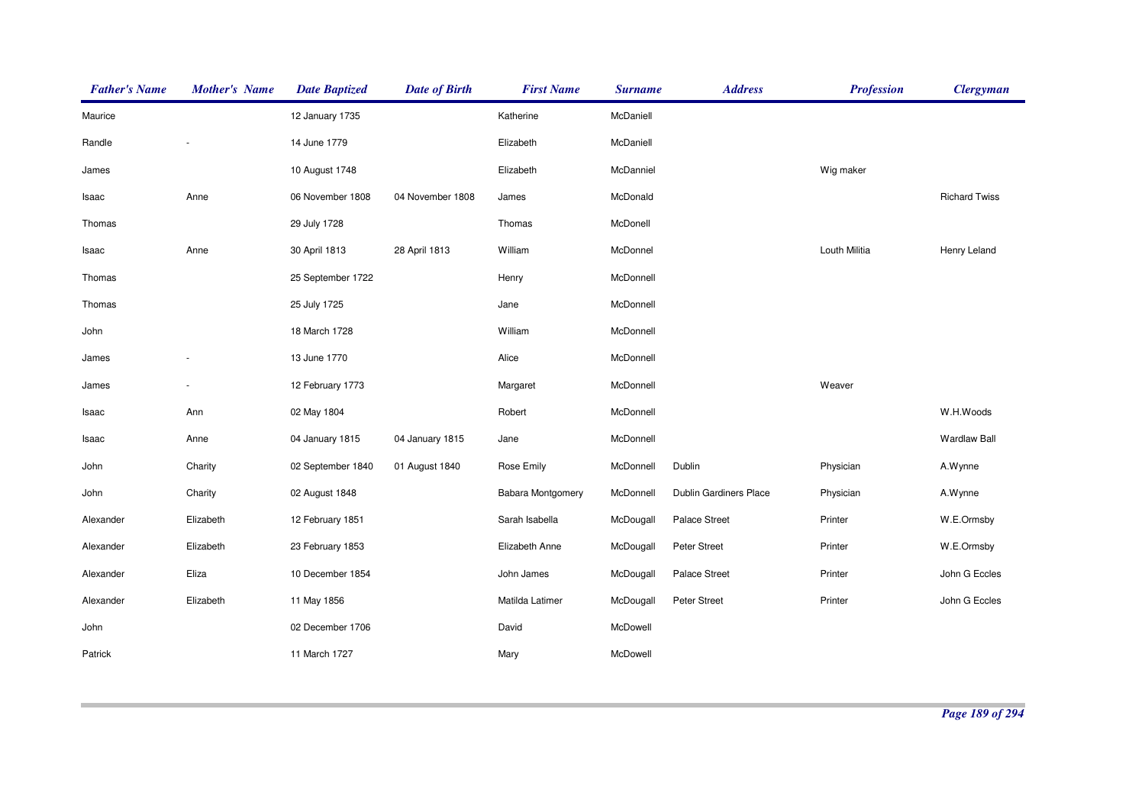| <b>Father's Name</b> | <b>Mother's Name</b> | <b>Date Baptized</b> | <b>Date of Birth</b> | <b>First Name</b>        | <b>Surname</b> | <b>Address</b>         | <b>Profession</b> | <b>Clergyman</b>     |
|----------------------|----------------------|----------------------|----------------------|--------------------------|----------------|------------------------|-------------------|----------------------|
| Maurice              |                      | 12 January 1735      |                      | Katherine                | McDaniell      |                        |                   |                      |
| Randle               |                      | 14 June 1779         |                      | Elizabeth                | McDaniell      |                        |                   |                      |
| James                |                      | 10 August 1748       |                      | Elizabeth                | McDanniel      |                        | Wig maker         |                      |
| Isaac                | Anne                 | 06 November 1808     | 04 November 1808     | James                    | McDonald       |                        |                   | <b>Richard Twiss</b> |
| Thomas               |                      | 29 July 1728         |                      | Thomas                   | McDonell       |                        |                   |                      |
| Isaac                | Anne                 | 30 April 1813        | 28 April 1813        | William                  | McDonnel       |                        | Louth Militia     | Henry Leland         |
| Thomas               |                      | 25 September 1722    |                      | Henry                    | McDonnell      |                        |                   |                      |
| Thomas               |                      | 25 July 1725         |                      | Jane                     | McDonnell      |                        |                   |                      |
| John                 |                      | 18 March 1728        |                      | William                  | McDonnell      |                        |                   |                      |
| James                |                      | 13 June 1770         |                      | Alice                    | McDonnell      |                        |                   |                      |
| James                |                      | 12 February 1773     |                      | Margaret                 | McDonnell      |                        | Weaver            |                      |
| Isaac                | Ann                  | 02 May 1804          |                      | Robert                   | McDonnell      |                        |                   | W.H.Woods            |
| Isaac                | Anne                 | 04 January 1815      | 04 January 1815      | Jane                     | McDonnell      |                        |                   | <b>Wardlaw Ball</b>  |
| John                 | Charity              | 02 September 1840    | 01 August 1840       | Rose Emily               | McDonnell      | Dublin                 | Physician         | A.Wynne              |
| John                 | Charity              | 02 August 1848       |                      | <b>Babara Montgomery</b> | McDonnell      | Dublin Gardiners Place | Physician         | A.Wynne              |
| Alexander            | Elizabeth            | 12 February 1851     |                      | Sarah Isabella           | McDougall      | Palace Street          | Printer           | W.E.Ormsby           |
| Alexander            | Elizabeth            | 23 February 1853     |                      | Elizabeth Anne           | McDougall      | Peter Street           | Printer           | W.E.Ormsby           |
| Alexander            | Eliza                | 10 December 1854     |                      | John James               | McDougall      | Palace Street          | Printer           | John G Eccles        |
| Alexander            | Elizabeth            | 11 May 1856          |                      | Matilda Latimer          | McDougall      | Peter Street           | Printer           | John G Eccles        |
| John                 |                      | 02 December 1706     |                      | David                    | McDowell       |                        |                   |                      |
| Patrick              |                      | 11 March 1727        |                      | Mary                     | McDowell       |                        |                   |                      |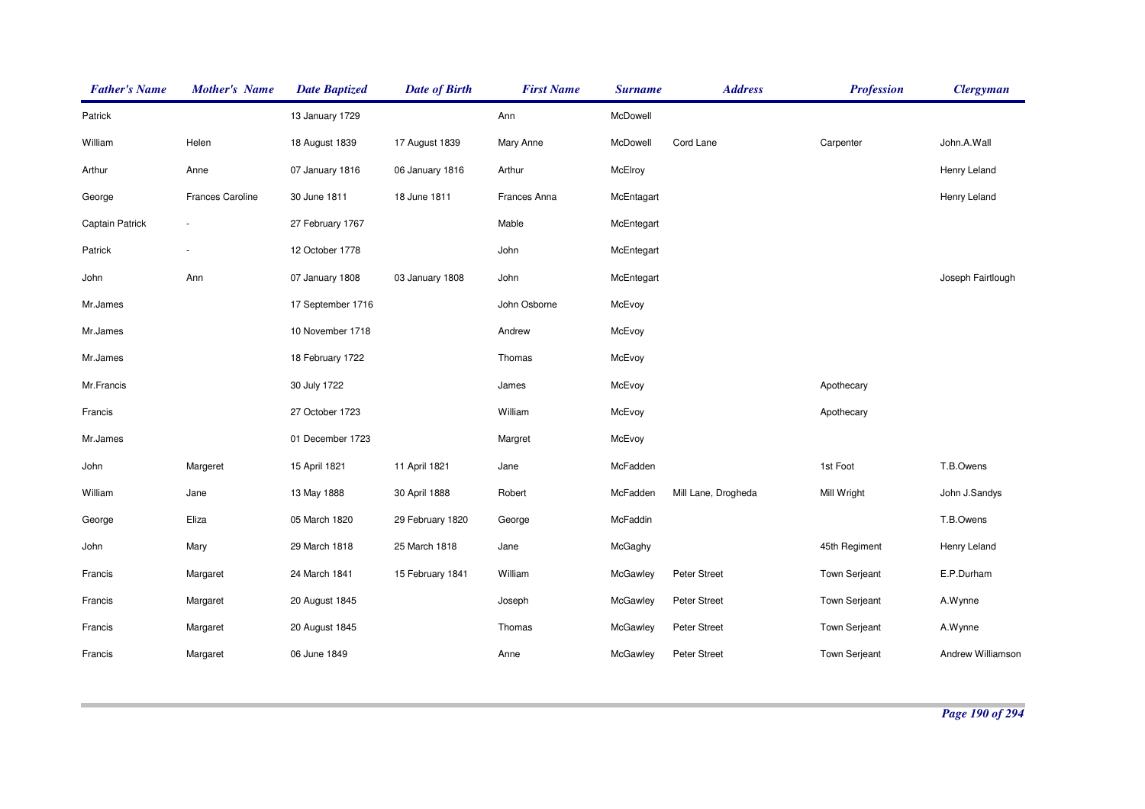| <b>Father's Name</b> | <b>Mother's Name</b> | <b>Date Baptized</b> | <b>Date of Birth</b> | <b>First Name</b> | <b>Surname</b> | <b>Address</b>      | <b>Profession</b>    | <b>Clergyman</b>  |
|----------------------|----------------------|----------------------|----------------------|-------------------|----------------|---------------------|----------------------|-------------------|
| Patrick              |                      | 13 January 1729      |                      | Ann               | McDowell       |                     |                      |                   |
| William              | Helen                | 18 August 1839       | 17 August 1839       | Mary Anne         | McDowell       | Cord Lane           | Carpenter            | John.A.Wall       |
| Arthur               | Anne                 | 07 January 1816      | 06 January 1816      | Arthur            | McElroy        |                     |                      | Henry Leland      |
| George               | Frances Caroline     | 30 June 1811         | 18 June 1811         | Frances Anna      | McEntagart     |                     |                      | Henry Leland      |
| Captain Patrick      |                      | 27 February 1767     |                      | Mable             | McEntegart     |                     |                      |                   |
| Patrick              |                      | 12 October 1778      |                      | John              | McEntegart     |                     |                      |                   |
| John                 | Ann                  | 07 January 1808      | 03 January 1808      | John              | McEntegart     |                     |                      | Joseph Fairtlough |
| Mr.James             |                      | 17 September 1716    |                      | John Osborne      | McEvoy         |                     |                      |                   |
| Mr.James             |                      | 10 November 1718     |                      | Andrew            | McEvoy         |                     |                      |                   |
| Mr.James             |                      | 18 February 1722     |                      | Thomas            | McEvoy         |                     |                      |                   |
| Mr.Francis           |                      | 30 July 1722         |                      | James             | McEvoy         |                     | Apothecary           |                   |
| Francis              |                      | 27 October 1723      |                      | William           | McEvoy         |                     | Apothecary           |                   |
| Mr.James             |                      | 01 December 1723     |                      | Margret           | McEvoy         |                     |                      |                   |
| John                 | Margeret             | 15 April 1821        | 11 April 1821        | Jane              | McFadden       |                     | 1st Foot             | T.B.Owens         |
| William              | Jane                 | 13 May 1888          | 30 April 1888        | Robert            | McFadden       | Mill Lane, Drogheda | Mill Wright          | John J.Sandys     |
| George               | Eliza                | 05 March 1820        | 29 February 1820     | George            | McFaddin       |                     |                      | T.B.Owens         |
| John                 | Mary                 | 29 March 1818        | 25 March 1818        | Jane              | McGaghy        |                     | 45th Regiment        | Henry Leland      |
| Francis              | Margaret             | 24 March 1841        | 15 February 1841     | William           | McGawley       | Peter Street        | <b>Town Serjeant</b> | E.P.Durham        |
| Francis              | Margaret             | 20 August 1845       |                      | Joseph            | McGawley       | Peter Street        | <b>Town Serjeant</b> | A.Wynne           |
| Francis              | Margaret             | 20 August 1845       |                      | Thomas            | McGawley       | Peter Street        | Town Serjeant        | A.Wynne           |
| Francis              | Margaret             | 06 June 1849         |                      | Anne              | McGawley       | Peter Street        | Town Serjeant        | Andrew Williamson |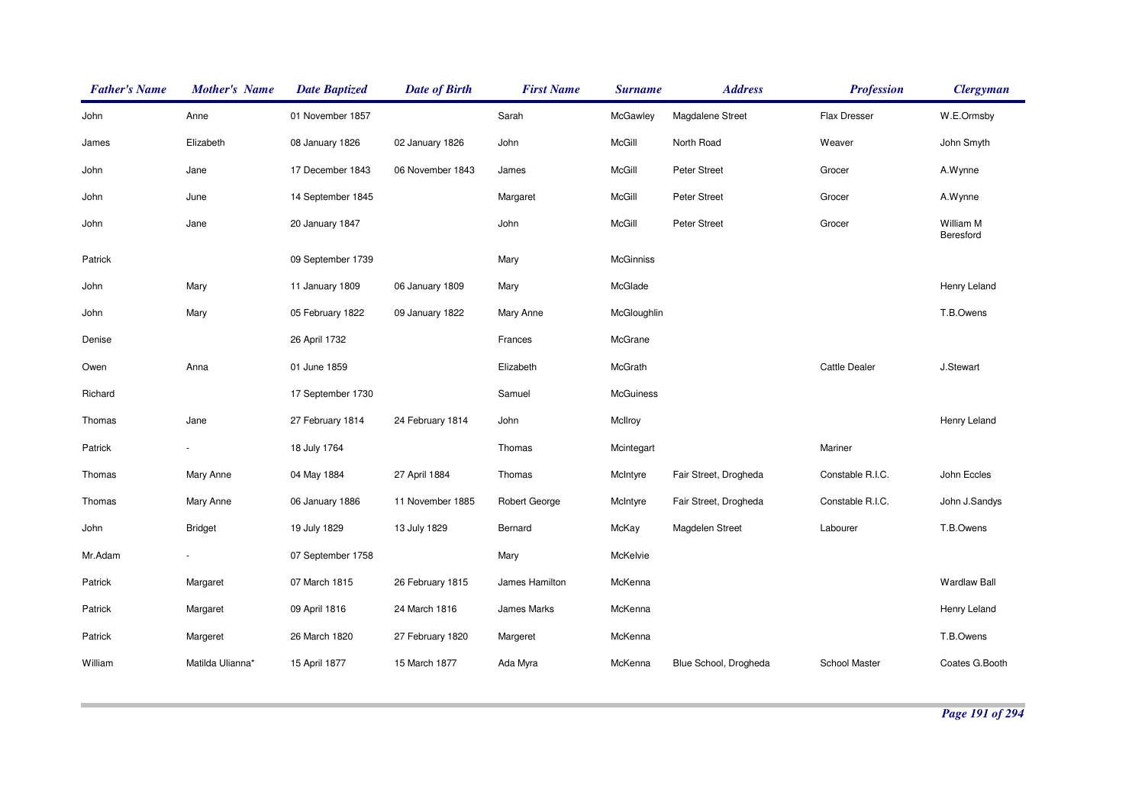| <b>Father's Name</b> | <b>Mother's Name</b> | <b>Date Baptized</b> | <b>Date of Birth</b> | <b>First Name</b> | <b>Surname</b>   | <b>Address</b>        | <b>Profession</b>    | <b>Clergyman</b>       |
|----------------------|----------------------|----------------------|----------------------|-------------------|------------------|-----------------------|----------------------|------------------------|
| John                 | Anne                 | 01 November 1857     |                      | Sarah             | McGawley         | Magdalene Street      | Flax Dresser         | W.E.Ormsby             |
| James                | Elizabeth            | 08 January 1826      | 02 January 1826      | John              | McGill           | North Road            | Weaver               | John Smyth             |
| John                 | Jane                 | 17 December 1843     | 06 November 1843     | James             | McGill           | <b>Peter Street</b>   | Grocer               | A.Wynne                |
| John                 | June                 | 14 September 1845    |                      | Margaret          | McGill           | Peter Street          | Grocer               | A.Wynne                |
| John                 | Jane                 | 20 January 1847      |                      | John              | McGill           | <b>Peter Street</b>   | Grocer               | William M<br>Beresford |
| Patrick              |                      | 09 September 1739    |                      | Mary              | <b>McGinniss</b> |                       |                      |                        |
| John                 | Mary                 | 11 January 1809      | 06 January 1809      | Mary              | McGlade          |                       |                      | Henry Leland           |
| John                 | Mary                 | 05 February 1822     | 09 January 1822      | Mary Anne         | McGloughlin      |                       |                      | T.B.Owens              |
| Denise               |                      | 26 April 1732        |                      | Frances           | McGrane          |                       |                      |                        |
| Owen                 | Anna                 | 01 June 1859         |                      | Elizabeth         | McGrath          |                       | <b>Cattle Dealer</b> | J.Stewart              |
| Richard              |                      | 17 September 1730    |                      | Samuel            | McGuiness        |                       |                      |                        |
| Thomas               | Jane                 | 27 February 1814     | 24 February 1814     | John              | McIlroy          |                       |                      | Henry Leland           |
| Patrick              |                      | 18 July 1764         |                      | Thomas            | Mcintegart       |                       | Mariner              |                        |
| Thomas               | Mary Anne            | 04 May 1884          | 27 April 1884        | Thomas            | McIntyre         | Fair Street, Drogheda | Constable R.I.C.     | John Eccles            |
| Thomas               | Mary Anne            | 06 January 1886      | 11 November 1885     | Robert George     | McIntyre         | Fair Street, Drogheda | Constable R.I.C.     | John J.Sandys          |
| John                 | <b>Bridget</b>       | 19 July 1829         | 13 July 1829         | Bernard           | McKay            | Magdelen Street       | Labourer             | T.B.Owens              |
| Mr.Adam              |                      | 07 September 1758    |                      | Mary              | McKelvie         |                       |                      |                        |
| Patrick              | Margaret             | 07 March 1815        | 26 February 1815     | James Hamilton    | McKenna          |                       |                      | <b>Wardlaw Ball</b>    |
| Patrick              | Margaret             | 09 April 1816        | 24 March 1816        | James Marks       | McKenna          |                       |                      | Henry Leland           |
| Patrick              | Margeret             | 26 March 1820        | 27 February 1820     | Margeret          | McKenna          |                       |                      | T.B.Owens              |
| William              | Matilda Ulianna*     | 15 April 1877        | 15 March 1877        | Ada Myra          | McKenna          | Blue School, Drogheda | School Master        | Coates G.Booth         |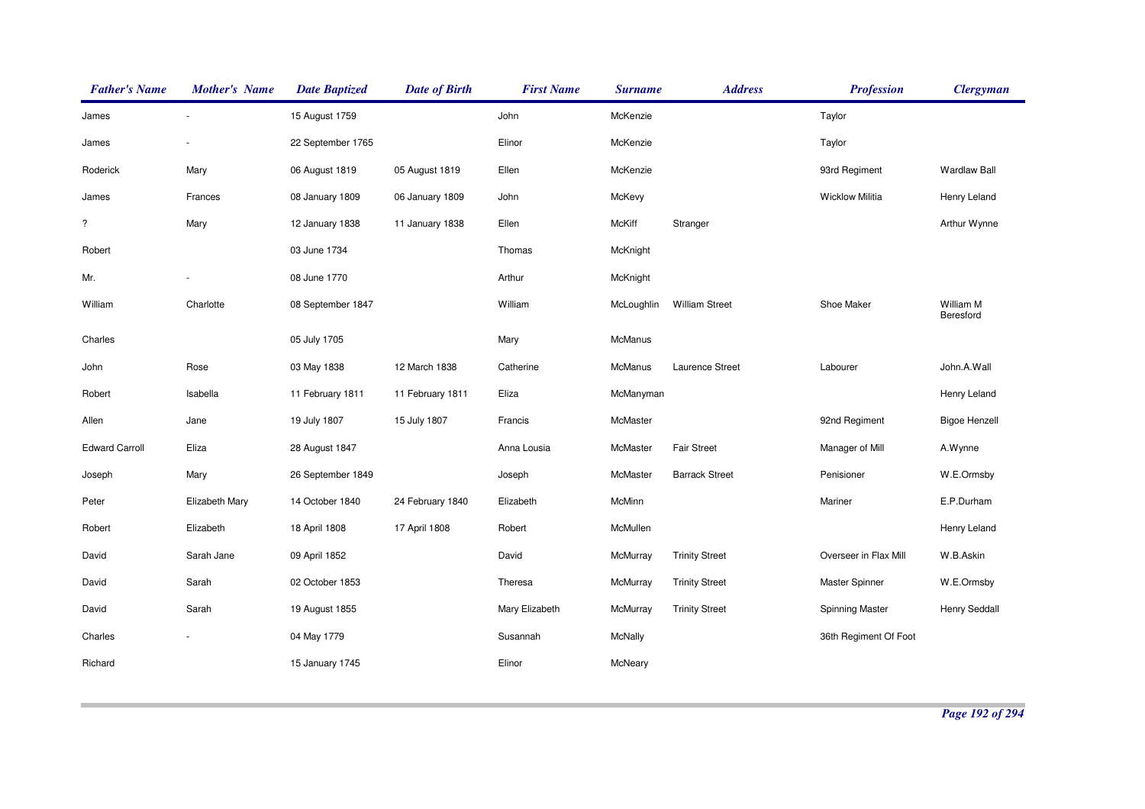| <b>Father's Name</b>  | <b>Mother's Name</b> | <b>Date Baptized</b> | <b>Date of Birth</b> | <b>First Name</b> | <b>Surname</b> | <b>Address</b>        | <b>Profession</b>      | <b>Clergyman</b>       |
|-----------------------|----------------------|----------------------|----------------------|-------------------|----------------|-----------------------|------------------------|------------------------|
| James                 |                      | 15 August 1759       |                      | John              | McKenzie       |                       | Taylor                 |                        |
| James                 |                      | 22 September 1765    |                      | Elinor            | McKenzie       |                       | Taylor                 |                        |
| Roderick              | Mary                 | 06 August 1819       | 05 August 1819       | Ellen             | McKenzie       |                       | 93rd Regiment          | <b>Wardlaw Ball</b>    |
| James                 | Frances              | 08 January 1809      | 06 January 1809      | John              | McKevy         |                       | <b>Wicklow Militia</b> | Henry Leland           |
| $\overline{\cdot}$    | Mary                 | 12 January 1838      | 11 January 1838      | Ellen             | <b>McKiff</b>  | Stranger              |                        | Arthur Wynne           |
| Robert                |                      | 03 June 1734         |                      | Thomas            | McKnight       |                       |                        |                        |
| Mr.                   |                      | 08 June 1770         |                      | Arthur            | McKnight       |                       |                        |                        |
| William               | Charlotte            | 08 September 1847    |                      | William           | McLoughlin     | <b>William Street</b> | Shoe Maker             | William M<br>Beresford |
| Charles               |                      | 05 July 1705         |                      | Mary              | McManus        |                       |                        |                        |
| John                  | Rose                 | 03 May 1838          | 12 March 1838        | Catherine         | <b>McManus</b> | Laurence Street       | Labourer               | John.A.Wall            |
| Robert                | Isabella             | 11 February 1811     | 11 February 1811     | Eliza             | McManyman      |                       |                        | Henry Leland           |
| Allen                 | Jane                 | 19 July 1807         | 15 July 1807         | Francis           | McMaster       |                       | 92nd Regiment          | <b>Bigoe Henzell</b>   |
| <b>Edward Carroll</b> | Eliza                | 28 August 1847       |                      | Anna Lousia       | McMaster       | <b>Fair Street</b>    | Manager of Mill        | A.Wynne                |
| Joseph                | Mary                 | 26 September 1849    |                      | Joseph            | McMaster       | <b>Barrack Street</b> | Penisioner             | W.E.Ormsby             |
| Peter                 | Elizabeth Mary       | 14 October 1840      | 24 February 1840     | Elizabeth         | McMinn         |                       | Mariner                | E.P.Durham             |
| Robert                | Elizabeth            | 18 April 1808        | 17 April 1808        | Robert            | McMullen       |                       |                        | Henry Leland           |
| David                 | Sarah Jane           | 09 April 1852        |                      | David             | McMurray       | <b>Trinity Street</b> | Overseer in Flax Mill  | W.B.Askin              |
| David                 | Sarah                | 02 October 1853      |                      | Theresa           | McMurray       | <b>Trinity Street</b> | Master Spinner         | W.E.Ormsby             |
| David                 | Sarah                | 19 August 1855       |                      | Mary Elizabeth    | McMurray       | <b>Trinity Street</b> | Spinning Master        | <b>Henry Seddall</b>   |
| Charles               |                      | 04 May 1779          |                      | Susannah          | McNally        |                       | 36th Regiment Of Foot  |                        |
| Richard               |                      | 15 January 1745      |                      | Elinor            | McNeary        |                       |                        |                        |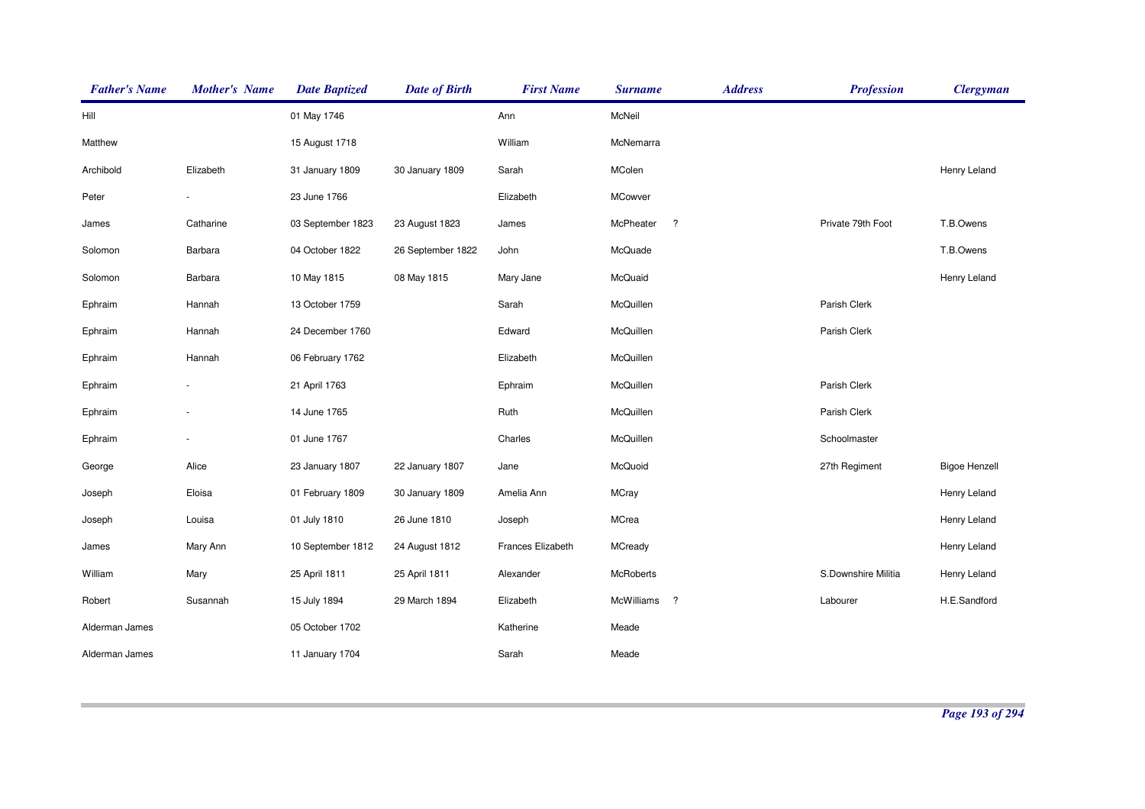| <b>Father's Name</b> | <b>Mother's Name</b> | <b>Date Baptized</b> | <b>Date of Birth</b> | <b>First Name</b> | <b>Surname</b>          | <b>Address</b> | <b>Profession</b>   | <b>Clergyman</b>     |
|----------------------|----------------------|----------------------|----------------------|-------------------|-------------------------|----------------|---------------------|----------------------|
| Hill                 |                      | 01 May 1746          |                      | Ann               | McNeil                  |                |                     |                      |
| Matthew              |                      | 15 August 1718       |                      | William           | McNemarra               |                |                     |                      |
| Archibold            | Elizabeth            | 31 January 1809      | 30 January 1809      | Sarah             | MColen                  |                |                     | Henry Leland         |
| Peter                |                      | 23 June 1766         |                      | Elizabeth         | MCowver                 |                |                     |                      |
| James                | Catharine            | 03 September 1823    | 23 August 1823       | James             | $\cdot$<br>McPheater    |                | Private 79th Foot   | T.B.Owens            |
| Solomon              | Barbara              | 04 October 1822      | 26 September 1822    | John              | McQuade                 |                |                     | T.B.Owens            |
| Solomon              | Barbara              | 10 May 1815          | 08 May 1815          | Mary Jane         | McQuaid                 |                |                     | Henry Leland         |
| Ephraim              | Hannah               | 13 October 1759      |                      | Sarah             | McQuillen               |                | Parish Clerk        |                      |
| Ephraim              | Hannah               | 24 December 1760     |                      | Edward            | McQuillen               |                | Parish Clerk        |                      |
| Ephraim              | Hannah               | 06 February 1762     |                      | Elizabeth         | McQuillen               |                |                     |                      |
| Ephraim              |                      | 21 April 1763        |                      | Ephraim           | McQuillen               |                | Parish Clerk        |                      |
| Ephraim              |                      | 14 June 1765         |                      | Ruth              | McQuillen               |                | Parish Clerk        |                      |
| Ephraim              |                      | 01 June 1767         |                      | Charles           | McQuillen               |                | Schoolmaster        |                      |
| George               | Alice                | 23 January 1807      | 22 January 1807      | Jane              | McQuoid                 |                | 27th Regiment       | <b>Bigoe Henzell</b> |
| Joseph               | Eloisa               | 01 February 1809     | 30 January 1809      | Amelia Ann        | <b>MCray</b>            |                |                     | Henry Leland         |
| Joseph               | Louisa               | 01 July 1810         | 26 June 1810         | Joseph            | MCrea                   |                |                     | Henry Leland         |
| James                | Mary Ann             | 10 September 1812    | 24 August 1812       | Frances Elizabeth | MCready                 |                |                     | Henry Leland         |
| William              | Mary                 | 25 April 1811        | 25 April 1811        | Alexander         | McRoberts               |                | S.Downshire Militia | Henry Leland         |
| Robert               | Susannah             | 15 July 1894         | 29 March 1894        | Elizabeth         | $\cdot$ ?<br>McWilliams |                | Labourer            | H.E.Sandford         |
| Alderman James       |                      | 05 October 1702      |                      | Katherine         | Meade                   |                |                     |                      |
| Alderman James       |                      | 11 January 1704      |                      | Sarah             | Meade                   |                |                     |                      |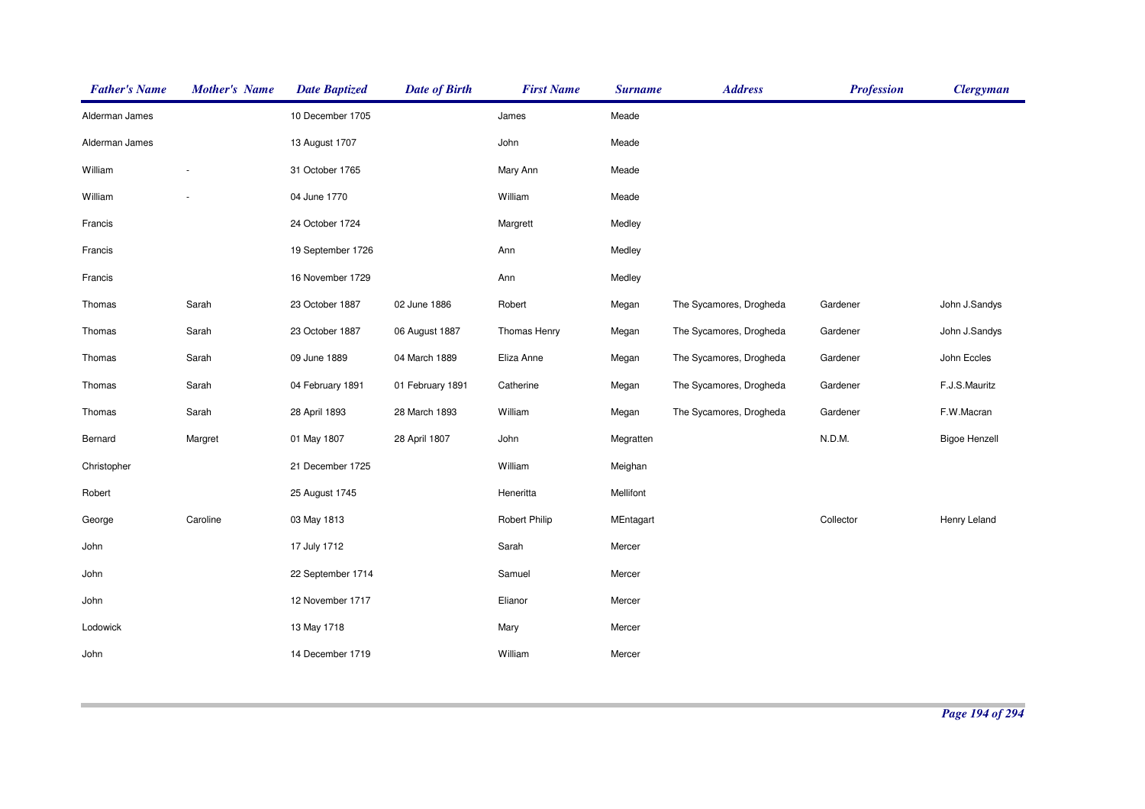| <b>Father's Name</b> | <b>Mother's Name</b>     | <b>Date Baptized</b> | <b>Date of Birth</b> | <b>First Name</b> | <b>Surname</b> | <b>Address</b>          | <b>Profession</b> | <b>Clergyman</b>     |
|----------------------|--------------------------|----------------------|----------------------|-------------------|----------------|-------------------------|-------------------|----------------------|
| Alderman James       |                          | 10 December 1705     |                      | James             | Meade          |                         |                   |                      |
| Alderman James       |                          | 13 August 1707       |                      | John              | Meade          |                         |                   |                      |
| William              | $\overline{\phantom{a}}$ | 31 October 1765      |                      | Mary Ann          | Meade          |                         |                   |                      |
| William              | $\overline{\phantom{a}}$ | 04 June 1770         |                      | William           | Meade          |                         |                   |                      |
| Francis              |                          | 24 October 1724      |                      | Margrett          | Medley         |                         |                   |                      |
| Francis              |                          | 19 September 1726    |                      | Ann               | Medley         |                         |                   |                      |
| Francis              |                          | 16 November 1729     |                      | Ann               | Medley         |                         |                   |                      |
| Thomas               | Sarah                    | 23 October 1887      | 02 June 1886         | Robert            | Megan          | The Sycamores, Drogheda | Gardener          | John J.Sandys        |
| Thomas               | Sarah                    | 23 October 1887      | 06 August 1887       | Thomas Henry      | Megan          | The Sycamores, Drogheda | Gardener          | John J.Sandys        |
| Thomas               | Sarah                    | 09 June 1889         | 04 March 1889        | Eliza Anne        | Megan          | The Sycamores, Drogheda | Gardener          | John Eccles          |
| Thomas               | Sarah                    | 04 February 1891     | 01 February 1891     | Catherine         | Megan          | The Sycamores, Drogheda | Gardener          | F.J.S.Mauritz        |
| Thomas               | Sarah                    | 28 April 1893        | 28 March 1893        | William           | Megan          | The Sycamores, Drogheda | Gardener          | F.W.Macran           |
| Bernard              | Margret                  | 01 May 1807          | 28 April 1807        | John              | Megratten      |                         | N.D.M.            | <b>Bigoe Henzell</b> |
| Christopher          |                          | 21 December 1725     |                      | William           | Meighan        |                         |                   |                      |
| Robert               |                          | 25 August 1745       |                      | Heneritta         | Mellifont      |                         |                   |                      |
| George               | Caroline                 | 03 May 1813          |                      | Robert Philip     | MEntagart      |                         | Collector         | Henry Leland         |
| John                 |                          | 17 July 1712         |                      | Sarah             | Mercer         |                         |                   |                      |
| John                 |                          | 22 September 1714    |                      | Samuel            | Mercer         |                         |                   |                      |
| John                 |                          | 12 November 1717     |                      | Elianor           | Mercer         |                         |                   |                      |
| Lodowick             |                          | 13 May 1718          |                      | Mary              | Mercer         |                         |                   |                      |
| John                 |                          | 14 December 1719     |                      | William           | Mercer         |                         |                   |                      |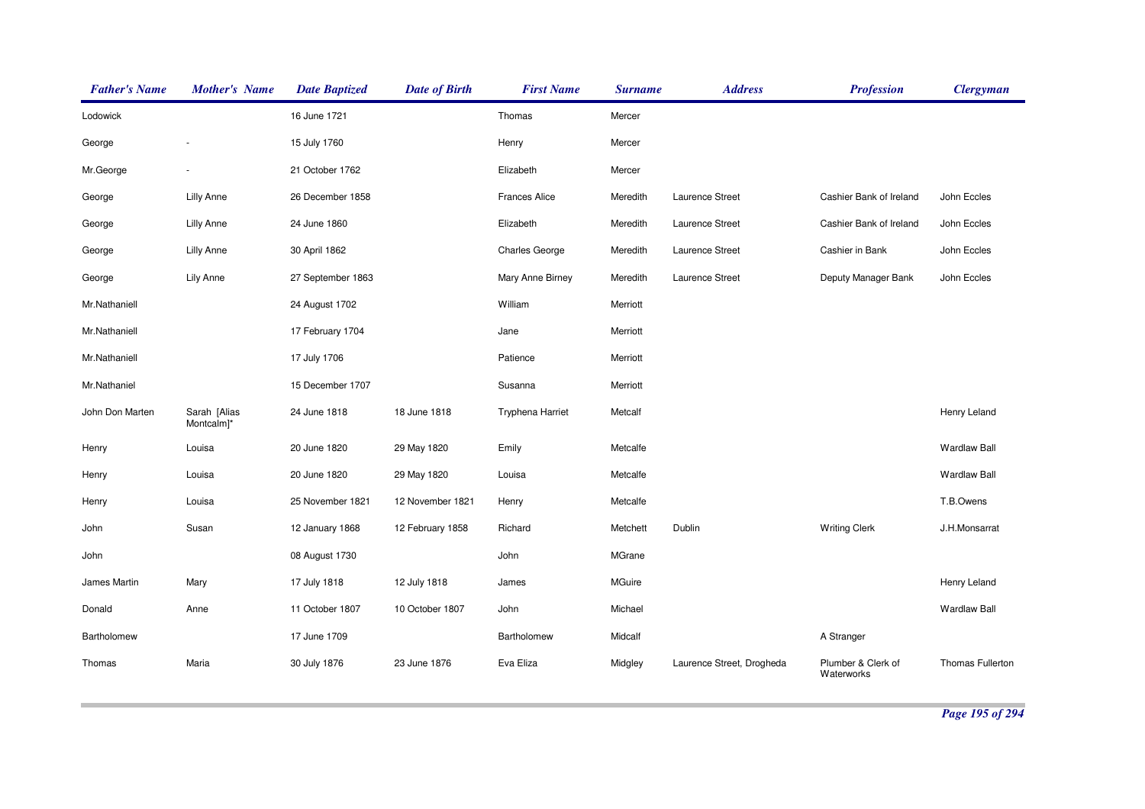| <b>Father's Name</b> | <b>Mother's Name</b>       | <b>Date Baptized</b> | <b>Date of Birth</b> | <b>First Name</b>       | <b>Surname</b> | <b>Address</b>            | <b>Profession</b>                | <b>Clergyman</b>    |
|----------------------|----------------------------|----------------------|----------------------|-------------------------|----------------|---------------------------|----------------------------------|---------------------|
| Lodowick             |                            | 16 June 1721         |                      | Thomas                  | Mercer         |                           |                                  |                     |
| George               |                            | 15 July 1760         |                      | Henry                   | Mercer         |                           |                                  |                     |
| Mr.George            |                            | 21 October 1762      |                      | Elizabeth               | Mercer         |                           |                                  |                     |
| George               | Lilly Anne                 | 26 December 1858     |                      | <b>Frances Alice</b>    | Meredith       | Laurence Street           | Cashier Bank of Ireland          | John Eccles         |
| George               | <b>Lilly Anne</b>          | 24 June 1860         |                      | Elizabeth               | Meredith       | Laurence Street           | Cashier Bank of Ireland          | John Eccles         |
| George               | Lilly Anne                 | 30 April 1862        |                      | <b>Charles George</b>   | Meredith       | Laurence Street           | Cashier in Bank                  | John Eccles         |
| George               | Lily Anne                  | 27 September 1863    |                      | Mary Anne Birney        | Meredith       | Laurence Street           | Deputy Manager Bank              | John Eccles         |
| Mr.Nathaniell        |                            | 24 August 1702       |                      | William                 | Merriott       |                           |                                  |                     |
| Mr.Nathaniell        |                            | 17 February 1704     |                      | Jane                    | Merriott       |                           |                                  |                     |
| Mr.Nathaniell        |                            | 17 July 1706         |                      | Patience                | Merriott       |                           |                                  |                     |
| Mr.Nathaniel         |                            | 15 December 1707     |                      | Susanna                 | Merriott       |                           |                                  |                     |
| John Don Marten      | Sarah [Alias<br>Montcalm]* | 24 June 1818         | 18 June 1818         | <b>Tryphena Harriet</b> | Metcalf        |                           |                                  | Henry Leland        |
| Henry                | Louisa                     | 20 June 1820         | 29 May 1820          | Emily                   | Metcalfe       |                           |                                  | <b>Wardlaw Ball</b> |
| Henry                | Louisa                     | 20 June 1820         | 29 May 1820          | Louisa                  | Metcalfe       |                           |                                  | <b>Wardlaw Ball</b> |
| Henry                | Louisa                     | 25 November 1821     | 12 November 1821     | Henry                   | Metcalfe       |                           |                                  | T.B.Owens           |
| John                 | Susan                      | 12 January 1868      | 12 February 1858     | Richard                 | Metchett       | Dublin                    | <b>Writing Clerk</b>             | J.H.Monsarrat       |
| John                 |                            | 08 August 1730       |                      | John                    | MGrane         |                           |                                  |                     |
| James Martin         | Mary                       | 17 July 1818         | 12 July 1818         | James                   | MGuire         |                           |                                  | Henry Leland        |
| Donald               | Anne                       | 11 October 1807      | 10 October 1807      | John                    | Michael        |                           |                                  | <b>Wardlaw Ball</b> |
| Bartholomew          |                            | 17 June 1709         |                      | Bartholomew             | Midcalf        |                           | A Stranger                       |                     |
| Thomas               | Maria                      | 30 July 1876         | 23 June 1876         | Eva Eliza               | Midgley        | Laurence Street, Drogheda | Plumber & Clerk of<br>Waterworks | Thomas Fullerton    |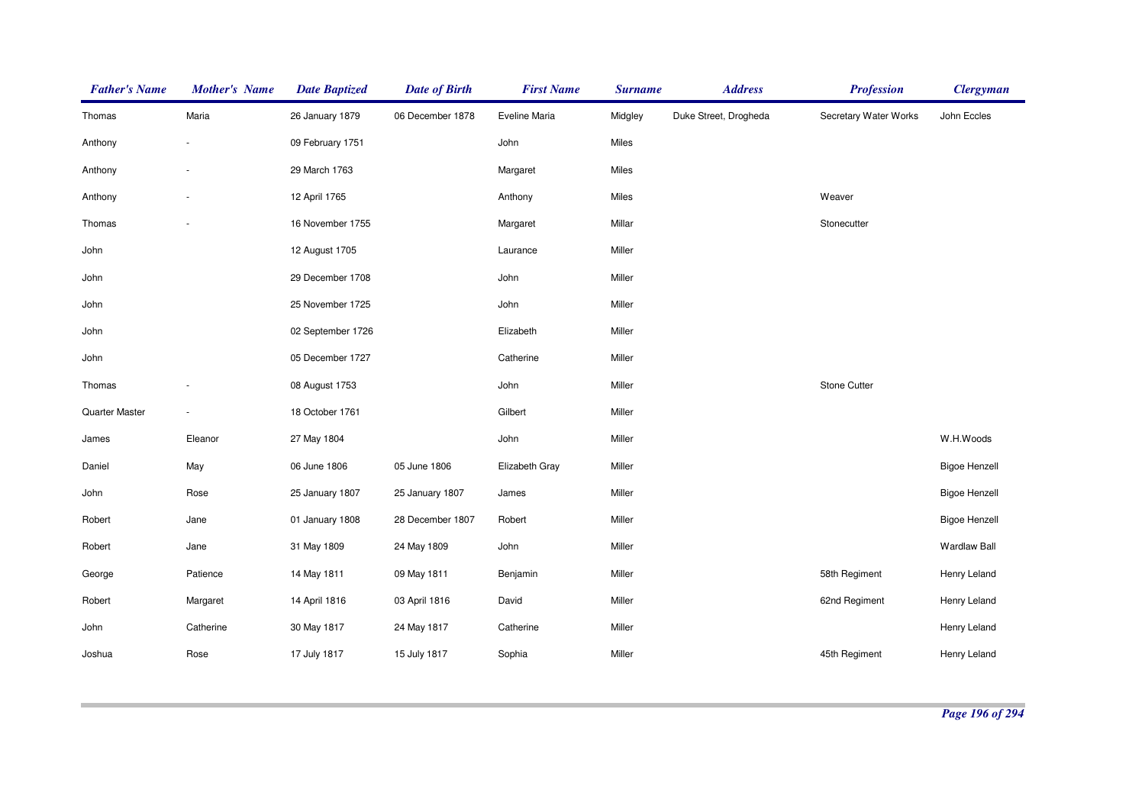| <b>Father's Name</b> | <b>Mother's Name</b> | <b>Date Baptized</b> | <b>Date of Birth</b> | <b>First Name</b> | <b>Surname</b> | <b>Address</b>        | <b>Profession</b>     | <b>Clergyman</b>     |
|----------------------|----------------------|----------------------|----------------------|-------------------|----------------|-----------------------|-----------------------|----------------------|
| Thomas               | Maria                | 26 January 1879      | 06 December 1878     | Eveline Maria     | Midgley        | Duke Street, Drogheda | Secretary Water Works | John Eccles          |
| Anthony              |                      | 09 February 1751     |                      | John              | Miles          |                       |                       |                      |
| Anthony              |                      | 29 March 1763        |                      | Margaret          | Miles          |                       |                       |                      |
| Anthony              |                      | 12 April 1765        |                      | Anthony           | Miles          |                       | Weaver                |                      |
| Thomas               |                      | 16 November 1755     |                      | Margaret          | Millar         |                       | Stonecutter           |                      |
| John                 |                      | 12 August 1705       |                      | Laurance          | Miller         |                       |                       |                      |
| John                 |                      | 29 December 1708     |                      | John              | Miller         |                       |                       |                      |
| John                 |                      | 25 November 1725     |                      | John              | Miller         |                       |                       |                      |
| John                 |                      | 02 September 1726    |                      | Elizabeth         | Miller         |                       |                       |                      |
| John                 |                      | 05 December 1727     |                      | Catherine         | Miller         |                       |                       |                      |
| Thomas               |                      | 08 August 1753       |                      | John              | Miller         |                       | Stone Cutter          |                      |
| Quarter Master       |                      | 18 October 1761      |                      | Gilbert           | Miller         |                       |                       |                      |
| James                | Eleanor              | 27 May 1804          |                      | John              | Miller         |                       |                       | W.H.Woods            |
| Daniel               | May                  | 06 June 1806         | 05 June 1806         | Elizabeth Gray    | Miller         |                       |                       | <b>Bigoe Henzell</b> |
| John                 | Rose                 | 25 January 1807      | 25 January 1807      | James             | Miller         |                       |                       | <b>Bigoe Henzell</b> |
| Robert               | Jane                 | 01 January 1808      | 28 December 1807     | Robert            | Miller         |                       |                       | <b>Bigoe Henzell</b> |
| Robert               | Jane                 | 31 May 1809          | 24 May 1809          | John              | Miller         |                       |                       | <b>Wardlaw Ball</b>  |
| George               | Patience             | 14 May 1811          | 09 May 1811          | Benjamin          | Miller         |                       | 58th Regiment         | Henry Leland         |
| Robert               | Margaret             | 14 April 1816        | 03 April 1816        | David             | Miller         |                       | 62nd Regiment         | Henry Leland         |
| John                 | Catherine            | 30 May 1817          | 24 May 1817          | Catherine         | Miller         |                       |                       | Henry Leland         |
| Joshua               | Rose                 | 17 July 1817         | 15 July 1817         | Sophia            | Miller         |                       | 45th Regiment         | Henry Leland         |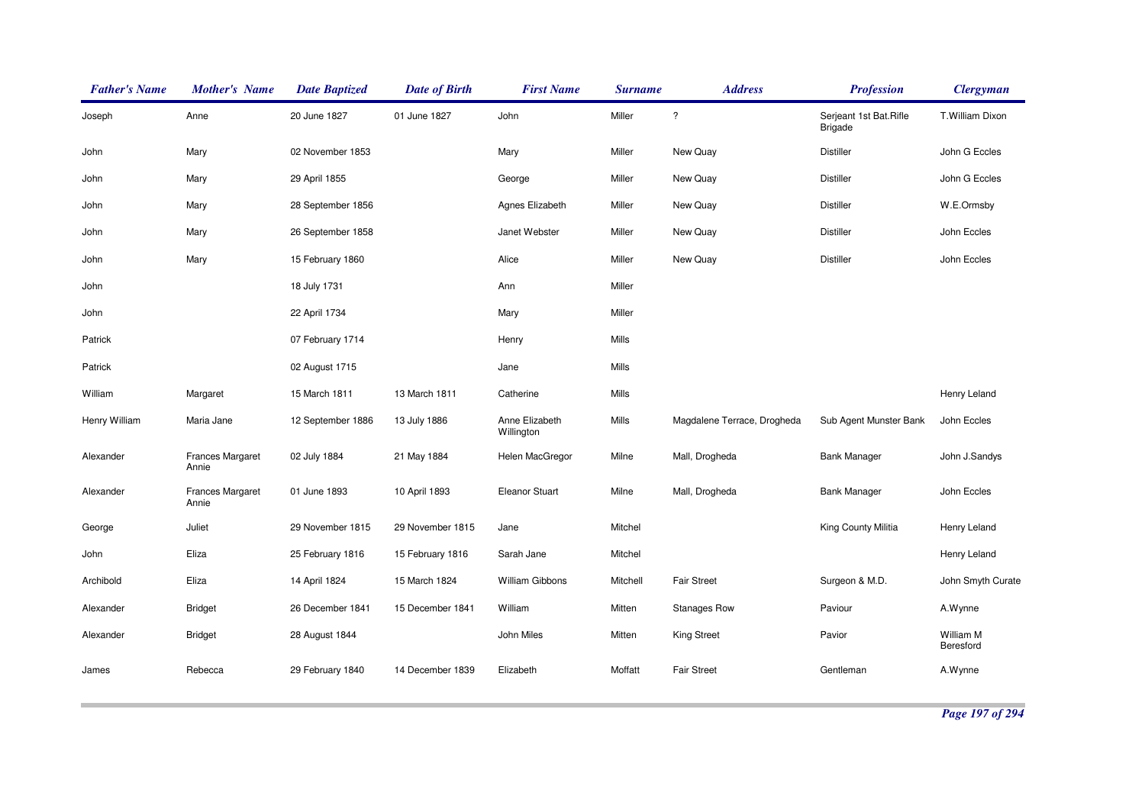| <b>Father's Name</b> | <b>Mother's Name</b>             | <b>Date Baptized</b> | <b>Date of Birth</b> | <b>First Name</b>            | <b>Surname</b> | <b>Address</b>              | <b>Profession</b>                        | <b>Clergyman</b>       |
|----------------------|----------------------------------|----------------------|----------------------|------------------------------|----------------|-----------------------------|------------------------------------------|------------------------|
| Joseph               | Anne                             | 20 June 1827         | 01 June 1827         | John                         | Miller         | $\overline{\cdot}$          | Serjeant 1st Bat.Rifle<br><b>Brigade</b> | T.William Dixon        |
| John                 | Mary                             | 02 November 1853     |                      | Mary                         | Miller         | New Quay                    | <b>Distiller</b>                         | John G Eccles          |
| John                 | Mary                             | 29 April 1855        |                      | George                       | Miller         | New Quay                    | <b>Distiller</b>                         | John G Eccles          |
| John                 | Mary                             | 28 September 1856    |                      | Agnes Elizabeth              | Miller         | New Quay                    | <b>Distiller</b>                         | W.E.Ormsby             |
| John                 | Mary                             | 26 September 1858    |                      | Janet Webster                | Miller         | New Quay                    | <b>Distiller</b>                         | John Eccles            |
| John                 | Mary                             | 15 February 1860     |                      | Alice                        | Miller         | New Quay                    | <b>Distiller</b>                         | John Eccles            |
| John                 |                                  | 18 July 1731         |                      | Ann                          | Miller         |                             |                                          |                        |
| John                 |                                  | 22 April 1734        |                      | Mary                         | Miller         |                             |                                          |                        |
| Patrick              |                                  | 07 February 1714     |                      | Henry                        | Mills          |                             |                                          |                        |
| Patrick              |                                  | 02 August 1715       |                      | Jane                         | Mills          |                             |                                          |                        |
| William              | Margaret                         | 15 March 1811        | 13 March 1811        | Catherine                    | Mills          |                             |                                          | Henry Leland           |
| Henry William        | Maria Jane                       | 12 September 1886    | 13 July 1886         | Anne Elizabeth<br>Willington | Mills          | Magdalene Terrace, Drogheda | Sub Agent Munster Bank                   | John Eccles            |
| Alexander            | <b>Frances Margaret</b><br>Annie | 02 July 1884         | 21 May 1884          | Helen MacGregor              | Milne          | Mall, Drogheda              | <b>Bank Manager</b>                      | John J.Sandys          |
| Alexander            | <b>Frances Margaret</b><br>Annie | 01 June 1893         | 10 April 1893        | <b>Eleanor Stuart</b>        | Milne          | Mall, Drogheda              | <b>Bank Manager</b>                      | John Eccles            |
| George               | Juliet                           | 29 November 1815     | 29 November 1815     | Jane                         | Mitchel        |                             | King County Militia                      | Henry Leland           |
| John                 | Eliza                            | 25 February 1816     | 15 February 1816     | Sarah Jane                   | Mitchel        |                             |                                          | Henry Leland           |
| Archibold            | Eliza                            | 14 April 1824        | 15 March 1824        | William Gibbons              | Mitchell       | <b>Fair Street</b>          | Surgeon & M.D.                           | John Smyth Curate      |
| Alexander            | <b>Bridget</b>                   | 26 December 1841     | 15 December 1841     | William                      | Mitten         | <b>Stanages Row</b>         | Paviour                                  | A.Wynne                |
| Alexander            | <b>Bridget</b>                   | 28 August 1844       |                      | John Miles                   | Mitten         | <b>King Street</b>          | Pavior                                   | William M<br>Beresford |
| James                | Rebecca                          | 29 February 1840     | 14 December 1839     | Elizabeth                    | Moffatt        | <b>Fair Street</b>          | Gentleman                                | A.Wynne                |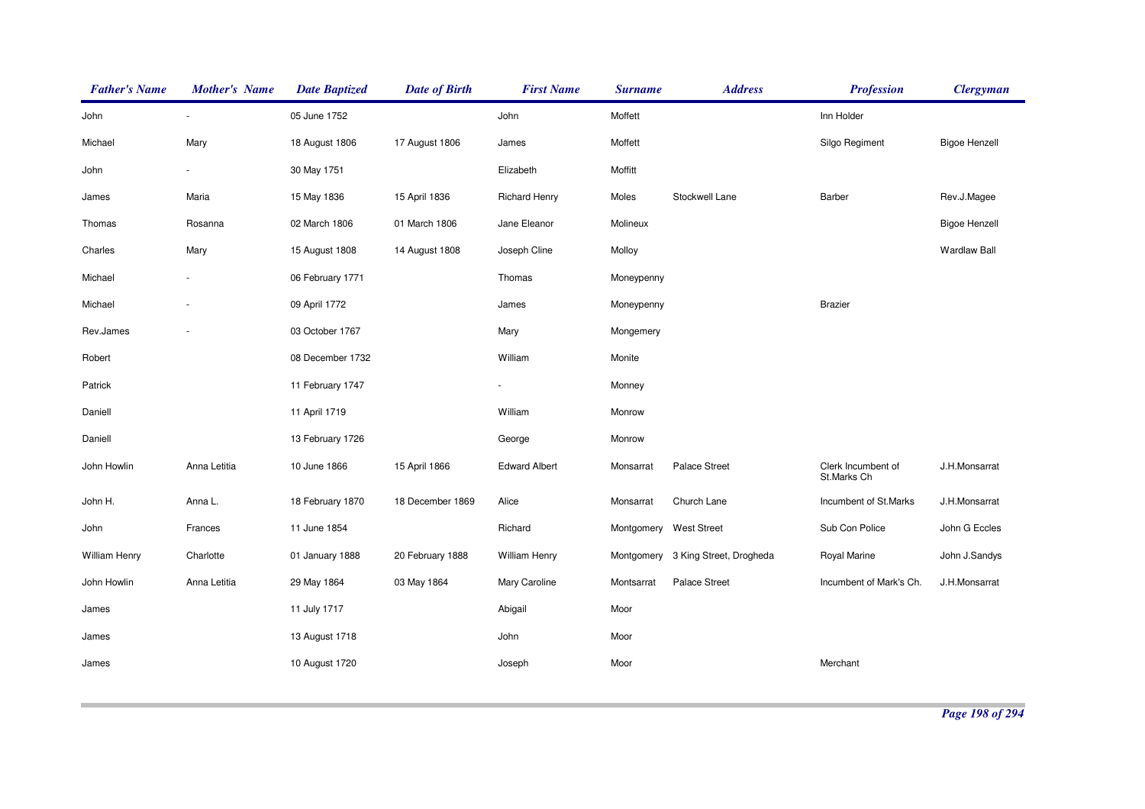| <b>Father's Name</b> | <b>Mother's Name</b> | <b>Date Baptized</b> | <b>Date of Birth</b> | <b>First Name</b>    | <b>Surname</b> | <b>Address</b>                     | <b>Profession</b>                 | <b>Clergyman</b>     |
|----------------------|----------------------|----------------------|----------------------|----------------------|----------------|------------------------------------|-----------------------------------|----------------------|
| John                 |                      | 05 June 1752         |                      | John                 | Moffett        |                                    | Inn Holder                        |                      |
| Michael              | Mary                 | 18 August 1806       | 17 August 1806       | James                | Moffett        |                                    | Silgo Regiment                    | <b>Bigoe Henzell</b> |
| John                 |                      | 30 May 1751          |                      | Elizabeth            | Moffitt        |                                    |                                   |                      |
| James                | Maria                | 15 May 1836          | 15 April 1836        | <b>Richard Henry</b> | Moles          | Stockwell Lane                     | Barber                            | Rev.J.Magee          |
| Thomas               | Rosanna              | 02 March 1806        | 01 March 1806        | Jane Eleanor         | Molineux       |                                    |                                   | <b>Bigoe Henzell</b> |
| Charles              | Mary                 | 15 August 1808       | 14 August 1808       | Joseph Cline         | Molloy         |                                    |                                   | <b>Wardlaw Ball</b>  |
| Michael              |                      | 06 February 1771     |                      | Thomas               | Moneypenny     |                                    |                                   |                      |
| Michael              |                      | 09 April 1772        |                      | James                | Moneypenny     |                                    | <b>Brazier</b>                    |                      |
| Rev.James            |                      | 03 October 1767      |                      | Mary                 | Mongemery      |                                    |                                   |                      |
| Robert               |                      | 08 December 1732     |                      | William              | Monite         |                                    |                                   |                      |
| Patrick              |                      | 11 February 1747     |                      |                      | Monney         |                                    |                                   |                      |
| Daniell              |                      | 11 April 1719        |                      | William              | Monrow         |                                    |                                   |                      |
| Daniell              |                      | 13 February 1726     |                      | George               | Monrow         |                                    |                                   |                      |
| John Howlin          | Anna Letitia         | 10 June 1866         | 15 April 1866        | <b>Edward Albert</b> | Monsarrat      | <b>Palace Street</b>               | Clerk Incumbent of<br>St.Marks Ch | J.H.Monsarrat        |
| John H.              | Anna L.              | 18 February 1870     | 18 December 1869     | Alice                | Monsarrat      | Church Lane                        | Incumbent of St.Marks             | J.H.Monsarrat        |
| John                 | Frances              | 11 June 1854         |                      | Richard              | Montgomery     | <b>West Street</b>                 | Sub Con Police                    | John G Eccles        |
| William Henry        | Charlotte            | 01 January 1888      | 20 February 1888     | <b>William Henry</b> |                | Montgomery 3 King Street, Drogheda | Royal Marine                      | John J.Sandys        |
| John Howlin          | Anna Letitia         | 29 May 1864          | 03 May 1864          | Mary Caroline        | Montsarrat     | Palace Street                      | Incumbent of Mark's Ch.           | J.H.Monsarrat        |
| James                |                      | 11 July 1717         |                      | Abigail              | Moor           |                                    |                                   |                      |
| James                |                      | 13 August 1718       |                      | John                 | Moor           |                                    |                                   |                      |
| James                |                      | 10 August 1720       |                      | Joseph               | Moor           |                                    | Merchant                          |                      |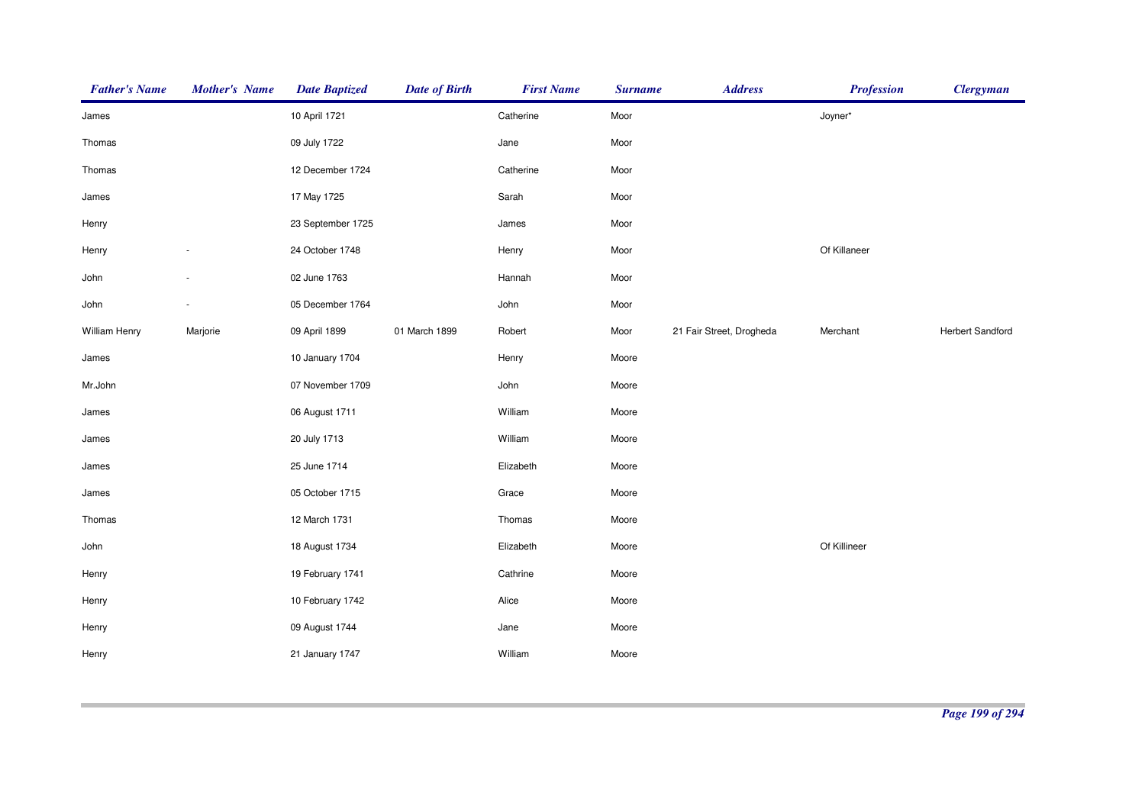| <b>Father's Name</b> | <b>Mother's Name</b>     | <b>Date Baptized</b> | <b>Date of Birth</b> | <b>First Name</b> | <b>Surname</b> | <b>Address</b>           | <b>Profession</b> | <b>Clergyman</b>        |
|----------------------|--------------------------|----------------------|----------------------|-------------------|----------------|--------------------------|-------------------|-------------------------|
| James                |                          | 10 April 1721        |                      | Catherine         | Moor           |                          | Joyner*           |                         |
| Thomas               |                          | 09 July 1722         |                      | Jane              | Moor           |                          |                   |                         |
| Thomas               |                          | 12 December 1724     |                      | Catherine         | Moor           |                          |                   |                         |
| James                |                          | 17 May 1725          |                      | Sarah             | Moor           |                          |                   |                         |
| Henry                |                          | 23 September 1725    |                      | James             | Moor           |                          |                   |                         |
| Henry                |                          | 24 October 1748      |                      | Henry             | Moor           |                          | Of Killaneer      |                         |
| John                 |                          | 02 June 1763         |                      | Hannah            | Moor           |                          |                   |                         |
| John                 | $\overline{\phantom{0}}$ | 05 December 1764     |                      | John              | Moor           |                          |                   |                         |
| William Henry        | Marjorie                 | 09 April 1899        | 01 March 1899        | Robert            | Moor           | 21 Fair Street, Drogheda | Merchant          | <b>Herbert Sandford</b> |
| James                |                          | 10 January 1704      |                      | Henry             | Moore          |                          |                   |                         |
| Mr.John              |                          | 07 November 1709     |                      | John              | Moore          |                          |                   |                         |
| James                |                          | 06 August 1711       |                      | William           | Moore          |                          |                   |                         |
| James                |                          | 20 July 1713         |                      | William           | Moore          |                          |                   |                         |
| James                |                          | 25 June 1714         |                      | Elizabeth         | Moore          |                          |                   |                         |
| James                |                          | 05 October 1715      |                      | Grace             | Moore          |                          |                   |                         |
| Thomas               |                          | 12 March 1731        |                      | Thomas            | Moore          |                          |                   |                         |
| John                 |                          | 18 August 1734       |                      | Elizabeth         | Moore          |                          | Of Killineer      |                         |
| Henry                |                          | 19 February 1741     |                      | Cathrine          | Moore          |                          |                   |                         |
| Henry                |                          | 10 February 1742     |                      | Alice             | Moore          |                          |                   |                         |
| Henry                |                          | 09 August 1744       |                      | Jane              | Moore          |                          |                   |                         |
| Henry                |                          | 21 January 1747      |                      | William           | Moore          |                          |                   |                         |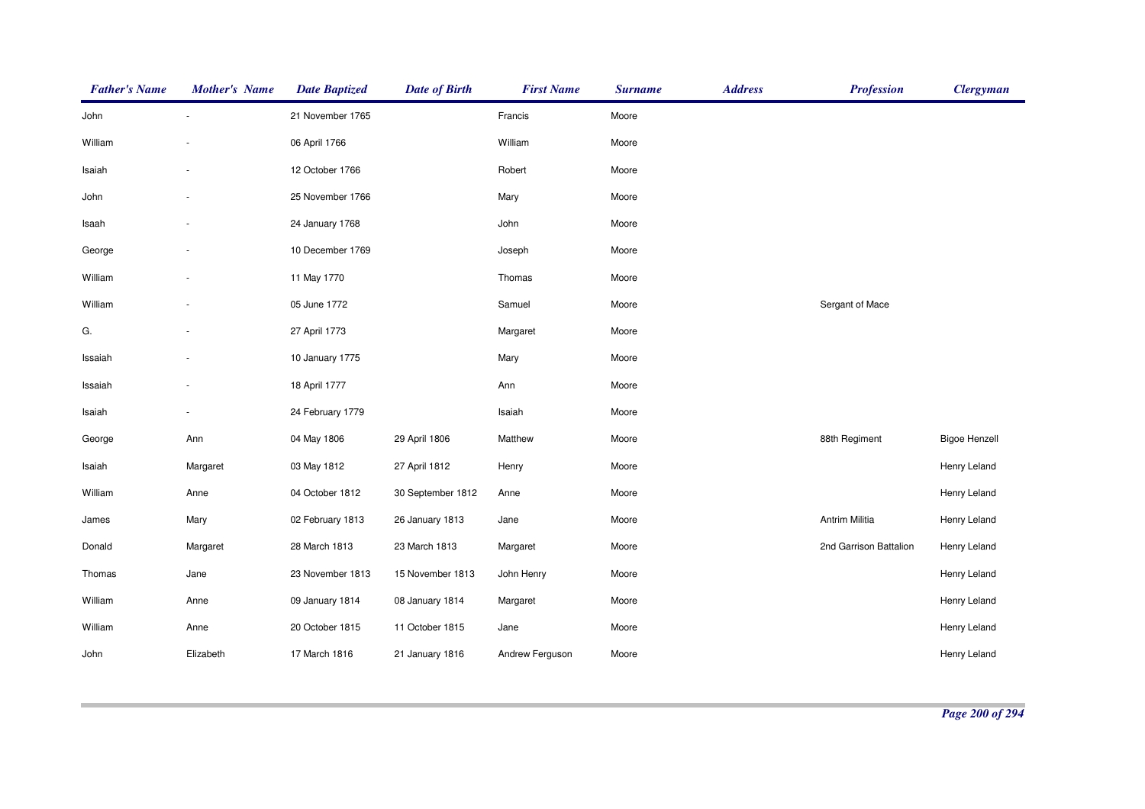| <b>Father's Name</b> | <b>Mother's Name</b> | <b>Date Baptized</b> | <b>Date of Birth</b> | <b>First Name</b> | <b>Surname</b> | <b>Address</b> | <b>Profession</b>      | <b>Clergyman</b>     |
|----------------------|----------------------|----------------------|----------------------|-------------------|----------------|----------------|------------------------|----------------------|
| John                 |                      | 21 November 1765     |                      | Francis           | Moore          |                |                        |                      |
| William              |                      | 06 April 1766        |                      | William           | Moore          |                |                        |                      |
| Isaiah               |                      | 12 October 1766      |                      | Robert            | Moore          |                |                        |                      |
| John                 |                      | 25 November 1766     |                      | Mary              | Moore          |                |                        |                      |
| Isaah                |                      | 24 January 1768      |                      | John              | Moore          |                |                        |                      |
| George               |                      | 10 December 1769     |                      | Joseph            | Moore          |                |                        |                      |
| William              |                      | 11 May 1770          |                      | Thomas            | Moore          |                |                        |                      |
| William              |                      | 05 June 1772         |                      | Samuel            | Moore          |                | Sergant of Mace        |                      |
| G.                   |                      | 27 April 1773        |                      | Margaret          | Moore          |                |                        |                      |
| Issaiah              |                      | 10 January 1775      |                      | Mary              | Moore          |                |                        |                      |
| Issaiah              |                      | 18 April 1777        |                      | Ann               | Moore          |                |                        |                      |
| Isaiah               |                      | 24 February 1779     |                      | Isaiah            | Moore          |                |                        |                      |
| George               | Ann                  | 04 May 1806          | 29 April 1806        | Matthew           | Moore          |                | 88th Regiment          | <b>Bigoe Henzell</b> |
| Isaiah               | Margaret             | 03 May 1812          | 27 April 1812        | Henry             | Moore          |                |                        | Henry Leland         |
| William              | Anne                 | 04 October 1812      | 30 September 1812    | Anne              | Moore          |                |                        | Henry Leland         |
| James                | Mary                 | 02 February 1813     | 26 January 1813      | Jane              | Moore          |                | Antrim Militia         | Henry Leland         |
| Donald               | Margaret             | 28 March 1813        | 23 March 1813        | Margaret          | Moore          |                | 2nd Garrison Battalion | Henry Leland         |
| Thomas               | Jane                 | 23 November 1813     | 15 November 1813     | John Henry        | Moore          |                |                        | Henry Leland         |
| William              | Anne                 | 09 January 1814      | 08 January 1814      | Margaret          | Moore          |                |                        | Henry Leland         |
| William              | Anne                 | 20 October 1815      | 11 October 1815      | Jane              | Moore          |                |                        | Henry Leland         |
| John                 | Elizabeth            | 17 March 1816        | 21 January 1816      | Andrew Ferguson   | Moore          |                |                        | Henry Leland         |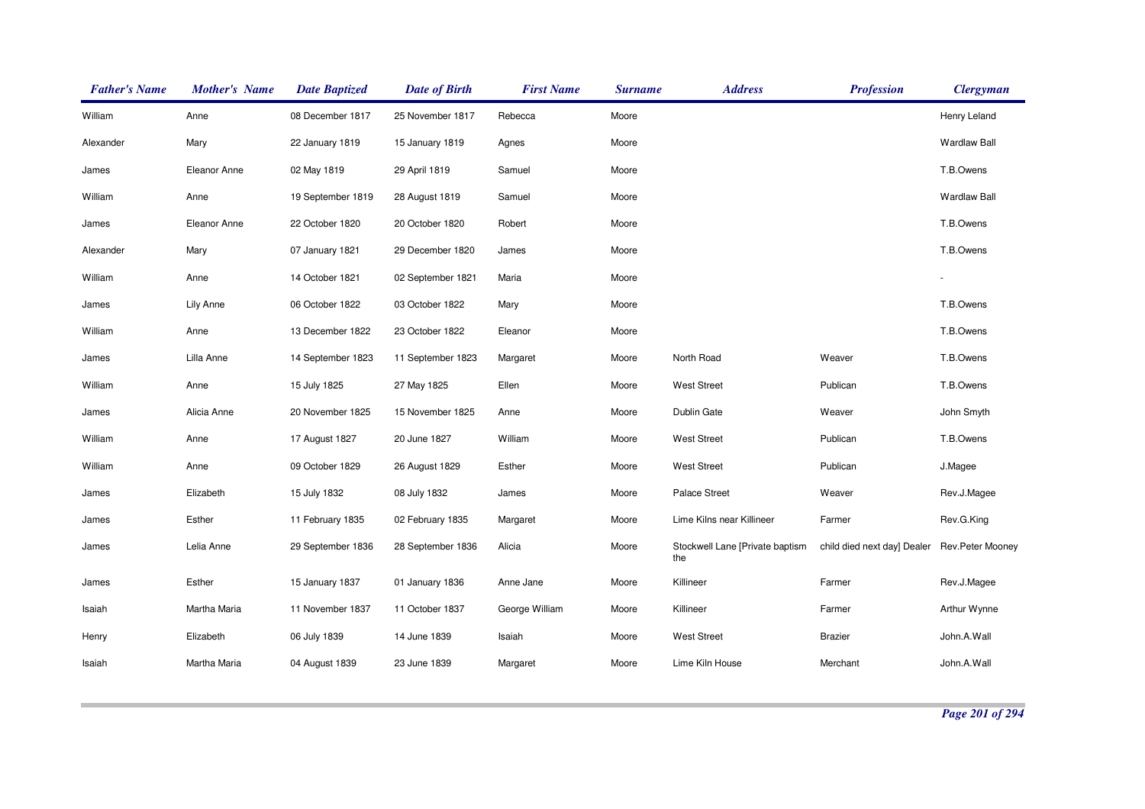| <b>Father's Name</b> | <b>Mother's Name</b> | <b>Date Baptized</b> | <b>Date of Birth</b> | <b>First Name</b> | <b>Surname</b> | <b>Address</b>                         | <b>Profession</b>           | <b>Clergyman</b>    |
|----------------------|----------------------|----------------------|----------------------|-------------------|----------------|----------------------------------------|-----------------------------|---------------------|
| William              | Anne                 | 08 December 1817     | 25 November 1817     | Rebecca           | Moore          |                                        |                             | Henry Leland        |
| Alexander            | Mary                 | 22 January 1819      | 15 January 1819      | Agnes             | Moore          |                                        |                             | <b>Wardlaw Ball</b> |
| James                | Eleanor Anne         | 02 May 1819          | 29 April 1819        | Samuel            | Moore          |                                        |                             | T.B.Owens           |
| William              | Anne                 | 19 September 1819    | 28 August 1819       | Samuel            | Moore          |                                        |                             | <b>Wardlaw Ball</b> |
| James                | Eleanor Anne         | 22 October 1820      | 20 October 1820      | Robert            | Moore          |                                        |                             | T.B.Owens           |
| Alexander            | Mary                 | 07 January 1821      | 29 December 1820     | James             | Moore          |                                        |                             | T.B.Owens           |
| William              | Anne                 | 14 October 1821      | 02 September 1821    | Maria             | Moore          |                                        |                             |                     |
| James                | <b>Lily Anne</b>     | 06 October 1822      | 03 October 1822      | Mary              | Moore          |                                        |                             | T.B.Owens           |
| William              | Anne                 | 13 December 1822     | 23 October 1822      | Eleanor           | Moore          |                                        |                             | T.B.Owens           |
| James                | Lilla Anne           | 14 September 1823    | 11 September 1823    | Margaret          | Moore          | North Road                             | Weaver                      | T.B.Owens           |
| William              | Anne                 | 15 July 1825         | 27 May 1825          | Ellen             | Moore          | <b>West Street</b>                     | Publican                    | T.B.Owens           |
| James                | Alicia Anne          | 20 November 1825     | 15 November 1825     | Anne              | Moore          | Dublin Gate                            | Weaver                      | John Smyth          |
| William              | Anne                 | 17 August 1827       | 20 June 1827         | William           | Moore          | <b>West Street</b>                     | Publican                    | T.B.Owens           |
| William              | Anne                 | 09 October 1829      | 26 August 1829       | Esther            | Moore          | <b>West Street</b>                     | Publican                    | J.Magee             |
| James                | Elizabeth            | 15 July 1832         | 08 July 1832         | James             | Moore          | Palace Street                          | Weaver                      | Rev.J.Magee         |
| James                | Esther               | 11 February 1835     | 02 February 1835     | Margaret          | Moore          | Lime Kilns near Killineer              | Farmer                      | Rev.G.King          |
| James                | Lelia Anne           | 29 September 1836    | 28 September 1836    | Alicia            | Moore          | Stockwell Lane [Private baptism<br>the | child died next day] Dealer | Rev.Peter Mooney    |
| James                | Esther               | 15 January 1837      | 01 January 1836      | Anne Jane         | Moore          | Killineer                              | Farmer                      | Rev.J.Magee         |
| Isaiah               | Martha Maria         | 11 November 1837     | 11 October 1837      | George William    | Moore          | Killineer                              | Farmer                      | Arthur Wynne        |
| Henry                | Elizabeth            | 06 July 1839         | 14 June 1839         | Isaiah            | Moore          | <b>West Street</b>                     | <b>Brazier</b>              | John.A.Wall         |
| Isaiah               | Martha Maria         | 04 August 1839       | 23 June 1839         | Margaret          | Moore          | Lime Kiln House                        | Merchant                    | John.A.Wall         |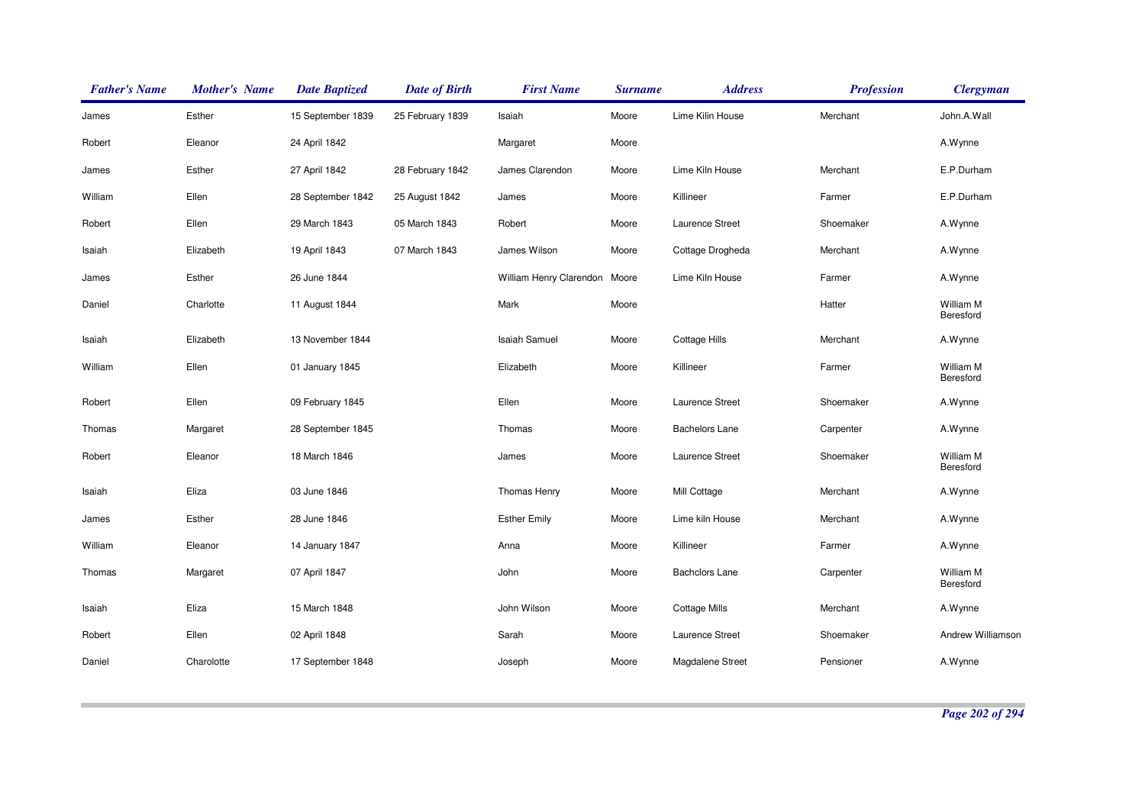| <b>Father's Name</b> | <b>Mother's Name</b> | <b>Date Baptized</b> | <b>Date of Birth</b> | <b>First Name</b>       | <b>Surname</b> | <b>Address</b>        | <b>Profession</b> | <b>Clergyman</b>       |
|----------------------|----------------------|----------------------|----------------------|-------------------------|----------------|-----------------------|-------------------|------------------------|
| James                | Esther               | 15 September 1839    | 25 February 1839     | Isaiah                  | Moore          | Lime Kilin House      | Merchant          | John.A.Wall            |
| Robert               | Eleanor              | 24 April 1842        |                      | Margaret                | Moore          |                       |                   | A.Wynne                |
| James                | Esther               | 27 April 1842        | 28 February 1842     | James Clarendon         | Moore          | Lime Kiln House       | Merchant          | E.P.Durham             |
| William              | Ellen                | 28 September 1842    | 25 August 1842       | James                   | Moore          | Killineer             | Farmer            | E.P.Durham             |
| Robert               | Ellen                | 29 March 1843        | 05 March 1843        | Robert                  | Moore          | Laurence Street       | Shoemaker         | A.Wynne                |
| Isaiah               | Elizabeth            | 19 April 1843        | 07 March 1843        | James Wilson            | Moore          | Cottage Drogheda      | Merchant          | A.Wynne                |
| James                | Esther               | 26 June 1844         |                      | William Henry Clarendon | Moore          | Lime Kiln House       | Farmer            | A.Wynne                |
| Daniel               | Charlotte            | 11 August 1844       |                      | Mark                    | Moore          |                       | Hatter            | William M<br>Beresford |
| Isaiah               | Elizabeth            | 13 November 1844     |                      | <b>Isaiah Samuel</b>    | Moore          | <b>Cottage Hills</b>  | Merchant          | A.Wynne                |
| William              | Ellen                | 01 January 1845      |                      | Elizabeth               | Moore          | Killineer             | Farmer            | William M<br>Beresford |
| Robert               | Ellen                | 09 February 1845     |                      | Ellen                   | Moore          | Laurence Street       | Shoemaker         | A.Wynne                |
| Thomas               | Margaret             | 28 September 1845    |                      | Thomas                  | Moore          | <b>Bachelors Lane</b> | Carpenter         | A.Wynne                |
| Robert               | Eleanor              | 18 March 1846        |                      | James                   | Moore          | Laurence Street       | Shoemaker         | William M<br>Beresford |
| Isaiah               | Eliza                | 03 June 1846         |                      | Thomas Henry            | Moore          | Mill Cottage          | Merchant          | A.Wynne                |
| James                | Esther               | 28 June 1846         |                      | <b>Esther Emily</b>     | Moore          | Lime kiln House       | Merchant          | A.Wynne                |
| William              | Eleanor              | 14 January 1847      |                      | Anna                    | Moore          | Killineer             | Farmer            | A.Wynne                |
| Thomas               | Margaret             | 07 April 1847        |                      | John                    | Moore          | <b>Bachclors Lane</b> | Carpenter         | William M<br>Beresford |
| Isaiah               | Eliza                | 15 March 1848        |                      | John Wilson             | Moore          | <b>Cottage Mills</b>  | Merchant          | A.Wynne                |
| Robert               | Ellen                | 02 April 1848        |                      | Sarah                   | Moore          | Laurence Street       | Shoemaker         | Andrew Williamson      |
| Daniel               | Charolotte           | 17 September 1848    |                      | Joseph                  | Moore          | Magdalene Street      | Pensioner         | A.Wynne                |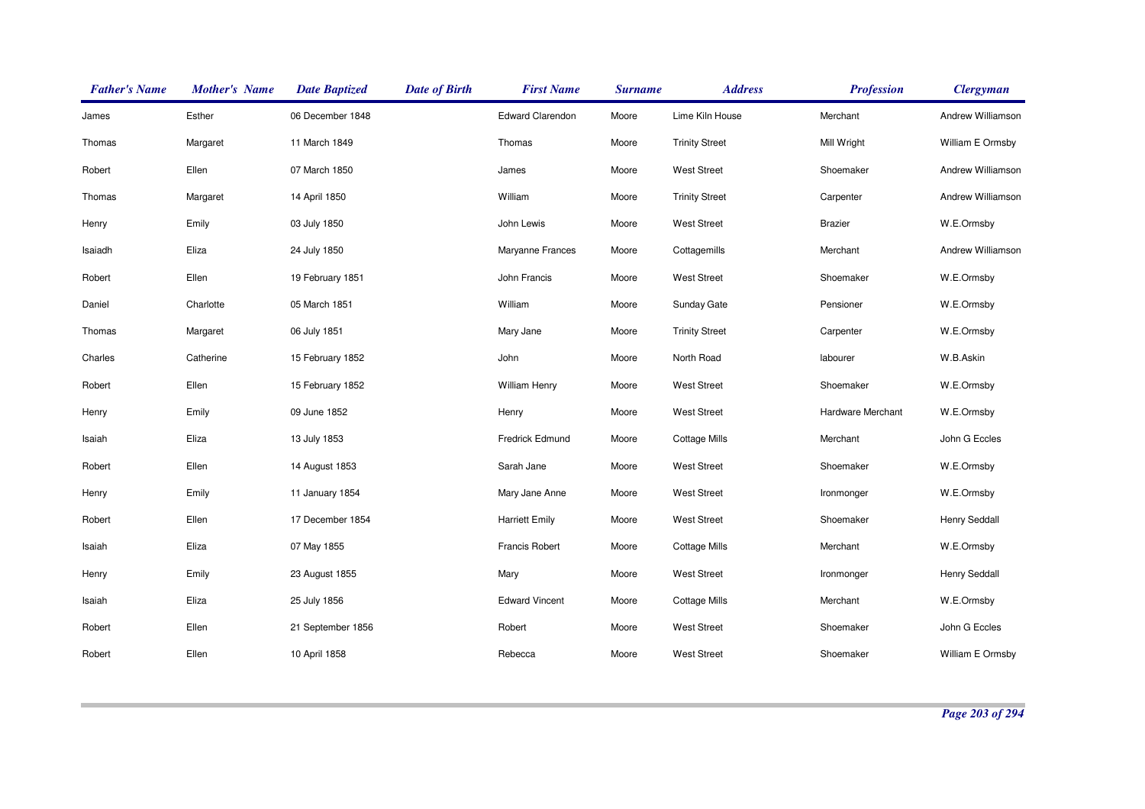| <b>Father's Name</b> | <b>Mother's Name</b> | <b>Date Baptized</b> | <b>Date of Birth</b> | <b>First Name</b>       | <b>Surname</b> | <b>Address</b>        | <b>Profession</b>        | <b>Clergyman</b>  |
|----------------------|----------------------|----------------------|----------------------|-------------------------|----------------|-----------------------|--------------------------|-------------------|
| James                | Esther               | 06 December 1848     |                      | <b>Edward Clarendon</b> | Moore          | Lime Kiln House       | Merchant                 | Andrew Williamson |
| Thomas               | Margaret             | 11 March 1849        |                      | Thomas                  | Moore          | <b>Trinity Street</b> | Mill Wright              | William E Ormsby  |
| Robert               | Ellen                | 07 March 1850        |                      | James                   | Moore          | <b>West Street</b>    | Shoemaker                | Andrew Williamson |
| Thomas               | Margaret             | 14 April 1850        |                      | William                 | Moore          | <b>Trinity Street</b> | Carpenter                | Andrew Williamson |
| Henry                | Emily                | 03 July 1850         |                      | John Lewis              | Moore          | <b>West Street</b>    | <b>Brazier</b>           | W.E.Ormsby        |
| Isaiadh              | Eliza                | 24 July 1850         |                      | Maryanne Frances        | Moore          | Cottagemills          | Merchant                 | Andrew Williamson |
| Robert               | Ellen                | 19 February 1851     |                      | John Francis            | Moore          | <b>West Street</b>    | Shoemaker                | W.E.Ormsby        |
| Daniel               | Charlotte            | 05 March 1851        |                      | William                 | Moore          | Sunday Gate           | Pensioner                | W.E.Ormsby        |
| Thomas               | Margaret             | 06 July 1851         |                      | Mary Jane               | Moore          | <b>Trinity Street</b> | Carpenter                | W.E.Ormsby        |
| Charles              | Catherine            | 15 February 1852     |                      | John                    | Moore          | North Road            | labourer                 | W.B.Askin         |
| Robert               | Ellen                | 15 February 1852     |                      | <b>William Henry</b>    | Moore          | <b>West Street</b>    | Shoemaker                | W.E.Ormsby        |
| Henry                | Emily                | 09 June 1852         |                      | Henry                   | Moore          | <b>West Street</b>    | <b>Hardware Merchant</b> | W.E.Ormsby        |
| Isaiah               | Eliza                | 13 July 1853         |                      | Fredrick Edmund         | Moore          | <b>Cottage Mills</b>  | Merchant                 | John G Eccles     |
| Robert               | Ellen                | 14 August 1853       |                      | Sarah Jane              | Moore          | <b>West Street</b>    | Shoemaker                | W.E.Ormsby        |
| Henry                | Emily                | 11 January 1854      |                      | Mary Jane Anne          | Moore          | <b>West Street</b>    | Ironmonger               | W.E.Ormsby        |
| Robert               | Ellen                | 17 December 1854     |                      | <b>Harriett Emily</b>   | Moore          | <b>West Street</b>    | Shoemaker                | Henry Seddall     |
| Isaiah               | Eliza                | 07 May 1855          |                      | Francis Robert          | Moore          | <b>Cottage Mills</b>  | Merchant                 | W.E.Ormsby        |
| Henry                | Emily                | 23 August 1855       |                      | Mary                    | Moore          | <b>West Street</b>    | Ironmonger               | Henry Seddall     |
| Isaiah               | Eliza                | 25 July 1856         |                      | <b>Edward Vincent</b>   | Moore          | Cottage Mills         | Merchant                 | W.E.Ormsby        |
| Robert               | Ellen                | 21 September 1856    |                      | Robert                  | Moore          | <b>West Street</b>    | Shoemaker                | John G Eccles     |
| Robert               | Ellen                | 10 April 1858        |                      | Rebecca                 | Moore          | <b>West Street</b>    | Shoemaker                | William E Ormsby  |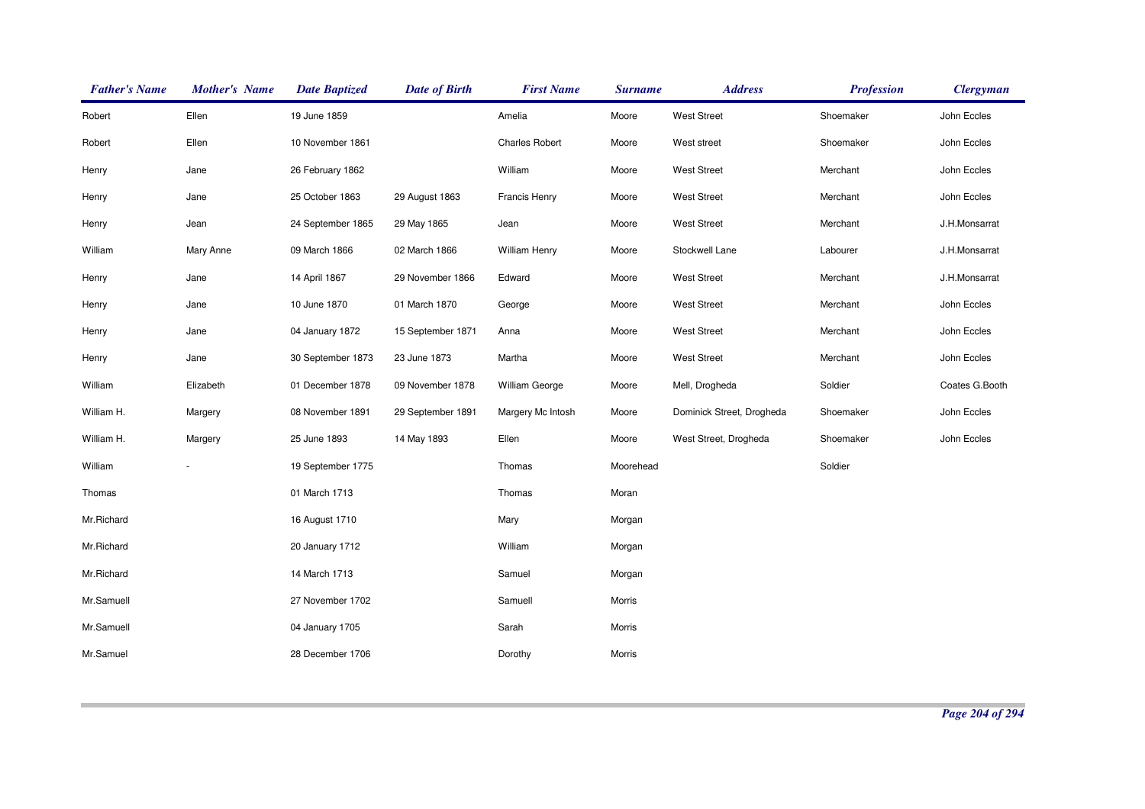| <b>Father's Name</b> | <b>Mother's Name</b> | <b>Date Baptized</b> | <b>Date of Birth</b> | <b>First Name</b>     | <b>Surname</b> | <b>Address</b>            | <b>Profession</b> | <b>Clergyman</b> |
|----------------------|----------------------|----------------------|----------------------|-----------------------|----------------|---------------------------|-------------------|------------------|
| Robert               | Ellen                | 19 June 1859         |                      | Amelia                | Moore          | <b>West Street</b>        | Shoemaker         | John Eccles      |
| Robert               | Ellen                | 10 November 1861     |                      | <b>Charles Robert</b> | Moore          | West street               | Shoemaker         | John Eccles      |
| Henry                | Jane                 | 26 February 1862     |                      | William               | Moore          | <b>West Street</b>        | Merchant          | John Eccles      |
| Henry                | Jane                 | 25 October 1863      | 29 August 1863       | <b>Francis Henry</b>  | Moore          | <b>West Street</b>        | Merchant          | John Eccles      |
| Henry                | Jean                 | 24 September 1865    | 29 May 1865          | Jean                  | Moore          | <b>West Street</b>        | Merchant          | J.H.Monsarrat    |
| William              | Mary Anne            | 09 March 1866        | 02 March 1866        | William Henry         | Moore          | Stockwell Lane            | Labourer          | J.H.Monsarrat    |
| Henry                | Jane                 | 14 April 1867        | 29 November 1866     | Edward                | Moore          | <b>West Street</b>        | Merchant          | J.H.Monsarrat    |
| Henry                | Jane                 | 10 June 1870         | 01 March 1870        | George                | Moore          | <b>West Street</b>        | Merchant          | John Eccles      |
| Henry                | Jane                 | 04 January 1872      | 15 September 1871    | Anna                  | Moore          | <b>West Street</b>        | Merchant          | John Eccles      |
| Henry                | Jane                 | 30 September 1873    | 23 June 1873         | Martha                | Moore          | <b>West Street</b>        | Merchant          | John Eccles      |
| William              | Elizabeth            | 01 December 1878     | 09 November 1878     | William George        | Moore          | Mell, Drogheda            | Soldier           | Coates G.Booth   |
| William H.           | Margery              | 08 November 1891     | 29 September 1891    | Margery Mc Intosh     | Moore          | Dominick Street, Drogheda | Shoemaker         | John Eccles      |
| William H.           | Margery              | 25 June 1893         | 14 May 1893          | Ellen                 | Moore          | West Street, Drogheda     | Shoemaker         | John Eccles      |
| William              |                      | 19 September 1775    |                      | Thomas                | Moorehead      |                           | Soldier           |                  |
| Thomas               |                      | 01 March 1713        |                      | Thomas                | Moran          |                           |                   |                  |
| Mr.Richard           |                      | 16 August 1710       |                      | Mary                  | Morgan         |                           |                   |                  |
| Mr.Richard           |                      | 20 January 1712      |                      | William               | Morgan         |                           |                   |                  |
| Mr.Richard           |                      | 14 March 1713        |                      | Samuel                | Morgan         |                           |                   |                  |
| Mr.Samuell           |                      | 27 November 1702     |                      | Samuell               | Morris         |                           |                   |                  |
| Mr.Samuell           |                      | 04 January 1705      |                      | Sarah                 | Morris         |                           |                   |                  |
| Mr.Samuel            |                      | 28 December 1706     |                      | Dorothy               | Morris         |                           |                   |                  |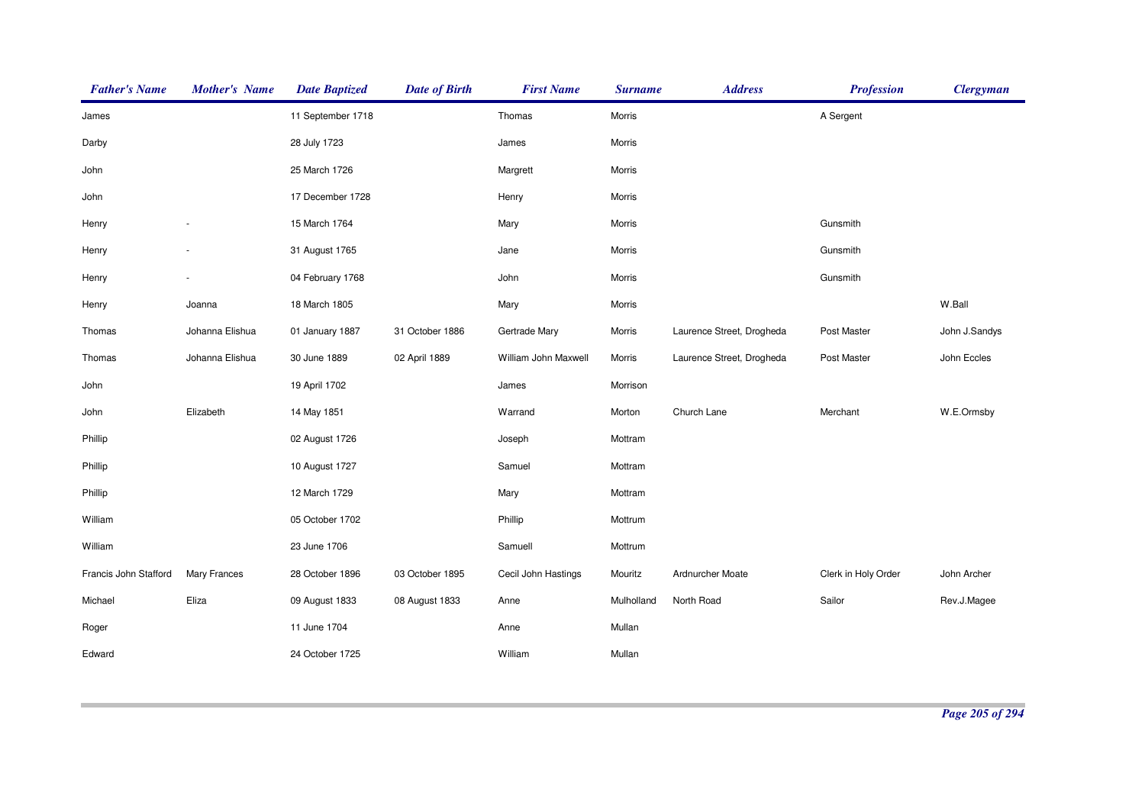| <b>Father's Name</b>  | <b>Mother's Name</b> | <b>Date Baptized</b> | <b>Date of Birth</b> | <b>First Name</b>    | <b>Surname</b> | <b>Address</b>            | <b>Profession</b>   | <b>Clergyman</b> |
|-----------------------|----------------------|----------------------|----------------------|----------------------|----------------|---------------------------|---------------------|------------------|
| James                 |                      | 11 September 1718    |                      | Thomas               | Morris         |                           | A Sergent           |                  |
| Darby                 |                      | 28 July 1723         |                      | James                | Morris         |                           |                     |                  |
| John                  |                      | 25 March 1726        |                      | Margrett             | Morris         |                           |                     |                  |
| John                  |                      | 17 December 1728     |                      | Henry                | Morris         |                           |                     |                  |
| Henry                 |                      | 15 March 1764        |                      | Mary                 | Morris         |                           | Gunsmith            |                  |
| Henry                 |                      | 31 August 1765       |                      | Jane                 | Morris         |                           | Gunsmith            |                  |
| Henry                 |                      | 04 February 1768     |                      | John                 | Morris         |                           | Gunsmith            |                  |
| Henry                 | Joanna               | 18 March 1805        |                      | Mary                 | Morris         |                           |                     | W.Ball           |
| Thomas                | Johanna Elishua      | 01 January 1887      | 31 October 1886      | Gertrade Mary        | Morris         | Laurence Street, Drogheda | Post Master         | John J.Sandys    |
| Thomas                | Johanna Elishua      | 30 June 1889         | 02 April 1889        | William John Maxwell | Morris         | Laurence Street, Drogheda | Post Master         | John Eccles      |
| John                  |                      | 19 April 1702        |                      | James                | Morrison       |                           |                     |                  |
| John                  | Elizabeth            | 14 May 1851          |                      | Warrand              | Morton         | Church Lane               | Merchant            | W.E.Ormsby       |
| Phillip               |                      | 02 August 1726       |                      | Joseph               | Mottram        |                           |                     |                  |
| Phillip               |                      | 10 August 1727       |                      | Samuel               | Mottram        |                           |                     |                  |
| Phillip               |                      | 12 March 1729        |                      | Mary                 | Mottram        |                           |                     |                  |
| William               |                      | 05 October 1702      |                      | Phillip              | Mottrum        |                           |                     |                  |
| William               |                      | 23 June 1706         |                      | Samuell              | Mottrum        |                           |                     |                  |
| Francis John Stafford | Mary Frances         | 28 October 1896      | 03 October 1895      | Cecil John Hastings  | Mouritz        | Ardnurcher Moate          | Clerk in Holy Order | John Archer      |
| Michael               | Eliza                | 09 August 1833       | 08 August 1833       | Anne                 | Mulholland     | North Road                | Sailor              | Rev.J.Magee      |
| Roger                 |                      | 11 June 1704         |                      | Anne                 | Mullan         |                           |                     |                  |
| Edward                |                      | 24 October 1725      |                      | William              | Mullan         |                           |                     |                  |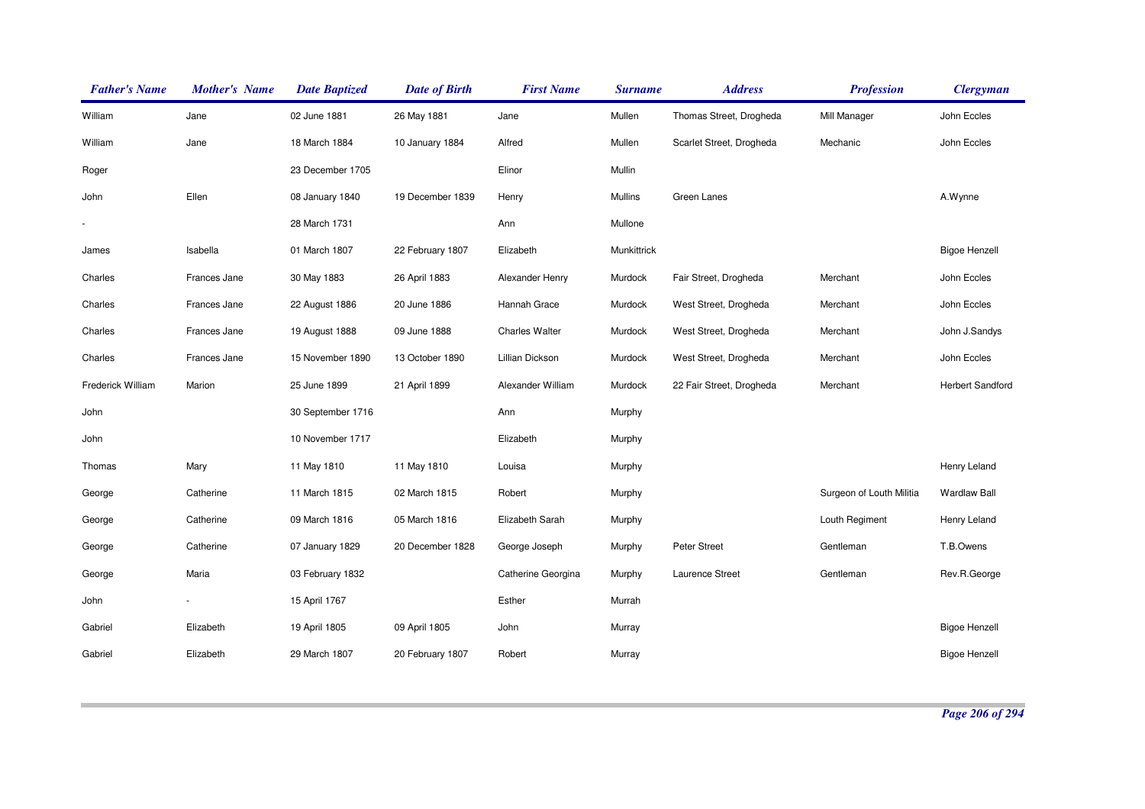| <b>Father's Name</b> | <b>Mother's Name</b> | <b>Date Baptized</b> | <b>Date of Birth</b> | <b>First Name</b>     | <b>Surname</b> | <b>Address</b>           | <b>Profession</b>        | <b>Clergyman</b>        |
|----------------------|----------------------|----------------------|----------------------|-----------------------|----------------|--------------------------|--------------------------|-------------------------|
| William              | Jane                 | 02 June 1881         | 26 May 1881          | Jane                  | Mullen         | Thomas Street, Drogheda  | Mill Manager             | John Eccles             |
| William              | Jane                 | 18 March 1884        | 10 January 1884      | Alfred                | Mullen         | Scarlet Street, Drogheda | Mechanic                 | John Eccles             |
| Roger                |                      | 23 December 1705     |                      | Elinor                | Mullin         |                          |                          |                         |
| John                 | Ellen                | 08 January 1840      | 19 December 1839     | Henry                 | Mullins        | Green Lanes              |                          | A.Wynne                 |
|                      |                      | 28 March 1731        |                      | Ann                   | Mullone        |                          |                          |                         |
| James                | Isabella             | 01 March 1807        | 22 February 1807     | Elizabeth             | Munkittrick    |                          |                          | <b>Bigoe Henzell</b>    |
| Charles              | Frances Jane         | 30 May 1883          | 26 April 1883        | Alexander Henry       | Murdock        | Fair Street, Drogheda    | Merchant                 | John Eccles             |
| Charles              | Frances Jane         | 22 August 1886       | 20 June 1886         | Hannah Grace          | Murdock        | West Street, Drogheda    | Merchant                 | John Eccles             |
| Charles              | Frances Jane         | 19 August 1888       | 09 June 1888         | <b>Charles Walter</b> | Murdock        | West Street, Drogheda    | Merchant                 | John J.Sandys           |
| Charles              | Frances Jane         | 15 November 1890     | 13 October 1890      | Lillian Dickson       | Murdock        | West Street, Drogheda    | Merchant                 | John Eccles             |
| Frederick William    | Marion               | 25 June 1899         | 21 April 1899        | Alexander William     | Murdock        | 22 Fair Street, Drogheda | Merchant                 | <b>Herbert Sandford</b> |
| John                 |                      | 30 September 1716    |                      | Ann                   | Murphy         |                          |                          |                         |
| John                 |                      | 10 November 1717     |                      | Elizabeth             | Murphy         |                          |                          |                         |
| Thomas               | Mary                 | 11 May 1810          | 11 May 1810          | Louisa                | Murphy         |                          |                          | Henry Leland            |
| George               | Catherine            | 11 March 1815        | 02 March 1815        | Robert                | Murphy         |                          | Surgeon of Louth Militia | <b>Wardlaw Ball</b>     |
| George               | Catherine            | 09 March 1816        | 05 March 1816        | Elizabeth Sarah       | Murphy         |                          | Louth Regiment           | Henry Leland            |
| George               | Catherine            | 07 January 1829      | 20 December 1828     | George Joseph         | Murphy         | Peter Street             | Gentleman                | T.B.Owens               |
| George               | Maria                | 03 February 1832     |                      | Catherine Georgina    | Murphy         | Laurence Street          | Gentleman                | Rev.R.George            |
| John                 |                      | 15 April 1767        |                      | Esther                | Murrah         |                          |                          |                         |
| Gabriel              | Elizabeth            | 19 April 1805        | 09 April 1805        | John                  | Murray         |                          |                          | <b>Bigoe Henzell</b>    |
| Gabriel              | Elizabeth            | 29 March 1807        | 20 February 1807     | Robert                | Murray         |                          |                          | <b>Bigoe Henzell</b>    |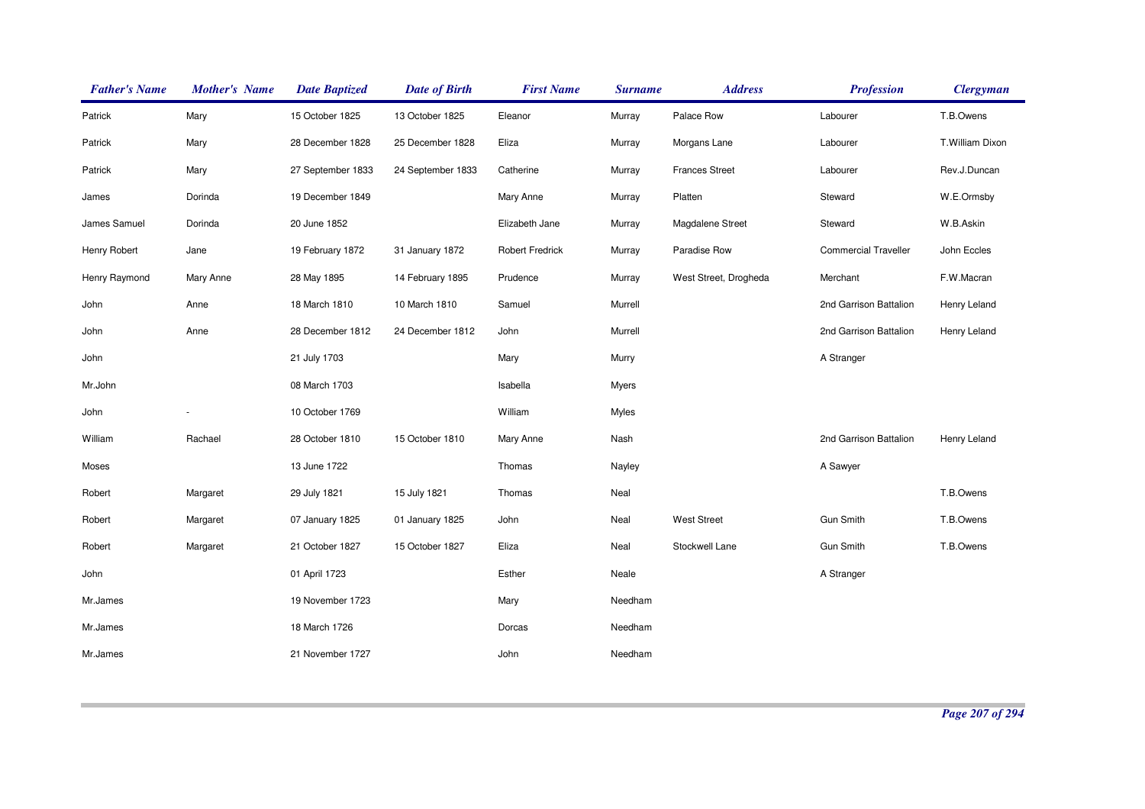| <b>Father's Name</b> | <b>Mother's Name</b> | <b>Date Baptized</b> | <b>Date of Birth</b> | <b>First Name</b>      | <b>Surname</b> | <b>Address</b>        | <b>Profession</b>           | <b>Clergyman</b> |
|----------------------|----------------------|----------------------|----------------------|------------------------|----------------|-----------------------|-----------------------------|------------------|
| Patrick              | Mary                 | 15 October 1825      | 13 October 1825      | Eleanor                | Murray         | Palace Row            | Labourer                    | T.B.Owens        |
| Patrick              | Mary                 | 28 December 1828     | 25 December 1828     | Eliza                  | Murray         | Morgans Lane          | Labourer                    | T.William Dixon  |
| Patrick              | Mary                 | 27 September 1833    | 24 September 1833    | Catherine              | Murray         | <b>Frances Street</b> | Labourer                    | Rev.J.Duncan     |
| James                | Dorinda              | 19 December 1849     |                      | Mary Anne              | Murray         | Platten               | Steward                     | W.E.Ormsby       |
| James Samuel         | Dorinda              | 20 June 1852         |                      | Elizabeth Jane         | Murray         | Magdalene Street      | Steward                     | W.B.Askin        |
| Henry Robert         | Jane                 | 19 February 1872     | 31 January 1872      | <b>Robert Fredrick</b> | Murray         | Paradise Row          | <b>Commercial Traveller</b> | John Eccles      |
| Henry Raymond        | Mary Anne            | 28 May 1895          | 14 February 1895     | Prudence               | Murray         | West Street, Drogheda | Merchant                    | F.W.Macran       |
| John                 | Anne                 | 18 March 1810        | 10 March 1810        | Samuel                 | Murrell        |                       | 2nd Garrison Battalion      | Henry Leland     |
| John                 | Anne                 | 28 December 1812     | 24 December 1812     | John                   | Murrell        |                       | 2nd Garrison Battalion      | Henry Leland     |
| John                 |                      | 21 July 1703         |                      | Mary                   | Murry          |                       | A Stranger                  |                  |
| Mr.John              |                      | 08 March 1703        |                      | Isabella               | <b>Myers</b>   |                       |                             |                  |
| John                 |                      | 10 October 1769      |                      | William                | <b>Myles</b>   |                       |                             |                  |
| William              | Rachael              | 28 October 1810      | 15 October 1810      | Mary Anne              | Nash           |                       | 2nd Garrison Battalion      | Henry Leland     |
| Moses                |                      | 13 June 1722         |                      | Thomas                 | Nayley         |                       | A Sawyer                    |                  |
| Robert               | Margaret             | 29 July 1821         | 15 July 1821         | Thomas                 | Neal           |                       |                             | T.B.Owens        |
| Robert               | Margaret             | 07 January 1825      | 01 January 1825      | John                   | Neal           | <b>West Street</b>    | <b>Gun Smith</b>            | T.B.Owens        |
| Robert               | Margaret             | 21 October 1827      | 15 October 1827      | Eliza                  | Neal           | Stockwell Lane        | <b>Gun Smith</b>            | T.B.Owens        |
| John                 |                      | 01 April 1723        |                      | Esther                 | Neale          |                       | A Stranger                  |                  |
| Mr.James             |                      | 19 November 1723     |                      | Mary                   | Needham        |                       |                             |                  |
| Mr.James             |                      | 18 March 1726        |                      | Dorcas                 | Needham        |                       |                             |                  |
| Mr.James             |                      | 21 November 1727     |                      | John                   | Needham        |                       |                             |                  |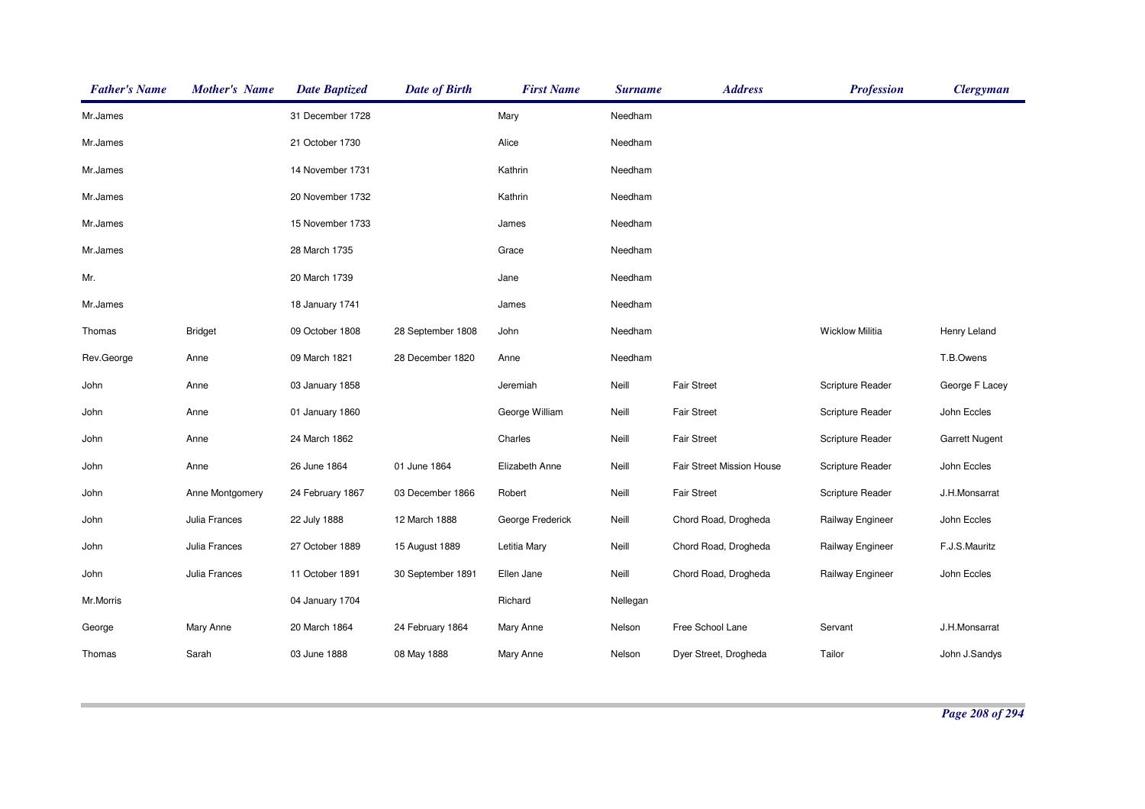| <b>Father's Name</b> | <b>Mother's Name</b> | <b>Date Baptized</b> | <b>Date of Birth</b> | <b>First Name</b> | <b>Surname</b> | <b>Address</b>            | <b>Profession</b>      | <b>Clergyman</b> |
|----------------------|----------------------|----------------------|----------------------|-------------------|----------------|---------------------------|------------------------|------------------|
| Mr.James             |                      | 31 December 1728     |                      | Mary              | Needham        |                           |                        |                  |
| Mr.James             |                      | 21 October 1730      |                      | Alice             | Needham        |                           |                        |                  |
| Mr.James             |                      | 14 November 1731     |                      | Kathrin           | Needham        |                           |                        |                  |
| Mr.James             |                      | 20 November 1732     |                      | Kathrin           | Needham        |                           |                        |                  |
| Mr.James             |                      | 15 November 1733     |                      | James             | Needham        |                           |                        |                  |
| Mr.James             |                      | 28 March 1735        |                      | Grace             | Needham        |                           |                        |                  |
| Mr.                  |                      | 20 March 1739        |                      | Jane              | Needham        |                           |                        |                  |
| Mr.James             |                      | 18 January 1741      |                      | James             | Needham        |                           |                        |                  |
| Thomas               | <b>Bridget</b>       | 09 October 1808      | 28 September 1808    | John              | Needham        |                           | <b>Wicklow Militia</b> | Henry Leland     |
| Rev.George           | Anne                 | 09 March 1821        | 28 December 1820     | Anne              | Needham        |                           |                        | T.B.Owens        |
| John                 | Anne                 | 03 January 1858      |                      | Jeremiah          | Neill          | <b>Fair Street</b>        | Scripture Reader       | George F Lacey   |
| John                 | Anne                 | 01 January 1860      |                      | George William    | Neill          | <b>Fair Street</b>        | Scripture Reader       | John Eccles      |
| John                 | Anne                 | 24 March 1862        |                      | Charles           | Neill          | <b>Fair Street</b>        | Scripture Reader       | Garrett Nugent   |
| John                 | Anne                 | 26 June 1864         | 01 June 1864         | Elizabeth Anne    | Neill          | Fair Street Mission House | Scripture Reader       | John Eccles      |
| John                 | Anne Montgomery      | 24 February 1867     | 03 December 1866     | Robert            | Neill          | <b>Fair Street</b>        | Scripture Reader       | J.H.Monsarrat    |
| John                 | Julia Frances        | 22 July 1888         | 12 March 1888        | George Frederick  | Neill          | Chord Road, Drogheda      | Railway Engineer       | John Eccles      |
| John                 | Julia Frances        | 27 October 1889      | 15 August 1889       | Letitia Mary      | Neill          | Chord Road, Drogheda      | Railway Engineer       | F.J.S.Mauritz    |
| John                 | Julia Frances        | 11 October 1891      | 30 September 1891    | Ellen Jane        | Neill          | Chord Road, Drogheda      | Railway Engineer       | John Eccles      |
| Mr.Morris            |                      | 04 January 1704      |                      | Richard           | Nellegan       |                           |                        |                  |
| George               | Mary Anne            | 20 March 1864        | 24 February 1864     | Mary Anne         | Nelson         | Free School Lane          | Servant                | J.H.Monsarrat    |
| Thomas               | Sarah                | 03 June 1888         | 08 May 1888          | Mary Anne         | Nelson         | Dyer Street, Drogheda     | Tailor                 | John J.Sandys    |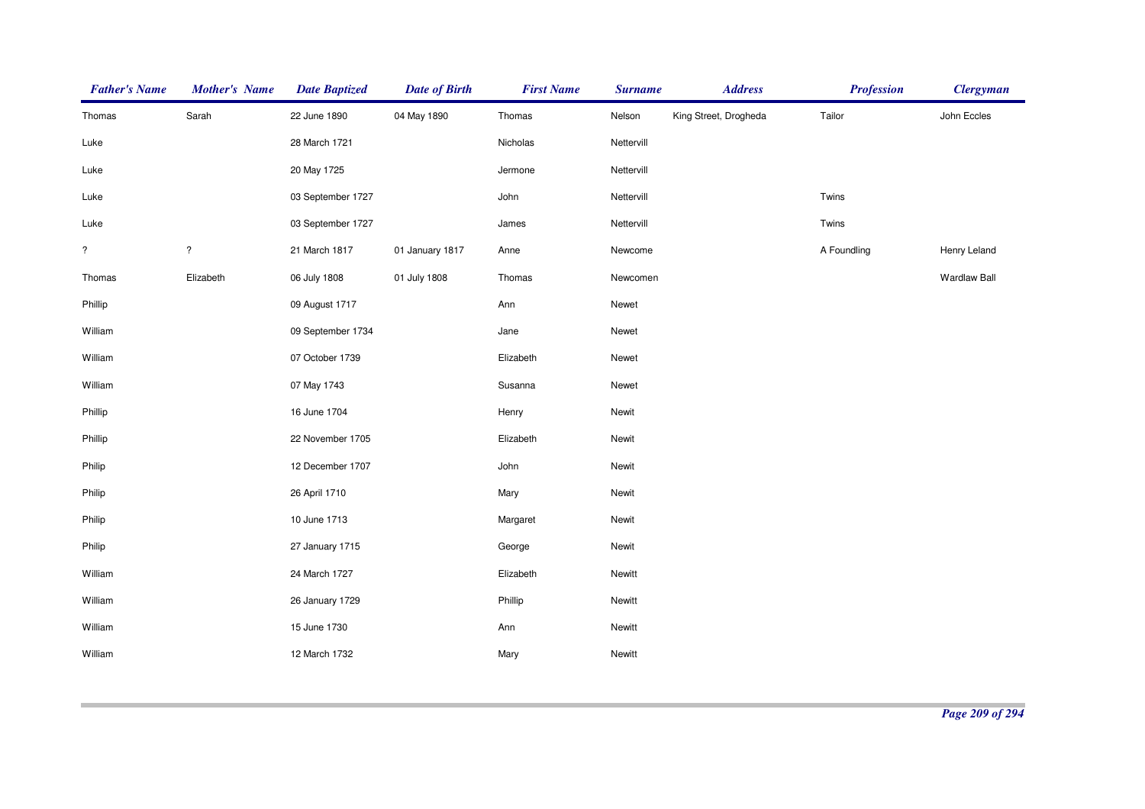| <b>Father's Name</b> | <b>Mother's Name</b> | <b>Date Baptized</b> | <b>Date of Birth</b> | <b>First Name</b> | <b>Surname</b> | <b>Address</b>        | <b>Profession</b> | <b>Clergyman</b>    |
|----------------------|----------------------|----------------------|----------------------|-------------------|----------------|-----------------------|-------------------|---------------------|
| Thomas               | Sarah                | 22 June 1890         | 04 May 1890          | Thomas            | Nelson         | King Street, Drogheda | Tailor            | John Eccles         |
| Luke                 |                      | 28 March 1721        |                      | Nicholas          | Nettervill     |                       |                   |                     |
| Luke                 |                      | 20 May 1725          |                      | Jermone           | Nettervill     |                       |                   |                     |
| Luke                 |                      | 03 September 1727    |                      | John              | Nettervill     |                       | Twins             |                     |
| Luke                 |                      | 03 September 1727    |                      | James             | Nettervill     |                       | Twins             |                     |
| $\overline{\cdot}$   | $\overline{?}$       | 21 March 1817        | 01 January 1817      | Anne              | Newcome        |                       | A Foundling       | Henry Leland        |
| Thomas               | Elizabeth            | 06 July 1808         | 01 July 1808         | Thomas            | Newcomen       |                       |                   | <b>Wardlaw Ball</b> |
| Phillip              |                      | 09 August 1717       |                      | Ann               | Newet          |                       |                   |                     |
| William              |                      | 09 September 1734    |                      | Jane              | Newet          |                       |                   |                     |
| William              |                      | 07 October 1739      |                      | Elizabeth         | Newet          |                       |                   |                     |
| William              |                      | 07 May 1743          |                      | Susanna           | Newet          |                       |                   |                     |
| Phillip              |                      | 16 June 1704         |                      | Henry             | Newit          |                       |                   |                     |
| Phillip              |                      | 22 November 1705     |                      | Elizabeth         | Newit          |                       |                   |                     |
| Philip               |                      | 12 December 1707     |                      | John              | Newit          |                       |                   |                     |
| Philip               |                      | 26 April 1710        |                      | Mary              | Newit          |                       |                   |                     |
| Philip               |                      | 10 June 1713         |                      | Margaret          | Newit          |                       |                   |                     |
| Philip               |                      | 27 January 1715      |                      | George            | Newit          |                       |                   |                     |
| William              |                      | 24 March 1727        |                      | Elizabeth         | Newitt         |                       |                   |                     |
| William              |                      | 26 January 1729      |                      | Phillip           | Newitt         |                       |                   |                     |
| William              |                      | 15 June 1730         |                      | Ann               | Newitt         |                       |                   |                     |
| William              |                      | 12 March 1732        |                      | Mary              | Newitt         |                       |                   |                     |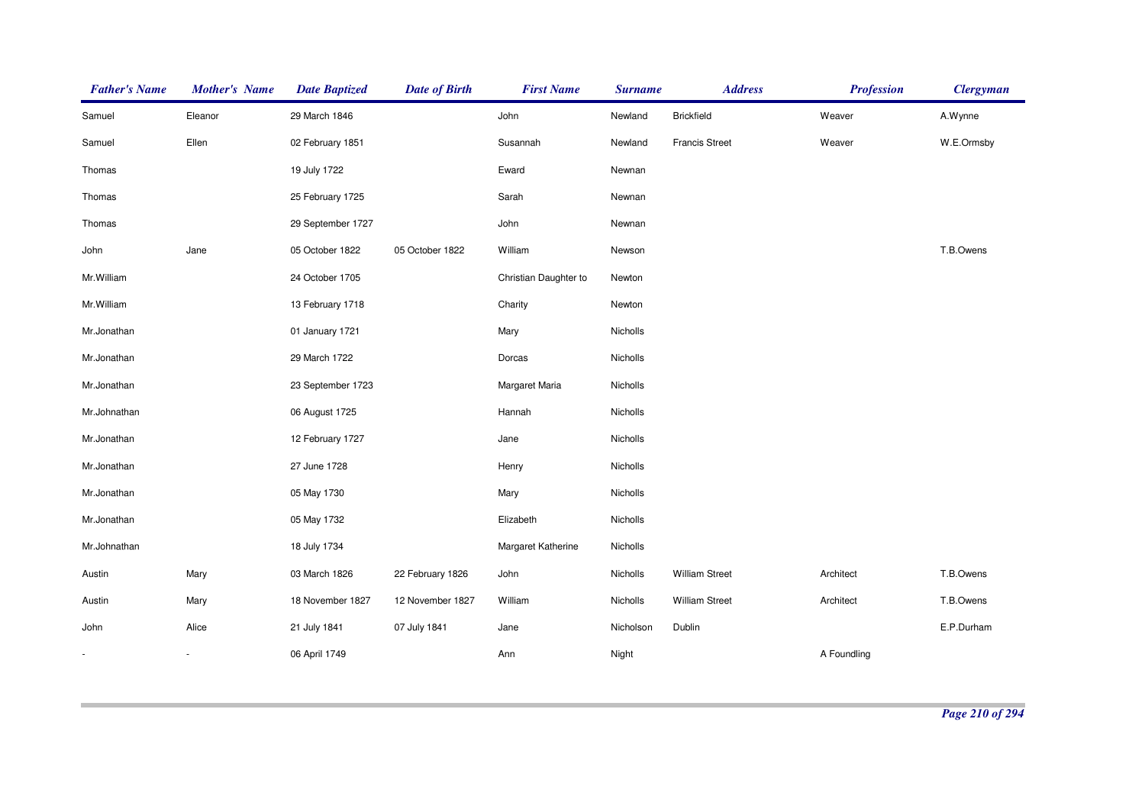| <b>Father's Name</b> | <b>Mother's Name</b>     | <b>Date Baptized</b> | <b>Date of Birth</b> | <b>First Name</b>     | <b>Surname</b> | <b>Address</b>        | <b>Profession</b> | <b>Clergyman</b> |
|----------------------|--------------------------|----------------------|----------------------|-----------------------|----------------|-----------------------|-------------------|------------------|
| Samuel               | Eleanor                  | 29 March 1846        |                      | John                  | Newland        | <b>Brickfield</b>     | Weaver            | A.Wynne          |
| Samuel               | Ellen                    | 02 February 1851     |                      | Susannah              | Newland        | <b>Francis Street</b> | Weaver            | W.E.Ormsby       |
| Thomas               |                          | 19 July 1722         |                      | Eward                 | Newnan         |                       |                   |                  |
| Thomas               |                          | 25 February 1725     |                      | Sarah                 | Newnan         |                       |                   |                  |
| Thomas               |                          | 29 September 1727    |                      | John                  | Newnan         |                       |                   |                  |
| John                 | Jane                     | 05 October 1822      | 05 October 1822      | William               | Newson         |                       |                   | T.B.Owens        |
| Mr.William           |                          | 24 October 1705      |                      | Christian Daughter to | Newton         |                       |                   |                  |
| Mr.William           |                          | 13 February 1718     |                      | Charity               | Newton         |                       |                   |                  |
| Mr.Jonathan          |                          | 01 January 1721      |                      | Mary                  | Nicholls       |                       |                   |                  |
| Mr.Jonathan          |                          | 29 March 1722        |                      | Dorcas                | Nicholls       |                       |                   |                  |
| Mr.Jonathan          |                          | 23 September 1723    |                      | Margaret Maria        | Nicholls       |                       |                   |                  |
| Mr.Johnathan         |                          | 06 August 1725       |                      | Hannah                | Nicholls       |                       |                   |                  |
| Mr.Jonathan          |                          | 12 February 1727     |                      | Jane                  | Nicholls       |                       |                   |                  |
| Mr.Jonathan          |                          | 27 June 1728         |                      | Henry                 | Nicholls       |                       |                   |                  |
| Mr.Jonathan          |                          | 05 May 1730          |                      | Mary                  | Nicholls       |                       |                   |                  |
| Mr.Jonathan          |                          | 05 May 1732          |                      | Elizabeth             | Nicholls       |                       |                   |                  |
| Mr.Johnathan         |                          | 18 July 1734         |                      | Margaret Katherine    | Nicholls       |                       |                   |                  |
| Austin               | Mary                     | 03 March 1826        | 22 February 1826     | John                  | Nicholls       | <b>William Street</b> | Architect         | T.B.Owens        |
| Austin               | Mary                     | 18 November 1827     | 12 November 1827     | William               | Nicholls       | <b>William Street</b> | Architect         | T.B.Owens        |
| John                 | Alice                    | 21 July 1841         | 07 July 1841         | Jane                  | Nicholson      | Dublin                |                   | E.P.Durham       |
| ×.                   | $\overline{\phantom{a}}$ | 06 April 1749        |                      | Ann                   | Night          |                       | A Foundling       |                  |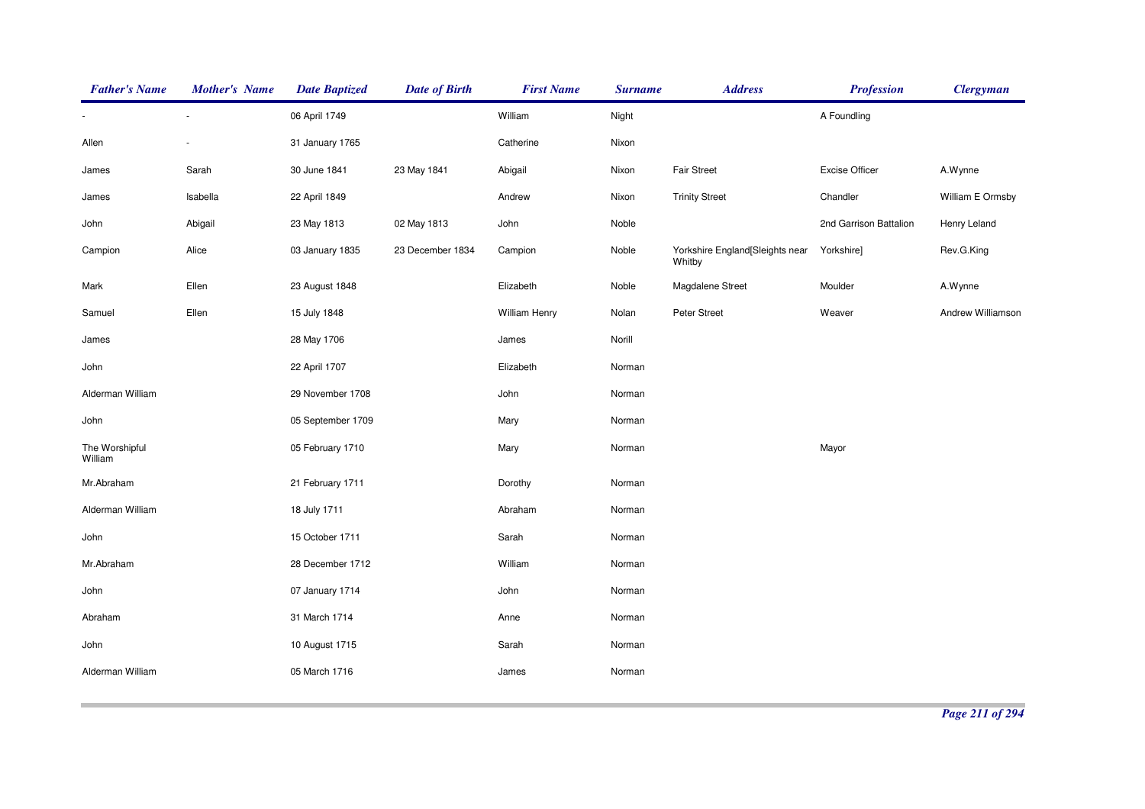| <b>Father's Name</b>      | <b>Mother's Name</b> | <b>Date Baptized</b> | <b>Date of Birth</b> | <b>First Name</b> | <b>Surname</b> | <b>Address</b>                            | <b>Profession</b>      | <b>Clergyman</b>  |
|---------------------------|----------------------|----------------------|----------------------|-------------------|----------------|-------------------------------------------|------------------------|-------------------|
|                           |                      | 06 April 1749        |                      | William           | Night          |                                           | A Foundling            |                   |
| Allen                     |                      | 31 January 1765      |                      | Catherine         | Nixon          |                                           |                        |                   |
| James                     | Sarah                | 30 June 1841         | 23 May 1841          | Abigail           | Nixon          | <b>Fair Street</b>                        | <b>Excise Officer</b>  | A.Wynne           |
| James                     | Isabella             | 22 April 1849        |                      | Andrew            | Nixon          | <b>Trinity Street</b>                     | Chandler               | William E Ormsby  |
| John                      | Abigail              | 23 May 1813          | 02 May 1813          | John              | Noble          |                                           | 2nd Garrison Battalion | Henry Leland      |
| Campion                   | Alice                | 03 January 1835      | 23 December 1834     | Campion           | Noble          | Yorkshire England[Sleights near<br>Whitby | Yorkshire]             | Rev.G.King        |
| Mark                      | Ellen                | 23 August 1848       |                      | Elizabeth         | Noble          | Magdalene Street                          | Moulder                | A.Wynne           |
| Samuel                    | Ellen                | 15 July 1848         |                      | William Henry     | Nolan          | Peter Street                              | Weaver                 | Andrew Williamson |
| James                     |                      | 28 May 1706          |                      | James             | Norill         |                                           |                        |                   |
| John                      |                      | 22 April 1707        |                      | Elizabeth         | Norman         |                                           |                        |                   |
| Alderman William          |                      | 29 November 1708     |                      | John              | Norman         |                                           |                        |                   |
| John                      |                      | 05 September 1709    |                      | Mary              | Norman         |                                           |                        |                   |
| The Worshipful<br>William |                      | 05 February 1710     |                      | Mary              | Norman         |                                           | Mayor                  |                   |
| Mr.Abraham                |                      | 21 February 1711     |                      | Dorothy           | Norman         |                                           |                        |                   |
| Alderman William          |                      | 18 July 1711         |                      | Abraham           | Norman         |                                           |                        |                   |
| John                      |                      | 15 October 1711      |                      | Sarah             | Norman         |                                           |                        |                   |
| Mr.Abraham                |                      | 28 December 1712     |                      | William           | Norman         |                                           |                        |                   |
| John                      |                      | 07 January 1714      |                      | John              | Norman         |                                           |                        |                   |
| Abraham                   |                      | 31 March 1714        |                      | Anne              | Norman         |                                           |                        |                   |
| John                      |                      | 10 August 1715       |                      | Sarah             | Norman         |                                           |                        |                   |
| Alderman William          |                      | 05 March 1716        |                      | James             | Norman         |                                           |                        |                   |
|                           |                      |                      |                      |                   |                |                                           |                        |                   |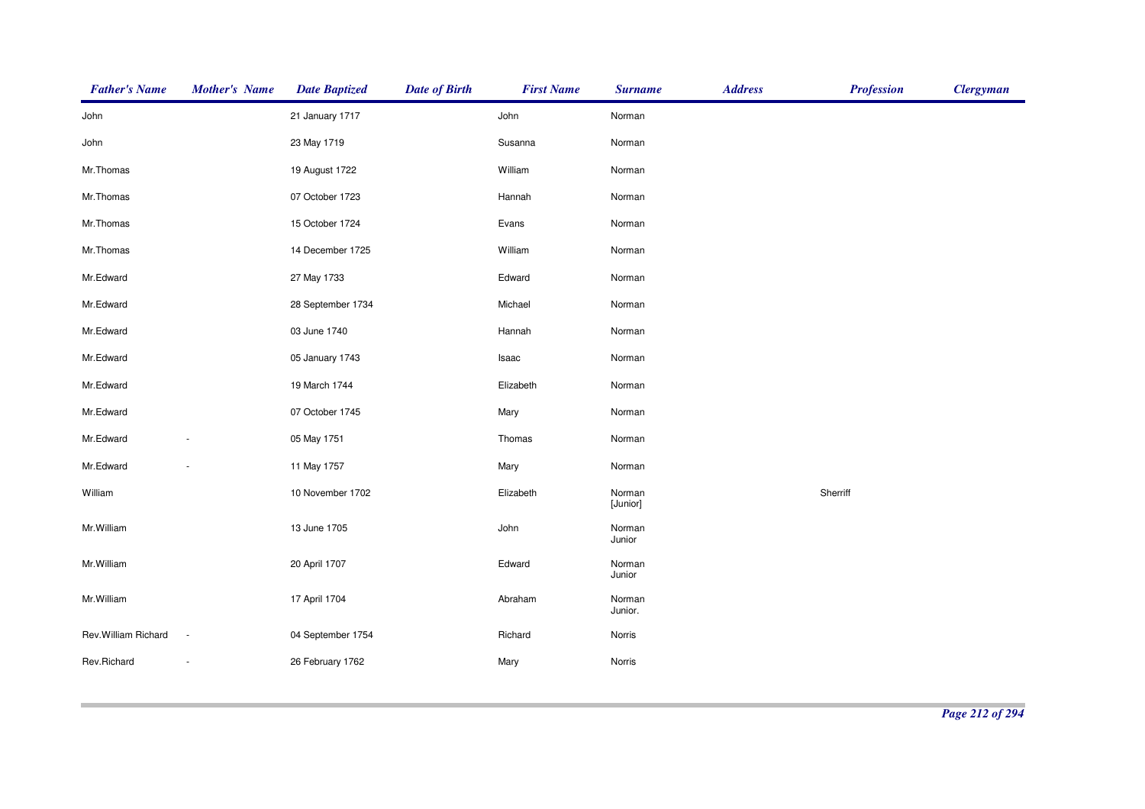| <b>Father's Name</b> | <b>Mother's Name</b>     | <b>Date Baptized</b> | <b>Date of Birth</b> | <b>First Name</b> | <b>Surname</b>     | <b>Address</b> | <b>Profession</b> | <b>Clergyman</b> |
|----------------------|--------------------------|----------------------|----------------------|-------------------|--------------------|----------------|-------------------|------------------|
| John                 |                          | 21 January 1717      |                      | John              | Norman             |                |                   |                  |
| John                 |                          | 23 May 1719          |                      | Susanna           | Norman             |                |                   |                  |
| Mr.Thomas            |                          | 19 August 1722       |                      | William           | Norman             |                |                   |                  |
| Mr.Thomas            |                          | 07 October 1723      |                      | Hannah            | Norman             |                |                   |                  |
| Mr.Thomas            |                          | 15 October 1724      |                      | Evans             | Norman             |                |                   |                  |
| Mr.Thomas            |                          | 14 December 1725     |                      | William           | Norman             |                |                   |                  |
| Mr.Edward            |                          | 27 May 1733          |                      | Edward            | Norman             |                |                   |                  |
| Mr.Edward            |                          | 28 September 1734    |                      | Michael           | Norman             |                |                   |                  |
| Mr.Edward            |                          | 03 June 1740         |                      | Hannah            | Norman             |                |                   |                  |
| Mr.Edward            |                          | 05 January 1743      |                      | Isaac             | Norman             |                |                   |                  |
| Mr.Edward            |                          | 19 March 1744        |                      | Elizabeth         | Norman             |                |                   |                  |
| Mr.Edward            |                          | 07 October 1745      |                      | Mary              | Norman             |                |                   |                  |
| Mr.Edward            |                          | 05 May 1751          |                      | Thomas            | Norman             |                |                   |                  |
| Mr.Edward            |                          | 11 May 1757          |                      | Mary              | Norman             |                |                   |                  |
| William              |                          | 10 November 1702     |                      | Elizabeth         | Norman<br>[Junior] |                | Sherriff          |                  |
| Mr.William           |                          | 13 June 1705         |                      | John              | Norman<br>Junior   |                |                   |                  |
| Mr.William           |                          | 20 April 1707        |                      | Edward            | Norman<br>Junior   |                |                   |                  |
| Mr.William           |                          | 17 April 1704        |                      | Abraham           | Norman<br>Junior.  |                |                   |                  |
| Rev. William Richard | $\sim$                   | 04 September 1754    |                      | Richard           | Norris             |                |                   |                  |
| Rev.Richard          | $\overline{\phantom{a}}$ | 26 February 1762     |                      | Mary              | Norris             |                |                   |                  |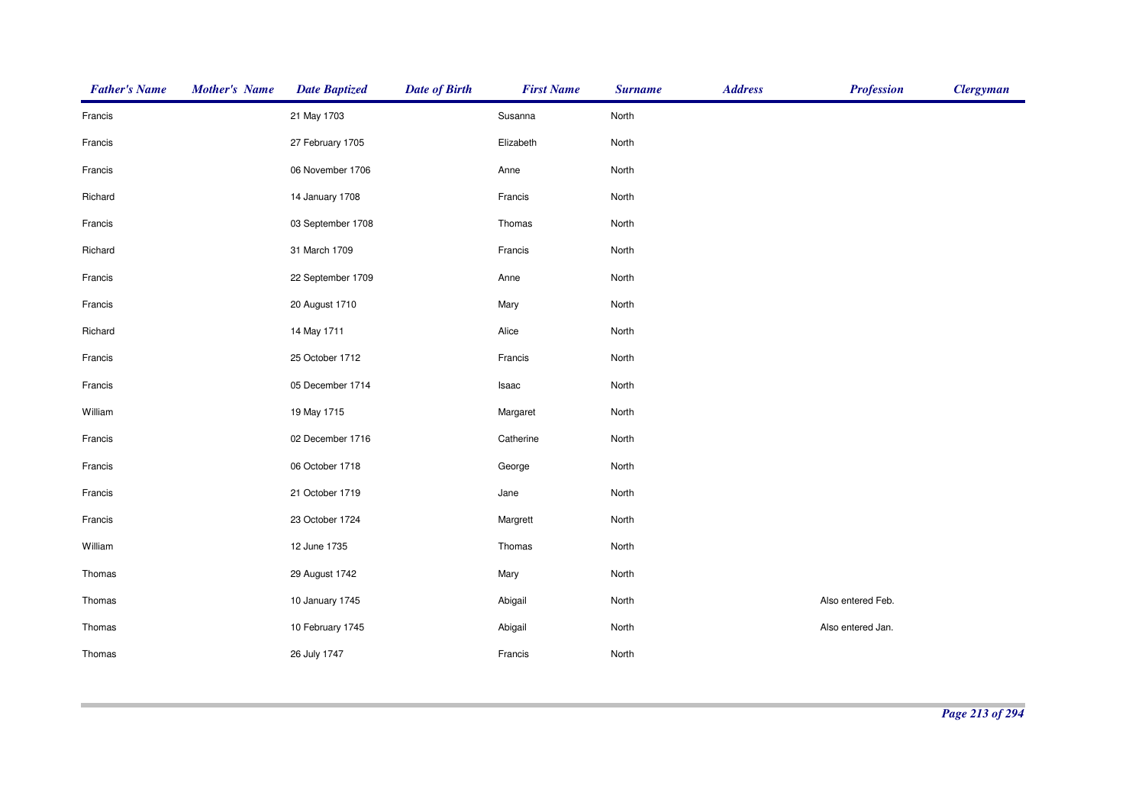| <b>Father's Name</b> | <b>Mother's Name</b> | <b>Date Baptized</b> | <b>Date of Birth</b> | <b>First Name</b> | <b>Surname</b> | <b>Address</b> | <b>Profession</b> | <b>Clergyman</b> |
|----------------------|----------------------|----------------------|----------------------|-------------------|----------------|----------------|-------------------|------------------|
| Francis              |                      | 21 May 1703          |                      | Susanna           | North          |                |                   |                  |
| Francis              |                      | 27 February 1705     |                      | Elizabeth         | North          |                |                   |                  |
| Francis              |                      | 06 November 1706     |                      | Anne              | North          |                |                   |                  |
| Richard              |                      | 14 January 1708      |                      | Francis           | North          |                |                   |                  |
| Francis              |                      | 03 September 1708    |                      | Thomas            | North          |                |                   |                  |
| Richard              |                      | 31 March 1709        |                      | Francis           | North          |                |                   |                  |
| Francis              |                      | 22 September 1709    |                      | Anne              | North          |                |                   |                  |
| Francis              |                      | 20 August 1710       |                      | Mary              | North          |                |                   |                  |
| Richard              |                      | 14 May 1711          |                      | Alice             | North          |                |                   |                  |
| Francis              |                      | 25 October 1712      |                      | Francis           | North          |                |                   |                  |
| Francis              |                      | 05 December 1714     |                      | Isaac             | North          |                |                   |                  |
| William              |                      | 19 May 1715          |                      | Margaret          | North          |                |                   |                  |
| Francis              |                      | 02 December 1716     |                      | Catherine         | North          |                |                   |                  |
| Francis              |                      | 06 October 1718      |                      | George            | North          |                |                   |                  |
| Francis              |                      | 21 October 1719      |                      | Jane              | North          |                |                   |                  |
| Francis              |                      | 23 October 1724      |                      | Margrett          | North          |                |                   |                  |
| William              |                      | 12 June 1735         |                      | Thomas            | North          |                |                   |                  |
| Thomas               |                      | 29 August 1742       |                      | Mary              | North          |                |                   |                  |
| Thomas               |                      | 10 January 1745      |                      | Abigail           | North          |                | Also entered Feb. |                  |
| Thomas               |                      | 10 February 1745     |                      | Abigail           | North          |                | Also entered Jan. |                  |
| Thomas               |                      | 26 July 1747         |                      | Francis           | North          |                |                   |                  |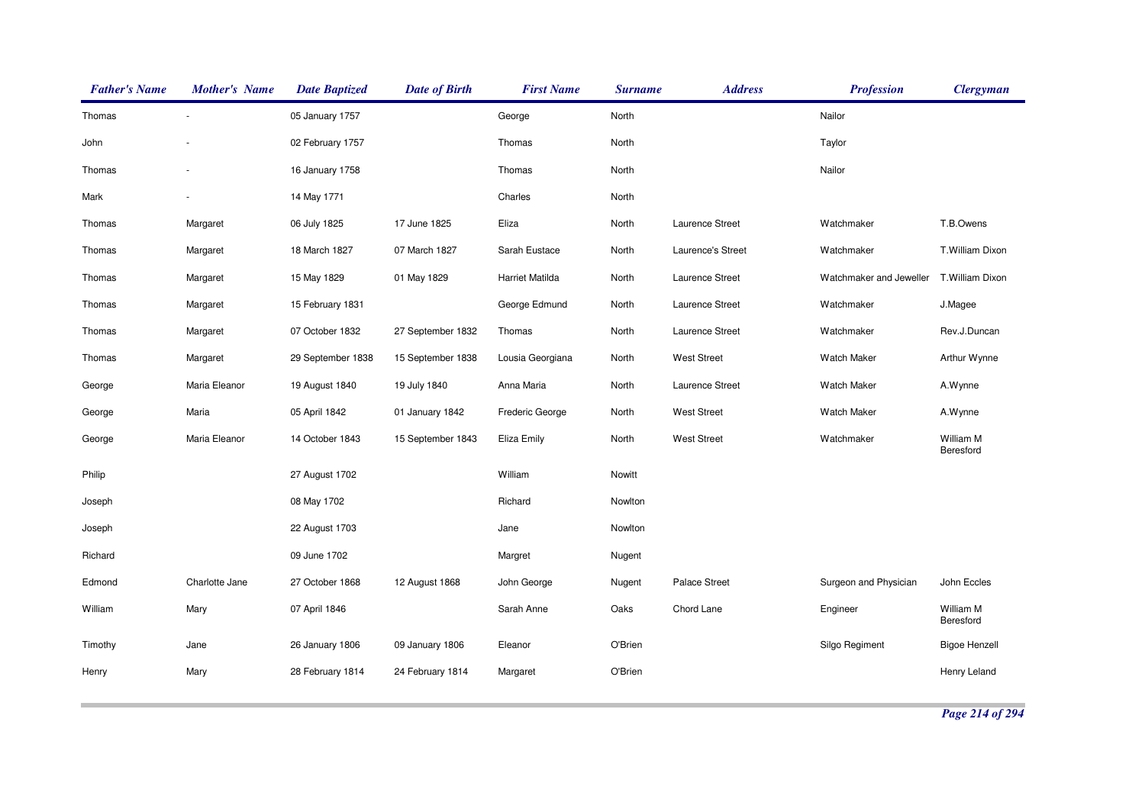| <b>Father's Name</b> | <b>Mother's Name</b> | <b>Date Baptized</b> | <b>Date of Birth</b> | <b>First Name</b> | <b>Surname</b> | <b>Address</b>       | <b>Profession</b>       | <b>Clergyman</b>       |
|----------------------|----------------------|----------------------|----------------------|-------------------|----------------|----------------------|-------------------------|------------------------|
| Thomas               |                      | 05 January 1757      |                      | George            | North          |                      | Nailor                  |                        |
| John                 |                      | 02 February 1757     |                      | Thomas            | North          |                      | Taylor                  |                        |
| Thomas               |                      | 16 January 1758      |                      | Thomas            | North          |                      | Nailor                  |                        |
| Mark                 |                      | 14 May 1771          |                      | Charles           | North          |                      |                         |                        |
| Thomas               | Margaret             | 06 July 1825         | 17 June 1825         | Eliza             | North          | Laurence Street      | Watchmaker              | T.B.Owens              |
| Thomas               | Margaret             | 18 March 1827        | 07 March 1827        | Sarah Eustace     | North          | Laurence's Street    | Watchmaker              | T.William Dixon        |
| Thomas               | Margaret             | 15 May 1829          | 01 May 1829          | Harriet Matilda   | North          | Laurence Street      | Watchmaker and Jeweller | T.William Dixon        |
| Thomas               | Margaret             | 15 February 1831     |                      | George Edmund     | North          | Laurence Street      | Watchmaker              | J.Magee                |
| Thomas               | Margaret             | 07 October 1832      | 27 September 1832    | Thomas            | North          | Laurence Street      | Watchmaker              | Rev.J.Duncan           |
| Thomas               | Margaret             | 29 September 1838    | 15 September 1838    | Lousia Georgiana  | North          | <b>West Street</b>   | <b>Watch Maker</b>      | Arthur Wynne           |
| George               | Maria Eleanor        | 19 August 1840       | 19 July 1840         | Anna Maria        | North          | Laurence Street      | <b>Watch Maker</b>      | A.Wynne                |
| George               | Maria                | 05 April 1842        | 01 January 1842      | Frederic George   | North          | <b>West Street</b>   | <b>Watch Maker</b>      | A.Wynne                |
| George               | Maria Eleanor        | 14 October 1843      | 15 September 1843    | Eliza Emily       | North          | <b>West Street</b>   | Watchmaker              | William M<br>Beresford |
| Philip               |                      | 27 August 1702       |                      | William           | Nowitt         |                      |                         |                        |
| Joseph               |                      | 08 May 1702          |                      | Richard           | Nowlton        |                      |                         |                        |
| Joseph               |                      | 22 August 1703       |                      | Jane              | Nowlton        |                      |                         |                        |
| Richard              |                      | 09 June 1702         |                      | Margret           | Nugent         |                      |                         |                        |
| Edmond               | Charlotte Jane       | 27 October 1868      | 12 August 1868       | John George       | Nugent         | <b>Palace Street</b> | Surgeon and Physician   | John Eccles            |
| William              | Mary                 | 07 April 1846        |                      | Sarah Anne        | Oaks           | Chord Lane           | Engineer                | William M<br>Beresford |
| Timothy              | Jane                 | 26 January 1806      | 09 January 1806      | Eleanor           | O'Brien        |                      | Silgo Regiment          | <b>Bigoe Henzell</b>   |
| Henry                | Mary                 | 28 February 1814     | 24 February 1814     | Margaret          | O'Brien        |                      |                         | Henry Leland           |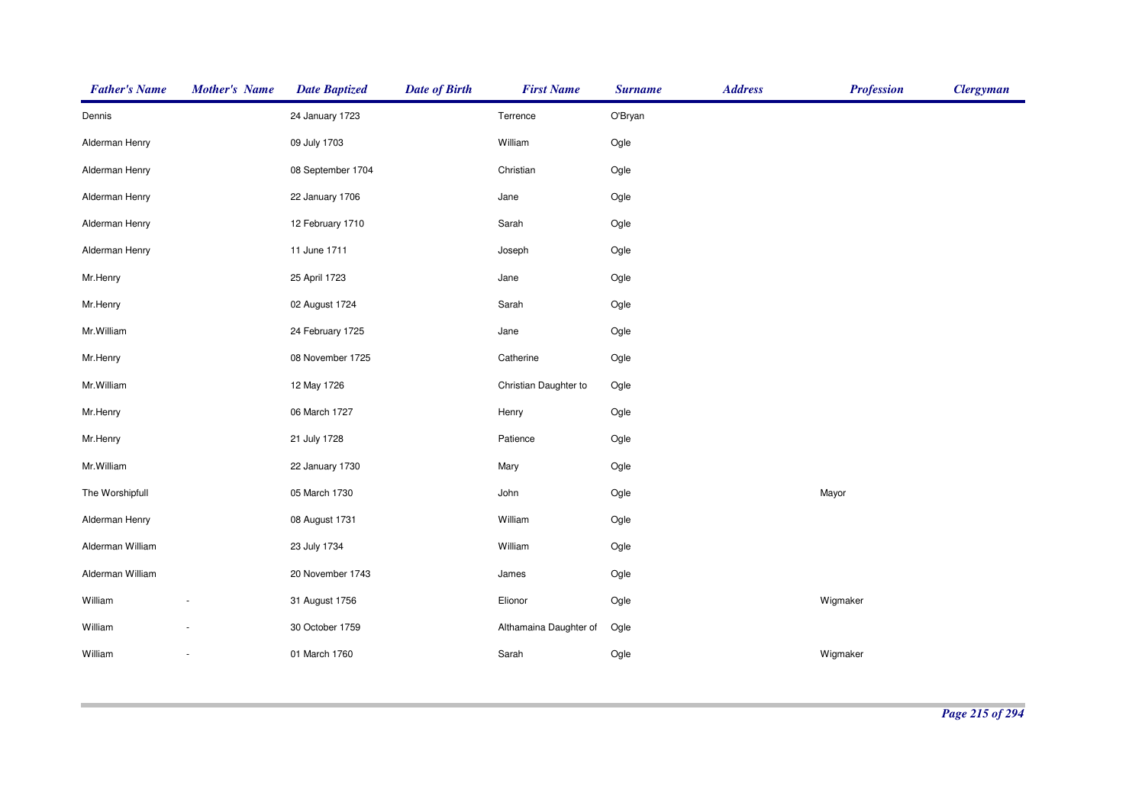| <b>Father's Name</b> | <b>Mother's Name</b> | <b>Date Baptized</b> | <b>Date of Birth</b> | <b>First Name</b>      | <b>Surname</b> | <b>Address</b> | <b>Profession</b> | <b>Clergyman</b> |
|----------------------|----------------------|----------------------|----------------------|------------------------|----------------|----------------|-------------------|------------------|
| Dennis               |                      | 24 January 1723      |                      | Terrence               | O'Bryan        |                |                   |                  |
| Alderman Henry       |                      | 09 July 1703         |                      | William                | Ogle           |                |                   |                  |
| Alderman Henry       |                      | 08 September 1704    |                      | Christian              | Ogle           |                |                   |                  |
| Alderman Henry       |                      | 22 January 1706      |                      | Jane                   | Ogle           |                |                   |                  |
| Alderman Henry       |                      | 12 February 1710     |                      | Sarah                  | Ogle           |                |                   |                  |
| Alderman Henry       |                      | 11 June 1711         |                      | Joseph                 | Ogle           |                |                   |                  |
| Mr.Henry             |                      | 25 April 1723        |                      | Jane                   | Ogle           |                |                   |                  |
| Mr.Henry             |                      | 02 August 1724       |                      | Sarah                  | Ogle           |                |                   |                  |
| Mr.William           |                      | 24 February 1725     |                      | Jane                   | Ogle           |                |                   |                  |
| Mr.Henry             |                      | 08 November 1725     |                      | Catherine              | Ogle           |                |                   |                  |
| Mr. William          |                      | 12 May 1726          |                      | Christian Daughter to  | Ogle           |                |                   |                  |
| Mr.Henry             |                      | 06 March 1727        |                      | Henry                  | Ogle           |                |                   |                  |
| Mr.Henry             |                      | 21 July 1728         |                      | Patience               | Ogle           |                |                   |                  |
| Mr.William           |                      | 22 January 1730      |                      | Mary                   | Ogle           |                |                   |                  |
| The Worshipfull      |                      | 05 March 1730        |                      | John                   | Ogle           |                | Mayor             |                  |
| Alderman Henry       |                      | 08 August 1731       |                      | William                | Ogle           |                |                   |                  |
| Alderman William     |                      | 23 July 1734         |                      | William                | Ogle           |                |                   |                  |
| Alderman William     |                      | 20 November 1743     |                      | James                  | Ogle           |                |                   |                  |
| William              |                      | 31 August 1756       |                      | Elionor                | Ogle           |                | Wigmaker          |                  |
| William              |                      | 30 October 1759      |                      | Althamaina Daughter of | Ogle           |                |                   |                  |
| William              |                      | 01 March 1760        |                      | Sarah                  | Ogle           |                | Wigmaker          |                  |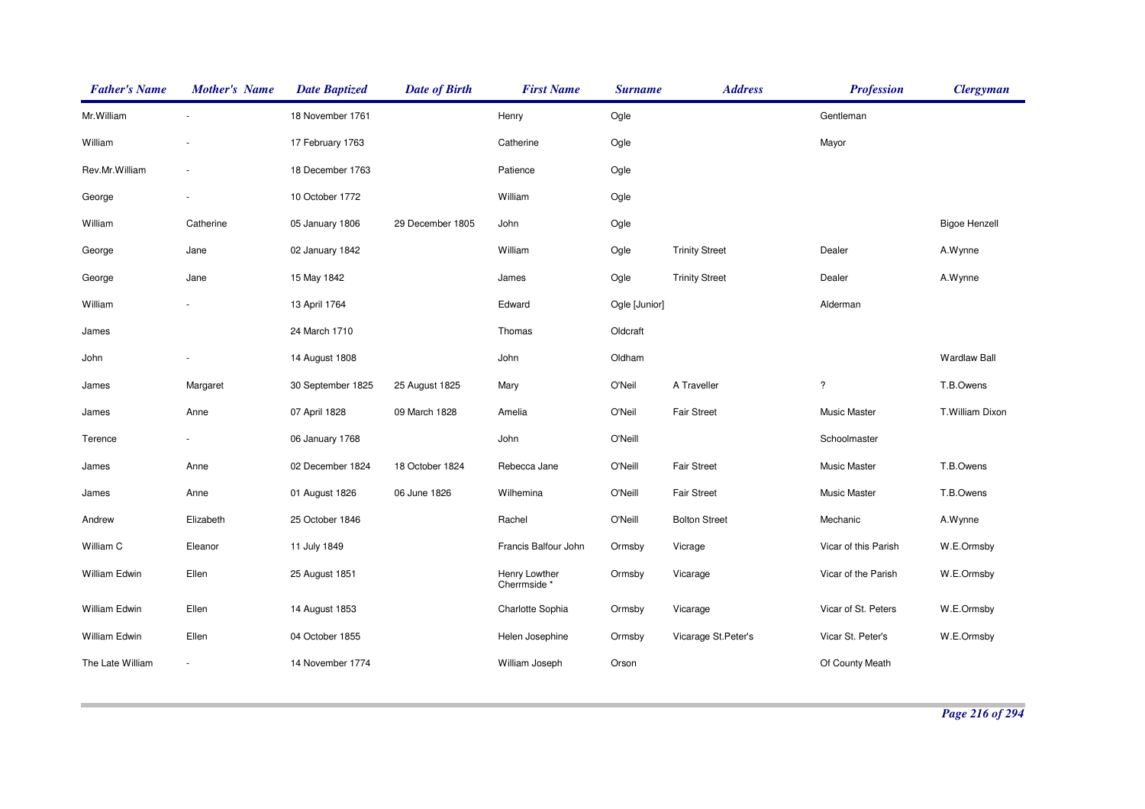| <b>Father's Name</b> | <b>Mother's Name</b> | <b>Date Baptized</b> | <b>Date of Birth</b> | <b>First Name</b>            | <b>Surname</b> | <b>Address</b>        | <b>Profession</b>    | <b>Clergyman</b>     |
|----------------------|----------------------|----------------------|----------------------|------------------------------|----------------|-----------------------|----------------------|----------------------|
| Mr. William          |                      | 18 November 1761     |                      | Henry                        | Ogle           |                       | Gentleman            |                      |
| William              |                      | 17 February 1763     |                      | Catherine                    | Ogle           |                       | Mayor                |                      |
| Rev.Mr.William       |                      | 18 December 1763     |                      | Patience                     | Ogle           |                       |                      |                      |
| George               |                      | 10 October 1772      |                      | William                      | Ogle           |                       |                      |                      |
| William              | Catherine            | 05 January 1806      | 29 December 1805     | John                         | Ogle           |                       |                      | <b>Bigoe Henzell</b> |
| George               | Jane                 | 02 January 1842      |                      | William                      | Ogle           | <b>Trinity Street</b> | Dealer               | A.Wynne              |
| George               | Jane                 | 15 May 1842          |                      | James                        | Ogle           | <b>Trinity Street</b> | Dealer               | A.Wynne              |
| William              |                      | 13 April 1764        |                      | Edward                       | Ogle [Junior]  |                       | Alderman             |                      |
| James                |                      | 24 March 1710        |                      | Thomas                       | Oldcraft       |                       |                      |                      |
| John                 |                      | 14 August 1808       |                      | John                         | Oldham         |                       |                      | <b>Wardlaw Ball</b>  |
| James                | Margaret             | 30 September 1825    | 25 August 1825       | Mary                         | O'Neil         | A Traveller           | $\ddot{?}$           | T.B.Owens            |
| James                | Anne                 | 07 April 1828        | 09 March 1828        | Amelia                       | O'Neil         | <b>Fair Street</b>    | Music Master         | T.William Dixon      |
| Terence              |                      | 06 January 1768      |                      | John                         | O'Neill        |                       | Schoolmaster         |                      |
| James                | Anne                 | 02 December 1824     | 18 October 1824      | Rebecca Jane                 | <b>O'Neill</b> | <b>Fair Street</b>    | Music Master         | T.B.Owens            |
| James                | Anne                 | 01 August 1826       | 06 June 1826         | Wilhemina                    | O'Neill        | <b>Fair Street</b>    | <b>Music Master</b>  | T.B.Owens            |
| Andrew               | Elizabeth            | 25 October 1846      |                      | Rachel                       | O'Neill        | <b>Bolton Street</b>  | Mechanic             | A.Wynne              |
| William C            | Eleanor              | 11 July 1849         |                      | Francis Balfour John         | Ormsby         | Vicrage               | Vicar of this Parish | W.E.Ormsby           |
| William Edwin        | Ellen                | 25 August 1851       |                      | Henry Lowther<br>Cherrmside* | Ormsby         | Vicarage              | Vicar of the Parish  | W.E.Ormsby           |
| William Edwin        | Ellen                | 14 August 1853       |                      | Charlotte Sophia             | Ormsby         | Vicarage              | Vicar of St. Peters  | W.E.Ormsby           |
| William Edwin        | Ellen                | 04 October 1855      |                      | Helen Josephine              | Ormsby         | Vicarage St.Peter's   | Vicar St. Peter's    | W.E.Ormsby           |
| The Late William     |                      | 14 November 1774     |                      | William Joseph               | Orson          |                       | Of County Meath      |                      |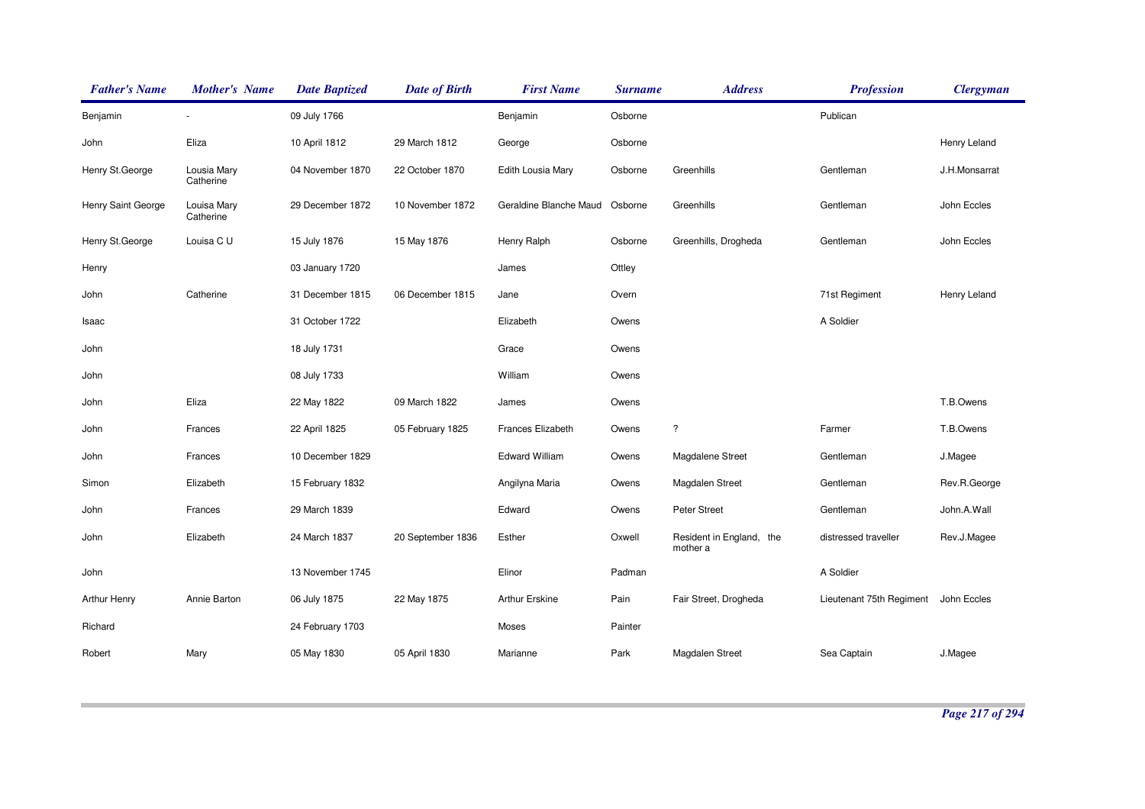| <b>Father's Name</b> | <b>Mother's Name</b>     | <b>Date Baptized</b> | <b>Date of Birth</b> | <b>First Name</b>              | <b>Surname</b> | <b>Address</b>                       | <b>Profession</b>        | <b>Clergyman</b> |
|----------------------|--------------------------|----------------------|----------------------|--------------------------------|----------------|--------------------------------------|--------------------------|------------------|
| Benjamin             |                          | 09 July 1766         |                      | Benjamin                       | Osborne        |                                      | Publican                 |                  |
| John                 | Eliza                    | 10 April 1812        | 29 March 1812        | George                         | Osborne        |                                      |                          | Henry Leland     |
| Henry St.George      | Lousia Mary<br>Catherine | 04 November 1870     | 22 October 1870      | Edith Lousia Mary              | Osborne        | Greenhills                           | Gentleman                | J.H.Monsarrat    |
| Henry Saint George   | Louisa Mary<br>Catherine | 29 December 1872     | 10 November 1872     | Geraldine Blanche Maud Osborne |                | Greenhills                           | Gentleman                | John Eccles      |
| Henry St.George      | Louisa C U               | 15 July 1876         | 15 May 1876          | Henry Ralph                    | Osborne        | Greenhills, Drogheda                 | Gentleman                | John Eccles      |
| Henry                |                          | 03 January 1720      |                      | James                          | Ottley         |                                      |                          |                  |
| John                 | Catherine                | 31 December 1815     | 06 December 1815     | Jane                           | Overn          |                                      | 71st Regiment            | Henry Leland     |
| Isaac                |                          | 31 October 1722      |                      | Elizabeth                      | Owens          |                                      | A Soldier                |                  |
| John                 |                          | 18 July 1731         |                      | Grace                          | Owens          |                                      |                          |                  |
| John                 |                          | 08 July 1733         |                      | William                        | Owens          |                                      |                          |                  |
| John                 | Eliza                    | 22 May 1822          | 09 March 1822        | James                          | Owens          |                                      |                          | T.B.Owens        |
| John                 | Frances                  | 22 April 1825        | 05 February 1825     | Frances Elizabeth              | Owens          | $\overline{?}$                       | Farmer                   | T.B.Owens        |
| John                 | Frances                  | 10 December 1829     |                      | <b>Edward William</b>          | Owens          | Magdalene Street                     | Gentleman                | J.Magee          |
| Simon                | Elizabeth                | 15 February 1832     |                      | Angilyna Maria                 | Owens          | Magdalen Street                      | Gentleman                | Rev.R.George     |
| John                 | Frances                  | 29 March 1839        |                      | Edward                         | Owens          | Peter Street                         | Gentleman                | John.A.Wall      |
| John                 | Elizabeth                | 24 March 1837        | 20 September 1836    | Esther                         | Oxwell         | Resident in England, the<br>mother a | distressed traveller     | Rev.J.Magee      |
| John                 |                          | 13 November 1745     |                      | Elinor                         | Padman         |                                      | A Soldier                |                  |
| Arthur Henry         | Annie Barton             | 06 July 1875         | 22 May 1875          | <b>Arthur Erskine</b>          | Pain           | Fair Street, Drogheda                | Lieutenant 75th Regiment | John Eccles      |
| Richard              |                          | 24 February 1703     |                      | Moses                          | Painter        |                                      |                          |                  |
| Robert               | Mary                     | 05 May 1830          | 05 April 1830        | Marianne                       | Park           | Magdalen Street                      | Sea Captain              | J.Magee          |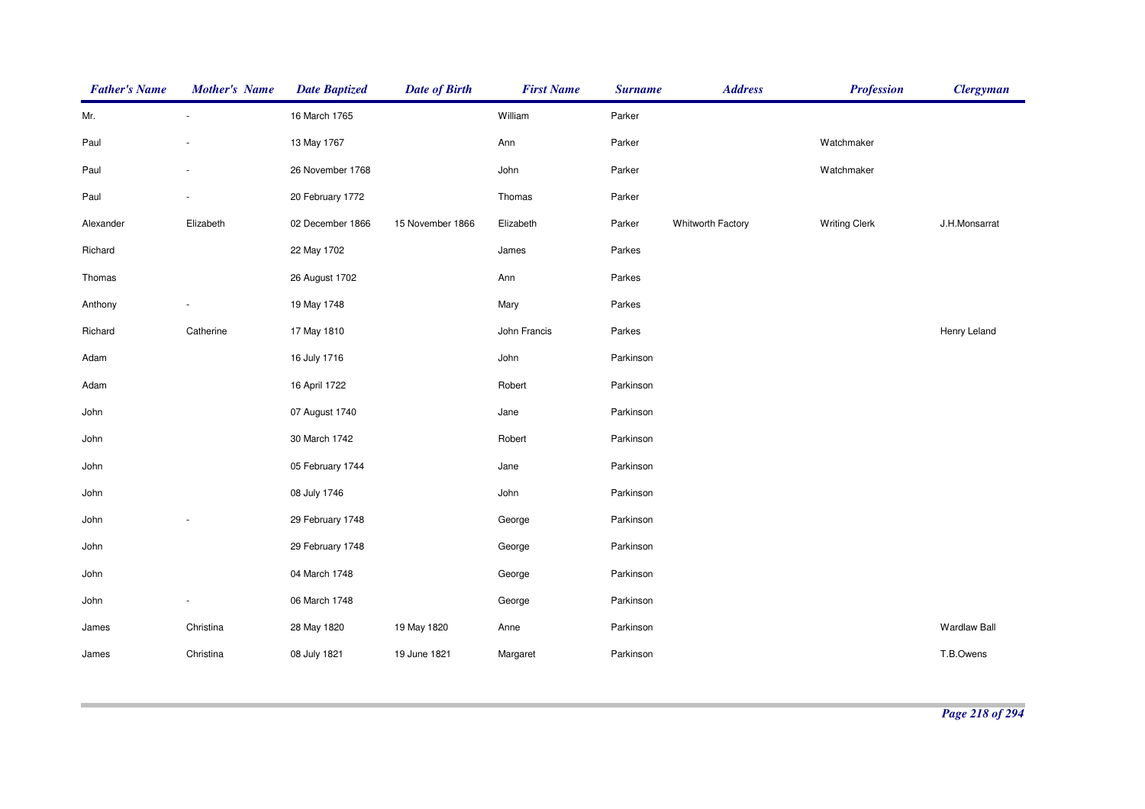| <b>Father's Name</b> | <b>Mother's Name</b> | <b>Date Baptized</b> | <b>Date of Birth</b> | <b>First Name</b> | <b>Surname</b> | <b>Address</b>    | <b>Profession</b>    | <b>Clergyman</b>    |
|----------------------|----------------------|----------------------|----------------------|-------------------|----------------|-------------------|----------------------|---------------------|
| Mr.                  |                      | 16 March 1765        |                      | William           | Parker         |                   |                      |                     |
| Paul                 |                      | 13 May 1767          |                      | Ann               | Parker         |                   | Watchmaker           |                     |
| Paul                 |                      | 26 November 1768     |                      | John              | Parker         |                   | Watchmaker           |                     |
| Paul                 |                      | 20 February 1772     |                      | Thomas            | Parker         |                   |                      |                     |
| Alexander            | Elizabeth            | 02 December 1866     | 15 November 1866     | Elizabeth         | Parker         | Whitworth Factory | <b>Writing Clerk</b> | J.H.Monsarrat       |
| Richard              |                      | 22 May 1702          |                      | James             | Parkes         |                   |                      |                     |
| Thomas               |                      | 26 August 1702       |                      | Ann               | Parkes         |                   |                      |                     |
| Anthony              |                      | 19 May 1748          |                      | Mary              | Parkes         |                   |                      |                     |
| Richard              | Catherine            | 17 May 1810          |                      | John Francis      | Parkes         |                   |                      | Henry Leland        |
| Adam                 |                      | 16 July 1716         |                      | John              | Parkinson      |                   |                      |                     |
| Adam                 |                      | 16 April 1722        |                      | Robert            | Parkinson      |                   |                      |                     |
| John                 |                      | 07 August 1740       |                      | Jane              | Parkinson      |                   |                      |                     |
| John                 |                      | 30 March 1742        |                      | Robert            | Parkinson      |                   |                      |                     |
| John                 |                      | 05 February 1744     |                      | Jane              | Parkinson      |                   |                      |                     |
| John                 |                      | 08 July 1746         |                      | John              | Parkinson      |                   |                      |                     |
| John                 |                      | 29 February 1748     |                      | George            | Parkinson      |                   |                      |                     |
| John                 |                      | 29 February 1748     |                      | George            | Parkinson      |                   |                      |                     |
| John                 |                      | 04 March 1748        |                      | George            | Parkinson      |                   |                      |                     |
| John                 |                      | 06 March 1748        |                      | George            | Parkinson      |                   |                      |                     |
| James                | Christina            | 28 May 1820          | 19 May 1820          | Anne              | Parkinson      |                   |                      | <b>Wardlaw Ball</b> |
| James                | Christina            | 08 July 1821         | 19 June 1821         | Margaret          | Parkinson      |                   |                      | T.B.Owens           |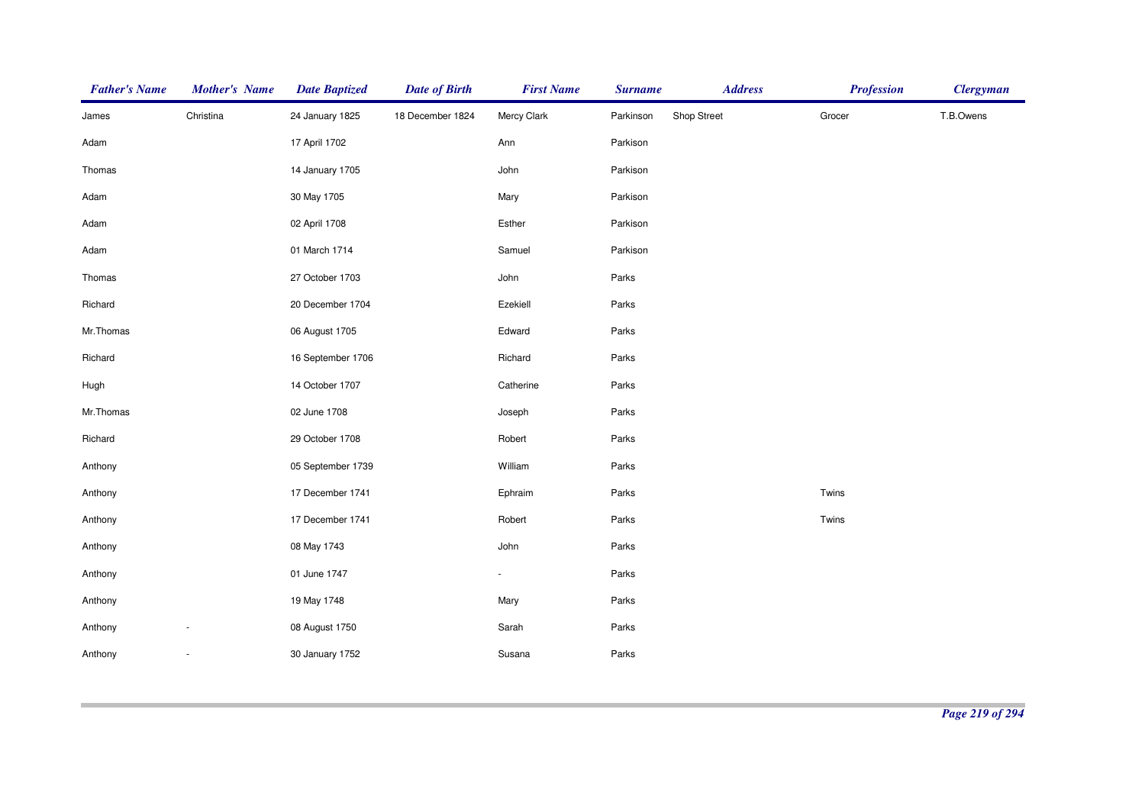| <b>Father's Name</b> | <b>Mother's Name</b> | <b>Date Baptized</b> | <b>Date of Birth</b> | <b>First Name</b> | <b>Surname</b> | <b>Address</b> | <b>Profession</b> | <b>Clergyman</b> |
|----------------------|----------------------|----------------------|----------------------|-------------------|----------------|----------------|-------------------|------------------|
| James                | Christina            | 24 January 1825      | 18 December 1824     | Mercy Clark       | Parkinson      | Shop Street    | Grocer            | T.B.Owens        |
| Adam                 |                      | 17 April 1702        |                      | Ann               | Parkison       |                |                   |                  |
| Thomas               |                      | 14 January 1705      |                      | John              | Parkison       |                |                   |                  |
| Adam                 |                      | 30 May 1705          |                      | Mary              | Parkison       |                |                   |                  |
| Adam                 |                      | 02 April 1708        |                      | Esther            | Parkison       |                |                   |                  |
| Adam                 |                      | 01 March 1714        |                      | Samuel            | Parkison       |                |                   |                  |
| Thomas               |                      | 27 October 1703      |                      | John              | Parks          |                |                   |                  |
| Richard              |                      | 20 December 1704     |                      | Ezekiell          | Parks          |                |                   |                  |
| Mr.Thomas            |                      | 06 August 1705       |                      | Edward            | Parks          |                |                   |                  |
| Richard              |                      | 16 September 1706    |                      | Richard           | Parks          |                |                   |                  |
| Hugh                 |                      | 14 October 1707      |                      | Catherine         | Parks          |                |                   |                  |
| Mr.Thomas            |                      | 02 June 1708         |                      | Joseph            | Parks          |                |                   |                  |
| Richard              |                      | 29 October 1708      |                      | Robert            | Parks          |                |                   |                  |
| Anthony              |                      | 05 September 1739    |                      | William           | Parks          |                |                   |                  |
| Anthony              |                      | 17 December 1741     |                      | Ephraim           | Parks          |                | Twins             |                  |
| Anthony              |                      | 17 December 1741     |                      | Robert            | Parks          |                | Twins             |                  |
| Anthony              |                      | 08 May 1743          |                      | John              | Parks          |                |                   |                  |
| Anthony              |                      | 01 June 1747         |                      | $\blacksquare$    | Parks          |                |                   |                  |
| Anthony              |                      | 19 May 1748          |                      | Mary              | Parks          |                |                   |                  |
| Anthony              |                      | 08 August 1750       |                      | Sarah             | Parks          |                |                   |                  |
| Anthony              |                      | 30 January 1752      |                      | Susana            | Parks          |                |                   |                  |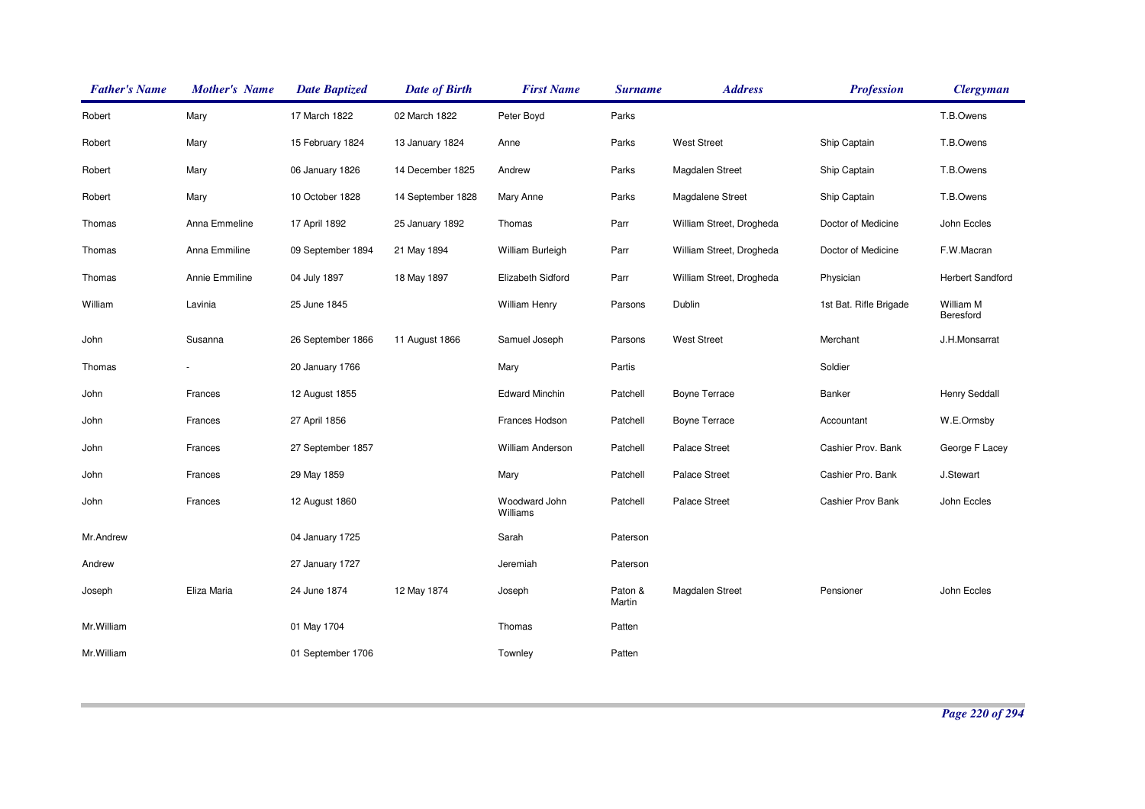| <b>Father's Name</b> | <b>Mother's Name</b> | <b>Date Baptized</b> | <b>Date of Birth</b> | <b>First Name</b>         | <b>Surname</b>    | <b>Address</b>           | <b>Profession</b>      | <b>Clergyman</b>       |
|----------------------|----------------------|----------------------|----------------------|---------------------------|-------------------|--------------------------|------------------------|------------------------|
| Robert               | Mary                 | 17 March 1822        | 02 March 1822        | Peter Boyd                | Parks             |                          |                        | T.B.Owens              |
| Robert               | Mary                 | 15 February 1824     | 13 January 1824      | Anne                      | Parks             | <b>West Street</b>       | Ship Captain           | T.B.Owens              |
| Robert               | Mary                 | 06 January 1826      | 14 December 1825     | Andrew                    | Parks             | Magdalen Street          | Ship Captain           | T.B.Owens              |
| Robert               | Mary                 | 10 October 1828      | 14 September 1828    | Mary Anne                 | Parks             | Magdalene Street         | Ship Captain           | T.B.Owens              |
| Thomas               | Anna Emmeline        | 17 April 1892        | 25 January 1892      | Thomas                    | Parr              | William Street, Drogheda | Doctor of Medicine     | John Eccles            |
| Thomas               | Anna Emmiline        | 09 September 1894    | 21 May 1894          | William Burleigh          | Parr              | William Street, Drogheda | Doctor of Medicine     | F.W.Macran             |
| Thomas               | Annie Emmiline       | 04 July 1897         | 18 May 1897          | Elizabeth Sidford         | Parr              | William Street, Drogheda | Physician              | Herbert Sandford       |
| William              | Lavinia              | 25 June 1845         |                      | William Henry             | Parsons           | Dublin                   | 1st Bat. Rifle Brigade | William M<br>Beresford |
| John                 | Susanna              | 26 September 1866    | 11 August 1866       | Samuel Joseph             | Parsons           | <b>West Street</b>       | Merchant               | J.H.Monsarrat          |
| Thomas               |                      | 20 January 1766      |                      | Mary                      | Partis            |                          | Soldier                |                        |
| John                 | Frances              | 12 August 1855       |                      | <b>Edward Minchin</b>     | Patchell          | <b>Boyne Terrace</b>     | Banker                 | <b>Henry Seddall</b>   |
| John                 | Frances              | 27 April 1856        |                      | Frances Hodson            | Patchell          | Boyne Terrace            | Accountant             | W.E.Ormsby             |
| John                 | Frances              | 27 September 1857    |                      | <b>William Anderson</b>   | Patchell          | <b>Palace Street</b>     | Cashier Prov. Bank     | George F Lacey         |
| John                 | Frances              | 29 May 1859          |                      | Mary                      | Patchell          | <b>Palace Street</b>     | Cashier Pro. Bank      | J.Stewart              |
| John                 | Frances              | 12 August 1860       |                      | Woodward John<br>Williams | Patchell          | Palace Street            | Cashier Prov Bank      | John Eccles            |
| Mr.Andrew            |                      | 04 January 1725      |                      | Sarah                     | Paterson          |                          |                        |                        |
| Andrew               |                      | 27 January 1727      |                      | Jeremiah                  | Paterson          |                          |                        |                        |
| Joseph               | Eliza Maria          | 24 June 1874         | 12 May 1874          | Joseph                    | Paton &<br>Martin | Magdalen Street          | Pensioner              | John Eccles            |
| Mr.William           |                      | 01 May 1704          |                      | Thomas                    | Patten            |                          |                        |                        |
| Mr.William           |                      | 01 September 1706    |                      | Townley                   | Patten            |                          |                        |                        |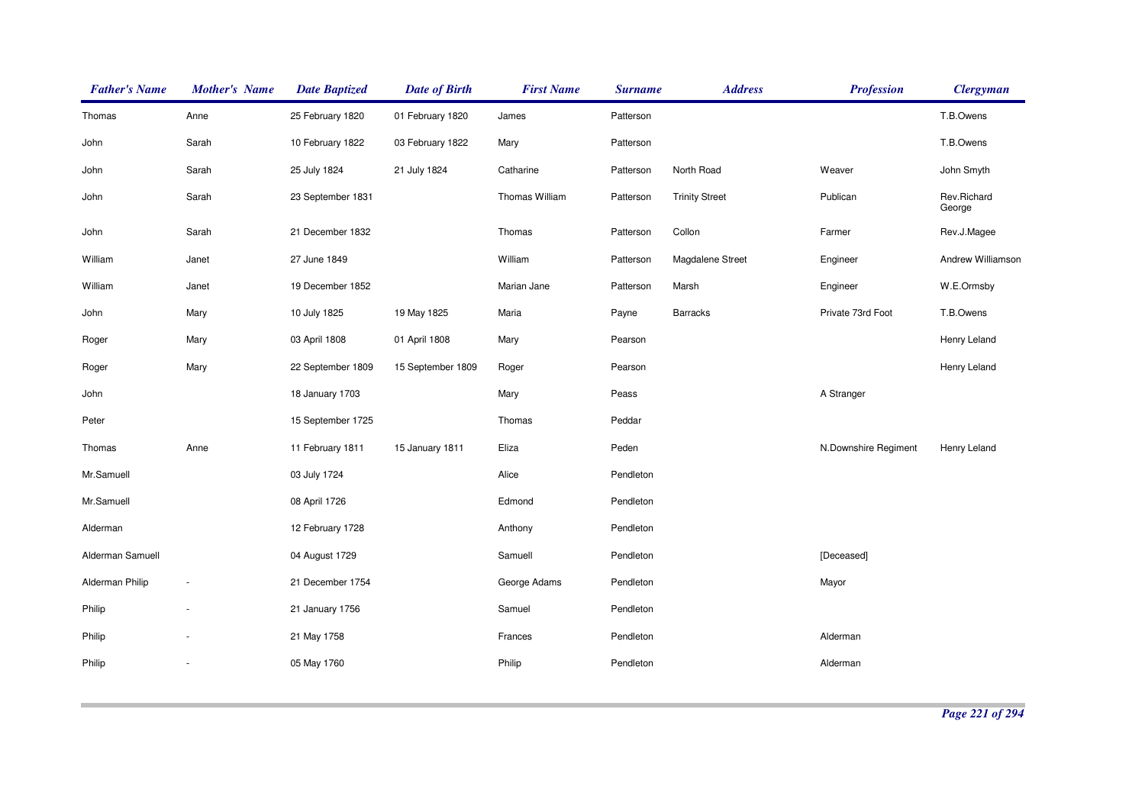| <b>Father's Name</b> | <b>Mother's Name</b>     | <b>Date Baptized</b> | <b>Date of Birth</b> | <b>First Name</b>     | <b>Surname</b> | <b>Address</b>        | <b>Profession</b>    | <b>Clergyman</b>      |
|----------------------|--------------------------|----------------------|----------------------|-----------------------|----------------|-----------------------|----------------------|-----------------------|
| Thomas               | Anne                     | 25 February 1820     | 01 February 1820     | James                 | Patterson      |                       |                      | T.B.Owens             |
| John                 | Sarah                    | 10 February 1822     | 03 February 1822     | Mary                  | Patterson      |                       |                      | T.B.Owens             |
| John                 | Sarah                    | 25 July 1824         | 21 July 1824         | Catharine             | Patterson      | North Road            | Weaver               | John Smyth            |
| John                 | Sarah                    | 23 September 1831    |                      | <b>Thomas William</b> | Patterson      | <b>Trinity Street</b> | Publican             | Rev.Richard<br>George |
| John                 | Sarah                    | 21 December 1832     |                      | Thomas                | Patterson      | Collon                | Farmer               | Rev.J.Magee           |
| William              | Janet                    | 27 June 1849         |                      | William               | Patterson      | Magdalene Street      | Engineer             | Andrew Williamson     |
| William              | Janet                    | 19 December 1852     |                      | Marian Jane           | Patterson      | Marsh                 | Engineer             | W.E.Ormsby            |
| John                 | Mary                     | 10 July 1825         | 19 May 1825          | Maria                 | Payne          | <b>Barracks</b>       | Private 73rd Foot    | T.B.Owens             |
| Roger                | Mary                     | 03 April 1808        | 01 April 1808        | Mary                  | Pearson        |                       |                      | Henry Leland          |
| Roger                | Mary                     | 22 September 1809    | 15 September 1809    | Roger                 | Pearson        |                       |                      | Henry Leland          |
| John                 |                          | 18 January 1703      |                      | Mary                  | Peass          |                       | A Stranger           |                       |
| Peter                |                          | 15 September 1725    |                      | Thomas                | Peddar         |                       |                      |                       |
| Thomas               | Anne                     | 11 February 1811     | 15 January 1811      | Eliza                 | Peden          |                       | N.Downshire Regiment | Henry Leland          |
| Mr.Samuell           |                          | 03 July 1724         |                      | Alice                 | Pendleton      |                       |                      |                       |
| Mr.Samuell           |                          | 08 April 1726        |                      | Edmond                | Pendleton      |                       |                      |                       |
| Alderman             |                          | 12 February 1728     |                      | Anthony               | Pendleton      |                       |                      |                       |
| Alderman Samuell     |                          | 04 August 1729       |                      | Samuell               | Pendleton      |                       | [Deceased]           |                       |
| Alderman Philip      | $\overline{\phantom{a}}$ | 21 December 1754     |                      | George Adams          | Pendleton      |                       | Mayor                |                       |
| Philip               |                          | 21 January 1756      |                      | Samuel                | Pendleton      |                       |                      |                       |
| Philip               |                          | 21 May 1758          |                      | Frances               | Pendleton      |                       | Alderman             |                       |
| Philip               |                          | 05 May 1760          |                      | Philip                | Pendleton      |                       | Alderman             |                       |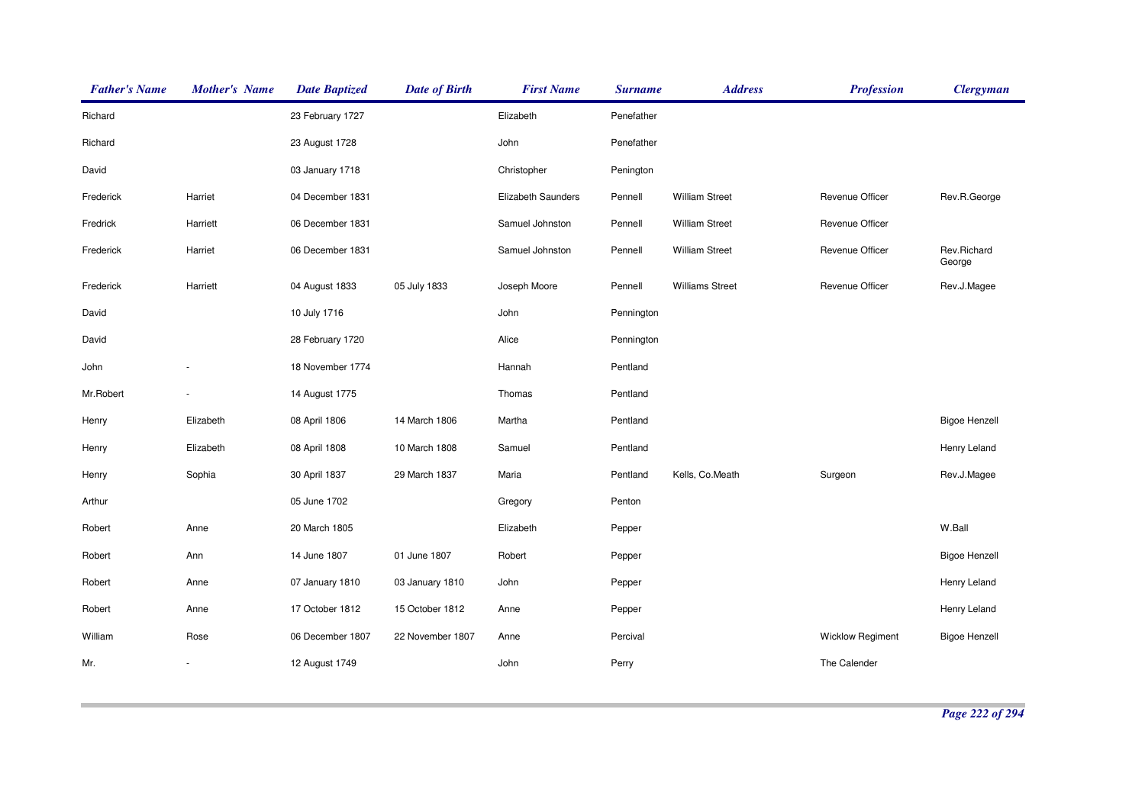| <b>Father's Name</b> | <b>Mother's Name</b> | <b>Date Baptized</b> | <b>Date of Birth</b> | <b>First Name</b>         | <b>Surname</b> | <b>Address</b>         | <b>Profession</b>       | <b>Clergyman</b>      |
|----------------------|----------------------|----------------------|----------------------|---------------------------|----------------|------------------------|-------------------------|-----------------------|
| Richard              |                      | 23 February 1727     |                      | Elizabeth                 | Penefather     |                        |                         |                       |
| Richard              |                      | 23 August 1728       |                      | John                      | Penefather     |                        |                         |                       |
| David                |                      | 03 January 1718      |                      | Christopher               | Penington      |                        |                         |                       |
| Frederick            | Harriet              | 04 December 1831     |                      | <b>Elizabeth Saunders</b> | Pennell        | <b>William Street</b>  | Revenue Officer         | Rev.R.George          |
| Fredrick             | Harriett             | 06 December 1831     |                      | Samuel Johnston           | Pennell        | <b>William Street</b>  | <b>Revenue Officer</b>  |                       |
| Frederick            | Harriet              | 06 December 1831     |                      | Samuel Johnston           | Pennell        | <b>William Street</b>  | Revenue Officer         | Rev.Richard<br>George |
| Frederick            | Harriett             | 04 August 1833       | 05 July 1833         | Joseph Moore              | Pennell        | <b>Williams Street</b> | Revenue Officer         | Rev.J.Magee           |
| David                |                      | 10 July 1716         |                      | John                      | Pennington     |                        |                         |                       |
| David                |                      | 28 February 1720     |                      | Alice                     | Pennington     |                        |                         |                       |
| John                 |                      | 18 November 1774     |                      | Hannah                    | Pentland       |                        |                         |                       |
| Mr.Robert            |                      | 14 August 1775       |                      | Thomas                    | Pentland       |                        |                         |                       |
| Henry                | Elizabeth            | 08 April 1806        | 14 March 1806        | Martha                    | Pentland       |                        |                         | <b>Bigoe Henzell</b>  |
| Henry                | Elizabeth            | 08 April 1808        | 10 March 1808        | Samuel                    | Pentland       |                        |                         | Henry Leland          |
| Henry                | Sophia               | 30 April 1837        | 29 March 1837        | Maria                     | Pentland       | Kells, Co.Meath        | Surgeon                 | Rev.J.Magee           |
| Arthur               |                      | 05 June 1702         |                      | Gregory                   | Penton         |                        |                         |                       |
| Robert               | Anne                 | 20 March 1805        |                      | Elizabeth                 | Pepper         |                        |                         | W.Ball                |
| Robert               | Ann                  | 14 June 1807         | 01 June 1807         | Robert                    | Pepper         |                        |                         | <b>Bigoe Henzell</b>  |
| Robert               | Anne                 | 07 January 1810      | 03 January 1810      | John                      | Pepper         |                        |                         | Henry Leland          |
| Robert               | Anne                 | 17 October 1812      | 15 October 1812      | Anne                      | Pepper         |                        |                         | Henry Leland          |
| William              | Rose                 | 06 December 1807     | 22 November 1807     | Anne                      | Percival       |                        | <b>Wicklow Regiment</b> | <b>Bigoe Henzell</b>  |
| Mr.                  |                      | 12 August 1749       |                      | John                      | Perry          |                        | The Calender            |                       |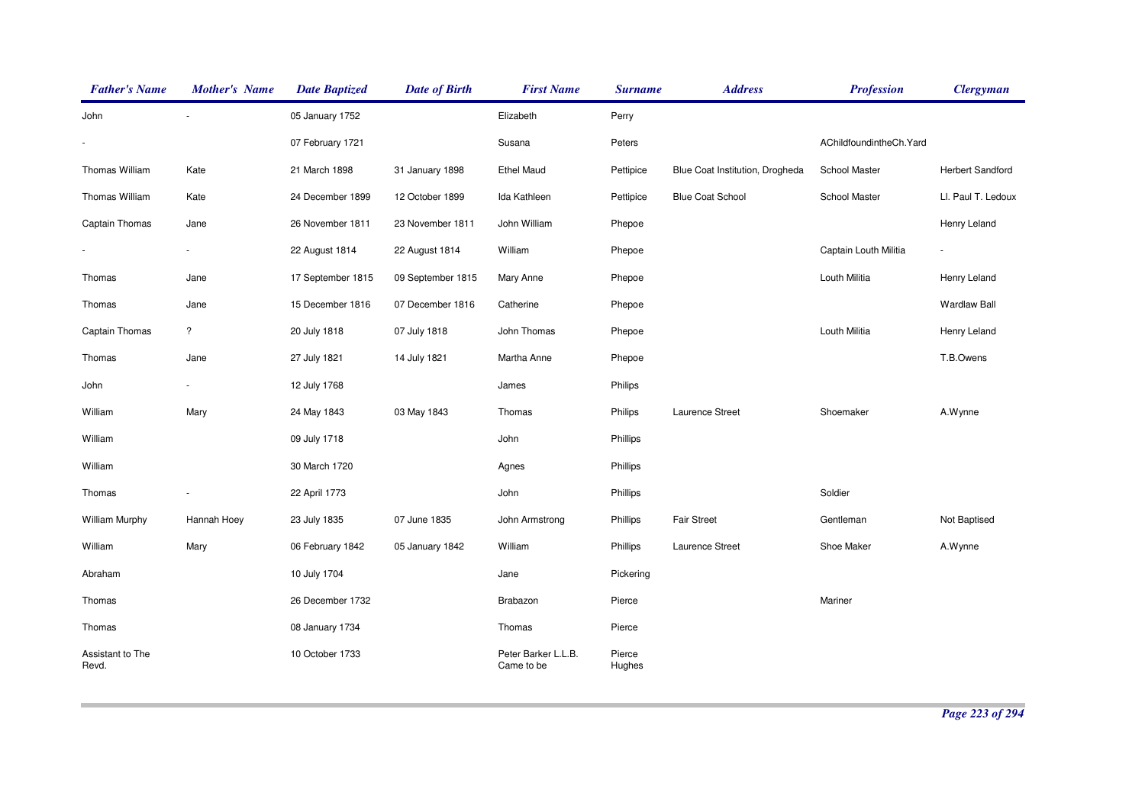| <b>Father's Name</b>      | <b>Mother's Name</b> | <b>Date Baptized</b> | <b>Date of Birth</b> | <b>First Name</b>                 | <b>Surname</b>   | <b>Address</b>                  | <b>Profession</b>        | <b>Clergyman</b>    |
|---------------------------|----------------------|----------------------|----------------------|-----------------------------------|------------------|---------------------------------|--------------------------|---------------------|
| John                      |                      | 05 January 1752      |                      | Elizabeth                         | Perry            |                                 |                          |                     |
|                           |                      | 07 February 1721     |                      | Susana                            | Peters           |                                 | AChildfoundintheCh. Yard |                     |
| Thomas William            | Kate                 | 21 March 1898        | 31 January 1898      | <b>Ethel Maud</b>                 | Pettipice        | Blue Coat Institution, Drogheda | School Master            | Herbert Sandford    |
| Thomas William            | Kate                 | 24 December 1899     | 12 October 1899      | Ida Kathleen                      | Pettipice        | <b>Blue Coat School</b>         | School Master            | Ll. Paul T. Ledoux  |
| Captain Thomas            | Jane                 | 26 November 1811     | 23 November 1811     | John William                      | Phepoe           |                                 |                          | Henry Leland        |
|                           |                      | 22 August 1814       | 22 August 1814       | William                           | Phepoe           |                                 | Captain Louth Militia    | $\blacksquare$      |
| Thomas                    | Jane                 | 17 September 1815    | 09 September 1815    | Mary Anne                         | Phepoe           |                                 | Louth Militia            | Henry Leland        |
| Thomas                    | Jane                 | 15 December 1816     | 07 December 1816     | Catherine                         | Phepoe           |                                 |                          | <b>Wardlaw Ball</b> |
| Captain Thomas            | $\overline{?}$       | 20 July 1818         | 07 July 1818         | John Thomas                       | Phepoe           |                                 | Louth Militia            | Henry Leland        |
| Thomas                    | Jane                 | 27 July 1821         | 14 July 1821         | Martha Anne                       | Phepoe           |                                 |                          | T.B.Owens           |
| John                      |                      | 12 July 1768         |                      | James                             | Philips          |                                 |                          |                     |
| William                   | Mary                 | 24 May 1843          | 03 May 1843          | Thomas                            | Philips          | Laurence Street                 | Shoemaker                | A.Wynne             |
| William                   |                      | 09 July 1718         |                      | John                              | Phillips         |                                 |                          |                     |
| William                   |                      | 30 March 1720        |                      | Agnes                             | Phillips         |                                 |                          |                     |
| Thomas                    |                      | 22 April 1773        |                      | John                              | Phillips         |                                 | Soldier                  |                     |
| <b>William Murphy</b>     | Hannah Hoey          | 23 July 1835         | 07 June 1835         | John Armstrong                    | Phillips         | <b>Fair Street</b>              | Gentleman                | Not Baptised        |
| William                   | Mary                 | 06 February 1842     | 05 January 1842      | William                           | Phillips         | Laurence Street                 | Shoe Maker               | A.Wynne             |
| Abraham                   |                      | 10 July 1704         |                      | Jane                              | Pickering        |                                 |                          |                     |
| Thomas                    |                      | 26 December 1732     |                      | Brabazon                          | Pierce           |                                 | Mariner                  |                     |
| Thomas                    |                      | 08 January 1734      |                      | Thomas                            | Pierce           |                                 |                          |                     |
| Assistant to The<br>Revd. |                      | 10 October 1733      |                      | Peter Barker L.L.B.<br>Came to be | Pierce<br>Hughes |                                 |                          |                     |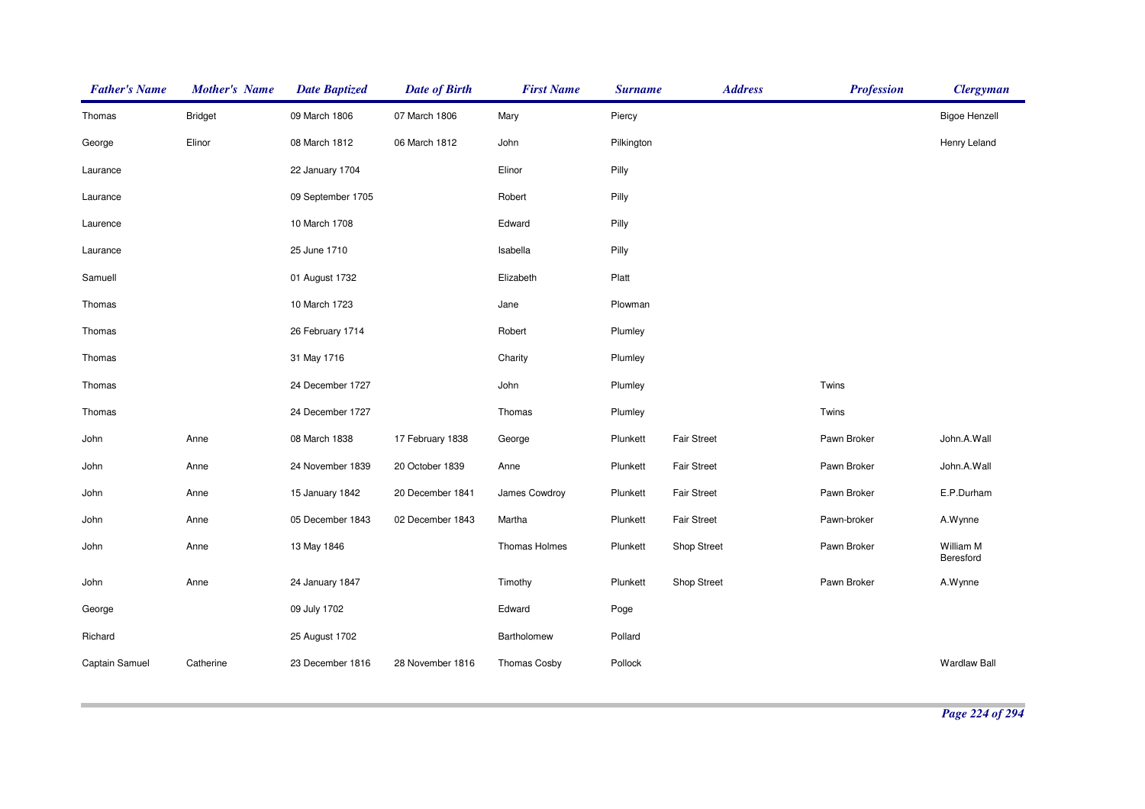| <b>Father's Name</b> | <b>Mother's Name</b> | <b>Date Baptized</b> | <b>Date of Birth</b> | <b>First Name</b>   | <b>Surname</b> | <b>Address</b>     | <b>Profession</b> | <b>Clergyman</b>       |
|----------------------|----------------------|----------------------|----------------------|---------------------|----------------|--------------------|-------------------|------------------------|
| Thomas               | <b>Bridget</b>       | 09 March 1806        | 07 March 1806        | Mary                | Piercy         |                    |                   | <b>Bigoe Henzell</b>   |
| George               | Elinor               | 08 March 1812        | 06 March 1812        | John                | Pilkington     |                    |                   | Henry Leland           |
| Laurance             |                      | 22 January 1704      |                      | Elinor              | Pilly          |                    |                   |                        |
| Laurance             |                      | 09 September 1705    |                      | Robert              | Pilly          |                    |                   |                        |
| Laurence             |                      | 10 March 1708        |                      | Edward              | Pilly          |                    |                   |                        |
| Laurance             |                      | 25 June 1710         |                      | Isabella            | Pilly          |                    |                   |                        |
| Samuell              |                      | 01 August 1732       |                      | Elizabeth           | Platt          |                    |                   |                        |
| Thomas               |                      | 10 March 1723        |                      | Jane                | Plowman        |                    |                   |                        |
| Thomas               |                      | 26 February 1714     |                      | Robert              | Plumley        |                    |                   |                        |
| Thomas               |                      | 31 May 1716          |                      | Charity             | Plumley        |                    |                   |                        |
| Thomas               |                      | 24 December 1727     |                      | John                | Plumley        |                    | Twins             |                        |
| Thomas               |                      | 24 December 1727     |                      | Thomas              | Plumley        |                    | Twins             |                        |
| John                 | Anne                 | 08 March 1838        | 17 February 1838     | George              | Plunkett       | <b>Fair Street</b> | Pawn Broker       | John.A.Wall            |
| John                 | Anne                 | 24 November 1839     | 20 October 1839      | Anne                | Plunkett       | <b>Fair Street</b> | Pawn Broker       | John.A.Wall            |
| John                 | Anne                 | 15 January 1842      | 20 December 1841     | James Cowdroy       | Plunkett       | <b>Fair Street</b> | Pawn Broker       | E.P.Durham             |
| John                 | Anne                 | 05 December 1843     | 02 December 1843     | Martha              | Plunkett       | <b>Fair Street</b> | Pawn-broker       | A.Wynne                |
| John                 | Anne                 | 13 May 1846          |                      | Thomas Holmes       | Plunkett       | <b>Shop Street</b> | Pawn Broker       | William M<br>Beresford |
| John                 | Anne                 | 24 January 1847      |                      | Timothy             | Plunkett       | <b>Shop Street</b> | Pawn Broker       | A.Wynne                |
| George               |                      | 09 July 1702         |                      | Edward              | Poge           |                    |                   |                        |
| Richard              |                      | 25 August 1702       |                      | Bartholomew         | Pollard        |                    |                   |                        |
| Captain Samuel       | Catherine            | 23 December 1816     | 28 November 1816     | <b>Thomas Cosby</b> | Pollock        |                    |                   | <b>Wardlaw Ball</b>    |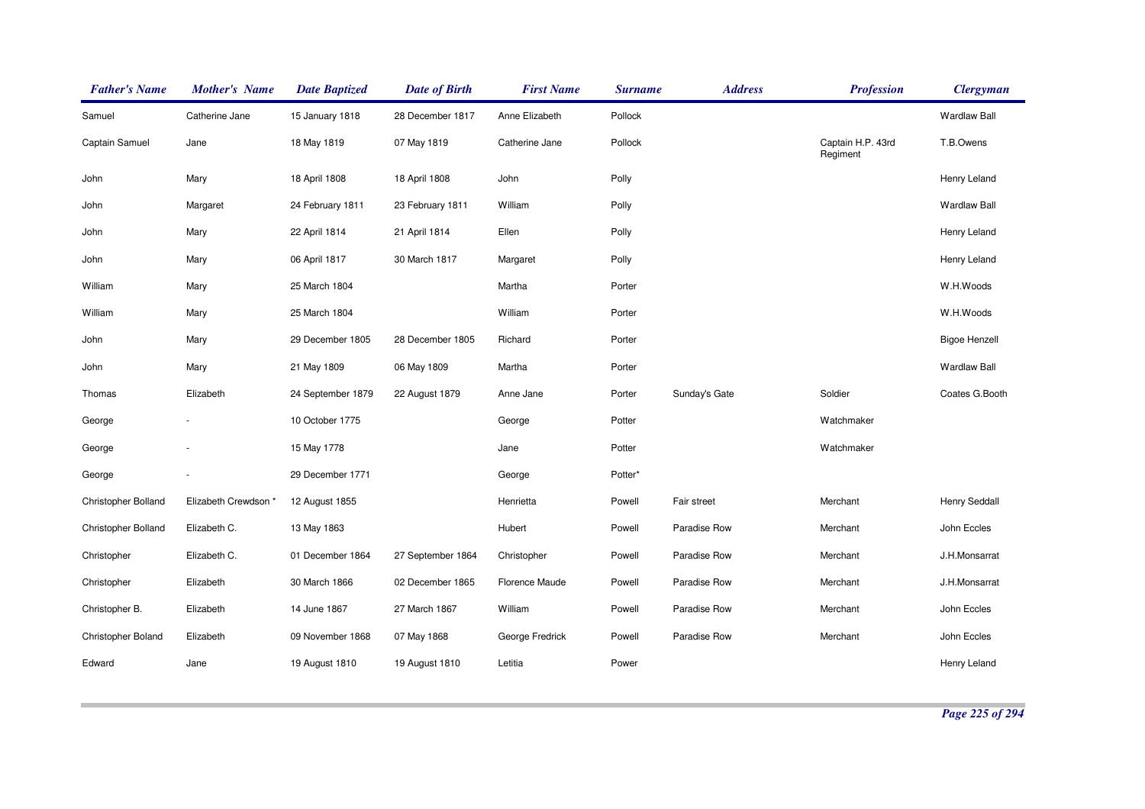| <b>Father's Name</b> | <b>Mother's Name</b> | <b>Date Baptized</b> | <b>Date of Birth</b> | <b>First Name</b> | <b>Surname</b> | <b>Address</b> | <b>Profession</b>             | <b>Clergyman</b>     |
|----------------------|----------------------|----------------------|----------------------|-------------------|----------------|----------------|-------------------------------|----------------------|
| Samuel               | Catherine Jane       | 15 January 1818      | 28 December 1817     | Anne Elizabeth    | Pollock        |                |                               | <b>Wardlaw Ball</b>  |
| Captain Samuel       | Jane                 | 18 May 1819          | 07 May 1819          | Catherine Jane    | Pollock        |                | Captain H.P. 43rd<br>Regiment | T.B.Owens            |
| John                 | Mary                 | 18 April 1808        | 18 April 1808        | John              | Polly          |                |                               | Henry Leland         |
| John                 | Margaret             | 24 February 1811     | 23 February 1811     | William           | Polly          |                |                               | <b>Wardlaw Ball</b>  |
| John                 | Mary                 | 22 April 1814        | 21 April 1814        | Ellen             | Polly          |                |                               | Henry Leland         |
| John                 | Mary                 | 06 April 1817        | 30 March 1817        | Margaret          | Polly          |                |                               | Henry Leland         |
| William              | Mary                 | 25 March 1804        |                      | Martha            | Porter         |                |                               | W.H.Woods            |
| William              | Mary                 | 25 March 1804        |                      | William           | Porter         |                |                               | W.H.Woods            |
| John                 | Mary                 | 29 December 1805     | 28 December 1805     | Richard           | Porter         |                |                               | <b>Bigoe Henzell</b> |
| John                 | Mary                 | 21 May 1809          | 06 May 1809          | Martha            | Porter         |                |                               | <b>Wardlaw Ball</b>  |
| Thomas               | Elizabeth            | 24 September 1879    | 22 August 1879       | Anne Jane         | Porter         | Sunday's Gate  | Soldier                       | Coates G.Booth       |
| George               |                      | 10 October 1775      |                      | George            | Potter         |                | Watchmaker                    |                      |
| George               |                      | 15 May 1778          |                      | Jane              | Potter         |                | Watchmaker                    |                      |
| George               |                      | 29 December 1771     |                      | George            | Potter*        |                |                               |                      |
| Christopher Bolland  | Elizabeth Crewdson * | 12 August 1855       |                      | Henrietta         | Powell         | Fair street    | Merchant                      | <b>Henry Seddall</b> |
| Christopher Bolland  | Elizabeth C.         | 13 May 1863          |                      | Hubert            | Powell         | Paradise Row   | Merchant                      | John Eccles          |
| Christopher          | Elizabeth C.         | 01 December 1864     | 27 September 1864    | Christopher       | Powell         | Paradise Row   | Merchant                      | J.H.Monsarrat        |
| Christopher          | Elizabeth            | 30 March 1866        | 02 December 1865     | Florence Maude    | Powell         | Paradise Row   | Merchant                      | J.H.Monsarrat        |
| Christopher B.       | Elizabeth            | 14 June 1867         | 27 March 1867        | William           | Powell         | Paradise Row   | Merchant                      | John Eccles          |
| Christopher Boland   | Elizabeth            | 09 November 1868     | 07 May 1868          | George Fredrick   | Powell         | Paradise Row   | Merchant                      | John Eccles          |
| Edward               | Jane                 | 19 August 1810       | 19 August 1810       | Letitia           | Power          |                |                               | Henry Leland         |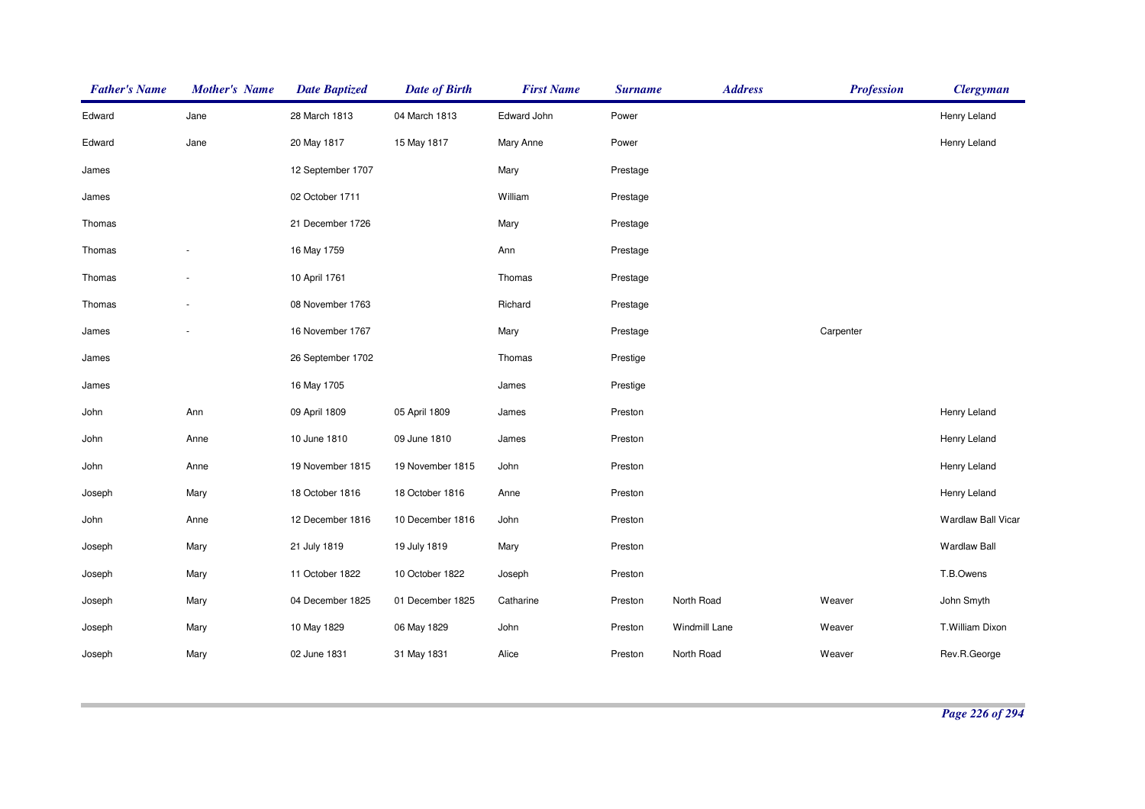| <b>Father's Name</b> | <b>Mother's Name</b> | <b>Date Baptized</b> | <b>Date of Birth</b> | <b>First Name</b> | <b>Surname</b> | <b>Address</b> | <b>Profession</b> | <b>Clergyman</b>          |
|----------------------|----------------------|----------------------|----------------------|-------------------|----------------|----------------|-------------------|---------------------------|
| Edward               | Jane                 | 28 March 1813        | 04 March 1813        | Edward John       | Power          |                |                   | Henry Leland              |
| Edward               | Jane                 | 20 May 1817          | 15 May 1817          | Mary Anne         | Power          |                |                   | Henry Leland              |
| James                |                      | 12 September 1707    |                      | Mary              | Prestage       |                |                   |                           |
| James                |                      | 02 October 1711      |                      | William           | Prestage       |                |                   |                           |
| Thomas               |                      | 21 December 1726     |                      | Mary              | Prestage       |                |                   |                           |
| Thomas               |                      | 16 May 1759          |                      | Ann               | Prestage       |                |                   |                           |
| Thomas               |                      | 10 April 1761        |                      | Thomas            | Prestage       |                |                   |                           |
| Thomas               |                      | 08 November 1763     |                      | Richard           | Prestage       |                |                   |                           |
| James                |                      | 16 November 1767     |                      | Mary              | Prestage       |                | Carpenter         |                           |
| James                |                      | 26 September 1702    |                      | Thomas            | Prestige       |                |                   |                           |
| James                |                      | 16 May 1705          |                      | James             | Prestige       |                |                   |                           |
| John                 | Ann                  | 09 April 1809        | 05 April 1809        | James             | Preston        |                |                   | Henry Leland              |
| John                 | Anne                 | 10 June 1810         | 09 June 1810         | James             | Preston        |                |                   | Henry Leland              |
| John                 | Anne                 | 19 November 1815     | 19 November 1815     | John              | Preston        |                |                   | Henry Leland              |
| Joseph               | Mary                 | 18 October 1816      | 18 October 1816      | Anne              | Preston        |                |                   | Henry Leland              |
| John                 | Anne                 | 12 December 1816     | 10 December 1816     | John              | Preston        |                |                   | <b>Wardlaw Ball Vicar</b> |
| Joseph               | Mary                 | 21 July 1819         | 19 July 1819         | Mary              | Preston        |                |                   | <b>Wardlaw Ball</b>       |
| Joseph               | Mary                 | 11 October 1822      | 10 October 1822      | Joseph            | Preston        |                |                   | T.B.Owens                 |
| Joseph               | Mary                 | 04 December 1825     | 01 December 1825     | Catharine         | Preston        | North Road     | Weaver            | John Smyth                |
| Joseph               | Mary                 | 10 May 1829          | 06 May 1829          | John              | Preston        | Windmill Lane  | Weaver            | T.William Dixon           |
| Joseph               | Mary                 | 02 June 1831         | 31 May 1831          | Alice             | Preston        | North Road     | Weaver            | Rev.R.George              |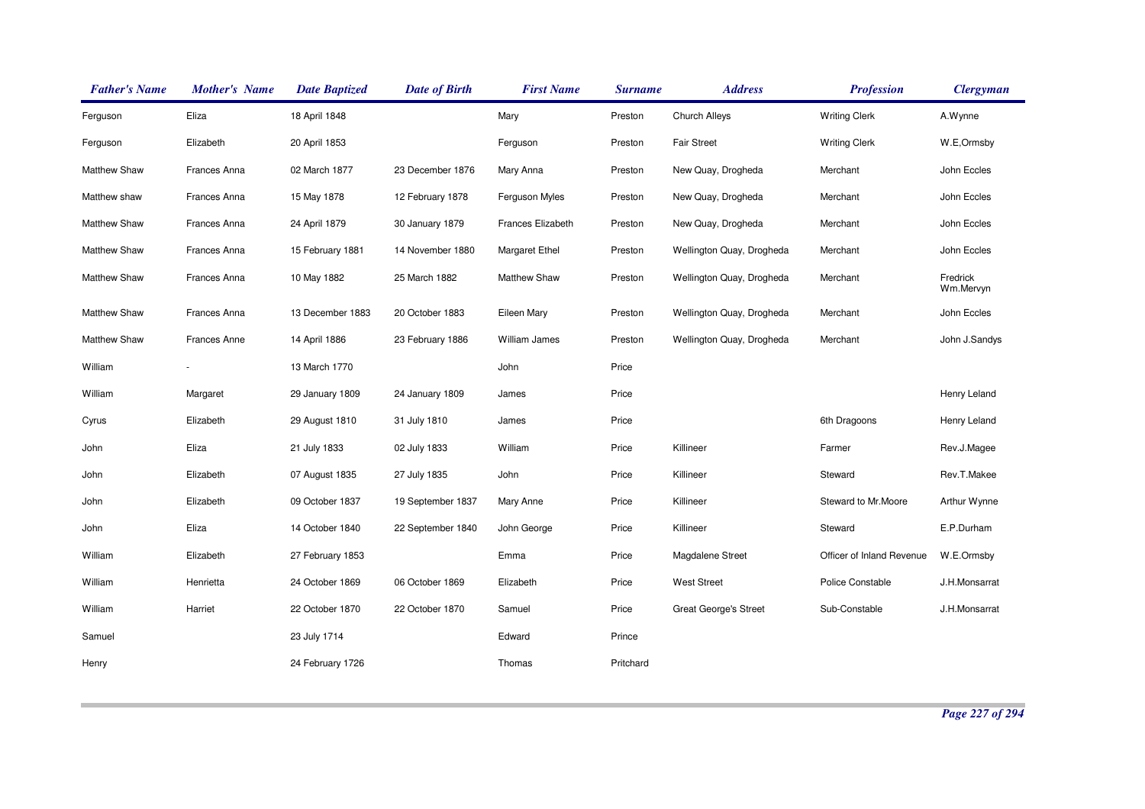| <b>Father's Name</b> | <b>Mother's Name</b> | <b>Date Baptized</b> | <b>Date of Birth</b> | <b>First Name</b> | <b>Surname</b> | <b>Address</b>               | <b>Profession</b>         | <b>Clergyman</b>      |
|----------------------|----------------------|----------------------|----------------------|-------------------|----------------|------------------------------|---------------------------|-----------------------|
| Ferguson             | Eliza                | 18 April 1848        |                      | Mary              | Preston        | Church Alleys                | <b>Writing Clerk</b>      | A.Wynne               |
| Ferguson             | Elizabeth            | 20 April 1853        |                      | Ferguson          | Preston        | <b>Fair Street</b>           | <b>Writing Clerk</b>      | W.E,Ormsby            |
| Matthew Shaw         | Frances Anna         | 02 March 1877        | 23 December 1876     | Mary Anna         | Preston        | New Quay, Drogheda           | Merchant                  | John Eccles           |
| Matthew shaw         | Frances Anna         | 15 May 1878          | 12 February 1878     | Ferguson Myles    | Preston        | New Quay, Drogheda           | Merchant                  | John Eccles           |
| Matthew Shaw         | Frances Anna         | 24 April 1879        | 30 January 1879      | Frances Elizabeth | Preston        | New Quay, Drogheda           | Merchant                  | John Eccles           |
| Matthew Shaw         | Frances Anna         | 15 February 1881     | 14 November 1880     | Margaret Ethel    | Preston        | Wellington Quay, Drogheda    | Merchant                  | John Eccles           |
| Matthew Shaw         | Frances Anna         | 10 May 1882          | 25 March 1882        | Matthew Shaw      | Preston        | Wellington Quay, Drogheda    | Merchant                  | Fredrick<br>Wm.Mervyn |
| <b>Matthew Shaw</b>  | Frances Anna         | 13 December 1883     | 20 October 1883      | Eileen Mary       | Preston        | Wellington Quay, Drogheda    | Merchant                  | John Eccles           |
| Matthew Shaw         | Frances Anne         | 14 April 1886        | 23 February 1886     | William James     | Preston        | Wellington Quay, Drogheda    | Merchant                  | John J.Sandys         |
| William              |                      | 13 March 1770        |                      | John              | Price          |                              |                           |                       |
| William              | Margaret             | 29 January 1809      | 24 January 1809      | James             | Price          |                              |                           | Henry Leland          |
| Cyrus                | Elizabeth            | 29 August 1810       | 31 July 1810         | James             | Price          |                              | 6th Dragoons              | Henry Leland          |
| John                 | Eliza                | 21 July 1833         | 02 July 1833         | William           | Price          | Killineer                    | Farmer                    | Rev.J.Magee           |
| John                 | Elizabeth            | 07 August 1835       | 27 July 1835         | John              | Price          | Killineer                    | Steward                   | Rev.T.Makee           |
| John                 | Elizabeth            | 09 October 1837      | 19 September 1837    | Mary Anne         | Price          | Killineer                    | Steward to Mr.Moore       | Arthur Wynne          |
| John                 | Eliza                | 14 October 1840      | 22 September 1840    | John George       | Price          | Killineer                    | Steward                   | E.P.Durham            |
| William              | Elizabeth            | 27 February 1853     |                      | Emma              | Price          | Magdalene Street             | Officer of Inland Revenue | W.E.Ormsby            |
| William              | Henrietta            | 24 October 1869      | 06 October 1869      | Elizabeth         | Price          | <b>West Street</b>           | Police Constable          | J.H.Monsarrat         |
| William              | Harriet              | 22 October 1870      | 22 October 1870      | Samuel            | Price          | <b>Great George's Street</b> | Sub-Constable             | J.H.Monsarrat         |
| Samuel               |                      | 23 July 1714         |                      | Edward            | Prince         |                              |                           |                       |
| Henry                |                      | 24 February 1726     |                      | Thomas            | Pritchard      |                              |                           |                       |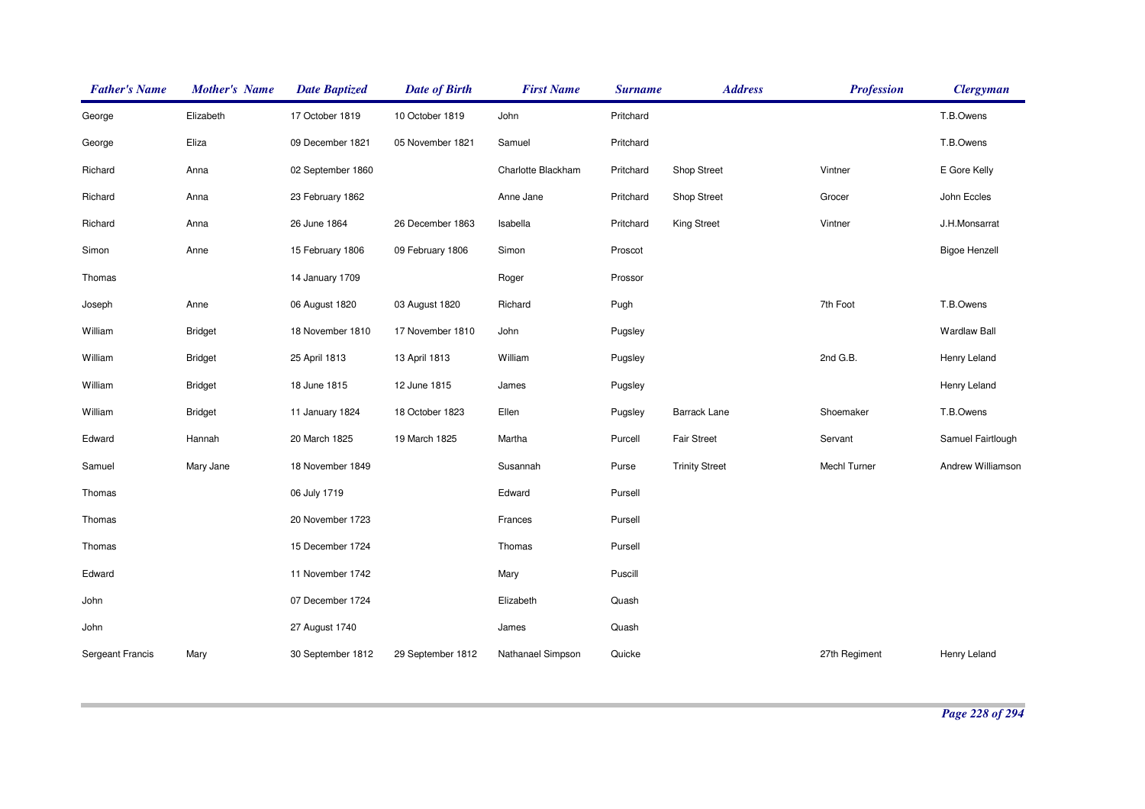| <b>Father's Name</b>    | <b>Mother's Name</b> | <b>Date Baptized</b> | <b>Date of Birth</b> | <b>First Name</b>  | <b>Surname</b> | <b>Address</b>        | <b>Profession</b> | <b>Clergyman</b>     |
|-------------------------|----------------------|----------------------|----------------------|--------------------|----------------|-----------------------|-------------------|----------------------|
| George                  | Elizabeth            | 17 October 1819      | 10 October 1819      | John               | Pritchard      |                       |                   | T.B.Owens            |
| George                  | Eliza                | 09 December 1821     | 05 November 1821     | Samuel             | Pritchard      |                       |                   | T.B.Owens            |
| Richard                 | Anna                 | 02 September 1860    |                      | Charlotte Blackham | Pritchard      | Shop Street           | Vintner           | E Gore Kelly         |
| Richard                 | Anna                 | 23 February 1862     |                      | Anne Jane          | Pritchard      | <b>Shop Street</b>    | Grocer            | John Eccles          |
| Richard                 | Anna                 | 26 June 1864         | 26 December 1863     | Isabella           | Pritchard      | King Street           | Vintner           | J.H.Monsarrat        |
| Simon                   | Anne                 | 15 February 1806     | 09 February 1806     | Simon              | Proscot        |                       |                   | <b>Bigoe Henzell</b> |
| Thomas                  |                      | 14 January 1709      |                      | Roger              | Prossor        |                       |                   |                      |
| Joseph                  | Anne                 | 06 August 1820       | 03 August 1820       | Richard            | Pugh           |                       | 7th Foot          | T.B.Owens            |
| William                 | <b>Bridget</b>       | 18 November 1810     | 17 November 1810     | John               | Pugsley        |                       |                   | <b>Wardlaw Ball</b>  |
| William                 | <b>Bridget</b>       | 25 April 1813        | 13 April 1813        | William            | Pugsley        |                       | 2nd G.B.          | Henry Leland         |
| William                 | <b>Bridget</b>       | 18 June 1815         | 12 June 1815         | James              | Pugsley        |                       |                   | Henry Leland         |
| William                 | <b>Bridget</b>       | 11 January 1824      | 18 October 1823      | Ellen              | Pugsley        | <b>Barrack Lane</b>   | Shoemaker         | T.B.Owens            |
| Edward                  | Hannah               | 20 March 1825        | 19 March 1825        | Martha             | Purcell        | <b>Fair Street</b>    | Servant           | Samuel Fairtlough    |
| Samuel                  | Mary Jane            | 18 November 1849     |                      | Susannah           | Purse          | <b>Trinity Street</b> | Mechl Turner      | Andrew Williamson    |
| Thomas                  |                      | 06 July 1719         |                      | Edward             | Pursell        |                       |                   |                      |
| Thomas                  |                      | 20 November 1723     |                      | Frances            | Pursell        |                       |                   |                      |
| Thomas                  |                      | 15 December 1724     |                      | Thomas             | Pursell        |                       |                   |                      |
| Edward                  |                      | 11 November 1742     |                      | Mary               | Puscill        |                       |                   |                      |
| John                    |                      | 07 December 1724     |                      | Elizabeth          | Quash          |                       |                   |                      |
| John                    |                      | 27 August 1740       |                      | James              | Quash          |                       |                   |                      |
| <b>Sergeant Francis</b> | Mary                 | 30 September 1812    | 29 September 1812    | Nathanael Simpson  | Quicke         |                       | 27th Regiment     | Henry Leland         |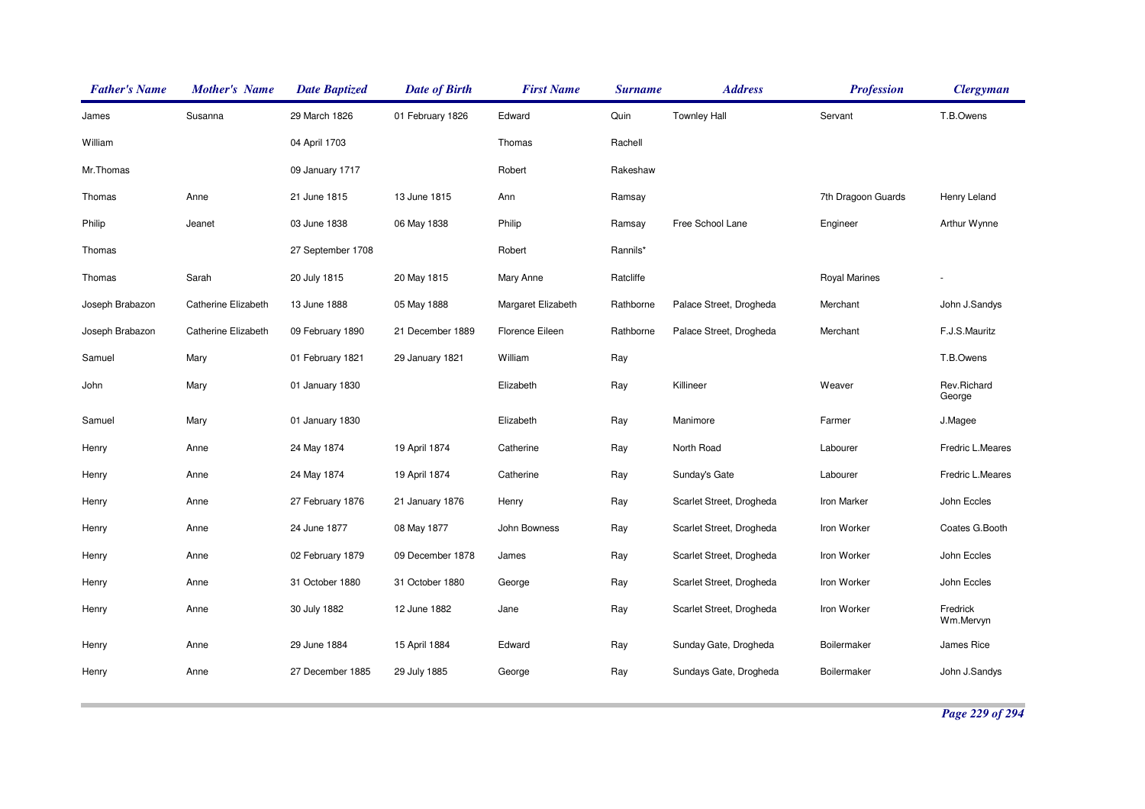| <b>Father's Name</b> | <b>Mother's Name</b> | <b>Date Baptized</b> | <b>Date of Birth</b> | <b>First Name</b>  | <b>Surname</b> | <b>Address</b>           | <b>Profession</b>    | <b>Clergyman</b>      |
|----------------------|----------------------|----------------------|----------------------|--------------------|----------------|--------------------------|----------------------|-----------------------|
| James                | Susanna              | 29 March 1826        | 01 February 1826     | Edward             | Quin           | <b>Townley Hall</b>      | Servant              | T.B.Owens             |
| William              |                      | 04 April 1703        |                      | Thomas             | Rachell        |                          |                      |                       |
| Mr.Thomas            |                      | 09 January 1717      |                      | Robert             | Rakeshaw       |                          |                      |                       |
| Thomas               | Anne                 | 21 June 1815         | 13 June 1815         | Ann                | Ramsay         |                          | 7th Dragoon Guards   | Henry Leland          |
| Philip               | Jeanet               | 03 June 1838         | 06 May 1838          | Philip             | Ramsay         | Free School Lane         | Engineer             | Arthur Wynne          |
| Thomas               |                      | 27 September 1708    |                      | Robert             | Rannils*       |                          |                      |                       |
| Thomas               | Sarah                | 20 July 1815         | 20 May 1815          | Mary Anne          | Ratcliffe      |                          | <b>Royal Marines</b> |                       |
| Joseph Brabazon      | Catherine Elizabeth  | 13 June 1888         | 05 May 1888          | Margaret Elizabeth | Rathborne      | Palace Street, Drogheda  | Merchant             | John J.Sandys         |
| Joseph Brabazon      | Catherine Elizabeth  | 09 February 1890     | 21 December 1889     | Florence Eileen    | Rathborne      | Palace Street, Drogheda  | Merchant             | F.J.S.Mauritz         |
| Samuel               | Mary                 | 01 February 1821     | 29 January 1821      | William            | Ray            |                          |                      | T.B.Owens             |
| John                 | Mary                 | 01 January 1830      |                      | Elizabeth          | Ray            | Killineer                | Weaver               | Rev.Richard<br>George |
| Samuel               | Mary                 | 01 January 1830      |                      | Elizabeth          | Ray            | Manimore                 | Farmer               | J.Magee               |
| Henry                | Anne                 | 24 May 1874          | 19 April 1874        | Catherine          | Ray            | North Road               | Labourer             | Fredric L.Meares      |
| Henry                | Anne                 | 24 May 1874          | 19 April 1874        | Catherine          | Ray            | Sunday's Gate            | Labourer             | Fredric L.Meares      |
| Henry                | Anne                 | 27 February 1876     | 21 January 1876      | Henry              | Ray            | Scarlet Street, Drogheda | Iron Marker          | John Eccles           |
| Henry                | Anne                 | 24 June 1877         | 08 May 1877          | John Bowness       | Ray            | Scarlet Street, Drogheda | Iron Worker          | Coates G.Booth        |
| Henry                | Anne                 | 02 February 1879     | 09 December 1878     | James              | Ray            | Scarlet Street, Drogheda | Iron Worker          | John Eccles           |
| Henry                | Anne                 | 31 October 1880      | 31 October 1880      | George             | Ray            | Scarlet Street, Drogheda | Iron Worker          | John Eccles           |
| Henry                | Anne                 | 30 July 1882         | 12 June 1882         | Jane               | Ray            | Scarlet Street, Drogheda | Iron Worker          | Fredrick<br>Wm.Mervyn |
| Henry                | Anne                 | 29 June 1884         | 15 April 1884        | Edward             | Ray            | Sunday Gate, Drogheda    | Boilermaker          | James Rice            |
| Henry                | Anne                 | 27 December 1885     | 29 July 1885         | George             | Ray            | Sundays Gate, Drogheda   | Boilermaker          | John J.Sandys         |

*Page 229 of 294*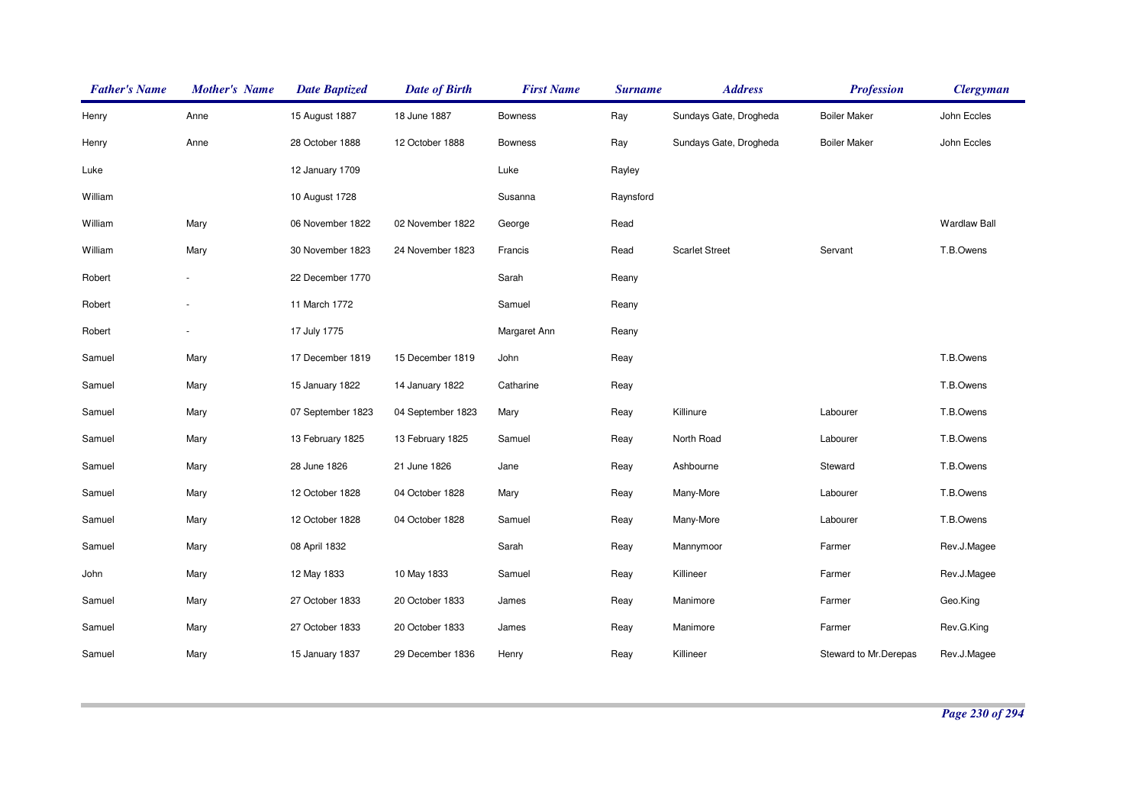| <b>Father's Name</b> | <b>Mother's Name</b> | <b>Date Baptized</b> | <b>Date of Birth</b> | <b>First Name</b> | <b>Surname</b> | <b>Address</b>         | <b>Profession</b>     | <b>Clergyman</b>    |
|----------------------|----------------------|----------------------|----------------------|-------------------|----------------|------------------------|-----------------------|---------------------|
| Henry                | Anne                 | 15 August 1887       | 18 June 1887         | <b>Bowness</b>    | Ray            | Sundays Gate, Drogheda | <b>Boiler Maker</b>   | John Eccles         |
| Henry                | Anne                 | 28 October 1888      | 12 October 1888      | <b>Bowness</b>    | Ray            | Sundays Gate, Drogheda | <b>Boiler Maker</b>   | John Eccles         |
| Luke                 |                      | 12 January 1709      |                      | Luke              | Rayley         |                        |                       |                     |
| William              |                      | 10 August 1728       |                      | Susanna           | Raynsford      |                        |                       |                     |
| William              | Mary                 | 06 November 1822     | 02 November 1822     | George            | Read           |                        |                       | <b>Wardlaw Ball</b> |
| William              | Mary                 | 30 November 1823     | 24 November 1823     | Francis           | Read           | <b>Scarlet Street</b>  | Servant               | T.B.Owens           |
| Robert               |                      | 22 December 1770     |                      | Sarah             | Reany          |                        |                       |                     |
| Robert               |                      | 11 March 1772        |                      | Samuel            | Reany          |                        |                       |                     |
| Robert               |                      | 17 July 1775         |                      | Margaret Ann      | Reany          |                        |                       |                     |
| Samuel               | Mary                 | 17 December 1819     | 15 December 1819     | John              | Reay           |                        |                       | T.B.Owens           |
| Samuel               | Mary                 | 15 January 1822      | 14 January 1822      | Catharine         | Reay           |                        |                       | T.B.Owens           |
| Samuel               | Mary                 | 07 September 1823    | 04 September 1823    | Mary              | Reay           | Killinure              | Labourer              | T.B.Owens           |
| Samuel               | Mary                 | 13 February 1825     | 13 February 1825     | Samuel            | Reay           | North Road             | Labourer              | T.B.Owens           |
| Samuel               | Mary                 | 28 June 1826         | 21 June 1826         | Jane              | Reay           | Ashbourne              | Steward               | T.B.Owens           |
| Samuel               | Mary                 | 12 October 1828      | 04 October 1828      | Mary              | Reay           | Many-More              | Labourer              | T.B.Owens           |
| Samuel               | Mary                 | 12 October 1828      | 04 October 1828      | Samuel            | Reay           | Many-More              | Labourer              | T.B.Owens           |
| Samuel               | Mary                 | 08 April 1832        |                      | Sarah             | Reay           | Mannymoor              | Farmer                | Rev.J.Magee         |
| John                 | Mary                 | 12 May 1833          | 10 May 1833          | Samuel            | Reay           | Killineer              | Farmer                | Rev.J.Magee         |
| Samuel               | Mary                 | 27 October 1833      | 20 October 1833      | James             | Reay           | Manimore               | Farmer                | Geo.King            |
| Samuel               | Mary                 | 27 October 1833      | 20 October 1833      | James             | Reay           | Manimore               | Farmer                | Rev.G.King          |
| Samuel               | Mary                 | 15 January 1837      | 29 December 1836     | Henry             | Reay           | Killineer              | Steward to Mr.Derepas | Rev.J.Magee         |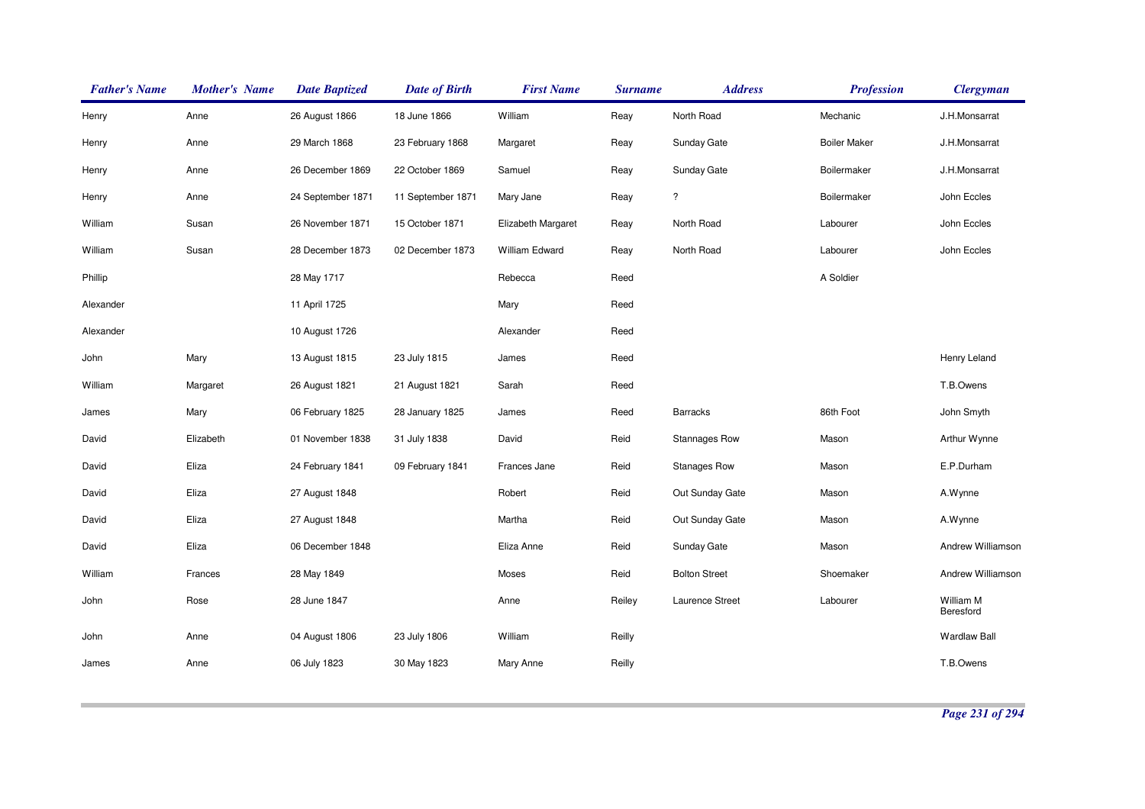| <b>Father's Name</b> | <b>Mother's Name</b> | <b>Date Baptized</b> | <b>Date of Birth</b> | <b>First Name</b>  | <b>Surname</b> | <b>Address</b>       | <b>Profession</b>   | <b>Clergyman</b>       |
|----------------------|----------------------|----------------------|----------------------|--------------------|----------------|----------------------|---------------------|------------------------|
| Henry                | Anne                 | 26 August 1866       | 18 June 1866         | William            | Reay           | North Road           | Mechanic            | J.H.Monsarrat          |
| Henry                | Anne                 | 29 March 1868        | 23 February 1868     | Margaret           | Reay           | Sunday Gate          | <b>Boiler Maker</b> | J.H.Monsarrat          |
| Henry                | Anne                 | 26 December 1869     | 22 October 1869      | Samuel             | Reay           | Sunday Gate          | Boilermaker         | J.H.Monsarrat          |
| Henry                | Anne                 | 24 September 1871    | 11 September 1871    | Mary Jane          | Reay           | ?                    | Boilermaker         | John Eccles            |
| William              | Susan                | 26 November 1871     | 15 October 1871      | Elizabeth Margaret | Reay           | North Road           | Labourer            | John Eccles            |
| William              | Susan                | 28 December 1873     | 02 December 1873     | William Edward     | Reay           | North Road           | Labourer            | John Eccles            |
| Phillip              |                      | 28 May 1717          |                      | Rebecca            | Reed           |                      | A Soldier           |                        |
| Alexander            |                      | 11 April 1725        |                      | Mary               | Reed           |                      |                     |                        |
| Alexander            |                      | 10 August 1726       |                      | Alexander          | Reed           |                      |                     |                        |
| John                 | Mary                 | 13 August 1815       | 23 July 1815         | James              | Reed           |                      |                     | Henry Leland           |
| William              | Margaret             | 26 August 1821       | 21 August 1821       | Sarah              | Reed           |                      |                     | T.B.Owens              |
| James                | Mary                 | 06 February 1825     | 28 January 1825      | James              | Reed           | <b>Barracks</b>      | 86th Foot           | John Smyth             |
| David                | Elizabeth            | 01 November 1838     | 31 July 1838         | David              | Reid           | <b>Stannages Row</b> | Mason               | Arthur Wynne           |
| David                | Eliza                | 24 February 1841     | 09 February 1841     | Frances Jane       | Reid           | <b>Stanages Row</b>  | Mason               | E.P.Durham             |
| David                | Eliza                | 27 August 1848       |                      | Robert             | Reid           | Out Sunday Gate      | Mason               | A.Wynne                |
| David                | Eliza                | 27 August 1848       |                      | Martha             | Reid           | Out Sunday Gate      | Mason               | A.Wynne                |
| David                | Eliza                | 06 December 1848     |                      | Eliza Anne         | Reid           | Sunday Gate          | Mason               | Andrew Williamson      |
| William              | Frances              | 28 May 1849          |                      | Moses              | Reid           | <b>Bolton Street</b> | Shoemaker           | Andrew Williamson      |
| John                 | Rose                 | 28 June 1847         |                      | Anne               | Reiley         | Laurence Street      | Labourer            | William M<br>Beresford |
| John                 | Anne                 | 04 August 1806       | 23 July 1806         | William            | Reilly         |                      |                     | <b>Wardlaw Ball</b>    |
| James                | Anne                 | 06 July 1823         | 30 May 1823          | Mary Anne          | Reilly         |                      |                     | T.B.Owens              |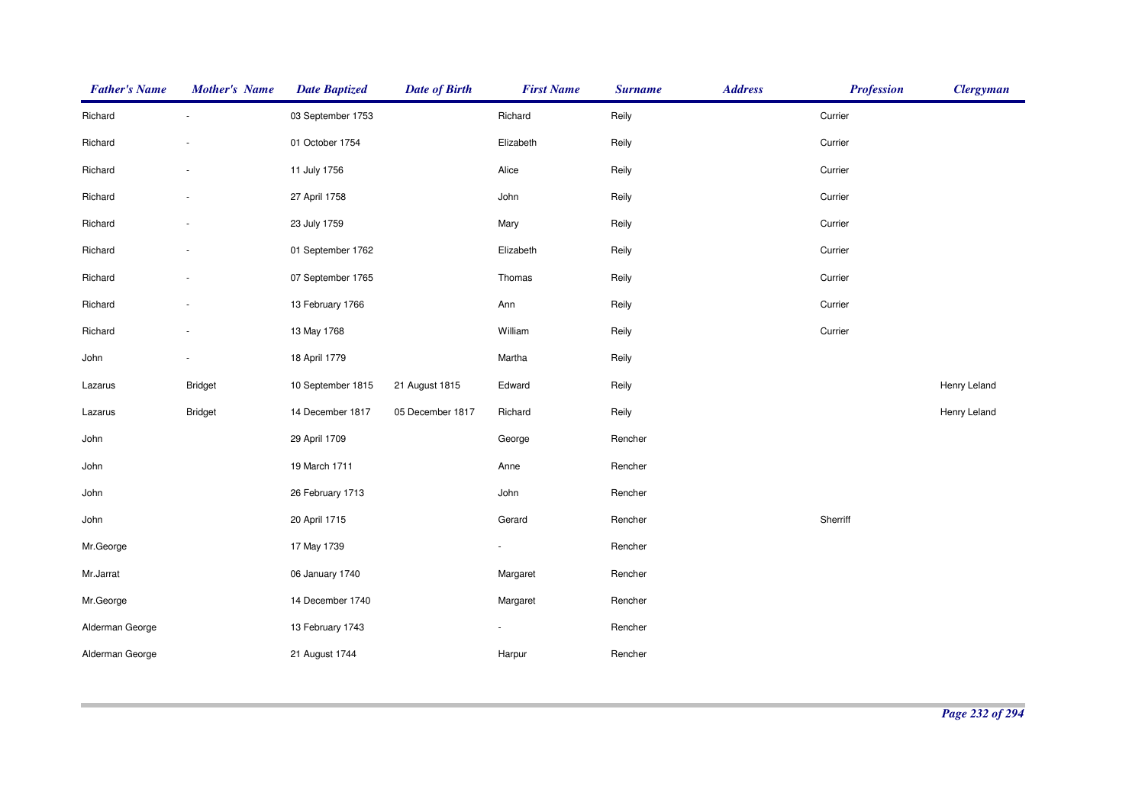| <b>Father's Name</b> | <b>Mother's Name</b> | <b>Date Baptized</b> | <b>Date of Birth</b> | <b>First Name</b> | <b>Surname</b> | <b>Address</b> | <b>Profession</b> | <b>Clergyman</b> |
|----------------------|----------------------|----------------------|----------------------|-------------------|----------------|----------------|-------------------|------------------|
| Richard              |                      | 03 September 1753    |                      | Richard           | Reily          |                | Currier           |                  |
| Richard              |                      | 01 October 1754      |                      | Elizabeth         | Reily          |                | Currier           |                  |
| Richard              |                      | 11 July 1756         |                      | Alice             | Reily          |                | Currier           |                  |
| Richard              |                      | 27 April 1758        |                      | John              | Reily          |                | Currier           |                  |
| Richard              |                      | 23 July 1759         |                      | Mary              | Reily          |                | Currier           |                  |
| Richard              |                      | 01 September 1762    |                      | Elizabeth         | Reily          |                | Currier           |                  |
| Richard              |                      | 07 September 1765    |                      | Thomas            | Reily          |                | Currier           |                  |
| Richard              |                      | 13 February 1766     |                      | Ann               | Reily          |                | Currier           |                  |
| Richard              |                      | 13 May 1768          |                      | William           | Reily          |                | Currier           |                  |
| John                 |                      | 18 April 1779        |                      | Martha            | Reily          |                |                   |                  |
| Lazarus              | <b>Bridget</b>       | 10 September 1815    | 21 August 1815       | Edward            | Reily          |                |                   | Henry Leland     |
| Lazarus              | Bridget              | 14 December 1817     | 05 December 1817     | Richard           | Reily          |                |                   | Henry Leland     |
| John                 |                      | 29 April 1709        |                      | George            | Rencher        |                |                   |                  |
| John                 |                      | 19 March 1711        |                      | Anne              | Rencher        |                |                   |                  |
| John                 |                      | 26 February 1713     |                      | John              | Rencher        |                |                   |                  |
| John                 |                      | 20 April 1715        |                      | Gerard            | Rencher        |                | Sherriff          |                  |
| Mr.George            |                      | 17 May 1739          |                      |                   | Rencher        |                |                   |                  |
| Mr.Jarrat            |                      | 06 January 1740      |                      | Margaret          | Rencher        |                |                   |                  |
| Mr.George            |                      | 14 December 1740     |                      | Margaret          | Rencher        |                |                   |                  |
| Alderman George      |                      | 13 February 1743     |                      | $\blacksquare$    | Rencher        |                |                   |                  |
| Alderman George      |                      | 21 August 1744       |                      | Harpur            | Rencher        |                |                   |                  |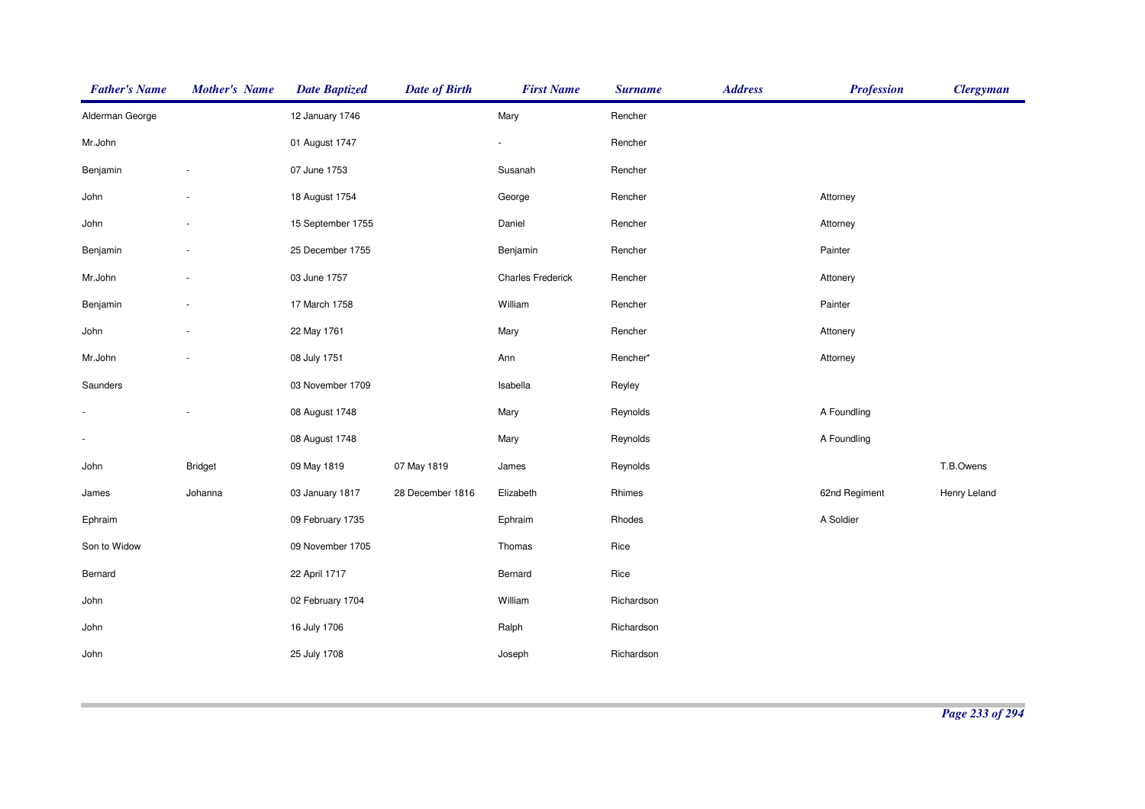| <b>Father's Name</b> | <b>Mother's Name</b>     | <b>Date Baptized</b> | <b>Date of Birth</b> | <b>First Name</b>        | <b>Surname</b> | <b>Address</b> | <b>Profession</b> | <b>Clergyman</b> |
|----------------------|--------------------------|----------------------|----------------------|--------------------------|----------------|----------------|-------------------|------------------|
| Alderman George      |                          | 12 January 1746      |                      | Mary                     | Rencher        |                |                   |                  |
| Mr.John              |                          | 01 August 1747       |                      |                          | Rencher        |                |                   |                  |
| Benjamin             | ÷,                       | 07 June 1753         |                      | Susanah                  | Rencher        |                |                   |                  |
| John                 |                          | 18 August 1754       |                      | George                   | Rencher        |                | Attorney          |                  |
| John                 |                          | 15 September 1755    |                      | Daniel                   | Rencher        |                | Attorney          |                  |
| Benjamin             | ٠                        | 25 December 1755     |                      | Benjamin                 | Rencher        |                | Painter           |                  |
| Mr.John              | $\overline{\phantom{a}}$ | 03 June 1757         |                      | <b>Charles Frederick</b> | Rencher        |                | Attonery          |                  |
| Benjamin             | ÷,                       | 17 March 1758        |                      | William                  | Rencher        |                | Painter           |                  |
| John                 |                          | 22 May 1761          |                      | Mary                     | Rencher        |                | Attonery          |                  |
| Mr.John              | ٠                        | 08 July 1751         |                      | Ann                      | Rencher*       |                | Attorney          |                  |
| Saunders             |                          | 03 November 1709     |                      | Isabella                 | Reyley         |                |                   |                  |
|                      | ÷,                       | 08 August 1748       |                      | Mary                     | Reynolds       |                | A Foundling       |                  |
| $\blacksquare$       |                          | 08 August 1748       |                      | Mary                     | Reynolds       |                | A Foundling       |                  |
| John                 | <b>Bridget</b>           | 09 May 1819          | 07 May 1819          | James                    | Reynolds       |                |                   | T.B.Owens        |
| James                | Johanna                  | 03 January 1817      | 28 December 1816     | Elizabeth                | Rhimes         |                | 62nd Regiment     | Henry Leland     |
| Ephraim              |                          | 09 February 1735     |                      | Ephraim                  | Rhodes         |                | A Soldier         |                  |
| Son to Widow         |                          | 09 November 1705     |                      | Thomas                   | Rice           |                |                   |                  |
| Bernard              |                          | 22 April 1717        |                      | Bernard                  | Rice           |                |                   |                  |
| John                 |                          | 02 February 1704     |                      | William                  | Richardson     |                |                   |                  |
| John                 |                          | 16 July 1706         |                      | Ralph                    | Richardson     |                |                   |                  |
| John                 |                          | 25 July 1708         |                      | Joseph                   | Richardson     |                |                   |                  |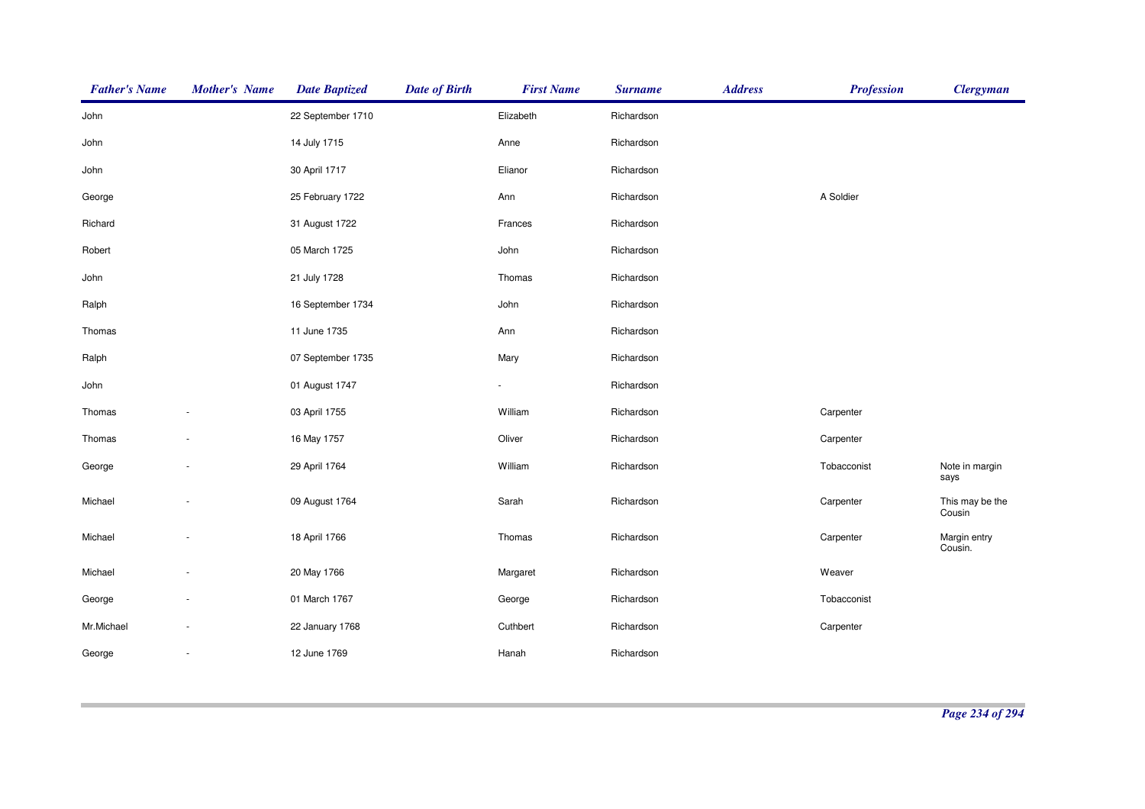| <b>Father's Name</b> | <b>Mother's Name</b> | <b>Date Baptized</b> | <b>Date of Birth</b> | <b>First Name</b> | <b>Surname</b> | <b>Address</b> | <b>Profession</b> | <b>Clergyman</b>          |
|----------------------|----------------------|----------------------|----------------------|-------------------|----------------|----------------|-------------------|---------------------------|
| John                 |                      | 22 September 1710    |                      | Elizabeth         | Richardson     |                |                   |                           |
| John                 |                      | 14 July 1715         |                      | Anne              | Richardson     |                |                   |                           |
| John                 |                      | 30 April 1717        |                      | Elianor           | Richardson     |                |                   |                           |
| George               |                      | 25 February 1722     |                      | Ann               | Richardson     |                | A Soldier         |                           |
| Richard              |                      | 31 August 1722       |                      | Frances           | Richardson     |                |                   |                           |
| Robert               |                      | 05 March 1725        |                      | John              | Richardson     |                |                   |                           |
| John                 |                      | 21 July 1728         |                      | Thomas            | Richardson     |                |                   |                           |
| Ralph                |                      | 16 September 1734    |                      | John              | Richardson     |                |                   |                           |
| Thomas               |                      | 11 June 1735         |                      | Ann               | Richardson     |                |                   |                           |
| Ralph                |                      | 07 September 1735    |                      | Mary              | Richardson     |                |                   |                           |
| John                 |                      | 01 August 1747       |                      |                   | Richardson     |                |                   |                           |
| Thomas               |                      | 03 April 1755        |                      | William           | Richardson     |                | Carpenter         |                           |
| Thomas               |                      | 16 May 1757          |                      | Oliver            | Richardson     |                | Carpenter         |                           |
| George               |                      | 29 April 1764        |                      | William           | Richardson     |                | Tobacconist       | Note in margin<br>says    |
| Michael              |                      | 09 August 1764       |                      | Sarah             | Richardson     |                | Carpenter         | This may be the<br>Cousin |
| Michael              |                      | 18 April 1766        |                      | Thomas            | Richardson     |                | Carpenter         | Margin entry<br>Cousin.   |
| Michael              |                      | 20 May 1766          |                      | Margaret          | Richardson     |                | Weaver            |                           |
| George               |                      | 01 March 1767        |                      | George            | Richardson     |                | Tobacconist       |                           |
| Mr.Michael           |                      | 22 January 1768      |                      | Cuthbert          | Richardson     |                | Carpenter         |                           |
| George               |                      | 12 June 1769         |                      | Hanah             | Richardson     |                |                   |                           |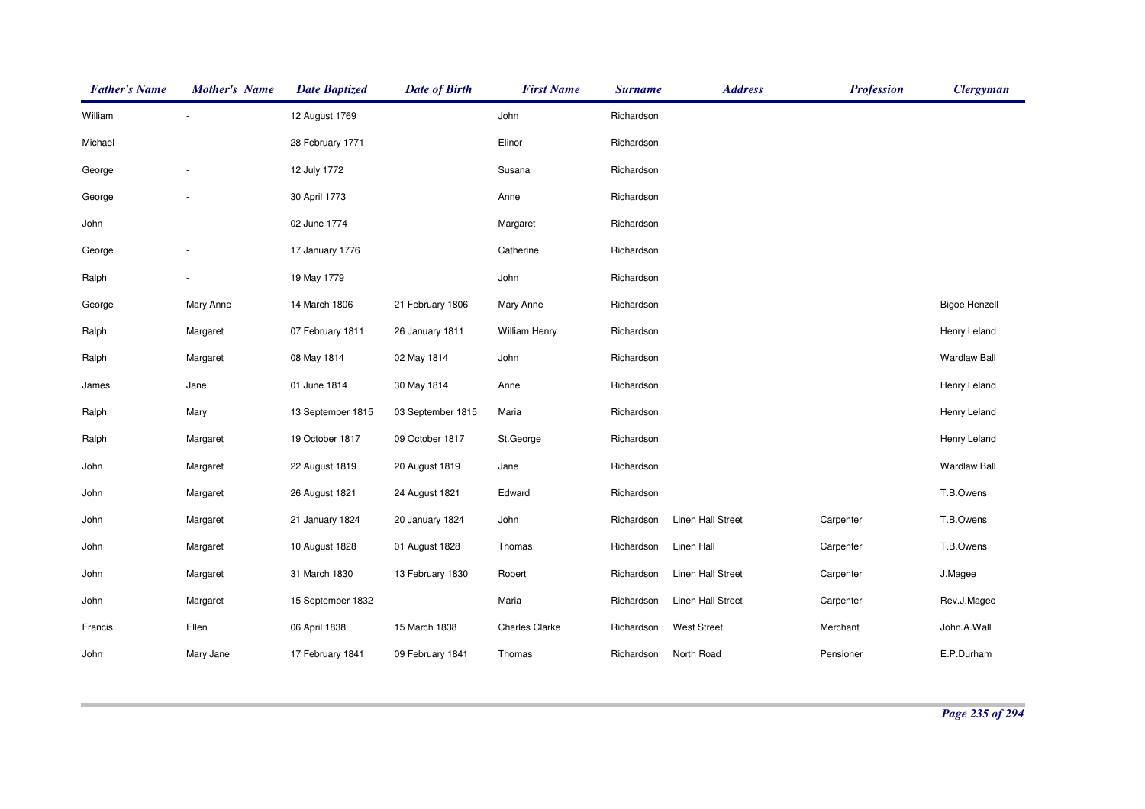| <b>Father's Name</b> | <b>Mother's Name</b> | <b>Date Baptized</b> | <b>Date of Birth</b> | <b>First Name</b>     | <b>Surname</b> | <b>Address</b>     | <b>Profession</b> | <b>Clergyman</b>     |
|----------------------|----------------------|----------------------|----------------------|-----------------------|----------------|--------------------|-------------------|----------------------|
| William              |                      | 12 August 1769       |                      | John                  | Richardson     |                    |                   |                      |
| Michael              |                      | 28 February 1771     |                      | Elinor                | Richardson     |                    |                   |                      |
| George               |                      | 12 July 1772         |                      | Susana                | Richardson     |                    |                   |                      |
| George               |                      | 30 April 1773        |                      | Anne                  | Richardson     |                    |                   |                      |
| John                 |                      | 02 June 1774         |                      | Margaret              | Richardson     |                    |                   |                      |
| George               |                      | 17 January 1776      |                      | Catherine             | Richardson     |                    |                   |                      |
| Ralph                |                      | 19 May 1779          |                      | John                  | Richardson     |                    |                   |                      |
| George               | Mary Anne            | 14 March 1806        | 21 February 1806     | Mary Anne             | Richardson     |                    |                   | <b>Bigoe Henzell</b> |
| Ralph                | Margaret             | 07 February 1811     | 26 January 1811      | <b>William Henry</b>  | Richardson     |                    |                   | Henry Leland         |
| Ralph                | Margaret             | 08 May 1814          | 02 May 1814          | John                  | Richardson     |                    |                   | <b>Wardlaw Ball</b>  |
| James                | Jane                 | 01 June 1814         | 30 May 1814          | Anne                  | Richardson     |                    |                   | Henry Leland         |
| Ralph                | Mary                 | 13 September 1815    | 03 September 1815    | Maria                 | Richardson     |                    |                   | Henry Leland         |
| Ralph                | Margaret             | 19 October 1817      | 09 October 1817      | St.George             | Richardson     |                    |                   | Henry Leland         |
| John                 | Margaret             | 22 August 1819       | 20 August 1819       | Jane                  | Richardson     |                    |                   | <b>Wardlaw Ball</b>  |
| John                 | Margaret             | 26 August 1821       | 24 August 1821       | Edward                | Richardson     |                    |                   | T.B.Owens            |
| John                 | Margaret             | 21 January 1824      | 20 January 1824      | John                  | Richardson     | Linen Hall Street  | Carpenter         | T.B.Owens            |
| John                 | Margaret             | 10 August 1828       | 01 August 1828       | Thomas                | Richardson     | Linen Hall         | Carpenter         | T.B.Owens            |
| John                 | Margaret             | 31 March 1830        | 13 February 1830     | Robert                | Richardson     | Linen Hall Street  | Carpenter         | J.Magee              |
| John                 | Margaret             | 15 September 1832    |                      | Maria                 | Richardson     | Linen Hall Street  | Carpenter         | Rev.J.Magee          |
| Francis              | Ellen                | 06 April 1838        | 15 March 1838        | <b>Charles Clarke</b> | Richardson     | <b>West Street</b> | Merchant          | John.A.Wall          |
| John                 | Mary Jane            | 17 February 1841     | 09 February 1841     | Thomas                | Richardson     | North Road         | Pensioner         | E.P.Durham           |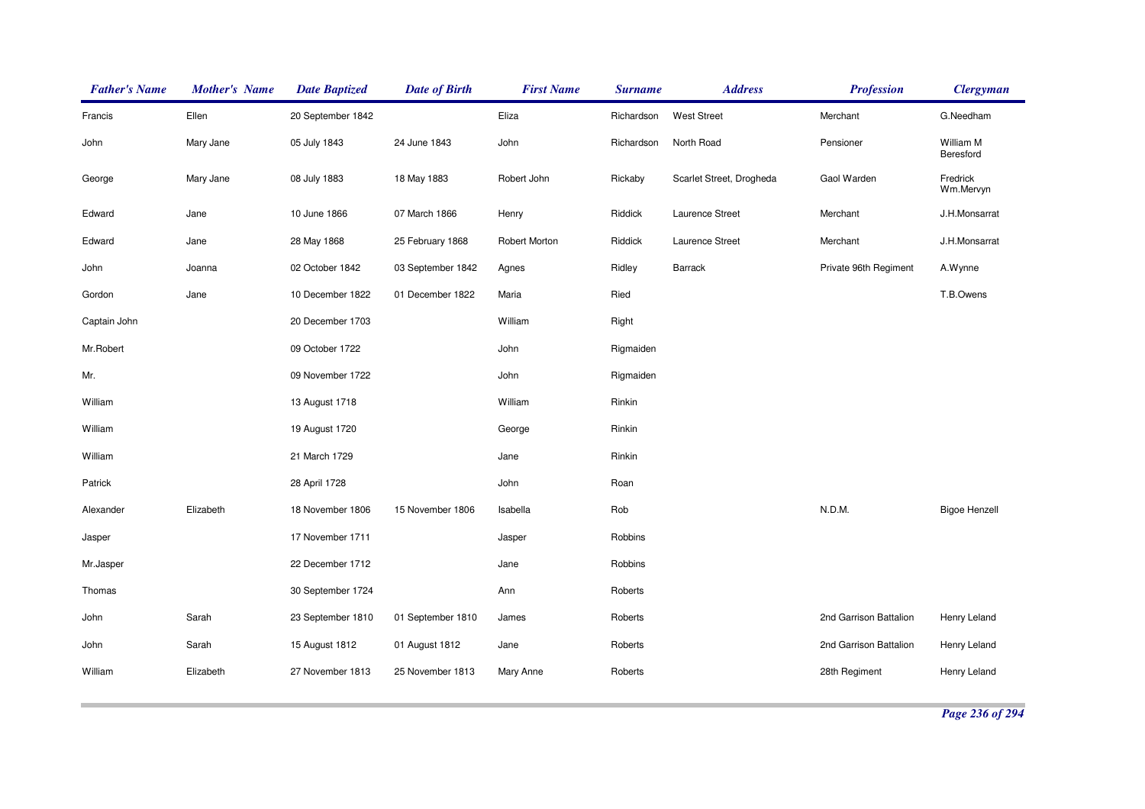| <b>Father's Name</b> | <b>Mother's Name</b> | <b>Date Baptized</b> | <b>Date of Birth</b> | <b>First Name</b> | <b>Surname</b> | <b>Address</b>           | <b>Profession</b>      | <b>Clergyman</b>       |
|----------------------|----------------------|----------------------|----------------------|-------------------|----------------|--------------------------|------------------------|------------------------|
| Francis              | Ellen                | 20 September 1842    |                      | Eliza             | Richardson     | <b>West Street</b>       | Merchant               | G.Needham              |
| John                 | Mary Jane            | 05 July 1843         | 24 June 1843         | John              | Richardson     | North Road               | Pensioner              | William M<br>Beresford |
| George               | Mary Jane            | 08 July 1883         | 18 May 1883          | Robert John       | Rickaby        | Scarlet Street, Drogheda | Gaol Warden            | Fredrick<br>Wm.Mervyn  |
| Edward               | Jane                 | 10 June 1866         | 07 March 1866        | Henry             | Riddick        | Laurence Street          | Merchant               | J.H.Monsarrat          |
| Edward               | Jane                 | 28 May 1868          | 25 February 1868     | Robert Morton     | Riddick        | Laurence Street          | Merchant               | J.H.Monsarrat          |
| John                 | Joanna               | 02 October 1842      | 03 September 1842    | Agnes             | Ridley         | <b>Barrack</b>           | Private 96th Regiment  | A.Wynne                |
| Gordon               | Jane                 | 10 December 1822     | 01 December 1822     | Maria             | Ried           |                          |                        | T.B.Owens              |
| Captain John         |                      | 20 December 1703     |                      | William           | Right          |                          |                        |                        |
| Mr.Robert            |                      | 09 October 1722      |                      | John              | Rigmaiden      |                          |                        |                        |
| Mr.                  |                      | 09 November 1722     |                      | John              | Rigmaiden      |                          |                        |                        |
| William              |                      | 13 August 1718       |                      | William           | Rinkin         |                          |                        |                        |
| William              |                      | 19 August 1720       |                      | George            | Rinkin         |                          |                        |                        |
| William              |                      | 21 March 1729        |                      | Jane              | Rinkin         |                          |                        |                        |
| Patrick              |                      | 28 April 1728        |                      | John              | Roan           |                          |                        |                        |
| Alexander            | Elizabeth            | 18 November 1806     | 15 November 1806     | Isabella          | Rob            |                          | N.D.M.                 | <b>Bigoe Henzell</b>   |
| Jasper               |                      | 17 November 1711     |                      | Jasper            | Robbins        |                          |                        |                        |
| Mr.Jasper            |                      | 22 December 1712     |                      | Jane              | Robbins        |                          |                        |                        |
| Thomas               |                      | 30 September 1724    |                      | Ann               | Roberts        |                          |                        |                        |
| John                 | Sarah                | 23 September 1810    | 01 September 1810    | James             | Roberts        |                          | 2nd Garrison Battalion | Henry Leland           |
| John                 | Sarah                | 15 August 1812       | 01 August 1812       | Jane              | Roberts        |                          | 2nd Garrison Battalion | Henry Leland           |
| William              | Elizabeth            | 27 November 1813     | 25 November 1813     | Mary Anne         | Roberts        |                          | 28th Regiment          | Henry Leland           |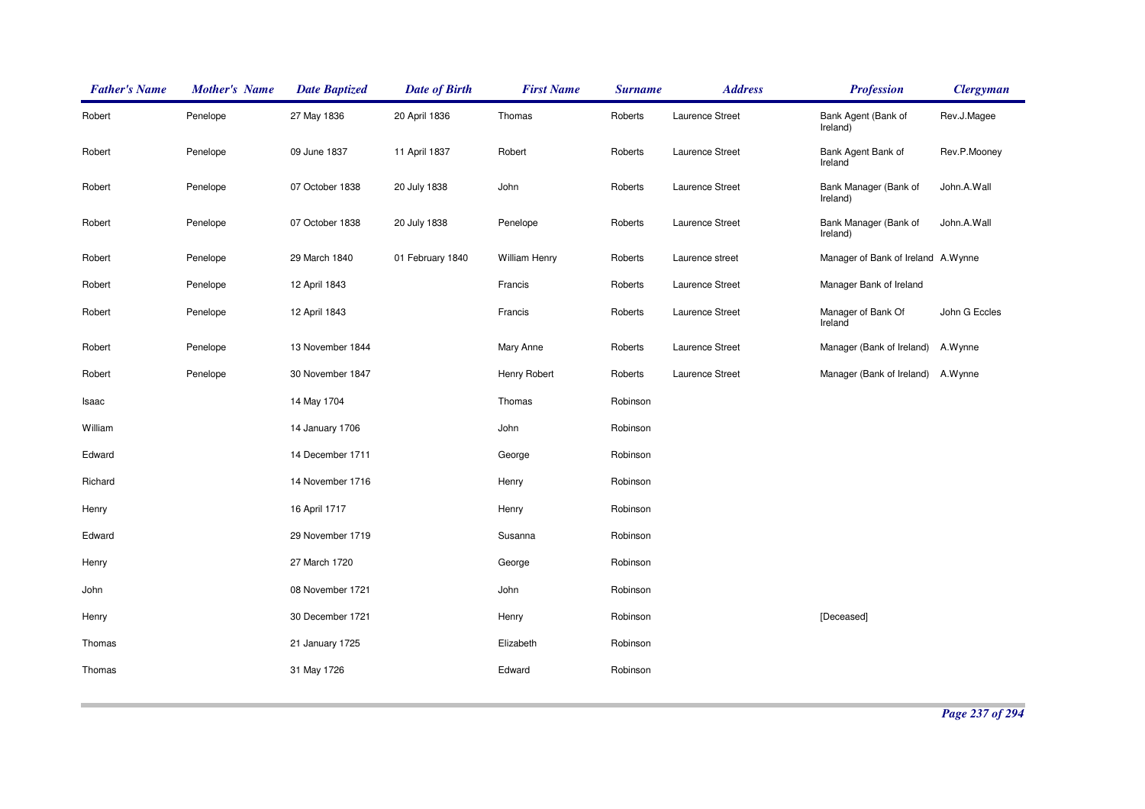| <b>Father's Name</b> | <b>Mother's Name</b> | <b>Date Baptized</b> | <b>Date of Birth</b> | <b>First Name</b>    | <b>Surname</b> | <b>Address</b>  | <b>Profession</b>                  | <b>Clergyman</b> |
|----------------------|----------------------|----------------------|----------------------|----------------------|----------------|-----------------|------------------------------------|------------------|
| Robert               | Penelope             | 27 May 1836          | 20 April 1836        | Thomas               | Roberts        | Laurence Street | Bank Agent (Bank of<br>Ireland)    | Rev.J.Magee      |
| Robert               | Penelope             | 09 June 1837         | 11 April 1837        | Robert               | Roberts        | Laurence Street | Bank Agent Bank of<br>Ireland      | Rev.P.Mooney     |
| Robert               | Penelope             | 07 October 1838      | 20 July 1838         | John                 | Roberts        | Laurence Street | Bank Manager (Bank of<br>Ireland)  | John.A.Wall      |
| Robert               | Penelope             | 07 October 1838      | 20 July 1838         | Penelope             | Roberts        | Laurence Street | Bank Manager (Bank of<br>Ireland)  | John.A.Wall      |
| Robert               | Penelope             | 29 March 1840        | 01 February 1840     | <b>William Henry</b> | Roberts        | Laurence street | Manager of Bank of Ireland A.Wynne |                  |
| Robert               | Penelope             | 12 April 1843        |                      | Francis              | Roberts        | Laurence Street | Manager Bank of Ireland            |                  |
| Robert               | Penelope             | 12 April 1843        |                      | Francis              | Roberts        | Laurence Street | Manager of Bank Of<br>Ireland      | John G Eccles    |
| Robert               | Penelope             | 13 November 1844     |                      | Mary Anne            | Roberts        | Laurence Street | Manager (Bank of Ireland)          | A.Wynne          |
| Robert               | Penelope             | 30 November 1847     |                      | Henry Robert         | Roberts        | Laurence Street | Manager (Bank of Ireland) A.Wynne  |                  |
| Isaac                |                      | 14 May 1704          |                      | Thomas               | Robinson       |                 |                                    |                  |
| William              |                      | 14 January 1706      |                      | John                 | Robinson       |                 |                                    |                  |
| Edward               |                      | 14 December 1711     |                      | George               | Robinson       |                 |                                    |                  |
| Richard              |                      | 14 November 1716     |                      | Henry                | Robinson       |                 |                                    |                  |
| Henry                |                      | 16 April 1717        |                      | Henry                | Robinson       |                 |                                    |                  |
| Edward               |                      | 29 November 1719     |                      | Susanna              | Robinson       |                 |                                    |                  |
| Henry                |                      | 27 March 1720        |                      | George               | Robinson       |                 |                                    |                  |
| John                 |                      | 08 November 1721     |                      | John                 | Robinson       |                 |                                    |                  |
| Henry                |                      | 30 December 1721     |                      | Henry                | Robinson       |                 | [Deceased]                         |                  |
| Thomas               |                      | 21 January 1725      |                      | Elizabeth            | Robinson       |                 |                                    |                  |
| Thomas               |                      | 31 May 1726          |                      | Edward               | Robinson       |                 |                                    |                  |
|                      |                      |                      |                      |                      |                |                 |                                    |                  |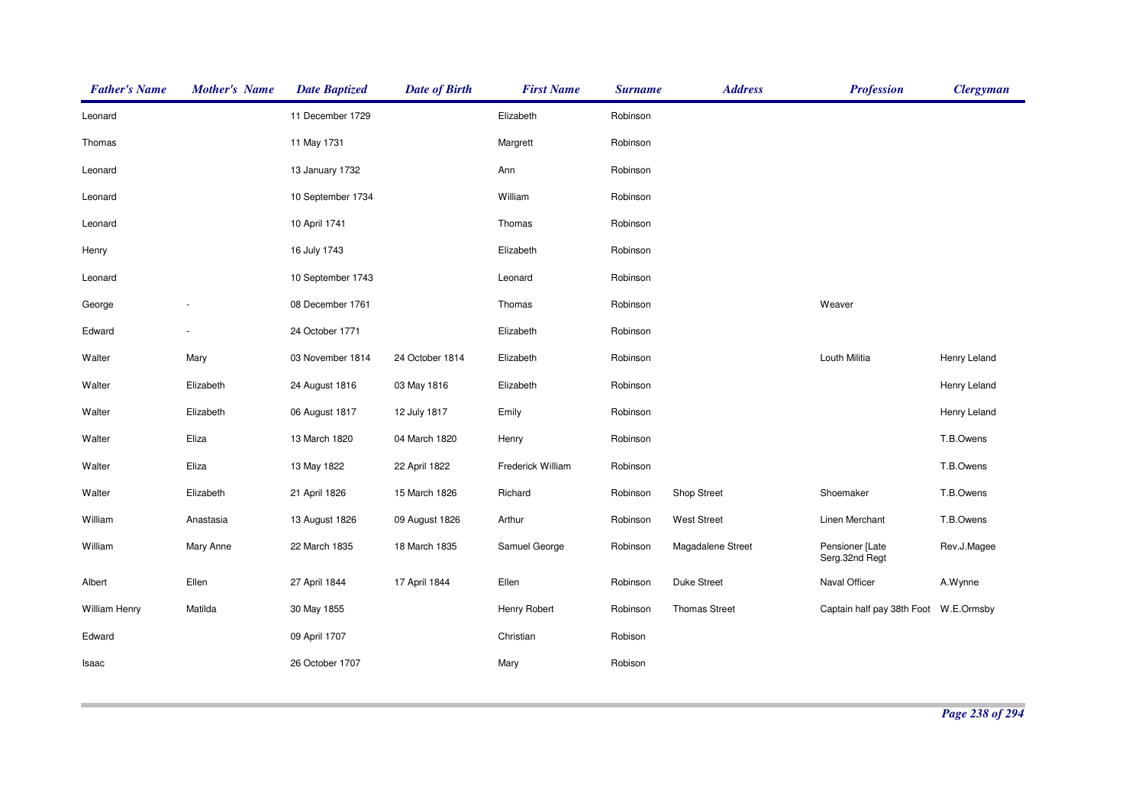| <b>Father's Name</b> | <b>Mother's Name</b> | <b>Date Baptized</b> | <b>Date of Birth</b> | <b>First Name</b> | <b>Surname</b> | <b>Address</b>       | <b>Profession</b>                     | <b>Clergyman</b> |
|----------------------|----------------------|----------------------|----------------------|-------------------|----------------|----------------------|---------------------------------------|------------------|
| Leonard              |                      | 11 December 1729     |                      | Elizabeth         | Robinson       |                      |                                       |                  |
| Thomas               |                      | 11 May 1731          |                      | Margrett          | Robinson       |                      |                                       |                  |
| Leonard              |                      | 13 January 1732      |                      | Ann               | Robinson       |                      |                                       |                  |
| Leonard              |                      | 10 September 1734    |                      | William           | Robinson       |                      |                                       |                  |
| Leonard              |                      | 10 April 1741        |                      | Thomas            | Robinson       |                      |                                       |                  |
| Henry                |                      | 16 July 1743         |                      | Elizabeth         | Robinson       |                      |                                       |                  |
| Leonard              |                      | 10 September 1743    |                      | Leonard           | Robinson       |                      |                                       |                  |
| George               |                      | 08 December 1761     |                      | Thomas            | Robinson       |                      | Weaver                                |                  |
| Edward               |                      | 24 October 1771      |                      | Elizabeth         | Robinson       |                      |                                       |                  |
| Walter               | Mary                 | 03 November 1814     | 24 October 1814      | Elizabeth         | Robinson       |                      | Louth Militia                         | Henry Leland     |
| Walter               | Elizabeth            | 24 August 1816       | 03 May 1816          | Elizabeth         | Robinson       |                      |                                       | Henry Leland     |
| Walter               | Elizabeth            | 06 August 1817       | 12 July 1817         | Emily             | Robinson       |                      |                                       | Henry Leland     |
| Walter               | Eliza                | 13 March 1820        | 04 March 1820        | Henry             | Robinson       |                      |                                       | T.B.Owens        |
| Walter               | Eliza                | 13 May 1822          | 22 April 1822        | Frederick William | Robinson       |                      |                                       | T.B.Owens        |
| Walter               | Elizabeth            | 21 April 1826        | 15 March 1826        | Richard           | Robinson       | Shop Street          | Shoemaker                             | T.B.Owens        |
| William              | Anastasia            | 13 August 1826       | 09 August 1826       | Arthur            | Robinson       | <b>West Street</b>   | Linen Merchant                        | T.B.Owens        |
| William              | Mary Anne            | 22 March 1835        | 18 March 1835        | Samuel George     | Robinson       | Magadalene Street    | Pensioner [Late<br>Serg.32nd Regt     | Rev.J.Magee      |
| Albert               | Ellen                | 27 April 1844        | 17 April 1844        | Ellen             | Robinson       | Duke Street          | Naval Officer                         | A.Wynne          |
| William Henry        | Matilda              | 30 May 1855          |                      | Henry Robert      | Robinson       | <b>Thomas Street</b> | Captain half pay 38th Foot W.E.Ormsby |                  |
| Edward               |                      | 09 April 1707        |                      | Christian         | Robison        |                      |                                       |                  |
| Isaac                |                      | 26 October 1707      |                      | Mary              | Robison        |                      |                                       |                  |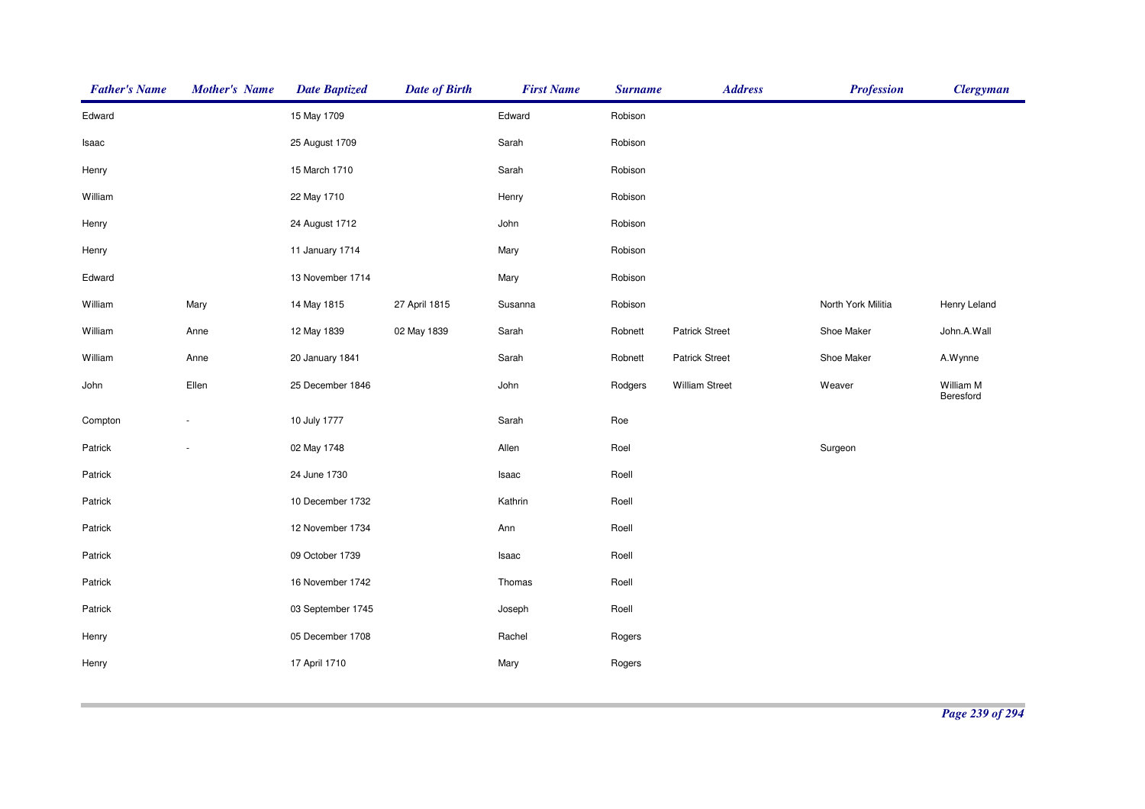| <b>Father's Name</b> | <b>Mother's Name</b> | <b>Date Baptized</b> | <b>Date of Birth</b> | <b>First Name</b> | <b>Surname</b> | <b>Address</b>        | <b>Profession</b>  | <b>Clergyman</b>       |
|----------------------|----------------------|----------------------|----------------------|-------------------|----------------|-----------------------|--------------------|------------------------|
| Edward               |                      | 15 May 1709          |                      | Edward            | Robison        |                       |                    |                        |
| Isaac                |                      | 25 August 1709       |                      | Sarah             | Robison        |                       |                    |                        |
| Henry                |                      | 15 March 1710        |                      | Sarah             | Robison        |                       |                    |                        |
| William              |                      | 22 May 1710          |                      | Henry             | Robison        |                       |                    |                        |
| Henry                |                      | 24 August 1712       |                      | John              | Robison        |                       |                    |                        |
| Henry                |                      | 11 January 1714      |                      | Mary              | Robison        |                       |                    |                        |
| Edward               |                      | 13 November 1714     |                      | Mary              | Robison        |                       |                    |                        |
| William              | Mary                 | 14 May 1815          | 27 April 1815        | Susanna           | Robison        |                       | North York Militia | Henry Leland           |
| William              | Anne                 | 12 May 1839          | 02 May 1839          | Sarah             | Robnett        | Patrick Street        | Shoe Maker         | John.A.Wall            |
| William              | Anne                 | 20 January 1841      |                      | Sarah             | Robnett        | <b>Patrick Street</b> | Shoe Maker         | A.Wynne                |
| John                 | Ellen                | 25 December 1846     |                      | John              | Rodgers        | <b>William Street</b> | Weaver             | William M<br>Beresford |
| Compton              |                      | 10 July 1777         |                      | Sarah             | Roe            |                       |                    |                        |
| Patrick              |                      | 02 May 1748          |                      | Allen             | Roel           |                       | Surgeon            |                        |
| Patrick              |                      | 24 June 1730         |                      | Isaac             | Roell          |                       |                    |                        |
| Patrick              |                      | 10 December 1732     |                      | Kathrin           | Roell          |                       |                    |                        |
| Patrick              |                      | 12 November 1734     |                      | Ann               | Roell          |                       |                    |                        |
| Patrick              |                      | 09 October 1739      |                      | Isaac             | Roell          |                       |                    |                        |
| Patrick              |                      | 16 November 1742     |                      | Thomas            | Roell          |                       |                    |                        |
| Patrick              |                      | 03 September 1745    |                      | Joseph            | Roell          |                       |                    |                        |
| Henry                |                      | 05 December 1708     |                      | Rachel            | Rogers         |                       |                    |                        |
| Henry                |                      | 17 April 1710        |                      | Mary              | Rogers         |                       |                    |                        |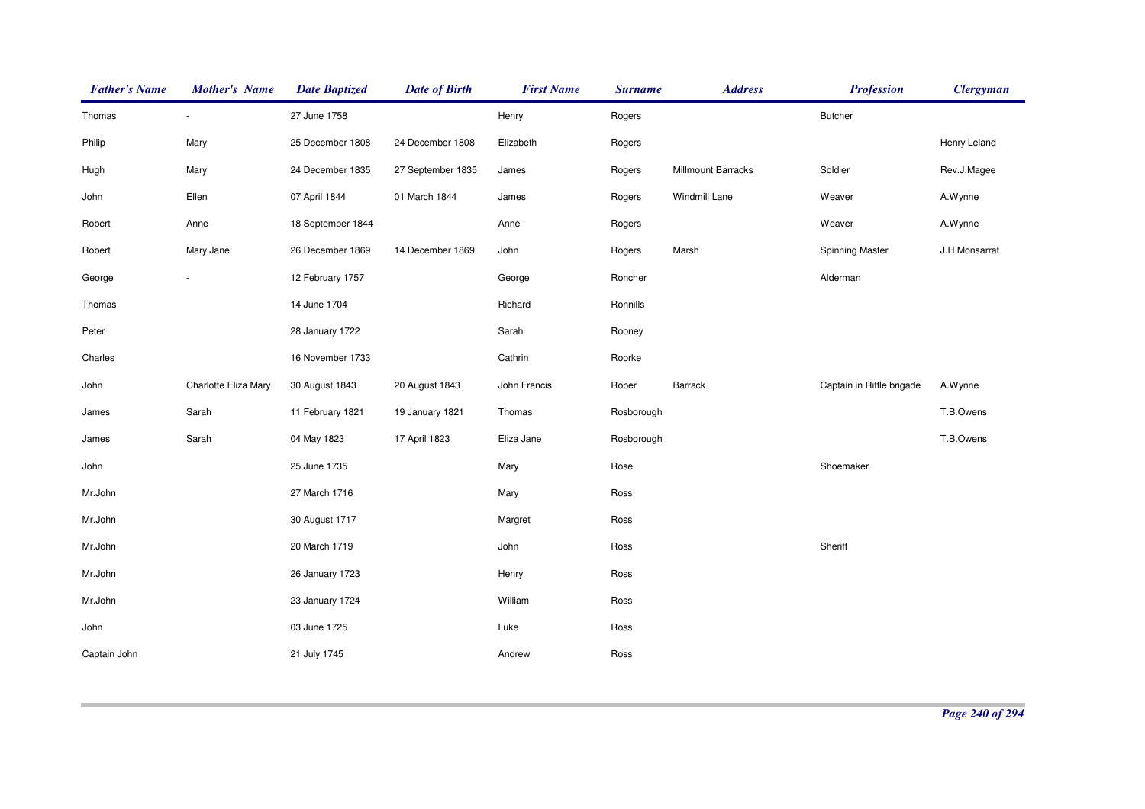| <b>Father's Name</b> | <b>Mother's Name</b> | <b>Date Baptized</b> | <b>Date of Birth</b> | <b>First Name</b> | <b>Surname</b> | <b>Address</b>     | <b>Profession</b>         | <b>Clergyman</b> |
|----------------------|----------------------|----------------------|----------------------|-------------------|----------------|--------------------|---------------------------|------------------|
| Thomas               |                      | 27 June 1758         |                      | Henry             | Rogers         |                    | <b>Butcher</b>            |                  |
| Philip               | Mary                 | 25 December 1808     | 24 December 1808     | Elizabeth         | Rogers         |                    |                           | Henry Leland     |
| Hugh                 | Mary                 | 24 December 1835     | 27 September 1835    | James             | Rogers         | Millmount Barracks | Soldier                   | Rev.J.Magee      |
| John                 | Ellen                | 07 April 1844        | 01 March 1844        | James             | Rogers         | Windmill Lane      | Weaver                    | A.Wynne          |
| Robert               | Anne                 | 18 September 1844    |                      | Anne              | Rogers         |                    | Weaver                    | A.Wynne          |
| Robert               | Mary Jane            | 26 December 1869     | 14 December 1869     | John              | Rogers         | Marsh              | <b>Spinning Master</b>    | J.H.Monsarrat    |
| George               |                      | 12 February 1757     |                      | George            | Roncher        |                    | Alderman                  |                  |
| Thomas               |                      | 14 June 1704         |                      | Richard           | Ronnills       |                    |                           |                  |
| Peter                |                      | 28 January 1722      |                      | Sarah             | Rooney         |                    |                           |                  |
| Charles              |                      | 16 November 1733     |                      | Cathrin           | Roorke         |                    |                           |                  |
| John                 | Charlotte Eliza Mary | 30 August 1843       | 20 August 1843       | John Francis      | Roper          | <b>Barrack</b>     | Captain in Riffle brigade | A.Wynne          |
| James                | Sarah                | 11 February 1821     | 19 January 1821      | Thomas            | Rosborough     |                    |                           | T.B.Owens        |
| James                | Sarah                | 04 May 1823          | 17 April 1823        | Eliza Jane        | Rosborough     |                    |                           | T.B.Owens        |
| John                 |                      | 25 June 1735         |                      | Mary              | Rose           |                    | Shoemaker                 |                  |
| Mr.John              |                      | 27 March 1716        |                      | Mary              | Ross           |                    |                           |                  |
| Mr.John              |                      | 30 August 1717       |                      | Margret           | Ross           |                    |                           |                  |
| Mr.John              |                      | 20 March 1719        |                      | John              | Ross           |                    | Sheriff                   |                  |
| Mr.John              |                      | 26 January 1723      |                      | Henry             | Ross           |                    |                           |                  |
| Mr.John              |                      | 23 January 1724      |                      | William           | Ross           |                    |                           |                  |
| John                 |                      | 03 June 1725         |                      | Luke              | Ross           |                    |                           |                  |
| Captain John         |                      | 21 July 1745         |                      | Andrew            | Ross           |                    |                           |                  |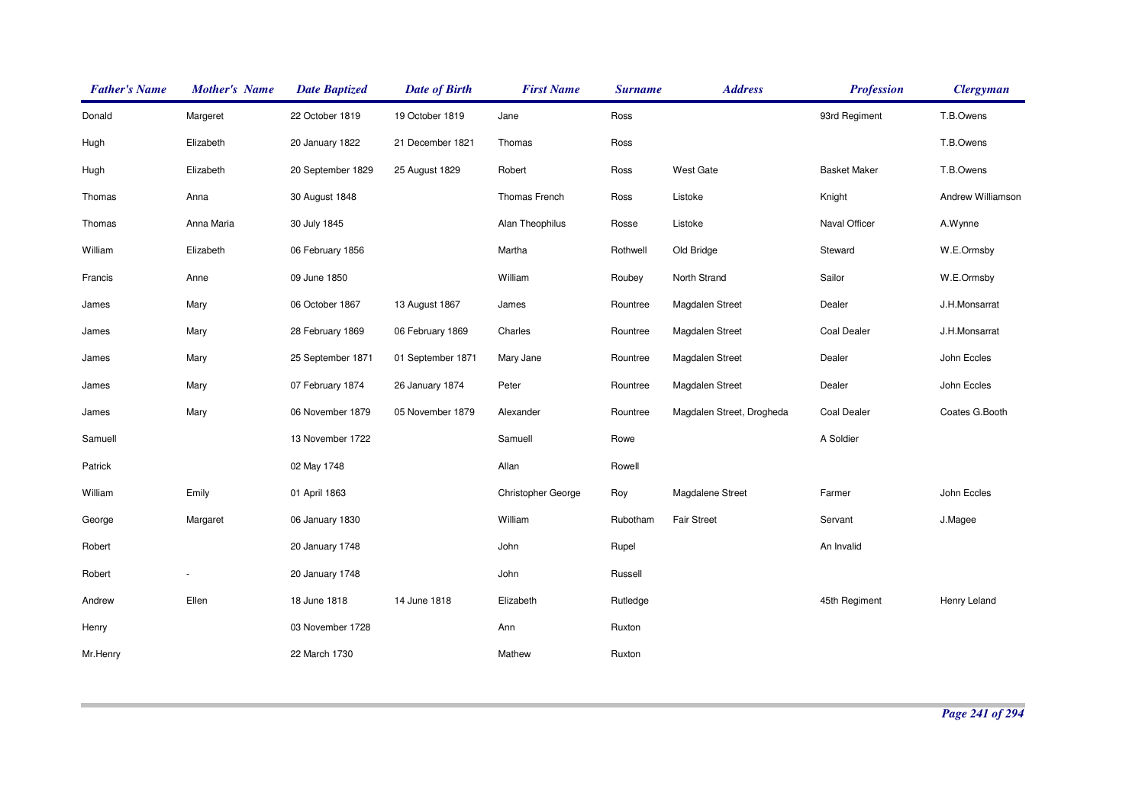| <b>Father's Name</b> | <b>Mother's Name</b> | <b>Date Baptized</b> | <b>Date of Birth</b> | <b>First Name</b>         | <b>Surname</b> | <b>Address</b>            | <b>Profession</b>   | <b>Clergyman</b>  |
|----------------------|----------------------|----------------------|----------------------|---------------------------|----------------|---------------------------|---------------------|-------------------|
| Donald               | Margeret             | 22 October 1819      | 19 October 1819      | Jane                      | Ross           |                           | 93rd Regiment       | T.B.Owens         |
| Hugh                 | Elizabeth            | 20 January 1822      | 21 December 1821     | Thomas                    | Ross           |                           |                     | T.B.Owens         |
| Hugh                 | Elizabeth            | 20 September 1829    | 25 August 1829       | Robert                    | Ross           | <b>West Gate</b>          | <b>Basket Maker</b> | T.B.Owens         |
| Thomas               | Anna                 | 30 August 1848       |                      | Thomas French             | Ross           | Listoke                   | Knight              | Andrew Williamson |
| Thomas               | Anna Maria           | 30 July 1845         |                      | Alan Theophilus           | Rosse          | Listoke                   | Naval Officer       | A.Wynne           |
| William              | Elizabeth            | 06 February 1856     |                      | Martha                    | Rothwell       | Old Bridge                | Steward             | W.E.Ormsby        |
| Francis              | Anne                 | 09 June 1850         |                      | William                   | Roubey         | North Strand              | Sailor              | W.E.Ormsby        |
| James                | Mary                 | 06 October 1867      | 13 August 1867       | James                     | Rountree       | Magdalen Street           | Dealer              | J.H.Monsarrat     |
| James                | Mary                 | 28 February 1869     | 06 February 1869     | Charles                   | Rountree       | Magdalen Street           | <b>Coal Dealer</b>  | J.H.Monsarrat     |
| James                | Mary                 | 25 September 1871    | 01 September 1871    | Mary Jane                 | Rountree       | Magdalen Street           | Dealer              | John Eccles       |
| James                | Mary                 | 07 February 1874     | 26 January 1874      | Peter                     | Rountree       | <b>Magdalen Street</b>    | Dealer              | John Eccles       |
| James                | Mary                 | 06 November 1879     | 05 November 1879     | Alexander                 | Rountree       | Magdalen Street, Drogheda | <b>Coal Dealer</b>  | Coates G.Booth    |
| Samuell              |                      | 13 November 1722     |                      | Samuell                   | Rowe           |                           | A Soldier           |                   |
| Patrick              |                      | 02 May 1748          |                      | Allan                     | Rowell         |                           |                     |                   |
| William              | Emily                | 01 April 1863        |                      | <b>Christopher George</b> | Roy            | Magdalene Street          | Farmer              | John Eccles       |
| George               | Margaret             | 06 January 1830      |                      | William                   | Rubotham       | <b>Fair Street</b>        | Servant             | J.Magee           |
| Robert               |                      | 20 January 1748      |                      | John                      | Rupel          |                           | An Invalid          |                   |
| Robert               |                      | 20 January 1748      |                      | John                      | Russell        |                           |                     |                   |
| Andrew               | Ellen                | 18 June 1818         | 14 June 1818         | Elizabeth                 | Rutledge       |                           | 45th Regiment       | Henry Leland      |
| Henry                |                      | 03 November 1728     |                      | Ann                       | Ruxton         |                           |                     |                   |
| Mr.Henry             |                      | 22 March 1730        |                      | Mathew                    | Ruxton         |                           |                     |                   |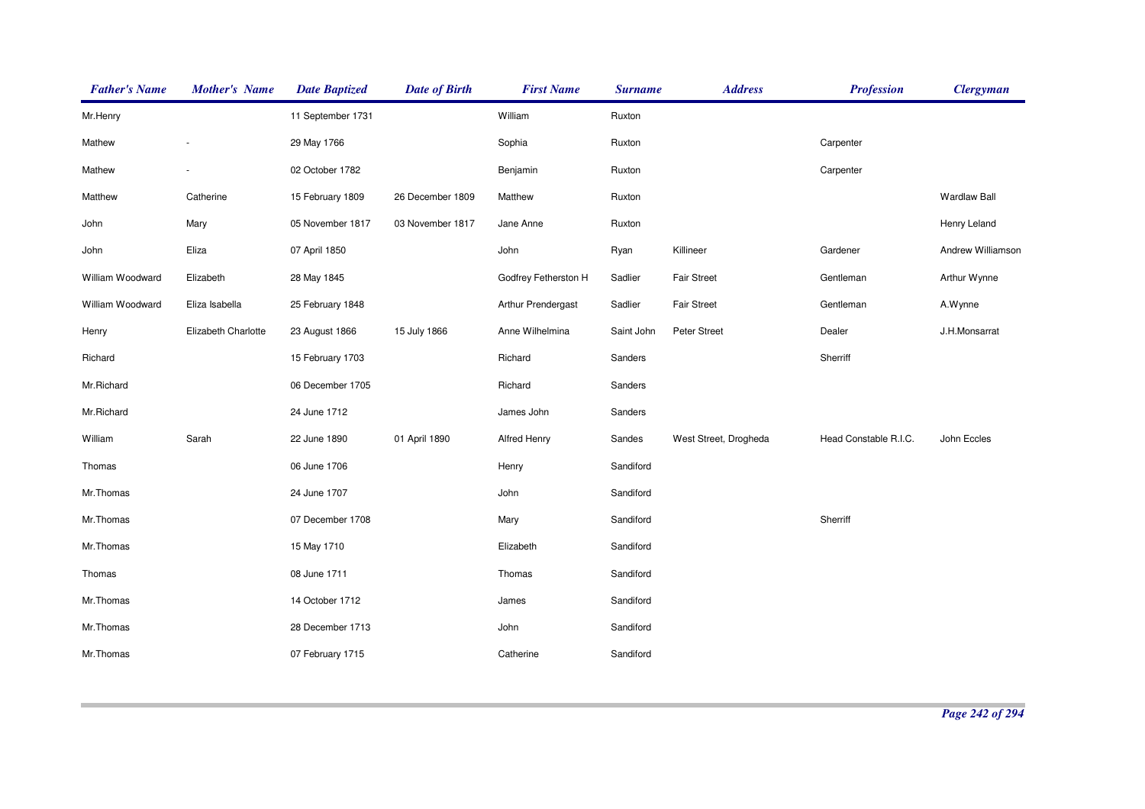| <b>Father's Name</b> | <b>Mother's Name</b> | <b>Date Baptized</b> | <b>Date of Birth</b> | <b>First Name</b>    | <b>Surname</b> | <b>Address</b>        | <b>Profession</b>     | <b>Clergyman</b>    |
|----------------------|----------------------|----------------------|----------------------|----------------------|----------------|-----------------------|-----------------------|---------------------|
| Mr.Henry             |                      | 11 September 1731    |                      | William              | Ruxton         |                       |                       |                     |
| Mathew               |                      | 29 May 1766          |                      | Sophia               | Ruxton         |                       | Carpenter             |                     |
| Mathew               | ÷,                   | 02 October 1782      |                      | Benjamin             | Ruxton         |                       | Carpenter             |                     |
| Matthew              | Catherine            | 15 February 1809     | 26 December 1809     | Matthew              | Ruxton         |                       |                       | <b>Wardlaw Ball</b> |
| John                 | Mary                 | 05 November 1817     | 03 November 1817     | Jane Anne            | Ruxton         |                       |                       | Henry Leland        |
| John                 | Eliza                | 07 April 1850        |                      | John                 | Ryan           | Killineer             | Gardener              | Andrew Williamson   |
| William Woodward     | Elizabeth            | 28 May 1845          |                      | Godfrey Fetherston H | Sadlier        | <b>Fair Street</b>    | Gentleman             | Arthur Wynne        |
| William Woodward     | Eliza Isabella       | 25 February 1848     |                      | Arthur Prendergast   | Sadlier        | <b>Fair Street</b>    | Gentleman             | A.Wynne             |
| Henry                | Elizabeth Charlotte  | 23 August 1866       | 15 July 1866         | Anne Wilhelmina      | Saint John     | Peter Street          | Dealer                | J.H.Monsarrat       |
| Richard              |                      | 15 February 1703     |                      | Richard              | Sanders        |                       | Sherriff              |                     |
| Mr.Richard           |                      | 06 December 1705     |                      | Richard              | Sanders        |                       |                       |                     |
| Mr.Richard           |                      | 24 June 1712         |                      | James John           | Sanders        |                       |                       |                     |
| William              | Sarah                | 22 June 1890         | 01 April 1890        | Alfred Henry         | Sandes         | West Street, Drogheda | Head Constable R.I.C. | John Eccles         |
| Thomas               |                      | 06 June 1706         |                      | Henry                | Sandiford      |                       |                       |                     |
| Mr.Thomas            |                      | 24 June 1707         |                      | John                 | Sandiford      |                       |                       |                     |
| Mr.Thomas            |                      | 07 December 1708     |                      | Mary                 | Sandiford      |                       | Sherriff              |                     |
| Mr.Thomas            |                      | 15 May 1710          |                      | Elizabeth            | Sandiford      |                       |                       |                     |
| Thomas               |                      | 08 June 1711         |                      | Thomas               | Sandiford      |                       |                       |                     |
| Mr.Thomas            |                      | 14 October 1712      |                      | James                | Sandiford      |                       |                       |                     |
| Mr.Thomas            |                      | 28 December 1713     |                      | John                 | Sandiford      |                       |                       |                     |
| Mr.Thomas            |                      | 07 February 1715     |                      | Catherine            | Sandiford      |                       |                       |                     |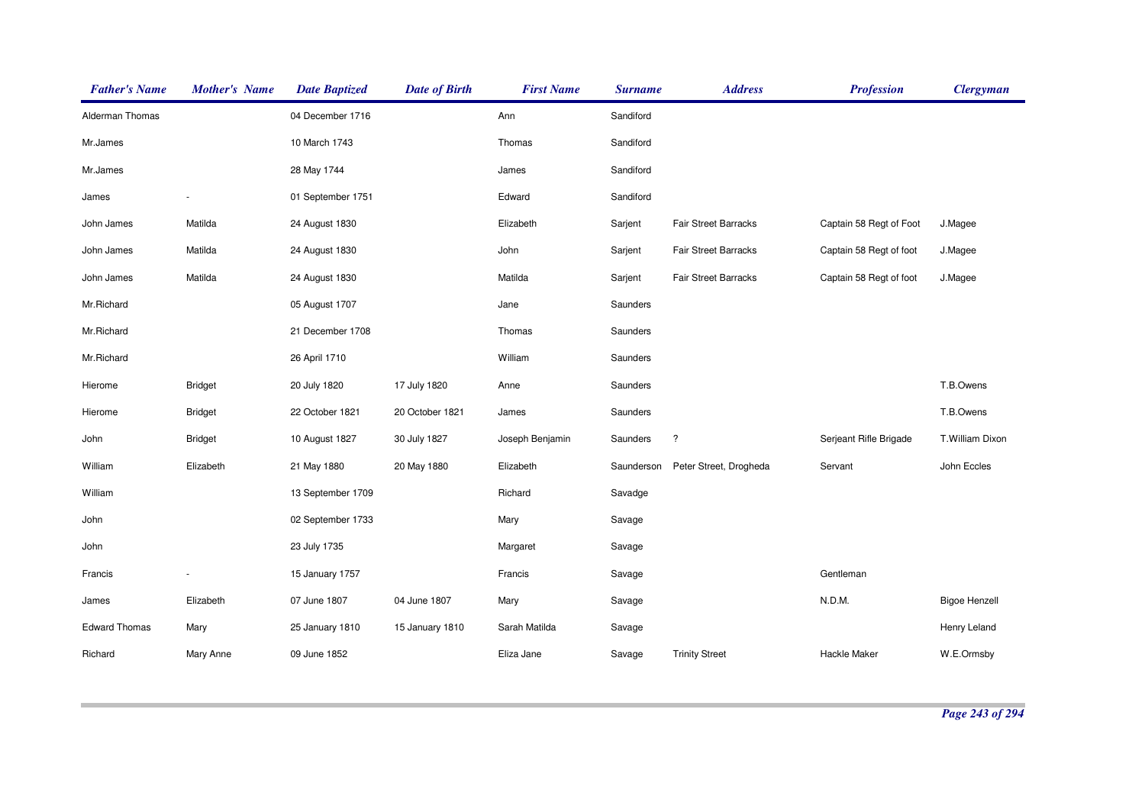| <b>Father's Name</b> | <b>Mother's Name</b> | <b>Date Baptized</b> | <b>Date of Birth</b> | <b>First Name</b> | <b>Surname</b> | <b>Address</b>              | <b>Profession</b>       | <b>Clergyman</b>     |
|----------------------|----------------------|----------------------|----------------------|-------------------|----------------|-----------------------------|-------------------------|----------------------|
| Alderman Thomas      |                      | 04 December 1716     |                      | Ann               | Sandiford      |                             |                         |                      |
| Mr.James             |                      | 10 March 1743        |                      | Thomas            | Sandiford      |                             |                         |                      |
| Mr.James             |                      | 28 May 1744          |                      | James             | Sandiford      |                             |                         |                      |
| James                |                      | 01 September 1751    |                      | Edward            | Sandiford      |                             |                         |                      |
| John James           | Matilda              | 24 August 1830       |                      | Elizabeth         | Sarjent        | Fair Street Barracks        | Captain 58 Regt of Foot | J.Magee              |
| John James           | Matilda              | 24 August 1830       |                      | John              | Sarjent        | <b>Fair Street Barracks</b> | Captain 58 Regt of foot | J.Magee              |
| John James           | Matilda              | 24 August 1830       |                      | Matilda           | Sarjent        | <b>Fair Street Barracks</b> | Captain 58 Regt of foot | J.Magee              |
| Mr.Richard           |                      | 05 August 1707       |                      | Jane              | Saunders       |                             |                         |                      |
| Mr.Richard           |                      | 21 December 1708     |                      | Thomas            | Saunders       |                             |                         |                      |
| Mr.Richard           |                      | 26 April 1710        |                      | William           | Saunders       |                             |                         |                      |
| Hierome              | <b>Bridget</b>       | 20 July 1820         | 17 July 1820         | Anne              | Saunders       |                             |                         | T.B.Owens            |
| Hierome              | <b>Bridget</b>       | 22 October 1821      | 20 October 1821      | James             | Saunders       |                             |                         | T.B.Owens            |
| John                 | <b>Bridget</b>       | 10 August 1827       | 30 July 1827         | Joseph Benjamin   | Saunders       | $\ddot{?}$                  | Serjeant Rifle Brigade  | T.William Dixon      |
| William              | Elizabeth            | 21 May 1880          | 20 May 1880          | Elizabeth         | Saunderson     | Peter Street, Drogheda      | Servant                 | John Eccles          |
| William              |                      | 13 September 1709    |                      | Richard           | Savadge        |                             |                         |                      |
| John                 |                      | 02 September 1733    |                      | Mary              | Savage         |                             |                         |                      |
| John                 |                      | 23 July 1735         |                      | Margaret          | Savage         |                             |                         |                      |
| Francis              |                      | 15 January 1757      |                      | Francis           | Savage         |                             | Gentleman               |                      |
| James                | Elizabeth            | 07 June 1807         | 04 June 1807         | Mary              | Savage         |                             | N.D.M.                  | <b>Bigoe Henzell</b> |
| <b>Edward Thomas</b> | Mary                 | 25 January 1810      | 15 January 1810      | Sarah Matilda     | Savage         |                             |                         | Henry Leland         |
| Richard              | Mary Anne            | 09 June 1852         |                      | Eliza Jane        | Savage         | <b>Trinity Street</b>       | <b>Hackle Maker</b>     | W.E.Ormsby           |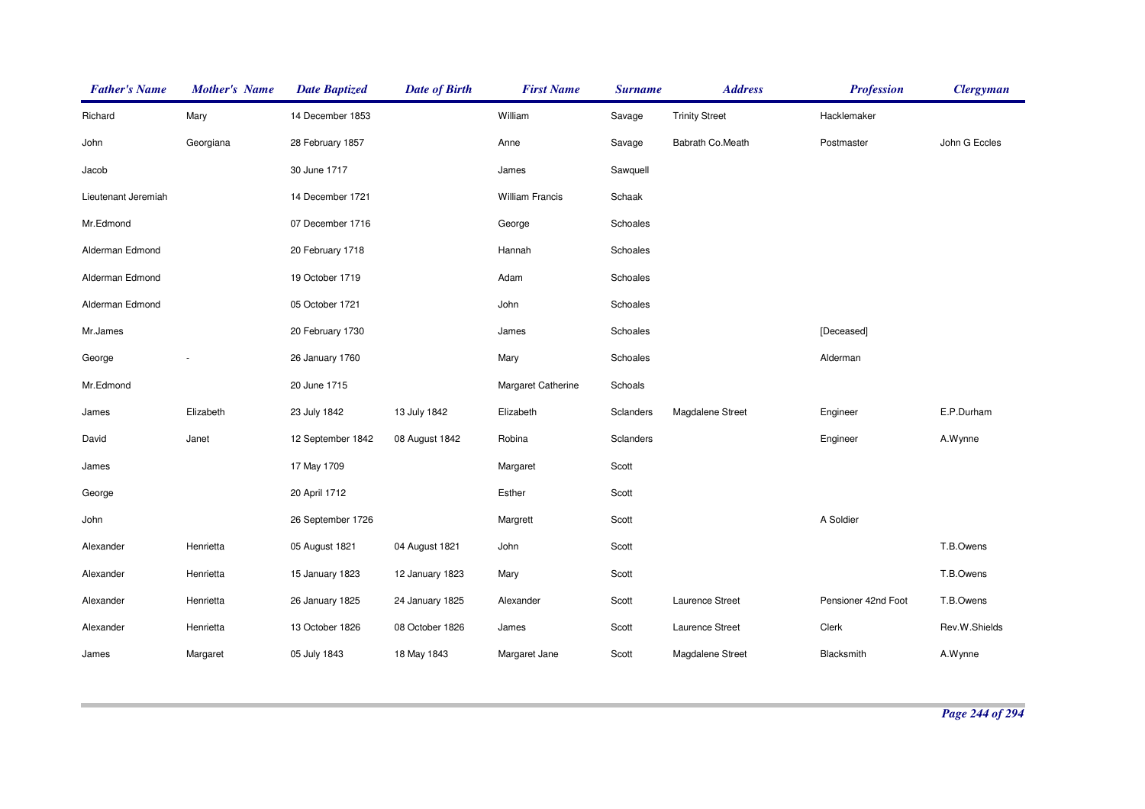| <b>Father's Name</b> | <b>Mother's Name</b> | <b>Date Baptized</b> | <b>Date of Birth</b> | <b>First Name</b>      | <b>Surname</b> | <b>Address</b>        | <b>Profession</b>   | <b>Clergyman</b> |
|----------------------|----------------------|----------------------|----------------------|------------------------|----------------|-----------------------|---------------------|------------------|
| Richard              | Mary                 | 14 December 1853     |                      | William                | Savage         | <b>Trinity Street</b> | Hacklemaker         |                  |
| John                 | Georgiana            | 28 February 1857     |                      | Anne                   | Savage         | Babrath Co.Meath      | Postmaster          | John G Eccles    |
| Jacob                |                      | 30 June 1717         |                      | James                  | Sawquell       |                       |                     |                  |
| Lieutenant Jeremiah  |                      | 14 December 1721     |                      | <b>William Francis</b> | Schaak         |                       |                     |                  |
| Mr.Edmond            |                      | 07 December 1716     |                      | George                 | Schoales       |                       |                     |                  |
| Alderman Edmond      |                      | 20 February 1718     |                      | Hannah                 | Schoales       |                       |                     |                  |
| Alderman Edmond      |                      | 19 October 1719      |                      | Adam                   | Schoales       |                       |                     |                  |
| Alderman Edmond      |                      | 05 October 1721      |                      | John                   | Schoales       |                       |                     |                  |
| Mr.James             |                      | 20 February 1730     |                      | James                  | Schoales       |                       | [Deceased]          |                  |
| George               |                      | 26 January 1760      |                      | Mary                   | Schoales       |                       | Alderman            |                  |
| Mr.Edmond            |                      | 20 June 1715         |                      | Margaret Catherine     | Schoals        |                       |                     |                  |
| James                | Elizabeth            | 23 July 1842         | 13 July 1842         | Elizabeth              | Sclanders      | Magdalene Street      | Engineer            | E.P.Durham       |
| David                | Janet                | 12 September 1842    | 08 August 1842       | Robina                 | Sclanders      |                       | Engineer            | A.Wynne          |
| James                |                      | 17 May 1709          |                      | Margaret               | Scott          |                       |                     |                  |
| George               |                      | 20 April 1712        |                      | Esther                 | Scott          |                       |                     |                  |
| John                 |                      | 26 September 1726    |                      | Margrett               | Scott          |                       | A Soldier           |                  |
| Alexander            | Henrietta            | 05 August 1821       | 04 August 1821       | John                   | Scott          |                       |                     | T.B.Owens        |
| Alexander            | Henrietta            | 15 January 1823      | 12 January 1823      | Mary                   | Scott          |                       |                     | T.B.Owens        |
| Alexander            | Henrietta            | 26 January 1825      | 24 January 1825      | Alexander              | Scott          | Laurence Street       | Pensioner 42nd Foot | T.B.Owens        |
| Alexander            | Henrietta            | 13 October 1826      | 08 October 1826      | James                  | Scott          | Laurence Street       | Clerk               | Rev.W.Shields    |
| James                | Margaret             | 05 July 1843         | 18 May 1843          | Margaret Jane          | Scott          | Magdalene Street      | Blacksmith          | A.Wynne          |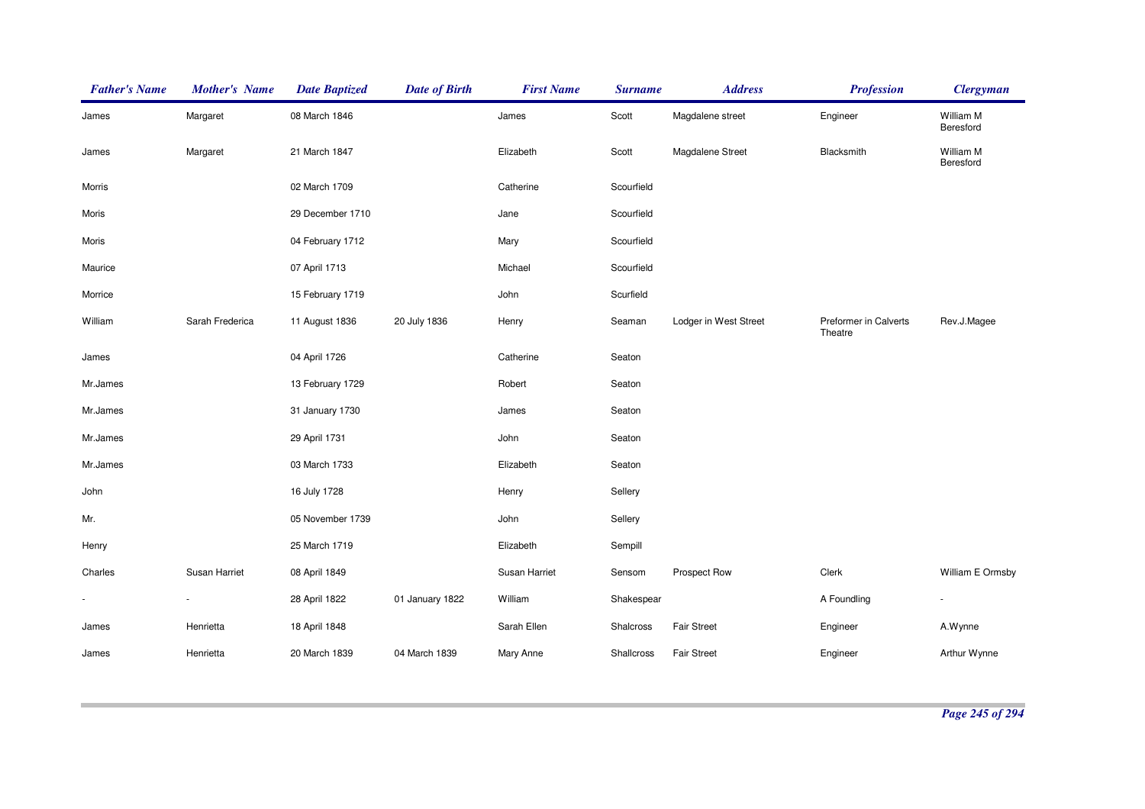| <b>Father's Name</b> | <b>Mother's Name</b> | <b>Date Baptized</b> | <b>Date of Birth</b> | <b>First Name</b> | <b>Surname</b> | <b>Address</b>        | <b>Profession</b>                | <b>Clergyman</b>       |
|----------------------|----------------------|----------------------|----------------------|-------------------|----------------|-----------------------|----------------------------------|------------------------|
| James                | Margaret             | 08 March 1846        |                      | James             | Scott          | Magdalene street      | Engineer                         | William M<br>Beresford |
| James                | Margaret             | 21 March 1847        |                      | Elizabeth         | Scott          | Magdalene Street      | Blacksmith                       | William M<br>Beresford |
| Morris               |                      | 02 March 1709        |                      | Catherine         | Scourfield     |                       |                                  |                        |
| Moris                |                      | 29 December 1710     |                      | Jane              | Scourfield     |                       |                                  |                        |
| Moris                |                      | 04 February 1712     |                      | Mary              | Scourfield     |                       |                                  |                        |
| Maurice              |                      | 07 April 1713        |                      | Michael           | Scourfield     |                       |                                  |                        |
| Morrice              |                      | 15 February 1719     |                      | John              | Scurfield      |                       |                                  |                        |
| William              | Sarah Frederica      | 11 August 1836       | 20 July 1836         | Henry             | Seaman         | Lodger in West Street | Preformer in Calverts<br>Theatre | Rev.J.Magee            |
| James                |                      | 04 April 1726        |                      | Catherine         | Seaton         |                       |                                  |                        |
| Mr.James             |                      | 13 February 1729     |                      | Robert            | Seaton         |                       |                                  |                        |
| Mr.James             |                      | 31 January 1730      |                      | James             | Seaton         |                       |                                  |                        |
| Mr.James             |                      | 29 April 1731        |                      | John              | Seaton         |                       |                                  |                        |
| Mr.James             |                      | 03 March 1733        |                      | Elizabeth         | Seaton         |                       |                                  |                        |
| John                 |                      | 16 July 1728         |                      | Henry             | Sellery        |                       |                                  |                        |
| Mr.                  |                      | 05 November 1739     |                      | John              | Sellery        |                       |                                  |                        |
| Henry                |                      | 25 March 1719        |                      | Elizabeth         | Sempill        |                       |                                  |                        |
| Charles              | Susan Harriet        | 08 April 1849        |                      | Susan Harriet     | Sensom         | Prospect Row          | Clerk                            | William E Ormsby       |
|                      |                      | 28 April 1822        | 01 January 1822      | William           | Shakespear     |                       | A Foundling                      | $\sim$                 |
| James                | Henrietta            | 18 April 1848        |                      | Sarah Ellen       | Shalcross      | <b>Fair Street</b>    | Engineer                         | A.Wynne                |
| James                | Henrietta            | 20 March 1839        | 04 March 1839        | Mary Anne         | Shallcross     | <b>Fair Street</b>    | Engineer                         | Arthur Wynne           |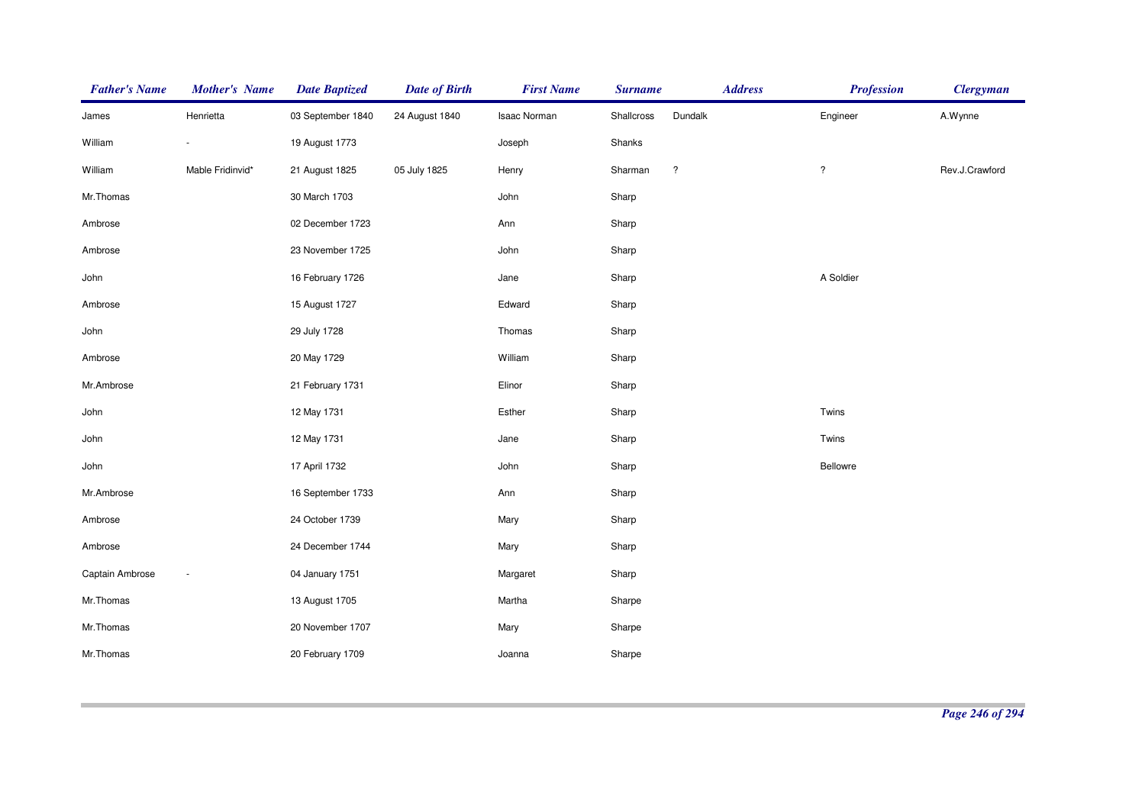| <b>Father's Name</b> | <b>Mother's Name</b>     | <b>Date Baptized</b> | <b>Date of Birth</b> | <b>First Name</b> | <b>Surname</b> | <b>Address</b>     | <b>Profession</b> | <b>Clergyman</b> |
|----------------------|--------------------------|----------------------|----------------------|-------------------|----------------|--------------------|-------------------|------------------|
| James                | Henrietta                | 03 September 1840    | 24 August 1840       | Isaac Norman      | Shallcross     | Dundalk            | Engineer          | A.Wynne          |
| William              | $\overline{\phantom{a}}$ | 19 August 1773       |                      | Joseph            | Shanks         |                    |                   |                  |
| William              | Mable Fridinvid*         | 21 August 1825       | 05 July 1825         | Henry             | Sharman        | $\overline{\cdot}$ | $\ddot{?}$        | Rev.J.Crawford   |
| Mr.Thomas            |                          | 30 March 1703        |                      | John              | Sharp          |                    |                   |                  |
| Ambrose              |                          | 02 December 1723     |                      | Ann               | Sharp          |                    |                   |                  |
| Ambrose              |                          | 23 November 1725     |                      | John              | Sharp          |                    |                   |                  |
| John                 |                          | 16 February 1726     |                      | Jane              | Sharp          |                    | A Soldier         |                  |
| Ambrose              |                          | 15 August 1727       |                      | Edward            | Sharp          |                    |                   |                  |
| John                 |                          | 29 July 1728         |                      | Thomas            | Sharp          |                    |                   |                  |
| Ambrose              |                          | 20 May 1729          |                      | William           | Sharp          |                    |                   |                  |
| Mr.Ambrose           |                          | 21 February 1731     |                      | Elinor            | Sharp          |                    |                   |                  |
| John                 |                          | 12 May 1731          |                      | Esther            | Sharp          |                    | Twins             |                  |
| John                 |                          | 12 May 1731          |                      | Jane              | Sharp          |                    | Twins             |                  |
| John                 |                          | 17 April 1732        |                      | John              | Sharp          |                    | Bellowre          |                  |
| Mr.Ambrose           |                          | 16 September 1733    |                      | Ann               | Sharp          |                    |                   |                  |
| Ambrose              |                          | 24 October 1739      |                      | Mary              | Sharp          |                    |                   |                  |
| Ambrose              |                          | 24 December 1744     |                      | Mary              | Sharp          |                    |                   |                  |
| Captain Ambrose      | $\overline{\phantom{a}}$ | 04 January 1751      |                      | Margaret          | Sharp          |                    |                   |                  |
| Mr.Thomas            |                          | 13 August 1705       |                      | Martha            | Sharpe         |                    |                   |                  |
| Mr.Thomas            |                          | 20 November 1707     |                      | Mary              | Sharpe         |                    |                   |                  |
| Mr.Thomas            |                          | 20 February 1709     |                      | Joanna            | Sharpe         |                    |                   |                  |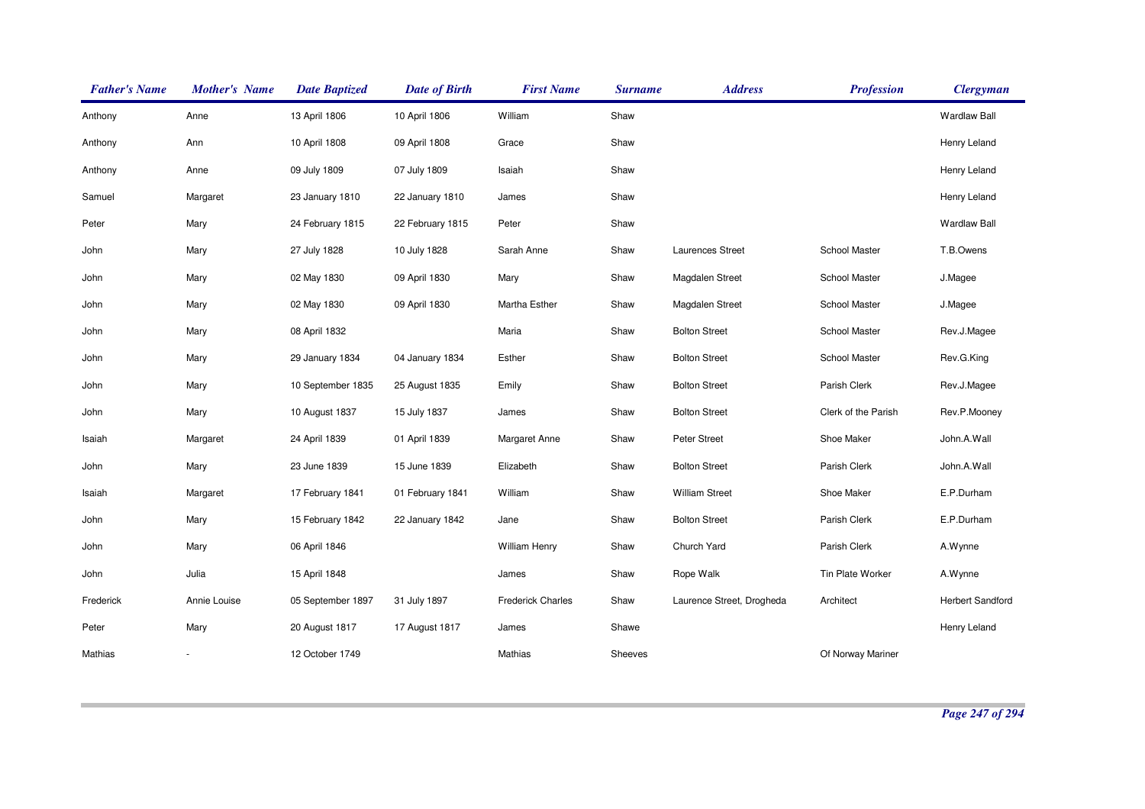| <b>Father's Name</b> | <b>Mother's Name</b> | <b>Date Baptized</b> | <b>Date of Birth</b> | <b>First Name</b>        | <b>Surname</b> | <b>Address</b>            | <b>Profession</b>    | <b>Clergyman</b>        |
|----------------------|----------------------|----------------------|----------------------|--------------------------|----------------|---------------------------|----------------------|-------------------------|
| Anthony              | Anne                 | 13 April 1806        | 10 April 1806        | William                  | Shaw           |                           |                      | <b>Wardlaw Ball</b>     |
| Anthony              | Ann                  | 10 April 1808        | 09 April 1808        | Grace                    | Shaw           |                           |                      | Henry Leland            |
| Anthony              | Anne                 | 09 July 1809         | 07 July 1809         | Isaiah                   | Shaw           |                           |                      | Henry Leland            |
| Samuel               | Margaret             | 23 January 1810      | 22 January 1810      | James                    | Shaw           |                           |                      | Henry Leland            |
| Peter                | Mary                 | 24 February 1815     | 22 February 1815     | Peter                    | Shaw           |                           |                      | <b>Wardlaw Ball</b>     |
| John                 | Mary                 | 27 July 1828         | 10 July 1828         | Sarah Anne               | Shaw           | Laurences Street          | <b>School Master</b> | T.B.Owens               |
| John                 | Mary                 | 02 May 1830          | 09 April 1830        | Mary                     | Shaw           | <b>Magdalen Street</b>    | School Master        | J.Magee                 |
| John                 | Mary                 | 02 May 1830          | 09 April 1830        | Martha Esther            | Shaw           | <b>Magdalen Street</b>    | School Master        | J.Magee                 |
| John                 | Mary                 | 08 April 1832        |                      | Maria                    | Shaw           | <b>Bolton Street</b>      | School Master        | Rev.J.Magee             |
| John                 | Mary                 | 29 January 1834      | 04 January 1834      | Esther                   | Shaw           | <b>Bolton Street</b>      | School Master        | Rev.G.King              |
| John                 | Mary                 | 10 September 1835    | 25 August 1835       | Emily                    | Shaw           | <b>Bolton Street</b>      | Parish Clerk         | Rev.J.Magee             |
| John                 | Mary                 | 10 August 1837       | 15 July 1837         | James                    | Shaw           | <b>Bolton Street</b>      | Clerk of the Parish  | Rev.P.Mooney            |
| Isaiah               | Margaret             | 24 April 1839        | 01 April 1839        | Margaret Anne            | Shaw           | Peter Street              | Shoe Maker           | John.A.Wall             |
| John                 | Mary                 | 23 June 1839         | 15 June 1839         | Elizabeth                | Shaw           | <b>Bolton Street</b>      | Parish Clerk         | John.A.Wall             |
| Isaiah               | Margaret             | 17 February 1841     | 01 February 1841     | William                  | Shaw           | <b>William Street</b>     | Shoe Maker           | E.P.Durham              |
| John                 | Mary                 | 15 February 1842     | 22 January 1842      | Jane                     | Shaw           | <b>Bolton Street</b>      | Parish Clerk         | E.P.Durham              |
| John                 | Mary                 | 06 April 1846        |                      | <b>William Henry</b>     | Shaw           | Church Yard               | Parish Clerk         | A.Wynne                 |
| John                 | Julia                | 15 April 1848        |                      | James                    | Shaw           | Rope Walk                 | Tin Plate Worker     | A.Wynne                 |
| Frederick            | Annie Louise         | 05 September 1897    | 31 July 1897         | <b>Frederick Charles</b> | Shaw           | Laurence Street, Drogheda | Architect            | <b>Herbert Sandford</b> |
| Peter                | Mary                 | 20 August 1817       | 17 August 1817       | James                    | Shawe          |                           |                      | Henry Leland            |
| Mathias              |                      | 12 October 1749      |                      | Mathias                  | Sheeves        |                           | Of Norway Mariner    |                         |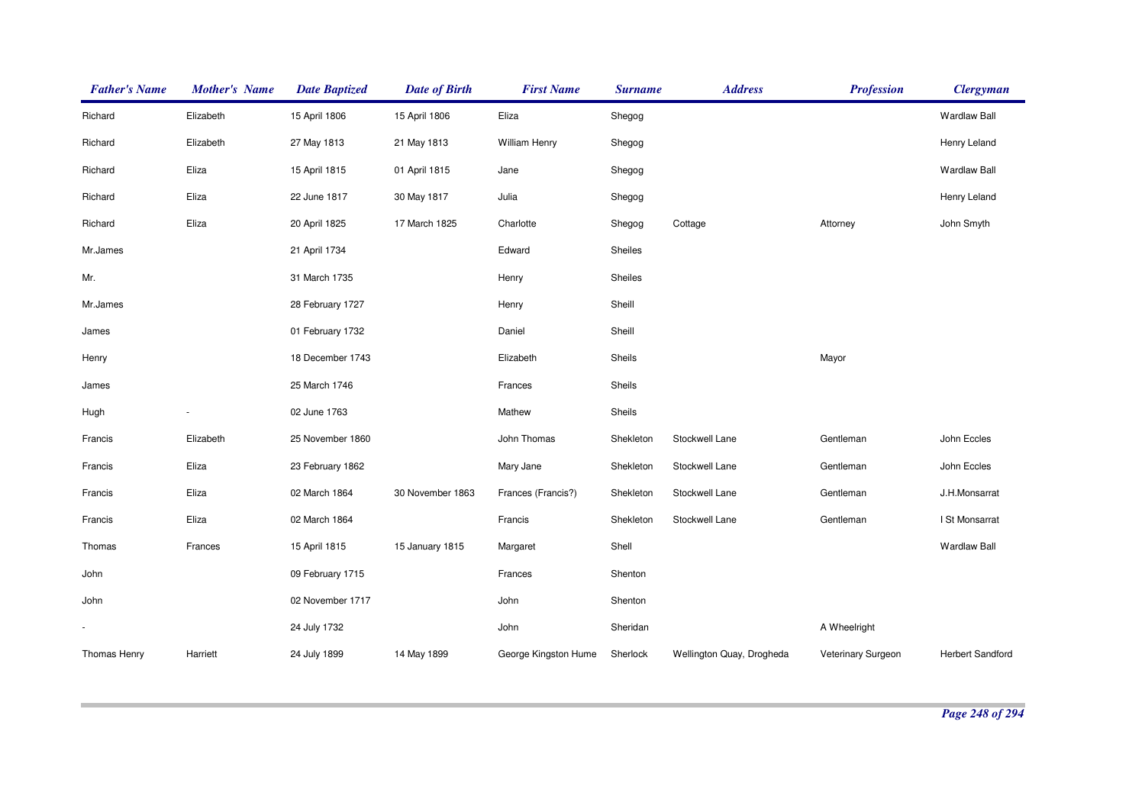| <b>Father's Name</b> | <b>Mother's Name</b> | <b>Date Baptized</b> | <b>Date of Birth</b> | <b>First Name</b>    | <b>Surname</b> | <b>Address</b>            | <b>Profession</b>  | <b>Clergyman</b>    |
|----------------------|----------------------|----------------------|----------------------|----------------------|----------------|---------------------------|--------------------|---------------------|
| Richard              | Elizabeth            | 15 April 1806        | 15 April 1806        | Eliza                | Shegog         |                           |                    | <b>Wardlaw Ball</b> |
| Richard              | Elizabeth            | 27 May 1813          | 21 May 1813          | William Henry        | Shegog         |                           |                    | Henry Leland        |
| Richard              | Eliza                | 15 April 1815        | 01 April 1815        | Jane                 | Shegog         |                           |                    | <b>Wardlaw Ball</b> |
| Richard              | Eliza                | 22 June 1817         | 30 May 1817          | Julia                | Shegog         |                           |                    | Henry Leland        |
| Richard              | Eliza                | 20 April 1825        | 17 March 1825        | Charlotte            | Shegog         | Cottage                   | Attorney           | John Smyth          |
| Mr.James             |                      | 21 April 1734        |                      | Edward               | Sheiles        |                           |                    |                     |
| Mr.                  |                      | 31 March 1735        |                      | Henry                | Sheiles        |                           |                    |                     |
| Mr.James             |                      | 28 February 1727     |                      | Henry                | Sheill         |                           |                    |                     |
| James                |                      | 01 February 1732     |                      | Daniel               | Sheill         |                           |                    |                     |
| Henry                |                      | 18 December 1743     |                      | Elizabeth            | Sheils         |                           | Mayor              |                     |
| James                |                      | 25 March 1746        |                      | Frances              | Sheils         |                           |                    |                     |
| Hugh                 |                      | 02 June 1763         |                      | Mathew               | Sheils         |                           |                    |                     |
| Francis              | Elizabeth            | 25 November 1860     |                      | John Thomas          | Shekleton      | Stockwell Lane            | Gentleman          | John Eccles         |
| Francis              | Eliza                | 23 February 1862     |                      | Mary Jane            | Shekleton      | Stockwell Lane            | Gentleman          | John Eccles         |
| Francis              | Eliza                | 02 March 1864        | 30 November 1863     | Frances (Francis?)   | Shekleton      | Stockwell Lane            | Gentleman          | J.H.Monsarrat       |
| Francis              | Eliza                | 02 March 1864        |                      | Francis              | Shekleton      | Stockwell Lane            | Gentleman          | I St Monsarrat      |
| Thomas               | Frances              | 15 April 1815        | 15 January 1815      | Margaret             | Shell          |                           |                    | <b>Wardlaw Ball</b> |
| John                 |                      | 09 February 1715     |                      | Frances              | Shenton        |                           |                    |                     |
| John                 |                      | 02 November 1717     |                      | John                 | Shenton        |                           |                    |                     |
|                      |                      | 24 July 1732         |                      | John                 | Sheridan       |                           | A Wheelright       |                     |
| Thomas Henry         | Harriett             | 24 July 1899         | 14 May 1899          | George Kingston Hume | Sherlock       | Wellington Quay, Drogheda | Veterinary Surgeon | Herbert Sandford    |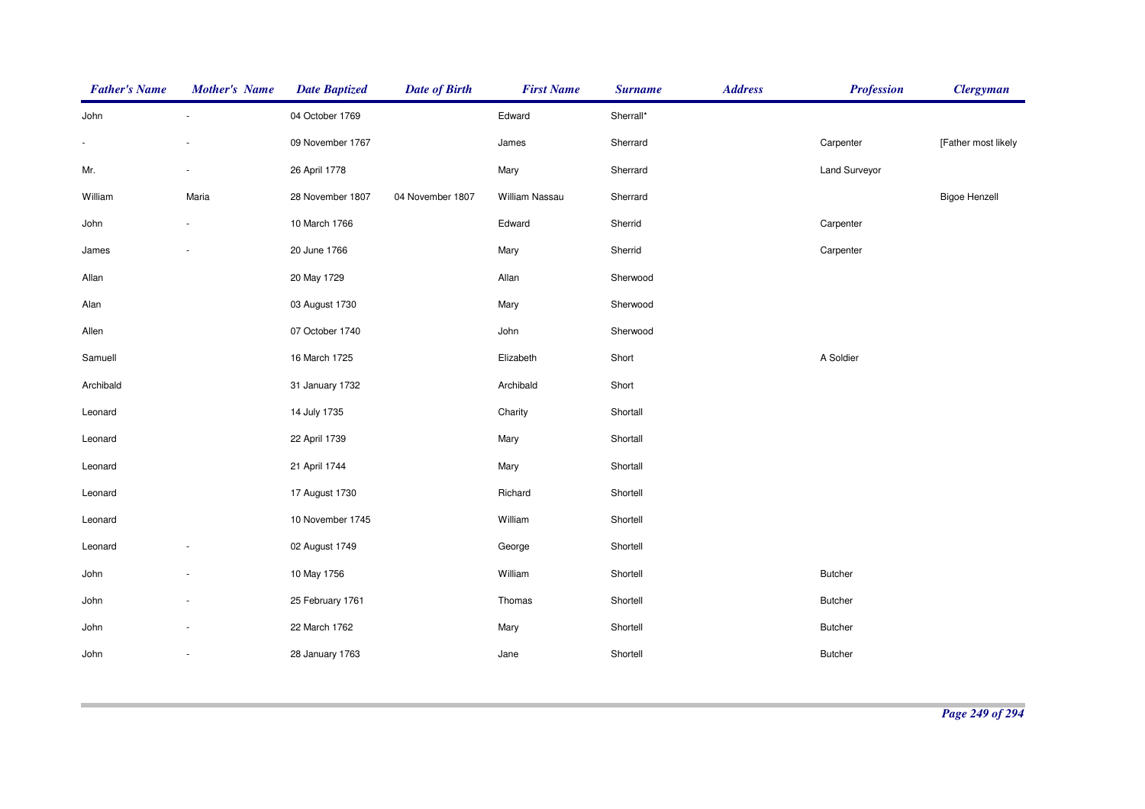| <b>Father's Name</b> | <b>Mother's Name</b>     | <b>Date Baptized</b> | <b>Date of Birth</b> | <b>First Name</b> | <b>Surname</b> | <b>Address</b> | <b>Profession</b> | <b>Clergyman</b>     |
|----------------------|--------------------------|----------------------|----------------------|-------------------|----------------|----------------|-------------------|----------------------|
| John                 | $\overline{\phantom{a}}$ | 04 October 1769      |                      | Edward            | Sherrall*      |                |                   |                      |
| $\blacksquare$       |                          | 09 November 1767     |                      | James             | Sherrard       |                | Carpenter         | [Father most likely  |
| Mr.                  |                          | 26 April 1778        |                      | Mary              | Sherrard       |                | Land Surveyor     |                      |
| William              | Maria                    | 28 November 1807     | 04 November 1807     | William Nassau    | Sherrard       |                |                   | <b>Bigoe Henzell</b> |
| John                 |                          | 10 March 1766        |                      | Edward            | Sherrid        |                | Carpenter         |                      |
| James                |                          | 20 June 1766         |                      | Mary              | Sherrid        |                | Carpenter         |                      |
| Allan                |                          | 20 May 1729          |                      | Allan             | Sherwood       |                |                   |                      |
| Alan                 |                          | 03 August 1730       |                      | Mary              | Sherwood       |                |                   |                      |
| Allen                |                          | 07 October 1740      |                      | John              | Sherwood       |                |                   |                      |
| Samuell              |                          | 16 March 1725        |                      | Elizabeth         | Short          |                | A Soldier         |                      |
| Archibald            |                          | 31 January 1732      |                      | Archibald         | Short          |                |                   |                      |
| Leonard              |                          | 14 July 1735         |                      | Charity           | Shortall       |                |                   |                      |
| Leonard              |                          | 22 April 1739        |                      | Mary              | Shortall       |                |                   |                      |
| Leonard              |                          | 21 April 1744        |                      | Mary              | Shortall       |                |                   |                      |
| Leonard              |                          | 17 August 1730       |                      | Richard           | Shortell       |                |                   |                      |
| Leonard              |                          | 10 November 1745     |                      | William           | Shortell       |                |                   |                      |
| Leonard              |                          | 02 August 1749       |                      | George            | Shortell       |                |                   |                      |
| John                 |                          | 10 May 1756          |                      | William           | Shortell       |                | <b>Butcher</b>    |                      |
| John                 |                          | 25 February 1761     |                      | Thomas            | Shortell       |                | <b>Butcher</b>    |                      |
| John                 |                          | 22 March 1762        |                      | Mary              | Shortell       |                | <b>Butcher</b>    |                      |
| John                 |                          | 28 January 1763      |                      | Jane              | Shortell       |                | <b>Butcher</b>    |                      |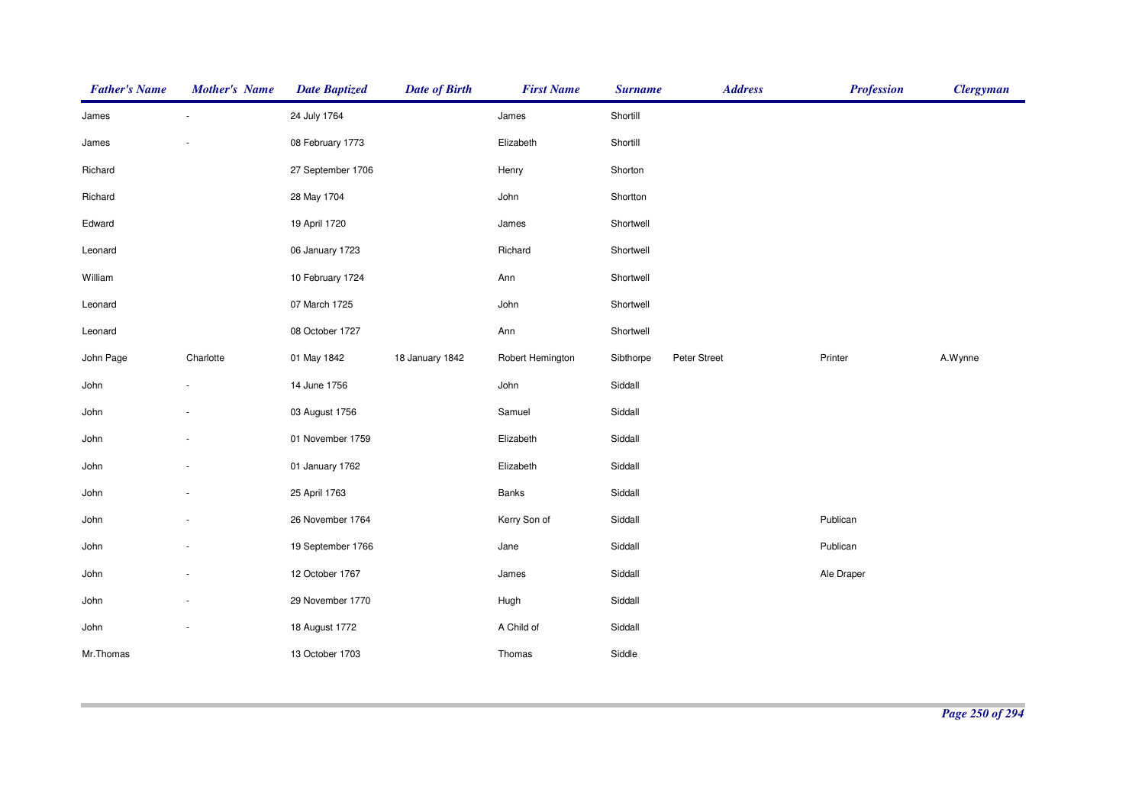| <b>Father's Name</b> | <b>Mother's Name</b> | <b>Date Baptized</b> | <b>Date of Birth</b> | <b>First Name</b> | <b>Surname</b> | <b>Address</b> | <b>Profession</b> | <b>Clergyman</b> |
|----------------------|----------------------|----------------------|----------------------|-------------------|----------------|----------------|-------------------|------------------|
| James                |                      | 24 July 1764         |                      | James             | Shortill       |                |                   |                  |
| James                |                      | 08 February 1773     |                      | Elizabeth         | Shortill       |                |                   |                  |
| Richard              |                      | 27 September 1706    |                      | Henry             | Shorton        |                |                   |                  |
| Richard              |                      | 28 May 1704          |                      | John              | Shortton       |                |                   |                  |
| Edward               |                      | 19 April 1720        |                      | James             | Shortwell      |                |                   |                  |
| Leonard              |                      | 06 January 1723      |                      | Richard           | Shortwell      |                |                   |                  |
| William              |                      | 10 February 1724     |                      | Ann               | Shortwell      |                |                   |                  |
| Leonard              |                      | 07 March 1725        |                      | John              | Shortwell      |                |                   |                  |
| Leonard              |                      | 08 October 1727      |                      | Ann               | Shortwell      |                |                   |                  |
| John Page            | Charlotte            | 01 May 1842          | 18 January 1842      | Robert Hemington  | Sibthorpe      | Peter Street   | Printer           | A.Wynne          |
| John                 |                      | 14 June 1756         |                      | John              | Siddall        |                |                   |                  |
| John                 |                      | 03 August 1756       |                      | Samuel            | Siddall        |                |                   |                  |
| John                 |                      | 01 November 1759     |                      | Elizabeth         | Siddall        |                |                   |                  |
| John                 |                      | 01 January 1762      |                      | Elizabeth         | Siddall        |                |                   |                  |
| John                 |                      | 25 April 1763        |                      | <b>Banks</b>      | Siddall        |                |                   |                  |
| John                 |                      | 26 November 1764     |                      | Kerry Son of      | Siddall        |                | Publican          |                  |
| John                 |                      | 19 September 1766    |                      | Jane              | Siddall        |                | Publican          |                  |
| John                 |                      | 12 October 1767      |                      | James             | Siddall        |                | Ale Draper        |                  |
| John                 |                      | 29 November 1770     |                      | Hugh              | Siddall        |                |                   |                  |
| John                 |                      | 18 August 1772       |                      | A Child of        | Siddall        |                |                   |                  |
| Mr.Thomas            |                      | 13 October 1703      |                      | Thomas            | Siddle         |                |                   |                  |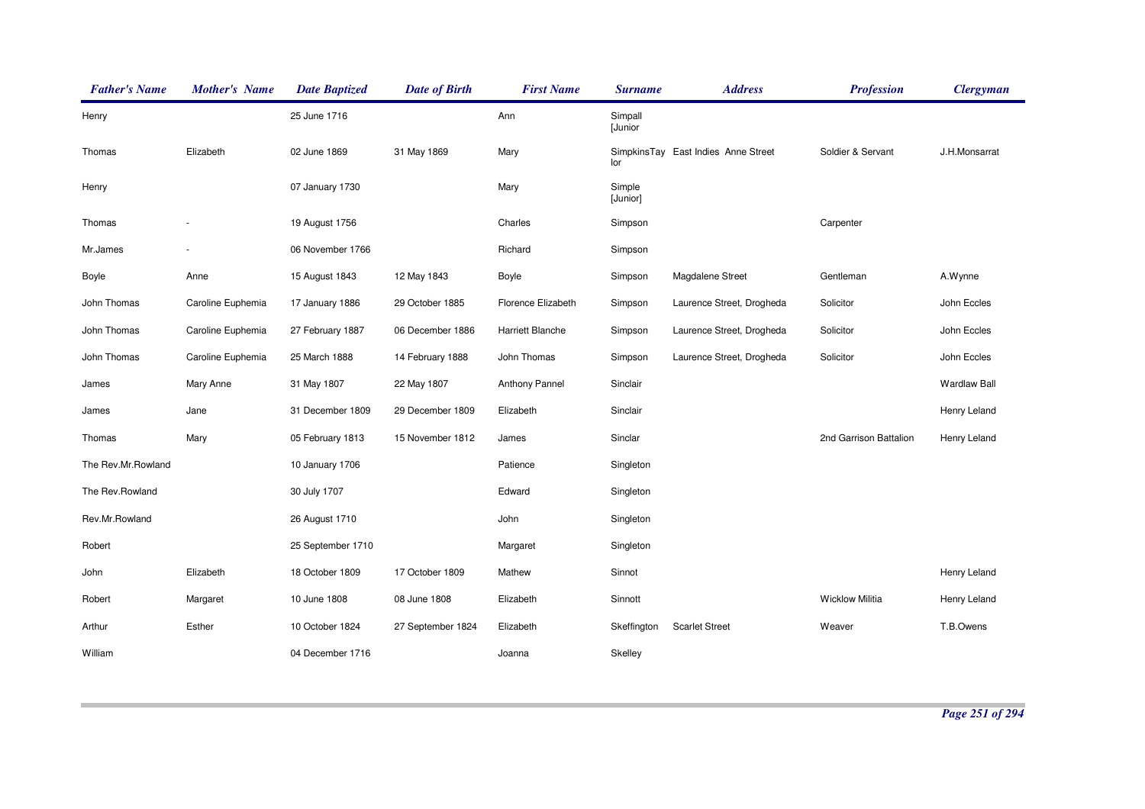| <b>Father's Name</b> | <b>Mother's Name</b> | <b>Date Baptized</b> | <b>Date of Birth</b> | <b>First Name</b>       | <b>Surname</b>     | <b>Address</b>                      | <b>Profession</b>      | <b>Clergyman</b>    |
|----------------------|----------------------|----------------------|----------------------|-------------------------|--------------------|-------------------------------------|------------------------|---------------------|
| Henry                |                      | 25 June 1716         |                      | Ann                     | Simpall<br>[Junior |                                     |                        |                     |
| Thomas               | Elizabeth            | 02 June 1869         | 31 May 1869          | Mary                    | lor                | SimpkinsTay East Indies Anne Street | Soldier & Servant      | J.H.Monsarrat       |
| Henry                |                      | 07 January 1730      |                      | Mary                    | Simple<br>[Junior] |                                     |                        |                     |
| Thomas               |                      | 19 August 1756       |                      | Charles                 | Simpson            |                                     | Carpenter              |                     |
| Mr.James             |                      | 06 November 1766     |                      | Richard                 | Simpson            |                                     |                        |                     |
| Boyle                | Anne                 | 15 August 1843       | 12 May 1843          | Boyle                   | Simpson            | Magdalene Street                    | Gentleman              | A.Wynne             |
| John Thomas          | Caroline Euphemia    | 17 January 1886      | 29 October 1885      | Florence Elizabeth      | Simpson            | Laurence Street, Drogheda           | Solicitor              | John Eccles         |
| John Thomas          | Caroline Euphemia    | 27 February 1887     | 06 December 1886     | <b>Harriett Blanche</b> | Simpson            | Laurence Street, Drogheda           | Solicitor              | John Eccles         |
| John Thomas          | Caroline Euphemia    | 25 March 1888        | 14 February 1888     | John Thomas             | Simpson            | Laurence Street, Drogheda           | Solicitor              | John Eccles         |
| James                | Mary Anne            | 31 May 1807          | 22 May 1807          | Anthony Pannel          | Sinclair           |                                     |                        | <b>Wardlaw Ball</b> |
| James                | Jane                 | 31 December 1809     | 29 December 1809     | Elizabeth               | Sinclair           |                                     |                        | Henry Leland        |
| Thomas               | Mary                 | 05 February 1813     | 15 November 1812     | James                   | Sinclar            |                                     | 2nd Garrison Battalion | Henry Leland        |
| The Rev.Mr.Rowland   |                      | 10 January 1706      |                      | Patience                | Singleton          |                                     |                        |                     |
| The Rev.Rowland      |                      | 30 July 1707         |                      | Edward                  | Singleton          |                                     |                        |                     |
| Rev.Mr.Rowland       |                      | 26 August 1710       |                      | John                    | Singleton          |                                     |                        |                     |
| Robert               |                      | 25 September 1710    |                      | Margaret                | Singleton          |                                     |                        |                     |
| John                 | Elizabeth            | 18 October 1809      | 17 October 1809      | Mathew                  | Sinnot             |                                     |                        | Henry Leland        |
| Robert               | Margaret             | 10 June 1808         | 08 June 1808         | Elizabeth               | Sinnott            |                                     | <b>Wicklow Militia</b> | Henry Leland        |
| Arthur               | Esther               | 10 October 1824      | 27 September 1824    | Elizabeth               | Skeffington        | <b>Scarlet Street</b>               | Weaver                 | T.B.Owens           |
| William              |                      | 04 December 1716     |                      | Joanna                  | Skelley            |                                     |                        |                     |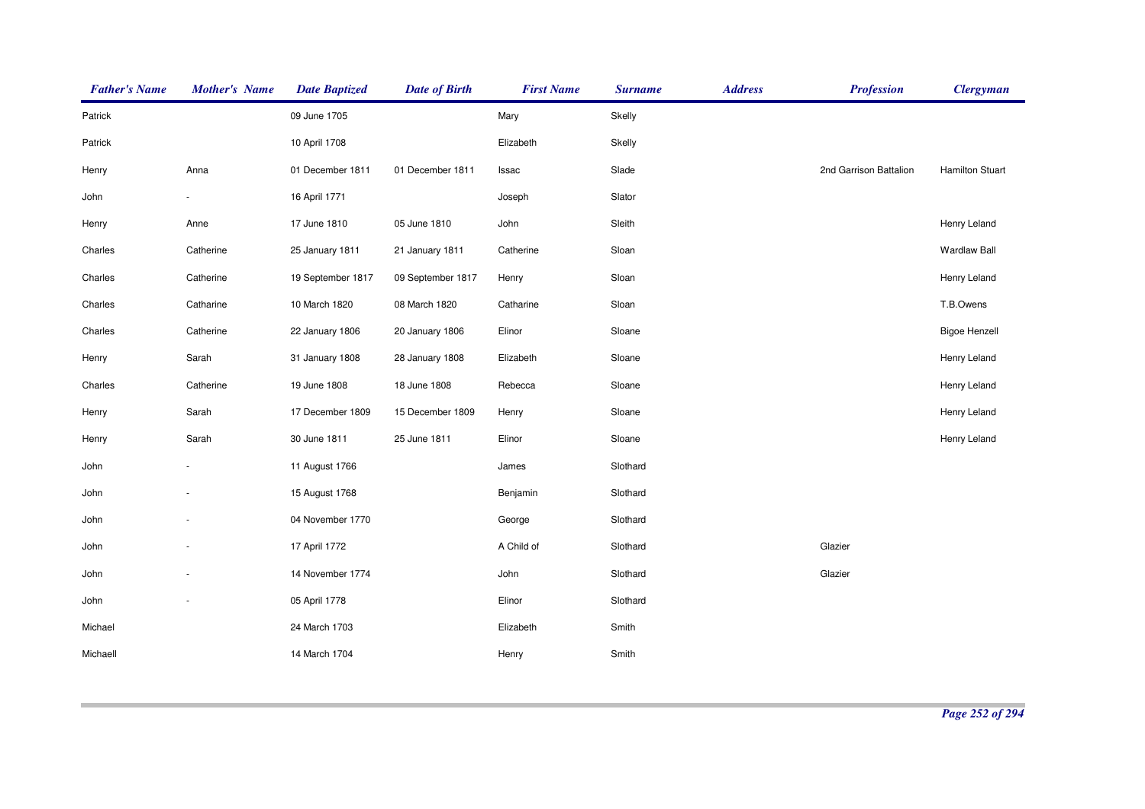| <b>Father's Name</b> | <b>Mother's Name</b> | <b>Date Baptized</b> | <b>Date of Birth</b> | <b>First Name</b> | <b>Surname</b> | <b>Address</b> | <b>Profession</b>      | <b>Clergyman</b>       |
|----------------------|----------------------|----------------------|----------------------|-------------------|----------------|----------------|------------------------|------------------------|
| Patrick              |                      | 09 June 1705         |                      | Mary              | Skelly         |                |                        |                        |
| Patrick              |                      | 10 April 1708        |                      | Elizabeth         | Skelly         |                |                        |                        |
| Henry                | Anna                 | 01 December 1811     | 01 December 1811     | Issac             | Slade          |                | 2nd Garrison Battalion | <b>Hamilton Stuart</b> |
| John                 |                      | 16 April 1771        |                      | Joseph            | Slator         |                |                        |                        |
| Henry                | Anne                 | 17 June 1810         | 05 June 1810         | John              | Sleith         |                |                        | Henry Leland           |
| Charles              | Catherine            | 25 January 1811      | 21 January 1811      | Catherine         | Sloan          |                |                        | Wardlaw Ball           |
| Charles              | Catherine            | 19 September 1817    | 09 September 1817    | Henry             | Sloan          |                |                        | Henry Leland           |
| Charles              | Catharine            | 10 March 1820        | 08 March 1820        | Catharine         | Sloan          |                |                        | T.B.Owens              |
| Charles              | Catherine            | 22 January 1806      | 20 January 1806      | Elinor            | Sloane         |                |                        | <b>Bigoe Henzell</b>   |
| Henry                | Sarah                | 31 January 1808      | 28 January 1808      | Elizabeth         | Sloane         |                |                        | Henry Leland           |
| Charles              | Catherine            | 19 June 1808         | 18 June 1808         | Rebecca           | Sloane         |                |                        | Henry Leland           |
| Henry                | Sarah                | 17 December 1809     | 15 December 1809     | Henry             | Sloane         |                |                        | Henry Leland           |
| Henry                | Sarah                | 30 June 1811         | 25 June 1811         | Elinor            | Sloane         |                |                        | Henry Leland           |
| John                 |                      | 11 August 1766       |                      | James             | Slothard       |                |                        |                        |
| John                 |                      | 15 August 1768       |                      | Benjamin          | Slothard       |                |                        |                        |
| John                 |                      | 04 November 1770     |                      | George            | Slothard       |                |                        |                        |
| John                 |                      | 17 April 1772        |                      | A Child of        | Slothard       |                | Glazier                |                        |
| John                 |                      | 14 November 1774     |                      | John              | Slothard       |                | Glazier                |                        |
| John                 |                      | 05 April 1778        |                      | Elinor            | Slothard       |                |                        |                        |
| Michael              |                      | 24 March 1703        |                      | Elizabeth         | Smith          |                |                        |                        |
| Michaell             |                      | 14 March 1704        |                      | Henry             | Smith          |                |                        |                        |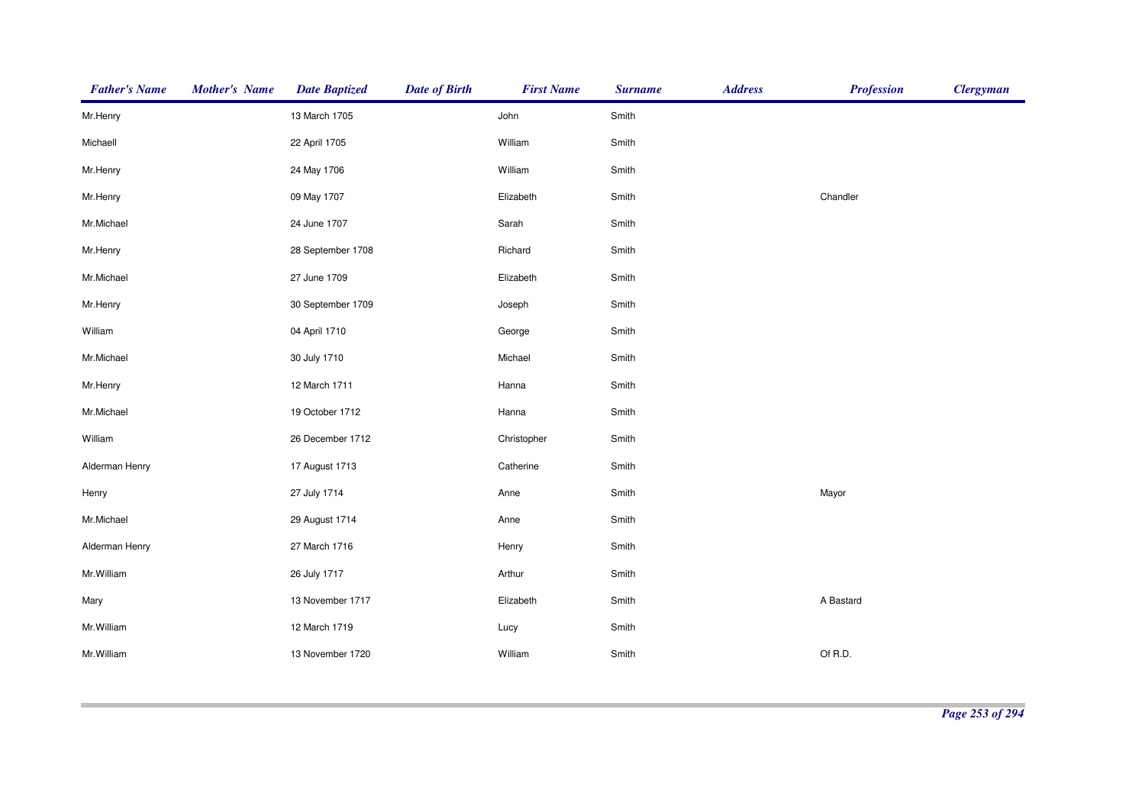| <b>Father's Name</b> | <b>Mother's Name</b> | <b>Date Baptized</b> | <b>Date of Birth</b> | <b>First Name</b> | <b>Surname</b> | <b>Address</b> | <b>Profession</b> | <b>Clergyman</b> |
|----------------------|----------------------|----------------------|----------------------|-------------------|----------------|----------------|-------------------|------------------|
| Mr.Henry             |                      | 13 March 1705        |                      | John              | Smith          |                |                   |                  |
| Michaell             |                      | 22 April 1705        |                      | William           | Smith          |                |                   |                  |
| Mr.Henry             |                      | 24 May 1706          |                      | William           | Smith          |                |                   |                  |
| Mr.Henry             |                      | 09 May 1707          |                      | Elizabeth         | Smith          |                | Chandler          |                  |
| Mr.Michael           |                      | 24 June 1707         |                      | Sarah             | Smith          |                |                   |                  |
| Mr.Henry             |                      | 28 September 1708    |                      | Richard           | Smith          |                |                   |                  |
| Mr.Michael           |                      | 27 June 1709         |                      | Elizabeth         | Smith          |                |                   |                  |
| Mr.Henry             |                      | 30 September 1709    |                      | Joseph            | Smith          |                |                   |                  |
| William              |                      | 04 April 1710        |                      | George            | Smith          |                |                   |                  |
| Mr.Michael           |                      | 30 July 1710         |                      | Michael           | Smith          |                |                   |                  |
| Mr.Henry             |                      | 12 March 1711        |                      | Hanna             | Smith          |                |                   |                  |
| Mr.Michael           |                      | 19 October 1712      |                      | Hanna             | Smith          |                |                   |                  |
| William              |                      | 26 December 1712     |                      | Christopher       | Smith          |                |                   |                  |
| Alderman Henry       |                      | 17 August 1713       |                      | Catherine         | Smith          |                |                   |                  |
| Henry                |                      | 27 July 1714         |                      | Anne              | Smith          |                | Mayor             |                  |
| Mr.Michael           |                      | 29 August 1714       |                      | Anne              | Smith          |                |                   |                  |
| Alderman Henry       |                      | 27 March 1716        |                      | Henry             | Smith          |                |                   |                  |
| Mr.William           |                      | 26 July 1717         |                      | Arthur            | Smith          |                |                   |                  |
| Mary                 |                      | 13 November 1717     |                      | Elizabeth         | Smith          |                | A Bastard         |                  |
| Mr.William           |                      | 12 March 1719        |                      | Lucy              | Smith          |                |                   |                  |
| Mr.William           |                      | 13 November 1720     |                      | William           | Smith          |                | Of R.D.           |                  |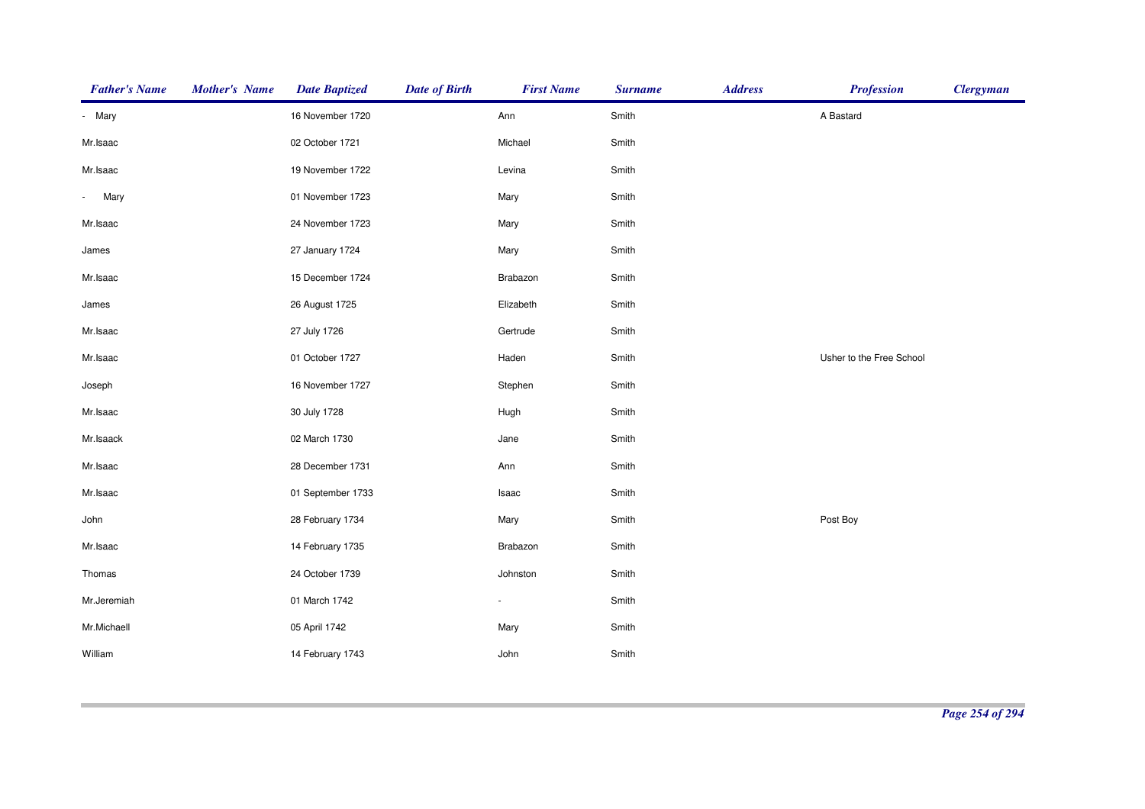| <b>Father's Name</b>             | <b>Mother's Name</b> | <b>Date Baptized</b> | <b>Date of Birth</b> | <b>First Name</b> | <b>Surname</b> | <b>Address</b> | <b>Profession</b>        | <b>Clergyman</b> |
|----------------------------------|----------------------|----------------------|----------------------|-------------------|----------------|----------------|--------------------------|------------------|
| - Mary                           |                      | 16 November 1720     |                      | Ann               | Smith          |                | A Bastard                |                  |
| Mr.Isaac                         |                      | 02 October 1721      |                      | Michael           | Smith          |                |                          |                  |
| Mr.Isaac                         |                      | 19 November 1722     |                      | Levina            | Smith          |                |                          |                  |
| Mary<br>$\overline{\phantom{a}}$ |                      | 01 November 1723     |                      | Mary              | Smith          |                |                          |                  |
| Mr.Isaac                         |                      | 24 November 1723     |                      | Mary              | Smith          |                |                          |                  |
| James                            |                      | 27 January 1724      |                      | Mary              | Smith          |                |                          |                  |
| Mr.Isaac                         |                      | 15 December 1724     |                      | Brabazon          | Smith          |                |                          |                  |
| James                            |                      | 26 August 1725       |                      | Elizabeth         | Smith          |                |                          |                  |
| Mr.Isaac                         |                      | 27 July 1726         |                      | Gertrude          | Smith          |                |                          |                  |
| Mr.Isaac                         |                      | 01 October 1727      |                      | Haden             | Smith          |                | Usher to the Free School |                  |
| Joseph                           |                      | 16 November 1727     |                      | Stephen           | Smith          |                |                          |                  |
| Mr.Isaac                         |                      | 30 July 1728         |                      | Hugh              | Smith          |                |                          |                  |
| Mr.Isaack                        |                      | 02 March 1730        |                      | Jane              | Smith          |                |                          |                  |
| Mr.Isaac                         |                      | 28 December 1731     |                      | Ann               | Smith          |                |                          |                  |
| Mr.Isaac                         |                      | 01 September 1733    |                      | Isaac             | Smith          |                |                          |                  |
| John                             |                      | 28 February 1734     |                      | Mary              | Smith          |                | Post Boy                 |                  |
| Mr.Isaac                         |                      | 14 February 1735     |                      | Brabazon          | Smith          |                |                          |                  |
| Thomas                           |                      | 24 October 1739      |                      | Johnston          | Smith          |                |                          |                  |
| Mr.Jeremiah                      |                      | 01 March 1742        |                      | $\blacksquare$    | Smith          |                |                          |                  |
| Mr.Michaell                      |                      | 05 April 1742        |                      | Mary              | Smith          |                |                          |                  |
| William                          |                      | 14 February 1743     |                      | John              | Smith          |                |                          |                  |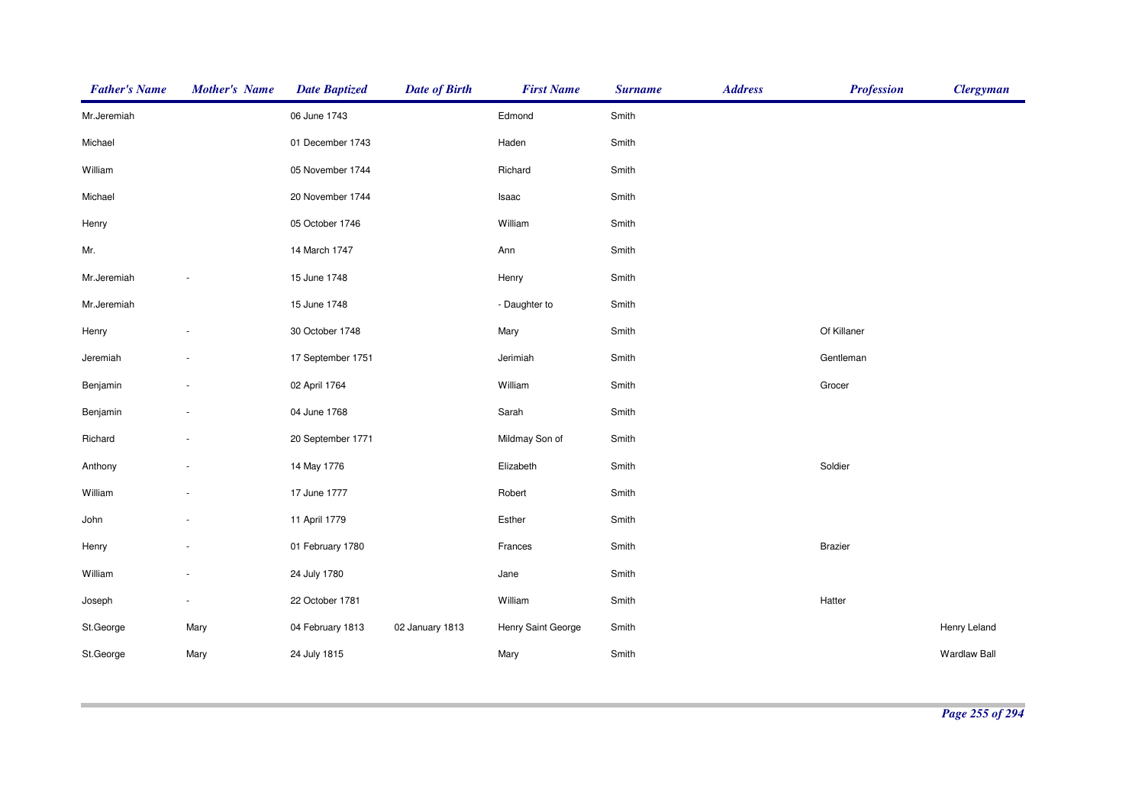| <b>Father's Name</b> | <b>Mother's Name</b> | <b>Date Baptized</b> | <b>Date of Birth</b> | <b>First Name</b>  | <b>Surname</b> | <b>Address</b> | <b>Profession</b> | <b>Clergyman</b>    |
|----------------------|----------------------|----------------------|----------------------|--------------------|----------------|----------------|-------------------|---------------------|
| Mr.Jeremiah          |                      | 06 June 1743         |                      | Edmond             | Smith          |                |                   |                     |
| Michael              |                      | 01 December 1743     |                      | Haden              | Smith          |                |                   |                     |
| William              |                      | 05 November 1744     |                      | Richard            | Smith          |                |                   |                     |
| Michael              |                      | 20 November 1744     |                      | Isaac              | Smith          |                |                   |                     |
| Henry                |                      | 05 October 1746      |                      | William            | Smith          |                |                   |                     |
| Mr.                  |                      | 14 March 1747        |                      | Ann                | Smith          |                |                   |                     |
| Mr.Jeremiah          |                      | 15 June 1748         |                      | Henry              | Smith          |                |                   |                     |
| Mr.Jeremiah          |                      | 15 June 1748         |                      | - Daughter to      | Smith          |                |                   |                     |
| Henry                |                      | 30 October 1748      |                      | Mary               | Smith          |                | Of Killaner       |                     |
| Jeremiah             |                      | 17 September 1751    |                      | Jerimiah           | Smith          |                | Gentleman         |                     |
| Benjamin             |                      | 02 April 1764        |                      | William            | Smith          |                | Grocer            |                     |
| Benjamin             |                      | 04 June 1768         |                      | Sarah              | Smith          |                |                   |                     |
| Richard              |                      | 20 September 1771    |                      | Mildmay Son of     | Smith          |                |                   |                     |
| Anthony              |                      | 14 May 1776          |                      | Elizabeth          | Smith          |                | Soldier           |                     |
| William              |                      | 17 June 1777         |                      | Robert             | Smith          |                |                   |                     |
| John                 |                      | 11 April 1779        |                      | Esther             | Smith          |                |                   |                     |
| Henry                |                      | 01 February 1780     |                      | Frances            | Smith          |                | <b>Brazier</b>    |                     |
| William              |                      | 24 July 1780         |                      | Jane               | Smith          |                |                   |                     |
| Joseph               |                      | 22 October 1781      |                      | William            | Smith          |                | Hatter            |                     |
| St.George            | Mary                 | 04 February 1813     | 02 January 1813      | Henry Saint George | Smith          |                |                   | Henry Leland        |
| St.George            | Mary                 | 24 July 1815         |                      | Mary               | Smith          |                |                   | <b>Wardlaw Ball</b> |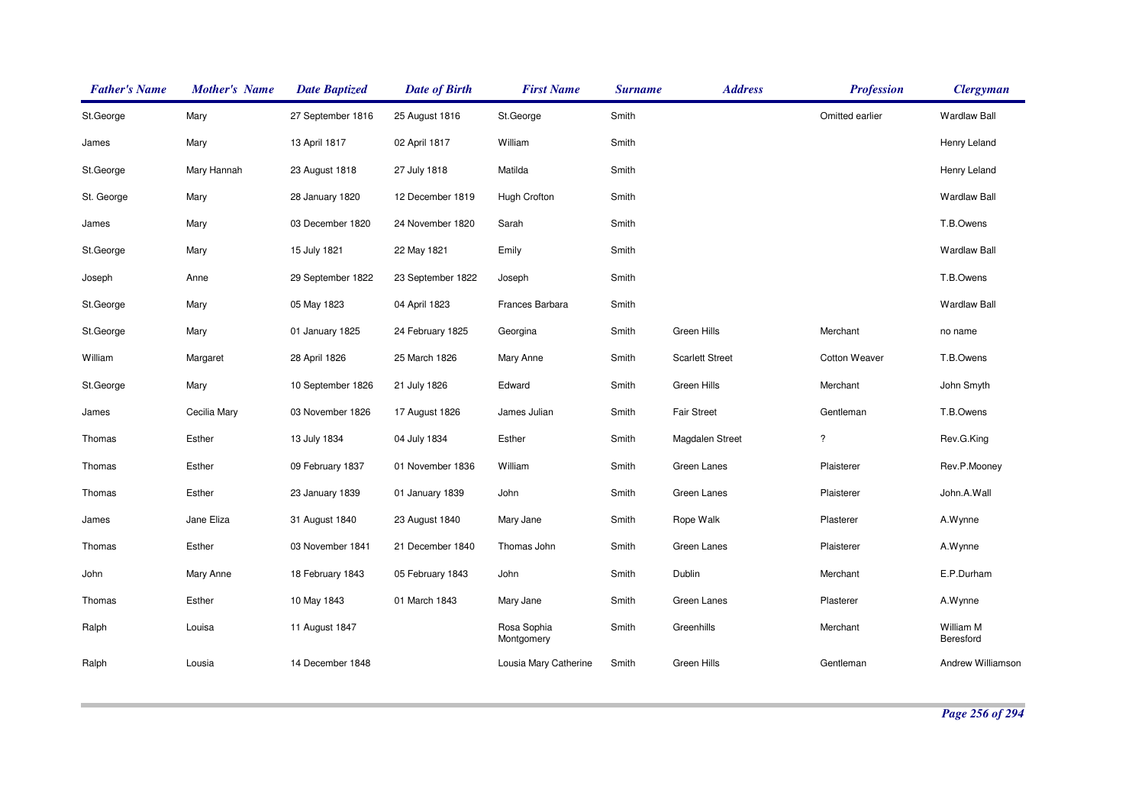| <b>Father's Name</b> | <b>Mother's Name</b> | <b>Date Baptized</b> | <b>Date of Birth</b> | <b>First Name</b>         | <b>Surname</b> | <b>Address</b>         | <b>Profession</b>    | <b>Clergyman</b>       |
|----------------------|----------------------|----------------------|----------------------|---------------------------|----------------|------------------------|----------------------|------------------------|
| St.George            | Mary                 | 27 September 1816    | 25 August 1816       | St.George                 | Smith          |                        | Omitted earlier      | <b>Wardlaw Ball</b>    |
| James                | Mary                 | 13 April 1817        | 02 April 1817        | William                   | Smith          |                        |                      | Henry Leland           |
| St.George            | Mary Hannah          | 23 August 1818       | 27 July 1818         | Matilda                   | Smith          |                        |                      | Henry Leland           |
| St. George           | Mary                 | 28 January 1820      | 12 December 1819     | Hugh Crofton              | Smith          |                        |                      | <b>Wardlaw Ball</b>    |
| James                | Mary                 | 03 December 1820     | 24 November 1820     | Sarah                     | Smith          |                        |                      | T.B.Owens              |
| St.George            | Mary                 | 15 July 1821         | 22 May 1821          | Emily                     | Smith          |                        |                      | <b>Wardlaw Ball</b>    |
| Joseph               | Anne                 | 29 September 1822    | 23 September 1822    | Joseph                    | Smith          |                        |                      | T.B.Owens              |
| St.George            | Mary                 | 05 May 1823          | 04 April 1823        | Frances Barbara           | Smith          |                        |                      | <b>Wardlaw Ball</b>    |
| St.George            | Mary                 | 01 January 1825      | 24 February 1825     | Georgina                  | Smith          | Green Hills            | Merchant             | no name                |
| William              | Margaret             | 28 April 1826        | 25 March 1826        | Mary Anne                 | Smith          | <b>Scarlett Street</b> | <b>Cotton Weaver</b> | T.B.Owens              |
| St.George            | Mary                 | 10 September 1826    | 21 July 1826         | Edward                    | Smith          | Green Hills            | Merchant             | John Smyth             |
| James                | Cecilia Mary         | 03 November 1826     | 17 August 1826       | James Julian              | Smith          | <b>Fair Street</b>     | Gentleman            | T.B.Owens              |
| Thomas               | Esther               | 13 July 1834         | 04 July 1834         | Esther                    | Smith          | Magdalen Street        | $\ddot{\phantom{0}}$ | Rev.G.King             |
| Thomas               | Esther               | 09 February 1837     | 01 November 1836     | William                   | Smith          | Green Lanes            | Plaisterer           | Rev.P.Mooney           |
| Thomas               | Esther               | 23 January 1839      | 01 January 1839      | John                      | Smith          | Green Lanes            | Plaisterer           | John.A.Wall            |
| James                | Jane Eliza           | 31 August 1840       | 23 August 1840       | Mary Jane                 | Smith          | Rope Walk              | Plasterer            | A.Wynne                |
| Thomas               | Esther               | 03 November 1841     | 21 December 1840     | Thomas John               | Smith          | Green Lanes            | Plaisterer           | A.Wynne                |
| John                 | Mary Anne            | 18 February 1843     | 05 February 1843     | John                      | Smith          | Dublin                 | Merchant             | E.P.Durham             |
| Thomas               | Esther               | 10 May 1843          | 01 March 1843        | Mary Jane                 | Smith          | Green Lanes            | Plasterer            | A.Wynne                |
| Ralph                | Louisa               | 11 August 1847       |                      | Rosa Sophia<br>Montgomery | Smith          | Greenhills             | Merchant             | William M<br>Beresford |
| Ralph                | Lousia               | 14 December 1848     |                      | Lousia Mary Catherine     | Smith          | Green Hills            | Gentleman            | Andrew Williamson      |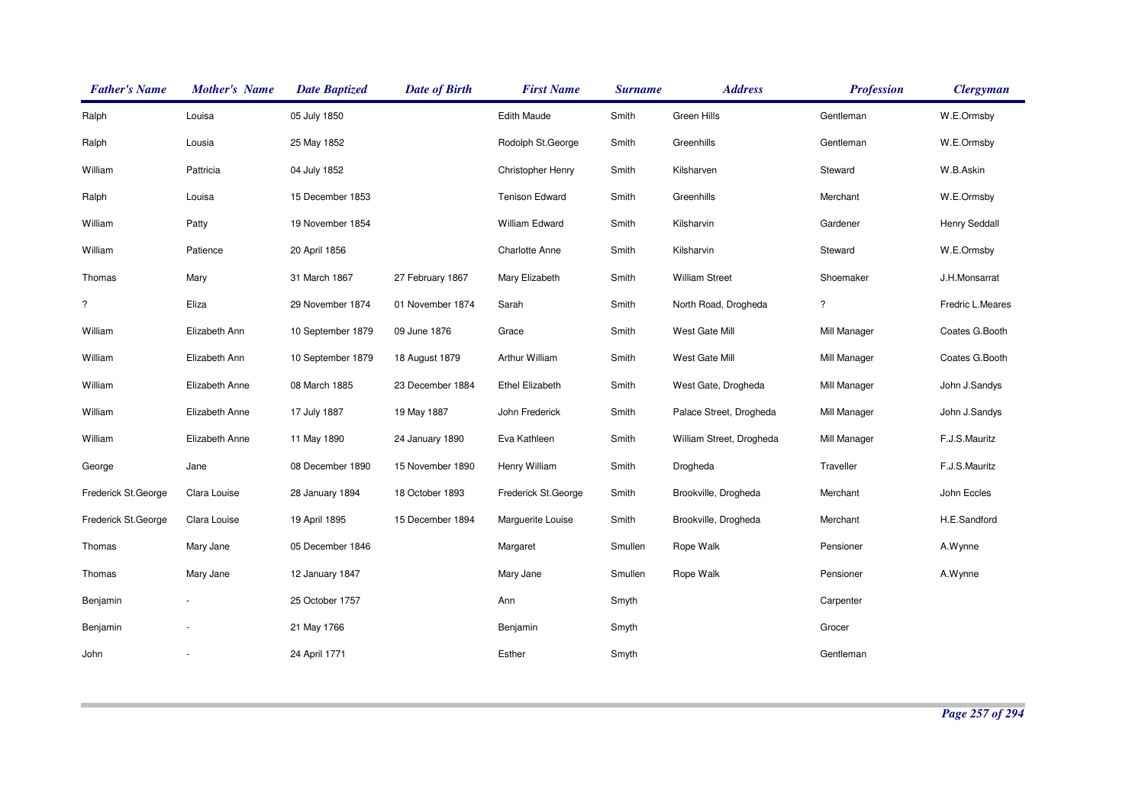| <b>Father's Name</b> | <b>Mother's Name</b> | <b>Date Baptized</b> | <b>Date of Birth</b> | <b>First Name</b>      | <b>Surname</b> | <b>Address</b>           | <b>Profession</b> | <b>Clergyman</b> |
|----------------------|----------------------|----------------------|----------------------|------------------------|----------------|--------------------------|-------------------|------------------|
| Ralph                | Louisa               | 05 July 1850         |                      | <b>Edith Maude</b>     | Smith          | Green Hills              | Gentleman         | W.E.Ormsby       |
| Ralph                | Lousia               | 25 May 1852          |                      | Rodolph St.George      | Smith          | Greenhills               | Gentleman         | W.E.Ormsby       |
| William              | Pattricia            | 04 July 1852         |                      | Christopher Henry      | Smith          | Kilsharven               | Steward           | W.B.Askin        |
| Ralph                | Louisa               | 15 December 1853     |                      | <b>Tenison Edward</b>  | Smith          | Greenhills               | Merchant          | W.E.Ormsby       |
| William              | Patty                | 19 November 1854     |                      | <b>William Edward</b>  | Smith          | Kilsharvin               | Gardener          | Henry Seddall    |
| William              | Patience             | 20 April 1856        |                      | <b>Charlotte Anne</b>  | Smith          | Kilsharvin               | Steward           | W.E.Ormsby       |
| Thomas               | Mary                 | 31 March 1867        | 27 February 1867     | Mary Elizabeth         | Smith          | <b>William Street</b>    | Shoemaker         | J.H.Monsarrat    |
| $\ddot{?}$           | Eliza                | 29 November 1874     | 01 November 1874     | Sarah                  | Smith          | North Road, Drogheda     | $\ddot{?}$        | Fredric L.Meares |
| William              | Elizabeth Ann        | 10 September 1879    | 09 June 1876         | Grace                  | Smith          | West Gate Mill           | Mill Manager      | Coates G.Booth   |
| William              | Elizabeth Ann        | 10 September 1879    | 18 August 1879       | Arthur William         | Smith          | West Gate Mill           | Mill Manager      | Coates G.Booth   |
| William              | Elizabeth Anne       | 08 March 1885        | 23 December 1884     | <b>Ethel Elizabeth</b> | Smith          | West Gate, Drogheda      | Mill Manager      | John J.Sandys    |
| William              | Elizabeth Anne       | 17 July 1887         | 19 May 1887          | John Frederick         | Smith          | Palace Street, Drogheda  | Mill Manager      | John J.Sandys    |
| William              | Elizabeth Anne       | 11 May 1890          | 24 January 1890      | Eva Kathleen           | Smith          | William Street, Drogheda | Mill Manager      | F.J.S.Mauritz    |
| George               | Jane                 | 08 December 1890     | 15 November 1890     | Henry William          | Smith          | Drogheda                 | Traveller         | F.J.S.Mauritz    |
| Frederick St.George  | Clara Louise         | 28 January 1894      | 18 October 1893      | Frederick St.George    | Smith          | Brookville, Drogheda     | Merchant          | John Eccles      |
| Frederick St.George  | Clara Louise         | 19 April 1895        | 15 December 1894     | Marguerite Louise      | Smith          | Brookville, Drogheda     | Merchant          | H.E.Sandford     |
| Thomas               | Mary Jane            | 05 December 1846     |                      | Margaret               | Smullen        | Rope Walk                | Pensioner         | A.Wynne          |
| Thomas               | Mary Jane            | 12 January 1847      |                      | Mary Jane              | Smullen        | Rope Walk                | Pensioner         | A.Wynne          |
| Benjamin             |                      | 25 October 1757      |                      | Ann                    | Smyth          |                          | Carpenter         |                  |
| Benjamin             |                      | 21 May 1766          |                      | Benjamin               | Smyth          |                          | Grocer            |                  |
| John                 |                      | 24 April 1771        |                      | Esther                 | Smyth          |                          | Gentleman         |                  |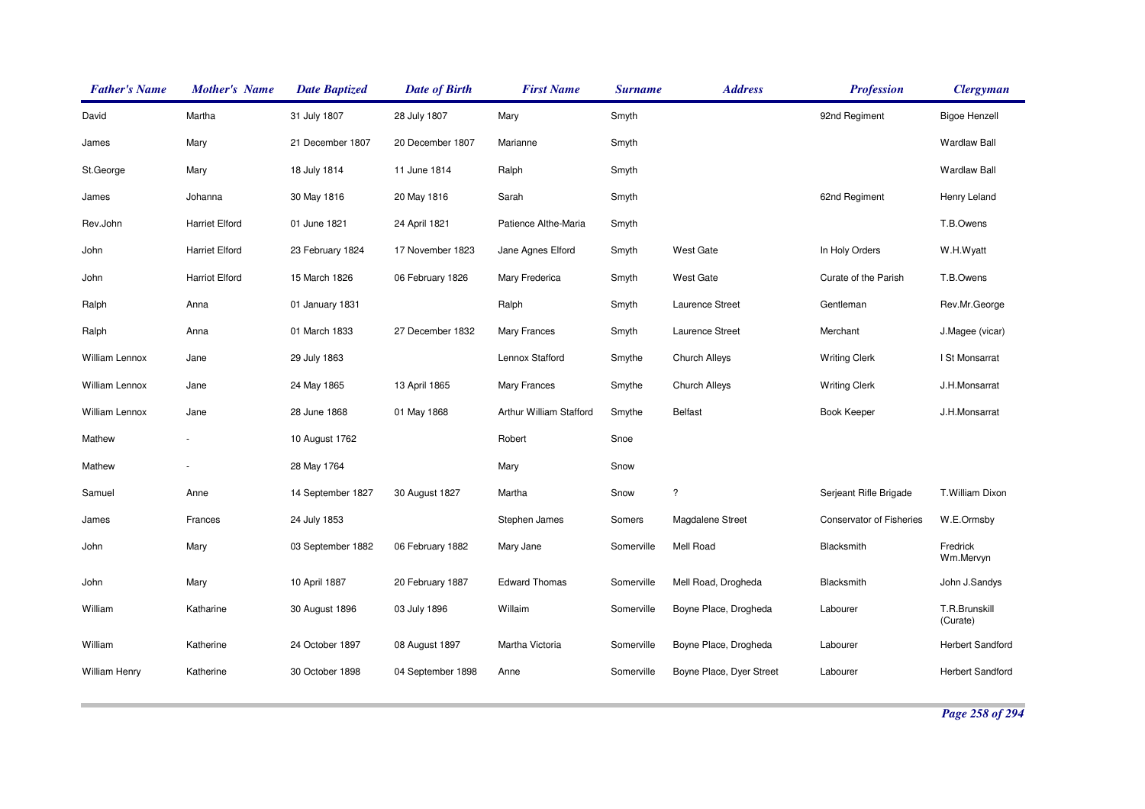| <b>Father's Name</b> | <b>Mother's Name</b>  | <b>Date Baptized</b> | <b>Date of Birth</b> | <b>First Name</b>       | <b>Surname</b> | <b>Address</b>           | <b>Profession</b>               | <b>Clergyman</b>          |
|----------------------|-----------------------|----------------------|----------------------|-------------------------|----------------|--------------------------|---------------------------------|---------------------------|
| David                | Martha                | 31 July 1807         | 28 July 1807         | Mary                    | Smyth          |                          | 92nd Regiment                   | <b>Bigoe Henzell</b>      |
| James                | Mary                  | 21 December 1807     | 20 December 1807     | Marianne                | Smyth          |                          |                                 | <b>Wardlaw Ball</b>       |
| St.George            | Mary                  | 18 July 1814         | 11 June 1814         | Ralph                   | Smyth          |                          |                                 | <b>Wardlaw Ball</b>       |
| James                | Johanna               | 30 May 1816          | 20 May 1816          | Sarah                   | Smyth          |                          | 62nd Regiment                   | Henry Leland              |
| Rev.John             | <b>Harriet Elford</b> | 01 June 1821         | 24 April 1821        | Patience Althe-Maria    | Smyth          |                          |                                 | T.B.Owens                 |
| John                 | <b>Harriet Elford</b> | 23 February 1824     | 17 November 1823     | Jane Agnes Elford       | Smyth          | <b>West Gate</b>         | In Holy Orders                  | W.H.Wyatt                 |
| John                 | <b>Harriot Elford</b> | 15 March 1826        | 06 February 1826     | Mary Frederica          | Smyth          | <b>West Gate</b>         | Curate of the Parish            | T.B.Owens                 |
| Ralph                | Anna                  | 01 January 1831      |                      | Ralph                   | Smyth          | Laurence Street          | Gentleman                       | Rev.Mr.George             |
| Ralph                | Anna                  | 01 March 1833        | 27 December 1832     | Mary Frances            | Smyth          | Laurence Street          | Merchant                        | J.Magee (vicar)           |
| William Lennox       | Jane                  | 29 July 1863         |                      | Lennox Stafford         | Smythe         | <b>Church Alleys</b>     | <b>Writing Clerk</b>            | I St Monsarrat            |
| William Lennox       | Jane                  | 24 May 1865          | 13 April 1865        | <b>Mary Frances</b>     | Smythe         | <b>Church Alleys</b>     | <b>Writing Clerk</b>            | J.H.Monsarrat             |
| William Lennox       | Jane                  | 28 June 1868         | 01 May 1868          | Arthur William Stafford | Smythe         | <b>Belfast</b>           | <b>Book Keeper</b>              | J.H.Monsarrat             |
| Mathew               |                       | 10 August 1762       |                      | Robert                  | Snoe           |                          |                                 |                           |
| Mathew               |                       | 28 May 1764          |                      | Mary                    | Snow           |                          |                                 |                           |
| Samuel               | Anne                  | 14 September 1827    | 30 August 1827       | Martha                  | Snow           | $\overline{\phantom{a}}$ | Serjeant Rifle Brigade          | T.William Dixon           |
| James                | Frances               | 24 July 1853         |                      | Stephen James           | Somers         | Magdalene Street         | <b>Conservator of Fisheries</b> | W.E.Ormsby                |
| John                 | Mary                  | 03 September 1882    | 06 February 1882     | Mary Jane               | Somerville     | Mell Road                | Blacksmith                      | Fredrick<br>Wm.Mervyn     |
| John                 | Mary                  | 10 April 1887        | 20 February 1887     | <b>Edward Thomas</b>    | Somerville     | Mell Road, Drogheda      | Blacksmith                      | John J.Sandys             |
| William              | Katharine             | 30 August 1896       | 03 July 1896         | Willaim                 | Somerville     | Boyne Place, Drogheda    | Labourer                        | T.R.Brunskill<br>(Curate) |
| William              | Katherine             | 24 October 1897      | 08 August 1897       | Martha Victoria         | Somerville     | Boyne Place, Drogheda    | Labourer                        | Herbert Sandford          |
| <b>William Henry</b> | Katherine             | 30 October 1898      | 04 September 1898    | Anne                    | Somerville     | Boyne Place, Dyer Street | Labourer                        | <b>Herbert Sandford</b>   |

*Page 258 of 294*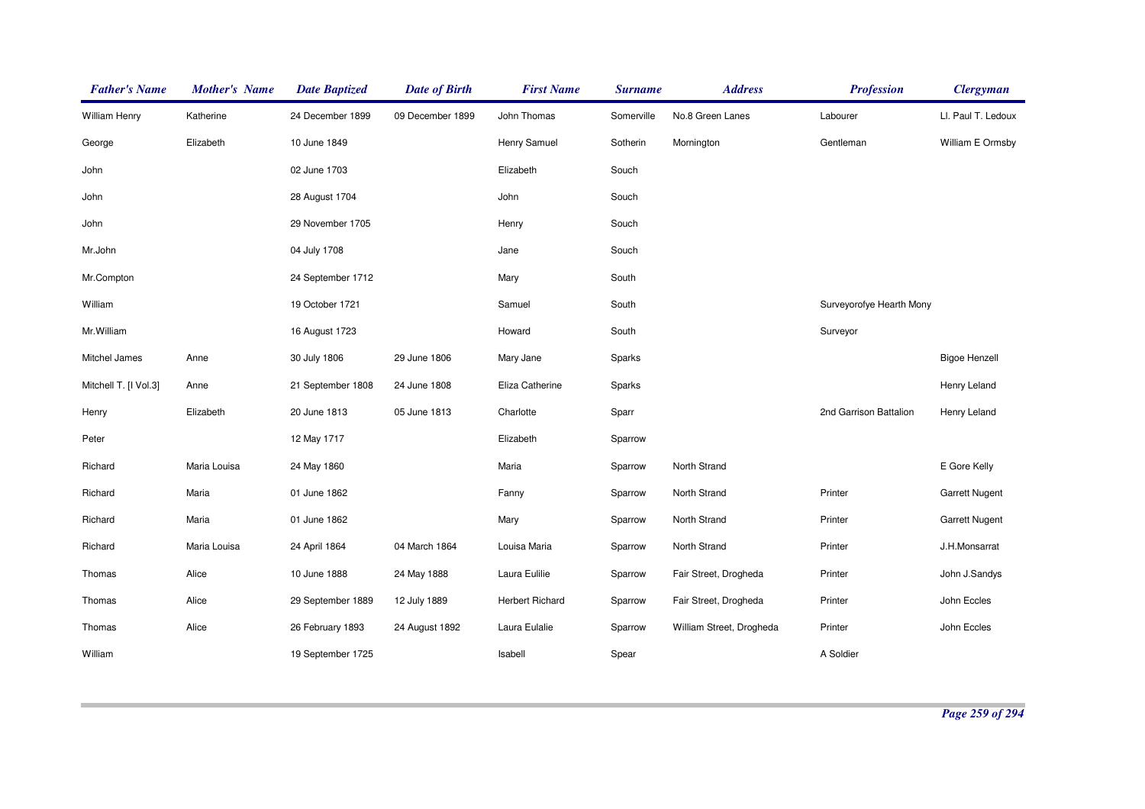| <b>Father's Name</b>  | <b>Mother's Name</b> | <b>Date Baptized</b> | <b>Date of Birth</b> | <b>First Name</b>      | <b>Surname</b> | <b>Address</b>           | <b>Profession</b>        | <b>Clergyman</b>      |
|-----------------------|----------------------|----------------------|----------------------|------------------------|----------------|--------------------------|--------------------------|-----------------------|
| William Henry         | Katherine            | 24 December 1899     | 09 December 1899     | John Thomas            | Somerville     | No.8 Green Lanes         | Labourer                 | LI. Paul T. Ledoux    |
| George                | Elizabeth            | 10 June 1849         |                      | Henry Samuel           | Sotherin       | Mornington               | Gentleman                | William E Ormsby      |
| John                  |                      | 02 June 1703         |                      | Elizabeth              | Souch          |                          |                          |                       |
| John                  |                      | 28 August 1704       |                      | John                   | Souch          |                          |                          |                       |
| John                  |                      | 29 November 1705     |                      | Henry                  | Souch          |                          |                          |                       |
| Mr.John               |                      | 04 July 1708         |                      | Jane                   | Souch          |                          |                          |                       |
| Mr.Compton            |                      | 24 September 1712    |                      | Mary                   | South          |                          |                          |                       |
| William               |                      | 19 October 1721      |                      | Samuel                 | South          |                          | Surveyorofye Hearth Mony |                       |
| Mr.William            |                      | 16 August 1723       |                      | Howard                 | South          |                          | Surveyor                 |                       |
| Mitchel James         | Anne                 | 30 July 1806         | 29 June 1806         | Mary Jane              | Sparks         |                          |                          | <b>Bigoe Henzell</b>  |
| Mitchell T. [I Vol.3] | Anne                 | 21 September 1808    | 24 June 1808         | Eliza Catherine        | Sparks         |                          |                          | Henry Leland          |
| Henry                 | Elizabeth            | 20 June 1813         | 05 June 1813         | Charlotte              | Sparr          |                          | 2nd Garrison Battalion   | Henry Leland          |
| Peter                 |                      | 12 May 1717          |                      | Elizabeth              | Sparrow        |                          |                          |                       |
| Richard               | Maria Louisa         | 24 May 1860          |                      | Maria                  | Sparrow        | North Strand             |                          | E Gore Kelly          |
| Richard               | Maria                | 01 June 1862         |                      | Fanny                  | Sparrow        | North Strand             | Printer                  | <b>Garrett Nugent</b> |
| Richard               | Maria                | 01 June 1862         |                      | Mary                   | Sparrow        | North Strand             | Printer                  | <b>Garrett Nugent</b> |
| Richard               | Maria Louisa         | 24 April 1864        | 04 March 1864        | Louisa Maria           | Sparrow        | North Strand             | Printer                  | J.H.Monsarrat         |
| Thomas                | Alice                | 10 June 1888         | 24 May 1888          | Laura Eulilie          | Sparrow        | Fair Street, Drogheda    | Printer                  | John J.Sandys         |
| Thomas                | Alice                | 29 September 1889    | 12 July 1889         | <b>Herbert Richard</b> | Sparrow        | Fair Street, Drogheda    | Printer                  | John Eccles           |
| Thomas                | Alice                | 26 February 1893     | 24 August 1892       | Laura Eulalie          | Sparrow        | William Street, Drogheda | Printer                  | John Eccles           |
| William               |                      | 19 September 1725    |                      | Isabell                | Spear          |                          | A Soldier                |                       |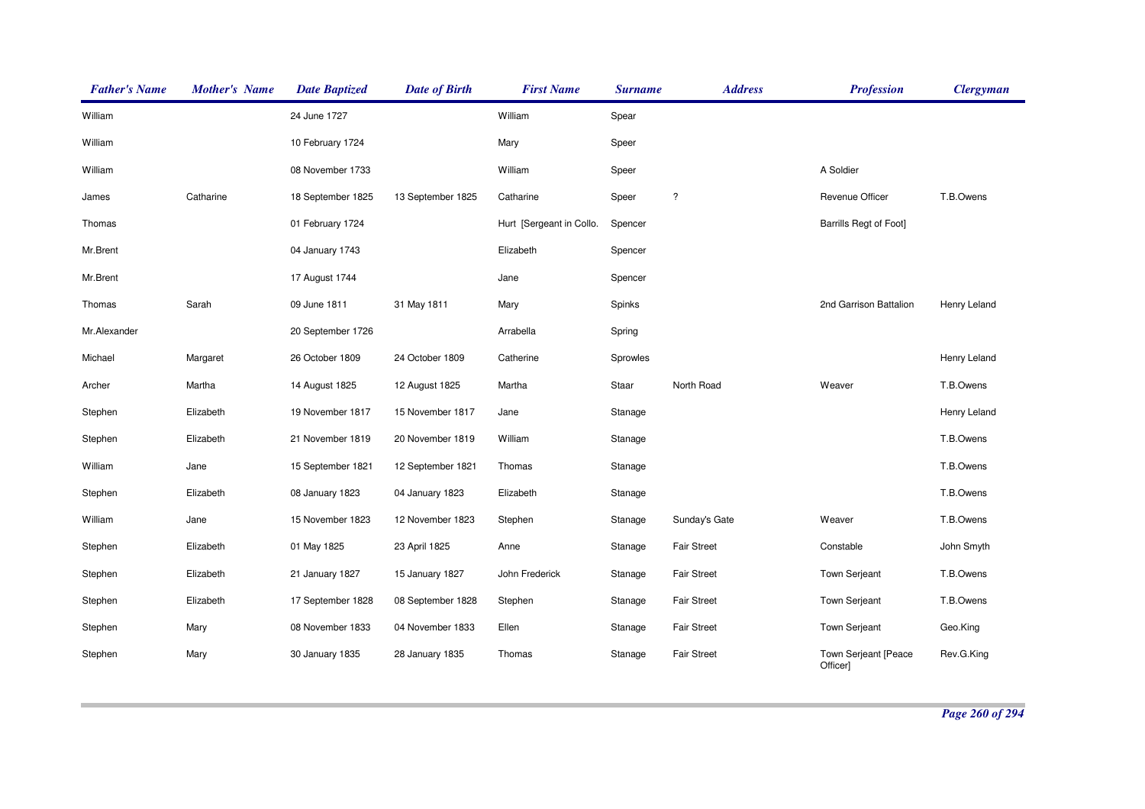| <b>Father's Name</b> | <b>Mother's Name</b> | <b>Date Baptized</b> | <b>Date of Birth</b> | <b>First Name</b>        | <b>Surname</b> | <b>Address</b>       | <b>Profession</b>                | <b>Clergyman</b> |
|----------------------|----------------------|----------------------|----------------------|--------------------------|----------------|----------------------|----------------------------------|------------------|
| William              |                      | 24 June 1727         |                      | William                  | Spear          |                      |                                  |                  |
| William              |                      | 10 February 1724     |                      | Mary                     | Speer          |                      |                                  |                  |
| William              |                      | 08 November 1733     |                      | William                  | Speer          |                      | A Soldier                        |                  |
| James                | Catharine            | 18 September 1825    | 13 September 1825    | Catharine                | Speer          | $\ddot{\phantom{0}}$ | Revenue Officer                  | T.B.Owens        |
| Thomas               |                      | 01 February 1724     |                      | Hurt [Sergeant in Collo. | Spencer        |                      | <b>Barrills Regt of Foot]</b>    |                  |
| Mr.Brent             |                      | 04 January 1743      |                      | Elizabeth                | Spencer        |                      |                                  |                  |
| Mr.Brent             |                      | 17 August 1744       |                      | Jane                     | Spencer        |                      |                                  |                  |
| Thomas               | Sarah                | 09 June 1811         | 31 May 1811          | Mary                     | Spinks         |                      | 2nd Garrison Battalion           | Henry Leland     |
| Mr.Alexander         |                      | 20 September 1726    |                      | Arrabella                | Spring         |                      |                                  |                  |
| Michael              | Margaret             | 26 October 1809      | 24 October 1809      | Catherine                | Sprowles       |                      |                                  | Henry Leland     |
| Archer               | Martha               | 14 August 1825       | 12 August 1825       | Martha                   | Staar          | North Road           | Weaver                           | T.B.Owens        |
| Stephen              | Elizabeth            | 19 November 1817     | 15 November 1817     | Jane                     | Stanage        |                      |                                  | Henry Leland     |
| Stephen              | Elizabeth            | 21 November 1819     | 20 November 1819     | William                  | Stanage        |                      |                                  | T.B.Owens        |
| William              | Jane                 | 15 September 1821    | 12 September 1821    | Thomas                   | Stanage        |                      |                                  | T.B.Owens        |
| Stephen              | Elizabeth            | 08 January 1823      | 04 January 1823      | Elizabeth                | Stanage        |                      |                                  | T.B.Owens        |
| William              | Jane                 | 15 November 1823     | 12 November 1823     | Stephen                  | Stanage        | Sunday's Gate        | Weaver                           | T.B.Owens        |
| Stephen              | Elizabeth            | 01 May 1825          | 23 April 1825        | Anne                     | Stanage        | <b>Fair Street</b>   | Constable                        | John Smyth       |
| Stephen              | Elizabeth            | 21 January 1827      | 15 January 1827      | John Frederick           | Stanage        | <b>Fair Street</b>   | <b>Town Serjeant</b>             | T.B.Owens        |
| Stephen              | Elizabeth            | 17 September 1828    | 08 September 1828    | Stephen                  | Stanage        | <b>Fair Street</b>   | <b>Town Serjeant</b>             | T.B.Owens        |
| Stephen              | Mary                 | 08 November 1833     | 04 November 1833     | Ellen                    | Stanage        | <b>Fair Street</b>   | <b>Town Serjeant</b>             | Geo.King         |
| Stephen              | Mary                 | 30 January 1835      | 28 January 1835      | Thomas                   | Stanage        | <b>Fair Street</b>   | Town Serjeant [Peace<br>Officer] | Rev.G.King       |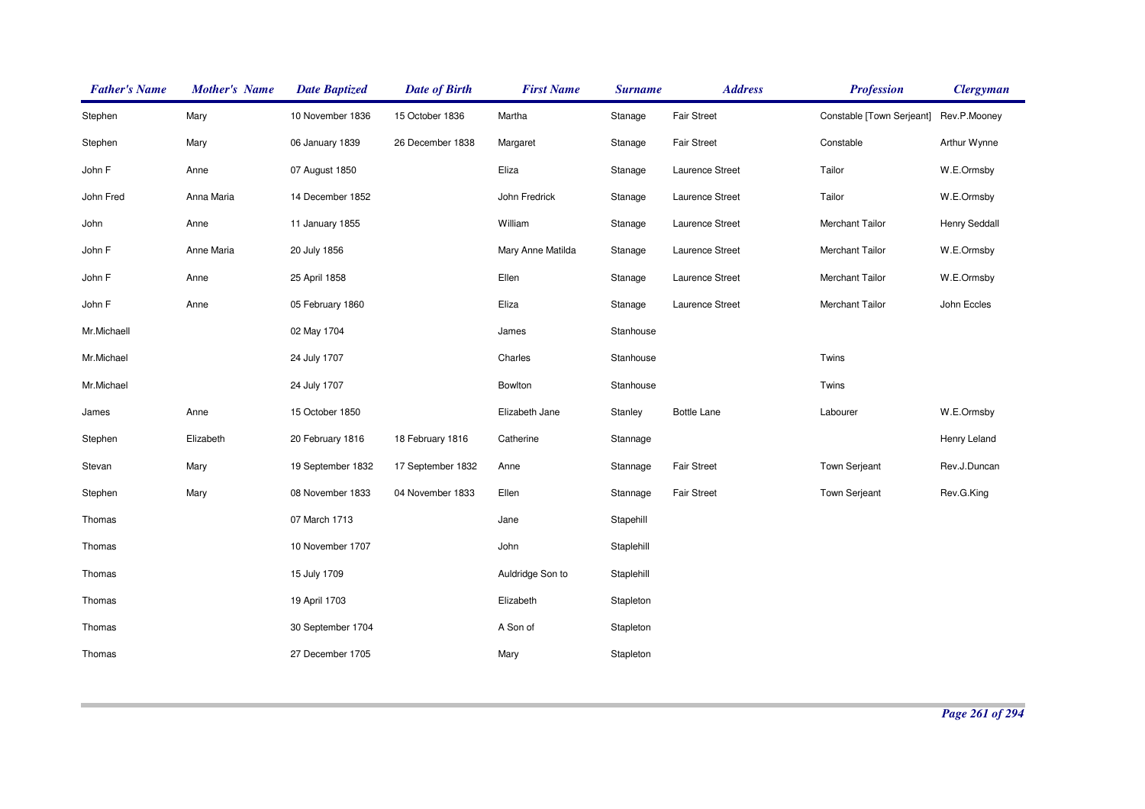| <b>Father's Name</b> | <b>Mother's Name</b> | <b>Date Baptized</b> | <b>Date of Birth</b> | <b>First Name</b> | <b>Surname</b> | <b>Address</b>     | <b>Profession</b>         | <b>Clergyman</b> |
|----------------------|----------------------|----------------------|----------------------|-------------------|----------------|--------------------|---------------------------|------------------|
| Stephen              | Mary                 | 10 November 1836     | 15 October 1836      | Martha            | Stanage        | <b>Fair Street</b> | Constable [Town Serjeant] | Rev.P.Mooney     |
| Stephen              | Mary                 | 06 January 1839      | 26 December 1838     | Margaret          | Stanage        | Fair Street        | Constable                 | Arthur Wynne     |
| John F               | Anne                 | 07 August 1850       |                      | Eliza             | Stanage        | Laurence Street    | Tailor                    | W.E.Ormsby       |
| John Fred            | Anna Maria           | 14 December 1852     |                      | John Fredrick     | Stanage        | Laurence Street    | Tailor                    | W.E.Ormsby       |
| John                 | Anne                 | 11 January 1855      |                      | William           | Stanage        | Laurence Street    | Merchant Tailor           | Henry Seddall    |
| John F               | Anne Maria           | 20 July 1856         |                      | Mary Anne Matilda | Stanage        | Laurence Street    | Merchant Tailor           | W.E.Ormsby       |
| John F               | Anne                 | 25 April 1858        |                      | Ellen             | Stanage        | Laurence Street    | Merchant Tailor           | W.E.Ormsby       |
| John F               | Anne                 | 05 February 1860     |                      | Eliza             | Stanage        | Laurence Street    | Merchant Tailor           | John Eccles      |
| Mr.Michaell          |                      | 02 May 1704          |                      | James             | Stanhouse      |                    |                           |                  |
| Mr.Michael           |                      | 24 July 1707         |                      | Charles           | Stanhouse      |                    | Twins                     |                  |
| Mr.Michael           |                      | 24 July 1707         |                      | Bowlton           | Stanhouse      |                    | Twins                     |                  |
| James                | Anne                 | 15 October 1850      |                      | Elizabeth Jane    | Stanley        | <b>Bottle Lane</b> | Labourer                  | W.E.Ormsby       |
| Stephen              | Elizabeth            | 20 February 1816     | 18 February 1816     | Catherine         | Stannage       |                    |                           | Henry Leland     |
| Stevan               | Mary                 | 19 September 1832    | 17 September 1832    | Anne              | Stannage       | Fair Street        | Town Serjeant             | Rev.J.Duncan     |
| Stephen              | Mary                 | 08 November 1833     | 04 November 1833     | Ellen             | Stannage       | <b>Fair Street</b> | <b>Town Serjeant</b>      | Rev.G.King       |
| Thomas               |                      | 07 March 1713        |                      | Jane              | Stapehill      |                    |                           |                  |
| Thomas               |                      | 10 November 1707     |                      | John              | Staplehill     |                    |                           |                  |
| Thomas               |                      | 15 July 1709         |                      | Auldridge Son to  | Staplehill     |                    |                           |                  |
| Thomas               |                      | 19 April 1703        |                      | Elizabeth         | Stapleton      |                    |                           |                  |
| Thomas               |                      | 30 September 1704    |                      | A Son of          | Stapleton      |                    |                           |                  |
| Thomas               |                      | 27 December 1705     |                      | Mary              | Stapleton      |                    |                           |                  |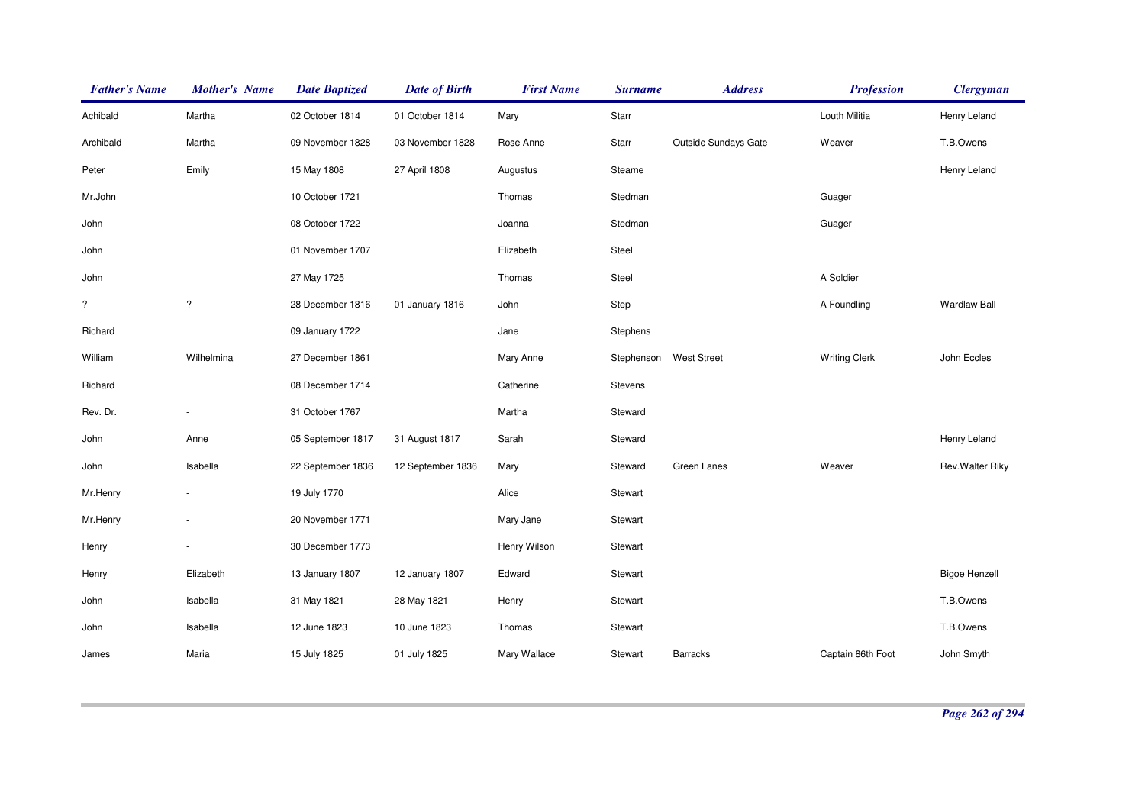| <b>Father's Name</b> | <b>Mother's Name</b> | <b>Date Baptized</b> | <b>Date of Birth</b> | <b>First Name</b> | <b>Surname</b> | <b>Address</b>       | <b>Profession</b>    | <b>Clergyman</b>     |
|----------------------|----------------------|----------------------|----------------------|-------------------|----------------|----------------------|----------------------|----------------------|
| Achibald             | Martha               | 02 October 1814      | 01 October 1814      | Mary              | Starr          |                      | Louth Militia        | Henry Leland         |
| Archibald            | Martha               | 09 November 1828     | 03 November 1828     | Rose Anne         | Starr          | Outside Sundays Gate | Weaver               | T.B.Owens            |
| Peter                | Emily                | 15 May 1808          | 27 April 1808        | Augustus          | Stearne        |                      |                      | Henry Leland         |
| Mr.John              |                      | 10 October 1721      |                      | Thomas            | Stedman        |                      | Guager               |                      |
| John                 |                      | 08 October 1722      |                      | Joanna            | Stedman        |                      | Guager               |                      |
| John                 |                      | 01 November 1707     |                      | Elizabeth         | Steel          |                      |                      |                      |
| John                 |                      | 27 May 1725          |                      | Thomas            | Steel          |                      | A Soldier            |                      |
| $\overline{\cdot}$   | $\overline{?}$       | 28 December 1816     | 01 January 1816      | John              | Step           |                      | A Foundling          | <b>Wardlaw Ball</b>  |
| Richard              |                      | 09 January 1722      |                      | Jane              | Stephens       |                      |                      |                      |
| William              | Wilhelmina           | 27 December 1861     |                      | Mary Anne         | Stephenson     | <b>West Street</b>   | <b>Writing Clerk</b> | John Eccles          |
| Richard              |                      | 08 December 1714     |                      | Catherine         | Stevens        |                      |                      |                      |
| Rev. Dr.             | $\blacksquare$       | 31 October 1767      |                      | Martha            | Steward        |                      |                      |                      |
| John                 | Anne                 | 05 September 1817    | 31 August 1817       | Sarah             | Steward        |                      |                      | Henry Leland         |
| John                 | Isabella             | 22 September 1836    | 12 September 1836    | Mary              | Steward        | Green Lanes          | Weaver               | Rev.Walter Riky      |
| Mr.Henry             | $\sim$               | 19 July 1770         |                      | Alice             | Stewart        |                      |                      |                      |
| Mr.Henry             |                      | 20 November 1771     |                      | Mary Jane         | Stewart        |                      |                      |                      |
| Henry                | $\sim$               | 30 December 1773     |                      | Henry Wilson      | Stewart        |                      |                      |                      |
| Henry                | Elizabeth            | 13 January 1807      | 12 January 1807      | Edward            | Stewart        |                      |                      | <b>Bigoe Henzell</b> |
| John                 | Isabella             | 31 May 1821          | 28 May 1821          | Henry             | Stewart        |                      |                      | T.B.Owens            |
| John                 | Isabella             | 12 June 1823         | 10 June 1823         | Thomas            | Stewart        |                      |                      | T.B.Owens            |
| James                | Maria                | 15 July 1825         | 01 July 1825         | Mary Wallace      | Stewart        | Barracks             | Captain 86th Foot    | John Smyth           |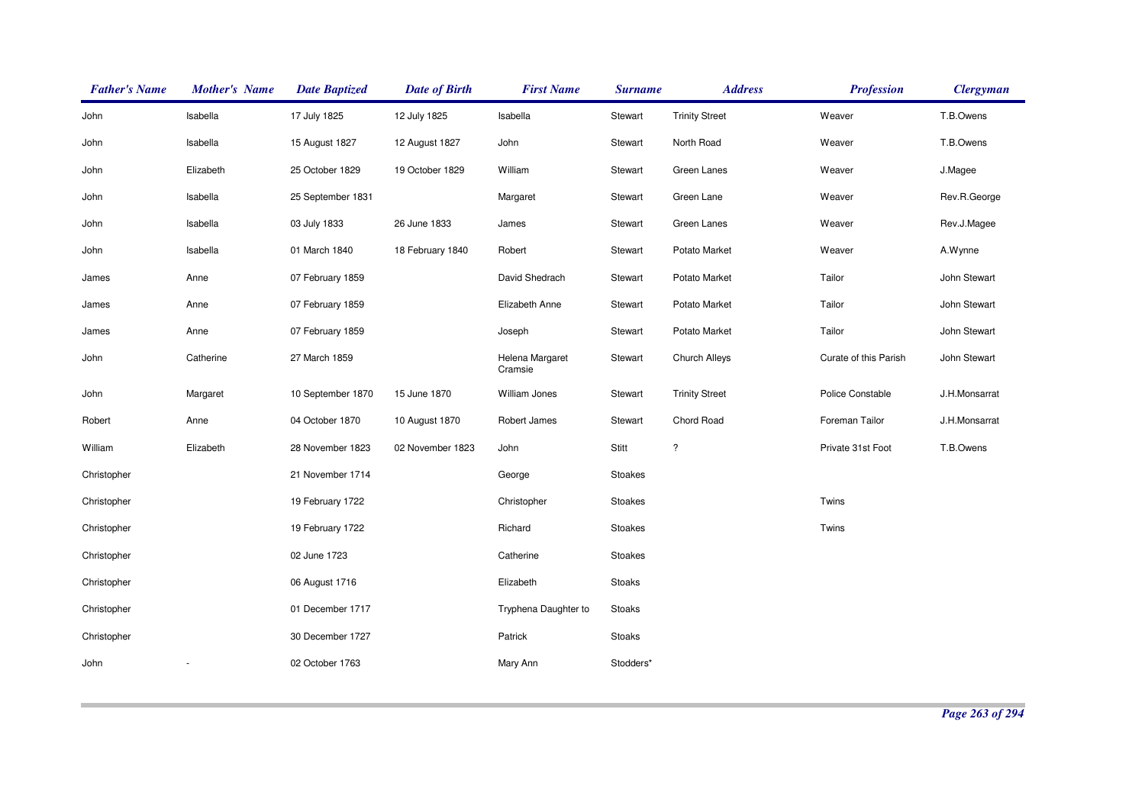| <b>Father's Name</b> | <b>Mother's Name</b> | <b>Date Baptized</b> | <b>Date of Birth</b> | <b>First Name</b>          | <b>Surname</b> | <b>Address</b>        | <b>Profession</b>     | <b>Clergyman</b> |
|----------------------|----------------------|----------------------|----------------------|----------------------------|----------------|-----------------------|-----------------------|------------------|
| John                 | Isabella             | 17 July 1825         | 12 July 1825         | Isabella                   | Stewart        | <b>Trinity Street</b> | Weaver                | T.B.Owens        |
| John                 | Isabella             | 15 August 1827       | 12 August 1827       | John                       | Stewart        | North Road            | Weaver                | T.B.Owens        |
| John                 | Elizabeth            | 25 October 1829      | 19 October 1829      | William                    | Stewart        | Green Lanes           | Weaver                | J.Magee          |
| John                 | Isabella             | 25 September 1831    |                      | Margaret                   | Stewart        | Green Lane            | Weaver                | Rev.R.George     |
| John                 | Isabella             | 03 July 1833         | 26 June 1833         | James                      | Stewart        | Green Lanes           | Weaver                | Rev.J.Magee      |
| John                 | Isabella             | 01 March 1840        | 18 February 1840     | Robert                     | Stewart        | Potato Market         | Weaver                | A.Wynne          |
| James                | Anne                 | 07 February 1859     |                      | David Shedrach             | Stewart        | Potato Market         | Tailor                | John Stewart     |
| James                | Anne                 | 07 February 1859     |                      | Elizabeth Anne             | Stewart        | Potato Market         | Tailor                | John Stewart     |
| James                | Anne                 | 07 February 1859     |                      | Joseph                     | Stewart        | Potato Market         | Tailor                | John Stewart     |
| John                 | Catherine            | 27 March 1859        |                      | Helena Margaret<br>Cramsie | Stewart        | Church Alleys         | Curate of this Parish | John Stewart     |
| John                 | Margaret             | 10 September 1870    | 15 June 1870         | William Jones              | Stewart        | <b>Trinity Street</b> | Police Constable      | J.H.Monsarrat    |
| Robert               | Anne                 | 04 October 1870      | 10 August 1870       | Robert James               | Stewart        | Chord Road            | Foreman Tailor        | J.H.Monsarrat    |
| William              | Elizabeth            | 28 November 1823     | 02 November 1823     | John                       | Stitt          | $\ddot{?}$            | Private 31st Foot     | T.B.Owens        |
| Christopher          |                      | 21 November 1714     |                      | George                     | Stoakes        |                       |                       |                  |
| Christopher          |                      | 19 February 1722     |                      | Christopher                | Stoakes        |                       | Twins                 |                  |
| Christopher          |                      | 19 February 1722     |                      | Richard                    | Stoakes        |                       | Twins                 |                  |
| Christopher          |                      | 02 June 1723         |                      | Catherine                  | Stoakes        |                       |                       |                  |
| Christopher          |                      | 06 August 1716       |                      | Elizabeth                  | Stoaks         |                       |                       |                  |
| Christopher          |                      | 01 December 1717     |                      | Tryphena Daughter to       | Stoaks         |                       |                       |                  |
| Christopher          |                      | 30 December 1727     |                      | Patrick                    | Stoaks         |                       |                       |                  |
| John                 |                      | 02 October 1763      |                      | Mary Ann                   | Stodders*      |                       |                       |                  |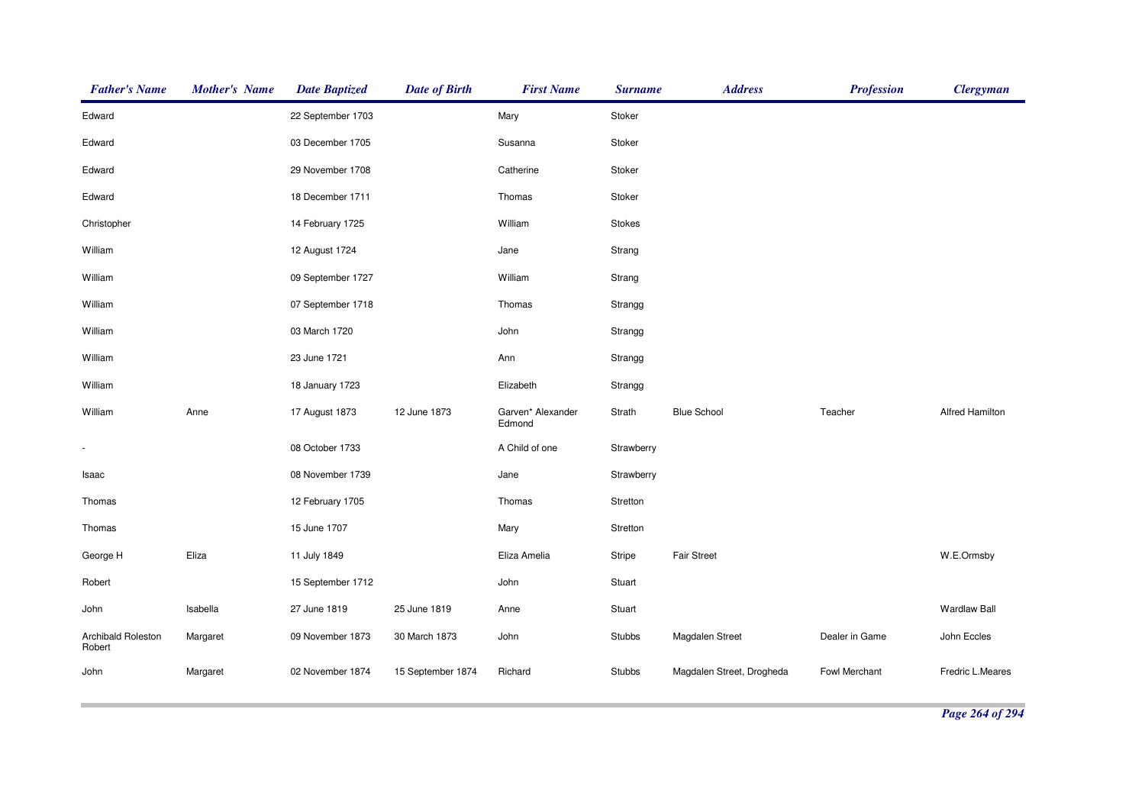| <b>Father's Name</b>         | <b>Mother's Name</b> | <b>Date Baptized</b> | <b>Date of Birth</b> | <b>First Name</b>           | <b>Surname</b> | <b>Address</b>            | <b>Profession</b> | <b>Clergyman</b>       |
|------------------------------|----------------------|----------------------|----------------------|-----------------------------|----------------|---------------------------|-------------------|------------------------|
| Edward                       |                      | 22 September 1703    |                      | Mary                        | Stoker         |                           |                   |                        |
| Edward                       |                      | 03 December 1705     |                      | Susanna                     | Stoker         |                           |                   |                        |
| Edward                       |                      | 29 November 1708     |                      | Catherine                   | Stoker         |                           |                   |                        |
| Edward                       |                      | 18 December 1711     |                      | Thomas                      | Stoker         |                           |                   |                        |
| Christopher                  |                      | 14 February 1725     |                      | William                     | Stokes         |                           |                   |                        |
| William                      |                      | 12 August 1724       |                      | Jane                        | Strang         |                           |                   |                        |
| William                      |                      | 09 September 1727    |                      | William                     | Strang         |                           |                   |                        |
| William                      |                      | 07 September 1718    |                      | Thomas                      | Strangg        |                           |                   |                        |
| William                      |                      | 03 March 1720        |                      | John                        | Strangg        |                           |                   |                        |
| William                      |                      | 23 June 1721         |                      | Ann                         | Strangg        |                           |                   |                        |
| William                      |                      | 18 January 1723      |                      | Elizabeth                   | Strangg        |                           |                   |                        |
| William                      | Anne                 | 17 August 1873       | 12 June 1873         | Garven* Alexander<br>Edmond | Strath         | <b>Blue School</b>        | Teacher           | <b>Alfred Hamilton</b> |
|                              |                      | 08 October 1733      |                      | A Child of one              | Strawberry     |                           |                   |                        |
| Isaac                        |                      | 08 November 1739     |                      | Jane                        | Strawberry     |                           |                   |                        |
| Thomas                       |                      | 12 February 1705     |                      | Thomas                      | Stretton       |                           |                   |                        |
| Thomas                       |                      | 15 June 1707         |                      | Mary                        | Stretton       |                           |                   |                        |
| George H                     | Eliza                | 11 July 1849         |                      | Eliza Amelia                | Stripe         | Fair Street               |                   | W.E.Ormsby             |
| Robert                       |                      | 15 September 1712    |                      | John                        | Stuart         |                           |                   |                        |
| John                         | Isabella             | 27 June 1819         | 25 June 1819         | Anne                        | Stuart         |                           |                   | <b>Wardlaw Ball</b>    |
| Archibald Roleston<br>Robert | Margaret             | 09 November 1873     | 30 March 1873        | John                        | Stubbs         | Magdalen Street           | Dealer in Game    | John Eccles            |
| John                         | Margaret             | 02 November 1874     | 15 September 1874    | Richard                     | Stubbs         | Magdalen Street, Drogheda | Fowl Merchant     | Fredric L.Meares       |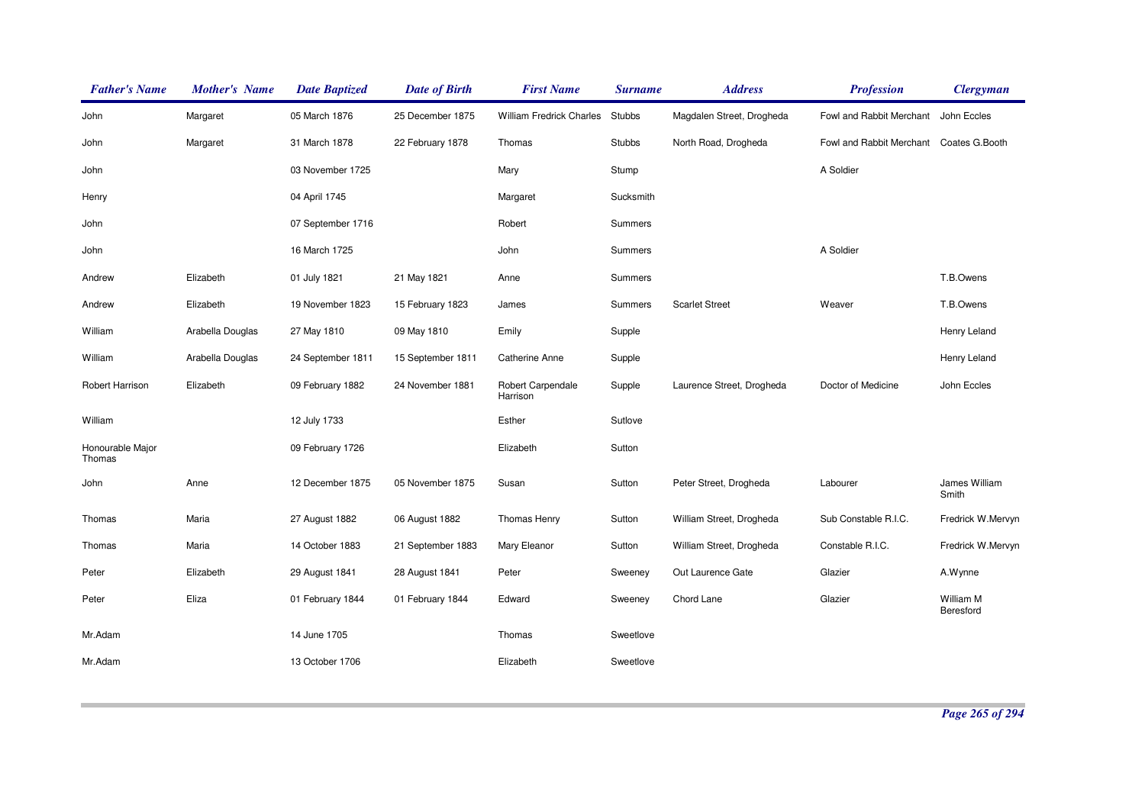| <b>Father's Name</b>       | <b>Mother's Name</b> | <b>Date Baptized</b> | <b>Date of Birth</b> | <b>First Name</b>             | <b>Surname</b> | <b>Address</b>            | <b>Profession</b>                       | <b>Clergyman</b>       |
|----------------------------|----------------------|----------------------|----------------------|-------------------------------|----------------|---------------------------|-----------------------------------------|------------------------|
| John                       | Margaret             | 05 March 1876        | 25 December 1875     | William Fredrick Charles      | <b>Stubbs</b>  | Magdalen Street, Drogheda | Fowl and Rabbit Merchant                | John Eccles            |
| John                       | Margaret             | 31 March 1878        | 22 February 1878     | Thomas                        | <b>Stubbs</b>  | North Road, Drogheda      | Fowl and Rabbit Merchant Coates G.Booth |                        |
| John                       |                      | 03 November 1725     |                      | Mary                          | Stump          |                           | A Soldier                               |                        |
| Henry                      |                      | 04 April 1745        |                      | Margaret                      | Sucksmith      |                           |                                         |                        |
| John                       |                      | 07 September 1716    |                      | Robert                        | Summers        |                           |                                         |                        |
| John                       |                      | 16 March 1725        |                      | John                          | Summers        |                           | A Soldier                               |                        |
| Andrew                     | Elizabeth            | 01 July 1821         | 21 May 1821          | Anne                          | Summers        |                           |                                         | T.B.Owens              |
| Andrew                     | Elizabeth            | 19 November 1823     | 15 February 1823     | James                         | Summers        | <b>Scarlet Street</b>     | Weaver                                  | T.B.Owens              |
| William                    | Arabella Douglas     | 27 May 1810          | 09 May 1810          | Emily                         | Supple         |                           |                                         | Henry Leland           |
| William                    | Arabella Douglas     | 24 September 1811    | 15 September 1811    | Catherine Anne                | Supple         |                           |                                         | Henry Leland           |
| Robert Harrison            | Elizabeth            | 09 February 1882     | 24 November 1881     | Robert Carpendale<br>Harrison | Supple         | Laurence Street, Drogheda | Doctor of Medicine                      | John Eccles            |
| William                    |                      | 12 July 1733         |                      | Esther                        | Sutlove        |                           |                                         |                        |
| Honourable Major<br>Thomas |                      | 09 February 1726     |                      | Elizabeth                     | Sutton         |                           |                                         |                        |
| John                       | Anne                 | 12 December 1875     | 05 November 1875     | Susan                         | Sutton         | Peter Street, Drogheda    | Labourer                                | James William<br>Smith |
| Thomas                     | Maria                | 27 August 1882       | 06 August 1882       | Thomas Henry                  | Sutton         | William Street, Drogheda  | Sub Constable R.I.C.                    | Fredrick W.Mervyn      |
| Thomas                     | Maria                | 14 October 1883      | 21 September 1883    | Mary Eleanor                  | Sutton         | William Street, Drogheda  | Constable R.I.C.                        | Fredrick W.Mervyn      |
| Peter                      | Elizabeth            | 29 August 1841       | 28 August 1841       | Peter                         | Sweeney        | Out Laurence Gate         | Glazier                                 | A.Wynne                |
| Peter                      | Eliza                | 01 February 1844     | 01 February 1844     | Edward                        | Sweeney        | Chord Lane                | Glazier                                 | William M<br>Beresford |
| Mr.Adam                    |                      | 14 June 1705         |                      | Thomas                        | Sweetlove      |                           |                                         |                        |
| Mr.Adam                    |                      | 13 October 1706      |                      | Elizabeth                     | Sweetlove      |                           |                                         |                        |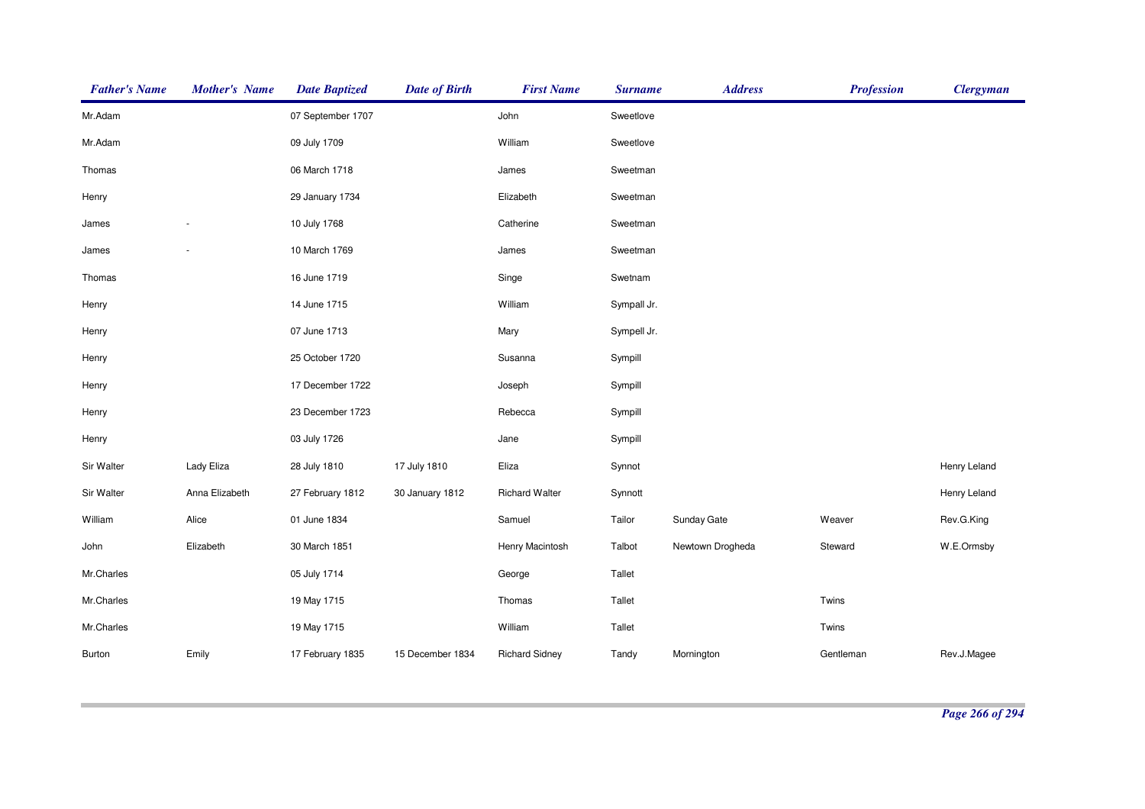| <b>Father's Name</b> | <b>Mother's Name</b> | <b>Date Baptized</b> | <b>Date of Birth</b> | <b>First Name</b>     | <b>Surname</b> | <b>Address</b>   | <b>Profession</b> | <b>Clergyman</b> |
|----------------------|----------------------|----------------------|----------------------|-----------------------|----------------|------------------|-------------------|------------------|
| Mr.Adam              |                      | 07 September 1707    |                      | John                  | Sweetlove      |                  |                   |                  |
| Mr.Adam              |                      | 09 July 1709         |                      | William               | Sweetlove      |                  |                   |                  |
| Thomas               |                      | 06 March 1718        |                      | James                 | Sweetman       |                  |                   |                  |
| Henry                |                      | 29 January 1734      |                      | Elizabeth             | Sweetman       |                  |                   |                  |
| James                |                      | 10 July 1768         |                      | Catherine             | Sweetman       |                  |                   |                  |
| James                |                      | 10 March 1769        |                      | James                 | Sweetman       |                  |                   |                  |
| Thomas               |                      | 16 June 1719         |                      | Singe                 | Swetnam        |                  |                   |                  |
| Henry                |                      | 14 June 1715         |                      | William               | Sympall Jr.    |                  |                   |                  |
| Henry                |                      | 07 June 1713         |                      | Mary                  | Sympell Jr.    |                  |                   |                  |
| Henry                |                      | 25 October 1720      |                      | Susanna               | Sympill        |                  |                   |                  |
| Henry                |                      | 17 December 1722     |                      | Joseph                | Sympill        |                  |                   |                  |
| Henry                |                      | 23 December 1723     |                      | Rebecca               | Sympill        |                  |                   |                  |
| Henry                |                      | 03 July 1726         |                      | Jane                  | Sympill        |                  |                   |                  |
| Sir Walter           | Lady Eliza           | 28 July 1810         | 17 July 1810         | Eliza                 | Synnot         |                  |                   | Henry Leland     |
| Sir Walter           | Anna Elizabeth       | 27 February 1812     | 30 January 1812      | <b>Richard Walter</b> | Synnott        |                  |                   | Henry Leland     |
| William              | Alice                | 01 June 1834         |                      | Samuel                | Tailor         | Sunday Gate      | Weaver            | Rev.G.King       |
| John                 | Elizabeth            | 30 March 1851        |                      | Henry Macintosh       | Talbot         | Newtown Drogheda | Steward           | W.E.Ormsby       |
| Mr.Charles           |                      | 05 July 1714         |                      | George                | Tallet         |                  |                   |                  |
| Mr.Charles           |                      | 19 May 1715          |                      | Thomas                | Tallet         |                  | Twins             |                  |
| Mr.Charles           |                      | 19 May 1715          |                      | William               | Tallet         |                  | Twins             |                  |
| Burton               | Emily                | 17 February 1835     | 15 December 1834     | <b>Richard Sidney</b> | Tandy          | Mornington       | Gentleman         | Rev.J.Magee      |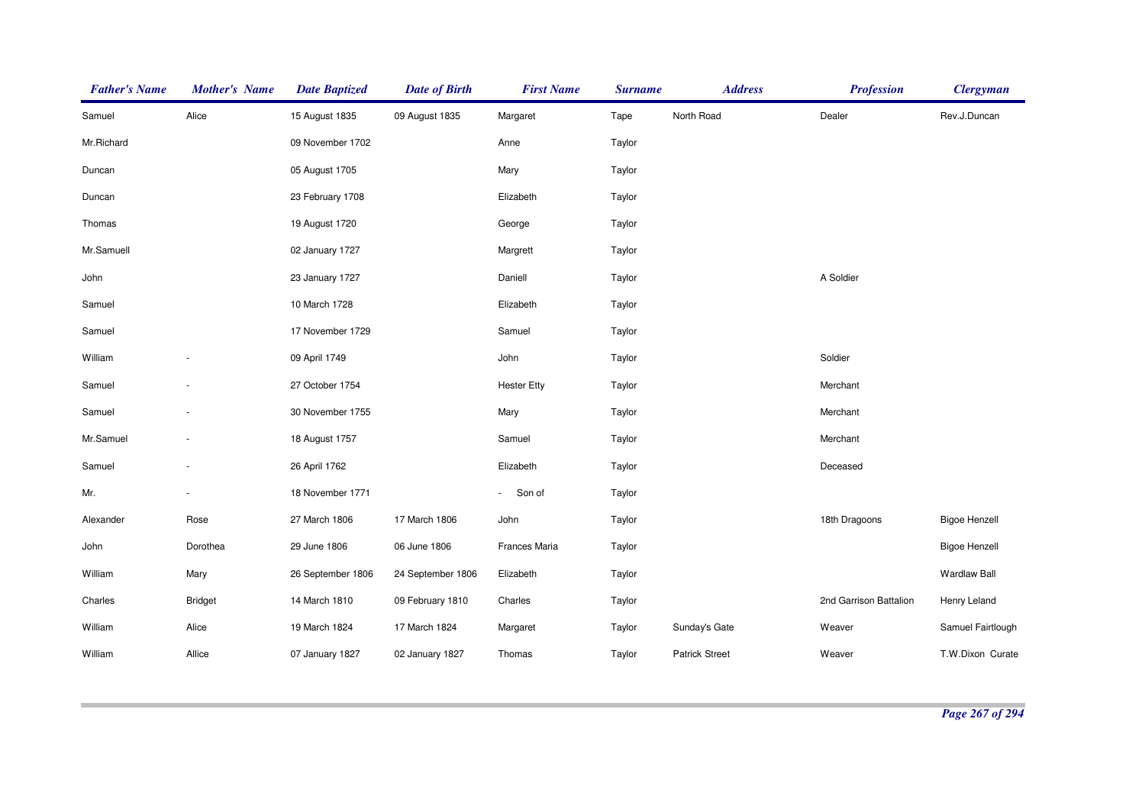| <b>Father's Name</b> | <b>Mother's Name</b>     | <b>Date Baptized</b> | <b>Date of Birth</b> | <b>First Name</b>        | <b>Surname</b> | <b>Address</b>        | <b>Profession</b>      | <b>Clergyman</b>     |
|----------------------|--------------------------|----------------------|----------------------|--------------------------|----------------|-----------------------|------------------------|----------------------|
| Samuel               | Alice                    | 15 August 1835       | 09 August 1835       | Margaret                 | Tape           | North Road            | Dealer                 | Rev.J.Duncan         |
| Mr.Richard           |                          | 09 November 1702     |                      | Anne                     | Taylor         |                       |                        |                      |
| Duncan               |                          | 05 August 1705       |                      | Mary                     | Taylor         |                       |                        |                      |
| Duncan               |                          | 23 February 1708     |                      | Elizabeth                | Taylor         |                       |                        |                      |
| Thomas               |                          | 19 August 1720       |                      | George                   | Taylor         |                       |                        |                      |
| Mr.Samuell           |                          | 02 January 1727      |                      | Margrett                 | Taylor         |                       |                        |                      |
| John                 |                          | 23 January 1727      |                      | Daniell                  | Taylor         |                       | A Soldier              |                      |
| Samuel               |                          | 10 March 1728        |                      | Elizabeth                | Taylor         |                       |                        |                      |
| Samuel               |                          | 17 November 1729     |                      | Samuel                   | Taylor         |                       |                        |                      |
| William              |                          | 09 April 1749        |                      | John                     | Taylor         |                       | Soldier                |                      |
| Samuel               |                          | 27 October 1754      |                      | <b>Hester Etty</b>       | Taylor         |                       | Merchant               |                      |
| Samuel               |                          | 30 November 1755     |                      | Mary                     | Taylor         |                       | Merchant               |                      |
| Mr.Samuel            | ÷                        | 18 August 1757       |                      | Samuel                   | Taylor         |                       | Merchant               |                      |
| Samuel               | $\overline{\phantom{a}}$ | 26 April 1762        |                      | Elizabeth                | Taylor         |                       | Deceased               |                      |
| Mr.                  |                          | 18 November 1771     |                      | Son of<br>$\blacksquare$ | Taylor         |                       |                        |                      |
| Alexander            | Rose                     | 27 March 1806        | 17 March 1806        | John                     | Taylor         |                       | 18th Dragoons          | <b>Bigoe Henzell</b> |
| John                 | Dorothea                 | 29 June 1806         | 06 June 1806         | Frances Maria            | Taylor         |                       |                        | <b>Bigoe Henzell</b> |
| William              | Mary                     | 26 September 1806    | 24 September 1806    | Elizabeth                | Taylor         |                       |                        | <b>Wardlaw Ball</b>  |
| Charles              | <b>Bridget</b>           | 14 March 1810        | 09 February 1810     | Charles                  | Taylor         |                       | 2nd Garrison Battalion | Henry Leland         |
| William              | Alice                    | 19 March 1824        | 17 March 1824        | Margaret                 | Taylor         | Sunday's Gate         | Weaver                 | Samuel Fairtlough    |
| William              | Allice                   | 07 January 1827      | 02 January 1827      | Thomas                   | Taylor         | <b>Patrick Street</b> | Weaver                 | T.W.Dixon Curate     |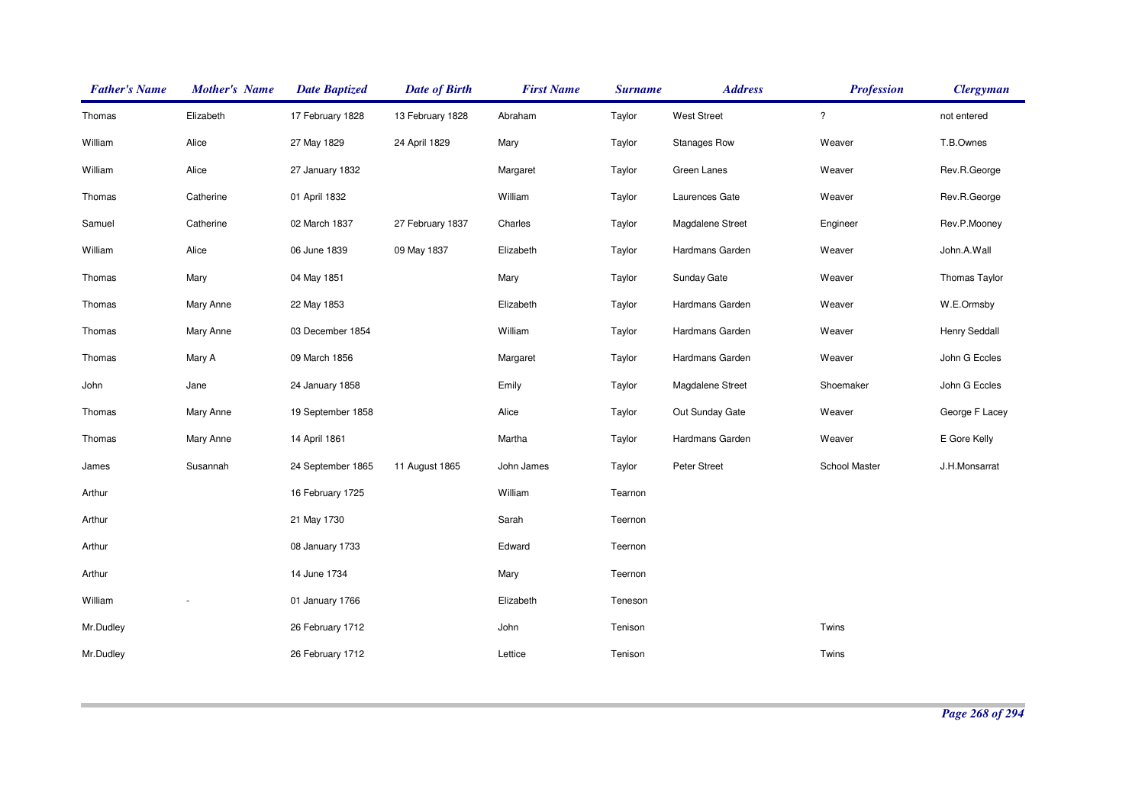| <b>Father's Name</b> | <b>Mother's Name</b> | <b>Date Baptized</b> | <b>Date of Birth</b> | <b>First Name</b> | <b>Surname</b> | <b>Address</b>      | <b>Profession</b> | <b>Clergyman</b>     |
|----------------------|----------------------|----------------------|----------------------|-------------------|----------------|---------------------|-------------------|----------------------|
| Thomas               | Elizabeth            | 17 February 1828     | 13 February 1828     | Abraham           | Taylor         | <b>West Street</b>  | $\ddot{?}$        | not entered          |
| William              | Alice                | 27 May 1829          | 24 April 1829        | Mary              | Taylor         | <b>Stanages Row</b> | Weaver            | T.B.Ownes            |
| William              | Alice                | 27 January 1832      |                      | Margaret          | Taylor         | Green Lanes         | Weaver            | Rev.R.George         |
| Thomas               | Catherine            | 01 April 1832        |                      | William           | Taylor         | Laurences Gate      | Weaver            | Rev.R.George         |
| Samuel               | Catherine            | 02 March 1837        | 27 February 1837     | Charles           | Taylor         | Magdalene Street    | Engineer          | Rev.P.Mooney         |
| William              | Alice                | 06 June 1839         | 09 May 1837          | Elizabeth         | Taylor         | Hardmans Garden     | Weaver            | John.A.Wall          |
| Thomas               | Mary                 | 04 May 1851          |                      | Mary              | Taylor         | Sunday Gate         | Weaver            | <b>Thomas Taylor</b> |
| Thomas               | Mary Anne            | 22 May 1853          |                      | Elizabeth         | Taylor         | Hardmans Garden     | Weaver            | W.E.Ormsby           |
| Thomas               | Mary Anne            | 03 December 1854     |                      | William           | Taylor         | Hardmans Garden     | Weaver            | Henry Seddall        |
| Thomas               | Mary A               | 09 March 1856        |                      | Margaret          | Taylor         | Hardmans Garden     | Weaver            | John G Eccles        |
| John                 | Jane                 | 24 January 1858      |                      | Emily             | Taylor         | Magdalene Street    | Shoemaker         | John G Eccles        |
| Thomas               | Mary Anne            | 19 September 1858    |                      | Alice             | Taylor         | Out Sunday Gate     | Weaver            | George F Lacey       |
| Thomas               | Mary Anne            | 14 April 1861        |                      | Martha            | Taylor         | Hardmans Garden     | Weaver            | E Gore Kelly         |
| James                | Susannah             | 24 September 1865    | 11 August 1865       | John James        | Taylor         | Peter Street        | School Master     | J.H.Monsarrat        |
| Arthur               |                      | 16 February 1725     |                      | William           | Tearnon        |                     |                   |                      |
| Arthur               |                      | 21 May 1730          |                      | Sarah             | Teernon        |                     |                   |                      |
| Arthur               |                      | 08 January 1733      |                      | Edward            | Teernon        |                     |                   |                      |
| Arthur               |                      | 14 June 1734         |                      | Mary              | Teernon        |                     |                   |                      |
| William              |                      | 01 January 1766      |                      | Elizabeth         | Teneson        |                     |                   |                      |
| Mr.Dudley            |                      | 26 February 1712     |                      | John              | Tenison        |                     | Twins             |                      |
| Mr.Dudley            |                      | 26 February 1712     |                      | Lettice           | Tenison        |                     | Twins             |                      |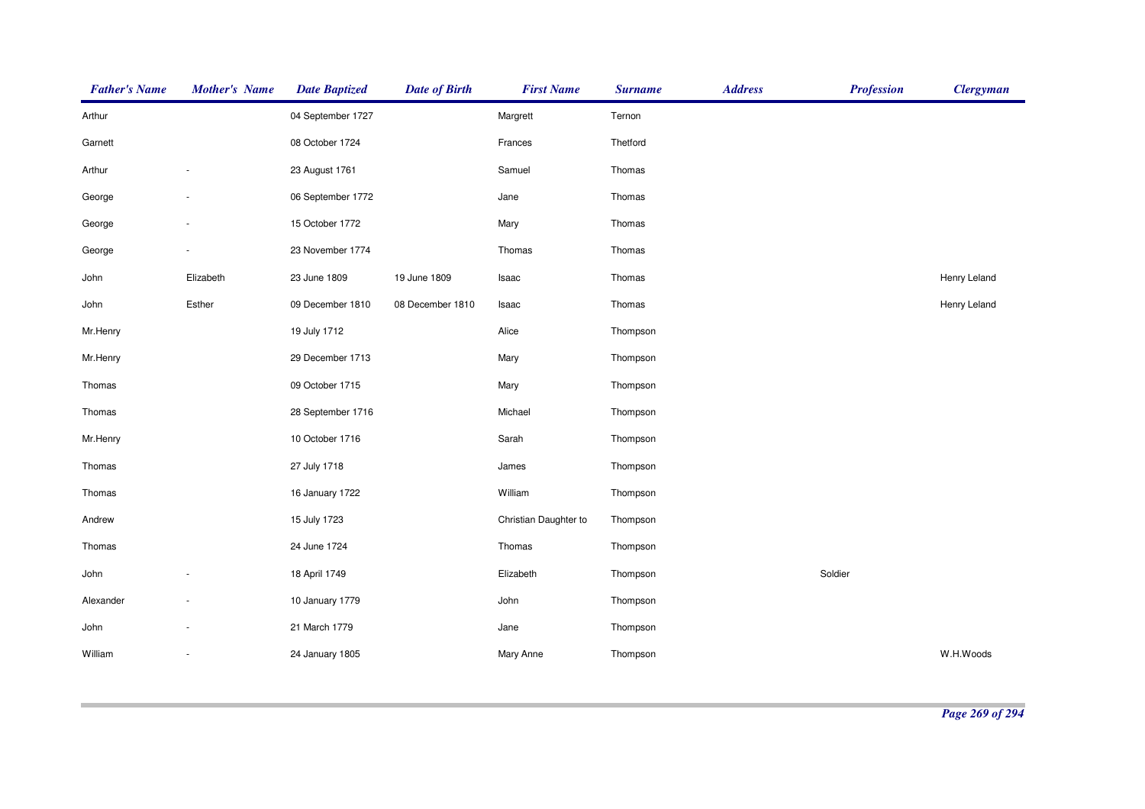| <b>Father's Name</b> | <b>Mother's Name</b>     | <b>Date Baptized</b> | <b>Date of Birth</b> | <b>First Name</b>     | <b>Surname</b> | <b>Address</b> | <b>Profession</b> | <b>Clergyman</b> |
|----------------------|--------------------------|----------------------|----------------------|-----------------------|----------------|----------------|-------------------|------------------|
| Arthur               |                          | 04 September 1727    |                      | Margrett              | Ternon         |                |                   |                  |
| Garnett              |                          | 08 October 1724      |                      | Frances               | Thetford       |                |                   |                  |
| Arthur               |                          | 23 August 1761       |                      | Samuel                | Thomas         |                |                   |                  |
| George               |                          | 06 September 1772    |                      | Jane                  | Thomas         |                |                   |                  |
| George               |                          | 15 October 1772      |                      | Mary                  | Thomas         |                |                   |                  |
| George               |                          | 23 November 1774     |                      | Thomas                | Thomas         |                |                   |                  |
| John                 | Elizabeth                | 23 June 1809         | 19 June 1809         | Isaac                 | Thomas         |                |                   | Henry Leland     |
| John                 | Esther                   | 09 December 1810     | 08 December 1810     | Isaac                 | Thomas         |                |                   | Henry Leland     |
| Mr.Henry             |                          | 19 July 1712         |                      | Alice                 | Thompson       |                |                   |                  |
| Mr.Henry             |                          | 29 December 1713     |                      | Mary                  | Thompson       |                |                   |                  |
| Thomas               |                          | 09 October 1715      |                      | Mary                  | Thompson       |                |                   |                  |
| Thomas               |                          | 28 September 1716    |                      | Michael               | Thompson       |                |                   |                  |
| Mr.Henry             |                          | 10 October 1716      |                      | Sarah                 | Thompson       |                |                   |                  |
| Thomas               |                          | 27 July 1718         |                      | James                 | Thompson       |                |                   |                  |
| Thomas               |                          | 16 January 1722      |                      | William               | Thompson       |                |                   |                  |
| Andrew               |                          | 15 July 1723         |                      | Christian Daughter to | Thompson       |                |                   |                  |
| Thomas               |                          | 24 June 1724         |                      | Thomas                | Thompson       |                |                   |                  |
| John                 |                          | 18 April 1749        |                      | Elizabeth             | Thompson       |                | Soldier           |                  |
| Alexander            | $\overline{\phantom{a}}$ | 10 January 1779      |                      | John                  | Thompson       |                |                   |                  |
| John                 |                          | 21 March 1779        |                      | Jane                  | Thompson       |                |                   |                  |
| William              | $\sim$                   | 24 January 1805      |                      | Mary Anne             | Thompson       |                |                   | W.H.Woods        |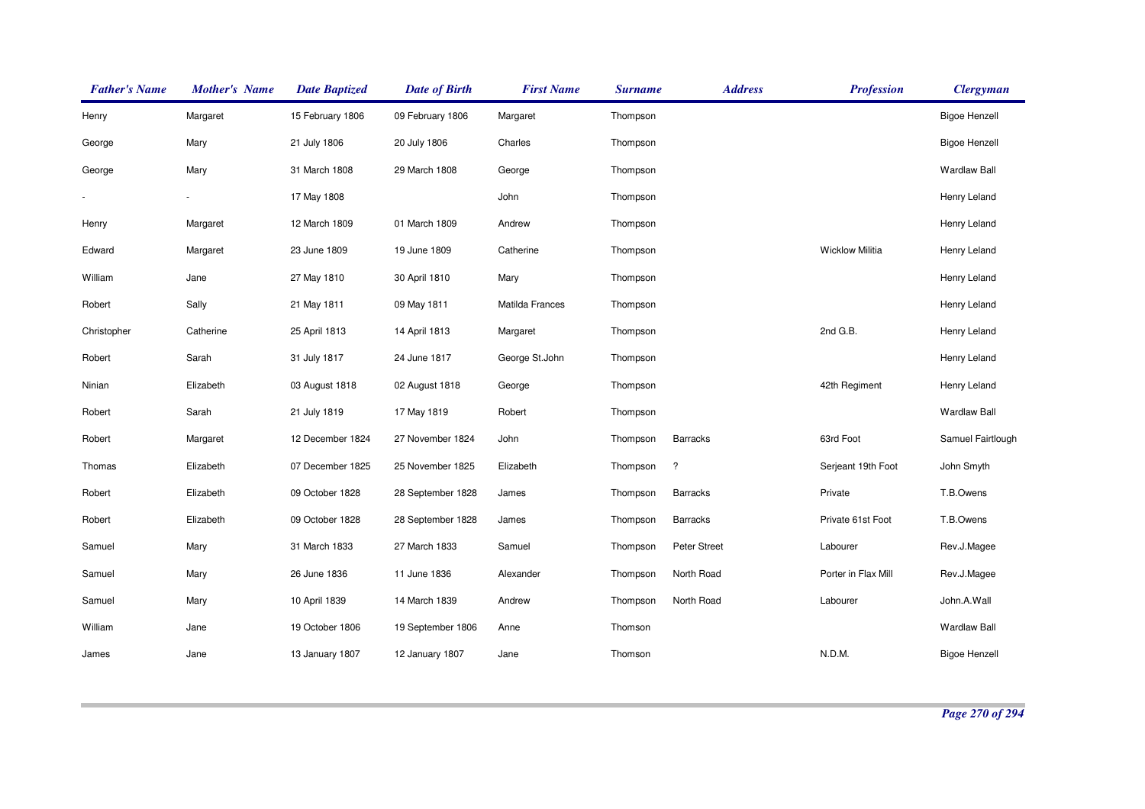| <b>Father's Name</b> | <b>Mother's Name</b> | <b>Date Baptized</b> | <b>Date of Birth</b> | <b>First Name</b> | <b>Surname</b> | <b>Address</b>  | <b>Profession</b>      | <b>Clergyman</b>     |
|----------------------|----------------------|----------------------|----------------------|-------------------|----------------|-----------------|------------------------|----------------------|
| Henry                | Margaret             | 15 February 1806     | 09 February 1806     | Margaret          | Thompson       |                 |                        | <b>Bigoe Henzell</b> |
| George               | Mary                 | 21 July 1806         | 20 July 1806         | Charles           | Thompson       |                 |                        | <b>Bigoe Henzell</b> |
| George               | Mary                 | 31 March 1808        | 29 March 1808        | George            | Thompson       |                 |                        | <b>Wardlaw Ball</b>  |
|                      |                      | 17 May 1808          |                      | John              | Thompson       |                 |                        | Henry Leland         |
| Henry                | Margaret             | 12 March 1809        | 01 March 1809        | Andrew            | Thompson       |                 |                        | Henry Leland         |
| Edward               | Margaret             | 23 June 1809         | 19 June 1809         | Catherine         | Thompson       |                 | <b>Wicklow Militia</b> | Henry Leland         |
| William              | Jane                 | 27 May 1810          | 30 April 1810        | Mary              | Thompson       |                 |                        | Henry Leland         |
| Robert               | Sally                | 21 May 1811          | 09 May 1811          | Matilda Frances   | Thompson       |                 |                        | Henry Leland         |
| Christopher          | Catherine            | 25 April 1813        | 14 April 1813        | Margaret          | Thompson       |                 | 2nd G.B.               | Henry Leland         |
| Robert               | Sarah                | 31 July 1817         | 24 June 1817         | George St.John    | Thompson       |                 |                        | Henry Leland         |
| Ninian               | Elizabeth            | 03 August 1818       | 02 August 1818       | George            | Thompson       |                 | 42th Regiment          | Henry Leland         |
| Robert               | Sarah                | 21 July 1819         | 17 May 1819          | Robert            | Thompson       |                 |                        | <b>Wardlaw Ball</b>  |
| Robert               | Margaret             | 12 December 1824     | 27 November 1824     | John              | Thompson       | <b>Barracks</b> | 63rd Foot              | Samuel Fairtlough    |
| Thomas               | Elizabeth            | 07 December 1825     | 25 November 1825     | Elizabeth         | Thompson       | $\ddot{?}$      | Serjeant 19th Foot     | John Smyth           |
| Robert               | Elizabeth            | 09 October 1828      | 28 September 1828    | James             | Thompson       | <b>Barracks</b> | Private                | T.B.Owens            |
| Robert               | Elizabeth            | 09 October 1828      | 28 September 1828    | James             | Thompson       | <b>Barracks</b> | Private 61st Foot      | T.B.Owens            |
| Samuel               | Mary                 | 31 March 1833        | 27 March 1833        | Samuel            | Thompson       | Peter Street    | Labourer               | Rev.J.Magee          |
| Samuel               | Mary                 | 26 June 1836         | 11 June 1836         | Alexander         | Thompson       | North Road      | Porter in Flax Mill    | Rev.J.Magee          |
| Samuel               | Mary                 | 10 April 1839        | 14 March 1839        | Andrew            | Thompson       | North Road      | Labourer               | John.A.Wall          |
| William              | Jane                 | 19 October 1806      | 19 September 1806    | Anne              | Thomson        |                 |                        | <b>Wardlaw Ball</b>  |
| James                | Jane                 | 13 January 1807      | 12 January 1807      | Jane              | Thomson        |                 | N.D.M.                 | <b>Bigoe Henzell</b> |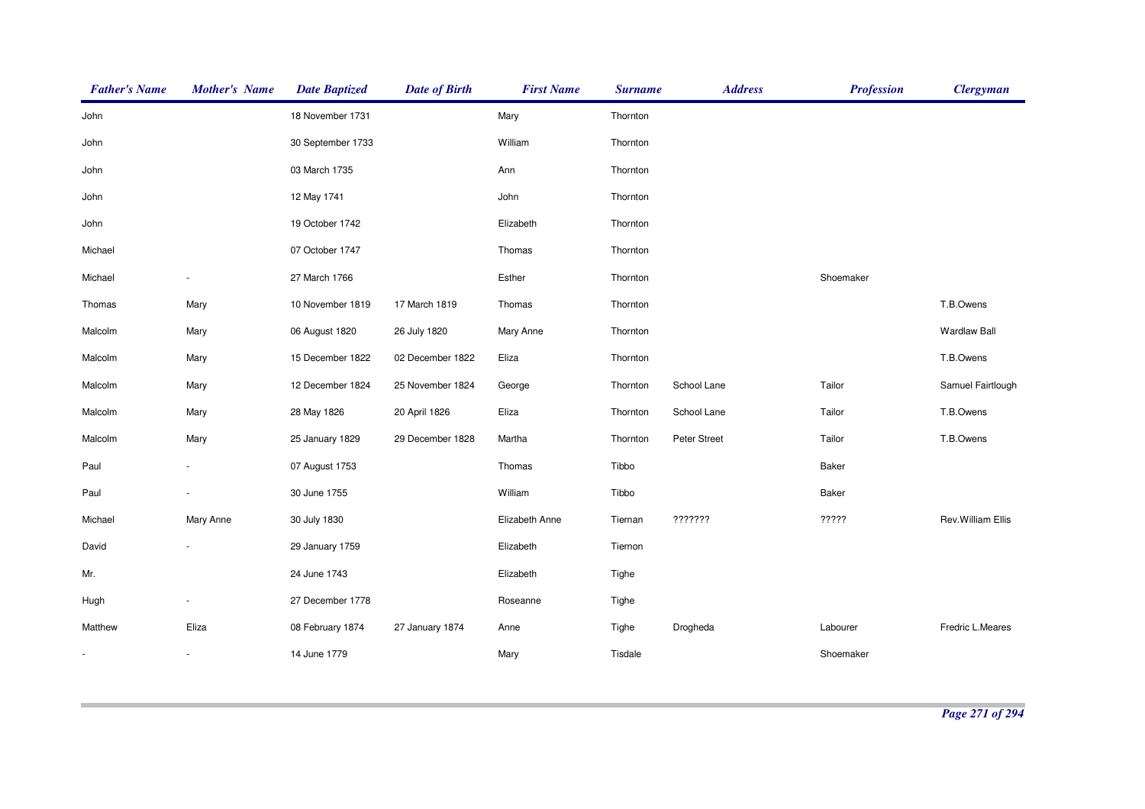| <b>Father's Name</b> | <b>Mother's Name</b> | <b>Date Baptized</b> | <b>Date of Birth</b> | <b>First Name</b> | <b>Surname</b> | <b>Address</b> | <b>Profession</b> | <b>Clergyman</b>    |
|----------------------|----------------------|----------------------|----------------------|-------------------|----------------|----------------|-------------------|---------------------|
| John                 |                      | 18 November 1731     |                      | Mary              | Thornton       |                |                   |                     |
| John                 |                      | 30 September 1733    |                      | William           | Thornton       |                |                   |                     |
| John                 |                      | 03 March 1735        |                      | Ann               | Thornton       |                |                   |                     |
| John                 |                      | 12 May 1741          |                      | John              | Thornton       |                |                   |                     |
| John                 |                      | 19 October 1742      |                      | Elizabeth         | Thornton       |                |                   |                     |
| Michael              |                      | 07 October 1747      |                      | Thomas            | Thornton       |                |                   |                     |
| Michael              |                      | 27 March 1766        |                      | Esther            | Thornton       |                | Shoemaker         |                     |
| Thomas               | Mary                 | 10 November 1819     | 17 March 1819        | Thomas            | Thornton       |                |                   | T.B.Owens           |
| Malcolm              | Mary                 | 06 August 1820       | 26 July 1820         | Mary Anne         | Thornton       |                |                   | <b>Wardlaw Ball</b> |
| Malcolm              | Mary                 | 15 December 1822     | 02 December 1822     | Eliza             | Thornton       |                |                   | T.B.Owens           |
| Malcolm              | Mary                 | 12 December 1824     | 25 November 1824     | George            | Thornton       | School Lane    | Tailor            | Samuel Fairtlough   |
| Malcolm              | Mary                 | 28 May 1826          | 20 April 1826        | Eliza             | Thornton       | School Lane    | Tailor            | T.B.Owens           |
| Malcolm              | Mary                 | 25 January 1829      | 29 December 1828     | Martha            | Thornton       | Peter Street   | Tailor            | T.B.Owens           |
| Paul                 |                      | 07 August 1753       |                      | Thomas            | Tibbo          |                | Baker             |                     |
| Paul                 |                      | 30 June 1755         |                      | William           | Tibbo          |                | Baker             |                     |
| Michael              | Mary Anne            | 30 July 1830         |                      | Elizabeth Anne    | Tiernan        | ???????        | ?????             | Rev. William Ellis  |
| David                |                      | 29 January 1759      |                      | Elizabeth         | Tiernon        |                |                   |                     |
| Mr.                  |                      | 24 June 1743         |                      | Elizabeth         | Tighe          |                |                   |                     |
| Hugh                 |                      | 27 December 1778     |                      | Roseanne          | Tighe          |                |                   |                     |
| Matthew              | Eliza                | 08 February 1874     | 27 January 1874      | Anne              | Tighe          | Drogheda       | Labourer          | Fredric L.Meares    |
|                      |                      | 14 June 1779         |                      | Mary              | Tisdale        |                | Shoemaker         |                     |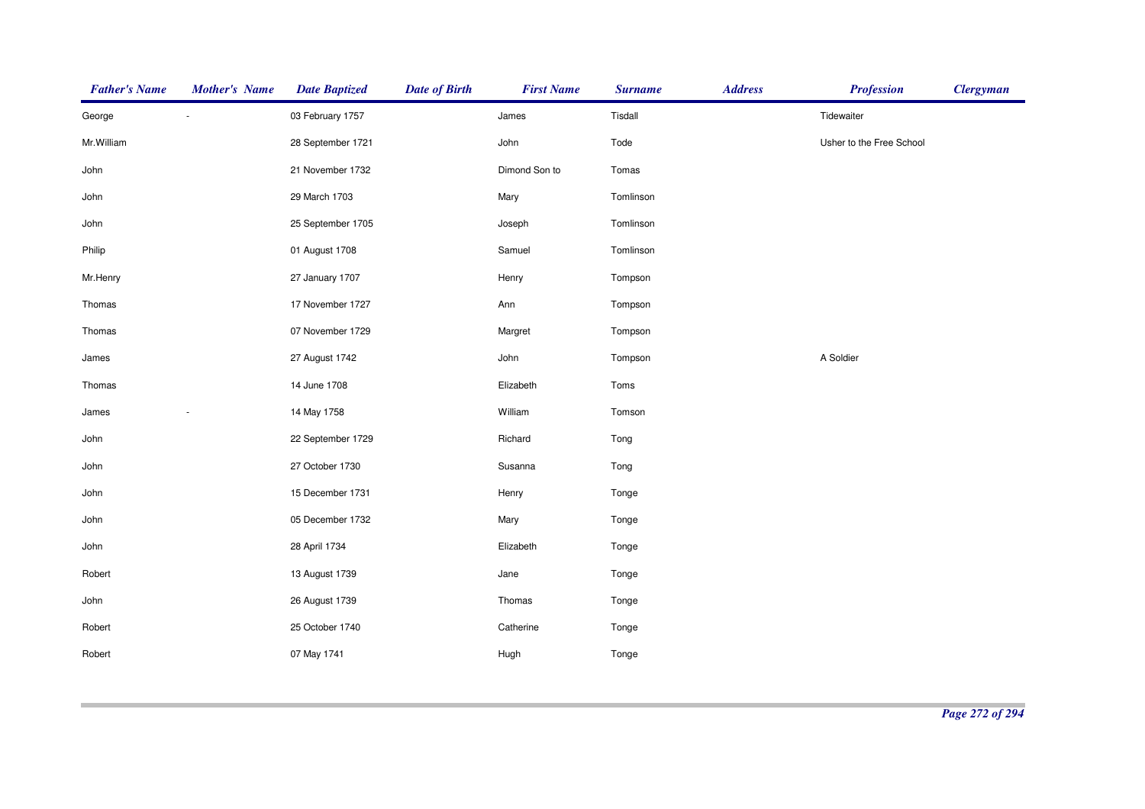| <b>Father's Name</b> | <b>Mother's Name</b> | <b>Date Baptized</b> | <b>Date of Birth</b> | <b>First Name</b> | <b>Surname</b> | <b>Address</b> | <b>Profession</b>        | <b>Clergyman</b> |
|----------------------|----------------------|----------------------|----------------------|-------------------|----------------|----------------|--------------------------|------------------|
| George               |                      | 03 February 1757     |                      | James             | Tisdall        |                | Tidewaiter               |                  |
| Mr. William          |                      | 28 September 1721    |                      | John              | Tode           |                | Usher to the Free School |                  |
| John                 |                      | 21 November 1732     |                      | Dimond Son to     | Tomas          |                |                          |                  |
| John                 |                      | 29 March 1703        |                      | Mary              | Tomlinson      |                |                          |                  |
| John                 |                      | 25 September 1705    |                      | Joseph            | Tomlinson      |                |                          |                  |
| Philip               |                      | 01 August 1708       |                      | Samuel            | Tomlinson      |                |                          |                  |
| Mr.Henry             |                      | 27 January 1707      |                      | Henry             | Tompson        |                |                          |                  |
| Thomas               |                      | 17 November 1727     |                      | Ann               | Tompson        |                |                          |                  |
| Thomas               |                      | 07 November 1729     |                      | Margret           | Tompson        |                |                          |                  |
| James                |                      | 27 August 1742       |                      | John              | Tompson        |                | A Soldier                |                  |
| Thomas               |                      | 14 June 1708         |                      | Elizabeth         | Toms           |                |                          |                  |
| James                |                      | 14 May 1758          |                      | William           | Tomson         |                |                          |                  |
| John                 |                      | 22 September 1729    |                      | Richard           | Tong           |                |                          |                  |
| John                 |                      | 27 October 1730      |                      | Susanna           | Tong           |                |                          |                  |
| John                 |                      | 15 December 1731     |                      | Henry             | Tonge          |                |                          |                  |
| John                 |                      | 05 December 1732     |                      | Mary              | Tonge          |                |                          |                  |
| John                 |                      | 28 April 1734        |                      | Elizabeth         | Tonge          |                |                          |                  |
| Robert               |                      | 13 August 1739       |                      | Jane              | Tonge          |                |                          |                  |
| John                 |                      | 26 August 1739       |                      | Thomas            | Tonge          |                |                          |                  |
| Robert               |                      | 25 October 1740      |                      | Catherine         | Tonge          |                |                          |                  |
| Robert               |                      | 07 May 1741          |                      | Hugh              | Tonge          |                |                          |                  |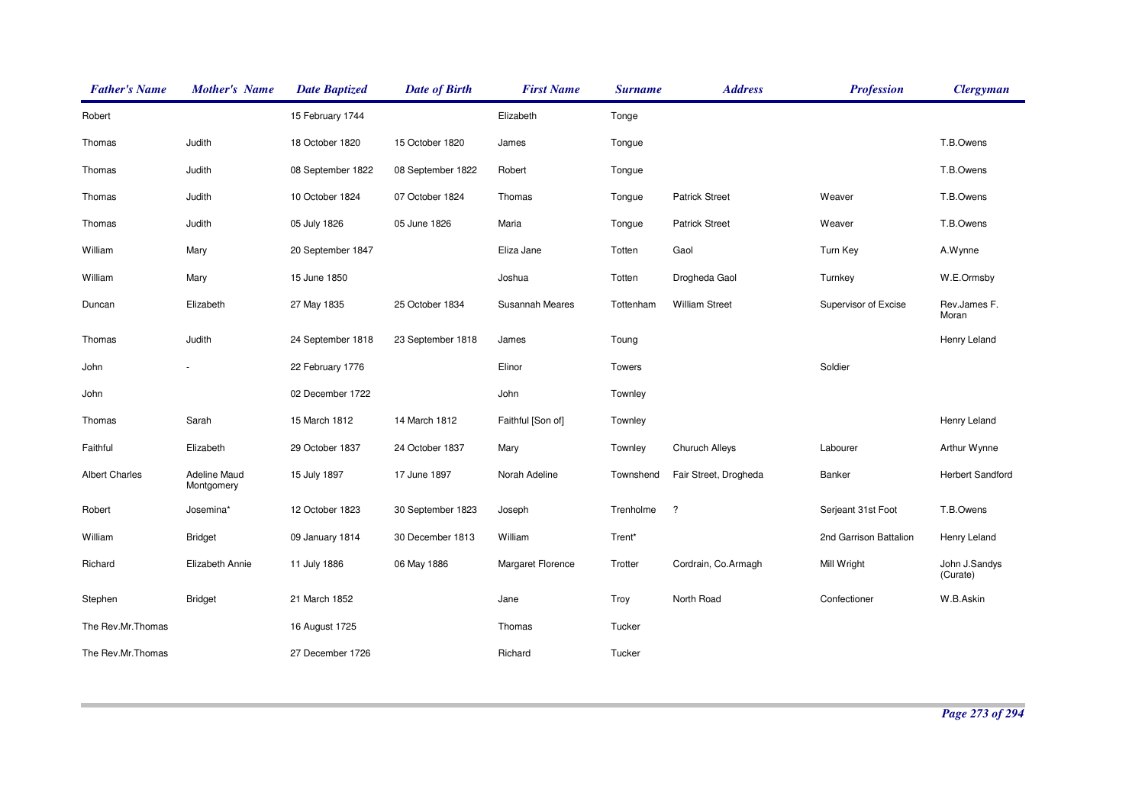| <b>Father's Name</b>  | <b>Mother's Name</b>              | <b>Date Baptized</b> | <b>Date of Birth</b> | <b>First Name</b> | <b>Surname</b> | <b>Address</b>        | <b>Profession</b>      | <b>Clergyman</b>          |
|-----------------------|-----------------------------------|----------------------|----------------------|-------------------|----------------|-----------------------|------------------------|---------------------------|
| Robert                |                                   | 15 February 1744     |                      | Elizabeth         | Tonge          |                       |                        |                           |
| Thomas                | Judith                            | 18 October 1820      | 15 October 1820      | James             | Tongue         |                       |                        | T.B.Owens                 |
| Thomas                | Judith                            | 08 September 1822    | 08 September 1822    | Robert            | Tongue         |                       |                        | T.B.Owens                 |
| Thomas                | Judith                            | 10 October 1824      | 07 October 1824      | Thomas            | Tongue         | <b>Patrick Street</b> | Weaver                 | T.B.Owens                 |
| Thomas                | Judith                            | 05 July 1826         | 05 June 1826         | Maria             | Tongue         | <b>Patrick Street</b> | Weaver                 | T.B.Owens                 |
| William               | Mary                              | 20 September 1847    |                      | Eliza Jane        | Totten         | Gaol                  | Turn Key               | A.Wynne                   |
| William               | Mary                              | 15 June 1850         |                      | Joshua            | Totten         | Drogheda Gaol         | Turnkey                | W.E.Ormsby                |
| Duncan                | Elizabeth                         | 27 May 1835          | 25 October 1834      | Susannah Meares   | Tottenham      | <b>William Street</b> | Supervisor of Excise   | Rev.James F.<br>Moran     |
| Thomas                | Judith                            | 24 September 1818    | 23 September 1818    | James             | Toung          |                       |                        | Henry Leland              |
| John                  |                                   | 22 February 1776     |                      | Elinor            | Towers         |                       | Soldier                |                           |
| John                  |                                   | 02 December 1722     |                      | John              | Townley        |                       |                        |                           |
| Thomas                | Sarah                             | 15 March 1812        | 14 March 1812        | Faithful [Son of] | Townley        |                       |                        | Henry Leland              |
| Faithful              | Elizabeth                         | 29 October 1837      | 24 October 1837      | Mary              | Townley        | Churuch Alleys        | Labourer               | Arthur Wynne              |
| <b>Albert Charles</b> | <b>Adeline Maud</b><br>Montgomery | 15 July 1897         | 17 June 1897         | Norah Adeline     | Townshend      | Fair Street, Drogheda | Banker                 | <b>Herbert Sandford</b>   |
| Robert                | Josemina*                         | 12 October 1823      | 30 September 1823    | Joseph            | Trenholme      | $\cdot$               | Serjeant 31st Foot     | T.B.Owens                 |
| William               | <b>Bridget</b>                    | 09 January 1814      | 30 December 1813     | William           | Trent*         |                       | 2nd Garrison Battalion | Henry Leland              |
| Richard               | Elizabeth Annie                   | 11 July 1886         | 06 May 1886          | Margaret Florence | Trotter        | Cordrain, Co.Armagh   | Mill Wright            | John J.Sandys<br>(Curate) |
| Stephen               | <b>Bridget</b>                    | 21 March 1852        |                      | Jane              | Troy           | North Road            | Confectioner           | W.B.Askin                 |
| The Rev.Mr.Thomas     |                                   | 16 August 1725       |                      | Thomas            | Tucker         |                       |                        |                           |
| The Rev.Mr.Thomas     |                                   | 27 December 1726     |                      | Richard           | Tucker         |                       |                        |                           |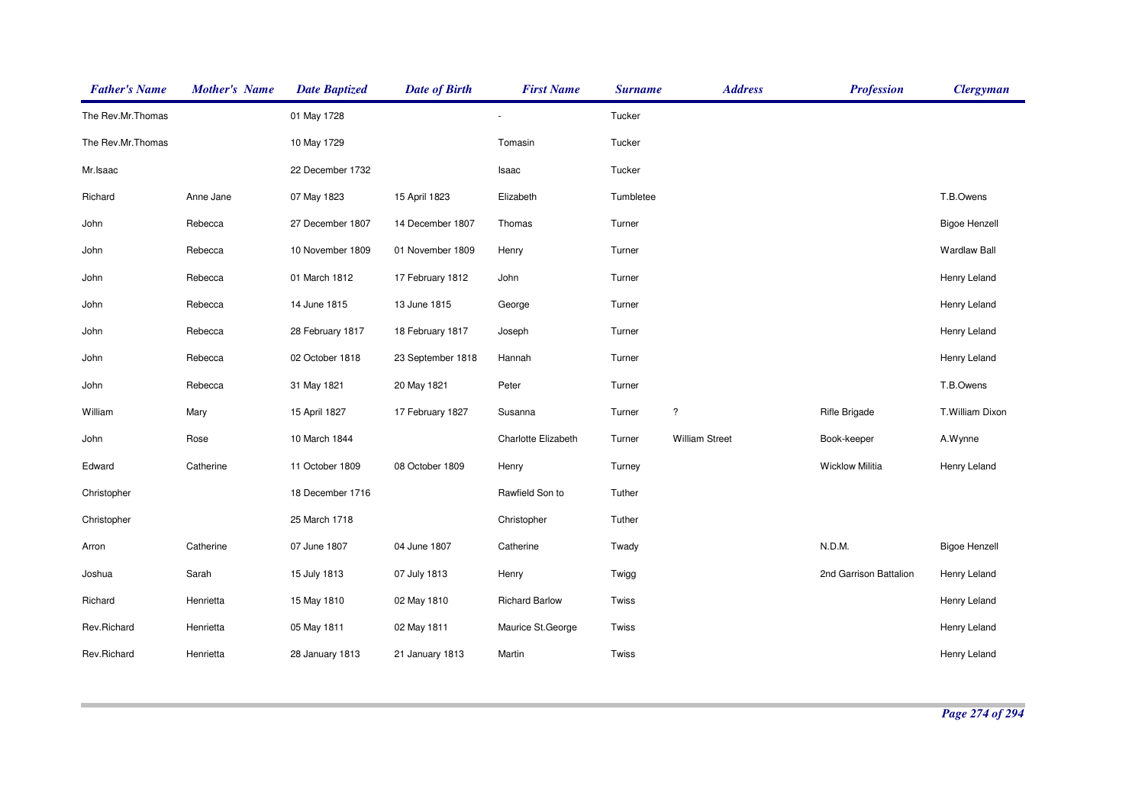| <b>Father's Name</b> | <b>Mother's Name</b> | <b>Date Baptized</b> | <b>Date of Birth</b> | <b>First Name</b>     | <b>Surname</b> | <b>Address</b>           | <b>Profession</b>      | <b>Clergyman</b>     |
|----------------------|----------------------|----------------------|----------------------|-----------------------|----------------|--------------------------|------------------------|----------------------|
| The Rev.Mr.Thomas    |                      | 01 May 1728          |                      |                       | Tucker         |                          |                        |                      |
| The Rev.Mr.Thomas    |                      | 10 May 1729          |                      | Tomasin               | Tucker         |                          |                        |                      |
| Mr.Isaac             |                      | 22 December 1732     |                      | Isaac                 | Tucker         |                          |                        |                      |
| Richard              | Anne Jane            | 07 May 1823          | 15 April 1823        | Elizabeth             | Tumbletee      |                          |                        | T.B.Owens            |
| John                 | Rebecca              | 27 December 1807     | 14 December 1807     | Thomas                | Turner         |                          |                        | <b>Bigoe Henzell</b> |
| John                 | Rebecca              | 10 November 1809     | 01 November 1809     | Henry                 | Turner         |                          |                        | <b>Wardlaw Ball</b>  |
| John                 | Rebecca              | 01 March 1812        | 17 February 1812     | John                  | Turner         |                          |                        | Henry Leland         |
| John                 | Rebecca              | 14 June 1815         | 13 June 1815         | George                | Turner         |                          |                        | Henry Leland         |
| John                 | Rebecca              | 28 February 1817     | 18 February 1817     | Joseph                | Turner         |                          |                        | Henry Leland         |
| John                 | Rebecca              | 02 October 1818      | 23 September 1818    | Hannah                | Turner         |                          |                        | Henry Leland         |
| John                 | Rebecca              | 31 May 1821          | 20 May 1821          | Peter                 | Turner         |                          |                        | T.B.Owens            |
| William              | Mary                 | 15 April 1827        | 17 February 1827     | Susanna               | Turner         | $\overline{\phantom{a}}$ | <b>Rifle Brigade</b>   | T.William Dixon      |
| John                 | Rose                 | 10 March 1844        |                      | Charlotte Elizabeth   | Turner         | <b>William Street</b>    | Book-keeper            | A.Wynne              |
| Edward               | Catherine            | 11 October 1809      | 08 October 1809      | Henry                 | Turney         |                          | <b>Wicklow Militia</b> | Henry Leland         |
| Christopher          |                      | 18 December 1716     |                      | Rawfield Son to       | Tuther         |                          |                        |                      |
| Christopher          |                      | 25 March 1718        |                      | Christopher           | Tuther         |                          |                        |                      |
| Arron                | Catherine            | 07 June 1807         | 04 June 1807         | Catherine             | Twady          |                          | N.D.M.                 | <b>Bigoe Henzell</b> |
| Joshua               | Sarah                | 15 July 1813         | 07 July 1813         | Henry                 | Twigg          |                          | 2nd Garrison Battalion | Henry Leland         |
| Richard              | Henrietta            | 15 May 1810          | 02 May 1810          | <b>Richard Barlow</b> | Twiss          |                          |                        | Henry Leland         |
| Rev.Richard          | Henrietta            | 05 May 1811          | 02 May 1811          | Maurice St. George    | Twiss          |                          |                        | Henry Leland         |
| Rev.Richard          | Henrietta            | 28 January 1813      | 21 January 1813      | Martin                | Twiss          |                          |                        | Henry Leland         |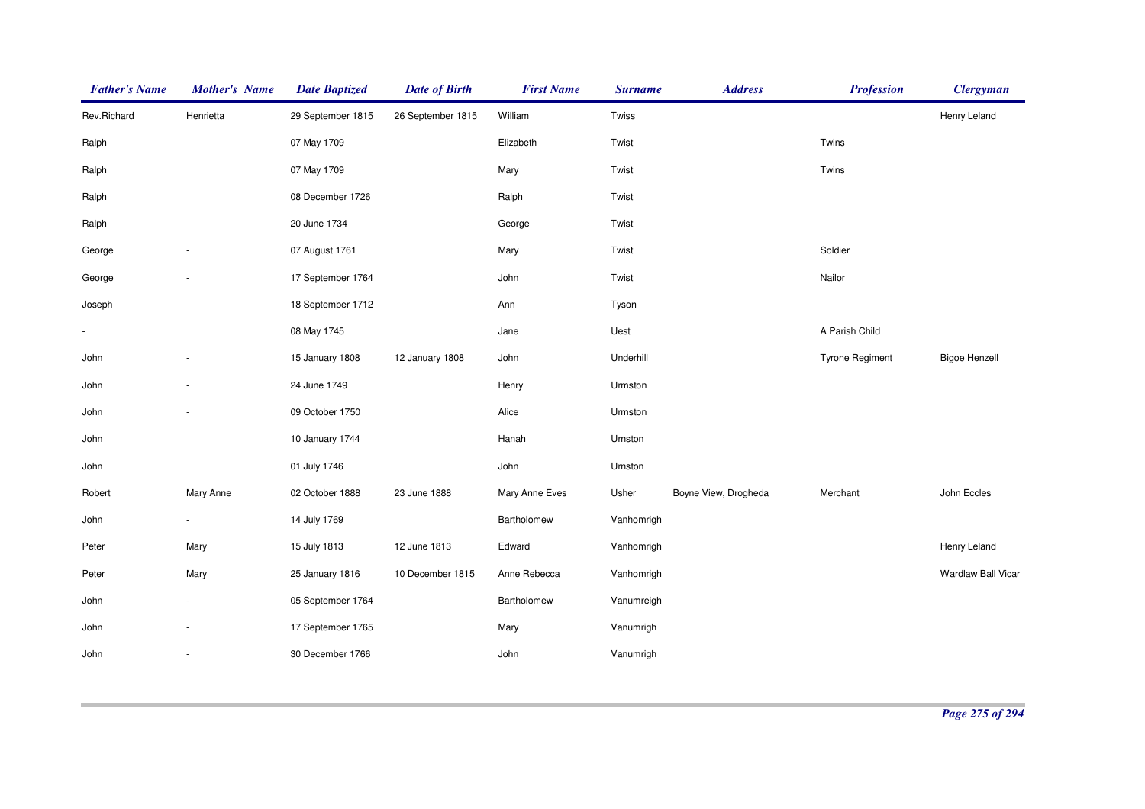| <b>Father's Name</b> | <b>Mother's Name</b> | <b>Date Baptized</b> | <b>Date of Birth</b> | <b>First Name</b> | <b>Surname</b> | <b>Address</b>       | <b>Profession</b>      | <b>Clergyman</b>     |
|----------------------|----------------------|----------------------|----------------------|-------------------|----------------|----------------------|------------------------|----------------------|
| Rev.Richard          | Henrietta            | 29 September 1815    | 26 September 1815    | William           | Twiss          |                      |                        | Henry Leland         |
| Ralph                |                      | 07 May 1709          |                      | Elizabeth         | Twist          |                      | Twins                  |                      |
| Ralph                |                      | 07 May 1709          |                      | Mary              | Twist          |                      | Twins                  |                      |
| Ralph                |                      | 08 December 1726     |                      | Ralph             | Twist          |                      |                        |                      |
| Ralph                |                      | 20 June 1734         |                      | George            | Twist          |                      |                        |                      |
| George               |                      | 07 August 1761       |                      | Mary              | Twist          |                      | Soldier                |                      |
| George               |                      | 17 September 1764    |                      | John              | Twist          |                      | Nailor                 |                      |
| Joseph               |                      | 18 September 1712    |                      | Ann               | Tyson          |                      |                        |                      |
|                      |                      | 08 May 1745          |                      | Jane              | Uest           |                      | A Parish Child         |                      |
| John                 |                      | 15 January 1808      | 12 January 1808      | John              | Underhill      |                      | <b>Tyrone Regiment</b> | <b>Bigoe Henzell</b> |
| John                 |                      | 24 June 1749         |                      | Henry             | Urmston        |                      |                        |                      |
| John                 |                      | 09 October 1750      |                      | Alice             | Urmston        |                      |                        |                      |
| John                 |                      | 10 January 1744      |                      | Hanah             | Urnston        |                      |                        |                      |
| John                 |                      | 01 July 1746         |                      | John              | Urnston        |                      |                        |                      |
| Robert               | Mary Anne            | 02 October 1888      | 23 June 1888         | Mary Anne Eves    | Usher          | Boyne View, Drogheda | Merchant               | John Eccles          |
| John                 | ÷.                   | 14 July 1769         |                      | Bartholomew       | Vanhomrigh     |                      |                        |                      |
| Peter                | Mary                 | 15 July 1813         | 12 June 1813         | Edward            | Vanhomrigh     |                      |                        | Henry Leland         |
| Peter                | Mary                 | 25 January 1816      | 10 December 1815     | Anne Rebecca      | Vanhomrigh     |                      |                        | Wardlaw Ball Vicar   |
| John                 |                      | 05 September 1764    |                      | Bartholomew       | Vanumreigh     |                      |                        |                      |
| John                 |                      | 17 September 1765    |                      | Mary              | Vanumrigh      |                      |                        |                      |
| John                 |                      | 30 December 1766     |                      | John              | Vanumrigh      |                      |                        |                      |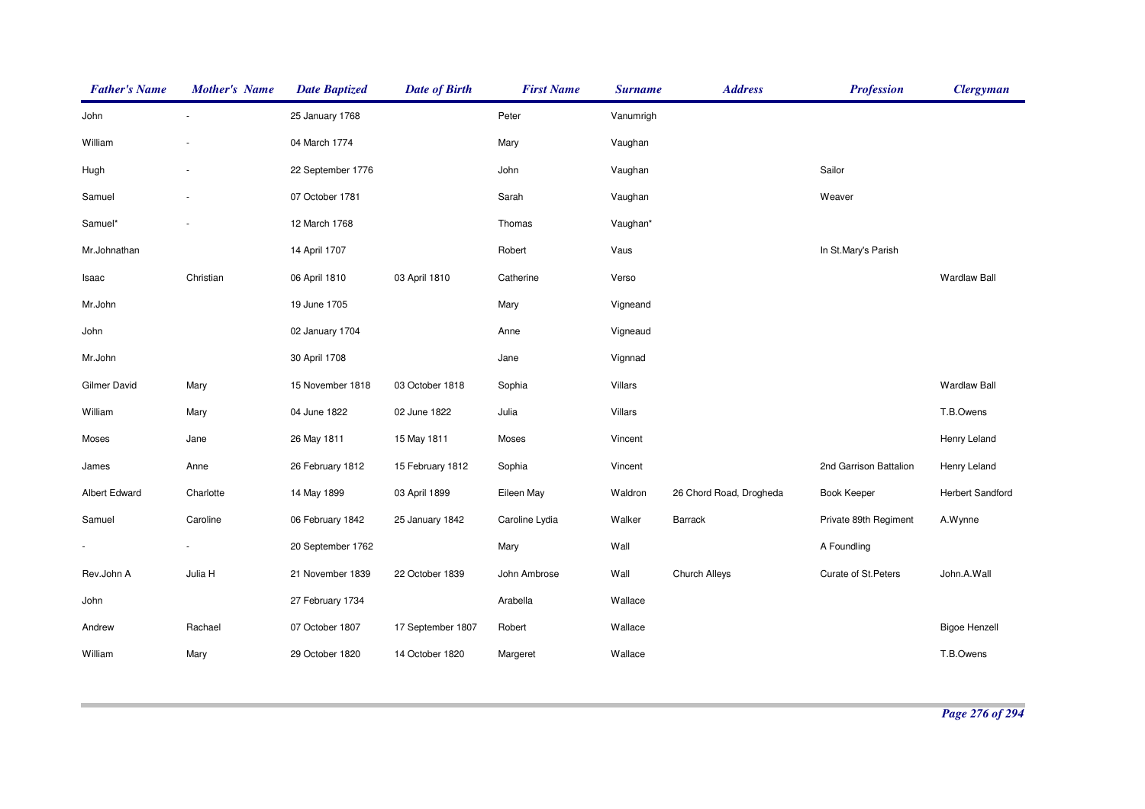| <b>Father's Name</b> | <b>Mother's Name</b> | <b>Date Baptized</b> | <b>Date of Birth</b> | <b>First Name</b> | <b>Surname</b> | <b>Address</b>          | <b>Profession</b>      | <b>Clergyman</b>        |
|----------------------|----------------------|----------------------|----------------------|-------------------|----------------|-------------------------|------------------------|-------------------------|
| John                 |                      | 25 January 1768      |                      | Peter             | Vanumrigh      |                         |                        |                         |
| William              |                      | 04 March 1774        |                      | Mary              | Vaughan        |                         |                        |                         |
| Hugh                 |                      | 22 September 1776    |                      | John              | Vaughan        |                         | Sailor                 |                         |
| Samuel               |                      | 07 October 1781      |                      | Sarah             | Vaughan        |                         | Weaver                 |                         |
| Samuel*              |                      | 12 March 1768        |                      | Thomas            | Vaughan*       |                         |                        |                         |
| Mr.Johnathan         |                      | 14 April 1707        |                      | Robert            | Vaus           |                         | In St.Mary's Parish    |                         |
| Isaac                | Christian            | 06 April 1810        | 03 April 1810        | Catherine         | Verso          |                         |                        | <b>Wardlaw Ball</b>     |
| Mr.John              |                      | 19 June 1705         |                      | Mary              | Vigneand       |                         |                        |                         |
| John                 |                      | 02 January 1704      |                      | Anne              | Vigneaud       |                         |                        |                         |
| Mr.John              |                      | 30 April 1708        |                      | Jane              | Vignnad        |                         |                        |                         |
| <b>Gilmer David</b>  | Mary                 | 15 November 1818     | 03 October 1818      | Sophia            | Villars        |                         |                        | <b>Wardlaw Ball</b>     |
| William              | Mary                 | 04 June 1822         | 02 June 1822         | Julia             | Villars        |                         |                        | T.B.Owens               |
| Moses                | Jane                 | 26 May 1811          | 15 May 1811          | Moses             | Vincent        |                         |                        | Henry Leland            |
| James                | Anne                 | 26 February 1812     | 15 February 1812     | Sophia            | Vincent        |                         | 2nd Garrison Battalion | Henry Leland            |
| Albert Edward        | Charlotte            | 14 May 1899          | 03 April 1899        | Eileen May        | Waldron        | 26 Chord Road, Drogheda | <b>Book Keeper</b>     | <b>Herbert Sandford</b> |
| Samuel               | Caroline             | 06 February 1842     | 25 January 1842      | Caroline Lydia    | Walker         | Barrack                 | Private 89th Regiment  | A.Wynne                 |
|                      |                      | 20 September 1762    |                      | Mary              | Wall           |                         | A Foundling            |                         |
| Rev.John A           | Julia H              | 21 November 1839     | 22 October 1839      | John Ambrose      | Wall           | Church Alleys           | Curate of St. Peters   | John.A.Wall             |
| John                 |                      | 27 February 1734     |                      | Arabella          | Wallace        |                         |                        |                         |
| Andrew               | Rachael              | 07 October 1807      | 17 September 1807    | Robert            | Wallace        |                         |                        | <b>Bigoe Henzell</b>    |
| William              | Mary                 | 29 October 1820      | 14 October 1820      | Margeret          | Wallace        |                         |                        | T.B.Owens               |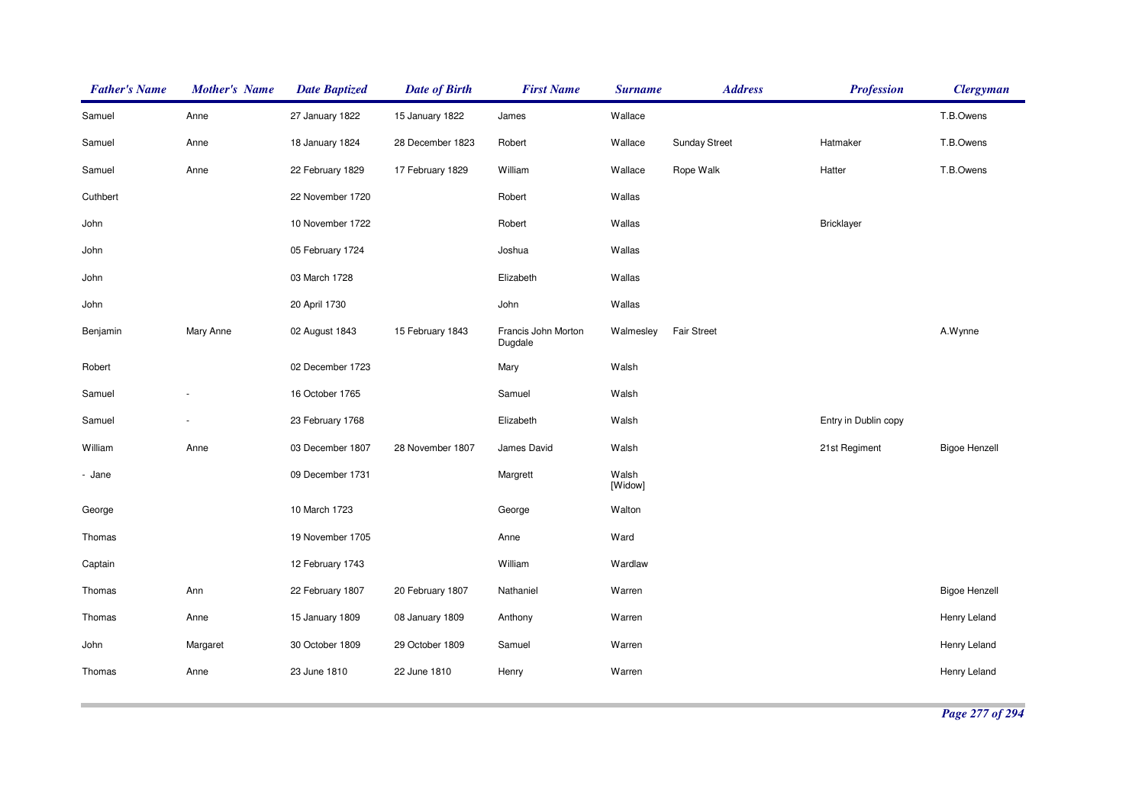| <b>Father's Name</b> | <b>Mother's Name</b> | <b>Date Baptized</b> | <b>Date of Birth</b> | <b>First Name</b>              | <b>Surname</b>   | <b>Address</b>       | <b>Profession</b>    | <b>Clergyman</b>     |
|----------------------|----------------------|----------------------|----------------------|--------------------------------|------------------|----------------------|----------------------|----------------------|
| Samuel               | Anne                 | 27 January 1822      | 15 January 1822      | James                          | Wallace          |                      |                      | T.B.Owens            |
| Samuel               | Anne                 | 18 January 1824      | 28 December 1823     | Robert                         | Wallace          | <b>Sunday Street</b> | Hatmaker             | T.B.Owens            |
| Samuel               | Anne                 | 22 February 1829     | 17 February 1829     | William                        | Wallace          | Rope Walk            | Hatter               | T.B.Owens            |
| Cuthbert             |                      | 22 November 1720     |                      | Robert                         | Wallas           |                      |                      |                      |
| John                 |                      | 10 November 1722     |                      | Robert                         | Wallas           |                      | Bricklayer           |                      |
| John                 |                      | 05 February 1724     |                      | Joshua                         | Wallas           |                      |                      |                      |
| John                 |                      | 03 March 1728        |                      | Elizabeth                      | Wallas           |                      |                      |                      |
| John                 |                      | 20 April 1730        |                      | John                           | Wallas           |                      |                      |                      |
| Benjamin             | Mary Anne            | 02 August 1843       | 15 February 1843     | Francis John Morton<br>Dugdale | Walmesley        | <b>Fair Street</b>   |                      | A.Wynne              |
| Robert               |                      | 02 December 1723     |                      | Mary                           | Walsh            |                      |                      |                      |
| Samuel               |                      | 16 October 1765      |                      | Samuel                         | Walsh            |                      |                      |                      |
| Samuel               |                      | 23 February 1768     |                      | Elizabeth                      | Walsh            |                      | Entry in Dublin copy |                      |
| William              | Anne                 | 03 December 1807     | 28 November 1807     | James David                    | Walsh            |                      | 21st Regiment        | <b>Bigoe Henzell</b> |
| - Jane               |                      | 09 December 1731     |                      | Margrett                       | Walsh<br>[Widow] |                      |                      |                      |
| George               |                      | 10 March 1723        |                      | George                         | Walton           |                      |                      |                      |
| Thomas               |                      | 19 November 1705     |                      | Anne                           | Ward             |                      |                      |                      |
| Captain              |                      | 12 February 1743     |                      | William                        | Wardlaw          |                      |                      |                      |
| Thomas               | Ann                  | 22 February 1807     | 20 February 1807     | Nathaniel                      | Warren           |                      |                      | <b>Bigoe Henzell</b> |
| Thomas               | Anne                 | 15 January 1809      | 08 January 1809      | Anthony                        | Warren           |                      |                      | Henry Leland         |
| John                 | Margaret             | 30 October 1809      | 29 October 1809      | Samuel                         | Warren           |                      |                      | Henry Leland         |
| Thomas               | Anne                 | 23 June 1810         | 22 June 1810         | Henry                          | Warren           |                      |                      | Henry Leland         |
|                      |                      |                      |                      |                                |                  |                      |                      |                      |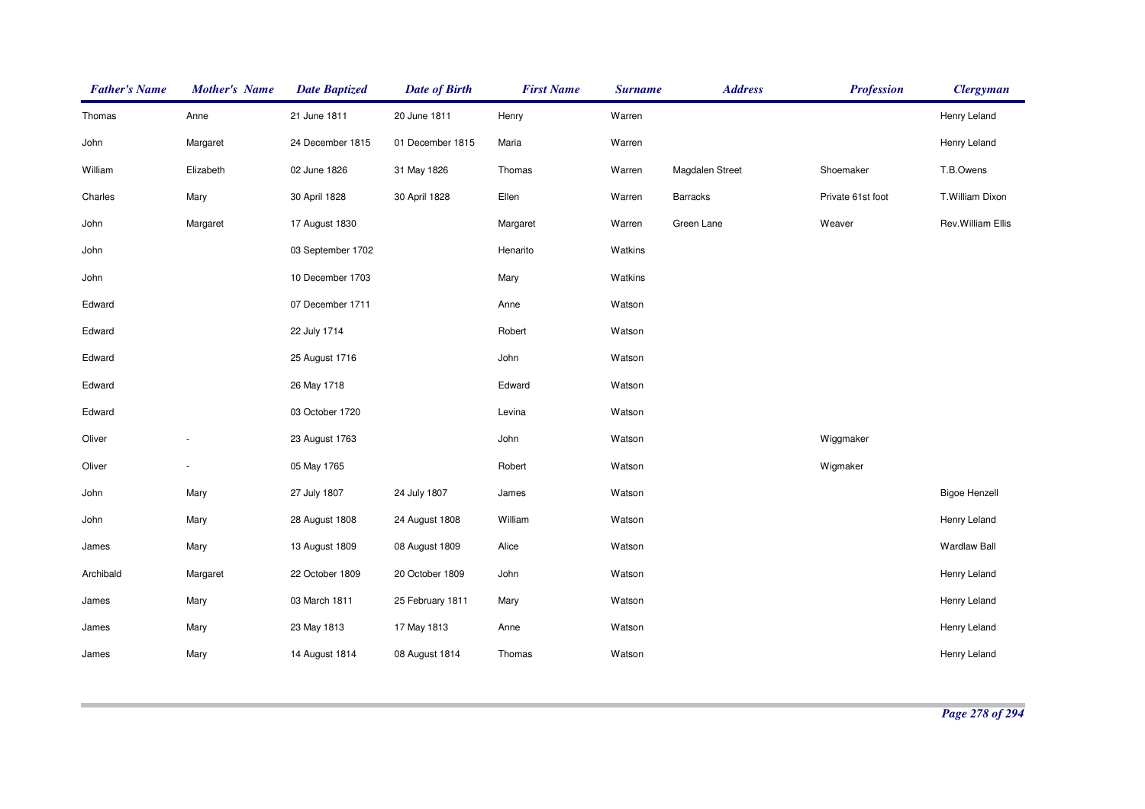| <b>Father's Name</b> | <b>Mother's Name</b> | <b>Date Baptized</b> | <b>Date of Birth</b> | <b>First Name</b> | <b>Surname</b> | <b>Address</b>  | <b>Profession</b> | <b>Clergyman</b>     |
|----------------------|----------------------|----------------------|----------------------|-------------------|----------------|-----------------|-------------------|----------------------|
| Thomas               | Anne                 | 21 June 1811         | 20 June 1811         | Henry             | Warren         |                 |                   | Henry Leland         |
| John                 | Margaret             | 24 December 1815     | 01 December 1815     | Maria             | Warren         |                 |                   | Henry Leland         |
| William              | Elizabeth            | 02 June 1826         | 31 May 1826          | Thomas            | Warren         | Magdalen Street | Shoemaker         | T.B.Owens            |
| Charles              | Mary                 | 30 April 1828        | 30 April 1828        | Ellen             | Warren         | <b>Barracks</b> | Private 61st foot | T.William Dixon      |
| John                 | Margaret             | 17 August 1830       |                      | Margaret          | Warren         | Green Lane      | Weaver            | Rev. William Ellis   |
| John                 |                      | 03 September 1702    |                      | Henarito          | Watkins        |                 |                   |                      |
| John                 |                      | 10 December 1703     |                      | Mary              | Watkins        |                 |                   |                      |
| Edward               |                      | 07 December 1711     |                      | Anne              | Watson         |                 |                   |                      |
| Edward               |                      | 22 July 1714         |                      | Robert            | Watson         |                 |                   |                      |
| Edward               |                      | 25 August 1716       |                      | John              | Watson         |                 |                   |                      |
| Edward               |                      | 26 May 1718          |                      | Edward            | Watson         |                 |                   |                      |
| Edward               |                      | 03 October 1720      |                      | Levina            | Watson         |                 |                   |                      |
| Oliver               |                      | 23 August 1763       |                      | John              | Watson         |                 | Wiggmaker         |                      |
| Oliver               |                      | 05 May 1765          |                      | Robert            | Watson         |                 | Wigmaker          |                      |
| John                 | Mary                 | 27 July 1807         | 24 July 1807         | James             | Watson         |                 |                   | <b>Bigoe Henzell</b> |
| John                 | Mary                 | 28 August 1808       | 24 August 1808       | William           | Watson         |                 |                   | Henry Leland         |
| James                | Mary                 | 13 August 1809       | 08 August 1809       | Alice             | Watson         |                 |                   | <b>Wardlaw Ball</b>  |
| Archibald            | Margaret             | 22 October 1809      | 20 October 1809      | John              | Watson         |                 |                   | Henry Leland         |
| James                | Mary                 | 03 March 1811        | 25 February 1811     | Mary              | Watson         |                 |                   | Henry Leland         |
| James                | Mary                 | 23 May 1813          | 17 May 1813          | Anne              | Watson         |                 |                   | Henry Leland         |
| James                | Mary                 | 14 August 1814       | 08 August 1814       | Thomas            | Watson         |                 |                   | Henry Leland         |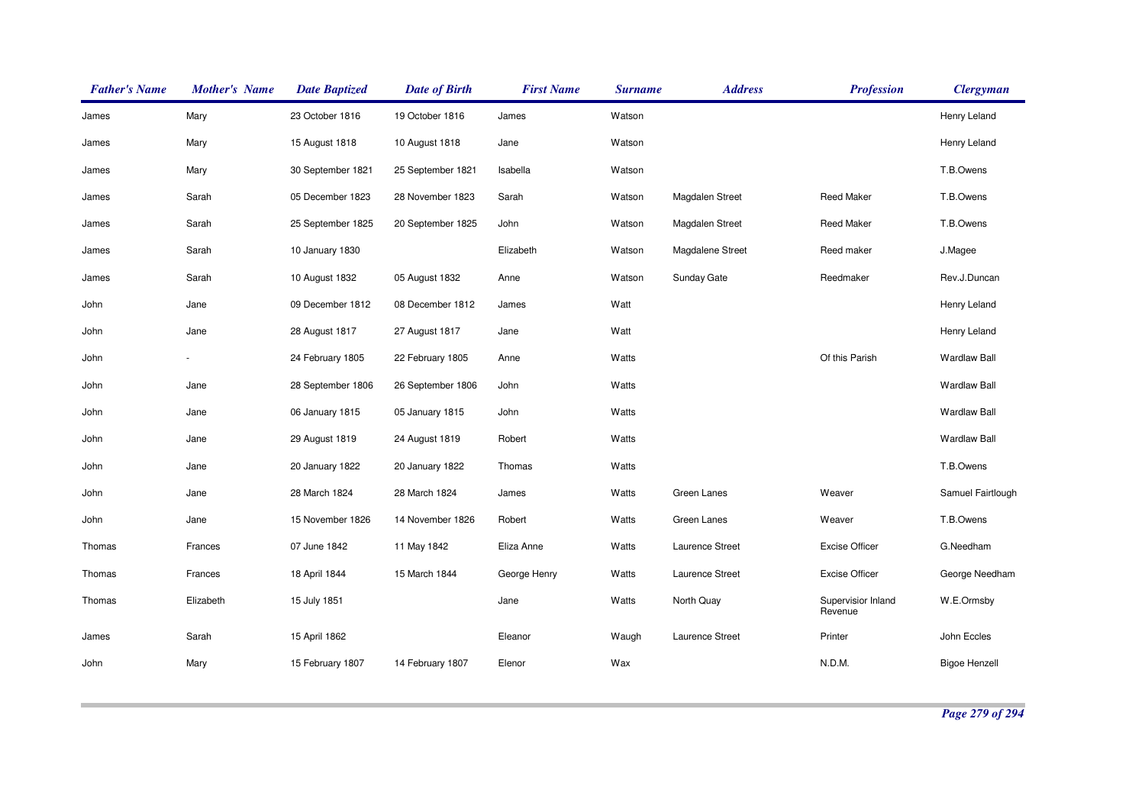| <b>Father's Name</b> | <b>Mother's Name</b> | <b>Date Baptized</b> | <b>Date of Birth</b> | <b>First Name</b> | <b>Surname</b> | <b>Address</b>   | <b>Profession</b>             | <b>Clergyman</b>     |
|----------------------|----------------------|----------------------|----------------------|-------------------|----------------|------------------|-------------------------------|----------------------|
| James                | Mary                 | 23 October 1816      | 19 October 1816      | James             | Watson         |                  |                               | Henry Leland         |
| James                | Mary                 | 15 August 1818       | 10 August 1818       | Jane              | Watson         |                  |                               | Henry Leland         |
| James                | Mary                 | 30 September 1821    | 25 September 1821    | Isabella          | Watson         |                  |                               | T.B.Owens            |
| James                | Sarah                | 05 December 1823     | 28 November 1823     | Sarah             | Watson         | Magdalen Street  | <b>Reed Maker</b>             | T.B.Owens            |
| James                | Sarah                | 25 September 1825    | 20 September 1825    | John              | Watson         | Magdalen Street  | <b>Reed Maker</b>             | T.B.Owens            |
| James                | Sarah                | 10 January 1830      |                      | Elizabeth         | Watson         | Magdalene Street | Reed maker                    | J.Magee              |
| James                | Sarah                | 10 August 1832       | 05 August 1832       | Anne              | Watson         | Sunday Gate      | Reedmaker                     | Rev.J.Duncan         |
| John                 | Jane                 | 09 December 1812     | 08 December 1812     | James             | Watt           |                  |                               | Henry Leland         |
| John                 | Jane                 | 28 August 1817       | 27 August 1817       | Jane              | Watt           |                  |                               | Henry Leland         |
| John                 |                      | 24 February 1805     | 22 February 1805     | Anne              | Watts          |                  | Of this Parish                | <b>Wardlaw Ball</b>  |
| John                 | Jane                 | 28 September 1806    | 26 September 1806    | John              | Watts          |                  |                               | <b>Wardlaw Ball</b>  |
| John                 | Jane                 | 06 January 1815      | 05 January 1815      | John              | Watts          |                  |                               | <b>Wardlaw Ball</b>  |
| John                 | Jane                 | 29 August 1819       | 24 August 1819       | Robert            | Watts          |                  |                               | <b>Wardlaw Ball</b>  |
| John                 | Jane                 | 20 January 1822      | 20 January 1822      | Thomas            | Watts          |                  |                               | T.B.Owens            |
| John                 | Jane                 | 28 March 1824        | 28 March 1824        | James             | Watts          | Green Lanes      | Weaver                        | Samuel Fairtlough    |
| John                 | Jane                 | 15 November 1826     | 14 November 1826     | Robert            | Watts          | Green Lanes      | Weaver                        | T.B.Owens            |
| Thomas               | Frances              | 07 June 1842         | 11 May 1842          | Eliza Anne        | Watts          | Laurence Street  | <b>Excise Officer</b>         | G.Needham            |
| Thomas               | Frances              | 18 April 1844        | 15 March 1844        | George Henry      | Watts          | Laurence Street  | <b>Excise Officer</b>         | George Needham       |
| Thomas               | Elizabeth            | 15 July 1851         |                      | Jane              | Watts          | North Quay       | Supervisior Inland<br>Revenue | W.E.Ormsby           |
| James                | Sarah                | 15 April 1862        |                      | Eleanor           | Waugh          | Laurence Street  | Printer                       | John Eccles          |
| John                 | Mary                 | 15 February 1807     | 14 February 1807     | Elenor            | Wax            |                  | N.D.M.                        | <b>Bigoe Henzell</b> |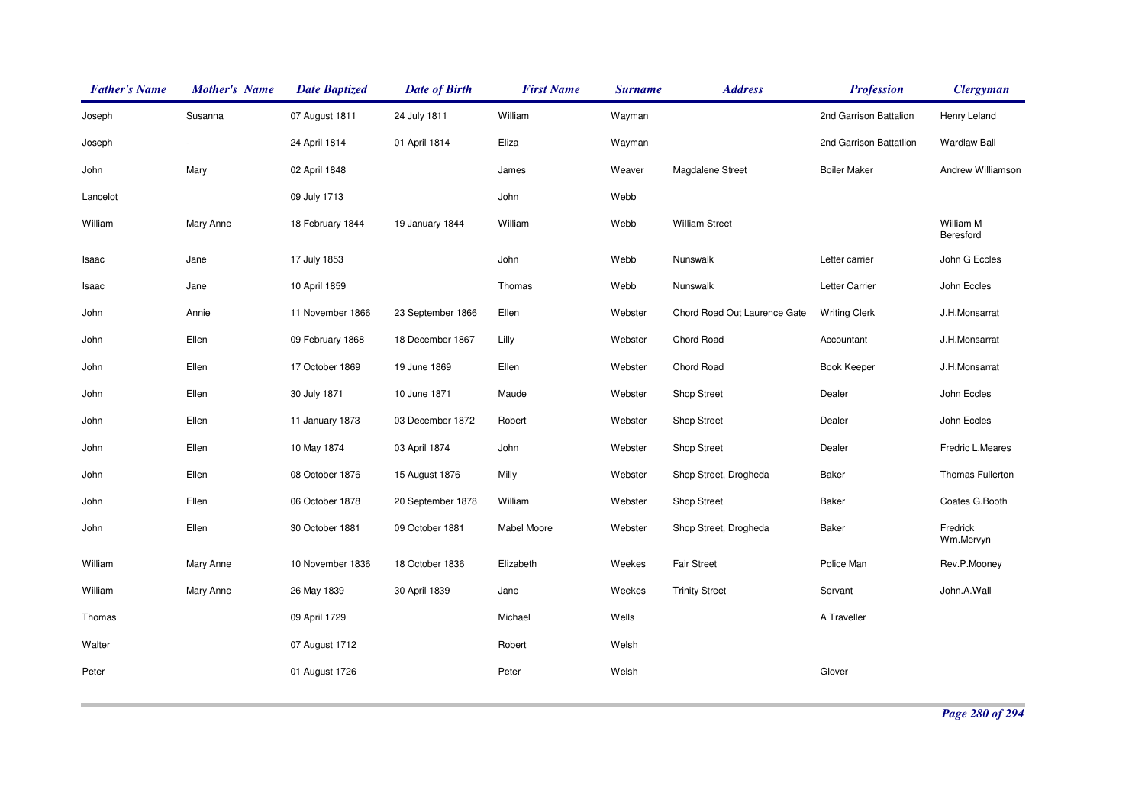| <b>Father's Name</b> | <b>Mother's Name</b> | <b>Date Baptized</b> | <b>Date of Birth</b> | <b>First Name</b>  | <b>Surname</b> | <b>Address</b>               | <b>Profession</b>       | <b>Clergyman</b>       |
|----------------------|----------------------|----------------------|----------------------|--------------------|----------------|------------------------------|-------------------------|------------------------|
| Joseph               | Susanna              | 07 August 1811       | 24 July 1811         | William            | Wayman         |                              | 2nd Garrison Battalion  | Henry Leland           |
| Joseph               |                      | 24 April 1814        | 01 April 1814        | Eliza              | Wayman         |                              | 2nd Garrison Battatlion | <b>Wardlaw Ball</b>    |
| John                 | Mary                 | 02 April 1848        |                      | James              | Weaver         | Magdalene Street             | <b>Boiler Maker</b>     | Andrew Williamson      |
| Lancelot             |                      | 09 July 1713         |                      | John               | Webb           |                              |                         |                        |
| William              | Mary Anne            | 18 February 1844     | 19 January 1844      | William            | Webb           | <b>William Street</b>        |                         | William M<br>Beresford |
| Isaac                | Jane                 | 17 July 1853         |                      | John               | Webb           | Nunswalk                     | Letter carrier          | John G Eccles          |
| Isaac                | Jane                 | 10 April 1859        |                      | Thomas             | Webb           | Nunswalk                     | Letter Carrier          | John Eccles            |
| John                 | Annie                | 11 November 1866     | 23 September 1866    | Ellen              | Webster        | Chord Road Out Laurence Gate | <b>Writing Clerk</b>    | J.H.Monsarrat          |
| John                 | Ellen                | 09 February 1868     | 18 December 1867     | Lilly              | Webster        | Chord Road                   | Accountant              | J.H.Monsarrat          |
| John                 | Ellen                | 17 October 1869      | 19 June 1869         | Ellen              | Webster        | Chord Road                   | Book Keeper             | J.H.Monsarrat          |
| John                 | Ellen                | 30 July 1871         | 10 June 1871         | Maude              | Webster        | <b>Shop Street</b>           | Dealer                  | John Eccles            |
| John                 | Ellen                | 11 January 1873      | 03 December 1872     | Robert             | Webster        | <b>Shop Street</b>           | Dealer                  | John Eccles            |
| John                 | Ellen                | 10 May 1874          | 03 April 1874        | John               | Webster        | <b>Shop Street</b>           | Dealer                  | Fredric L.Meares       |
| John                 | Ellen                | 08 October 1876      | 15 August 1876       | Milly              | Webster        | Shop Street, Drogheda        | Baker                   | Thomas Fullerton       |
| John                 | Ellen                | 06 October 1878      | 20 September 1878    | William            | Webster        | Shop Street                  | <b>Baker</b>            | Coates G.Booth         |
| John                 | Ellen                | 30 October 1881      | 09 October 1881      | <b>Mabel Moore</b> | Webster        | Shop Street, Drogheda        | <b>Baker</b>            | Fredrick<br>Wm.Mervyn  |
| William              | Mary Anne            | 10 November 1836     | 18 October 1836      | Elizabeth          | Weekes         | <b>Fair Street</b>           | Police Man              | Rev.P.Mooney           |
| William              | Mary Anne            | 26 May 1839          | 30 April 1839        | Jane               | Weekes         | <b>Trinity Street</b>        | Servant                 | John.A.Wall            |
| Thomas               |                      | 09 April 1729        |                      | Michael            | Wells          |                              | A Traveller             |                        |
| Walter               |                      | 07 August 1712       |                      | Robert             | Welsh          |                              |                         |                        |
| Peter                |                      | 01 August 1726       |                      | Peter              | Welsh          |                              | Glover                  |                        |
|                      |                      |                      |                      |                    |                |                              |                         |                        |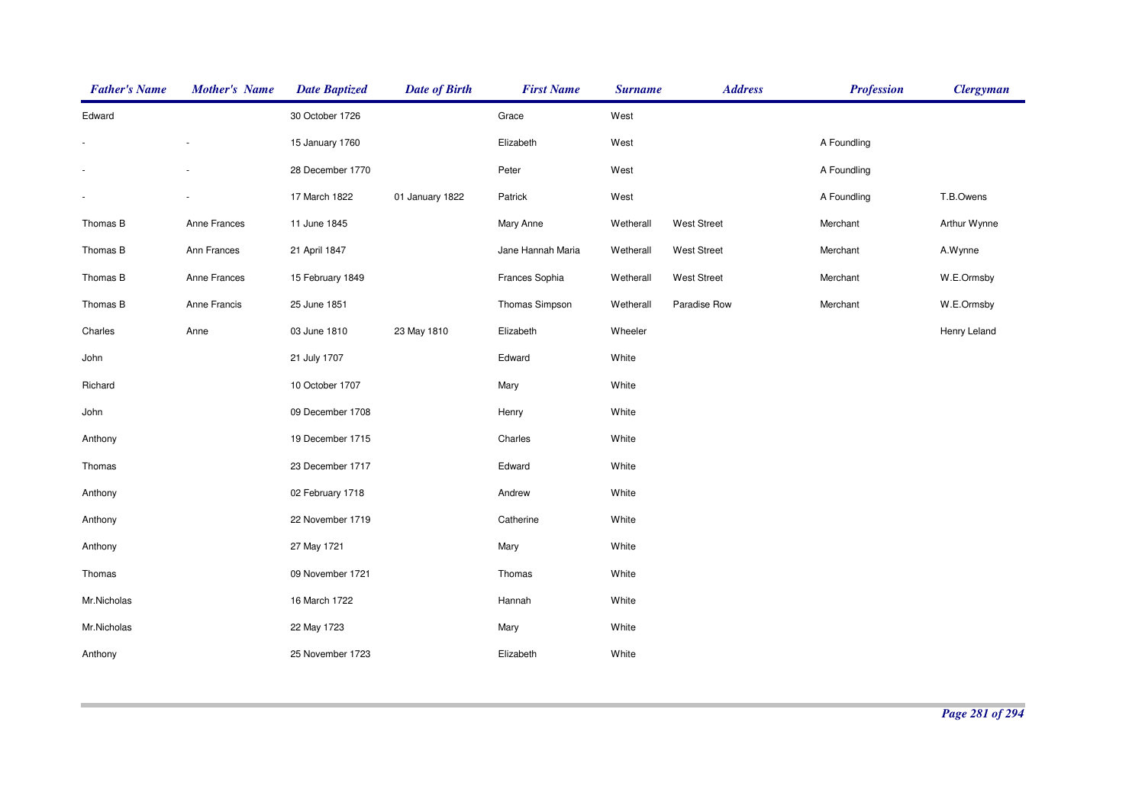| <b>Father's Name</b>     | <b>Mother's Name</b> | <b>Date Baptized</b> | <b>Date of Birth</b> | <b>First Name</b> | <b>Surname</b> | <b>Address</b>     | <b>Profession</b> | <b>Clergyman</b> |
|--------------------------|----------------------|----------------------|----------------------|-------------------|----------------|--------------------|-------------------|------------------|
| Edward                   |                      | 30 October 1726      |                      | Grace             | West           |                    |                   |                  |
|                          |                      | 15 January 1760      |                      | Elizabeth         | West           |                    | A Foundling       |                  |
|                          |                      | 28 December 1770     |                      | Peter             | West           |                    | A Foundling       |                  |
| $\overline{\phantom{a}}$ |                      | 17 March 1822        | 01 January 1822      | Patrick           | West           |                    | A Foundling       | T.B.Owens        |
| Thomas B                 | Anne Frances         | 11 June 1845         |                      | Mary Anne         | Wetherall      | <b>West Street</b> | Merchant          | Arthur Wynne     |
| Thomas B                 | Ann Frances          | 21 April 1847        |                      | Jane Hannah Maria | Wetherall      | <b>West Street</b> | Merchant          | A.Wynne          |
| Thomas B                 | Anne Frances         | 15 February 1849     |                      | Frances Sophia    | Wetherall      | <b>West Street</b> | Merchant          | W.E.Ormsby       |
| Thomas B                 | Anne Francis         | 25 June 1851         |                      | Thomas Simpson    | Wetherall      | Paradise Row       | Merchant          | W.E.Ormsby       |
| Charles                  | Anne                 | 03 June 1810         | 23 May 1810          | Elizabeth         | Wheeler        |                    |                   | Henry Leland     |
| John                     |                      | 21 July 1707         |                      | Edward            | White          |                    |                   |                  |
| Richard                  |                      | 10 October 1707      |                      | Mary              | White          |                    |                   |                  |
| John                     |                      | 09 December 1708     |                      | Henry             | White          |                    |                   |                  |
| Anthony                  |                      | 19 December 1715     |                      | Charles           | White          |                    |                   |                  |
| Thomas                   |                      | 23 December 1717     |                      | Edward            | White          |                    |                   |                  |
| Anthony                  |                      | 02 February 1718     |                      | Andrew            | White          |                    |                   |                  |
| Anthony                  |                      | 22 November 1719     |                      | Catherine         | White          |                    |                   |                  |
| Anthony                  |                      | 27 May 1721          |                      | Mary              | White          |                    |                   |                  |
| Thomas                   |                      | 09 November 1721     |                      | Thomas            | White          |                    |                   |                  |
| Mr.Nicholas              |                      | 16 March 1722        |                      | Hannah            | White          |                    |                   |                  |
| Mr.Nicholas              |                      | 22 May 1723          |                      | Mary              | White          |                    |                   |                  |
| Anthony                  |                      | 25 November 1723     |                      | Elizabeth         | White          |                    |                   |                  |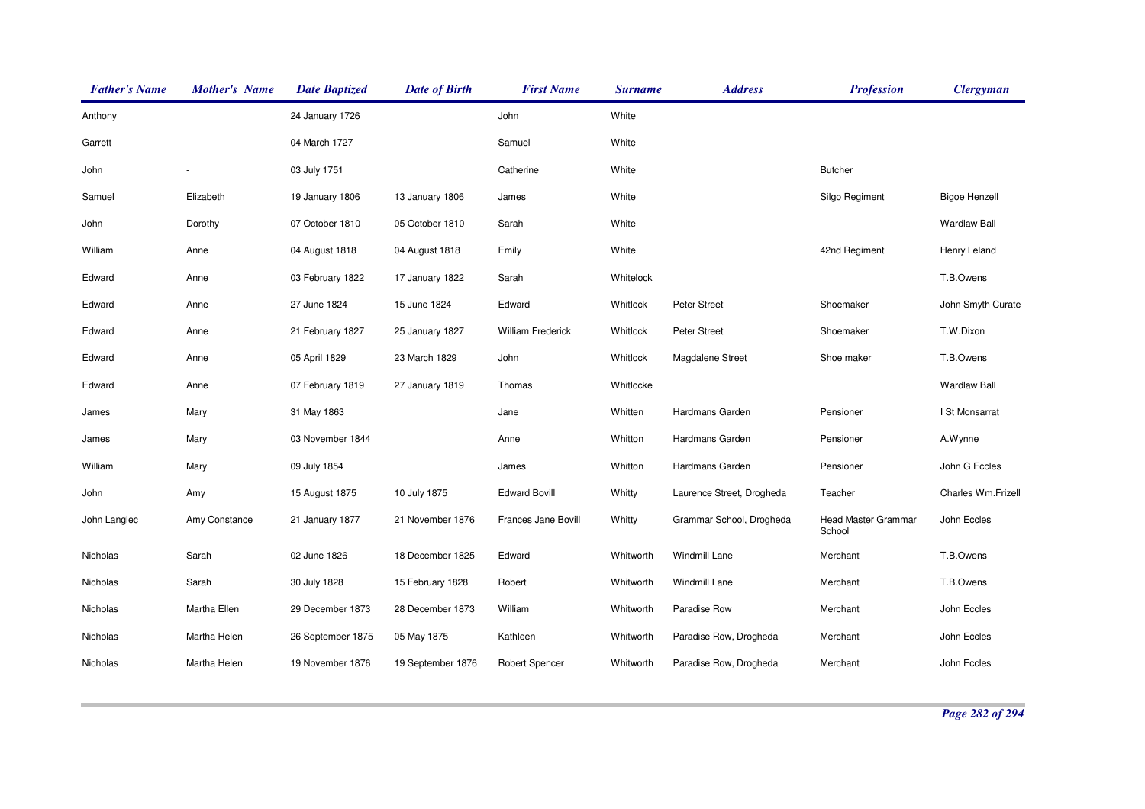| <b>Father's Name</b> | <b>Mother's Name</b> | <b>Date Baptized</b> | <b>Date of Birth</b> | <b>First Name</b>        | <b>Surname</b> | <b>Address</b>            | <b>Profession</b>                    | <b>Clergyman</b>     |
|----------------------|----------------------|----------------------|----------------------|--------------------------|----------------|---------------------------|--------------------------------------|----------------------|
| Anthony              |                      | 24 January 1726      |                      | John                     | White          |                           |                                      |                      |
| Garrett              |                      | 04 March 1727        |                      | Samuel                   | White          |                           |                                      |                      |
| John                 |                      | 03 July 1751         |                      | Catherine                | White          |                           | <b>Butcher</b>                       |                      |
| Samuel               | Elizabeth            | 19 January 1806      | 13 January 1806      | James                    | White          |                           | Silgo Regiment                       | <b>Bigoe Henzell</b> |
| John                 | Dorothy              | 07 October 1810      | 05 October 1810      | Sarah                    | White          |                           |                                      | <b>Wardlaw Ball</b>  |
| William              | Anne                 | 04 August 1818       | 04 August 1818       | Emily                    | White          |                           | 42nd Regiment                        | Henry Leland         |
| Edward               | Anne                 | 03 February 1822     | 17 January 1822      | Sarah                    | Whitelock      |                           |                                      | T.B.Owens            |
| Edward               | Anne                 | 27 June 1824         | 15 June 1824         | Edward                   | Whitlock       | <b>Peter Street</b>       | Shoemaker                            | John Smyth Curate    |
| Edward               | Anne                 | 21 February 1827     | 25 January 1827      | <b>William Frederick</b> | Whitlock       | <b>Peter Street</b>       | Shoemaker                            | T.W.Dixon            |
| Edward               | Anne                 | 05 April 1829        | 23 March 1829        | John                     | Whitlock       | Magdalene Street          | Shoe maker                           | T.B.Owens            |
| Edward               | Anne                 | 07 February 1819     | 27 January 1819      | Thomas                   | Whitlocke      |                           |                                      | <b>Wardlaw Ball</b>  |
| James                | Mary                 | 31 May 1863          |                      | Jane                     | Whitten        | Hardmans Garden           | Pensioner                            | I St Monsarrat       |
| James                | Mary                 | 03 November 1844     |                      | Anne                     | Whitton        | Hardmans Garden           | Pensioner                            | A.Wynne              |
| William              | Mary                 | 09 July 1854         |                      | James                    | Whitton        | Hardmans Garden           | Pensioner                            | John G Eccles        |
| John                 | Amy                  | 15 August 1875       | 10 July 1875         | <b>Edward Bovill</b>     | Whitty         | Laurence Street, Drogheda | Teacher                              | Charles Wm.Frizell   |
| John Langlec         | Amy Constance        | 21 January 1877      | 21 November 1876     | Frances Jane Bovill      | Whitty         | Grammar School, Drogheda  | <b>Head Master Grammar</b><br>School | John Eccles          |
| Nicholas             | Sarah                | 02 June 1826         | 18 December 1825     | Edward                   | Whitworth      | Windmill Lane             | Merchant                             | T.B.Owens            |
| Nicholas             | Sarah                | 30 July 1828         | 15 February 1828     | Robert                   | Whitworth      | Windmill Lane             | Merchant                             | T.B.Owens            |
| Nicholas             | Martha Ellen         | 29 December 1873     | 28 December 1873     | William                  | Whitworth      | Paradise Row              | Merchant                             | John Eccles          |
| Nicholas             | Martha Helen         | 26 September 1875    | 05 May 1875          | Kathleen                 | Whitworth      | Paradise Row, Drogheda    | Merchant                             | John Eccles          |
| Nicholas             | Martha Helen         | 19 November 1876     | 19 September 1876    | <b>Robert Spencer</b>    | Whitworth      | Paradise Row, Drogheda    | Merchant                             | John Eccles          |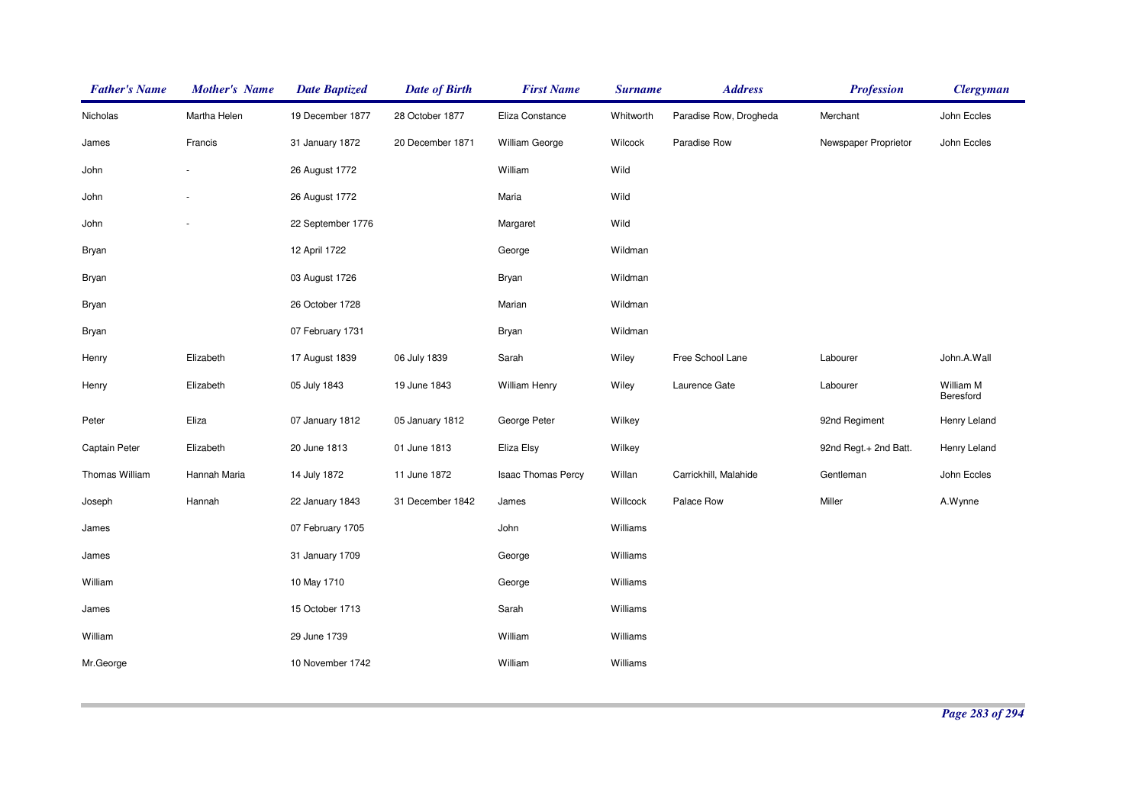| <b>Father's Name</b> | <b>Mother's Name</b> | <b>Date Baptized</b> | <b>Date of Birth</b> | <b>First Name</b>     | <b>Surname</b> | <b>Address</b>         | <b>Profession</b>     | <b>Clergyman</b>       |
|----------------------|----------------------|----------------------|----------------------|-----------------------|----------------|------------------------|-----------------------|------------------------|
| Nicholas             | Martha Helen         | 19 December 1877     | 28 October 1877      | Eliza Constance       | Whitworth      | Paradise Row, Drogheda | Merchant              | John Eccles            |
| James                | Francis              | 31 January 1872      | 20 December 1871     | <b>William George</b> | Wilcock        | Paradise Row           | Newspaper Proprietor  | John Eccles            |
| John                 |                      | 26 August 1772       |                      | William               | Wild           |                        |                       |                        |
| John                 |                      | 26 August 1772       |                      | Maria                 | Wild           |                        |                       |                        |
| John                 |                      | 22 September 1776    |                      | Margaret              | Wild           |                        |                       |                        |
| Bryan                |                      | 12 April 1722        |                      | George                | Wildman        |                        |                       |                        |
| Bryan                |                      | 03 August 1726       |                      | Bryan                 | Wildman        |                        |                       |                        |
| Bryan                |                      | 26 October 1728      |                      | Marian                | Wildman        |                        |                       |                        |
| Bryan                |                      | 07 February 1731     |                      | Bryan                 | Wildman        |                        |                       |                        |
| Henry                | Elizabeth            | 17 August 1839       | 06 July 1839         | Sarah                 | Wiley          | Free School Lane       | Labourer              | John.A.Wall            |
| Henry                | Elizabeth            | 05 July 1843         | 19 June 1843         | <b>William Henry</b>  | Wiley          | Laurence Gate          | Labourer              | William M<br>Beresford |
| Peter                | Eliza                | 07 January 1812      | 05 January 1812      | George Peter          | Wilkey         |                        | 92nd Regiment         | Henry Leland           |
| Captain Peter        | Elizabeth            | 20 June 1813         | 01 June 1813         | Eliza Elsy            | Wilkey         |                        | 92nd Regt.+ 2nd Batt. | Henry Leland           |
| Thomas William       | Hannah Maria         | 14 July 1872         | 11 June 1872         | Isaac Thomas Percy    | Willan         | Carrickhill, Malahide  | Gentleman             | John Eccles            |
| Joseph               | Hannah               | 22 January 1843      | 31 December 1842     | James                 | Willcock       | Palace Row             | Miller                | A.Wynne                |
| James                |                      | 07 February 1705     |                      | John                  | Williams       |                        |                       |                        |
| James                |                      | 31 January 1709      |                      | George                | Williams       |                        |                       |                        |
| William              |                      | 10 May 1710          |                      | George                | Williams       |                        |                       |                        |
| James                |                      | 15 October 1713      |                      | Sarah                 | Williams       |                        |                       |                        |
| William              |                      | 29 June 1739         |                      | William               | Williams       |                        |                       |                        |
| Mr.George            |                      | 10 November 1742     |                      | William               | Williams       |                        |                       |                        |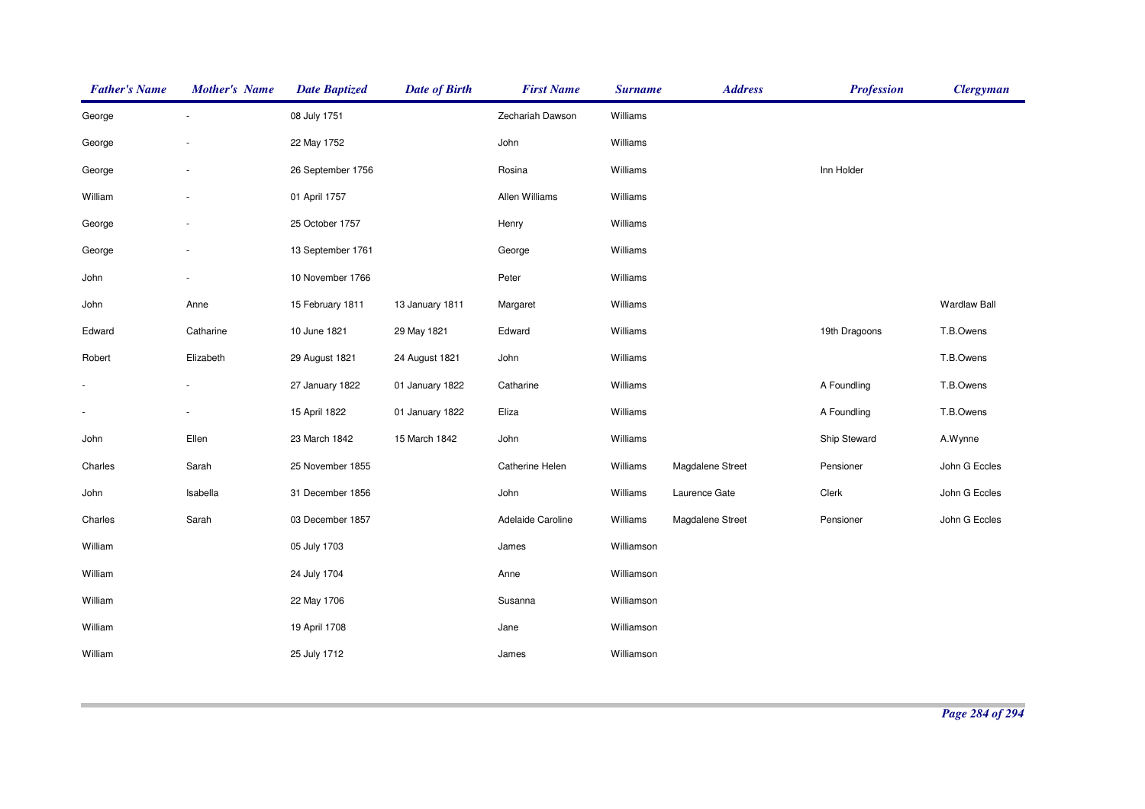| <b>Father's Name</b>     | <b>Mother's Name</b> | <b>Date Baptized</b> | <b>Date of Birth</b> | <b>First Name</b> | <b>Surname</b> | <b>Address</b>   | <b>Profession</b> | <b>Clergyman</b>    |
|--------------------------|----------------------|----------------------|----------------------|-------------------|----------------|------------------|-------------------|---------------------|
| George                   |                      | 08 July 1751         |                      | Zechariah Dawson  | Williams       |                  |                   |                     |
| George                   |                      | 22 May 1752          |                      | John              | Williams       |                  |                   |                     |
| George                   |                      | 26 September 1756    |                      | Rosina            | Williams       |                  | Inn Holder        |                     |
| William                  |                      | 01 April 1757        |                      | Allen Williams    | Williams       |                  |                   |                     |
| George                   |                      | 25 October 1757      |                      | Henry             | Williams       |                  |                   |                     |
| George                   |                      | 13 September 1761    |                      | George            | Williams       |                  |                   |                     |
| John                     |                      | 10 November 1766     |                      | Peter             | Williams       |                  |                   |                     |
| John                     | Anne                 | 15 February 1811     | 13 January 1811      | Margaret          | Williams       |                  |                   | <b>Wardlaw Ball</b> |
| Edward                   | Catharine            | 10 June 1821         | 29 May 1821          | Edward            | Williams       |                  | 19th Dragoons     | T.B.Owens           |
| Robert                   | Elizabeth            | 29 August 1821       | 24 August 1821       | John              | Williams       |                  |                   | T.B.Owens           |
|                          |                      | 27 January 1822      | 01 January 1822      | Catharine         | Williams       |                  | A Foundling       | T.B.Owens           |
| $\overline{\phantom{a}}$ |                      | 15 April 1822        | 01 January 1822      | Eliza             | Williams       |                  | A Foundling       | T.B.Owens           |
| John                     | Ellen                | 23 March 1842        | 15 March 1842        | John              | Williams       |                  | Ship Steward      | A.Wynne             |
| Charles                  | Sarah                | 25 November 1855     |                      | Catherine Helen   | Williams       | Magdalene Street | Pensioner         | John G Eccles       |
| John                     | Isabella             | 31 December 1856     |                      | John              | Williams       | Laurence Gate    | Clerk             | John G Eccles       |
| Charles                  | Sarah                | 03 December 1857     |                      | Adelaide Caroline | Williams       | Magdalene Street | Pensioner         | John G Eccles       |
| William                  |                      | 05 July 1703         |                      | James             | Williamson     |                  |                   |                     |
| William                  |                      | 24 July 1704         |                      | Anne              | Williamson     |                  |                   |                     |
| William                  |                      | 22 May 1706          |                      | Susanna           | Williamson     |                  |                   |                     |
| William                  |                      | 19 April 1708        |                      | Jane              | Williamson     |                  |                   |                     |
| William                  |                      | 25 July 1712         |                      | James             | Williamson     |                  |                   |                     |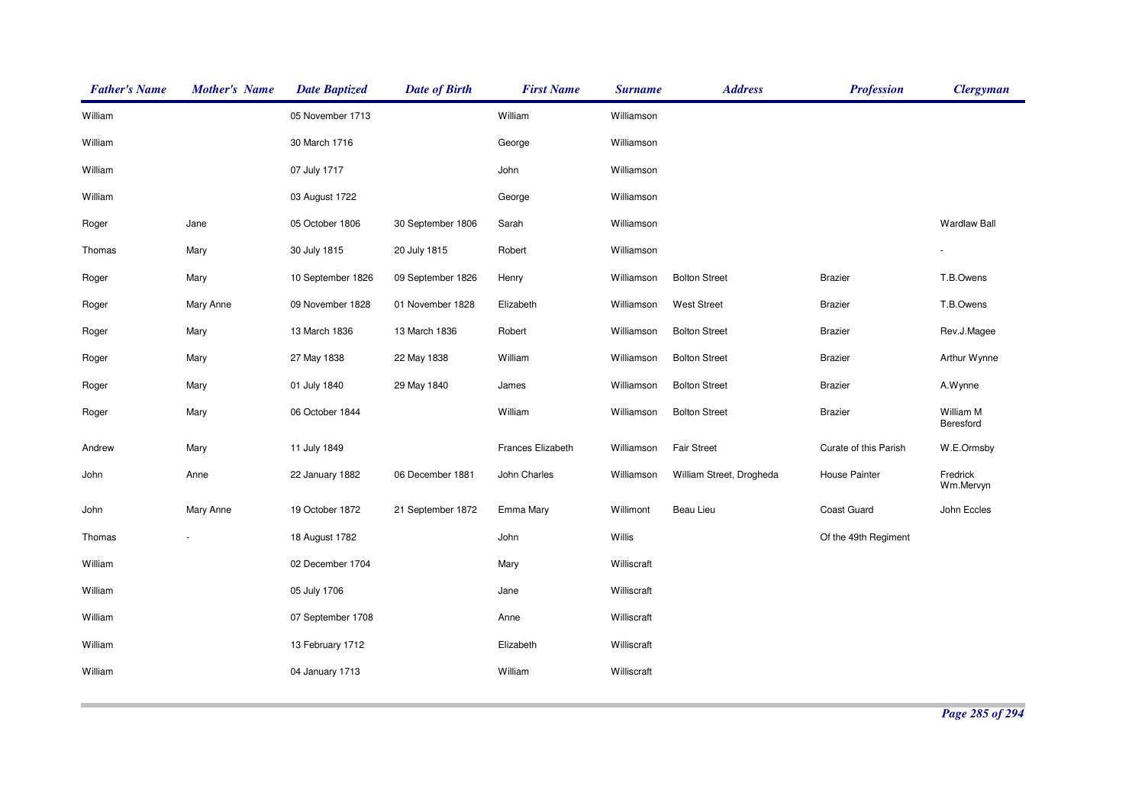| <b>Father's Name</b> | <b>Mother's Name</b> | <b>Date Baptized</b> | <b>Date of Birth</b> | <b>First Name</b> | <b>Surname</b> | <b>Address</b>           | <b>Profession</b>     | <b>Clergyman</b>       |
|----------------------|----------------------|----------------------|----------------------|-------------------|----------------|--------------------------|-----------------------|------------------------|
| William              |                      | 05 November 1713     |                      | William           | Williamson     |                          |                       |                        |
| William              |                      | 30 March 1716        |                      | George            | Williamson     |                          |                       |                        |
| William              |                      | 07 July 1717         |                      | John              | Williamson     |                          |                       |                        |
| William              |                      | 03 August 1722       |                      | George            | Williamson     |                          |                       |                        |
| Roger                | Jane                 | 05 October 1806      | 30 September 1806    | Sarah             | Williamson     |                          |                       | <b>Wardlaw Ball</b>    |
| Thomas               | Mary                 | 30 July 1815         | 20 July 1815         | Robert            | Williamson     |                          |                       |                        |
| Roger                | Mary                 | 10 September 1826    | 09 September 1826    | Henry             | Williamson     | <b>Bolton Street</b>     | <b>Brazier</b>        | T.B.Owens              |
| Roger                | Mary Anne            | 09 November 1828     | 01 November 1828     | Elizabeth         | Williamson     | <b>West Street</b>       | <b>Brazier</b>        | T.B.Owens              |
| Roger                | Mary                 | 13 March 1836        | 13 March 1836        | Robert            | Williamson     | <b>Bolton Street</b>     | <b>Brazier</b>        | Rev.J.Magee            |
| Roger                | Mary                 | 27 May 1838          | 22 May 1838          | William           | Williamson     | <b>Bolton Street</b>     | <b>Brazier</b>        | Arthur Wynne           |
| Roger                | Mary                 | 01 July 1840         | 29 May 1840          | James             | Williamson     | <b>Bolton Street</b>     | <b>Brazier</b>        | A.Wynne                |
| Roger                | Mary                 | 06 October 1844      |                      | William           | Williamson     | <b>Bolton Street</b>     | <b>Brazier</b>        | William M<br>Beresford |
| Andrew               | Mary                 | 11 July 1849         |                      | Frances Elizabeth | Williamson     | <b>Fair Street</b>       | Curate of this Parish | W.E.Ormsby             |
| John                 | Anne                 | 22 January 1882      | 06 December 1881     | John Charles      | Williamson     | William Street, Drogheda | House Painter         | Fredrick<br>Wm.Mervyn  |
| John                 | Mary Anne            | 19 October 1872      | 21 September 1872    | Emma Mary         | Willimont      | Beau Lieu                | Coast Guard           | John Eccles            |
| Thomas               |                      | 18 August 1782       |                      | John              | Willis         |                          | Of the 49th Regiment  |                        |
| William              |                      | 02 December 1704     |                      | Mary              | Williscraft    |                          |                       |                        |
| William              |                      | 05 July 1706         |                      | Jane              | Williscraft    |                          |                       |                        |
| William              |                      | 07 September 1708    |                      | Anne              | Williscraft    |                          |                       |                        |
| William              |                      | 13 February 1712     |                      | Elizabeth         | Williscraft    |                          |                       |                        |
| William              |                      | 04 January 1713      |                      | William           | Williscraft    |                          |                       |                        |
|                      |                      |                      |                      |                   |                |                          |                       |                        |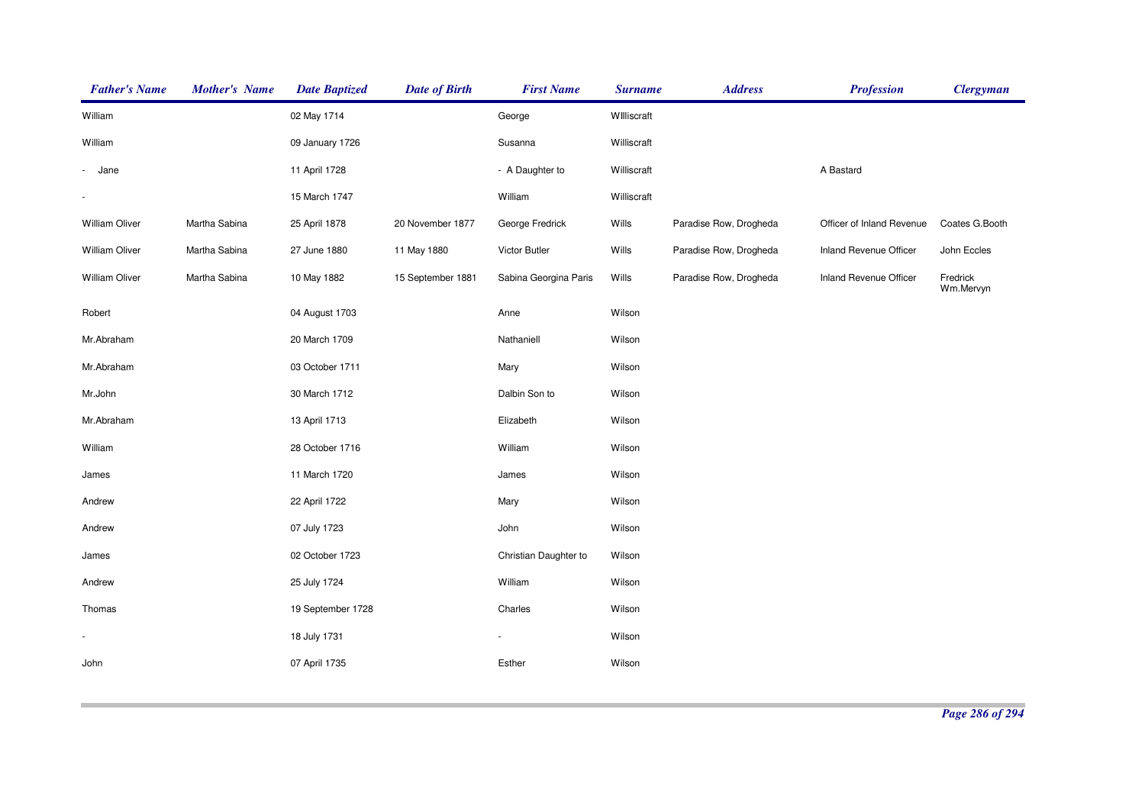| <b>Father's Name</b>  | <b>Mother's Name</b> | <b>Date Baptized</b> | <b>Date of Birth</b> | <b>First Name</b>     | <b>Surname</b> | <b>Address</b>         | <b>Profession</b>         | <b>Clergyman</b>      |
|-----------------------|----------------------|----------------------|----------------------|-----------------------|----------------|------------------------|---------------------------|-----------------------|
| William               |                      | 02 May 1714          |                      | George                | Williscraft    |                        |                           |                       |
| William               |                      | 09 January 1726      |                      | Susanna               | Williscraft    |                        |                           |                       |
| - Jane                |                      | 11 April 1728        |                      | - A Daughter to       | Williscraft    |                        | A Bastard                 |                       |
|                       |                      | 15 March 1747        |                      | William               | Williscraft    |                        |                           |                       |
| William Oliver        | Martha Sabina        | 25 April 1878        | 20 November 1877     | George Fredrick       | Wills          | Paradise Row, Drogheda | Officer of Inland Revenue | Coates G.Booth        |
| William Oliver        | Martha Sabina        | 27 June 1880         | 11 May 1880          | Victor Butler         | Wills          | Paradise Row, Drogheda | Inland Revenue Officer    | John Eccles           |
| <b>William Oliver</b> | Martha Sabina        | 10 May 1882          | 15 September 1881    | Sabina Georgina Paris | Wills          | Paradise Row, Drogheda | Inland Revenue Officer    | Fredrick<br>Wm.Mervyn |
| Robert                |                      | 04 August 1703       |                      | Anne                  | Wilson         |                        |                           |                       |
| Mr.Abraham            |                      | 20 March 1709        |                      | Nathaniell            | Wilson         |                        |                           |                       |
| Mr.Abraham            |                      | 03 October 1711      |                      | Mary                  | Wilson         |                        |                           |                       |
| Mr.John               |                      | 30 March 1712        |                      | Dalbin Son to         | Wilson         |                        |                           |                       |
| Mr.Abraham            |                      | 13 April 1713        |                      | Elizabeth             | Wilson         |                        |                           |                       |
| William               |                      | 28 October 1716      |                      | William               | Wilson         |                        |                           |                       |
| James                 |                      | 11 March 1720        |                      | James                 | Wilson         |                        |                           |                       |
| Andrew                |                      | 22 April 1722        |                      | Mary                  | Wilson         |                        |                           |                       |
| Andrew                |                      | 07 July 1723         |                      | John                  | Wilson         |                        |                           |                       |
| James                 |                      | 02 October 1723      |                      | Christian Daughter to | Wilson         |                        |                           |                       |
| Andrew                |                      | 25 July 1724         |                      | William               | Wilson         |                        |                           |                       |
| Thomas                |                      | 19 September 1728    |                      | Charles               | Wilson         |                        |                           |                       |
|                       |                      | 18 July 1731         |                      |                       | Wilson         |                        |                           |                       |
| John                  |                      | 07 April 1735        |                      | Esther                | Wilson         |                        |                           |                       |
|                       |                      |                      |                      |                       |                |                        |                           |                       |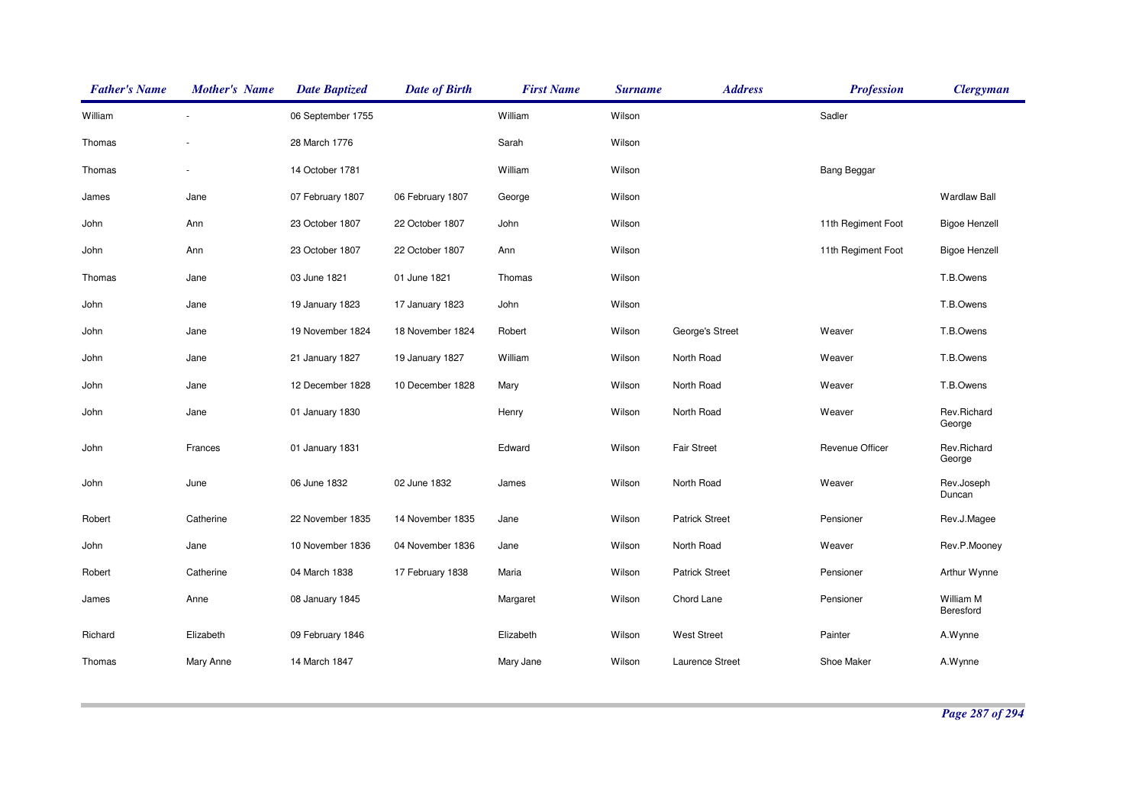| <b>Father's Name</b> | <b>Mother's Name</b> | <b>Date Baptized</b> | <b>Date of Birth</b> | <b>First Name</b> | <b>Surname</b> | <b>Address</b>        | <b>Profession</b>  | <b>Clergyman</b>       |
|----------------------|----------------------|----------------------|----------------------|-------------------|----------------|-----------------------|--------------------|------------------------|
| William              |                      | 06 September 1755    |                      | William           | Wilson         |                       | Sadler             |                        |
| Thomas               |                      | 28 March 1776        |                      | Sarah             | Wilson         |                       |                    |                        |
| Thomas               |                      | 14 October 1781      |                      | William           | Wilson         |                       | <b>Bang Beggar</b> |                        |
| James                | Jane                 | 07 February 1807     | 06 February 1807     | George            | Wilson         |                       |                    | <b>Wardlaw Ball</b>    |
| John                 | Ann                  | 23 October 1807      | 22 October 1807      | John              | Wilson         |                       | 11th Regiment Foot | <b>Bigoe Henzell</b>   |
| John                 | Ann                  | 23 October 1807      | 22 October 1807      | Ann               | Wilson         |                       | 11th Regiment Foot | <b>Bigoe Henzell</b>   |
| Thomas               | Jane                 | 03 June 1821         | 01 June 1821         | Thomas            | Wilson         |                       |                    | T.B.Owens              |
| John                 | Jane                 | 19 January 1823      | 17 January 1823      | John              | Wilson         |                       |                    | T.B.Owens              |
| John                 | Jane                 | 19 November 1824     | 18 November 1824     | Robert            | Wilson         | George's Street       | Weaver             | T.B.Owens              |
| John                 | Jane                 | 21 January 1827      | 19 January 1827      | William           | Wilson         | North Road            | Weaver             | T.B.Owens              |
| John                 | Jane                 | 12 December 1828     | 10 December 1828     | Mary              | Wilson         | North Road            | Weaver             | T.B.Owens              |
| John                 | Jane                 | 01 January 1830      |                      | Henry             | Wilson         | North Road            | Weaver             | Rev.Richard<br>George  |
| John                 | Frances              | 01 January 1831      |                      | Edward            | Wilson         | <b>Fair Street</b>    | Revenue Officer    | Rev.Richard<br>George  |
| John                 | June                 | 06 June 1832         | 02 June 1832         | James             | Wilson         | North Road            | Weaver             | Rev.Joseph<br>Duncan   |
| Robert               | Catherine            | 22 November 1835     | 14 November 1835     | Jane              | Wilson         | <b>Patrick Street</b> | Pensioner          | Rev.J.Magee            |
| John                 | Jane                 | 10 November 1836     | 04 November 1836     | Jane              | Wilson         | North Road            | Weaver             | Rev.P.Mooney           |
| Robert               | Catherine            | 04 March 1838        | 17 February 1838     | Maria             | Wilson         | <b>Patrick Street</b> | Pensioner          | Arthur Wynne           |
| James                | Anne                 | 08 January 1845      |                      | Margaret          | Wilson         | Chord Lane            | Pensioner          | William M<br>Beresford |
| Richard              | Elizabeth            | 09 February 1846     |                      | Elizabeth         | Wilson         | <b>West Street</b>    | Painter            | A.Wynne                |
| Thomas               | Mary Anne            | 14 March 1847        |                      | Mary Jane         | Wilson         | Laurence Street       | Shoe Maker         | A.Wynne                |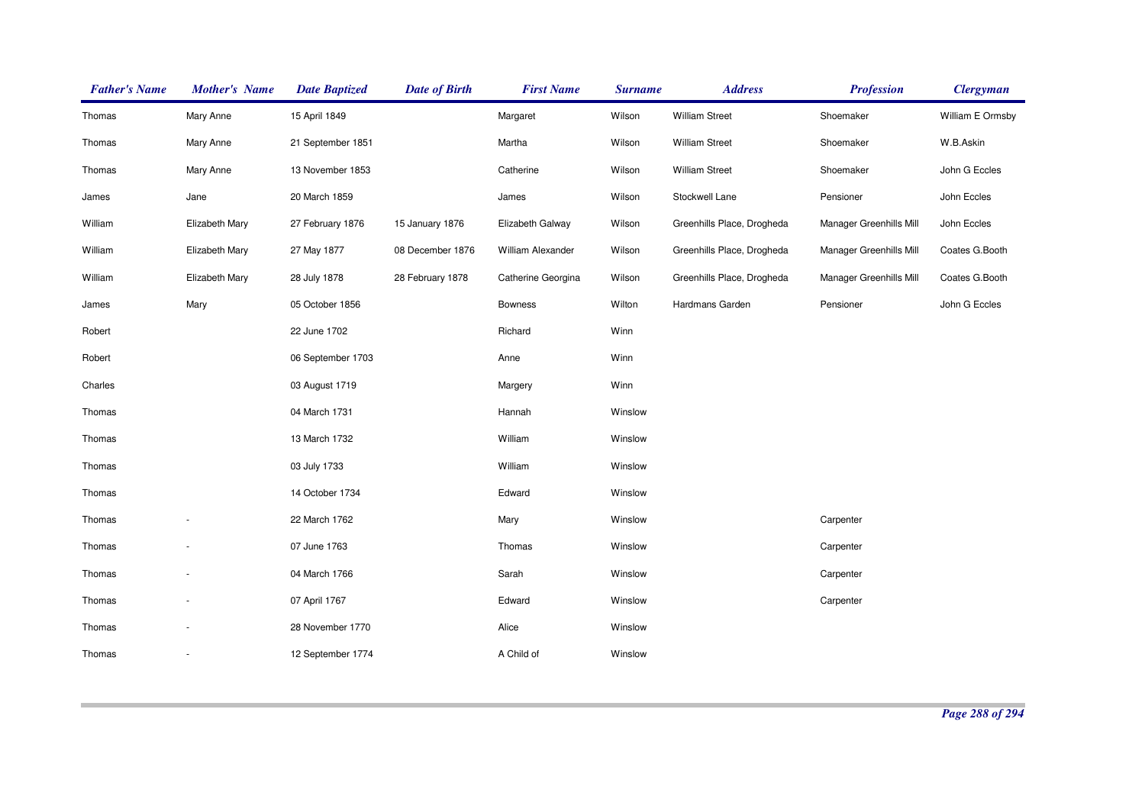| <b>Father's Name</b> | <b>Mother's Name</b> | <b>Date Baptized</b> | <b>Date of Birth</b> | <b>First Name</b>        | <b>Surname</b> | <b>Address</b>             | <b>Profession</b>              | <b>Clergyman</b> |
|----------------------|----------------------|----------------------|----------------------|--------------------------|----------------|----------------------------|--------------------------------|------------------|
| Thomas               | Mary Anne            | 15 April 1849        |                      | Margaret                 | Wilson         | <b>William Street</b>      | Shoemaker                      | William E Ormsby |
| Thomas               | Mary Anne            | 21 September 1851    |                      | Martha                   | Wilson         | <b>William Street</b>      | Shoemaker                      | W.B.Askin        |
| Thomas               | Mary Anne            | 13 November 1853     |                      | Catherine                | Wilson         | William Street             | Shoemaker                      | John G Eccles    |
| James                | Jane                 | 20 March 1859        |                      | James                    | Wilson         | Stockwell Lane             | Pensioner                      | John Eccles      |
| William              | Elizabeth Mary       | 27 February 1876     | 15 January 1876      | Elizabeth Galway         | Wilson         | Greenhills Place, Drogheda | Manager Greenhills Mill        | John Eccles      |
| William              | Elizabeth Mary       | 27 May 1877          | 08 December 1876     | <b>William Alexander</b> | Wilson         | Greenhills Place, Drogheda | <b>Manager Greenhills Mill</b> | Coates G.Booth   |
| William              | Elizabeth Mary       | 28 July 1878         | 28 February 1878     | Catherine Georgina       | Wilson         | Greenhills Place, Drogheda | Manager Greenhills Mill        | Coates G.Booth   |
| James                | Mary                 | 05 October 1856      |                      | <b>Bowness</b>           | Wilton         | Hardmans Garden            | Pensioner                      | John G Eccles    |
| Robert               |                      | 22 June 1702         |                      | Richard                  | Winn           |                            |                                |                  |
| Robert               |                      | 06 September 1703    |                      | Anne                     | Winn           |                            |                                |                  |
| Charles              |                      | 03 August 1719       |                      | Margery                  | Winn           |                            |                                |                  |
| Thomas               |                      | 04 March 1731        |                      | Hannah                   | Winslow        |                            |                                |                  |
| Thomas               |                      | 13 March 1732        |                      | William                  | Winslow        |                            |                                |                  |
| Thomas               |                      | 03 July 1733         |                      | William                  | Winslow        |                            |                                |                  |
| Thomas               |                      | 14 October 1734      |                      | Edward                   | Winslow        |                            |                                |                  |
| Thomas               |                      | 22 March 1762        |                      | Mary                     | Winslow        |                            | Carpenter                      |                  |
| Thomas               |                      | 07 June 1763         |                      | Thomas                   | Winslow        |                            | Carpenter                      |                  |
| Thomas               |                      | 04 March 1766        |                      | Sarah                    | Winslow        |                            | Carpenter                      |                  |
| Thomas               |                      | 07 April 1767        |                      | Edward                   | Winslow        |                            | Carpenter                      |                  |
| Thomas               |                      | 28 November 1770     |                      | Alice                    | Winslow        |                            |                                |                  |
| Thomas               | ٠                    | 12 September 1774    |                      | A Child of               | Winslow        |                            |                                |                  |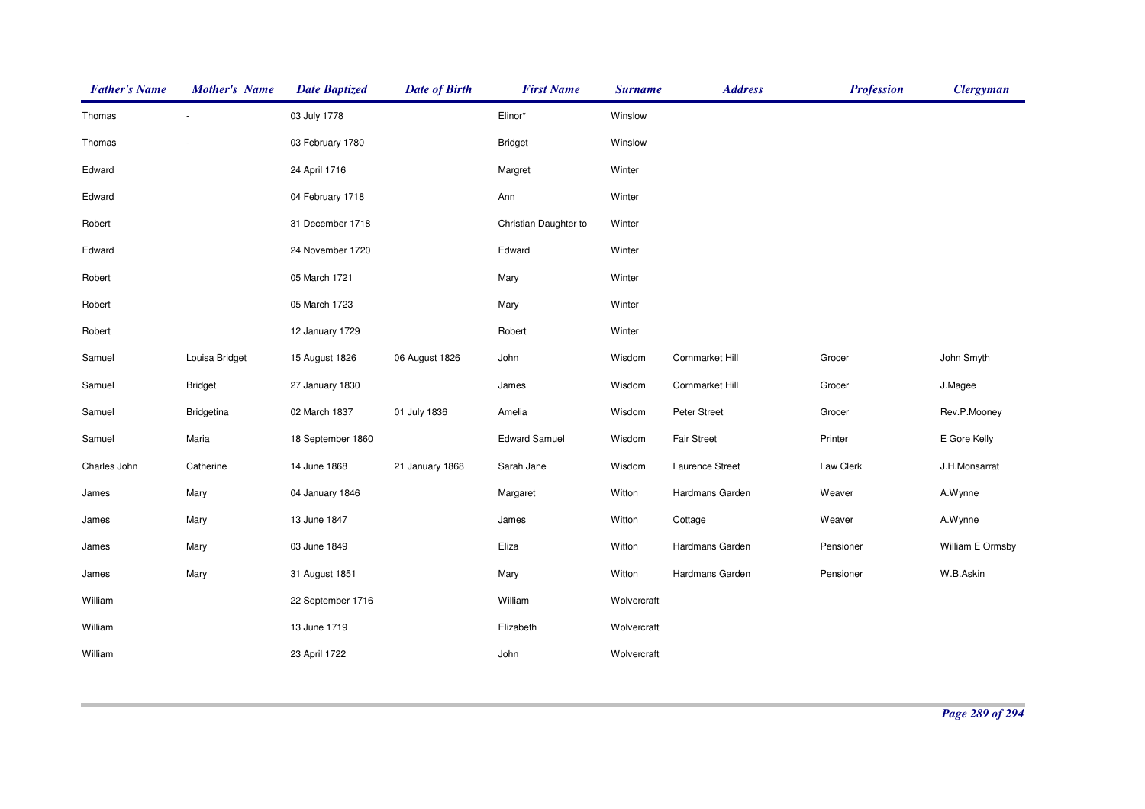| <b>Father's Name</b> | <b>Mother's Name</b> | <b>Date Baptized</b> | <b>Date of Birth</b> | <b>First Name</b>     | <b>Surname</b> | <b>Address</b>     | <b>Profession</b> | <b>Clergyman</b> |
|----------------------|----------------------|----------------------|----------------------|-----------------------|----------------|--------------------|-------------------|------------------|
| Thomas               |                      | 03 July 1778         |                      | Elinor*               | Winslow        |                    |                   |                  |
| Thomas               |                      | 03 February 1780     |                      | <b>Bridget</b>        | Winslow        |                    |                   |                  |
| Edward               |                      | 24 April 1716        |                      | Margret               | Winter         |                    |                   |                  |
| Edward               |                      | 04 February 1718     |                      | Ann                   | Winter         |                    |                   |                  |
| Robert               |                      | 31 December 1718     |                      | Christian Daughter to | Winter         |                    |                   |                  |
| Edward               |                      | 24 November 1720     |                      | Edward                | Winter         |                    |                   |                  |
| Robert               |                      | 05 March 1721        |                      | Mary                  | Winter         |                    |                   |                  |
| Robert               |                      | 05 March 1723        |                      | Mary                  | Winter         |                    |                   |                  |
| Robert               |                      | 12 January 1729      |                      | Robert                | Winter         |                    |                   |                  |
| Samuel               | Louisa Bridget       | 15 August 1826       | 06 August 1826       | John                  | Wisdom         | Cornmarket Hill    | Grocer            | John Smyth       |
| Samuel               | <b>Bridget</b>       | 27 January 1830      |                      | James                 | Wisdom         | Cornmarket Hill    | Grocer            | J.Magee          |
| Samuel               | Bridgetina           | 02 March 1837        | 01 July 1836         | Amelia                | Wisdom         | Peter Street       | Grocer            | Rev.P.Mooney     |
| Samuel               | Maria                | 18 September 1860    |                      | <b>Edward Samuel</b>  | Wisdom         | <b>Fair Street</b> | Printer           | E Gore Kelly     |
| Charles John         | Catherine            | 14 June 1868         | 21 January 1868      | Sarah Jane            | Wisdom         | Laurence Street    | Law Clerk         | J.H.Monsarrat    |
| James                | Mary                 | 04 January 1846      |                      | Margaret              | Witton         | Hardmans Garden    | Weaver            | A.Wynne          |
| James                | Mary                 | 13 June 1847         |                      | James                 | Witton         | Cottage            | Weaver            | A.Wynne          |
| James                | Mary                 | 03 June 1849         |                      | Eliza                 | Witton         | Hardmans Garden    | Pensioner         | William E Ormsby |
| James                | Mary                 | 31 August 1851       |                      | Mary                  | Witton         | Hardmans Garden    | Pensioner         | W.B.Askin        |
| William              |                      | 22 September 1716    |                      | William               | Wolvercraft    |                    |                   |                  |
| William              |                      | 13 June 1719         |                      | Elizabeth             | Wolvercraft    |                    |                   |                  |
| William              |                      | 23 April 1722        |                      | John                  | Wolvercraft    |                    |                   |                  |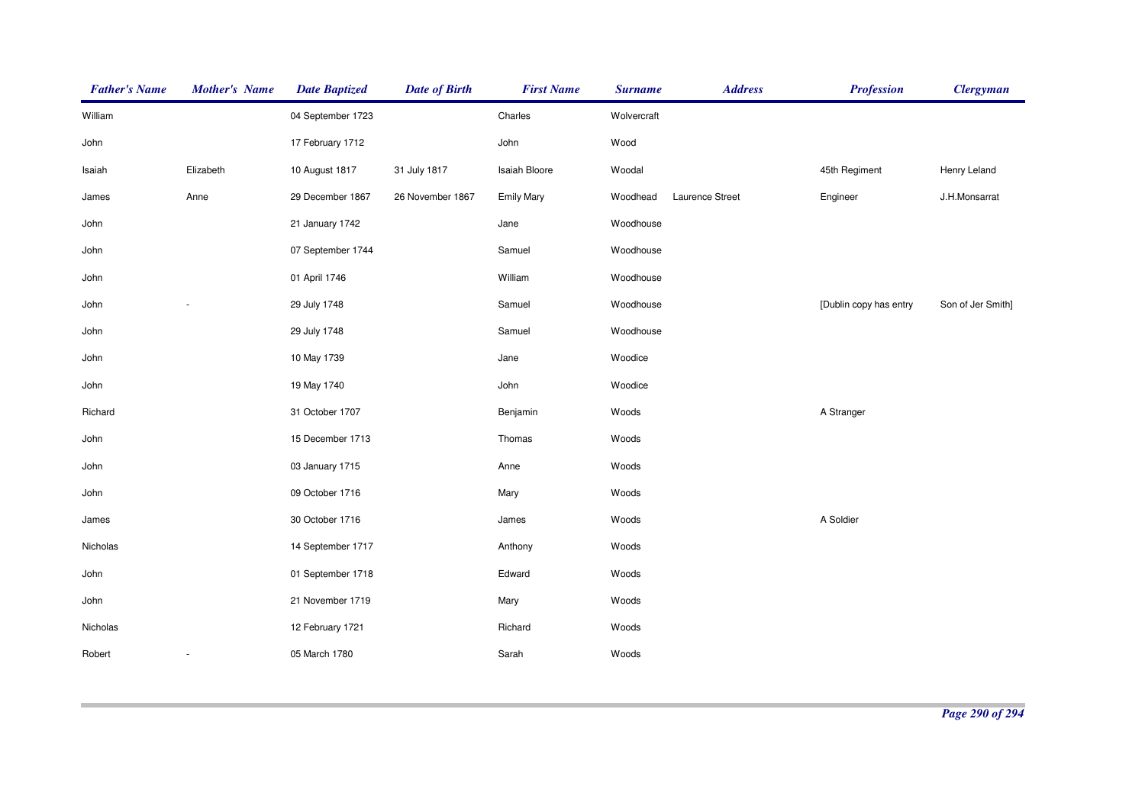| <b>Father's Name</b> | <b>Mother's Name</b> | <b>Date Baptized</b> | <b>Date of Birth</b> | <b>First Name</b> | <b>Surname</b> | <b>Address</b>  | <b>Profession</b>      | <b>Clergyman</b>  |
|----------------------|----------------------|----------------------|----------------------|-------------------|----------------|-----------------|------------------------|-------------------|
| William              |                      | 04 September 1723    |                      | Charles           | Wolvercraft    |                 |                        |                   |
| John                 |                      | 17 February 1712     |                      | John              | Wood           |                 |                        |                   |
| Isaiah               | Elizabeth            | 10 August 1817       | 31 July 1817         | Isaiah Bloore     | Woodal         |                 | 45th Regiment          | Henry Leland      |
| James                | Anne                 | 29 December 1867     | 26 November 1867     | <b>Emily Mary</b> | Woodhead       | Laurence Street | Engineer               | J.H.Monsarrat     |
| John                 |                      | 21 January 1742      |                      | Jane              | Woodhouse      |                 |                        |                   |
| John                 |                      | 07 September 1744    |                      | Samuel            | Woodhouse      |                 |                        |                   |
| John                 |                      | 01 April 1746        |                      | William           | Woodhouse      |                 |                        |                   |
| John                 |                      | 29 July 1748         |                      | Samuel            | Woodhouse      |                 | [Dublin copy has entry | Son of Jer Smith] |
| John                 |                      | 29 July 1748         |                      | Samuel            | Woodhouse      |                 |                        |                   |
| John                 |                      | 10 May 1739          |                      | Jane              | Woodice        |                 |                        |                   |
| John                 |                      | 19 May 1740          |                      | John              | Woodice        |                 |                        |                   |
| Richard              |                      | 31 October 1707      |                      | Benjamin          | Woods          |                 | A Stranger             |                   |
| John                 |                      | 15 December 1713     |                      | Thomas            | Woods          |                 |                        |                   |
| John                 |                      | 03 January 1715      |                      | Anne              | Woods          |                 |                        |                   |
| John                 |                      | 09 October 1716      |                      | Mary              | Woods          |                 |                        |                   |
| James                |                      | 30 October 1716      |                      | James             | Woods          |                 | A Soldier              |                   |
| Nicholas             |                      | 14 September 1717    |                      | Anthony           | Woods          |                 |                        |                   |
| John                 |                      | 01 September 1718    |                      | Edward            | Woods          |                 |                        |                   |
| John                 |                      | 21 November 1719     |                      | Mary              | Woods          |                 |                        |                   |
| Nicholas             |                      | 12 February 1721     |                      | Richard           | Woods          |                 |                        |                   |
| Robert               |                      | 05 March 1780        |                      | Sarah             | Woods          |                 |                        |                   |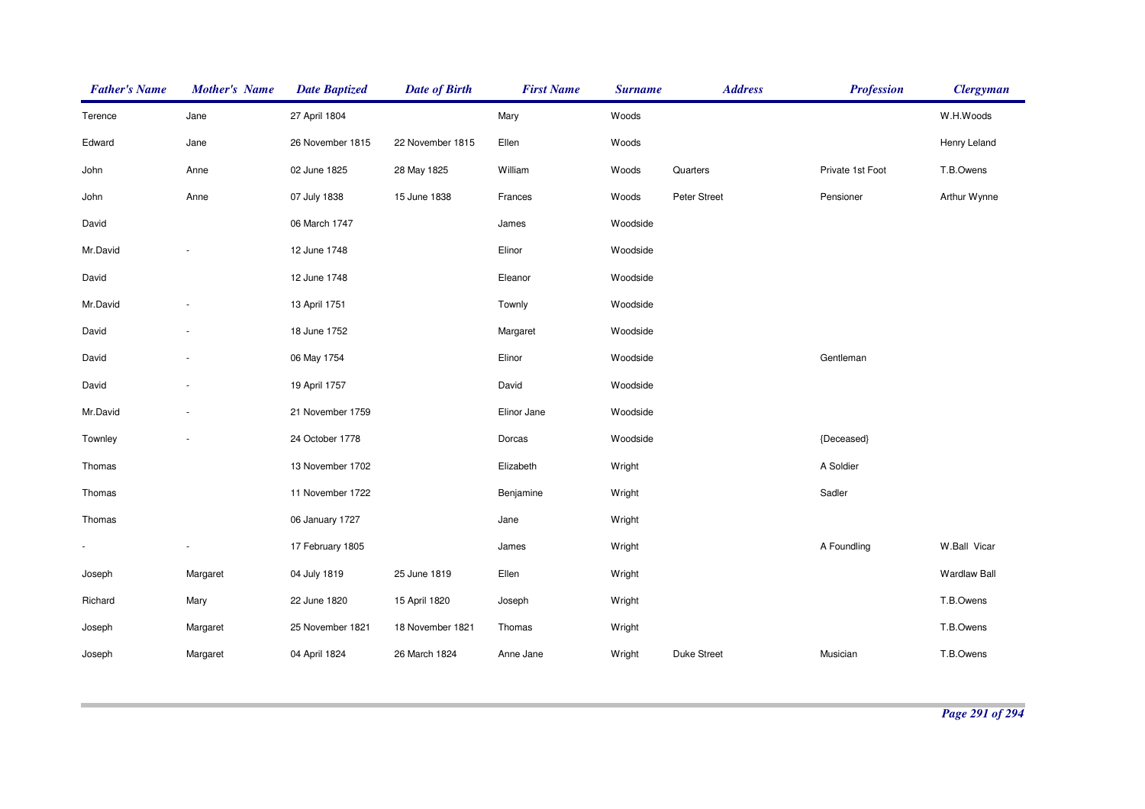| <b>Father's Name</b> | <b>Mother's Name</b> | <b>Date Baptized</b> | <b>Date of Birth</b> | <b>First Name</b> | <b>Surname</b> | <b>Address</b> | <b>Profession</b> | <b>Clergyman</b>    |
|----------------------|----------------------|----------------------|----------------------|-------------------|----------------|----------------|-------------------|---------------------|
| Terence              | Jane                 | 27 April 1804        |                      | Mary              | Woods          |                |                   | W.H.Woods           |
| Edward               | Jane                 | 26 November 1815     | 22 November 1815     | Ellen             | Woods          |                |                   | Henry Leland        |
| John                 | Anne                 | 02 June 1825         | 28 May 1825          | William           | Woods          | Quarters       | Private 1st Foot  | T.B.Owens           |
| John                 | Anne                 | 07 July 1838         | 15 June 1838         | Frances           | Woods          | Peter Street   | Pensioner         | Arthur Wynne        |
| David                |                      | 06 March 1747        |                      | James             | Woodside       |                |                   |                     |
| Mr.David             |                      | 12 June 1748         |                      | Elinor            | Woodside       |                |                   |                     |
| David                |                      | 12 June 1748         |                      | Eleanor           | Woodside       |                |                   |                     |
| Mr.David             |                      | 13 April 1751        |                      | Townly            | Woodside       |                |                   |                     |
| David                |                      | 18 June 1752         |                      | Margaret          | Woodside       |                |                   |                     |
| David                |                      | 06 May 1754          |                      | Elinor            | Woodside       |                | Gentleman         |                     |
| David                |                      | 19 April 1757        |                      | David             | Woodside       |                |                   |                     |
| Mr.David             |                      | 21 November 1759     |                      | Elinor Jane       | Woodside       |                |                   |                     |
| Townley              |                      | 24 October 1778      |                      | Dorcas            | Woodside       |                | {Deceased}        |                     |
| Thomas               |                      | 13 November 1702     |                      | Elizabeth         | Wright         |                | A Soldier         |                     |
| Thomas               |                      | 11 November 1722     |                      | Benjamine         | Wright         |                | Sadler            |                     |
| Thomas               |                      | 06 January 1727      |                      | Jane              | Wright         |                |                   |                     |
| $\blacksquare$       |                      | 17 February 1805     |                      | James             | Wright         |                | A Foundling       | W.Ball Vicar        |
| Joseph               | Margaret             | 04 July 1819         | 25 June 1819         | Ellen             | Wright         |                |                   | <b>Wardlaw Ball</b> |
| Richard              | Mary                 | 22 June 1820         | 15 April 1820        | Joseph            | Wright         |                |                   | T.B.Owens           |
| Joseph               | Margaret             | 25 November 1821     | 18 November 1821     | Thomas            | Wright         |                |                   | T.B.Owens           |
| Joseph               | Margaret             | 04 April 1824        | 26 March 1824        | Anne Jane         | Wright         | Duke Street    | Musician          | T.B.Owens           |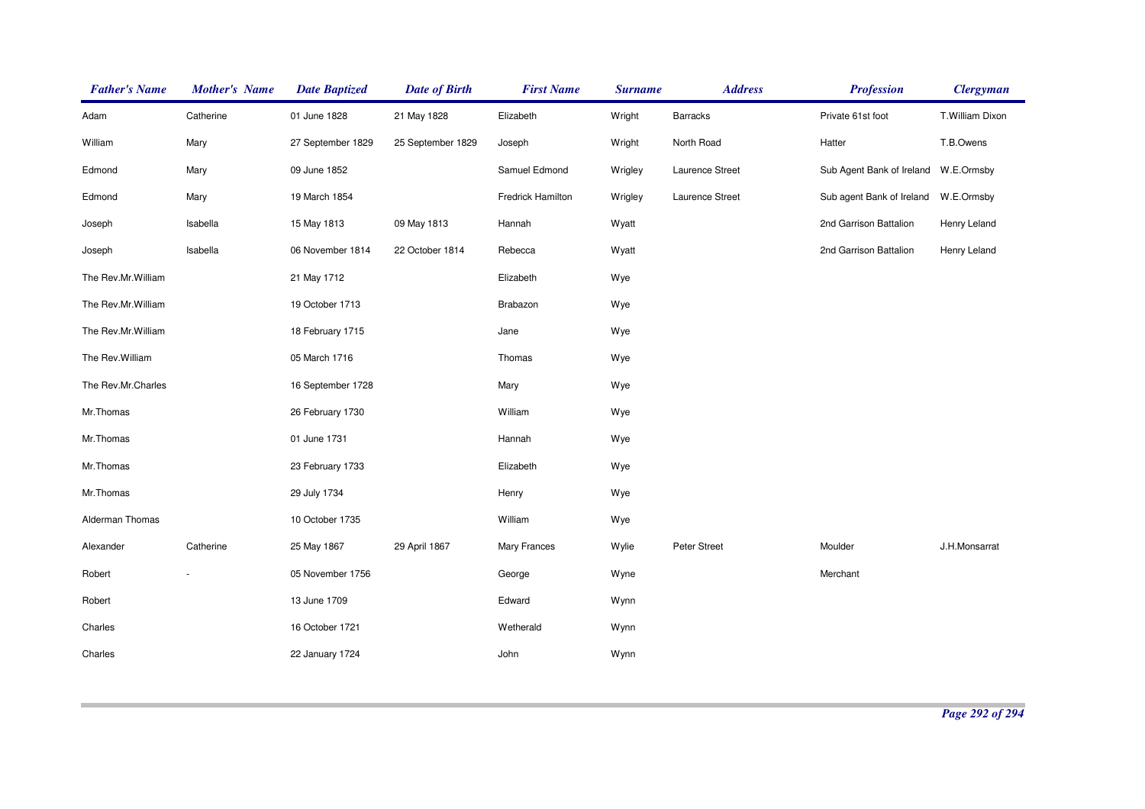| <b>Father's Name</b> | <b>Mother's Name</b> | <b>Date Baptized</b> | <b>Date of Birth</b> | <b>First Name</b>   | <b>Surname</b> | <b>Address</b>  | <b>Profession</b>                    | <b>Clergyman</b> |
|----------------------|----------------------|----------------------|----------------------|---------------------|----------------|-----------------|--------------------------------------|------------------|
| Adam                 | Catherine            | 01 June 1828         | 21 May 1828          | Elizabeth           | Wright         | Barracks        | Private 61st foot                    | T.William Dixon  |
| William              | Mary                 | 27 September 1829    | 25 September 1829    | Joseph              | Wright         | North Road      | Hatter                               | T.B.Owens        |
| Edmond               | Mary                 | 09 June 1852         |                      | Samuel Edmond       | Wrigley        | Laurence Street | Sub Agent Bank of Ireland W.E.Ormsby |                  |
| Edmond               | Mary                 | 19 March 1854        |                      | Fredrick Hamilton   | Wrigley        | Laurence Street | Sub agent Bank of Ireland            | W.E.Ormsby       |
| Joseph               | Isabella             | 15 May 1813          | 09 May 1813          | Hannah              | Wyatt          |                 | 2nd Garrison Battalion               | Henry Leland     |
| Joseph               | Isabella             | 06 November 1814     | 22 October 1814      | Rebecca             | Wyatt          |                 | 2nd Garrison Battalion               | Henry Leland     |
| The Rev.Mr.William   |                      | 21 May 1712          |                      | Elizabeth           | Wye            |                 |                                      |                  |
| The Rev.Mr.William   |                      | 19 October 1713      |                      | Brabazon            | Wye            |                 |                                      |                  |
| The Rev.Mr.William   |                      | 18 February 1715     |                      | Jane                | Wye            |                 |                                      |                  |
| The Rev. William     |                      | 05 March 1716        |                      | Thomas              | Wye            |                 |                                      |                  |
| The Rev.Mr.Charles   |                      | 16 September 1728    |                      | Mary                | Wye            |                 |                                      |                  |
| Mr.Thomas            |                      | 26 February 1730     |                      | William             | Wye            |                 |                                      |                  |
| Mr.Thomas            |                      | 01 June 1731         |                      | Hannah              | Wye            |                 |                                      |                  |
| Mr.Thomas            |                      | 23 February 1733     |                      | Elizabeth           | Wye            |                 |                                      |                  |
| Mr.Thomas            |                      | 29 July 1734         |                      | Henry               | Wye            |                 |                                      |                  |
| Alderman Thomas      |                      | 10 October 1735      |                      | William             | Wye            |                 |                                      |                  |
| Alexander            | Catherine            | 25 May 1867          | 29 April 1867        | <b>Mary Frances</b> | Wylie          | Peter Street    | Moulder                              | J.H.Monsarrat    |
| Robert               |                      | 05 November 1756     |                      | George              | Wyne           |                 | Merchant                             |                  |
| Robert               |                      | 13 June 1709         |                      | Edward              | Wynn           |                 |                                      |                  |
| Charles              |                      | 16 October 1721      |                      | Wetherald           | Wynn           |                 |                                      |                  |
| Charles              |                      | 22 January 1724      |                      | John                | Wynn           |                 |                                      |                  |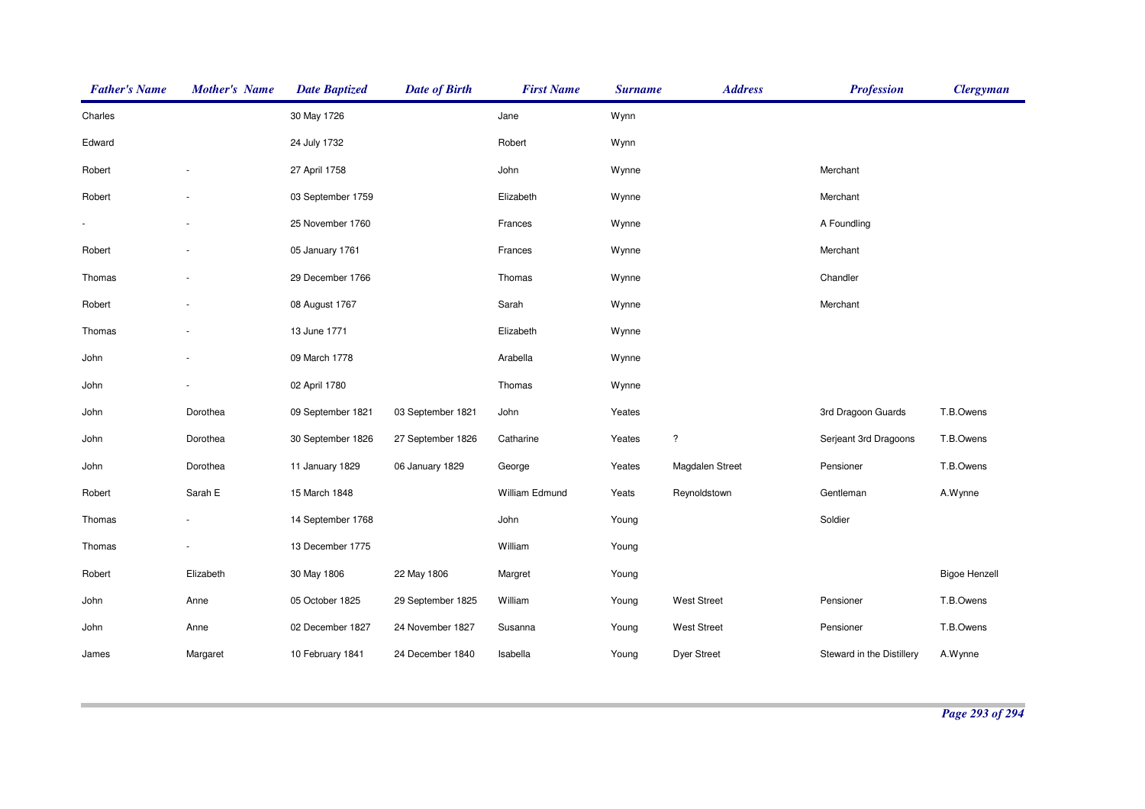| <b>Father's Name</b> | <b>Mother's Name</b> | <b>Date Baptized</b> | <b>Date of Birth</b> | <b>First Name</b> | <b>Surname</b> | <b>Address</b>       | <b>Profession</b>         | <b>Clergyman</b>     |
|----------------------|----------------------|----------------------|----------------------|-------------------|----------------|----------------------|---------------------------|----------------------|
| Charles              |                      | 30 May 1726          |                      | Jane              | Wynn           |                      |                           |                      |
| Edward               |                      | 24 July 1732         |                      | Robert            | Wynn           |                      |                           |                      |
| Robert               |                      | 27 April 1758        |                      | John              | Wynne          |                      | Merchant                  |                      |
| Robert               |                      | 03 September 1759    |                      | Elizabeth         | Wynne          |                      | Merchant                  |                      |
|                      |                      | 25 November 1760     |                      | Frances           | Wynne          |                      | A Foundling               |                      |
| Robert               |                      | 05 January 1761      |                      | Frances           | Wynne          |                      | Merchant                  |                      |
| Thomas               |                      | 29 December 1766     |                      | Thomas            | Wynne          |                      | Chandler                  |                      |
| Robert               |                      | 08 August 1767       |                      | Sarah             | Wynne          |                      | Merchant                  |                      |
| Thomas               |                      | 13 June 1771         |                      | Elizabeth         | Wynne          |                      |                           |                      |
| John                 |                      | 09 March 1778        |                      | Arabella          | Wynne          |                      |                           |                      |
| John                 |                      | 02 April 1780        |                      | Thomas            | Wynne          |                      |                           |                      |
| John                 | Dorothea             | 09 September 1821    | 03 September 1821    | John              | Yeates         |                      | 3rd Dragoon Guards        | T.B.Owens            |
| John                 | Dorothea             | 30 September 1826    | 27 September 1826    | Catharine         | Yeates         | $\ddot{\phantom{0}}$ | Serjeant 3rd Dragoons     | T.B.Owens            |
| John                 | Dorothea             | 11 January 1829      | 06 January 1829      | George            | Yeates         | Magdalen Street      | Pensioner                 | T.B.Owens            |
| Robert               | Sarah E              | 15 March 1848        |                      | William Edmund    | Yeats          | Reynoldstown         | Gentleman                 | A.Wynne              |
| Thomas               |                      | 14 September 1768    |                      | John              | Young          |                      | Soldier                   |                      |
| Thomas               |                      | 13 December 1775     |                      | William           | Young          |                      |                           |                      |
| Robert               | Elizabeth            | 30 May 1806          | 22 May 1806          | Margret           | Young          |                      |                           | <b>Bigoe Henzell</b> |
| John                 | Anne                 | 05 October 1825      | 29 September 1825    | William           | Young          | <b>West Street</b>   | Pensioner                 | T.B.Owens            |
| John                 | Anne                 | 02 December 1827     | 24 November 1827     | Susanna           | Young          | <b>West Street</b>   | Pensioner                 | T.B.Owens            |
| James                | Margaret             | 10 February 1841     | 24 December 1840     | Isabella          | Young          | <b>Dyer Street</b>   | Steward in the Distillery | A.Wynne              |